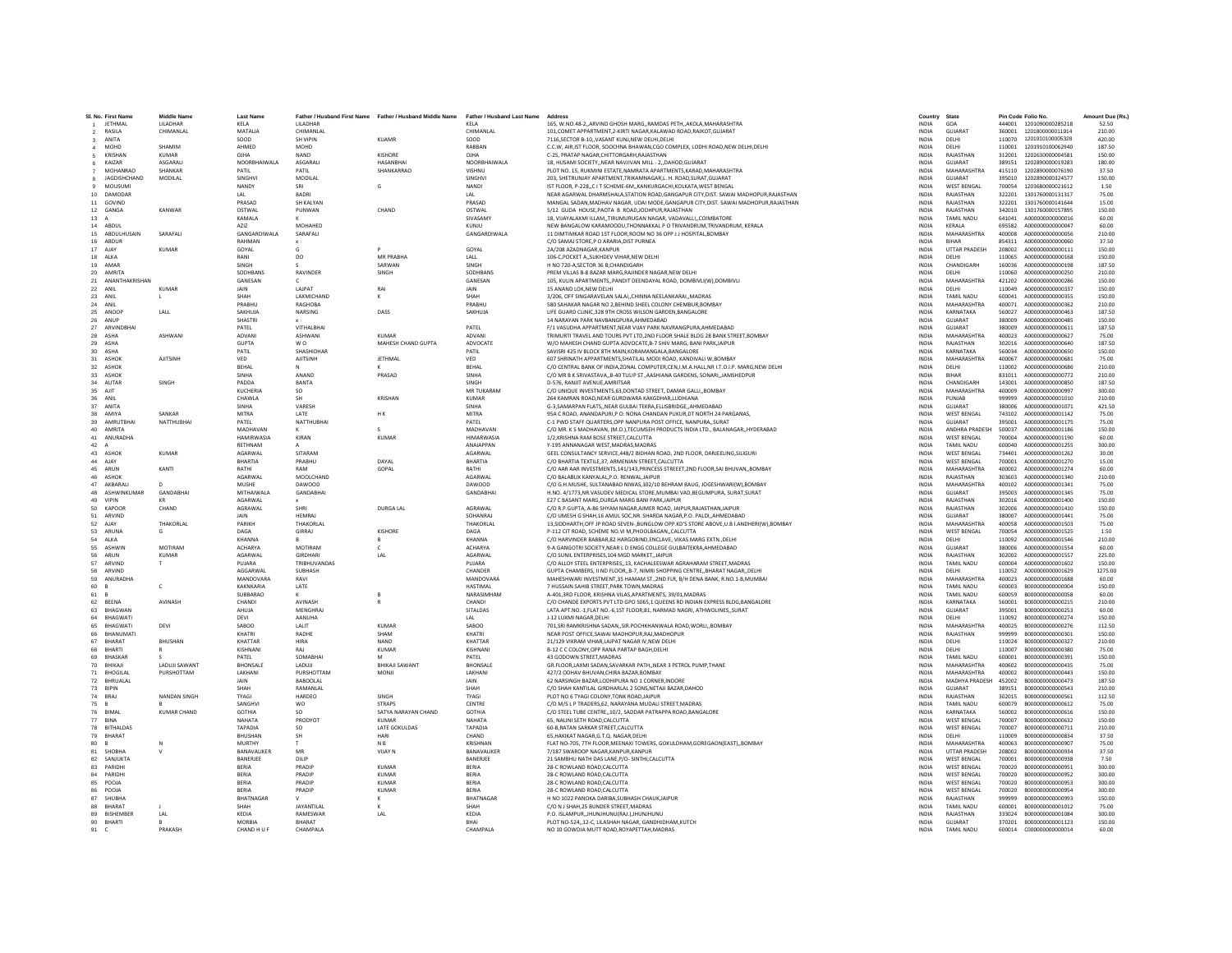|                 | Sl. No. First Name | Middle Name          | Last Nam          |                   | Father / Husband First Name Father / Husband Middle Name | Father / Husband Last Name | Address                                                                                   | Country      | <b>State</b>          |        | Pin Code Folio No.      | Amount Due (Rs |
|-----------------|--------------------|----------------------|-------------------|-------------------|----------------------------------------------------------|----------------------------|-------------------------------------------------------------------------------------------|--------------|-----------------------|--------|-------------------------|----------------|
|                 | <b>IFTHMAL</b>     | <b>I II ADHAR</b>    | KFI A             | <b>I II ADHAR</b> |                                                          | KFI A                      | 165 W NO 48-2 ARVIND GHOSH MARG, RAMDAS PETH, AKOLA MAHARASHTRA                           | <b>INDIA</b> | GOA                   |        | 444001 1201090000285218 | 52.50          |
| $\sqrt{2}$      | RASILA             | CHIMANLAL            | MATALIA           | CHIMANLAI         |                                                          | CHIMANLAL                  | 101, COMET APPARTMENT, 2-KIRTI NAGAR, KALAWAD ROAD, RAJKOT, GUJARAT                       | <b>INDIA</b> | <b>GUJARAT</b>        | 360001 | 1201800000011914        | 210.00         |
| $\mathbf{3}$    | ANITA              |                      | SOOD              | SH VIPIN          | <b>KUAMF</b>                                             | SOOD                       | 7116.SECTOR B-10. VASANT KUNJ.NEW DELHI.DELHI                                             | <b>INDIA</b> | DELHI                 | 110070 | 1201910100005328        | 420.00         |
|                 | MOHD               | SHAMIM               | AHMED             | <b>MOHD</b>       |                                                          | RARRAN                     | C.C.W, AIR,IST FLOOR, SOOCHNA BHAWAN,CGO COMPLEX, LODHI ROAD,NEW DELHI,DELHI              | <b>INDIA</b> | DELHI                 | 110001 | 1201910100062940        | 187.50         |
|                 | KRISHAN            | <b>KUMAR</b>         | OJHA              | <b>NAND</b>       | KISHORE                                                  | OJHA                       | C-25. PRATAP NAGAR CHITTORGARH, RAJASTHAN                                                 | <b>INDIA</b> | RAJASTHAN             | 312001 | 1202630000004581        | 150.00         |
|                 | KAIZAR             | <b>ASGARALL</b>      | NOORBHAIWALA      | <b>ASGARALI</b>   | <b>HASANRHAI</b>                                         | NOORRHAIWALA               | 18, HUSAMI SOCIETY,, NEAR NAVJIVAN MILL - 2,, DAHOD, GUJARAT                              | <b>INDIA</b> | GUIARAT               | 389151 | 1202890000019283        | 180.00         |
|                 | MOHANRAC           | SHANKAF              | PATIL             | PATIL             | SHANKARRAO                                               | VISHNU                     | PLOT NO. 15, RUKMINI ESTATE, NAMRATA APARTMENTS, KARAD, MAHARASHTRA                       | INDIA        | MAHARASHTRA           | 415110 | 1202890000076190        | 37.50          |
|                 | 8 JAGDISHCHAND     | <b>MODILAL</b>       | SINGHVI           | MODILAL           |                                                          | SINGHVI                    | 203. SHETRUNJAY APARTMENT.TRIKAMNAGAR.L. H. ROAD.SURAT.GUJARAT                            |              | GUJARAT               |        | 1202890000324577        | 150.00         |
|                 |                    |                      |                   |                   |                                                          |                            |                                                                                           | <b>INDIA</b> |                       | 395010 |                         |                |
|                 | MOUSUMI            |                      | <b>NANDY</b>      | SRI               | G                                                        | NANDI                      | IST FLOOR, P-228, C I T SCHEME-6M, KANKURGACHI, KOLKATA, WEST BENGAL                      | <b>INDIA</b> | <b>WEST RENGAL</b>    | 700054 | 1203680000021612        | 1.50           |
| 10              | DAMODA             |                      | LAL               | <b>BADRI</b>      |                                                          | LAL                        | NEAR AGARWAL DHARMSHALA, STATION ROAD, GANGAPUR CITY, DIST. SAWAI MADHOPUR, RAJASTHAN     | INDIA        | RAJASTHAN             | 322201 | 1301760000131317        | 75.00          |
|                 | 11 GOVIND          |                      | PRASAD            | SH KALYAN         |                                                          | PRASAD                     | MANGAL SADAN.MADHAV NAGAR, UDAI MODE.GANGAPUR CITY.DIST, SAWAI MADHOPUR.RAJASTHAN         | <b>INDIA</b> | RAJASTHAN             | 322201 | 1301760000141644        | 15.00          |
|                 | 12 GANGA           | KANWAR               | OSTWAL            | PUNWAN            | CHAND                                                    | OSTWAL                     | 5/12 GUDA HOUSE.PAOTA B ROAD.JODHPUR.RAJASTHAN                                            | <b>INDIA</b> | RAJASTHAN             | 342010 | 1301760000157895        | 150.00         |
| 13 A            |                    |                      | KAMALA            |                   |                                                          | SIVASAMY                   | 18, VIJAYALAXMI ILLAM,,TIRUMURUGAN NAGAR, VADAVALLI,,COIMBATORE                           | <b>INDIA</b> | TAMIL NADU            | 641041 | A000000000000016        | 60.00          |
|                 | 14 ABDUL           |                      | AZIZ              | MOHAHED           |                                                          | KUNJU                      | NEW BANGALOW KARAMOODU,THONNAKKAL P O TRIVANDRUM,TRIVANDRUM, KERALA                       | INDIA        | KERALA                | 695582 | A000000000000047        | 60.00          |
|                 | 15 ABDULHUSAIN     | SARAFALI             | GANGARDIWALA      | SARAFALI          |                                                          | GANGARDIWALA               | 11 DIMTIMKAR ROAD 1ST FLOOR.ROOM NO 36 OPP J J HOSPITAL.BOMBAY                            | <b>INDIA</b> | MAHARASHTRA           | 400008 | A000000000000056        | 210.00         |
|                 | 16 ARDUE           |                      | RAHMAN            |                   |                                                          |                            | C/O SAMAI STORE P O ARARIA DIST PURNEA                                                    | <b>INDIA</b> | <b>BIHAR</b>          | 854311 | A000000000000060        | 37.50          |
|                 |                    |                      |                   |                   |                                                          |                            |                                                                                           |              |                       |        |                         |                |
|                 | 17 AJAY            | KUMAR                | GOYAL             |                   |                                                          | GOYAL                      | 2A/208 AZADNAGAR.KANPUR                                                                   | <b>INDIA</b> | <b>UTTAR PRADESH</b>  | 208002 | A000000000000111        | 150.00         |
| 18              | ALKA               |                      | RANI              | DO                | <b>MR PRABHA</b>                                         | LALL                       | 106-C.POCKET ASUKHDEV VIHAR.NEW DELHI                                                     | <b>INDIA</b> | DELHI                 | 110065 | A000000000000168        | 150.00         |
|                 | 19 AMAR            |                      | SINGH             |                   | SARWAN                                                   | SINGH                      | H NO 720-A, SECTOR 36 B, CHANDIGARH                                                       | INDIA        | CHANDIGARH            | 160036 | A000000000000198        | 187.50         |
|                 | 20 AMRITA          |                      | SODHRANS          | <b>RAVINDER</b>   | SINGH                                                    | SODHBANS                   | PREM VILLAS B-8 BAZAR MARG RAIINDER NAGAR NEW DELHI                                       | <b>INDIA</b> | <b>DELHI</b>          | 110060 | A000000000000250        | 210.00         |
| 21              | ANANTHAKRISHAN     |                      | GANESAN           |                   |                                                          | GANESAN                    | 105, KULIN APARTMENTS,, PANDIT DEENDAYAL ROAD, DOMBIVLI(W), DOMBIVLI                      | <b>INDIA</b> | MAHARASHTRA           | 421202 | A000000000000286        | 150.00         |
|                 | 22 ANIL            | <b>KUMAR</b>         | <b>JAIN</b>       | LAJPAT            |                                                          | JAIN                       | 15 ANAND LOK.NEW DELHI                                                                    | INDIA        | DELHI                 | 110049 | A000000000000337        | 150.00         |
| 23              | ANIL               |                      | SHAH              | LAXMICHAND        |                                                          | SHAH                       | 3/206, OFF SINGARAVELAN SALAICHINNA NEELANKARAIMADRAS                                     | <b>INDIA</b> | TAMIL NADLI           | 600041 | A000000000000355        | 150.00         |
|                 | 24 ANIL            |                      | PRABHU            | RAGHOBA           |                                                          | PRABHU                     | 580 SAHAKAR NAGAR NO 2.BEHIND SHEEL COLONY CHEMBUR.BOMBAY                                 | <b>INDIA</b> | MAHARASHTRA           | 400071 | A000000000000362        | 210.00         |
|                 |                    |                      |                   |                   |                                                          |                            |                                                                                           |              |                       |        |                         |                |
|                 | 25 ANOOF           | LALL                 | SAKHUJ/           | NARSING           | DASS                                                     | SAKHUJA                    | LIFE GUARD CLINIC,328 9TH CROSS WILSON GARDEN, BANGALORE                                  | <b>INDIA</b> | KARNATAKA             | 560027 | A000000000000463        | 187.50         |
| 26              | ANU                |                      | <b>SHASTRI</b>    |                   |                                                          |                            | 14 NARAYAN PARK NAVBANGPURA, AHMEDABAD                                                    | INDIA        | GUJARAT               | 380009 | A000000000000485        | 150.00         |
|                 | 27 ARVINDBHA       |                      | PATEL             | VITHALBHA         |                                                          | PATEL                      | F/1 VASUDHA APPARTMENT.NEAR VIJAY PARK NAVRANGPURA.AHMEDABAD                              | <b>INDIA</b> | GUJARAT               | 380009 | A000000000000611        | 187.50         |
|                 | 28 ASHA            | <b>ASHWANI</b>       | <b>ADVANI</b>     | <b>ASHWANI</b>    | KUMAR                                                    | ADVANI                     | TRIMURTI TRAVEL AND TOURS PVT LTD. 2ND ELOOR SHALE RI DG 28 RANK STREET ROMRAY            | <b>INDIA</b> | MAHARASHTRA           | 400023 | A000000000000627        | 75.00          |
| 29              | ASHA               |                      | <b>GUPTA</b>      | w o               | MAHESH CHAND GUPTA                                       | ADVOCATE                   | W/O MAHESH CHAND GUPTA ADVOCATE, B-7 SHIV MARG, BANI PARK, JAIPUR                         | INDIA        | RAJASTHAN             | 302016 | A000000000000640        | 187.50         |
|                 | 30 ASHA            |                      | PATIL             | SHASHIDHAR        |                                                          | PATIL                      | SAVISRI 425 IV BLOCK 8TH MAIN.KORAMANGALA.BANGALORE                                       | <b>INDIA</b> | KARNATAKA             | 560034 | A000000000000650        | 150.00         |
|                 |                    |                      |                   |                   |                                                          |                            |                                                                                           |              |                       |        |                         |                |
|                 | 31 ASHOK           | <b>AJITSINH</b>      | VED               | <b>AJITSINH</b>   | <b>JETHMAL</b>                                           | VED                        | 607 SHRINATH APPARTMENTS SHATILAL MODI ROAD, KANDIVALI W.BOMBAY                           | <b>INDIA</b> | MAHARASHTRA           | 400067 | A000000000000681        | 75.00          |
| 32 <sup>°</sup> | ASHOK              |                      | RFHAI             |                   |                                                          | RFHAI                      | C/O CENTRAL BANK OF INDIA, ZONAL COMPUTER, CEN, I.M.A.HALL, NR I.T.O.I.P. MARG, NEW DELHI | <b>INDIA</b> | <b>DELHI</b>          | 110002 | A000000000000686        | 210.00         |
| 33              | <b>ASHOK</b>       |                      | <b>SINHA</b>      | ANAND             | PRASAD                                                   | SINHA                      | C/O MR B K SRIVASTAVA,, B-40 TULIP ST., AASHIANA GARDENS, SONARI,, JAMSHEDPUR             | <b>INDIA</b> | <b>RIHAR</b>          | 831011 | A000000000000772        | 210.00         |
| 34              | AUTAR              | SINGH                | PADDA             | <b>BANTA</b>      |                                                          | SINGH                      | D-576, RANJIT AVENUE AMRITSAR                                                             | <b>INDIA</b> | CHANDIGARH            | 143001 | A000000000000850        | 187.50         |
| 35              | AJIT               |                      | <b>KUCHERIA</b>   | SO.               |                                                          | MR TUKARAM                 | C/O UNIQUE INVESTMENTS, 63, DONTAD STREET, DAMAR GALLI, BOMBAY                            | <b>INDIA</b> | MAHARASHTRA           | 400009 | A000000000000997        | 300.00         |
| 36              | ANII               |                      | CHAWLA            | <b>SH</b>         | KRISHAN                                                  | KUMAR                      | 264 KAMRAN ROAD.NEAR GURDWARA KAKGDHAR.LUDHIANA                                           | <b>INDIA</b> | PUNJAR                | 999999 | 4000000000001010        | 210.00         |
|                 |                    |                      |                   |                   |                                                          |                            |                                                                                           |              |                       |        |                         |                |
| 37              | ANITA              |                      | SINHA             | VARESH            |                                                          | SINHA                      | G-3, SAMARPAN FLATS, , NEAR GULBAI TEKRA, ELLISBRIDGE, , AHMEDABAD                        | <b>INDIA</b> | GUJARAT               | 380006 | A000000000001071        | 421.50         |
|                 | 38 AMIYA           | SANKAR               | MITRA             | <b>LATE</b>       | HK                                                       | MITRA                      | 95A C ROAD, ANANDAPURI, P O: NONA CHANDAN PUKUR, DT NORTH 24 PARGANAS,                    | <b>INDIA</b> | <b>WEST RENGAL</b>    | 743102 | A000000000001142        | 75.00          |
| 39              | AMRUTBHAI          | <b>NATTHUBHA</b>     | PATEL             | <b>NATTHUBHA</b>  |                                                          | PATEL                      | C-1 PWD STAFF QUARTERS.OPP NANPURA POST OFFICE, NANPURA, SURAT                            | <b>INDIA</b> | <b>GUJARAT</b>        | 395001 | A000000000001175        | 75.00          |
|                 | 40 AMRITA          |                      | MADHAVAN          |                   |                                                          | MADHAVAN                   | C/O MR. K S MADHAVAN, (M.D.), TECUMSEH PRODUCTS INDIA LTD., BALANAGAR,, HYDERABAD         | <b>INDIA</b> | <b>ANDHRA PRADESH</b> | 500037 | A000000000001186        | 150.00         |
| 41              | ANURADH            |                      | <b>HAMIRWASIA</b> | KIRAN             | <b>KUMAF</b>                                             | <b>HIMARWASIA</b>          | 1/2, KRISHNA RAM BOSE STREET, CALCUTTA                                                    | <b>INDIA</b> | <b>WEST BENGAL</b>    | 700004 | A000000000001190        | 60.00          |
| 42 A            |                    |                      | RETHNAN           |                   |                                                          | ANAIAPPAN                  | Y-195 ANNANAGAR WEST.MADRAS.MADRAS                                                        | <b>INDIA</b> | TAMIL NADU            | 600040 | A000000000001255        | 300.00         |
|                 |                    |                      |                   |                   |                                                          |                            |                                                                                           |              |                       |        |                         |                |
|                 | 43 ASHOK           | <b>KUMAR</b>         | AGARWAI           | SITARAN           |                                                          | AGARWAL                    | GEEL CONSULTANCY SERVICE, 448/2 BIDHAN ROAD, 2ND FLOOR, DARJEELING, SILIGURI              | <b>INDIA</b> | <b>WEST BENGAL</b>    | 734401 | A000000000001262        | 30.00          |
| 44              | AIAY               |                      | RHARTIA           | PRARHU            | DAYAL                                                    | <b>BHARTIA</b>             | C/O BHARTIA TEXTILE.37. ARMENIAN STREET.CALCUTTA                                          | <b>INDIA</b> | <b>WEST RENGAL</b>    | 700001 | A000000000001270        | 15.00          |
| 45              | ARUN               | KANTI                | RATHI             | RAM               | GOPAL                                                    | RATHI                      | C/O AAR AAR INVESTMENTS.141/143.PRINCESS STREEET.2ND FLOOR.SAI BHUVANBOMBAY               | <b>INDIA</b> | MAHARASHTRA           | 400002 | A000000000001274        | 60.00          |
|                 | 46 ASHOK           |                      | AGARWAI           | MOOLCHAND         |                                                          | AGARWAL                    | C/O BALABUX KANYALAL, P.O. RENWAL, JAIPUR                                                 | INDIA        | RAJASTHAN             | 303603 | A000000000001340        | 210.00         |
|                 | 47 AKRARAI         | $\sqrt{2}$           | MUSHE             | <b>DAWOOD</b>     |                                                          | <b>DAWOOD</b>              | C/O G H MUSHE, SULTANARAD NIWAS 102/10 REHRAM RAUG, JOGESHWARI(W) ROMRAY                  | <b>INDIA</b> | MAHARASHTRA           | 400102 | A000000000001341        | 75.00          |
| 48              | ASHWINKUMAR        | GANDABHAI            | MITHAIWAL         | GANDABHAI         |                                                          | GANDABHA                   | H.NO. 4/1773, NR.VASUDEV MEDICAL STORE, MUMBAI VAD, BEGUMPURA, SURAT, SURAT               | <b>INDIA</b> | GUIARAT               | 395003 | A000000000001345        | 75.00          |
| 49              | VIPIN              |                      | AGARWAI           |                   |                                                          |                            | E27 C BASANT MARG, DURGA MARG BANI PARK, JAIPUR                                           | INDIA        | RAJASTHAN             | 302016 | A000000000001400        | 150.00         |
|                 |                    |                      | <b>AGRAWAI</b>    | SHRI              |                                                          | AGRAWAL                    |                                                                                           |              | RAIASTHAN             |        | A000000000001410        |                |
| 50              | KAPOOR             | CHAND                |                   |                   | <b>DURGA LAL</b>                                         |                            | C/O R.P.GUPTA, A-86 SHYAM NAGAR AJMER ROAD, JAIPUR, RAJASTHAN, JAIPUR                     | <b>INDIA</b> |                       | 302006 |                         | 150.00         |
|                 | 51 ARVIND          |                      | <b>JAIN</b>       | <b>HEMRAJ</b>     |                                                          | SOHANRAJ                   | C/O UMESH G SHAH.16 AMUL SOC.NR. SHARDA NAGAR.P.O. PALDIAHMEDABAD                         | <b>INDIA</b> | GUJARAT               | 380007 | A000000000001441        | 75.00          |
| 52              | AJAY               | THAKORLAL            | PARIKH            | THAKORLAL         |                                                          | THAKORLAI                  | 13, SIDDHARTH, OFF JP ROAD SEVEN-, BUNGLOW OPP.KD'S STORE ABOVE, U.B I.ANDHERI(W), BOMBAY | <b>INDIA</b> | MAHARASHTRA           | 400058 | A000000000001503        | 75.00          |
| 53              | ARUN               |                      | DAGA              | GIRRAJ            | KISHORE                                                  | DAGA                       | P-112 CIT ROAD, SCHEME NO.VI M, PHOOLBAGAN, CALCUTTA                                      | <b>INDIA</b> | <b>WEST BENGAL</b>    | 700054 | A000000000001525        | 1.50           |
| 54              | ALKA               |                      | <b>KHANNA</b>     |                   |                                                          | KHANNA                     | C/O HARVINDER BABBAR.82 HARGOBIND.ENCLAVE, VIKAS MARG EXTN.,DELHI                         | <b>INDIA</b> | DELHI                 | 110092 | A000000000001546        | 210.00         |
| 55              | <b>ASHWIN</b>      | MOTIRAM              | <b>ACHARYA</b>    | MOTIRAM           | c                                                        | <b>ACHARYA</b>             | 9-A GANGOTRI SOCIETY NEAR LD ENGG COLLEGE GUI RAITEKRA AHMEDARAD                          | <b>INDIA</b> | <b>GUIARAT</b>        | 380006 | A000000000001554        | 60.00          |
| 56              | ARUN               | <b>KUMAR</b>         | <b>AGARWAI</b>    | <b>GIRDHARI</b>   | LAL                                                      | AGARWAL                    | C/O SUNIL ENTERPRISES, 104 MGD MARKET, JAIPUR                                             | INDIA        | RAJASTHAN             | 302002 | A000000000001557        | 225.00         |
|                 |                    |                      |                   |                   |                                                          |                            |                                                                                           |              |                       |        |                         |                |
| 57              | ARVIND             |                      | PUJARA            | TRIBHUVANDAS      |                                                          | PUJARA                     | C/O ALLOY STEEL ENTERPRISES13. KACHALEESWAR AGRAHARAM STREET.MADRAS                       | <b>INDIA</b> | TAMIL NADU            | 600004 | A000000000001602        | 150.00         |
| 58              | ARVIND             |                      | AGGARWA           | SUBHASH           |                                                          | CHANDER                    | GUPTA CHAMBERS, II ND FLOOR,,B-7, NIMRI SHOPPING CENTRE,,BHARAT NAGAR,,DELHI              | <b>INDIA</b> | DELHI                 | 110052 | A000000000001629        | 1275.00        |
| 59              | <b>ANURADHA</b>    |                      | MANDOVARA         | RAVI              |                                                          | MANDOVARA                  | MAHESHWARI INVESTMENT, 35 HAMAM ST., 2ND FLR, B/H DENA BANK, R.NO.1-B, MUMBAI             | <b>INDIA</b> | MAHARASHTRA           | 400023 | A000000000001688        | 60.00          |
| 60              | $\overline{B}$     | $\mathsf{C}$         | <b>KAKNKARIA</b>  | LATE              |                                                          | <b>HASTIMAL</b>            | 7 HUSSAIN SAHIB STREET, PARK TOWN, MADRAS                                                 | <b>INDIA</b> | TAMIL NADU            | 600003 | B000000000000004        | 150.00         |
| 61              |                    |                      | SUBBARAO          |                   |                                                          | NARASIMHAM                 | A-401.3RD FLOOR, KRISHNA VILAS, APARTMENTS, 39/01.MADRAS                                  | <b>INDIA</b> | TAMIL NADU            | 600059 | B000000000000058        | 60.00          |
|                 | 62 BEENA           | AVINASH              | CHANDI            | AVINASH           |                                                          | CHANDI                     | C/O CHANDE EXPORTS PVT LTD GPO 5065.1 OUEENS RD INDIAN EXPRESS BLDG.BANGALORE             | <b>INDIA</b> | KARNATAKA             | 560001 | 8000000000000215        | 210.00         |
| 63              | <b>BHAGWAN</b>     |                      | AHUIA             | MENGHRAI          |                                                          | SITALDAS                   | LATA APT.NO.-1, FLAT NO.-6, 1ST FLOOR, 81, NARMAD NAGRI, ATHWOLINES, SURAT                | <b>INDIA</b> | <b>GUIARAT</b>        | 395001 | B000000000000253        | 60.00          |
| 64              | <b>RHAGWAT</b>     |                      | DEVI              | AANUHA            |                                                          | LAL                        | J-12 LUXMI NAGAR.DELHI                                                                    | <b>INDIA</b> | DELHI                 | 110092 | B00000000000274         | 150.00         |
|                 |                    |                      |                   |                   | <b>KUMAR</b>                                             |                            |                                                                                           |              |                       |        |                         |                |
| 65              | BHAGWAT            | DEVI                 | SABOO             | LALIT             |                                                          | SABOO                      | 701, SRI RAMKRISHNA SADAN, , SIR. POCHKHANWALA ROAD, WORLI, , BOMBAY                      | <b>INDIA</b> | MAHARASHTRA           | 400025 | B00000000000276         | 112.50         |
| 66              | RHANUMAT           |                      | KHATRI            | RADHE             | SHAM                                                     | KHATRI                     | NEAR POST OFFICE SAWAI MADHOPUR.RAJ.MADHOPUR                                              | <b>INDIA</b> | RAJASTHAN             | 999999 | B000000000000301        | 150.00         |
| 67              | <b>RHARAT</b>      | RHUSHAN              | KHATTAR           | <b>HIRA</b>       | <b>NAND</b>                                              | KHATTAR                    | 21/129 VIKRAM VIHAR LAIPAT NAGAR IV NEW DELHI                                             | <b>INDIA</b> | <b>DELHI</b>          | 110024 | 8000000000000327        | 210.00         |
| 68              | BHART              |                      | KISHNANI          | RAJ               | <b>KUMAF</b>                                             | KISHNANI                   | B-12 C C COLONY, OPP RANA PARTAP BAGH, DELHI                                              | INDIA        | DELHI                 | 110007 | B000000000000380        | 75.00          |
| 69              | <b>BHASKAR</b>     |                      | PATEL             | SOMABHAI          |                                                          | PATEL                      | 43 GODOWN STREET.MADRAS                                                                   | <b>INDIA</b> | TAMIL NADU            | 600001 | B000000000000391        | 150.00         |
|                 | 70 BHIKAJI         | <b>LADUJI SAWANT</b> | <b>BHONSALE</b>   | LADUJI            | <b>BHIKAJI SAWANT</b>                                    | BHONSALE                   | GR.FLOOR.LAXMI SADAN.SAVARKAR PATHNEAR 3 PETROL PUMP.THANE                                | <b>INDIA</b> | MAHARASHTRA           | 400602 | B000000000000435        | 75.00          |
|                 | 71 BHOGILAL        | PURSHOTTAM           | LAKHANI           | PURSHOTTAM        | <b>MONIL</b>                                             | <b>LAKHANI</b>             | 427/2 ODHAV BHUVAN.CHIRA BAZAR.BOMBAY                                                     | <b>INDIA</b> | MAHARASHTRA           | 400002 | B000000000000443        | 150.00         |
|                 |                    |                      |                   |                   |                                                          | <b>JAIN</b>                |                                                                                           |              |                       |        |                         |                |
| 72              | BHRUALAI           |                      | JAIN              | <b>BABOOLAL</b>   |                                                          |                            | 62 NARSINGH BAZAR, LODHIPURA NO 1 CORNER, INDORE                                          | <b>INDIA</b> | MADHYA PRADESH        | 452002 | B000000000000473        | 187.50         |
|                 | 73 BIPIN           |                      | SHAH              | RAMANLAL          |                                                          | SHAH                       | C/O SHAH KANTILAL GIRDHARLAL 2 SONS, NETAJI BAZAR, DAHOD                                  | <b>INDIA</b> | GUJARAT               | 389151 | B000000000000543        | 210.00         |
|                 | 74 BRAJ            | NANDAN SINGH         | <b>TYAGI</b>      | HARDEO            | SINGH                                                    | <b>TYAGI</b>               | PLOT NO 6 TYAGI COLONY.TONK ROAD.JAIPUR                                                   | <b>INDIA</b> | RAJASTHAN             | 302015 | B000000000000561        | 112.50         |
|                 | 75 B               |                      | SANGHV            | <b>WO</b>         | <b>STRAPS</b>                                            | CENTRE                     | C/O M/S L P TRADERS, 62, NARAYANA MUDALI STREET, MADRAS                                   | <b>INDIA</b> | TAMIL NADU            | 600079 | B00000000000612         | 75.00          |
| 76              | RIMAL              | <b>KUMAR CHAND</b>   | <b>GOTHIA</b>     | SO                | SATYA NARAYAN CHAND                                      | <b>GOTHIA</b>              | C/O STEEL TUBE CENTRE,,10/2, SADDAR PATRAPPA ROAD, BANGALORE                              | <b>INDIA</b> | KARNATAKA             | 560002 | B000000000000616        | 150.00         |
| 77              | <b>BINA</b>        |                      | NAHATA            | PRODYOT           | <b>KUMAR</b>                                             | NAHATA                     | 65, NALINI SETH ROAD, CALCUTTA                                                            | <b>INDIA</b> | <b>WEST BENGAL</b>    | 700007 | B00000000000632         | 150.00         |
|                 | 78 BITHALDAS       |                      | <b>TAPADIA</b>    | <sub>SO</sub>     | <b>LATE GOKULDAS</b>                                     | <b>TAPADIA</b>             | 60-B.RATAN SARKAR STREET.CALCUTTA                                                         | <b>INDIA</b> | <b>WEST BENGAL</b>    | 700007 | B00000000000711         | 210.00         |
|                 |                    |                      |                   |                   |                                                          |                            |                                                                                           |              |                       |        |                         |                |
|                 | 79 BHARAT          |                      | RHUSHAN           | ŚН                | HARI                                                     | CHAND                      | 65.HAKIKAT NAGAR.G.T.O. NAGAR.DELHI                                                       | <b>INDIA</b> | DELHI                 | 110009 | B000000000000834        | 37.50          |
| 80              |                    | N                    | <b>MURTHY</b>     |                   | N <sub>B</sub>                                           | KRISHNAN                   | FLAT NO-705, 7TH FLOOR, MEENAXI TOWERS, GOKULDHAM, GOREGAON(EAST), ,BOMBAY                | INDIA        | MAHARASHTRA           | 400063 | B00000000000907         | 75.00          |
|                 | 81 SHOBHA          |                      | BANAVALIKER       | MR                | <b>VIJAY N</b>                                           | BANAVALIKER                | 7/187 SWAROOP NAGAR KANPUR KANPUR                                                         | <b>INDIA</b> | UTTAR PRADESH         | 208002 | B000000000000934        | 37.50          |
| 82              | SANJUKTA           |                      | BANERJEE          | DILIP             |                                                          | BANERJEE                   | 21 SAMBHU NATH DAS LANE, P/O- SINTHI, CALCUTTA                                            | <b>INDIA</b> | <b>WEST BENGAL</b>    | 700001 | B000000000000938        | 7.50           |
| 83              | PARIDHI            |                      | <b>RERIA</b>      | PRADIP            | KUMAR                                                    | <b>RERIA</b>               | 28-C ROWLAND ROAD CALCUTTA                                                                | <b>INDIA</b> | <b>WEST RENGAL</b>    | 700020 | B000000000000951        | 300.00         |
| 84              | PARIDH             |                      | <b>BERIA</b>      | PRADIP            | <b>KUMAR</b>                                             | <b>RERIA</b>               | 28-C ROWLAND ROAD, CALCUTTA                                                               | <b>INDIA</b> | <b>WEST BENGAL</b>    | 700020 | B000000000000952        | 300.00         |
| 85              | POOJA              |                      | <b>BERIA</b>      | PRADIE            | <b>KUMAR</b>                                             | BERIA                      | 28-C ROWLAND ROAD.CALCUTTA                                                                | <b>INDIA</b> | <b>WEST BENGAL</b>    | 700020 | B00000000000953         | 300.00         |
|                 |                    |                      |                   |                   |                                                          |                            |                                                                                           |              |                       |        |                         |                |
| 86              | POOIA              |                      | <b>RERIA</b>      | PRADIP            | KUMAR                                                    | <b>RERIA</b>               | 28-C ROWLAND ROAD CALCUTTA                                                                | <b>INDIA</b> | <b>WEST RENGAL</b>    | 700020 | B000000000000954        | 300.00         |
|                 | 87 SHURHA          |                      | <b>RHATNAGAR</b>  |                   |                                                          | <b>RHATNAGAR</b>           | H NO 1022 PANOKA DARIBA, SUBHASH CHAUK, JAIPUR                                            | <b>INDIA</b> | RAJASTHAN             | 999999 | B000000000000993        | 150.00         |
|                 | <b>BHARAT</b>      |                      | SHAH              | <b>JAYANTILAL</b> |                                                          | SHAH                       | C/O N J SHAH.25 BUNDER STREET.MADRAS                                                      | <b>INDIA</b> | <b>TAMIL NADU</b>     | 600001 | B000000000001012        | 75.00          |
|                 | 89 RISHFMRFR       | IAI                  | KEDIA             | <b>RAMESWAR</b>   | IAI                                                      | KEDIA                      | P.O. ISLAMPUR, JHUNJHUNU(RAJ.), JHUNJHUNU                                                 | <b>INDIA</b> | RAIASTHAN             | 333024 | 8000000000001084        | 300.00         |
|                 | 90 BHARTI          |                      | <b>MORBIA</b>     | <b>BHARAT</b>     |                                                          | RHAI                       | PLOT NO-52412-C. LILASHAH NAGAR, GANDHIDHAM, KUTCH                                        | <b>INDIA</b> | GUJARAT               | 370201 | B000000000001123        | 150.00         |
| 91              | $\sim$             | PRAKASH              | CHAND H U F       | CHAMPALA          |                                                          | CHAMPALA                   | NO 10 GOWDIA MUTT ROAD.ROYAPETTAH.MADRAS                                                  | <b>INDIA</b> | TAMIL NADLI           |        |                         | 60.00          |
|                 |                    |                      |                   |                   |                                                          |                            |                                                                                           |              |                       |        |                         |                |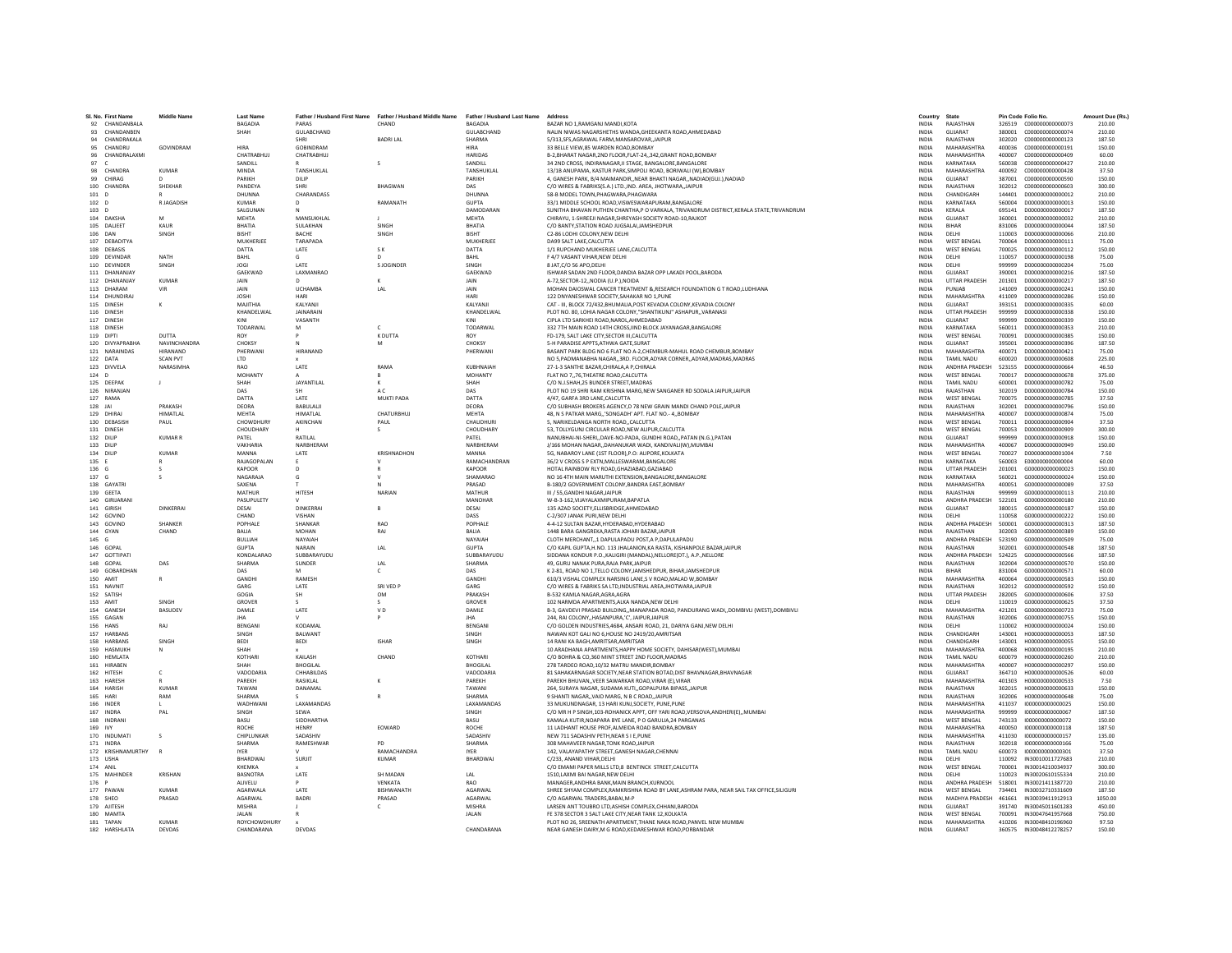|           | SI, No. First Name | <b>Middle Name</b> | <b>Last Name</b>    | Father / Husband First Name | Father / Husband Middle Name | Father / Husband Last Name   | Address                                                                                                     | Country               | State                 |        | Pin Code Folio No       | Amount Due (Rs. |
|-----------|--------------------|--------------------|---------------------|-----------------------------|------------------------------|------------------------------|-------------------------------------------------------------------------------------------------------------|-----------------------|-----------------------|--------|-------------------------|-----------------|
| 92        | CHANDANBALA        |                    | BAGADIA             |                             | CHAND                        | <b>BAGADIA</b>               | BAZAR NO 1.RAMGANJ MANDI.KOT/                                                                               | <b>INDIA</b>          | RAJASTHAN             |        |                         | 210.00          |
|           | 93 CHANDANREN      |                    | SHAH                | <b>GUI ARCHAND</b>          |                              | <b>GUI ARCHAND</b>           | NALIN NIWAS NAGARSHETHS WANDA, GHEEKANTA ROAD, AHMEDABAD                                                    | <b>INDIA</b>          | GUIARAT               |        |                         | 210.00          |
| 94        | CHANDRAKALA        |                    |                     | SHRI                        | <b>BADRITAL</b>              | SHARMA                       | 5/313.SFS.AGRAWAL FARM.MANSAROVAR.JAIPUR                                                                    | <b>INDIA</b>          | RAIASTHAN             | 302020 | C000000000000123        | 187.50          |
| 95        | CHANDRU            | GOVINDRAM          | <b>HIRA</b>         | <b>GOBINDRAM</b>            |                              | <b>HIRA</b>                  | 33 BELLE VIEW.85 WARDEN ROAD.BOMBAY                                                                         | <b>INDIA</b>          | MAHARASHTRA           | 400036 | C000000000000191        | 150.00          |
|           | 96 CHANDRALAXM     |                    | CHATRABHUJ          | CHATRABHUJ                  |                              | <b>HARIDAS</b>               | B-2, BHARAT NAGAR, 2ND FLOOR, FLAT-24,, 342, GRANT ROAD, BOMBAY                                             | INDIA                 | MAHARASHTRA           | 400007 | C000000000000409        | 60.00           |
| 97        | $\epsilon$         |                    | SANDILL             |                             |                              | SANDILL                      | 34 2ND CROSS, INDIRANAGAR II STAGE, BANGALORE BANGALORE                                                     | <b>INDIA</b>          | KARNATAKA             | 560038 | 0000000000000427        | 210.00          |
|           | 98 CHANDRA         | <b>KUMAR</b>       | <b>MINDA</b>        | TANSHUKLAI                  |                              | TANSHUKLAI                   | 13/1B ANUPAMA, KASTUR PARK, SIMPOLI ROAD, BORIWALI (W), BOMBAY                                              | <b>INDIA</b>          | <b>MAHARASHTRA</b>    | 400092 | C000000000000428        | 37.50           |
| 99        | CHIRAG             |                    | PARIKH              | DILIP                       |                              | PARIKH                       | 4, GANESH PARK, B/4 MAIMANDIR, NEAR BHAKTI NAGAR, NADIAD(GUJ.), NADIAD                                      | INDIA                 | <b>GUJARAT</b>        | 387001 | C000000000000590        | 150.00          |
|           | 100 CHANDRA        | SHEKHAR            | PANDEYA             | SHRI                        | BHAGWAN                      | DAS                          | C/O WIRES & FABRIKS(S.A.) LTD., IND. AREA, JHOTWARA, JAIPUR                                                 | <b>INDIA</b>          | RAJASTHAN             | 302012 | C000000000000603        | 300.00          |
| 101       | $\sqrt{2}$         |                    | DHUNNA              | CHARANDASS                  |                              | DHUNNA                       | 58-R MODEL TOWN PHAGWARA PHAGWARA                                                                           | <b>INDIA</b>          | CHANDIGARH            | 144401 | 0000000000000012        | 210.00          |
| 102       | $\overline{D}$     | R JAGADISH         | <b>KUMAR</b>        |                             | RAMANATH                     | <b>GUPTA</b>                 | 33/1 MIDDLE SCHOOL ROAD, VISWESWARAPURAM, BANGALORE                                                         | INDIA                 | KARNATAKA             | 560004 | D000000000000013        | 150.00          |
| 103 D     |                    |                    | SALGUNAN            |                             |                              | DAMODARAN                    | SUNITHA BHAVAN PUTHEN CHANTHA.P O VARKALA, TRIVANDRUM DISTRICT.KERALA STATE.TRIVANDRUM                      | <b>INDIA</b>          | KERALA                | 695141 | D00000000000017         | 187.50          |
|           | 104 DAKSH/         | M                  | <b>MEHTA</b>        | MANSUKHLAI                  |                              | <b>MEHTA</b>                 | CHIRAYU, 1-SHREEJI NAGAR, SHREYASH SOCIETY ROAD-10, RAJKOT                                                  | <b>INDIA</b>          | GUJARAT               | 360001 | D000000000000032        | 210.00          |
|           | 105 DALIEET        | KAUR               | RHATIA              | <b>SUI AKHAN</b>            | <b>SINGH</b>                 | <b>BHATIA</b>                | C/O BANTY.STATION ROAD JUGSALAI JAMSHEDPUR                                                                  | <b>INDIA</b>          | <b>RIHAR</b>          | 831006 | 0000000000000044        | 187.50          |
| 106       | DAN                | <b>SINGH</b>       | RICHT               | <b>BACHE</b>                | SINGH                        | <b>RISHT</b>                 | C2-86 LODHI COLONY.NEW DELHI                                                                                | <b>INDIA</b>          | <b>DELHI</b>          | 110003 | D00000000000066         | 210.00          |
|           | 107 DEBADITYA      |                    | MUKHERJEE           | TARAPADA                    |                              | <b>MUKHERJEE</b>             | DA99 SALT LAKE, CALCUTTA                                                                                    | <b>INDIA</b>          | <b>WEST BENGAL</b>    | 700064 | D00000000000111         | 75.00           |
|           | 108 DEBASIS        |                    | DATTA               | LATE                        | S K                          | DATTA                        | 1/1 RUPCHAND MUKHERJEE LANE.CALCUTTA                                                                        | <b>INDIA</b>          | <b>WEST BENGAL</b>    | 700025 | 0000000000000112        | 150.00          |
|           |                    | NATH               |                     | G                           | $\mathsf{D}$                 | BAHL                         |                                                                                                             | <b>INDIA</b>          |                       | 110057 |                         |                 |
|           | 109 DEVINDAR       |                    | BAHL                |                             |                              |                              | F 4/7 VASANT VIHAR, NEW DELHI                                                                               |                       | DELHI                 |        | D000000000000198        | 75.00           |
|           | 110 DEVINDER       | SINGH              | <b>JOGI</b>         | LATE                        | S JOGINDER                   | SINGH                        | 8 JAT, C/O 56 APO, DELHI                                                                                    | INDIA                 | DELHI                 | 999999 | D00000000000204         | 75.00           |
|           | 111 DHANANJAY      |                    | GAEKWAD             | LAXMANRAO                   |                              | GAEKWAD                      | ISHWAR SADAN 2ND FLOOR, DANDIA BAZAR OPP LAKADI POOL, BARODA                                                | <b>INDIA</b>          | GUJARAT               | 390001 | D00000000000216         | 187.50          |
|           | 112 DHANANJAY      | <b>KUMAR</b>       | JAIN                | D.                          |                              | JAIN                         | A-72.SECTOR-12., NODIA (U.P.), NOIDA                                                                        | <b>INDIA</b>          | <b>UTTAR PRADESH</b>  | 201301 | D00000000000217         | 187.50          |
|           | 113 DHARAM         | VIR                | JAIN                | <b>UCHAMBA</b>              | LAL                          | JAIN                         | MOHAN DAIOSWAL CANCER TREATMENT & RESEARCH FOUNDATION G T ROAD, LUDHIANA                                    | <b>INDIA</b>          | PUNJAB                | 141009 | D000000000000241        | 150.00          |
|           | 114 DHUNDIRAJ      |                    | <b>JOSH</b>         | <b>HARI</b>                 |                              | HARI                         | 122 DNYANESHWAR SOCIETY.SAHAKAR NO 1.PUNE                                                                   | <b>INDIA</b>          | MAHARASHTRA           | 411009 | D00000000000286         | 150.00          |
|           | 115 DINESH         |                    | MAJITHIA            | KALYANJI                    |                              | KALYANJI                     | CAT - III, BLOCK 72/432, BHUMALIA, POST KEVADIA COLONY, KEVADIA COLONY                                      | <b>INDIA</b>          | GUJARAT               | 393151 | D000000000000335        | 60.00           |
|           | 116 DINESH         |                    | KHANDELWAL          | <b>JAINARAIN</b>            |                              | KHANDELWAL                   | PLOT NO. 80. LOHIA NAGAR COLONY."SHANTIKUNJ" ASHAPUR., VARANASI                                             | <b>INDIA</b>          | <b>UTTAR PRADESH</b>  | 999999 | D000000000000338        | 150.00          |
|           | 117 DINESH         |                    | KINI                | VASANTH                     |                              | KINI                         | CIPLA LTD SARKHEI ROAD, NAROL, AHMEDABAD                                                                    | <b>INDIA</b>          | GUIARAT               | 999999 | D000000000000339        | 150.00          |
|           | 118 DINESH         |                    | TODARWAL            |                             |                              | TODARWAL                     | 332 7TH MAIN ROAD 14TH CROSS, IIND BLOCK JAYANAGAR, BANGALORE                                               | <b>INDIA</b>          | KARNATAKA             | 560011 | D000000000000353        | 210.00          |
|           | 119 DIPTI          | DUTTA              | <b>ROY</b>          |                             | K DUTTA                      | <b>ROY</b>                   | FD-179. SALT LAKE CITY.SECTOR III.CALCUTTA                                                                  | <b>INDIA</b>          | <b>WEST BENGAL</b>    | 700091 | D000000000000385        | 150.00          |
|           | 120 DIVYAPRABHA    | NAVINCHANDRA       | CHOKSY              | $\mathbf N$                 | M                            | CHOKSY                       | 5-H PARADISE APPTS, ATHWA GATE, SURAT                                                                       | <b>INDIA</b>          | <b>GUIARAT</b>        | 395001 | D000000000000396        | 187.50          |
|           | 121 NARAINDAS      | <b>HIRANAND</b>    | PHERWAN             | HIRANAND                    |                              | PHERWANI                     | BASANT PARK BLDG NO 6 FLAT NO A-2, CHEMBUR-MAHUL ROAD CHEMBUR, BOMBAY                                       | <b>INDIA</b>          | MAHARASHTRA           | 400071 | D00000000000421         | 75.00           |
|           | 122 DATA           | <b>SCAN PVT</b>    | LTD                 |                             |                              |                              | NO 5, PADMANABHA NAGAR, 3RD. FLOOR, ADYAR CORNER, ADYAR, MADRAS, MADRAS                                     | INDIA                 | TAMIL NADU            | 600020 | D00000000000608         | 225.00          |
|           | 123 DIVVELA        | NARASIMHA          | RAO                 | LATE                        | RAMA                         | KUBHNAIAH                    | 27-1-3 SANTHE BAZAR CHIRALA A P.CHIRALA                                                                     | <b>INDIA</b>          | <b>ANDHRA PRADESH</b> | 523155 | D000000000000664        | 46.50           |
| $124$ D   |                    |                    | MOHANTY             |                             | $\mathsf{R}$                 | <b>MOHANTY</b>               | FLAT NO 776.THEATRE ROAD.CALCUTTA                                                                           | <b>INDIA</b>          | <b>WEST RENGAL</b>    | 700017 | 0000000000000678        | 375.00          |
|           | 125 DEEPAK         | $\mathsf J$        | SHAH                | <b>JAYANTILAL</b>           | K                            | SHAH                         | C/O N.J.SHAH, 25 BUNDER STREET, MADRAS                                                                      | <b>INDIA</b>          | TAMIL NADU            | 600001 | D00000000000782         | 75.00           |
|           | 126 NIRANJAN       |                    | DAS                 |                             | A C                          | DAS                          | PLOT NO 19 SHRI RAM KRISHNA MARG, NEW SANGANER RD SODALA JAIPUR, JAIPUR                                     | <b>INDIA</b>          | RAJASTHAN             | 302019 | D00000000000784         | 150.00          |
|           | 127 RAMA           |                    | DATTA               | <b>IATF</b>                 | MUKTI PADA                   | DATTA                        | 4/47 GAREA 3RD LANE CALCUTTA                                                                                | <b>INDIA</b>          | <b>WEST RENGAL</b>    | 700075 | 0000000000000785        | 37.50           |
|           |                    | PRAKASH            | DEORA               | <b>BARULALII</b>            |                              | DEORA                        |                                                                                                             | <b>INDIA</b>          | RAJASTHAN             | 302001 | D00000000000796         | 150.00          |
| 128 JAI   |                    |                    |                     |                             |                              |                              | C/O SUBHASH BROKERS AGENCY, D 78 NEW GRAIN MANDI CHAND POLE, JAIPUR                                         |                       |                       |        |                         |                 |
|           | 129 DHIRAJ         | <b>HIMATLAL</b>    | MEHTA               | <b>HIMATLAL</b>             | CHATURBHUJ                   | MEHTA                        | 48. N S PATKAR MARG'SONGADH' APT. FLAT NO.- 4., BOMBAY                                                      | <b>INDIA</b>          | MAHARASHTRA           | 400007 | D00000000000874         | 75.00           |
|           | 130 DEBASISH       | PAUL               | <b>CHOWDHURY</b>    | AKINCHAN                    | PAUL                         | CHAUDHURI                    | 5. NARIKELDANGA NORTH ROADCALCUTTA                                                                          | <b>INDIA</b>          | <b>WEST BENGAL</b>    | 700011 | D00000000000904         | 37.50           |
|           | 131 DINESH         |                    | CHOUDHARY           |                             | $\sim$                       | CHOUDHARY                    | 53. TOLLYGUNJ CIRCULAR ROAD.NEW ALIPUR.CALCUTTA                                                             | <b>INDIA</b>          | <b>WEST BENGAL</b>    | 700053 | D00000000000909         | 300.00          |
|           | 132 DILIP          | <b>KUMAR R</b>     | PATFI               | <b>RATILAL</b>              |                              | PATFI                        | NANUBHAI-NI-SHERI,,DAVE-NO-PADA, GUNDHI ROAD,,PATAN (N.G.),PATAN                                            | <b>INDIA</b>          | <b>GUJARAT</b>        | 999999 | 0000000000000918        | 150.00          |
| 133 DILIP |                    |                    | VAKHARIA            | NARBHERAM                   |                              | NARBHERAM                    | J/166 MOHAN NAGAR, DAHANUKAR WADI, KANDIVALI(W), MUMBA                                                      | <b>INDIA</b>          | <b>MAHARASHTRA</b>    | 400067 | D00000000000949         | 150.00          |
| 134 DILIP |                    | <b>KUMAR</b>       | MANNA               | LATE                        | KRISHNADHON                  | MANNA                        | 5G. NABAROY LANE (1ST FLOOR).P.O: ALIPORE.KOLKATA                                                           | <b>INDIA</b>          | <b>WEST BENGAL</b>    | 700027 | D000000000001004        | 7.50            |
| 135 F     |                    | R                  | <b>RAIAGOPALAN</b>  | F.                          | $\mathbf{v}$                 | RAMACHANDRAN                 | 36/2 V CROSS S P EXTN MALLESWARAM RANGALORE                                                                 | <b>INDIA</b>          | KARNATAKA             | 560003 | E0000000000000004       | 60.00           |
| 136       | G                  |                    | KAPOOF              |                             |                              | KAPOOR                       | HOTAL RAINBOW RLY ROAD, GHAZIABAD, GAZIABAD                                                                 | INDIA                 | <b>UTTAR PRADESH</b>  | 201001 | G000000000000023        | 150.00          |
| 137 G     |                    |                    | NAGARAJ/            |                             |                              | SHAMARAC                     | NO 16 4TH MAIN MARUTHI EXTENSION.BANGALORE.BANGALORE                                                        | <b>INDIA</b>          | KARNATAKA             | 560021 | G000000000000024        | 150.00          |
|           | 138 GAYATRI        |                    | SAXENA              |                             | N                            | PRASAD                       | B-180/2 GOVERNMENT COLONY, BANDRA EAST, BOMBAY                                                              | <b>INDIA</b>          | MAHARASHTRA           | 400051 | G000000000000089        | 37.50           |
|           | 139 GEETA          |                    | MATHUR              | HITESH                      | NARIAN                       | MATHUR                       | III / 55.GANDHI NAGAR.JAIPUR                                                                                | <b>INDIA</b>          | RAIASTHAN             | 999999 | G000000000000113        | 210.00          |
|           | 140 GIRIJARAN      |                    | PASUPULETY          |                             |                              | MANOHAR                      | W-B-3-162, VIJAYALAXMIPURAM, BAPATLA                                                                        | <b>INDIA</b>          | ANDHRA PRADESH        | 522101 | G000000000000180        | 210.00          |
|           | 141 GIRISH         | <b>DINKERRAI</b>   | DESAI               | DINKERRA                    |                              | DESAI                        | 135 AZAD SOCIETY, ELLISBRIDGE, AHMEDABAD                                                                    | <b>INDIA</b>          | GUJARAT               | 380015 | G000000000000187        | 150.00          |
|           | 142 GOVIND         |                    | CHAND               | VISHAN                      |                              | DASS                         | C-2/307 JANAK PURI.NEW DELHI                                                                                | <b>INDIA</b>          | DELHI                 | 110058 | 6000000000000222        | 150.00          |
|           | 143 GOVIND         | SHANKER            | POPHALE             | SHANKAR                     | RAO                          | POPHALE                      | 4-4-12 SULTAN BAZAR.HYDERABAD.HYDERABAD                                                                     | INDIA                 | ANDHRA PRADESH        | 500001 | G000000000000313        | 187.50          |
|           | 144 GYAN           | CHAND              | <b>BALIA</b>        | <b>MOHAN</b>                | RAJ                          | <b>BALLA</b>                 | 1448 BARA GANGREKA, RASTA JOHARI BAZAR, JAIPUI                                                              | INDIA                 | RAJASTHAN             | 302003 | G000000000000389        | 150.00          |
| 145 G     |                    |                    | <b>BULLIAH</b>      | NAYAIAH                     |                              | NAYAIAH                      | CLOTH MERCHANT1 DAPULAPADU POST.A P.DAPULAPADU                                                              | <b>INDIA</b>          | ANDHRA PRADESH        | 523190 | G000000000000509        | 75.00           |
|           | 146 GOPAL          |                    | <b>GUPTA</b>        | NARAIN                      | LAL                          | <b>GUPTA</b>                 | C/O KAPIL GUPTA.H.NO. 113 JHALANION.KA RASTA, KISHANPOLE BAZAR JAIPUR                                       | <b>INDIA</b>          | RAJASTHAN             | 302001 | G000000000000548        | 187.50          |
|           | 147 GOTTIPAT       |                    | KONDALARAC          | SUBBARAYUDU                 |                              |                              |                                                                                                             |                       | ANDHRA PRADESH        | 524225 | G000000000000566        | 187.50          |
|           | 148 GOPA           | DAS                | SHARMA              | SUNDER                      | LAL                          | SUBBARAYUDU<br><b>SHARMA</b> | SIDDANA KONDUR P.O., KALIGIRI (MANDAL), NELLORE(DT.), A.P., NELLORE<br>49. GURU NANAK PURA RAJA PARK JAIPUR | INDIA<br><b>INDIA</b> | RAJASTHAN             | 302004 | G000000000000570        | 150.00          |
|           |                    |                    | DAS                 |                             |                              | DAS                          |                                                                                                             |                       | BIHAR                 | 831004 | G000000000000571        | 60.00           |
|           | 149 GOBARDHAN      |                    |                     |                             | c                            |                              | K 2-81, ROAD NO 1, TELLO COLONY, JAMSHEDPUR, BIHAR, JAMSHEDPUR                                              | INDIA                 |                       |        |                         |                 |
|           | 150 AMIT           | R                  | GANDHI              | RAMESH                      |                              | <b>GANDHI</b>                | 610/3 VISHAL COMPLEX NARSING LANE.S V ROAD.MALAD W.BOMBAY                                                   | <b>INDIA</b>          | MAHARASHTRA           | 400064 | 6000000000000583        | 150.00          |
|           | 151 NAVNIT         |                    | GARG                | LATE                        | SRI VED P                    | GARG                         | C/O WIRES & FABRIKS SA LTD, INDUSTRIAL AREA, JHOTWARA, JAIPUR                                               | <b>INDIA</b>          | RAJASTHAN             | 302012 | G000000000000592        | 150.00          |
|           | 152 SATISH         |                    | GOGIA               | <b>SH</b>                   | <b>OM</b>                    | PRAKASH                      | B-532 KAMLA NAGAR.AGRA.AGRA                                                                                 | <b>INDIA</b>          | <b>UTTAR PRADESH</b>  | 282005 | G000000000000606        | 37.50           |
|           | 153 AMIT           | SINGH              | GROVER              | -S                          | $\mathcal{S}$                | GROVER                       | 102 NARMDA APARTMENTS.ALKA NANDA.NEW DELHI                                                                  | <b>INDIA</b>          | DELHI                 | 110019 | 6000000000000625        | 37.50           |
|           | 154 GANESH         | <b>BASUDEV</b>     | DAMLE               | LATE                        | V <sub>D</sub>               | DAMLE                        | B-3, GAVDEVI PRASAD BUILDING,,MANAPADA ROAD, PANDURANG WADI,,DOMBIVLI (WEST),DOMBIVLI                       | <b>INDIA</b>          | MAHARASHTRA           | 421201 | 6000000000000723        | 75.00           |
|           | 155 GAGAN          |                    | <b>IHA</b>          |                             |                              | <b>JHA</b>                   | 244, RAI COLONY, HASANPURA, 'C', JAIPUR, JAIPUR                                                             | <b>INDIA</b>          | RAJASTHAN             | 302006 | G000000000000755        | 150.00          |
|           | 156 HANS           | RAI                | BENGAN              | KODAMA                      |                              | BENGAN                       | C/O GOLDEN INDUSTRIES, 4684, ANSARI ROAD, 21, DARIYA GANJ, NEW DELHI                                        | <b>INDIA</b>          | DELHI                 | 110002 | H00000000000024         | 150.00          |
|           | 157 HARBANS        |                    | SINGH               | BALWANT                     |                              | SINGH                        | NAWAN KOT GALI NO 6.HOUSE NO 2419/20.AMRITSAR                                                               | <b>INDIA</b>          | CHANDIGARH            | 143001 | H000000000000053        | 187.50          |
|           | 158 HARRANS        | SINGH              | <b>REDI</b>         | <b>BEDI</b>                 | <b>ISHAR</b>                 | <b>SINGH</b>                 | 14 RANI KA BAGH.AMRITSAR.AMRITSAR                                                                           | <b>INDIA</b>          | CHANDIGARH            | 143001 | H000000000000055        | 150.00          |
|           | 159 HASMUKH        |                    | SHAH                |                             |                              |                              | 10 ARADHANA APARTMENTS, HAPPY HOME SOCIETY, DAHISAR(WEST), MUMBAI                                           | INDIA                 | MAHARASHTRA           | 400068 | H000000000000195        | 210.00          |
|           | 160 HEMLATA        |                    | KOTHARI             | KAILASH                     | CHAND                        | KOTHAR                       | C/O BOHRA & CO,360 MINT STREET 2ND FLOOR, MADRAS                                                            | <b>INDIA</b>          | TAMIL NADU            | 600079 | H00000000000260         | 210.00          |
|           | 161 HIRAREN        |                    | SHAH                | <b>BHOGILAL</b>             |                              | <b>BHOGILAL</b>              | 278 TARDEO ROAD 10/32 MATRU MANDIR ROMRAY                                                                   | <b>INDIA</b>          | MAHARASHTRA           | 400007 | H000000000000297        | 150.00          |
|           | 162 HITESH         | c                  | VADODARIA           | CHHABILDAS                  |                              | VADODARIA                    | 81 SAHAKARNAGAR SOCIETY, NEAR STATION BOTAD, DIST BHAVNAGAR, BHAVNAGAR                                      | <b>INDIA</b>          | <b>GUIARAT</b>        | 364710 | H000000000000526        | 60.00           |
|           | 163 HARESH         |                    | PAREKH              | RASIKLAL                    |                              | PAREKH                       | PAREKH BHUVANVEER SAWARKAR ROAD.VIRAR (E).VIRAF                                                             | <b>INDIA</b>          | MAHARASHTRA           | 401303 | H000000000000533        | 7.50            |
|           | 164 HARISH         | KUMAR              | TAWANI              | DANAMAL                     |                              | TAWANI                       | 264, SURAYA NAGAR, SUDAMA KUTI,, GOPALPURA BIPASS, JAIPUR                                                   | INDIA                 | RAJASTHAN             | 302015 | H000000000000633        | 150.00          |
|           | 165 HARI           | RAM                | SHARMA              | s.                          |                              | <b>SHARMA</b>                | 9 SHANTI NAGAR., VAID MARG. N B C ROAD. JAIPUR                                                              | <b>INDIA</b>          | RAJASTHAN             | 302006 | H000000000000648        | 75.00           |
|           | 166 INDER          |                    | <b>WADHWAN</b>      | LAXAMANDAS                  |                              | LAXAMANDAS                   | 33 MUKUNDNAGAR, 13 HARI KUNJ, SOCIETY, PUNE, PUNE                                                           | <b>INDIA</b>          | <b>MAHARASHTRA</b>    | 411037 | 1000000000000025        | 150.00          |
|           | 167 INDRA          | PAL                | SINGH               | SEWA                        |                              | SINGH                        | C/O MR H P SINGH, 103-ROHANICK APPT, OFF YARI ROAD, VERSOVA, ANDHERI(E), , MUMBA                            | INDIA                 | MAHARASHTRA           | 999999 | 100000000000067         | 187.50          |
|           | 168 INDRAN         |                    | BASU                | SIDDHARTHA                  |                              | <b>BASU</b>                  | KAMALA KUTIR.NOAPARA BYE LANE. P O GARULIA.24 PARGANAS                                                      | <b>INDIA</b>          | <b>WEST BENGAL</b>    | 743133 | 1000000000000072        | 150.00          |
| 169 IVY   |                    |                    | <b>ROCHE</b>        | <b>HFNRY</b>                | <b>FOWARD</b>                | <b>ROCHE</b>                 | 11 LADHANT HOUSE PROF ALMEIDA ROAD BANDRA ROMBAY                                                            | <b>INDIA</b>          | MAHARASHTRA           | 400050 | 1000000000000118        | 187.50          |
|           | 170 INDUMATI       |                    | CHIPLUNKAR          | SADASHIV                    |                              | SADASHIV                     | NEW 711 SADASHIV PETH, NEAR S I E, PUNE                                                                     | INDIA                 | MAHARASHTRA           | 411030 | 1000000000000157        | 135.00          |
|           | 171 INDRA          |                    | SHARMA              | RAMESHWAR                   | PD                           | SHARMA                       | 308 MAHAVEER NAGAR TONK ROAD JAIPUI                                                                         | <b>INDIA</b>          | RAJASTHAN             | 302018 | 1000000000000166        | 75.00           |
|           | 172 KRISHNAMURTHY  |                    | <b>IYER</b>         |                             | RAMACHANDRA                  | <b>IYER</b>                  | 142, VALAYAPATHY STREET, GANESH NAGAR, CHENNAI                                                              | <b>INDIA</b>          | <b>TAMIL NADU</b>     | 600073 | 1000000000000301        | 37.50           |
|           | 173 USHA           |                    | RHARDWA             | SURIT                       | <b>KUMAR</b>                 | <b>BHARDWAI</b>              | C/233, ANAND VIHAR, DELHI                                                                                   | <b>INDIA</b>          | <b>DELHI</b>          | 110092 | IN30010011727683        | 210.00          |
| 174 ANIL  |                    |                    | KHFMKA              |                             |                              |                              | C/O EMAMI PAPER MILLS LTD,8 BENTINCK STREET, CALCUTTA                                                       | <b>INDIA</b>          | <b>WEST BENGAL</b>    | 700001 | IN30014210034937        | 300.00          |
|           |                    | KRISHAN            | <b>BASNOTRA</b>     | LATE                        | SH MADAN                     | LAL                          |                                                                                                             |                       |                       | 110023 | IN30020610155334        | 210.00          |
|           | 175 MAHINDER       |                    |                     |                             |                              |                              | 1510, LAXMI BAI NAGAR, NEW DELHI                                                                            | <b>INDIA</b>          | DELHI                 |        |                         |                 |
| 176 F     |                    |                    | ALIVELU             |                             | VENKATA                      | <b>RAO</b>                   | MANAGER.ANDHRA BANK.MAIN BRANCH.KURNOOL                                                                     | <b>INDIA</b>          | ANDHRA PRADESH        | 518001 | IN30021411387720        | 210.00          |
|           | 177 PAWAN          | KUMAR              | <b>AGARWAL</b>      | <b>LATE</b>                 | BISHWANATH                   | AGARWAI                      | SHREE SHYAM COMPLEX, RAMKRISHNA ROAD BY LANE, ASHRAM PARA, NEAR SAIL TAX OFFICE, SILIGURI                   | <b>INDIA</b>          | <b>WEST BENGAL</b>    | 734401 | IN30032710331609        | 187.50          |
|           | 178 SHEO           | PRASAD             | AGARWAL             | <b>BADRI</b>                | PRASAD                       | AGARWAI                      | C/O AGARWAL TRADERS, BABAI, M-P                                                                             | INDIA                 | MADHYA PRADESH        | 461661 | IN30039411912913        | 1050.00         |
|           | 179 AJITESH        |                    | MISHRA              |                             | $\mathsf{C}$                 | <b>MISHRA</b>                | LARSEN ANT TOUBRO LTD.ASHISH COMPLEX.CHHANI.BARODA                                                          | <b>INDIA</b>          | GUIARAT               | 391740 | IN30045011601283        | 450.00          |
|           | 180 MAMTA          |                    | <b>JALAN</b>        |                             |                              | <b>JALAN</b>                 | FE 378 SECTOR 3 SALT LAKE CITY.NEAR TANK 12.KOLKATA                                                         | <b>INDIA</b>          | <b>WEST BENGAL</b>    |        | 700091 IN30047641957668 | 750.00          |
|           | 181 TAPAN          | KUMAR              | <b>ROYCHOWDHURY</b> |                             |                              |                              | PLOT NO 26. SREENATH APARTMENT. THANE NAKA ROAD.PANVEL NEW MUMBAI                                           | <b>INDIA</b>          | MAHARASHTRA           |        | 410206 IN30048410196960 | 97.50           |
|           | 182 HARSHLATA      | DEVDAS             | CHANDARANA          | DEVDAS                      |                              | CHANDARANA                   | NEAR GANESH DAIRY.M G ROAD.KEDARESHWAR ROAD.PORBANDAR                                                       | <b>INDIA</b>          | GUJARAT               | 360575 | IN30048412278257        | 150.00          |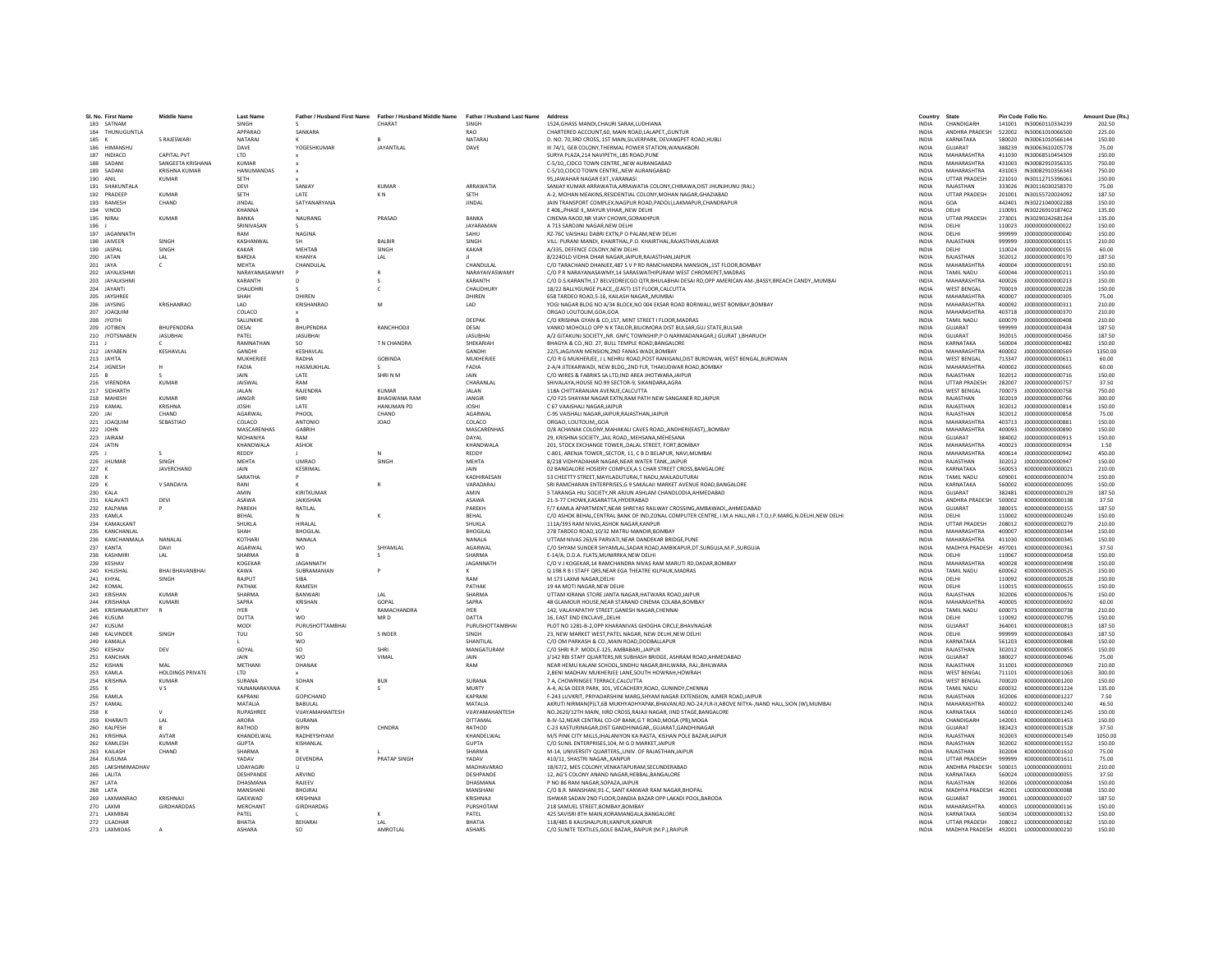| SL No. First Name                 | <b>Middle Name</b>      | <b>Last Name</b>           |                                  | Father / Husband First Name Father / Husband Middle Name Father / Husband Last Name |                           | Address                                                                                                                                   | Country                      | State                             |                  | Pin Code Folio No.                         | Amount Due (Rs.) |
|-----------------------------------|-------------------------|----------------------------|----------------------------------|-------------------------------------------------------------------------------------|---------------------------|-------------------------------------------------------------------------------------------------------------------------------------------|------------------------------|-----------------------------------|------------------|--------------------------------------------|------------------|
| 183 SATNAM                        |                         | SINGH                      |                                  | CHARAT                                                                              | SINGH                     | 1524.GHASS MANDI.CHAURI SARAK.LUDHIANA                                                                                                    | <b>INDIA</b>                 | CHANDIGARH                        |                  | 141001 IN30060110334239                    | 202.50           |
| 184 THUNUGUNTLA                   |                         | <b>APPARAO</b>             | SANKARA                          |                                                                                     | <b>RAO</b>                | CHARTERED ACCOUNT.60, MAIN ROAD.LALAPETGUNTUR                                                                                             | INDIA                        | <b>ANDHRA PRADESH</b>             |                  | 522002 IN30061010066500                    | 225.00           |
| 185 K                             | S RAJESWARI             | NATARAJ                    |                                  | R                                                                                   | NATARAJ                   | D. NO. 70,3RD CROSS, 1ST MAIN, SILVERPARK, DEVANGPET ROAD, HUBLI                                                                          | <b>INDIA</b>                 | KARNATAKA                         | 580020           | IN30061010566144                           | 150.00           |
| 186 HIMANSHU                      | <b>CAPITAL PVT</b>      | DAVE                       | YOGESHKUMAR                      | <b>JAYANTILAL</b>                                                                   | DAVE                      | III 74/1, GEB COLONY, THERMAL POWER STATION, WANAKBORI                                                                                    | <b>INDIA</b>                 | GUIARAT                           |                  | 388239 IN30063610205778                    | 75.00            |
| 187 INDIACO<br>188 SADANI         | SANGEETA KRISHANA       | <b>LTD</b><br><b>KUMAR</b> |                                  |                                                                                     |                           | SURYA PLAZA.214 NAVIPETHLBS ROAD.PUNE<br>C-5/10CIDCO TOWN CENTRENEW AURANGABAD                                                            | <b>INDIA</b><br><b>INDIA</b> | MAHARASHTRA<br>MAHARASHTRA        | 411030<br>431003 | IN30068510454309<br>IN30082910356335       | 150.00<br>750.00 |
| 189 SADANI                        | <b>KRISHNA KUMAR</b>    | HANUMANDAS                 |                                  |                                                                                     |                           | C-5/10,CIDCO TOWN CENTRE,, NEW AURANGABAD                                                                                                 | <b>INDIA</b>                 | MAHARASHTRA                       | 431003           | IN30082910356343                           | 750.00           |
| 190 ANIL                          | <b>KUMAR</b>            | SETH                       |                                  |                                                                                     |                           | 95, JAWAHAR NAGAR EXT., VARANASI                                                                                                          | INDIA                        | <b>UTTAR PRADESH</b>              | 221010           | IN30112715396061                           | 150.00           |
| 191 SHAKUNTALA                    |                         | DEVI                       | SANJAY                           | <b>KUMAR</b>                                                                        | ARRAWATIA                 | SANJAY KUMAR ARRAWATIA, ARRAWATIA COLONY, CHIRAWA, DIST JHUNJHUNU (RAJ.)                                                                  | <b>INDIA</b>                 | RAJASTHAN                         | 333026           | IN30116030258370                           | 75.00            |
| 192 PRADEEP                       | <b>KUMAR</b>            | SETH                       | LATE                             | KN.                                                                                 | SETH                      | A-2. MOHAN MEAKINS.RESIDENTIAL COLONY.MOHAN NAGAR.GHAZIABAD                                                                               | <b>INDIA</b>                 | <b>UTTAR PRADESH</b>              | 201001           | IN30155720024092                           | 187.50           |
| 193 RAMESH<br>194 VINOD           | CHAND                   | <b>IINDAI</b><br>KHANNA    | SATYANARYANA                     |                                                                                     | <b>JINDAL</b>             | JAIN TRANSPORT COMPLEX, NAGPUR ROAD, PADOLI, LAKMAPUR, CHANDRAPUR<br>E 406, PHASE II, MAYUR VIHAR, NEW DELHI                              | INDIA<br><b>INDIA</b>        | GOA<br>DELHI                      | 442401<br>110091 | IN30221040002288<br>IN30226910187402       | 150.00<br>135.00 |
| 195 NIRAJ                         | <b>KUMAR</b>            | BANKA                      | <b>NAURANG</b>                   | PRASAD                                                                              | BANKA                     | CINEMA RAOD.NR VIJAY CHOWK.GORAKHPUR                                                                                                      | <b>INDIA</b>                 | <b>UTTAR PRADESH</b>              | 273001           | IN30290242681264                           | 135.00           |
| 196 J                             |                         | SRINIVASAN                 |                                  |                                                                                     | JAYARAMAN                 | A 713 SAROJINI NAGAR.NEW DELHI                                                                                                            | <b>INDIA</b>                 | DELHI                             | 110023           | J00000000000022                            | 150.00           |
| 197 IAGANNATH                     |                         | RAM                        | <b>NAGINA</b>                    |                                                                                     | SAHU                      | RZ-76C VAISHALI DABRI EXTN,P O PALAM,NEW DELHI                                                                                            | <b>INDIA</b>                 | DELHI                             | 999999           | 10000000000000040                          | 150.00           |
| 198 JAIVEER                       | SINGH                   | KASHANWAL                  |                                  | BALBIR                                                                              | SINGH                     | VILL: PURANI MANDI, KHAIRTHAL,P.O. KHAIRTHAL,RAJASTHAN,ALWAR                                                                              | INDIA                        | RAJASTHAN                         | 999999           | J000000000000115                           | 210.00           |
| 199 JASPAL                        | SINGH                   | KAKAR                      | <b>MEHTAB</b>                    | SINGH                                                                               | KAKAR                     | A/335. DEFENCE COLONY.NEW DELHI                                                                                                           | <b>INDIA</b>                 | DELHI                             | 110024           | J000000000000155                           | 60.00            |
| 200 JATAN<br>201 IAYA             | LAL.<br>$\sim$          | BARDIA<br><b>MEHTA</b>     | KHANYA<br>CHANDULAI              | LAL                                                                                 | <b>CHANDULAL</b>          | 8/224OLD VIDHA DHAR NAGAR JAIPUR.RAJASTHAN JAIPUR<br>C/O TARACHAND DHANIFE 487 S V P RD RAMCHANDRA MANSION. 1ST FLOOR ROMRAY              | <b>INDIA</b><br><b>INDIA</b> | RAJASTHAN<br>MAHARASHTRA          | 302012<br>400004 | 1000000000000170<br>1000000000000191       | 187.50<br>150.00 |
| 202 JAYALKSHMI                    |                         | NARAYANASAWMY              |                                  |                                                                                     | NARAYAIVASWAMY            | C/O P R NARAYANASAWMY, 14 SARASWATHIPURAM WEST CHROMEPET, MADRAS                                                                          | <b>INDIA</b>                 | <b>TAMIL NADU</b>                 | 600044           | J00000000000211                            | 150.00           |
| 203 JAYALKSHMI                    |                         | KARANTH                    | D                                |                                                                                     | KARANTH                   | C/O D.S.KARANTH.17 BELVEDREICGO OTR.BHULABHAI DESAI RD.OPP AMERICAN AM-.BASSY.BREACH CANDYMUMBAI                                          | <b>INDIA</b>                 | <b>MAHARASHTRA</b>                | 400026           | J00000000000213                            | 150.00           |
| 204 JAYANTI                       |                         | CHAUDHRI                   |                                  | c                                                                                   | CHAUDHURY                 | 18/22 BALLYGUNGE PLACE(EAST) 1ST FLOOR.CALCUTTA                                                                                           | <b>INDIA</b>                 | <b>WEST BENGAL</b>                | 700019           | J000000000000228                           | 150.00           |
| 205 IAYSHREE                      |                         | SHAH                       | DHIREN                           |                                                                                     | DHIREN                    | 658 TARDEO ROAD 5-16, KAILASH NAGAR, MUMBAL                                                                                               | <b>INDIA</b>                 | MAHARASHTRA                       | 400007           | 1000000000000305                           | 75.00            |
| 206 JAYSING                       | KRISHANRAO              | LAD.                       | KRISHANRAO                       | M                                                                                   | LAD                       | YOGI NAGAR BLDG NO A/34 BLOCK, NO 004 EKSAR ROAD BORIWALI, WEST BOMBAY, BOMBAY                                                            | <b>INDIA</b>                 | MAHARASHTRA                       | 400092           | 1000000000000311                           | 210.00           |
| 207 JOAQUIN<br>208 JYOTH          |                         | COLACO<br>SALUNKHE         |                                  |                                                                                     | DEEPAK                    | ORGAO LOUTOLIM, GOA, GOA<br>C/O KRISHNA GYAN & CO.157. MINT STREET I FLOOR, MADRAS                                                        | INDIA<br><b>INDIA</b>        | MAHARASHTRA<br><b>TAMIL NADU</b>  | 403718<br>600079 | J00000000000370<br>J00000000000408         | 210.00<br>210.00 |
| 209 JOTIBEN                       | BHUPENDDRA              | DESAI                      | BHUPENDRA                        | RANCHHODJI                                                                          | DESAI                     | VANKO MOHOLLO OPP N K TAILOR.BILIOMORA DIST BULSAR.GUJ STATE.BULSAR                                                                       | <b>INDIA</b>                 | GUJARAT                           | 999999           | J000000000000434                           | 187.50           |
| 210 JYOTSNABEN                    | <b>JASUBHAI</b>         | PATFI                      | <b>JASUBHAI</b>                  |                                                                                     | <b>IASURHAL</b>           | A/2 GITAKUNJ SOCIETYNR. GNFC TOWNSHIP.P O NARMADANAGAR.( GUJRAT ).BHARUCH                                                                 | <b>INDIA</b>                 | GUIARAT                           | 392015           | 1000000000000456                           | 187.50           |
| 211                               |                         | RAMNATHAN                  |                                  | T N CHANDRA                                                                         | SHEKARIAH                 | BHAGYA & CO., NO. 27, BULL TEMPLE ROAD, BANGALORE                                                                                         | INDIA                        | KARNATAKA                         | 560004           | J000000000000482                           | 150.00           |
| 212 JAYABEN                       | KESHAVLAL               | GANDHI                     | KESHAVLAI                        |                                                                                     | GANDHI                    | 22/5.JAGJIVAN MENSION.2ND FANAS WADI.BOMBAY                                                                                               | <b>INDIA</b>                 | MAHARASHTRA                       | 400002           | J00000000000569                            | 1350.00          |
| 213 JAYITA                        |                         | MUKHERJEE                  | RADHA                            | <b>GOBINDA</b>                                                                      | MUKHERJEE                 | C/O R G MUKHERJEE, J L NEHRU ROAD, POST RANIGANJ, DIST BURDWAN, WEST BENGAL, BURDWAN                                                      | <b>INDIA</b>                 | <b>WEST BENGAL</b>                | 713347           | J000000000000611                           | 60.00            |
| 214 IIGNESH<br>215 B              | H                       | FADIA<br><b>IAIN</b>       | <b>HASMUKHLAL</b><br><b>LATE</b> | SHRINM                                                                              | FADIA<br><b>JAIN</b>      | 2-A/4 JITEKARWADI. NEW BLDG2ND FLR. THAKUDWAR ROAD.BOMBAY<br>C/O WIRES & FABRIKS SA LTD, IND AREA JHOTWARA, JAIPUR                        | <b>INDIA</b><br><b>INDIA</b> | MAHARASHTRA<br>RAIASTHAN          | 400002<br>302012 | 1000000000000665<br>J000000000000716       | 60.00<br>150.00  |
| 216 VIRENDR                       | <b>KUMAR</b>            | <b>JAISWA</b>              | RAM                              |                                                                                     | CHARANLAI                 | SHIVALAYA, HOUSE NO.99 SECTOR-9, SIKANDARA, AGRA                                                                                          | <b>INDIA</b>                 | <b>UTTAR PRADESH</b>              | 282007           | J00000000000757                            | 37.50            |
| 217 SIDHARTH                      |                         | JALAN                      | RAJENDRA                         | <b>KUMAR</b>                                                                        | JALAN                     | 118A CHITTARANJAN AVENUE, CALCUTTA                                                                                                        | INDIA                        | <b>WEST BENGAL</b>                | 700073           | J00000000000758                            | 750.00           |
| 218 MAHFSH                        | KUMAR                   | <b>JANGIR</b>              | SHRI                             | <b>RHAGWANA RAM</b>                                                                 | <b>JANGIR</b>             | C/O F25 SHAYAM NAGAR EXTN.RAM PATH NEW SANGANER RDJAIPUR                                                                                  | <b>INDIA</b>                 | RAIASTHAN                         | 302019           | 1000000000000766                           | 300.00           |
| 219 KAMAL                         | KRISHNA                 | <b>IOSHI</b>               | LATE                             | <b>HANUMAN PD</b>                                                                   | <b>IOSHI</b>              | C 67 VAAISHALI NAGARJAIPUR                                                                                                                | <b>INDIA</b>                 | RAIASTHAN                         | 302012           | 1000000000000814                           | 150.00           |
| 220 JAI<br>221 JOAQUIN            | CHAND<br>SEBASTIAO      | AGARWAL<br>COLACO          | PHOOL<br>ANTONIC                 | CHAND<br><b>JOAO</b>                                                                | AGARWAL<br>COLACO         | C-95 VAISHALI NAGAR, JAIPUR, RAJASTHAN, JAIPUR<br>ORGAO, LOUTOLIMGOA                                                                      | <b>INDIA</b><br><b>INDIA</b> | RAJASTHAN<br>MAHARASHTRA          | 302012<br>403713 | J00000000000858<br>J000000000000881        | 75.00<br>150.00  |
| 222 JOHN                          |                         | MASCARENHAS                | <b>GARRIH</b>                    |                                                                                     | MASCARENHAS               | D/8 ACHANAK COLONY, MAHAKALI CAVES ROAD, , ANDHERI (EAST), BOMBAY                                                                         | <b>INDIA</b>                 | MAHARASHTRA                       | 400093           | 1000000000000890                           | 150.00           |
| 223 IAIRAM                        |                         | MOHANIYA                   | RAM                              |                                                                                     | DAYAL                     | 29. KRISHNA SOCIETY. IAII ROAD, MEHSANA MEHESANA                                                                                          | <b>INDIA</b>                 | GUIARAT                           | 384002           | 1000000000000913                           | 150.00           |
| 224 JATIN                         |                         | <b>KHANDWALA</b>           | <b>ASHOK</b>                     |                                                                                     | KHANDWALA                 | 201. STOCK EXCHANGE TOWER. DALAL STREET, FORT, BOMBAY                                                                                     | <b>INDIA</b>                 | MAHARASHTRA                       | 400023           | 1000000000000934                           | 1.50             |
| 225                               |                         | REDDY                      |                                  |                                                                                     | REDDY                     | C-801, ARENJA TOWER, SECTOR, 11, C B D BELAPUR, NAVI, MUMBAI                                                                              | <b>INDIA</b>                 | MAHARASHTRA                       | 400614           | J00000000000942                            | 450.00           |
| 226 JHUMAR                        | SINGH                   | <b>MEHTA</b>               | <b>UMRAO</b>                     | SINGH                                                                               | MEHTA                     | 8/218 VIDHYADAHAR NAGAR, NEAR WATER TANK, JAIPUR                                                                                          | <b>INDIA</b>                 | RAJASTHAN                         | 302012           | J00000000000947                            | 150.00           |
| 227 K                             | JAVERCHAND              | <b>JAIN</b>                | KESRIMAI                         |                                                                                     | <b>JAIN</b>               | 02 BANGALORE HOSIERY COMPLEX A S CHAR STREET CROSS BANGALORE                                                                              | <b>INDIA</b>                 | KARNATAKA                         | 560053           | K000000000000021                           | 210.00           |
| 228<br>$\mathbf{K}$<br>229 K      | V SANDAYA               | SARATHA<br>RANI            |                                  |                                                                                     | KADHIRAESAN<br>VARADARAJ  | 53 CHEETTY STREET, MAYILADUTURAI, T NADU, MAILADUTURAI<br>SRI RAMCHARAN ENTERPRISES.G 9 SAKALAJI MARKET AVENUE ROAD.BANGALORE             | <b>INDIA</b><br><b>INDIA</b> | <b>TAMIL NADLI</b><br>KARNATAKA   | 609001<br>560002 | K000000000000074<br>K000000000000095       | 150.00<br>150.00 |
| 230 KALA                          |                         | AMIN                       | KIRITKUMAR                       |                                                                                     | AMIN                      | 5 TARANGA HILI SOCIETY, NR ARJUN ASHLAM CHANDLODIA, AHMEDABAD                                                                             | INDIA                        | GUJARAT                           | 382481           | K000000000000129                           | 187.50           |
| 231 KALAVATI                      | DEVI                    | <b>ASAWA</b>               | <b>JAIKISHAN</b>                 |                                                                                     | ASAWA                     | 21-3-77 CHOWK.KASARATTA.HYDERABAD                                                                                                         | <b>INDIA</b>                 | ANDHRA PRADESH                    | 500002           | K000000000000138                           | 37.50            |
| 232 KALPANA                       |                         | PARFKH                     | RATILAL                          |                                                                                     | PARFKH                    | F/7 KAMLA APARTMENT.NEAR SHREYAS RAILWAY CROSSING.AMBAWADIAHMEDABAD                                                                       | <b>INDIA</b>                 | GUJARAT                           | 380015           | K000000000000155                           | 187.50           |
| 233 KAMLA                         |                         | BEHAL                      |                                  |                                                                                     | BEHAL                     | C/O ASHOK BEHAL, CENTRAL BANK OF IND, ZONAL COMPUTER CENTRE, I.M.A HALL, NR-I.T.O, I.P. MARG, N.DELHI, NEW DELHI                          | <b>INDIA</b>                 | DELHI                             | 110002           | K000000000000249                           | 150.00           |
| 234 KAMALKANT                     |                         | SHUKLA                     | <b>HIRALAL</b>                   |                                                                                     | SHUKLA                    | 111A/393 RAM NIVAS.ASHOK NAGAR.KANPUR                                                                                                     | INDIA                        | UTTAR PRADESH                     | 208012           | K00000000000279                            | 210.00           |
| 235 KANCHANLAL<br>236 KANCHANMALA | NANALAL                 | SHAH<br>KOTHARI            | <b>BHOGILAL</b><br>NANALA        |                                                                                     | <b>BHOGILAL</b><br>NANALA | 278 TARDEO ROAD.10/32 MATRU MANDIR.BOMBAY<br>UTTAM NIVAS 263/6 PARVATI.NEAR DANDEKAR BRIDGE.PUNE                                          | <b>INDIA</b><br><b>INDIA</b> | MAHARASHTRA<br>MAHARASHTRA        | 400007<br>411030 | K000000000000344<br>K000000000000345       | 150.00<br>150.00 |
| 237 KANTA                         | DAVI                    | <b>AGARWAI</b>             | <b>WO</b>                        | SHYAMI AI                                                                           | <b>AGARWAI</b>            | C/O SHYAM SUNDER SHYAMLAL SADAR ROAD AMBIKAPUR.DT.SURGUJA.M.P. SURGUJA                                                                    | <b>INDIA</b>                 | MADHYA PRADESH                    | 497001           | K000000000000361                           | 37.50            |
| 238 KASHMIR                       | LAL                     | SHARMA                     |                                  | s                                                                                   | SHARMA                    | E-14/A, D.D.A. FLATS.MUNIRRKA.NEW DELHI                                                                                                   | <b>INDIA</b>                 | DELHI                             | 110067           | K000000000000458                           | 150.00           |
| 239 KESHAV                        |                         | KOGEKAR                    | <b>IAGANNATH</b>                 |                                                                                     | JAGANNATH                 | C/O V J KOGEKAR,14 RAMCHANDRA NIVAS RAM MARUTI RD,DADAR,BOMBAY                                                                            | <b>INDIA</b>                 | MAHARASHTRA                       | 400028           | K0000000000000498                          | 150.00           |
| 240 KHUSHAL                       | <b>BHAI BHAVANBHAI</b>  | KAWA                       | SUBRAMANIAN                      |                                                                                     |                           | O 198 R B I STAFF ORS.NEAR EGA THEATRE KILPAUK.MADRAS                                                                                     | <b>INDIA</b>                 | TAMIL NADU                        | 600062           | K000000000000525                           | 150.00           |
| 241 KHYAL                         | <b>SINGH</b>            | RAIPUT                     | SIRA                             |                                                                                     | RAM                       | M 173 LAXMI NAGAR DELHI                                                                                                                   | <b>INDIA</b>                 | DELHI                             | 110092           | K000000000000528                           | 150.00           |
| 242 KOMAL<br>243 KRISHAN          | KUMAR                   | PATHAK<br>SHARMA           | RAMESH<br>RANWAR                 | IAI                                                                                 | PATHAK<br>SHARMA          | 19 4A MOTI NAGAR, NEW DELHI<br>UTTAM KIRANA STORE JANTA NAGAR, HATWARA ROAD, JAIPUR                                                       | INDIA<br>INDIA               | DELHI<br>RAJASTHAN                | 110015<br>302006 | K000000000000655<br>K000000000000676       | 150.00<br>150.00 |
| 244 KRISHANA                      | <b>KUMARI</b>           | SAPRA                      | KRISHAN                          | GOPAL                                                                               | SAPRA                     | 48 GLAMOUR HOUSE.NEAR STARAND CINEMA COLABA.BOMBAY                                                                                        | <b>INDIA</b>                 | MAHARASHTRA                       | 400005           | K000000000000692                           | 60.00            |
| 245 KRISHNAMURTHY                 |                         | <b>IYER</b>                |                                  | RAMACHANDRA                                                                         | <b>IYER</b>               | 142, VALAYAPATHY STREET, GANESH NAGAR, CHENNAI                                                                                            | <b>INDIA</b>                 | <b>TAMIL NADU</b>                 | 600073           | K000000000000738                           | 210.00           |
| 246 KUSUM                         |                         | DUTTA                      | <b>WO</b>                        | MR <sub>D</sub>                                                                     | DATTA                     | 16. EAST END ENCLAVEDELHI                                                                                                                 | <b>INDIA</b>                 | DELHI                             | 110092           | K000000000000795                           | 150.00           |
| 247 KUSUM                         |                         | MODI                       | PURUSHOTTAMBHAI                  |                                                                                     | PURUSHOTTAMBHAI           | PLOT NO 1281-B-2, OPP KHARANIVAS GHOGHA CIRCLE, BHAVNAGAR                                                                                 | INDIA                        | GUJARAT                           | 364001           | K000000000000813                           | 187.50           |
| 248 KALVINDEF<br>249 KAMALA       | SINGH                   | TULI                       | SO.<br><b>WO</b>                 | <b>SINDER</b>                                                                       | SINGH<br>SHANTILAL        | 23. NEW MARKET WEST PATEL NAGAR. NEW DELHI NEW DELHI<br>C/O OM PARKASH & CO., MAIN ROAD, DODBALLAPUR                                      | <b>INDIA</b><br><b>INDIA</b> | DELHI<br>KARNATAKA                | 999999<br>561203 | K000000000000843<br>K000000000000848       | 187.50<br>150.00 |
| 250 KESHAV                        | DEV                     | GOYAL                      | so                               | SHRI                                                                                | MANGATURAM                | C/O SHRI R.P. MODI,E-125, AMBABARI,, JAIPUR                                                                                               | <b>INDIA</b>                 | RAIASTHAN                         | 302012           | K000000000000855                           | 150.00           |
| 251 KANCHAN                       |                         | JAIN                       | wo                               | VIMAL                                                                               | JAIN                      | J/142 RBI STAFF QUARTERS, NR SUBHASH BRIDGE, ASHRAM ROAD, AHMEDABAD                                                                       | INDIA                        | GUJARAT                           | 380027           | K00000000000946                            | 75.00            |
| 252 KISHAN                        | MAI                     | METHANI                    | DHANAK                           |                                                                                     | RAM                       | NEAR HEMU KALANI SCHOOL.SINDHU NAGAR.BHILWARA, RAJ.,BHILWARA                                                                              | <b>INDIA</b>                 | RAIASTHAN                         | 311001           | K0000000000000969                          | 210.00           |
| 253 KAMLA                         | <b>HOLDINGS PRIVATE</b> | <b>LTD</b>                 |                                  |                                                                                     |                           | 2. BENI MADHAV MUKHERJEE LANE.SOUTH HOWRAH.HOWRAH                                                                                         | <b>INDIA</b>                 | <b>WEST BENGAL</b>                | 711101           | K000000000001063                           | 300.00           |
| 254 KRISHNA                       | KUMAR                   | SURANA                     | SOHAN                            | <b>RUX</b>                                                                          | SURANA                    | <b>7 A CHOWRINGEE TERRACE CALCUTTA</b>                                                                                                    | <b>INDIA</b>                 | <b>WEST RENGAL</b>                | 700020           | K00000000001200                            | 150.00           |
| 255<br>256 KAML/                  | v s                     | YAJNANARAYANA<br>KAPRANI   | <b>GOPICHAND</b>                 |                                                                                     | <b>MURTY</b><br>KAPRANI   | A-4, ALSA DEER PARK, 101, VECACHERY, ROAD, GUNINDY, CHENNAI<br>F-243 LUVKRIT, PRIYADARSHINI MARG SHYAM NAGAR EXTENSION, AJMER ROAD JAIPUR | INDIA<br><b>INDIA</b>        | <b>TAMIL NADU</b><br>RAJASTHAN    | 600032<br>302006 | K000000000001224<br>K000000000001227       | 135.00<br>7.50   |
| 257 KAMAL                         |                         | MATALIA                    | <b>BABULAL</b>                   |                                                                                     | MATALIA                   | AKRUTI NIRMANIPILT.6B MUKHYADHYAPAK.BHAVAN.RD.NO-24.FLR-II.ABOVE NITYA-.NAND HALL.SION (W).MUMBAI                                         | <b>INDIA</b>                 | MAHARASHTRA                       | 400022           | K000000000001240                           | 46.50            |
| 258 K                             | $\mathbf{v}$            | <b>RUPASHREE</b>           | VIIAYAMAHANTESH                  |                                                                                     | VIIAYAMAHANTESH           | NO 2620/12TH MAIN. IIIRD CROSS RAIAII NAGAR. IIND STAGE RANGALORE                                                                         | <b>INDIA</b>                 | KARNATAKA                         | 560010           | K000000000001245                           | 150.00           |
| 259 KHARAITI                      | LAL                     | ARORA                      | <b>GURANA</b>                    |                                                                                     | DITTAMAL                  | B-IV-52, NEAR CENTRAL CO-OP BANK, G T ROAD, MOGA (PB), MOGA                                                                               | <b>INDIA</b>                 | CHANDIGARH                        | 142001           | K000000000001453                           | 150.00           |
| 260 KALPESH                       |                         | RATHOD                     |                                  | CHNDRA                                                                              | RATHOD                    | C-23 KASTURINAGAR.DIST GANDHINAGARGUJARAT.GANDHINAGAR                                                                                     | <b>INDIA</b>                 | GUIARAT                           | 382423           | K000000000001528                           | 37.50            |
| 261 KRISHNA                       | AVTAR                   | KHANDELWAL                 | RADHEYSHYAM                      |                                                                                     | KHANDELWAL                | M/S PINK CITY MILLS JHALANIYON KA RASTA, KISHAN POLE BAZAR JAIPUR                                                                         | <b>INDIA</b>                 | RAJASTHAN                         | 302003           | K000000000001549                           | 1050.00          |
| 262 KAMI FSH                      | KUMAR                   | GUPTA                      | <b>KISHANI AI</b>                |                                                                                     | <b>GUPTA</b>              | C/O SUNIL ENTERPRISES 104. M G D MARKET JAIPUR                                                                                            | <b>INDIA</b>                 | RAIASTHAN                         | 302002           | K000000000001552                           | 150.00           |
| 263 KAILASH<br>264 KUSUMA         | CHAND                   | SHARMA<br>YADAV            | DEVENDRA                         | PRATAP SINGH                                                                        | SHARMA<br>YADAV           | M-14, UNIVERSITY QUARTERS,, UNIV. OF RAJASTHAN, JAIPUR<br>410/11, SHASTRI NAGAR, KANPUR                                                   | <b>INDIA</b><br>INDIA        | RAJASTHAN<br><b>UTTAR PRADESH</b> | 302004<br>999999 | K000000000001610<br>K000000000001611       | 75.00<br>75.00   |
| 265 LAKSHMIMADHAV                 |                         | <b>UDAYAGIRI</b>           |                                  |                                                                                     | MADHAVARAO                | 18/67/2. MES COLONY.VENKATAPURAM.SECUNDERABAD                                                                                             | <b>INDIA</b>                 | ANDHRA PRADESH                    | 500015           | L00000000000031                            | 210.00           |
| 266 LALITA                        |                         | DESHPANDE                  | ARVIND                           |                                                                                     | DESHPANDE                 | 12. AG'S COLONY ANAND NAGAR.HEBBAL.BANGALORE                                                                                              | <b>INDIA</b>                 | KARNATAKA                         | 560024           | L000000000000055                           | 37.50            |
| 267   ATA                         |                         | DHASMANA                   | RAIFFV                           |                                                                                     | DHASMANA                  | P NO 86 RAM NAGAR SOPAZA JAIPUR                                                                                                           | <b>INDIA</b>                 | RAIASTHAN                         | 302006           | 1000000000000084                           | 150.00           |
| 268 LATA                          |                         | MANSHAN                    | <b>BHOJRAJ</b>                   |                                                                                     | MANSHAN                   | C/O B.R. MANSHANI, 91-C, SANT KANWAR RAM NAGAR, BHOPAL                                                                                    | INDIA                        | MADHYA PRADESH                    | 462001           | L00000000000088                            | 150.00           |
| 269 LAXMANRAO                     | KRISHNAJI               | GAEKWAD                    | KRISHNAJ                         |                                                                                     | KRISHNAJI                 | ISHWAR SADAN 2ND FLOOR.DANDIA BAZAR OPP LAKADI POOL.BARODA                                                                                | <b>INDIA</b>                 | GUJARAT                           | 390001           | L000000000000107                           | 187.50           |
| 270 LAXMI<br>271   AXMIRAI        | GIRDHARDDAS             | MERCHANT<br>PATFI          | <b>GIRDHARDAS</b>                |                                                                                     | PURSHOTAM<br>PATFI        | 218 SAMUEL STREET.BOMBAY.BOMBAY<br>425 SAVISRI RTH MAIN KORAMANGALA RANGALORE                                                             | <b>INDIA</b><br><b>INDIA</b> | MAHARASHTRA<br>KARNATAKA          | 400003           | L000000000000116<br>560034 100000000000132 | 150.00<br>150.00 |
| 272 III ADHAR                     |                         | RHATIA                     | REHARAL                          | IAI                                                                                 | <b>BHATIA</b>             | 118/485 B KAUSHALPURI.KANPUR.KANPUR                                                                                                       | <b>INDIA</b>                 | <b>LITTAR PRADESH</b>             |                  | 208012 1000000000000182                    | 150.00           |
| 273 LAXMIDAS                      |                         | <b>ASHARA</b>              | S <sub>0</sub>                   | AMROTLAL                                                                            | <b>ASHARS</b>             | C/O SUNITE TEXTILES.GOLE BAZARRAIPUR (M.P.).RAIPUR                                                                                        | <b>INDIA</b>                 |                                   |                  | MADHYA PRADESH 492001 L000000000000210     | 150.00           |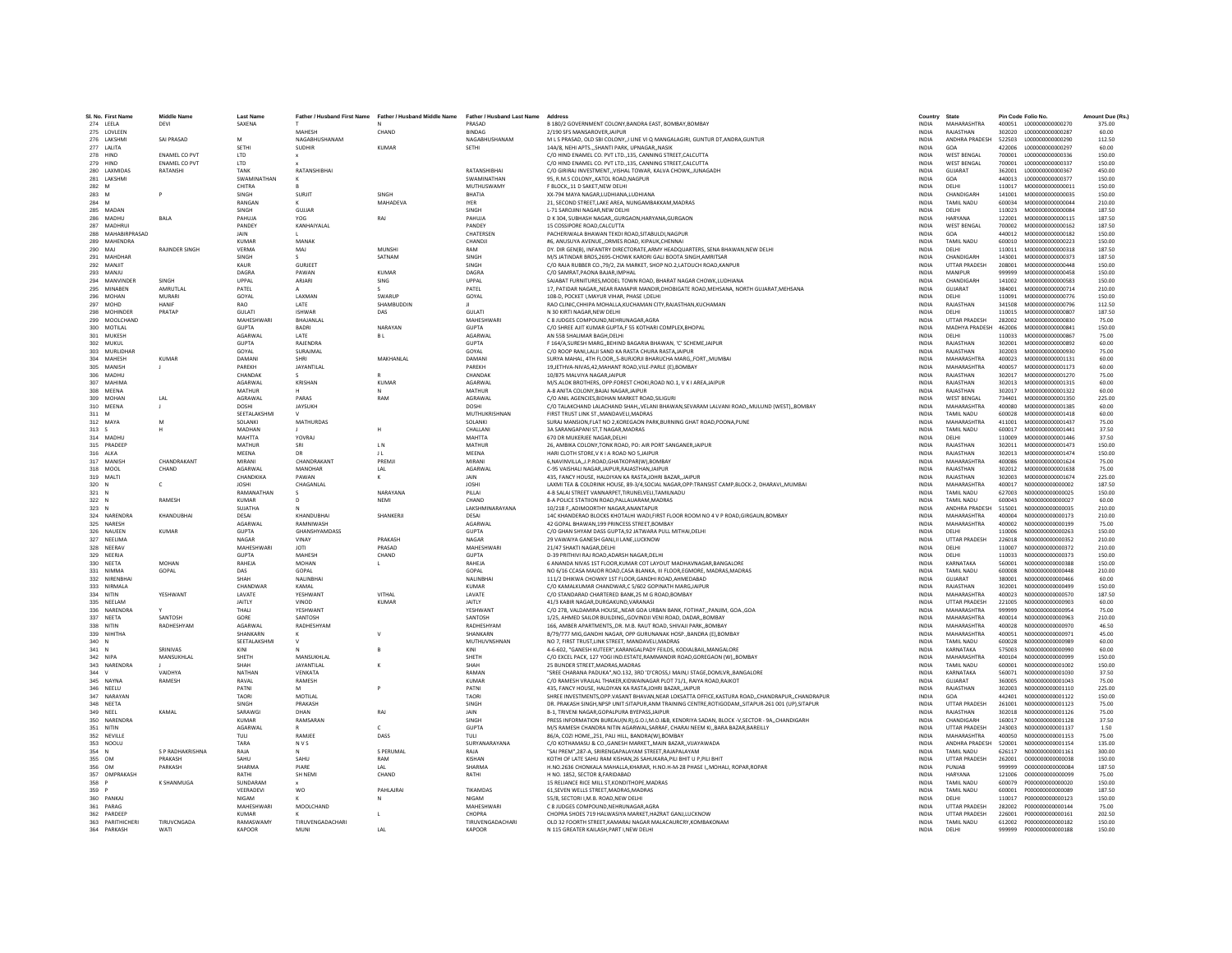| SI, No. First Name   | <b>Middle Name</b>    | <b>Last Name</b>    | Father / Husband First Name | Father / Husband Middle Name | Father / Husband Last Name Address |                                                                                                        | Country      | State                         |        | Pin Code Folio No.                   | Amount Due (Rs. |
|----------------------|-----------------------|---------------------|-----------------------------|------------------------------|------------------------------------|--------------------------------------------------------------------------------------------------------|--------------|-------------------------------|--------|--------------------------------------|-----------------|
| 274 LEELA            | DEVI                  | SAXENA              |                             |                              | PRASAD                             | B 180/2 GOVERNMENT COLONY, BANDRA EAST, BOMBAY, BOMBAY                                                 | <b>INDIA</b> | MAHARASHTRA                   |        | 400051 L000000000000270              | 375.00          |
| 275 LOVLEEN          |                       |                     | MAHESH                      | CHAND                        | <b>BINDAG</b>                      | 2/190 SFS MANSAROVER JAIPUR                                                                            | <b>INDIA</b> | RAJASTHAN                     | 302020 | L00000000000287                      | 60.00           |
| 276 LAKSHMI          | SAI PRASAD            | M                   | NAGABHUSHANAM               |                              | NAGABHUSHANAM                      | M L S PRASAD, OLD SBI COLONY,,I LINE VI Q MANGALAGIRI, GUNTUR DT, ANDRA, GUNTUR                        | <b>INDIA</b> | ANDHRA PRADESH                | 522503 | L00000000000290                      | 112.50          |
| 277 LALITA           |                       | SETH                | <b>SUDHIR</b>               | KUMAR                        | SETHI                              | 14A/8, NEHI APTSSHANTI PARK, UPNAGARNASIK                                                              | <b>INDIA</b> | GOA                           | 422006 | 1000000000000297                     | 60.00           |
| 278 HIND             | <b>ENAMEL CO PVT</b>  | LTD                 |                             |                              |                                    | C/O HIND ENAMEL CO. PVT LTD.,135, CANNING STREET, CALCUTTA                                             | <b>INDIA</b> | <b>WEST BENGAL</b>            | 700001 | L000000000000336                     | 150.00          |
| 279 HIND             | ENAMEL CO PVT         | <b>LTD</b>          |                             |                              |                                    | C/O HIND ENAMEL CO. PVT LTD., 135, CANNING STREET, CALCUTTA                                            | <b>INDIA</b> | <b>WEST BENGAL</b>            | 700001 | L000000000000337                     | 150.00          |
| 280<br>LAXMIDAS      | RATANSH               | TANK                | RATANSHIBHAI                |                              | RATANSHIBHAI                       | C/O GIRIRAJ INVESTMENT, VISHAL TOWAR, KALVA CHOWK, JUNAGADH                                            | INDIA        | GUJARAT                       | 362001 | L000000000000367                     | 450.00          |
| 281 LAKSHM           |                       | SWAMINATHAN         |                             |                              | SWAMINATHAN                        | 95, R.M.S COLONY,, KATOL ROAD, NAGPUR                                                                  | <b>INDIA</b> | GOA                           | 440013 | L00000000000377                      | 150.00          |
| 282 M                |                       | CHITRA              |                             |                              | MUTHUSWAMY                         | F RLOCK 11 D SAKET NEW DELHI                                                                           | <b>INDIA</b> | DELHI                         | 110017 | M00000000000011                      | 150.00          |
| 283<br>M             |                       | SINGH               | SURJIT                      | SINGH                        | RHATIA                             | XX-794 MAYA NAGAR,LUDHIANA,LUDHIANA                                                                    | <b>INDIA</b> | CHANDIGARH                    | 141001 | M000000000000035                     | 150.00          |
| 284 M                |                       | RANGAN              |                             | MAHADEVA                     | <b>IYER</b>                        | 21, SECOND STREET, LAKE AREA, NUNGAMBAKKAM, MADRAS                                                     | <b>INDIA</b> | TAMIL NADU                    | 600034 | M00000000000004                      | 210.00          |
| 285 MADAN            |                       | <b>SINGH</b>        | GUIJAR                      |                              | SINGH                              | L-71 SAROJINI NAGAR.NEW DELHI                                                                          | <b>INDIA</b> | <b>DELHI</b>                  | 110023 | M000000000000084                     | 187.50          |
| 286 MADHU            | <b>BALA</b>           | PAHUJA              | YOG                         | RAJ                          | PAHUJA                             | D K 304, SUBHASH NAGAR, GURGAON, HARYANA, GURGAON                                                      | <b>INDIA</b> | <b>HARYANA</b>                | 122001 | M000000000000115                     | 187.50          |
| 287 MADHRUI          |                       | PANDEY              | KANHAIYALAL                 |                              | PANDEY                             | 15 COSSIPORE ROAD.CALCUTTA                                                                             | <b>INDIA</b> | <b>WEST BENGAL</b>            | 700002 | M000000000000162                     | 187.50          |
| 288<br>MAHABIRPRASAD |                       | JAIN                |                             |                              | CHATERSEN                          | PACHERIWALA BHAWAN TEKDI ROAD, SITABULDI, NAGPUR                                                       | INDIA        | GOA                           | 440012 | M000000000000182                     | 150.00          |
|                      |                       |                     |                             |                              |                                    |                                                                                                        |              |                               |        |                                      |                 |
| 289 MAHENDRA         | <b>RAIINDER SINGH</b> | <b>KUMAR</b>        | MANAK                       |                              | CHANDJI                            | #6. ANUSUYA AVENUEORMES ROAD, KIPAUK.CHENNAI                                                           | <b>INDIA</b> | <b>TAMIL NADU</b>             | 600010 | M000000000000223                     | 150.00          |
| 290 MAI              |                       | VERMA               | MAI                         | MUNSHI                       | RAM                                | DY. DIR GEN(B). INFANTRY DIRECTORATE, ARMY HEADQUARTERS, SENA BHAWAN, NEW DELHI                        | <b>INDIA</b> | <b>DELHI</b>                  | 110011 | M000000000000318                     | 187.50          |
| 291<br>MAHDHAF       |                       | SINGH               |                             | SATNAM                       | SINGH                              | M/S JATINDAR BROS, 2695-CHOWK KARORI GALI BOOTA SINGH, AMRITSAR                                        | INDIA        | CHANDIGARH                    | 143001 | M000000000000373                     | 187.50          |
| 292 MANJIT           |                       | KAUR                | <b>GURJEET</b>              |                              | SINGH                              | C/O RAJA RUBBER CO., 79/2, ZIA MARKET, SHOP NO.2, LATOUCH ROAD.KANPUR                                  | <b>INDIA</b> | <b>UTTAR PRADESH</b>          | 208001 | M000000000000448                     | 150.00          |
| 293 MANJU            |                       | DAGRA               | PAWAN                       | <b>KUMAR</b>                 | DAGRA                              | C/O SAMRAT.PAONA BAJAR.IMPHAL                                                                          | <b>INDIA</b> | MANIPUR                       | 999999 | M00000000000458                      | 150.00          |
| 294 MANVINDER        | SINGH                 | LIPPAL              | <b>ARIARI</b>               | <b>SING</b>                  | <b>UPPAL</b>                       | SAJABAT FURNITURES, MODEL TOWN ROAD, BHARAT NAGAR CHOWK, LUDHIANA                                      | <b>INDIA</b> | CHANDIGARH                    | 141002 | M000000000000583                     | 150.00          |
| 295 MINABEN          | AMRUTLAL              | PATEL               |                             |                              | PATEL                              | 17. PATIDAR NAGARNEAR RAMAPIR MANDIR.DHOBIGATE ROAD.MEHSANA. NORTH GUJARAT.MEHSANA                     | <b>INDIA</b> | GUJARAT                       | 384001 | M000000000000714                     | 210.00          |
| 296 MOHAN            | <b>MURARI</b>         | GOYAL               | LAXMAN                      | SWARU                        | GOYAL                              | 108-D, POCKET I, MAYUR VIHAR, PHASE I, DELHI                                                           | <b>INDIA</b> | DELHI                         | 110091 | M000000000000776                     | 150.00          |
| 297 MOHD             | <b>HANIF</b>          | RAO                 | LATE                        | SHAMBUDDIN                   |                                    | RAO CLINIC, CHHIPA MOHALLA, KUCHAMAN CITY, RAJASTHAN, KUCHAMAN                                         | <b>INDIA</b> | RAJASTHAN                     | 341508 | M000000000000796                     | 112.50          |
| 298 MOHINDER         | PRATAP                | GULATI              | <b>ISHWAR</b>               | DAS                          | GULATI                             | N 30 KIRTI NAGAR.NEW DELHI                                                                             | INDIA        | DELHI                         | 110015 | M000000000000807                     | 187.50          |
| 299<br>MOOLCHAND     |                       | MAHESHWAR           | BHAJANLAL                   |                              | <b>MAHESHWARI</b>                  | C 8 JUDGES COMPOUND, NEHRUNAGAR, AGRA                                                                  | INDIA        | <b>UTTAR PRADESH</b>          | 282002 | M000000000000830                     | 75.00           |
| 300 MOTILAL          |                       | GUPTA               | <b>BADRI</b>                | NARAYAN                      | <b>GUPTA</b>                       | C/O SHREE AJIT KUMAR GUPTA,F 55 KOTHARI COMPLEX, BHOPAL                                                | <b>INDIA</b> | MADHYA PRADESH                | 462006 | M000000000000841                     | 150.00          |
| 301 MUKESH           |                       | AGARWAL             | LATE                        | <b>BL</b>                    | AGARWAI                            | AN 55B SHALIMAR BAGH.DELHI                                                                             | <b>INDIA</b> | DELHI                         | 110033 | M000000000000867                     | 75.00           |
| 302 MUKUL            |                       | <b>GUPTA</b>        | <b>RAJENDRA</b>             |                              | <b>GUPTA</b>                       | F 164/A,SURESH MARG,,BEHIND BAGARIA BHAWAN, 'C' SCHEME,JAIPUR                                          | <b>INDIA</b> | RAJASTHAN                     | 302001 | M000000000000892                     | 60.00           |
| 303 MURLIDHAI        |                       | GOYAL               | SURAJMAL                    |                              | GOYAL                              | C/O ROOP RANI, LALJI SAND KA RASTA CHURA RASTA, JAIPUF                                                 | INDIA        | RAJASTHAN                     | 302003 | M000000000000930                     | 75.00           |
| 304 MAHESH           | <b>KUMAR</b>          | DAMAN               | SHRI                        | MAKHANLAL                    | DAMANI                             | SURYA MAHAL, 4TH FLOOR., 5-BURJORJI BHARUCHA MARG., FORT., MUMBAI                                      | <b>INDIA</b> | MAHARASHTRA                   | 400023 | M000000000001131                     | 60.00           |
| 305 MANISH           | $\mathbf{L}$          | PARFKH              | <b>JAYANTILAL</b>           |                              | PARFKH                             |                                                                                                        | <b>INDIA</b> | MAHARASHTRA                   | 400057 | M000000000001173                     | 60.00           |
| 306 MADHU            |                       | CHANDAK             |                             |                              | CHANDAK                            | 19,JETHVA-NIVAS,42,MAHANT ROAD,VILE-PARLE (E),BOMBAY<br>10/875 MALVIYA NAGARJAIPUR                     | <b>INDIA</b> | RAJASTHAN                     | 302017 | M000000000001270                     | 75.00           |
|                      |                       |                     |                             |                              |                                    |                                                                                                        |              |                               |        |                                      |                 |
| 307<br><b>MAHIM</b>  |                       | AGARWAL             | KRISHAN                     | <b>KUMAR</b>                 | AGARWAI                            | M/S.ALOK BROTHERS, OPP:FOREST CHOKI.ROAD NO.1, V K I AREA JAIPUR                                       | <b>INDIA</b> | RAJASTHAN                     | 302013 | M000000000001315                     | 60.00           |
| 308 MEENA            |                       | MATHUR              |                             |                              | MATHUR                             | A-8 ANITA COLONY.BAJAJ NAGAR JAIPUR                                                                    | <b>INDIA</b> | RAJASTHAN                     | 302017 | M000000000001322                     | 60.00           |
| 309 MOHAN            | LAL                   | <b>AGRAWAL</b>      | PARAS                       | RAM                          | <b>AGRAWAI</b>                     | C/O ANII AGENCIES RIDHAN MARKET ROAD SILIGURI                                                          | <b>INDIA</b> | <b>WEST RENGAL</b>            | 734401 | M000000000001350                     | 225.00          |
| 310<br>MEENA         | J                     | <b>DOSHI</b>        | JAYSUKH                     |                              | DOSHI                              | C/O TALAKCHAND LALACHAND SHAH,,VELANI BHAWAN,SEVARAM LALVANI ROAD,,MULUND (WEST),,BOMBAY               | <b>INDIA</b> | MAHARASHTRA                   | 400080 | M000000000001385                     | 60.00           |
| 311 M                |                       | SEETALAKSHMI        |                             |                              | MUTHUKRISHNAN                      | FIRST TRUST LINK ST., MANDAVELI, MADRAS                                                                | <b>INDIA</b> | TAMIL NADU                    | 600028 | M000000000001418                     | 60.00           |
| 312 MAYA             | M                     | SOLANKI             | MATHURDAS                   |                              | SOLANKI                            | SURAJ MANSION, FLAT NO 2, KOREGAON PARK, BURNING GHAT ROAD, POONA, PUNE                                | <b>INDIA</b> | MAHARASHTRA                   | 411001 | M000000000001437                     | 75.00           |
| 313S                 | н                     | MADHAN              |                             | H                            | CHALLANI                           | <b>3A SARANGAPANI ST T NAGAR MADRAS</b>                                                                | <b>INDIA</b> | <b>TAMIL NADLI</b>            | 600017 | M000000000001441                     | 37.50           |
| 314 MADHL            |                       | MAHTTA              | YOVRAJ                      |                              | MAHTTA                             | 670 DR MUKERJEE NAGAR, DELHI                                                                           | INDIA        | DELHI                         | 110009 | M000000000001446                     | 37.50           |
| 315 PRADEE           |                       | MATHUR              | SRI                         | LN.                          | MATHUR                             | 26. AMBIKA COLONY.TONK ROAD, PO: AIR PORT SANGANER JAIPUR                                              | <b>INDIA</b> | RAJASTHAN                     | 302011 | M000000000001473                     | 150.00          |
| 316 ALKA             |                       | MEENA               | DR                          | 11                           | MEENA                              | HARI CLOTH STORE.V K I A ROAD NO 5.JAIPUR                                                              | <b>INDIA</b> | RAJASTHAN                     | 302013 | M000000000001474                     | 150.00          |
| 317 MANISH           | CHANDRAKANT           | MIRANI              | CHANDRAKANT                 | PREMII                       | MIRANI                             | 6, NAVINVILLA, J.P.ROAD, GHATKOPAR(W), BOMBAY                                                          | <b>INDIA</b> | MAHARASHTRA                   | 400086 | M000000000001624                     | 75.00           |
| 318 MOOL             | CHAND                 | AGARWAL             | MANOHAR                     | LAL                          | <b>AGARWA</b>                      | C-95 VAISHALI NAGAR JAIPUR RAJASTHAN JAIPUF                                                            | <b>INDIA</b> | RAJASTHAN                     | 302012 | M000000000001638                     | 75.00           |
| 319 MALTI            |                       | CHANDKIKA           | PAWAN                       |                              | JAIN                               | 435, FANCY HOUSE, HALDIYAN KA RASTA, JOHRI BAZAR,, JAIPUR                                              | INDIA        | RAJASTHAN                     | 302003 | M000000000001674                     | 225.00          |
| $320$ N              | C.                    | <b>IOSHI</b>        | <b>CHAGANLAL</b>            |                              | <b>IOSHI</b>                       | LAXMI TEA & COLDRINK HOUSE. 89-3/4.SOCIAL NAGAR.OPP:TRANSIST CAMP.BLOCK-2. DHARAVIMUMBAI               | <b>INDIA</b> | MAHARASHTRA                   | 400017 | N000000000000002                     | 187.50          |
| 321<br>N             |                       | RAMANATHAN          |                             | NARAYANA                     | PILLAI                             |                                                                                                        | <b>INDIA</b> | <b>TAMIL NADU</b>             | 627003 | N00000000000025                      | 150.00          |
| N                    | RAMESH                | <b>KUMAR</b>        |                             | NEMI                         | CHAND                              | 4-B SALAI STREET VANNARPET, TIRUNELVELI, TAMILNADU                                                     |              | <b>TAMIL NADU</b>             | 600043 | N00000000000027                      | 60.00           |
| 322                  |                       |                     |                             |                              |                                    | 8-A POLICE STATIION ROAD, PALLAUARAM, MADRAS                                                           | INDIA        |                               |        |                                      |                 |
| 323 N                |                       | SUJATHA             |                             |                              | LAKSHMINARAYANA                    | 10/218 F, ADIMOORTHY NAGAR, ANANTAPUR                                                                  | <b>INDIA</b> | ANDHRA PRADESH                | 515001 | N000000000000035                     | 210.00          |
| 324 NARENDRA         | KHANDUBHAI            | DESAI               | KHANDUBHAI                  | SHANKERJI                    | DESAI                              | 14C KHANDERAO BLOCKS KHOTALHI WADI.FIRST FLOOR ROOM NO 4 V P ROAD.GIRGAUN.BOMBAY                       | <b>INDIA</b> | MAHARASHTRA                   | 400004 | N000000000000173                     | 210.00          |
| 325 NARESH           |                       | AGARWAL             | RAMNIWASH                   |                              | AGARWAL                            | 42 GOPAL BHAWAN.199 PRINCESS STREET.BOMBAY                                                             | <b>INDIA</b> | MAHARASHTRA                   | 400002 | N000000000000199                     | 75.00           |
| 326<br>NAUEEN        | <b>KUMAR</b>          | <b>GUPTA</b>        | GHANSHYAMDASS               |                              | <b>GUPTA</b>                       | C/O GHAN SHYAM DASS GUPTA, 92 JATWARA PULL MITHAI, DELHI                                               | INDIA        | DELHI                         | 110006 | N00000000000263                      | 150.00          |
| 327 NEELIMA          |                       | NAGAR               | VINAY                       | PRAKASH                      | <b>NAGAR</b>                       | 29 VAWAIYA GANESH GANJ, II LANE, LUCKNOW                                                               | <b>INDIA</b> | <b>UTTAR PRADESH</b>          | 226018 | N000000000000352                     | 210.00          |
| 328 NFFRAV           |                       | MAHFSHWARI          | <b>IOTI</b>                 | PRASAD                       | MAHESHWARI                         | 21/47 SHAKTI NAGAR DELHI                                                                               | <b>INDIA</b> | <b>DELHI</b>                  | 110007 | N000000000000372                     | 210.00          |
| 329 NEERJA           |                       | <b>GUPTA</b>        | MAHESH                      | CHAND                        | <b>GUPTA</b>                       | D-39 PRITHIVI RAJ ROAD, ADARSH NAGAR, DELHI                                                            | INDIA        | DELHI                         | 110033 | N000000000000373                     | 150.00          |
| 330 NEETA            | MOHAN                 | RAHEJA              | <b>MOHAN</b>                |                              | RAHEJA                             | 6 ANANDA NIVAS 1ST FLOOR, KUMAR COT LAYOUT MADHAVNAGAR, BANGALORE                                      | <b>INDIA</b> | KARNATAKA                     | 560001 | N000000000000388                     | 150.00          |
| 331 NIMMA            | GOPAL                 | DAS                 | GOPAL                       |                              | GOPAL                              | NO 6/16 CCASA MAJOR ROAD.CASA BLANKA, III FLOOR.EGMORE, MADRAS.MADRAS                                  | <b>INDIA</b> | TAMIL NADLI                   | 600008 | N000000000000448                     | 210.00          |
| 332 NIRENBHA         |                       | SHAH                | <b>NAI INRHA</b>            |                              | <b>NAI INRHAI</b>                  | 111/2 DHIKWA CHOWKY 1ST FLOOR GANDHI ROAD AHMEDABAD                                                    | <b>INDIA</b> | <b>GUIARAT</b>                | 380001 | N000000000000466                     | 60.00           |
| 333 NIRMALA          |                       | CHANDWAR            | KAMAI                       |                              | KUMAR                              | C/O KAMALKUMAR CHANDWAR,C 5/602 GOPINATH MARG, JAIPUR                                                  | <b>INDIA</b> | RAJASTHAN                     | 302001 | N000000000000499                     | 150.00          |
| 334<br>NITIN         | YESHWANT              | LAVATE              | <b>YESHWANT</b>             | VITHAL                       | LAVATE                             | C/O STANDARAD CHARTERED BANK, 25 M G ROAD, BOMBAY                                                      | <b>INDIA</b> | MAHARASHTRA                   | 400023 | N000000000000570                     | 187.50          |
| 335 NEELAM           |                       | <b>JAITLY</b>       | VINOD                       | KUMAR                        | <b>JAITLY</b>                      | 41/3 KABIR NAGAR DURGAKUND VARANASI                                                                    | <b>INDIA</b> | <b>UTTAR PRADESH</b>          | 221005 | N000000000000903                     | 60.00           |
| 336 NARENDRA         |                       | THALL               | <b>YESHWANT</b>             |                              | <b>VESHWANT</b>                    | C/O 278, VALDAMIRA HOUSENEAR GOA URBAN BANK, FOTIHAT., PANJIM, GOAGOA                                  | <b>INDIA</b> | MAHARASHTRA                   | 999999 | N000000000000954                     | 75.00           |
| 337 NEETA            | SANTOSH               | GORE                | SANTOSH                     |                              | SANTOSH                            | 1/25, AHMED SAILOR BUILDING, GOVINDJI VENI ROAD, DADAR, BOMBAY                                         | INDIA        | MAHARASHTRA                   | 400014 | N000000000000963                     | 210.00          |
| 338 NITIN            | RADHESHYAM            | AGARWAL             | RADHESHYAN                  |                              | RADHESHYAM                         | 166. AMBER APARTMENTSDR. M.B. RAUT ROAD, SHIVAJI PARKBOMBAY                                            | <b>INDIA</b> | MAHARASHTRA                   | 400028 | N00000000000970                      | 46.50           |
| 339 NIHITHA          |                       | SHANKARN            |                             |                              | SHANKARN                           | B/79/777 MIG.GANDHI NAGAR, OPP GURUNANAK HOSP., BANDRA (E), BOMBAY                                     | <b>INDIA</b> | MAHARASHTRA                   | 400051 | N000000000000971                     | 45.00           |
| 340 N                |                       | <b>SEFTALAKSHMI</b> | $\mathbf{v}$                |                              | MUTHUVNSHNAN                       | NO 7. FIRST TRUST.LINK STREET. MANDAVELI.MADRAS                                                        | <b>INDIA</b> | <b>TAMIL NADLI</b>            | 600028 | N000000000000989                     | 60.00           |
| 341<br>N             | SRINIVAS              | KINI                |                             |                              |                                    | 4-6-602. "GANESH KUTEER".KARANGALPADY FEILDS, KODIALBAIL.MANGALORE                                     | INDIA        | KARNATAKA                     | 575003 | N000000000000990                     | 60.00           |
|                      | MANSUKHLAL            | SHETH               | MANSUKHLAI                  |                              | SHETH                              |                                                                                                        | <b>INDIA</b> | <b>MAHARASHTRA</b>            | 400104 | N00000000000999                      | 150.00          |
| 342 NIPA             |                       |                     |                             |                              |                                    | C/O EXCEL PACK, 127 YOGI IND.ESTATE,RAMMANDIR ROAD,GOREGAON (W),,BOMBAY                                |              |                               |        |                                      |                 |
| 343 NARENDRA         |                       | SHAH                | <b>JAYANTILAL</b>           |                              | SHAH                               | 25 BUNDER STREET MADRAS MADRAS                                                                         | <b>INDIA</b> | <b>TAMIL NADLI</b>            | 600001 | N000000000001002                     | 150.00          |
| 344<br>$\mathbf{v}$  | VAIDHVA               | NATHAN              | VENKATA                     |                              | RAMAN                              | "SREE CHARANA PADUKA", NO.132, 3RD 'D'CROSS, I MAIN, I STAGE, DOMLVR,, BANGALORE                       | <b>INDIA</b> | KARNATAKA                     | 560071 | N000000000001030                     | 37.50           |
| 345 NAYNA            | RAMESH                | RAVAL               | RAMESH                      |                              | <b>KUMAR</b>                       | C/O RAMESH VRAJLAL THAKER.KIDWAINAGAR PLOT 71/1. RAIYA ROAD.RAJKOT                                     | <b>INDIA</b> | GUJARAT                       | 360005 | N000000000001043                     | 75.00           |
| 346 NEELU            |                       | PATNI               |                             |                              | PATNI                              | 435, FANCY HOUSE, HALDIYAN KA RASTA, JOHRI BAZAR, JAIPUR                                               | <b>INDIA</b> | RAJASTHAN                     | 302003 | N000000000001110                     | 225.00          |
| 347 NARAYAN          |                       | <b>TAORI</b>        | MOTILAL                     |                              | <b>TAORI</b>                       | SHREE INVESTMENTS.OPP.VASANT BHAVAN.NEAR LOKSATTA OFFICE.KASTURA ROADCHANDRAPURCHANDRAPUR              | <b>INDIA</b> | GOA                           | 442401 | N000000000001122                     | 150.00          |
| 348 NEETA            |                       | SINGH               | PRAKASH                     |                              | SINGH                              | DR. PRAKASH SINGH, NPSP UNIT: SITAPUR, ANM TRAINING CENTRE, ROTIGODAM, , SITAPUR-261 001 (UP), SITAPUR | <b>INDIA</b> | <b>UTTAR PRADESH</b>          | 261001 | N000000000001123                     | 75.00           |
| 349 NEEL             | KAMAL                 | SARAWG              | DHAN                        | RAJ                          | JAIN                               | B-1, TRIVENI NAGAR, GOPALPURA BYEPASS, JAIPUR                                                          | <b>INDIA</b> | RAJASTHAN                     | 302018 | N000000000001126                     | 75.00           |
| 350 NARENDRA         |                       | <b>KUMAR</b>        | RAMSARAN                    |                              | SINGH                              | PRESS INFORMATION BUREAU(N.R).G.O.I.M.O.I&B. KENDRIYA SADAN. BLOCK -V.SECTOR - 9A.,CHANDIGARH          | <b>INDIA</b> | CHANDIGARH                    | 160017 | N000000000001128                     | 37.50           |
| 351 NITIN            |                       | <b>AGARWAI</b>      |                             | $\epsilon$                   | <b>GUPTA</b>                       | M/S RAMESH CHANDRA NITIN AGARWAL SARRAF, CHARAI NEEM KI., BARA BAZAR, BAREILLY                         | <b>INDIA</b> | <b>UTTAR PRADESH</b>          | 243003 | N000000000001137                     | 1.50            |
| 352 NEVILLE          |                       | TULI                | RAMJEE                      | DASS                         | TULI                               | 86/A, COZI HOME, 251, PALI HILL, BANDRA(W), BOMBAY                                                     | <b>INDIA</b> | MAHARASHTRA                   | 400050 | N000000000001153                     | 75.00           |
| 353 NOOLU            |                       | TARA                | <b>NVS</b>                  |                              | SURYANARAYANA                      | C/O KOTHAMASU & CO., GANESH MARKET, MAIN BAZAR, VIJAYAWADA                                             | <b>INDIA</b> | ANDHRA PRADESH                | 520001 | N000000000001154                     | 135.00          |
| 354 N                | S P RADHAKRISHNA      | RAIA                | $\mathbf{M}$                | S PERUMAL                    | RAIA                               | "SAI PREM" 287-A SRIRENGAPAI AYAM STREET RAIAPAI AYAM                                                  | <b>INDIA</b> | <b>TAMIL NADLI</b>            | 626117 | N000000000001161                     | 300.00          |
| 355 OM               | PRAKASH               | SAHU                | SAHU                        | RAM                          | KISHAN                             | KOTHI OF LATE SAHU RAM KISHAN, 26 SAHUKARA, PILI BHIT U P, PILI BHIT                                   | <b>INDIA</b> | <b>UTTAR PRADESH</b>          | 262001 | 0000000000000038                     | 150.00          |
| 356 OM               | PARKASH               | SHARMA              | PIARF                       | LAL                          | <b>SHARMA</b>                      | H.NO.2636 CHONKALA MAHALLA, KHARAR, H.NO.H-M-28 PHASE I,, MOHALI, ROPAR, ROPAR                         | <b>INDIA</b> | PUNJAR                        | 999999 | 000000000000084                      | 187.50          |
| 357 OMPRAKASH        |                       | RATHI               | SH NEMI                     | CHAND                        | RATHI                              | H NO. 1852. SECTOR 8.FARIDABAD                                                                         | <b>INDIA</b> | <b>HARYANA</b>                | 121006 | 0000000000000099                     | 75.00           |
| 358 P                | <b>K SHANMUGA</b>     | SUNDARAM            |                             |                              |                                    | 15 RELIANCE RICE MILL ST.KONDITHOPE.MADRAS                                                             | <b>INDIA</b> | <b>TAMIL NADU</b>             | 600079 | P000000000000020                     | 150.00          |
| 359 P                |                       | VEFRADEVI           | <b>WO</b>                   | PAHLAJRAI                    | TIKAMDAS                           | 61. SEVEN WELLS STREET, MADRAS, MADRAS                                                                 | <b>INDIA</b> | <b>TAMIL NADU</b>             | 600001 | P000000000000089                     | 187.50          |
|                      |                       |                     |                             |                              |                                    |                                                                                                        |              |                               |        |                                      |                 |
| 360 PANKAJ           |                       | NIGAM<br>MAHFSHWARI |                             |                              | NIGAM                              | 55/8, SECTORI I,M.B. ROAD, NEW DELHI                                                                   | INDIA        | DELHI<br><b>UTTAR PRADESH</b> | 110017 | P000000000000123<br>P000000000000144 | 150.00          |
| 361 PARAG            |                       |                     | MOOLCHAND                   |                              | MAHESHWARI                         | C 8 JUDGES COMPOUND.NEHRUNAGAR.AGRA<br>CHOPRA SHOES 719 HALWASIYA MARKET, HAZRAT GANJ, LUCKNOW         | <b>INDIA</b> |                               | 282002 |                                      | 75.00           |
| 362 PARDEEP          |                       | <b>KUMAR</b>        | <b>TIRUVENGADACHARL</b>     |                              | CHOPRA<br><b>TIRUVENGADACHARI</b>  |                                                                                                        | <b>INDIA</b> | <b>UTTAR PRADESH</b>          | 226001 | P000000000000161                     | 202.50          |
| 363 PARITHICHERL     | TIRUVCNGADA           | RAMASWAMY           |                             |                              |                                    | OLD 32 FOORTH STREET, KAMARAJ NAGAR MALACAURCRY, KOMBAKONAM                                            | <b>INDIA</b> | TAMIL NADU                    |        | 612002 P000000000000182              | 150.00          |
| 364 PARKASH          | WATI                  | KAPOOR              | MUNI                        | 1 Al                         | KAPOOR                             | N 115 GREATER KAILASH.PART I.NEW DELHI                                                                 | <b>INDIA</b> | DELHI                         | 999999 | P000000000000188                     | 150.00          |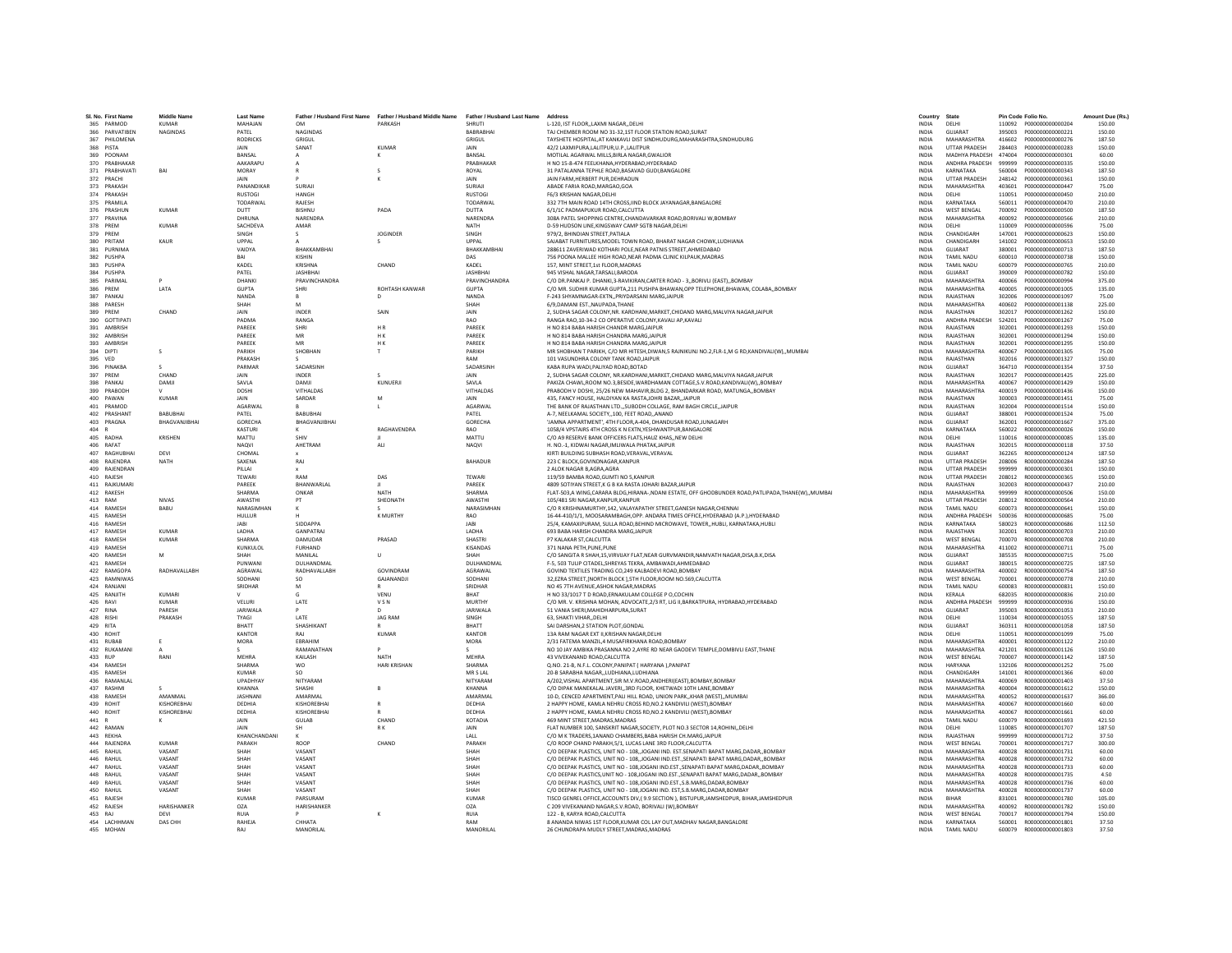| SI. No. First Name              | <b>Middle Name</b>     | <b>Last Name</b>          |                                  | Father / Husband First Name Father / Husband Middle Name Father / Husband Last Name |                              | Address                                                                                                                                             | Country                      | State                                    |                  | Pin Code Folio No.                   | Amount Due (Rs.) |
|---------------------------------|------------------------|---------------------------|----------------------------------|-------------------------------------------------------------------------------------|------------------------------|-----------------------------------------------------------------------------------------------------------------------------------------------------|------------------------------|------------------------------------------|------------------|--------------------------------------|------------------|
| 365 PARMOD                      | <b>KUMAR</b>           | MAHAJAN                   | <b>OM</b>                        | PARKASH                                                                             | <b>SHRUTI</b>                | L-120. IST FLOORLAXMI NAGARDELHI                                                                                                                    | <b>INDIA</b>                 | DELHI                                    |                  |                                      | 150.00           |
| 366 PARVATIREN                  | <b>NAGINDAS</b>        | PATFI                     | <b>NAGINDAS</b>                  |                                                                                     | RARRARHAL                    | TAJ CHEMBER ROOM NO 31-32.1ST FLOOR STATION ROAD.SURAT                                                                                              | INDIA                        | GUIARAT                                  | 395003           | 2000000000000221                     | 150.00           |
| 367 PHILOMENA                   |                        | <b>RODRICKS</b>           | GRIGUL                           |                                                                                     | GRIGUL                       | TAYSHETE HOSPITAL, AT KANKAVLI DIST SINDHUDURG, MAHARASHTRA, SINDHUDURG                                                                             | <b>INDIA</b>                 | MAHARASHTRA                              | 416602           | P000000000000276                     | 187.50           |
| 368 PISTA                       |                        | JAIN                      | SANAT                            | <b>KUMAR</b>                                                                        | JAIN                         | 42/2 LAXMIPURA,LALITPUR,U.P.,LALITPUR                                                                                                               | INDIA                        | <b>UTTAR PRADESH</b>                     | 284403           | P000000000000283                     | 150.00           |
| 369 POONAM                      |                        | BANSAL                    |                                  | K                                                                                   | BANSAL                       | MOTILAL AGARWAL MILLS.BIRLA NAGAR.GWALIOR                                                                                                           | <b>INDIA</b>                 | MADHYA PRADESH                           | 474004           | P000000000000301                     | 60.00            |
| 370 PRABHAKAF<br>371 PRABHAVATI | BAI                    | AAKARAPU<br>MORAY         |                                  |                                                                                     | PRARHAKAR<br><b>ROYAL</b>    | H NO 15-8-474 FEELKHANA.HYDERABAD.HYDERABAD                                                                                                         | <b>INDIA</b>                 | ANDHRA PRADESH<br>KARNATAKA              | 999999<br>560004 | P000000000000335                     | 150.00           |
| 372 PRACH                       |                        | JAIN                      |                                  |                                                                                     | JAIN                         | 31 PATALANNA TEPHLE ROAD, BASAVAD GUDI, BANGALORE<br>JAIN FARM, HERBERT PUR, DEHRADUN                                                               | <b>INDIA</b><br><b>INDIA</b> | <b>UTTAR PRADESH</b>                     | 248142           | P000000000000343<br>P000000000000361 | 187.50<br>150.00 |
| 373 PRAKASH                     |                        | PANANDIKAR                | SURIAL                           |                                                                                     | SURIAJI                      | ABADE FARIA ROAD.MARGAO.GOA                                                                                                                         | <b>INDIA</b>                 | MAHARASHTRA                              | 403601           | P000000000000447                     | 75.00            |
| 374 PRAKASH                     |                        | <b>RUSTOGI</b>            | <b>HANGH</b>                     |                                                                                     | <b>RUSTOGI</b>               | F6/3 KRISHAN NAGAR.DELHI                                                                                                                            | <b>INDIA</b>                 | DELHI                                    | 110051           | P000000000000450                     | 210.00           |
| 375 PRAMILA                     |                        | <b>TODARWAL</b>           | RAIFSH                           |                                                                                     | <b>TODARWAL</b>              | 332 7TH MAIN ROAD 14TH CROSS, IIND BLOCK JAYANAGAR, BANGALORE                                                                                       | <b>INDIA</b>                 | KARNATAKA                                | 560011           | P000000000000470                     | 210.00           |
| 376 PRASHUM                     | <b>KUMAR</b>           | DUTT                      | <b>BISHNU</b>                    | PADA                                                                                | <b>DUTTA</b>                 | 6/1/1C PADMAPUKUR ROAD, CALCUTTA                                                                                                                    | INDIA                        | <b>WEST BENGAL</b>                       | 700092           | P000000000000500                     | 187.50           |
| 377 PRAVINA                     |                        | DHRUNA                    | NARENDRA                         |                                                                                     | NARENDRA                     | 308A PATEL SHOPPING CENTRE, CHANDAVARKAR ROAD, BORIVALI W, BOMBAY                                                                                   | INDIA                        | MAHARASHTRA                              | 400092           | P000000000000566                     | 210.00           |
| 378 PREM<br>379 PREM            | <b>KUMAR</b>           | SACHDEVA<br>SINGH         | AMAR<br>$\mathcal{L}$            | <b>JOGINDER</b>                                                                     | NATH<br>SINGH                | D-59 HUDSON LINE.KINGSWAY CAMP SGTB NAGAR.DELHI<br>979/2. BHINDIAN STREET.PATIALA                                                                   | <b>INDIA</b><br><b>INDIA</b> | DELHI<br>CHANDIGARH                      | 110009<br>147001 | P000000000000596<br>P000000000000623 | 75.00<br>150.00  |
| 380 PRITAM                      | KAUR                   | UPPAL                     |                                  |                                                                                     | LIPPAL                       | SAJABAT FURNITURES, MODEL TOWN ROAD, BHARAT NAGAR CHOWK, LUDHIANA                                                                                   | <b>INDIA</b>                 | CHANDIGARH                               | 141002           | P000000000000653                     | 150.00           |
| 381 PURNIMA                     |                        | VAIDYA                    | BHAKKAMBHA                       |                                                                                     | BHAKKAMBHA                   | 288611 ZAVERIWAD KOTHARI POLE, NEAR PATNIS STREET, AHMEDABAD                                                                                        | <b>INDIA</b>                 | GUJARAT                                  | 380001           | P000000000000713                     | 187.50           |
| 382 PUSHPA                      |                        | RAI                       | KISHIN                           |                                                                                     | DAS                          | 756 POONA MALLEE HIGH ROAD, NEAR PADMA CLINIC KILPAUK, MADRAS                                                                                       | <b>INDIA</b>                 | <b>TAMIL NADU</b>                        | 600010           | P000000000000738                     | 150.00           |
| 383 PUSHPA                      |                        | KADEL                     | KRISHNA                          | CHAND                                                                               | KADEL                        | 157. MINT STREET.1st FLOOR.MADRAS                                                                                                                   | <b>INDIA</b>                 | <b>TAMIL NADU</b>                        | 600079           | P000000000000765                     | 210.00           |
| 384 PUSHPA                      |                        | PATFI                     | <b>JASHBHAI</b>                  |                                                                                     | <b>IASHRHAI</b>              | 945 VISHAL NAGAR TARSALLBARODA                                                                                                                      | <b>INDIA</b>                 | GUIARAT                                  | 390009           | P000000000000782                     | 150.00           |
| 385<br>PARIMAL                  |                        | DHANK                     | PRAVINCHANDRA                    |                                                                                     | <b>PRAVINCHANDRA</b>         | C/O DR.PANKAJ P. DHANKI,3-RAVIKIRAN,CARTER ROAD - 3,,BORIVLI (EAST),,BOMBAY                                                                         | INDIA                        | <b>MAHARASHTRA</b>                       | 400066           | P000000000000994                     | 375.00           |
| 386 PREM                        | <b>I ATA</b>           | <b>GUPTA</b>              | SHRI                             | ROHTASH KANWAR                                                                      | <b>GUPTA</b>                 | C/O MR. SUDHIR KUMAR GUPTA, 211 PUSHPA BHAWAN, OPP TELEPHONE, BHAWAN, COLABA,, BOMBAY                                                               | <b>INDIA</b>                 | MAHARASHTRA                              | 400005           | 2000000000001005                     | 135.00           |
| 387 PANKAJ<br>388 PARESH        |                        | NANDA<br>SHAH             | $\mathsf R$<br>M                 | $\mathsf{D}$                                                                        | NANDA<br>SHAH                | F-243 SHYAMNAGAR-EXTN., PRIYDARSANI MARG.JAIPUR<br>6/9 DAMANI FST. NAUPADA THANF                                                                    | <b>INDIA</b><br><b>INDIA</b> | RAJASTHAN<br>MAHARASHTRA                 | 302006<br>400602 | P000000000001097<br>2000000000001138 | 75.00<br>225.00  |
| 389 PREM                        | CHAND                  | JAIN                      | INDER                            | SAIN                                                                                | JAIN                         | 2, SUDHA SAGAR COLONY, NR. KARDHANI, MARKET, CHIDAND MARG, MALVIYA NAGAR, JAIPUR                                                                    | <b>INDIA</b>                 | RAJASTHAN                                | 302017           | P000000000001262                     | 150.00           |
| 390<br>GOTTIPAT                 |                        | PADM/                     | RANGA                            |                                                                                     | RAO                          | RANGA RAO, 10-34-2 CO OPERATIVE COLONY, KAVALI AP, KAVALI                                                                                           | <b>INDIA</b>                 | ANDHRA PRADESH                           | 524201           | P000000000001267                     | 75.00            |
| 391 AMBRISH                     |                        | PAREEK                    | SHRI                             | HR                                                                                  | PAREEK                       | H NO 814 BABA HARISH CHANDR MARGJAIPUR                                                                                                              | <b>INDIA</b>                 | RAJASTHAN                                | 302001           | P000000000001293                     | 150.00           |
| 392 AMBRISH                     |                        | PAREEK                    | MR                               | H K                                                                                 | PAREEK                       | H NO 814 BABA HARISH CHANDRA MARG.JAIPUR                                                                                                            | <b>INDIA</b>                 | RAJASTHAN                                | 302001           | P000000000001294                     | 150.00           |
| 393 AMBRISH                     |                        | PAREEK                    | MR                               | H <sub>K</sub>                                                                      | PAREEK                       | H NO 814 BABA HARISH CHANDRA MARG.JAIPUR                                                                                                            | <b>INDIA</b>                 | RAJASTHAN                                | 302001           | P000000000001295                     | 150.00           |
| 394 DIPTI                       | s                      | PARIKH                    | SHOBHAN                          |                                                                                     | PARIKH                       | MR SHOBHAN T PARIKH, C/O MR HITESH,DIWAN,5 RAJNIKUNJ NO.2,FLR-1,M G RD,KANDIVALI(W),,MUMBAI                                                         | <b>INDIA</b>                 | MAHARASHTRA                              | 400067           | P000000000001305                     | 75.00            |
| 395 VED                         | $\mathcal{L}$          | PRAKASH                   | SADARSINH                        |                                                                                     | RAM<br>SADARSINH             | 101 VASUNDHRA COLONY TANK ROAD JAIPUR                                                                                                               | <b>INDIA</b>                 | RAJASTHAN                                | 302016           | P000000000001327                     | 150.00           |
| 396 PINAKBA<br>397 PREM         | CHAND                  | PARMAR<br><b>JAIN</b>     | <b>INDER</b>                     |                                                                                     | <b>JAIN</b>                  | KABA RUPA WADI.PALIYAD ROAD.BOTAD<br>2. SUDHA SAGAR COLONY. NR KARDHANI MARKET CHIDAND MARG MALVIYA NAGAR JAIPUR                                    | <b>INDIA</b><br><b>INDIA</b> | GUJARAT<br>RAIASTHAN                     | 364710<br>302017 | P000000000001354<br>P000000000001425 | 37.50<br>225.00  |
| 398 PANKAJ                      | DAMJI                  | SAVLA                     | DAMIL                            | KUNUERJI                                                                            | SAVLA                        | PAKIZA CHAWL,ROOM NO.3,BESIDE,WARDHAMAN COTTAGE,S.V.ROAD,KANDIVALI(W),,BOMBAY                                                                       | <b>INDIA</b>                 | <b>MAHARASHTRA</b>                       | 400067           | P000000000001429                     | 150.00           |
| 399<br>PRABODI                  |                        | DOSH                      | VITHALDAS                        |                                                                                     | VITHALDAS                    | PRABODH V DOSHI, 25/26 NEW MAHAVIR, BLDG 2, BHANDARKAR ROAD, MATUNGA, BOMBAY                                                                        | <b>INDIA</b>                 | MAHARASHTRA                              | 400019           | P000000000001436                     | 150.00           |
| 400 PAWAN                       | <b>KUMAR</b>           | JAIN                      | SARDAR                           | M                                                                                   | <b>JAIN</b>                  | 435. FANCY HOUSE. HALDIYAN KA RASTAJOHRI BAZAR.JAIPUR                                                                                               | <b>INDIA</b>                 | RAJASTHAN                                | 300003           | P000000000001451                     | 75.00            |
| 401 PRAMOD                      |                        | AGARWAL                   |                                  |                                                                                     | AGARWAL                      | THE BANK OF RAJASTHAN LTDSUBODH COLLAGE, RAM BAGH CIRCLE.JAIPUR                                                                                     | <b>INDIA</b>                 | RAJASTHAN                                | 302004           | P000000000001514                     | 150.00           |
| 402 PRASHANT                    | RARURHAL               | PATEL                     | <b>BARURHAL</b>                  |                                                                                     | PATEL                        | A-7, NEELKAMAL SOCIETY,,100, FEET ROAD,,ANAND                                                                                                       | <b>INDIA</b>                 | GUIARAT                                  | 388001           | P000000000001524                     | 75.00            |
| 403 PRAGNA<br>404 R             | BHAGVANJIBHA           | GORECHA<br><b>KASTURI</b> | BHAGVANJIBHAI                    | <b>RAGHAVENDRA</b>                                                                  | <b>GORECHA</b><br><b>RAO</b> | 'JAMNA APPARTMENT', 4TH FLOOR, A-404, DHANDUSAR ROAD, JUNAGARH<br>1058/4 VPSTAIRS 4TH CROSS K N EXTN.YESHWANTPUR.BANGALORE                          | <b>INDIA</b><br><b>INDIA</b> | GUJARAT<br>KARNATAKA                     | 362001<br>560022 | P000000000001667<br>R00000000000026  | 375.00<br>150.00 |
| 405 RADHA                       | <b>KRISHEN</b>         | MATTU                     | SHIV                             |                                                                                     | MATTU                        | C/O A9 RESERVE BANK OFFICERS FLATS.HAUZ KHASNEW DELHI                                                                                               | <b>INDIA</b>                 | DELHI                                    | 110016           | R000000000000085                     | 135.00           |
| 406 RAFAT                       |                        | <b>NAOVI</b>              | AHFTRAM                          | ALL                                                                                 | <b>NAQVI</b>                 | H. NO -1. KIDWAI NAGAR IMI IWAI A PHATAK JAIPUR                                                                                                     | <b>INDIA</b>                 | RAIASTHAN                                | 302015           | B000000000000118                     | 37.50            |
| 407 RAGHUBHA                    | DEVI                   | CHOMAL                    |                                  |                                                                                     |                              | KIRTI BUILDING SUBHASH ROAD, VERAVAL, VERAVAL                                                                                                       | <b>INDIA</b>                 | GUJARAT                                  | 362265           | R000000000000124                     | 187.50           |
| 408 RAJENDRA                    | NATH                   | SAXENA                    | RAJ                              |                                                                                     | <b>BAHADUR</b>               | 223 C BLOCK.GOVINDNAGAR.KANPUR                                                                                                                      | <b>INDIA</b>                 | <b>UTTAR PRADESH</b>                     | 208006           | R00000000000284                      | 187.50           |
| 409 RAJENDRAN                   |                        | PILLAI                    |                                  |                                                                                     |                              | 2 ALOK NAGAR B.AGRA.AGRA                                                                                                                            | <b>INDIA</b>                 | <b>UTTAR PRADESH</b>                     | 999999           | R000000000000301                     | 150.00           |
| 410 RAJESH                      |                        | <b>TEWARI</b>             | RAM                              | DAS                                                                                 | <b>TEWARI</b>                | 119/59 BAMBA ROAD.GUMTI NO 5.KANPUR                                                                                                                 | <b>INDIA</b>                 | <b>UTTAR PRADESH</b>                     | 208012           | R000000000000365                     | 150.00           |
| 411 RAJKUMAR                    |                        | PAREEK                    | BHANWARLAL                       |                                                                                     | PAREEK                       | 4809 SOTIYAN STREET, K G B KA RASTA JOHARI BAZAR, JAIPUR                                                                                            | <b>INDIA</b>                 | RAJASTHAN                                | 302003           | R000000000000437                     | 210.00           |
| 412 RAKESH<br>413 RAM           | <b>NIVAS</b>           | <b>SHARMA</b><br>AWASTH   | ONKAR<br>PT                      | <b>NATH</b><br>SHEONATH                                                             | SHARMA<br>AWASTH             | FLAT-503,A WING,CARARA BLDG,HIRANA-,NDANI ESTATE, OFF GHODBUNDER ROAD,PATLIPADA,THANE(W),,MUMBAI<br>105/481 SRI NAGAR.KANPUR.KANPUR                 | INDIA<br><b>INDIA</b>        | MAHARASHTRA<br><b>UTTAR PRADESH</b>      | 999999<br>208012 | R000000000000506<br>R000000000000564 | 150.00<br>210.00 |
| 414 RAMESH                      | BABU                   | NARASIMHAN                |                                  |                                                                                     | NARASIMHAN                   | C/O R KRISHNAMURTHY,142, VALAYAPATHY STREET, GANESH NAGAR, CHENNAI                                                                                  | <b>INDIA</b>                 | <b>TAMIL NADU</b>                        | 600073           | R000000000000641                     | 150.00           |
| 415 RAMESH                      |                        | <b>HULLUR</b>             |                                  | K MURTHY                                                                            | RAO                          | 16-44-410/1/1, MOOSARAMBAGH, OPP. ANDARA TIMES OFFICE, HYDERABAD (A.P.), HYDERABAD                                                                  | <b>INDIA</b>                 | ANDHRA PRADESH                           | 500036           | R000000000000685                     | 75.00            |
| 416 RAMESH                      |                        | <b>JABI</b>               | SIDDAPPA                         |                                                                                     | <b>JABI</b>                  | 25/4, KAMAXIPURAM, SULLA ROAD, BEHIND MICROWAVE, TOWER, HUBLI, KARNATAKA, HUBLI                                                                     | INDIA                        | KARNATAKA                                | 580023           | R000000000000686                     | 112.50           |
| 417 RAMESH                      | <b>KUMAR</b>           | LADHA                     | <b>GANPATRA</b>                  |                                                                                     | LADHA                        | 693 BABA HARISH CHANDRA MARGJAIPUR                                                                                                                  | <b>INDIA</b>                 | RAJASTHAN                                | 302001           | R000000000000703                     | 210.00           |
| 418 RAMESH                      | <b>KUMAR</b>           | SHARMA                    | DAMUDAR                          | PRASAD                                                                              | SHASTRI                      | P7 KALAKAR ST.CALCUTTA                                                                                                                              | <b>INDIA</b>                 | <b>WEST BENGAL</b>                       | 700070           | B000000000000708                     | 210.00           |
| 419 RAMFSH                      |                        | KUNKULOL                  | <b>FURHAND</b>                   |                                                                                     | <b>KISANDAS</b>              | 371 NANA PETH PUNE PUNE                                                                                                                             | <b>INDIA</b>                 | MAHARASHTRA                              | 411002           | B000000000000711                     | 75.00            |
| 420 RAMESH<br>421 RAMESH        | M                      | SHAH<br>PUNWAN            | MANILAL<br>DULHANDMAI            | $\cup$                                                                              | SHAH<br>DULHANDMA            | C/O SANGITA R SHAH,15, VIRVIJAY FLAT, NEAR GURVMANDIR, NAMVATH NAGAR, DISA, B.K, DISA<br>F-5, 503 TULIP CITADEL, SHREYAS TEKRA, AMBAWADI, AHMEDABAD | <b>INDIA</b><br>INDIA        | GUIARAT<br>GUJARAT                       | 385535<br>380015 | R00000000000715<br>R000000000000725  | 75.00<br>187.50  |
| 422 RAMGOP/                     | RADHAVALLABH           | AGRAWAL                   | RADHAVALLABH                     | GOVINDRAM                                                                           | AGRAWAL                      | GOVIND TEXTILES TRADING CO.249 KALBADEVI ROAD.BOMBAY                                                                                                | <b>INDIA</b>                 | MAHARASHTRA                              | 400002           | R00000000000754                      | 187.50           |
| 423 RAMNIWAS                    |                        | SODHANI                   | <b>SO</b>                        | GAJANANDJI                                                                          | SODHANI                      | 32.EZRA STREET.INORTH BLOCK 1.5TH FLOOR.ROOM NO.569.CALCUTTA                                                                                        | <b>INDIA</b>                 | <b>WEST BENGAL</b>                       | 700001           | R00000000000778                      | 210.00           |
| 424 RANIANI                     |                        | SRIDHAR                   | M                                |                                                                                     | SRIDHAR                      | NO 45 7TH AVENUE ASHOK NAGAR MADRAS                                                                                                                 | <b>INDIA</b>                 | TAMIL NADLI                              | 600083           | R000000000000831                     | 150.00           |
| 425 RANJITH                     | KUMARI                 |                           |                                  | VENU                                                                                | BHAT                         | H NO 33/1017 T D ROAD, ERNAKULAM COLLEGE P O, COCHIN                                                                                                | INDIA                        | KERALA                                   | 682035           | R000000000000836                     | 210.00           |
| 426<br>RAVI                     | <b>KUMAR</b>           | VELURI                    | LATE                             | <b>VSN</b>                                                                          | <b>MURTHY</b>                | C/O MR. V. KRISHNA MOHAN, ADVOCATE.2/3 RT, LIG II.BARKATPURA, HYDRABAD, HYDERABAD                                                                   | <b>INDIA</b>                 | ANDHRA PRADESH                           | 999999           | R000000000000936                     | 150.00           |
| 427 RINA                        | PARESH                 | JARIWALA                  |                                  | $\mathsf{D}$                                                                        | <b>JARIWALA</b>              | 51 VANIA SHERI.MAHIDHARPURA.SURAT                                                                                                                   | <b>INDIA</b>                 | <b>GUJARAT</b>                           | 395003           | R000000000001053                     | 210.00           |
| 428 RISHI<br>429 RITA           | PRAKASH                | <b>TYAGI</b><br>RHATT     | <b>LATE</b><br><b>SHASHIKANT</b> | <b>IAG RAM</b>                                                                      | <b>SINGH</b><br><b>RHATT</b> | 63 SHAKTI VIHAR DELHI<br>SAI DARSHAN.2 STATION PLOT.GONDAL                                                                                          | <b>INDIA</b><br><b>INDIA</b> | DELHI<br>GUIARAT                         | 110034<br>360311 | B000000000001055<br>B000000000001058 | 187.50<br>187.50 |
| 430 ROHIT                       |                        | KANTOR                    | RAJ                              | KUMAR                                                                               | KANTOF                       | 13A RAM NAGAR EXT II, KRISHAN NAGAR, DELHI                                                                                                          | INDIA                        | DELHI                                    | 110051           | R000000000001099                     | 75.00            |
| 431 RUBAB                       | E                      | <b>MORA</b>               | EBRAHIN                          |                                                                                     | <b>MORA</b>                  | 2/31 FATEMA MANZIL.4 MUSAFIRKHANA ROAD.BOMBAY                                                                                                       | <b>INDIA</b>                 | MAHARASHTRA                              | 400001           | R000000000001122                     | 210.00           |
| 432 RUKAMANI                    |                        |                           | RAMANATHAN                       |                                                                                     |                              | NO 10 JAY AMBIKA PRASANNA NO 2.AYRE RD NEAR GAODEVI TEMPLE.DOMBIVLI EAST.THANE                                                                      | <b>INDIA</b>                 | MAHARASHTRA                              | 421201           | R000000000001126                     | 150.00           |
| 433 RUP                         | RANI                   | MFHRA                     | KAILASH                          | NATH                                                                                | MFHRA                        | 43 VIVEKANAND ROAD CALCUTTA                                                                                                                         | <b>INDIA</b>                 | <b>WEST RENGAL</b>                       | 700007           | B000000000001142                     | 187.50           |
| 434 RAMESH                      |                        | <b>SHARMA</b>             | wo                               | <b>HARI KRISHAN</b>                                                                 | SHARMA                       | Q.NO. 21-B, N.F.L. COLONY, PANIPAT ( HARYANA ), PANIPAT                                                                                             | INDIA                        | <b>HARYANA</b>                           | 132106           | R000000000001252                     | 75.00            |
| 435 RAMESH                      |                        | <b>KUMAR</b>              | <sub>SO</sub>                    |                                                                                     | MR S LAL                     | 20-B SARABHA NAGARLUDHIANA.LUDHIANA                                                                                                                 | <b>INDIA</b>                 | CHANDIGARH                               | 141001           | R000000000001366                     | 60.00            |
| 436 RAMANLAL<br>437 RASHMI      |                        | UPADHYAY<br>KHANNA        | NITYARAM<br>SHASHI               |                                                                                     | NITYARAM<br>KHANNA           | A/202.VISHAL APARTMENT.SIR M.V.ROAD.ANDHERI(EAST).BOMBAY.BOMBAY<br>C/O DIPAK MANEKALAL JAVERL 3RD FLOOR. KHETWADI 10TH LANE ROMRAY                  | <b>INDIA</b><br><b>INDIA</b> | MAHARASHTRA<br>MAHARASHTRA               | 400069<br>400004 | R000000000001403<br>B000000000001612 | 37.50<br>150.00  |
| 438 RAMESH                      | AMANMAL                | <b>IASHNANI</b>           | AMARMAI                          |                                                                                     | AMARMAI                      | 10-D, CENCED APARTMENT, PALI HILL ROAD, UNION PARK, KHAR (WEST), MUMBAI                                                                             | <b>INDIA</b>                 | MAHARASHTRA                              | 400052           | B000000000001637                     | 366.00           |
| 439 ROHIT                       | KISHOREBHAI            | DEDHIA                    | <b>KISHOREBHA</b>                |                                                                                     | DEDHIA                       | 2 HAPPY HOME, KAMLA NEHRU CROSS RD.NO.2 KANDIVILI (WEST).BOMBAY                                                                                     | <b>INDIA</b>                 | <b>MAHARASHTRA</b>                       | 400067           | R000000000001660                     | 60.00            |
| 440 ROHIT                       | KISHOREBHAI            | DEDHIA                    | KISHOREBHA                       |                                                                                     | DEDHIA                       | 2 HAPPY HOME, KAMLA NEHRU CROSS RD, NO.2 KANDIVILI (WEST), BOMBAY                                                                                   | INDIA                        | MAHARASHTRA                              | 400067           | R00000000001661                      | 60.00            |
| 441                             | к                      | JAIN                      | <b>GULAB</b>                     | CHAND                                                                               | KOTADIA                      | 469 MINT STREET.MADRAS.MADRAS                                                                                                                       | <b>INDIA</b>                 | <b>TAMIL NADU</b>                        | 600079           | R000000000001693                     | 421.50           |
| 442 RAMAN                       |                        | <b>JAIN</b>               | <b>SH</b>                        | RK                                                                                  | <b>JAIN</b>                  | FLAT NUMBER 100. SANSKRIT NAGAR.SOCIETY, PLOT NO.3 SECTOR 14.ROHINIDELHI                                                                            | <b>INDIA</b>                 | DELHI                                    | 110085           | B000000000001707                     | 187.50           |
| 443 REKHA                       |                        | KHANCHANDANI              |                                  |                                                                                     | LALL                         | C/O M K TRADERS, 1ANAND CHAMBERS, BABA HARISH CH.MARG, JAIPUR                                                                                       | INDIA                        | RAJASTHAN                                | 999999           | R000000000001712                     | 37.50            |
| 444<br>RAJENDRA<br>445 RAHUL    | <b>KUMAR</b><br>VASANT | PARAKH<br>SHAH            | ROOP<br>VASANT                   | CHAND                                                                               | PARAKH<br>SHAH               | C/O ROOP CHAND PARAKH.5/1, LUCAS LANE 3RD FLOOR.CALCUTTA<br>C/O DEEPAK PLASTICS, UNIT NO - 108. JOGANI IND. EST. SENAPATI BAPAT MARG. DADAR. BOMBAY | <b>INDIA</b><br><b>INDIA</b> | <b>WEST BENGAL</b><br>MAHARASHTRA        | 700001<br>400028 | R000000000001717<br>R000000000001731 | 300.00<br>60.00  |
| 446 RAHUL                       | VASANT                 | SHAH                      | VASANT                           |                                                                                     | SHAH                         | C/O DEEPAK PLASTICS, UNIT NO - 108, JOGANI IND EST, SENAPATI BAPAT MARG DADAR, BOMBAY                                                               | <b>INDIA</b>                 | MAHARASHTRA                              | 400028           | B000000000001732                     | 60.00            |
| 447 RAHUL                       | VASANT                 | SHAH                      | VASANT                           |                                                                                     | SHAH                         | C/O DEEPAK PLASTICS, UNIT NO - 108, JOGANI IND.EST., SENAPATI BAPAT MARG, DADAR,, BOMBAY                                                            | <b>INDIA</b>                 | MAHARASHTRA                              | 400028           | R000000000001733                     | 60.00            |
| 448 RAHUL                       | VASANT                 | SHAH                      | VASANT                           |                                                                                     | SHAH                         | C/O DEEPAK PLASTICS.UNIT NO - 108JOGANI IND.ESTSENAPATI BAPAT MARG.DADARBOMBAY                                                                      | <b>INDIA</b>                 | MAHARASHTRA                              | 400028           | R000000000001735                     | 4.50             |
| 449 RAHUL                       | VASANT                 | SHAH                      | VASANT                           |                                                                                     | SHAH                         | C/O DEEPAK PLASTICS, UNIT NO - 108.JOGANI IND.EST., S.B.MARG.DADAR.BOMBAY                                                                           | <b>INDIA</b>                 | MAHARASHTRA                              | 400028           | R000000000001736                     | 60.00            |
| 450 RAHUL                       | VASANT                 | SHAH                      | VASANT                           |                                                                                     | SHAH                         | C/O DEEPAK PLASTICS, UNIT NO - 108 JOGANI IND. EST S.B.MARG DADAR BOMBAY                                                                            | <b>INDIA</b>                 | MAHARASHTRA                              | 400028           | B000000000001737                     | 60.00            |
| 451 RAIFSH                      |                        | KUMAR                     | PARSURAM                         |                                                                                     | KUMAR                        | TISCO GENREL OFFICE, ACCOUNTS DIV, (9.9 SECTION), BISTUPUR, JAMSHEDPUR, BIHAR, JAMSHEDPUR                                                           | <b>INDIA</b>                 | <b>RIHAR</b>                             | 831001           | B000000000001780                     | 105.00           |
| 452 RAJESH<br>453 RAJ           | HARISHANKER<br>DEVI    | OZA<br><b>RUIA</b>        | HARISHANKER                      |                                                                                     | OZA<br><b>RUIA</b>           | C 209 VIVEKANAND NAGAR, S.V.ROAD, BORIVALI (W), BOMBAY<br>122 - B. KARYA ROAD.CALCUTTA                                                              | INDIA<br><b>INDIA</b>        | <b>MAHARASHTRA</b><br><b>WEST BENGAL</b> | 400092<br>700017 | R000000000001782<br>R000000000001794 | 150.00<br>150.00 |
| 454 LACHHMAN                    | DAS CHH                | RAHEJA                    | CHHATA                           |                                                                                     | RAM                          | 8 ANANDA NIWAS 1ST FLOOR, KUMAR COL LAY OUT, MADHAV NAGAR, BANGALORE                                                                                | <b>INDIA</b>                 | KARNATAKA                                | 560001           | R000000000001801                     | 37.50            |
| 455 MOHAN                       |                        | RAI                       | MANORIL AI                       |                                                                                     | MANORII AI                   | 26 CHUNDRAPA MUDLY STREET.MADRAS.MADRAS                                                                                                             | <b>INDIA</b>                 | TAMIL NADLI                              |                  | 600079 R000000000001803              | 37.50            |
|                                 |                        |                           |                                  |                                                                                     |                              |                                                                                                                                                     |                              |                                          |                  |                                      |                  |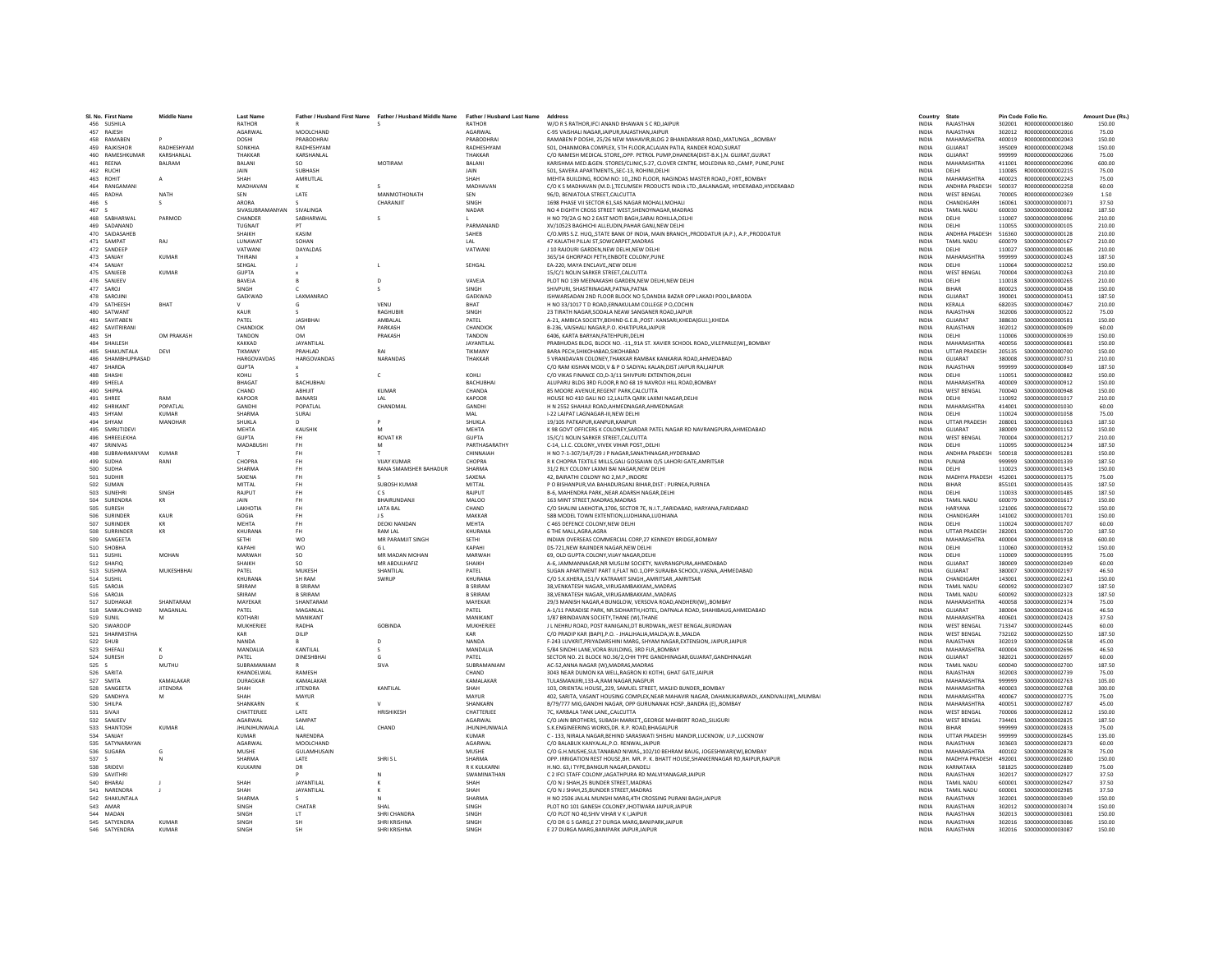|        | SI, No. First Name            | <b>Middle Name</b> | <b>Last Name</b>    | Father / Husband First Name | Father / Husband Middle Name | Father / Husband Last Name Address |                                                                                          | Country                      | State                 |                  | Pin Code Folio No.                    | Amount Due (Rs   |
|--------|-------------------------------|--------------------|---------------------|-----------------------------|------------------------------|------------------------------------|------------------------------------------------------------------------------------------|------------------------------|-----------------------|------------------|---------------------------------------|------------------|
|        | 456 SUSHILA                   |                    | <b>RATHOR</b>       |                             |                              | RATHOR                             | W/O R S RATHOR.IFCI ANAND BHAWAN S C RD.JAIPUR                                           | <b>INDIA</b>                 | RAIASTHAN             | 302001           | R000000000001860                      | 150.00           |
|        | 457 RAJESH                    |                    | AGARWAL             | MOOLCHAND                   |                              | AGARWAL                            | C-95 VAISHALI NAGAR, JAIPUR, RAJASTHAN, JAIPUR                                           | <b>INDIA</b>                 | RAJASTHAN             | 302012           | R000000000002016                      | 75.00            |
|        | 458 RAMABEN                   |                    | DOSHI               | PRABODHRAI                  |                              | PRARODHRAI                         | RAMABEN P DOSHI, 25/26 NEW MAHAVIR, BLDG 2 BHANDARKAR ROAD,, MATUNGA "BOMBAY             | <b>INDIA</b>                 | MAHARASHTRA           | 400019           | R000000000002043                      | 150.00           |
|        | 459 RAJKISHOP                 | RADHESHYAM         | SONKHIA             | RADHESHYAM                  |                              | RADHESHYAM                         | 501, DHANMORA COMPLEX, 5TH FLOOR, ACLAJAN PATIA, RANDER ROAD, SURAT                      | <b>INDIA</b>                 | <b>GUIARAT</b>        | 395009           | B000000000002048                      | 150.00           |
|        | 460 RAMESHKUMAR               | KARSHANLAL         | THAKKAR             | KARSHANLAL                  |                              | THAKKAR                            | C/O RAMESH MEDICAL STORE. OPP. PETROL PUMP.DHANERA(DIST-B.K.).N. GUJRAT.GUJRAT           | <b>INDIA</b>                 | GUJARAT               | 999999           | R000000000002066                      | 75.00            |
|        | 461 REENA                     | BALRAM             | BALANI              | SO.                         | <b>MOTIRAM</b>               | BALANI                             | KARISHMA MED.&GEN. STORES/CLINIC,S-27, CLOVER CENTRE, MOLEDINA RD.,CAMP, PUNE,PUNE       | <b>INDIA</b>                 | MAHARASHTRA           | 411001           | R000000000002096                      | 600.00           |
|        | 462 RUCH                      |                    | <b>JAIN</b>         | SUBHASH                     |                              | JAIN                               | 501, SAVERA APARTMENTS, SEC-13, ROHINI, DELHI                                            | INDIA                        | <b>DELHI</b>          | 110085           | R000000000002215                      | 75.00            |
|        | 463 ROHIT                     |                    | SHAH                | AMRUTLAL                    |                              | SHAH                               | MEHTA BUILDING, ROOM NO: 10,,2ND FLOOR, NAGINDAS MASTER ROAD,,FORT,,BOMBAY               | <b>INDIA</b>                 | MAHARASHTRA           | 400023           | R000000000002243                      | 75.00            |
|        | 464 RANGAMANI                 |                    | MADHAVAN            |                             |                              | MADHAVAN                           | C/O K S MADHAVAN (M.D.), TECUMSEH PRODUCTS INDIA LTD., BALANAGAR, HYDERABAD, HYDERABAD   | <b>INDIA</b>                 | <b>ANDHRA PRADESH</b> | 500037           | B000000000002258                      | 60.00            |
|        | 465 RADHA                     | <b>NATH</b>        | SEN                 | LATE                        | MANMOTHONATH                 | SEN                                | 96/D. BENIATOLA STREET.CALCUTTA                                                          | <b>INDIA</b>                 | <b>WEST BENGAL</b>    | 700005           | R000000000002369                      | 1.50             |
| 466 S  |                               |                    | ARORA               |                             | CHARANJIT                    | SINGH                              | 1698 PHASE VII SECTOR 61.SAS NAGAR MOHALI.MOHALI                                         | <b>INDIA</b>                 | CHANDIGARH            | 160061           | \$000000000000071                     | 37.50            |
| 467 S  |                               |                    | SIVASURRAMANYAN     | SIVALINGA                   |                              | NADAR                              | NO 4 EIGHTH CROSS STREET WEST.SHENOYNAGAR.MADRAS                                         | <b>INDIA</b>                 | TAMIL NADLI           | 600030           | \$000000000000082                     | 187.50           |
|        | 468 SABHARWAL                 | PARMOD             | CHANDER             | SARHARWAL                   |                              |                                    | H NO 79/2A G NO 2 EAST MOTI BAGH SARAI ROHILLA DELHI                                     | <b>INDIA</b>                 | <b>DELHI</b>          | 110007           | \$000000000000096                     | 210.00           |
|        | 469 SADANAND                  |                    | <b>TUGNAIT</b>      | DT                          |                              | PARMANAND                          | XV/10523 BAGHICHI ALLEUDIN.PAHAR GANJ.NEW DELHI                                          | <b>INDIA</b>                 | <b>DELHI</b>          | 110055           | \$000000000000105                     | 210.00           |
|        |                               |                    |                     |                             |                              |                                    |                                                                                          |                              |                       |                  |                                       |                  |
|        | 470 SAIDASAHEB                |                    | SHAIKH              | KASIM                       |                              | SAHEB                              | C/O.MRS S.Z. HUQ, STATE BANK OF INDIA, MAIN BRANCH, PRODDATUR (A.P.), A.P., PRODDATUR    | INDIA                        | ANDHRA PRADESH        | 516360           | S000000000000128                      | 210.00           |
|        | 471 SAMPAT                    | RAJ                | LUNAWAT             | SOHAN                       |                              | IAI                                | 47 KALATHI PILLAI ST.SOWCARPET.MADRAS                                                    | <b>INDIA</b>                 | TAMIL NADU            | 600079           | S000000000000167                      | 210.00           |
|        | 472 SANDEEP                   |                    | VATWANI             | <b>DAYALDAS</b>             |                              | VATWANI                            | L10 RAIOURI GARDEN NEW DELHLNEW DELHL                                                    | <b>INDIA</b>                 | <b>DELHI</b>          | 110027           | \$000000000000186                     | 210.00           |
|        | 473 SANJAY                    | <b>KUMAR</b>       | THIRANI             |                             |                              |                                    | 365/14 GHORPADI PETH, ENBOTE COLONY, PUNE                                                | INDIA                        | MAHARASHTRA           | 999999           | \$000000000000243                     | 187.50           |
|        | 474 SANJAY                    |                    | SEHGAL              |                             |                              | SEHGAL                             | EA-220, MAYA ENCLAVENEW DELHI                                                            | <b>INDIA</b>                 | DELHI                 | 110064           | \$000000000000252                     | 150.00           |
|        | 475 SANJEEE                   | <b>KUMAR</b>       | <b>GUPTA</b>        |                             |                              |                                    | 15/C/1 NOLIN SARKER STREET.CALCUTT/                                                      | <b>INDIA</b>                 | <b>WEST BENGAL</b>    | 700004           | \$000000000000263                     | 210.00           |
|        | 476 SANJEEV                   |                    | <b>RAVEIA</b>       |                             | $\Omega$                     | VAVEIA                             | PLOT NO 139 MEENAKASHI GARDEN, NEW DELHI, NEW DELHI                                      | <b>INDIA</b>                 | <b>DELHI</b>          | 110018           | \$000000000000265                     | 210.00           |
|        | 477 SAROJ                     |                    | SINGH               |                             |                              | SINGH                              | SHIVPURI, SHASTRINAGAR, PATNA, PATNA                                                     | <b>INDIA</b>                 | BIHAR                 | 800023           | \$000000000000438                     | 150.00           |
|        | 478 SAROJIN                   |                    | GAEKWAD             | LAXMANRAO                   |                              | GAEKWAD                            | ISHWARSADAN 2ND FLOOR BLOCK NO 5, DANDIA BAZAR OPP LAKADI POOL, BARODA                   | <b>INDIA</b>                 | GUJARAT               | 390001           | \$000000000000451                     | 187.50           |
|        | 479 SATHEESH                  | BHAT               |                     |                             | VFNU                         | <b>RHAT</b>                        | H NO 33/1017 T D ROAD.ERNAKULAM COLLEGE P O.COCHIN                                       | <b>INDIA</b>                 | KERALA                | 682035           | \$000000000000467                     | 210.00           |
|        | 480 SATWANT                   |                    | KAUR                |                             | <b>RAGHUBIF</b>              | <b>SINGH</b>                       | 23 TIRATH NAGAR, SODALA NEAW SANGANER ROAD, JAIPUR                                       | INDIA                        | RAJASTHAN             | 302006           | \$000000000000522                     | 75.00            |
|        | 481 SAVITABER                 |                    | PATEL               | <b>JASHBHAI</b>             | AMBALAL                      | PATEL                              | A-21, AMBICA SOCIETY, BEHIND G.E.B., POST: KANSARI, KHEDA(GUJ.), KHEDA                   | <b>INDIA</b>                 | GUJARAT               | 388630           | \$000000000000581                     | 150.00           |
|        | 482 SAVITRIRANI               |                    | CHANDIOK            | OM                          | PARKASH                      | CHANDIOK                           | B-236, VAISHALI NAGAR, P.O. KHATIPURAJAIPUR                                              | <b>INDIA</b>                 | RAJASTHAN             | 302012           | \$000000000000609                     | 60.00            |
|        | 483 SH                        | OM PRAKASH         | <b>TANDON</b>       | OM                          | PRAKASH                      | TANDON                             | 6406, KARTA BARYAN, FATEHPURI, DELHI                                                     | <b>INDIA</b>                 | DELHI                 | 110006           | \$000000000000639                     | 150.00           |
|        |                               |                    |                     |                             |                              |                                    |                                                                                          |                              |                       |                  |                                       |                  |
|        | 484 SHAILESH                  |                    | KAKKAD              | JAYANTILAL                  |                              | <b>JAYANTILA</b>                   | PRABHUDAS BLDG, BLOCK NO. - 11,,91A ST. XAVIER SCHOOL ROAD,,VILEPARLE(W),,BOMBAY         | <b>INDIA</b>                 | MAHARASHTRA           | 400056           | \$000000000000681                     | 150.00           |
|        | 485 SHAKUNTALA                | DEVI               | TIKMANY             | PRAHLAD                     | RAI                          | TIKMANY                            | BARA PECH, SHIKOHABAD, SIKOHABAD                                                         | INDIA                        | <b>UTTAR PRADESH</b>  | 205135           | \$000000000000700                     | 150.00           |
|        | 486 SHAMBHUPRASAD             |                    | <b>HARGOVAVDAS</b>  | HARGOVANDAS                 | NARANDAS                     | THAKKAR                            | 5 VRANDAVAN COLONEY.THAKKAR RAMBAK KANKARIA ROAD, AHMEDABAD                              | <b>INDIA</b>                 | GUJARAT               | 380008           | \$000000000000731                     | 210.00           |
|        | 487 SHARDA                    |                    | <b>GUPTA</b>        |                             |                              |                                    | C/O RAM KISHAN MODI.V & P O SADIYAL KALAN.DIST JAIPUR RAJJAIPUR                          | <b>INDIA</b>                 | RAJASTHAN             | 999999           | \$000000000000849                     | 187.50           |
|        | 488 SHASHI                    |                    | KOHII               |                             | $\mathsf{c}$                 | KOHLI                              | C/O VIKAS FINANCE CO, D-3/11 SHIVPURI EXTENTION, DELHI                                   | <b>INDIA</b>                 | <b>DELHI</b>          | 110051           | \$000000000000882                     | 150.00           |
|        | 489 SHEELA                    |                    | <b>BHAGA</b>        | <b>BACHUBHAI</b>            |                              | <b>BACHUBHAI</b>                   | ALUPARU BLDG 3RD FLOOR.R NO 68 19 NAVROJI HILL ROAD.BOMBAY                               | <b>INDIA</b>                 | MAHARASHTRA           | 400009           | \$000000000000912                     | 150.00           |
|        | 490 SHIPRA                    |                    | CHAND               | <b>ARHIUT</b>               | KUMAR                        | CHANDA                             | 85 MOORE AVENUE.REGENT PARK.CALCUTTA                                                     | <b>INDIA</b>                 | <b>WEST BENGAL</b>    | 700040           | \$000000000000948                     | 150.00           |
|        | 491 SHRFF                     | RAM                | KAPOOR              | <b>BANARSI</b>              | IAI                          | KAPOOR                             | HOUSE NO 410 GALI NO 12.LALITA OARK LAXMI NAGAR.DELHI                                    | <b>INDIA</b>                 | <b>DELHI</b>          | 110092           | \$000000000001017                     | 210.00           |
|        | 492 SHRIKANT                  | POPATI AI          | <b>GANDH</b>        | POPATLAL                    | CHANDMAL                     | <b>GANDHI</b>                      | H N 2552 SHAHAJI ROAD, AHMEDNAGAR, AHMEDNAGAR                                            | <b>INDIA</b>                 | MAHARASHTRA           | 414001           | \$000000000001030                     | 60.00            |
|        | 493 SHYAM                     | <b>KUMAR</b>       | SHARMA              | SURAJ                       |                              | MAL                                | I-22 LAJPAT LAGNAGAR-III, NEW DELHI                                                      | INDIA                        | DELHI                 | 110024           | \$000000000001058                     | 75.00            |
|        | 494 SHYAM                     | MANOHAR            | SHUKLA              |                             |                              | SHUKLA                             | 19/105 PATKAPUR.KANPUR.KANPUR                                                            | <b>INDIA</b>                 | <b>UTTAR PRADESH</b>  | 208001           | \$000000000001063                     | 187.50           |
|        | 495 SMRUTIDEVI                |                    | MEHTA               | KAUSHIK                     | M                            | <b>MFHTA</b>                       | K 98 GOVT OFFICERS K COLONEY, SARDAR PATEL NAGAR RD NAVRANGPURA, AHMEDABAD               | <b>INDIA</b>                 | GUIARAT               | 380009           | \$000000000001152                     | 150.00           |
|        | 496 SHREELEKHA                |                    | <b>GUPTA</b>        | FH                          | <b>ROVAT KR</b>              | <b>GUPTA</b>                       | 15/C/1 NOLIN SARKER STREET, CALCUTTA                                                     | INDIA                        | <b>WEST BENGAL</b>    | 700004           | S000000000001217                      | 210.00           |
| 497    | SRINIVAS                      |                    | MADABUSH            | FH                          | M                            | PARTHASARATH                       | C-14, L.I.C. COLONYVIVEK VIHAR POSTDELH                                                  | <b>INDIA</b>                 | DELHI                 | 110095           | S000000000001234                      | 187.50           |
|        |                               | <b>KUMAR</b>       |                     |                             |                              |                                    | H NO 7-1-307/14/F/29 J P NAGAR SANATHNAGAR HYDERABAD                                     |                              | ANDHRA PRADESH        |                  |                                       |                  |
|        | 498 SUBRAHMANYAM<br>499 SUDHA | RANI               | CHOPRA              | FH<br>FH.                   | VIIAY KUMAR                  | CHINNAIAH<br>CHOPRA                |                                                                                          | <b>INDIA</b><br><b>INDIA</b> | PUNIAR                | 500018<br>999999 | S000000000001281<br>\$000000000001339 | 150.00<br>187.50 |
|        |                               |                    |                     |                             |                              |                                    | R K CHOPRA TEXTILE MILLS, GALI GOSSAIAN O/S LAHORI GATE, AMRITSAR                        |                              |                       |                  |                                       |                  |
|        | 500 SUDHA                     |                    | <b>SHARMA</b>       | FH                          | RANA SMAMSHER BAHADUR        | <b>SHARMA</b>                      | 31/2 RLY COLONY LAXMI BAI NAGAR.NEW DELHI                                                | <b>INDIA</b>                 | DELHI                 | 110023           | S000000000001343                      | 150.00           |
|        | 501 SUDHIP                    |                    | SAXENA              | FH                          |                              | SAXENA                             | 42, BAIRATHI COLONY NO 2,M.P., INDORE                                                    | INDIA                        | MADHYA PRADESH        | 452001           | \$000000000001375                     | 75.00            |
|        | 502 SUMAN                     |                    | MITTAL              | FH.                         | <b>SUBOSH KUMAR</b>          | <b>MITTAI</b>                      | P O RISHANPUR VIA RAHADURGANI RIHAR DIST : PURNEA PURNEA                                 | <b>INDIA</b>                 | <b>RIHAR</b>          | 855101           | \$000000000001435                     | 187.50           |
|        | 503 SUNEHR                    | SINGH              | RAJPUT              | FH.                         | C S                          | RAIDLIT                            | B-6, MAHENDRA PARK,, NEAR ADARSH NAGAR, DELHI                                            | <b>INDIA</b>                 | <b>DELHI</b>          | 110033           | \$000000000001485                     | 187.50           |
| 504    | SURENDR/                      | KR                 | JAIN                | FH                          | BHAIRUNDANJI                 | <b>MALOO</b>                       | 163 MINT STREET, MADRAS, MADRAS                                                          | INDIA                        | <b>TAMIL NADU</b>     | 600079           | \$000000000001617                     | 150.00           |
|        | 505 SURFSH                    |                    | LAKHOTIA            | FH.                         | LATA BAL                     | CHAND                              | C/O SHALINI LAKHOTIA,1706, SECTOR 7E, N.I.T., FARIDABAD, HARYANA, FARIDABAD              | <b>INDIA</b>                 | <b>HARYANA</b>        | 121006           | \$000000000001672                     | 150.00           |
|        | 506 SURINDER                  | KAUR               | GOGIA               | FH                          | J S                          | MAKKAR                             | 58B MODEL TOWN EXTENTION.LUDHIANA.LUDHIANA                                               | <b>INDIA</b>                 | CHANDIGARH            | 141002           | S000000000001701                      | 150.00           |
|        | 507 SURINDER                  | KR                 | MFHTA               | FH.                         | <b>DEOKI NANDAN</b>          | <b>MFHTA</b>                       | C 465 DEFENCE COLONY.NEW DELHI                                                           | <b>INDIA</b>                 | <b>DELHI</b>          | 110024           | S000000000001707                      | 60.00            |
| 508    | SURRINDER                     | KR                 | KHURANA             | FH                          | RAM LA                       | <b>KHURAN</b>                      | 6 THE MALL, AGRA, AGRA                                                                   | INDIA                        | <b>UTTAR PRADESH</b>  | 282001           | S000000000001720                      | 187.50           |
|        | 509 SANGEETA                  |                    | SETHI               | <b>WO</b>                   | MR PARAMJIT SINGH            | SETHI                              | INDIAN OVERSEAS COMMERCIAL CORP.27 KENNEDY BRIDGE.BOMBAY                                 | <b>INDIA</b>                 | MAHARASHTRA           | 400004           | S000000000001918                      | 600.00           |
|        | 510 SHORHA                    |                    | KAPAHI              | <b>WO</b>                   | G L                          | KAPAHI                             | DS-721.NEW RAJINDER NAGAR.NEW DELHI                                                      | <b>INDIA</b>                 | <b>DELHI</b>          | 110060           | \$000000000001932                     | 150.00           |
|        | 511 SUSHIL                    | MOHAN              | MARWAH              | $\sf SO$                    | MR MADAN MOHAN               | MARWAH                             | 69, OLD GUPTA COLONY, VIJAY NAGAR, DELHI                                                 | INDIA                        | DELHI                 | 110009           | \$000000000001995                     | 75.00            |
|        | 512 SHAFIC                    |                    | SHAIKH              | SO.                         | MR ABDULHAFIZ                | SHAIKH                             | A-6, JAMMANNAGAR, NR MUSLIM SOCIETY, NAVRANGPURA, AHMEDABAD                              | <b>INDIA</b>                 | <b>GUJARAT</b>        | 380009           | \$000000000002049                     | 60.00            |
|        | 513 SUSHMA                    | MUKESHBHAI         | PATFI               | MUKESH                      | SHANTILAL                    | PATFI                              | SUGAN APARTMENT PART II.FLAT NO.1.OPP.SURAJBA SCHOOL.VASNAAHMEDABAD                      | <b>INDIA</b>                 | GUIARAT               | 380007           | \$000000000002197                     | 46.50            |
|        | 514 SUSHIL                    |                    | KHURANA             | SH RAM                      | SWRUP                        | KHURANA                            |                                                                                          | <b>INDIA</b>                 | CHANDIGARH            |                  |                                       |                  |
|        |                               |                    | SRIRAM              | <b>B SRIRAM</b>             |                              | <b>B SRIBAM</b>                    | C/O S.K.KHERA,151/V KATRAMIT SINGH,,AMRITSAR.,AMRITSAR                                   |                              |                       | 143001           | S000000000002241                      | 150.00           |
|        | 515 SAROJ/                    |                    |                     |                             |                              |                                    | 38, VENKATESH NAGAR, , VIRUGAMBAKKAM, , MADRAS                                           | <b>INDIA</b>                 | <b>TAMIL NADU</b>     | 600092           | \$000000000002307                     | 187.50           |
|        | 516 SAROJ/                    |                    | SRIRAM              | <b>B SRIRAM</b>             |                              | <b>B SRIRAM</b>                    | 38, VENKATESH NAGAR, , VIRUGAMBAKKAM., MADRAS                                            | <b>INDIA</b>                 | TAMIL NADU            | 600092           | \$000000000002323                     | 187.50           |
|        | 517 SUDHAKAR                  | SHANTARAM          | MAYEKAR             | SHANTARAM                   |                              | MAYEKAR                            | 29/3 MANISH NAGAR.4 BUNGLOW, VERSOVA ROAD, ANDHERI(W)., BOMBAY                           | <b>INDIA</b>                 | MAHARASHTRA           | 400058           | S000000000002374                      | 75.00            |
|        | 518 SANKALCHAND               | MAGANLAL           | PATEL               | <b>MAGANI AI</b>            |                              | PATFI                              | A-1/11 PARADISE PARK, NR.SIDHARTH,HOTEL, DAFNALA ROAD, SHAHIBAUG,AHMEDABAD               | <b>INDIA</b>                 | GUIARAT               | 380004           | \$000000000002416                     | 46.50            |
|        | 519 SUNIL                     |                    | <b>KOTHAR</b>       | MANIKANT                    |                              | <b>MANIKANT</b>                    | 1/87 BRINDAVAN SOCIETY, THANE (W), THANE                                                 | INDIA                        | MAHARASHTRA           | 400601           | \$000000000002423                     | 37.50            |
|        | 520 SWAROOR                   |                    | MUKHERJEE           | RADHA                       | <b>GOBINDA</b>               | MUKHERJEE                          | J L NEHRU ROAD, POST RANIGANJ.DT BURDWAN, WEST BENGAL BURDWAN                            | <b>INDIA</b>                 | <b>WEST BENGAL</b>    | 713347           | S00000000002445                       | 60.00            |
|        | 521 SHARMISTHA                |                    | KAR                 | DILIP                       |                              | KAR                                | C/O PRADIP KAR (BAPI).P.O. - JHALJHALIA.MALDA.W.B.,MALDA                                 | <b>INDIA</b>                 | <b>WEST BENGAL</b>    | 732102           | \$000000000002550                     | 187.50           |
|        | 522 SHUR                      |                    | <b>NANDA</b>        |                             | $\Omega$                     | NANDA                              | F-243 LUVKRIT.PRIYADARSHINI MARG. SHYAM NAGAR.EXTENSION. JAIPUR.JAIPUR                   | <b>INDIA</b>                 | RAIASTHAN             | 302019           | \$000000000002658                     | 45.00            |
|        | 523 SHEFAL                    |                    | MANDALIA            | KANTILAI                    |                              | MANDALIA                           | 5/84 SINDHI LANE.VORA BUILDING, 3RD FLR., BOMBAY                                         | <b>INDIA</b>                 | MAHARASHTRA           | 400004           | \$000000000002696                     | 46.50            |
|        | 524 SURESH                    |                    | PATEL               | <b>DINESHBHA</b>            | G                            | PATEL                              | SECTOR NO. 21 BLOCK NO.36/2, CHH TYPE GANDHINAGAR, GUJARAT, GANDHINAGAR                  | <b>INDIA</b>                 | GUJARAT               | 382021           | \$000000000002697                     | 60.00            |
| 525<   |                               | MUTHU              | SURRAMANIAM         |                             | SIVA                         | SURRAMANIAM                        | AC-52.ANNA NAGAR (W).MADRAS.MADRAS                                                       | <b>INDIA</b>                 | TAMIL NADLI           | 600040           | \$000000000002700                     | 187.50           |
|        | 526 SARITA                    |                    | KHANDELWAL          | RAMESH                      |                              | CHAND                              | 3043 NEAR DUMON KA WELL, RAGRON KI KOTHI, GHAT GATE, JAIPUR                              | <b>INDIA</b>                 | RAJASTHAN             | 302003           | \$000000000002739                     | 75.00            |
| 527    | <b>SMITA</b>                  | KAMALAKAR          | <b>DURAGKAR</b>     | KAMALAKAF                   |                              | KAMALAKAR                          | TULASMANJIRI.133-A.RAM NAGAR.NAGPUR                                                      | <b>INDIA</b>                 | MAHARASHTRA           | 999999           | S000000000002763                      | 105.00           |
|        | 528 SANGEET/                  | <b>JITENDRA</b>    | SHAH                | <b>IITENDRA</b>             | KANTILAI                     | <b>SHAH</b>                        | 103, ORIENTAL HOUSE, 229, SAMUEL STREET, MASJID BUNDER, BOMBAY                           | <b>INDIA</b>                 | MAHARASHTRA           | 400003           | \$000000000002768                     | 300.00           |
|        | 529 SANDHYA                   | M                  | SHAH                | MAYUR                       |                              | MAYUR                              | 402, SARITA, VASANT HOUSING COMPLEX, NEAR MAHAVIR NAGAR, DAHANUKARWADIKANDIVALI(W)MUMBAI | <b>INDIA</b>                 | MAHARASHTRA           | 400067           | S000000000002775                      | 75.00            |
|        | 530 SHILPA                    |                    | SHANKARN            |                             |                              | SHANKARN                           | B/79/777 MIG, GANDHI NAGAR, OPP GURUNANAK HOSP., BANDRA (E), ,BOMBAY                     | <b>INDIA</b>                 | MAHARASHTRA           | 400051           | \$000000000002787                     | 45.00            |
|        | 531 SIVAJ                     |                    | CHATTERJEE          | LATE                        | HRISHIKESH                   | CHATTERJEE                         | 7C, KARBALA TANK LANE, CALCUTTA                                                          | INDIA                        | WEST BENGAL           | 700006           | \$000000000002812                     | 150.00           |
|        | 532 SANJEEV                   |                    | AGARWAL             | SAMPAT                      |                              | AGARWAL                            | C/O JAIN BROTHERS, SUBASH MARKET., GEORGE MAHBERT ROAD, SILIGURI                         | <b>INDIA</b>                 | <b>WEST BENGAL</b>    | 734401           | \$000000000002825                     | 187.50           |
|        | 533 SHANTOSH                  | KUMAR              | <b>IHUNIHUNWALA</b> | IAI                         | CHAND                        | <b>IHUNIHUNWALA</b>                | S.K. ENGINEERING WORKS DR. R.P. ROAD BHAGALPUR                                           | <b>INDIA</b>                 | <b>RIHAR</b>          | 999999           | \$000000000002833                     | 75.00            |
|        | 534 SANJAY                    |                    | KUMAR               | NARENDRA                    |                              | KUMAR                              | C - 133, NIRALA NAGAR, BEHIND SARASWATI SHISHU MANDIR, LUCKNOW, U.P., LUCKNOW            | INDIA                        | <b>UTTAR PRADESH</b>  | 999999           | \$000000000002845                     | 135.00           |
| 535    | SATYNARAYAN                   |                    | AGARWAI             | MOOLCHAND                   |                              | AGARWAL                            | C/O BALABUX KANYALAL.P.O. RENWAL.JAIPUR                                                  | <b>INDIA</b>                 | RAJASTHAN             | 303603           | \$000000000002873                     | 60.00            |
|        |                               |                    |                     |                             |                              |                                    |                                                                                          |                              | MAHARASHTRA           |                  |                                       |                  |
|        | 536 SUGARA                    |                    | MUSHE               | <b>GUI AMHUSAIN</b>         |                              | MUSHE                              | C/O G.H.MUSHE, SULTANABAD NIWAS,, 102/10 BEHRAM BAUG, JOGESHWARI(W), BOMBAY              | <b>INDIA</b>                 |                       | 400102           | \$000000000002878                     | 75.00            |
| 537 \$ |                               |                    | SHARMA              | <b>IATF</b>                 | SHRLS L                      | SHARMA                             | OPP. IRRIGATION REST HOUSE, BH. MR. P. K. BHATT HOUSE, SHANKERNAGAR RD, RAIPUR, RAIPUF   | <b>INDIA</b>                 | MADHYA PRADESH 492001 |                  | \$000000000002880                     | 150.00           |
|        | 538 SRIDEV                    |                    | KULKARNI            | DR                          |                              | R K KULKARN                        | H.NO. 63,I TYPE, BANGUR NAGAR, DANDELI                                                   | <b>INDIA</b>                 | KARNATAKA             | 581825           | \$000000000002889                     | 75.00            |
|        | 539 SAVITHRI                  |                    |                     |                             |                              | SWAMINATHAN                        | C 2 IFCI STAFF COLONY, JAGATHPURA RD MALVIYANAGAR, JAIPUR                                | <b>INDIA</b>                 | RAJASTHAN             | 302017           | \$00000000002927                      | 37.50            |
|        | 540 BHARAJ                    |                    | SHAH                | JAYANTILAL                  |                              | SHAH                               | C/O N J SHAH.25 BUNDER STREET.MADRAS                                                     | <b>INDIA</b>                 | TAMIL NADU            | 600001           | S000000000002947                      | 37.50            |
|        | 541 NARENDRA                  |                    | <b>SHAH</b>         | JAYANTILAL                  |                              | SHAH                               | C/O N J SHAH.25.BUNDER STREET.MADRAS                                                     | <b>INDIA</b>                 | <b>TAMIL NADLI</b>    | 600001           | \$000000000002985                     | 37.50            |
|        | 542 SHAKUNTAL/                |                    | <b>SHARMA</b>       |                             |                              | <b>SHARMA</b>                      | H NO 2506 JAILAL MUNSHI MARG,4TH CROSSING PURANI BAGH,JAIPUR                             | INDIA                        | RAJASTHAN             | 302001           | \$000000000003049                     | 150.00           |
|        | 543 AMAR                      |                    | SINGH               | CHATAR                      | SHAI                         | <b>SINGH</b>                       | PLOT NO 101 GANESH COLONEY JHOTWARA JAIPUR JAIPUR                                        | <b>INDIA</b>                 | RAIASTHAN             | 302012           | \$000000000003074                     | 150.00           |
|        | 544 MADAN                     |                    | SINGH               | LT                          | SHRI CHANDRA                 | SINGH                              | C/O PLOT NO 40.SHIV VIHAR V K I JAIPUR                                                   | <b>INDIA</b>                 | RAJASTHAN             |                  |                                       | 150.00           |
|        | 545 SATYFNDRA                 | KUMAR              | SINGH               | <b>SH</b>                   | SHRI KRISHNA                 | <b>SINGH</b>                       | C/O DR G S GARG.E 27 DURGA MARG.BANIPARKJAIPUR                                           | <b>INDIA</b>                 | RAIASTHAN             |                  | 302016 \$000000000003086              | 150.00           |
|        | 546 SATYENDRA                 | KUMAR              | SINGH               | <b>SH</b>                   | SHRI KRISHNA                 | SINGH                              | E 27 DURGA MARG.BANIPARK JAIPUR JAIPUF                                                   | <b>INDIA</b>                 | RAJASTHAN             | 302016           | \$000000000003087                     | 150.00           |
|        |                               |                    |                     |                             |                              |                                    |                                                                                          |                              |                       |                  |                                       |                  |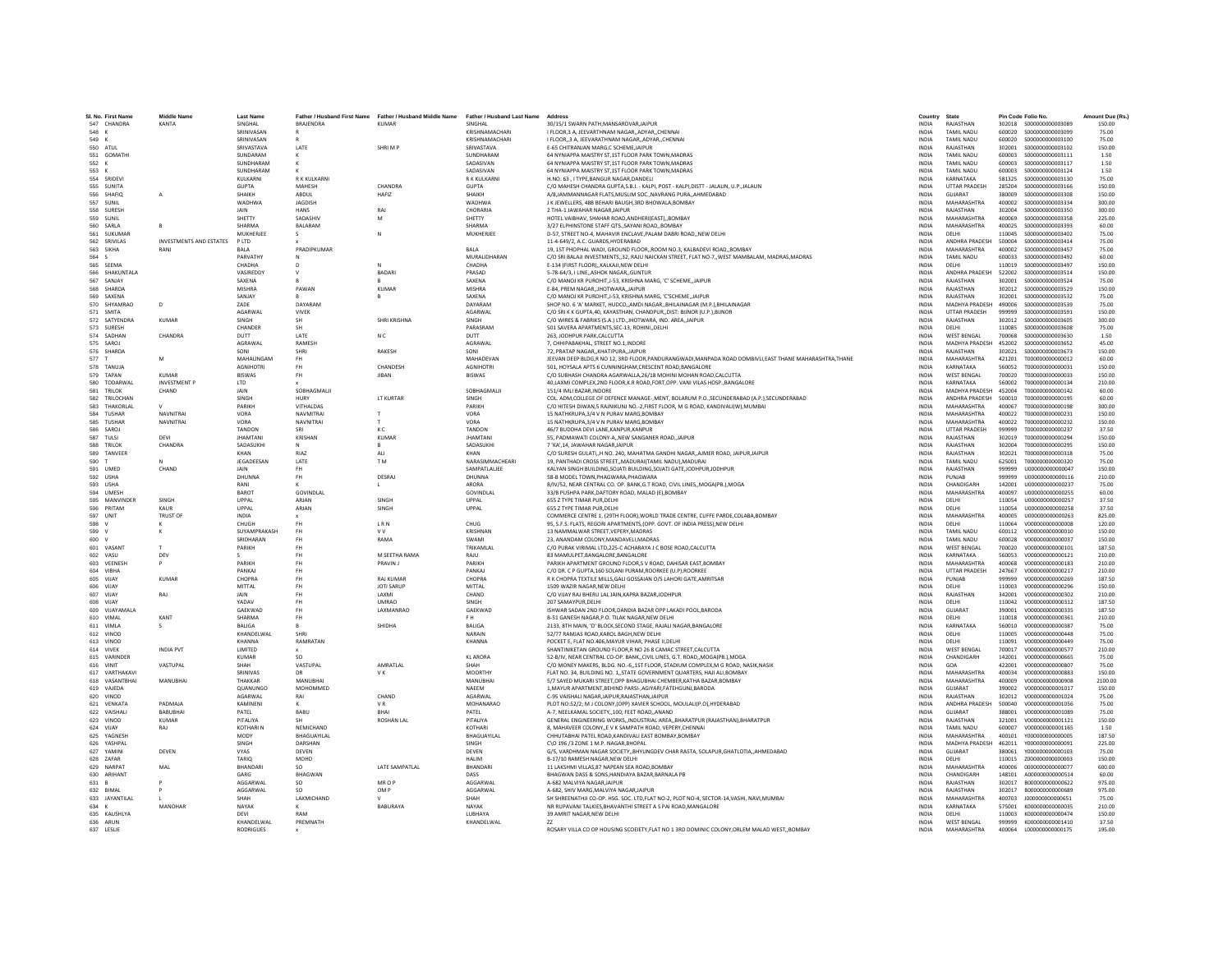| SI, No. First Name          | Middle Name             | <b>Last Name</b>         | Father / Husband First Name | Father / Husband Middle Name | Father / Husband Last Name Address |                                                                                                                    | Country                      | State                                    |                  | Pin Code Folio No.                                 | Amount Due (Rs.) |
|-----------------------------|-------------------------|--------------------------|-----------------------------|------------------------------|------------------------------------|--------------------------------------------------------------------------------------------------------------------|------------------------------|------------------------------------------|------------------|----------------------------------------------------|------------------|
| 547 CHANDRA                 | KANTA                   | SINGHAL                  | BRAJENDRA                   | <b>KUMAR</b>                 | SINGHAL                            | 30/15/1 SWARN PATH.MANSAROVAR.JAIPUR<br>LELOOR 3 A JEEVARTHNAM NAGAR ADYAR CHENNAL                                 | <b>INDIA</b>                 | RAJASTHAN                                | 302018           | \$000000000003089                                  | 150.00           |
| 548 K                       |                         | SRINIVASAN<br>SRINIVASAN |                             |                              | KRISHNAMACHARI                     |                                                                                                                    | <b>INDIA</b><br><b>INDIA</b> | <b>TAMIL NADLI</b><br><b>TAMIL NADLI</b> | 600020           | 600020 \$000000000003099<br>\$000000000003100      | 75.00            |
| 549 K                       |                         |                          |                             |                              | KRISHNAMACHARI                     | I FLOOR, 3 A, JEEVARATHNAM NAGAR, ADYAR, CHENNAI                                                                   |                              |                                          |                  |                                                    | 75.00            |
| 550<br>ATUL                 |                         | SRIVASTAVA               | LATE                        | SHRIM F                      | SRIVASTAV/                         | E-65 CHITRANJAN MARG.C SCHEME JAIPUR                                                                               | <b>INDIA</b>                 | RAJASTHAN                                | 302001           | \$000000000003102                                  | 150.00           |
| 551 GOMATHI                 |                         | SUNDARAM                 |                             |                              | SUNDHARAM                          | 64 NYNIAPPA MAISTRY ST,1ST FLOOR PARK TOWN, MADRAS                                                                 | INDIA                        | TAMIL NADU                               | 600003           | S000000000003111                                   | 1.50             |
| 552 K                       |                         | SUNDHARAM<br>SUNDHARAM   |                             |                              | SADASIVAN                          | 64 NYNIAPPA MAISTRY ST 1ST FLOOR PARK TOWN MADRAS                                                                  | <b>INDIA</b><br><b>INDIA</b> | <b>TAMIL NADLI</b>                       | 600003           | \$000000000003117                                  | 1.50             |
| 553 K                       |                         |                          |                             |                              | SADASIVAN                          | 64 NYNIAPPA MAISTRY ST.1ST FLOOR PARK TOWN.MADRAS                                                                  |                              | <b>TAMIL NADU</b>                        | 600003           | S000000000003124                                   | 1.50             |
| 554 SRIDEVI                 |                         | KULKARN                  | R K KULKARN                 |                              | R K KULKARN                        | H.NO. 63, I TYPE, BANGUR NAGAR, DANDEL                                                                             | INDIA                        | KARNATAKA                                | 581325           | \$000000000003130                                  | 75.00            |
| 555 SUNITA                  |                         | <b>GUPTA</b>             | MAHESH                      | CHANDRA                      | <b>GUPTA</b>                       | C/O MAHESH CHANDRA GUPTA, S.B.I. - KALPI, POST - KALPI, DISTT - JALAUN, U.P., JALAUN                               | <b>INDIA</b>                 | <b>UTTAR PRADESH</b>                     | 285204           | \$00000000003166                                   | 150.00           |
| 556 SHAFIO                  |                         | SHAIKH                   | <b>ARDUI</b>                | HAFI7                        | SHAIKH                             | A/8,JAMMANNAGAR FLATS,MUSLIM SOC.,NAVRANG PURA,,AHMEDABAD                                                          | <b>INDIA</b>                 | <b>GUIARAT</b>                           | 380009           | \$000000000003308                                  | 150.00           |
| 557 SUNIL                   |                         | WADHWA                   | <b>JAGDISH</b>              |                              | <b>WADHWA</b>                      | J K JEWELLERS, 48B BEHARI BAUGH, 3RD BHOWALA, BOMBAY                                                               | INDIA                        | MAHARASHTRA                              | 400002           | S000000000003334                                   | 300.00           |
| 558<br><b>SURES</b>         |                         | JAIN                     | <b>HANS</b>                 | RAJ                          | CHORARIA                           | 2 THA-1 JAWAHAR NAGAR JAIPUR                                                                                       | <b>INDIA</b>                 | RAJASTHAN                                | 302004           | \$000000000003350                                  | 300.00           |
| 559 SUNIL                   |                         | SHETTY                   | SADASHIV                    | M                            | SHETTY                             | HOTEL VAIBHAV, SHAHAR ROAD, ANDHERI(EAST)BOMBAY                                                                    | <b>INDIA</b>                 | MAHARASHTRA                              | 400069           | \$000000000003358                                  | 225.00           |
| 560 SARIA                   |                         | SHARMA                   | <b>BALARAM</b>              |                              | SHARMA                             | 3/27 ELPHINSTONE STAFF OTSSAYANI ROADBOMBAY                                                                        | <b>INDIA</b>                 | MAHARASHTRA                              | 400025           | \$000000000003393                                  | 60.00            |
| 561<br>SUKUMAR              |                         | MUKHERIEI                | s                           | $\mathbb{N}$                 | MUKHERJEE                          | D-57, STREET NO-4, MAHAVIR ENCLAVE, PALAM DABRI ROAD, NEW DELHI                                                    | <b>INDIA</b>                 | <b>DELHI</b>                             | 110045           | \$000000000003402                                  | 75.00            |
| 562 SRIVILAS                | INVESTMENTS AND ESTATES | PLTD                     |                             |                              |                                    | 11-4-649/2, A.C. GUARDS, HYDERABAD                                                                                 | INDIA                        | ANDHRA PRADESH                           | 500004           | S000000000003414                                   | 75.00            |
| 563 SIKHA                   | RANI                    | RAI A                    | PRADIPKUMAR                 |                              | <b>BALA</b>                        | 19, 1ST PHOPHAL WADI, GROUND FLOOR, ROOM NO.3, KALBADEVI ROAD, BOMBAY                                              | <b>INDIA</b>                 | MAHARASHTRA                              | 400002           | \$000000000003457                                  | 75.00            |
| 564<br><b>S</b>             |                         | PARVATHY                 |                             |                              | MURALIDHARAN                       | C/O SRI BALAJI INVESTMENTS, 32, RAJU NAICKAN STREET, FLAT NO-7, WEST MAMBALAM, MADRAS, MADRAS                      | <b>INDIA</b>                 | TAMIL NADU                               | 600033           | S000000000003492                                   | 60.00            |
| 565 SEEMA                   |                         | CHADHA                   |                             |                              | CHADHA                             | E-134 (FIRST FLOOR), KALKAJI, NEW DELHI                                                                            | INDIA                        | DELHI                                    | 110019           | \$000000000003497                                  | 150.00           |
| 566 SHAKUNTALA              |                         | VASIREDDY                | $\mathsf{v}$                | <b>BADARI</b>                | PRASAD                             | 5-78-64/3. I LINEASHOK NAGARGUNTUR                                                                                 | <b>INDIA</b>                 | ANDHRA PRADESH                           | 522002           | \$00000000003514                                   | 150.00           |
| 567 SANJAY                  |                         | SAXENA                   |                             | $\mathbf R$                  | SAXENA                             | C/O MANOJ KR PUROHIT, J-53, KRISHNA MARG, 'C' SCHEME,, JAIPUR                                                      | <b>INDIA</b>                 | RAJASTHAN                                | 302001           | \$000000000003524                                  | 75.00            |
| 568 SHARDA                  |                         | <b>MISHRA</b>            | PAWAN                       | <b>KUMAR</b>                 | <b>MISHRA</b>                      | E-84, PREM NAGAR, JHOTWARA, JAIPUR                                                                                 | <b>INDIA</b>                 | RAJASTHAN                                | 302012           | \$000000000003529                                  | 150.00           |
| 569<br>SAXENA               |                         | <b>SANJAY</b>            |                             | B                            | SAXENA                             | C/O MANOJ KR PUROHIT.J-53. KRISHNA MARG. 'C'SCHEMEJAIPUR                                                           | <b>INDIA</b>                 | RAJASTHAN                                | 302001           | \$000000000003532                                  | 75.00            |
| 570 SHYAMRAC                |                         | ZADE                     | DAYARAM                     |                              | DAYARAM                            | SHOP NO. 6 'A' MARKET, HUDCO,,AMDI NAGAR,,BHILAINAGAR (M.P.),BHILAINAGAR                                           | <b>INDIA</b>                 | MADHYA PRADESH                           | 490006           | \$000000000003539                                  | 75.00            |
| 571 SMITA                   |                         | <b>AGARWAI</b>           | <b>VIVEK</b>                |                              | <b>AGARWAI</b>                     | C/O SRI K K GUPTA.40, KAYASTHAN, CHANDPUR.,DIST: BUNOR (U.P.),BUNOR                                                | <b>INDIA</b>                 | <b>UTTAR PRADESH</b>                     | 999999           | \$000000000003591                                  | 150.00           |
| 572 SATYENDRA               | <b>KUMAR</b>            | <b>SINGH</b>             | <b>SH</b>                   | SHRI KRISHNA                 | SINGH                              | C/O WIRES & FABRIKS (S.A.) LTD., JHOTWARA, IND. AREA, JAIPUR                                                       | <b>INDIA</b>                 | RAJASTHAN                                | 302012           | \$000000000003605                                  | 300.00           |
| 573 SURESH                  |                         | CHANDER                  |                             |                              | PARASRAM                           | 501 SAVERA APARTMENTS.SEC-13, ROHINIDELHI                                                                          | <b>INDIA</b>                 | DELHI                                    | 110085           | \$000000000003608                                  | 75.00            |
| 574 SADHAN                  | CHANDRA                 | DUTT                     | LATE                        | N <sub>C</sub>               | DUTT                               | 263. JODHPUR PARK.CALCUTTA                                                                                         | <b>INDIA</b>                 | <b>WEST BENGAL</b>                       | 700068           | \$00000000003630                                   | 1.50             |
| 575 SAROJ                   |                         | <b>AGRAWAL</b>           | RAMESH                      |                              | <b>AGRAWAI</b>                     | 7. CHHIPABAKHAL, STREET NO.1.INDORE                                                                                | <b>INDIA</b>                 | <b>MADHYA PRADESH</b>                    | 452002           | \$000000000003652                                  | 45.00            |
| 576 SHARDA                  |                         | SONI                     | SHRI                        | RAKESH                       | SONI                               | 72, PRATAP NAGAR,, KHATIPURA,, JAIPUR                                                                              | <b>INDIA</b>                 | RAJASTHAN                                | 302021           | \$000000000003673                                  | 150.00           |
| 577                         |                         | MAHALINGAM               | FH.                         |                              | MAHADEVAN                          | JEEVAN DEEP BLDG,R NO 12, 3RD FLOOR,PANDURANGWADI,MANPADA ROAD DOMBIVLI,EAST THANE MAHARASHTRA,THANE               | <b>INDIA</b>                 | MAHARASHTRA                              | 421201           | T000000000000012                                   | 60.00            |
| 578 TANUJA                  |                         | <b>AGNIHOTRI</b>         | FH.                         | CHANDESH                     | <b>AGNIHOTRI</b>                   | 501. HOYSALA APTS 6 CUNNINGHAM.CRESCENT ROAD.BANGALORE                                                             | <b>INDIA</b>                 | KARNATAKA                                | 560052           | T000000000000031                                   | 150.00           |
| 579 TAPAN                   | KUMAR                   | <b>RISWAS</b>            | <b>FH</b>                   | <b>IIRAN</b>                 | <b>RISWAS</b>                      | C/O SUBHASH CHANDRA AGARWALLA,26/18 MOHINI MOHAN ROAD,CALCUTTA                                                     | <b>INDIA</b>                 | <b>WEST RENGAL</b>                       | 700020           | T000000000000033                                   | 150.00           |
| 580<br>TODARWAI             | <b>INVESTMENT F</b>     | LTD                      |                             |                              |                                    | 40, LAXMI COMPLEX, 2ND FLOOR, K.R ROAD, FORT, OPP. VANI VILAS HOSP., BANGALORE                                     | INDIA                        | KARNATAKA                                | 560002           | T000000000000134                                   | 210.00           |
| 581 TRILOK                  | CHAND                   | JAIN                     | SOBHAGMALI                  |                              | SOBHAGMALI                         | 151/4 IMLI BAZAR.INDORE                                                                                            | <b>INDIA</b>                 | MADHYA PRADESH                           | 452004           | T000000000000142                                   | 60.00            |
| 582 TRILOCHAN               |                         | <b>SINGH</b>             | <b>HURY</b>                 | <b>IT KURTAR</b>             | <b>SINGH</b>                       | COL. ADM, COLLEGE OF DEFENCE MANAGE- MENT. ROLARUM P.O. SECUNDERARAD (A.P.) SECUNDERARAD                           | <b>INDIA</b>                 | ANDHRA PRADESH                           | 500010           | T000000000000195                                   | 60.00            |
| 583 THAKORLAI               |                         | PARIKH                   | VITHALDAS                   |                              | <b>PARIKH</b>                      | C/O HITESH DIWAN,5 RAJNIKUNJ NO.-2, FIRST FLOOR, M G ROAD, KANDIVALI(W), MUMBAI                                    | <b>INDIA</b>                 | MAHARASHTRA                              | 400067           | T000000000000198                                   | 300.00           |
| 584 TUSHAR                  | <b>NAVNITRA</b>         | VORA                     | <b>NAVMITRA</b>             |                              | VORA                               | 15 NATHKRUPA.3/4 V N PURAV MARG.BOMBAY                                                                             | <b>INDIA</b>                 | MAHARASHTRA                              | 400022           | T000000000000231                                   | 150.00           |
|                             |                         |                          |                             |                              | VORA                               |                                                                                                                    |                              | MAHARASHTRA                              |                  |                                                    |                  |
| 585<br>TUSHAR               | <b>NAVNITRAI</b>        | VORA                     | NAVNITRAI                   | т.                           |                                    | 15 NATHKRUPA, 3/4 V N PURAV MARG, BOMBAY                                                                           | INDIA                        |                                          | 400022           | T000000000000232                                   | 150.00           |
| 586 SAROJ                   |                         | <b>TANDON</b>            | SRI                         | K C                          | TANDON                             | 46/7 BUDDHA DEVI LANE.KANPUR.KANPUR                                                                                | <b>INDIA</b>                 | <b>UTTAR PRADESH</b>                     | 999999           | T000000000000237                                   | 37.50            |
| 587 TULSI                   | DFVI                    | <b>IHAMTAN</b>           | KRISHAN                     | <b>KUMAR</b>                 | <b>IHAMTANI</b>                    | 55. PADMAWATI COLONY-A., NEW SANGANER ROAD, JAIPUR                                                                 | <b>INDIA</b>                 | RAIASTHAN                                | 302019           | T000000000000294                                   | 150.00           |
| 588<br>TRILOK               | CHANDRA                 | SADASUKH                 |                             | $\,$ B                       | SADASUKHI                          | 7 'KA',14, JAWAHAR NAGAR,JAIPUR                                                                                    | <b>INDIA</b>                 | RAJASTHAN                                | 302004           | T000000000000295                                   | 150.00           |
| 589 TANVEER                 |                         | KHAN                     | RIA7                        | <b>ALI</b>                   | KHAN                               | C/O SURESH GULATI, H NO. 240, MAHATMA GANDHI NAGAR, AJMER ROAD, JAIPUR, JAIPUR                                     | <b>INDIA</b>                 | RAJASTHAN                                | 302021           | T000000000000318                                   | 75.00            |
| 590                         |                         | <b>IFGADEFSAN</b>        | <b>LATE</b>                 | T <sub>M</sub>               | NARASIMMACHEARI                    | 19. PANTHADI CROSS STREET. MADURAI(TAMIL NADU) MADURAI                                                             | <b>INDIA</b>                 | <b>TAMIL NADLI</b>                       | 625001           | T000000000000320                                   | 75.00            |
| 591 UMED                    | CHAND                   | JAIN                     | <b>FH</b>                   |                              | SAMPATLALIEE                       | KALYAN SINGH BUILDING, SOJATI BUILDING, SOJATI GATE, JODHPUR, JODHPUR                                              | <b>INDIA</b>                 | RAJASTHAN                                | 999999           | U000000000000047                                   | 150.00           |
| 592 USHA                    |                         | <b>DHUNNA</b>            |                             | <b>DESRA</b>                 | DHUNNA                             | 58-B MODEL TOWN.PHAGWARA.PHAGWARA                                                                                  | <b>INDIA</b>                 | PUNJAB                                   | 999999           | U000000000000116                                   | 210.00           |
| 593 USHA                    |                         | RANI                     | $\kappa$                    | $\mathsf{L}$                 | ARORA                              | B/IV/52, NEAR CENTRAL CO, OP, BANK.G.T ROAD, CIVIL LINES., MOGA(PB.), MOGA                                         | <b>INDIA</b>                 | CHANDIGARH                               | 142001           | U00000000000237                                    | 75.00            |
| 594 UMFSH                   |                         | <b>BAROT</b>             | GOVINDLAL                   |                              | <b>GOVINDI AI</b>                  | 33/B PUSHPA PARK, DAFTORY ROAD, MALAD (E), BOMBAY                                                                  | <b>INDIA</b>                 | MAHARASHTRA                              | 400097           | 11000000000000255                                  | 60.00            |
| MANVINDER<br>595            | SINGH                   | LIPPAL                   | ARIAN                       | SINGH                        | <b>UPPAI</b>                       | 655 Z TYPE TIMAR PUR.DELHI                                                                                         | <b>INDIA</b>                 | DELHI                                    | 110054           | U000000000000257                                   | 37.50            |
| 596<br>PRITAM               | KAUR                    | UPPAL                    | ARJAN                       | SINGH                        | UPPAL                              | 655 Z TYPE TIMAR PUR.DELH                                                                                          | INDIA                        | DELHI                                    | 110054           | U000000000000258                                   | 37.50            |
| 597 UNIT                    | <b>TRUST OF</b>         | <b>INDIA</b>             |                             |                              |                                    | COMMERCE CENTRE 1, (29TH FLOOR), WORLD TRADE CENTRE, CUFFE PARDE, COLABA, BOMBAY                                   | <b>INDIA</b>                 | MAHARASHTRA                              | 400005           | U000000000000263                                   | 825.00           |
| 598                         |                         | CHUGH                    | EH                          | LRN                          | CHUG                               | 95, S.F.S. FLATS, REGORI APARTMENTS, (OPP. GOVT. OF INDIA PRESS), NEW DELHI                                        | <b>INDIA</b>                 | DELHI                                    | 110064           | vnoonnoonnoons                                     | 120.00           |
| 599                         |                         | SUYAMPRAKASH             | <b>FH</b>                   | <b>VV</b>                    | <b>KRISHNAM</b>                    | 13 NAMMALWAR STREET, VEPERY, MADRAS                                                                                | INDIA                        | <b>TAMIL NADU</b>                        | 600112           | V000000000000010                                   | 150.00           |
| 600<br>$\mathsf{v}$         |                         | SRIDHARAN                | FH.                         | RAMA                         | SWAMI                              | 23. ANANDAM COLONY.MANDAVELI.MADRAS                                                                                | <b>INDIA</b>                 | TAMIL NADU                               | 600028           | V000000000000037                                   | 150.00           |
| 601 VASANT                  |                         | PARIKH                   | <b>FH</b>                   |                              | TRIKAMLAL                          | C/O PURAK VIRIMAL LTD.225-C ACHARAYA J C BOSE ROAD.CALCUTTA                                                        | <b>INDIA</b>                 | <b>WEST BENGAL</b>                       | 700020           | V000000000000101                                   | 187.50           |
| 602 VASU                    | DEV                     |                          | <b>FH</b>                   | M SEETHA RAMA                | RAJU                               | 83 MAMULPET, BANGALORE, BANGALORE                                                                                  | <b>INDIA</b>                 | KARNATAKA                                | 560053           | V000000000000121                                   | 210.00           |
| 603 VEENESH                 |                         | PARIKH                   |                             | PRAVIN J                     | PARIKH                             | PARIKH APARTMENT GROUND FLOOR.S V ROAD, DAHISAR EAST.BOMBAY                                                        | <b>INDIA</b>                 | MAHARASHTRA                              | 400068           | V000000000000183                                   | 210.00           |
| 604<br>VIBHA                |                         | PANKAJ                   | FH                          |                              | PANKAL                             | C/O DR. C P GUPTA, 160 SOLANI PURAM, ROORKEE (U.P), ROORKEE                                                        | <b>INDIA</b>                 | <b>UTTAR PRADESH</b>                     | 247667           | V000000000000217                                   | 210.00           |
| 605 VIIAY                   | KUMAR                   | CHOPRA                   | <b>FH</b>                   | <b>RAI KUMAF</b>             | CHOPRA                             | R K CHOPRA TEXTILE MILLS.GALI GOSSAIAN O/S LAHORI GATE.AMRITSAR                                                    | <b>INDIA</b>                 | PUNJAR                                   | 999999           | V000000000000269                                   | 187.50           |
| 606 VIJAY                   |                         | MITTAL                   | FH                          | <b>JOTI SARUP</b>            | MITTAL                             | 1509 WAZIR NAGAR, NEW DELHI                                                                                        | <b>INDIA</b>                 | DELHI                                    | 110003           | V000000000000296                                   | 150.00           |
| 607<br>VIJAY                | RAJ                     | JAIN                     | FH                          | LAXMI                        | CHAND                              |                                                                                                                    | <b>INDIA</b>                 | RAJASTHAN                                | 342001           | V000000000000302                                   | 210.00           |
|                             |                         |                          | <b>FH</b>                   | <b>UMRAO</b>                 |                                    | C/O VIJAY RAJ BHERU LAL JAIN, KAPRA BAZAR, JODHPUR                                                                 |                              |                                          |                  | V000000000000312                                   |                  |
| 608 VIJAY<br>609 VIIAYAMALA |                         | YADAV<br>GAEKWAD         | FH.                         | LAXMANRAO                    | SINGH<br>GAEKWAD                   | 207 SAMAYPUR.DELHI                                                                                                 | <b>INDIA</b><br><b>INDIA</b> | DELHI<br>GUIARAT                         | 110042<br>390001 | V000000000000335                                   | 187.50<br>187.50 |
|                             |                         | SHARMA                   |                             |                              | F H                                | ISHWAR SADAN 2ND FLOOR, DANDIA BAZAR OPP LAKADI POOL, BARODA                                                       | <b>INDIA</b>                 |                                          |                  |                                                    |                  |
| 610 VIMAL<br>611 VIMLA      | KANT                    | <b>BALIGA</b>            | <b>FH</b>                   | SHIDHA                       | BALIGA                             | B-51 GANESH NAGAR, P.O. TILAK NAGAR, NEW DELHI<br>2133. 8TH MAIN, 'D' BLOCK, SECOND STAGE, RAJALI NAGAR, BANGALORE | <b>INDIA</b>                 | DELHI<br>KARNATAKA                       | 110018<br>560010 | V000000000000361<br>V000000000000387               | 210.00<br>75.00  |
|                             |                         |                          |                             |                              |                                    |                                                                                                                    |                              |                                          |                  |                                                    |                  |
| 612 VINOD                   |                         | KHANDELWAL               | SHRI                        |                              | NARAIN                             | 52/77 RAMJAS ROAD.KAROL BAGH.NEW DELHI                                                                             | <b>INDIA</b>                 | DELHI                                    | 110005           | V000000000000448                                   | 75.00            |
| 613 VINOD                   |                         | KHANNA                   | RAMRATAN                    |                              | KHANNA                             | POCKET F. FLAT NO 406 MAYUR VIHAR, PHASE ILDELHI                                                                   | <b>INDIA</b>                 | DELHI                                    | 110091           | V000000000000449                                   | 75.00            |
| 614 VIVEK                   | <b>INDIA PVT</b>        | LIMITED                  |                             |                              |                                    | SHANTINIKETAN GROUND FLOOR,R NO 26 8 CAMAC STREET,CALCUTTA                                                         | INDIA                        | <b>WEST BENGAL</b>                       | 700017           | V000000000000577                                   | 210.00           |
| 615 VARINDER                |                         | <b>KUMAR</b>             | SO                          |                              | <b>KLARORA</b>                     | 52-B/IV, NEAR CENTRAL CO-OP. BANK,, CIVIL LINES, G.T. ROAD,, MOGA(PB.), MOGA                                       | <b>INDIA</b>                 | CHANDIGARH                               | 142001           | V000000000000665                                   | 75.00            |
| 616 VINIT                   | VASTUPAL                | SHAH                     | VASTUPAL                    | AMRATI AI                    | SHAH                               | C/O MONEY MAKERS, BLDG, NO.-6.,1ST FLOOR, STADIUM COMPLEX, M G ROAD, NASIK, NASIK                                  | <b>INDIA</b>                 | GOA                                      | 422001           | V000000000000807                                   | 75.00            |
| 617 VARTHAKAV               |                         | SRINIVAS                 | DR                          | VK                           | <b>MOORTHY</b>                     | FLAT NO. 34, BUILDING NO. 1, STATE GOVERNMENT QUARTERS, HAJI ALI, BOMBAY                                           | <b>INDIA</b>                 | MAHARASHTRA                              | 400034           | V000000000000883                                   | 150.00           |
| 618 VASANTBHA               | MANUBHAI                | THAKKAF                  | MANUBHA                     |                              | MANUBHAI                           | 5/7 SAYED MUKARI STREET.OPP BHAGUBHAI CHEMBER, KATHA BAZAR, BOMBAY                                                 | <b>INDIA</b>                 | MAHARASHTRA                              | 400009           | V000000000000908                                   | 2100.00          |
| 619 VAJEDA                  |                         | QUANUNGO                 | MOHOMMED                    |                              | NAFFM                              | 1, MAYUR APARTMENT, BEHIND PARSI-, AGIYARI, FATEHGUNJ, BARODA                                                      | INDIA                        | GUJARAT                                  | 390002           | V000000000001017                                   | 150.00           |
| 620 VINOD                   |                         | AGARWAL                  | RAI                         | CHAND                        | AGARWAL                            | C-95 VAISHALI NAGAR JAIPUR RAJASTHAN JAIPUR                                                                        | <b>INDIA</b>                 | RAJASTHAN                                | 302012           | V000000000001024                                   | 75.00            |
| 621 VENKATA                 | PADMAIA                 | KAMINEN                  |                             | VR.                          | MOHANARAO                          | PLOT NO:52/2; M J COLONY, (OPP) XAVIER SCHOOL, MOULALI(P.O), HYDERABAD                                             | <b>INDIA</b>                 | ANDHRA PRADESH                           | 500040           | V000000000001056                                   | 75.00            |
| 622<br>VAISHAL              | BABUBHA                 | PATEL                    | BABU                        | BHAI                         | PATEL                              | A-7, NEELKAMAL SOCIETY, 100, FEET ROAD, ANANC                                                                      | <b>INDIA</b>                 | GUJARAT                                  | 388001           | V000000000001089                                   | 75.00            |
| 623<br>VINOD                | <b>KUMAR</b>            | PITALIYA                 | <b>SH</b>                   | <b>ROSHAN LAL</b>            | PITALIYA                           | GENERAL ENGINEERING WORKS, INDUSTRIAL AREA, BHARATPUR (RAJASTHAN), BHARATPUR                                       | <b>INDIA</b>                 | RAJASTHAN                                | 321001           | V000000000001121                                   | 150.00           |
| 624 VIIAY                   | RAI                     | <b>KOTHARIN</b>          | NEMICHAND                   |                              | KOTHARI                            | 8. MAHAVEER COLONY. E V K SAMPATH ROAD, VEPERY CHENNAL                                                             | <b>INDIA</b>                 | <b>TAMIL NADU</b>                        | 600007           | V000000000001165                                   | 1.50             |
| 625 YAGNESH                 |                         | MODY                     | BHAGUAYILAL                 |                              | BHAGUAYILAL                        | CHHUTABHAI PATEL ROAD, KANDIVALI EAST BOMBAY, BOMBAY                                                               | INDIA                        | MAHARASHTRA                              | 400101           | Y000000000000005                                   | 187.50           |
| 626<br>YASHPAI              |                         | SINGH                    | DARSHAN                     |                              | SINGH                              | C\O 196 /3 ZONE 1 M.P. NAGAR.BHOPAL                                                                                | <b>INDIA</b>                 | <b>MADHYA PRADESH</b>                    | 462011           | Y000000000000091                                   | 225.00           |
| 627 YAMINI                  | DEVEN                   | <b>VYAS</b>              | DEVEN                       |                              | DEVEN                              | G/5, VARDHMAN NAGAR SOCIETY,, BHYUNGDEV CHAR RASTA, SOLAPUR, GHATLOTIA,, AHMEDABAD                                 | <b>INDIA</b>                 | GUJARAT                                  | 380061           | Y000000000000103                                   | 75.00            |
| 628 ZAFAR                   |                         | TARIO                    | <b>MOHD</b>                 |                              | <b>HAIIM</b>                       | B-17/10 RAMESH NAGAR.NEW DELHI                                                                                     | <b>INDIA</b>                 | <b>DELHI</b>                             | 110015           | 7000000000000003                                   | 150.00           |
| 629 NARPAT                  | MAI                     | RHANDAR                  | SO.                         | LATE SAMPATLAL               | RHANDAR                            | 11 LAKSHMI VILLAS.87 NAPEAN SEA ROAD.BOMBAY                                                                        | <b>INDIA</b>                 | <b>MAHARASHTRA</b>                       | 400006           | 0000000000000077                                   | 600.00           |
| 630 ARIHANT                 |                         | GARG                     | BHAGWAN                     |                              | DASS                               | BHAGWAN DASS & SONS, HANDIAYA BAZAR, BARNALA PB                                                                    | INDIA                        | CHANDIGARH                               | 148101           | A000000000000514                                   | 60.00            |
| 631 B                       |                         | AGGARWAL                 | <b>SO</b>                   | MR O P                       | AGGARWAL                           | A-682 MALVIYA NAGARJAIPUR                                                                                          | <b>INDIA</b>                 | RAJASTHAN                                | 302017           | B00000000000622                                    | 975.00           |
| 632 RIMAL                   |                         | AGGARWAI                 | so.                         | OM P                         | <b>AGGARWAI</b>                    | A-682, SHIV MARG, MALVIYA NAGARJAIPUR                                                                              | <b>INDIA</b>                 | RAIASTHAN                                | 302017           | 8000000000000689                                   | 975.00           |
|                             |                         | SHAH                     |                             |                              | SHAH                               |                                                                                                                    |                              |                                          |                  |                                                    |                  |
| 633 JAYANTILAL              | MANOHAR                 |                          | LAXMICHAND                  |                              |                                    | SH SHREENATHJI CO-OP. HSG. SOC. LTD, FLAT NO-2, PLOT NO-4, SECTOR-14, VASHI, NAVI, MUMBAI                          | INDIA                        | MAHARASHTRA                              | 400703           | J00000000000651<br>K000000000000035                | 75.00            |
| 634 K                       |                         | NAYAK                    |                             | BABURAYA                     | NAYAK                              | NR RUPAVANI TALKIES.BHAVANTHI STREET A S PAI ROAD.MANGALORE                                                        | <b>INDIA</b>                 | KARNATAKA                                | 575001           |                                                    | 210.00           |
| 635 KAUSHLYA                |                         | DEVI<br>KHANDELWAL       | RAM<br>PREMNATH             |                              | LUBHAYA                            | 39 AMRIT NAGAR.NEW DELHI<br>77                                                                                     | <b>INDIA</b><br><b>INDIA</b> | DELHI<br><b>WEST RENGAL</b>              |                  | 110003 K000000000000474<br>999999 K000000000001410 | 150.00<br>37.50  |
| 636 ARUN                    |                         |                          |                             |                              | KHANDELWAL                         |                                                                                                                    |                              |                                          |                  |                                                    |                  |
| 637 LESLIE                  |                         | <b>RODRIGUES</b>         |                             |                              |                                    | ROSARY VILLA CO OP HOUSING SCOEIETY, FLAT NO 1 3RD DOMINIC COLONY, ORLEM MALAD WEST, , BOMBAY                      | <b>INDIA</b>                 | MAHARASHTRA                              | 400064           | L00000000000175                                    | 195.00           |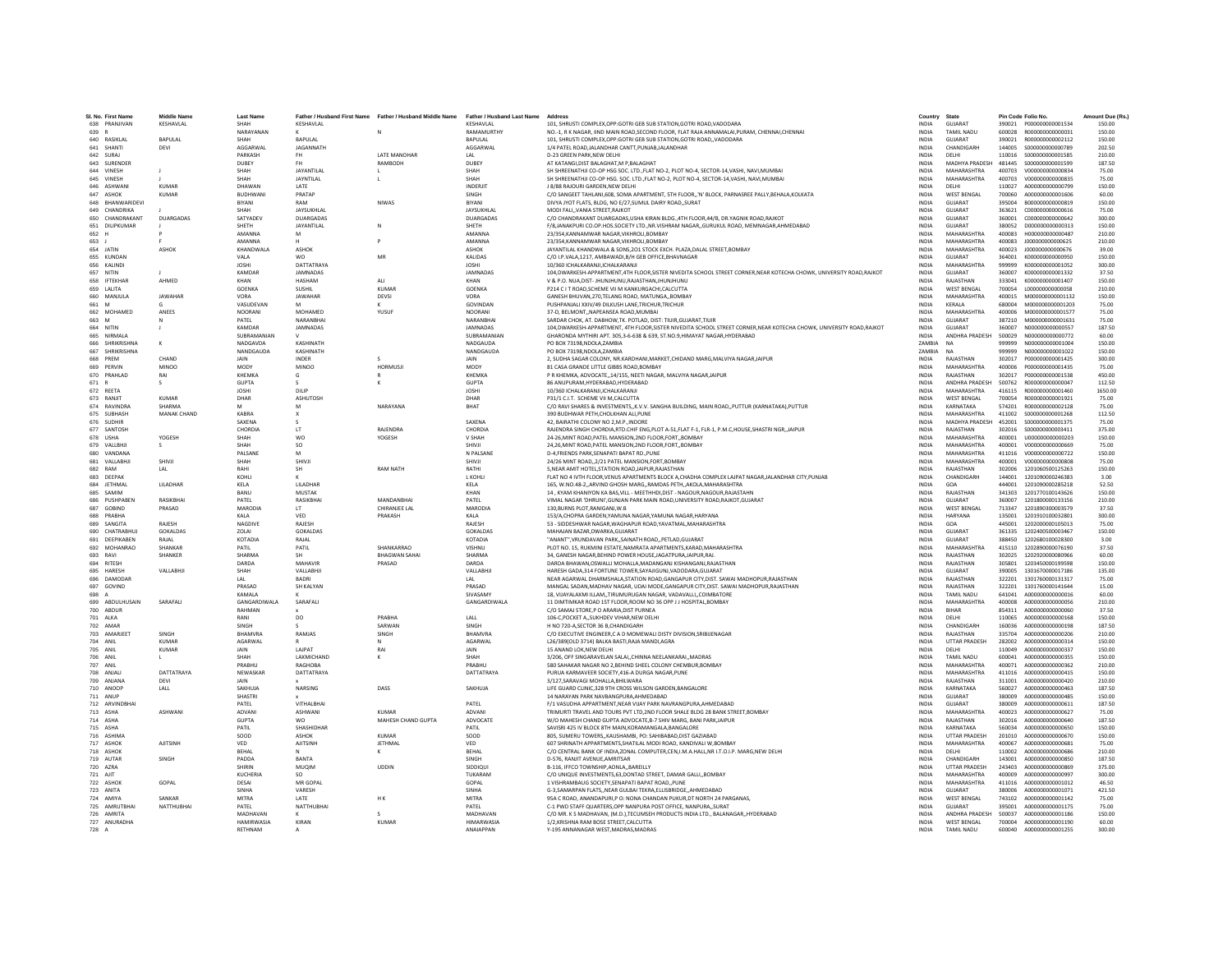|       | SI, No. First Nam |                 | Last Name         |                    | Father / Husband First Name Father / Husband Middle Name | Father / Husband Last Name | Address                                                                                                                | Country       | State                |        | Pin Code Folio No       | Amount Due (Rs. |
|-------|-------------------|-----------------|-------------------|--------------------|----------------------------------------------------------|----------------------------|------------------------------------------------------------------------------------------------------------------------|---------------|----------------------|--------|-------------------------|-----------------|
| 638   | PRANJIVAN         | KESHAVLAL       | SHAH              | KESHAVLAL          |                                                          | KESHAVLAL                  | 101. SHRUSTI COMPLEX.OPP:GOTRI GEB SUB STATION.GOTRI ROAD.VADODAR/                                                     | <b>INDIA</b>  | <b>GUJARA1</b>       | 390021 | P000000000001534        | 150.00          |
| 639 R |                   |                 | NARAYANAN         |                    | $\mathsf{N}$                                             | RAMAMURTHY                 | NO.-1. R K NAGAR. IIND MAIN ROAD, SECOND FLOOR, FLAT RAJA ANNAMALAI, PURAM, CHENNAI, CHENNAI                           | <b>INDIA</b>  | TAMIL NADLI          |        | 600028 R000000000000031 | 150.00          |
|       | 640 RASIKLAL      | BAPULAL         | SHAH              | <b>BAPULAL</b>     |                                                          | <b>RAPULAL</b>             | 101, SHRUSTI COMPLEX, OPP: GOTRI GEB SUB STATION, GOTRI ROAD, , VADODARA                                               | <b>INDIA</b>  | <b>GUIARAT</b>       | 390021 | R00000000002112         | 150.00          |
| 641   | SHANTI            | DEVI            | AGGARWAL          | JAGANNATH          |                                                          | AGGARWAL                   | 1/4 PATEL ROAD JALANDHAR CANTT.PUNJAB.JALANDHAR                                                                        | <b>INDIA</b>  | CHANDIGARI           | 144005 | \$00000000000789        | 202.50          |
|       | 642 SURAJ         |                 | PARKASH           | FH                 | LATE MANOHAR                                             | LAL                        | D-23 GREEN PARK, NEW DELHI                                                                                             | INDIA         | DELHI                | 110016 | S000000000001585        | 210.00          |
|       | 643 SURENDER      |                 | DUREY             | FH.                | RAMBODH                                                  | DURFY                      | AT KATANGLDIST RALAGHAT M P RALAGHAT                                                                                   | <b>INDIA</b>  | MADHYA PRADESH       | 481445 | \$000000000001599       | 187.50          |
|       | 644 VINESH        |                 | SHAH              | <b>JAYANTILAI</b>  |                                                          | SHAH                       | SH SHREENATHJI CO-OP HSG SOC. LTD., FLAT NO-2, PLOT NO-4, SECTOR-14, VASHI, NAVI, MUMBAI                               | <b>INDIA</b>  | MAHARASHTRA          | 400703 | V000000000000834        | 75.00           |
|       | 645 VINESH        |                 | SHAH              | JAYNTILAL          |                                                          | SHAH                       | SH SHREENATHJI CO-OP HSG. SOC. LTD., FLAT NO-2, PLOT NO-4, SECTOR-14, VASHI, NAVI, MUMBAI                              | INDIA         | MAHARASHTRA          | 400703 | V000000000000835        | 75.00           |
| 646   | <b>ASHWAN</b>     | KUMAR           | DHAWAN            | LATE               |                                                          | INDERJIT                   | <b>I 8/88 RAIOURI GARDEN NEW DELHI</b>                                                                                 | <b>INDIA</b>  | <b>DELHI</b>         | 110027 | 4000000000000799        | 150.00          |
|       | 647 ASHOK         | <b>KUMAR</b>    | BUDHWANI          | PRATAP             |                                                          | SINGH                      | C/O SANGEET TAHLANI,608, SOMA APARTMENT, STH FLOOR,,'N' BLOCK, PARNASREE PALLY, BEHALA, KOLKATA                        | <b>INDIA</b>  | <b>WEST BENGAL</b>   | 700060 | A000000000001606        | 60.00           |
| 648   | BHANWARIDEVI      |                 | BIYANI            | RAM                | NIWAS                                                    | BIYANI                     | DIVYA JYOT FLATS, BLDG, NO E/27, SUMUL DAIRY ROAD, SURAT                                                               | <b>INDIA</b>  | GUJARAT              | 395004 | B000000000000819        | 150.00          |
| 649   | CHANDRIKA         |                 | SHAH              | JAYSUKHLAL         |                                                          | JAYSUKHLAL                 | MODI FALI. VANIA STREET.RAJKOT                                                                                         | <b>INDIA</b>  | GUJARAT              | 363621 | C000000000000616        | 75.00           |
|       | 650 CHANDRAKANT   | DUARGADAS       | SATYADEV          | DUARGADAS          |                                                          | DUARGADAS                  | C/O CHANDRAKANT DUARGADAS.USHA KIRAN BLDG4TH FLOOR.44/B. DR.YAGNIK ROAD.RAJKOT                                         | <b>INDIA</b>  | GUJARAT              | 360001 | C000000000000642        | 300.00          |
|       | 651 DILIPKUMAR    |                 | SHFTH             | JAYANTILAL         |                                                          | SHETH                      | F/8,JANAKPURI CO.OP.HOS.SOCIETY LTD.,NR.VISHRAM NAGAR,,GURUKUL ROAD, MEMNAGAR,AHMEDABAD                                | <b>INDIA</b>  | <b>GUIARAT</b>       | 380052 | 0000000000000313        | 150.00          |
| 652   | H                 |                 | AMANNA            | M                  |                                                          | AMANNA                     | 23/354, KANNAMWAR NAGAR, VIKHROLI, BOMBAY                                                                              | <b>INDIA</b>  | MAHARASHTRA          | 400083 | H000000000000487        | 210.00          |
| 653 J |                   |                 | AMANNA            |                    |                                                          | AMANNA                     | 23/354, KANNAMWAR NAGAR, VIKHROLI, BOMBAY                                                                              | <b>INDIA</b>  | MAHARASHTRA          | 400083 | J000000000000625        | 210.00          |
|       | 654 JATIN         | ASHOK           | <b>KHANDWALA</b>  | ASHOK              |                                                          | <b>ASHOK</b>               | JAYANTILAL KHANDWALA & SONS, 201 STOCK EXCH. PLAZA, DALAL STREET, BOMBAY                                               | <b>INDIA</b>  | MAHARASHTRA          | 400023 | 1000000000000676        | 39.00           |
|       | 655 KUNDAN        |                 | VAI A             | <b>WO</b>          | MR                                                       | KALIDAS                    | C/O I.P.VALA,1217, AMBAWADI,B/H GEB OFFICE,BHAVNAGAR                                                                   | <b>INDIA</b>  | <b>GUIARAT</b>       | 364001 | K000000000000950        | 150.00          |
|       | 656 KALIND        |                 | <b>JOSHI</b>      | DATTATRAYA         |                                                          | <b>JOSHI</b>               | 10/360 ICHALKARANJI.ICHALKARANJI                                                                                       | <b>INDIA</b>  | MAHARASHTRA          | 999999 | K000000000001052        | 300.00          |
| 657   | NITIN             |                 | KAMDAR            | JAMNADAS           |                                                          | JAMNADAS                   |                                                                                                                        | <b>INDIA</b>  | GUJARAT              | 360007 | K000000000001332        | 37.50           |
|       |                   | AHMED           |                   |                    |                                                          |                            | 104, DWARKESH-APPARTMENT, 4TH FLOOR, SISTER NIVEDITA SCHOOL STREET CORNER, NEAR KOTECHA CHOWK, UNIVERSITY ROAD, RAJKOT |               |                      |        |                         |                 |
|       | 658 IFTEKHAR      |                 | KHAN              | <b>HASHAM</b>      | <b>ALI</b><br>KUMAR                                      | KHAN                       | V & P.O. NUA.DIST- JHUNJHUNU.RAJASTHAN.JHUNJHUNU                                                                       | <b>INDIA</b>  | RAJASTHAN            | 333041 | K000000000001407        | 150.00          |
|       | 659 LALITA        |                 | <b>GOENKA</b>     | SUSHIL             |                                                          | GOENKA                     | P214 C I T ROAD SCHEME VII M KANKURGACHI CALCUTTA                                                                      | <b>INDIA</b>  | <b>WEST RENGAL</b>   | 700054 | 1.000000000000058       | 210.00          |
| 660   | MANJUL            | <b>JAWAHAR</b>  | VORA              | JAWAHAR            | DEVSI                                                    | VORA                       | GANESH BHUVAN, 270, TELANG ROAD, MATUNGA,, BOMBAY                                                                      | INDIA         | MAHARASHTRA          | 400015 | M000000000001132        | 150.00          |
| 661   | M                 |                 | VASUDEVAN         |                    |                                                          | GOVINDAN                   | PUSHPANJALI XXIV/49 DILKUSH LANE.TRICHUR.TRICHUR                                                                       | <b>INDIA</b>  | KERALA               | 680004 | M000000000001203        | 75.00           |
|       | 662 MOHAMED       | <b>ANFFS</b>    | NOORANI           | MOHAMED            | YUSUE                                                    | NOORANI                    | 37-D. RELMONT, NAPEANSEA ROAD MUMBAL                                                                                   | <b>INDIA</b>  | MAHARASHTRA          | 400006 | M000000000001577        | 75.00           |
| 663 M |                   | N               | PATEL             | NARANRHAI          |                                                          | NARANRHAI                  | SARDAR CHOK, AT. DABHOW, TK. POTLAD, DIST: TIUIR, GUJARAT, TIUIR                                                       | <b>INDIA</b>  | GUIARAT              | 387210 | M000000000001631        | 75.00           |
|       | 664 NITIN         |                 | KAMDAR            | JAMNADAS           |                                                          | JAMNADAS                   | 104, DWARKESH-APPARTMENT, 4TH FLOOR, SISTER NIVEDITA SCHOOL STREET CORNER, NEAR KOTECHA CHOWK, UNIVERSITY ROAD, RAJKOT | <b>INDIA</b>  | <b>GUJARAT</b>       | 360007 | N000000000000557        | 187.50          |
| 665   | NIRMALA           |                 | SUBRAMANIAN       |                    |                                                          | SUBRAMANIAN                | GHARONDA MYTHIRI APT. 305,3-6-638 & 639, ST.NO.9,HIMAYAT NAGAR, HYDERABAD                                              | <b>INDIA</b>  | ANDHRA PRADESH       | 500029 | N00000000000772         | 60.00           |
|       | 666 SHRIKRISHNA   | к               | NADGAVDA          | KASHINATH          |                                                          | NADGAUDA                   | PO BOX 73198 NDOLA ZAMBIA                                                                                              | <b>ZAMRIA</b> | <b>NA</b>            | 999999 | N000000000001004        | 150.00          |
|       | 667 SHRIKRISHNA   |                 | NANDGAUDA         | KASHINATH          |                                                          | NANDGAUDA                  | PO BOX 73198 NDOLA ZAMBIA                                                                                              | <b>ZAMRIA</b> | NA                   | 999999 | N000000000001022        | 150.00          |
| 668   | PREM              | CHAND           | JAIN              | INDER              |                                                          | JAIN                       | 2, SUDHA SAGAR COLONY, NR.KARDHANI, MARKET, CHIDAND MARG, MALVIYA NAGAR, JAIPUR                                        | <b>INDIA</b>  | RAJASTHAN            | 302017 | P000000000001425        | 300.00          |
|       | 669 PERVIN        | <b>MINOO</b>    | MODY              | <b>MINOO</b>       | <b>HORMUSJ</b>                                           | MODY                       | 81 CASA GRANDE LITTLE GIBBS ROAD.BOMBAY                                                                                | <b>INDIA</b>  | MAHARASHTRA          | 400006 | P000000000001435        | 75.00           |
|       | 670 PRAHLAD       | RAI             | KHEMKA            | G                  |                                                          | <b>KHEMKA</b>              | P R KHEMKA, ADVOCATE, 14/155, NEETI NAGAR, MALVIYA NAGAR, JAIPUR                                                       | <b>INDIA</b>  | RAJASTHAN            | 302017 | P000000000001538        | 450.00          |
| 671   |                   | s               | GUPTA             |                    |                                                          | <b>GUPTA</b>               | 86 ANUPURAM.HYDERABAD.HYDERABAD                                                                                        | <b>INDIA</b>  | ANDHRA PRADESH       | 500762 | R000000000000047        | 112.50          |
|       | 672 REETA         |                 | <b>JOSHI</b>      | DILIP              |                                                          | <b>JOSHI</b>               | 10/360 ICHALKARANJI.ICHALKARANJI                                                                                       | <b>INDIA</b>  | MAHARASHTRA          | 416115 | R000000000001460        | 1650.00         |
|       | 673 RANJIT        | <b>KUMAR</b>    | DHAR              | ASHUTOSH           |                                                          | DHAR                       | P31/1 C.I.T. SCHEME VII M.CALCUTTA                                                                                     | <b>INDIA</b>  | <b>WEST BENGAL</b>   | 700054 | R000000000001921        | 75.00           |
|       | 674 RAVINDRA      | SHARMA          | M                 | M                  | NARAYANA                                                 | <b>RHAT</b>                | C/O RAVI SHARES & INVESTMENTS,, K.V.V. SANGHA BUILDING, MAIN ROAD,, PUTTUR (KARNATAKA), PUTTUR                         | <b>INDIA</b>  | KARNATAKA            | 574201 | B000000000002128        | 75.00           |
|       | 675 SUBHASH       | MANAK CHAND     | <b>KABRA</b>      |                    |                                                          |                            | 390 BUDHWAR PETH, CHOLKHAN ALI, PUNE                                                                                   | INDIA         | MAHARASHTRA          | 411002 | \$000000000001268       | 112.50          |
| 676   | <b>SUDHIF</b>     |                 | SAXENA            |                    |                                                          | SAXENA                     | 42. BAIRATHI COLONY NO 2.M.P. INDORE                                                                                   | <b>INDIA</b>  | MADHYA PRADESH       | 452001 | \$000000000001375       | 75.00           |
|       | 677 SANTOSH       |                 | CHORDIA           | LT                 | RAJENDRA                                                 | CHORDIA                    | RAJENDRA SINGH CHORDIA, RTD.CHIF ENG, PLOT A-51, FLAT F-1, FLR-1, P.M.C, HOUSE, SHASTRI NGR, , JAIPUR                  | <b>INDIA</b>  | RAJASTHAN            | 302016 | S000000000003411        | 375.00          |
|       | 678 USHA          | YOGESH          | SHAH              | <b>WO</b>          | YOGESH                                                   | V SHAH                     | 24-26. MINT ROAD. PATEL MANSION. 2ND FLOOR. FORT BOMBAY                                                                | <b>INDIA</b>  | MAHARASHTRA          | 400001 | 11000000000000203       | 150.00          |
| 679   | VALLBHJ           | s               | SHAH              | SO                 |                                                          | SHIVJI                     | 24,26,MINT ROAD, PATEL MANSION, 2ND FLOOR, FORT,, BOMBAY                                                               | <b>INDIA</b>  | MAHARASHTRA          | 400001 | V000000000000669        | 75.00           |
|       | 680 VANDANA       |                 | PALSANE           |                    |                                                          | N PALSANE                  |                                                                                                                        |               | MAHARASHTRA          | 411016 | V000000000000722        | 150.00          |
|       |                   |                 |                   | M                  |                                                          |                            | D-4, FRIENDS PARK, SENAPATI BAPAT RD., PUNE                                                                            | INDIA         |                      |        | V000000000000808        |                 |
| 681   | VALLABHJI         | SHIVJI          | SHAH              | SHIVJI             |                                                          | SHIVJI                     | 24/26 MINT ROAD2/21 PATEL MANSION.FORT.BOMBAY                                                                          | <b>INDIA</b>  | MAHARASHTRA          | 400001 |                         | 75.00           |
|       | 682 RAM           | LAL             | RAHI              | <b>SH</b>          | <b>RAM NATH</b>                                          | RATHI                      | 5. NEAR AMIT HOTEL.STATION ROAD.JAIPUR.RAJASTHAN                                                                       | <b>INDIA</b>  | RAIASTHAN            | 302006 | 1201060500125263        | 150.00          |
|       | 683 DEEPAK        |                 | KOHLI             |                    |                                                          | <b>LKOHL</b>               | FLAT NO 4 IVTH FLOOR, VENUS APARTMENTS BLOCK A, CHADHA COMPLEX LAIPAT NAGAR, JALANDHAR CITY, PUNJAB                    | INDIA         | CHANDIGARH           | 144001 | 1201090000246383        | 3.00            |
| 684   | JETHMAL           | LILADHAR        | KELA              | <b>I II ADHAF</b>  |                                                          | KELA                       | 165, W.NO.48-2, ARVIND GHOSH MARG, RAMDAS PETH, AKOLA, MAHARASHTRA                                                     | <b>INDIA</b>  | GOA                  | 444001 | 1201090000285218        | 52.50           |
|       | 685 SAMIM         |                 | RANU              | MUSTAK             |                                                          | KHAN                       | 14. KYAM KHANIYON KA RAS VILL - MEETHHDLDIST - NAGOLIR NAGOLIR RAJASTAHN                                               | <b>INDIA</b>  | RAIASTHAN            | 341303 | 1201770100143626        | 150.00          |
| 686   | PUSHPAREN         | RASIKRHAI       | PATFI             | RASIKBHAI          | <b>MANDANRHA</b>                                         | PATFI                      | VIMAL NAGAR 'DHRUNI', GUNJAN PARK MAIN ROAD, UNIVERSITY ROAD, RAJKOT, GUJARAT                                          | <b>INDIA</b>  | <b>GUIARAT</b>       | 360007 | 1201800000133156        | 210.00          |
| 687   | <b>GOBIND</b>     | PRASAD          | <b>MARODIA</b>    | LT.                | CHIRANJEE LAL                                            | <b>MARODIA</b>             | 130.BURNS PLOT.RANIGANJ.W.E                                                                                            | <b>INDIA</b>  | <b>WEST BENGAL</b>   | 713347 | 1201890300003579        | 37.50           |
|       | 688 PRABHA        |                 | KALA              | VED                | PRAKASH                                                  | KALA                       | 153/A,CHOPRA GARDEN, YAMUNA NAGAR, YAMUNA NAGAR, HARYANA                                                               | INDIA         | <b>HARYANA</b>       | 135001 | 1201910100032801        | 300.00          |
|       | 689 SANGITA       | RAIFSH          | NAGDIVE           | RAIFSH             |                                                          | RAIFSH                     | 53 - SIDDESHWAR NAGAR, WAGHAPUR ROAD, YAVATMAL, MAHARASHTRA                                                            | <b>INDIA</b>  | GOA                  | 445001 | 1202000000105013        | 75.00           |
| 690   | CHATRARHUI        | <b>GOKALDAS</b> | <b>70LAL</b>      | GOKALDAS           |                                                          | <b>GOKALDAS</b>            | MAHAJAN BAZAR, DWARKA, GUJARAT                                                                                         | <b>INDIA</b>  | GUIARAT              | 361335 | 1202400500003467        | 150.00          |
|       | 691 DEEPIKABEN    | RAJAL           | KOTADIA           | RAJAL              |                                                          | KOTADIA                    | "ANANT", VRUNDAVAN PARK, , SAINATH ROAD, , PETLAD, GUJARAT                                                             | <b>INDIA</b>  | GUJARAT              | 388450 | 1202680100028300        | 3.00            |
| 692   | MOHANRAO          | SHANKAR         | PATIL             | PATIL              | SHANKARRAO                                               | VISHNU                     | PLOT NO. 15, RUKMINI ESTATE, NAMRATA APARTMENTS, KARAD, MAHARASHTRA                                                    | <b>INDIA</b>  | MAHARASHTRA          | 415110 | 1202890000076190        | 37.50           |
|       | 693 RAVI          | SHANKER         | SHARMA            | <b>SH</b>          | <b>BHAGWAN SAHAI</b>                                     | SHARMA                     | 34, GANESH NAGAR, BEHIND POWER HOUSE, JAGATPURA, JAIPUR, RAJ.                                                          | <b>INDIA</b>  | RAIASTHAN            | 302025 | 1202920000080966        | 60.00           |
|       | 694 RITESH        |                 | DARDA             | MAHAVIF            | PRASAD                                                   | DARDA                      | DARDA BHAWAN, OSWALLI MOHALLA, MADANGANJ KISHANGANJ, RAJASTHAN                                                         | <b>INDIA</b>  | RAJASTHAN            | 305801 | 1203450000199598        | 150.00          |
| 695   | HARESH            | VALLABHJ        | SHAH              | VALLABHJI          |                                                          | VALLABHJ                   | HARESH GADA.314 FORTUNE TOWER.SAYAJIGUNJ.VADODARA.GUJARAT                                                              | <b>INDIA</b>  | GUJARAT              | 390005 | 1301670000017186        | 135.00          |
|       | 696 DAMODAF       |                 | LAL               | BADRI              |                                                          | LAL                        | NEAR AGARWAL DHARMSHALA.STATION ROAD.GANGAPUR CITY.DIST. SAWAI MADHOPUR.RAJASTHAN                                      | <b>INDIA</b>  | RAJASTHAN            | 322201 | 1301760000131317        | 75.00           |
|       | 697 GOVIND        |                 | PRASAD            | SH KALYAN          |                                                          | PRASAD                     | MANGAL SADAN.MADHAV NAGAR. UDAI MODE.GANGAPUR CITY.DIST. SAWAI MADHOPUR.RAJASTHAN                                      | <b>INDIA</b>  | RAIASTHAN            | 322201 | 1301760000141644        | 15.00           |
| 698   |                   |                 | KAMALA            |                    |                                                          | SIVASAMY                   | 18, VIJAYALAXMI ILLAM,,TIRUMURUGAN NAGAR, VADAVALLI,,COIMBATORI                                                        | INDIA         | TAMIL NADU           | 641041 | A000000000000016        | 60.00           |
|       | 699 ABDULHUSAIN   | SARAFALI        | GANGARDIWALA      | SARAFALI           |                                                          | GANGARDIWALA               | 11 DIMTIMKAR ROAD 1ST FLOOR, ROOM NO 36 OPP J J HOSPITAL, BOMBAY                                                       | <b>INDIA</b>  | MAHARASHTRA          | 400008 | A000000000000056        | 210.00          |
|       | 700 ARDUR         |                 | RAHMAN            |                    |                                                          |                            | C/O SAMALSTORE P O ARARIA DIST PURNEA                                                                                  | <b>INDIA</b>  | <b>RIHAR</b>         | 854311 | A000000000000060        | 37.50           |
|       | 701 ALKA          |                 | RANI              | DO                 | PRARHA                                                   | LALL                       | 106-C, POCKET A, , SUKHDEV VIHAR, NEW DELHI                                                                            | <b>INDIA</b>  | DELHI                | 110065 | A000000000000168        | 150.00          |
|       | 702 AMAF          |                 | SINGH             |                    | SARWAN                                                   | SINGH                      | H NO 720-A, SECTOR 36 B, CHANDIGARH                                                                                    | <b>INDIA</b>  | CHANDIGARH           | 160036 | A000000000000198        | 187.50          |
| 703   | <b>AMARJEE</b>    | SINGH           | BHAMVRA           | RAMJAS             | SINGH                                                    | <b>BHAMVRA</b>             | C/O EXECUTIVE ENGINEER,C A D MOMEWALI DISTY DIVISION, SRIBIJENAGAR                                                     | INDIA         | RAJASTHAN            | 335704 | A000000000000206        | 210.00          |
|       | 704 ANIL          | <b>KUMAR</b>    | AGARWAL           |                    | N                                                        | AGARWAL                    | L26/389(OLD 3714) BALKA BASTI.RAJA MANDI.AGRA                                                                          | <b>INDIA</b>  | <b>UTTAR PRADESH</b> | 282002 | A000000000000314        | 150.00          |
|       | 705 ANIL          | <b>KUMAR</b>    | <b>JAIN</b>       | <b>LAIPAT</b>      | RAI                                                      | <b>JAIN</b>                | 15 ANAND LOK.NEW DELHI                                                                                                 | <b>INDIA</b>  | <b>DELHI</b>         | 110049 | 4000000000000337        | 150.00          |
| 706   | ANIL              |                 | SHAH              | LAXMICHAND         |                                                          | SHAH                       | 3/206, OFF SINGARAVELAN SALAI,, CHINNA NEELANKARAI,, MADRAS                                                            | INDIA         | TAMIL NADU           | 600041 | A000000000000355        | 150.00          |
|       | 707 ANIL          |                 | PRABHU            | RAGHOBA            |                                                          | PRABHU                     | 580 SAHAKAR NAGAR NO 2.BEHIND SHEEL COLONY CHEMBUR.BOMBAY                                                              | <b>INDIA</b>  | MAHARASHTRA          | 400071 | A000000000000362        | 210.00          |
|       | 708 ANIALL        | DATTATRAYA      | NEWASKAP          | DATTATRAYA         |                                                          | DATTATRAYA                 | PURUA KARMAVEER SOCIETY 416-A DURGA NAGAR PUNE                                                                         | <b>INDIA</b>  | MAHARASHTRA          | 411016 | A000000000000415        | 150.00          |
|       |                   |                 |                   |                    |                                                          |                            |                                                                                                                        |               |                      |        |                         |                 |
|       | 709 ANJANA        | DEVI            | <b>JAIN</b>       |                    |                                                          |                            | 3/127, SARAVAGI MOHALLA, BHILWARA                                                                                      | INDIA         | RAJASTHAN            | 311001 | A000000000000420        | 210.00          |
|       | 710 ANOOP         | LALL            | SAKHUJA           | NARSING            | DASS                                                     | SAKHUJA                    | LIFE GUARD CLINIC.328 9TH CROSS WILSON GARDEN.BANGALORI                                                                | <b>INDIA</b>  | KARNATAKA            | 560027 | A000000000000463        | 187.50          |
|       | 711 ANUP          |                 | <b>SHASTRI</b>    |                    |                                                          |                            | 14 NARAYAN PARK NAVBANGPURA, AHMEDABAD                                                                                 | <b>INDIA</b>  | GUJARAT              | 380009 | A000000000000485        | 150.00          |
|       | 712 ARVINDRHAI    |                 | PATFI             | <b>VITHAI RHAI</b> |                                                          | PATFI                      | F/1 VASUDHA APPARTMENT NEAR VIIAY PARK NAVRANGPURA AHMEDARAD                                                           | <b>INDIA</b>  | <b>GUIARAT</b>       | 380009 | A000000000000611        | 187.50          |
|       | 713 ASHA          | <b>ASHWANI</b>  | ADVANI            | <b>ASHWANI</b>     | KUMAR                                                    | ADVANI                     | TRIMURTI TRAVEL AND TOURS PVT LTD.2ND FLOOR SHALE BLDG 28 BANK STREET.BOMBAY                                           | <b>INDIA</b>  | MAHARASHTRA          | 400023 | A000000000000627        | 75.00           |
|       | 714 ASHA          |                 | <b>GUPTA</b>      | <b>WO</b>          | MAHESH CHAND GUPTA                                       | ADVOCATE                   | W/O MAHESH CHAND GUPTA ADVOCATE, B-7 SHIV MARG, BANI PARK, JAIPUR                                                      | <b>INDIA</b>  | RAJASTHAN            | 302016 | A000000000000640        | 187.50          |
|       | 715 ASHA          |                 | PATIL             | SHASHIDHAR         |                                                          | PATIL                      | SAVISRI 425 IV BLOCK 8TH MAIN.KORAMANGALA.BANGALORE                                                                    | <b>INDIA</b>  | KARNATAKA            | 560034 | A000000000000650        | 150.00          |
|       | 716 ASHIMA        |                 | SOOD              | ASHOK              | KUMAR                                                    | SOOD                       | 805, SUMERU TOWERS., KAUSHAMBI, PO: SAHIBABAD, DIST GAZIABAD                                                           | <b>INDIA</b>  | <b>UTTAR PRADESH</b> | 201010 | A000000000000670        | 150.00          |
|       | 717 ASHOK         | <b>AJITSINE</b> | VED               | <b>AJITSINH</b>    | <b>JETHMAL</b>                                           | VED                        | 607 SHRINATH APPARTMENTS, SHATILAL MODI ROAD, KANDIVALI W, BOMBAY                                                      | <b>INDIA</b>  | MAHARASHTRA          | 400067 | A000000000000681        | 75.00           |
|       | 718 ASHOK         |                 | BEHAL             |                    | к                                                        | BEHAL                      | C/O CENTRAL BANK OF INDIA.ZONAL COMPUTER.CEN.I.M.A.HALL.NR I.T.O.I.P. MARG.NEW DELHI                                   | <b>INDIA</b>  | DELHI                | 110002 | A000000000000686        | 210.00          |
|       | 719 AUTAR         | SINGH           | PADDA             | <b>BANTA</b>       |                                                          | SINGH                      | D-576, RANJIT AVENUE AMRITSAR                                                                                          | <b>INDIA</b>  | CHANDIGARH           | 143001 | A000000000000850        | 187.50          |
|       | 720 AZRA          |                 | SHIRIN            | MUOIM              | <b>LIDDIN</b>                                            | SIDDIOU                    | B-116, IFFCO TOWNSHIP, AONLA., BAREILLY                                                                                | <b>INDIA</b>  | <b>UTTAR PRADESH</b> | 243403 | A000000000000869        | 375.00          |
|       | 721 AJIT          |                 | KUCHERIA          | SO                 |                                                          | TUKARAM                    | C/O UNIQUE INVESTMENTS, 63, DONTAD STREET, DAMAR GALLI,, BOMBAY                                                        | INDIA         | MAHARASHTRA          | 400009 | A000000000000997        | 300.00          |
|       | 722 ASHOK         | GOPAL           | DESAI             | MR GOPAL           |                                                          | GOPAL                      | 1 VISHRAMBAUG SOCIETY.SENAPATI BAPAT ROADPUNI                                                                          | <b>INDIA</b>  | MAHARASHTRA          | 411016 | A000000000001012        | 46.50           |
|       | 723 ANITA         |                 | SINHA             | VARESH             |                                                          | <b>SINHA</b>               | G-3.SAMARPAN FLATS,, NEAR GULBAI TEKRA, ELLISBRIDGE,, AHMEDABAD                                                        | <b>INDIA</b>  | <b>GUIARAT</b>       | 380006 | A000000000001071        | 421.50          |
|       | 724 AMIYA         | SANKAR          | <b>MITRA</b>      | <b>IATF</b>        | HK                                                       | MITRA                      | 95A C ROAD, ANANDAPURI, P O: NONA CHANDAN PUKUR, DT NORTH 24 PARGANAS,                                                 | <b>INDIA</b>  | <b>WEST RENGAL</b>   | 743102 | A000000000001142        | 75.00           |
|       | 725 AMRUTBHA      | NATTHUBHAI      | PATEL             | NATTHUBHAI         |                                                          | PATEL                      | C-1 PWD STAFF QUARTERS, OPP NANPURA POST OFFICE, NANPURA, SURAT                                                        | <b>INDIA</b>  | GUJARAT              | 395001 | A000000000001175        | 75.00           |
|       | 726 AMRITA        |                 | MADHAVAN          |                    |                                                          | MADHAVAN                   | C/O MR. K S MADHAVAN, (M.D.), TECUMSEH PRODUCTS INDIA LTD., BALANAGAR,, HYDERABAD                                      | <b>INDIA</b>  | ANDHRA PRADESH       | 500037 | A000000000001186        | 150.00          |
|       | 727 ANURADHA      |                 | <b>HAMIRWASIA</b> | KIRAN              | <b>KUMAR</b>                                             | <b>HIMARWASIA</b>          | 1/2.KRISHNA RAM BOSE STREET.CALCUTTA                                                                                   | <b>INDIA</b>  | <b>WEST BENGAL</b>   |        | 700004 A000000000001190 | 60.00           |
| 728 A |                   |                 | RETHNAM           |                    |                                                          | ANAIAPPAN                  | Y-195 ANNANAGAR WEST MADRAS MADRAS                                                                                     | <b>INDIA</b>  | <b>TAMIL NADU</b>    | 600040 | A000000000001255        | 300.00          |
|       |                   |                 |                   |                    |                                                          |                            |                                                                                                                        |               |                      |        |                         |                 |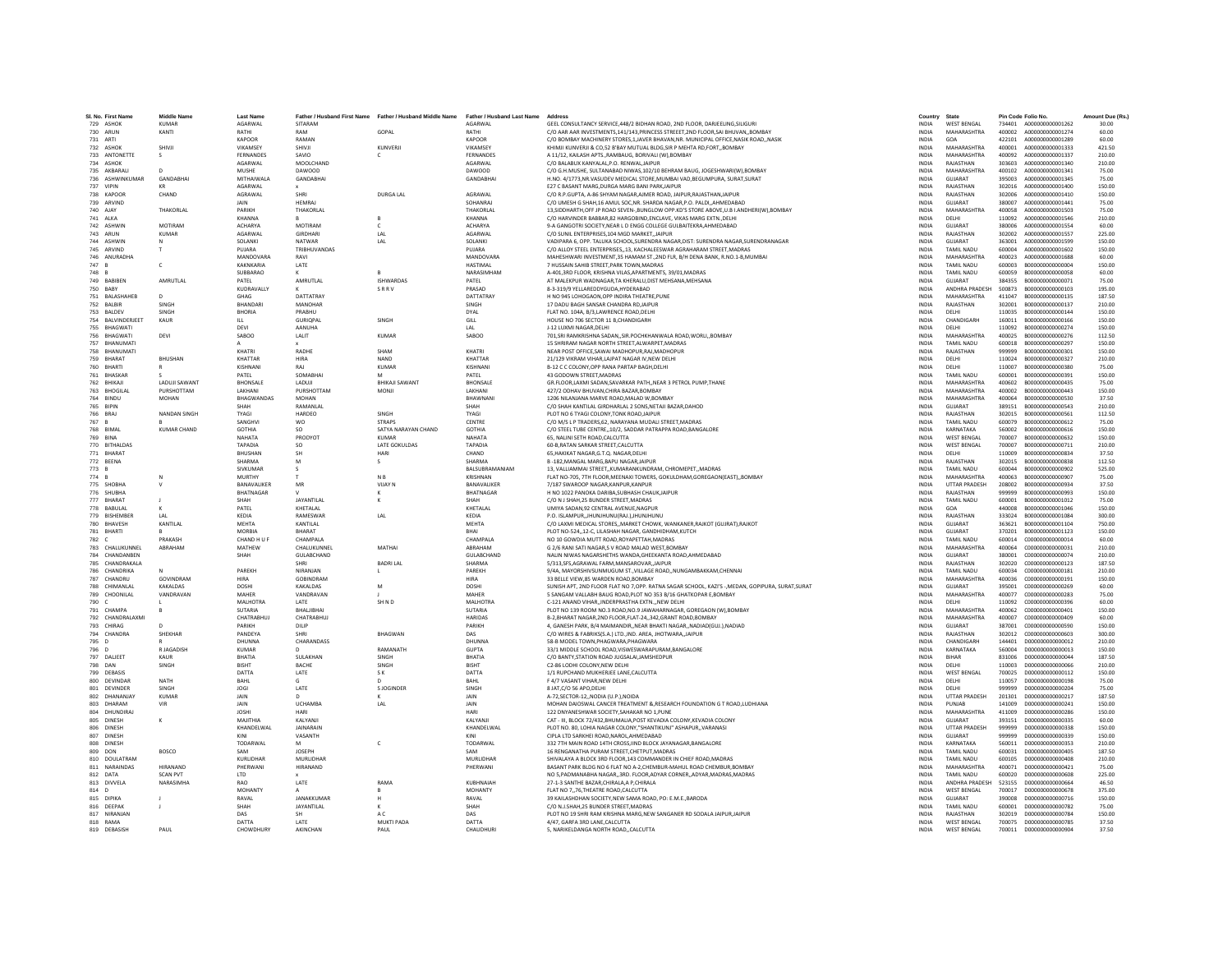| 729 ASHOK<br>730 ARUN<br>731 ARTI<br>732 ASHOK<br>733 ANTONETTE<br>734 ASHOK<br>735 AKBARALI<br>737 VIPIN<br>738 KAPOOR<br>739 ARVINE<br>740 AJAY<br>741 ALKA<br>742 ASHWIN<br>743 ARUN<br>744 ASHWIN<br>745 ARVIND<br>746 ANURADHA<br>747 B<br>748 B<br>749 BABIBEN<br>750 RARY<br>752 BALBIR<br>753 RAIDEV<br>755 BHAGWAT<br>756 BHAGWATI<br>758 RHANUMATI<br>759 BHARAT<br>760 BHARTI<br>761 BHASKAR<br>762 BHIKAI<br>763 BHOGILAL<br>764 BINDU<br>765 RIPIN<br>766 BRA | 736 ASHWINKUMAR<br>751 BALASHAHEE<br>754 RAIVINDERIEET | <b>KUMAR</b><br>KANTI<br>SHIVJI<br>s<br>$\Omega$<br><b>GANDABHAI</b><br>KR<br>CHAND<br>THAKORLAL<br>MOTIRAM<br><b>KUMAR</b><br>T.<br>$\mathsf{C}$<br>AMRUTLAL | AGARWAL<br>RATHI<br>KAPOOR<br><b>VIKAMSEY</b><br>FERNANDES<br><b>AGARWAL</b><br>MUSHE<br>MITHAIWALA<br><b>AGARWAL</b><br>AGRAWAL<br>JAIN<br>PARIKH<br>KHANNA<br><b>ACHARYA</b><br>AGARWAL<br>SOLANKI<br>PUIARA<br><b>MANDOVARA</b><br>KAKNKARIA | SITARAM<br>RAM<br>RAMAN<br>SHIVJI<br>SAVIO<br>MOOLCHAND<br><b>DAWOOD</b><br>GANDABHAI<br>SHRI<br><b>HEMRAJ</b><br>THAKORLAL<br>MOTIRAM<br>GIRDHARI<br>NATWAR | GOPAL<br>KUNVERJI<br>c<br><b>DURGA LAL</b><br>R<br>$\epsilon$ | AGARWAL<br>RATHI<br>KAPOOR<br><b>VIKAMSEY</b><br>FERNANDES<br>AGARWAI<br><b>DAWOOD</b><br>GANDABHA<br>AGRAWAL<br>SOHANRAJ<br>THAKORLAI<br>KHANNA | GEEL CONSULTANCY SERVICE.448/2 BIDHAN ROAD, 2ND FLOOR, DARJEELING.SILIGUR<br>C/O AAR AAR INVESTMENTS 141/143 PRINCESS STREEFT 2ND FLOOR SALBHUVAN, ROMBAY<br>C/O BOMBAY MACHINERY STORES.1.JAVER BHAVAN.NR. MUNICIPAL OFFICE.NASIK ROAD.,NASIK<br>KHIMJI KUNVERJI & CO.52 B'BAY MUTUAL BLDG.SIR P MEHTA RD.FORTBOMBAY<br>A 11/12, KAILASH APTS., RAMBAUG, BORIVALI (W), BOMBAY<br>C/O BALARUX KANYALAL P O RENWAL JAIPUR<br>C/O G.H.MUSHE, SULTANABAD NIWAS, 102/10 BEHRAM BAUG, JOGESHWARI(W), BOMBAY<br>H.NO. 4/1773, NR. VASUDEV MEDICAL STORE, MUMBAI VAD, BEGUMPURA, SURAT, SURAT<br>E27 C BASANT MARG.DURGA MARG BANI PARKJAIPUR<br>C/O R.P.GUPTA, A-86 SHYAM NAGAR AJMER ROAD, JAIPUR, RAJASTHAN JAIPUR<br>C/O UMESH G SHAH,16 AMUL SOC,NR. SHARDA NAGAR,P.O. PALDI,,AHMEDABAD<br>13. SIDDHARTH.OFF JP ROAD SEVEN-. BUNGLOW OPP.KD'S STORE ABOVE.U.B I.ANDHERI(W). BOMBAY | <b>INDIA</b><br><b>INDIA</b><br><b>INDIA</b><br><b>INDIA</b><br>INDIA<br><b>INDIA</b><br><b>INDIA</b><br>INDIA<br><b>INDIA</b><br><b>INDIA</b><br><b>INDIA</b> | <b>WEST BENGAL</b><br>MAHARASHTRA<br>GOA<br>MAHARASHTRA<br>MAHARASHTRA<br>RAIASTHAN<br>MAHARASHTRA<br><b>GUJARAT</b><br>RAJASTHAN<br>RAJASTHAN<br>GUJARAT | 734401<br>422101<br>400001<br>400092<br>303603<br>400102<br>395003<br>302016<br>302006<br>380007 | A000000000001262<br>400002 A000000000001274<br>A000000000001289<br>A000000000001333<br>A000000000001337<br>A000000000001340<br>A000000000001341<br>A000000000001345<br>A000000000001400<br>A000000000001410<br>A000000000001441 | 30.00<br>60.00<br>60.00<br>421.50<br>210.00<br>210.00<br>75.00<br>75.00<br>150.00<br>150.00 |
|----------------------------------------------------------------------------------------------------------------------------------------------------------------------------------------------------------------------------------------------------------------------------------------------------------------------------------------------------------------------------------------------------------------------------------------------------------------------------|--------------------------------------------------------|---------------------------------------------------------------------------------------------------------------------------------------------------------------|-------------------------------------------------------------------------------------------------------------------------------------------------------------------------------------------------------------------------------------------------|--------------------------------------------------------------------------------------------------------------------------------------------------------------|---------------------------------------------------------------|--------------------------------------------------------------------------------------------------------------------------------------------------|----------------------------------------------------------------------------------------------------------------------------------------------------------------------------------------------------------------------------------------------------------------------------------------------------------------------------------------------------------------------------------------------------------------------------------------------------------------------------------------------------------------------------------------------------------------------------------------------------------------------------------------------------------------------------------------------------------------------------------------------------------------------------------------------------------------------------------------------------------------------------------|----------------------------------------------------------------------------------------------------------------------------------------------------------------|-----------------------------------------------------------------------------------------------------------------------------------------------------------|--------------------------------------------------------------------------------------------------|---------------------------------------------------------------------------------------------------------------------------------------------------------------------------------------------------------------------------------|---------------------------------------------------------------------------------------------|
|                                                                                                                                                                                                                                                                                                                                                                                                                                                                            |                                                        |                                                                                                                                                               |                                                                                                                                                                                                                                                 |                                                                                                                                                              |                                                               |                                                                                                                                                  |                                                                                                                                                                                                                                                                                                                                                                                                                                                                                                                                                                                                                                                                                                                                                                                                                                                                                  |                                                                                                                                                                |                                                                                                                                                           |                                                                                                  |                                                                                                                                                                                                                                 |                                                                                             |
|                                                                                                                                                                                                                                                                                                                                                                                                                                                                            |                                                        |                                                                                                                                                               |                                                                                                                                                                                                                                                 |                                                                                                                                                              |                                                               |                                                                                                                                                  |                                                                                                                                                                                                                                                                                                                                                                                                                                                                                                                                                                                                                                                                                                                                                                                                                                                                                  |                                                                                                                                                                |                                                                                                                                                           |                                                                                                  |                                                                                                                                                                                                                                 |                                                                                             |
|                                                                                                                                                                                                                                                                                                                                                                                                                                                                            |                                                        |                                                                                                                                                               |                                                                                                                                                                                                                                                 |                                                                                                                                                              |                                                               |                                                                                                                                                  |                                                                                                                                                                                                                                                                                                                                                                                                                                                                                                                                                                                                                                                                                                                                                                                                                                                                                  |                                                                                                                                                                |                                                                                                                                                           |                                                                                                  |                                                                                                                                                                                                                                 |                                                                                             |
|                                                                                                                                                                                                                                                                                                                                                                                                                                                                            |                                                        |                                                                                                                                                               |                                                                                                                                                                                                                                                 |                                                                                                                                                              |                                                               |                                                                                                                                                  |                                                                                                                                                                                                                                                                                                                                                                                                                                                                                                                                                                                                                                                                                                                                                                                                                                                                                  |                                                                                                                                                                |                                                                                                                                                           |                                                                                                  |                                                                                                                                                                                                                                 |                                                                                             |
|                                                                                                                                                                                                                                                                                                                                                                                                                                                                            |                                                        |                                                                                                                                                               |                                                                                                                                                                                                                                                 |                                                                                                                                                              |                                                               |                                                                                                                                                  |                                                                                                                                                                                                                                                                                                                                                                                                                                                                                                                                                                                                                                                                                                                                                                                                                                                                                  |                                                                                                                                                                |                                                                                                                                                           |                                                                                                  |                                                                                                                                                                                                                                 |                                                                                             |
|                                                                                                                                                                                                                                                                                                                                                                                                                                                                            |                                                        |                                                                                                                                                               |                                                                                                                                                                                                                                                 |                                                                                                                                                              |                                                               |                                                                                                                                                  |                                                                                                                                                                                                                                                                                                                                                                                                                                                                                                                                                                                                                                                                                                                                                                                                                                                                                  |                                                                                                                                                                |                                                                                                                                                           |                                                                                                  |                                                                                                                                                                                                                                 |                                                                                             |
|                                                                                                                                                                                                                                                                                                                                                                                                                                                                            |                                                        |                                                                                                                                                               |                                                                                                                                                                                                                                                 |                                                                                                                                                              |                                                               |                                                                                                                                                  |                                                                                                                                                                                                                                                                                                                                                                                                                                                                                                                                                                                                                                                                                                                                                                                                                                                                                  |                                                                                                                                                                |                                                                                                                                                           |                                                                                                  |                                                                                                                                                                                                                                 |                                                                                             |
|                                                                                                                                                                                                                                                                                                                                                                                                                                                                            |                                                        |                                                                                                                                                               |                                                                                                                                                                                                                                                 |                                                                                                                                                              |                                                               |                                                                                                                                                  |                                                                                                                                                                                                                                                                                                                                                                                                                                                                                                                                                                                                                                                                                                                                                                                                                                                                                  |                                                                                                                                                                |                                                                                                                                                           |                                                                                                  |                                                                                                                                                                                                                                 |                                                                                             |
|                                                                                                                                                                                                                                                                                                                                                                                                                                                                            |                                                        |                                                                                                                                                               |                                                                                                                                                                                                                                                 |                                                                                                                                                              |                                                               |                                                                                                                                                  |                                                                                                                                                                                                                                                                                                                                                                                                                                                                                                                                                                                                                                                                                                                                                                                                                                                                                  |                                                                                                                                                                |                                                                                                                                                           |                                                                                                  |                                                                                                                                                                                                                                 |                                                                                             |
|                                                                                                                                                                                                                                                                                                                                                                                                                                                                            |                                                        |                                                                                                                                                               |                                                                                                                                                                                                                                                 |                                                                                                                                                              |                                                               |                                                                                                                                                  |                                                                                                                                                                                                                                                                                                                                                                                                                                                                                                                                                                                                                                                                                                                                                                                                                                                                                  |                                                                                                                                                                |                                                                                                                                                           |                                                                                                  |                                                                                                                                                                                                                                 |                                                                                             |
|                                                                                                                                                                                                                                                                                                                                                                                                                                                                            |                                                        |                                                                                                                                                               |                                                                                                                                                                                                                                                 |                                                                                                                                                              |                                                               |                                                                                                                                                  |                                                                                                                                                                                                                                                                                                                                                                                                                                                                                                                                                                                                                                                                                                                                                                                                                                                                                  |                                                                                                                                                                |                                                                                                                                                           |                                                                                                  |                                                                                                                                                                                                                                 | 75.00                                                                                       |
|                                                                                                                                                                                                                                                                                                                                                                                                                                                                            |                                                        |                                                                                                                                                               |                                                                                                                                                                                                                                                 |                                                                                                                                                              |                                                               |                                                                                                                                                  |                                                                                                                                                                                                                                                                                                                                                                                                                                                                                                                                                                                                                                                                                                                                                                                                                                                                                  | <b>INDIA</b>                                                                                                                                                   | MAHARASHTRA                                                                                                                                               | 400058                                                                                           | A000000000001503                                                                                                                                                                                                                | 75.00                                                                                       |
|                                                                                                                                                                                                                                                                                                                                                                                                                                                                            |                                                        |                                                                                                                                                               |                                                                                                                                                                                                                                                 |                                                                                                                                                              |                                                               |                                                                                                                                                  | C/O HARVINDER BABBAR.82 HARGOBIND.ENCLAVE. VIKAS MARG EXTNDELHI                                                                                                                                                                                                                                                                                                                                                                                                                                                                                                                                                                                                                                                                                                                                                                                                                  | <b>INDIA</b>                                                                                                                                                   | DELHI                                                                                                                                                     | 110092                                                                                           | A000000000001546                                                                                                                                                                                                                | 210.00                                                                                      |
|                                                                                                                                                                                                                                                                                                                                                                                                                                                                            |                                                        |                                                                                                                                                               |                                                                                                                                                                                                                                                 |                                                                                                                                                              |                                                               | <b>ACHARYA</b>                                                                                                                                   | 9-A GANGOTRI SOCIETY.NEAR L D ENGG COLLEGE GULBAITEKRA AHMEDABAD                                                                                                                                                                                                                                                                                                                                                                                                                                                                                                                                                                                                                                                                                                                                                                                                                 | <b>INDIA</b>                                                                                                                                                   | <b>GUIARAT</b>                                                                                                                                            | 380006                                                                                           | A000000000001554                                                                                                                                                                                                                | 60.00                                                                                       |
|                                                                                                                                                                                                                                                                                                                                                                                                                                                                            |                                                        |                                                                                                                                                               |                                                                                                                                                                                                                                                 |                                                                                                                                                              | LAL                                                           | AGARWAL                                                                                                                                          | C/O SUNIL ENTERPRISES, 104 MGD MARKET, JAIPUR                                                                                                                                                                                                                                                                                                                                                                                                                                                                                                                                                                                                                                                                                                                                                                                                                                    | <b>INDIA</b>                                                                                                                                                   | RAIASTHAN                                                                                                                                                 | 302002                                                                                           | A000000000001557                                                                                                                                                                                                                | 225.00                                                                                      |
|                                                                                                                                                                                                                                                                                                                                                                                                                                                                            |                                                        |                                                                                                                                                               |                                                                                                                                                                                                                                                 |                                                                                                                                                              | LAL                                                           | SOLANKI                                                                                                                                          |                                                                                                                                                                                                                                                                                                                                                                                                                                                                                                                                                                                                                                                                                                                                                                                                                                                                                  | <b>INDIA</b>                                                                                                                                                   | GUJARAT                                                                                                                                                   | 363001                                                                                           | A000000000001599                                                                                                                                                                                                                | 150.00                                                                                      |
|                                                                                                                                                                                                                                                                                                                                                                                                                                                                            |                                                        |                                                                                                                                                               |                                                                                                                                                                                                                                                 | TRIBHUVANDAS                                                                                                                                                 |                                                               | PUIARA                                                                                                                                           | VADIPARA 6, OPP. TALUKA SCHOOL, SURENDRA NAGAR, DIST: SURENDRA NAGAR, SURENDRANAGAR<br>C/O ALLOY STEEL ENTERPRISES13. KACHALEESWAR AGRAHARAM STREET.MADRAS                                                                                                                                                                                                                                                                                                                                                                                                                                                                                                                                                                                                                                                                                                                       | <b>INDIA</b>                                                                                                                                                   | TAMIL NADLI                                                                                                                                               | 600004                                                                                           | A000000000001602                                                                                                                                                                                                                | 150.00                                                                                      |
|                                                                                                                                                                                                                                                                                                                                                                                                                                                                            |                                                        |                                                                                                                                                               |                                                                                                                                                                                                                                                 |                                                                                                                                                              |                                                               |                                                                                                                                                  |                                                                                                                                                                                                                                                                                                                                                                                                                                                                                                                                                                                                                                                                                                                                                                                                                                                                                  |                                                                                                                                                                |                                                                                                                                                           |                                                                                                  |                                                                                                                                                                                                                                 |                                                                                             |
|                                                                                                                                                                                                                                                                                                                                                                                                                                                                            |                                                        |                                                                                                                                                               |                                                                                                                                                                                                                                                 | RAVI                                                                                                                                                         |                                                               | MANDOVARA                                                                                                                                        | MAHESHWARI INVESTMENT, 35 HAMAM ST., 2ND FLR, B/H DENA BANK, R.NO.1-B, MUMBA                                                                                                                                                                                                                                                                                                                                                                                                                                                                                                                                                                                                                                                                                                                                                                                                     | <b>INDIA</b>                                                                                                                                                   | MAHARASHTRA                                                                                                                                               | 400023                                                                                           | A000000000001688                                                                                                                                                                                                                | 60.00                                                                                       |
|                                                                                                                                                                                                                                                                                                                                                                                                                                                                            |                                                        |                                                                                                                                                               |                                                                                                                                                                                                                                                 | LATE                                                                                                                                                         |                                                               | <b>HASTIMAL</b>                                                                                                                                  | 7 HUSSAIN SAHIB STREET, PARK TOWN, MADRAS                                                                                                                                                                                                                                                                                                                                                                                                                                                                                                                                                                                                                                                                                                                                                                                                                                        | <b>INDIA</b>                                                                                                                                                   | TAMIL NADU                                                                                                                                                | 600003                                                                                           | B000000000000004                                                                                                                                                                                                                | 150.00                                                                                      |
|                                                                                                                                                                                                                                                                                                                                                                                                                                                                            |                                                        |                                                                                                                                                               | SUBBARAC                                                                                                                                                                                                                                        |                                                                                                                                                              |                                                               | NARASIMHAM                                                                                                                                       | A-401,3RD FLOOR, KRISHNA VILAS, APARTMENTS, 39/01, MADRAS                                                                                                                                                                                                                                                                                                                                                                                                                                                                                                                                                                                                                                                                                                                                                                                                                        | INDIA                                                                                                                                                          | TAMIL NADU                                                                                                                                                | 600059                                                                                           | B000000000000058                                                                                                                                                                                                                | 60.00                                                                                       |
|                                                                                                                                                                                                                                                                                                                                                                                                                                                                            |                                                        |                                                                                                                                                               | PATEL                                                                                                                                                                                                                                           | AMRUTLAL                                                                                                                                                     | <b>ISHWARDAS</b>                                              | PATEL                                                                                                                                            | AT MALEKPUR WADNAGAR.TA KHERALU.DIST MEHSANA.MEHSANA                                                                                                                                                                                                                                                                                                                                                                                                                                                                                                                                                                                                                                                                                                                                                                                                                             | <b>INDIA</b>                                                                                                                                                   | GUJARAT                                                                                                                                                   | 384355                                                                                           | B00000000000071                                                                                                                                                                                                                 | 75.00                                                                                       |
|                                                                                                                                                                                                                                                                                                                                                                                                                                                                            |                                                        |                                                                                                                                                               | KUDRAVALLY                                                                                                                                                                                                                                      |                                                                                                                                                              | SRRV                                                          | PRASAD                                                                                                                                           | 8-3-319/9 YELLAREDDYGUDA, HYDERABAD                                                                                                                                                                                                                                                                                                                                                                                                                                                                                                                                                                                                                                                                                                                                                                                                                                              | <b>INDIA</b>                                                                                                                                                   | <b>ANDHRA PRADESH</b>                                                                                                                                     | 500873                                                                                           | 8000000000000103                                                                                                                                                                                                                | 195.00                                                                                      |
|                                                                                                                                                                                                                                                                                                                                                                                                                                                                            |                                                        | D                                                                                                                                                             | GHAG                                                                                                                                                                                                                                            | DATTATRAY                                                                                                                                                    |                                                               | DATTATRAY                                                                                                                                        | H NO 945 LOHOGAON, OPP INDIRA THEATRE, PUNE                                                                                                                                                                                                                                                                                                                                                                                                                                                                                                                                                                                                                                                                                                                                                                                                                                      | INDIA                                                                                                                                                          | MAHARASHTRA                                                                                                                                               | 411047                                                                                           | B000000000000135                                                                                                                                                                                                                | 187.50                                                                                      |
|                                                                                                                                                                                                                                                                                                                                                                                                                                                                            |                                                        | SINGH                                                                                                                                                         | <b>BHANDAR</b>                                                                                                                                                                                                                                  | MANOHAR                                                                                                                                                      |                                                               | SINGH                                                                                                                                            | 17 DADU BAGH SANSAR CHANDRA RDJAIPUR                                                                                                                                                                                                                                                                                                                                                                                                                                                                                                                                                                                                                                                                                                                                                                                                                                             | <b>INDIA</b>                                                                                                                                                   | RAJASTHAN                                                                                                                                                 | 302001                                                                                           | B000000000000137                                                                                                                                                                                                                | 210.00                                                                                      |
|                                                                                                                                                                                                                                                                                                                                                                                                                                                                            |                                                        | <b>SINGH</b>                                                                                                                                                  | <b>RHORIA</b>                                                                                                                                                                                                                                   | PRARHIJ                                                                                                                                                      |                                                               | <b>DYAI</b>                                                                                                                                      | FLAT NO. 104A R/3 LAWRENCE ROAD DELHI                                                                                                                                                                                                                                                                                                                                                                                                                                                                                                                                                                                                                                                                                                                                                                                                                                            | <b>INDIA</b>                                                                                                                                                   | <b>DELHI</b>                                                                                                                                              | 110035                                                                                           | B000000000000144                                                                                                                                                                                                                | 150.00                                                                                      |
|                                                                                                                                                                                                                                                                                                                                                                                                                                                                            |                                                        | KAUR                                                                                                                                                          | $\mathbf{H}$                                                                                                                                                                                                                                    | GURIOPAL                                                                                                                                                     | <b>SINGH</b>                                                  | GILL                                                                                                                                             | HOUSE NO 706 SECTOR 11 B,CHANDIGARH                                                                                                                                                                                                                                                                                                                                                                                                                                                                                                                                                                                                                                                                                                                                                                                                                                              | <b>INDIA</b>                                                                                                                                                   | CHANDIGARH                                                                                                                                                | 160011                                                                                           | B000000000000166                                                                                                                                                                                                                | 150.00                                                                                      |
|                                                                                                                                                                                                                                                                                                                                                                                                                                                                            |                                                        |                                                                                                                                                               | DEVI                                                                                                                                                                                                                                            | AANUHA                                                                                                                                                       |                                                               | LAL                                                                                                                                              | J-12 LUXMI NAGAR.DELHI                                                                                                                                                                                                                                                                                                                                                                                                                                                                                                                                                                                                                                                                                                                                                                                                                                                           | <b>INDIA</b>                                                                                                                                                   | DELHI                                                                                                                                                     | 110092                                                                                           | B00000000000274                                                                                                                                                                                                                 | 150.00                                                                                      |
|                                                                                                                                                                                                                                                                                                                                                                                                                                                                            |                                                        | DEVI                                                                                                                                                          | SABOO                                                                                                                                                                                                                                           | LALIT                                                                                                                                                        | <b>KUMAR</b>                                                  | SABOO                                                                                                                                            | 701, SRI RAMKRISHNA SADAN, , SIR. POCHKHANWALA ROAD, WORLI, , BOMBAY                                                                                                                                                                                                                                                                                                                                                                                                                                                                                                                                                                                                                                                                                                                                                                                                             | INDIA                                                                                                                                                          | MAHARASHTRA                                                                                                                                               | 400025                                                                                           | B00000000000276                                                                                                                                                                                                                 | 112.50                                                                                      |
|                                                                                                                                                                                                                                                                                                                                                                                                                                                                            | 757 RHANUMATI                                          |                                                                                                                                                               |                                                                                                                                                                                                                                                 |                                                                                                                                                              |                                                               |                                                                                                                                                  | 15 SHRIRAM NAGAR NORTH STREET AI WARPET MADRAS                                                                                                                                                                                                                                                                                                                                                                                                                                                                                                                                                                                                                                                                                                                                                                                                                                   | <b>INDIA</b>                                                                                                                                                   | TAMIL NADLI                                                                                                                                               | 600018                                                                                           | 8000000000000297                                                                                                                                                                                                                | 150.00                                                                                      |
|                                                                                                                                                                                                                                                                                                                                                                                                                                                                            |                                                        |                                                                                                                                                               | KHATRI                                                                                                                                                                                                                                          | RADHE                                                                                                                                                        | SHAM                                                          | KHATRI                                                                                                                                           | NEAR POST OFFICE SAWAI MADHOPUR.RAJ.MADHOPUR                                                                                                                                                                                                                                                                                                                                                                                                                                                                                                                                                                                                                                                                                                                                                                                                                                     | <b>INDIA</b>                                                                                                                                                   | RAIASTHAN                                                                                                                                                 | 999999                                                                                           | B000000000000301                                                                                                                                                                                                                | 150.00                                                                                      |
|                                                                                                                                                                                                                                                                                                                                                                                                                                                                            |                                                        | <b>BHUSHAN</b>                                                                                                                                                | KHATTAR                                                                                                                                                                                                                                         | <b>HIRA</b>                                                                                                                                                  | NAND                                                          | KHATTAR                                                                                                                                          | 21/129 VIKRAM VIHAR.LAJPAT NAGAR IV.NEW DELHI                                                                                                                                                                                                                                                                                                                                                                                                                                                                                                                                                                                                                                                                                                                                                                                                                                    | <b>INDIA</b>                                                                                                                                                   | DELHI                                                                                                                                                     | 110024                                                                                           | B000000000000327                                                                                                                                                                                                                | 210.00                                                                                      |
|                                                                                                                                                                                                                                                                                                                                                                                                                                                                            |                                                        |                                                                                                                                                               | KISHNANI                                                                                                                                                                                                                                        | RAI                                                                                                                                                          | <b>KUMAR</b>                                                  | KISHNANI                                                                                                                                         | B-12 C C COLONY.OPP RANA PARTAP BAGH.DELHI                                                                                                                                                                                                                                                                                                                                                                                                                                                                                                                                                                                                                                                                                                                                                                                                                                       | <b>INDIA</b>                                                                                                                                                   | DELHI                                                                                                                                                     | 110007                                                                                           | 8000000000000380                                                                                                                                                                                                                | 75.00                                                                                       |
|                                                                                                                                                                                                                                                                                                                                                                                                                                                                            |                                                        |                                                                                                                                                               | PATEL                                                                                                                                                                                                                                           | SOMABHAI                                                                                                                                                     | M                                                             | PATEL                                                                                                                                            | 43 GODOWN STREET.MADRAS                                                                                                                                                                                                                                                                                                                                                                                                                                                                                                                                                                                                                                                                                                                                                                                                                                                          | <b>INDIA</b>                                                                                                                                                   | TAMIL NADU                                                                                                                                                | 600001                                                                                           | B000000000000391                                                                                                                                                                                                                | 150.00                                                                                      |
|                                                                                                                                                                                                                                                                                                                                                                                                                                                                            |                                                        |                                                                                                                                                               |                                                                                                                                                                                                                                                 |                                                                                                                                                              |                                                               |                                                                                                                                                  |                                                                                                                                                                                                                                                                                                                                                                                                                                                                                                                                                                                                                                                                                                                                                                                                                                                                                  |                                                                                                                                                                |                                                                                                                                                           |                                                                                                  |                                                                                                                                                                                                                                 |                                                                                             |
|                                                                                                                                                                                                                                                                                                                                                                                                                                                                            |                                                        | <b>LADUJI SAWANT</b>                                                                                                                                          | <b>BHONSALE</b>                                                                                                                                                                                                                                 | LADUJI                                                                                                                                                       | <b>BHIKAJI SAWANT</b>                                         | <b>BHONSALE</b>                                                                                                                                  | GR.FLOOR,LAXMI SADAN,SAVARKAR PATH,,NEAR 3 PETROL PUMP,THANE                                                                                                                                                                                                                                                                                                                                                                                                                                                                                                                                                                                                                                                                                                                                                                                                                     | <b>INDIA</b>                                                                                                                                                   | MAHARASHTRA                                                                                                                                               | 400602                                                                                           | B000000000000435                                                                                                                                                                                                                | 75.00                                                                                       |
|                                                                                                                                                                                                                                                                                                                                                                                                                                                                            |                                                        | PURSHOTTAM                                                                                                                                                    | LAKHANI                                                                                                                                                                                                                                         | PURSHOTTAM                                                                                                                                                   | <b>MONJ</b>                                                   | LAKHANI                                                                                                                                          | 427/2 ODHAV BHUVAN.CHIRA BAZAR.BOMBAY                                                                                                                                                                                                                                                                                                                                                                                                                                                                                                                                                                                                                                                                                                                                                                                                                                            | <b>INDIA</b>                                                                                                                                                   | MAHARASHTRA                                                                                                                                               | 400002                                                                                           | B000000000000443                                                                                                                                                                                                                | 150.00                                                                                      |
|                                                                                                                                                                                                                                                                                                                                                                                                                                                                            |                                                        | <b>MOHAN</b>                                                                                                                                                  | BHAGWANDAS                                                                                                                                                                                                                                      | <b>MOHAN</b>                                                                                                                                                 |                                                               | BHAWNAN                                                                                                                                          | 1206 NILANJANA MARVE ROAD.MALAD W.BOMBAY                                                                                                                                                                                                                                                                                                                                                                                                                                                                                                                                                                                                                                                                                                                                                                                                                                         | <b>INDIA</b>                                                                                                                                                   | MAHARASHTRA                                                                                                                                               | 400064                                                                                           | B000000000000530                                                                                                                                                                                                                | 37.50                                                                                       |
|                                                                                                                                                                                                                                                                                                                                                                                                                                                                            |                                                        |                                                                                                                                                               | SHAH                                                                                                                                                                                                                                            | <b>RAMANIAI</b>                                                                                                                                              |                                                               | SHAH                                                                                                                                             | C/O SHAH KANTILAL GIRDHARLAL 2 SONS NETAIL BAZAR DAHOD                                                                                                                                                                                                                                                                                                                                                                                                                                                                                                                                                                                                                                                                                                                                                                                                                           | <b>INDIA</b>                                                                                                                                                   | <b>GUIARAT</b>                                                                                                                                            | 389151                                                                                           | B000000000000543                                                                                                                                                                                                                | 210.00                                                                                      |
|                                                                                                                                                                                                                                                                                                                                                                                                                                                                            |                                                        | <b>NANDAN SINGH</b>                                                                                                                                           | TYAGI                                                                                                                                                                                                                                           | HARDEO                                                                                                                                                       | SINGH                                                         | TYAGI                                                                                                                                            | PLOT NO 6 TYAGI COLONY, TONK ROAD, JAIPUR                                                                                                                                                                                                                                                                                                                                                                                                                                                                                                                                                                                                                                                                                                                                                                                                                                        | INDIA                                                                                                                                                          | RAJASTHAN                                                                                                                                                 | 302015                                                                                           | B000000000000561                                                                                                                                                                                                                | 112.50                                                                                      |
| 767 B                                                                                                                                                                                                                                                                                                                                                                                                                                                                      |                                                        |                                                                                                                                                               | SANGHV                                                                                                                                                                                                                                          | <b>WO</b>                                                                                                                                                    | <b>STRAPS</b>                                                 | CENTRE                                                                                                                                           | C/O M/S L P TRADERS.62. NARAYANA MUDALI STREET.MADRAS                                                                                                                                                                                                                                                                                                                                                                                                                                                                                                                                                                                                                                                                                                                                                                                                                            | <b>INDIA</b>                                                                                                                                                   | TAMIL NADU                                                                                                                                                | 600079                                                                                           | B00000000000612                                                                                                                                                                                                                 | 75.00                                                                                       |
| 768 BIMAL                                                                                                                                                                                                                                                                                                                                                                                                                                                                  |                                                        | <b>KUMAR CHAND</b>                                                                                                                                            | <b>GOTHIA</b>                                                                                                                                                                                                                                   | SO.                                                                                                                                                          | SATYA NARAYAN CHAND                                           | <b>GOTHIA</b>                                                                                                                                    | C/O STEEL TUBE CENTRE10/2. SADDAR PATRAPPA ROAD.BANGALORE                                                                                                                                                                                                                                                                                                                                                                                                                                                                                                                                                                                                                                                                                                                                                                                                                        | <b>INDIA</b>                                                                                                                                                   | KARNATAKA                                                                                                                                                 | 560002                                                                                           | B000000000000616                                                                                                                                                                                                                | 150.00                                                                                      |
| 769 RINA                                                                                                                                                                                                                                                                                                                                                                                                                                                                   |                                                        |                                                                                                                                                               | <b>NAHATA</b>                                                                                                                                                                                                                                   | PRODYOT                                                                                                                                                      | KUMAR                                                         | <b>NAHATA</b>                                                                                                                                    | 65. NALINI SETH ROAD.CALCUTTA                                                                                                                                                                                                                                                                                                                                                                                                                                                                                                                                                                                                                                                                                                                                                                                                                                                    | <b>INDIA</b>                                                                                                                                                   | <b>WEST RENGAL</b>                                                                                                                                        | 700007                                                                                           | B000000000000632                                                                                                                                                                                                                | 150.00                                                                                      |
| 770 BITHALDAS                                                                                                                                                                                                                                                                                                                                                                                                                                                              |                                                        |                                                                                                                                                               | <b>TAPADIA</b>                                                                                                                                                                                                                                  | SO.                                                                                                                                                          | LATE GOKULDAS                                                 | TAPADIA                                                                                                                                          | 60-B, RATAN SARKAR STREET, CALCUTTA                                                                                                                                                                                                                                                                                                                                                                                                                                                                                                                                                                                                                                                                                                                                                                                                                                              | <b>INDIA</b>                                                                                                                                                   | <b>WEST BENGAL</b>                                                                                                                                        | 700007                                                                                           | B000000000000711                                                                                                                                                                                                                | 210.00                                                                                      |
| 771 BHARAT                                                                                                                                                                                                                                                                                                                                                                                                                                                                 |                                                        |                                                                                                                                                               | <b>BHUSHAN</b>                                                                                                                                                                                                                                  | <b>SH</b>                                                                                                                                                    | HARI                                                          | CHAND                                                                                                                                            | 65, HAKIKAT NAGAR, G.T.Q. NAGAR, DELHI                                                                                                                                                                                                                                                                                                                                                                                                                                                                                                                                                                                                                                                                                                                                                                                                                                           | INDIA                                                                                                                                                          | DELHI                                                                                                                                                     | 110009                                                                                           | B000000000000834                                                                                                                                                                                                                | 37.50                                                                                       |
| 772 BEENA                                                                                                                                                                                                                                                                                                                                                                                                                                                                  |                                                        |                                                                                                                                                               | SHARMA                                                                                                                                                                                                                                          | M                                                                                                                                                            | -S                                                            | SHARMA                                                                                                                                           | B-182.MANGAL MARG.BAPU NAGARJAIPUR                                                                                                                                                                                                                                                                                                                                                                                                                                                                                                                                                                                                                                                                                                                                                                                                                                               | <b>INDIA</b>                                                                                                                                                   | RAJASTHAN                                                                                                                                                 | 302015                                                                                           | B000000000000838                                                                                                                                                                                                                | 112.50                                                                                      |
| 773 B                                                                                                                                                                                                                                                                                                                                                                                                                                                                      |                                                        |                                                                                                                                                               | SIVKUMAR                                                                                                                                                                                                                                        |                                                                                                                                                              |                                                               | <b>BALSURRAMANIAM</b>                                                                                                                            | 13. VALLIAMMAI STREETKUMARANKUNDRAM. CHROMEPETMADRAS                                                                                                                                                                                                                                                                                                                                                                                                                                                                                                                                                                                                                                                                                                                                                                                                                             | <b>INDIA</b>                                                                                                                                                   | TAMIL NADLI                                                                                                                                               | 600044                                                                                           | 8000000000000902                                                                                                                                                                                                                | 525.00                                                                                      |
| 774 B                                                                                                                                                                                                                                                                                                                                                                                                                                                                      |                                                        |                                                                                                                                                               | <b>MURTHY</b>                                                                                                                                                                                                                                   |                                                                                                                                                              | N B                                                           | <b>KRISHNAM</b>                                                                                                                                  | FLAT NO-705, 7TH FLOOR, MEENAXI TOWERS, GOKULDHAM, GOREGAON(EAST), BOMBAY                                                                                                                                                                                                                                                                                                                                                                                                                                                                                                                                                                                                                                                                                                                                                                                                        | INDIA                                                                                                                                                          | MAHARASHTRA                                                                                                                                               | 400063                                                                                           | B000000000000907                                                                                                                                                                                                                | 75.00                                                                                       |
| 775 SHOBHA                                                                                                                                                                                                                                                                                                                                                                                                                                                                 |                                                        | $\mathsf{v}$                                                                                                                                                  | BANAVALIKER                                                                                                                                                                                                                                     | MR                                                                                                                                                           |                                                               | <b>RANAVALIKEE</b>                                                                                                                               | 7/187 SWAROOP NAGAR KANPUR KANPUR                                                                                                                                                                                                                                                                                                                                                                                                                                                                                                                                                                                                                                                                                                                                                                                                                                                | <b>INDIA</b>                                                                                                                                                   | <b>UTTAR PRADESH</b>                                                                                                                                      | 208002                                                                                           | B000000000000934                                                                                                                                                                                                                | 37.50                                                                                       |
| 776 SHURHA                                                                                                                                                                                                                                                                                                                                                                                                                                                                 |                                                        |                                                                                                                                                               | RHATNAGAR                                                                                                                                                                                                                                       |                                                                                                                                                              | <b>VIJAY N</b>                                                | <b>BHATNAGAR</b>                                                                                                                                 | H NO 1022 PANOKA DARIRA SURHASH CHAUK JAIPUR                                                                                                                                                                                                                                                                                                                                                                                                                                                                                                                                                                                                                                                                                                                                                                                                                                     | <b>INDIA</b>                                                                                                                                                   | RAIASTHAN                                                                                                                                                 | 999999                                                                                           | B000000000000993                                                                                                                                                                                                                | 150.00                                                                                      |
|                                                                                                                                                                                                                                                                                                                                                                                                                                                                            |                                                        |                                                                                                                                                               |                                                                                                                                                                                                                                                 |                                                                                                                                                              |                                                               |                                                                                                                                                  |                                                                                                                                                                                                                                                                                                                                                                                                                                                                                                                                                                                                                                                                                                                                                                                                                                                                                  |                                                                                                                                                                |                                                                                                                                                           |                                                                                                  |                                                                                                                                                                                                                                 |                                                                                             |
| 777 BHARAT                                                                                                                                                                                                                                                                                                                                                                                                                                                                 |                                                        |                                                                                                                                                               | SHAH                                                                                                                                                                                                                                            | <b>JAYANTILAI</b>                                                                                                                                            |                                                               | SHAH                                                                                                                                             | C/O N J SHAH, 25 BUNDER STREET, MADRAS                                                                                                                                                                                                                                                                                                                                                                                                                                                                                                                                                                                                                                                                                                                                                                                                                                           | <b>INDIA</b>                                                                                                                                                   | <b>TAMIL NADU</b>                                                                                                                                         | 600001                                                                                           | 8000000000001012                                                                                                                                                                                                                | 75.00                                                                                       |
| 778 BABULA                                                                                                                                                                                                                                                                                                                                                                                                                                                                 |                                                        |                                                                                                                                                               | PATEL                                                                                                                                                                                                                                           | KHETALAL                                                                                                                                                     |                                                               | KHETALAL                                                                                                                                         | UMIYA SADAN.92 CENTRAL AVENUE.NAGPUF                                                                                                                                                                                                                                                                                                                                                                                                                                                                                                                                                                                                                                                                                                                                                                                                                                             | <b>INDIA</b>                                                                                                                                                   | GOA                                                                                                                                                       | 440008                                                                                           | B000000000001046                                                                                                                                                                                                                | 150.00                                                                                      |
| 779 BISHEMBER                                                                                                                                                                                                                                                                                                                                                                                                                                                              |                                                        | LAL                                                                                                                                                           | KEDIA                                                                                                                                                                                                                                           | RAMESWAR                                                                                                                                                     | LAL                                                           | KEDIA                                                                                                                                            | P.O. ISLAMPUR, JHUNJHUNU(RAJ.), JHUNJHUNU                                                                                                                                                                                                                                                                                                                                                                                                                                                                                                                                                                                                                                                                                                                                                                                                                                        | INDIA                                                                                                                                                          | RAJASTHAN                                                                                                                                                 | 333024                                                                                           | B000000000001084                                                                                                                                                                                                                | 300.00                                                                                      |
| 780 RHAVESH                                                                                                                                                                                                                                                                                                                                                                                                                                                                |                                                        | <b>KANTILAI</b>                                                                                                                                               | MFHTA                                                                                                                                                                                                                                           | KANTILAI                                                                                                                                                     |                                                               | <b>MFHTA</b>                                                                                                                                     | C/O LAXMI MEDICAL STORESMARKET CHOWK, WANKANER.RAJKOT (GUJRAT).RAJKOT                                                                                                                                                                                                                                                                                                                                                                                                                                                                                                                                                                                                                                                                                                                                                                                                            | <b>INDIA</b>                                                                                                                                                   | <b>GUIARAT</b>                                                                                                                                            | 363621                                                                                           | B000000000001104                                                                                                                                                                                                                | 750.00                                                                                      |
| 781 BHARTI                                                                                                                                                                                                                                                                                                                                                                                                                                                                 |                                                        |                                                                                                                                                               | MORRIA                                                                                                                                                                                                                                          | RHARAT                                                                                                                                                       |                                                               | <b>RHAI</b>                                                                                                                                      | PLOT NO-52412-C. LILASHAH NAGAR, GANDHIDHAM,KUTCH                                                                                                                                                                                                                                                                                                                                                                                                                                                                                                                                                                                                                                                                                                                                                                                                                                | <b>INDIA</b>                                                                                                                                                   | GUIARAT                                                                                                                                                   | 370201                                                                                           | B000000000001123                                                                                                                                                                                                                | 150.00                                                                                      |
| 782 C                                                                                                                                                                                                                                                                                                                                                                                                                                                                      |                                                        | PRAKASH                                                                                                                                                       | CHAND H U F                                                                                                                                                                                                                                     | CHAMPALA                                                                                                                                                     |                                                               | CHAMPALA                                                                                                                                         | NO 10 GOWDIA MUTT ROAD.ROYAPETTAH.MADRAS                                                                                                                                                                                                                                                                                                                                                                                                                                                                                                                                                                                                                                                                                                                                                                                                                                         | <b>INDIA</b>                                                                                                                                                   | TAMIL NADU                                                                                                                                                | 600014                                                                                           | C000000000000014                                                                                                                                                                                                                | 60.00                                                                                       |
|                                                                                                                                                                                                                                                                                                                                                                                                                                                                            | 783 CHALUKUNNEL                                        | ABRAHAM                                                                                                                                                       | MATHEW                                                                                                                                                                                                                                          | CHALUKUNNEI                                                                                                                                                  | MATHAI                                                        | ARRAHAM                                                                                                                                          | G 2/6 RANI SATI NAGAR.S V ROAD MALAD WEST.BOMBAY                                                                                                                                                                                                                                                                                                                                                                                                                                                                                                                                                                                                                                                                                                                                                                                                                                 | <b>INDIA</b>                                                                                                                                                   | MAHARASHTRA                                                                                                                                               | 400064                                                                                           | 000000000000031                                                                                                                                                                                                                 | 210.00                                                                                      |
|                                                                                                                                                                                                                                                                                                                                                                                                                                                                            | 784 CHANDANREN                                         |                                                                                                                                                               | SHAH                                                                                                                                                                                                                                            | GULABCHAND                                                                                                                                                   |                                                               | GULABCHAND                                                                                                                                       | NALIN NIWAS NAGARSHETHS WANDA, GHEEKANTA ROAD, AHMEDABAD                                                                                                                                                                                                                                                                                                                                                                                                                                                                                                                                                                                                                                                                                                                                                                                                                         | <b>INDIA</b>                                                                                                                                                   | GUIARAT                                                                                                                                                   | 380001                                                                                           | 000000000000074                                                                                                                                                                                                                 | 210.00                                                                                      |
|                                                                                                                                                                                                                                                                                                                                                                                                                                                                            | 785 CHANDRAKAL/                                        |                                                                                                                                                               |                                                                                                                                                                                                                                                 | SHRI                                                                                                                                                         | <b>BADRI LAL</b>                                              | <b>SHARMA</b>                                                                                                                                    | 5/313.SFS.AGRAWAL FARM.MANSAROVAR.JAIPUR                                                                                                                                                                                                                                                                                                                                                                                                                                                                                                                                                                                                                                                                                                                                                                                                                                         | <b>INDIA</b>                                                                                                                                                   | RAJASTHAN                                                                                                                                                 | 302020                                                                                           | C000000000000123                                                                                                                                                                                                                | 187.50                                                                                      |
| 786                                                                                                                                                                                                                                                                                                                                                                                                                                                                        | <b>CHANDRIKA</b>                                       |                                                                                                                                                               | PAREKH                                                                                                                                                                                                                                          | NIRANJAN                                                                                                                                                     |                                                               | PAREKH                                                                                                                                           | 9/4A, MAYORSHIVSUNMUGUM ST., VILLAGE ROAD, ,NUNGAMBAKKAM, CHENNAI                                                                                                                                                                                                                                                                                                                                                                                                                                                                                                                                                                                                                                                                                                                                                                                                                | <b>INDIA</b>                                                                                                                                                   | TAMIL NADU                                                                                                                                                | 600034                                                                                           | C000000000000181                                                                                                                                                                                                                | 210.00                                                                                      |
| 787 CHANDRU                                                                                                                                                                                                                                                                                                                                                                                                                                                                |                                                        | GOVINDRAM                                                                                                                                                     | <b>HIRA</b>                                                                                                                                                                                                                                     | <b>GOBINDRAM</b>                                                                                                                                             |                                                               | <b>HIRA</b>                                                                                                                                      | 33 BELLE VIEW.85 WARDEN ROAD.BOMBAY                                                                                                                                                                                                                                                                                                                                                                                                                                                                                                                                                                                                                                                                                                                                                                                                                                              | <b>INDIA</b>                                                                                                                                                   | MAHARASHTRA                                                                                                                                               | 400036                                                                                           | C000000000000191                                                                                                                                                                                                                | 150.00                                                                                      |
| 788 CHIMANI AI                                                                                                                                                                                                                                                                                                                                                                                                                                                             |                                                        | <b>KAKALDAS</b>                                                                                                                                               | DOSHI                                                                                                                                                                                                                                           | <b>KAKALDAS</b>                                                                                                                                              | M                                                             | DOSHI                                                                                                                                            | SUNISH APT, 2ND FLOOR FLAT NO 7, OPP, RATNA SAGAR SCHOOL, KAZI'S - MEDAN, GOPIPURA, SURAT, SURAT                                                                                                                                                                                                                                                                                                                                                                                                                                                                                                                                                                                                                                                                                                                                                                                 | <b>INDIA</b>                                                                                                                                                   | <b>GUIARAT</b>                                                                                                                                            | 395001                                                                                           | 000000000000269                                                                                                                                                                                                                 | 60.00                                                                                       |
| 789                                                                                                                                                                                                                                                                                                                                                                                                                                                                        | CHOONILAL                                              | VANDRAVAN                                                                                                                                                     | MAHER                                                                                                                                                                                                                                           | VANDRAVAN                                                                                                                                                    |                                                               | MAHER                                                                                                                                            | 5 SANGAM VALLABH BAUG ROAD, PLOT NO 353 B/16 GHATKOPAR E, BOMBAY                                                                                                                                                                                                                                                                                                                                                                                                                                                                                                                                                                                                                                                                                                                                                                                                                 | INDIA                                                                                                                                                          | MAHARASHTRA                                                                                                                                               | 400077                                                                                           | C000000000000283                                                                                                                                                                                                                | 75.00                                                                                       |
| 790 C                                                                                                                                                                                                                                                                                                                                                                                                                                                                      |                                                        |                                                                                                                                                               | MALHOTRA                                                                                                                                                                                                                                        | LATE                                                                                                                                                         | SH <sub>ND</sub>                                              | <b>MALHOTRA</b>                                                                                                                                  | C-121 ANAND VIHAR,, INDERPRASTHA EXTN., , NEW DELHI                                                                                                                                                                                                                                                                                                                                                                                                                                                                                                                                                                                                                                                                                                                                                                                                                              | <b>INDIA</b>                                                                                                                                                   | DELHI                                                                                                                                                     | 110092                                                                                           | C000000000000396                                                                                                                                                                                                                | 60.00                                                                                       |
| 791 CHAMPA                                                                                                                                                                                                                                                                                                                                                                                                                                                                 |                                                        |                                                                                                                                                               | SUTARIA                                                                                                                                                                                                                                         | <b>RHAI IIRHAI</b>                                                                                                                                           |                                                               | SUTARIA                                                                                                                                          | PLOT NO 139 ROOM NO.3 ROAD.NO.9 JAWAHARNAGAR, GOREGAON (W).BOMBAY                                                                                                                                                                                                                                                                                                                                                                                                                                                                                                                                                                                                                                                                                                                                                                                                                | <b>INDIA</b>                                                                                                                                                   | MAHARASHTRA                                                                                                                                               | 400062                                                                                           | 0000000000000401                                                                                                                                                                                                                | 150.00                                                                                      |
|                                                                                                                                                                                                                                                                                                                                                                                                                                                                            | 792 CHANDRALAXMI                                       |                                                                                                                                                               | CHATRABHU.                                                                                                                                                                                                                                      | CHATRARHUI                                                                                                                                                   |                                                               | <b>HARIDAS</b>                                                                                                                                   |                                                                                                                                                                                                                                                                                                                                                                                                                                                                                                                                                                                                                                                                                                                                                                                                                                                                                  | <b>INDIA</b>                                                                                                                                                   | MAHARASHTRA                                                                                                                                               | 400007                                                                                           | C000000000000409                                                                                                                                                                                                                | 60.00                                                                                       |
| 793 CHIRAG                                                                                                                                                                                                                                                                                                                                                                                                                                                                 |                                                        | D.                                                                                                                                                            | PARIKH                                                                                                                                                                                                                                          | DILIP                                                                                                                                                        |                                                               | PARIKH                                                                                                                                           | B-2, BHARAT NAGAR, 2ND FLOOR, FLAT-24,, 342, GRANT ROAD, BOMBAY<br>4, GANESH PARK, B/4 MAIMANDIR, NEAR BHAKTI NAGAR, NADIAD(GUJ.), NADIAD                                                                                                                                                                                                                                                                                                                                                                                                                                                                                                                                                                                                                                                                                                                                        | <b>INDIA</b>                                                                                                                                                   | <b>GUJARAT</b>                                                                                                                                            | 387001                                                                                           | C000000000000590                                                                                                                                                                                                                | 150.00                                                                                      |
|                                                                                                                                                                                                                                                                                                                                                                                                                                                                            |                                                        |                                                                                                                                                               | PANDEYA                                                                                                                                                                                                                                         | SHRI                                                                                                                                                         |                                                               | DAS                                                                                                                                              |                                                                                                                                                                                                                                                                                                                                                                                                                                                                                                                                                                                                                                                                                                                                                                                                                                                                                  |                                                                                                                                                                | RAJASTHAN                                                                                                                                                 |                                                                                                  | C000000000000603                                                                                                                                                                                                                | 300.00                                                                                      |
| 794 CHANDRA                                                                                                                                                                                                                                                                                                                                                                                                                                                                |                                                        | SHEKHAR                                                                                                                                                       |                                                                                                                                                                                                                                                 |                                                                                                                                                              | BHAGWAN                                                       |                                                                                                                                                  | C/O WIRES & FABRIKS(S.A.) LTD., IND. AREA, JHOTWARA, JAIPUR                                                                                                                                                                                                                                                                                                                                                                                                                                                                                                                                                                                                                                                                                                                                                                                                                      | INDIA                                                                                                                                                          |                                                                                                                                                           | 302012                                                                                           |                                                                                                                                                                                                                                 |                                                                                             |
| 795 D                                                                                                                                                                                                                                                                                                                                                                                                                                                                      |                                                        |                                                                                                                                                               | DHUNNA                                                                                                                                                                                                                                          | CHARANDASS                                                                                                                                                   |                                                               | DHUNNA                                                                                                                                           | 58-B MODEL TOWN.PHAGWARA.PHAGWARA                                                                                                                                                                                                                                                                                                                                                                                                                                                                                                                                                                                                                                                                                                                                                                                                                                                | <b>INDIA</b>                                                                                                                                                   | CHANDIGARH                                                                                                                                                | 144401                                                                                           | D000000000000012                                                                                                                                                                                                                | 210.00                                                                                      |
| 796 D                                                                                                                                                                                                                                                                                                                                                                                                                                                                      |                                                        | <b>R JAGADISH</b>                                                                                                                                             | <b>KUMAR</b>                                                                                                                                                                                                                                    |                                                                                                                                                              | RAMANATH                                                      | <b>GUPTA</b>                                                                                                                                     | 33/1 MIDDLE SCHOOL ROAD.VISWESWARAPURAM.BANGALORE                                                                                                                                                                                                                                                                                                                                                                                                                                                                                                                                                                                                                                                                                                                                                                                                                                | <b>INDIA</b>                                                                                                                                                   | KARNATAKA                                                                                                                                                 | 560004                                                                                           | 0000000000000013                                                                                                                                                                                                                | 150.00                                                                                      |
| 797 DALJEE                                                                                                                                                                                                                                                                                                                                                                                                                                                                 |                                                        | KAUR                                                                                                                                                          | BHATIA                                                                                                                                                                                                                                          | SULAKHAN                                                                                                                                                     | SINGH                                                         | <b>BHATIA</b>                                                                                                                                    | C/O BANTY, STATION ROAD JUGSALAI, JAMSHEDPUR                                                                                                                                                                                                                                                                                                                                                                                                                                                                                                                                                                                                                                                                                                                                                                                                                                     | INDIA                                                                                                                                                          | <b>RIHAR</b>                                                                                                                                              | 831006                                                                                           | D000000000000044                                                                                                                                                                                                                | 187.50                                                                                      |
| 798 DAN                                                                                                                                                                                                                                                                                                                                                                                                                                                                    |                                                        | SINGH                                                                                                                                                         | <b>BISHT</b>                                                                                                                                                                                                                                    | <b>BACHE</b>                                                                                                                                                 | SINGH                                                         | BISHT                                                                                                                                            | C2-86 LODHI COLONY.NEW DELHI                                                                                                                                                                                                                                                                                                                                                                                                                                                                                                                                                                                                                                                                                                                                                                                                                                                     | <b>INDIA</b>                                                                                                                                                   | DELHI                                                                                                                                                     | 110003                                                                                           | D00000000000066                                                                                                                                                                                                                 | 210.00                                                                                      |
| 799 DEBASIS                                                                                                                                                                                                                                                                                                                                                                                                                                                                |                                                        |                                                                                                                                                               | DATTA                                                                                                                                                                                                                                           | <b>IATF</b>                                                                                                                                                  | S K                                                           | DATTA                                                                                                                                            | 1/1 RUPCHAND MUKHERIEF LANE CALCUTTA                                                                                                                                                                                                                                                                                                                                                                                                                                                                                                                                                                                                                                                                                                                                                                                                                                             | <b>INDIA</b>                                                                                                                                                   | <b>WEST RENGAL</b>                                                                                                                                        | 700025                                                                                           | 0000000000000112                                                                                                                                                                                                                | 150.00                                                                                      |
| 800 DEVINDAR                                                                                                                                                                                                                                                                                                                                                                                                                                                               |                                                        | NATH                                                                                                                                                          | BAHL                                                                                                                                                                                                                                            |                                                                                                                                                              | $\mathbf{D}$                                                  | <b>BAHL</b>                                                                                                                                      | F 4/7 VASANT VIHAR, NEW DELHI                                                                                                                                                                                                                                                                                                                                                                                                                                                                                                                                                                                                                                                                                                                                                                                                                                                    | INDIA                                                                                                                                                          | DELHI                                                                                                                                                     | 110057                                                                                           | D00000000000198                                                                                                                                                                                                                 | 75.00                                                                                       |
| 801 DEVINDER                                                                                                                                                                                                                                                                                                                                                                                                                                                               |                                                        | SINGH                                                                                                                                                         | JOGI                                                                                                                                                                                                                                            | LATE                                                                                                                                                         | S JOGINDER                                                    | SINGH                                                                                                                                            | 8 JAT.C/O 56 APO.DELHI                                                                                                                                                                                                                                                                                                                                                                                                                                                                                                                                                                                                                                                                                                                                                                                                                                                           | <b>INDIA</b>                                                                                                                                                   | DELHI                                                                                                                                                     | 999999                                                                                           | D00000000000204                                                                                                                                                                                                                 | 75.00                                                                                       |
| 802 DHANANJAY                                                                                                                                                                                                                                                                                                                                                                                                                                                              |                                                        | <b>KUMAR</b>                                                                                                                                                  | <b>JAIN</b>                                                                                                                                                                                                                                     |                                                                                                                                                              |                                                               | <b>JAIN</b>                                                                                                                                      | A-72,SECTOR-12,,NODIA (U.P.),NOIDA                                                                                                                                                                                                                                                                                                                                                                                                                                                                                                                                                                                                                                                                                                                                                                                                                                               | <b>INDIA</b>                                                                                                                                                   | <b>UTTAR PRADESH</b>                                                                                                                                      | 201301                                                                                           | D00000000000217                                                                                                                                                                                                                 | 187.50                                                                                      |
| 803 DHARAM                                                                                                                                                                                                                                                                                                                                                                                                                                                                 |                                                        | VIR                                                                                                                                                           | <b>JAIN</b>                                                                                                                                                                                                                                     | <b>UCHAMBA</b>                                                                                                                                               | 1AI                                                           | <b>JAIN</b>                                                                                                                                      | MOHAN DAIOSWAL CANCER TREATMENT & RESEARCH FOUNDATION G T ROAD, LUDHIANA                                                                                                                                                                                                                                                                                                                                                                                                                                                                                                                                                                                                                                                                                                                                                                                                         | <b>INDIA</b>                                                                                                                                                   | PUNJAR                                                                                                                                                    | 141009                                                                                           | 0000000000000241                                                                                                                                                                                                                | 150.00                                                                                      |
| 804 DHUNDIRAL                                                                                                                                                                                                                                                                                                                                                                                                                                                              |                                                        |                                                                                                                                                               | <b>IOSHI</b>                                                                                                                                                                                                                                    | HARL                                                                                                                                                         |                                                               | HARL                                                                                                                                             | 122 DNYANESHWAR SOCIETY.SAHAKAR NO 1.PUNE                                                                                                                                                                                                                                                                                                                                                                                                                                                                                                                                                                                                                                                                                                                                                                                                                                        | <b>INDIA</b>                                                                                                                                                   | MAHARASHTRA                                                                                                                                               | 411009                                                                                           | 0000000000000286                                                                                                                                                                                                                | 150.00                                                                                      |
| 805 DINESH                                                                                                                                                                                                                                                                                                                                                                                                                                                                 |                                                        | К                                                                                                                                                             | <b>MAJITHIA</b>                                                                                                                                                                                                                                 | KALYANJI                                                                                                                                                     |                                                               | KALYANJI                                                                                                                                         | CAT - III, BLOCK 72/432, BHUMALIA, POST KEVADIA COLONY, KEVADIA COLONY                                                                                                                                                                                                                                                                                                                                                                                                                                                                                                                                                                                                                                                                                                                                                                                                           | <b>INDIA</b>                                                                                                                                                   | <b>GUJARAT</b>                                                                                                                                            | 393151                                                                                           | D000000000000335                                                                                                                                                                                                                | 60.00                                                                                       |
| 806 DINESH                                                                                                                                                                                                                                                                                                                                                                                                                                                                 |                                                        |                                                                                                                                                               | KHANDELWAL                                                                                                                                                                                                                                      | <b>JAINARAIN</b>                                                                                                                                             |                                                               | KHANDELWAL                                                                                                                                       | PLOT NO. 80. LOHIA NAGAR COLONY."SHANTIKUNJ" ASHAPUR., VARANASI                                                                                                                                                                                                                                                                                                                                                                                                                                                                                                                                                                                                                                                                                                                                                                                                                  | <b>INDIA</b>                                                                                                                                                   | <b>UTTAR PRADESH</b>                                                                                                                                      | 999999                                                                                           | 0000000000000338                                                                                                                                                                                                                | 150.00                                                                                      |
| 807 DINESH                                                                                                                                                                                                                                                                                                                                                                                                                                                                 |                                                        |                                                                                                                                                               | KINI                                                                                                                                                                                                                                            | VASANTH                                                                                                                                                      |                                                               | KINI                                                                                                                                             | CIPLA LTD SARKHEI ROAD, NAROL, AHMEDABAD                                                                                                                                                                                                                                                                                                                                                                                                                                                                                                                                                                                                                                                                                                                                                                                                                                         | <b>INDIA</b>                                                                                                                                                   | GUIARAT                                                                                                                                                   | 999999                                                                                           | 0000000000000339                                                                                                                                                                                                                | 150.00                                                                                      |
| 808 DINESH                                                                                                                                                                                                                                                                                                                                                                                                                                                                 |                                                        |                                                                                                                                                               | TODARWAL                                                                                                                                                                                                                                        | M                                                                                                                                                            | c                                                             | TODARWAL                                                                                                                                         | 332 7TH MAIN ROAD 14TH CROSS, IIND BLOCK JAYANAGAR, BANGALORE                                                                                                                                                                                                                                                                                                                                                                                                                                                                                                                                                                                                                                                                                                                                                                                                                    | <b>INDIA</b>                                                                                                                                                   | KARNATAKA                                                                                                                                                 | 560011                                                                                           | D000000000000353                                                                                                                                                                                                                | 210.00                                                                                      |
| 809 DON                                                                                                                                                                                                                                                                                                                                                                                                                                                                    |                                                        | <b>BOSCO</b>                                                                                                                                                  | SAM                                                                                                                                                                                                                                             | <b>JOSEPH</b>                                                                                                                                                |                                                               | SAM                                                                                                                                              | 16 RENGANATHA PURAM STREET.CHETPUT.MADRAS                                                                                                                                                                                                                                                                                                                                                                                                                                                                                                                                                                                                                                                                                                                                                                                                                                        | <b>INDIA</b>                                                                                                                                                   | TAMIL NADU                                                                                                                                                | 600031                                                                                           | 0000000000000405                                                                                                                                                                                                                | 187.50                                                                                      |
|                                                                                                                                                                                                                                                                                                                                                                                                                                                                            | 810 DOULATRAM                                          |                                                                                                                                                               | KURLIDHAR                                                                                                                                                                                                                                       | MURLIDHAR                                                                                                                                                    |                                                               | MURLIDHAR                                                                                                                                        | SHIVALAYA A BLOCK 3RD FLOOR.143 COMMANDER IN CHIEF ROAD.MADRAS                                                                                                                                                                                                                                                                                                                                                                                                                                                                                                                                                                                                                                                                                                                                                                                                                   | <b>INDIA</b>                                                                                                                                                   | <b>TAMIL NADU</b>                                                                                                                                         | 600105                                                                                           | D000000000000408                                                                                                                                                                                                                | 210.00                                                                                      |
| 811 NARAINDAS                                                                                                                                                                                                                                                                                                                                                                                                                                                              |                                                        | HIRANAND                                                                                                                                                      | PHFRWANI                                                                                                                                                                                                                                        | <b>HIRANAND</b>                                                                                                                                              |                                                               | PHFRWANI                                                                                                                                         | BASANT PARK BLDG NO 6 FLAT NO A-2.CHEMBUR-MAHUL ROAD CHEMBUR.BOMBAY                                                                                                                                                                                                                                                                                                                                                                                                                                                                                                                                                                                                                                                                                                                                                                                                              | <b>INDIA</b>                                                                                                                                                   | MAHARASHTRA                                                                                                                                               | 400071                                                                                           | 0000000000000421                                                                                                                                                                                                                | 75.00                                                                                       |
|                                                                                                                                                                                                                                                                                                                                                                                                                                                                            |                                                        |                                                                                                                                                               |                                                                                                                                                                                                                                                 |                                                                                                                                                              |                                                               |                                                                                                                                                  |                                                                                                                                                                                                                                                                                                                                                                                                                                                                                                                                                                                                                                                                                                                                                                                                                                                                                  |                                                                                                                                                                |                                                                                                                                                           |                                                                                                  |                                                                                                                                                                                                                                 |                                                                                             |
|                                                                                                                                                                                                                                                                                                                                                                                                                                                                            |                                                        | <b>SCAN PVT</b>                                                                                                                                               | LTD                                                                                                                                                                                                                                             |                                                                                                                                                              |                                                               |                                                                                                                                                  | NO 5, PADMANABHA NAGAR,, 3RD. FLOOR, ADYAR CORNER,, ADYAR, MADRAS, MADRAS                                                                                                                                                                                                                                                                                                                                                                                                                                                                                                                                                                                                                                                                                                                                                                                                        | INDIA                                                                                                                                                          | TAMIL NADU                                                                                                                                                | 600020                                                                                           | D00000000000608                                                                                                                                                                                                                 | 225.00                                                                                      |
| 812 DATA                                                                                                                                                                                                                                                                                                                                                                                                                                                                   |                                                        | NARASIMHA                                                                                                                                                     | RAO                                                                                                                                                                                                                                             | LATE                                                                                                                                                         | RAMA                                                          | KUBHNAIAH                                                                                                                                        | 27-1-3 SANTHE BAZAR.CHIRALA.A P.CHIRALA                                                                                                                                                                                                                                                                                                                                                                                                                                                                                                                                                                                                                                                                                                                                                                                                                                          | <b>INDIA</b>                                                                                                                                                   | <b>ANDHRA PRADESH</b>                                                                                                                                     | 523155                                                                                           | D00000000000664                                                                                                                                                                                                                 | 46.50                                                                                       |
| 813 DIVVELA                                                                                                                                                                                                                                                                                                                                                                                                                                                                |                                                        |                                                                                                                                                               | MOHANTY                                                                                                                                                                                                                                         |                                                                                                                                                              | $\mathbb{R}$                                                  | MOHANTY                                                                                                                                          | FLAT NO 7, 76 THEATRE ROAD CALCUTTA                                                                                                                                                                                                                                                                                                                                                                                                                                                                                                                                                                                                                                                                                                                                                                                                                                              | <b>INDIA</b>                                                                                                                                                   | <b>WEST RENGAL</b>                                                                                                                                        | 700017                                                                                           | 0000000000000678                                                                                                                                                                                                                | 375.00                                                                                      |
| 814 D                                                                                                                                                                                                                                                                                                                                                                                                                                                                      |                                                        |                                                                                                                                                               | RAVAI                                                                                                                                                                                                                                           | <b>JANAKKUMAR</b>                                                                                                                                            |                                                               | RAVAI                                                                                                                                            | 39 KAILASHDHAN SOCIETY, NEW SAMA ROAD, PO: E.M.E., BARODA                                                                                                                                                                                                                                                                                                                                                                                                                                                                                                                                                                                                                                                                                                                                                                                                                        | <b>INDIA</b>                                                                                                                                                   | <b>GUIARAT</b>                                                                                                                                            | 390008                                                                                           | 0000000000000716                                                                                                                                                                                                                | 150.00                                                                                      |
| 815 DIPIKA                                                                                                                                                                                                                                                                                                                                                                                                                                                                 |                                                        | J                                                                                                                                                             | SHAH                                                                                                                                                                                                                                            | JAYANTILAL                                                                                                                                                   |                                                               | SHAH                                                                                                                                             | C/O N.J.SHAH.25 BUNDER STREET.MADRAS                                                                                                                                                                                                                                                                                                                                                                                                                                                                                                                                                                                                                                                                                                                                                                                                                                             | <b>INDIA</b>                                                                                                                                                   | TAMIL NADU                                                                                                                                                | 600001                                                                                           | D00000000000782                                                                                                                                                                                                                 | 75.00                                                                                       |
| 816 DEEPAI                                                                                                                                                                                                                                                                                                                                                                                                                                                                 |                                                        |                                                                                                                                                               | DAS                                                                                                                                                                                                                                             | <b>SH</b>                                                                                                                                                    | AC                                                            | DAS                                                                                                                                              | PLOT NO 19 SHRI RAM KRISHNA MARG, NEW SANGANER RD SODALA JAIPUR, JAIPUR                                                                                                                                                                                                                                                                                                                                                                                                                                                                                                                                                                                                                                                                                                                                                                                                          | <b>INDIA</b>                                                                                                                                                   | RAJASTHAN                                                                                                                                                 | 302019                                                                                           | D000000000000784                                                                                                                                                                                                                | 150.00                                                                                      |
| 817 NIRANJAN                                                                                                                                                                                                                                                                                                                                                                                                                                                               |                                                        |                                                                                                                                                               | DATTA                                                                                                                                                                                                                                           | LATE                                                                                                                                                         | <b>MUKTI PADA</b>                                             | DATTA                                                                                                                                            | 4/47. GARFA 3RD LANE.CALCUTTA                                                                                                                                                                                                                                                                                                                                                                                                                                                                                                                                                                                                                                                                                                                                                                                                                                                    | <b>INDIA</b>                                                                                                                                                   | <b>WEST BENGAL</b>                                                                                                                                        |                                                                                                  |                                                                                                                                                                                                                                 | 37.50                                                                                       |
| 818 RAMA<br>819 DEBASISH                                                                                                                                                                                                                                                                                                                                                                                                                                                   |                                                        | PAUL                                                                                                                                                          | CHOWDHURY                                                                                                                                                                                                                                       | <b>AKINCHAN</b>                                                                                                                                              | PAUL                                                          | CHAUDHURI                                                                                                                                        | 5. NARIKELDANGA NORTH ROADCALCUTTA                                                                                                                                                                                                                                                                                                                                                                                                                                                                                                                                                                                                                                                                                                                                                                                                                                               | <b>INDIA</b>                                                                                                                                                   | <b>WEST BENGAL</b>                                                                                                                                        |                                                                                                  |                                                                                                                                                                                                                                 | 37.50                                                                                       |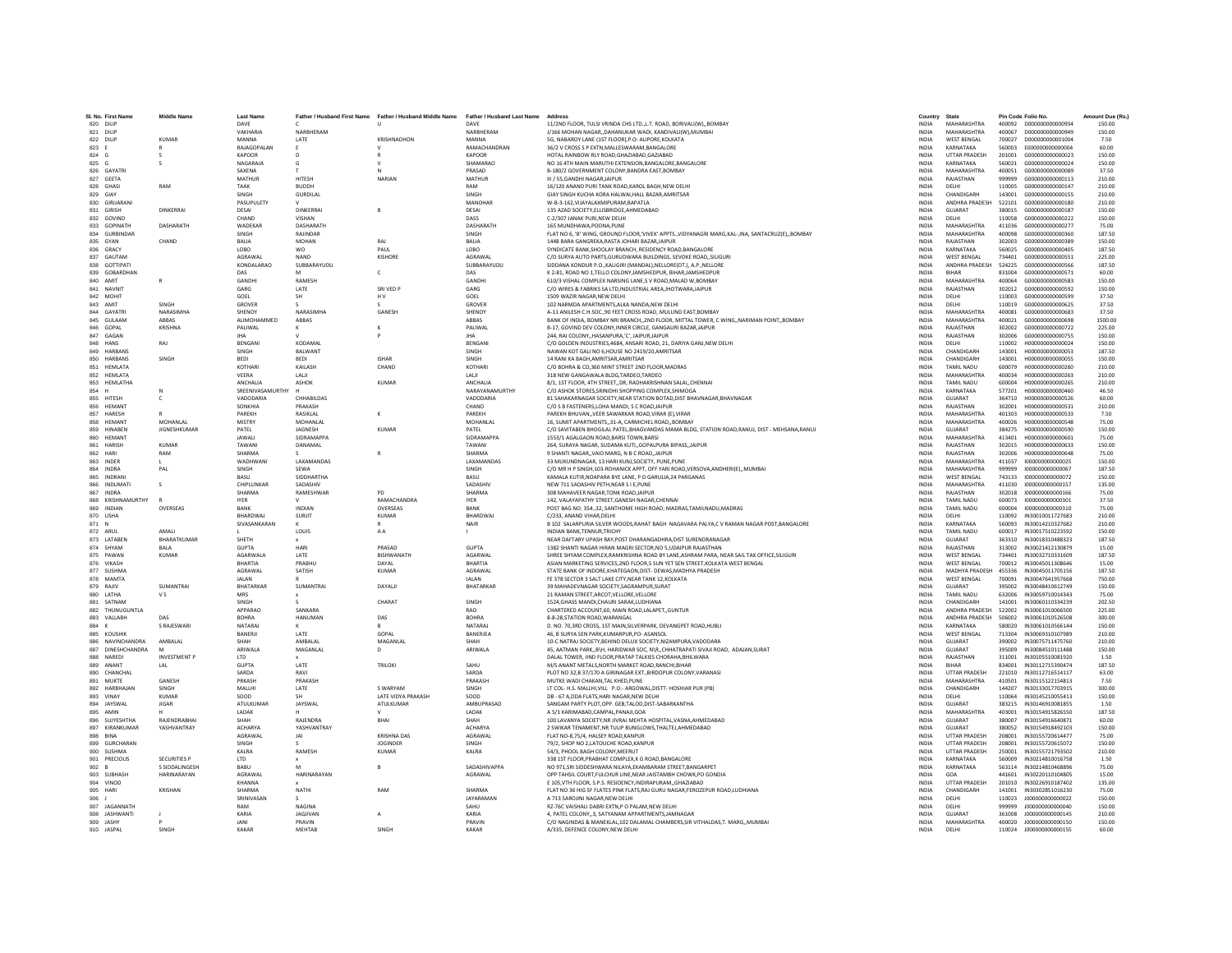| SL No. First Name<br>820 DILIP | <b>Middle Name</b>  | <b>Last Name</b><br>DAVE     |                            | Father / Husband First Name Father / Husband Middle Name Father / Husband Last Name | DAVE                       | Address<br>11/2ND FLOOR. TULSI VRINDA CHS LTD.,L.T. ROAD. BORIVALI(W)., BOMBAY                                                     | Country<br><b>INDIA</b>      | State<br>MAHARASHTRA                         | Pin Code Folio No. | 400092 D000000000000934              | Amount Due (Rs.)<br>150.00 |
|--------------------------------|---------------------|------------------------------|----------------------------|-------------------------------------------------------------------------------------|----------------------------|------------------------------------------------------------------------------------------------------------------------------------|------------------------------|----------------------------------------------|--------------------|--------------------------------------|----------------------------|
| 821 DILIP                      |                     | VAKHARIA                     | NARRHFRAM                  |                                                                                     | NARRHERAM                  | J/166 MOHAN NAGAR., DAHANUKAR WADI, KANDIVALI(W), MUMBAI                                                                           | <b>INDIA</b>                 | MAHARASHTRA                                  | 520004             | 000000000000049                      | 150.00                     |
| 822 DILIP                      | <b>KUMAR</b>        | MANNA                        | LATE                       | KRISHNADHON                                                                         | MANNA                      | 5G, NABAROY LANE (1ST FLOOR), P.O: ALIPORE, KOLKATA                                                                                | <b>INDIA</b>                 | <b>WEST BENGAL</b>                           | 700027             | D000000000001004                     | 7.50                       |
| 823 E                          |                     | RAJAGOPALAN                  |                            |                                                                                     | RAMACHANDRAN               | 36/2 V CROSS S P EXTN.MALLESWARAM.BANGALORE                                                                                        | <b>INDIA</b>                 | KARNATAKA                                    | 560003             | E0000000000000004                    | 60.00                      |
| 824<br>G                       | $\mathcal{L}$       | <b>KAPOOR</b>                | D.                         |                                                                                     | <b>KAPOOR</b>              | HOTAL RAINBOW RLY ROAD.GHAZIABAD.GAZIABAD                                                                                          | <b>INDIA</b>                 | <b>UTTAR PRADESH</b>                         | 201001             | 6000000000000023                     | 150.00                     |
| 825 G                          | s                   | NAGARAJA                     | G                          | $\mathbf{v}$                                                                        | SHAMARAO                   | NO 16 4TH MAIN MARUTHI EXTENSION BANGALORE BANGALORE                                                                               | <b>INDIA</b>                 | KARNATAKA                                    | 560021             | G000000000000024                     | 150.00                     |
| 826 GAYATRI                    |                     | SAXENA                       |                            |                                                                                     | PRASAD                     | B-180/2 GOVERNMENT COLONY, BANDRA EAST, BOMBAY                                                                                     | <b>INDIA</b>                 | MAHARASHTRA                                  | 400051             | G000000000000089                     | 37.50                      |
| 827<br>GEETA                   |                     | MATHUR                       | HITESH                     | NARIAN                                                                              | MATHUR                     | III / 55, GANDHI NAGAR, JAIPUR                                                                                                     | INDIA                        | RAJASTHAN                                    | 999999             | G000000000000113                     | 210.00                     |
| 828 GHASI                      | RAM                 | <b>TAAK</b>                  | <b>BUDDH</b>               |                                                                                     | RAM                        | 16/120 ANAND PURI TANK ROAD.KAROL BAGH.NEW DELHI                                                                                   | <b>INDIA</b>                 | DELHI                                        | 110005             | G000000000000147                     | 210.00                     |
| 829 GIAY                       |                     | SINGH                        | <b>GURDILAL</b>            |                                                                                     | SINGH                      | GIAY SINGH KUCHA KORA HALWAI.HALL BAZAR.AMRITSAR                                                                                   | <b>INDIA</b>                 | CHANDIGARH                                   | 143001             | G000000000000155                     | 210.00                     |
| 830 GIRIJARANI                 |                     | PASUPULETY                   |                            |                                                                                     | MANOHAR                    | W-B-3-162, VIJAYALAXMIPURAM, BAPATLA                                                                                               | INDIA                        | ANDHRA PRADESH                               | 522101             | G000000000000180                     | 210.00                     |
| 831 GIRISH                     | <b>DINKERRAI</b>    | DESAI                        | DINKERRAI                  |                                                                                     | DESAI                      | 135 AZAD SOCIETY, ELLISBRIDGE, AHMEDABAD                                                                                           | INDIA                        | GUJARAT                                      | 380015             | G000000000000187                     | 150.00                     |
| 832 GOVIND                     |                     | CHAND                        | <b>VISHAN</b>              |                                                                                     | DASS                       | C-2/307 JANAK PURI.NEW DELHI                                                                                                       | <b>INDIA</b>                 | DELHI                                        | 110058             | 6000000000000222                     | 150.00                     |
| 833 GOPINATH                   | DASHARATH           | WADEKAR                      | DASHARATH                  |                                                                                     | DASHARATH                  | 165 MUNDHAWA, POONA, PUNE                                                                                                          | <b>INDIA</b>                 | MAHARASHTRA                                  | 411036             | G00000000000277                      | 75.00                      |
| 834 GURRINDAR                  |                     | <b>SINGH</b>                 | RAIINDAR                   |                                                                                     | SINGH                      | FLAT NO 6, 'B' WING, GROUND FLOOR, VIVEK' APPTS, VIDYANAGRI MARG.KAL-JNA, SANTACRUZ(E)BOMBAY                                       | <b>INDIA</b>                 | MAHARASHTRA                                  | 400098             | 6000000000000360                     | 187.50                     |
| 835 GYAN<br>836 GRACY          | CHAND               | BALIA<br>LOBO                | MOHAN                      | RAJ<br>PAUL                                                                         | <b>BALIA</b><br>LOBO       | 1448 BARA GANGREKA, RASTA JOHARI BAZAR, JAIPUR<br>SYNDICATE BANK.SHOOLAY BRANCH, RESIDENCY ROAD.BANGALORE                          | INDIA<br>INDIA               | RAJASTHAN<br>KARNATAKA                       | 302003<br>560025   | G00000000000389<br>G000000000000405  | 150.00<br>187.50           |
|                                |                     |                              | <b>WO</b>                  |                                                                                     |                            |                                                                                                                                    |                              |                                              |                    |                                      |                            |
| 837 GAUTAM<br>838 GOTTIPATI    |                     | AGRAWAL<br><b>KONDALARAO</b> | <b>NAND</b><br>SURRARAYUDU | KISHORE                                                                             | AGRAWAL<br>SURRARAYUDU     | C/O SURYA AUTO PARTS.GURUDWARA BUILDINGS, SEVOKE ROADSILIGURI<br>SIDDANA KONDUR P.O. KALIGIRI (MANDAL) NELLORE(DT.), A.P., NELLORE | <b>INDIA</b><br><b>INDIA</b> | <b>WEST BENGAL</b><br><b>ANDHRA PRADESH</b>  | 734401<br>524225   | G000000000000551<br>6000000000000566 | 225.00<br>187.50           |
| 839 GOBARDHAN                  |                     | DAS                          |                            | c                                                                                   | DAS                        | K 2-81, ROAD NO 1, TELLO COLONY, JAMSHEDPUR, BIHAR, JAMSHEDPUR                                                                     | <b>INDIA</b>                 | <b>BIHAR</b>                                 | 831004             | G000000000000571                     | 60.00                      |
| 840 AMIT                       |                     | GANDH                        | RAMESH                     |                                                                                     | GANDH                      | 610/3 VISHAL COMPLEX NARSING LANE.S V ROAD.MALAD W.BOMBAY                                                                          | <b>INDIA</b>                 | <b>MAHARASHTRA</b>                           | 400064             | G000000000000583                     | 150.00                     |
| 841 NAVNIT                     |                     | GARG                         | LATE                       | SRI VED P                                                                           | GARG                       | C/O WIRES & FABRIKS SA LTD.INDUSTRIAL AREA JHOTWARA JAIPUR                                                                         | <b>INDIA</b>                 | RAJASTHAN                                    | 302012             | G000000000000592                     | 150.00                     |
| 842 MOHIT                      |                     | GOEL                         | <b>SH</b>                  | H <sub>V</sub>                                                                      | GOEL                       | 1509 WAZIR NAGAR NEW DELHI                                                                                                         | <b>INDIA</b>                 | DELHI                                        | 110003             | 6000000000000599                     | 37.50                      |
| 843 AMIT                       | <b>SINGH</b>        | GROVER                       |                            | $\sim$                                                                              | GROVER                     | 102 NARMDA APARTMENTS.ALKA NANDA.NEW DELHI                                                                                         | <b>INDIA</b>                 | DELHI                                        | 110019             | 6000000000000625                     | 37.50                      |
| 844 GAYATRI                    | NARASIMHA           | SHENOY                       | <b>NARASIMH/</b>           | GANESH                                                                              | SHENOY                     | A-11 ANILESH C.H.SOC.,90 FEET CROSS ROAD, MULUND EAST,BOMBAY                                                                       | INDIA                        | MAHARASHTRA                                  | 400081             | G00000000000683                      | 37.50                      |
| 845 GULAAN                     | ABBAS               | ALIMOHAMMED                  | ABBAS                      |                                                                                     | ABBAS                      | BANK OF INDIA, BOMBAY NRI BRANCH,,2ND FLOOR, MITTAL TOWER, C WING,, NARIMAN POINT,, BOMBAY                                         | <b>INDIA</b>                 | MAHARASHTRA                                  | 400021             | G000000000000698                     | 1500.00                    |
| 846 GOPAL                      | KRISHNA             | PALIWAL                      |                            |                                                                                     | PALIWAL                    | B-17, GOVIND DEV COLONY.INNER CIRCLE, GANGAURI BAZAR JAIPUR                                                                        | <b>INDIA</b>                 | RAJASTHAN                                    | 302002             | G000000000000722                     | 225.00                     |
| 847 GAGAN                      |                     | <b>IHA</b>                   |                            |                                                                                     | <b>IHA</b>                 | 244, RAI COLONY, HASANPURA, 'C', JAIPUR, JAIPUR                                                                                    | <b>INDIA</b>                 | RAIASTHAN                                    | 302006             | 6000000000000755                     | 150.00                     |
| 848<br>HANS                    | RAJ                 | BENGAN                       | <b>KODAMA</b>              |                                                                                     | BENGANI                    | C/O GOLDEN INDUSTRIES, 4684, ANSARI ROAD, 21, DARIYA GANJ, NEW DELHI                                                               | INDIA                        | DELHI                                        | 110002             | H00000000000024                      | 150.00                     |
| 849 HARBANS                    |                     | SINGH                        | <b>BALWANT</b>             |                                                                                     | SINGH                      | NAWAN KOT GALI NO 6,HOUSE NO 2419/20,AMRITSAR                                                                                      | <b>INDIA</b>                 | CHANDIGARH                                   | 143001             | H000000000000053                     | 187.50                     |
| 850 HARBANS                    | SINGH               | <b>BEDI</b>                  | <b>BEDI</b>                | <b>ISHAR</b>                                                                        | SINGH                      | 14 RANI KA BAGH, AMRITSAR, AMRITSAR                                                                                                | <b>INDIA</b>                 | CHANDIGARH                                   | 143001             | H000000000000055                     | 150.00                     |
| 851 HFMI ATA                   |                     | KOTHARI                      | <b>KAILASH</b>             | CHAND                                                                               | KOTHARI                    | C/O ROHRA & CO 360 MINT STREET 2ND FLOOR MADRAS                                                                                    | <b>INDIA</b>                 | <b>TAMIL NADLI</b>                           | 600079             | H000000000000260                     | 210.00                     |
| 852 HEMLATA                    |                     | VFFRA                        | <b>TALIE</b>               |                                                                                     | <b>IAII</b>                | 318 NEW GANGAWALA BLDG.TARDEO.TARDEO                                                                                               | <b>INDIA</b>                 | MAHARASHTRA                                  | 400034             | H000000000000263                     | 210.00                     |
| 853<br>HEMLATHA<br>854 H       |                     | ANCHALIA<br>SREENIVASAMURTHY | ASHOK                      | <b>KUMAR</b>                                                                        | ANCHALIA<br>NARAYANAMURTHY | 8/1, 1ST FLOOR, 4TH STREET., DR. RADHAKRISHNAN SALAI., CHENNAI<br>C/O ASHOK STORES, SRINIDHI SHOPPING COMPLEX, SHIMOGA             | <b>INDIA</b><br>INDIA        | <b>TAMIL NADU</b><br>KARNATAKA               | 600004<br>577201   | H00000000000265<br>H00000000000460   | 210.00<br>46.50            |
| 855 HITESH                     | $\mathfrak{c}$      | VADODARIA                    | CHHARILDAS                 |                                                                                     | VADODARIA                  | 81 SAHAKARNAGAR SOCIETY NEAR STATION ROTAD DIST RHAVNAGAR RHAVNAGAR                                                                | <b>INDIA</b>                 | GUIARAT                                      | 364710             | H000000000000526                     | 60.00                      |
| 856 HEMANT                     |                     | SONKHIA                      | PRAKASH                    |                                                                                     | CHAND                      | C/O S B FASTENERS, LOHA MANDI, S C ROAD, JAIPUR                                                                                    | <b>INDIA</b>                 | RAIASTHAN                                    | 302001             | H000000000000531                     | 210.00                     |
| 857 HARESH                     |                     | PAREKH                       | RASIKLAL                   |                                                                                     | PAREKH                     | PAREKH BHUVANVEER SAWARKAR ROAD.VIRAR (E).VIRAR                                                                                    | <b>INDIA</b>                 | <b>MAHARASHTRA</b>                           | 401303             | H000000000000533                     | 7.50                       |
| 858<br><b>HEMANT</b>           | MOHANLAL            | <b>MISTRY</b>                | MOHANLAL                   |                                                                                     | MOHANLAL                   | 16. SUMIT APARTMENTS31-A. CARMICHEL ROADBOMBAY                                                                                     | <b>INDIA</b>                 | MAHARASHTRA                                  | 400026             | H000000000000548                     | 75.00                      |
| 859 HINABEN                    | <b>JIGNESHKUMAR</b> | PATEL                        | JAGNESH                    | <b>KUMAR</b>                                                                        | PATEL                      | C/O SAVITABEN BHOGILAL PATEL, BHAGVANDAS MAMA BLDG, STATION ROAD, RANUJ, DIST - MEHSANA, RANUJ                                     | <b>INDIA</b>                 | GUIARAT                                      | 384275             | H000000000000590                     | 150.00                     |
| 860 HEMANT                     |                     | <b>JAWALL</b>                | SIDRAMAPPA                 |                                                                                     | SIDRAMAPPA                 | 1553/1 AGAI GAON ROAD BARSLTOWN BARSL                                                                                              | <b>INDIA</b>                 | MAHARASHTRA                                  | 413401             | H000000000000601                     | 75.00                      |
| 861 HARISH                     | KUMAF               | TAWANI                       | DANAMAL                    |                                                                                     | TAWANI                     | 264, SURAYA NAGAR, SUDAMA KUTI,, GOPALPURA BIPASS, JAIPUR                                                                          | <b>INDIA</b>                 | RAIASTHAN                                    | 302015             | H000000000000633                     | 150.00                     |
| 862 HARI                       | RAM                 | SHARMA                       |                            |                                                                                     | SHARMA                     | 9 SHANTI NAGAR., VAID MARG, N B C ROAD, JAIPUR                                                                                     | <b>INDIA</b>                 | RAJASTHAN                                    | 302006             | H000000000000648                     | 75.00                      |
| 863<br>INDER                   | L                   | WADHWANI                     | LAXAMANDAS                 |                                                                                     | LAXAMANDAS                 | 33 MUKUNDNAGAR, 13 HARI KUNJ, SOCIETY, PUNE, PUNE                                                                                  | INDIA                        | MAHARASHTRA                                  | 411037             | 1000000000000025                     | 150.00                     |
| 864 INDRA                      | PAI                 | <b>SINGH</b>                 | SEWA                       |                                                                                     | SINGH                      | C/O MR H P SINGH.103-ROHANICK APPT, OFF YARI ROAD.VERSOVA.ANDHERI(E)MUMBA                                                          | <b>INDIA</b>                 | MAHARASHTRA                                  | 999999             | 1000000000000067                     | 187.50                     |
| 865<br>INDRANI                 |                     | BASU                         | SIDDHARTHA                 |                                                                                     | <b>RASU</b>                | KAMALA KUTIR, NOAPARA BYE LANE, P O GARULIA, 24 PARGANAS                                                                           | INDIA                        | <b>WEST BENGAL</b>                           | 743133             | 1000000000000072                     | 150.00                     |
| 866<br>INDUMATI                | s                   | CHIPLUNKAP                   | SADASHIV                   |                                                                                     | SADASHIV                   | NEW 711 SADASHIV PETH, NEAR S I E.PUNE                                                                                             | <b>INDIA</b>                 | MAHARASHTRA                                  | 411030             | 1000000000000157                     | 135.00                     |
| 867 INDRA                      |                     | SHARMA                       | RAMESHWAR                  | PD                                                                                  | SHARMA                     | 308 MAHAVEER NAGAR, TONK ROAD, JAIPUR                                                                                              | INDIA                        | RAJASTHAN                                    | 302018             | 1000000000000166                     | 75.00                      |
| 868 KRISHNAMURTHY              |                     | <b>IYER</b>                  |                            | RAMACHANDRA                                                                         | <b>IYER</b>                | 142. VALAYAPATHY STREET.GANESH NAGAR.CHENNAI                                                                                       | <b>INDIA</b>                 | <b>TAMIL NADU</b>                            | 600073             | 1000000000000301                     | 37.50                      |
| 869 INDIAN<br>870 USHA         | OVERSEAS            | RANK<br><b>RHARDWAI</b>      | <b>INDIAN</b>              | OVERSEAS                                                                            | RANK<br>BHARDWAJ           | POST BAG NO. 354., 32, SANTHOME HIGH ROAD; MADRAS, TAMILNADU, MADRAS                                                               | <b>INDIA</b>                 | TAMIL NADU                                   | 600004             | 1000000000000310                     | 75.00                      |
| 871                            |                     | SIVASANKARAN                 | SURJIT                     | KUMAR                                                                               | NAIR                       | C/233, ANAND VIHAR, DELHI<br>B 102 SALARPURIA SILVER WOODS, RAHAT BAGH NAGAVARA PALYA, C V RAMAN NAGAR POST, BANGALORE             | <b>INDIA</b><br>INDIA        | DELHI<br>KARNATAKA                           | 110092<br>560093   | IN30010011727683<br>IN30014210327682 | 210.00<br>210.00           |
| N<br>872 ARUL                  | AMALI               |                              | LOUIS                      | AA.                                                                                 |                            | INDIAN BANK.TENNUR.TRICHY                                                                                                          | <b>INDIA</b>                 | <b>TAMIL NADU</b>                            | 600017             | IN30017510223592                     | 150.00                     |
| 873 LATAREN                    | RHARATKUMAR         | SHETH                        |                            |                                                                                     |                            | NEAR DAFTARY UPASH RAY.POST DHARANGADHRA.DIST SURENDRANAGAR                                                                        | <b>INDIA</b>                 | GUIARAT                                      |                    | 363310 IN30018310488323              | 187.50                     |
| 874 SHYAM                      | <b>RAIA</b>         | GUPTA                        | HARL                       | PRASAD                                                                              | <b>GUPTA</b>               | 1382 SHANTI NAGAR HIRAN MAGRI SECTOR, NO 5, UDAIPUR RAJASTHAN                                                                      | <b>INDIA</b>                 | RAIASTHAN                                    | 313002             | IN30021412130879                     | 15.00                      |
| 875 PAWAN                      | <b>KUMAR</b>        | AGARWALA                     | LATE                       | BISHWANATH                                                                          | AGARWAL                    | SHREE SHYAM COMPLEX, RAMKRISHNA ROAD BY LANE, ASHRAM PARA, NEAR SAIL TAX OFFICE, SILIGURI                                          | <b>INDIA</b>                 | <b>WEST BENGAL</b>                           | 734401             | IN30032710331609                     | 187.50                     |
| 876 VIKASH                     |                     | RHARTIA                      | PRARHU                     | DAYAL                                                                               | RHARTIA                    | ASIAN MARKETING SERVICES.2ND FLOOR.5 SUN YET SEN STREET.KOLKATA WEST BENGAL                                                        | <b>INDIA</b>                 | <b>WEST BENGAL</b>                           | 700012             | IN30045011308646                     | 15.00                      |
| 877 SUSHMA                     |                     | AGRAWAL                      | SATISH                     | <b>KUMAR</b>                                                                        | AGRAWAL                    | STATE BANK OF INDORE.KHATEGAON.DIST- DEWAS.MADHYA PRADESH                                                                          | <b>INDIA</b>                 | MADHYA PRADESH 455336                        |                    | IN30045011705156                     | 187.50                     |
| 878 MAMTA                      |                     | <b>JALAN</b>                 |                            |                                                                                     | <b>JAI AN</b>              | FE 378 SECTOR 3 SALT LAKE CITY.NEAR TANK 12.KOLKATA                                                                                | <b>INDIA</b>                 | <b>WEST BENGAL</b>                           | 700091             | IN30047641957668                     | 750.00                     |
| 879 RAJIV                      | SUMANTRAI           | BHATARKAR                    | SUMANTRAI                  | DAYALII                                                                             | BHATARKAR                  | 39 MAHADEVNAGAR SOCIETY, SAGRAMPUR, SURAT                                                                                          | INDIA                        | GUJARAT                                      | 395002             | IN30048410612749                     | 150.00                     |
| 880 LATHA                      | v s                 | MRS                          |                            |                                                                                     |                            | 21 RAMAN STREET, ARCOT, VELLORE, VELLORE                                                                                           | INDIA                        | <b>TAMIL NADU</b>                            | 632006             | IN30059710014343                     | 75.00                      |
| 881 SATNAM                     |                     | SINGH                        |                            | CHARAT                                                                              | SINGH                      | 1524.GHASS MANDI.CHAURI SARAK.LUDHIANA                                                                                             | <b>INDIA</b>                 | CHANDIGARH                                   | 141001             | IN30060110334239                     | 202.50                     |
| 882 THUNUGUNTLA                |                     | APPARAO                      | SANKARA                    |                                                                                     | RAO<br><b>BOHRA</b>        | CHARTERED ACCOUNT, 60, MAIN ROAD, LALAPET, GUNTUR                                                                                  | <b>INDIA</b>                 | ANDHRA PRADESH                               | 522002             | IN30061010066500                     | 225.00                     |
| 883 VALLABH<br>884             | DAS<br>S RAJESWARI  | <b>ROHRA</b><br>NATARA       | <b>HANUMAN</b>             | DAS                                                                                 | <b>NATARA</b>              | 8-8-28 STATION ROAD WARANGAL<br>D. NO. 70,3RD CROSS, 1ST MAIN, SILVERPARK, DEVANGPET ROAD, HUBLI                                   | <b>INDIA</b><br>INDIA        | ANDHRA PRADESH<br>KARNATAKA                  | 506002<br>580020   | IN30061010526508<br>IN30061010566144 | 300.00<br>150.00           |
| 885 KOUSHIN                    |                     | BANERJI                      | <b>LATE</b>                | GOPAL                                                                               | BANERJEA                   | 46. B SURYA SEN PARK.KUMARPUR.PO- ASANSOL                                                                                          | <b>INDIA</b>                 | <b>WEST BENGAL</b>                           | 713304             | IN30069310107989                     | 210.00                     |
| 886 NAVINCHANDRA               | AMBALAL             | SHAH                         | AMBALAL                    | MAGANLAL                                                                            | SHAH                       | 10-C NATRAJ SOCIETY.BEHIND DELUX SOCIETY.NIZAMPURA.VADODARA                                                                        | <b>INDIA</b>                 | GUJARAT                                      | 390002             | IN30075711475760                     | 210.00                     |
| 887 DINESHCHANDRA              |                     | ARIWALA                      | MAGANLAL                   | $\Omega$                                                                            | ARIWALA                    | 45, AATMAN PARK,,B\H, HARIDWAR SOC, N\R,,CHHATRAPATI SIVAJI ROAD, ADAJAN,SURAT                                                     | INDIA                        | GUIARAT                                      | 395009             | IN30084510111488                     | 150.00                     |
| 888 NARED                      | <b>INVESTMENT P</b> | LTD                          |                            |                                                                                     |                            | DALAL TOWER, IIND FLOOR, PRATAP TALKIES CHORAHA, BHILWARA                                                                          | INDIA                        | RAJASTHAN                                    | 311001             | IN30105510081920                     | 1.50                       |
| 889 ANANT                      | LAL                 | <b>GUPTA</b>                 | <b>LATE</b>                | <b>TRILOKI</b>                                                                      | SAHU                       | M/S ANANT METALS, NORTH MARKET ROAD, RANCHI, BIHAR                                                                                 | <b>INDIA</b>                 | <b>RIHAR</b>                                 | 834001             | IN30112715390474                     | 187.50                     |
| 890 CHANCHAL                   |                     | SARDA                        | RAVI                       |                                                                                     | SARDA                      | PLOT NO 32.B 37/170 A GIRINAGAR EXT. BIRDOPUR COLONY. VARANASI                                                                     | <b>INDIA</b>                 | <b>UTTAR PRADESH</b>                         | 221010             | IN30112716514117                     | 63.00                      |
| 891 MUKTE                      | <b>GANESH</b>       | PRKASH                       | PRAKASH                    |                                                                                     | PRAKASH                    | MUTKE WADI CHAKAN.TAL KHED.PUNE                                                                                                    | <b>INDIA</b>                 | MAHARASHTRA                                  | 410501             | IN30115122154813                     | 7.50                       |
| 892<br>HARBHAJAI               | SINGH               | MALLHI                       | LATE                       | S WARYAM                                                                            | SINGH                      | LT COL- H.S. MALLHI, VILL P.O.- ARGOWAL, DISTT- HOSHIAR PUR (PB)                                                                   | INDIA                        | CHANDIGARH                                   | 144207             | IN30133017703915                     | 300.00                     |
| 893 VINAY                      | <b>KUMAR</b>        | SOOD                         |                            | <b>LATE VIDYA PRAKASH</b>                                                           | SOOD                       | DB - 67 A.DDA FLATS.HARI NAGAR.NEW DELHI                                                                                           | <b>INDIA</b>                 | DELHI                                        | 110064             | IN30145210055413                     | 150.00                     |
| 894 JAYSWAI                    | <b>JIGAR</b>        | ATULKUMAR                    | JAYSWAL                    | ATULKUMAR                                                                           | AMBUPRASAD                 | SANGAM PARTY PLOT.OPP. GEB.TALOD.DIST-SABARKANTHA                                                                                  | <b>INDIA</b>                 | GUJARAT                                      | 383215             | IN30146910081855                     | 1.50                       |
| 895 AMIN                       |                     | <b>LADAK</b>                 |                            |                                                                                     | <b>LADAK</b>               | A 5/1 KARIMARAD CAMPAL PANAJI GOA                                                                                                  | <b>INDIA</b>                 | MAHARASHTRA                                  | 403001             | IN30154915826550                     | 187.50                     |
| 896 SUJYESHTHA                 | RAIFNDRARHAI        | SHAH                         | RAIFNDRA                   | BHAI                                                                                | SHAH                       | 100 LAVANYA SOCIETY, NR JIVRAJ MEHTA HOSPITAL, VASNA, AHMEDABAD                                                                    | INDIA                        | GUJARAT                                      | 380007             | IN30154916640871                     | 60.00                      |
| 897<br>KIRANKUMAR              | YASHVANTRAY         | <b>ACHARYA</b>               | YASHVANTRAY                |                                                                                     | <b>ACHARYA</b>             | 2 SWIKAR TENAMENT.NR TULIP BUNGLOWS.THALTEJ.AHMEDABAD                                                                              | <b>INDIA</b>                 | GUJARAT                                      | 380052             | IN30154918492103                     | 150.00                     |
| 898 BINA<br>899 GURCHARAN      |                     | AGRAWAL<br><b>SINGH</b>      | <b>JAI</b>                 | <b>KRISHNA DAS</b><br><b>IOGINDER</b>                                               | AGRAWAL<br><b>SINGH</b>    | FLAT NO-8.75/4. HALSEY ROAD.KANPUR<br>79/2 SHOP NO 2 LATOUCHE ROAD KANPUR                                                          | <b>INDIA</b><br><b>INDIA</b> | <b>UTTAR PRADESH</b><br><b>UTTAR PRADESH</b> | 208001<br>208001   | IN30155720614477<br>IN30155720615072 | 75.00<br>150.00            |
|                                |                     | KALRA                        | RAMESH                     | <b>KUMAR</b>                                                                        |                            |                                                                                                                                    | <b>INDIA</b>                 | <b>UTTAR PRADESH</b>                         | 250001             |                                      |                            |
| 900 SUSHMA<br>901 PRECIOUS     | <b>SECURITIES P</b> | LTD                          |                            |                                                                                     | KALRA                      | 54/3, PHOOL BAGH COLONY, MEERUT<br>338 1ST FLOOR, PRABHAT COMPLEX, K G ROAD, BANGALORE                                             | INDIA                        | KARNATAKA                                    | 560009             | IN30155721793502<br>IN30214810016758 | 210.00<br>1.50             |
| 902 B                          | S SIDDALINGESH      | <b>BABU</b>                  |                            |                                                                                     | SADASHIVAPPA               | NO 971.SRI SIDDESHWARA NILAYA, EKAMBARAM STREET, BANGARPET                                                                         | <b>INDIA</b>                 | KARNATAKA                                    | 563114             | IN30214810468896                     | 75.00                      |
| 903 SUBHASH                    | <b>HARINARAYAN</b>  | AGRAWAL                      | HARINARAYAN                |                                                                                     | AGRAWAL                    | OPP TAHSIL COURT.FULCHUR LINE.NEAR JAISTAMBH CHOWK.PO GONDIA                                                                       | <b>INDIA</b>                 | GOA                                          | 441601             | IN30220110104805                     | 15.00                      |
| 904 VINOD                      |                     | KHANNA                       |                            |                                                                                     |                            | E 105 VTH FLOOR S.P.S. RESIDENCY INDIRAPLIRAM, GHAZIARAD                                                                           | <b>INDIA</b>                 | <b>UTTAR PRADESH</b>                         | 201010             | IN30226910187402                     | 135.00                     |
| 905<br>HARI                    | KRISHAN             | SHARMA                       | NATHI                      | RAM                                                                                 | <b>SHARMA</b>              | FLAT NO 36 HIG SF FLATES PINK FLATS, RAJ GURU NAGAR, FEROZEPUR ROAD, LUDHIANA                                                      | INDIA                        | CHANDIGARH                                   | 141001             | IN30302851016230                     | 75.00                      |
| $906$ J                        |                     | SRINIVASAN                   |                            |                                                                                     | <b>JAYARAMAN</b>           | A 713 SAROJINI NAGAR.NEW DELHI                                                                                                     | <b>INDIA</b>                 | DELHI                                        | 110023             | J000000000000022                     | 150.00                     |
| 907 JAGANNATH                  |                     | RAM                          | <b>NAGINA</b>              |                                                                                     | SAHU                       | RZ-76C VAISHALI DABRI EXTN.P O PALAM.NEW DELHI                                                                                     | <b>INDIA</b>                 | DELHI                                        | 999999             | J000000000000040                     | 150.00                     |
| 908 IASHWANTI                  |                     | KARIA                        | <b>IAGIIVAN</b>            | $\Delta$                                                                            | KARIA                      | 4. PATEL COLONY. 3. SATYANAM APPARTMENTS JAMNAGAR                                                                                  | <b>INDIA</b>                 | GUIARAT                                      | 361008             | 1000000000000145                     | 210.00                     |
| 909 IASHY                      |                     | <b>JANI</b>                  | PRAVIN                     |                                                                                     | PRAVIN                     | C/O NAGINDAS & MANEKLAL, 102 DALAMAL CHAMBERS, SIR VITHALDAS, T. MARG,, MUMBAI                                                     | <b>INDIA</b>                 | MAHARASHTRA                                  |                    | 400020 1000000000000150              | 150.00                     |
| 910 JASPAL                     | SINGH               | KAKAR                        | MEHTAB                     | SINGH                                                                               | KAKAR                      | A/335. DEFENCE COLONY.NEW DELH                                                                                                     | <b>INDIA</b>                 | DELHI                                        | 110024             | J000000000000155                     | 60.00                      |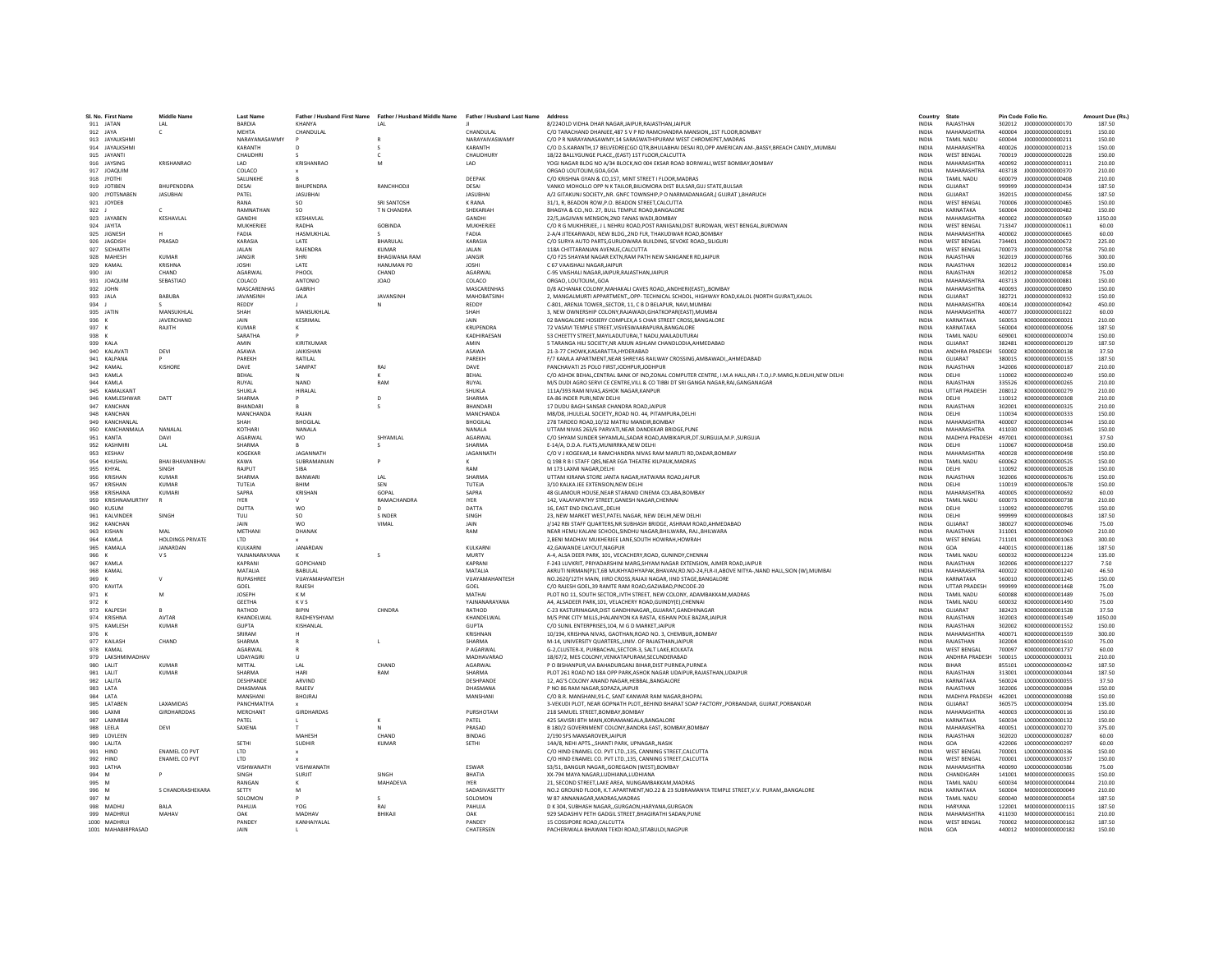| SL No. First Name                     | <b>Middle Name</b>             | <b>Last Name</b>                |                           | Father / Husband First Name Father / Husband Middle Name Father / Husband Last Name |                                   | Address                                                                                                                                               | Country                      | State                                    | Pin Code Folio No. |                                                        | Amount Due (Rs.) |
|---------------------------------------|--------------------------------|---------------------------------|---------------------------|-------------------------------------------------------------------------------------|-----------------------------------|-------------------------------------------------------------------------------------------------------------------------------------------------------|------------------------------|------------------------------------------|--------------------|--------------------------------------------------------|------------------|
| 911 JATAN                             | LAL                            | BARDIA                          | KHANYA                    | LAL                                                                                 |                                   | 8/224OLD VIDHA DHAR NAGARJAIPUR.RAJASTHANJAIPUR                                                                                                       | <b>INDIA</b>                 | RAJASTHAN                                |                    | 302012 J000000000000170                                | 187.50           |
| 912 IAYA                              | $\mathsf{C}$                   | MEHTA                           | CHANDULAL                 |                                                                                     | CHANDLIL AL                       | C/O TARACHAND DHANIFE 487 S V P RD RAMCHANDRA MANSION. 1ST FLOOR ROMRAY                                                                               | INDIA                        | MAHARASHTRA                              | 400004             | 1000000000000191                                       | 150.00           |
| 913 JAYALKSHM                         |                                | <b>NARAYANASAWM</b>             |                           |                                                                                     | NARAYAIVASWAMY                    | C/O P R NARAYANASAWMY, 14 SARASWATHIPURAM WEST CHROMEPET, MADRAS                                                                                      | <b>INDIA</b>                 | <b>TAMIL NADU</b>                        | 600044             | J000000000000211                                       | 150.00           |
| 914 JAYALKSHML<br>915 JAYANTI         |                                | KARANTH<br>CHAUDHRI             |                           | c                                                                                   | KARANTH<br><b>CHAUDHURY</b>       | C/O D.S.KARANTH,17 BELVEDRE(CGO QTR,BHULABHAI DESAI RD,OPP AMERICAN AM-,BASSY,BREACH CANDY,,MUMBAI<br>18/22 BALLYGUNGE PLACE(EAST) 1ST FLOOR.CALCUTTA | <b>INDIA</b><br><b>INDIA</b> | MAHARASHTRA<br><b>WEST BENGAL</b>        | 400026<br>700019   | 1000000000000213<br>1000000000000228                   | 150.00<br>150.00 |
| 916 JAYSING                           | KRISHANRAO                     | 1AD                             | KRISHANRAO                | M                                                                                   | LAD                               | YOGI NAGAR BLDG NO A/34 BLOCK, NO 004 EKSAR ROAD BORIWALI, WEST BOMBAY, BOMBAY                                                                        | <b>INDIA</b>                 | MAHARASHTRA                              | 400092             | J000000000000311                                       | 210.00           |
| 917 JOAQUIM                           |                                | COLACO                          |                           |                                                                                     |                                   | ORGAO LOUTOLIM, GOA, GOA                                                                                                                              | <b>INDIA</b>                 | MAHARASHTRA                              | 403718             | J000000000000370                                       | 210.00           |
| 918 JYOTHI                            |                                | SALUNKHE                        |                           |                                                                                     | DEEPAK                            | C/O KRISHNA GYAN & CO,157, MINT STREET I FLOOR, MADRAS                                                                                                | INDIA                        | TAMIL NADU                               | 600079             | J00000000000408                                        | 210.00           |
| 919 JOTIBEN                           | BHUPENDDRA                     | DESAI                           | BHUPENDRA                 | RANCHHODJI                                                                          | DESAI                             | VANKO MOHOLLO OPP N K TAILOR BILIOMORA DIST BULSAR GUJ STATE BULSAR                                                                                   | <b>INDIA</b>                 | GUJARAT                                  | 999999             | J000000000000434                                       | 187.50           |
| 920 JYOTSNABEN<br>921<br>JOYDEB       | <b>JASUBHAI</b>                | PATEL<br>RANA                   | <b>JASUBHAI</b><br>SO.    | <b>SRI SANTOSH</b>                                                                  | <b>JASUBHAI</b><br>K RANA         | A/2 GITAKUNJ SOCIETYNR. GNFC TOWNSHIP.P O NARMADANAGAR.( GUJRAT ).BHARUCH<br>31/1, R, BEADON ROW, P.O. BEADON STREET, CALCUTTA                        | <b>INDIA</b><br><b>INDIA</b> | GUJARAT<br><b>WEST BENGAL</b>            | 392015<br>700006   | J00000000000456<br>J000000000000465                    | 187.50<br>150.00 |
| 922                                   | c                              | RAMNATHAN                       | so                        | T N CHANDRA                                                                         | SHEKARIAH                         | BHAGYA & CO., NO. 27, BULL TEMPLE ROAD, BANGALORE                                                                                                     | INDIA                        | KARNATAKA                                | 560004             | J00000000000482                                        | 150.00           |
| 923 JAYABEN                           | KESHAVLAL                      | GANDHI                          | KESHAVLAL                 |                                                                                     | GANDHI                            | 22/5, JAGJIVAN MENSION, 2ND FANAS WADI, BOMBAY                                                                                                        | <b>INDIA</b>                 | MAHARASHTRA                              | 400002             | 1000000000000569                                       | 1350.00          |
| 924 JAYITA                            |                                | MUKHERJEE                       | RADHA                     | <b>GOBINDA</b>                                                                      | MUKHERJEE                         | C/O R G MUKHERJEE, J L NEHRU ROAD, POST RANIGANJ, DIST BURDWAN, WEST BENGAL, BURDWAN                                                                  | <b>INDIA</b>                 | <b>WEST BENGAL</b>                       | 713347             | J000000000000611                                       | 60.00            |
| 925 IIGNESH                           |                                | FADIA                           | <b>HASMUKHLAL</b>         |                                                                                     | FADIA                             | 2-A/4 JITEKARWADI. NEW BLDG2ND FLR. THAKUDWAR ROAD.BOMBAY                                                                                             | <b>INDIA</b>                 | MAHARASHTRA                              | 400002             | 1000000000000665                                       | 60.00            |
| 926<br>JAGDISH<br>927 SIDHARTH        | PRASAD                         | KARASIA<br><b>JALAN</b>         | LATE<br>RAJENDRA          | BHARULAL<br><b>KUMAR</b>                                                            | KARASIA<br><b>JALAN</b>           | C/O SURYA AUTO PARTS, GURUDWARA BUILDING, SEVOKE ROAD, SILIGURI<br>118A CHITTARANJAN AVENUE.CALCUTTA                                                  | INDIA<br>INDIA               | <b>WEST BENGAL</b><br><b>WEST BENGAL</b> | 734401<br>700073   | J00000000000672<br>J00000000000758                     | 225.00<br>750.00 |
| 928 MAHESH                            | <b>KUMAR</b>                   | <b>JANGIR</b>                   | SHRI                      | <b>BHAGWANA RAM</b>                                                                 | JANGIR                            | C/O F25 SHAYAM NAGAR EXTN.RAM PATH NEW SANGANER RDJAIPUR                                                                                              | <b>INDIA</b>                 | RAJASTHAN                                | 302019             | 1000000000000766                                       | 300.00           |
| 929 KAMAL                             | KRISHNA                        | <b>IOSHI</b>                    | <b>LATE</b>               | <b>HANUMAN PD</b>                                                                   | <b>IOSHI</b>                      | C 67 VAAISHALLNAGAR JAIPUR                                                                                                                            | <b>INDIA</b>                 | RAIASTHAN                                | 302012             | 1000000000000814                                       | 150.00           |
| 930<br>JAI                            | CHAND                          | AGARWAL                         | PHOOL                     | CHAND                                                                               | AGARWAL                           | C-95 VAISHALI NAGAR, JAIPUR, RAJASTHAN, JAIPUR                                                                                                        | <b>INDIA</b>                 | RAJASTHAN                                | 302012             | J00000000000858                                        | 75.00            |
| 931<br><b>JOAQUIN</b>                 | SEBASTIAO                      | COLACO                          | ANTONIC                   | <b>JOAO</b>                                                                         | COLACO                            | ORGAO, LOUTOLIMGOA                                                                                                                                    | <b>INDIA</b>                 | <b>MAHARASHTRA</b>                       | 403713             | J000000000000881                                       | 150.00           |
| 932 JOHN<br>933 IAI A                 | RARURA                         | MASCARENHAS<br><b>IAVANSINH</b> | GABRIH<br><b>JAIA</b>     | <b>IAVANSINH</b>                                                                    | MASCARENHAS<br><b>MAHORATSINH</b> | D/8 ACHANAK COLONY.MAHAKALI CAVES ROADANDHERI(EAST)BOMBAY<br>2. MANGALMURTI APPARTMENTOPP- TECHNICAL SCHOOL. HIGHWAY ROAD.KALOL (NORTH GUJRAT).KALOL  | <b>INDIA</b><br><b>INDIA</b> | MAHARASHTRA<br>GUIARAT                   | 400093<br>382721   | J00000000000890<br>1000000000000932                    | 150.00<br>150.00 |
| 934 J                                 |                                | REDDY                           |                           | N                                                                                   | REDDY                             | C-801, ARENJA TOWER., SECTOR, 11, C B D BELAPUR, NAVI, MUMBAI                                                                                         | <b>INDIA</b>                 | MAHARASHTRA                              | 400614             | 1000000000000942                                       | 450.00           |
| 935 JATIN                             | MANSUKHLAI                     | SHAH                            | MANSUKHLAI                |                                                                                     | SHAH                              | 3, NEW OWNERSHIP COLONY, RAJAWADI, GHATKOPAR (EAST), MUMBAI                                                                                           | INDIA                        | MAHARASHTRA                              | 400077             | J000000000001022                                       | 60.00            |
| 936 K                                 | JAVERCHAND                     | <b>JAIN</b>                     | KESRIMAL                  |                                                                                     | JAIN                              | 02 BANGALORE HOSIERY COMPLEX A S CHAR STREET CROSS BANGALORE                                                                                          | <b>INDIA</b>                 | KARNATAKA                                | 560053             | K000000000000021                                       | 210.00           |
| 937 K                                 | RAJITH                         | <b>KUMAR</b>                    |                           |                                                                                     | <b>KRUPENDRA</b>                  | 72 VASAVI TEMPLE STREET.VISVESWAARAPURA.BANGALORE                                                                                                     | <b>INDIA</b>                 | KARNATAKA                                | 560004             | K000000000000056                                       | 187.50           |
| 938 K<br>939 KALA                     |                                | SARATHA<br>AMIN                 | KIRITKUMAR                |                                                                                     | KADHIRAFSAN<br>AMIN               | 53 CHEETTY STREET.MAYILADUTURAI.T NADU.MAILADUTURAI<br>5 TARANGA HILI SOCIETY, NR ARJUN ASHLAM CHANDLODIA, AHMEDABAD                                  | <b>INDIA</b><br>INDIA        | <b>TAMIL NADLI</b><br>GUJARAT            | 609001<br>382481   | K000000000000074<br>K000000000000129                   | 150.00<br>187.50 |
| 940 KALAVAT                           | DEVI                           | ASAWA                           | <b>JAIKISHAN</b>          |                                                                                     | <b>ASAWA</b>                      | 21-3-77 CHOWK.KASARATTA.HYDERABAD                                                                                                                     | <b>INDIA</b>                 | ANDHRA PRADESH                           | 500002             | K000000000000138                                       | 37.50            |
| 941 KALPANA                           |                                | PAREKH                          | RATILAL                   |                                                                                     | PAREKH                            | F/7 KAMLA APARTMENT.NEAR SHREYAS RAILWAY CROSSING.AMBAWADIAHMEDABAD                                                                                   | <b>INDIA</b>                 | GUJARAT                                  | 380015             | K000000000000155                                       | 187.50           |
| 942 KAMAI                             | KISHORE                        | DAVE                            | SAMPAT                    | RAI                                                                                 | DAVE                              | PANCHAVATI 25 POLO FIRST IODHPUR IODHPUR                                                                                                              | <b>INDIA</b>                 | RAIASTHAN                                | 342006             | K000000000000187                                       | 210.00           |
| 943 KAMLA                             |                                | RFHAI                           |                           |                                                                                     | RFHAI                             | C/O ASHOK BEHAL, CENTRAL BANK OF IND, ZONAL COMPUTER CENTRE, I.M.A HALL, NR-I.T.O, I.P. MARG, N.DELHI, NEW DELHI                                      | <b>INDIA</b>                 | DELHI                                    | 110002             | K000000000000249                                       | 150.00           |
| 944<br>KAMLA<br>945 KAMALKANT         |                                | RUYAL<br>SHUKLA                 | <b>NAND</b><br>HIRALAL    | RAM                                                                                 | RUYAL<br>SHUKLA                   | M/S DUDI AGRO SERVI CE CENTRE, VILL & CO TIBBI DT SRI GANGA NAGAR, RAJ, GANGANAGAR<br>111A/393 RAM NIVAS.ASHOK NAGAR.KANPUR                           | <b>INDIA</b><br>INDIA        | RAJASTHAN<br><b>UTTAR PRADESH</b>        | 335526<br>208012   | K000000000000265<br>K000000000000279                   | 210.00<br>210.00 |
| 946 KAMI FSHWAR                       | DATT                           | SHARMA                          | $\mathbf{D}$              | $\mathsf{D}$                                                                        | SHARMA                            | FA-86 INDER PURLNEW DELHI                                                                                                                             | <b>INDIA</b>                 | DELHI                                    | 110012             | K000000000000308                                       | 210.00           |
| 947 KANCHAN                           |                                | RHANDARI                        |                           |                                                                                     | <b>RHANDARI</b>                   | 17 DUDU BAGH SANSAR CHANDRA ROAD.JAIPUR                                                                                                               | <b>INDIA</b>                 | RAJASTHAN                                | 302001             | K000000000000325                                       | 210.00           |
| 948 KANCHAM                           |                                | MANCHANDA                       | RAJAN                     |                                                                                     | MANCHANDA                         | M8/D8. JHULELAL SOCIETYROAD NO. 44. PITAMPURA.DELH                                                                                                    | <b>INDIA</b>                 | DELHI                                    | 110034             | K000000000000333                                       | 150.00           |
| 949 KANCHANLAL                        |                                | SHAH                            | <b>BHOGILAI</b>           |                                                                                     | <b>BHOGILAL</b>                   | 278 TARDEO ROAD.10/32 MATRU MANDIR.BOMBAY                                                                                                             | <b>INDIA</b>                 | MAHARASHTRA                              | 400007             | K000000000000344                                       | 150.00           |
| 950 KANCHANMALA<br>951 KANTA          | NANAL AL<br>DAVI               | KOTHARI<br><b>AGARWAL</b>       | NANALA<br><b>WO</b>       | <b>SHYAMI AI</b>                                                                    | NANALA<br><b>AGARWAI</b>          | UTTAM NIVAS 263/6 PARVATI.NEAR DANDEKAR BRIDGE.PUNE                                                                                                   | <b>INDIA</b><br><b>INDIA</b> | MAHARASHTRA<br>MADHYA PRADESH 497001     | 411030             | K000000000000345<br>K000000000000361                   | 150.00<br>37.50  |
| 952 KASHMIR                           | LAL                            | SHARMA                          |                           |                                                                                     | SHARMA                            | C/O SHYAM SUNDER SHYAMLAL SADAR ROAD AMBIKAPUR DT SURGUJA M.P. SURGUJA<br>E-14/A, D.D.A. FLATS.MUNIRRKA.NEW DELHI                                     | <b>INDIA</b>                 | DELHI                                    | 110067             | K0000000000000458                                      | 150.00           |
| 953 KESHAV                            |                                | KOGEKAR                         | JAGANNATH                 |                                                                                     | JAGANNATH                         | C/O V J KOGEKAR.14 RAMCHANDRA NIVAS RAM MARUTI RD.DADAR.BOMBAY                                                                                        | <b>INDIA</b>                 | MAHARASHTRA                              | 400028             | K000000000000498                                       | 150.00           |
| 954 KHUSHAI                           | <b>BHAI BHAVANBHAI</b>         | KAWA                            | SUBRAMANIAN               |                                                                                     |                                   | Q 198 R B I STAFF QRS, NEAR EGA THEATRE KILPAUK, MADRAS                                                                                               | INDIA                        | <b>TAMIL NADU</b>                        | 600062             | K000000000000525                                       | 150.00           |
| 955 KHYAI                             | SINGH                          | RAIPLIT                         | <b>SIRA</b>               |                                                                                     | RAM                               | M 173 LAXMI NAGAR DELHI                                                                                                                               | <b>INDIA</b>                 | DELHI                                    | 110092             | K000000000000528                                       | 150.00           |
| 956 KRISHAN                           | KUMAR                          | SHARMA                          | <b>BANWARI</b>            | IAI                                                                                 | SHARMA                            | UTTAM KIRANA STORE JANTA NAGAR, HATWARA ROAD, JAIPUR                                                                                                  | INDIA                        | RAJASTHAN                                | 302006             | K000000000000676                                       | 150.00           |
| 957<br><b>KRISHAN</b><br>958 KRISHANA | <b>KUMAR</b><br>KUMARI         | TUTEJA<br>SAPRA                 | BHIM<br>KRISHAN           | SEN<br>GOPAL                                                                        | TUTEJA<br>SAPRA                   | 3/10 KALKA JEE EXTENSION.NEW DELHI<br>48 GLAMOUR HOUSE, NEAR STARAND CINEMA COLABA, BOMBAY                                                            | <b>INDIA</b><br>INDIA        | DELHI<br>MAHARASHTRA                     | 110019<br>400005   | K000000000000678<br>K000000000000692                   | 150.00<br>60.00  |
| 959 KRISHNAMURTHY                     |                                | <b>IYER</b>                     |                           | RAMACHANDRA                                                                         | <b>IYER</b>                       | 142. VALAYAPATHY STREET.GANESH NAGAR.CHENNAI                                                                                                          | <b>INDIA</b>                 | TAMIL NADU                               | 600073             | K000000000000738                                       | 210.00           |
| 960 KUSUM                             |                                | DUTTA                           | <b>WO</b>                 | $\mathsf{D}$                                                                        | DATTA                             | 16. EAST END ENCLAVEDELHI                                                                                                                             | <b>INDIA</b>                 | DELHI                                    | 110092             | K000000000000795                                       | 150.00           |
| 961 KALVINDER                         | SINGH                          | TULI                            | <b>SO</b>                 | S INDER                                                                             | SINGH                             | 23, NEW MARKET WEST, PATEL NAGAR, NEW DELHI, NEW DELHI                                                                                                | <b>INDIA</b>                 | DELHI                                    | 999999             | K000000000000843                                       | 187.50           |
| 962 KANCHAN                           |                                | JAIN                            | <b>WO</b>                 | VIMAL                                                                               | JAIN                              | J/142 RBI STAFF QUARTERS, NR SUBHASH BRIDGE, ASHRAM ROAD, AHMEDABAD                                                                                   | INDIA                        | GUJARAT                                  | 380027             | K000000000000946                                       | 75.00            |
| 963 KISHAN<br>964 KAMLA               | MAI<br><b>HOLDINGS PRIVATE</b> | METHANI<br><b>ITD</b>           | DHANAK                    |                                                                                     | RAM                               | NEAR HEMU KALANI SCHOOL.SINDHU NAGAR.BHILWARA, RAJ.,BHILWARA<br>2.BENI MADHAV MUKHERJEE LANE.SOUTH HOWRAH.HOWRAH                                      | <b>INDIA</b><br><b>INDIA</b> | RAJASTHAN<br><b>WEST BENGAL</b>          | 311001<br>711101   | K000000000000969<br>K000000000001063                   | 210.00<br>300.00 |
| 965<br>KAMALA                         | <b>IANARDAN</b>                | KULKARNI                        | <b>JANARDAN</b>           |                                                                                     | <b>KULKARNI</b>                   | 42.GAWANDE LAYOUT.NAGPUR                                                                                                                              | <b>INDIA</b>                 | GOA.                                     | 440015             | K000000000001186                                       | 187.50           |
| 966 K                                 | V S                            | YAJNANARAYANA                   |                           |                                                                                     | MURTY                             | A-4, ALSA DEER PARK, 101, VECACHERY, ROAD, GUNINDY, CHENNAI                                                                                           | <b>INDIA</b>                 | <b>TAMIL NADU</b>                        | 600032             | K000000000001224                                       | 135.00           |
| 967 KAMLA                             |                                | KAPRANI                         | GOPICHAND                 |                                                                                     | KAPRANI                           | F-243 LUVKRIT, PRIYADARSHINI MARG, SHYAM NAGAR EXTENSION, AJMER ROAD, JAIPUR                                                                          | <b>INDIA</b>                 | RAIASTHAN                                | 302006             | K000000000001227                                       | 7.50             |
| 968 KAMAL                             |                                | MATALIA                         | BABULAL                   |                                                                                     | MATALIA                           | AKRUTI NIRMAN(P)LT.6B MUKHYADHYAPAK.BHAVAN.RD.NO-24.FLR-II.ABOVE NITYA-.NAND HALL.SION (W).MUMBAI                                                     | <b>INDIA</b>                 | MAHARASHTRA                              | 400022             | K000000000001240                                       | 46.50            |
| 969<br>970 KAVITA                     | $\mathbf{v}$                   | <b>RUPASHREE</b><br>GOEL        | VIIAYAMAHANTESH<br>RAJESH |                                                                                     | VIIAYAMAHANTESH<br>GOEL           | NO.2620/12TH MAIN, IIIRD CROSS, RAJAJI NAGAR, IIND STAGE, BANGALORE<br>C/O RAJESH GOEL, 39 RAMTE RAM ROAD, GAZIABAD, PINCODE-20                       | <b>INDIA</b><br>INDIA        | KARNATAKA<br><b>UTTAR PRADESH</b>        | 560010<br>999999   | K000000000001245<br>K000000000001468                   | 150.00<br>75.00  |
| 971 K                                 | M                              | JOSEPH                          | K M                       |                                                                                     | MATHAI                            | PLOT NO 11, SOUTH SECTOR, IVTH STREET, NEW COLONY, ADAMBAKKAM, MADRAS                                                                                 | INDIA                        | <b>TAMIL NADU</b>                        | 600088             | K000000000001489                                       | 75.00            |
| 972 K                                 |                                | <b>GEETHA</b>                   | KVS                       |                                                                                     | YAJNANARAYANA                     | A4. ALSADEER PARK.101. VELACHERY ROAD.GUINDY(E).CHENNAI                                                                                               | <b>INDIA</b>                 | <b>TAMIL NADU</b>                        | 600032             | K000000000001490                                       | 75.00            |
| 973 KALPESH                           | $\mathsf{R}$                   | RATHOD                          | <b>BIPIN</b>              | CHNDRA                                                                              | RATHOD                            | C-23 KASTURINAGAR, DIST GANDHINAGAR, , GUJARAT, GANDHINAGAR                                                                                           | <b>INDIA</b>                 | GUIARAT                                  | 382423             | K000000000001528                                       | 37.50            |
| 974 KRISHNA                           | <b>AVTAR</b>                   | KHANDELWAL                      | RADHEYSHYAM               |                                                                                     | KHANDELWA                         | M/S PINK CITY MILLS JHALANIYON KA RASTA, KISHAN POLE BAZAR JAIPUR                                                                                     | <b>INDIA</b>                 | RAJASTHAN                                | 302003             | K000000000001549                                       | 1050.00          |
| 975 KAMLESI<br>976 K                  | <b>KUMAR</b>                   | GUPTA<br>SRIRAM                 | KISHANLAL                 |                                                                                     | <b>GUPTA</b><br>KRISHNAN          | C/O SUNIL ENTERPRISES, 104, M G D MARKET, JAIPU<br>10/194, KRISHNA NIVAS, GAOTHAN, ROAD NO. 3, CHEMBUR., BOMBAY                                       | INDIA<br><b>INDIA</b>        | RAJASTHAN<br>MAHARASHTRA                 | 302002<br>400071   | K000000000001552<br>K000000000001559                   | 150.00<br>300.00 |
| 977 KAILASH                           | CHAND                          | SHARMA                          |                           | п.                                                                                  | SHARMA                            | M-14, UNIVERSITY QUARTERS., UNIV, OF RAJASTHAN JAIPUR                                                                                                 | <b>INDIA</b>                 | RAJASTHAN                                | 302004             | K000000000001610                                       | 75.00            |
| 978 KAMAL                             |                                | AGARWAL                         |                           |                                                                                     | <b>PAGARWAL</b>                   | G-2.CLUSTER-X, PURBACHAL.SECTOR-3, SALT LAKE.KOLKATA                                                                                                  | <b>INDIA</b>                 | <b>WEST BENGAL</b>                       | 700097             | K000000000001737                                       | 60.00            |
| 979 LAKSHMIMADHA\                     |                                | UDAYAGIRI                       |                           |                                                                                     | MADHAVARAO                        | 18/67/2, MES COLONY, VENKATAPURAM, SECUNDERABAD                                                                                                       | INDIA                        | ANDHRA PRADESH                           | 500015             | L000000000000031                                       | 210.00           |
| 980 LALIT                             | KUMAR                          | MITTAL                          | A                         | CHAND                                                                               | AGARWAL                           | P O BISHANPUR.VIA BAHADURGANJ BIHAR.DIST PURNEA.PURNEA                                                                                                | <b>INDIA</b>                 | <b>RIHAR</b>                             | 855101             | 1000000000000042                                       | 187.50           |
| 981 LALIT<br>982 LALITA               | <b>KUMAR</b>                   | SHARMA<br>DESHPANDE             | HARI<br>ARVIND            | RAM                                                                                 | SHARMA<br><b>DESHPANDE</b>        | PLOT 261 ROAD NO 18A OPP PARK, ASHOK NAGAR UDAIPUR, RAJASTHAN, UDAIPUR<br>12. AG'S COLONY ANAND NAGAR.HEBBAL.BANGALORE                                | <b>INDIA</b><br><b>INDIA</b> | RAJASTHAN<br>KARNATAKA                   | 313001<br>560024   | L000000000000044<br>1000000000000055                   | 187.50<br>37.50  |
| 983 LATA                              |                                | DHASMANA                        | RAJEEV                    |                                                                                     | DHASMANA                          | P NO 86 RAM NAGAR, SOPAZA, JAIPUR                                                                                                                     | INDIA                        | RAJASTHAN                                | 302006             | L000000000000084                                       | 150.00           |
| 984 LATA                              |                                | MANSHANI                        | <b>BHOJRAJ</b>            |                                                                                     | MANSHANI                          | C/O B.R. MANSHANI, 91-C, SANT KANWAR RAM NAGAR, BHOPAL                                                                                                | <b>INDIA</b>                 | MADHYA PRADESH 462001                    |                    | L00000000000088                                        | 150.00           |
| 985 LATABEN                           | LAXAMIDAS                      | PANCHMATIYA                     |                           |                                                                                     |                                   | 3-VEKUDI PLOT, NEAR GOPNATH PLOT, BEHIND BHARAT SOAP FACTORY, PORBANDAR, GUJRAT, PORBANDAR                                                            | <b>INDIA</b>                 | GUJARAT                                  | 360575             | L000000000000094                                       | 135.00           |
| 986 LAXMI                             | GIRDHARDDAS                    | <b>MERCHANT</b>                 | <b>GIRDHARDAS</b>         |                                                                                     | PURSHOTAM                         | 218 SAMUEL STREET ROMBAY ROMBAY                                                                                                                       | <b>INDIA</b>                 | MAHARASHTRA                              | 400003             | 1000000000000116                                       | 150.00           |
| 987 LAXMIBA<br>988<br>LEELA           | DEVI                           | PATEL<br>SAXENA                 |                           |                                                                                     | PATEL<br>PRASAD                   | 425 SAVISRI 8TH MAIN, KORAMANGALA, BANGALORE<br>B 180/2 GOVERNMENT COLONY.BANDRA EAST, BOMBAY.BOMBAY                                                  | <b>INDIA</b><br><b>INDIA</b> | KARNATAKA<br>MAHARASHTRA                 | 560034<br>400051   | L000000000000132<br>L00000000000270                    | 150.00<br>375.00 |
| 989 LOVLEEN                           |                                |                                 | MAHESH                    | CHAND                                                                               | <b>BINDAG</b>                     | 2/190 SFS MANSAROVER JAIPUR                                                                                                                           | <b>INDIA</b>                 | RAJASTHAN                                | 302020             | L000000000000287                                       | 60.00            |
| 990   ALITA                           |                                | SETHI                           | <b>SUDHIR</b>             | KUMAR                                                                               | SETHI                             | 14A/8 NEHLAPTS SHANTLPARK UPNAGAR NASIK                                                                                                               | <b>INDIA</b>                 | GOA                                      | 422006             | 1000000000000297                                       | 60.00            |
| 991<br>HIND                           | <b>ENAMEL CO PVT</b>           | LTD                             |                           |                                                                                     |                                   | C/O HIND ENAMEL CO. PVT LTD., 135, CANNING STREET, CALCUTTA                                                                                           | <b>INDIA</b>                 | <b>WEST BENGAL</b>                       | 700001             | L000000000000336                                       | 150.00           |
| 992 HIND                              | <b>ENAMEL CO PVT</b>           | LTD                             |                           |                                                                                     |                                   | C/O HIND ENAMEL CO. PVT LTD., 135, CANNING STREET, CALCUTTA                                                                                           | INDIA                        | <b>WEST BENGAL</b>                       | 700001             | L000000000000337                                       | 150.00           |
| 993 LATHA<br>994 M                    | p                              | VISHWANATH<br>SINGH             | VISHWANATH<br>SURJIT      | SINGH                                                                               | ESWAR<br>BHATIA                   | S3/51, BANGUR NAGAR., GOREGAON (WEST), BOMBAY<br>XX-794 MAYA NAGAR.LUDHIANA.LUDHIANA                                                                  | <b>INDIA</b><br><b>INDIA</b> | <b>MAHARASHTRA</b><br>CHANDIGARH         | 400090<br>141001   | L00000000000386<br>M000000000000035                    | 75.00<br>150.00  |
| 995 M                                 |                                | RANGAN                          | к                         | MAHADEVA                                                                            | <b>IYER</b>                       | 21. SECOND STREET LAKE AREA. NUNGAMBAKKAM MADRAS                                                                                                      | <b>INDIA</b>                 | <b>TAMIL NADLI</b>                       | 600034             | M000000000000044                                       | 210.00           |
| 996 M                                 | S CHANDRASHEKARA               | SETTY                           | M                         |                                                                                     | SADASIVASETTY                     | NO.2 GROUND FLOOR, K.T.APARTMENT, NO.22 & 23 SUBRAMANYA TEMPLE STREET, V.V. PURAM,, BANGALORE                                                         | INDIA                        | KARNATAKA                                | 560004             | M000000000000049                                       | 210.00           |
| 997 M                                 |                                | SOLOMON                         |                           |                                                                                     | SOLOMON                           | W 87 ANNANAGAR.MADRAS.MADRAS                                                                                                                          | <b>INDIA</b>                 | <b>TAMIL NADU</b>                        | 600040             | M000000000000054                                       | 187.50           |
| 998 MADHU                             | <b>BALA</b>                    | PAHUJA                          | YOG                       | RAJ                                                                                 | PAHUJA                            | D K 304, SUBHASH NAGAR., GURGAON, HARYANA, GURGAON                                                                                                    | <b>INDIA</b>                 | <b>HARYANA</b>                           | 122001             | M000000000000115                                       | 187.50           |
| 999 MADHRUI<br>1000 MADHRUI           | MAHAV                          | OAK<br>PANDEY                   | MADHAV<br>KANHAIYAI AI    | RHIKAII                                                                             | OAK<br>PANDEY                     | 929 SADASHIV PETH GADGIL STREET.BHAGIRATHI SADAN.PUNE<br>15 COSSIPORE ROAD CALCUTTA                                                                   | <b>INDIA</b><br><b>INDIA</b> | MAHARASHTRA<br><b>WEST BENGAL</b>        |                    | 411030  M000000000000161<br>700002   M0000000000000162 | 210.00<br>187.50 |
| 1001 MAHABIRPRASAD                    |                                | <b>JAIN</b>                     |                           |                                                                                     | CHATERSEN                         | PACHERIWALA BHAWAN TEKDI ROAD, SITABULDI, NAGPUR                                                                                                      | <b>INDIA</b>                 | GOA                                      | 440012             | M000000000000182                                       | 150.00           |
|                                       |                                |                                 |                           |                                                                                     |                                   |                                                                                                                                                       |                              |                                          |                    |                                                        |                  |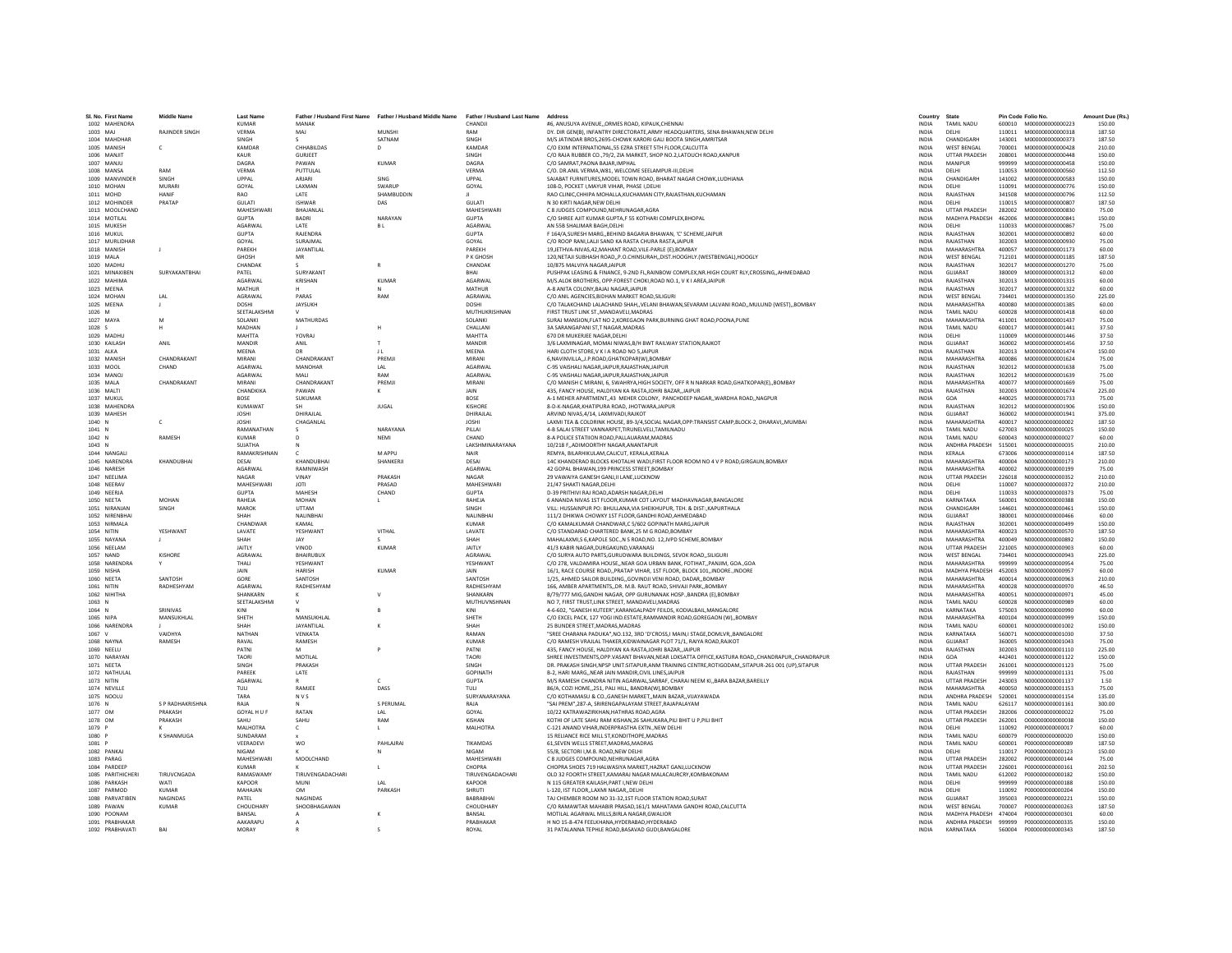| SI. No. First Name             | <b>Middle Name</b>              | <b>Last Name</b>           |                        | Father / Husband First Name Father / Husband Middle Name Father / Husband Last Name |                                | Address                                                                                                                                                                                                       | Country                      | State                                   |                  | Pin Code Folio No.                   | Amount Due (Rs.) |
|--------------------------------|---------------------------------|----------------------------|------------------------|-------------------------------------------------------------------------------------|--------------------------------|---------------------------------------------------------------------------------------------------------------------------------------------------------------------------------------------------------------|------------------------------|-----------------------------------------|------------------|--------------------------------------|------------------|
| 1002 MAHENDRA                  |                                 | <b>KUMAR</b>               | <b>MANAK</b>           |                                                                                     | CHANDJI                        | #6. ANUSUYA AVENUEORMES ROAD, KIPAUK.CHENNAI                                                                                                                                                                  | <b>INDIA</b>                 | <b>TAMIL NADU</b>                       |                  | 600010 M000000000000223              | 150.00           |
| 1003 MAI                       | <b>RAIINDER SINGH</b>           | VFRMA                      | MAI                    | <b>MUNSHI</b>                                                                       | RAM                            | DY, DIR GEN(B), INFANTRY DIRECTORATE.ARMY HEADQUARTERS, SENA BHAWAN.NEW DELHI                                                                                                                                 | <b>INDIA</b>                 | DELHI                                   |                  | 110011   M000000000000318            | 187.50           |
| 1004 MAHDHAF                   |                                 | SINGH                      |                        | SATNAM                                                                              | SINGH                          | M/S JATINDAR BROS, 2695-CHOWK KARORI GALI BOOTA SINGH, AMRITSAR                                                                                                                                               | <b>INDIA</b>                 | CHANDIGARI                              | 143001           | M000000000000373                     | 187.50           |
| 1005 MANISH                    | $\mathfrak{c}$                  | KAMDAR                     | CHHABILDAS             | $\mathsf{D}$                                                                        | KAMDAR                         | C/O EXIM INTERNATIONAL, 55 EZRA STREET STH FLOOR, CALCUTTA                                                                                                                                                    | <b>INDIA</b>                 | <b>WEST RENGAL</b>                      | 700001           | M000000000000428                     | 210.00           |
| 1006 MANJIT                    |                                 | KAUR                       | <b>GURJEET</b>         |                                                                                     | SINGH                          | C/O RAJA RUBBER CO., 79/2, ZIA MARKET, SHOP NO.2. LATOUCH ROAD.KANPUR                                                                                                                                         | <b>INDIA</b>                 | <b>UTTAR PRADESH</b>                    | 208001           | M000000000000448                     | 150.00           |
| 1007 MANJU<br>1008 MANSA       | RAM                             | DAGRA<br>VERMA             | <b>PAWAN</b>           | KUMAR                                                                               | DAGRA<br>VERMA                 | C/O SAMRAT.PAONA BAJAR.IMPHAL                                                                                                                                                                                 | <b>INDIA</b><br><b>INDIA</b> | MANIPUR<br>DELHI                        | 999999<br>110053 | M00000000000458<br>M000000000000560  | 150.00           |
| 1009 MANVINDER                 | SINGH                           | UPPAL                      | PUTTULAL<br>ARJARI     | SING                                                                                | UPPAL                          | C/O. DR.ANIL VERMA, W81, WELCOME SEELAMPUR-III, DELHI<br>SAJABAT FURNITURES, MODEL TOWN ROAD, BHARAT NAGAR CHOWK, LUDHIANA                                                                                    | INDIA                        | CHANDIGARH                              | 141002           | M000000000000583                     | 112.50<br>150.00 |
| 1010 MOHAN                     | <b>MURARI</b>                   | GOYAL                      | LAXMAN                 | SWARUP                                                                              | GOYAL                          | 108-D. POCKET I.MAYUR VIHAR. PHASE I.DELHI                                                                                                                                                                    | <b>INDIA</b>                 | DELHI                                   | 110091           | M000000000000776                     | 150.00           |
| 1011 MOHD                      | <b>HANIF</b>                    | RAO                        | LATE                   | SHAMBUDDIN                                                                          |                                | RAO CLINIC.CHHIPA MOHALLA.KUCHAMAN CITY.RAJASTHAN.KUCHAMAN                                                                                                                                                    | <b>INDIA</b>                 | RAJASTHAN                               | 341508           | M000000000000796                     | 112.50           |
| 1012 MOHINDER                  | PRATAP                          | GULATI                     | <b>ISHWAR</b>          | DAS                                                                                 | GULATI                         | N 30 KIRTI NAGAR, NEW DELHI                                                                                                                                                                                   | <b>INDIA</b>                 | DELHI                                   | 110015           | M000000000000807                     | 187.50           |
| 1013 MOOLCHAND                 |                                 | MAHESHWARI                 | BHAJANLA               |                                                                                     | <b>MAHESHWARI</b>              | C 8 JUDGES COMPOUND, NEHRUNAGAR, AGRA                                                                                                                                                                         | INDIA                        | <b>UTTAR PRADESH</b>                    | 282002           | M000000000000830                     | 75.00            |
| 1014 MOTILAL                   |                                 | <b>GUPTA</b>               | <b>BADRI</b>           | NARAYAN                                                                             | <b>GUPTA</b>                   | C/O SHREE AJIT KUMAR GUPTA,F 55 KOTHARI COMPLEX, BHOPAL                                                                                                                                                       | INDIA                        | MADHYA PRADESH                          | 462006           | M000000000000841                     | 150.00           |
| 1015 MUKESH<br>1016 MUKUL      |                                 | AGARWAL<br><b>GUPTA</b>    | LATE<br>RAIFNDRA       | <b>BL</b>                                                                           | <b>AGARWAL</b><br><b>GUPTA</b> | AN 55B SHALIMAR BAGH.DELHI<br>F 164/A SURESH MARG, REHIND RAGARIA RHAWAN, 'C' SCHEME JAIPUR                                                                                                                   | <b>INDIA</b><br><b>INDIA</b> | DELHI<br>RAIASTHAN                      | 110033<br>302001 | M000000000000867<br>M000000000000892 | 75.00<br>60.00   |
| 1017 MURLIDHAR                 |                                 | GOYAL                      | SURAJMAL               |                                                                                     | GOYAL                          | C/O ROOP RANI, LALJI SAND KA RASTA CHURA RASTA, JAIPUR                                                                                                                                                        | INDIA                        | RAJASTHAN                               | 302003           | M000000000000930                     | 75.00            |
| 1018 MANISH                    | $\mathbf{J}$                    | PAREKH                     | JAYANTILAL             |                                                                                     | PAREKH                         | 19.JETHVA-NIVAS.42.MAHANT ROAD.VILE-PARLE (E).BOMBAY                                                                                                                                                          | INDIA                        | <b>MAHARASHTRA</b>                      | 400057           | M000000000001173                     | 60.00            |
| 1019 MALA                      |                                 | GHOSH                      | MR                     |                                                                                     | P K GHOSH                      | 120.NETAJI SUBHASH ROADP.O.CHINSURAHDIST.HOOGHLY.(WESTBENGAL).HOOGLY                                                                                                                                          | <b>INDIA</b>                 | <b>WEST BENGAL</b>                      | 712101           | M00000000001185                      | 187.50           |
| 1020 MADHU                     |                                 | CHANDAK                    |                        |                                                                                     | CHANDAK                        | 10/875 MAI VIYA NAGAR JAIPUR                                                                                                                                                                                  | <b>INDIA</b>                 | RAIASTHAN                               | 302017           | M000000000001270                     | 75.00            |
| 1021 MINAXIBEN                 | SURYAKANTBHA                    | PATEL                      | <b>SURYAKANT</b>       |                                                                                     | BHAI                           | PUSHPAK LEASING & FINANCE, 9-2ND FL, RAINBOW COMPLEX, NR. HIGH COURT RLY, CROSSING, , AHMEDABAD                                                                                                               | <b>INDIA</b>                 | GUJARAT                                 | 380009           | M000000000001312                     | 60.00            |
| 1022 MAHIMA                    |                                 | <b>AGARWAI</b>             | KRISHAN                | <b>KUMAR</b>                                                                        | AGARWAI                        | M/S.ALOK BROTHERS, OPP:FOREST CHOKI.ROAD NO.1, V K I AREA JAIPUR                                                                                                                                              | <b>INDIA</b>                 | RAJASTHAN                               | 302013           | M000000000001315                     | 60.00            |
| 1023 MEENA<br>1024 MOHAN       | IAI                             | <b>MATHUR</b><br>AGRAWAL   | PARAS                  | RAM                                                                                 | MATHUR<br><b>AGRAWAI</b>       | A-8 ANITA COLONY BAJAJ NAGAR JAIPUR<br>C/O ANIL AGENCIES BIDHAN MARKET ROAD SILIGURI                                                                                                                          | <b>INDIA</b><br><b>INDIA</b> | RAJASTHAN<br><b>WEST RENGAL</b>         | 302017<br>734401 | M000000000001322<br>M000000000001350 | 60.00<br>225.00  |
| 1025 MEENA                     | - 11                            | DOSHI                      | <b>JAYSUKH</b>         |                                                                                     | DOSHI                          | C/O TALAKCHAND LALACHAND SHAH, VELANI BHAWAN, SEVARAM LALVANI ROAD, MULUND (WEST), BOMBAY                                                                                                                     | <b>INDIA</b>                 | MAHARASHTRA                             | 400080           | M000000000001385                     | 60.00            |
| 1026 M                         |                                 | SEETALAKSHM                |                        |                                                                                     | MUTHUKRISHNAN                  | FIRST TRUST LINK ST., MANDAVELI, MADRAS                                                                                                                                                                       | INDIA                        | <b>TAMIL NADU</b>                       | 600028           | M000000000001418                     | 60.00            |
| 1027 MAYA                      | M                               | SOLANKI                    | MATHURDAS              |                                                                                     | <b>SOLANKI</b>                 | SURAJ MANSION, FLAT NO 2, KOREGAON PARK, BURNING GHAT ROAD, POONA, PUNE                                                                                                                                       | <b>INDIA</b>                 | <b>MAHARASHTRA</b>                      | 411001           | M000000000001437                     | 75.00            |
| 1028 S                         |                                 | <b>MADHAN</b>              |                        | H                                                                                   | CHALLANI                       | 3A SARANGAPANI ST.T NAGAR.MADRAS                                                                                                                                                                              | <b>INDIA</b>                 | <b>TAMIL NADU</b>                       | 600017           | M000000000001441                     | 37.50            |
| 1029 MADHU                     |                                 | MAHTTA                     | YOVRAL                 |                                                                                     | MAHTTA                         | 670 DR MUKERIEE NAGAR DELHI                                                                                                                                                                                   | <b>INDIA</b>                 | DELHI                                   | 110009           | M000000000001446                     | 37.50            |
| 1030 KAILASH                   | ANIL                            | MANDIR                     | ANIL                   |                                                                                     | MANDIR                         | 3/6 LAXMINAGAR, MOMAI NIWAS, B/H BWT RAILWAY STATION, RAJKOT                                                                                                                                                  | INDIA                        | GUJARAT                                 | 360002           | M00000000001456                      | 37.50            |
| 1031 ALKA                      |                                 | <b>MEENA</b>               |                        | 11                                                                                  | MEENA                          | HARI CLOTH STORE.V K I A ROAD NO 5.JAIPUR                                                                                                                                                                     | INDIA                        | RAJASTHAN                               | 302013           | M000000000001474                     | 150.00           |
| 1032 MANISH<br>1033 MOOI       | CHANDRAKANT<br>CHAND            | MIRANI<br><b>AGARWAI</b>   | CHANDRAKANT<br>MANOHAR | PREMJI<br>IAI                                                                       | MIRANI<br><b>AGARWAI</b>       | 6, NAVINVILLA, , J.P. ROAD, GHATKOPAR(W), BOMBAY<br>C-95 VAISHALLNAGAR JAIPUR RAJASTHAN JAIPUR                                                                                                                | <b>INDIA</b><br><b>INDIA</b> | MAHARASHTRA<br>RAIASTHAN                | 400086<br>302012 | M00000000001624<br>M000000000001638  | 75.00<br>75.00   |
| 1034 MANOJ                     |                                 | AGARWAL                    | MAIL                   | RAM                                                                                 | <b>AGARWAI</b>                 | C-95 VAISHALI NAGAR JAIPUR RAJASTHAN JAIPUR                                                                                                                                                                   | <b>INDIA</b>                 | RAIASTHAN                               | 302012           | M000000000001639                     | 75.00            |
| 1035 MALA                      | CHANDRAKANT                     | MIRANI                     | CHANDRAKANT            | PREMJI                                                                              | MIRANI                         | C/O MANISH C MIRANI, 6, SWAHRYA, HIGH SOCIETY, OFF R N NARKAR ROAD, GHATKOPAR(E), BOMBAY                                                                                                                      | <b>INDIA</b>                 | <b>MAHARASHTRA</b>                      | 400077           | M000000000001669                     | 75.00            |
| 1036 MALTI                     |                                 | CHANDKIKA                  | PAWAN                  | к                                                                                   | JAIN                           | 435, FANCY HOUSE, HALDIYAN KA RASTA, JOHRI BAZAR, JAIPUR                                                                                                                                                      | INDIA                        | RAJASTHAN                               | 302003           | M000000000001674                     | 225.00           |
| 1037 MUKUL                     |                                 | <b>BOSE</b>                | SUKUMAR                |                                                                                     | <b>BOSE</b>                    | A-1 MEHER APARTMENT, 43 MEHER COLONY, PANCHDEEP NAGAR, WARDHA ROAD, NAGPUR                                                                                                                                    | <b>INDIA</b>                 | GOA                                     | 440025           | M000000000001733                     | 75.00            |
| 1038 MAHENDRA                  |                                 | KUMAWAT                    |                        | <b>JUGAL</b>                                                                        | KISHORE                        | 8-D-K-NAGAR.KHATIPURA ROAD, JHOTWARA,JAIPUR                                                                                                                                                                   | <b>INDIA</b>                 | RAIASTHAN                               | 302012           | M000000000001906                     | 150.00           |
| 1039 MAHESH                    |                                 | <b>JOSHI</b>               | DHIRAJLAL              |                                                                                     | DHIRAJLAL                      | ARVIND NIVAS.4/14, LAXMIVADI.RAJKOT                                                                                                                                                                           | <b>INDIA</b>                 | GUJARAT                                 | 360002           | M000000000001941                     | 375.00           |
| 1040 N<br>1041 N               | c                               | <b>JOSHI</b><br>RAMANATHAN | CHAGANLAL              | NARAYANA                                                                            | <b>JOSHI</b><br>PILLAI         | LAXMI TEA & COLDRINK HOUSE, 89-3/4, SOCIAL NAGAR, OPP: TRANSIST CAMP, BLOCK-2, DHARAVI,, MUMBAI<br>4-B SALAI STREET VANNARPET.TIRUNELVELI.TAMILNADU                                                           | INDIA<br><b>INDIA</b>        | <b>MAHARASHTRA</b><br><b>TAMIL NADU</b> | 400017<br>627003 | N00000000000002<br>N000000000000025  | 187.50<br>150.00 |
| 1042 N                         | <b>RAMESH</b>                   | KUMAR                      | $\sqrt{2}$             | NFMI                                                                                | CHAND                          | 8-A POLICE STATIION ROAD.PALLAUARAM.MADRAS                                                                                                                                                                    | <b>INDIA</b>                 | <b>TAMIL NADLI</b>                      | 600043           | N000000000000027                     | 60.00            |
| 1043 N                         |                                 | SUIATHA                    |                        |                                                                                     | <b>LAKSHMINARAYANA</b>         | 10/218 F., ADIMOORTHY NAGAR, ANANTAPUR                                                                                                                                                                        | <b>INDIA</b>                 | ANDHRA PRADESH                          | 515001           | N000000000000035                     | 210.00           |
| 1044 NANGALI                   |                                 | RAMAKRISHNAN               |                        | M APPU                                                                              | NAIR                           | REMYA, BILARHIKULAM.CALICUT, KERALA,KERALA                                                                                                                                                                    | INDIA                        | KERALA                                  | 673006           | N000000000000114                     | 187.50           |
| 1045 NARENDRA                  | KHANDUBHAI                      | DESAI                      | KHANDUBHAI             | SHANKERJI                                                                           | DESAI                          | 14C KHANDERAO BLOCKS KHOTALHI WADI, FIRST FLOOR ROOM NO 4 V P ROAD, GIRGAUN, BOMBAY                                                                                                                           | INDIA                        | MAHARASHTRA                             | 400004           | N000000000000173                     | 210.00           |
| 1046 NARESH                    |                                 | AGARWAI                    | RAMNIWASH              |                                                                                     | <b>AGARWAI</b>                 | 42 GOPAL RHAWAN 199 PRINCESS STREET ROMRAY                                                                                                                                                                    | <b>INDIA</b>                 | MAHARASHTRA                             | 400002           | N000000000000199                     | 75.00            |
| 1047 NEELIMA                   |                                 | NAGAR                      | VINAY                  | PRAKASH                                                                             | NAGAR                          | 29 VAWAIYA GANESH GANJ, II LANE, LUCKNOW                                                                                                                                                                      | <b>INDIA</b>                 | UTTAR PRADESH                           | 226018           | N000000000000352                     | 210.00           |
| 1048 NEERAV<br>1049 NEERJA     |                                 | MAHESHWARI<br><b>GUPTA</b> | <b>JOTI</b><br>MAHESH  | PRASAD<br>CHAND                                                                     | MAHESHWARI<br><b>GUPTA</b>     | 21/47 SHAKTI NAGAR DELHI<br>D-39 PRITHIVI RAJ ROAD, ADARSH NAGAR, DELHI                                                                                                                                       | <b>INDIA</b><br>INDIA        | DELHI<br>DELHI                          | 110007<br>110033 | N00000000000372<br>N000000000000373  | 210.00<br>75.00  |
| 1050 NEETA                     | MOHAN                           | RAHEJA                     | MOHAN                  | л.                                                                                  | RAHEJA                         | 6 ANANDA NIVAS 1ST FLOOR, KUMAR COT LAYOUT MADHAVNAGAR, BANGALORE                                                                                                                                             | <b>INDIA</b>                 | KARNATAKA                               | 560001           | N000000000000388                     | 150.00           |
| 1051 NIRANJAN                  | SINGH                           | MAROK                      | <b>UTTAM</b>           |                                                                                     | SINGH                          | VILL: HUSSAINPUR PO: BHULLANA, VIA SHEIKHUPUR, TEH. & DIST: KAPURTHALA                                                                                                                                        | <b>INDIA</b>                 | CHANDIGARH                              | 144601           | N000000000000461                     | 150.00           |
| 1052 NIRENBHA                  |                                 | SHAH                       | <b>NAI INRHA</b>       |                                                                                     | <b>NAI INRHAI</b>              | 111/2 DHIKWA CHOWKY 1ST FLOOR, GANDHI ROAD, AHMEDABAD                                                                                                                                                         | <b>INDIA</b>                 | GUIARAT                                 | 380001           | N000000000000466                     | 60.00            |
| 1053 NIRMALA                   |                                 | CHANDWAR                   | KAMAL                  |                                                                                     | <b>KUMAR</b>                   | C/O KAMALKUMAR CHANDWAR.C 5/602 GOPINATH MARGJAIPUR                                                                                                                                                           | <b>INDIA</b>                 | RAJASTHAN                               | 302001           | N000000000000499                     | 150.00           |
| 1054 NITIN                     | YESHWANT                        | LAVATE                     | YESHWANT               | VITHAL                                                                              | LAVATE                         | C/O STANDARAD CHARTERED BANK.25 M G ROAD.BOMBAY                                                                                                                                                               | <b>INDIA</b>                 | MAHARASHTRA                             | 400023           | N000000000000570                     | 187.50           |
| 1055 NAYANA<br>1056 NEELAM     | $\mathbf{I}$                    | SHAH<br>JAITLY             | <b>JAY</b><br>VINOD    | KUMAR                                                                               | SHAH<br>JAITLY                 | MAHALAXMI,S 6, KAPOLE SOC., N S ROAD, NO. 12, JVPD SCHEME, BOMBAY                                                                                                                                             | <b>INDIA</b><br><b>INDIA</b> | MAHARASHTRA<br><b>UTTAR PRADESH</b>     | 400049<br>221005 | N000000000000892<br>N000000000000903 | 150.00<br>60.00  |
| 1057 NAND                      | KISHORE                         | AGRAWAI                    | <b>BHAIRUBU)</b>       |                                                                                     | AGRAWAL                        | 41/3 KABIR NAGAR, DURGAKUND, VARANASI<br>C/O SURYA AUTO PARTS, GURUDWARA BUILDINGS, SEVOK ROAD,, SILIGURI                                                                                                     | INDIA                        | <b>WEST BENGAL</b>                      | 734401           | N000000000000943                     | 225.00           |
| 1058 NARENDRA                  |                                 | THALI                      | YFSHWANT               |                                                                                     | YESHWANT                       | C/O 278, VALDAMIRA HOUSE., NEAR GOA URBAN BANK, FOTIHAT., PANJIM, GOA., GOA                                                                                                                                   | <b>INDIA</b>                 | MAHARASHTRA                             | 999999           | N000000000000954                     | 75.00            |
| 1059 NISHA                     |                                 | JAIN                       | <b>HARISH</b>          | <b>KUMAR</b>                                                                        | JAIN                           | 16/1. RACE COURSE ROAD. PRATAP VIHAR, 1ST FLOOR, BLOCK 101. INDORE. INDORE                                                                                                                                    | <b>INDIA</b>                 | MADHYA PRADESH 452003                   |                  | N000000000000957                     | 60.00            |
| 1060 NFFTA                     | <b>SANTOSH</b>                  | GORE                       | SANTOSH                |                                                                                     | SANTOSH                        | 1/25 AHMED SAILOR RUILDING, GOVINDILVENLROAD, DADAR, ROMRAY                                                                                                                                                   | <b>INDIA</b>                 | <b>MAHARASHTRA</b>                      | 400014           | N000000000000963                     | 210.00           |
| 1061 NITIN                     | RADHESHYAM                      | AGARWAL                    | RADHESHYAM             |                                                                                     | RADHESHYAN                     | 166, AMBER APARTMENTS, DR. M.B. RAUT ROAD, SHIVAJI PARK, BOMBAY                                                                                                                                               | INDIA                        | MAHARASHTRA                             | 400028           | N00000000000970                      | 46.50            |
| 1062 NIHITHA                   |                                 | SHANKARN                   |                        |                                                                                     | SHANKARN                       | B/79/777 MIG, GANDHI NAGAR, OPP GURUNANAK HOSP., BANDRA (E), BOMBAY                                                                                                                                           | INDIA                        | MAHARASHTRA                             | 400051           | N000000000000971                     | 45.00            |
| 1063 N<br>1064 N               | SRINIVAS                        | SEETALAKSHMI<br>KINI       |                        |                                                                                     | MUTHUVNSHNAN<br>KINI           | NO 7. FIRST TRUST.LINK STREET. MANDAVELI.MADRAS<br>4-6-602, "GANESH KUTEER", KARANGALPADY FEILDS, KODIALBAIL, MANGALORE                                                                                       | <b>INDIA</b><br>INDIA        | <b>TAMIL NADU</b><br>KARNATAKA          | 600028<br>575003 | N000000000000989<br>N000000000000990 | 60.00<br>60.00   |
| 1065 NIPA                      | MANSUKHLAL                      | SHFTH                      | MANSUKHLAL             |                                                                                     | SHETH                          | C/O EXCEL PACK, 127 YOGI IND.ESTATE,RAMMANDIR ROAD,GOREGAON (W),,BOMBAY                                                                                                                                       | <b>INDIA</b>                 | MAHARASHTRA                             | 400104           | N000000000000999                     | 150.00           |
| 1066 NARENDRA                  |                                 | SHAH                       | JAYANTILAI             |                                                                                     | SHAH                           | 25 BUNDER STREET, MADRAS, MADRAS                                                                                                                                                                              | INDIA                        | <b>TAMIL NADU</b>                       | 600001           | N000000000001002                     | 150.00           |
| 1067 V                         | VAIDHYA                         | <b>NATHAN</b>              | VENKATA                |                                                                                     | RAMAN                          | "SREE CHARANA PADUKA", NO.132, 3RD 'D'CROSS, I MAIN, I STAGE, DOMLVR,, BANGALORE                                                                                                                              | <b>INDIA</b>                 | KARNATAKA                               | 560071           | N000000000001030                     | 37.50            |
| 1068 NAYNA                     | RAMESH                          | RAVAL                      | RAMESH                 |                                                                                     | <b>KUMAF</b>                   | C/O RAMESH VRAJLAL THAKER.KIDWAINAGAR PLOT 71/1. RAIYA ROAD.RAJKOT                                                                                                                                            | <b>INDIA</b>                 | GUJARAT                                 | 360005           | N000000000001043                     | 75.00            |
| 1069 NEELU                     |                                 | PATNI                      | M                      |                                                                                     | PATNI                          | 435, FANCY HOUSE, HALDIYAN KA RASTA, JOHRI BAZAR, JAIPUR                                                                                                                                                      | INDIA                        | RAJASTHAN                               | 302003           | N000000000001110                     | 225.00           |
| 1070 NARAYAN<br>1071 NEETA     |                                 | TAORI<br>SINGH             | MOTILAL                |                                                                                     | TAORI<br>SINGH                 | SHREE INVESTMENTS, OPP. VASANT BHAVAN, NEAR LOKSATTA OFFICE, KASTURA ROAD,, CHANDRAPUR,, CHANDRAPUR<br>DR. PRAKASH SINGH, NPSP UNIT: SITAPUR, ANM TRAINING CENTRE, ROTIGODAM, , SITAPUR-261 001 (UP), SITAPUR | INDIA<br>INDIA               | GOA<br><b>UTTAR PRADESH</b>             | 442401<br>261001 | N000000000001122<br>N000000000001123 | 150.00<br>75.00  |
| 1072 NATHULAL                  |                                 | PAREEK                     | PRAKASH<br>LATE        |                                                                                     | <b>GOPINATH</b>                | B-2. HARI MARGNEAR JAIN MANDIR.CIVIL LINES.JAIPUR                                                                                                                                                             | <b>INDIA</b>                 | RAJASTHAN                               | 999999           | N000000000001131                     | 75.00            |
| 1073 NITIN                     |                                 | <b>AGARWAL</b>             |                        |                                                                                     | <b>GUPTA</b>                   | M/S RAMESH CHANDRA NITIN AGARWAL, SARRAF, CHARAI NEEM KI,, BARA BAZAR, BAREILLY                                                                                                                               | <b>INDIA</b>                 | <b>UTTAR PRADESH</b>                    | 243003           | N000000000001137                     | 1.50             |
| 1074 NEVILL                    |                                 | TULI                       | RAMJEE                 | DASS                                                                                | TULI                           | 86/A, COZI HOME, 251, PALI HILL, BANDRA(W), BOMBAY                                                                                                                                                            | INDIA                        | MAHARASHTRA                             | 400050           | N000000000001153                     | 75.00            |
| 1075 NOOLU                     |                                 | TARA                       | <b>NVS</b>             |                                                                                     | SURYANARAYANA                  | C/O KOTHAMASU & CO., GANESH MARKET., MAIN BAZAR., VIJAYAWADA                                                                                                                                                  | INDIA                        | ANDHRA PRADESH                          | 520001           | N000000000001154                     | 135.00           |
| 1076 N                         | S P RADHAKRISHNA                | RAJA                       |                        | S PERUMAL                                                                           | RAJA                           | "SAI PREM".287-A. SRIRENGAPALAYAM STREET.RAJAPALAYAM                                                                                                                                                          | <b>INDIA</b>                 | <b>TAMIL NADU</b>                       | 626117           | N000000000001161                     | 300.00           |
| 1077 OM                        | PRAKASH                         | GOYAL HULF                 | RATAN                  | IAI                                                                                 | GOYAL                          | 10/22 KATRAWAZIRKHAN HATHRAS ROAD AGRA                                                                                                                                                                        | <b>INDIA</b>                 | <b>UTTAR PRADESH</b>                    | 282006           | 0000000000000022                     | 75.00            |
| 1078 OM<br>1079 P              | PRAKASH                         | SAHU<br>MALHOTRA           | SAHU<br>$\mathsf{C}$   | RAM                                                                                 | KISHAN<br>MALHOTRA             | KOTHI OF LATE SAHU RAM KISHAN, 26 SAHUKARA, PILI BHIT U P, PILI BHIT<br>C-121 ANAND VIHAR.INDERPRASTHA EXTN NEW DELH                                                                                          | INDIA<br><b>INDIA</b>        | UTTAR PRADESH<br>DELHI                  | 262001<br>110092 | 0000000000000038<br>P000000000000017 | 150.00<br>60.00  |
| 1080 P                         | K SHANMUGA                      | SUNDARAM                   |                        |                                                                                     |                                | 15 RELIANCE RICE MILL ST.KONDITHOPE.MADRAS                                                                                                                                                                    | <b>INDIA</b>                 | <b>TAMIL NADU</b>                       | 600079           | - P000000000000020                   | 150.00           |
| 1081 P                         |                                 | VEERADEVI                  | <b>WO</b>              | PAHI AIRAI                                                                          | <b>TIKAMDAS</b>                | 61 SEVEN WELLS STREET MADRAS MADRAS                                                                                                                                                                           | <b>INDIA</b>                 | TAMIL NADLI                             | 600001           | P000000000000089                     | 187.50           |
| 1082 PANKAJ                    |                                 | <b>NIGAM</b>               |                        |                                                                                     | <b>NIGAM</b>                   | 55/8. SECTORI I.M.B. ROAD.NEW DELHI                                                                                                                                                                           | INDIA                        | DELHI                                   | 110017           | P000000000000123                     | 150.00           |
| 1083 PARAG                     |                                 | MAHESHWARI                 | MOOLCHAND              |                                                                                     | <b>MAHESHWARI</b>              | C 8 JUDGES COMPOUND, NEHRUNAGAR, AGRA                                                                                                                                                                         | INDIA                        | <b>UTTAR PRADESH</b>                    | 282002           | P000000000000144                     | 75.00            |
| 1084 PARDEEF                   |                                 | <b>KUMAR</b>               |                        |                                                                                     | CHOPRA                         | CHOPRA SHOES 719 HALWASIYA MARKET, HAZRAT GANJ, LUCKNOW                                                                                                                                                       | <b>INDIA</b>                 | <b>UTTAR PRADESH</b>                    | 226001           | P000000000000161                     | 202.50           |
| 1085 PARITHICHERI              | TIRUVCNGADA                     | RAMASWAMY                  | TIRUVENGADACHAR        |                                                                                     | TIRUVENGADACHARI               | OLD 32 FOORTH STREET.KAMARAJ NAGAR MALACAURCRY.KOMBAKONAM                                                                                                                                                     | <b>INDIA</b>                 | <b>TAMIL NADU</b>                       | 612002           | P000000000000182                     | 150.00           |
| 1086 PARKASH                   | WATI                            | KAPOOR                     | MUNI                   | IAI                                                                                 | KAPOOR                         | N 115 GREATER KAILASH PART LNEW DELHI                                                                                                                                                                         | <b>INDIA</b>                 | DELHI                                   | 999999           | P000000000000188                     | 150.00           |
| 1087 PARMOD<br>1088 PARVATIBEN | <b>KUMAR</b><br><b>NAGINDAS</b> | MAHAJAN<br>PATEL           | OM<br><b>NAGINDAS</b>  | PARKASH                                                                             | <b>SHRUTI</b><br>BABRABHAI     | L-120, IST FLOOR, LAXMI NAGAR, DELHI<br>TAJ CHEMBER ROOM NO 31-32,1ST FLOOR STATION ROAD, SURAT                                                                                                               | INDIA<br><b>INDIA</b>        | DELHI<br>GUJARAT                        | 110092<br>395003 | P000000000000204<br>P000000000000221 | 150.00<br>150.00 |
| 1089 PAWAN                     | <b>KUMAR</b>                    | CHOUDHARY                  | SHOOBHAGAWAN           |                                                                                     | CHOUDHARY                      | C/O RAMAWTAR MAHABIR PRASAD.161/1 MAHATAMA GANDHI ROAD.CALCUTTA                                                                                                                                               | <b>INDIA</b>                 | <b>WEST BENGAL</b>                      | 700007           | P000000000000263                     | 187.50           |
| 1090 POONAM                    |                                 | RANSAL                     |                        |                                                                                     | <b>RANSAL</b>                  | MOTILAL AGARWAL MILLS BIRLA NAGAR GWALIOR                                                                                                                                                                     | <b>INDIA</b>                 | MADHYA PRADESH 474004 P000000000000301  |                  |                                      | 60.00            |
| 1091 PRARHAKAR                 |                                 | AAKARAPU                   |                        |                                                                                     | PRARHAKAR                      | H NO 15-8-474 FEELKHANA.HYDERABAD.HYDERABAD                                                                                                                                                                   | <b>INDIA</b>                 | ANDHRA PRADESH 999999 P000000000000335  |                  |                                      | 150.00           |
| 1092 PRABHAVATI                | RAI                             | MORAY                      |                        |                                                                                     | ROYAL                          | 31 PATALANNA TEPHLE ROAD.BASAVAD GUDI.BANGALORE                                                                                                                                                               | <b>INDIA</b>                 | KARNATAKA                               | 560004           | P000000000000343                     | 187.50           |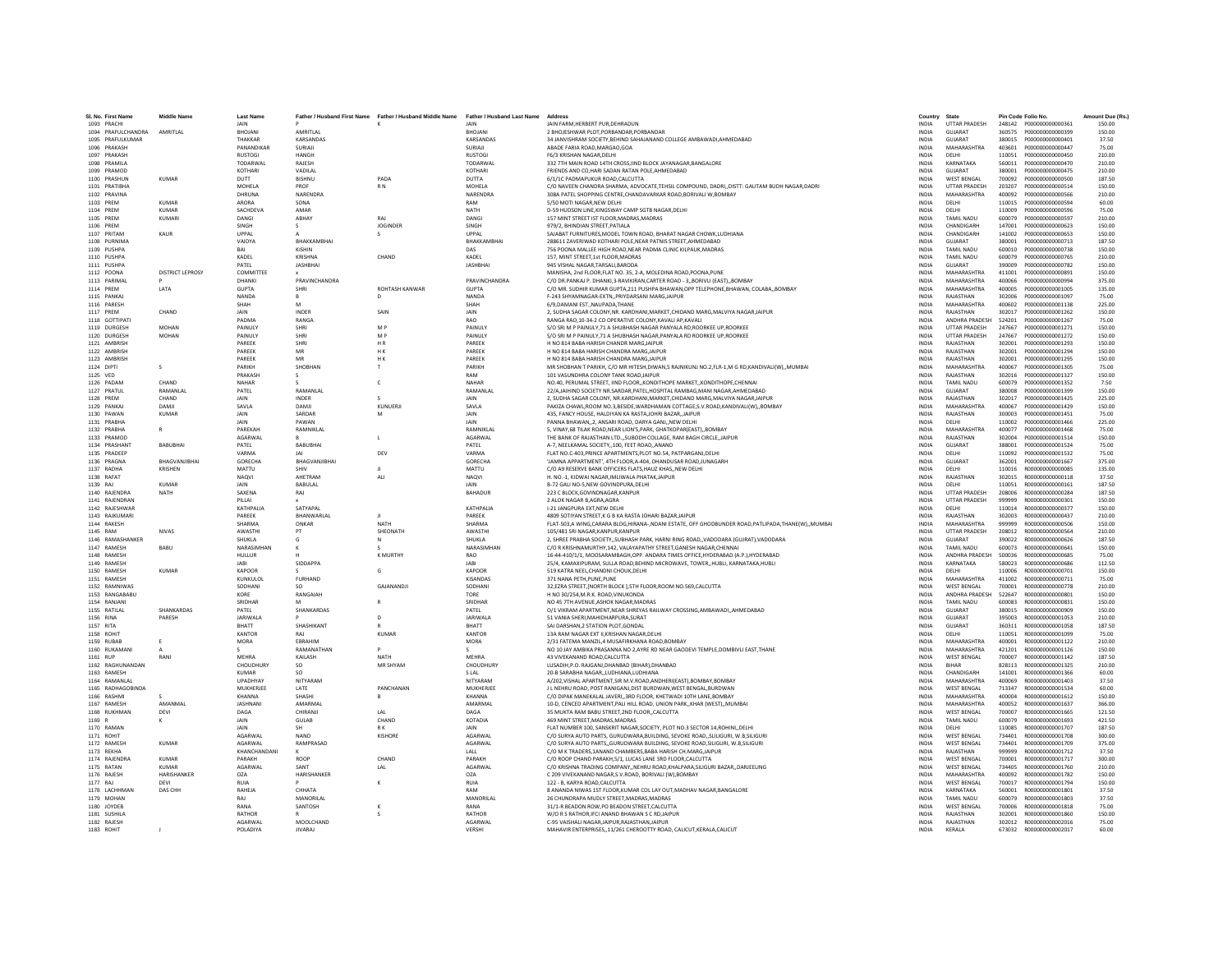| SI. No. First Name               | <b>Middle Name</b>      | <b>Last Name</b>        |                                | Father / Husband First Name Father / Husband Middle Name Father / Husband Last Name |                            | Address                                                                                                                                                      | Country                      | State                             |                  | Pin Code Folio No.                   | Amount Due (Rs.) |
|----------------------------------|-------------------------|-------------------------|--------------------------------|-------------------------------------------------------------------------------------|----------------------------|--------------------------------------------------------------------------------------------------------------------------------------------------------------|------------------------------|-----------------------------------|------------------|--------------------------------------|------------------|
| 1093 PRACHI                      |                         | <b>JAIN</b>             |                                |                                                                                     | IAIN                       | JAIN FARM.HERBERT PUR.DEHRADUN                                                                                                                               | <b>INDIA</b>                 | <b>UTTAR PRADESH</b>              |                  |                                      | 150.00           |
| 1094 PRAFULCHANDRA AMRITI AL     |                         | <b>BHOIANI</b>          | <b>AMRITI AI</b>               |                                                                                     | <b>RHOTANI</b>             | 2 RHOIFSHWAR PLOT PORRANDAR PORRANDAR                                                                                                                        | INDIA                        | GUIARAT                           | 360575           | P000000000000399                     | 150.00           |
| 1095 PRAFULKUMAR                 |                         | THAKKAR                 | KARSANDAS                      |                                                                                     | <b>KARSANDAS</b>           | 34 JANVISHRAM SOCIETY, BEHIND SAHAJANAND COLLEGE AMBAWADI, AHMEDABAD                                                                                         | <b>INDIA</b>                 | GUJARAT                           | 380015           | P000000000000401                     | 37.50            |
| 1096 PRAKASH                     |                         | PANANDIKAR              | SURIAIL                        |                                                                                     | SURIAII                    | ABADE FARIA ROAD.MARGAO.GOA                                                                                                                                  | <b>INDIA</b>                 | MAHARASHTRA                       | 403601           | P000000000000447                     | 75.00            |
| 1097 PRAKASH                     |                         | <b>RUSTOGI</b>          | <b>HANGH</b>                   |                                                                                     | <b>RUSTOGI</b>             | F6/3 KRISHAN NAGAR.DELHI                                                                                                                                     | <b>INDIA</b>                 | DELHI                             | 110051           | P000000000000450                     | 210.00           |
| 1098 PRAMILA                     |                         | TODARWAL<br>KOTHARI     | RAJESH<br>VADILAL              |                                                                                     | <b>TODARWAL</b><br>KOTHARI | 332 7TH MAIN ROAD 14TH CROSS, IIND BLOCK JAYANAGAR, BANGALORE                                                                                                | <b>INDIA</b><br><b>INDIA</b> | KARNATAKA<br>GUJARAT              | 560011<br>380001 | P000000000000470<br>P000000000000475 | 210.00           |
| 1099 PRAMOD<br>1100 PRASHUN      | <b>KUMAR</b>            | DUTT                    | BISHNU                         | PADA                                                                                | DUTTA                      | FRIENDS AND CO, HARI SADAN RATAN POLE, AHMEDABAD<br>6/1/1C PADMAPUKUR ROAD, CALCUTTA                                                                         | INDIA                        | <b>WEST BENGAL</b>                | 700092           | P000000000000500                     | 210.00<br>187.50 |
| 1101 PRATIBHA                    |                         | MOHELA                  | PROF                           | R <sub>N</sub>                                                                      | MOHELA                     | C/O NAVEEN CHANDRA SHARMA, ADVOCATE, TEHSIL COMPOUND, DADRI, , DISTT: GAUTAM BUDH NAGAR, DADRI                                                               | <b>INDIA</b>                 | <b>UTTAR PRADESH</b>              | 203207           | P000000000000514                     | 150.00           |
| 1102 PRAVINA                     |                         | DHRUNA                  | NARENDRA                       |                                                                                     | NARENDRA                   | 308A PATEL SHOPPING CENTRE.CHANDAVARKAR ROAD.BORIVALI W.BOMBAY                                                                                               | <b>INDIA</b>                 | MAHARASHTRA                       | 400092           | P000000000000566                     | 210.00           |
| 1103 PREM                        | KUMAR                   | ARORA                   | SONA                           |                                                                                     | RAM                        | 5/50 MOTI NAGAR.NEW DELHI                                                                                                                                    | <b>INDIA</b>                 | DELHI                             | 110015           | P000000000000594                     | 60.00            |
| 1104 PREM                        | <b>KUMAR</b>            | SACHDEVA                | AMAR                           |                                                                                     | NATH                       | D-59 HUDSON LINE, KINGSWAY CAMP SGTB NAGAR, DELHI                                                                                                            | INDIA                        | DELHI                             | 110009           | P000000000000596                     | 75.00            |
| 1105 PREM                        | KUMARI                  | DANGI                   | ABHAY                          | RAI                                                                                 | DANGI                      | 157 MINT STREET IST FLOOR, MADRAS, MADRAS                                                                                                                    | INDIA                        | <b>TAMIL NADU</b>                 | 600079           | P000000000000597                     | 210.00           |
| 1106 PREM<br>1107 PRITAM         | KAUR                    | SINGH<br>LIPPAL         | -S.<br>$\Delta$                | <b>JOGINDER</b><br>$\mathcal{S}$                                                    | SINGH<br>LIPPAL            | 979/2. BHINDIAN STREET, PATIALA<br>SAIARAT FURNITURES MODEL TOWN ROAD. RHARAT NAGAR CHOWK LUDHIANA                                                           | <b>INDIA</b><br><b>INDIA</b> | CHANDIGARH<br>CHANDIGARH          | 147001<br>141002 | P000000000000623<br>P000000000000653 | 150.00<br>150.00 |
| 1108 PURNIMA                     |                         | VAIDYA                  | <b>ВНАККАМВНА</b>              |                                                                                     | BHAKKAMBHAI                | 288611 ZAVERIWAD KOTHARI POLE, NEAR PATNIS STREET, AHMEDABAD                                                                                                 | INDIA                        | GUJARAT                           | 380001           | P000000000000713                     | 187.50           |
| 1109 PUSHPA                      |                         |                         | KISHIN                         |                                                                                     | DAS                        | 756 POONA MALLEE HIGH ROAD.NEAR PADMA CLINIC KILPAUK.MADRAS                                                                                                  | INDIA                        | <b>TAMIL NADU</b>                 | 600010           | P000000000000738                     | 150.00           |
| 1110 PUSHPA                      |                         | KADEL                   | KRISHNA                        | CHAND                                                                               | KADEL                      | 157. MINT STREET.1st FLOOR.MADRAS                                                                                                                            | <b>INDIA</b>                 | <b>TAMIL NADU</b>                 | 600079           | P000000000000765                     | 210.00           |
| 1111 PUSHPA                      |                         | PATFI                   | <b>IASHRHAI</b>                |                                                                                     | <b>IASHRHAI</b>            | 945 VISHAL NAGAR TARSALLBARODA                                                                                                                               | <b>INDIA</b>                 | GUIARAT                           | 390009           | 2000000000000782                     | 150.00           |
| 1112 POONA                       | <b>DISTRICT LEPROSY</b> | COMMITTEE               |                                |                                                                                     |                            | MANISHA, 2nd FLOOR, FLAT NO. 35, 2-A, MOLEDINA ROAD, POONA, PUNE                                                                                             | <b>INDIA</b>                 | MAHARASHTRA                       | 411001           | P000000000000891                     | 150.00           |
| 1113 PARIMAL                     |                         | DHANKI                  | <b>PRAVINCHANDRA</b>           |                                                                                     | PRAVINCHANDRA              | C/O DR.PANKAJ P. DHANKI.3-RAVIKIRAN.CARTER ROAD - 3BORIVLI (EAST)BOMBAY                                                                                      | <b>INDIA</b>                 | <b>MAHARASHTRA</b>                | 400066           | P000000000000994                     | 375.00           |
| 1114 PREM                        | LATA                    | <b>GUPTA</b>            | SHRI                           | ROHTASH KANWAR                                                                      | <b>GUPTA</b>               | C/O MR. SUDHIR KUMAR GUPTA.211 PUSHPA BHAWAN OPP TELEPHONE.BHAWAN, COLABA., BOMBAY                                                                           | <b>INDIA</b>                 | MAHARASHTRA                       | 400005           | P000000000001005                     | 135.00           |
| 1115 PANKAL<br>1116 PARESH       |                         | NANDA<br>SHAH           | $\mathbb{R}$<br>M              | $\mathsf{D}$                                                                        | NANDA<br>SHAH              | F-243 SHYAMNAGAR-FXTN, PRIYDARSANI MARG JAIPUR<br>6/9 DAMANI EST. NAUPADA THANE                                                                              | <b>INDIA</b><br><b>INDIA</b> | RAIASTHAN<br>MAHARASHTRA          | 302006<br>400602 | 2000000000001097<br>P000000000001138 | 75.00<br>225.00  |
| 1117 PREM                        | CHAND                   | JAIN                    | INDER                          | SAIN                                                                                | JAIN                       | 2, SUDHA SAGAR COLONY, NR. KARDHANI, MARKET, CHIDAND MARG, MALVIYA NAGAR, JAIPUR                                                                             | INDIA                        | RAJASTHAN                         | 302017           | P000000000001262                     | 150.00           |
| 1118 GOTTIPAT                    |                         | PADMA                   | RANGA                          |                                                                                     | <b>RAO</b>                 | RANGA RAO.10-34-2 CO OPERATIVE COLONY.KAVALI AP.KAVALI                                                                                                       | <b>INDIA</b>                 | ANDHRA PRADESH                    | 524201           | P000000000001267                     | 75.00            |
| 1119 DURGESH                     | <b>MOHAN</b>            | PAINULY                 | SHRI                           | M <sub>P</sub>                                                                      | PAINULY                    | S/O SRI M P PAINULY.71 A SHUBHASH NAGAR PANYALA RD.ROORKEE UP.ROORKEE                                                                                        | <b>INDIA</b>                 | <b>UTTAR PRADESH</b>              | 247667           | P000000000001271                     | 150.00           |
| 1120 DURGESH                     | MOHAN                   | PAINULY                 | SHRI                           | M P                                                                                 | PAINULY                    | S/O SRI M P PAINULY, 71 A SHUBHASH NAGAR, PANYALA RD ROORKEE UP, ROORKEE                                                                                     | <b>INDIA</b>                 | <b>UTTAR PRADESH</b>              | 247667           | P000000000001272                     | 150.00           |
| 1121 AMBRISH                     |                         | PAREEK                  | SHRI                           | HR                                                                                  | PAREEK                     | H NO 814 BABA HARISH CHANDR MARG, JAIPUR                                                                                                                     | INDIA                        | RAJASTHAN                         | 302001           | P000000000001293                     | 150.00           |
| 1122 AMBRISH                     |                         | PAREEK                  | MR                             | H <sub>K</sub>                                                                      | PAREEK                     | H NO 814 BABA HARISH CHANDRA MARGJAIPUR                                                                                                                      | INDIA                        | RAJASTHAN                         | 302001           | P000000000001294                     | 150.00           |
| 1123 AMBRISH                     |                         | PAREEK                  | MR                             | H K                                                                                 | PAREEK                     | H NO 814 BABA HARISH CHANDRA MARGJAIPUR                                                                                                                      | <b>INDIA</b>                 | RAJASTHAN                         | 302001           | P000000000001295                     | 150.00           |
| 1124 DIPTI                       | s                       | PARIKH<br>PRAKASH       | SHORHAN                        |                                                                                     | PARIKH<br>RAM              | MR SHOBHAN T PARIKH, C/O MR HITESH,DIWAN,5 RAJNIKUNJ NO.2,FLR-1,M G RD,KANDIVALI(W),,MUMBAI<br>101 VASUNDHRA COLONY TANK ROAD JAIPUR                         | <b>INDIA</b><br><b>INDIA</b> | MAHARASHTRA<br>RAIASTHAN          | 400067<br>302016 | P000000000001305<br>P000000000001327 | 75.00<br>150.00  |
| 1125 VED<br>1126 PADAN           | CHAND                   | NAHAR                   |                                |                                                                                     | NAHAR                      | NO.40, PERUMAL STREET, IIND FLOOR, KONDITHOPE MARKET, KONDITHOPE, CHENNAI                                                                                    | <b>INDIA</b>                 | <b>TAMIL NADU</b>                 | 600079           | P000000000001352                     | 7.50             |
| 1127 PRATUL                      | RAMANLAL                | PATEL                   | RAMANLAL                       |                                                                                     | RAMANLAL                   | 22/A,JAIHIND SOCIETY NR.SARDAR,PATEL,HOSPITAL RAMBAG,MANI NAGAR,AHMEDABAD                                                                                    | INDIA                        | GUJARAT                           | 380008           | P000000000001399                     | 150.00           |
| 1128 PRFM                        | CHAND                   | <b>JAIN</b>             | <b>INDER</b>                   | $\sim$                                                                              | IAIN                       | 2. SUDHA SAGAR COLONY, NR KARDHANI MARKET CHIDAND MARG MALVIYA NAGAR JAIPUR                                                                                  | <b>INDIA</b>                 | RAIASTHAN                         | 302017           | 2000000000001425                     | 225.00           |
| 1129 PANKAJ                      | <b>DAMIL</b>            | SAVI A                  | DAMIL                          | KUNUERIL                                                                            | SAVI A                     | PAKIZA CHAWL.ROOM NO.3.BESIDE.WARDHAMAN COTTAGE.S.V.ROAD.KANDIVALI(W)BOMBAY                                                                                  | <b>INDIA</b>                 | MAHARASHTRA                       | 400067           | 2000000000001429                     | 150.00           |
| 1130 PAWAN                       | <b>KUMAR</b>            | <b>JAIN</b>             | SARDAR                         | M                                                                                   | JAIN                       | 435, FANCY HOUSE, HALDIYAN KA RASTAJOHRI BAZAR, JAIPUR                                                                                                       | <b>INDIA</b>                 | RAJASTHAN                         | 300003           | P000000000001451                     | 75.00            |
| 1131 PRABHA                      |                         | JAIN                    | PAWAN                          |                                                                                     | JAIN                       | PANNA BHAWAN2. ANSARI ROAD, DARYA GANJNEW DELHI                                                                                                              | <b>INDIA</b>                 | DELHI                             | 110002           | P000000000001466                     | 225.00           |
| 1132 PRABHA                      | $\mathsf{R}$            | PAREKAH                 | RAMNIKLAI                      |                                                                                     | RAMNIKLAL                  | 5. VINAY.68 TILAK ROAD.NEAR LION'S.PARK. GHATKOPAR(EAST)BOMBAY                                                                                               | <b>INDIA</b>                 | MAHARASHTRA                       | 400077           | P000000000001468                     | 75.00            |
| 1133 PRAMOD<br>1134 PRASHANT     | RABURHAL                | <b>AGARWAI</b><br>PATEL | <b>BARURHAL</b>                | $\mathsf{L}$                                                                        | AGARWAL<br>PATFI           | THE BANK OF RAJASTHAN LTD SUBODH COLLAGE. RAM BAGH CIRCLE. JAIPUR<br>A-7. NEELKAMAL SOCIETY100. FEET ROADANAND                                               | <b>INDIA</b><br><b>INDIA</b> | RAIASTHAN<br>GUIARAT              | 302004<br>388001 | P000000000001514<br>P000000000001524 | 150.00<br>75.00  |
| 1135 PRADEEF                     |                         | VARMA                   |                                | DEV                                                                                 | VARMA                      | FLAT NO.C-403.PRINCE APARTMENTS.PLOT NO.54. PATPARGANJ.DELHI                                                                                                 | INDIA                        | DELHI                             | 110092           | P000000000001532                     | 75.00            |
| 1136 PRAGNA                      | BHAGVANJIBHAI           | GORECHA                 | BHAGVANJIBHAI                  |                                                                                     | GORECHA                    | 'JAMNA APPARTMENT', 4TH FLOOR, A-404, DHANDUSAR ROAD, JUNAGARH                                                                                               | INDIA                        | GUJARAT                           | 362001           | P000000000001667                     | 375.00           |
| 1137 RADHA                       | KRISHEN                 | MATTU                   | SHIV                           | - 11                                                                                | MATTU                      | C/O A9 RESERVE BANK OFFICERS FLATS.HAUZ KHASNEW DELHI                                                                                                        | <b>INDIA</b>                 | DELHI                             | 110016           | B0000000000000085                    | 135.00           |
| 1138 RAFAT                       |                         | <b>NAQVI</b>            | AHFTRAM                        | <b>ALI</b>                                                                          | NAQVI                      | H. NO.-1, KIDWAI NAGAR,IMLIWALA PHATAK,JAIPUR                                                                                                                | <b>INDIA</b>                 | RAJASTHAN                         | 302015           | R000000000000118                     | 37.50            |
| 1139 RAJ                         | <b>KUMAR</b>            | <b>JAIN</b>             | <b>BABULAL</b>                 |                                                                                     | JAIN                       | B-72 GALI NO-5.NEW GOVINDPURA.DELHI                                                                                                                          | <b>INDIA</b>                 | DELHI                             | 110051           | R000000000000161                     | 187.50           |
| 1140 RAJENDRA                    | <b>NATH</b>             | SAXENA                  | RAJ                            |                                                                                     | BAHADUR                    | 223 C BLOCK, GOVINDNAGAR, KANPUR                                                                                                                             | INDIA                        | <b>UTTAR PRADESH</b>              | 208006           | R000000000000284                     | 187.50           |
| 1141 RAJENDRAN                   |                         | PILLAI                  |                                |                                                                                     |                            | 2 ALOK NAGAR B.AGRA.AGRA                                                                                                                                     | <b>INDIA</b>                 | <b>UTTAR PRADESH</b>              | 999999           | B000000000000301                     | 150.00           |
| 1142 RAJESHWAR<br>1143 RAJKUMARI |                         | KATHPALIA<br>PAREEK     | SATYAPAL<br><b>RHANWARI AI</b> |                                                                                     | KATHPALIA<br>PAREEK        | I-21 JANGPURA EXT.NEW DELHI                                                                                                                                  | <b>INDIA</b><br><b>INDIA</b> | DELHI<br>RAJASTHAN                | 110014<br>302003 | 8000000000000377<br>B000000000000437 | 150.00<br>210.00 |
| 1144 RAKESH                      |                         | SHARMA                  | ONKAR                          | <b>NATH</b>                                                                         | SHARMA                     | 4809 SOTIYAN STREET, K G B KA RASTA JOHARI BAZAR, JAIPUR<br>FLAT-503,A WING,CARARA BLDG,HIRANA-,NDANI ESTATE, OFF GHODBUNDER ROAD,PATLIPADA,THANE(W),,MUMBAI | INDIA                        | MAHARASHTRA                       | 999999           | R000000000000506                     | 150.00           |
| 1145 RAM                         | <b>NIVAS</b>            | AWASTHI                 | PT                             | SHEONATH                                                                            | AWASTHI                    | 105/481 SRI NAGAR.KANPUR.KANPUR                                                                                                                              | <b>INDIA</b>                 | <b>UTTAR PRADESH</b>              | 208012           | R000000000000564                     | 210.00           |
| 1146 RAMASHANKER                 |                         | <b>SHUKLA</b>           | G                              | $\mathbb N$                                                                         | <b>SHUKLA</b>              | 2. SHREE PRABHA SOCIETYSUBHASH PARK, HARNI RING ROADVADODARA (GUIRAT).VADODARA                                                                               | <b>INDIA</b>                 | GUIARAT                           | 390022           | B000000000000626                     | 187.50           |
| 1147 RAMESH                      | BABU                    | NARASIMHAN              |                                | $\epsilon$                                                                          | NARASIMHAN                 | C/O R KRISHNAMURTHY,142, VALAYAPATHY STREET, GANESH NAGAR, CHENNAI                                                                                           | <b>INDIA</b>                 | <b>TAMIL NADU</b>                 | 600073           | R000000000000641                     | 150.00           |
| 1148 RAMESH                      |                         | HULLUR                  |                                | <b>K MURTHY</b>                                                                     | RAO                        | 16-44-410/1/1, MOOSARAMBAGH, OPP. ANDARA TIMES OFFICE, HYDERABAD (A.P.), HYDERABAD                                                                           | <b>INDIA</b>                 | ANDHRA PRADESH                    | 500036           | R000000000000685                     | 75.00            |
| 1149 RAMESH                      |                         | <b>JARI</b>             | SIDDAPPA                       |                                                                                     | <b>IARI</b>                | 25/4. KAMAXIPURAM. SULLA ROAD.BEHIND MICROWAVE. TOWERHUBLI. KARNATAKA.HUBLI                                                                                  | <b>INDIA</b>                 | KARNATAKA                         | 580023           | B000000000000686                     | 112.50           |
| 1150 RAMESH                      | <b>KUMAR</b>            | <b>KAPOOR</b>           |                                | G                                                                                   | <b>KAPOOR</b><br>KISANDAS  | 519 KATRA NEEL.CHANDNI CHOUK.DELHI                                                                                                                           | <b>INDIA</b>                 | DELHI<br>MAHARASHTRA              | 110006           | R000000000000701                     | 150.00           |
| 1151 RAMESH<br>1152 RAMNIWAS     |                         | KUNKULOL<br>SODHANI     | <b>FURHAND</b><br>SO.          | GAJANANDJ                                                                           | SODHANI                    | 371 NANA PETH, PUNE, PUNE<br>32,EZRA STREET, [NORTH BLOCK ], 5TH FLOOR, ROOM NO.569, CALCUTTA                                                                | <b>INDIA</b><br>INDIA        | <b>WEST BENGAL</b>                | 411002<br>700001 | R00000000000711<br>R00000000000778   | 75.00<br>210.00  |
| 1153 RANGABABU                   |                         | KORE                    | RANGAIAH                       |                                                                                     | TORE                       | H NO 30/254, M.R.K. ROAD, VINUKONDA                                                                                                                          | INDIA                        | ANDHRA PRADESH                    | 522647           | B000000000000801                     | 150.00           |
| 1154 RANJANI                     |                         | SRIDHAR                 |                                | $\mathbb{R}$                                                                        | SRIDHAR                    | NO 45 7TH AVENUE.ASHOK NAGAR.MADRAS                                                                                                                          | <b>INDIA</b>                 | <b>TAMIL NADU</b>                 | 600083           | B000000000000831                     | 150.00           |
| 1155 RATILAL                     | SHANKARDAS              | PATEL                   | SHANKARDAS                     |                                                                                     | PATEL                      | O/1 VIKRAM APARTMENT, NEAR SHREYAS RAILWAY CROSSING, AMBAWADI, , AHMEDABAD                                                                                   | INDIA                        | GUIARAT                           | 380015           | R000000000000909                     | 150.00           |
| 1156 RINA                        | PARESH                  | <b>JARIWALA</b>         |                                | $\mathsf{D}$                                                                        | <b>JARIWALA</b>            | 51 VANIA SHERI.MAHIDHARPURA.SURAT                                                                                                                            | <b>INDIA</b>                 | GUIARAT                           | 395003           | B000000000001053                     | 210.00           |
| 1157 RITA                        |                         | BHATT                   | SHASHIKANT                     |                                                                                     | BHATT                      | SAI DARSHAN, 2 STATION PLOT, GONDAL                                                                                                                          | INDIA                        | GUJARAT                           | 360311           | R000000000001058                     | 187.50           |
| 1158 ROHIT                       |                         | KANTOR                  | RAI                            | <b>KUMAR</b>                                                                        | <b>KANTOR</b>              | 13A RAM NAGAR EXT II.KRISHAN NAGAR.DELHI<br>2/31 FATEMA MANZIL.4 MUSAFIRKHANA ROAD.BOMBAY                                                                    | <b>INDIA</b>                 | DELHI<br>MAHARASHTRA              | 110051           | B000000000001099                     | 75.00            |
| 1159 RUBAB<br>1160 RUKAMANI      | E                       | <b>MORA</b>             | EBRAHIM<br>RAMANATHAN          |                                                                                     | <b>MORA</b>                | NO 10 JAY AMBIKA PRASANNA NO 2,AYRE RD NEAR GAODEVI TEMPLE, DOMBIVLI EAST, THANE                                                                             | <b>INDIA</b><br><b>INDIA</b> | MAHARASHTRA                       | 400001<br>421201 | R000000000001122<br>R000000000001126 | 210.00<br>150.00 |
| 1161 RUP                         | RANI                    | MEHRA                   | KAILASH                        | <b>NATH</b>                                                                         | MEHRA                      | 43 VIVEKANAND ROAD, CALCUTTA                                                                                                                                 | INDIA                        | <b>WEST BENGAL</b>                | 700007           | R000000000001142                     | 187.50           |
| 1162 RAGHUNANDAN                 |                         | CHOUDHURY               | <b>SO</b>                      | MR SHYAM                                                                            | CHOUDHURY                  | LUSADIH, P.O. RAIGANJ, DHANBAD (BIHAR), DHANBAD                                                                                                              | <b>INDIA</b>                 | <b>RIHAR</b>                      | 828113           | 8000000000001325                     | 210.00           |
| 1163 RAMESH                      |                         | <b>KUMAR</b>            | <b>SO</b>                      |                                                                                     | <b>SLAL</b>                | 20-B SARABHA NAGARLUDHIANA.LUDHIANA                                                                                                                          | <b>INDIA</b>                 | CHANDIGARH                        | 141001           | R000000000001366                     | 60.00            |
| 1164 RAMANI AI                   |                         | LIPADHYAY               | NITYARAM                       |                                                                                     | <b>NITVARAM</b>            | A/202.VISHAL APARTMENT.SIR M.V.ROAD.ANDHERI(EAST).BOMBAY.BOMBAY                                                                                              | <b>INDIA</b>                 | MAHARASHTRA                       | 400069           | 8000000000001403                     | 37.50            |
| 1165 RADHAGOBINDA                |                         | MUKHERJEI               | LATE                           | PANCHANAN                                                                           | MUKHERJEE                  | J L NEHRU ROAD, POST RANIGANJ, DIST BURDWAN, WEST BENGAL, BURDWAN                                                                                            | INDIA                        | <b>WEST BENGAL</b>                | 713347           | R000000000001534                     | 60.00            |
| 1166 RASHMI                      |                         | KHANNA                  | SHASHI                         |                                                                                     | <b>KHANNA</b>              | C/O DIPAK MANEKALAL JAVERI3RD FLOOR, KHETWADI 10TH LANE.BOMBAY                                                                                               | INDIA                        | MAHARASHTRA                       | 400004           | R000000000001612                     | 150.00           |
| 1167 RAMESH<br>1168 RUKHMAN      | AMANMAL<br>DEVI         | <b>JASHNANI</b><br>DAGA | AMARMAL<br>CHIRANII            | IAI                                                                                 | AMARMAL<br>DAGA            | 10-D. CENCED APARTMENT. PALI HILL ROAD, UNION PARK., KHAR (WEST)., MUMBA                                                                                     | <b>INDIA</b><br><b>INDIA</b> | MAHARASHTRA<br><b>WEST RENGAL</b> | 400052<br>700007 | R000000000001637<br>B000000000001665 | 366.00<br>121.50 |
| 1169 R                           |                         | JAIN                    | <b>GULAB</b>                   | CHAND                                                                               | KOTADIA                    | 35 MUKTA RAM BABU STREET.2ND FLOORCALCUTTA<br>469 MINT STREET.MADRAS.MADRAS                                                                                  | INDIA                        | TAMIL NADU                        | 600079           | R000000000001693                     | 421.50           |
| 1170 RAMAN                       |                         | JAIN                    | SH                             | R K                                                                                 |                            | FLAT NUMBER 100, SANSKRIT NAGAR, SOCIETY, PLOT NO.3 SECTOR 14, ROHINI, , DELHI                                                                               | <b>INDIA</b>                 | DELHI                             | 110085           | B000000000001707                     | 187.50           |
| 1171 ROHIT                       |                         | AGARWAL                 | <b>NAND</b>                    | KISHORE                                                                             | AGARWAL                    | C/O SURYA AUTO PARTS, GURUDWARA, BUILDING, SEVOKE ROAD, SLILIGURI, W.B, SILIGURI                                                                             | <b>INDIA</b>                 | <b>WEST BENGAL</b>                | 734401           | R000000000001708                     | 300.00           |
| 1172 RAMFSH                      | KUMAR                   | <b>AGARWAL</b>          | RAMPRASAD                      |                                                                                     | <b>AGARWAI</b>             | C/O SURYA AUTO PARTS, GURUDWARA BUILDING, SEVOKE ROAD SILIGURI, W.B. SILIGURI                                                                                | <b>INDIA</b>                 | <b>WEST RENGAL</b>                | 734401           | B000000000001709                     | 375.00           |
| 1173 REKHA                       |                         | KHANCHANDANI            |                                |                                                                                     | LALL                       | C/O M K TRADERS.1ANAND CHAMBERS.BABA HARISH CH.MARG.JAIPUR                                                                                                   | <b>INDIA</b>                 | RAJASTHAN                         | 999999           | R000000000001712                     | 37.50            |
| 1174 RAJENDRA                    | <b>KUMAR</b>            | PARAKH                  | ROOP                           | CHAND                                                                               | PARAKH                     | C/O ROOP CHAND PARAKH, 5/1, LUCAS LANE 3RD FLOOR, CALCUTTA                                                                                                   | INDIA                        | <b>WEST BENGAL</b>                | 700001           | R000000000001717                     | 300.00           |
| 1175 RATAN                       | <b>KUMAR</b>            | <b>AGARWAI</b>          | SANT                           | LAL                                                                                 | AGARWAL                    | C/O KRISHNA TRADING COMPANYNEHRU ROAD.KHALPARA.SILIGURI BAZARDARJEELING                                                                                      | <b>INDIA</b>                 | <b>WEST BENGAL</b>                | 734405           | R000000000001760                     | 210.00           |
| 1176 RAJESH<br>1177 RAI          | HARISHANKER<br>DEVI     | <b>OZA</b><br>RUIA      | HARISHANKER                    | к                                                                                   | <b>OZA</b><br>RUIA         | C 209 VIVEKANAND NAGAR, S.V.ROAD, BORIVALI (W), BOMBAY<br>122 - R. KARYA ROAD CALCUTTA                                                                       | <b>INDIA</b><br><b>INDIA</b> | MAHARASHTRA<br><b>WEST RENGAL</b> | 400092<br>700017 | R000000000001782<br>B000000000001794 | 150.00<br>150.00 |
| 1178 LACHHMAN                    | DAS CHI                 | RAHEJA                  | CHHATA                         |                                                                                     | RAM                        | 8 ANANDA NIWAS 1ST FLOOR, KUMAR COL LAY OUT, MADHAV NAGAR, BANGALORE                                                                                         | INDIA                        | KARNATAKA                         | 560001           | R000000000001801                     | 37.50            |
| 1179 MOHAN                       |                         | RAJ                     | <b>MANORILAI</b>               |                                                                                     | MANORILAL                  | 26 CHUNDRAPA MUDLY STREET.MADRAS.MADRAS                                                                                                                      | <b>INDIA</b>                 | <b>TAMIL NADU</b>                 | 600079           | R000000000001803                     | 37.50            |
| 1180 JOYDEB                      |                         | RANA                    | SANTOSH                        | $\kappa$                                                                            | RANA                       | 31/1-R BEADON ROW.PO BEADON STREET.CALCUTTA                                                                                                                  | <b>INDIA</b>                 | <b>WEST BENGAL</b>                | 700006           | R000000000001818                     | 75.00            |
| 1181 SUSHILA                     |                         | RATHOR                  |                                |                                                                                     | RATHOR                     | W/O R S RATHOR IFCLANAND BHAWAN S C RD JAIPUR                                                                                                                | <b>INDIA</b>                 | RAIASTHAN                         | 302001           | B000000000001860                     | 150.00           |
| 1182 RAIFSH                      |                         | AGARWAL                 | MOOLCHAND                      |                                                                                     | <b>AGARWAI</b>             | C-95 VAISHALI NAGAR JAIPUR RAJASTHAN JAIPUR                                                                                                                  | <b>INDIA</b>                 | RAIASTHAN                         |                  | 302012 R000000000002016              | 75.00            |
| 1183 ROHIT                       |                         | POLADIYA                | <b>JIVARAJ</b>                 |                                                                                     | VERSHI                     | MAHAVIR ENTERPRISES11/261 CHEROOTTY ROAD, CALICUT, KERALA, CALICUT                                                                                           | INDIA                        | KERALA                            | 673032           | R000000000002017                     | 60.00            |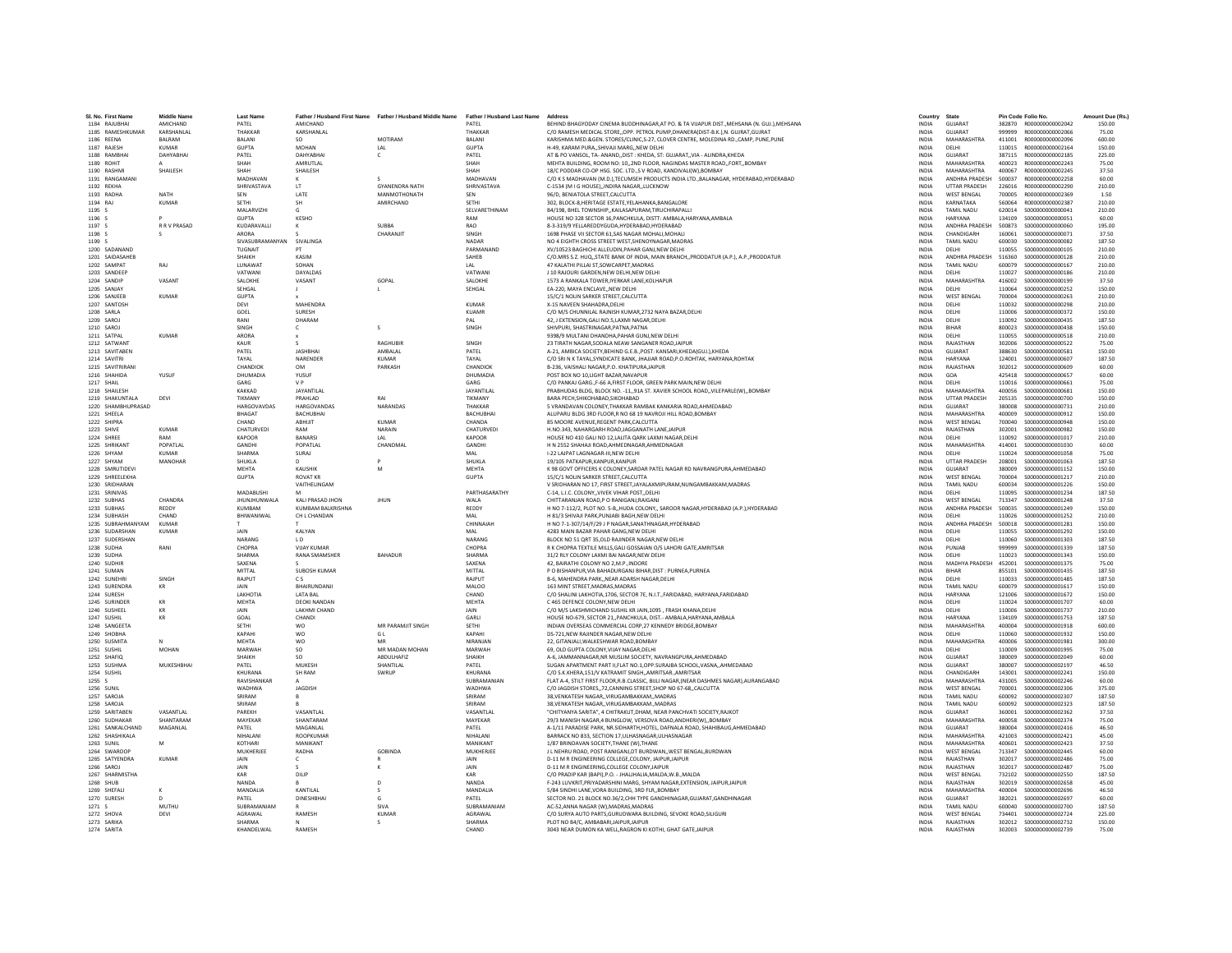| SI, No. First Name | Middle Name  | <b>Last Name</b>         |                                        | Father / Husband First Name Father / Husband Middle Name | Father / Husband Last Name | Address                                                                                                            | Country      | State                   |        | Pin Code Folio No.      | Amount Due (Rs  |
|--------------------|--------------|--------------------------|----------------------------------------|----------------------------------------------------------|----------------------------|--------------------------------------------------------------------------------------------------------------------|--------------|-------------------------|--------|-------------------------|-----------------|
| 1184 RAILIBHAI     | AMICHAND     | PATFI                    | <b>AMICHAND</b>                        |                                                          | PATFI                      | REHIND RHAGYODAY CINEMA RUDDHINAGAR AT PO. & TA VIIAPUR DIST. MEHSANA (N. GUL) MEHSANA                             | <b>INDIA</b> | GUIARAT                 |        | 382870 R000000000002042 | 150.00          |
| 1185 RAMESHKUMAR   | KARSHANLAL   | THAKKAR                  | KARSHANLAL                             |                                                          | THAKKAF                    | C/O RAMESH MEDICAL STORE, OPP. PETROL PUMP, DHANERA(DIST-B.K.), N. GUJRAT, GUJRAT                                  | INDIA        | GUJARAT                 | 999999 | R000000000002066        | 75.00           |
| 1186 REENA         | BALRAM       | BALANI                   | SO                                     | MOTIRAM                                                  | BALANI                     | KARISHMA MED.&GEN. STORES/CLINIC,S-27, CLOVER CENTRE, MOLEDINA RD.,CAMP, PUNE,PUNE                                 | <b>INDIA</b> | MAHARASHTRA             | 411001 | R000000000002096        | 600.00          |
| 1187 RAIFSH        | KUMAR        | <b>GUPTA</b>             | MOHAN                                  | IAI                                                      | <b>GUPTA</b>               | H-49 KARAM PURA SHIVAII MARG, NEW DELHI                                                                            | <b>INDIA</b> | DELHI                   | 110015 | R000000000002164        | 150.00          |
| 1188 RAMBHAI       | DAHYARHAI    | PATEL                    | DAHYARHAI                              | $\epsilon$                                               | PATFI                      | AT & PO VANSOL, TA- ANAND,, DIST : KHEDA, ST: GUJARAT,, VIA - ALINDRA, KHEDA                                       | <b>INDIA</b> | GUIARAT                 | 387115 | R000000000002185        | 225.00          |
| 1189 ROHIT         |              | SHAH                     | AMRUTLAL                               |                                                          | SHAH                       | MEHTA BUILDING, ROOM NO: 10,,2ND FLOOR, NAGINDAS MASTER ROAD, FORT, BOMBAY                                         | <b>INDIA</b> | <b>MAHARASHTRA</b>      | 400023 | R00000000002243         | 75.00           |
| 1190 RASHM         | SHAILESH     | SHAH                     | SHAILESH                               |                                                          | SHAH                       | 18/C PODDAR CO-OP HSG. SOC. LTD.,S V ROAD, KANDIVALI(W), BOMBAY                                                    | INDIA        | MAHARASHTRA             | 400067 | R00000000002245         | 37.50           |
| 1191 RANGAMANI     |              | MADHAVAN                 |                                        | $\varsigma$                                              | <b>MADHAVAN</b>            | C/O K S MADHAVAN (M.D.), TECUMSEH PRODUCTS INDIA LTD., BALANAGAR, HYDERABAD, HYDERABAD                             | <b>INDIA</b> | ANDHRA PRADESH          | 500037 | R000000000002258        | 60.00           |
| 1192 REKHA         |              | SHRIVASTAVA              | <b>IT</b>                              | <b>GYANENDRA NATH</b>                                    | SHRIVASTAVA                | C-1534 (M I G HOUSE), INDIRA NAGAR, LUCKNOW                                                                        | <b>INDIA</b> | <b>UTTAR PRADESH</b>    | 226016 | B000000000002290        | 210.00          |
| 1193 RADHA         | <b>NATH</b>  | SEN                      | LATE                                   | MANMOTHONATH                                             | SEN                        | 96/D, BENIATOLA STREET, CALCUTTA                                                                                   | <b>INDIA</b> | <b>WEST BENGAL</b>      | 700005 | R00000000002369         | 1.50            |
| 1194 RAJ           | <b>KUMAR</b> | SETHI                    | SH                                     | AMIRCHAND                                                | SETHI                      | 302, BLOCK-8, HERITAGE ESTATE, YELAHANKA, BANGALORE                                                                | <b>INDIA</b> | KARNATAKA               | 560064 | B000000000002387        | 210.00          |
| 1195 S             |              | MALARVIZHI               | G                                      |                                                          | SELVARETHINAM              | B4/198, BHEL TOWNSHIP., KAILASAPURAM, TIRUCHIRAPALLI                                                               | <b>INDIA</b> | TAMIL NADU              | 620014 | S000000000000041        | 210.00          |
| 1196 S             |              | <b>GUPTA</b>             | KESHO                                  |                                                          | RAM                        | HOUSE NO 328 SECTOR 16, PANCHKULA, DISTT: AMBALA, HARYANA, AMBALA                                                  | <b>INDIA</b> | HARYANA                 | 134109 | \$000000000000051       | 60.00           |
| 1197 S             | R R V PRASAD | KUDARAVALLI              |                                        | SUBBA                                                    | RAO                        | 8-3-319/9 YELLAREDDYGUDA, HYDERABAD, HYDERABAD                                                                     | INDIA        | ANDHRA PRADESH          | 500873 | \$000000000000060       | 195.00          |
| 1198 S             |              | ARORA                    |                                        | CHARANJIT                                                | SINGH                      | 1698 PHASE VII SECTOR 61.SAS NAGAR MOHALI.MOHAL                                                                    | <b>INDIA</b> | CHANDIGARH              | 160061 | \$00000000000071        | 37.50           |
| 1199 \$            |              | SIVASURRAMANYAN SIVAUNGA |                                        |                                                          | <b>NADAR</b>               | NO 4 FIGHTH CROSS STREET WEST SHENOYNAGAR MADRAS                                                                   | <b>INDIA</b> | TAMIL NADLI             | 600030 | \$000000000000082       | 187.50          |
| 1200 SADANAND      |              | TUGNAIT                  | PT                                     |                                                          | PARMANAND                  | XV/10523 BAGHICHI ALLEUDIN.PAHAR GANJ.NEW DELHI                                                                    | <b>INDIA</b> | <b>DELHI</b>            | 110055 | \$000000000000105       | 210.00          |
| 1201 SAIDASAHEE    |              | SHAIKH                   | KASIM                                  |                                                          | SAHEB                      | C/O.MRS S.Z. HUQSTATE BANK OF INDIA, MAIN BRANCH., PRODDATUR (A.P.), A.P., PRODDATUR                               | <b>INDIA</b> | ANDHRA PRADESH          | 516360 | \$000000000000128       | 210.00          |
| 1202 SAMPAT        | RAJ          | LUNAWAT                  | SOHAN                                  |                                                          | LAL                        | 47 KALATHI PILLAI ST, SOWCARPET, MADRAS                                                                            | INDIA        | TAMIL NADU              | 600079 | \$000000000000167       | 210.00          |
| 1203 SANDEEP       |              | VATWANI                  | <b>DAYALDAS</b>                        |                                                          | VATWANI                    | L10 RAIOURI GARDEN NEW DELHI NEW DELHI                                                                             | <b>INDIA</b> | DELHI                   | 110027 | \$000000000000186       | 210.00          |
| 1204 SANDIP        | VASANT       | <b>SALOKHE</b>           | VASANT                                 | GOPAL                                                    | SALOKHE                    | 1573 A RANKALA TOWER.IYERKAR LANE.KOLHAPUR                                                                         | <b>INDIA</b> | MAHARASHTRA             | 416002 | \$000000000000199       | 37.50           |
|                    |              |                          |                                        |                                                          |                            |                                                                                                                    |              |                         |        |                         |                 |
| 1205 SANJAY        |              | SEHGAL                   |                                        |                                                          | SEHGAL                     | EA-220, MAYA ENCLAVENEW DELHI                                                                                      | <b>INDIA</b> | DELHI                   | 110064 | \$00000000000252        | 150.00          |
| 1206 SANJEEB       | <b>KUMAR</b> | <b>GUPTA</b>             |                                        |                                                          |                            | 15/C/1 NOLIN SARKER STREET.CALCUTTA                                                                                | <b>INDIA</b> | WEST BENGAL             | 700004 | \$00000000000263        | 210.00          |
| 1207 SANTOSH       |              | DEVI                     | <b>MAHENDRA</b>                        |                                                          | KUMAR                      | X-15 NAVEEN SHAHADRA.DELHI                                                                                         | <b>INDIA</b> | DELHI                   | 110032 | \$000000000000298       | 210.00          |
| 1208 SARLA         |              | GOEL                     | <b>SURFSH</b>                          |                                                          | KUAMR                      | C/O M/S CHUNNILAL RAJNISH KUMAR.2732 NAYA BAZAR.DELHI                                                              | <b>INDIA</b> | DELHI                   | 110006 | \$000000000000372       | 150.00          |
| 1209 SAROJ         |              | RANI                     | DHARAM                                 |                                                          | PAL                        | 42, J EXTENSION, GALI NO.5, LAXMI NAGAR, DELHI                                                                     | <b>INDIA</b> | DELHI                   | 110092 | \$000000000000435       | 187.50          |
| 1210 SAROJ         |              | SINGH                    | $\epsilon$                             | $\varsigma$                                              | SINGH                      | SHIVPURI, SHASTRINAGAR, PATNA, PATNA                                                                               | <b>INDIA</b> | BIHAR                   | 800023 | S000000000000438        | 150.00          |
| 1211 SATPAI        | KUMAR        | ARORA                    |                                        |                                                          |                            | 9398/9 MULTANI DHANDHA PAHAR GUNLNEW DELHI                                                                         | <b>INDIA</b> | DELHI                   | 110055 | \$000000000000518       | 210.00          |
| 1212 SATWANT       |              | KAUR                     |                                        | RAGHURIE                                                 | SINGH                      | 23 TIRATH NAGAR, SODALA NEAW SANGANER ROAD, JAIPUR                                                                 | INDIA        | RAJASTHAN               | 302006 | \$000000000000522       | 75.00           |
| 1213 SAVITABEN     |              | PATEL                    | <b>JASHBHAI</b>                        | AMBALAL                                                  | PATEL                      | A-21, AMBICA SOCIETY, BEHIND G.E.B., POST: KANSARI, KHEDA(GUJ.), KHEDA                                             | <b>INDIA</b> | GUJARAT                 | 388630 | \$000000000000581       | 150.00          |
| 1214 SAVITRI       |              | TAYAL                    | NARENDER                               | <b>KUMAR</b>                                             | TAYAL                      | C/O SRI N K TAYAL SYNDICATE BANK, JHAJJAR ROAD, P.O.ROHTAK, HARYANA, ROHTAK                                        | <b>INDIA</b> | <b>HARYANA</b>          | 124001 | \$000000000000607       | 187.50          |
| 1215 SAVITRIRANI   |              | CHANDIOK                 | <b>OM</b>                              | <b>PARKASH</b>                                           | CHANDIOK                   | B-236, VAISHALI NAGAR, P.O. KHATIPURAJAIPUR                                                                        | <b>INDIA</b> | RAIASTHAN               | 302012 | \$000000000000609       | 60.00           |
| 1216 SHAHIDA       | YUSUF        | DHUMADIA                 | YUSUF                                  |                                                          | DHUMADIA                   | POST BOX NO 10.LIGHT BAZAR.NAVAPUR                                                                                 | <b>INDIA</b> | GOA                     | 425418 | \$000000000000657       | 60.00           |
| 1217 SHAIL         |              | GARG                     | V <sub>P</sub>                         |                                                          | GARG                       | C/O PANKAJ GARG., F-66 A, FIRST FLOOR, GREEN PARK MAIN, NEW DELHI                                                  | INDIA        | DELHI                   | 110016 | \$000000000000661       | 75.00           |
| 1218 SHAILESH      |              | KAKKAD                   | <b>JAYANTILAL</b>                      |                                                          | JAYANTILAL                 | PRABHUDAS BLDG, BLOCK NO. - 11., 91A ST, XAVIER SCHOOL ROAD., VILEPARLE(W)., BOMBAY                                | <b>INDIA</b> | MAHARASHTRA             | 400056 | \$00000000000681        | 150.00          |
| 1219 SHAKUNTALA    | DEVI         | TIKMANY                  | PRAHLAD                                | RAI                                                      | TIKMANY                    | <b>BARA PECH SHIKOHARAD SIKOHARAD</b>                                                                              | <b>INDIA</b> | <b>UTTAR PRADESH</b>    | 205135 | \$000000000000700       | 150.00          |
| 1220 SHAMBHUPRASAD |              | <b>HARGOVAVDAS</b>       | <b>HARGOVANDAS</b>                     | NARANDAS                                                 | THAKKAR                    | 5 VRANDAVAN COLONEY, THAKKAR RAMBAK KANKARIA ROAD, AHMEDABAD                                                       | <b>INDIA</b> | GUIARAT                 | 380008 | \$000000000000731       | 210.00          |
| 1221 SHEELA        |              | BHAGAT                   | BACHUBHAI                              |                                                          | <b>BACHUBHAI</b>           | ALUPARU BLDG 3RD FLOOR,R NO 68 19 NAVROJI HILL ROAD,BOMBAY                                                         | <b>INDIA</b> | MAHARASHTRA             | 400009 | \$000000000000912       | 150.00          |
| 1222 SHIPRA        |              | CHAND                    | ABHIJIT                                | <b>KUMAR</b>                                             | CHANDA                     | 85 MOORE AVENUE.REGENT PARK.CALCUTTA                                                                               | <b>INDIA</b> | <b>WEST BENGAL</b>      | 700040 | \$000000000000948       | 150.00          |
| 1223 SHIVE         | KUMAR        | CHATURVEDI               | RAM                                    | NARAIN                                                   | CHATURVEDI                 | H NO 343, NAHARGARH ROAD JAGGANATH LANE JAIPUR                                                                     | <b>INDIA</b> | RAIASTHAN               | 302001 | \$000000000000982       | 150.00          |
| 1224 SHREE         | RAM          | KAPOOR                   | <b>BANARSI</b>                         | LAL                                                      | KAPOOR                     | HOUSE NO 410 GALI NO 12, LALITA QARK LAXMI NAGAR, DELHI                                                            | INDIA        | DELHI                   | 110092 | \$000000000001017       | 210.00          |
| 1225 SHRIKAN'      | POPATLAL     | GANDHI                   | POPATLAL                               | CHANDMAI                                                 | <b>GANDHI</b>              | H N 2552 SHAHAJI ROAD AHMEDNAGAR AHMEDNAGAR                                                                        | <b>INDIA</b> | <b>MAHARASHTRA</b>      | 414001 | \$000000000001030       | 60.00           |
| 1226 SHYAM         | <b>KUMAR</b> | SHARMA                   | SURAJ                                  |                                                          | MAL                        | I-22 LAJPAT LAGNAGAR-III.NEW DELHI                                                                                 | <b>INDIA</b> | DELHI                   | 110024 | \$000000000001058       | 75.00           |
| 1227 SHYAM         | MANOHAR      | <b>SHUKLA</b>            | D.                                     |                                                          | SHUKLA                     | 19/105 PATKAPUR KANPUR KANPUR                                                                                      | <b>INDIA</b> | <b>UTTAR PRADESH</b>    | 208001 | \$000000000001063       | 187.50          |
| 1228 SMRUTIDEV     |              | MEHTA                    | KAUSHIK                                | M                                                        | MEHTA                      | K 98 GOVT OFFICERS K COLONEY, SARDAR PATEL NAGAR RD NAVRANGPURA, AHMEDABAD                                         | <b>INDIA</b> | GUJARAT                 | 380009 | S000000000001152        | 150.00          |
| 1229 SHREELEKHA    |              | <b>GUPTA</b>             | <b>ROVAT KR</b>                        |                                                          | <b>GUPTA</b>               | 15/C/1 NOLIN SARKER STREET, CALCUTTA                                                                               | INDIA        | <b>WEST BENGAL</b>      | 700004 | S000000000001217        | 210.00          |
| 1230 SRIDHARAN     |              |                          | <b>VAITHFI INGAM</b>                   |                                                          |                            | V SRIDHARAN NO 17, FIRST STREET, JAYALAXMIPURAM, NUNGAMBAKKAM, MADRAS                                              | <b>INDIA</b> | TAMIL NADLI             | 600034 | \$000000000001226       | 150.00          |
| 1231 SRINIVAS      |              | MADABUSHI                |                                        |                                                          | PARTHASARATHY              | C-14, L.I.C. COLONY, VIVEK VIHAR POST, DELHI                                                                       | <b>INDIA</b> | <b>DELHI</b>            | 110095 | S000000000001234        | 187.50          |
| 1232 SUBHAS        | CHANDRA      | <b>JHUNJHUNWALA</b>      | KALI PRASAD JHON                       | <b>JHUN</b>                                              | WALA                       | CHITTARANJAN ROAD, P O RANIGANJ, RAIGANJ                                                                           | INDIA        | <b>WEST BENGAL</b>      | 713347 | S000000000001248        | 37.50           |
| 1233 SUBHAS        | REDDY        | KUMBAM                   | KUMBAM BALKRISHNA                      |                                                          | REDDY                      | H NO 7-112/2, PLOT NO. 5-B, HUDA COLONY,, SAROOR NAGAR, HYDERABAD (A.P.), HYDERABAD                                | <b>INDIA</b> | ANDHRA PRADESH          | 500035 | \$000000000001249       | 150.00          |
| 1234 SUBHASH       | CHAND        | BHIWANIWAL               | CH L CHANDAN                           |                                                          | MAL                        | H 81/3 SHIVAJI PARK.PUNJABI BAGH.NEW DELHI                                                                         | <b>INDIA</b> | DELHI                   | 110026 | S000000000001252        | 210.00          |
| 1235 SURRAHMANYAM  | KUMAR        |                          |                                        |                                                          | CHINNAIAH                  | H NO 7-1-307/14/F/29 J P NAGAR SANATHNAGAR HYDERABAD                                                               | <b>INDIA</b> | <b>ANDHRA PRADESH</b>   | 500018 | \$000000000001281       | 150.00          |
|                    |              | JAIN                     |                                        |                                                          | MAL                        |                                                                                                                    |              |                         |        |                         |                 |
| 1236 SUDARSHAN     | <b>KUMAR</b> |                          | KALYAN                                 |                                                          |                            | 4283 MAIN BAZAR PAHAR GANG, NEW DELHI                                                                              | INDIA        | DELHI                   | 110055 | S000000000001292        | 150.00          |
| 1237 SUDERSHAN     | RANI         | NARANG                   | LD.<br><b>VIIAY KUMAR</b>              |                                                          | NARANG                     | BLOCK NO 51 ORT 35, OLD RAJINDER NAGAR.NEW DELHI<br>R K CHOPRA TEXTILE MILLS GALLGOSSAIAN O/S LAHORI GATE AMRITSAR | <b>INDIA</b> | DELHI                   | 110060 | S000000000001303        | 187.50          |
| 1238 SUDHA         |              | CHOPRA                   |                                        |                                                          | CHOPRA                     |                                                                                                                    | <b>INDIA</b> | PUNJAR                  | 999999 | \$000000000001339       | 187.50          |
| 1239 SUDHA         |              | <b>SHARMA</b>            | RANA SMAMSHER                          | BAHADUR                                                  | SHARMA                     | 31/2 RLY COLONY LAXMI BAI NAGAR, NEW DELHI                                                                         | <b>INDIA</b> | DELHI                   | 110023 | S000000000001343        | 150.00          |
| 1240 SUDHIR        |              | SAXENA<br>MITTAL         | <b>SUBOSH KUMAR</b>                    |                                                          | SAXENA<br>MITTAL           | 42. BAIRATHI COLONY NO 2.M.P. INDORE                                                                               | <b>INDIA</b> | MADHYA PRADESH          | 452001 | S000000000001375        | 75.00<br>187.50 |
| 1241 SUMAN         |              |                          |                                        |                                                          |                            | P O BISHANPUR, VIA BAHADURGANJ BIHAR, DIST : PURNEA, PURNEA                                                        | INDIA        | <b>BIHAR</b>            | 855101 | S000000000001435        |                 |
| 1242 SUNFHRI       | SINGH        | RAIPLIT                  | C <sub>S</sub><br><b>RHAIRLINDANIL</b> |                                                          | RAIPUT                     | B-6. MAHENDRA PARKNEAR ADARSH NAGAR.DELHI                                                                          | <b>INDIA</b> | DELHI                   | 110033 | \$000000000001485       | 187.50          |
| 1243 SURENDRA      | KR           | <b>JAIN</b>              |                                        |                                                          | MALOO                      | 163 MINT STREET, MADRAS, MADRAS                                                                                    | <b>INDIA</b> | TAMIL NADU              | 600079 | S000000000001617        | 150.00          |
| 1244 SURESH        |              | <b>LAKHOTIA</b>          | <b>LATA BAL</b>                        |                                                          | CHAND                      | C/O SHALINI LAKHOTIA,1706, SECTOR 7E, N.I.T., FARIDABAD, HARYANA, FARIDABAD                                        | <b>INDIA</b> | HARYANA                 | 121006 | \$000000000001672       | 150.00          |
| 1245 SURINDER      | KR           | MFHTA                    | <b>DEOKI NANDAN</b>                    |                                                          | MEHTA                      | C 465 DEFENCE COLONY.NEW DELHI                                                                                     | <b>INDIA</b> | <b>DELHI</b>            | 110024 | \$000000000001707       | 60.00           |
| 1246 SUSHEEL       | KR           | <b>JAIN</b>              | <b>LAKHMI CHAND</b>                    |                                                          | <b>JAIN</b>                | C/O M/S LAKSHMICHAND SUSHIL KR JAIN.1095 . FRASH KHANA.DELHI                                                       | <b>INDIA</b> | <b>DELHI</b><br>HARYANA | 110006 | \$000000000001737       | 210.00          |
| 1247 SUSHIL        | KR           | GOAL                     | CHANDI                                 |                                                          | <b>GARLI</b>               | HOUSE NO-679, SECTOR 21,, PANCHKULA, DIST. - AMBALA, HARYANA, AMBALA                                               | <b>INDIA</b> |                         | 134109 | \$000000000001753       | 187.50          |
| 1248 SANGEETA      |              | SETHI                    | wo                                     | MR PARAMJIT SINGH                                        | SETHI                      | INDIAN OVERSEAS COMMERCIAL CORP,27 KENNEDY BRIDGE, BOMBAY                                                          | INDIA        | MAHARASHTRA             | 400004 | \$000000000001918       | 600.00          |
| 1249 SHOBHA        |              | KAPAHI                   | <b>WO</b>                              | G L                                                      | KAPAHI                     | DS-721.NEW RAJINDER NAGAR.NEW DELHI                                                                                | <b>INDIA</b> | DELHI                   | 110060 | S000000000001932        | 150.00          |
| 1250 SUSMITA       |              | MEHTA                    | <b>WO</b>                              | MR                                                       | NIRANIAN                   | 22. GITANIAI I WAI KESHWAR ROAD ROMRAY                                                                             | <b>INDIA</b> | MAHARASHTRA             | 400006 | \$000000000001981       | 300.00          |
| 1251 SUSHIL        | <b>MOHAN</b> | MARWAH                   | SO                                     | MR MADAN MOHAN                                           | MARWAH                     | 69. OLD GUPTA COLONY.VIJAY NAGAR.DELHI                                                                             | <b>INDIA</b> | DELHI                   | 110009 | \$000000000001995       | 75.00           |
| 1252 SHAFIO        |              | SHAIKH                   | SO.                                    | <b>ABDULHAFI2</b>                                        | SHAIKH                     | A-6. JAMMANNAGAR.NR MUSLIM SOCIETY. NAVRANGPURA.AHMEDABAD                                                          | <b>INDIA</b> | GUJARAT                 | 380009 | \$000000000002049       | 60.00           |
| 1253 SUSHMA        | MUKESHBHAI   | PATEL                    | MUKESH                                 | SHANTILAL                                                | PATEL                      | SUGAN APARTMENT PART II.FLAT NO.1.OPP.SURAJBA SCHOOL.VASNAAHMEDABAD                                                | <b>INDIA</b> | GUJARAT                 | 380007 | S000000000002197        | 46.50           |
| 1254 SUSHIL        |              | KHURANA                  | <b>SH RAM</b>                          | SWRUP                                                    | KHURANA                    | C/O S.K.KHERA.151/V KATRAMIT SINGH., AMRITSAR, AMRITSAR                                                            | <b>INDIA</b> | CHANDIGARH              | 143001 | \$000000000002241       | 150.00          |
| 1255 S             |              | RAVISHANKAF              |                                        |                                                          | SURRAMANIAN                | FLAT A-4, STILT FIRST FLOOR, R.B.CLASSIC, BIJLI NAGAR, (NEAR DASHMES NAGAR), AURANGABAD                            | <b>INDIA</b> | MAHARASHTRA             | 431005 | \$000000000002246       | 60.00           |
| 1256 SUNII         |              | WADHWA                   | JAGDISH                                |                                                          | WADHWA                     | C/O JAGDISH STORES72.CANNING STREET.SHOP NO 67-68CALCUTTA                                                          | <b>INDIA</b> | <b>WEST BENGAL</b>      | 700001 | \$000000000002306       | 375.00          |
| 1257 SAROJA        |              | SRIRAM                   | R                                      |                                                          | SRIRAM                     | 38. VENKATESH NAGAR VIRUGAMBAKKAM MADRAS                                                                           | <b>INDIA</b> | TAMIL NADU              | 600092 | \$000000000002307       | 187.50          |
| 1258 SAROJA        |              | SRIRAM                   |                                        |                                                          | SRIRAM                     | 38. VENKATESH NAGAR VIRUGAMBAKKAM MADRAS                                                                           | <b>INDIA</b> | TAMIL NADU              | 600092 | \$000000000002323       | 187.50          |
| 1259 SARITABEN     | VASANTI AI   | PAREKH                   | VASANTLAL                              |                                                          | VASANTLAI                  | "CHITYANYA SARITA", 4 CHITRAKUT, DHAM, NEAR PANCHVATI SOCIETY, RAJKOT                                              | <b>INDIA</b> | GUJARAT                 | 360001 | \$000000000002362       | 37.50           |
| 1260 SUDHAKAF      | SHANTARAM    | MAYEKAR                  | SHANTARAM                              |                                                          | MAYEKAR                    | 29/3 MANISH NAGAR,4 BUNGLOW, VERSOVA ROAD, ANDHERI(W),, BOMBAY                                                     | INDIA        | <b>MAHARASHTRA</b>      | 400058 | S000000000002374        | 75.00           |
| 1261 SANKALCHAND   | MAGANLAL     | PATEL                    | MAGANLAL                               |                                                          | PATEL                      | A-1/11 PARADISE PARK, NR.SIDHARTH,HOTEL, DAFNALA ROAD, SHAHIBAUG,AHMEDABAD                                         | <b>INDIA</b> | GUJARAT                 | 380004 | S000000000002416        | 46.50           |
| 1262 SHASHIKALA    |              | NIHAI ANI                | <b>ROOPKUMAR</b>                       |                                                          | NIHAI ANI                  | BARRACK NO 833, SECTION 17, ULHASNAGAR, ULHASNAGAR                                                                 | <b>INDIA</b> | MAHARASHTRA             | 421003 | \$000000000002421       | 45.00           |
| 1263 SUNII         | M            | KOTHARI                  | MANIKANT                               |                                                          | MANIKANT                   | 1/87 BRINDAVAN SOCIETY, THANE (W), THANE                                                                           | INDIA        | MAHARASHTRA             | 400601 | S000000000002423        | 37.50           |
| 1264 SWAROOP       |              | MUKHERJEE                | RADHA                                  | GOBINDA                                                  | MUKHERJEE                  | J L NEHRU ROAD, POST RANIGANJ, DT BURDWAN, , WEST BENGAL, BURDWAN                                                  | <b>INDIA</b> | <b>WEST BENGAL</b>      | 713347 | S000000000002445        | 60.00           |
| 1265 SATYENDRA     | <b>KUMAR</b> | <b>JAIN</b>              | $\epsilon$                             |                                                          | JAIN                       | D-11 M R ENGINEERING COLLEGE.COLONY, JAIPUR JAIPUR                                                                 | <b>INDIA</b> | RAJASTHAN               | 302017 | \$00000000002486        | 75.00           |
| 1266 SAROL         |              | <b>JAIN</b>              |                                        | к                                                        | <b>JAIN</b>                | D-11 M R ENGINEERING.COLLEGE COLONYJAIPUR                                                                          | <b>INDIA</b> | RAIASTHAN               | 302017 | \$000000000002487       | 75.00           |
| 1267 SHARMISTHA    |              | KAR                      | DILIP                                  |                                                          | KAR                        | C/O PRADIP KAR (BAPI), P.O. - JHALJHALIA, MALDA, W.B., MALDA                                                       | <b>INDIA</b> | <b>WEST BENGAL</b>      | 732102 | \$00000000002550        | 187.50          |
| 1268 SHUB          |              | <b>NANDA</b>             |                                        | D                                                        | NANDA                      | F-243 LUVKRIT, PRIYADARSHINI MARG, SHYAM NAGAR, EXTENSION, JAIPUR, JAIPUR                                          | <b>INDIA</b> | RAJASTHAN               | 302019 | \$000000000002658       | 45.00           |
| 1269 SHEFALL       |              | <b>MANDALIA</b>          | <b>KANTILAI</b>                        | -S                                                       | <b>MANDALIA</b>            | 5/84 SINDHI LANE VORA BUILDING 3RD FLR. ROMBAY                                                                     | <b>INDIA</b> | MAHARASHTRA             | 400004 | \$000000000002696       | 46.50           |
| 1270 SURFSH        | $\Omega$     | PATFI                    | <b>DINESHBHAI</b>                      | G                                                        | PATFI                      | SECTOR NO. 21 BLOCK NO.36/2,CHH TYPE GANDHINAGAR, GUJARAT, GANDHINAGAR                                             | <b>INDIA</b> | GUIARAT                 | 382021 | \$000000000002697       | 60.00           |
| 1271 S             | MUTHU        | SUBRAMANIAN              |                                        | SIVA                                                     | SUBRAMANIAN                | AC-52.ANNA NAGAR (W).MADRAS.MADRAS                                                                                 | <b>INDIA</b> | <b>TAMIL NADU</b>       | 600040 | \$00000000002700        | 187.50          |
| 1272 SHOVA         | DEVI         | AGRAWAL                  | RAMFSH                                 | KUMAF                                                    | AGRAWAI                    | C/O SURYA AUTO PARTS, GURUDWARA BUILDING, SEVOKE ROAD, SILIGURI                                                    | <b>INDIA</b> | <b>WEST RENGAL</b>      | 734401 | \$000000000002724       | 225.00          |
| 1273 SARIKA        |              | SHARMA                   | N                                      | s                                                        | SHARMA                     | PLOT NO B4/C. AMBABARI JAIPUR JAIPUR                                                                               | <b>INDIA</b> | RAJASTHAN               | 302012 | \$000000000002732       | 150.00          |
| 1274 SARITA        |              | KHANDEI WAI              | RAMESH                                 |                                                          | CHAND                      | 3043 NEAR DUMON KA WELL RAGRON KI KOTHI, GHAT GATE JAIPUR                                                          | <b>INDIA</b> | RAIASTHAN               | 302003 | \$000000000002739       | 75.00           |
|                    |              |                          |                                        |                                                          |                            |                                                                                                                    |              |                         |        |                         |                 |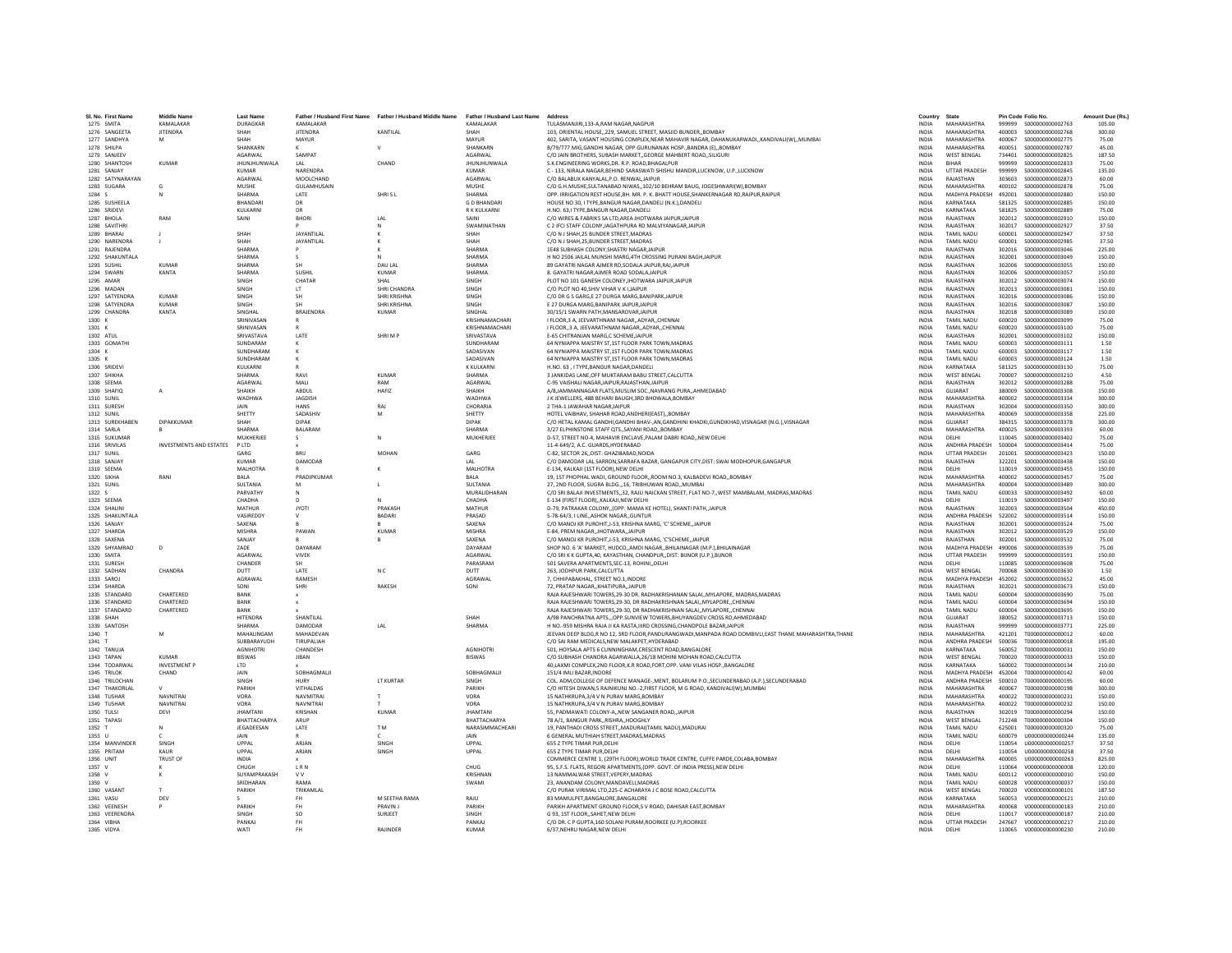| SI. No. First Name            | <b>Middle Name</b>             | <b>Last Name</b>                  |                               | Father / Husband First Name Father / Husband Middle Name Father / Husband Last Name |                                   | Address                                                                                                                                                           | Country                      | State                                         |                  | Pin Code Folio No.                          | Amount Due (Rs.) |
|-------------------------------|--------------------------------|-----------------------------------|-------------------------------|-------------------------------------------------------------------------------------|-----------------------------------|-------------------------------------------------------------------------------------------------------------------------------------------------------------------|------------------------------|-----------------------------------------------|------------------|---------------------------------------------|------------------|
| 1275 SMITA                    | KAMALAKAR                      | DURAGKAR                          | KAMALAKAR                     |                                                                                     | KAMALAKAR                         | TULASMANJIRI.133-A.RAM NAGAR.NAGPUR                                                                                                                               | <b>INDIA</b>                 | <b>MAHARASHTRA</b>                            |                  | 999999 S000000000002763                     | 105.00           |
| 1276 SANGEETA                 | <b>JITENDRA</b>                | SHAH                              | <b>IITENDRA</b>               | KANTILAI                                                                            | SHAH                              | 103. ORIENTAL HOUSE, 229. SAMUEL STREET, MASILD BUNDER, ROMBAY                                                                                                    | INDIA                        | MAHARASHTRA                                   | 500004           | 5000000000002768                            | 300.00           |
| 1277 SANDHYA                  |                                | SHAH                              | <b>MAYUR</b>                  |                                                                                     | MAYUR                             | 402, SARITA, VASANT HOUSING COMPLEX, NEAR MAHAVIR NAGAR, DAHANUKARWADI,, KANDIVALI(W),, MUMBAI                                                                    | <b>INDIA</b>                 | MAHARASHTRA                                   | 400067           | S000000000002775                            | 75.00            |
| 1278 SHILPA<br>1279 SANJEEV   |                                | SHANKARN<br>AGARWAL               | SAMPAT                        |                                                                                     | SHANKARN<br>AGARWAL               | B/79/777 MIG, GANDHI NAGAR, OPP GURUNANAK HOSP., BANDRA (E),, BOMBAY<br>C/O JAIN BROTHERS, SUBASH MARKET., GEORGE MAHBERT ROAD, SILIGURI                          | INDIA<br><b>INDIA</b>        | MAHARASHTRA<br><b>WEST BENGAL</b>             | 400051<br>734401 | S000000000002787<br>\$000000000002825       | 45.00<br>187.50  |
| 1280 SHANTOSH                 | KUMAR                          | <b>JHUNJHUNWALA</b>               | LAL                           | CHAND                                                                               | <b>IHUNIHUNWALA</b>               | S.K.ENGINEERING WORKS.DR. R.P. ROAD.BHAGALPUR                                                                                                                     | <b>INDIA</b>                 | <b>RIHAR</b>                                  | 999999           | \$000000000002833                           | 75.00            |
| 1281 SANJAY                   |                                | <b>KUMAR</b>                      | NARENDRA                      |                                                                                     | KUMAR                             | C - 133, NIRALA NAGAR, BEHIND SARASWATI SHISHU MANDIR, LUCKNOW, U.P., LUCKNOW                                                                                     | <b>INDIA</b>                 | <b>UTTAR PRADESH</b>                          | 999999           | \$000000000002845                           | 135.00           |
| 1282 SATYNARAYAN              |                                | AGARWAL                           | MOOLCHAND                     |                                                                                     | AGARWAL                           | C/O BALABUX KANYALAL, P.O. RENWAL, JAIPUR                                                                                                                         | <b>INDIA</b>                 | RAJASTHAN                                     | 303603           | \$000000000002873                           | 60.00            |
| 1283 SUGARA<br>1284 S         | N                              | <b>MUSHE</b><br>SHARMA            | <b>GULAMHUSAIN</b><br>LATE    | SHRISL                                                                              | <b>MUSHE</b><br>SHARMA            | C/O G.H.MUSHE, SULTANABAD NIWAS,, 102/10 BEHRAM BAUG, JOGESHWARI(W), BOMBAY<br>OPP, IRRIGATION REST HOUSE.BH, MR, P, K, BHATT HOUSE.SHANKERNAGAR RD.RAIPUR.RAIPUR | <b>INDIA</b><br><b>INDIA</b> | MAHARASHTRA<br>MADHYA PRADESH 492001          | 400102           | \$000000000002878<br>\$000000000002880      | 75.00<br>150.00  |
| 1285 SUSHEELA                 |                                | <b>BHANDARI</b>                   | DR                            |                                                                                     | <b>GD RHANDAR</b>                 | HOUSE NO 30, I TYPE, BANGUR NAGAR, DANDELI (N.K.), DANDELI                                                                                                        | <b>INDIA</b>                 | KARNATAKA                                     | 581325           | \$000000000002885                           | 150.00           |
| 1286 SRIDEVI                  |                                | KULKARNI                          | DR                            |                                                                                     | R K KULKARNI                      | H.NO. 63,I TYPE, BANGUR NAGAR, DANDEL                                                                                                                             | <b>INDIA</b>                 | KARNATAKA                                     | 581825           | \$000000000002889                           | 75.00            |
| 1287 BHOLA                    | RAM                            | SAINI                             | <b>BHORI</b>                  | LAL                                                                                 | SAINI                             | C/O WIRES & FABRIKS SA LTD, AREA JHOTWARA JAIPUR, JAIPUR                                                                                                          | <b>INDIA</b>                 | RAIASTHAN                                     | 302012           | \$000000000002910                           | 150.00           |
| 1288 SAVITHRI<br>1289 RHARAI  | $\mathbf{r}$                   | SHAH                              | <b>JAYANTILAI</b>             | <b>N</b><br>$\mathbf{v}$                                                            | SWAMINATHAN<br>SHAH               | C 2 IFCI STAFF COLONY JAGATHPURA RD MALVIYANAGAR JAIPUR<br>C/O N I SHAH 25 BUNDER STREET MADRAS                                                                   | <b>INDIA</b><br><b>INDIA</b> | RAJASTHAN<br><b>TAMIL NADLI</b>               | 302017<br>600001 | \$000000000002927<br>\$000000000002947      | 37.50<br>37.50   |
| 1290 NARENDRA                 |                                | SHAH                              | JAYANTILAL                    |                                                                                     | SHAH                              | C/O N J SHAH, 25, BUNDER STREET, MADRAS                                                                                                                           | <b>INDIA</b>                 | <b>TAMIL NADU</b>                             | 600001           | \$000000000002985                           | 37.50            |
| 1291 RAJENDRA                 |                                | <b>SHARMA</b>                     |                               |                                                                                     | SHARMA                            | 1E48 SUBHASH COLONY, SHASTRI NAGAR, JAIPUR                                                                                                                        | INDIA                        | RAJASTHAN                                     | 302016           | \$000000000003046                           | 225.00           |
| 1292 SHAKUNTALA               |                                | SHARMA                            | $\leq$                        | N                                                                                   | SHARMA                            | H NO 2506 JAILAL MUNSHI MARG.4TH CROSSING PURANI BAGH.JAIPUR                                                                                                      | <b>INDIA</b>                 | RAJASTHAN                                     | 302001           | \$000000000003049                           | 150.00           |
| 1293 SUSHIL                   | <b>KUMAR</b>                   | SHARMA                            | <b>SH</b>                     | DAU LAL                                                                             | SHARMA                            | 89 GAYATRI NAGAR AJMER RD.SODALA JAIPUR.RAJ.JAIPUR                                                                                                                | <b>INDIA</b>                 | RAJASTHAN                                     | 302006           | \$000000000003055                           | 150.00           |
| 1294 SWARN<br>1295 AMAR       | KANTA                          | SHARMA<br>SINGH                   | SUSHIL<br>CHATAR              | <b>KUMAR</b><br>SHAL                                                                | SHARMA<br>SINGH                   | 8. GAYATRI NAGAR.AJMER ROAD SODALA.JAIPUR<br>PLOT NO 101 GANESH COLONEY, JHOTWARA JAIPUR, JAIPUR                                                                  | <b>INDIA</b><br><b>INDIA</b> | RAJASTHAN<br>RAJASTHAN                        | 302006<br>302012 | \$000000000003057<br>\$000000000003074      | 150.00<br>150.00 |
| 1296 MADAN                    |                                | SINGH                             | LT                            | SHRI CHANDRA                                                                        | SINGH                             | C/O PLOT NO 40.SHIV VIHAR V K I JAIPUR                                                                                                                            | <b>INDIA</b>                 | RAJASTHAN                                     | 302013           | \$000000000003081                           | 150.00           |
| 1297 SATYENDRA                | <b>KUMAR</b>                   | SINGH                             | <b>SH</b>                     | SHRI KRISHNA                                                                        | SINGH                             | C/O DR G S GARG.E 27 DURGA MARG.BANIPARKJAIPUR                                                                                                                    | <b>INDIA</b>                 | RAJASTHAN                                     | 302016           | \$000000000003086                           | 150.00           |
| 1298 SATYFNDRA                | KUMAR                          | <b>SINGH</b>                      | <b>SH</b>                     | <b>SHRI KRISHNA</b>                                                                 | <b>SINGH</b>                      | F 27 DURGA MARG BANIPARK JAIPUR JAIPUR                                                                                                                            | <b>INDIA</b>                 | RAIASTHAN                                     | 302016           | \$000000000003087                           | 150.00           |
| 1299 CHANDRA<br>1300 K        | KANTA                          | SINGHAL<br>SRINIVASAN             | <b>BRAJENDRA</b><br>R         | KUMAR                                                                               | SINGHAL<br>KRISHNAMACHAR          | 30/15/1 SWARN PATH, MANSAROVAR, JAIPUR<br>I FLOOR 3 A. JEEVARTHNAM NAGAR., ADYAR., CHENNA                                                                         | <b>INDIA</b><br><b>INDIA</b> | RAJASTHAN<br><b>TAMIL NADU</b>                | 302018<br>600020 | \$000000000003089<br>\$000000000003099      | 150.00<br>75.00  |
| 1301 K                        |                                | SRINIVASAN                        |                               |                                                                                     | KRISHNAMACHARI                    | I FLOOR3 A. JEEVARATHNAM NAGARADYARCHENNAI                                                                                                                        | <b>INDIA</b>                 | <b>TAMIL NADU</b>                             | 600020           | \$000000000003100                           | 75.00            |
| 1302 ATUL                     |                                | SRIVASTAVA                        | <b>LATE</b>                   | SHRIM P                                                                             | SRIVASTAVA                        | <b>E-65 CHITRANIAN MARG C SCHEME IAIPUR</b>                                                                                                                       | <b>INDIA</b>                 | RAIASTHAN                                     | 302001           | \$000000000003102                           | 150.00           |
| 1303 GOMATHI                  |                                | SUNDARAM                          |                               |                                                                                     | SUNDHARAM                         | 64 NYNIAPPA MAISTRY ST.1ST FLOOR PARK TOWN.MADRAS                                                                                                                 | <b>INDIA</b>                 | <b>TAMIL NADU</b>                             | 600003           | S000000000003111                            | 1.50             |
| 1304 K                        |                                | SUNDHARAM                         |                               |                                                                                     | SADASIVAN                         | 64 NYNIAPPA MAISTRY ST,1ST FLOOR PARK TOWN, MADRAS                                                                                                                | INDIA                        | <b>TAMIL NADU</b>                             | 600003           | S000000000003117                            | 1.50             |
| 1305 K<br>1306 SRIDEV         |                                | SUNDHARAM<br>KULKARNI             | к                             |                                                                                     | SADASIVAN<br>K KULKARNI           | 64 NYNIAPPA MAISTRY ST.1ST FLOOR PARK TOWN.MADRAS<br>H.NO. 63. I TYPE.BANGUR NAGAR.DANDELI                                                                        | <b>INDIA</b><br><b>INDIA</b> | <b>TAMIL NADU</b><br>KARNATAKA                | 600003<br>581325 | \$000000000003124<br>\$000000000003130      | 1.50<br>75.00    |
| 1307 SHIKHA                   |                                | SHARMA                            | RAVI                          | KUMAR                                                                               | SHARMA                            | 3 JANKIDAS LANE.OFF MUKTARAM BABU STREET.CALCUTTA                                                                                                                 | <b>INDIA</b>                 | <b>WEST RENGAL</b>                            | 700007           | \$000000000003210                           | 4.50             |
| 1308 SEEMA                    |                                | AGARWAL                           | MALI                          | RAM                                                                                 | AGARWAL                           | C-95 VAISHALI NAGAR, JAIPUR, RAJASTHAN, JAIPUR                                                                                                                    | INDIA                        | RAJASTHAN                                     | 302012           | \$000000000003288                           | 75.00            |
| 1309 SHAFIO                   |                                | SHAIKH                            | ABDUL                         | HAFIZ                                                                               | SHAIKH                            | A/8JAMMANNAGAR FLATS.MUSLIM SOCNAVRANG PURAAHMEDABAD                                                                                                              | <b>INDIA</b>                 | GUJARAT                                       | 380009           | \$000000000003308                           | 150.00           |
| 1310 SUNIL<br>1311 SURFSH     |                                | WADHWA<br><b>JAIN</b>             | <b>JAGDISH</b><br><b>HANS</b> | RAI                                                                                 | WADHWA<br>CHORARIA                | J K JEWELLERS, 48B BEHARI BAUGH, 3RD BHOWALA, BOMBAY<br>2 THA-1 JAWAHAR NAGAR JAIPUR                                                                              | <b>INDIA</b><br><b>INDIA</b> | MAHARASHTRA<br>RAIASTHAN                      | 400002<br>302004 | \$000000000003334<br>\$000000000003350      | 300.00<br>300.00 |
| 1312 SUNIL                    |                                | SHETTY                            | SADASHIV                      | M                                                                                   | SHETTY                            | HOTEL VAIBHAV, SHAHAR ROAD, ANDHERI (EAST), , BOMBAY                                                                                                              | <b>INDIA</b>                 | MAHARASHTRA                                   | 400069           | \$000000000003358                           | 225.00           |
| 1313 SUREKHABEN               | DIPAKKUMAR                     | SHAH                              | <b>DIPAK</b>                  |                                                                                     | <b>DIPAK</b>                      | C/O HETAL KAMAL GANDHI, GANDHI BHAV-, AN, GANDHINI KHADKI, GUNDIKHAD, VISNAGAR (N.G.), VISNAGAR                                                                   | <b>INDIA</b>                 | GUJARAT                                       | 384315           | \$000000000003378                           | 300.00           |
| 1314 SARLA                    |                                | <b>SHARMA</b>                     | <b>BALARAM</b>                |                                                                                     | SHARMA                            | 3/27 ELPHINSTONE STAFF OTSSAYANI ROADBOMBAY                                                                                                                       | INDIA                        | <b>MAHARASHTRA</b>                            | 400025           | \$000000000003393                           | 60.00            |
| 1315 SUKUMAR                  |                                | MUKHERIEF                         | $\mathcal{L}$                 | N                                                                                   | MUKHERIFF                         | D-57 STREET NO-4 MAHAVIR ENCLAVE PALAM DARRI ROAD, NEW DELHI                                                                                                      | <b>INDIA</b>                 | DELHI                                         | 110045           | \$000000000003402                           | 75.00            |
| 1316 SRIVILAS<br>1317 SUNIL   | <b>INVESTMENTS AND ESTATES</b> | PITD<br>GARG                      |                               | MOHAN                                                                               | GARG                              | 11-4-649/2, A.C. GUARDS, HYDERABAD<br>C-82, SECTOR 26., DIST: GHAZI8ABAD, NOIDA                                                                                   | <b>INDIA</b><br>INDIA        | <b>ANDHRA PRADESH</b><br><b>UTTAR PRADESH</b> | 500004<br>201001 | \$000000000003414<br>S000000000003423       | 75.00<br>150.00  |
| 1318 SANJAY                   |                                | <b>KUMAR</b>                      | DAMODAR                       |                                                                                     | LAL                               | C/O DAMODAR LAL SARRON, SARRAFA BAZAR, GANGAPUR CITY, DIST: SWAI MODHOPUR, GANGAPUR                                                                               | <b>INDIA</b>                 | RAJASTHAN                                     | 322201           | \$000000000003438                           | 150.00           |
| 1319 SEEMA                    |                                | MALHOTRA                          |                               |                                                                                     | MALHOTRA                          | E-134, KALKAJI (1ST FLOOR) NEW DELHI                                                                                                                              | <b>INDIA</b>                 | DELHI                                         | 110019           | \$000000000003455                           | 150.00           |
| 1320 SIKHA                    | RANI                           | RAI A                             | PRADIPKLIMAR                  |                                                                                     | <b>BALA</b>                       | 19. 1ST PHOPHAL WADI, GROUND FLOOR, ROOM NO.3, KALBADEVI ROAD., BOMBAY                                                                                            | <b>INDIA</b>                 | MAHARASHTRA                                   | 400002           | \$000000000003457                           | 75.00            |
| 1321 SUNIL<br>1322 S          |                                | SULTANIA<br>PARVATHY              | M                             |                                                                                     | SULTANIA<br>MURALIDHARAN          | 27, 2ND FLOOR, SUGRA BLDG., 16, TRIBHUWAN ROAD, MUMBAI<br>C/O SRI BALAJI INVESTMENTS, 32, RAJU NAICKAN STREET, FLAT NO-7, WEST MAMBALAM, MADRAS, MADRAS           | <b>INDIA</b><br><b>INDIA</b> | MAHARASHTRA<br><b>TAMIL NADU</b>              | 400004<br>600033 | \$000000000003489<br>\$000000000003492      | 300.00<br>60.00  |
| 1323 SEEMA                    |                                | CHADHA                            | N<br>D                        |                                                                                     | CHADHA                            | E-134 (FIRST FLOOR)KALKAJI.NEW DELHI                                                                                                                              | INDIA                        | DELHI                                         | 110019           | S000000000003497                            | 150.00           |
| 1324 SHALINI                  |                                | MATHUR                            | <b>IYOTI</b>                  | PRAKASH                                                                             | MATHUR                            | D-79, PATRAKAR COLONY(OPP, MAMA KE HOTEL), SHANTI PATH.JAIPUR                                                                                                     | <b>INDIA</b>                 | RAIASTHAN                                     | 302003           | \$000000000003504                           | 450.00           |
| 1325 SHAKUNTALA               |                                | VASIREDDY                         | $\mathsf{v}$                  | <b>BADARI</b>                                                                       | PRASAD                            | 5-78-64/3, I LINE, ASHOK NAGAR, GUNTUR                                                                                                                            | <b>INDIA</b>                 | ANDHRA PRADESH                                | 522002           | \$000000000003514                           | 150.00           |
| 1326 SANJAY                   |                                | SAXENA<br><b>MISHRA</b>           | PAWAN                         | <b>KUMAR</b>                                                                        | SAXENA<br><b>MISHRA</b>           | C/O MANOJ KR PUROHIT.J-53, KRISHNA MARG, 'C' SCHEMEJAIPUR                                                                                                         | <b>INDIA</b>                 | RAJASTHAN<br>RAJASTHAN                        | 302001           | \$000000000003524                           | 75.00            |
| 1327 SHARDA<br>1328 SAXENA    |                                | SANJAY                            |                               |                                                                                     | SAXENA                            | E-84, PREM NAGAR, JHOTWARA, JAIPUR<br>C/O MANOLKR PUROHIT I-53, KRISHNA MARG, 'C'SCHEME, JAIPUR                                                                   | INDIA<br><b>INDIA</b>        | RAIASTHAN                                     | 302012<br>302001 | \$000000000003529<br>\$000000000003532      | 150.00<br>75.00  |
| 1329 SHYAMRAO                 | $\overline{D}$                 | 7ADE                              | DAYARAN                       |                                                                                     | DAYARAM                           | SHOP NO. 6 'A' MARKET, HUDCO., AMDI NAGAR, BHILAINAGAR (M.P.), BHILAINAGAR                                                                                        | <b>INDIA</b>                 | MADHYA PRADESH 490006                         |                  | \$000000000003539                           | 75.00            |
| 1330 SMITA                    |                                | AGARWAI                           | VIVEK                         |                                                                                     | AGARWAL                           | C/O SRI K K GUPTA,40, KAYASTHAN, CHANDPUR, DIST: BUNOR (U.P.), BUNOR                                                                                              | <b>INDIA</b>                 | <b>UTTAR PRADESH</b>                          | 999999           | \$000000000003591                           | 150.00           |
| 1331 SURESH                   |                                | CHANDER                           |                               |                                                                                     | PARASRAM                          | 501 SAVERA APARTMENTS.SEC-13, ROHINI.,DELHI                                                                                                                       | <b>INDIA</b>                 | DELHI                                         | 110085           | \$000000000003608                           | 75.00            |
| 1332 SADHAN<br>1333 SAROL     | CHANDRA                        | DUTT<br>AGRAWAL                   | LATE<br>RAMESH                | N C                                                                                 | DUTT<br>AGRAWAL                   | 263, JODHPUR PARK, CALCUTTA<br>7. CHHIPARAKHAI STREET NO 1 INDORE                                                                                                 | INDIA<br><b>INDIA</b>        | <b>WEST BENGAL</b><br>MADHYA PRADESH 452002   | 700068           | \$000000000003630<br>\$000000000003652      | 1.50<br>45.00    |
| 1334 SHARDA                   |                                | SONI                              | SHRI                          | RAKESH                                                                              | SONI                              | 72. PRATAP NAGAR., KHATIPURA., JAIPUR                                                                                                                             | <b>INDIA</b>                 | RAJASTHAN                                     | 302021           | \$000000000003673                           | 150.00           |
| 1335 STANDARD                 | CHARTERED                      | BANK                              | $\mathbf{x}$                  |                                                                                     |                                   | RAJA RAJESHWARI TOWERS.29-30 DR. RADHAKRISHANAN SALAIMYLAPORE, MADRAS.MADRAS                                                                                      | <b>INDIA</b>                 | <b>TAMIL NADU</b>                             | 600004           | \$000000000003690                           | 75.00            |
| 1336 STANDARD                 | CHARTERED                      | BANK                              | $\mathbf{x}$                  |                                                                                     |                                   | RAJA RAJESHWARI TOWERS, 29-30, DR RADHAKRISHNAN SALAI,, MYLAPORE,, CHENNAI                                                                                        | INDIA                        | <b>TAMIL NADU</b>                             | 600004           | \$000000000003694                           | 150.00           |
| 1337 STANDARD<br>1338 SHAH    | CHARTERED                      | RANK<br><b>HITENDRA</b>           | SHANTILAI                     |                                                                                     | SHAH                              | RAIA RAIESHWARI TOWERS 29-30. DR RADHAKRISHNAN SALAL MYLAPORE, CHENNAL<br>A/9B PANCHRATNA APTS OPP.SUNVIEW TOWERS.BHUYANGDEV CROSS RD.AHMEDABAD                   | <b>INDIA</b><br><b>INDIA</b> | TAMIL NADLI<br>GUIARAT                        | 600004<br>380052 | \$000000000003695<br>\$000000000003713      | 150.00<br>150.00 |
| 1339 SANTOSH                  |                                | SHARMA                            | DAMODAR                       | LAL                                                                                 | SHARMA                            | H NO.-959 MISHRA RAJA JI KA RASTA IIIRD CROSSING.CHANDPOLE BAZAR JAIPUR                                                                                           | <b>INDIA</b>                 | RAJASTHAN                                     | 999999           | \$000000000003771                           | 225.00           |
| 1340 T                        |                                | MAHALINGAM                        | MAHADEVAN                     |                                                                                     |                                   | JEEVAN DEEP BLDG,R NO 12, 3RD FLOOR,PANDURANGWADI,MANPADA ROAD DOMBIVLI,EAST THANE MAHARASHTRA,THANE                                                              | <b>INDIA</b>                 | <b>MAHARASHTRA</b>                            | 421201           | T000000000000012                            | 60.00            |
| 1341 T                        |                                | SUBBARAYUDH                       | TIRUPALIAH                    |                                                                                     |                                   | C/O SAI RAM MEDICALS.NEW MALAKPET.HYDERABAD                                                                                                                       | <b>INDIA</b>                 | ANDHRA PRADESH                                | 500036           | T000000000000018                            | 195.00           |
| 1342 TANUJA<br>1343 TAPAN     | KUMAR                          | <b>AGNIHOTRI</b><br><b>RISWAS</b> | CHANDESH<br><b>JIBAN</b>      |                                                                                     | <b>AGNIHOTRI</b><br><b>BISWAS</b> | 501. HOYSALA APTS 6 CUNNINGHAM.CRESCENT ROAD.BANGALORE<br>C/O SUBHASH CHANDRA AGARWALLA 26/18 MOHINI MOHAN ROAD.CALCUTTA                                          | <b>INDIA</b><br><b>INDIA</b> | KARNATAKA<br><b>WEST RENGAL</b>               | 560052<br>700020 | T000000000000031<br>T000000000000033        | 150.00<br>150.00 |
| 1344 TODARWAL                 | <b>INVESTMENT P</b>            | LTD                               |                               |                                                                                     |                                   | 40, LAXMI COMPLEX, 2ND FLOOR, K.R ROAD, FORT, OPP. VANI VILAS HOSP., BANGALORE                                                                                    | <b>INDIA</b>                 | KARNATAKA                                     | 560002           | T000000000000134                            | 210.00           |
| 1345 TRILOK                   | CHAND                          | JAIN                              | SOBHAGMALI                    |                                                                                     | SOBHAGMALI                        | 151/4 IMLI BAZAR.INDORE                                                                                                                                           | INDIA                        | MADHYA PRADESH 452004                         |                  | T000000000000142                            | 60.00            |
| 1346 TRILOCHAN                |                                | <b>SINGH</b>                      | <b>HURY</b>                   | <b>IT KURTAR</b>                                                                    | SINGH                             | COL. ADM COLLEGE OF DEFENCE MANAGE- MENT. ROLARUM P.O. SECUNDERARAD (A.P.) SECUNDERARAD                                                                           | <b>INDIA</b>                 | ANDHRA PRADESH                                | 500010           | T000000000000195                            | 60.00            |
| 1347 THAKORLAL<br>1348 TUSHAR | <b>NAVNITRAI</b>               | PARIKH<br>VORA                    | VITHALDAS<br>NAVMITRAL        | T                                                                                   | PARIKH<br>VORA                    | C/O HITESH DIWAN,5 RAJNIKUNJ NO.-2, FIRST FLOOR, M G ROAD, KANDIVALI(W), MUMBAI<br>15 NATHKRUPA.3/4 V N PURAV MARG.BOMBAY                                         | <b>INDIA</b><br><b>INDIA</b> | MAHARASHTRA<br>MAHARASHTRA                    | 400067<br>400022 | T000000000000198<br>T000000000000231        | 300.00<br>150.00 |
| 1349 TUSHAR                   | <b>NAVNITRA</b>                | VORA                              | NAVNITRAI                     |                                                                                     | VORA                              | 15 NATHKRUPA.3/4 V N PURAV MARG.BOMBAY                                                                                                                            | INDIA                        | MAHARASHTRA                                   | 400022           | T000000000000232                            | 150.00           |
| 1350 TULSI                    | DEVI                           | <b>JHAMTANI</b>                   | KRISHAN                       | KUMAR                                                                               | <b>JHAMTANI</b>                   | 55. PADMAWATI COLONY-A., NEW SANGANER ROAD. JAIPUR                                                                                                                | <b>INDIA</b>                 | RAJASTHAN                                     | 302019           | T000000000000294                            | 150.00           |
| 1351 TAPASI                   |                                | RHATTACHARYA                      | ARUP                          |                                                                                     | RHATTACHARYA                      | 78 A/1, BANGUR PARK., RISHRA., HOOGHLY                                                                                                                            | <b>INDIA</b>                 | <b>WEST RENGAL</b>                            | 712248           | 7000000000000304                            | 150.00           |
| 1352 T                        | $\mathbb{N}$                   | JEGADEESAN                        | LATE                          | T <sub>M</sub>                                                                      | NARASIMMACHEARI                   | 19. PANTHADI CROSS STREET., MADURAI(TAMIL NADU), MADURAI                                                                                                          | <b>INDIA</b>                 | <b>TAMIL NADU</b><br><b>TAMIL NADU</b>        | 625001<br>600079 | T000000000000320                            | 75.00            |
| 1353 U<br>1354 MANVINDER      | SINGH                          | JAIN<br>UPPAL                     | ARJAN                         | SINGH                                                                               | JAIN<br>UPPAL                     | 6 GENERAL MUTHIAH STREET, MADRAS, MADRAS<br>655 Z TYPE TIMAR PUR.DELHI                                                                                            | <b>INDIA</b><br><b>INDIA</b> | DELHI                                         | 110054           | U000000000000244<br>11000000000000257       | 135.00<br>37.50  |
| 1355 PRITAM                   | KAUR                           | <b>LIPPAL</b>                     | ARJAN                         | SINGH                                                                               | UPPAL                             | 655 Z TYPE TIMAR PUR.DELHI                                                                                                                                        | <b>INDIA</b>                 | DELHI                                         | 110054           | 11000000000000258                           | 37.50            |
| 1356 UNIT                     | <b>TRUST OF</b>                | <b>INDIA</b>                      |                               |                                                                                     |                                   | COMMERCE CENTRE 1. (29TH FLOOR). WORLD TRADE CENTRE. CUFFE PARDE.COLABA.BOMBAY                                                                                    | <b>INDIA</b>                 | MAHARASHTRA                                   | 400005           | 11000000000000263                           | 825.00           |
| 1357 V                        |                                | CHUGH                             | $\tt L$ R N                   |                                                                                     | CHUG                              | 95, S.F.S. FLATS, REGORI APARTMENTS, (OPP. GOVT. OF INDIA PRESS), NEW DELHI                                                                                       | INDIA                        | DELHI                                         | 110064           | V000000000000008                            | 120.00           |
| 1358 V<br>1359 V              | $\kappa$                       | SUYAMPRAKASH<br>SRIDHARAN         | <b>VV</b><br>RAMA             |                                                                                     | KRISHNAN<br>SWAMI                 | 13 NAMMALWAR STREET, VEPERY, MADRAS<br>23. ANANDAM COLONY.MANDAVELI.MADRAS                                                                                        | INDIA<br><b>INDIA</b>        | TAMIL NADU<br><b>TAMIL NADU</b>               | 600112<br>600028 | V000000000000010<br>V000000000000037        | 150.00<br>150.00 |
| 1360 VASANT                   |                                | PARIKH                            | TRIKAMLAL                     |                                                                                     |                                   | C/O PURAK VIRIMAL LTD, 225-C ACHARAYA J C BOSE ROAD, CALCUTTA                                                                                                     | <b>INDIA</b>                 | <b>WEST BENGAL</b>                            | 700020           | V000000000000101                            | 187.50           |
| 1361 VASU                     | DEV                            |                                   | FH                            | M SEETHA RAMA                                                                       | RAJU                              | 83 MAMULPET, BANGALORE, BANGALORE                                                                                                                                 | <b>INDIA</b>                 | KARNATAKA                                     | 560053           | V000000000000121                            | 210.00           |
| 1362 VEENESH                  |                                | PARIKH                            | FH                            | PRAVIN J                                                                            | PARIKH                            | PARIKH APARTMENT GROUND FLOOR,S V ROAD, DAHISAR EAST, BOMBAY                                                                                                      | <b>INDIA</b>                 | MAHARASHTRA                                   | 400068           | V000000000000183                            | 210.00           |
| 1363 VEERENDRA<br>1364 VIBHA  |                                | SINGH<br>PANKAJ                   | <sub>SO</sub><br><b>FH</b>    | SURJEET                                                                             | SINGH<br>PANKAJ                   | G 93. 1ST FLOORSAHET.NEW DELHI<br>C/O DR. C P GUPTA, 160 SOLANI PURAM, ROORKEE (U.P), ROORKEE                                                                     | <b>INDIA</b><br><b>INDIA</b> | DELHI<br><b>UTTAR PRADESH</b>                 | 110017           | V000000000000187<br>247667 V000000000000217 | 210.00<br>210.00 |
| 1365 VIDYA                    |                                | <b>WATI</b>                       | FH.                           | <b>RAILNDER</b>                                                                     | KUMAR                             | 6/37.NEHRU NAGAR.NEW DELHI                                                                                                                                        | <b>INDIA</b>                 | DELHI                                         |                  | 110065  V000000000000230                    | 210.00           |
|                               |                                |                                   |                               |                                                                                     |                                   |                                                                                                                                                                   |                              |                                               |                  |                                             |                  |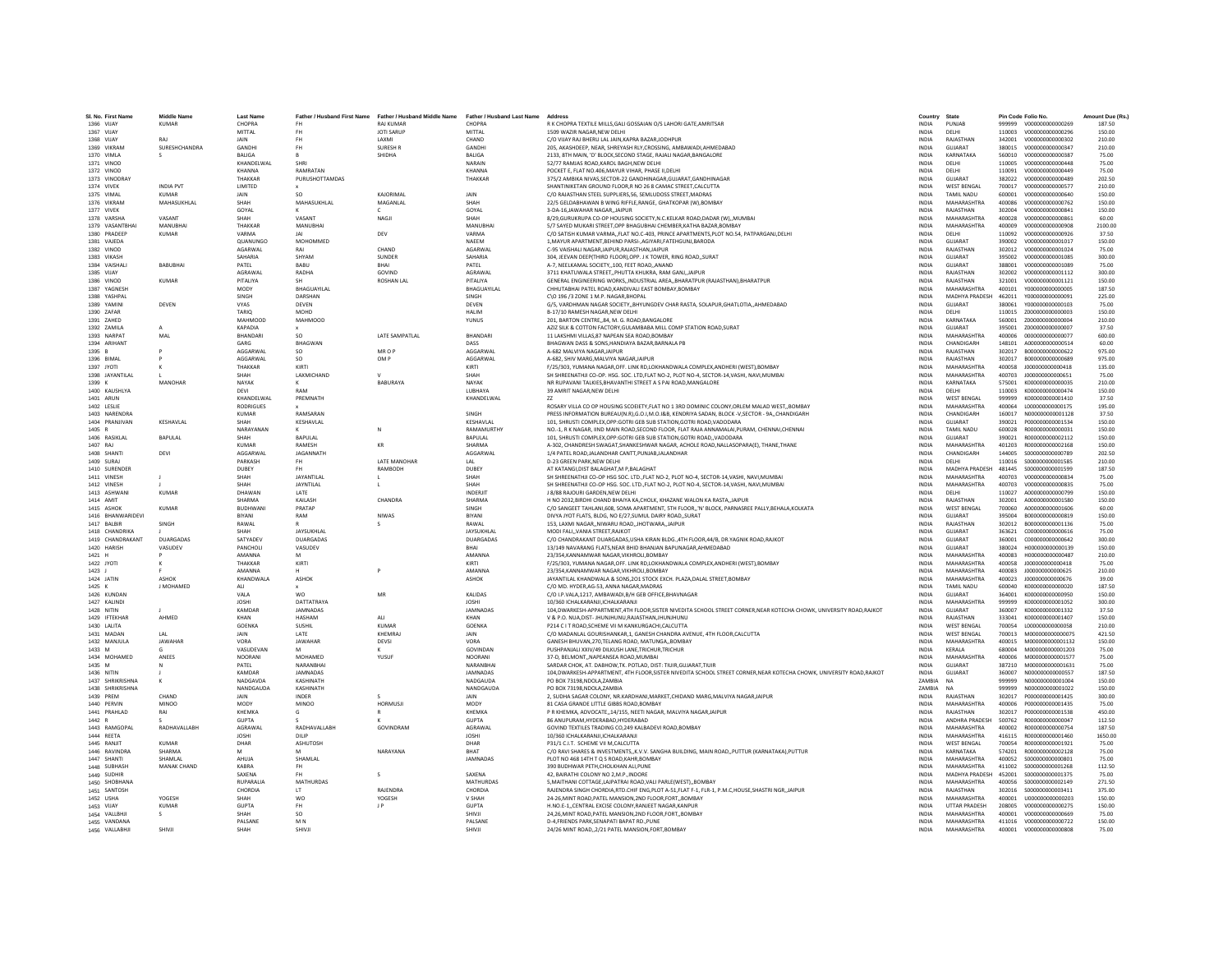| SI, No. First Name              | Middle Name                   | <b>Last Name</b>      |                        | Father / Husband First Name Father / Husband Middle Name | Father / Husband Last Name Address |                                                                                                                               | Country                      | State                         |                  | Pin Code Folio No<br>V000000000000269          | Amount Due (Rs.  |
|---------------------------------|-------------------------------|-----------------------|------------------------|----------------------------------------------------------|------------------------------------|-------------------------------------------------------------------------------------------------------------------------------|------------------------------|-------------------------------|------------------|------------------------------------------------|------------------|
| 1366 VIJAY                      | <b>KUMAR</b>                  | CHOPRA                |                        | <b>RAJ KUMAR</b>                                         | CHOPRA                             | R K CHOPRA TEXTILE MILLS, GALI GOSSAIAN O/S LAHORI GATE, AMRITSAR                                                             | <b>INDIA</b>                 | PUNJAE                        | 999999           |                                                | 187.50           |
| 1367 VIIAY<br><b>1368 VIIAY</b> | RAI                           | MITTAI<br><b>JAIN</b> | <b>FH</b><br><b>FH</b> | <b>IOTI SARUP</b><br><b>LAXMI</b>                        | MITTAL<br>CHAND                    | 1509 WAZIR NAGAR NEW DELHI                                                                                                    | <b>INDIA</b><br><b>INDIA</b> | DELHI<br>RAIASTHAN            | 342001           | 110003    V000000000000296<br>V000000000000302 | 150.00<br>210.00 |
|                                 |                               |                       |                        |                                                          |                                    | C/O VIJAY RAJ BHERU LAL JAIN, KAPRA BAZAR, JODHPUR                                                                            |                              |                               |                  |                                                |                  |
| 1369 VIKRAN<br>1370 VIMLA       | SURESHCHANDRA                 | GANDHI                | <b>FH</b>              | SURESH F                                                 | GANDHI<br><b>BALIGA</b>            | 205. AKASHDEEP, NEAR, SHREYASH RLY, CROSSING, AMBAWADI, AHMEDABAD                                                             | INDIA                        | GUJARAT<br>KARNATAKA          | 380015           | V000000000000347<br>V000000000000387           | 210.00           |
|                                 |                               | <b>BALIGA</b>         |                        | SHIDHA                                                   |                                    | 2133, 8TH MAIN, 'D' BLOCK, SECOND STAGE, RAJALI NAGAR, BANGALORE                                                              | INDIA                        |                               | 560010           |                                                | 75.00            |
| 1371 VINOD<br>1372 VINOD        |                               | KHANDELWAL<br>KHANNA  | SHRI<br>RAMRATAN       |                                                          | NARAIN<br>KHANNA                   | 52/77 RAMIAS ROAD KAROL BAGH NEW DELHI                                                                                        | <b>INDIA</b><br><b>INDIA</b> | DELHI<br>DELHI                | 110005<br>110091 | V000000000000448<br>V0000000000000449          | 75.00<br>75.00   |
|                                 |                               | THAKKAR               |                        |                                                          |                                    | POCKET E, FLAT NO.406, MAYUR VIHAR, PHASE II, DELHI                                                                           |                              |                               |                  |                                                |                  |
| 1373 VINODRAY<br>1374 VIVEK     | INDIA PVT                     | LIMITED               | PURUSHOTTAMDAS         |                                                          | THAKKAF                            | 375/2 AMBIKA NIVAS, SECTOR-22 GANDHINAGAR, GUJARAT, GANDHINAGAR<br>SHANTINIKETAN GROUND FLOOR.R NO 26 8 CAMAC STREET.CALCUTTA | INDIA                        | GUJARAT<br><b>WEST BENGAL</b> | 382022<br>700017 | V000000000000489<br>V000000000000577           | 202.50<br>210.00 |
|                                 |                               |                       | SO.                    | KAJORIMAL                                                |                                    |                                                                                                                               | <b>INDIA</b>                 |                               |                  |                                                |                  |
| 1375 VIMAL                      | <b>KUMAR</b>                  | JAIN                  |                        |                                                          | JAIN                               | C/O RAJASTHAN STEEL SUPPLIERS, 56, SEMLUDOSS STREET, MADRAS                                                                   | <b>INDIA</b>                 | <b>TAMIL NADU</b>             | 600001           | V000000000000640                               | 150.00           |
| 1376 VIKRAM                     | MAHASUKHLAL                   | SHAH                  | MAHASUKHLAL            | MAGANLAL                                                 | SHAH                               | 22/5 GELDABHAWAN B WING RIFFLE, RANGE, GHATKOPAR (W), BOMBAY                                                                  | <b>INDIA</b>                 | MAHARASHTRA                   | 400086           | V000000000000762                               | 150.00           |
| 1377 VIVEK                      |                               | GOYAL                 |                        |                                                          | GOYAL                              | 3-DA-16 JAWAHAR NAGAR, JAIPUR                                                                                                 | INDIA                        | RAJASTHAN                     | 302004           | V000000000000841                               | 150.00           |
| 1378 VARSHA                     | VASANT                        | SHAH                  | VASANT                 | NAGJI                                                    | SHAH                               | 8/29.GURUKRUPA CO-OP HOUSING SOCIETY.N.C.KELKAR ROAD.DADAR (W)MUMBAI                                                          | <b>INDIA</b>                 | MAHARASHTRA                   | 400028           | V000000000000861                               | 60.00            |
| 1379 VASANTRHAI<br>1380 PRADEEP | MANURHAI<br><b>KUMAR</b>      | THAKKAR<br>VARMA      | MANURHAI               | DEV                                                      | MANURHAL<br>VARMA                  | 5/7 SAYED MUKARI STREET.OPP BHAGUBHAI CHEMBER.KATHA BAZAR.BOMBAY                                                              | <b>INDIA</b><br><b>INDIA</b> | MAHARASHTRA<br><b>DELHI</b>   | 400009<br>110092 | V000000000000908                               | 2100.00<br>37.50 |
|                                 |                               |                       |                        |                                                          |                                    | C/O SATISH KUMAR VARMA,,FLAT NO.C-403, PRINCE APARTMENTS,PLOT NO.54, PATPARGANJ,DELHI                                         |                              |                               |                  | V000000000000926                               |                  |
| 1381 VAJEDA                     |                               | QUANUNGO              | MOHOMMED               | CHAND                                                    | NAEEN                              | 1, MAYUR APARTMENT, BEHIND PARSI-, AGIYARI, FATEHGUNJ, BARODA                                                                 | <b>INDIA</b>                 | GUJARAT<br>RAIASTHAN          | 390002           | V000000000001017                               | 150.00           |
| 1382 VINOD                      |                               | <b>AGARWAL</b>        | RAI                    |                                                          | <b>AGARWA</b>                      | C-95 VAISHALI NAGAR JAIPUR RAJASTHAN JAIPUR                                                                                   | <b>INDIA</b>                 |                               | 302012           | V000000000001024                               | 75.00            |
| 1383 VIKASH                     |                               | SAHARIA               | SHYAM                  | SUNDER                                                   | SAHARIA                            | 304, JEEVAN DEEP(THIRD FLOOR), OPP. J K TOWER, RING ROAD, , SURAT                                                             | <b>INDIA</b>                 | GUIARAT                       | 395002           | V000000000001085                               | 300.00           |
| 1384 VAISHAL                    | <b>BABUBHA</b>                | PATEL                 | BABU                   | RHAI                                                     | PATEL                              | A-7, NEELKAMAL SOCIETY,,100, FEET ROAD,,ANAND                                                                                 | <b>INDIA</b>                 | <b>GUJARAT</b>                | 388001           | V000000000001089                               | 75.00            |
| 1385 VIJAY                      |                               | AGRAWAI               | RADHA                  | GOVIND                                                   | AGRAWAL                            | 3711 KHATUWALA STREET,, PHUTTA KHUKRA, RAM GANJ, JAIPUR                                                                       | INDIA                        | RAJASTHAN                     | 302002           | V000000000001112                               | 300.00           |
| 1386 VINOD                      | <b>KUMAR</b>                  | PITALIYA              |                        | <b>ROSHAN LAL</b>                                        | PITALIYA                           | GENERAL ENGINEERING WORKSINDUSTRIAL AREABHARATPUR (RAJASTHAN).BHARATPUR                                                       | <b>INDIA</b>                 | RAJASTHAN                     | 321001           | V000000000001121                               | 150.00           |
| 1387 YAGNESH                    |                               | MODY                  | <b>RHAGUAYILAL</b>     |                                                          | BHAGUAYILAL                        | CHHUTABHAI PATEL ROAD, KANDIVALI EAST BOMBAY, BOMBAY                                                                          | <b>INDIA</b>                 | MAHARASHTRA                   | 400101           | Y000000000000005                               | 187.50           |
| 1388 YASHPA                     |                               | SINGH                 | DARSHAN                |                                                          | SINGH                              | C\O 196 /3 ZONE 1 M.P. NAGAR, BHOPAL                                                                                          | INDIA                        | MADHYA PRADESH                | 462011           | Y000000000000091                               | 225.00           |
| 1389 YAMINI                     | DEVEN                         | VYAS                  | DEVEN                  |                                                          | DEVEN                              | G/5, VARDHMAN NAGAR SOCIETY,, BHYUNGDEV CHAR RASTA, SOLAPUR, GHATLOTIA,, AHMEDABAD                                            | <b>INDIA</b>                 | GUJARAT                       | 380061           | Y000000000000103                               | 75.00            |
| 1390 ZAFAR                      |                               | TARIO                 | MOHD                   |                                                          | <b>HAIIM</b>                       | <b>B-17/10 RAMESH NAGAR NEW DELHI</b>                                                                                         | <b>INDIA</b>                 | <b>DELHI</b>                  | 110015           | 7000000000000003                               | 150.00           |
| 1391 ZAHED                      |                               | MAHMOOD               | MAHMOOD                |                                                          | YUNUS                              | 201. BARTON CENTRE84, M. G. ROAD.BANGALORE                                                                                    | <b>INDIA</b>                 | KARNATAKA                     | 560001           | Z000000000000004                               | 210.00           |
| 1392 ZAMILA                     |                               | <b>KAPADIA</b>        |                        |                                                          |                                    | AZIZ SILK & COTTON FACTORY, GULAMBABA MILL COMP STATION ROAD, SURAT                                                           | <b>INDIA</b>                 | GUJARAT                       | 395001           | 200000000000007                                | 37.50            |
| 1393 NARPAT                     | MAL                           | <b>BHANDAR</b>        | so                     | LATE SAMPATLAL                                           | BHANDARI                           | 11 LAKSHMI VILLAS, 87 NAPEAN SEA ROAD, BOMBAY                                                                                 | INDIA                        | <b>MAHARASHTRA</b>            | 400006           | 000000000000077                                | 600.00           |
| 1394 ARIHANT                    |                               | GARG                  | BHAGWAN                |                                                          | DASS                               | BHAGWAN DASS & SONS.HANDIAYA BAZAR.BARNALA PB                                                                                 | <b>INDIA</b>                 | CHANDIGARH                    | 148101           | 4000000000000514                               | 60.00            |
| 1395 B                          |                               | AGGARWAL              | <b>SO</b>              | MR O P                                                   | AGGARWAI                           | A-682 MALVIYA NAGAR JAIPUR                                                                                                    | <b>INDIA</b>                 | RAJASTHAN                     | 302017           | B000000000000622                               | 975.00           |
| 1396 BIMAL                      |                               | AGGARWAI              | <b>SO</b>              | OM P                                                     | AGGARWAI                           | A-682, SHIV MARG, MALVIYA NAGARJAIPUR                                                                                         | <b>INDIA</b>                 | RAJASTHAN                     | 302017           | B00000000000689                                | 975.00           |
| 1397 JYOTI                      |                               | THAKKAR               | KIRTI                  |                                                          | KIRTI                              | F/25/303, YUMANA NAGAR, OFF. LINK RD, LOKHANDWALA COMPLEX, ANDHERI (WEST), BOMBAY                                             | <b>INDIA</b>                 | MAHARASHTRA                   | 400058           | J000000000000418                               | 135.00           |
| 1398 JAYANTILAL                 |                               | SHAH                  | LAXMICHAND             | $\mathsf{v}$                                             | SHAH                               | SH SHREENATHJI CO-OP. HSG. SOC. LTD, FLAT NO-2, PLOT NO-4, SECTOR-14, VASHI, NAVI, MUMBAI                                     | <b>INDIA</b>                 | MAHARASHTRA                   | 400703           | J000000000000651                               | 75.00            |
| 1399 K                          | <b>MANOHAR</b>                | NAYAK                 |                        | BABURAYA                                                 | NAYAK                              | NR RUPAVANI TALKIES, BHAVANTHI STREET A S PAI ROAD, MANGALORE                                                                 | INDIA                        | KARNATAKA                     | 575001           | K000000000000035                               | 210.00           |
| 1400 KAUSHLYA                   |                               | DEVI                  | RAM                    |                                                          | LUBHAYA                            | 39 AMRIT NAGAR.NEW DELHI                                                                                                      | <b>INDIA</b>                 | DELHI                         | 110003           | K000000000000474                               | 150.00           |
| 1401 ARUN                       |                               | KHANDELWAI            | PREMNATH               |                                                          | KHANDELWAL                         |                                                                                                                               | <b>INDIA</b>                 | <b>WEST BENGAL</b>            | 999999           | K000000000001410                               | 37.50            |
| 1402 I FSLIE                    |                               | <b>RODRIGUES</b>      |                        |                                                          |                                    | ROSARY VILLA CO OP HOUSING SCOEIETY. FLAT NO 1 3RD DOMINIC COLONY. ORLEM MALAD WEST., BOMBAY                                  | <b>INDIA</b>                 | MAHARASHTRA                   | 400064           | L00000000000175                                | 195.00           |
| 1403 NARENDR                    |                               | KUMAR                 | RAMSARAN               |                                                          | SINGH                              | PRESS INFORMATION BUREAU(N.R),G.O.I,M.O.I&B, KENDRIYA SADAN, BLOCK -V, SECTOR - 9A,, CHANDIGARH                               | INDIA                        | CHANDIGARH                    | 160017           | N000000000001128                               | 37.50            |
| 1404 PRANJIVAN                  | KESHAVLAL                     | SHAH                  | KESHAVLAL              |                                                          | KESHAVLAL                          | 101. SHRUSTI COMPLEX.OPP:GOTRI GEB SUB STATION.GOTRI ROAD.VADODARA                                                            | <b>INDIA</b>                 | GUJARAT                       | 390021           | P000000000001534                               | 150.00           |
| 1405 R                          |                               | NARAYANAN             |                        |                                                          | RAMAMURTHY                         | NO.-1. R K NAGAR. IIND MAIN ROAD.SECOND FLOOR. FLAT RAJA ANNAMALAI.PURAM. CHENNAI.CHENNAI                                     | <b>INDIA</b>                 | <b>TAMIL NADU</b>             | 600028           | R000000000000031                               | 150.00           |
| 1406 RASIKLAL                   | BAPULAL                       | SHAH                  | <b>RAPULAL</b>         |                                                          | <b>RAPULAL</b>                     | 101, SHRUSTI COMPLEX, OPP: GOTRI GEB SUB STATION, GOTRI ROAD, , VADODARA                                                      | <b>INDIA</b>                 | <b>GUIARAT</b>                | 390021           | R00000000002112                                | 150.00           |
| 1407 RAJ                        |                               | <b>KUMAR</b>          | RAMESH                 | KR                                                       | <b>SHARMA</b>                      | A-302, CHANDRESH SWAGAT, SHANKESHWAR NAGAR, ACHOLE ROAD, NALLASOPARA(E), THANE, THANE                                         | <b>INDIA</b>                 | <b>MAHARASHTRA</b>            | 401203           | R00000000002168                                | 150.00           |
| 1408 SHANT                      | DEVI                          | AGGARWAL              | JAGANNATH              |                                                          | AGGARWAL                           | 1/4 PATEL ROAD, JALANDHAR CANTT, PUNJAB, JALANDHAR                                                                            | INDIA                        | CHANDIGARH                    | 144005           | \$000000000000789                              | 202.50           |
| 1409 SURAJ                      |                               | PARKASH               | FH.                    | LATE MANOHAR                                             | LAL                                | D-23 GREEN PARK.NEW DELHI                                                                                                     | <b>INDIA</b>                 | DELHI                         | 110016           | S000000000001585                               | 210.00           |
| 1410 SURENDER                   |                               | DUBEY                 | FH                     | RAMBODH                                                  | DUBEY                              | AT KATANGI, DIST BALAGHAT, M P. BALAGHAT                                                                                      | <b>INDIA</b>                 | MADHYA PRADESH                | 481445           | S000000000001599                               | 187.50           |
| 1411 VINESH                     |                               | SHAH                  | JAYANTILAL             |                                                          | SHAH                               | SH SHREENATHJI CO-OP HSG SOC. LTD., FLAT NO-2, PLOT NO-4, SECTOR-14, VASHI, NAVI, MUMBAI                                      | INDIA                        | MAHARASHTRA                   | 400703           | V000000000000834                               | 75.00            |
| 1412 VINESH                     |                               | SHAH                  | JAYNTILAL              |                                                          | SHAH                               | SH SHREENATHJI CO-OP HSG, SOC, LTD., FLAT NO-2, PLOT NO-4, SECTOR-14/VASHI, NAVI, MUMBAI                                      | <b>INDIA</b>                 | MAHARASHTRA                   | 400703           | V000000000000835                               | 75.00            |
| 1413 ASHWANI                    | KUMAR                         | DHAWAN                | <b>IATF</b>            |                                                          | <b>INDERIA</b>                     | <b>I 8/88 RAIOURI GARDEN NEW DELHI</b>                                                                                        | <b>INDIA</b>                 | <b>DELHI</b>                  | 110027           | 4000000000000799                               | 150.00           |
| 1414 AMIT                       |                               | SHARMA                | <b>KAILASH</b>         | CHANDRA                                                  | <b>SHARMA</b>                      | H NO 2032 BIRDHI CHAND BHAIYA KA CHOLK, KHAZANE WALON KA RASTA. JAIPUR                                                        | <b>INDIA</b>                 | RAIASTHAN                     | 302001           | A000000000001580                               | 150.00           |
| 1415 ASHON                      | <b>KUMAR</b>                  | <b>BUDHWAN</b>        | PRATAP                 |                                                          | SINGH                              | C/O SANGEET TAHLANI.608. SOMA APARTMENT, STH FLOOR., 'N' BLOCK, PARNASREE PALLY.BEHALA.KOLKATA                                | <b>INDIA</b>                 | <b>WEST BENGAL</b>            | 700060           | A000000000001606                               | 60.00            |
| 1416 BHANWARIDEVI               |                               | BIYANI                | RAM                    | <b>NIWAS</b>                                             | BIYANI                             | DIVYA JYOT FLATS, BLDG, NO E/27, SUMUL DAIRY ROAD,, SURAT                                                                     | INDIA                        | GUJARAT                       | 395004           | B000000000000819                               | 150.00           |
| <b>1417 RAIRIR</b>              | <b>SINGH</b>                  | RAWAL                 |                        | $\sim$                                                   | RAWAI                              | 153. LAXMI NAGARNIWARU ROAD.JHOTWARA.JAIPUR                                                                                   | <b>INDIA</b>                 | RAIASTHAN                     | 302012           | B000000000001136                               | 75.00            |
| 1418 CHANDRIKA                  |                               | <b>SHAH</b>           | JAYSUKHLAL             |                                                          | <b>JAYSUKHLAI</b>                  | MODI FAIL VANIA STREET RAIKOT                                                                                                 | <b>INDIA</b>                 | GUIARAT                       | 363621           | C000000000000616                               | 75.00            |
| 1419 CHANDRAKANT                | <b>DUARGADAS</b>              | SATYADEV              | <b>DUARGADAS</b>       |                                                          | DUARGADAS                          | C/O CHANDRAKANT DUARGADAS, USHA KIRAN BLDG., 4TH FLOOR, 44/B, DR.YAGNIK ROAD, RAJKOT                                          | <b>INDIA</b>                 | GUJARAT                       | 360001           | C000000000000642                               | 300.00           |
| 1420 HARISH                     | VASUDEV                       | PANCHOL               | VASUDEV                |                                                          | <b>RHAI</b>                        | 13/149 NAVARANG FLATS.NEAR BHID BHANJAN BAPUNAGAR.AHMEDABAD                                                                   | <b>INDIA</b>                 | GUIARAT                       | 380024           | H000000000000139                               | 150.00           |
| 1421 H                          |                               | AMANNA                | M                      |                                                          | <b>AMANNA</b>                      | 23/354, KANNAMWAR NAGAR, VIKHROLI, BOMBAY                                                                                     | <b>INDIA</b>                 | <b>MAHARASHTRA</b>            | 400083           | H00000000000487                                | 210.00           |
| 1422 JYOTI                      |                               | THAKKAR               | KIRTI                  |                                                          | KIRTI                              | F/25/303, YUMANA NAGAR, OFF. LINK RD, LOKHANDWALA COMPLEX, ANDHERI (WEST), BOMBAY                                             | <b>INDIA</b>                 | MAHARASHTRA                   | 400058           | J00000000000418                                | 75.00            |
| 1423                            |                               | <b>AMANNA</b>         |                        |                                                          | <b>AMANNA</b>                      | 23/354.KANNAMWAR NAGAR.VIKHROLI.BOMBAY                                                                                        | <b>INDIA</b>                 | MAHARASHTRA                   | 400083           | J000000000000625                               | 210.00           |
| 1424 JATIN                      | <b>ASHOK</b>                  | KHANDWALA             | ASHOK                  |                                                          | <b>ASHOK</b>                       | JAYANTILAL KHANDWALA & SONS, 201 STOCK EXCH. PLAZA, DALAL STREET, BOMBAY                                                      | <b>INDIA</b>                 | MAHARASHTRA                   | 400023           | J00000000000676                                | 39.00            |
| 1425 K                          | <b>I MOHAMED</b>              | ALL                   |                        |                                                          |                                    | C/O MD. HYDER.AG-53. ANNA NAGAR.MADRAS                                                                                        | <b>INDIA</b>                 | TAMII NADLI                   | 600040           | K000000000000020                               | 187.50           |
| 1426 KUNDAI                     |                               | VALA                  | <b>WO</b>              | MR                                                       | KALIDAS                            | C/O I.P.VALA,1217, AMBAWADI,B/H GEB OFFICE,BHAVNAGAR                                                                          | INDIA                        | GUJARAT                       | 364001           | K000000000000950                               | 150.00           |
| 1427 KALIND                     |                               | <b>JOSHI</b>          | DATTATRAYA             |                                                          | <b>JOSHI</b>                       | 10/360 ICHALKARANJI.ICHALKARANJI                                                                                              | <b>INDIA</b>                 | <b>MAHARASHTRA</b>            | 999999           | K000000000001052                               | 300.00           |
| 1428 NITIN                      |                               | KAMDAR                | <b>IAMNADAS</b>        |                                                          | <b>IAMNADAS</b>                    | 104.DWARKESH-APPARTMENT.4TH FLOOR.SISTER NIVEDITA SCHOOL STREET CORNER.NEAR KOTECHA CHOWK, UNIVERSITY ROAD.RAJKOT             | <b>INDIA</b>                 | <b>GUIARAT</b>                | 360007           | K000000000001332                               | 37.50            |
| 1429 IFTEKHAF                   | AHMED                         | KHAN                  | <b>HASHAM</b>          | ALL                                                      | KHAN                               | V & P.O. NUA, DIST- JHUNJHUNU, RAJASTHAN, JHUNJHUNU                                                                           | <b>INDIA</b>                 | RAIASTHAN                     | 333041           | K000000000001407                               | 150.00           |
| 1430 LALITA                     |                               | <b>GOENKA</b>         | SUSHIL                 | KUMAR                                                    | GOENKA                             | P214 C I T ROAD, SCHEME VII M KANKURGACHI, CALCUTTA                                                                           | <b>INDIA</b>                 | <b>WEST BENGAL</b>            | 700054           | L00000000000058                                | 210.00           |
| 1431 MADAN                      | LAL                           | JAIN                  | LATE                   | KHEMRAJ                                                  | JAIN                               | C/O MADANLAL GOURISHANKAR,1, GANESH CHANDRA AVENUE, 4TH FLOOR, CALCUTTA                                                       | INDIA                        | <b>WEST BENGAL</b>            | 700013           | M000000000000075                               | 421.50           |
| 1432 MANJULA                    | <b>JAWAHAR</b>                | VORA                  | <b>JAWAHAF</b>         | DEVSI                                                    | <b>VORA</b>                        | GANESH BHUVAN.270.TELANG ROAD, MATUNGABOMBAY                                                                                  | <b>INDIA</b>                 | MAHARASHTRA                   | 400015           | M000000000001132                               | 150.00           |
| 1433 M                          |                               | VASUDEVAN             | M                      |                                                          | GOVINDAN                           | PUSHPANJALI XXIV/49 DILKUSH LANE.TRICHUR.TRICHUR                                                                              | <b>INDIA</b>                 | <b>KFRAIA</b>                 | 680004           | M000000000001203                               | 75.00            |
| 1434 MOHAMED                    | ANEES                         | NOORANI               | MOHAMED                | YUSUF                                                    | NOORANI                            | 37-D, BELMONT, NAPEANSEA ROAD, MUMBAI                                                                                         | INDIA                        | <b>MAHARASHTRA</b>            | 400006           | M000000000001577                               | 75.00            |
| 1435 M                          |                               | PATEL                 | NARANBHAI              |                                                          | NARANBHAI                          | SARDAR CHOK, AT, DABHOW, TK, POTLAD, DIST: TIUIR, GUJARAT, TIUIR                                                              | <b>INDIA</b>                 | <b>GUJARAT</b>                | 387210           | M00000000001631                                | 75.00            |
| 1436 NITIN                      |                               | KAMDAR                | <b>IAMNADAS</b>        |                                                          | <b>IAMNADAS</b>                    | 104, DWARKESH-APPARTMENT, 4TH FLOOR, SISTER NIVEDITA SCHOOL STREET CORNER, NEAR KOTECHA CHOWK, UNIVERSITY ROAD, RAJKOT        | <b>INDIA</b>                 | GUIARAT                       | 360007           | N000000000000557                               | 187.50           |
| 1437 SHRIKRISHNA                |                               | NADGAVD/              | KASHINATH              |                                                          | NADGAUDA                           | PO BOX 73198.NDOLA.ZAMBIA                                                                                                     | ZAMBIA                       | <b>NA</b>                     | 999999           | N000000000001004                               | 150.00           |
| 1438 SHRIKRISHNA                |                               | NANDGAUD/             | KASHINATH              |                                                          | NANDGAUDA                          | PO BOX 73198.NDOLA.ZAMBIA                                                                                                     | ZAMBIA                       |                               | 999999           | N000000000001022                               | 150.00           |
| 1439 PREM                       | CHAND                         | JAIN                  | INDER                  |                                                          | JAIN                               | 2, SUDHA SAGAR COLONY, NR.KARDHANI, MARKET, CHIDAND MARG, MALVIYA NAGAR, JAIPUR                                               | INDIA                        | RAJASTHAN                     | 302017           | P000000000001425                               | 300.00           |
| 1440 PERVIN                     | MINOO                         | MODY                  | <b>MINOO</b>           | <b>HORMUSIL</b>                                          | MODY                               | 81 CASA GRANDE LITTLE GIBBS ROAD.BOMBAY                                                                                       | <b>INDIA</b>                 | MAHARASHTRA                   | 400006           | 2000000000001435                               | 75.00            |
| 1441 PRAHLAD                    | RAI                           | KHFMKA                | G                      |                                                          | KHFMKA                             | P R KHEMKA, ADVOCATE, 14/155, NEETI NAGAR, MALVIYA NAGAR, JAIPUR                                                              | <b>INDIA</b>                 | RAJASTHAN                     | 302017           | P000000000001538                               | 450.00           |
| 1442 R                          |                               | <b>GUPTA</b>          |                        |                                                          | <b>GUPTA</b>                       | 86 ANUPURAM.HYDERABAD.HYDERABAD                                                                                               | <b>INDIA</b>                 | <b>ANDHRA PRADESH</b>         | 500762           | R000000000000047                               | 112.50           |
| 1443 RAMGOPAI                   | RADHAVALLABH                  | AGRAWAL               | RADHAVALLABH           | GOVINDRAM                                                | AGRAWAL                            | GOVIND TEXTILES TRADING CO.249 KALBADEVI ROAD.BOMBAY                                                                          | <b>INDIA</b>                 | MAHARASHTRA                   | 400002           | B000000000000754                               | 187.50           |
| 1444 REFTA                      |                               | <b>IOSHI</b>          | DILIP                  |                                                          | <b>JOSHI</b>                       | 10/360 ICHALKARANJI.ICHALKARANJI                                                                                              | <b>INDIA</b>                 | MAHARASHTRA                   | 416115           | R000000000001460                               | 1650.00          |
| 1445 RANJIT                     | KUMAR                         | DHAR                  | ASHUTOSH               |                                                          | DHAR                               | P31/1 C.I.T. SCHEME VII M, CALCUTTA                                                                                           | <b>INDIA</b>                 | <b>WEST BENGAL</b>            | 700054           | R000000000001921                               | 75.00            |
| 1446 RAVINDRA                   | SHARMA                        |                       | M                      | NARAYANA                                                 | <b>RHAT</b>                        | C/O RAVI SHARES & INVESTMENTS, K.V.V. SANGHA BUILDING, MAIN ROAD, PUTTUR (KARNATAKA), PUTTUR                                  | <b>INDIA</b>                 | KARNATAKA                     | 574201           | R00000000002128                                | 75.00            |
|                                 |                               |                       |                        |                                                          |                                    |                                                                                                                               |                              |                               |                  |                                                |                  |
| 1447 SHANTI<br>1448 SUBHASH     | SHAMLAL<br><b>MANAK CHAND</b> | AHUJA<br>KARRA        | SHAMLAL<br><b>FH</b>   |                                                          | <b>JAMNADAS</b>                    | PLOT NO 468 14TH T Q S ROAD KAHR BOMBAY<br>390 BUDHWAR PETH CHOLKHAN ALL PUNE                                                 | <b>INDIA</b><br><b>INDIA</b> | MAHARASHTRA<br>MAHARASHTRA    | 400052<br>411002 | \$000000000000801<br>\$000000000001268         | 75.00<br>112.50  |
|                                 |                               | SAXENA                | FH                     | -S                                                       | SAXENA                             | 42, BAIRATHI COLONY NO 2, M.P., INDORE                                                                                        | <b>INDIA</b>                 | MADHYA PRADESH                | 452001           |                                                | 75.00            |
| 1449 SUDHIR                     |                               |                       |                        |                                                          |                                    |                                                                                                                               |                              |                               |                  | \$000000000001375                              |                  |
| 1450 SHOBHANA                   |                               | <b>RUPARALIA</b>      | <b>MATHURDAS</b>       | RAIFNDRA                                                 | <b>MATHURDAS</b>                   | 5, MAITHANI COTTAGE, LAJPATRAI ROAD, VALI PARLE (WEST), , BOMBAY                                                              | <b>INDIA</b>                 | MAHARASHTRA                   | 400056           | S00000000002149                                | 271.50           |
| 1451 SANTOSH                    |                               | CHORDIA               | <b>IT</b>              |                                                          | CHORDIA                            | RAJENDRA SINGH CHORDIA.RTD.CHIF ENG.PLOT A-51.FLAT F-1, FLR-1, P.M.C.HOUSE.SHASTRI NGR.JAIPUR                                 | <b>INDIA</b>                 | RAJASTHAN                     | 302016           | S000000000003411                               | 375.00           |
| 1452 USHA                       | YOGESH                        | SHAH                  | <b>WO</b>              | YOGESH                                                   | <b>V SHAH</b>                      | 24-26. MINT ROAD. PATEL MANSION. 2ND FLOOR. FORT BOMBAY                                                                       | <b>INDIA</b>                 | MAHARASHTRA                   | 400001           | 11000000000000203                              | 150.00           |
| 1453 VIJAY                      | <b>KUMAR</b>                  | <b>GUPTA</b>          | <b>FH</b>              | J P                                                      | <b>GUPTA</b>                       | H.NO.E-1,, CENTRAL EXCISE COLONY, RANJEET NAGAR, KANPUR                                                                       | <b>INDIA</b>                 | <b>UTTAR PRADESH</b>          | 208005           | V000000000000275                               | 150.00           |
| 1454 VALLBHJI                   |                               | SHAH                  | SO                     |                                                          | SHIVJI                             | 24,26,MINT ROAD, PATEL MANSION, 2ND FLOOR, FORT, BOMBAY                                                                       | INDIA                        | MAHARASHTRA                   | 400001           | V000000000000669                               | 75.00            |
| 1455 VANDANA                    |                               | PALSANE               | M <sub>N</sub>         |                                                          | PALSANE                            | D-4, FRIENDS PARK, SENAPATI BAPAT RD., PUNE                                                                                   | <b>INDIA</b>                 | MAHARASHTRA                   | 411016           | V000000000000722                               | 150.00           |
| 1456 VALLABHJI                  | SHIVII                        | SHAH                  | SHIVII                 |                                                          | SHIVII                             | 24/26 MINT ROAD, 2/21 PATEL MANSION, FORT, BOMBAY                                                                             | <b>INDIA</b>                 | MAHARASHTRA                   | 400001           | V000000000000808                               | 75.00            |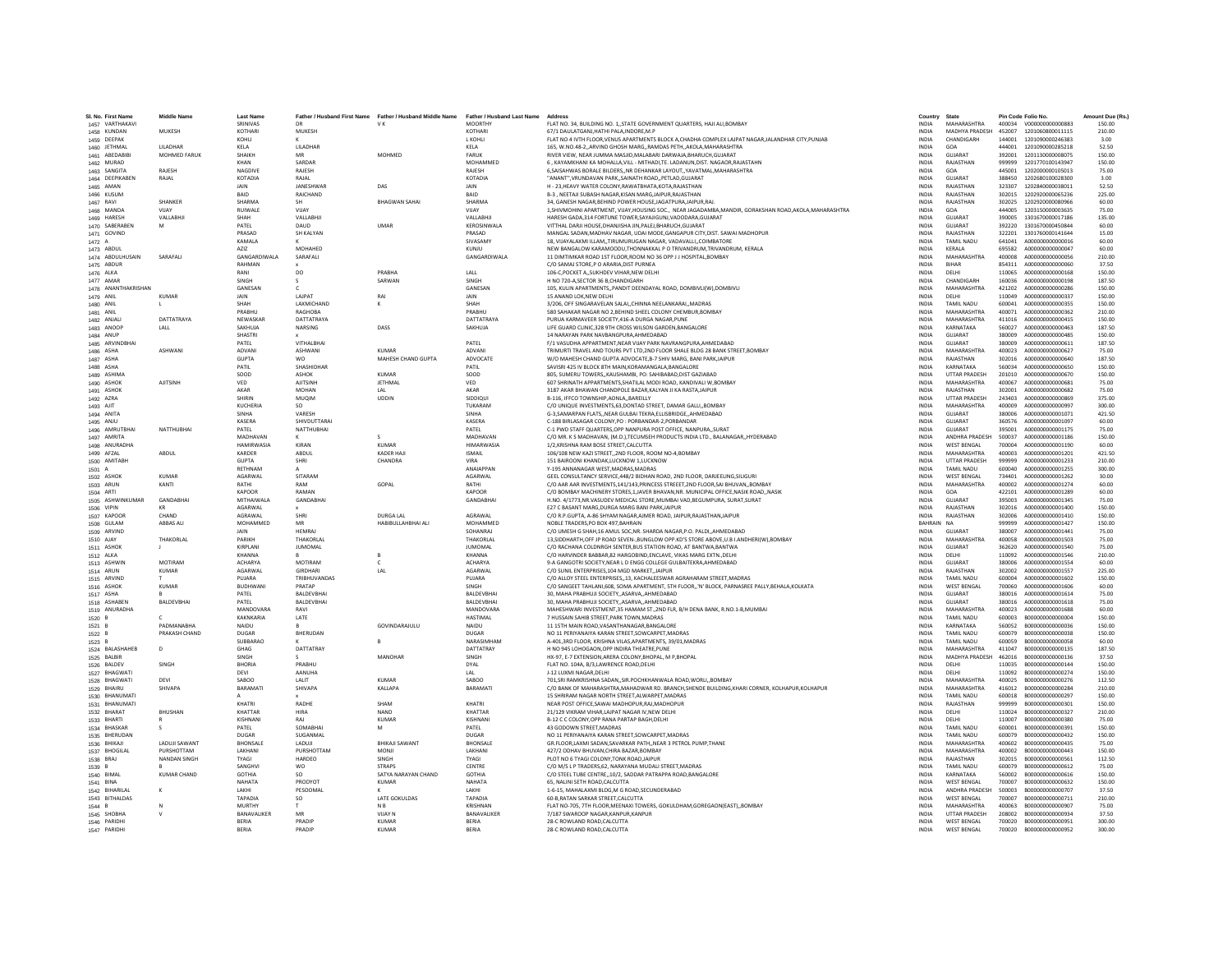| SI, No. First Name               | <b>Middle Name</b>   | <b>Last Name</b>          | Father / Husband First Name | Father /<br><b>Husband Middle Name</b> | Father / Husband Last Name       | Address                                                                                                                                                                   | Country                      | State                                |                  | Pin Code Folio No                           | Amount Due (Rs.  |
|----------------------------------|----------------------|---------------------------|-----------------------------|----------------------------------------|----------------------------------|---------------------------------------------------------------------------------------------------------------------------------------------------------------------------|------------------------------|--------------------------------------|------------------|---------------------------------------------|------------------|
| 1457 VARTHAKAVI                  | MUKESH               | SRINIVAS<br>KOTHARI       | DR<br>MUKESH                | VK                                     | <b>MOORTHY</b><br><b>KOTHARI</b> | FLAT NO. 34, BUILDING NO. 1,,STATE GOVERNMENT QUARTERS, HAJI ALI,BOMBAY<br>67/1 DAULATGANJ, HATHI PALA, INDORE, M.P                                                       | <b>INDIA</b><br><b>INDIA</b> | MAHARASHTRA<br>MADHYA PRADESH        | 452007           | 400034 V000000000000883<br>1201060800011115 | 150.00<br>210.00 |
| 1458 KUNDAN                      |                      | KOHLI                     |                             |                                        | <b>L KOHLI</b>                   |                                                                                                                                                                           | <b>INDIA</b>                 | CHANDIGARH                           | 144001           | 1201090000246383                            | 3.00             |
| 1459 DEEPAK<br>1460 JETHMAL      | <b>I II ADHAR</b>    | <b>KFIA</b>               | LILADHAR                    |                                        | KELA                             | FLAT NO 4 IVTH FLOOR, VENUS APARTMENTS BLOCK A, CHADHA COMPLEX LAJPAT NAGAR, JALANDHAR CITY, PUNJAB<br>165, W.NO.48-2, ARVIND GHOSH MARG, RAMDAS PETH, AKOLA, MAHARASHTRA | <b>INDIA</b>                 | GOA                                  | 444001           | 1201090000285218                            | 52.50            |
| 1461 ABEDABIB                    | <b>MOHMED FARUK</b>  | SHAIKH                    | MR                          | MOHMED                                 | <b>FARUK</b>                     | RIVER VIEW. NEAR JUMMA MASJID.MALABARI DARWAJA.BHARUCH.GUJARAT                                                                                                            | <b>INDIA</b>                 | GUJARAT                              | 392001           | 1201130000008075                            | 150.00           |
| 1462 MURAD                       |                      | KHAN                      | SARDAR                      |                                        | <b>MOHAMMED</b>                  | 6, KAYAMKHANI KA MOHALLA, VILL - MITHADI, TE. LADANUN, DIST. NAGAOR, RAJASTAHN                                                                                            | <b>INDIA</b>                 | RAJASTHAN                            | 999999           | 1201770100143947                            | 150.00           |
| 1463 SANGITA                     | RAJESH               | NAGDIVI                   | RAJESH                      |                                        | RAJESH                           | 6, SAISAHWAS BORALE BILDERS, NR DEHANKAR LAYOUT, YAVATMAL, MAHARASHTRA                                                                                                    | INDIA                        | GOA                                  | 445001           | 1202000000105013                            | 75.00            |
| 1464 DEEPIKABEN                  | RAJAL                | KOTADIA                   | RAJAL                       |                                        | <b>KOTADIA</b>                   | "ANANT".VRUNDAVAN PARKSAINATH ROADPETLAD.GUJARAT                                                                                                                          | <b>INDIA</b>                 | GUJARAT                              | 388450           | 1202680100028300                            | 3.00             |
| 1465 AMAN                        |                      | <b>JAIN</b>               | <b>IANESHWAR</b>            | DAS                                    | <b>IAIN</b>                      | H - 23 HEAVY WATER COLONY RAWATRHATA KOTA RAJASTHAN                                                                                                                       | <b>INDIA</b>                 | RAIASTHAN                            | 323307           | 1202840000038011                            | 52.50            |
| 1466 KUSUM                       |                      | BAID                      | RAICHAND                    |                                        | BAID                             | B-3 , NEETAJI SUBASH NAGAR,KISAN MARG,JAIPUR,RAJASTHAN                                                                                                                    | INDIA                        | RAJASTHAN                            | 302015           | 1202920000065236                            | 225.00           |
| 1467 RAVI                        | SHANKER              | <b>SHARMA</b>             |                             | <b>BHAGWAN SAHA</b>                    | <b>SHARMA</b>                    | 34. GANESH NAGAR.BEHIND POWER HOUSE JAGATPURA JAIPUR.RAJ                                                                                                                  | <b>INDIA</b>                 | RAJASTHAN                            | 302025           | 1202920000080966                            | 60.00            |
| 1468 MANDA                       | VIIAY                | RUIWALE                   | VUAY                        |                                        | VIIAY                            | 1.SHIVMOHINI APARTMENT, VIJAY.HOUSING SOC., NEAR JAGADAMBA.MANDIR, GORAKSHAN ROAD.AKOLA.MAHARASHTRA                                                                       | <b>INDIA</b>                 | GOA                                  | 444005           | 1203150000003635                            | 75.00            |
| 1469 HARESH                      | VALLABHJ             | SHAH                      | VALLARHI                    |                                        | <b>VALLARHII</b>                 | HARESH GADA.314 FORTUNE TOWER.SAYAJIGUNJ.VADODARA.GUJARAT                                                                                                                 | <b>INDIA</b>                 | GUIARAT                              | 390005           | 1301670000017186                            | 135.00           |
| 1470 SABERABEN                   | M                    | PATEL                     | DAUD                        | <b>IIMAR</b>                           | KEROSINWALA                      | VITTHAL DARJI HOUSE, DHANJISHA JIN, PALEJ, BHARUCH, GUJARAT                                                                                                               | <b>INDIA</b>                 | <b>GUJARAT</b>                       | 392220           | 1301670000450844                            | 60.00            |
| 1471 GOVIND                      |                      | PRASAD                    | SH KALYAN                   |                                        | PRASAD                           | MANGAL SADAN, MADHAV NAGAR, UDAI MODE, GANGAPUR CITY, DIST. SAWAI MADHOPUR                                                                                                | <b>INDIA</b>                 | RAJASTHAN                            | 322201           | 1301760000141644                            | 15.00            |
| 1472 A                           |                      | <b>KAMALA</b>             |                             |                                        | SIVASAMY                         | 18. VIJAYALAXMI ILLAMTIRUMURUGAN NAGAR, VADAVALLICOIMBATORE                                                                                                               | <b>INDIA</b>                 | TAMIL NADU                           | 641041           | A000000000000016                            | 60.00            |
| 1473 ABDUL                       |                      | AZIZ                      | MOHAHED                     |                                        | KUNIU                            | NEW BANGALOW KARAMOODU, THONNAKKAL P O TRIVANDRUM, TRIVANDRUM, KERALA                                                                                                     | <b>INDIA</b>                 | <b>KFRAIA</b>                        | 695582           | A000000000000047                            | 60.00            |
| 1474 ABDULHUSAIN                 | SARAFALI             | GANGARDIWALA              | SARAFALI                    |                                        | GANGARDIWALA                     | 11 DIMTIMKAR ROAD 1ST FLOOR, ROOM NO 36 OPP J J HOSPITAL, BOMBAY                                                                                                          | <b>INDIA</b>                 | MAHARASHTRA                          | 400008           | A000000000000056                            | 210.00           |
| 1475 ABDUR                       |                      | RAHMAN                    |                             |                                        |                                  | C/O SAMAJ STORE,P O ARARIA, DIST PURNEA                                                                                                                                   | INDIA                        | BIHAR                                | 854311           | A000000000000060                            | 37.50            |
| 1476 ALKA                        |                      | RANI                      | DO.                         | PRABHA                                 | LALL                             | 106-C.POCKET A., SUKHDEV VIHAR, NEW DELHI                                                                                                                                 | <b>INDIA</b>                 | DELHI                                | 110065           | A000000000000168                            | 150.00           |
| 1477 AMAR                        |                      | SINGH                     | s.                          | SARWAN                                 | <b>SINGH</b>                     | H NO 720-A SECTOR 36 B CHANDIGARH                                                                                                                                         | <b>INDIA</b>                 | CHANDIGARH                           | 160036           | A000000000000198                            | 187.50           |
| 1478 ANANTHAKRISHAN              |                      | GANESAN                   |                             |                                        | GANESAN                          | 105, KULIN APARTMENTS,, PANDIT DEENDAYAL ROAD, DOMBIVLI(W), DOMBIVLI                                                                                                      | INDIA                        | MAHARASHTRA                          | 421202           | A000000000000286                            | 150.00           |
| 1479 ANIL                        | <b>KUMAR</b>         | JAIN                      | LAJPAT                      |                                        | JAIN                             | 15 ANAND LOK.NEW DELH                                                                                                                                                     | <b>INDIA</b>                 | DELHI                                | 110049           | A000000000000337                            | 150.00           |
| 1480 ANIL                        |                      | SHAH                      | LAXMICHAND                  |                                        | SHAH                             | 3/206. OFF SINGARAVELAN SALAICHINNA NEELANKARAIMADRAS                                                                                                                     | <b>INDIA</b>                 | <b>TAMIL NADU</b>                    | 600041           | A000000000000355                            | 150.00           |
| 1481 ANIL                        |                      | PRARHU                    | RAGHORA                     |                                        | PRARHU                           | 580 SAHAKAR NAGAR NO 2.BEHIND SHEEL COLONY CHEMBUR.BOMBAY                                                                                                                 | <b>INDIA</b>                 | MAHARASHTRA                          | 400071           | A000000000000362                            | 210.00           |
| 1482 ANJAL                       | DATTATRAYA           | NEWASKAI                  | DATTATRAYA                  |                                        | DATTATRAYA                       | PURUA KARMAVEER SOCIETY, 416-A DURGA NAGAR, PUN                                                                                                                           | INDIA                        | <b>MAHARASHTRA</b>                   | 411016           | A000000000000415                            | 150.00           |
| 1483 ANOOP                       | LALL                 | SAKHUJA                   | NARSING                     | DASS                                   | SAKHUJA                          | LIFE GUARD CLINIC,328 9TH CROSS WILSON GARDEN, BANGALORE                                                                                                                  | <b>INDIA</b>                 | KARNATAKA                            | 560027           | A000000000000463                            | 187.50           |
| 1484 ANUP                        |                      | SHASTRI                   |                             |                                        |                                  | 14 NARAYAN PARK NAVRANGPURA AHMEDARAD                                                                                                                                     | <b>INDIA</b>                 | <b>GUIARAT</b>                       | 380009           | A000000000000485                            | 150.00           |
| 1485 ARVINDBHAI                  | ASHWANI              | PATEL                     | <b>VITHAI RHAI</b>          | KIMAAR                                 | PATFI                            | F/1 VASUDHA APPARTMENT, NEAR VIJAY PARK NAVRANGPURA, AHMEDABAD                                                                                                            | <b>INDIA</b>                 | GUIARAT<br>MAHARASHTRA               | 900088           | A000000000000611                            | 187.50           |
| 1486 ASHA                        |                      | ADVANI                    | <b>ASHWANI</b>              |                                        | <b>ADVANI</b>                    | TRIMURTI TRAVEL AND TOURS PVT LTD, 2ND FLOOR SHALE BLDG 28 BANK STREET, BOMBAY                                                                                            | <b>INDIA</b>                 |                                      | 400023           | A000000000000627                            | 75.00<br>187.50  |
| 1487 ASHA                        |                      | <b>GUPTA</b><br>PATIL     | <b>WO</b><br>SHASHIDHAP     | MAHESH CHAND GUPTA                     | ADVOCATE                         | W/O MAHESH CHAND GUPTA ADVOCATE, B-7 SHIV MARG, BANI PARK, JAIPUR<br>SAVISRI 425 IV BLOCK 8TH MAIN.KORAMANGALA.BANGALORE                                                  | INDIA                        | RAJASTHAN<br>KARNATAKA               | 302016           | A000000000000640                            |                  |
| 1488 ASHA                        |                      | SOOD                      | ASHOK                       | KUMAR                                  | PATIL<br>SOOD                    | 805, SUMERU TOWERS., KAUSHAMBI, PO: SAHIBABAD, DIST GAZIABAD                                                                                                              | <b>INDIA</b><br><b>INDIA</b> | <b>UTTAR PRADESH</b>                 | 560034<br>201010 | A000000000000650<br>A000000000000670        | 150.00<br>150.00 |
| 1489 ASHIMA<br>1490 ASHOK        | <b>AJITSINH</b>      | VED                       | <b>AJITSINH</b>             | JETHMAI                                | VED                              | 607 SHRINATH APPARTMENTS, SHATILAL MODI ROAD, KANDIVALI W, BOMBAY                                                                                                         | INDIA                        | MAHARASHTRA                          | 400067           | A000000000000681                            | 75.00            |
| 1491 ASHOK                       |                      | AKAR                      | MOHAN                       | LAL                                    | AKAR                             | 3187 AKAR BHAWAN CHANDPOLE BAZAR.KALYAN JI KA RASTA JAIPUR                                                                                                                | <b>INDIA</b>                 | RAJASTHAN                            | 302001           | A000000000000682                            | 75.00            |
| 1492 AZRA                        |                      | SHIRIN                    | MUQIM                       | <b>UDDIN</b>                           | SIDDIOU                          | B-116, IFFCO TOWNSHIP, AONLA., BAREILLY                                                                                                                                   | <b>INDIA</b>                 | <b>UTTAR PRADESH</b>                 | 243403           | A000000000000869                            | 375.00           |
| 1493 AJIT                        |                      | <b>KUCHERIA</b>           | SO.                         |                                        | TUKARAM                          | C/O UNIQUE INVESTMENTS, 63, DONTAD STREET, DAMAR GALLI,, BOMBAY                                                                                                           | INDIA                        | MAHARASHTRA                          | 400009           | A000000000000997                            | 300.00           |
| 1494 ANITA                       |                      | SINHA                     | VARESH                      |                                        | SINHA                            | G-3.SAMARPAN FLATSNEAR GULBAI TEKRA.ELLISBRIDGEAHMEDABAD                                                                                                                  | <b>INDIA</b>                 | GUJARAT                              | 380006           | A000000000001071                            | 421.50           |
| 1495 ANJU                        |                      | <b>KASERA</b>             | SHIVDUTTARAI                |                                        | KASERA                           | C-188 BIRLASAGAR COLONY, PO : PORBANDAR-2, PORBANDAR                                                                                                                      | <b>INDIA</b>                 | GUJARAT                              | 360576           | A000000000001097                            | 60.00            |
| 1496 AMRUTBHAI                   | NATTHURHAI           | PATFI                     | NATTHURHAL                  |                                        | PATFI                            | C-1 PWD STAFF OUARTERS OPP NANPURA POST OFFICE, NANPURA, SURAT                                                                                                            | <b>INDIA</b>                 | GUIARAT                              | 395001           | 4000000000001175                            | 75.00            |
| 1497 AMRITA                      |                      | MADHAVAN                  |                             | $\mathcal{S}$                          | MADHAVAN                         | C/O MR. K S MADHAVAN, (M.D.), TECUMSEH PRODUCTS INDIA LTD., BALANAGAR, HYDERABAD                                                                                          | <b>INDIA</b>                 | ANDHRA PRADESH                       | 500037           | A000000000001186                            | 150.00           |
| 1498 ANURADHA                    |                      | <b>HAMIRWASIA</b>         | KIRAN                       | <b>KUMAR</b>                           | <b>HIMARWASI</b>                 | 1/2.KRISHNA RAM BOSE STREET.CALCUTTA                                                                                                                                      | <b>INDIA</b>                 | <b>WEST BENGAL</b>                   | 700004           | A000000000001190                            | 60.00            |
| 1499 AFZAL                       | ARDUI                | KARDER                    | ABDUL                       | KADER HAJI                             | <b>ISMAIL</b>                    | 106/108 NEW KAZI STREET,, 2ND FLOOR, ROOM NO-4, BOMBAY                                                                                                                    | INDIA                        | MAHARASHTRA                          | 400003           | A000000000001201                            | 421.50           |
| 1500 AMITABH                     |                      | <b>GUPTA</b>              | SHRI                        | CHANDRA                                | VIRA                             | 151 RAIROONI KHANDAK LUCKNOW 1 LUCKNOW                                                                                                                                    | <b>INDIA</b>                 | <b>UTTAR PRADESH</b>                 | 999999           | A000000000001233                            | 210.00           |
| 1501 A                           |                      | RETHNAM                   |                             |                                        | <b>ANAIAPPAN</b>                 | Y-195 ANNANAGAR WEST.MADRAS.MADRAS                                                                                                                                        | <b>INDIA</b>                 | TAMIL NADLI                          | 600040           | A000000000001255                            | 300.00           |
| 1502 ASHOK                       | <b>KUMAR</b>         | AGARWAL                   | SITARAM                     |                                        | AGARWAL                          | GEEL CONSULTANCY SERVICE,448/2 BIDHAN ROAD, 2ND FLOOR, DARJEELING, SILIGURI                                                                                               | INDIA                        | <b>WEST BENGAL</b>                   | 734401           | A000000000001262                            | 30.00            |
| 1503 ARUN                        | KANTI                | RATHI                     | RAM                         | GOPAL                                  | RATHI                            | C/O AAR AAR INVESTMENTS.141/143.PRINCESS STREEET.2ND FLOOR.SAI BHUVANBOMBAY                                                                                               | <b>INDIA</b>                 | MAHARASHTRA                          | 400002           | A000000000001274                            | 60.00            |
| 1504 ARTI                        |                      | <b>KAPOOR</b>             | RAMAN                       |                                        | <b>KAPOOR</b>                    | C/O BOMBAY MACHINERY STORES.1.JAVER BHAVAN.NR. MUNICIPAL OFFICE.NASIK ROADNASIK                                                                                           | <b>INDIA</b>                 | GOA                                  | 422101           | A000000000001289                            | 60.00            |
| 1505 ASHWINKUMAR                 | GANDABHAI            | MITHAIWALA                | GANDABHAI                   |                                        | GANDABHAI                        | H.NO. 4/1773, NR. VASUDEV MEDICAL STORE, MUMBAI VAD, BEGUMPURA, SURAT, SURAT                                                                                              | INDIA                        | GUJARAT                              | 395003           | A000000000001345                            | 75.00            |
| 1506 VIPIN                       |                      | AGARWAL                   |                             |                                        |                                  | E27 C BASANT MARG.DURGA MARG BANI PARKJAIPUF                                                                                                                              | <b>INDIA</b>                 | RAJASTHAN                            | 302016           | A000000000001400                            | 150.00           |
| 1507 KAPOOR                      | CHAND                | AGRAWAL                   | SHRI                        | <b>DURGA LAL</b>                       | <b>AGRAWAI</b>                   | C/O R.P.GUPTA, A-86 SHYAM NAGAR AJMER ROAD, JAIPUR RAJASTHAN JAIPUR                                                                                                       | <b>INDIA</b>                 | RAJASTHAN                            | 302006           | A000000000001410                            | 150.00           |
| 1508 GULAM                       | <b>ARRAS ALL</b>     | MOHAMMED                  | MR                          | HARIRULLAHRHALALL                      | <b>MOHAMMED</b>                  | NOBLE TRADERS PO ROX 497 RAHRAIN                                                                                                                                          | RAHRAIN NA                   |                                      | 999999           | 4000000000001427                            | 150.00           |
| 1509 ARVIND                      |                      | JAIN                      | <b>HEMRAJ</b>               |                                        | SOHANRAJ                         | C/O UMESH G SHAH,16 AMUL SOC, NR. SHARDA NAGAR, P.O. PALDI,, AHMEDABAD                                                                                                    | INDIA                        | GUJARAT                              | 380007           | A000000000001441                            | 75.00            |
| 1510 AJAY                        | THAKORLAL            | PARIKH                    | THAKORLAL                   |                                        | THAKORLAI                        | 13, SIDDHARTH, OFF JP ROAD SEVEN-, BUNGLOW OPP.KD'S STORE ABOVE, U.B I.ANDHERI(W), BOMBAY                                                                                 | <b>INDIA</b>                 | MAHARASHTRA                          | 400058           | A000000000001503                            | 75.00            |
| 1511 ASHON                       |                      | <b>KIRPLANI</b>           | <b>JUMOMAL</b>              |                                        | <b>ILIMOMAL</b>                  | C/O RACHANA COLDNRGH SENTER BUS STATION ROAD. AT BANTWA BANTWA                                                                                                            | <b>INDIA</b>                 | GUIARAT                              | 362620           | A000000000001540                            | 75.00            |
| 1512 ALKA                        |                      | KHANNA                    |                             |                                        | KHANNA                           | C/O HARVINDER BABBAR.82 HARGOBIND.ENCLAVE. VIKAS MARG EXTNDELHI                                                                                                           | <b>INDIA</b>                 | DELHI                                | 110092           | A000000000001546                            | 210.00           |
| 1513 ASHWIN                      | MOTIRAM              | <b>ACHARYA</b>            | MOTIRAM                     | $\epsilon$                             | <b>ACHARYA</b>                   | 9-A GANGOTRI SOCIETY, NEAR L D ENGG COLLEGE GULBAITEKRA, AHMEDABAD                                                                                                        | <b>INDIA</b>                 | GUJARAT                              | 380006           | A000000000001554                            | 60.00            |
| 1514 ARUN                        | <b>KUMAR</b>         | AGARWAL                   | GIRDHAR                     | LAL                                    | AGARWAI                          | C/O SUNIL ENTERPRISES.104 MGD MARKET.JAIPUR                                                                                                                               | <b>INDIA</b>                 | RAJASTHAN                            | 302002           | A000000000001557                            | 225.00           |
| 1515 ARVIND                      |                      | PUJARA<br><b>BLIDHWAN</b> | TRIBHUVANDAS<br>PRATAP      |                                        | PUJARA<br>SINGH                  | C/O ALLOY STEEL ENTERPRISES, 13, KACHALEESWAR AGRAHARAM STREET, MADRAS                                                                                                    | <b>INDIA</b><br>INDIA        | <b>TAMIL NADU</b>                    | 600004<br>700060 | A000000000001602                            | 150.00           |
| 1516 ASHOK                       | <b>KUMAR</b>         | PATEL                     | BALDEVBHA                   |                                        | BALDEVBHAI                       | C/O SANGEET TAHLANI,608, SOMA APARTMENT, 5TH FLOOR,,'N' BLOCK, PARNASREE PALLY, BEHALA, KOLKATA                                                                           |                              | <b>WEST BENGAL</b><br><b>GUJARAT</b> | 380016           | A000000000001606<br>A000000000001614        | 60.00            |
| 1517 ASHA                        |                      | PATFI                     |                             |                                        |                                  | 30, MAHA PRABHUJI SOCIETY, ASARVA, AHMEDABAD                                                                                                                              | INDIA                        | GUIARAT                              |                  | A000000000001618                            | 75.00            |
| 1518 ASHABEN<br>1519 ANURADHA    | <b>BALDEVBHAI</b>    | MANDOVARA                 | BALDEVBHA<br>RAVI           |                                        | BALDEVBHAI<br>MANDOVARA          | 30. MAHA PRABHUJI SOCIETY., ASARVA, AHMEDABAD<br>MAHESHWARI INVESTMENT.35 HAMAM ST., 2ND FLR. B/H DENA BANK, R.NO.1-B.MUMBAI                                              | <b>INDIA</b><br><b>INDIA</b> | MAHARASHTRA                          | 380016<br>400023 | A000000000001688                            | 75.00<br>60.00   |
| 1520 B                           |                      | KAKNKARIA                 | LATE                        |                                        | <b>HASTIMAL</b>                  | 7 HUSSAIN SAHIB STREET, PARK TOWN, MADRAS                                                                                                                                 | <b>INDIA</b>                 | TAMIL NADLI                          | 600003           | B0000000000000004                           | 150.00           |
| 1521 B                           | <b>PADMANABHA</b>    | NAIDU                     |                             | GOVINDARAJULU                          | NAIDU                            | 11 15TH MAIN ROAD, VASANTHANAGAR, BANGALORE                                                                                                                               | INDIA                        | KARNATAKA                            | 560052           | B00000000000036                             | 150.00           |
| 1522 B                           | PRAKASH CHAND        | DUGAR                     | BHERUDAN                    |                                        | <b>DUGAR</b>                     | NO 11 PERIYANAIYA KARAN STREET.SOWCARPET.MADRAS                                                                                                                           | <b>INDIA</b>                 | TAMIL NADU                           | 600079           | B00000000000038                             | 150.00           |
| 1523 B                           |                      | SUBBARAC                  |                             |                                        | NARASIMHAM                       | A-401 3RD FLOOR, KRISHNA VILAS APARTMENTS, 39/01 MADRAS                                                                                                                   | <b>INDIA</b>                 | TAMIL NADLI                          | 600059           | B000000000000058                            | 60.00            |
| 1524 BALASHAHEB                  | $\Omega$             | GHAG                      | DATTATRAY                   |                                        | DATTATRAY                        | H NO 945 LOHOGAON.OPP INDIRA THEATRE.PUNI                                                                                                                                 | <b>INDIA</b>                 | MAHARASHTRA                          | 411047           | B000000000000135                            | 187.50           |
| 1525 BALBIR                      |                      | SINGH                     |                             | MANOHAR                                | SINGH                            | HX-97, E-7 EXTENSION.ARERA COLONY.BHOPAL, M P.BHOPAL                                                                                                                      | <b>INDIA</b>                 | MADHYA PRADESH                       | 462016           | B000000000000136                            | 37.50            |
| 1526 BALDEV                      | SINGH                | BHORIA                    | PRABHU                      |                                        | DYAL                             | FLAT NO. 104A, B/3,LAWRENCE ROAD, DELHI                                                                                                                                   | INDIA                        | DELHI                                | 110035           | B000000000000144                            | 150.00           |
| 1527 BHAGWAT                     |                      | DEVI                      | AANUHA                      |                                        | LAL                              | J-12 LUXMI NAGAR DELHI                                                                                                                                                    | <b>INDIA</b>                 | DELHI                                | 110092           | 8000000000000274                            | 150.00           |
| 1528 BHAGWATI                    | DEVI                 | SAROO                     | LALIT                       | KUMAR                                  | SAROO                            | 701, SRI RAMKRISHNA SADAN,, SIR. POCHKHANWALA ROAD, WORLI,, BOMBAY                                                                                                        | <b>INDIA</b>                 | MAHARASHTRA                          | 400025           | B00000000000276                             | 112.50           |
| 1529 BHAIRU                      | <b>SHIVAPA</b>       | BARAMAT                   | SHIVAPA                     | KALLAPA                                | BARAMATI                         | C/O BANK OF MAHARASHTRA, MAHADWAR RD. BRANCH, SHENDE BUILDING, KHARI CORNER, KOLHAPUR, KOLHAPUR                                                                           | INDIA                        | MAHARASHTRA                          | 416012           | B00000000000284                             | 210.00           |
| 1530 BHANUMATI                   |                      |                           |                             |                                        |                                  | 15 SHRIRAM NAGAR NORTH STREET.ALWARPET.MADRAS                                                                                                                             | <b>INDIA</b>                 | TAMII NADLI                          | 600018           | 8000000000000297                            | 150.00           |
| 1531 BHANUMATI                   |                      | KHATRI                    | RADHE                       | SHAM                                   | KHATRI                           | NEAR POST OFFICE SAWAI MADHOPUR.RAJ.MADHOPUR                                                                                                                              | <b>INDIA</b>                 | RAJASTHAN                            | 999999           | B000000000000301                            | 150.00           |
| 1532 BHARAT                      | <b>BHUSHAN</b>       | KHATTAR                   | <b>HIRA</b>                 | NAND                                   | KHATTAR                          | 21/129 VIKRAM VIHAR, LAJPAT NAGAR IV, NEW DELHI                                                                                                                           | <b>INDIA</b>                 | <b>DELHI</b>                         | 110024           | B000000000000327                            | 210.00           |
| 1533 BHARTI                      |                      | KISHNAN                   | RAJ                         | KUMAR                                  | KISHNAN                          | B-12 C C COLONY, OPP RANA PARTAP BAGH, DELHI                                                                                                                              | INDIA                        | DELHI                                | 110007           | B000000000000380                            | 75.00            |
| 1534 BHASKAR                     |                      | PATEL                     | SOMABHAI                    | M                                      | PATEL                            | 43 GODOWN STREET.MADRAS                                                                                                                                                   | <b>INDIA</b>                 | <b>TAMIL NADU</b>                    | 600001           | B000000000000391                            | 150.00           |
| 1535 BHERUDAN                    |                      | DUGAR                     | SUGANMAL                    |                                        | DUGAR                            | NO 11 PERIYANAIYA KARAN STREET SOWCARPET MADRAS                                                                                                                           | <b>INDIA</b>                 | TAMIL NADLI                          | 600079           | B000000000000432                            | 150.00           |
| 1536 BHIKAJI                     | <b>LADUJI SAWANT</b> | <b>RHONSALL</b>           | LADUJI                      | <b>BHIKAJI SAWANT</b>                  | <b>BHONSALE</b>                  | GR.FLOOR,LAXMI SADAN,SAVARKAR PATH,,NEAR 3 PETROL PUMP,THANE                                                                                                              | <b>INDIA</b>                 | <b>MAHARASHTRA</b>                   | 400602           | B000000000000435                            | 75.00            |
| 1537 BHOGILAL                    | PURSHOTTAM           | LAKHANI                   | PURSHOTTAM                  | <b>MONJI</b>                           | LAKHAN                           | 427/2 ODHAV BHUVAN.CHIRA BAZAR.BOMBAY                                                                                                                                     | <b>INDIA</b>                 | MAHARASHTRA                          | 400002           | B000000000000443                            | 150.00           |
| 1538 BRAJ                        | NANDAN SINGH         | TYAGI                     | HARDEO                      | SINGH                                  | TYAGI                            | PLOT NO 6 TYAGI COLONY, TONK ROAD, JAIPUR                                                                                                                                 | INDIA                        | RAJASTHAN                            | 302015           | B000000000000561                            | 112.50           |
| 1539 B                           |                      | SANGHVI                   | <b>WO</b>                   | <b>STRAPS</b>                          | CENTRE<br><b>GOTHIA</b>          | C/O M/S L P TRADERS, 62, NARAYANA MUDALI STREET. MADRAS                                                                                                                   | <b>INDIA</b>                 | TAMIL NADLI                          | 600079           | 8000000000000612                            | 75.00            |
| 1540 BIMAL                       | <b>KUMAR CHAND</b>   | <b>GOTHIA</b>             | SO <sub>1</sub>             | SATYA NARAYAN CHAND                    |                                  | C/O STEEL TUBE CENTRE,,10/2, SADDAR PATRAPPA ROAD, BANGALORE                                                                                                              | <b>INDIA</b>                 | KARNATAKA                            | 560002           | B000000000000616                            | 150.00           |
| 1541 BINA                        |                      | NAHATA<br><b>LAKHI</b>    | PRODYOT<br>PESOOMAL         | <b>KUMAR</b>                           | NAHATA                           | 65. NALINI SETH ROAD.CALCUTTA<br>1-6-15. MAHALAXMI BLDG.M G ROAD.SECUNDERABAD                                                                                             | <b>INDIA</b>                 | <b>WEST BENGAL</b><br>ANDHRA PRADESH | 700007           | B000000000000632                            | 150.00<br>37.50  |
| 1542 BIHARILAI<br>1543 BITHALDAS |                      | TAPADIA                   | <b>SO</b>                   | <b>LATE GOKULDAS</b>                   | LAKHI<br>TAPADIA                 | 60-B.RATAN SARKAR STREET.CALCUTTA                                                                                                                                         | <b>INDIA</b><br><b>INDIA</b> | <b>WEST RENGAL</b>                   | 500003<br>700007 | B000000000000707<br>8000000000000711        | 210.00           |
| 1544 B                           |                      | <b>MURTHY</b>             |                             | N <sub>B</sub>                         | <b>KRISHNAM</b>                  | FLAT NO-705, 7TH FLOOR, MEENAXI TOWERS, GOKULDHAM, GOREGAON(EAST), ,BOMBAY                                                                                                | <b>INDIA</b>                 | <b>MAHARASHTRA</b>                   | 400063           | B000000000000907                            | 75.00            |
| 1545 SHOBHA                      |                      | BANAVALIKER               | MR                          | <b>VIJAY N</b>                         | BANAVALIKER                      | 7/187 SWAROOP NAGAR.KANPUR.KANPUR                                                                                                                                         | INDIA                        | <b>UTTAR PRADESH</b>                 | 208002           | B000000000000934                            | 37.50            |
| 1546 PARIDHI                     |                      | BERIA                     | PRADIP                      | <b>KUMAR</b>                           | <b>BERIA</b>                     | 28-C ROWLAND ROAD.CALCUTTA                                                                                                                                                | <b>INDIA</b>                 | <b>WEST BENGAL</b>                   | 700020           | B000000000000951                            | 300.00           |
| 1547 PARIDHI                     |                      | <b>RERIA</b>              | PRADIP                      | KUMAR                                  | <b>RERIA</b>                     | 28-C ROWLAND ROAD CALCUTTA                                                                                                                                                | <b>INDIA</b>                 | <b>WEST RENGAL</b>                   | 700020           | 8000000000000952                            | 300.00           |
|                                  |                      |                           |                             |                                        |                                  |                                                                                                                                                                           |                              |                                      |                  |                                             |                  |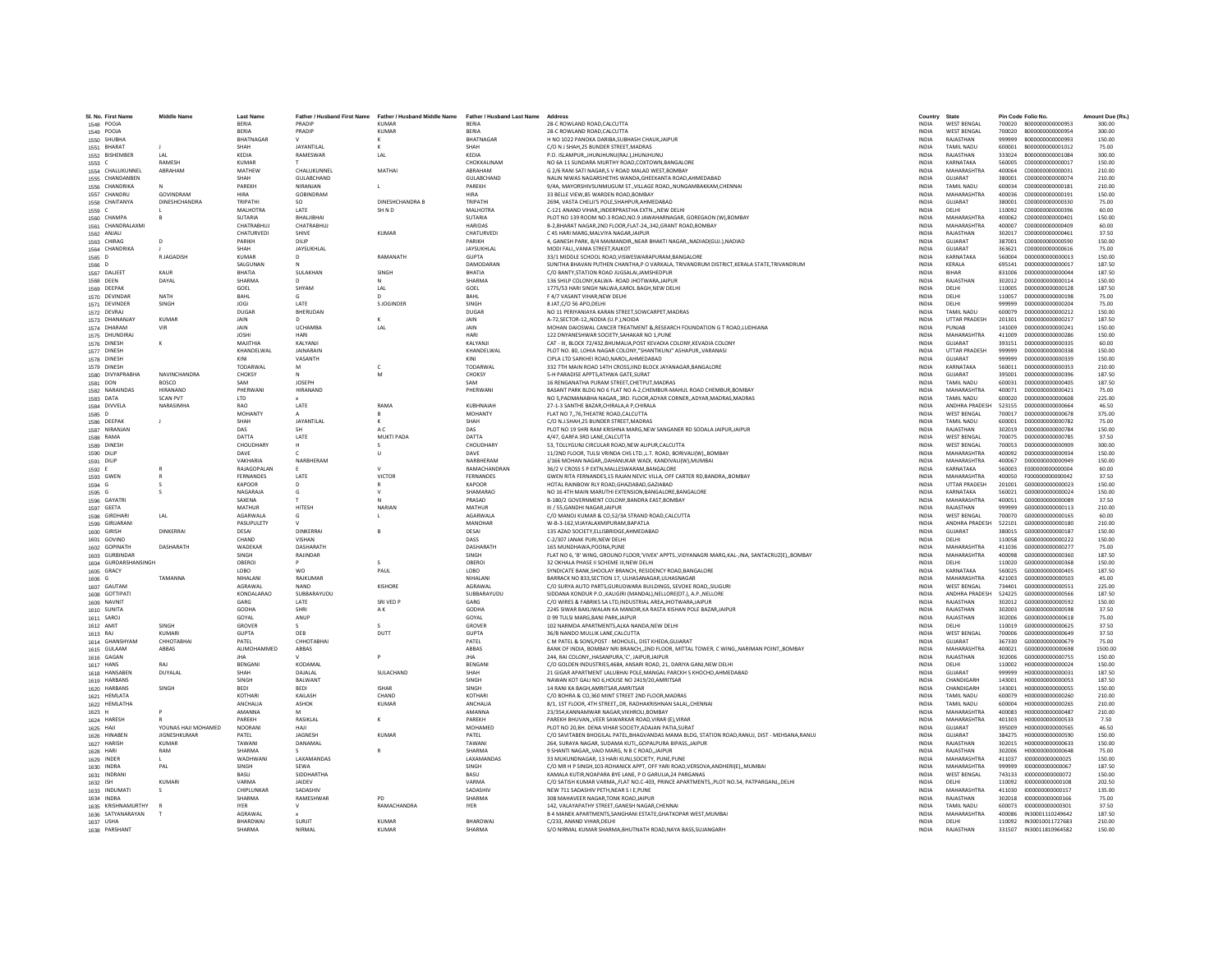| SI. No. First Name                     | <b>Middle Name</b>           | <b>Last Name</b>           |                            | Father / Husband First Name Father / Husband Middle Name Father / Husband Last Name |                                   | Address                                                                                                                                         | Country                      | State                               |                  | Pin Code Folio No.                    | Amount Due (Rs.) |
|----------------------------------------|------------------------------|----------------------------|----------------------------|-------------------------------------------------------------------------------------|-----------------------------------|-------------------------------------------------------------------------------------------------------------------------------------------------|------------------------------|-------------------------------------|------------------|---------------------------------------|------------------|
| 1548 POOJA                             |                              | BERIA                      | PRADIP                     | <b>KUMAR</b>                                                                        | <b>RERIA</b>                      | 28-C ROWLAND ROAD CALCUTTA                                                                                                                      | <b>INDIA</b>                 | <b>WEST BENGAL</b>                  |                  |                                       | 300.00           |
| 1549 POOJA                             |                              | <b>RERIA</b>               | PRADIP                     | KUMAR                                                                               | <b>RERIA</b>                      | 28-C ROWLAND ROAD CALCUTTA                                                                                                                      | <b>INDIA</b>                 | <b>WEST RENGAL</b>                  |                  | 700020 B000000000000954               | 300.00           |
| 1550 SHUBHA                            |                              | BHATNAGAR                  |                            |                                                                                     | <b>BHATNAGAR</b>                  | H NO 1022 PANOKA DARIBA, SUBHASH CHAUK, JAIPUR                                                                                                  | <b>INDIA</b>                 | RAJASTHAN                           | 999999           | B000000000000993                      | 150.00           |
| 1551 BHARAT                            |                              | SHAH                       | JAYANTILAI                 |                                                                                     | SHAH                              | C/O N J SHAH, 25 BUNDER STREET, MADRAS                                                                                                          | INDIA                        | <b>TAMIL NADU</b>                   | 600001           | B000000000001012                      | 75.00            |
| 1552 BISHEMBER                         | LAL                          | KEDIA                      | RAMESWAR                   | LAL                                                                                 | KEDIA                             | P.O. ISLAMPUR, JHUNJHUNU(RAJ.), JHUNJHUNU                                                                                                       | <b>INDIA</b>                 | RAJASTHAN                           | 333024           | B000000000001084                      | 300.00           |
| 1553 C                                 | RAMESH                       | <b>KUMAR</b>               |                            |                                                                                     | CHOKKALINAM                       | NO 6A 11 SUNDARA MURTHY ROAD.COXTOWN.BANGALORE                                                                                                  | <b>INDIA</b>                 | KARNATAKA                           | 560005           | C000000000000017                      | 150.00           |
| 1554 CHALUKUNNEL                       | ARRAHAM                      | MATHEW<br>SHAH             | CHAILIKUNNEL<br>GULABCHAND | MATHAI                                                                              | ARRAHAM                           | G 2/6 RANI SATI NAGAR S V ROAD MALAD WEST ROMRAY                                                                                                | <b>INDIA</b>                 | MAHARASHTRA                         | 400064           | 000000000000031                       | 210.00           |
| 1555 CHANDANBEN<br>1556 CHANDRIKA      |                              | PAREKH                     | NIRANJAN                   |                                                                                     | GULABCHAND<br>PAREKH              | NALIN NIWAS NAGARSHETHS WANDA, GHEEKANTA ROAD, AHMEDABAD<br>9/4A, MAYORSHIVSUNMUGUM ST., VILLAGE ROAD., NUNGAMBAKKAM, CHENNAI                   | INDIA<br><b>INDIA</b>        | GUJARAT<br><b>TAMIL NADU</b>        | 380001<br>600034 | C000000000000074<br>C000000000000181  | 210.00<br>210.00 |
| 1557 CHANDRU                           | GOVINDRAM                    | <b>HIRA</b>                | GOBINDRAM                  |                                                                                     | <b>HIRA</b>                       | 33 BELLE VIEW.85 WARDEN ROAD.BOMBAY                                                                                                             | <b>INDIA</b>                 | MAHARASHTRA                         | 400036           | C000000000000191                      | 150.00           |
| 1558 CHAITANYA                         | <b>DINESHCHANDRA</b>         | TRIPATHI                   | SO.                        | DINESHCHANDRA B                                                                     | TRIPATHI                          | 2694, VASTA CHELII'S POLE.SHAHPUR.AHMEDABAD                                                                                                     | <b>INDIA</b>                 | GUIARAT                             | 380001           | 000000000000330                       | 75.00            |
| 1559 C                                 |                              | MALHOTRA                   | LATE                       | SHND                                                                                | MALHOTRA                          | C-121 ANAND VIHAR,, INDERPRASTHA EXTN., , NEW DELHI                                                                                             | INDIA                        | DELHI                               | 110092           | C000000000000396                      | 60.00            |
| 1560 CHAMPA                            |                              | <b>SUTARIA</b>             | BHALIBHA                   |                                                                                     | SUTARIA                           | PLOT NO 139 ROOM NO.3 ROAD, NO.9 JAWAHARNAGAR, GOREGAON (W), BOMBAY                                                                             | <b>INDIA</b>                 | <b>MAHARASHTRA</b>                  | 400062           | C000000000000401                      | 150.00           |
| 1561 CHANDRALAXMI                      |                              | CHATRABHUJ                 | CHATRABHUJ                 |                                                                                     | <b>HARIDAS</b>                    | B-2, BHARAT NAGAR, 2ND FLOOR, FLAT-24,, 342, GRANT ROAD, BOMBAY                                                                                 | INDIA                        | MAHARASHTRA                         | 400007           | C000000000000409                      | 60.00            |
| 1562 ANJALI                            |                              | CHATURVEDI                 | SHIVE                      | KUMAR                                                                               | CHATURVEDI                        | C 45 HARI MARG MAI VIYA NAGAR JAIPUR                                                                                                            | <b>INDIA</b>                 | RAIASTHAN                           | 302017           | 000000000000461                       | 37.50            |
| 1563 CHIRAG                            | $\Omega$                     | PARIKH                     | DILIP                      |                                                                                     | <b>PARIKH</b>                     | 4, GANESH PARK, B/4 MAIMANDIR, NEAR BHAKTI NAGAR, NADIAD(GUJ.), NADIAD                                                                          | <b>INDIA</b>                 | GUIARAT                             | 387001           | 000000000000590                       | 150.00           |
| 1564 CHANDRIKA<br>1565 D               | R JAGADISH                   | SHAH<br><b>KUMAR</b>       | <b>JAYSUKHLAL</b><br>D     | RAMANATH                                                                            | <b>JAYSUKHLAI</b><br><b>GUPTA</b> | MODI FALI,, VANIA STREET, RAJKOT<br>33/1 MIDDLE SCHOOL ROAD, VISWESWARAPURAM, BANGALORE                                                         | INDIA<br><b>INDIA</b>        | GUJARAT<br>KARNATAKA                | 363621<br>560004 | C000000000000616<br>D00000000000013   | 75.00<br>150.00  |
| 1566 D                                 |                              | SALGUNAN                   |                            |                                                                                     | DAMODARAN                         | SUNITHA BHAVAN PUTHEN CHANTHA, P O VARKALA, TRIVANDRUM DISTRICT, KERALA STATE, TRIVANDRUM                                                       | <b>INDIA</b>                 | KERALA                              | 695141           | D00000000000017                       | 187.50           |
| 1567 DALJEET                           | KAUR                         | RHATIA                     | SULAKHAN                   | <b>SINGH</b>                                                                        | <b>RHATIA</b>                     | C/O BANTY.STATION ROAD JUGSALAI JAMSHEDPUR                                                                                                      | <b>INDIA</b>                 | <b>RIHAR</b>                        | 831006           | 0000000000000044                      | 187.50           |
| 1568 DEEN                              | DAYAL                        | SHARMA                     |                            | $\mathsf{N}$                                                                        | SHARMA                            | 136 SHILP COLONY, KALWA- ROAD JHOTWARA, JAIPUR                                                                                                  | <b>INDIA</b>                 | RAJASTHAN                           | 302012           | D00000000000114                       | 150.00           |
| 1569 DEEPAK                            |                              | GOEL                       | SHYAM                      | LAL                                                                                 | GOEL                              | 1775/53 HARI SINGH NALWA.KAROL BAGH.NEW DELHI                                                                                                   | <b>INDIA</b>                 | DELHI                               | 110005           | D00000000000128                       | 187.50           |
| 1570 DEVINDAR                          | <b>NATH</b>                  | BAHL                       |                            | $\mathsf{D}$                                                                        | BAHL                              | F 4/7 VASANT VIHAR, NEW DELHI                                                                                                                   | INDIA                        | DELHI                               | 110057           | D000000000000198                      | 75.00            |
| 1571 DEVINDER                          | <b>SINGH</b>                 | <b>IOGI</b>                | <b>LATE</b>                | S IOGINDER                                                                          | <b>SINGH</b>                      | 8 JAT.C/O 56 APO.DELHI                                                                                                                          | <b>INDIA</b>                 | DELHI                               | 999999           | 0000000000000204                      | 75.00            |
| 1572 DEVRAJ                            |                              | DUGAR                      | BHERUDAN                   |                                                                                     | DUGAR                             | NO 11 PERIYANIAYA KARAN STREET, SOWCARPET, MADRAS                                                                                               | <b>INDIA</b>                 | <b>TAMIL NADU</b>                   | 600079           | D00000000000212                       | 150.00           |
| 1573 DHANANJAY<br>1574 DHARAM          | <b>KUMAR</b><br><b>VIR</b>   | JAIN<br><b>JAIN</b>        | <b>UCHAMBA</b>             | LAL                                                                                 | JAIN<br>JAIN                      | A-72.SECTOR-12., NODIA (U.P.), NOIDA<br>MOHAN DAIOSWAL CANCER TREATMENT & RESEARCH FOUNDATION G T ROAD, LUDHIANA                                | <b>INDIA</b><br>INDIA        | <b>UTTAR PRADESH</b><br>PUNJAB      | 201301<br>141009 | D00000000000217<br>D00000000000241    | 187.50<br>150.00 |
| 1575 DHUNDIRAL                         |                              | <b>IOSHI</b>               | HARI                       |                                                                                     | HARI                              | 122 DNYANESHWAR SOCIETY SAHAKAR NO 1 PUNE                                                                                                       | <b>INDIA</b>                 | MAHARASHTRA                         | 411009           | 0000000000000286                      | 150.00           |
| 1576 DINESH                            | ĸ                            | MAIITHIA                   | KAIYANII                   |                                                                                     | <b>KAI YANII</b>                  | CAT - III, BLOCK 72/432, BHUMALIA, POST KEVADIA COLONY, KEVADIA COLONY                                                                          | <b>INDIA</b>                 | GUIARAT                             | 393151           | D000000000000335                      | 60.00            |
| 1577 DINESH                            |                              | KHANDELWAL                 | <b>JAINARAIN</b>           |                                                                                     | KHANDELWAL                        | PLOT NO. 80, LOHIA NAGAR COLONY, "SHANTIKUNJ" ASHAPUR,, VARANASI                                                                                | <b>INDIA</b>                 | <b>UTTAR PRADESH</b>                | 999999           | D00000000000338                       | 150.00           |
| 1578 DINESH                            |                              |                            | VASANTH                    |                                                                                     | KIN                               | CIPLA LTD SARKHEI ROAD.NAROL.AHMEDABAD                                                                                                          | <b>INDIA</b>                 | GUJARAT                             | 999999           | D00000000000339                       | 150.00           |
| 1579 DINESH                            |                              | TODARWAL                   | M                          | $\mathsf{c}$                                                                        | TODARWAL                          | 332 7TH MAIN ROAD 14TH CROSS, IIND BLOCK JAYANAGAR, BANGALORE                                                                                   | INDIA                        | KARNATAKA                           | 560011           | D000000000000353                      | 210.00           |
| 1580 DIVYAPRABHA                       | <b>NAVINCHANDRA</b>          | CHOKSY                     | $\mathbf{M}$               | M                                                                                   | CHOKSY                            | 5-H PARADISE APPTS ATHWA GATE SURAT                                                                                                             | <b>INDIA</b>                 | GUIARAT                             | 395001           | 0000000000000396                      | 187.50           |
| 1581 DON                               | <b>BOSCO</b>                 | SAM                        | <b>IOSEPH</b>              |                                                                                     | SAM                               | 16 RENGANATHA PURAM STREET, CHETPUT, MADRAS                                                                                                     | INDIA                        | <b>TAMIL NADU</b>                   | 600031           | D000000000000405                      | 187.50           |
| 1582 NARAINDAS                         | HIRANAND                     | PHERWANI                   | HIRANAND                   |                                                                                     | PHERWANI                          | BASANT PARK BLDG NO 6 FLAT NO A-2, CHEMBUR-MAHUL ROAD CHEMBUR, BOMBAY                                                                           | <b>INDIA</b>                 | MAHARASHTRA                         | 400071           | D00000000000421                       | 75.00            |
| 1583 DATA<br>1584 DIVVELA              | <b>SCAN PVT</b><br>NARASIMHA | LTD<br>RAO                 | LATE                       | RAMA                                                                                | KURHNAIAH                         | NO 5, PADMANABHA NAGAR,, 3RD. FLOOR, ADYAR CORNER,, ADYAR, MADRAS, MADRAS<br>27-1-3 SANTHE RAZAR CHIRALA A P CHIRALA                            | INDIA<br><b>INDIA</b>        | <b>TAMIL NADU</b><br>ANDHRA PRADESH | 600020<br>523155 | D00000000000608<br>0000000000000664   | 225.00<br>46.50  |
| 1585 D                                 |                              | MOHANTY                    |                            | $\mathsf{R}$                                                                        | <b>MOHANTY</b>                    | FLAT NO 7., 76. THEATRE ROAD.CALCUTTA                                                                                                           | <b>INDIA</b>                 | <b>WEST BENGAL</b>                  | 700017           | 0000000000000678                      | 375.00           |
| 1586 DEEPAK                            | $\mathbf{J}$                 | SHAH                       | JAYANTILAI                 | $\kappa$                                                                            | SHAH                              | C/O N.J.SHAH, 25 BUNDER STREET, MADRAS                                                                                                          | <b>INDIA</b>                 | <b>TAMIL NADU</b>                   | 600001           | D00000000000782                       | 75.00            |
| 1587 NIRANJAN                          |                              | DAS                        |                            | A C                                                                                 | DAS                               | PLOT NO 19 SHRI RAM KRISHNA MARG, NEW SANGANER RD SODALA JAIPUR, JAIPUR                                                                         | <b>INDIA</b>                 | RAJASTHAN                           | 302019           | D00000000000784                       | 150.00           |
| 1588 RAMA                              |                              | DATTA                      | LATE                       | MUKTI PADA                                                                          | DATTA                             | 4/47. GARFA 3RD LANE.CALCUTTA                                                                                                                   | <b>INDIA</b>                 | <b>WEST BENGAL</b>                  | 700075           | D000000000000785                      | 37.50            |
| 1589 DINESH                            |                              | CHOUDHARY                  |                            |                                                                                     | CHOUDHARY                         | 53. TOLLYGUNJ CIRCULAR ROAD.NEW ALIPUR.CALCUTTA                                                                                                 | <b>INDIA</b>                 | <b>WEST BENGAL</b>                  | 700053           | 0000000000000909                      | 300.00           |
| 1590 DILIP                             |                              | DAVE                       |                            |                                                                                     | DAVE                              | 11/2ND FLOOR, TULSI VRINDA CHS LTD., L.T. ROAD, BORIVALI(W),, BOMBAY                                                                            | <b>INDIA</b>                 | MAHARASHTRA                         | 400092           | 0000000000000934                      | 150.00           |
| 1591 DILIP                             |                              | VAKHARIA                   | NARBHERAN                  |                                                                                     | NARBHERAN                         | J/166 MOHAN NAGAR., DAHANUKAR WADI, KANDIVALI(W).MUMBAI                                                                                         | <b>INDIA</b>                 | MAHARASHTRA                         | 400067           | D00000000000949                       | 150.00           |
| 1592 E                                 |                              | RAJAGOPALAN                |                            |                                                                                     | RAMACHANDRAN                      | 36/2 V CROSS S P EXTN, MALLESWARAM, BANGALORE                                                                                                   | INDIA                        | KARNATAKA                           | 560003           | E000000000000004                      | 60.00            |
| 1593 GWEN                              | R                            | <b>FERNANDES</b><br>KAPOOR | LATE<br>D                  | <b>VICTOR</b>                                                                       | <b>FERNANDES</b><br>KAPOOR        | GWEN RITA FERNANDES.15 RAJAN NEVIC VILLA, OFF CARTER RD.BANDRA, BOMBAY<br>HOTAL RAINBOW RLY ROAD, GHAZIABAD, GAZIABAD                           | <b>INDIA</b><br><b>INDIA</b> | MAHARASHTRA<br><b>UTTAR PRADESH</b> | 400050<br>201001 | E0000000000000042<br>G000000000000023 | 37.50<br>150.00  |
| 1594 G<br>1595 G                       |                              | NAGARAJA                   |                            |                                                                                     | SHAMARAO                          | NO 16 4TH MAIN MARUTHI EXTENSION, BANGALORE, BANGALORE                                                                                          | INDIA                        | KARNATAKA                           | 560021           | G000000000000024                      | 150.00           |
| 1596 GAYATRI                           |                              | SAXENA                     |                            |                                                                                     | PRASAD                            | B-180/2 GOVERNMENT COLONY, BANDRA EAST, BOMBAY                                                                                                  | INDIA                        | MAHARASHTRA                         | 400051           | G000000000000089                      | 37.50            |
| 1597 GEETA                             |                              | MATHUR                     | HITESH                     | NARIAN                                                                              | MATHUR                            | III / 55.GANDHI NAGAR.JAIPUR                                                                                                                    | <b>INDIA</b>                 | RAJASTHAN                           | 999999           | G000000000000113                      | 210.00           |
| 1598 GIRDHARI                          | LAL                          | <b>AGARWALA</b>            | $\mathsf{G}$               | $\mathsf L$                                                                         | <b>AGARWALA</b>                   | C/O MANOJ KUMAR & CO,52/3A STRAND ROAD, CALCUTTA                                                                                                | <b>INDIA</b>                 | <b>WEST BENGAL</b>                  | 700070           | 6000000000000165                      | 60.00            |
| 1599 GIRIJARAN                         |                              | PASUPULETY                 |                            |                                                                                     | MANOHAR                           | W-B-3-162, VIJAYALAXMIPURAM, BAPATLA                                                                                                            | <b>INDIA</b>                 | ANDHRA PRADESH                      | 522101           | G000000000000180                      | 210.00           |
| 1600 GIRISH                            | <b>DINKERRAI</b>             | DESAI                      | DINKERRAI                  |                                                                                     | DESAI                             | 135 AZAD SOCIETY, ELLISBRIDGE, AHMEDABAD                                                                                                        | <b>INDIA</b>                 | GUJARAT                             | 380015           | G000000000000187                      | 150.00           |
| 1601 GOVIND                            |                              | CHAND                      | <b>VISHAN</b>              |                                                                                     | DASS                              | C-2/307 JANAK PURI.NEW DELHI                                                                                                                    | <b>INDIA</b>                 | DELHI                               | 110058           | 6000000000000222                      | 150.00           |
| 1602 GOPINATH                          | DASHARATH                    | WADEKAR<br><b>SINGH</b>    | DASHARATH<br>RAJINDAR      |                                                                                     | DASHARATH<br>SINGH                | 165 MUNDHAWA, POONA, PUNE                                                                                                                       | <b>INDIA</b><br><b>INDIA</b> | MAHARASHTRA<br>MAHARASHTRA          | 411036<br>400098 | G000000000000277<br>G000000000000360  | 75.00<br>187.50  |
| 1603 GURBINDAR<br>1604 GURDARSHANSINGH |                              | OBEROI                     |                            |                                                                                     | OBEROI                            | FLAT NO 6, 'B' WING, GROUND FLOOR,'VIVEK' APPTS., VIDYANAGRI MARG, KAL-, INA, SANTACRUZ(E),, BOMBAY<br>32 OKHALA PHASE II SCHEME III, NEW DELHI | INDIA                        | DELHI                               | 110020           | G000000000000368                      | 150.00           |
| 1605 GRACY                             |                              | LOBO                       | <b>WO</b>                  | PAUL                                                                                | LOBO                              | SYNDICATE BANK, SHOOLAY BRANCH, RESIDENCY ROAD, BANGALORE                                                                                       | INDIA                        | KARNATAKA                           | 560025           | G000000000000405                      | 187.50           |
| 1606 G                                 | TAMANNA                      | NIHALANI                   | RAJKUMAR                   |                                                                                     | NIHALANI                          | BARRACK NO 833.SECTION 17. ULHASANAGAR.ULHASNAGAR                                                                                               | <b>INDIA</b>                 | MAHARASHTRA                         | 421003           | G000000000000503                      | 45.00            |
| 1607 GAUTAM                            |                              | AGRAWAL                    | <b>NAND</b>                | KISHORE                                                                             | AGRAWAL                           | C/O SURYA AUTO PARTS, GURUDWARA BUILDINGS, SEVOKE ROAD, SILIGURI                                                                                | <b>INDIA</b>                 | <b>WEST BENGAL</b>                  | 734401           | G000000000000551                      | 225.00           |
| 1608 GOTTIPATI                         |                              | KONDALARAO                 | SUBBARAYUDU                |                                                                                     | SUBBARAYUDU                       | SIDDANA KONDUR P.O., KALIGIRI (MANDAL), NELLORE(DT.), A.P., NELLORE                                                                             | INDIA                        | ANDHRA PRADESH                      | 524225           | G000000000000566                      | 187.50           |
| 1609 NAVNIT                            |                              | GARG                       | LATE                       | SRI VED P                                                                           | GARG                              | C/O WIRES & FABRIKS SA LTD, INDUSTRIAL AREA, JHOTWARA, JAIPUR                                                                                   | INDIA                        | RAJASTHAN                           | 302012           | G000000000000592                      | 150.00           |
| 1610 SUNITA                            |                              | GODHA                      | SHRI                       | AK.                                                                                 | <b>GODHA</b>                      | 2245 SIWAR BAKLIWALAN KA MANDIR.KA RASTA KISHAN POLE BAZAR JAIPUR                                                                               | <b>INDIA</b>                 | RAJASTHAN                           | 302003           | G000000000000598                      | 37.50            |
| 1611 SAROJ<br>1612 AMIT                | <b>SINGH</b>                 | GOYAL<br>GROVER            | ANUP                       |                                                                                     | GOYAL<br>GROVER                   | D 99 TULSI MARG.BANI PARK.JAIPUR<br>102 NARMDA APARTMENTS, ALKA NANDA, NEW DELHI                                                                | <b>INDIA</b><br><b>INDIA</b> | RAJASTHAN<br>DELHI                  | 302006<br>110019 | G000000000000618<br>G000000000000625  | 75.00<br>37.50   |
| 1613 RAJ                               | KUMARI                       | <b>GUPTA</b>               | DEB                        | DUTT                                                                                | <b>GUPTA</b>                      | 36/B NANDO MULLIK LANE, CALCUTTA                                                                                                                | INDIA                        | <b>WEST BENGAL</b>                  | 700006           | G00000000000649                       | 37.50            |
| 1614 GHANSHYAM                         | СННОТАВНА                    | PATEL                      | CHHOTABHAI                 |                                                                                     | PATEL                             | C M PATEL & SONS.POST : MOHOLEL, DIST KHEDA, GUJARAT                                                                                            | <b>INDIA</b>                 | GUIARAT                             | 367330           | 6000000000000679                      | 75.00            |
| 1615 GULAAM                            | ABBAS                        | ALIMOHAMMED                | ABBAS                      |                                                                                     | ABBAS                             | BANK OF INDIA, BOMBAY NRI BRANCH., 2ND FLOOR, MITTAL TOWER, C WING., NARIMAN POINT., BOMBAY                                                     | <b>INDIA</b>                 | MAHARASHTRA                         | 400021           | G000000000000698                      | 1500.00          |
| 1616 GAGAN                             |                              | <b>IHA</b>                 |                            | $\mathbf{D}$                                                                        | <b>IHA</b>                        | 244. RAI COLONYHASANPURA.'C'. JAIPUR.JAIPUR                                                                                                     | <b>INDIA</b>                 | RAJASTHAN                           | 302006           | 6000000000000755                      | 150.00           |
| 1617 HANS                              | RAI                          | BENGAN                     | KODAMAI                    |                                                                                     | <b>BENGAN</b>                     | C/O GOLDEN INDUSTRIES, 4684, ANSARI ROAD, 21, DARIYA GANJ, NEW DELHI                                                                            | INDIA                        | DELHI                               | 110002           | H00000000000024                       | 150.00           |
| 1618 HANSABEN                          | DUYALAL                      | SHAH                       | DAJALAL                    | SULACHAND                                                                           | SHAH                              | 21 GIGAR APARTMENT LALUBHAI POLE, MANGAL PARCKH S KHOCHO, AHMEDABAD                                                                             | INDIA                        | GUJARAT                             | 999999           | H00000000000031                       | 187.50           |
| 1619 HARBANS                           |                              | SINGH                      | BALWANT                    |                                                                                     | SINGH                             | NAWAN KOT GALI NO 6.HOUSE NO 2419/20.AMRITSAR                                                                                                   | <b>INDIA</b>                 | CHANDIGARH                          | 143001           | H000000000000053                      | 187.50           |
| 1620 HARBANS                           | SINGH                        | <b>BEDI</b><br>KOTHARI     | <b>BEDI</b><br>KAILASH     | <b>ISHAR</b><br>CHAND                                                               | SINGH<br>KOTHARI                  | 14 RANI KA BAGH, AMRITSAR, AMRITSAR                                                                                                             | <b>INDIA</b>                 | CHANDIGARH<br>TAMIL NADU            | 143001           | H000000000000055<br>H000000000000260  | 150.00           |
| 1621 HEMLATA<br>1622 HEMLATHA          |                              | ANCHALIA                   | ASHOK                      | KUMAR                                                                               | ANCHALIA                          | C/O BOHRA & CO,360 MINT STREET 2ND FLOOR, MADRAS<br>8/1, 1ST FLOOR, 4TH STREET, DR, RADHAKRISHNAN SALAI, CHENNAI                                | <b>INDIA</b><br>INDIA        | <b>TAMIL NADU</b>                   | 600079<br>600004 | H00000000000265                       | 210.00<br>210.00 |
| 1623 H                                 |                              | AMANNA                     |                            |                                                                                     | <b>AMANNA</b>                     | 23/354.KANNAMWAR NAGAR.VIKHROLI.BOMBAY                                                                                                          | <b>INDIA</b>                 | MAHARASHTRA                         | 400083           | H000000000000487                      | 210.00           |
| 1624 HARESH                            |                              | PAREKH                     | RASIKLAL                   | $\kappa$                                                                            | PAREKH                            | PAREKH BHUVANVEER SAWARKAR ROAD.VIRAR (E).VIRAR                                                                                                 | <b>INDIA</b>                 | MAHARASHTRA                         | 401303           | H000000000000533                      | 7.50             |
| 1625 HAJI                              | YOUNAS HAJI MOHAMED          | NOORANI                    | HAII                       |                                                                                     | MOHAMED                           | PLOT NO 20, BH. DENA VIHAR SOCIETY, ADAJAN PATIA, SURAT                                                                                         | <b>INDIA</b>                 | GUIARAT                             | 395009           | H000000000000565                      | 46.50            |
| 1626 HINABEN                           | <b>JIGNESHKUMAR</b>          | PATEL                      | JAGNESH                    | <b>KUMAR</b>                                                                        | PATEL                             | C/O SAVITABEN BHOGILAL PATEL, BHAGVANDAS MAMA BLDG, STATION ROAD, RANUJ, DIST - MEHSANA, RANUJ                                                  | INDIA                        | GUJARAT                             | 384275           | H000000000000590                      | 150.00           |
| 1627 HARISH                            | <b>KUMAR</b>                 | TAWANI                     | DANAMAL                    |                                                                                     | TAWANI                            | 264. SURAYA NAGAR, SUDAMA KUTI., GOPALPURA BIPASS, JAIPUR                                                                                       | <b>INDIA</b>                 | RAJASTHAN                           | 302015           | H00000000000633                       | 150.00           |
| 1628 HARI                              | RAM                          | SHARMA                     |                            |                                                                                     | SHARMA                            | 9 SHANTI NAGAR., VAID MARG, N B C ROAD, JAIPUR                                                                                                  | <b>INDIA</b>                 | RAJASTHAN                           | 302006           | H000000000000648                      | 75.00            |
| 1629 INDER                             |                              | WADHWANI                   | <b>LAXAMANDAS</b>          |                                                                                     | <b>LAXAMANDAS</b>                 | 33 MUKUNDNAGAR 13 HARLKUNI SOCIETY. PUNE PUNE                                                                                                   | <b>INDIA</b>                 | MAHARASHTRA                         | 411037           | 1000000000000025                      | 150.00           |
| 1630 INDRA<br>1631 INDRANI             | PAL                          | SINGH<br>BASU              | SEWA<br>SIDDHARTHA         |                                                                                     | SINGH<br>BASU                     | C/O MR H P SINGH, 103-ROHANICK APPT, OFF YARI ROAD, VERSOVA, ANDHERI(E),, MUMBAI<br>KAMALA KUTIR.NOAPARA BYE LANE. P O GARULIA.24 PARGANAS      | INDIA<br>INDIA               | MAHARASHTRA<br><b>WEST BENGAL</b>   | 999999<br>743133 | 1000000000000067<br>1000000000000072  | 187.50<br>150.00 |
| 1632 ISH                               | <b>KUMARI</b>                | VARMA                      | <b>JAIDEV</b>              |                                                                                     | VARMA                             | C/O SATISH KUMAR VARMA, FLAT NO.C-403, PRINCE APARTMENTS, PLOT NO.54, PATPARGANJ, DELHI                                                         | <b>INDIA</b>                 | DELHI                               | 110092           | 1000000000000108                      | 202.50           |
| 1633 INDUMATI                          |                              | CHIPLUNKAR                 | SADASHIV                   |                                                                                     | SADASHIV                          | NEW 711 SADASHIV PETH.NEAR S I E.PUNE                                                                                                           | <b>INDIA</b>                 | MAHARASHTRA                         | 411030           | 1000000000000157                      | 135.00           |
| 1634 INDRA                             |                              | SHARMA                     | RAMESHWAI                  |                                                                                     | SHARMA                            | 308 MAHAVEER NAGAR TONK ROAD JAIPUR                                                                                                             | <b>INDIA</b>                 | RAJASTHAN                           | 302018           | 1000000000000166                      | 75.00            |
| 1635 KRISHNAMURTHY                     |                              | <b>IYER</b>                | $\mathsf{V}$               | RAMACHANDRA                                                                         | <b>IYER</b>                       | 142, VALAYAPATHY STREET, GANESH NAGAR, CHENNAI                                                                                                  | INDIA                        | <b>TAMIL NADU</b>                   | 600073           | 1000000000000301                      | 37.50            |
| 1636 SATYANARAYAN                      |                              | AGRAWAI                    |                            |                                                                                     |                                   | B 4 MANEK APARTMENTS, SANGHANI ESTATE, GHATKOPAR WEST, MUMBAI                                                                                   | <b>INDIA</b>                 | MAHARASHTRA                         | 400086           | IN30001110249642                      | 187.50           |
| 1637 USHA                              |                              | BHARDWAJ                   | SURJIT                     | <b>KUMAR</b>                                                                        | BHARDWAJ                          | C/233, ANAND VIHAR, DELHI                                                                                                                       | <b>INDIA</b>                 | DELHI                               |                  | 110092 IN30010011727683               | 210.00           |
| 1638 PARSHANT                          |                              | SHARMA                     | NIRMAL                     | KUMAR                                                                               | <b>SHARMA</b>                     | S/O NIRMAL KUMAR SHARMA.BHUTNATH ROAD.NAYA BASS.SUJANGARH                                                                                       | <b>INDIA</b>                 | RAIASTHAN                           |                  | 331507 IN30011810964582               | 150.00           |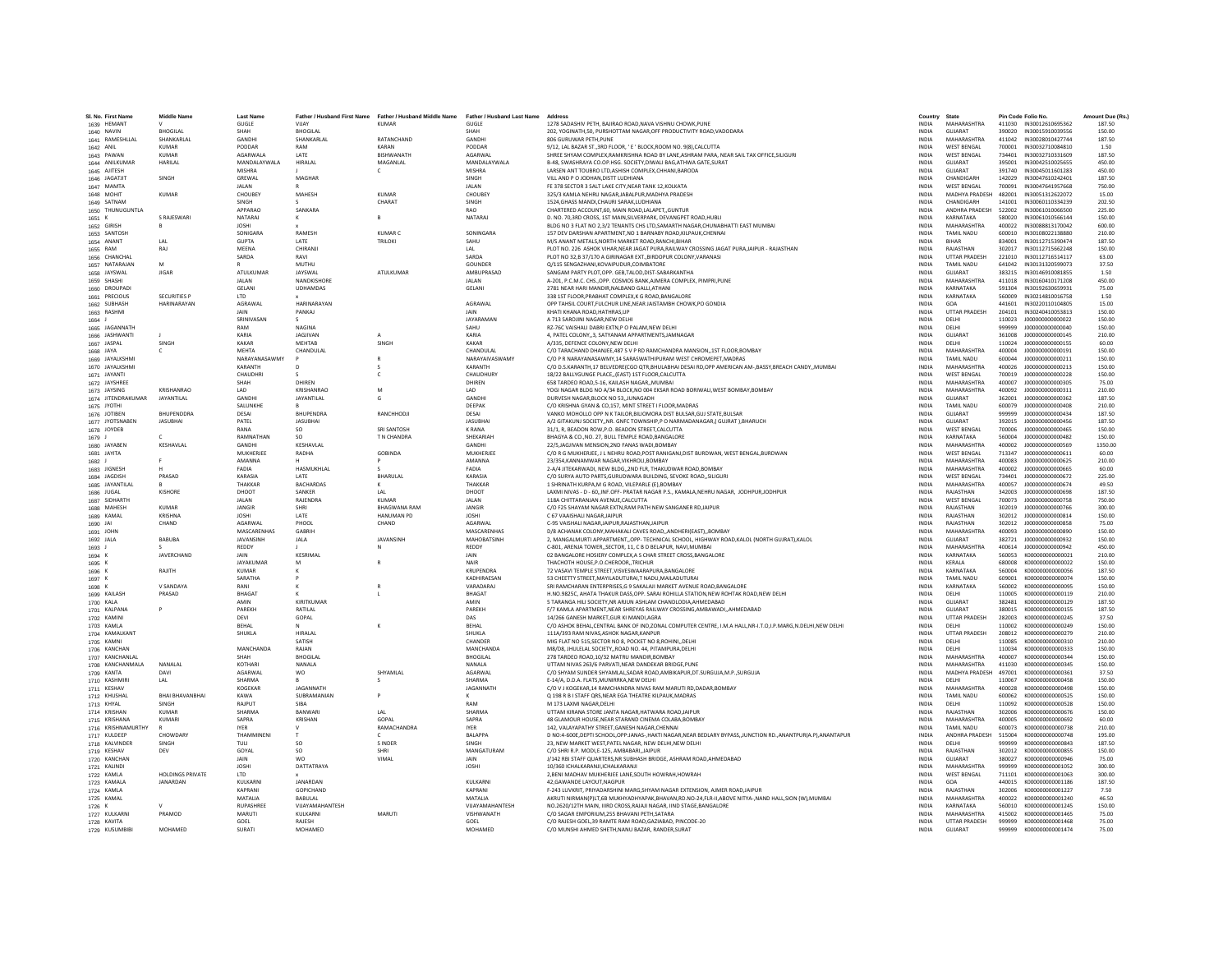| SI. No. First Name              | <b>Middle Name</b>      | <b>Last Name</b>                |                           |                                                                                                     |                                     | Address                                                                                                                                                            | Country                      | State                             |                  | Pin Code Folio No.                          | Amount Due (Rs.) |
|---------------------------------|-------------------------|---------------------------------|---------------------------|-----------------------------------------------------------------------------------------------------|-------------------------------------|--------------------------------------------------------------------------------------------------------------------------------------------------------------------|------------------------------|-----------------------------------|------------------|---------------------------------------------|------------------|
| 1639 HEMANT                     |                         | GUGLE                           | VIIAY                     | Father / Husband First Name Father / Husband Middle Name Father / Husband Last Name<br><b>KUMAR</b> | GUGLE                               | 1278 SADASHIV PETH, BAJIRAO ROAD, NAVA VISHNU CHOWK, PUNE                                                                                                          | <b>INDIA</b>                 | <b>MAHARASHTRA</b>                |                  | 411030 IN30012610695362                     | 187.50           |
| 1640 NAVIN                      | <b>RHOGILAL</b>         | SHAH                            | <b>BHOGILAL</b>           |                                                                                                     | SHAH                                | 202. YOGINATH.50, PURSHOTTAM NAGAR.OFF PRODUCTIVITY ROAD.VADODARA                                                                                                  | <b>INDIA</b>                 | GUIARAT                           |                  | 390020 IN30015910039556                     | 150.00           |
| 1641 RAMESHLLAL                 | SHANKARLAL              | GANDHI                          | SHANKARLAL                | RATANCHAND                                                                                          | <b>GANDHI</b>                       | 806 GURUWAR PETH.PUNE                                                                                                                                              | <b>INDIA</b>                 | <b>MAHARASHTRA</b>                | 411042           | IN30028010427744                            | 187.50           |
| 1642 ANIL                       | KUMAR                   | PODDAR                          | RAM                       | KARAN                                                                                               | PODDAR                              | 9/12, LAL BAZAR ST., 3RD FLOOR, ' E ' BLOCK, ROOM NO. 9(8), CALCUTTA                                                                                               | <b>INDIA</b>                 | <b>WEST BENGAL</b>                | 700001           | IN30032710084810                            | 1.50             |
| 1643 PAWAN                      | <b>KUMAR</b>            | AGARWALA                        | LATE                      | BISHWANATH                                                                                          | AGARWAL                             | SHREE SHYAM COMPLEX, RAMKRISHNA ROAD BY LANE, ASHRAM PARA, NEAR SAIL TAX OFFICE, SILIGURI                                                                          | <b>INDIA</b>                 | <b>WEST BENGAL</b>                | 734401           | IN30032710331609                            | 187.50           |
| 1644 ANILKUMAF                  | <b>HARILAL</b>          | MANDALAYWALA<br><b>MISHRA</b>   | <b>HIRALAL</b>            | MAGANLAL<br>$\epsilon$                                                                              | MANDALAYWALA<br>MISHRA              | B-48, SWASHRAYA CO.OP.HSG, SOCIETY.DIWALI BAG, ATHWA GATE.SURAT<br>LARSEN ANT TOUBRO LTD.ASHISH COMPLEX.CHHANI.BARODA                                              | <b>INDIA</b><br><b>INDIA</b> | GUJARAT<br>GUIARAT                | 395001<br>391740 | IN30042510025655<br>IN30045011601283        | 450.00<br>450.00 |
| 1645 AJITESH<br>1646 JAGATJIT   | SINGH                   | GREWAL                          | MAGHAF                    |                                                                                                     | SINGH                               | VILL AND P O JODHAN, DISTT LUDHIANA                                                                                                                                | INDIA                        | CHANDIGARH                        | 142029           | IN30047610242401                            | 187.50           |
| 1647 MAMTA                      |                         | JALAN                           |                           |                                                                                                     | JALAN                               | FE 378 SECTOR 3 SALT LAKE CITY, NEAR TANK 12, KOLKATA                                                                                                              | <b>INDIA</b>                 | <b>WEST BENGAL</b>                | 700091           | IN30047641957668                            | 750.00           |
| 1648 MOHIT                      | <b>KUMAR</b>            | CHOUBEY                         | MAHESH                    | <b>KUMAR</b>                                                                                        | CHOUBEY                             | 325/3 KAMLA NEHRU NAGAR JABALPUR. MADHYA PRADESH                                                                                                                   | <b>INDIA</b>                 | MADHYA PRADESH 482001             |                  | IN30051312622072                            | 15.00            |
| 1649 SATNAM                     |                         | <b>SINGH</b>                    |                           | CHARAT                                                                                              | SINGH                               | 1524.GHASS MANDI.CHAURI SARAK.LUDHIANA                                                                                                                             | <b>INDIA</b>                 | CHANDIGARH                        | 141001           | IN30060110334239                            | 202.50           |
| 1650 THUNUGUNTL                 |                         | APPARAO                         | SANKARA                   |                                                                                                     | <b>RAO</b>                          | CHARTERED ACCOUNT, 60, MAIN ROAD, LALAPET, GUNTUR                                                                                                                  | INDIA                        | ANDHRA PRADESH                    | 522002           | IN30061010066500                            | 225.00           |
| 1651 K                          | S RAJESWARI             | <b>NATARAJ</b>                  | к                         |                                                                                                     | NATARAL                             | D. NO. 70.3RD CROSS, 1ST MAIN, SILVERPARK, DEVANGPET ROAD, HUBL                                                                                                    | <b>INDIA</b>                 | KARNATAKA<br>MAHARASHTRA          | 580020<br>400022 | IN30061010566144                            | 150.00           |
| 1652 GIRISH<br>1653 SANTOSH     | -B                      | <b>JOSHI</b><br>SONIGARA        | RAMESH                    | KUMAR C                                                                                             | SONINGARA                           | BLDG NO 3 FLAT NO 2,3/2 TENANTS CHS LTD, SAMARTH NAGAR, CHUNABHATTI EAST MUMBAI<br>157 DEV DARSHAN APARTMENT NO 1 RARNARY ROAD KILPAUK CHENNAL                     | INDIA<br><b>INDIA</b>        | TAMIL NADLI                       | 600010           | IN30088813170042<br>IN30108022138880        | 600.00<br>210.00 |
| 1654 ANANT                      | I AI                    | <b>GUPTA</b>                    | <b>LATE</b>               | <b>TRILOKI</b>                                                                                      | SAHU                                | M/S ANANT METALS, NORTH MARKET ROAD, RANCHI, BIHAR                                                                                                                 | <b>INDIA</b>                 | <b>RIHAR</b>                      | 834001           | IN30112715390474                            | 187.50           |
| 1655 RAM                        | RAJ                     | MEENA                           | CHIRANJ                   |                                                                                                     | I AI                                | PLOT NO. 226 ASHOK VIHAR, NEAR JAGAT PURA, RAILWAY CROSSING JAGAT PURA, JAIPUR - RAJASTHAN                                                                         | INDIA                        | RAJASTHAN                         | 302017           | IN30112715662248                            | 150.00           |
| 1656 CHANCHAL                   |                         | SARDA                           | RAVI                      |                                                                                                     | SARDA                               | PLOT NO 32,B 37/170 A GIRINAGAR EXT., BIRDOPUR COLONY, VARANASI                                                                                                    | <b>INDIA</b>                 | <b>UTTAR PRADESH</b>              | 221010           | IN30112716514117                            | 63.00            |
| 1657 NATARAJAN                  | M                       |                                 | MUTHU                     |                                                                                                     | GOUNDER                             | Q/115 SENGAZHANI.KOVAIPUDUR.COIMBATORE                                                                                                                             | <b>INDIA</b>                 | <b>TAMIL NADU</b>                 | 641042           | IN30131320599073                            | 37.50            |
| 1658 JAYSWAL                    | <b>IIGAR</b>            | <b>ATULKUMAR</b>                | <b>JAYSWAI</b>            | <b>ATULKUMAR</b>                                                                                    | AMRUPRASAD                          | SANGAM PARTY PLOT.OPP. GEB.TALOD.DIST-SABARKANTHA                                                                                                                  | <b>INDIA</b>                 | GUIARAT                           | 383215           | IN30146910081855                            | 1.50             |
| 1659 SHASHI                     |                         | JALAN<br>GELANI                 | NANDKISHORE<br>UDHAMDAS   |                                                                                                     | <b>JALAN</b><br><b>GELANI</b>       | A-201, P.C.M.C. CHS., OPP. COSMOS BANK, AJMERA COMPLEX, PIMPRI, PUNE<br>2781 NEAR HARI MANDIR NALBAND GALLI ATHAN                                                  | <b>INDIA</b><br><b>INDIA</b> | <b>MAHARASHTRA</b><br>KARNATAKA   | 411018<br>591304 | IN30160410171208<br>IN30192630659931        | 450.00<br>75.00  |
| 1660 DROUPADI<br>1661 PRECIOUS  | <b>SECURITIES P</b>     | <b>LTD</b>                      |                           |                                                                                                     |                                     | 338 1ST FLOOR, PRABHAT COMPLEX, K G ROAD, BANGALORI                                                                                                                | INDIA                        | KARNATAKA                         | 560009           | IN30214810016758                            | 1.50             |
| 1662 SUBHASH                    | <b>HARINARAYAN</b>      | AGRAWAL                         | HARINARAYAN               |                                                                                                     | AGRAWAL                             | OPP TAHSIL COURT, FULCHUR LINE, NEAR JAISTAMBH CHOWK, PO GONDIA                                                                                                    | <b>INDIA</b>                 | GOA                               | 441601           | IN30220110104805                            | 15.00            |
| 1663 RASHMI                     |                         | JAIN                            | PANKAJ                    |                                                                                                     | JAIN                                | KHATI KHANA ROAD.HATHRAS.UP                                                                                                                                        | INDIA                        | <b>UTTAR PRADESH</b>              | 204101           | IN30240410053813                            | 150.00           |
| 1664 J                          |                         | SRINIVASAN                      |                           |                                                                                                     | <b>JAYARAMAN</b>                    | A 713 SAROJINI NAGAR NEW DELHI                                                                                                                                     | <b>INDIA</b>                 | DELHI                             | 110023           | J00000000000022                             | 150.00           |
| 1665 JAGANNATH                  |                         | RAM                             | NAGINA                    |                                                                                                     | SAHU                                | RZ-76C VAISHALI DABRI EXTN,P O PALAM,NEW DELHI                                                                                                                     | INDIA                        | DELHI                             | 999999           | J00000000000040                             | 150.00           |
| 1666 JASHWANTI                  |                         | KARIA                           | <b>IAGIIVAN</b>           |                                                                                                     | KARIA                               | 4. PATEL COLONY3. SATYANAM APPARTMENTS.JAMNAGAR                                                                                                                    | <b>INDIA</b>                 | GUIARAT                           | 361008           | 1000000000000145                            | 210.00           |
| 1667 JASPAL                     | SINGH                   | KAKAR<br><b>MFHTA</b>           | <b>MFHTAR</b><br>CHANDULA | <b>SINGH</b>                                                                                        | KAKAR<br><b>CHANDULAI</b>           | A/335. DEFENCE COLONY.NEW DELHI<br>C/O TARACHAND DHANJEE.487 S V P RD RAMCHANDRA MANSION1ST FLOOR.BOMBAY                                                           | <b>INDIA</b><br><b>INDIA</b> | DELHI<br>MAHARASHTRA              | 110024<br>400004 | J000000000000155<br>J00000000000191         | 60.00<br>150.00  |
| 1668 JAYA<br>1669 JAYALKSHMI    |                         | NARAYANASAWMY                   |                           |                                                                                                     | NARAYAIVASWAMY                      | C/O P R NARAYANASAWMY.14 SARASWATHIPURAM WEST CHROMEPET.MADRAS                                                                                                     | <b>INDIA</b>                 | <b>TAMIL NADU</b>                 | 600044           | J00000000000211                             | 150.00           |
| 1670 JAYALKSHMI                 |                         | KARANTH                         | D                         |                                                                                                     | KARANTH                             | C/O D.S.KARANTH,17 BELVEDRE(CGO QTR,BHULABHAI DESAI RD,OPP AMERICAN AM-,BASSY,BREACH CANDY,,MUMBAI                                                                 | INDIA                        | MAHARASHTRA                       | 400026           | J000000000000213                            | 150.00           |
| 1671 JAYANTI                    |                         | CHAUDHRI                        |                           | $\epsilon$                                                                                          | <b>CHAUDHURY</b>                    | 18/22 BALLYGUNGE PLACE(EAST) 1ST FLOOR.CALCUTTA                                                                                                                    | <b>INDIA</b>                 | <b>WEST RENGAL</b>                | 700019           | 1000000000000228                            | 150.00           |
| 1672 JAYSHREE                   |                         | SHAH                            | DHIREN                    |                                                                                                     | DHIREN                              | 658 TARDEO ROAD, 5-16, KAILASH NAGAR, MUMBAI                                                                                                                       | <b>INDIA</b>                 | MAHARASHTRA                       | 400007           | J000000000000305                            | 75.00            |
| 1673 JAYSING                    | <b>KRISHANRAO</b>       | LAD                             | KRISHANRAC                |                                                                                                     | LAD                                 | YOGI NAGAR BLDG NO A/34 BLOCK, NO 004 EKSAR ROAD BORIWALI, WEST BOMBAY, BOMBAY                                                                                     | <b>INDIA</b>                 | MAHARASHTRA                       | 400092           | J000000000000311                            | 210.00           |
| 1674 JITENDRAKUMAR              | <b>JAYANTILAL</b>       | GANDHI                          | JAYANTILAL                | G                                                                                                   | <b>GANDHI</b>                       | DURVESH NAGAR.BLOCK NO 53.JUNAGADH                                                                                                                                 | INDIA                        | GUJARAT                           | 362001           | J000000000000362                            | 187.50           |
| 1675 JYOTHI                     | RHUPENDORA              | SALUNKHE<br>DESAL               | <b>BHUPENDRA</b>          | RANCHHODJI                                                                                          | DEEPAK<br>DESAL                     | C/O KRISHNA GYAN & CO 157, MINT STREET LELOOR MADRAS                                                                                                               | <b>INDIA</b><br><b>INDIA</b> | <b>TAMIL NADLI</b><br>GUIARAT     | 600079<br>999999 | 1000000000000408<br>1000000000000434        | 210.00<br>187.50 |
| 1676 JOTIBEN<br>1677 JYOTSNABEN | <b>JASUBHAI</b>         | PATEL                           | <b>JASUBHAI</b>           |                                                                                                     | <b>JASUBHA</b>                      | VANKO MOHOLLO OPP N K TAILOR, BILIOMORA DIST BULSAR, GUJ STATE, BULSAR<br>A/2 GITAKUNJ SOCIETY,,NR. GNFC TOWNSHIP,P O NARMADANAGAR,( GUJRAT ),BHARUCH              | <b>INDIA</b>                 | GUJARAT                           | 392015           | J00000000000456                             | 187.50           |
| 1678 JOYDEB                     |                         | RANA                            | -SO                       | SRI SANTOSH                                                                                         | <b>K RANA</b>                       | 31/1, R, BEADON ROW, P.O. BEADON STREET, CALCUTTA                                                                                                                  | INDIA                        | <b>WEST BENGAL</b>                | 700006           | J000000000000465                            | 150.00           |
| 1679 J                          |                         | RAMNATHAN                       | SO.                       | T N CHANDRA                                                                                         | SHEKARIAH                           | BHAGYA & CO., NO. 27, BULL TEMPLE ROAD, BANGALORE                                                                                                                  | <b>INDIA</b>                 | KARNATAKA                         | 560004           | 1000000000000482                            | 150.00           |
| 1680 JAYABEN                    | <b>KFSHAVLAI</b>        | <b>GANDHI</b>                   | KESHAVLAL                 |                                                                                                     | <b>GANDHI</b>                       | 22/5.JAGJIVAN MENSION.2ND FANAS WADI.BOMBAY                                                                                                                        | <b>INDIA</b>                 | MAHARASHTRA                       | 400002           | 1000000000000569                            | 1350.00          |
| 1681 JAYITA                     |                         | MUKHERJEE                       | RADHA                     | GOBINDA                                                                                             | MUKHERJEE                           | C/O R G MUKHERJEE, J L NEHRU ROAD, POST RANIGANJ, DIST BURDWAN, WEST BENGAL, BURDWAN                                                                               | <b>INDIA</b>                 | <b>WEST BENGAL</b>                | 713347           | J000000000000611                            | 60.00            |
| 1682 J                          |                         | AMANNA                          |                           |                                                                                                     | AMANNA                              | 23/354.KANNAMWAR NAGAR.VIKHROLI.BOMBAY                                                                                                                             | <b>INDIA</b>                 | MAHARASHTRA                       | 400083           | J000000000000625                            | 210.00           |
| 1683 JIGNESH                    | PRASAD                  | FADIA<br>KARASIA                | HASMUKHLAL                | BHARULAL                                                                                            | FADIA<br>KARASIA                    | 2-A/4 JITEKARWADI, NEW BLDG,,2ND FLR, THAKUDWAR ROAD,BOMBAY<br>C/O SURYA AUTO PARTS.GURUDWARA BUILDING. SEVOKE ROADSILIGURI                                        | INDIA                        | MAHARASHTRA<br><b>WEST BENGAL</b> | 400002           | J00000000000665<br>1000000000000672         | 60.00<br>225.00  |
| 1684 JAGDISH<br>1685 JAYANTILAL |                         | THAKKAR                         | LATE<br><b>BACHARDAS</b>  |                                                                                                     | THAKKAR                             | 1 SHRINATH KURPA, M G ROAD, VILEPARLE (E), BOMBAY                                                                                                                  | <b>INDIA</b><br><b>INDIA</b> | MAHARASHTRA                       | 734401<br>400057 | J000000000000674                            | 49.50            |
| 1686 JUGAL                      | KISHORE                 | DHOOT                           | SANKER                    | LAL                                                                                                 | DHOOT                               | LAXMI NIVAS - D - 60,, INF.OFF- PRATAR NAGAR P.S., KAMALA, NEHRU NAGAR, JODHPUR, JODHPUR                                                                           | <b>INDIA</b>                 | RAJASTHAN                         | 342003           | J00000000000698                             | 187.50           |
| 1687 SIDHARTH                   |                         | <b>JALAN</b>                    | RAJENDRA                  | <b>KUMAR</b>                                                                                        | <b>JALAN</b>                        | 118A CHITTARANJAN AVENUE.CALCUTTA                                                                                                                                  | <b>INDIA</b>                 | <b>WEST BENGAL</b>                | 700073           | J00000000000758                             | 750.00           |
| 1688 MAHESH                     | KUMAR                   | JANGIR                          | SHRI                      | <b>BHAGWANA RAM</b>                                                                                 | <b>JANGIR</b>                       | C/O F25 SHAYAM NAGAR EXTN.RAM PATH NEW SANGANER RDJAIPUR                                                                                                           | <b>INDIA</b>                 | RAJASTHAN                         | 302019           | J00000000000766                             | 300.00           |
| 1689 KAMAL                      | KRISHNA                 | <b>JOSHI</b>                    | LATE                      | <b>HANUMAN PD</b>                                                                                   | <b>IOSHI</b>                        | C 67 VAAISHALI NAGARJAIPUR                                                                                                                                         | <b>INDIA</b>                 | RAIASTHAN                         | 302012           | 1000000000000814                            | 150.00           |
| 1690 JAI                        | CHAND                   | <b>AGARWAL</b>                  | PHOOL                     | CHAND                                                                                               | <b>AGARWAI</b>                      | C-95 VAISHALI NAGAR, JAIPUR, RAJASTHAN, JAIPUR                                                                                                                     | <b>INDIA</b>                 | RAJASTHAN                         | 302012           | J00000000000858                             | 75.00            |
| 1691 JOHN<br>1692 JALA          | BABUBA                  | MASCARENHAS<br><b>JAVANSINH</b> | GABRIH<br><b>JALA</b>     | JAVANSINH                                                                                           | MASCARENHAS<br>MAHOBATSINH          | D/8 ACHANAK COLONY, MAHAKALI CAVES ROAD, , ANDHERI (EAST), , BOMBAY<br>2, MANGALMURTI APPARTMENT, OPP- TECHNICAL SCHOOL, HIGHWAY ROAD, KALOL (NORTH GUJRAT), KALOL | INDIA<br><b>INDIA</b>        | MAHARASHTRA<br>GUIARAT            | 400093<br>382721 | J00000000000890<br>1000000000000932         | 150.00<br>150.00 |
| 1693 J                          |                         | REDDY                           |                           | <b>N</b>                                                                                            | <b>REDDY</b>                        | C-801, ARENJA TOWER., SECTOR, 11, C B D BELAPUR, NAVI, MUMBAI                                                                                                      | <b>INDIA</b>                 | MAHARASHTRA                       | 400614           | J00000000000942                             | 450.00           |
| 1694                            | <b>IAVERCHAND</b>       | <b>JAIN</b>                     | KESRIMAL                  |                                                                                                     | IAIN                                | 02 BANGALORE HOSIERY COMPLEX A S CHAR STREET CROSS BANGALORE                                                                                                       | <b>INDIA</b>                 | KARNATAKA                         | 560053           | K000000000000021                            | 210.00           |
| 1695 K                          |                         | JAYAKUMAF                       | M                         |                                                                                                     | NAIR                                | THACHOTH HOUSE, P.O.CHEROOR, TRICHUR                                                                                                                               | INDIA                        | KERALA                            | 680008           | K000000000000022                            | 150.00           |
| 1696 K                          | <b>RAJITH</b>           | KUMAR                           |                           |                                                                                                     | KRUPENDRA                           | 72 VASAVI TEMPLE STREET, VISVESWAARAPURA, BANGALORE                                                                                                                | INDIA                        | KARNATAKA                         | 560004           | K000000000000056                            | 187.50           |
| 1697 K                          |                         | SARATHA                         | P                         |                                                                                                     | KADHIRAESAN                         | 53 CHEETTY STREET.MAYILADUTURAI.T NADU.MAILADUTURAI                                                                                                                | <b>INDIA</b>                 | <b>TAMIL NADU</b>                 | 609001           | K000000000000074                            | 150.00           |
| 1698 K                          | V SANDAYA               | RANI<br>BHAGAT                  |                           |                                                                                                     | VARADARAJ                           | SRI RAMCHARAN ENTERPRISES, G 9 SAKALAJI MARKET AVENUE ROAD, BANGALORE                                                                                              | INDIA                        | KARNATAKA                         | 560002           | K000000000000095                            | 150.00           |
| 1699 KAILASH<br>1700 KALA       | PRASAD                  | AMIN                            | KIRITKUMAR                |                                                                                                     | BHAGAT<br>AMIN                      | H.NO.9825C, AHATA THAKUR DASS, OPP. SARAI ROHILLA STATION, NEW ROHTAK ROAD, NEW DELHI<br>5 TARANGA HILI SOCIETY, NR ARJUN ASHLAM CHANDLODIA, AHMEDABAD             | INDIA<br>INDIA               | DELHI<br>GUJARAT                  | 110005<br>382481 | K000000000000119<br>K000000000000129        | 210.00<br>187.50 |
| 1701 KALPANA                    |                         | PAREKH                          | RATILAL                   |                                                                                                     | PAREKH                              | F/7 KAMLA APARTMENT.NEAR SHREYAS RAILWAY CROSSING.AMBAWADIAHMEDABAD                                                                                                | <b>INDIA</b>                 | GUJARAT                           | 380015           | K000000000000155                            | 187.50           |
| 1702 KAMINI                     |                         | DEVI                            | GOPAL                     |                                                                                                     | DAS                                 | 14/266 GANESH MARKET.GUR KI MANDI.AGRA                                                                                                                             | <b>INDIA</b>                 | <b>UTTAR PRADESH</b>              | 282003           | K000000000000245                            | 37.50            |
| 1703 KAMLA                      |                         | BEHAL                           |                           |                                                                                                     | <b>RFHAI</b>                        | C/O ASHOK BEHAL, CENTRAL BANK OF IND, ZONAL COMPUTER CENTRE, I.M.A HALL, NR-I.T.O, I.P. MARG, N.DELHI, NEW DELHI                                                   | <b>INDIA</b>                 | DELHI                             | 110002           | K000000000000249                            | 150.00           |
| 1704 KAMALKANT                  |                         | SHUKLA                          | HIRALAL                   |                                                                                                     | SHUKLA                              | 111A/393 RAM NIVAS, ASHOK NAGAR, KANPUR                                                                                                                            | <b>INDIA</b>                 | UTTAR PRADESH                     | 208012           | K000000000000279                            | 210.00           |
| 1705 KAMNI                      |                         |                                 | SATISH                    |                                                                                                     | CHANDER                             | MIG FLAT NO 515, SECTOR NO 8, POCKET NO 8, ROHINI., DELHI                                                                                                          | <b>INDIA</b>                 | DELHI                             | 110085           | K000000000000310                            | 210.00           |
| 1706 KANCHAN<br>1707 KANCHANLAL |                         | MANCHANDA<br>SHAH               | RAJAN<br><b>BHOGILAL</b>  |                                                                                                     | <b>MANCHANDA</b><br><b>RHOGILAL</b> | M8/D8. JHULELAL SOCIETYROAD NO. 44. PITAMPURA.DELHI<br>278 TARDEO ROAD 10/32 MATRU MANDIR ROMRAY                                                                   | <b>INDIA</b><br><b>INDIA</b> | DELHI<br>MAHARASHTRA              | 110034<br>400007 | K000000000000333<br>K000000000000344        | 150.00<br>150.00 |
| 1708 KANCHANMALA                | NANALAL                 | KOTHARI                         | NANALA                    |                                                                                                     | NANALA                              | UTTAM NIVAS 263/6 PARVATI, NEAR DANDEKAR BRIDGE, PUNE                                                                                                              | INDIA                        | MAHARASHTRA                       | 411030           | K000000000000345                            | 150.00           |
| 1709 KANTA                      | DAVI                    | AGARWAL                         | wo                        | SHYAMLAL                                                                                            | AGARWAL                             | C/O SHYAM SUNDER SHYAMLAL, SADAR ROAD, AMBIKAPUR, DT. SURGUJA, M.P., SURGUJA                                                                                       | <b>INDIA</b>                 | MADHYA PRADESH                    | 497001           | K000000000000361                            | 37.50            |
| 1710 KASHMIR                    | LAL                     | SHARMA                          |                           | - 5.                                                                                                | SHARMA                              | E-14/A, D.D.A, FLATS, MUNIRRKA, NEW DELHI                                                                                                                          | <b>INDIA</b>                 | DELHI                             | 110067           | K000000000000458                            | 150.00           |
| 1711 KESHAV                     |                         | KOGEKAR                         | JAGANNATH                 |                                                                                                     | <b>JAGANNATH</b>                    | C/O V J KOGEKAR.14 RAMCHANDRA NIVAS RAM MARUTI RD.DADAR.BOMBAY                                                                                                     | <b>INDIA</b>                 | MAHARASHTRA                       | 400028           | K000000000000498                            | 150.00           |
| 1712 KHUSHAI                    | <b>BHAI BHAVANBHAI</b>  | KAWA                            | SUBRAMANIAN               |                                                                                                     |                                     | Q 198 R B I STAFF QRS, NEAR EGA THEATRE KILPAUK, MADRAS                                                                                                            | <b>INDIA</b>                 | <b>TAMIL NADU</b>                 | 600062           | K000000000000525                            | 150.00           |
| 1713 KHYAL                      | SINGH<br>KUMAR          | RAJPUT                          | SIBA<br>BANWARI           |                                                                                                     | RAM<br>SHARMA                       | M 173 LAXMI NAGAR, DELHI<br>UTTAM KIRANA STORE JANTA NAGAR, HATWARA ROAD JAIPUR                                                                                    | <b>INDIA</b>                 | DELHI<br>RAJASTHAN                | 110092           | K000000000000528                            | 150.00           |
| 1714 KRISHAN<br>1715 KRISHANA   | KUMARI                  | <b>SHARMA</b><br>SAPRA          | KRISHAN                   | A <br>GOPAL                                                                                         | SAPRA                               | 48 GLAMOUR HOUSE.NEAR STARAND CINEMA COLABA.BOMBAY                                                                                                                 | <b>INDIA</b><br><b>INDIA</b> | MAHARASHTRA                       | 302006<br>400005 | K000000000000676<br>K000000000000692        | 150.00<br>60.00  |
| 1716 KRISHNAMURTHY              |                         | <b>IYER</b>                     |                           | RAMACHANDRA                                                                                         | <b>IYER</b>                         | 142, VALAYAPATHY STREET, GANESH NAGAR, CHENNAI                                                                                                                     | <b>INDIA</b>                 | <b>TAMIL NADU</b>                 | 600073           | K000000000000738                            | 210.00           |
| 1717 KULDEER                    | <b>CHOWDARY</b>         | THAMMINENI                      |                           |                                                                                                     | BALAPPA                             | D NO:4-600E, DEPTI SCHOOL, OPP: JANAS-, HAKTI NAGAR, NEAR BEDLARY BYPASS, , JUNCTION RD., ANANTPUR(A.P), ANANTAPUR                                                 | INDIA                        | ANDHRA PRADESH                    | 515004           | K000000000000748                            | 195.00           |
| 1718 KALVINDER                  | SINGH                   | TULI                            | <sub>SO</sub>             | S INDER                                                                                             | SINGH                               | 23, NEW MARKET WEST, PATEL NAGAR, NEW DELHI, NEW DELHI                                                                                                             | <b>INDIA</b>                 | DELHI                             | 999999           |                                             | 187.50           |
| 1719 KESHAV                     | DEV                     | GOYAL                           | <sub>SO</sub>             | SHRI                                                                                                | MANGATURAM                          | C/O SHRI R.P. MODI.E-125. AMBABARI. JAIPUR                                                                                                                         | <b>INDIA</b>                 | RAJASTHAN                         | 302012           | K000000000000855                            | 150.00           |
| 1720 KANCHAN                    |                         | <b>JAIN</b>                     | <b>WO</b>                 | VIMAI                                                                                               | <b>JAIN</b>                         | J/142 RBI STAFF QUARTERS.NR SUBHASH BRIDGE. ASHRAM ROAD.AHMEDABAD                                                                                                  | <b>INDIA</b>                 | GUIARAT                           | 380027           | K000000000000946                            | 75.00            |
| 1721 KALINDI<br>1722 KAMLA      | <b>HOLDINGS PRIVATE</b> | <b>JOSHI</b><br>LTD             | DATTATRAYA                |                                                                                                     | <b>JOSHI</b>                        | 10/360 ICHALKARANJI,ICHALKARANJI<br>2, BENI MADHAV MUKHERJEE LANE, SOUTH HOWRAH, HOWRAH                                                                            | INDIA<br><b>INDIA</b>        | MAHARASHTRA<br><b>WEST BENGAL</b> | 999999<br>711101 | K000000000001052<br>K000000000001063        | 300.00<br>300.00 |
| 1723 KAMALA                     | JANARDAN                | KULKARNI                        | JANARDAN                  |                                                                                                     | KULKARNI                            | 42.GAWANDE LAYOUT, NAGPUR                                                                                                                                          | <b>INDIA</b>                 | GOA                               | 440015           | K000000000001186                            | 187.50           |
| 1724 KAMLA                      |                         | KAPRANI                         | GOPICHAND                 |                                                                                                     | KAPRANI                             | F-243 LUVKRIT, PRIYADARSHINI MARG SHYAM NAGAR EXTENSION, AJMER ROAD JAIPUR                                                                                         | <b>INDIA</b>                 | RAJASTHAN                         | 302006           | K000000000001227                            | 7.50             |
| 1725 KAMAL                      |                         | MATALIA                         | BABULAL                   |                                                                                                     | MATALIA                             | AKRUTI NIRMAN(P)LT,6B MUKHYADHYAPAK,BHAVAN,RD.NO-24,FLR-II,ABOVE NITYA-,NAND HALL,SION (W),MUMBAI                                                                  | <b>INDIA</b>                 | MAHARASHTRA                       | 400022           | K000000000001240                            | 46.50            |
| 1726 K                          |                         | RUPASHREE                       | VUAYAMAHANTESH            |                                                                                                     | VIJAYAMAHANTESH                     | NO.2620/12TH MAIN, IIIRD CROSS, RAJAJI NAGAR, IIND STAGE, BANGALORE                                                                                                | INDIA                        | KARNATAKA                         | 560010           | K000000000001245                            | 150.00           |
| 1727 KULKARNI                   | PRAMOD                  | MARUTI                          | KULKARNI                  | MARUT                                                                                               | VISHWANATH                          | C/O SAGAR EMPORIUM.255 BHAVANI PETH.SATARA                                                                                                                         | <b>INDIA</b>                 | <b>MAHARASHTRA</b>                | 415002           | K000000000001465                            | 75.00            |
| 1728 KAVITA                     | MOHAMED                 | GOEL<br>SURATI                  | RAJESH<br>MOHAMED         |                                                                                                     | GOEL<br>MOHAMED                     | C/O RAJESH GOEL.39 RAMTE RAM ROAD.GAZIABAD, PINCODE-20                                                                                                             | <b>INDIA</b><br><b>INDIA</b> | <b>UTTAR PRADESH</b><br>GUIARAT   | 999999           | K000000000001468<br>999999 K000000000001474 | 75.00<br>75.00   |
| 1729 KUSUMBIBI                  |                         |                                 |                           |                                                                                                     |                                     | C/O MUNSHI AHMED SHETH.NANU BAZAR, RANDER.SURAT                                                                                                                    |                              |                                   |                  |                                             |                  |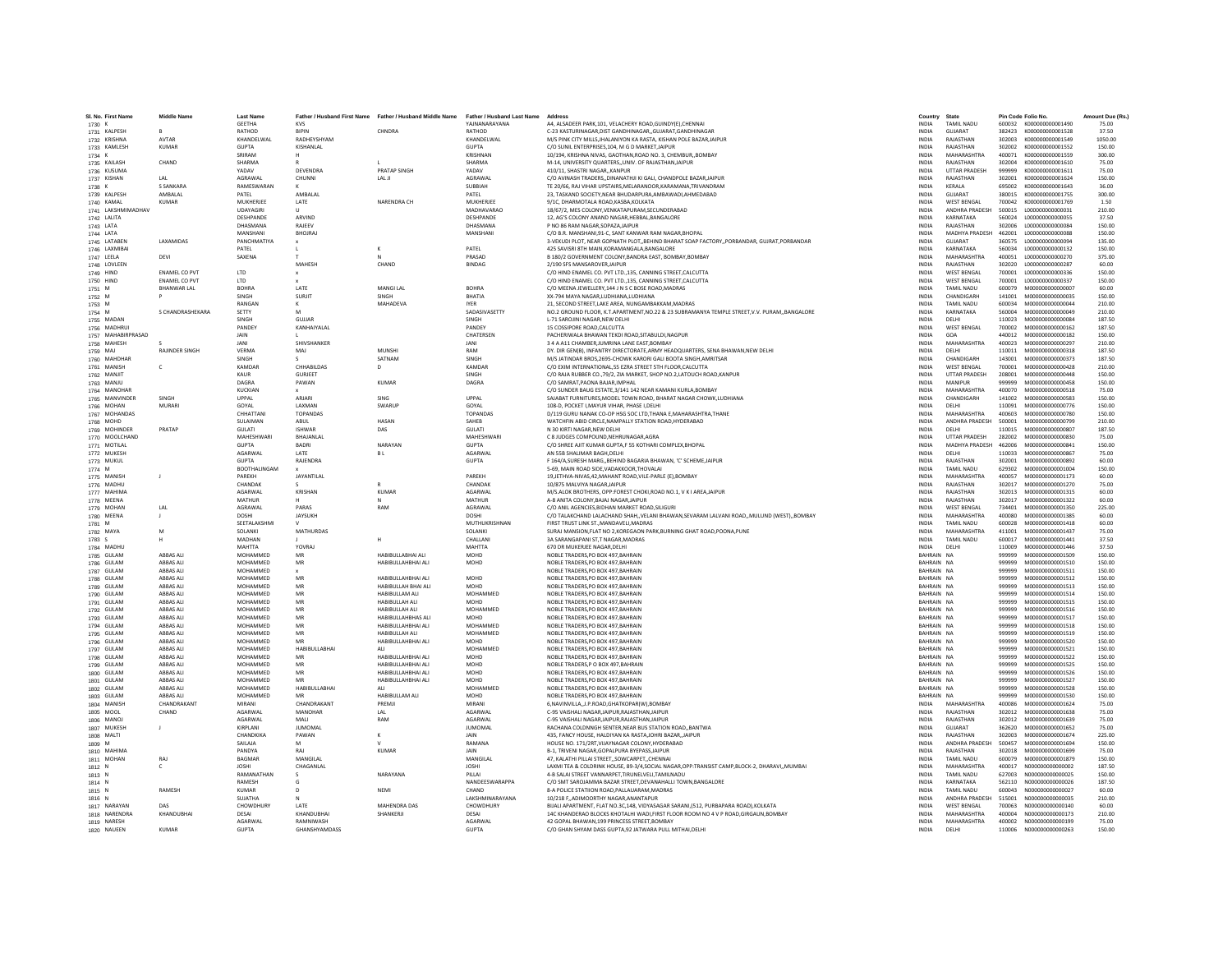| SL No. First Name              | <b>Middle Name</b>            | <b>Last Name</b>                 |                           | Father / Husband First Name Father / Husband Middle Name Father / Husband Last Name |                                     | Address                                                                                                                                               | Country                      | State                                    |                  | Pin Code Folio No.                          | Amount Due (Rs.) |
|--------------------------------|-------------------------------|----------------------------------|---------------------------|-------------------------------------------------------------------------------------|-------------------------------------|-------------------------------------------------------------------------------------------------------------------------------------------------------|------------------------------|------------------------------------------|------------------|---------------------------------------------|------------------|
| 1730 K                         |                               | <b>GEETHA</b>                    | <b>KVS</b>                |                                                                                     | YAINANARAYANA                       | A4. ALSADEER PARK.101. VELACHERY ROAD.GUINDY(E).CHENNAI                                                                                               | <b>INDIA</b>                 | <b>TAMIL NADU</b>                        |                  | 600032 K000000000001490                     | 75.00            |
| 1731 KALPESH                   | $\mathbf{R}$                  | RATHOD                           | <b>RIPIN</b>              | CHNDRA                                                                              | RATHOD                              | C-23 KASTURINAGAR DIST GANDHINAGAR, GUIARAT GANDHINAGAR                                                                                               | <b>INDIA</b>                 | GUIARAT                                  |                  | 382423 K000000000001528                     | 37.50            |
| 1732 KRISHNA                   | <b>AVTAR</b>                  | KHANDELWAL                       | RADHEYSHYAM               |                                                                                     | KHANDELWA                           | M/S PINK CITY MILLS, JHALANIYON KA RASTA, KISHAN POLE BAZAR, JAIPUR                                                                                   | <b>INDIA</b>                 | RAJASTHAN                                | 302003           | K000000000001549                            | 1050.00          |
| 1733 KAMLESH<br>1734 K         | KUMAF                         | GUPTA<br>SRIRAM                  | KISHANLAL<br>н.           |                                                                                     | <b>GUPTA</b><br><b>KRISHNAM</b>     | C/O SUNIL ENTERPRISES, 104, M G D MARKET, JAIPUR<br>10/194, KRISHNA NIVAS, GAOTHAN, ROAD NO. 3, CHEMBUR,, BOMBAY                                      | INDIA<br><b>INDIA</b>        | RAJASTHAN<br>MAHARASHTRA                 | 302002<br>400071 | K000000000001552<br>K000000000001559        | 150.00<br>300.00 |
| 1735 KAILASH                   | CHAND                         | SHARMA                           |                           |                                                                                     | SHARMA                              | M-14. UNIVERSITY QUARTERS., UNIV. OF RAJASTHAN JAIPUR                                                                                                 | <b>INDIA</b>                 | RAJASTHAN                                | 302004           | K000000000001610                            | 75.00            |
| 1736 KUSUMA                    |                               | YADAV                            | DEVENDRA                  | <b>PRATAP SINGH</b>                                                                 | YADAV                               | 410/11. SHASTRI NAGAR, KANPUR                                                                                                                         | <b>INDIA</b>                 | <b>UTTAR PRADESH</b>                     | 999999           | K000000000001611                            | 75.00            |
| 1737 KISHAN                    | LAL                           | AGRAWAL                          | CHUNNI                    | LAL JI                                                                              | AGRAWAL                             | C/O AVINASH TRADERS,,DINANATHJI KI GALI, CHANDPOLE BAZAR,JAIPUR                                                                                       | INDIA                        | RAJASTHAN                                | 302001           | K000000000001624                            | 150.00           |
| 1738 K<br>1739 KALPESH         | <b>S SANKARA</b><br>AMBALAL   | RAMESWARAN<br>PATEL              | AMBALAL                   |                                                                                     | SUBBIAH<br>PATEL                    | TE 20/66, RAJ VIHAR UPSTAIRS, MELARANOOR, KARAMANA, TRIVANDRAM<br>23. TASKAND SOCIETY.NEAR BHUDARPURA.AMBAWADI.AHMEDABAD                              | <b>INDIA</b><br><b>INDIA</b> | KERALA<br>GUJARAT                        | 695002<br>380015 | K000000000001643<br>K000000000001755        | 36.00<br>300.00  |
| 1740 KAMAL                     | KUMAR                         | MUKHERIFF                        | LATE                      | NARENDRA CH                                                                         | MUKHERIFF                           | 9/1C. DHARMOTALA ROAD KASRA KOLKATA                                                                                                                   | <b>INDIA</b>                 | <b>WEST RENGAL</b>                       | 700042           | K000000000001769                            | 1.50             |
| 1741 LAKSHMIMADHAV             |                               | UDAYAGIRI                        |                           |                                                                                     | MADHAVARAC                          | 18/67/2, MES COLONY, VENKATAPURAM, SECUNDERABAD                                                                                                       | INDIA                        | ANDHRA PRADESH                           | 500015           | L00000000000031                             | 210.00           |
| 1742 LALITA                    |                               | DESHPANDE                        | ARVIND                    |                                                                                     | DESHPANDE                           | 12. AG'S COLONY ANAND NAGAR.HEBBAL.BANGALORE                                                                                                          | <b>INDIA</b>                 | KARNATAKA                                | 560024           | L00000000000055                             | 37.50            |
| 1743 LATA<br>1744 LATA         |                               | DHASMANA<br>MANSHANI             | RAJEEV<br><b>BHOIRA</b>   |                                                                                     | DHASMANA<br>MANSHANI                | P NO 86 RAM NAGAR SOPAZA JAIPUR<br>C/O R.R. MANSHANI 91-C. SANT KANWAR RAM NAGAR RHOPAL                                                               | INDIA<br><b>INDIA</b>        | RAJASTHAN<br>MADHYA PRADESH 462001       | 302006           | L000000000000084<br>1.000000000000088       | 150.00<br>150.00 |
| 1745 LATABEN                   | <b>LAXAMIDAS</b>              | PANCHMATIYA                      |                           |                                                                                     |                                     | 3-VEKUDI PLOT, NEAR GOPNATH PLOT, BEHIND BHARAT SOAP FACTORY, PORBANDAR, GUIRAT, PORBANDAR                                                            | <b>INDIA</b>                 | GUIARAT                                  | 360575           | 1.0000000000000094                          | 135.00           |
| 1746 LAXMIBAI                  |                               | PATEL                            |                           |                                                                                     | PATEL                               | 425 SAVISRI 8TH MAIN, KORAMANGALA, BANGALORE                                                                                                          | INDIA                        | KARNATAKA                                | 560034           | L000000000000132                            | 150.00           |
| 1747 LEELA                     | DEVI                          | SAXENA                           |                           |                                                                                     | PRASAD                              | B 180/2 GOVERNMENT COLONY, BANDRA EAST, BOMBAY, BOMBAY                                                                                                | <b>INDIA</b>                 | MAHARASHTRA                              | 400051           | L00000000000270                             | 375.00           |
| 1748 LOVLEEN                   | <b>FNAMEL CO PVT</b>          | <b>ITD</b>                       | MAHESH                    | CHAND                                                                               | <b>BINDAG</b>                       | 2/190 SFS MANSAROVER JAIPUR<br>C/O HIND ENAMEL CO. PVT LTD.,135, CANNING STREET, CALCUTTA                                                             | <b>INDIA</b><br><b>INDIA</b> | RAJASTHAN<br><b>WEST RENGAL</b>          | 700001           | 302020 L000000000000287<br>1000000000000336 | 60.00<br>150.00  |
| 1749 HIND<br>1750 HIND         | <b>ENAMEL CO PVT</b>          | LTD                              |                           |                                                                                     |                                     | C/O HIND ENAMEL CO. PVT LTD., 135, CANNING STREET, CALCUTTA                                                                                           | <b>INDIA</b>                 | <b>WEST BENGAL</b>                       | 700001           | L000000000000337                            | 150.00           |
| 1751 M                         | <b>BHANWAR LAL</b>            | <b>BOHRA</b>                     | LATE                      | MANGI LAL                                                                           | <b>BOHRA</b>                        | C/O MEENA JEWELLERY.144 J N S C BOSE ROAD.MADRAS                                                                                                      | <b>INDIA</b>                 | <b>TAMIL NADU</b>                        | 600079           | M00000000000007                             | 60.00            |
| 1752 M                         |                               | SINGH                            | SURJIT                    | SINGH                                                                               | BHATIA                              | XX-794 MAYA NAGAR,LUDHIANA,LUDHIANA                                                                                                                   | INDIA                        | CHANDIGARH                               | 141001           | M000000000000035                            | 150.00           |
| 1753 M                         | S CHANDRASHEKARA              | RANGAN<br>SETTY                  | $\kappa$<br>M             | MAHADEVA                                                                            | <b>IYER</b><br>SADASIVASETTY        | 21. SECOND STREET LAKE AREA. NUNGAMBAKKAM MADRAS                                                                                                      | <b>INDIA</b><br><b>INDIA</b> | <b>TAMIL NADLI</b><br>KARNATAKA          | 600034<br>560004 | M000000000000044<br>M000000000000049        | 210.00<br>210.00 |
| 1754 M<br>1755 MADAN           |                               | SINGH                            | GUJJAR                    |                                                                                     | SINGH                               | NO.2 GROUND FLOOR, K.T.APARTMENT, NO.22 & 23 SUBRAMANYA TEMPLE STREET, V.V. PURAM, BANGALORE<br>L-71 SAROJINI NAGAR.NEW DELHI                         | <b>INDIA</b>                 | DELHI                                    | 110023           | M000000000000084                            | 187.50           |
| 1756 MADHRUI                   |                               | PANDEY                           | KANHAIYALAL               |                                                                                     | PANDEY                              | 15 COSSIPORE ROAD.CALCUTTA                                                                                                                            | INDIA                        | WEST BENGAL                              | 700002           | M000000000000162                            | 187.50           |
| 1757 MAHABIRPRASAD             |                               | <b>JAIN</b>                      |                           |                                                                                     | CHATERSEN                           | PACHERIWAI A RHAWAN TEKDI ROAD SITARULDI NAGPUR                                                                                                       | <b>INDIA</b>                 | GOA                                      | 440012           | M000000000000182                            | 150.00           |
| 1758 MAHESH                    | <b>RAIINDER SINGH</b>         | <b>JANI</b><br><b>VERMA</b>      | SHIVSHANKER               | MUNSHI                                                                              | <b>JANI</b><br>RAM                  | 3 4 A A11 CHAMBER JUMRINA LANE EAST BOMBAY                                                                                                            | <b>INDIA</b>                 | MAHARASHTRA                              | 400023           | M000000000000297                            | 210.00           |
| 1759 MAJ<br>1760 MAHDHAR       |                               | SINGH                            | MAJ                       | SATNAM                                                                              | SINGH                               | DY, DIR GEN(B), INFANTRY DIRECTORATE.ARMY HEADQUARTERS, SENA BHAWAN.NEW DELHI<br>M/S JATINDAR BROS.2695-CHOWK KARORI GALI BOOTA SINGH.AMRITSAR        | <b>INDIA</b><br><b>INDIA</b> | DELHI<br>CHANDIGARH                      | 110011<br>143001 | M000000000000318<br>M000000000000373        | 187.50<br>187.50 |
| 1761 MANISH                    | $\mathsf{C}$                  | KAMDAR                           | CHHABILDAS                | D                                                                                   | KAMDAR                              | C/O EXIM INTERNATIONAL, 55 EZRA STREET STH FLOOR, CALCUTTA                                                                                            | INDIA                        | <b>WEST BENGAL</b>                       | 700001           | M000000000000428                            | 210.00           |
| 1762 MANJIT                    |                               | KALIR                            | GURIEET                   |                                                                                     | SINGH                               | C/O RAJA RUBBER CO., 79/2, ZIA MARKET, SHOP NO.2, LATOUCH ROAD, KANPUR                                                                                | <b>INDIA</b>                 | <b>UTTAR PRADESH</b>                     | 208001           | M000000000000448                            | 150.00           |
| 1763 MANJU                     |                               | DAGRA                            | PAWAN                     | KUMAR                                                                               | DAGRA                               | C/O SAMRAT, PAONA BAJAR, IMPHAL                                                                                                                       | <b>INDIA</b>                 | MANIPUR                                  | 999999           | M000000000000458                            | 150.00           |
| 1764 MANOHAR                   | SINGH                         | KUCKIAN<br>UPPAL                 | ARJARI                    | SING                                                                                | UPPAL                               | C/O SUNDER BAUG ESTATE, 3/141 142 NEAR KAMANI KURLA, BOMBAY<br>SAJABAT FURNITURES, MODEL TOWN ROAD, BHARAT NAGAR CHOWK, LUDHIANA                      | <b>INDIA</b><br>INDIA        | MAHARASHTRA<br>CHANDIGARH                | 400070<br>141002 | M000000000000518<br>M000000000000583        | 75.00<br>150.00  |
| 1765 MANVINDER<br>1766 MOHAN   | MURARI                        | GOYAL                            | <b>LAXMAN</b>             | SWARLIP                                                                             | GOYAL                               | 108-D. POCKET I MAYUR VIHAR. PHASE LDELHI                                                                                                             | <b>INDIA</b>                 | DELHI                                    | 110091           | M000000000000776                            | 150.00           |
| 1767 MOHANDAS                  |                               | CHHATTAN                         | <b>TOPANDAS</b>           |                                                                                     | <b>TOPANDAS</b>                     | D/119 GURU NANAK CO-OP HSG SOC LTD.THANA E.MAHARASHTRA.THANE                                                                                          | <b>INDIA</b>                 | MAHARASHTRA                              | 400603           | M000000000000780                            | 150.00           |
| 1768 MOHD                      |                               | SULAIMAN                         | ABUL                      | <b>HASAN</b>                                                                        | SAHFR                               | WATCHFIN ABID CIRCLE, NAMPALLY STATION ROAD, HYDERABAD                                                                                                | <b>INDIA</b>                 | ANDHRA PRADESH                           | 500001           | M00000000000799                             | 210.00           |
| 1769 MOHINDER                  | PRATAP                        | GULATI                           | <b>ISHWAR</b>             | DAS                                                                                 | GULATI                              | N 30 KIRTI NAGAR.NEW DELHI                                                                                                                            | <b>INDIA</b>                 | DELHI<br><b>UTTAR PRADESH</b>            | 110015           | M000000000000807                            | 187.50           |
| 1770 MOOLCHAND<br>1771 MOTILAL |                               | <b>MAHESHWAR</b><br><b>GUPTA</b> | BHAJANLAI<br><b>BADRI</b> | NARAYAN                                                                             | MAHESHWARI<br><b>GUPTA</b>          | C 8 JUDGES COMPOUND, NEHRUNAGAR, AGRA<br>C/O SHREE AJIT KUMAR GUPTA,F 55 KOTHARI COMPLEX, BHOPAL                                                      | <b>INDIA</b><br><b>INDIA</b> | MADHYA PRADESH 462006                    | 282002           | M000000000000830<br>M000000000000841        | 75.00<br>150.00  |
| 1772 MUKESH                    |                               | AGARWAL                          | <b>LATE</b>               | <b>BL</b>                                                                           | <b>AGARWAI</b>                      | AN 55R SHALIMAR RAGH DELHI                                                                                                                            | <b>INDIA</b>                 | DELHI                                    | 110033           | M000000000000867                            | 75.00            |
| 1773 MUKUL                     |                               | <b>GUPTA</b>                     | RAJENDRA                  |                                                                                     | <b>GUPTA</b>                        | F 164/A,SURESH MARG,,BEHIND BAGARIA BHAWAN, 'C' SCHEME,JAIPUR                                                                                         | <b>INDIA</b>                 | RAJASTHAN                                | 302001           | M000000000000892                            | 60.00            |
| 1774 M                         |                               | BOOTHALINGAM                     |                           |                                                                                     |                                     | 5-69, MAIN ROAD SIDE, VADAKKOOR, THOVALAI                                                                                                             | INDIA                        | <b>TAMIL NADU</b>                        | 629302           | M000000000001004                            | 150.00           |
| 1775 MANISH                    | $\mathbf{J}$                  | PAREKH<br>CHANDAK                | JAYANTILAL                |                                                                                     | PAREKH<br>CHANDAK                   | 19.JETHVA-NIVAS.42.MAHANT ROAD.VILE-PARLE (E).BOMBAY<br>10/875 MALVIYA NAGAR JAIPUR                                                                   | <b>INDIA</b><br><b>INDIA</b> | MAHARASHTRA<br>RAIASTHAN                 | 400057<br>302017 | M000000000001173<br>M00000000001270         | 60.00<br>75.00   |
| 1776 MADHU<br>1777 MAHIMA      |                               | AGARWAL                          | KRISHAN                   | <b>KUMAR</b>                                                                        | AGARWAL                             | M/S.ALOK BROTHERS, OPP:FOREST CHOKI,ROAD NO.1, V K I AREA,JAIPUR                                                                                      | INDIA                        | RAJASTHAN                                | 302013           | M000000000001315                            | 60.00            |
| 1778 MEENA                     |                               | <b>MATHUR</b>                    |                           |                                                                                     | MATHUR                              | A-8 ANITA COLONY.BAJAJ NAGAR.JAIPUR                                                                                                                   | INDIA                        | RAJASTHAN                                | 302017           | M000000000001322                            | 60.00            |
| 1779 MOHAN                     | LAL                           | AGRAWAL                          | PARAS                     | RAM                                                                                 | AGRAWAL                             | C/O ANIL AGENCIES.BIDHAN MARKET ROAD.SILIGURI                                                                                                         | <b>INDIA</b>                 | <b>WEST BENGAL</b>                       | 734401           | M000000000001350                            | 225.00           |
| 1780 MEENA                     | $\mathsf J$                   | DOSHI<br>SEETALAKSHMI            | JAYSUKH                   |                                                                                     | DOSHI<br>MUTHUKRISHNAN              | C/O TALAKCHAND LALACHAND SHAH, VELANI BHAWAN, SEVARAM LALVANI ROAD, , MULUND (WEST), , BOMBAY<br>FIRST TRUST LINK ST., MANDAVELI, MADRAS              | <b>INDIA</b><br><b>INDIA</b> | MAHARASHTRA<br><b>TAMIL NADLI</b>        | 400080<br>600028 | M000000000001385                            | 60.00<br>60.00   |
| 1781 M<br>1782 MAYA            |                               | SOLANKI                          | MATHURDAS                 |                                                                                     | SOLANKI                             | SURAJ MANSION, FLAT NO 2, KOREGAON PARK, BURNING GHAT ROAD, POONA, PUNE                                                                               | <b>INDIA</b>                 | MAHARASHTRA                              | 411001           | M000000000001418<br>M000000000001437        | 75.00            |
| 1783 S                         | H                             | MADHAN                           |                           | н                                                                                   | CHALLANI                            | 3A SARANGAPANI ST.T NAGAR.MADRAS                                                                                                                      | <b>INDIA</b>                 | <b>TAMIL NADU</b>                        | 600017           | M000000000001441                            | 37.50            |
| 1784 MADHU                     |                               | <b>MAHTTA</b>                    | YOVRAJ                    |                                                                                     | MAHTTA                              | 670 DR MUKERJEE NAGAR.DELHI                                                                                                                           | <b>INDIA</b>                 | DELHI                                    | 110009           | M000000000001446                            | 37.50            |
| 1785 GULAM                     | <b>ARRAS ALL</b>              | MOHAMMED<br>MOHAMMED             | MR                        | HARIRULLARHALALL                                                                    | <b>MOHD</b>                         | NOBLE TRADERS.PO BOX 497.BAHRAIN                                                                                                                      | RAHRAIN NA<br>BAHRAIN NA     |                                          | 999999           | M000000000001509                            | 150.00           |
| 1786 GULAM<br>1787 GULAM       | ABBAS ALI<br>ABBAS ALI        | MOHAMMED                         | MR                        | HABIBULLAHBHAI ALI                                                                  | MOHD                                | NOBLE TRADERS, PO BOX 497, BAHRAIN<br>NOBLE TRADERS, PO BOX 497, BAHRAIN                                                                              | BAHRAIN NA                   |                                          | 999999<br>999999 | M00000000001510<br>M000000000001511         | 150.00<br>150.00 |
| 1788 GULAM                     | <b>ABBAS ALI</b>              | MOHAMMED                         | MR                        | HABIBULLAHBHAI ALI                                                                  | MOHD                                | NOBLE TRADERS, PO BOX 497, BAHRAIN                                                                                                                    | BAHRAIN NA                   |                                          | 999999           | M000000000001512                            | 150.00           |
| 1789 GULAM                     | ABBAS ALI                     | MOHAMMED                         | MR                        | HABIBULLAH BHAI ALI                                                                 | <b>MOHD</b>                         | NOBLE TRADERS.PO BOX 497.BAHRAIN                                                                                                                      | BAHRAIN NA                   |                                          | 999999           | M000000000001513                            | 150.00           |
| 1790 GULAM                     | ABBAS ALI                     | MOHAMMED                         | MR                        | HABIBULLAM ALI                                                                      | MOHAMMED                            | NOBLE TRADERS, PO BOX 497, BAHRAIN                                                                                                                    | BAHRAIN NA                   |                                          | 999999           | M000000000001514                            | 150.00           |
| 1791 GULAM<br>1792 GULAM       | ABBAS ALI<br><b>ABBAS ALI</b> | MOHAMMED<br>MOHAMMED             | MR<br>MR                  | HABIBULLAH ALI<br>HABIBULLAH ALI                                                    | MOHD<br>MOHAMMED                    | NOBLE TRADERS, PO BOX 497, BAHRAIN<br>NOBLE TRADERS.PO BOX 497.BAHRAIN                                                                                | BAHRAIN NA<br>BAHRAIN NA     |                                          | 999999<br>999999 | M000000000001515<br>M000000000001516        | 150.00<br>150.00 |
| 1793 GULAM                     | <b>ABBAS ALI</b>              | MOHAMMED                         | MR                        | HABIBULLAHBHAS ALI                                                                  | MOHD                                | NOBLE TRADERS.PO BOX 497.BAHRAIN                                                                                                                      | BAHRAIN NA                   |                                          | 999999           | M00000000001517                             | 150.00           |
| 1794 GULAM                     | ABBAS ALI                     | MOHAMMED                         | MR                        | HABIBULLAHBHAI ALI                                                                  | MOHAMMED                            | NOBLE TRADERS.PO BOX 497.BAHRAIN                                                                                                                      | BAHRAIN NA                   |                                          | 999999           | M00000000001518                             | 150.00           |
| 1795 GULAM<br>1796 GULAM       | ABBAS ALI<br>ABBAS ALI        | MOHAMMED<br>MOHAMMED             | MR<br>MR                  | HABIBULLAH ALI<br>HABIBULLAHBHAI ALI                                                | MOHAMMED<br><b>MOHD</b>             | NOBLE TRADERS, PO BOX 497, BAHRAIN<br>NOBLE TRADERS.PO BOX 497.BAHRAIN                                                                                | BAHRAIN NA<br>RAHRAIN NA     |                                          | 999999<br>999999 | M000000000001519<br>M000000000001520        | 150.00<br>150.00 |
| 1797 GULAM                     | <b>ABBAS ALI</b>              | MOHAMMED                         | HABIBULLABHAI             | ALL                                                                                 | MOHAMMED                            | NOBLE TRADERS.PO BOX 497.BAHRAIN                                                                                                                      | BAHRAIN NA                   |                                          | 999999           | M000000000001521                            | 150.00           |
| 1798 GULAM                     | <b>ARRAS ALL</b>              | MOHAMMED                         | MR                        | HARIRUI I AHRHAI ALI                                                                | <b>MOHD</b>                         | NORI E TRADERS PO ROX 497 RAHRAIN                                                                                                                     | RAHRAIN NA                   |                                          | 999999           | M000000000001522                            | 150.00           |
| 1799 GULAM                     | ABBAS ALI                     | MOHAMMED                         | MR                        | HABIBULLAHBHAI ALI                                                                  | MOHD                                | NOBLE TRADERS, P O BOX 497, BAHRAIN                                                                                                                   | BAHRAIN NA                   |                                          | 999999           | M00000000001525                             | 150.00           |
| 1800 GULAM                     | ABBAS ALI                     | MOHAMMED                         | MR                        | HABIBULLAHBHAI ALI                                                                  | MOHD                                | NOBLE TRADERS, PO BOX 497, BAHRAIN                                                                                                                    | BAHRAIN NA                   |                                          | 999999           | M000000000001526                            | 150.00           |
| 1801 GULAM<br>1802 GULAM       | ABBAS ALI<br>ABBAS ALI        | MOHAMMED<br>MOHAMMED             | MR<br>HABIBULLABHAI       | HABIBULLAHBHAI ALI<br>ALL.                                                          | MOHD<br>MOHAMMED                    | NOBLE TRADERS.PO BOX 497.BAHRAIN<br>NOBLE TRADERS.PO BOX 497.BAHRAIN                                                                                  | BAHRAIN NA<br>BAHRAIN NA     |                                          | 999999<br>999999 | M00000000001527<br>M000000000001528         | 150.00<br>150.00 |
| 1803 GULAM                     | ABBAS ALI                     | MOHAMMED                         | MR                        | HABIBULLAM ALI                                                                      | <b>MOHD</b>                         | NOBLE TRADERS, PO BOX 497, BAHRAIN                                                                                                                    | BAHRAIN NA                   |                                          | 999999           | M000000000001530                            | 150.00           |
| 1804 MANISH                    | CHANDRAKANT                   | MIRANI                           | CHANDRAKANT               | PREMJI                                                                              | MIRANI                              | 6,NAVINVILLA,,J.P.ROAD,GHATKOPAR(W),BOMBAY                                                                                                            | INDIA                        | <b>MAHARASHTRA</b>                       | 400086           | M000000000001624                            | 75.00            |
| 1805 MOOL                      | CHAND                         | AGARWAL                          | MANOHAR                   | IAI                                                                                 | AGARWAL                             | C-95 VAISHALI NAGAR JAIPUR RAJASTHAN JAIPUR                                                                                                           | <b>INDIA</b>                 | RAJASTHAN                                | 302012           | M00000000001638                             | 75.00            |
| 1806 MANOJ<br>1807 MUKESH      |                               | AGARWAL<br>KIRPLANI              | MALI<br><b>IUMOMA</b>     | RAM                                                                                 | AGARWAL<br><b>JUMOMAI</b>           | C-95 VAISHALI NAGAR JAIPUR RAJASTHAN JAIPUR<br>RACHANA COLDNNGH SENTER, NEAR BUS STATION ROADBANTWA                                                   | <b>INDIA</b><br><b>INDIA</b> | RAJASTHAN<br>GUIARAT                     | 302012<br>362620 | M000000000001639<br>M00000000001652         | 75.00<br>75.00   |
| 1808 MALTI                     |                               | CHANDKIKA                        | PAWAN                     |                                                                                     | JAIN                                | 435, FANCY HOUSE, HALDIYAN KA RASTA, JOHRI BAZAR, JAIPUR                                                                                              | INDIA                        | RAJASTHAN                                | 302003           | M000000000001674                            | 225.00           |
| 1809 M                         |                               | SAILAJA                          |                           |                                                                                     | RAMANA                              | HOUSE NO. 171/2RT.VIJAYNAGAR COLONY.HYDERABAD                                                                                                         | <b>INDIA</b>                 | ANDHRA PRADESH                           | 500457           | M000000000001694                            | 150.00           |
| 1810 MAHIMA                    |                               | PANDYA                           | RAJ                       | <b>KUMAR</b>                                                                        | <b>JAIN</b>                         | B-1. TRIVENI NAGAR.GOPALPURA BYEPASS.JAIPUR                                                                                                           | <b>INDIA</b>                 | RAJASTHAN                                | 302018           | M000000000001699                            | 75.00            |
| 1811 MOHAN                     | RAI                           | <b>BAGMAR</b><br><b>JOSHI</b>    | MANGILAI                  |                                                                                     | MANGIL AL<br><b>JOSHI</b>           | 47. KALATHI PILLAI STREET, SOWCARPET, CHENNAL                                                                                                         | <b>INDIA</b>                 | <b>TAMIL NADLI</b><br><b>MAHARASHTRA</b> | 600079<br>400017 | M000000000001879<br>N00000000000002         | 150.00<br>187.50 |
| 1812 N<br>1813 N               |                               | RAMANATHAN                       | CHAGANLAL                 | NARAYANA                                                                            | PILLAI                              | LAXMI TEA & COLDRINK HOUSE, 89-3/4, SOCIAL NAGAR, OPP: TRANSIST CAMP, BLOCK-2, DHARAVI,, MUMBAI<br>4-B SALAI STREET VANNARPET, TIRUNELVELI, TAMILNADU | INDIA<br>INDIA               | TAMIL NADU                               | 627003           | N00000000000025                             | 150.00           |
| 1814 N                         |                               | RAMESH                           | <b>G</b>                  |                                                                                     | NANDEESWARAPPA                      | C/O SMT SAROJAMMA BAZAR STREET.DEVANAHALLI TOWN.BANGALORE                                                                                             | <b>INDIA</b>                 | KARNATAKA                                | 562110           | N00000000000026                             | 187.50           |
| 1815 N                         | RAMESH                        | <b>KUMAR</b>                     | D                         | NEMI                                                                                | CHAND                               | 8-A POLICE STATIION ROAD.PALLAUARAM.MADRAS                                                                                                            | <b>INDIA</b>                 | <b>TAMIL NADU</b>                        | 600043           | N00000000000027                             | 60.00            |
| 1816 N<br>1817 NARAYAN         | DAS                           | SUJATHA<br>CHOWDHUR              | LATE                      | MAHENDRA DAS                                                                        | LAKSHMINARAYANA<br><b>CHOWDHURY</b> | 10/218 F. ADIMOORTHY NAGAR ANANTAPUR<br>BIJALI APARTMENT, FLAT NO.3C,148, VIDYASAGAR SARANI,(512, PURBAPARA ROAD),KOLKATA                             | <b>INDIA</b><br>INDIA        | ANDHRA PRADESH<br><b>WEST BENGAL</b>     | 515001<br>700063 | N000000000000035<br>N000000000000140        | 210.00<br>60.00  |
| 1818 NARENDRA                  | KHANDUBHAI                    | DESAI                            | KHANDUBHAI                | SHANKERJI                                                                           | DESAI                               | 14C KHANDERAO BLOCKS KHOTALHI WADI.FIRST FLOOR ROOM NO 4 V P ROAD.GIRGAUN.BOMBAY                                                                      | <b>INDIA</b>                 | MAHARASHTRA                              | 400004           | N000000000000173                            | 210.00           |
| 1819 NARESH                    |                               | AGARWAL                          | RAMNIWASH                 |                                                                                     | AGARWAL                             | 42 GOPAL BHAWAN.199 PRINCESS STREET.BOMBAY                                                                                                            | <b>INDIA</b>                 | MAHARASHTRA                              |                  | 400002 N000000000000199                     | 75.00            |
| 1820 NAUEEN                    | KUMAR                         | GUPTA                            | <b>GHANSHYAMDASS</b>      |                                                                                     | <b>GUPTA</b>                        | C/O GHAN SHYAM DASS GUPTA.92 JATWARA PULL MITHAI.DELHI                                                                                                | <b>INDIA</b>                 | DELHI                                    |                  |                                             | 150.00           |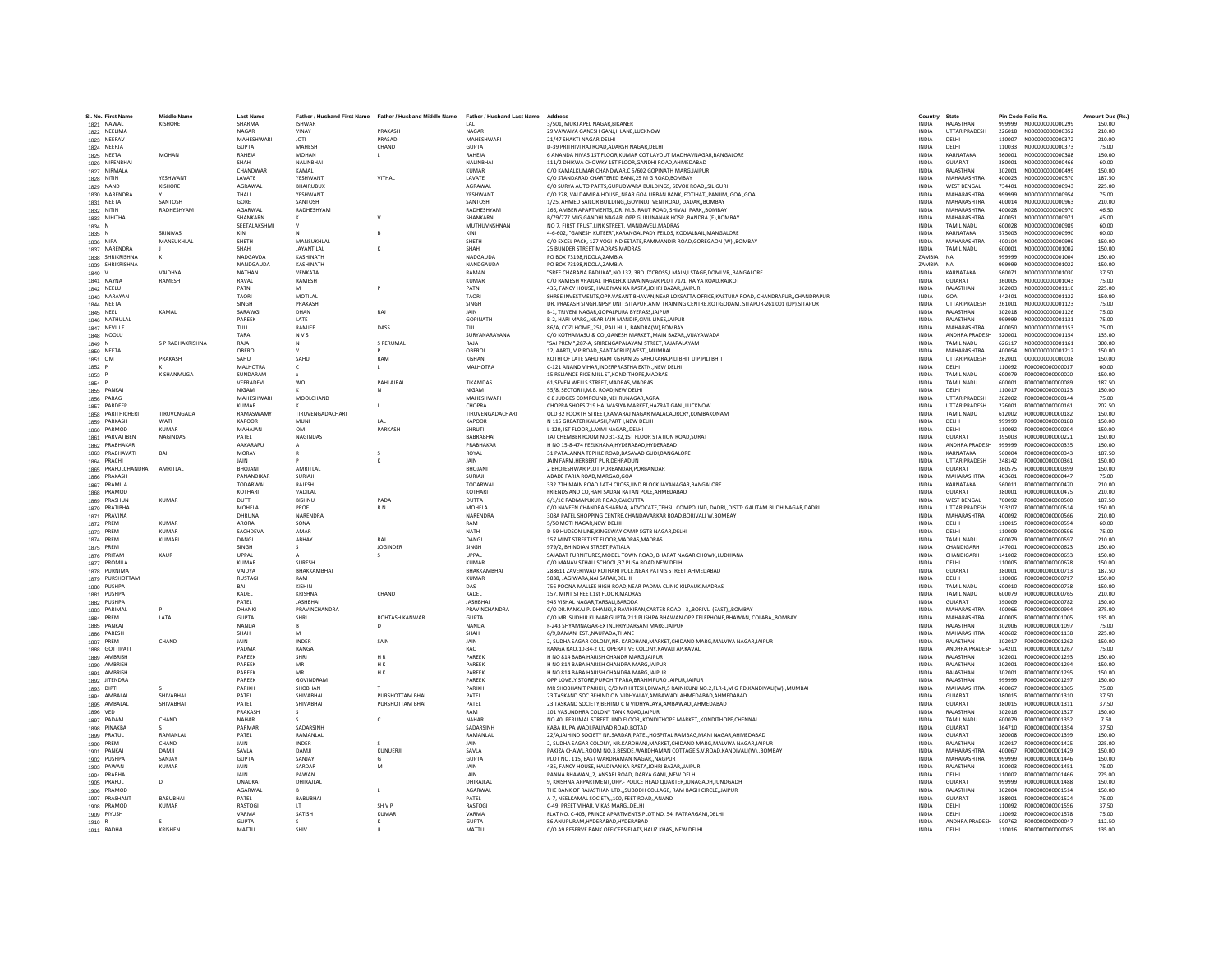| SL No. First Name<br>1821 NAWAL   | <b>Middle Name</b><br><b>KISHORE</b> | <b>Last Name</b><br>SHARMA | <b>ISHWAR</b>     | Father / Husband First Name Father / Husband Middle Name Father / Husband Last Name |                                | Address<br>3/501. MUKTAPEL NAGAR.BIKANER                                                                                                                 | Country<br><b>INDIA</b>      | State<br>RAJASTHAN                 |                  | Pin Code Folio No.<br>999999 N000000000000299 | Amount Due (Rs.)<br>150.00 |
|-----------------------------------|--------------------------------------|----------------------------|-------------------|-------------------------------------------------------------------------------------|--------------------------------|----------------------------------------------------------------------------------------------------------------------------------------------------------|------------------------------|------------------------------------|------------------|-----------------------------------------------|----------------------------|
| 1822 NEELIMA                      |                                      | <b>NAGAR</b>               | VINAY             | PRAKASH                                                                             | <b>NAGAR</b>                   | 29 VAWAIYA GANESH GANLILLANE LUCKNOW                                                                                                                     | <b>INDIA</b>                 | <b>UTTAR PRADESH</b>               |                  |                                               | 210.00                     |
| 1823 NEERAV                       |                                      | <b>MAHESHWAR</b>           | <b>JOTI</b>       | PRASAD                                                                              | MAHESHWAR                      | 21/47 SHAKTI NAGAR DELHI                                                                                                                                 | <b>INDIA</b>                 | DELHI                              | 110007           | N00000000000372                               | 210.00                     |
| 1824 NEERJA                       |                                      | <b>GUPTA</b>               | MAHESH            | CHAND                                                                               | <b>GUPTA</b>                   | D-39 PRITHIVI RAJ ROAD, ADARSH NAGAR, DELHI                                                                                                              | <b>INDIA</b>                 | DELHI                              | 110033           | N000000000000373                              | 75.00                      |
| 1825 NEETA                        | MOHAN                                | RAHEJA                     | <b>MOHAN</b>      |                                                                                     | RAHEJA                         | 6 ANANDA NIVAS 1ST FLOOR, KUMAR COT LAYOUT MADHAVNAGAR, BANGALORE                                                                                        | <b>INDIA</b>                 | KARNATAKA                          | 560001           | N000000000000388                              | 150.00                     |
| 1826 NIRENBHA                     |                                      | SHAH                       | NALINBHAI         |                                                                                     | NALINBHAI                      | 111/2 DHIKWA CHOWKY 1ST FLOOR GANDHI ROAD AHMEDABAD                                                                                                      | <b>INDIA</b>                 | GUJARAT                            | 380001           | N000000000000466                              | 60.00                      |
| 1827 NIRMALA                      |                                      | CHANDWAR                   | KAMAI             |                                                                                     | KUMAR                          | C/O KAMALKUMAR CHANDWAR C 5/602 GOPINATH MARG JAIPUR                                                                                                     | <b>INDIA</b>                 | RAIASTHAN                          | 302001           | N000000000000499                              | 150.00                     |
| 1828 NITIN                        | YESHWANT                             | LAVATE                     | YESHWANT          | VITHAL                                                                              | LAVATE                         | C/O STANDARAD CHARTERED BANK, 25 M G ROAD, BOMBAY                                                                                                        | <b>INDIA</b>                 | <b>MAHARASHTRA</b>                 | 400023           | N000000000000570                              | 187.50                     |
| 1829 NAND                         | KISHORE                              | AGRAWAL                    | <b>BHAIRUBUX</b>  |                                                                                     | AGRAWAL                        | C/O SURYA AUTO PARTS.GURUDWARA BUILDINGS, SEVOK ROAD., SILIGURI                                                                                          | <b>INDIA</b>                 | <b>WEST BENGAL</b>                 | 734401           | N000000000000943                              | 225.00                     |
| 1830 NARENDRA                     |                                      | THALI                      | YESHWANT          |                                                                                     | YESHWANT                       | C/O 278, VALDAMIRA HOUSENEAR GOA URBAN BANK, FOTIHAT., PANJIM, GOA., GOA                                                                                 | <b>INDIA</b>                 | MAHARASHTRA                        | 999999           | N000000000000954                              | 75.00                      |
| 1831 NEETA                        | SANTOSH                              | GORE                       | SANTOSH           |                                                                                     | SANTOSH                        | 1/25. AHMED SAILOR BUILDINGGOVINDJI VENI ROAD. DADARBOMBAY                                                                                               | <b>INDIA</b>                 | MAHARASHTRA                        | 400014           | N000000000000963                              | 210.00                     |
| 1832 NITIN                        | RADHESHYAM                           | AGARWAL                    | RADHESHYAM        |                                                                                     | RADHESHYAM                     | 166, AMBER APARTMENTS, DR. M.B. RAUT ROAD, SHIVAJI PARK, BOMBAY                                                                                          | <b>INDIA</b>                 | MAHARASHTRA                        | 400028           | N00000000000970                               | 46.50                      |
| 1833 NIHITHA                      |                                      | SHANKARN<br>SEETALAKSHMI   |                   |                                                                                     | SHANKARN<br>MUTHUVNSHNAN       | B/79/777 MIG.GANDHI NAGAR, OPP GURUNANAK HOSP., BANDRA (E), BOMBAY<br>NO 7, FIRST TRUST, LINK STREET, MANDAVELI, MADRAS                                  | <b>INDIA</b><br>INDIA        | MAHARASHTRA<br><b>TAMIL NADU</b>   | 400051<br>600028 | N00000000000971<br>N000000000000989           | 45.00<br>60.00             |
| 1834 N<br>1835 N                  | SRINIVAS                             | KINI                       |                   |                                                                                     | KINI                           | 4-6-602. "GANESH KUTEER" KARANGALPADY FELLDS, KODIALRAIL MANGALORE                                                                                       | <b>INDIA</b>                 | KARNATAKA                          | 575003           | N000000000000990                              | 60.00                      |
| 1836 NIPA                         | MANSUKHLAL                           | SHETH                      | <b>MANSUKHLAI</b> |                                                                                     | SHETH                          | C/O EXCEL PACK, 127 YOGI IND.ESTATE,RAMMANDIR ROAD,GOREGAON (W),,BOMBAY                                                                                  | <b>INDIA</b>                 | MAHARASHTRA                        | 400104           | N000000000000999                              | 150.00                     |
| 1837 NARENDRA                     |                                      | SHAH                       | <b>JAYANTILAL</b> |                                                                                     | SHAH                           | 25 BUNDER STREET, MADRAS, MADRAS                                                                                                                         | <b>INDIA</b>                 | <b>TAMIL NADU</b>                  | 600001           | N000000000001002                              | 150.00                     |
| 1838 SHRIKRISHNA                  |                                      | NADGAVDA                   | KASHINATH         |                                                                                     | NADGAUD/                       | PO BOX 73198, NDOLA, ZAMBIA                                                                                                                              | ZAMBIA                       |                                    | 999999           | N000000000001004                              | 150.00                     |
| 1839 SHRIKRISHNA                  |                                      | NANDGAUDA                  | KASHINATH         |                                                                                     | NANDGAUDA                      | PO BOX 73198.NDOLA.ZAMBIA                                                                                                                                | ZAMBIA                       | <b>NA</b>                          | 999999           | N000000000001022                              | 150.00                     |
| 1840 V                            | VAIDHYA                              | <b>NATHAN</b>              | VENKATA           |                                                                                     | RAMAN                          | "SREE CHARANA PADUKA".NO.132. 3RD 'D'CROSS.I MAIN.I STAGE.DOMLVRBANGALORE                                                                                | <b>INDIA</b>                 | KARNATAKA                          | 560071           | N000000000001030                              | 37.50                      |
| 1841 NAYNA                        | RAMESH                               | RAVAL                      | RAMESH            |                                                                                     | <b>KUMAR</b>                   | C/O RAMESH VRAJLAL THAKER, KIDWAINAGAR PLOT 71/1, RAIYA ROAD, RAJKOT                                                                                     | <b>INDIA</b>                 | GUIARAT                            | 360005           | N000000000001043                              | 75.00                      |
| 1842 NEELU                        |                                      | PATNI                      |                   |                                                                                     | PATNI                          | 435, FANCY HOUSE, HALDIYAN KA RASTAJOHRI BAZAR, JAIPUR                                                                                                   | <b>INDIA</b>                 | RAJASTHAN                          | 302003           | N000000000001110                              | 225.00                     |
| 1843 NARAYAN                      |                                      | TAORI                      | MOTILAL           |                                                                                     | TAORI                          | SHREE INVESTMENTS, OPP. VASANT BHAVAN, NEAR LOKSATTA OFFICE, KASTURA ROAD,, CHANDRAPUR,, CHANDRAPUR                                                      | INDIA                        | GOA                                | 442401           | N000000000001122                              | 150.00                     |
| 1844 NEETA                        |                                      | <b>SINGH</b>               | PRAKASH           |                                                                                     | SINGH                          | DR. PRAKASH SINGH, NPSP UNIT:SITAPUR, ANM TRAINING CENTRE, ROTIGODAM, , SITAPUR-261 001 (UP), SITAPUR                                                    | <b>INDIA</b>                 | <b>UTTAR PRADESH</b>               | 261001           | N000000000001123                              | 75.00                      |
| 1845 NEEL<br>1846 NATHULAL        | KAMAI                                | SARAWGI<br>PAREEK          | DHAN<br>LATE      | RAI                                                                                 | <b>JAIN</b><br><b>GOPINATH</b> | B-1. TRIVENI NAGAR.GOPALPURA BYEPASS.JAIPUR<br>B-2. HARI MARGNEAR JAIN MANDIR.CIVIL LINES.JAIPUR                                                         | <b>INDIA</b><br><b>INDIA</b> | RAIASTHAN<br>RAJASTHAN             | 302018<br>999999 | N00000000001126<br>N000000000001131           | 75.00<br>75.00             |
| 1847 NEVILLE                      |                                      | TULI                       | RAMJEE            | DASS                                                                                | <b>TULI</b>                    | 86/A, COZI HOME, 251, PALI HILL, BANDRA(W), BOMBAY                                                                                                       | <b>INDIA</b>                 | MAHARASHTRA                        | 400050           | N000000000001153                              | 75.00                      |
| 1848 NOOLU                        |                                      | TARA                       | <b>NVS</b>        |                                                                                     | SURYANARAYANA                  | C/O KOTHAMASU & CO. GANESH MARKET, MAIN BAZAR, VIJAYAWADA                                                                                                | <b>INDIA</b>                 | ANDHRA PRADESH                     | 520001           | N000000000001154                              | 135.00                     |
| 1849 N                            | S P RADHAKRISHNA                     | RAIA                       | N                 | S PERUMAL                                                                           | RAIA                           | "SAI PREM".287-A. SRIRENGAPALAYAM STREET.RAJAPALAYAM                                                                                                     | <b>INDIA</b>                 | <b>TAMIL NADLI</b>                 | 626117           | N000000000001161                              | 300.00                     |
| 1850 NEETA                        |                                      | OREROL                     |                   |                                                                                     | OBEROL                         | 12. AARTI, V P ROAD, SANTACRUZIWEST), MUMBAI                                                                                                             | <b>INDIA</b>                 | MAHARASHTRA                        | 400054           | N000000000001212                              | 150.00                     |
| 1851 OM                           | PRAKASH                              | SAHU                       | SAHU              | RAM                                                                                 | KISHAN                         | KOTHI OF LATE SAHU RAM KISHAN,26 SAHUKARA,PILI BHIT U P,PILI BHIT                                                                                        | <b>INDIA</b>                 | <b>UTTAR PRADESH</b>               | 262001           | 000000000000038                               | 150.00                     |
| 1852 P                            |                                      | MALHOTRA                   | c                 |                                                                                     | <b>MALHOTRA</b>                | C-121 ANAND VIHAR, INDERPRASTHA EXTN., NEW DELHI                                                                                                         | INDIA                        | DELHI                              | 110092           | P000000000000017                              | 60.00                      |
| 1853 P                            | <b>K SHANMUGA</b>                    | SUNDARAM                   |                   |                                                                                     |                                | 15 RELIANCE RICE MILL ST KONDITHOPE MADRAS                                                                                                               | <b>INDIA</b>                 | <b>TAMIL NADLI</b>                 | 600079           | P000000000000020                              | 150.00                     |
| 1854 P                            |                                      | VEERADEVI                  | <b>WO</b>         | PAHLAJRAI                                                                           | <b>TIKAMDAS</b>                | 61, SEVEN WELLS STREET, MADRAS, MADRAS                                                                                                                   | <b>INDIA</b>                 | <b>TAMIL NADU</b>                  | 600001           | P000000000000089                              | 187.50                     |
| 1855 PANKAJ                       |                                      | NIGAM                      |                   | N                                                                                   | NIGAM                          | 55/8. SECTORI I.M.B. ROAD.NEW DELHI                                                                                                                      | <b>INDIA</b>                 | DELHI                              | 110017           | P000000000000123                              | 150.00                     |
| 1856 PARAG                        |                                      | MAHESHWARI                 | MOOLCHAND         |                                                                                     | MAHESHWAR                      | C 8 JUDGES COMPOUND, NEHRUNAGAR, AGRA                                                                                                                    | <b>INDIA</b>                 | <b>UTTAR PRADESH</b>               | 282002           | P000000000000144                              | 75.00                      |
| 1857 PARDEEP<br>1858 PARITHICHERI | TIRUVCNGADA                          | KUMAR<br>RAMASWAMY         | TIRUVENGADACHARI  | $\blacksquare$                                                                      | CHOPRA<br>TIRUVENGADACHARI     | CHOPRA SHOES 719 HALWASIYA MARKET.HAZRAT GANJ.LUCKNOW<br>OLD 32 FOORTH STREET, KAMARAJ NAGAR MALACAURCRY, KOMBAKONAM                                     | <b>INDIA</b><br><b>INDIA</b> | <b>UTTAR PRADESH</b><br>TAMIL NADU | 226001<br>612002 | P000000000000161<br>P000000000000182          | 202.50<br>150.00           |
| 1859 PARKASH                      | WATI                                 | <b>KAPOOR</b>              | MUNI              | LAL                                                                                 | KAPOOR                         | N 115 GREATER KAILASH, PART I, NEW DELHI                                                                                                                 | <b>INDIA</b>                 | DELHI                              | 999999           | P000000000000188                              | 150.00                     |
| 1860 PARMOD                       | <b>KUMAF</b>                         | MAHAJAN                    | OM                | PARKASH                                                                             | SHRUTI                         | L-120, IST FLOOR,,LAXMI NAGAR,,DELHI                                                                                                                     | INDIA                        | DELHI                              | 110092           | P000000000000204                              | 150.00                     |
| 1861 PARVATIBEN                   | <b>NAGINDAS</b>                      | PATEL                      | <b>NAGINDAS</b>   |                                                                                     | RARRARHA                       | TAJ CHEMBER ROOM NO 31-32,1ST FLOOR STATION ROAD, SURAT                                                                                                  | <b>INDIA</b>                 | GUIARAT                            | 395003           | P000000000000221                              | 150.00                     |
| 1862 PRABHAKAR                    |                                      | <b>AAKARAPLI</b>           |                   |                                                                                     | PRARHAKAE                      | H NO 15-8-474 FEELKHANA.HYDERABAD.HYDERABAD                                                                                                              | <b>INDIA</b>                 | ANDHRA PRADESH                     | 999999           | P000000000000335                              | 150.00                     |
| 1863 PRABHAVATI                   | RAI                                  | MORAY                      |                   | s                                                                                   | ROYAL                          | 31 PATALANNA TEPHLE ROAD.BASAVAD GUDI.BANGALORE                                                                                                          | <b>INDIA</b>                 | KARNATAKA                          | 560004           | P000000000000343                              | 187.50                     |
| 1864 PRACHI                       |                                      | <b>JAIN</b>                |                   |                                                                                     | JAIN                           | JAIN FARM.HERBERT PUR.DEHRADUN                                                                                                                           | <b>INDIA</b>                 | <b>UTTAR PRADESH</b>               | 248142           | P000000000000361                              | 150.00                     |
| 1865 PRAFULCHANDRA                | AMRITLAL                             | BHOJANI                    | AMRITLAL          |                                                                                     | BHOJANI                        | 2 BHOJESHWAR PLOT, PORBANDAR, PORBANDAR                                                                                                                  | INDIA                        | GUJARAT                            | 360575           | P000000000000399                              | 150.00                     |
| 1866 PRAKASH                      |                                      | PANANDIKAR                 | SURIAJI           |                                                                                     | SURIAIL                        | ABADE FARIA ROAD.MARGAO.GOA                                                                                                                              | <b>INDIA</b>                 | MAHARASHTRA                        | 403601           | P0000000000000447                             | 75.00                      |
| 1867 PRAMILA                      |                                      | TODARWAL<br>KOTHARI        | RAJESH<br>VADILAL |                                                                                     | TODARWA<br>KOTHARI             | 332 7TH MAIN ROAD 14TH CROSS, IIND BLOCK JAYANAGAR, BANGALORE                                                                                            | <b>INDIA</b>                 | KARNATAKA<br>GUJARAT               | 560011<br>380001 | P000000000000470<br>P000000000000475          | 210.00<br>210.00           |
| 1868 PRAMOD<br>1869 PRASHUN       | <b>KUMAR</b>                         | <b>DUTT</b>                | <b>BISHNU</b>     | PADA                                                                                | <b>DUTTA</b>                   | FRIENDS AND CO, HARI SADAN RATAN POLE, AHMEDABAD<br>6/1/1C PADMAPUKUR ROAD.CALCUTTA                                                                      | INDIA<br>INDIA               | <b>WEST BENGAL</b>                 | 700092           | P000000000000500                              | 187.50                     |
| 1870 PRATIBHA                     |                                      | MOHELA                     | PROF              | R <sub>N</sub>                                                                      | MOHELA                         | C/O NAVEEN CHANDRA SHARMA, ADVOCATE, TEHSIL COMPOUND, DADRI, , DISTT: GAUTAM BUDH NAGAR, DADRI                                                           | <b>INDIA</b>                 | <b>UTTAR PRADESH</b>               | 203207           | P000000000000514                              | 150.00                     |
| 1871 PRAVINA                      |                                      | DHRUNA                     | NARENDRA          |                                                                                     | NARENDRA                       | 308A PATEL SHOPPING CENTRE.CHANDAVARKAR ROAD.BORIVALI W.BOMBAY                                                                                           | <b>INDIA</b>                 | MAHARASHTRA                        | 400092           | P000000000000566                              | 210.00                     |
| 1872 PREM                         | KUMAR                                | ARORA                      | SONA              |                                                                                     | RAM                            | 5/50 MOTI NAGAR NEW DELHI                                                                                                                                | <b>INDIA</b>                 | DELHI                              | 110015           | P000000000000594                              | 60.00                      |
| 1873 PREM                         | <b>KUMAF</b>                         | SACHDEVA                   | AMAR              |                                                                                     | <b>NATH</b>                    | D-59 HUDSON LINE, KINGSWAY CAMP SGTB NAGAR, DELHI                                                                                                        | INDIA                        | DELHI                              | 110009           | P000000000000596                              | 75.00                      |
| 1874 PREM                         | KUMARI                               | <b>DANGI</b>               | ABHAY             | RAI                                                                                 | DANGI                          | 157 MINT STREET IST FLOOR MADRAS MADRAS                                                                                                                  | <b>INDIA</b>                 | TAMIL NADU                         | 600079           | P000000000000597                              | 210.00                     |
| 1875 PREM                         |                                      | SINGH                      | - 5.              | <b>JOGINDER</b>                                                                     | SINGH                          | 979/2. BHINDIAN STREET.PATIALA                                                                                                                           | <b>INDIA</b>                 | CHANDIGARH                         | 147001           | P000000000000623                              | 150.00                     |
| 1876 PRITAM                       | KAUR                                 | LIPPAL                     |                   | s                                                                                   | <b>HPPAL</b>                   | SAJABAT FURNITURES.MODEL TOWN ROAD, BHARAT NAGAR CHOWK.LUDHIANA                                                                                          | <b>INDIA</b>                 | CHANDIGARH                         | 141002           | P000000000000653                              | 150.00                     |
| 1877 PROMILA                      |                                      | <b>KUMAR</b>               | SURESH            |                                                                                     | <b>KUMAR</b>                   | C/O MANAV STHALI SCHOOL,37 PUSA ROAD, NEW DELHI                                                                                                          | INDIA                        | DELHI                              | 110005           | P000000000000678                              | 150.00                     |
| 1878 PURNIMA<br>1879 PURSHOTTAM   |                                      | VAIDYA<br><b>RUSTAGI</b>   | BHAKKAMBHA<br>RAM |                                                                                     | BHAKKAMBHAI<br><b>KUMAR</b>    | 288611 ZAVERIWAD KOTHARI POLE, NEAR PATNIS STREET, AHMEDABAD<br>5838. JAGIWARA.NAI SARAK.DELHI                                                           | <b>INDIA</b><br><b>INDIA</b> | GUJARAT<br>DELHI                   | 380001<br>110006 | P000000000000713<br>P000000000000717          | 187.50<br>150.00           |
| 1880 PUSHPA                       |                                      | RAI                        | KISHIN            |                                                                                     | DAS                            | 756 POONA MALLEE HIGH ROAD, NEAR PADMA CLINIC KILPAUK, MADRAS                                                                                            | <b>INDIA</b>                 | <b>TAMIL NADU</b>                  | 600010           | P000000000000738                              | 150.00                     |
| 1881 PUSHPA                       |                                      | KADEL                      | KRISHNA           | CHAND                                                                               | KADEL                          | 157, MINT STREET, 1st FLOOR, MADRAS                                                                                                                      | INDIA                        | <b>TAMIL NADU</b>                  | 600079           | P000000000000765                              | 210.00                     |
| 1882 PUSHPA                       |                                      | PATEL                      | <b>JASHBHAI</b>   |                                                                                     | <b>JASHBHAI</b>                | 945 VISHAL NAGAR.TARSALI.BARODA                                                                                                                          | <b>INDIA</b>                 | GUJARAT                            | 390009           | P000000000000782                              | 150.00                     |
| 1883 PARIMAL                      |                                      | DHANKI                     | PRAVINCHANDRA     |                                                                                     | PRAVINCHANDRA                  | C/O DR.PANKAJ P. DHANKI,3-RAVIKIRAN,CARTER ROAD - 3,,BORIVLI (EAST),,BOMBAY                                                                              | <b>INDIA</b>                 | MAHARASHTRA                        | 400066           | P000000000000994                              | 375.00                     |
| 1884 PREM                         | LATA                                 | <b>GUPTA</b>               | SHRI              | ROHTASH KANWAR                                                                      | <b>GUPTA</b>                   | C/O MR. SUDHIR KUMAR GUPTA.211 PUSHPA BHAWAN.OPP TELEPHONE.BHAWAN. COLABABOMBAY                                                                          | <b>INDIA</b>                 | MAHARASHTRA                        | 400005           | P000000000001005                              | 135.00                     |
| 1885 PANKAJ                       |                                      | NANDA                      |                   | $\Omega$                                                                            | NANDA                          | F-243 SHYAMNAGAR-EXTN,, PRIYDARSANI MARG, JAIPUR                                                                                                         | <b>INDIA</b>                 | RAJASTHAN                          | 302006           | P000000000001097                              | 75.00                      |
| 1886 PARESH                       |                                      | SHAH                       |                   |                                                                                     | SHAH                           | 6/9, DAMANI EST., NAUPADA, THANE                                                                                                                         | <b>INDIA</b>                 | MAHARASHTRA                        | 400602           | P000000000001138                              | 225.00                     |
| 1887 PREM                         | CHAND                                | <b>JAIN</b>                | INDER             | SAIN                                                                                | JAIN                           | 2, SUDHA SAGAR COLONY, NR. KARDHANI, MARKET, CHIDAND MARG, MALVIYA NAGAR, JAIPUR                                                                         | <b>INDIA</b>                 | RAJASTHAN                          | 302017           | P000000000001262                              | 150.00                     |
| 1888 GOTTIPAT                     |                                      | PADMA<br>PARFFK            | RANGA             | <b>HR</b>                                                                           | <b>RAO</b><br>PARFFK           | RANGA RAO.10-34-2 CO OPERATIVE COLONY.KAVALI AP.KAVALI                                                                                                   | <b>INDIA</b>                 | ANDHRA PRADESH<br>RAIASTHAN        | 524201           | P000000000001267                              | 75.00<br>150.00            |
| 1889 AMBRISH<br>1890 AMBRISH      |                                      | PAREEK                     | SHRI<br>MR        | HK                                                                                  | PAREEK                         | H NO 814 BABA HARISH CHANDR MARGJAIPUR<br>H NO 814 BABA HARISH CHANDRA MARG, JAIPUR                                                                      | <b>INDIA</b><br>INDIA        | RAJASTHAN                          | 302001<br>302001 | P000000000001293<br>P000000000001294          | 150.00                     |
| 1891 AMBRISH                      |                                      | PAREEK                     | MR                | H K                                                                                 | PAREEK                         | H NO 814 BABA HARISH CHANDRA MARG, JAIPUR                                                                                                                | INDIA                        | RAJASTHAN                          | 302001           | P000000000001295                              | 150.00                     |
| 1892 JITENDRA                     |                                      | PAREEK                     | GOVINDRAM         |                                                                                     | PAREEK                         | OPP LOVELY STORE.PUROHIT PARA.BRAHMPURO JAIPUR.JAIPUR                                                                                                    | <b>INDIA</b>                 | RAJASTHAN                          | 999999           | P000000000001297                              | 150.00                     |
| 1893 DIPTI                        |                                      | PARIKH                     | SHOBHAN           |                                                                                     | PARIKH                         | MR SHOBHAN T PARIKH, C/O MR HITESH,DIWAN,5 RAJNIKUNJ NO.2,FLR-1,M G RD,KANDIVALI(W),,MUMBAI                                                              | <b>INDIA</b>                 | MAHARASHTRA                        | 400067           | P000000000001305                              | 75.00                      |
| 1894 AMBALAL                      | SHIVARHAI                            | PATEL                      | SHIVABHAI         | PURSHOTTAM BHAI                                                                     | PATEL                          | 23 TASKAND SOC BEHIND C N VIDHYALAY, AMBAWADI AHMEDABAD, AHMEDABAD                                                                                       | <b>INDIA</b>                 | GUIARAT                            | 380015           | P000000000001310                              | 37.50                      |
| 1895 AMBALAL                      | SHIVABHAI                            | PATEL                      | SHIVABHAI         | PURSHOTTAM BHAI                                                                     | PATEL                          | 23 TASKAND SOCIETY, BEHIND C N VIDHYALAYA, AMBAWADI, AHMEDABAD                                                                                           | <b>INDIA</b>                 | GUJARAT                            | 380015           | P000000000001311                              | 37.50                      |
| 1896 VED                          |                                      | PRAKASH                    |                   |                                                                                     | RAM                            | 101 VASUNDHRA COLONY TANK ROAD JAIPUR                                                                                                                    | <b>INDIA</b>                 | RAJASTHAN                          | 302016           | P000000000001327                              | 150.00                     |
| 1897 PADAM                        | CHAND                                | <b>NAHAR</b>               |                   | $\epsilon$                                                                          | NAHAR                          | NO.40, PERUMAL STREET, IIND FLOOR,, KONDITHOPE MARKET,, KONDITHOPE, CHENNAI                                                                              | <b>INDIA</b>                 | <b>TAMIL NADU</b>                  | 600079           | P000000000001352                              | 7.50                       |
| 1898 PINAKB/                      | RAMANLAL                             | PARMAR                     | SADARSINH         |                                                                                     | SADARSINE                      | KABA RUPA WADI, PALIYAD ROAD, BOTAD                                                                                                                      | <b>INDIA</b>                 | GUJARAT                            | 364710           | P000000000001354                              | 37.50                      |
| 1899 PRATUL<br>1900 PREM          | CHAND                                | PATEL<br><b>JAIN</b>       | RAMANLAI<br>INDER |                                                                                     | RAMANLAL<br>JAIN               | 22/A,JAIHIND SOCIETY NR.SARDAR,PATEL,HOSPITAL RAMBAG,MANI NAGAR,AHMEDABAD<br>2. SUDHA SAGAR COLONY, NR.KARDHANI.MARKET.CHIDAND MARG.MALVIYA NAGAR.JAIPUF | <b>INDIA</b><br><b>INDIA</b> | GUJARAT<br>RAJASTHAN               | 380008<br>302017 | P000000000001399<br>P000000000001425          | 150.00<br>225.00           |
| 1901 PANKAJ                       | DAMJI                                | SAVLA                      | DAMJI             | KUNUERJI                                                                            | SAVLA                          | PAKIZA CHAWL.ROOM NO.3.BESIDE.WARDHAMAN COTTAGE.S.V.ROAD.KANDIVALI(W)BOMBAY                                                                              | <b>INDIA</b>                 | MAHARASHTRA                        | 400067           | P000000000001429                              | 150.00                     |
| 1902 PUSHPA                       | SANIAY                               | <b>GUPTA</b>               | SANJAY            | G                                                                                   | GUPTA                          | PLOT NO. 115 FAST WARDHAMAN NAGAR, NAGPUR                                                                                                                | <b>INDIA</b>                 | MAHARASHTRA                        | 999999           | P000000000001446                              | 150.00                     |
| 1903 PAWAN                        | <b>KUMAR</b>                         | <b>JAIN</b>                | SARDAR            | M                                                                                   | JAIN                           | 435, FANCY HOUSE, HALDIYAN KA RASTA, JOHRI BAZAR, JAIPUR                                                                                                 | INDIA                        | RAJASTHAN                          | 300003           | P000000000001451                              | 75.00                      |
| 1904 PRABHA                       |                                      | JAIN                       | PAWAN             |                                                                                     | JAIN                           | PANNA BHAWAN,,2, ANSARI ROAD, DARYA GANJ,,NEW DELHI                                                                                                      | <b>INDIA</b>                 | DELHI                              | 110002           | P000000000001466                              | 225.00                     |
| 1905 PRAFUL                       | $\Omega$                             | UNADKAT                    | DHIRAILAL         |                                                                                     | DHIRAJLAL                      | 9. KRISHNA APPARTMENT.OPP.- POLICE HEAD QUARTER.JUNAGADH.JUNDGADH                                                                                        | <b>INDIA</b>                 | GUJARAT                            | 999999           | P000000000001488                              | 150.00                     |
| 1906 PRAMOD                       |                                      | AGARWAL                    |                   |                                                                                     | AGARWAL                        | THE BANK OF RAJASTHAN LTD SUBODH COLLAGE. RAM BAGH CIRCLE. JAIPUR                                                                                        | <b>INDIA</b>                 | RAJASTHAN                          | 302004           | P000000000001514                              | 150.00                     |
| 1907 PRASHANT                     | RABURHA                              | PATEL                      | <b>BABUBHAI</b>   |                                                                                     | PATEL                          | A-7, NEELKAMAL SOCIETY,,100, FEET ROAD,,ANAND                                                                                                            | <b>INDIA</b>                 | GUJARAT                            | 388001           | P000000000001524                              | 75.00                      |
| 1908 PRAMOD                       | <b>KUMAR</b>                         | RASTOGI<br>VARMA           | LT.<br>SATISH     | SH V P<br><b>KUMAR</b>                                                              | RASTOG<br>VARMA                | C-49, PREET VIHAR, VIKAS MARG, DELHI                                                                                                                     | <b>INDIA</b><br><b>INDIA</b> | DELHI<br>DELHI                     | 110092<br>110092 | P000000000001556<br>P000000000001578          | 37.50<br>75.00             |
| 1909 PIYUSH<br>1910 R             |                                      | <b>GUPTA</b>               | $\mathcal{L}$     | к                                                                                   | <b>GUPTA</b>                   | FLAT NO. C-403, PRINCE APARTMENTS, PLOT NO. 54, PATPARGANJ, DELHI<br>86 ANUPURAM.HYDERABAD.HYDERABAD                                                     | <b>INDIA</b>                 |                                    |                  | ANDHRA PRADESH 500762 R000000000000047        | 112.50                     |
| 1911 RADHA                        | KRISHEN                              | MATTU                      | SHIV              |                                                                                     | MATTU                          | C/O A9 RESERVE BANK OFFICERS FLATS, HAUZ KHAS,, NEW DELHI                                                                                                | <b>INDIA</b>                 | DELHI                              |                  | 110016 R000000000000085                       | 135.00                     |
|                                   |                                      |                            |                   |                                                                                     |                                |                                                                                                                                                          |                              |                                    |                  |                                               |                            |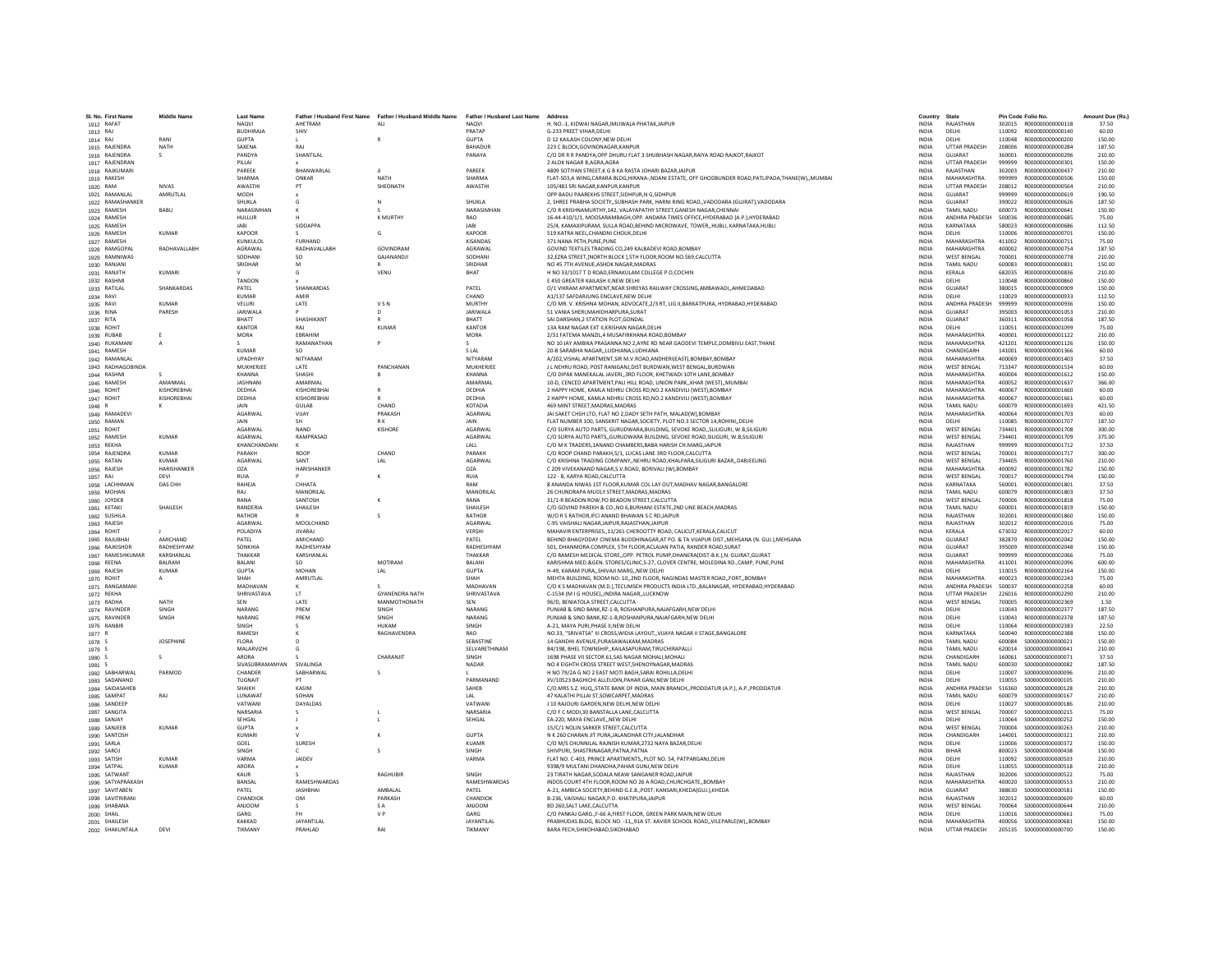| SI, No. First Nam | <b>Middle Name</b> | Last Nam           | Father / Husband First Name | Father / Husband Middle Name | Father / Husband Last Name | Address                                                                                          | Country      | State                 |        | Pin Code Folio No.      | Amount Due (Rs  |
|-------------------|--------------------|--------------------|-----------------------------|------------------------------|----------------------------|--------------------------------------------------------------------------------------------------|--------------|-----------------------|--------|-------------------------|-----------------|
| 1912 RAFAT        |                    | <b>NAOVI</b>       | AHFTRAM                     | ALL                          | <b>NAOVI</b>               | H. NO.-1. KIDWAI NAGAR, IMLIWALA PHATAK, JAIPUR                                                  | <b>INDIA</b> | RAIASTHAN             |        | 302015 R000000000000118 | 37.50           |
| 1913 RAJ          |                    | <b>BUDHIRAJA</b>   | SHIV                        |                              | PRATAP                     | G-233 PREET VIHAR.DELHI                                                                          | <b>INDIA</b> | DELHI                 | 110092 | R000000000000140        | 60.00           |
| 1914 RAJ          | RANI               | <b>GUPTA</b>       |                             |                              | <b>GUPTA</b>               | D 12 KAILASH COLONY.NEW DELHI                                                                    | <b>INDIA</b> | DELHI                 | 110048 | R00000000000200         | 150.00          |
| 1915 RAJENDRA     | <b>NATH</b>        | SAXENA             | RAI                         |                              | <b>BAHADUE</b>             | 223 C BLOCK.GOVINDNAGAR.KANPUR                                                                   | <b>INDIA</b> | <b>UTTAR PRADESH</b>  | 208006 | B000000000000284        | 187.50          |
| 1916 RAJENDRA     | s.                 | PANDYA             | SHANTILAL                   |                              | PANAYA                     | C/O DR R R PANDYA, OPP DHURU FLAT 3 SHUBHASH NAGAR, RAIYA ROAD RAJKOT, RAJKOT                    | <b>INDIA</b> | <b>GUJARAT</b>        | 360001 | R000000000000296        | 210.00          |
| 1917 RAJENDRAN    |                    | PILLAL             |                             |                              |                            | 2 ALOK NAGAR B.AGRA.AGRA                                                                         | <b>INDIA</b> | <b>UTTAR PRADESH</b>  | 999999 | R000000000000301        | 150.00          |
| 1918 RAJKUMARI    |                    | PAREEK             | BHANWARLAL                  |                              | PAREEK                     | 4809 SOTIYAN STREET, K G B KA RASTA JOHARI BAZAR, JAIPUR                                         | INDIA        | RAJASTHAN             | 302003 | R000000000000437        | 210.00          |
| 1919 RAKESH       |                    | SHARMA             | ONKAR                       | <b>NATH</b>                  | <b>SHARMA</b>              | FLAT-503,A WING,CARARA BLDG,HIRANA-,NDANI ESTATE, OFF GHODBUNDER ROAD,PATLIPADA,THANE(W),,MUMBAI | <b>INDIA</b> | MAHARASHTRA           | 999999 | R000000000000506        | 150.00          |
| 1920 RAM          | <b>NIVAS</b>       | AWASTHI            | PT                          | SHEONATH                     | <b>AWASTHI</b>             | 105/481 SRI NAGAR KANPUR KANPUR                                                                  | <b>INDIA</b> | <b>UTTAR PRADESH</b>  | 208012 | B000000000000564        | 210.00          |
| 1921 RAMANLAI     | AMRUTLAL           | MODH               |                             |                              |                            | OPP BADU PAAREKHS STREET, SIDHPUR, N G, SIDHPUR                                                  | INDIA        | <b>GUJARAT</b>        | 999999 | R00000000000619         | 190.50          |
| 1922 RAMASHANKER  |                    | SHUKLA             |                             | N                            | SHUKLA                     | 2, SHREE PRABHA SOCIETY, SUBHASH PARK, HARNI RING ROAD, VADODARA (GUJRAT), VADODARA              | <b>INDIA</b> | <b>GUJARAT</b>        | 390022 | R00000000000626         | 187.50          |
| 1923 RAMESH       | BABU               | NARASIMHAN         |                             |                              | NARASIMHAN                 | C/O R KRISHNAMURTHY.142. VALAYAPATHY STREET.GANESH NAGAR.CHENNAI                                 | <b>INDIA</b> | TAMIL NADU            | 600073 | R000000000000641        | 150.00          |
| 1924 RAMESH       |                    | HULLUR             |                             | K MURTHY                     | RAO                        | 16-44-410/1/1, MOOSARAMBAGH, OPP. ANDARA TIMES OFFICE, HYDERABAD (A.P.). HYDERABAD               | <b>INDIA</b> | <b>ANDHRA PRADESH</b> | 500036 | B000000000000685        | 75.00           |
| 1925 RAMESH       |                    | AR                 | SIDDAPPA                    |                              | <b>JARI</b>                | 25/4, KAMAXIPURAM, SULLA ROAD, BEHIND MICROWAVE, TOWER,, HUBLI, KARNATAKA, HUBLI                 | <b>INDIA</b> | KARNATAKA             | 580023 | 8000000000000686        | 112.50          |
| 1926 RAMESH       | <b>KUMAR</b>       | <b>KAPOOR</b>      |                             | G                            | KAPOOR                     | 519 KATRA NEEL.CHANDNI CHOUK.DELHI                                                               | <b>INDIA</b> | DELHI                 | 110006 | R000000000000701        | 150.00          |
| 1927 RAMESH       |                    | KUNKULOL           | <b>FURHAND</b>              |                              | <b>KISANDAS</b>            | 371 NANA PETH, PUNE, PUNE                                                                        | <b>INDIA</b> | MAHARASHTRA           | 411002 | B000000000000711        | 75.00           |
| 1928 RAMGOPAL     | RADHAVALLABH       | <b>AGRAWAL</b>     | RADHAVALLABH                | GOVINDRAM                    | <b>AGRAWAI</b>             | GOVIND TEXTILES TRADING CO,249 KALBADEVI ROAD, BOMBAY                                            | <b>INDIA</b> | MAHARASHTRA           | 400002 | B000000000000754        | 187.50          |
| 1929 RAMNIWAS     |                    | SODHANI            | SO.                         | GAJANANDJI                   | SODHANI                    | 32, EZRA STREET, [NORTH BLOCK ], 5TH FLOOR, ROOM NO.569, CALCUTTA                                | <b>INDIA</b> | <b>WEST BENGAL</b>    | 700001 | R00000000000778         | 210.00          |
| 1930 RANJANI      |                    | SRIDHAR            |                             |                              | SRIDHAF                    | NO 45 7TH AVENUE, ASHOK NAGAR, MADRAS                                                            | INDIA        | TAMIL NADU            | 600083 | R000000000000831        | 150.00          |
| 1931 RANJITH      | KUMARI             |                    |                             | VENU                         | <b>BHAT</b>                | H NO 33/1017 T D ROAD.ERNAKULAM COLLEGE P O.COCHIN                                               | <b>INDIA</b> | KERALA                | 682035 | B000000000000836        | 210.00          |
| 1932 RASHMI       |                    | TANDON             |                             |                              |                            | F 450 GREATER KAILASH II NEW DELHI                                                               | <b>INDIA</b> | DELHI                 | 110048 | B000000000000860        | 150.00          |
| 1933 RATILA       | SHANKARDAS         | PATEL              | SHANKARDAS                  |                              | PATEL                      | O/1 VIKRAM APARTMENT, NEAR SHREYAS RAILWAY CROSSING, AMBAWADI,, AHMEDABAD                        | INDIA        | <b>GUJARAT</b>        | 380015 | R000000000000909        | 150.00          |
| 1934 RAVI         |                    | KUMAR              | AMIR                        |                              | CHAND                      | A1/137 SAFDARJUNG ENCLAVE.NEW DELHI                                                              | <b>INDIA</b> | DELHI                 | 110029 | R000000000000933        | 112.50          |
|                   | KUMAR              | VELURI             | LATE                        | VSN                          | MURTHY                     | C/O MR. V. KRISHNA MOHAN, ADVOCATE, 2/3 RT, LIG II, BARKATPURA, HYDRABAD, HYDERABAD              | <b>INDIA</b> | ANDHRA PRADESH        | 999999 | R000000000000936        | 150.00          |
| 1935 RAVI         | PARFSH             | <b>JARIWALA</b>    |                             | $\mathsf{D}$                 | <b>JARIWALA</b>            | 51 VANIA SHERI MAHIDHARPURA SURAT                                                                | <b>INDIA</b> | <b>GUIARAT</b>        | 395003 | B000000000001053        | 210.00          |
| 1936 RINA         |                    |                    |                             |                              |                            |                                                                                                  |              |                       |        |                         |                 |
| 1937 RITA         |                    | RHATT              | SHASHIKANT                  | $\mathsf{R}$                 | <b>BHATT</b>               | SAI DARSHAN, 2 STATION PLOT, GONDAL                                                              | INDIA        | GUJARAT               | 360311 | R000000000001058        | 187.50          |
| 1938 ROHIT        |                    | <b>KANTOR</b>      | RAJ                         | <b>KUMAF</b>                 | KANTOR                     | 13A RAM NAGAR EXT II, KRISHAN NAGAR, DELHI                                                       | <b>INDIA</b> | DELHI                 | 110051 | R000000000001099        | 75.00           |
| 1939 RUBAB        |                    | MORA               | <b>FRRAHIM</b>              |                              | MORA                       | 2/31 FATEMA MANZIL 4 MUSAFIRKHANA ROAD ROMRAY                                                    | <b>INDIA</b> | MAHARASHTRA           | 400001 | B000000000001122        | 210.00          |
| 1940 RUKAMANI     | A                  |                    | RAMANATHAN                  |                              |                            | NO 10 JAY AMBIKA PRASANNA NO 2,AYRE RD NEAR GAODEVI TEMPLE, DOMBIVLI EAST, THANE                 | <b>INDIA</b> | MAHARASHTRA           | 421201 | R000000000001126        | 150.00          |
| 1941 RAMESH       |                    | <b>KUMAR</b>       | SO                          |                              | S LAL                      | 20-B SARABHA NAGAR, ,LUDHIANA, LUDHIANA                                                          | <b>INDIA</b> | CHANDIGARH            | 141001 | R000000000001366        | 60.00           |
| 1942 RAMANLAL     |                    | <b>UPADHYAY</b>    | NITYARAM                    |                              | NITYARAM                   | A/202, VISHAL APARTMENT, SIR M.V.ROAD, ANDHERI (EAST), BOMBAY, BOMBAY                            | <b>INDIA</b> | <b>MAHARASHTRA</b>    | 400069 | R000000000001403        | 37.50           |
| 1943 RADHAGOBINDA |                    | MUKHERJEE          | LATE                        | PANCHANAN                    | MUKHERJEE                  | J L NEHRU ROAD, POST RANIGANJ, DIST BURDWAN, WEST BENGAL BURDWAN                                 | <b>INDIA</b> | <b>WEST BENGAL</b>    | 713347 | R000000000001534        | 60.00           |
| 1944 RASHMI       |                    | KHANNA             | SHASHI                      |                              | KHANNA                     | C/O DIPAK MANEKALAL JAVERI3RD FLOOR, KHETWADI 10TH LANE.BOMBAY                                   | <b>INDIA</b> | MAHARASHTRA           | 400004 | R000000000001612        | 150.00          |
| 1945 RAMESH       | AMANMAL            | <b>JASHNAN</b>     | AMARMAI                     |                              | AMARMA                     | 10-D, CENCED APARTMENT, PALI HILL ROAD, UNION PARK, KHAR (WEST), MUMBA                           | INDIA        | MAHARASHTRA           | 400052 | R000000000001637        | 366.00          |
| 1946 ROHIT        | KISHORERHAI        | DEDHIA             | KISHOREBHAI                 | $\mathbb{R}$                 | DEDHIA                     | 2 HAPPY HOME, KAMLA NEHRU CROSS RD.NO.2 KANDIVILI (WEST).BOMBAY                                  | <b>INDIA</b> | MAHARASHTRA           | 400067 | B000000000001660        | 60.00           |
| 1947 ROHIT        | KISHOREBHAI        | DEDHIA             | KISHOREBHAI                 | $\mathbb{R}$                 | DEDHIA                     | 2 HAPPY HOME, KAMLA NEHRU CROSS RD, NO.2 KANDIVILI (WEST), BOMBAY                                | <b>INDIA</b> | MAHARASHTRA           | 400067 | R000000000001661        | 60.00           |
| 1948 R            |                    | JAIN               | GULAB                       | CHAND                        | <b>KOTADIA</b>             | 469 MINT STREET.MADRAS.MADRAS                                                                    | <b>INDIA</b> | <b>TAMIL NADU</b>     | 600079 | R000000000001693        | 421.50          |
| 1949 RAMADEV      |                    | AGARWAL            | VUAY                        | PRAKASH                      | AGARWAI                    | JAI SAKET CHSH LTD, FLAT NO 2, DADY SETH PATH, MALAD(W), BOMBAY                                  | <b>INDIA</b> | MAHARASHTRA           | 400064 | R000000000001703        | 60.00           |
| 1950 RAMAN        |                    | <b>JAIN</b>        |                             | RK                           | JAIN                       | FLAT NUMBER 100, SANSKRIT NAGAR, SOCIETY, PLOT NO.3 SECTOR 14, ROHINI, DELH                      | <b>INDIA</b> | DELHI                 | 110085 | R00000000001707         | 187.50          |
| 1951 ROHIT        |                    | <b>AGARWAL</b>     | <b>NAND</b>                 | KISHORE                      | <b>AGARWAI</b>             | C/O SURYA AUTO PARTS, GURUDWARA, BUILDING, SEVOKE ROAD., SLILIGURI, W.B.SILIGUR                  | <b>INDIA</b> | <b>WEST RENGAL</b>    | 734401 | B000000000001708        | 300.00          |
| 1952 RAMESH       | <b>KUMAR</b>       | <b>AGARWAL</b>     | RAMPRASAD                   |                              | AGARWAL                    | C/O SURYA AUTO PARTS, GURUDWARA BUILDING, SEVOKE ROAD, SILIGURI, W.B, SILIGURI                   | <b>INDIA</b> | <b>WEST BENGAL</b>    | 734401 | R000000000001709        | 375.00          |
| 1953 REKHA        |                    | KHANCHANDANI       |                             |                              | LALL                       | C/O M K TRADERS.1ANAND CHAMBERS.BABA HARISH CH.MARG.JAIPUI                                       | <b>INDIA</b> | RAJASTHAN             | 999999 | R000000000001712        | 37.50           |
|                   | KUMAR              | PARAKH             | ROOP                        | CHAND                        | PARAKH                     | C/O ROOP CHAND PARAKH,5/1, LUCAS LANE 3RD FLOOR,CALCUTTA                                         |              | <b>WEST BENGAL</b>    |        |                         | 300.00          |
| 1954 RAJENDRA     |                    |                    |                             |                              |                            |                                                                                                  | INDIA        |                       | 700001 | R000000000001717        |                 |
| 1955 RATAN        | KUMAR              | <b>AGARWAL</b>     | SANT                        | LAL                          | <b>AGARWAI</b>             | C/O KRISHNA TRADING COMPANYNEHRU ROAD.KHALPARA.SILIGURI BAZARDARJEELING                          | <b>INDIA</b> | <b>WEST RENGAL</b>    | 734405 | B000000000001760        | 210.00          |
| 1956 RAJESH       | HARISHANKER        | O <sub>7</sub> A   | HARISHANKER                 |                              | <b>OZA</b>                 | C 209 VIVEKANAND NAGAR, S.V.ROAD, BORIVALI (W), BOMBAY                                           | <b>INDIA</b> | <b>MAHARASHTRA</b>    | 400092 | R000000000001782        | 150.00          |
| 1957 RAJ          | DEVI               | RUIA               |                             |                              | <b>RUIA</b>                | 122 - B, KARYA ROAD, CALCUTTA                                                                    | INDIA        | WEST BENGAL           | 700017 | R000000000001794        | 150.00          |
| 1958 LACHHMAN     | DAS CHE            | RAHEJA             | CHHATA                      |                              | RAM                        | 8 ANANDA NIWAS 1ST FLOOR.KUMAR COL LAY OUT.MADHAV NAGAR.BANGALORE                                | <b>INDIA</b> | KARNATAKA             | 560001 | B000000000001801        | 37.50           |
| 1959 MOHAN        |                    | RAJ                | MANORILAL                   |                              | MANORILAL                  | 26 CHUNDRAPA MUDLY STREET.MADRAS.MADRAS                                                          | <b>INDIA</b> | <b>TAMIL NADU</b>     | 600079 | R000000000001803        | 37.50           |
| 1960 JOYDEE       |                    | RANA               | SANTOSH                     |                              | RANA                       | 31/1-R BEADON ROW, PO BEADON STREET, CALCUTTA                                                    | INDIA        | <b>WEST BENGAL</b>    | 700006 | R000000000001818        | 75.00           |
| 1961 KETAKI       | SHAILESH           | <b>RANDERIA</b>    | SHAILESH                    |                              | SHAILESH                   | C/O GOVIND PAREKH & CO., NO 6.BURHANI ESTATE.2ND LINE BEACH.MADRAS                               | <b>INDIA</b> | TAMIL NADU            | 600001 | R000000000001819        | 150.00          |
| 1962 SUSHIL/      |                    | RATHOR             |                             | $\sim$                       | RATHOR                     | W/O R S RATHOR.IFCI ANAND BHAWAN S C RD.JAIPUR                                                   | <b>INDIA</b> | RAJASTHAN             | 302001 | R000000000001860        | 150.00          |
| 1963 RAJESH       |                    | <b>AGARWAL</b>     | MOOLCHAND                   |                              | <b>AGARWAI</b>             | C-95 VAISHALLNAGAR JAIPUR RAJASTHAN JAIPUR                                                       | <b>INDIA</b> | RAIASTHAN             | 302012 | B000000000002016        | 75.00           |
| 1964 ROHIT        |                    | POLADIYA           | <b>JIVARAJ</b>              |                              | VERSHI                     | MAHAVIR ENTERPRISES,,11/261 CHEROOTTY ROAD, CALICUT, KERALA, CALICUT                             | INDIA        | KERALA                | 673032 | R000000000002017        | 60.00           |
| 1965 RAJUBHA      | AMICHAND           | PATEL              | AMICHAND                    |                              | PATEL                      | BEHIND BHAGYODAY CINEMA BUDDHINAGAR, AT PO. & TA VIJAPUR DIST., MEHSANA (N. GUJ.), MEHSANA       | <b>INDIA</b> | <b>GUJARAT</b>        | 382870 | R000000000002042        | 150.00          |
| 1966 RAJKISHOF    | RADHESHYAN         | SONKHIA            | RADHESHYAM                  |                              | RADHESHYAM                 | 501. DHANMORA COMPLEX. 5TH FLOOR ACLAJAN PATIA. RANDER ROAD.SURAT                                | <b>INDIA</b> | GUIARAT               | 395009 | B000000000002048        | 150.00          |
| 1967 RAMESHKUMAR  | KARSHANLAL         | THAKKAR            | KARSHANLAL                  |                              | THAKKAR                    | C/O RAMESH MEDICAL STOREOPP. PETROL PUMP.DHANERA(DIST-B.K.).N. GUJRAT.GUJRAT                     | <b>INDIA</b> | <b>GUIARAT</b>        | 999999 | B000000000002066        | 75.00           |
| 1968 REENA        | <b>BALRAM</b>      | <b>BALANI</b>      | SO.                         | MOTIRAM                      | <b>BALANI</b>              | KARISHMA MED.&GEN. STORES/CLINIC,S-27, CLOVER CENTRE, MOLEDINA RD.,CAMP, PUNE,PUNE               | <b>INDIA</b> | MAHARASHTRA           | 411001 | B000000000002096        | 600.00          |
| 1969 RAJESH       | KUMAR              | <b>GUPTA</b>       | <b>MOHAN</b>                | LAL                          | <b>GUPTA</b>               | H-49. KARAM PURASHIVAJI MARGNEW DELHI                                                            | <b>INDIA</b> | DELHI                 | 110015 | R000000000002164        | 150.00          |
| 1970 ROHIT        |                    | SHAH               | AMRUTLAL                    |                              | SHAH                       | MEHTA BUILDING, ROOM NO: 10,,2ND FLOOR, NAGINDAS MASTER ROAD, FORT, BOMBAY                       | <b>INDIA</b> | MAHARASHTRA           | 400023 | R000000000002243        | 75.00           |
| 1971 RANGAMANI    |                    | MADHAVAN           |                             |                              | MADHAVAN                   | C/O K S MADHAVAN (M.D.), TECUMSEH PRODUCTS INDIA LTD., BALANAGAR, HYDERABAD, HYDERABAD           | <b>INDIA</b> | ANDHRA PRADESH        | 500037 | R00000000002258         | 60.00           |
| 1972 REKHA        |                    | <b>SHRIVASTAVA</b> | LT                          | <b>GYANENDRA NATH</b>        | SHRIVASTAVA                | C-1534 (M I G HOUSE), INDIRA NAGAR, LUCKNOW                                                      | INDIA        | <b>UTTAR PRADESH</b>  | 226016 | R00000000002290         | 210.00          |
| 1973 RADHA        | <b>NATH</b>        | SEN                | <b>LATE</b>                 | MANMOTHONATH                 | SFN                        | 96/D. BENIATOLA STREET.CALCUTTA                                                                  | <b>INDIA</b> | <b>WEST BENGAL</b>    | 700005 | B000000000002369        | 1.50            |
| 1974 RAVINDER     | SINGH              | NARANG             | PREM                        | SINGH                        | NARANO                     | PUNJAB & SIND BANK.RZ-1-B. ROSHANPURA.NAJAFGARH.NEW DELHI                                        | <b>INDIA</b> | DELHI                 | 110043 | R00000000002377         | 187.50          |
| 1975 RAVINDER     | <b>SINGH</b>       | <b>NARANG</b>      | PREM                        | <b>SINGH</b>                 | NARANG                     | PUNJAB & SIND BANK.RZ-1-B.ROSHANPURA.NAJAFGARH.NEW DELHI                                         | <b>INDIA</b> | DELHI                 | 110043 | B000000000002378        | 187.50          |
| 1976 RANBIR       |                    | SINGH              |                             | HUKAM                        | SINGH                      | A-21, MAYA PURI, PHASE II, NEW DELHI                                                             | INDIA        | DELHI                 | 110064 | R000000000002383        | 22.50           |
|                   |                    | RAMESH             |                             | RAGHAVENDRA                  | <b>RAO</b>                 | NO.33. "SRIVATSA" III CROSS.WIDIA LAYOUTVIJAYA NAGAR II STAGE.BANGALORE                          | <b>INDIA</b> | KARNATAKA             | 560040 | R000000000002388        | 150.00          |
| 1977 R<br>1978 S  | <b>IOSEPHINE</b>   | <b>FLORA</b>       |                             |                              | <b>SERASTINE</b>           | 14 GANDHI AVENUE PURASAWAI KAM MADRAS                                                            | <b>INDIA</b> | TAMIL NADLI           | 600084 | \$000000000000021       | 150.00          |
|                   |                    | MAI ARVIZHI        |                             |                              | <b>SEI VARETHINAM</b>      | B4/198, BHELTOWNSHIP, KAILASAPURAM, TIRUCHIRAPALLI                                               | <b>INDIA</b> | TAMIL NADLI           | 620014 | \$000000000000041       | 210.00          |
| 1979 S<br>1980 S  | s                  | ARORA              |                             | CHARANJIT                    | SINGH                      | 1698 PHASE VII SECTOR 61.SAS NAGAR MOHALI.MOHAL                                                  | <b>INDIA</b> | CHANDIGARI            | 160061 | \$00000000000071        | 37.50           |
|                   |                    | SIVASUBRAMANYAN    | SIVALINGA                   |                              |                            |                                                                                                  |              |                       |        |                         | 187.50          |
| 1981 S            |                    |                    |                             |                              | NADAR                      | NO 4 EIGHTH CROSS STREET WEST, SHENOYNAGAR, MADRAS                                               | <b>INDIA</b> | TAMIL NADU            | 600030 | \$000000000000082       |                 |
| 1982 SABHARWAL    | PARMOD             | CHANDER            | SABHARWAL                   | $\sim$                       |                            | H NO 79/2A G NO 2 EAST MOTI BAGH SARAI ROHILLA DELHI                                             | <b>INDIA</b> | DELHI                 | 110007 | \$000000000000096       | 210.00          |
| 1983 SADANAND     |                    | TUGNAIT            | <b>DT</b>                   |                              | PARMANAND                  | XV/10523 BAGHICHI ALLEUDIN.PAHAR GANJ.NEW DELHI                                                  | <b>INDIA</b> | <b>DELHI</b>          | 110055 | \$000000000000105       | 210.00          |
| 1984 SAIDASAHEB   |                    | SHAIKH             | KASIM                       |                              | SAHEB                      | C/O.MRS S.Z. HUQ, STATE BANK OF INDIA, MAIN BRANCH, PRODDATUR (A.P.), A.P., PRODDATUR            | INDIA        | ANDHRA PRADESH        | 516360 | \$000000000000128       | 210.00          |
| 1985 SAMPAT       | RAI                | <b>IUNAWAT</b>     | SOHAN                       |                              | IAI                        | 47 KALATHI PILLAI ST.SOWCARPET.MADRAS                                                            | <b>INDIA</b> | <b>TAMIL NADU</b>     | 600079 | \$000000000000167       | 210.00          |
| 1986 SANDEEP      |                    | VATWANI            | DAYALDAS                    |                              | VATWANI                    | J 10 RAJOURI GARDEN.NEW DELHI.NEW DELHI                                                          | <b>INDIA</b> | DELHI                 | 110027 | \$000000000000186       | 210.00          |
| 1987 SANGITA      |                    | <b>NARSARIA</b>    |                             |                              | NARSARIA                   | C/O F C MODI,30 BANSTALLA LANE,CALCUTTA                                                          | <b>INDIA</b> | <b>WEST BENGAL</b>    | 700007 | \$000000000000215       | 75.00           |
| 1988 SANJAY       |                    | SEHGAL             |                             |                              | SEHGAL                     | EA-220, MAYA ENCLAVE, NEW DELH                                                                   | INDIA        | DELHI                 | 110064 | S000000000000252        | 150.00          |
| 1989 SANJEEB      | <b>KUMAR</b>       | <b>GUPTA</b>       |                             |                              |                            | 15/C/1 NOLIN SARKER STREET.CALCUTTA                                                              | <b>INDIA</b> | <b>WEST BENGAL</b>    | 700004 | \$000000000000263       | 210.00          |
| 1990 SANTOSH      |                    | KUMAR              |                             | ×                            | <b>GUPTA</b>               | N K 260 CHARAN IIT PURA JAI ANDHAR CITY JAI ANDHAR                                               | <b>INDIA</b> | CHANDIGARH            | 144001 | \$000000000000321       | 210.00          |
| 1991 SARLA        |                    | GOEL               | SURESH                      |                              | KUAMR                      | C/O M/S CHUNNILAL RAJNISH KUMAR, 2732 NAYA BAZAR, DELHI                                          | <b>INDIA</b> | <b>DELHI</b>          | 110006 | \$000000000000372       | 150.00          |
| 1992 SAROJ        |                    | SINGH              |                             |                              | SINGH                      | SHIVPURI, SHASTRINAGAR, PATNA, PATNA                                                             | <b>INDIA</b> | BIHAR                 | 800023 | \$000000000000438       | 150.00          |
| 1993 SATISH       | <b>KUMAR</b>       | VARMA              | JAIDEV                      |                              | VARMA                      | FLAT NO. C-403, PRINCE APARTMENTS,, PLOT NO. 54, PATPARGANJ, DELHI                               | INDIA        | DELHI                 | 110092 | \$000000000000503       | 210.00          |
| 1994 SATPAL       | KUMAR              | ARORA              |                             |                              |                            | 9398/9 MULTANI DHANDHA, PAHAR GUNJ, NEW DELHI                                                    | <b>INDIA</b> | DELHI                 | 110055 | \$000000000000518       | 210.00          |
| 1995 SATWANT      |                    | KALIR              |                             | <b>RAGHUBIF</b>              | SINGH                      | 23 TIRATH NAGAR, SODALA NEAW SANGANER ROAD, JAIPUR                                               | <b>INDIA</b> | RAIASTHAN             | 302006 | \$000000000000522       | 75.00           |
| 1996 SATYAPRAKASH |                    | BANSAL             | RAMESHWARDAS                |                              | RAMESHWARDAS               | INDOS COURT 4TH FLOOR, ROOM NO 26 A ROAD, CHURCHGATE, BOMBAY                                     | <b>INDIA</b> | MAHARASHTRA           | 400020 | \$000000000000553       | 210.00          |
| 1997 SAVITABEN    |                    | PATEL              | <b>JASHBHAI</b>             | AMRAI AI                     | PATEL                      | A-21, AMBICA SOCIETY, BEHIND G.E.B., POST: KANSARI, KHEDAIGUJ, ), KHEDA                          | <b>INDIA</b> | GUJARAT               | 388630 | \$000000000000581       | 150.00          |
| 1998 SAVITRIRANI  |                    | CHANDIOK           | <b>OM</b>                   | PARKASH                      | CHANDIOK                   | B-236, VAISHALI NAGAR, P.O. KHATIPURAJAIPUR                                                      | <b>INDIA</b> | RAIASTHAN             | 302012 | \$000000000000609       | 60.00           |
|                   |                    |                    |                             | <b>SA</b>                    |                            |                                                                                                  | <b>INDIA</b> | <b>WEST BENGAL</b>    | 700064 | \$000000000000644       |                 |
| 1999 SHABANA      |                    | ANJOON<br>GARG     |                             | V <sub>P</sub>               | ANJOOM<br>GARG             | BD 260, SALT LAKE, CALCUTTA<br>C/O PANKAJ GARG., F-66 A, FIRST FLOOR, GREEN PARK MAIN, NEW DELHI | <b>INDIA</b> | DELHI                 | 110016 | \$000000000000661       | 210.00<br>75.00 |
| 2000 SHAIL        |                    |                    |                             |                              |                            |                                                                                                  |              |                       |        |                         |                 |
| 2001 SHAILESH     |                    | KAKKAD             | JAYANTILAL                  | RAI                          | JAYANTILAL                 | PRABHUDAS BLDG, BLOCK NO. - 11,,91A ST. XAVIER SCHOOL ROAD,,VILEPARLE(W),,BOMBAY                 | <b>INDIA</b> | MAHARASHTRA           |        |                         | 150.00          |
| 2002 SHAKUNTALA   | DEVI               | TIKMANY            | PRAHLAD                     |                              | TIKMANY                    | <b>BARA PECH SHIKOHARAD SIKOHARAD</b>                                                            | <b>INDIA</b> | <b>UTTAR PRADESH</b>  |        |                         | 150.00          |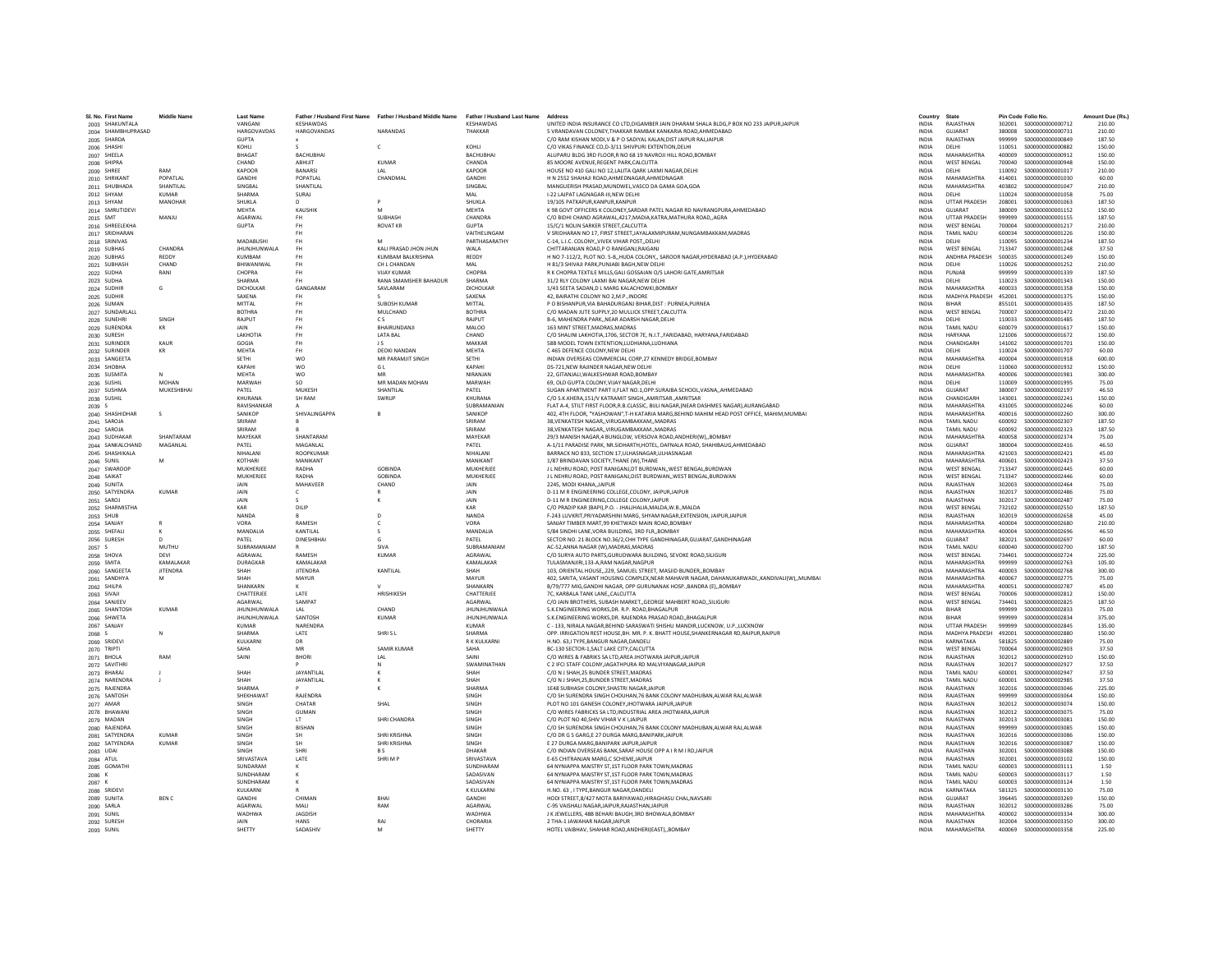| SL No. First Name                   | <b>Middle Name</b>      | <b>Last Name</b>          |                                     | Father / Husband First Name Father / Husband Middle Name Father / Husband Last Name |                                    | Address                                                                                                                                      | Country                      | State                                    |                  | Pin Code Folio No.                     | Amount Due (Rs.) |
|-------------------------------------|-------------------------|---------------------------|-------------------------------------|-------------------------------------------------------------------------------------|------------------------------------|----------------------------------------------------------------------------------------------------------------------------------------------|------------------------------|------------------------------------------|------------------|----------------------------------------|------------------|
| 2003 SHAKUNTALA                     |                         | VANGANI                   | KESHAWDAS                           |                                                                                     | KESHAWDAS                          | UNITED INDIA INSURANCE CO LTD.DIGAMBER JAIN DHARAM SHALA BLDG.P BOX NO 233 JAIPUR.JAIPUR                                                     | <b>INDIA</b>                 | RAJASTHAN                                |                  |                                        | 210.00           |
| 2004 SHAMBHUPRASAD                  |                         | <b>HARGOVAVDAS</b>        | <b>HARGOVANDAS</b>                  | <b>NARANDAS</b>                                                                     | THAKKAR                            | 5 VRANDAVAN COLONEY THAKKAR RAMRAK KANKARIA ROAD AHMEDARAD                                                                                   | <b>INDIA</b>                 | GUIARAT                                  | 380008           | \$000000000000731                      | 210.00           |
| 2005 SHARDA                         |                         | <b>GUPTA</b>              |                                     |                                                                                     |                                    | C/O RAM KISHAN MODI.V & P O SADIYAL KALAN.DIST JAIPUR RAJJAIPUR                                                                              | <b>INDIA</b>                 | RAJASTHAN                                | 999999           | \$000000000000849                      | 187.50           |
| 2006 SHASHI                         |                         | KOHLI                     |                                     | c                                                                                   | KOHLI                              | C/O VIKAS FINANCE CO, D-3/11 SHIVPURI EXTENTION, DELH                                                                                        | INDIA                        | DELHI                                    | 110051           | \$000000000000882                      | 150.00           |
| 2007 SHEELA<br>2008 SHIPRA          |                         | <b>BHAGAT</b><br>CHAND    | <b>BACHUBHA</b><br>ABHUIT           | <b>KUMAR</b>                                                                        | <b>BACHUBHA</b><br>CHANDA          | ALUPARU BLDG 3RD FLOOR.R NO 68 19 NAVROJI HILL ROAD.BOMBAY<br>85 MOORE AVENUE.REGENT PARK.CALCUTTA                                           | <b>INDIA</b><br><b>INDIA</b> | <b>MAHARASHTRA</b><br><b>WEST BENGAL</b> | 400009<br>700040 | \$000000000000912<br>S000000000000948  | 150.00<br>150.00 |
| 2009 SHREE                          | RAM                     | KAPOOR                    | <b>BANARSI</b>                      | IAI                                                                                 | KAPOOR                             | HOUSE NO 410 GALLNO 12 LAUTA OARK LAXMLNAGAR DELHI                                                                                           | <b>INDIA</b>                 | DELHI                                    | 110092           | \$000000000001017                      | 210.00           |
| 2010 SHRIKAN'                       | POPATLAI                | GANDHI                    | POPATLA                             | CHANDMAL                                                                            | GANDHI                             | H N 2552 SHAHAJI ROAD, AHMEDNAGAR, AHMEDNAGAR                                                                                                | INDIA                        | <b>MAHARASHTRA</b>                       | 414001           | \$000000000001030                      | 60.00            |
| 2011 SHUBHADA                       | SHANTILAL               | SINGBAI                   | SHANTILAI                           |                                                                                     | SINGBAL                            | MANGUERISH PRASAD.MUNDWEL.VASCO DA GAMA GOA.GO/                                                                                              | <b>INDIA</b>                 | MAHARASHTRA                              | 403802           | S000000000001047                       | 210.00           |
| 2012 SHYAM                          | <b>KUMAR</b><br>MANOHAR | SHARMA<br><b>SHUKLA</b>   | SURAJ                               |                                                                                     | <b>MAL</b><br><b>SHUKLA</b>        | I-22 LAJPAT LAGNAGAR-III.NEW DELHI<br>19/105 PATKAPUR KANPUR KANPUR                                                                          | <b>INDIA</b><br><b>INDIA</b> | DELHI<br><b>UTTAR PRADESH</b>            | 110024<br>208001 | \$000000000001058<br>\$000000000001063 | 75.00<br>187.50  |
| 2013 SHYAM<br>2014 SMRUTIDEVI       |                         | MEHTA                     | KAUSHIK                             | M                                                                                   | MEHTA                              | K 98 GOVT OFFICERS K COLONEY, SARDAR PATEL NAGAR RD NAVRANGPURA, AHMEDABAD                                                                   | INDIA                        | GUJARAT                                  | 380009           | S000000000001152                       | 150.00           |
| 2015 SMT                            | MANJU                   | AGARWAL                   | <b>FH</b>                           | <b>SUBHASH</b>                                                                      | CHANDRA                            | C/O BIDHI CHAND AGRAWAL.4217.MADIA.KATRA.MATHURA ROADAGRA                                                                                    | <b>INDIA</b>                 | <b>UTTAR PRADESH</b>                     | 999999           | S000000000001155                       | 187.50           |
| 2016 SHREELEKHA                     |                         | <b>GUPTA</b>              | <b>FH</b>                           | <b>ROVAT KR</b>                                                                     | <b>GUPTA</b>                       | 15/C/1 NOLIN SARKER STREET.CALCUTTA                                                                                                          | INDIA                        | <b>WEST BENGAL</b>                       | 700004           | S000000000001217                       | 210.00           |
| 2017 SRIDHARAN                      |                         |                           | <b>FH</b>                           |                                                                                     | <b>VAITHFI INGAM</b>               | V SRIDHARAN NO 17 FIRST STREET JAYALAXMIPURAM NUNGAMRAKKAM MADRAS                                                                            | <b>INDIA</b>                 | <b>TAMIL NADLI</b>                       | 600034           | \$000000000001226                      | 150.00           |
| 2018 SRINIVAS                       |                         | MADARUSHI                 | <b>FH</b>                           | M                                                                                   | PARTHASARATHY                      | C-14, L.I.C. COLONYVIVEK VIHAR POSTDELHI                                                                                                     | <b>INDIA</b>                 | DELHI                                    | 110095           | \$000000000001234                      | 187.50           |
| 2019 SUBHAS<br>2020 SUBHAS          | CHANDRA<br>REDDY        | JHUNJHUNWALA<br>KUMBAM    | FH<br><b>FH</b>                     | KALI PRASAD JHON JHUN<br>KUMBAM BALKRISHNA                                          | WALA<br>REDDY                      | CHITTARANJAN ROAD, PO RANIGANJ, RAIGANJ<br>H NO 7-112/2, PLOT NO. 5-B,,HUDA COLONY,, SAROOR NAGAR,HYDERABAD (A.P.),HYDERABAD                 | INDIA<br><b>INDIA</b>        | <b>WEST BENGAL</b><br>ANDHRA PRADESH     | 713347<br>500035 | \$000000000001248<br>S000000000001249  | 37.50<br>150.00  |
| 2021 SUBHASH                        | CHAND                   | BHIWANIWAL                | <b>FH</b>                           | CH L CHANDAN                                                                        | <b>MAL</b>                         | H 81/3 SHIVAJI PARK.PUNJABI BAGH.NEW DELHI                                                                                                   | <b>INDIA</b>                 | DELHI                                    | 110026           | S000000000001252                       | 210.00           |
| 2022 SUDHA                          | RANI                    | CHOPRA                    | <b>FH</b>                           | VIIAY KUMAR                                                                         | CHOPRA                             | R K CHOPRA TEXTILE MILLS GALI GOSSAIAN O/S LAHORI GATE AMRITSAR                                                                              | <b>INDIA</b>                 | PUNJAR                                   | 999999           | \$000000000001339                      | 187.50           |
| 2023 SUDHA                          |                         | SHARMA                    | FH.                                 | RANA SMAMSHER BAHADUR                                                               | SHARMA                             | 31/2 RLY COLONY LAXMI BAI NAGAR, NEW DELHI                                                                                                   | <b>INDIA</b>                 | DELHI                                    | 110023           | S000000000001343                       | 150.00           |
| 2024 SUDHIR<br>2025 SUDHIR          | G                       | DICHOLKAR<br>SAXENA       | GANGARAM<br><b>FH</b>               | SAVLARAM                                                                            | DICHOLKAR<br>SAXENA                | 1/43 SEETA SADAN.D L MARG KALACHOWKI.BOMBAY<br>42. BAIRATHI COLONY NO 2.M.P. INDORE                                                          | INDIA<br>INDIA               | MAHARASHTRA<br>MADHYA PRADESH            | 400033<br>452001 | \$000000000001358<br>S000000000001375  | 150.00<br>150.00 |
| 2026 SUMAN                          |                         | MITTAL                    | <b>FH</b>                           | SUROSH KUMAR                                                                        | <b>MITTAI</b>                      | P O RISHANPUR VIA RAHADURGANI RIHAR DIST : PURNEA PURNEA                                                                                     | <b>INDIA</b>                 | <b>RIHAR</b>                             | 855101           | \$000000000001435                      | 187.50           |
| 2027 SUNDARLALL                     |                         | <b>BOTHRA</b>             | FH <sub>1</sub>                     | MULCHAND                                                                            | <b>ROTHRA</b>                      | C/O MADAN JUTE SUPPLY, 20 MULLICK STREET, CALCUTTA                                                                                           | <b>INDIA</b>                 | <b>WEST BENGAL</b>                       | 700007           | \$000000000001472                      | 210.00           |
| 2028 SUNEHR                         | SINGH                   | RAJPUT                    | <b>FH</b>                           | CS.                                                                                 | RAJPUT                             | B-6, MAHENDRA PARKNEAR ADARSH NAGAR.DELHI                                                                                                    | <b>INDIA</b>                 | DELHI                                    | 110033           | S000000000001485                       | 187.50           |
| 2029 SURENDRA                       | KR                      | JAIN                      | <b>FH</b>                           | BHAIRUNDANJI                                                                        | MALOO                              | 163 MINT STREET, MADRAS, MADRAS                                                                                                              | INDIA                        | TAMIL NADU                               | 600079           | \$000000000001617                      | 150.00           |
| 2030 SURFSH                         |                         | <b>LAKHOTIA</b>           | FH <sub>1</sub>                     | <b>LATA RAI</b>                                                                     | CHAND                              | C/O SHALINI LAKHOTIA 1706, SECTOR 7E, N.L.T. FARIDARAD, HARYANA FARIDARAD                                                                    | <b>INDIA</b>                 | <b>HARYANA</b>                           | 121006           | \$000000000001672                      | 150.00           |
| 2031 SURINDER<br>2032 SURINDER      | KAUR<br>KR              | GOGIA<br><b>MEHTA</b>     | <b>FH</b><br>FH <sub>1</sub>        | $\overline{15}$<br>DEOKLNANDAN                                                      | MAKKAR<br><b>MFHTA</b>             | 58B MODEL TOWN EXTENTION, LUDHIANA, LUDHIANA<br>C 465 DEFENCE COLONY.NEW DELHI                                                               | <b>INDIA</b><br><b>INDIA</b> | CHANDIGARH<br>DELHI                      | 141002<br>110024 | \$000000000001701<br>\$000000000001707 | 150.00<br>60.00  |
| 2033 SANGEETA                       |                         | SETHI                     | <b>WO</b>                           | MR PARAMJIT SINGH                                                                   | SETHI                              | INDIAN OVERSEAS COMMERCIAL CORP.27 KENNEDY BRIDGE.BOMBAY                                                                                     | <b>INDIA</b>                 | MAHARASHTRA                              | 400004           | S000000000001918                       | 600.00           |
| 2034 SHOBHA                         |                         | KAPAHI                    | WO                                  | G L                                                                                 | KAPAHI                             | DS-721, NEW RAJINDER NAGAR, NEW DELHI                                                                                                        | INDIA                        | DELHI                                    | 110060           | S000000000001932                       | 150.00           |
| 2035 SUSMITA                        | $\mathbf{N}$            | <b>MEHTA</b>              | <b>WO</b>                           | MR                                                                                  | NIRANIAN                           | 22. GITANIALL WALKESHWAR ROAD ROMRAY                                                                                                         | <b>INDIA</b>                 | MAHARASHTRA                              | 400006           | \$000000000001981                      | 300.00           |
| 2036 SUSHIL                         | MOHAN                   | MARWAH                    | so                                  | MR MADAN MOHAN                                                                      | MARWAH                             | 69, OLD GUPTA COLONY, VIJAY NAGAR, DELHI                                                                                                     | INDIA                        | DELHI                                    | 110009           | \$000000000001995                      | 75.00            |
| 2037 SUSHMA                         | MUKESHBHA               | PATEL<br><b>KHURANA</b>   | MUKESH<br>SH RAM                    | SHANTILAL<br>SWRUP                                                                  | PATEL<br>KHURANA                   | SUGAN APARTMENT PART II, FLAT NO.1, OPP.SURAJBA SCHOOL, VASNA, , AHMEDABAD                                                                   | <b>INDIA</b>                 | GUJARAT<br>CHANDIGARH                    | 380007<br>143001 | S000000000002197<br>S000000000002241   | 46.50<br>150.00  |
| 2038 SUSHIL<br>2039 S               |                         | RAVISHANKAR               |                                     |                                                                                     | SURRAMANIAN                        | C/O S.K.KHERA,151/V KATRAMIT SINGH,,AMRITSAR.,AMRITSAR<br>FLAT A-4, STILT FIRST FLOOR R R CLASSIC, BULLNAGAR (NEAR DASHMES NAGAR) AURANGARAD | INDIA<br><b>INDIA</b>        | MAHARASHTRA                              | 431005           | \$000000000002246                      | 60.00            |
| 2040 SHASHIDHAR                     | $\leq$                  | <b>SANIKOP</b>            | SHIVALINGAPPA                       | $\overline{R}$                                                                      | SANIKOP                            | 402, 4TH FLOOR, "YASHOWAN", T-H KATARIA MARG, BEHIND MAHIM HEAD POST OFFICE, MAHIM, MUMBAI                                                   | <b>INDIA</b>                 | MAHARASHTRA                              | 400016           | \$000000000002260                      | 300.00           |
| 2041 SAROJA                         |                         | SRIRAM                    |                                     |                                                                                     | SRIRAM                             | 38, VENKATESH NAGAR, , VIRUGAMBAKKAM, , MADRAS                                                                                               | <b>INDIA</b>                 | <b>TAMIL NADU</b>                        | 600092           | \$000000000002307                      | 187.50           |
| 2042 SAROJA                         |                         | SRIRAM                    |                                     |                                                                                     | SRIRAM                             | 38, VENKATESH NAGAR, , VIRUGAMBAKKAM., MADRAS                                                                                                | <b>INDIA</b>                 | TAMIL NADU                               | 600092           | \$000000000002323                      | 187.50           |
| 2043 SUDHAKAR                       | SHANTARAM               | MAYEKAR                   | SHANTARAM                           |                                                                                     | MAYEKAR                            | 29/3 MANISH NAGAR.4 BUNGLOW, VERSOVA ROAD, ANDHERI(W)., BOMBAY                                                                               | <b>INDIA</b>                 | MAHARASHTRA                              | 400058           | \$000000000002374                      | 75.00            |
| 2044 SANKALCHAND<br>2045 SHASHIKALA | MAGANLAL                | PATEL<br>NIHAI ANI        | <b>MAGANLAL</b><br><b>ROOPKUMAF</b> |                                                                                     | PATFI<br>NIHAI ANI                 | A-1/11 PARADISE PARK, NR.SIDHARTH,HOTEL, DAFNALA ROAD, SHAHIBAUG,AHMEDABAD<br>BARRACK NO 833, SECTION 17, ULHASNAGAR, ULHASNAGAR             | <b>INDIA</b><br><b>INDIA</b> | GUIARAT<br>MAHARASHTRA                   | 380004<br>421003 | S000000000002416<br>\$000000000002421  | 46.50<br>45.00   |
| 2046 SUNIL                          |                         | KOTHARI                   | MANIKANT                            |                                                                                     | <b>MANIKANT</b>                    | 1/87 BRINDAVAN SOCIETY.THANE (W).THANE                                                                                                       | <b>INDIA</b>                 | <b>MAHARASHTRA</b>                       | 400601           | S000000000002423                       | 37.50            |
| 2047 SWAROOP                        |                         | MUKHERJEE                 | RADHA                               | <b>GOBINDA</b>                                                                      | MUKHERJEE                          | J L NEHRU ROAD, POST RANIGANJ, DT BURDWAN, , WEST BENGAL, BURDWAN                                                                            | INDIA                        | <b>WEST BENGAL</b>                       | 713347           | S000000000002445                       | 60.00            |
| 2048 SAIKAT                         |                         | MUKHERJEE                 | RADHA                               | <b>GOBINDA</b>                                                                      | MUKHERJEE                          | J L NEHRU ROAD, POST RANIGANJ.DIST BURDWAN, WEST BENGAL BURDWAN                                                                              | <b>INDIA</b>                 | <b>WEST BENGAL</b>                       | 713347           | \$000000000002446                      | 60.00            |
| 2049 SUNITA                         |                         | <b>JAIN</b>               | MAHAVEER                            | CHAND                                                                               | <b>JAIN</b>                        | 2245, MODI KHANA, JAIPUR                                                                                                                     | <b>INDIA</b>                 | RAJASTHAN                                | 302003           | S000000000002464                       | 75.00            |
| 2050 SATYENDRA<br>2051 SAROJ        | <b>KUMAR</b>            | JAIN<br>JAIN              |                                     |                                                                                     | <b>JAIN</b><br>JAIN                | D-11 M R ENGINEERING COLLEGE, COLONY, JAIPUR, JAIPUR<br>D-11 M R ENGINEERING, COLLEGE COLONY, JAIPUR                                         | INDIA<br>INDIA               | RAJASTHAN<br>RAJASTHAN                   | 302017<br>302017 | \$000000000002486<br>S00000000002487   | 75.00<br>75.00   |
| 2052 SHARMISTHA                     |                         | KAR                       | -S.<br>DILIP                        |                                                                                     | KAR                                | C/O PRADIP KAR (BAPI), P.O. - JHALJHALIA, MALDA, W.B., MALDA                                                                                 | <b>INDIA</b>                 | <b>WEST BENGAL</b>                       | 732102           | \$000000000002550                      | 187.50           |
| 2053 SHUB                           |                         | <b>NANDA</b>              |                                     | $\mathbf{D}$                                                                        | NANDA                              | F-243 LUVKRIT, PRIYADARSHINI MARG, SHYAM NAGAR, EXTENSION, JAIPUR, JAIPUR                                                                    | <b>INDIA</b>                 | RAIASTHAN                                | 302019           | \$000000000002658                      | 45.00            |
| 2054 SANJAY                         | R                       | VORA                      | RAMESH                              | C                                                                                   | VORA                               | SANJAY TIMBER MART.99 KHETWADI MAIN ROAD.BOMBAY                                                                                              | <b>INDIA</b>                 | MAHARASHTRA                              | 400004           | \$000000000002680                      | 210.00           |
| 2055 SHEFALI                        | к                       | MANDALIA                  | KANTILAL                            |                                                                                     | MANDALIA                           | 5/84 SINDHI LANE, VORA BUILDING, 3RD FLR,, BOMBAY                                                                                            | <b>INDIA</b>                 | MAHARASHTRA                              | 400004           | \$000000000002696                      | 46.50            |
| 2056 SURESH                         | $\Omega$                | PATEL                     | <b>DINESHBHAI</b>                   | G                                                                                   | PATEL                              | SECTOR NO. 21 BLOCK NO.36/2,CHH TYPE GANDHINAGAR, GUJARAT, GANDHINAGAR                                                                       | <b>INDIA</b>                 | GUIARAT                                  | 382021           | \$000000000002697                      | 60.00            |
| 2057 S<br>2058 SHOVA                | MUTHU<br>DEVI           | SUBRAMANIAM<br>AGRAWAL    | RAMESH                              | SIVA<br><b>KUMAR</b>                                                                | SUBRAMANIAM<br>AGRAWAI             | AC-52.ANNA NAGAR (W).MADRAS.MADRAS<br>C/O SURYA AUTO PARTS, GURUDWARA BUILDING, SEVOKE ROAD, SILIGURI                                        | <b>INDIA</b><br><b>INDIA</b> | <b>TAMIL NADU</b><br><b>WEST RENGAL</b>  | 600040<br>734401 | \$000000000002700<br>\$000000000002724 | 187.50<br>225.00 |
| 2059 SMITA                          | KAMALAKAR               | DURAGKAR                  | KAMALAKAF                           |                                                                                     | KAMALAKAR                          | TULASMANJIRI,133-A,RAM NAGAR,NAGPUR                                                                                                          | INDIA                        | MAHARASHTRA                              | 999999           | \$000000000002763                      | 105.00           |
| 2060 SANGEET/                       | <b>JITENDRA</b>         | SHAH                      | <b>JITENDRA</b>                     | KANTILAL                                                                            | SHAH                               | 103, ORIENTAL HOUSE, 229, SAMUEL STREET, MASJID BUNDER, BOMBAY                                                                               | INDIA                        | MAHARASHTRA                              | 400003           | S000000000002768                       | 300.00           |
| 2061 SANDHYA                        | м                       | SHAH                      | <b>MAYUR</b>                        |                                                                                     | MAYUR                              | 402. SARITA, VASANT HOUSING COMPLEX, NEAR MAHAVIR NAGAR, DAHANUKARWADI., KANDIVALI(W)., MUMBA                                                | <b>INDIA</b>                 | MAHARASHTRA                              | 400067           | \$000000000002775                      | 75.00            |
| 2062 SHILPA                         |                         | SHANKARN                  |                                     |                                                                                     | SHANKARN                           | B/79/777 MIG, GANDHI NAGAR, OPP GURUNANAK HOSP., BANDRA (E), BOMBAY                                                                          | <b>INDIA</b>                 | MAHARASHTRA                              | 400051           | \$000000000002787                      | 45.00            |
| 2063 SIVAJI<br>2064 SANJEEV         |                         | CHATTERJEE<br>AGARWAL     | LATE<br>SAMPAT                      | HRISHIKESH                                                                          | CHATTERJEE<br>AGARWAL              | 7C, KARBALA TANK LANE, CALCUTTA<br>C/O JAIN BROTHERS, SUBASH MARKET, GEORGE MAHBERT ROAD, SILIGURI                                           | <b>INDIA</b><br>INDIA        | <b>WEST BENGAL</b><br><b>WEST BENGAL</b> | 700006<br>734401 | S000000000002812<br>\$000000000002825  | 150.00<br>187.50 |
| 2065 SHANTOSH                       | <b>KUMAR</b>            | <b>JHUNJHUNWALA</b>       | LAL                                 | CHAND                                                                               | <b>JHUNJHUNWALA</b>                | S.K.ENGINEERING WORKS.DR. R.P. ROAD.BHAGALPUR                                                                                                | <b>INDIA</b>                 | <b>BIHAR</b>                             | 999999           | \$000000000002833                      | 75.00            |
| 2066 SHWETA                         |                         | JHUNJHUNWALA              | SANTOSH                             | KUMAR                                                                               | <b>JHUNJHUNWALA</b>                | S.K.ENGINEERING WORKS.DR. RAJENDRA PRASAD ROADBHAGALPUR                                                                                      | <b>INDIA</b>                 | BIHAR                                    | 999999           | S000000000002834                       | 375.00           |
| 2067 SANJAY                         |                         | KUMAR                     | NARENDRA                            |                                                                                     | KUMAR                              | C - 133. NIRALA NAGAR BEHIND SARASWATI SHISHU MANDIR LUCKNOW, U.P. LUCKNOW                                                                   | <b>INDIA</b>                 | <b>UTTAR PRADESH</b>                     | 999999           | \$000000000002845                      | 135.00           |
| 2068 S                              |                         | <b>SHARMA</b>             | LATE                                | SHRIS <sub>L</sub>                                                                  | SHARMA                             | OPP. IRRIGATION REST HOUSE, BH. MR. P. K. BHATT HOUSE, SHANKERNAGAR RD, RAIPUR, RAIPUF                                                       | INDIA                        | MADHYA PRADESH 492001                    |                  | \$000000000002880                      | 150.00           |
| 2069 SRIDEVI<br>2070 TRIPTI         |                         | KULKARN<br>SAHA           | DR<br>MR                            | <b>SAMIR KUMAF</b>                                                                  | R K KULKARN<br>SAHA                | H.NO. 63.I TYPE.BANGUR NAGAR.DANDELI<br>BC-130 SECTOR-1.SALT LAKE CITY.CALCUTTA                                                              | <b>INDIA</b><br><b>INDIA</b> | KARNATAKA<br><b>WEST BENGAL</b>          | 581825<br>700064 | \$000000000002889<br>\$000000000002903 | 75.00<br>37.50   |
| 2071 BHOLA                          | RAM                     | SAINI                     | <b>RHORI</b>                        | IAI                                                                                 | SAINI                              | C/O WIRES & FABRIKS SA LTD.AREA JHOTWARA JAIPURJAIPUR                                                                                        | <b>INDIA</b>                 | RAIASTHAN                                | 302012           | \$00000000002910                       | 150.00           |
| 2072 SAVITHR                        |                         |                           |                                     |                                                                                     | SWAMINATHAN                        | C 2 IFCI STAFF COLONY, JAGATHPURA RD MALVIYANAGAR, JAIPUR                                                                                    | INDIA                        | RAJASTHAN                                | 302017           | S000000000002927                       | 37.50            |
| 2073 BHARAJ                         |                         | SHAH                      | <b>JAYANTILAI</b>                   |                                                                                     | SHAH                               | C/O N J SHAH, 25 BUNDER STREET, MADRAS                                                                                                       | INDIA                        | TAMIL NADU                               | 600001           | \$000000000002947                      | 37.50            |
| 2074 NARENDRA                       | п.                      | SHAH                      | JAYANTILAL                          | к                                                                                   | SHAH                               | C/O N J SHAH.25.BUNDER STREET.MADRAS                                                                                                         | <b>INDIA</b>                 | <b>TAMIL NADU</b>                        | 600001           | \$000000000002985                      | 37.50            |
| 2075 RAJENDRA                       |                         | SHARMA                    | RAIFNDRA                            | к                                                                                   | SHARMA                             | 1E48 SUBHASH COLONY.SHASTRI NAGAR.JAIPUR                                                                                                     | <b>INDIA</b>                 | RAJASTHAN<br>RAIASTHAN                   | 302016           | \$000000000003046                      | 225.00           |
| 2076 SANTOSH<br>2077 AMAR           |                         | SHEKHAWAT<br>SINGH        | CHATAR                              | SHAL                                                                                | SINGH<br>SINGH                     | C/O SH SURENDRA SINGH CHOUHAN, 76 BANK COLONY MADHUBAN, ALWAR RAJ, ALWAR<br>PLOT NO 101 GANESH COLONEY, JHOTWARA JAIPUR, JAIPU               | <b>INDIA</b><br>INDIA        | RAJASTHAN                                | 999999<br>302012 | \$000000000003064<br>\$000000000003074 | 150.00<br>150.00 |
| 2078 BHAWANI                        |                         | SINGH                     | GUMAN                               |                                                                                     | SINGH                              | C/O WIRES FABRICKS SA LTD.INDUSTRIAL AREA JHOTWARA.JAIPUR                                                                                    | <b>INDIA</b>                 | RAJASTHAN                                | 302012           | \$000000000003075                      | 75.00            |
| 2079 MADAN                          |                         | SINGH                     | LT                                  | SHRI CHANDRA                                                                        | SINGH                              | C/O PLOT NO 40.SHIV VIHAR V K I JAIPUR                                                                                                       | <b>INDIA</b>                 | RAJASTHAN                                | 302013           | \$000000000003081                      | 150.00           |
| 2080 RAJENDRA                       |                         | SINGH                     | <b>BISHAN</b>                       |                                                                                     | SINGH                              | C/O SH SURENDRA SINGH CHOUHAN, 76 BANK COLONY MADHUBAN, ALWAR RAJ, ALWAR                                                                     | <b>INDIA</b>                 | RAIASTHAN                                | 999999           | \$000000000003085                      | 150.00           |
| 2081 SATYENDRA                      | <b>KUMAR</b>            | SINGH                     |                                     | SHRI KRISHNA                                                                        | SINGH                              | C/O DR G S GARG,E 27 DURGA MARG,BANIPARK,JAIPUR                                                                                              | INDIA                        | RAJASTHAN                                | 302016           | \$000000000003086                      | 150.00           |
| 2082 SATYENDRA                      | <b>KUMAR</b>            | SINGH<br>SINGH            | SH<br>SHRI                          | SHRI KRISHNA<br>B S                                                                 | SINGH<br>DHAKAR                    | E 27 DURGA MARG.BANIPARK JAIPUR JAIPUR<br>C/O INDIAN OVERSEAS BANK.SARAF HOUSE OPP A IR M I RDJAIPUR                                         | <b>INDIA</b><br><b>INDIA</b> | RAJASTHAN<br>RAJASTHAN                   | 302016<br>302001 | \$000000000003087<br>\$000000000003088 | 150.00<br>150.00 |
| 2083 UDAI<br>2084 ATUL              |                         | SRIVASTAVA                | <b>LATE</b>                         | SHRIMP                                                                              | SRIVASTAVA                         | <b>E-65 CHITRANIAN MARG C SCHEME IAIPUR</b>                                                                                                  | <b>INDIA</b>                 | RAIASTHAN                                | 302001           | \$000000000003102                      | 150.00           |
| 2085 GOMATH                         |                         | SUNDARAM                  |                                     |                                                                                     | SUNDHARAM                          | 64 NYNIAPPA MAISTRY ST, 1ST FLOOR PARK TOWN, MADRAS                                                                                          | INDIA                        | <b>TAMIL NADU</b>                        | 600003           | \$000000000003111                      | 1.50             |
| 2086 K                              |                         | SUNDHARAM                 |                                     |                                                                                     | SADASIVAN                          | 64 NYNIAPPA MAISTRY ST.1ST FLOOR PARK TOWN.MADRAS                                                                                            | INDIA                        | TAMIL NADU                               | 600003           | \$000000000003117                      | 1.50             |
| 2087 K                              |                         | SUNDHARAM                 | K                                   |                                                                                     | SADASIVAN                          | 64 NYNIAPPA MAISTRY ST.1ST FLOOR PARK TOWN.MADRAS                                                                                            | <b>INDIA</b>                 | <b>TAMIL NADU</b>                        | 600003           | S000000000003124                       | 1.50             |
| 2088 SRIDEVI                        |                         | KULKARNI<br><b>GANDHI</b> |                                     | <b>RHAI</b>                                                                         | <b>K KULKARNI</b><br><b>GANDHI</b> | H.NO. 63 . I TYPE.BANGUR NAGAR.DANDELI<br>HODI STREET.8/427 MOTA BARIYAWAD.HIRAGHASU CHAL.NAVSARI                                            | <b>INDIA</b>                 | KARNATAKA<br>GUIARAT                     | 581325<br>396445 | S000000000003130                       | 75.00<br>150.00  |
| 2089 SUNITA<br>2090 SARLA           | <b>BENC</b>             | AGARWAI                   | CHIMAN<br>MALI                      | RAM                                                                                 | AGARWAL                            | C-95 VAISHALI NAGAR, JAIPUR, RAJASTHAN, JAIPUR                                                                                               | <b>INDIA</b><br>INDIA        | RAJASTHAN                                | 302012           | \$000000000003269<br>\$000000000003286 | 75.00            |
| 2091 SUNIL                          |                         | WADHWA                    | <b>JAGDISH</b>                      |                                                                                     | WADHWA                             | J K JEWELLERS, 48B BEHARI BAUGH, 3RD BHOWALA, BOMBAY                                                                                         | <b>INDIA</b>                 | <b>MAHARASHTRA</b>                       | 400002           | S000000000003334                       | 300.00           |
| 2092 SURESH                         |                         | JAIN                      | <b>HANS</b>                         | RAJ                                                                                 | CHORARIA                           | 2 THA-1 JAWAHAR NAGAR JAIPUR                                                                                                                 | <b>INDIA</b>                 | RAJASTHAN                                |                  |                                        | 300.00           |
| 2093 SUNIL                          |                         | SHETTY                    | SADASHIV                            | M                                                                                   | SHETTY                             | HOTEL VAIBHAV, SHAHAR ROAD, ANDHERI (EAST) BOMBAY                                                                                            | <b>INDIA</b>                 | MAHARASHTRA                              |                  | 400069 \$000000000003358               | 225.00           |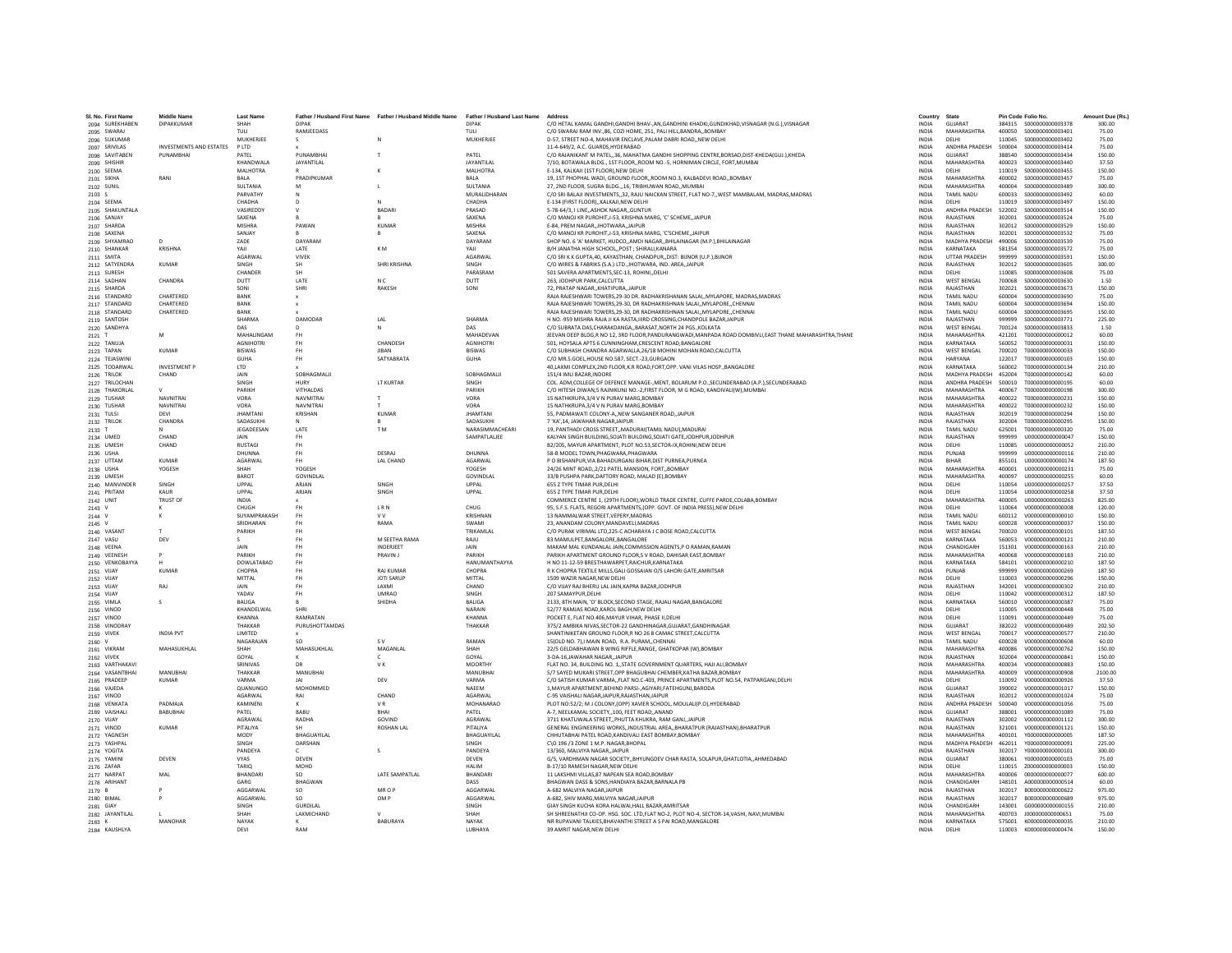| SL No. First Name                          | <b>Middle Name</b>      | <b>Last Name</b>             |                    | Father / Husband First Name Father / Husband Middle Name Father / Husband Last Name |                                | Address                                                                                                                                                       | Country                      | State                              | Pin Code Folio No. |                                             | Amount Due (Rs.) |
|--------------------------------------------|-------------------------|------------------------------|--------------------|-------------------------------------------------------------------------------------|--------------------------------|---------------------------------------------------------------------------------------------------------------------------------------------------------------|------------------------------|------------------------------------|--------------------|---------------------------------------------|------------------|
| 2094 SUREKHABEN                            | DIPAKKUMAR              | SHAH                         | <b>DIPAK</b>       |                                                                                     | <b>DIPAK</b>                   | C/O HETAL KAMAL GANDHI GANDHI BHAV-AN GANDHINI KHADKI GUNDIKHAD VISNAGAR (N.G.) VISNAGAR                                                                      | <b>INDIA</b>                 | GUJARAT                            |                    |                                             | 300.00           |
| 2095 SWARAJ                                |                         | TULL                         | <b>RAMIFFDASS</b>  |                                                                                     | TULL                           | C/O SWARALRAM INV. 86, CO7LHOME, 251, PALLHILL RANDRA, ROMRAY                                                                                                 | <b>INDIA</b>                 | MAHARASHTRA                        |                    | 400050 5000000000003401                     | 75.00            |
| 2096 SUKUMAR                               |                         | MUKHERJEE                    |                    |                                                                                     | MUKHERJEE                      | D-57, STREET NO-4, MAHAVIR ENCLAVE, PALAM DABRI ROAD, NEW DELHI                                                                                               | <b>INDIA</b>                 | DELHI                              | 110045             | \$000000000003402                           | 75.00            |
| 2097 SRIVILAS                              | INVESTMENTS AND ESTATES | P LTD                        |                    |                                                                                     |                                | 11-4-649/2, A.C. GUARDS, HYDERABAD                                                                                                                            | INDIA                        | ANDHRA PRADESH                     | 500004             | S000000000003414                            | 75.00            |
| 2098 SAVITABEN                             | PUNAMBHAI               | PATEL                        | PUNAMBHA           |                                                                                     | PATEL                          | C/O RAJANIKANT M PATEL, 36, MAHATMA GANDHI SHOPPING CENTRE, BORSAD, DIST-KHEDA(GUJ.), KHEDA                                                                   | <b>INDIA</b>                 | <b>GUJARAT</b>                     | 388540             | S000000000003434                            | 150.00           |
| 2099 SHISHIR                               |                         | KHANDWALA<br>MAI HOTRA       | JAYANTILAL         |                                                                                     | JAYANTILAL<br><b>MAI HOTRA</b> | 7/10. BOTAWALA BLDG 1ST FLOORROOM NO.-5. HORNIMAN CIRCLE. FORT.MUMBAI<br>F-134 KAI KAII (1ST FLOOR) NEW DELHI                                                 | <b>INDIA</b><br><b>INDIA</b> | MAHARASHTRA<br>DELHI               | 400023<br>110019   | S000000000003440<br>\$000000000003455       | 37.50<br>150.00  |
| 2100 SEEMA<br>2101 SIKHA                   | RANI                    | BALA                         | PRADIPKUMAR        |                                                                                     | <b>BALA</b>                    | 19, 1ST PHOPHAL WADI, GROUND FLOOR, ROOM NO.3, KALBADEVI ROAD, BOMBAY                                                                                         | INDIA                        | MAHARASHTRA                        | 400002             | \$000000000003457                           | 75.00            |
| 2102 SUNIL                                 |                         | SULTANIA                     |                    |                                                                                     | SULTANIA                       | 27. 2ND FLOOR, SUGRA BLDG 16, TRIBHUWAN ROAD., MUMBAI                                                                                                         | <b>INDIA</b>                 | MAHARASHTRA                        | 400004             | \$000000000003489                           | 300.00           |
| 2103 S                                     |                         | PARVATHY                     | $\mathbb N$        |                                                                                     | MURALIDHARAN                   | C/O SRI BALAJI INVESTMENTS, 32, RAJU NAICKAN STREET, FLAT NO-7, WEST MAMBALAM, MADRAS, MADRAS                                                                 | <b>INDIA</b>                 | <b>TAMIL NADU</b>                  | 600033             | S000000000003492                            | 60.00            |
| 2104 SEEMA                                 |                         | CHADHA                       | $\sqrt{2}$         | $\mathbf{M}$                                                                        | CHADHA                         | F-134 (FIRST FLOOR). KALKAILNEW DELHI                                                                                                                         | <b>INDIA</b>                 | DELHI                              | 110019             | \$000000000003497                           | 150.00           |
| 2105 SHAKUNTALA                            |                         | VASIREDDY                    |                    | <b>BADARI</b>                                                                       | PRASAD                         | 5-78-64/3. I LINEASHOK NAGARGUNTUR                                                                                                                            | INDIA                        | ANDHRA PRADESH                     | 522002             | S000000000003514                            | 150.00           |
| 2106 SANJAY                                |                         | SAXENA                       |                    |                                                                                     | SAXENA                         | C/O MANOJ KR PUROHIT, J-53, KRISHNA MARG, 'C' SCHEME, JAIPUR                                                                                                  | INDIA                        | RAJASTHAN                          | 302001             | S000000000003524                            | 75.00            |
| 2107 SHARDA                                |                         | <b>MISHRA</b>                | PAWAN              | <b>KUMAR</b>                                                                        | MISHRA                         | E-84, PREM NAGAR, JHOTWARA, JAIPUR                                                                                                                            | <b>INDIA</b>                 | RAJASTHAN                          | 302012             | \$000000000003529                           | 150.00           |
| 2108 SAXENA                                |                         | SANJAY                       |                    | B                                                                                   | SAXENA                         | C/O MANOJ KR PUROHIT.J-53. KRISHNA MARG. 'C'SCHEMEJAIPUR                                                                                                      | <b>INDIA</b>                 | RAJASTHAN                          | 302001             | S000000000003532                            | 75.00            |
| 2109 SHYAMRAO                              | $\sqrt{2}$              | <b>ZADE</b>                  | DAYARAM            |                                                                                     | DAYARAM                        | SHOP NO. 6 'A' MARKET, HUDCO., AMDI NAGAR, BHILAINAGAR (M.P.), BHILAINAGAR                                                                                    | <b>INDIA</b>                 | MADHYA PRADESH 490006<br>KARNATAKA |                    | \$000000000003539                           | 75.00            |
| 2110 SHANKAR<br>2111 SMITA                 | <b>KRISHNA</b>          | YAJI<br>AGARWAL              | LATE<br>VIVEK      | KM.                                                                                 | YAII<br>AGARWAL                | B/H JANATHA HIGH SCHOOL,, POST ; SHIRALI, KANARA<br>C/O SRI K K GUPTA.40, KAYASTHAN, CHANDPUR., DIST: BUNOR (U.P.), BUNOR                                     | <b>INDIA</b><br><b>INDIA</b> | <b>UTTAR PRADES</b>                | 581354<br>999999   | \$000000000003572                           | 75.00<br>150.00  |
| 2112 SATYENDRA                             | <b>KUMAR</b>            | SINGH                        | <b>SH</b>          | SHRI KRISHNA                                                                        | SINGH                          | C/O WIRES & FABRIKS (S.A.) LTD. JHOTWARA. IND. AREA. JAIPUR                                                                                                   | <b>INDIA</b>                 | RAJASTHAN                          | 302012             | \$000000000003605                           | 300.00           |
| 2113 SURESH                                |                         | CHANDER                      | <b>SH</b>          |                                                                                     | PARASRAM                       | 501 SAVERA APARTMENTS.SEC-13, ROHINIDELHI                                                                                                                     | <b>INDIA</b>                 | DELHI                              | 110085             | \$000000000003608                           | 75.00            |
| 2114 SADHAN                                | CHANDRA                 | <b>DUTT</b>                  | <b>LATE</b>        | N.C.                                                                                | DUTT                           | 263. JODHPUR PARK.CALCUTTA                                                                                                                                    | <b>INDIA</b>                 | <b>WEST RENGAL</b>                 | 700068             | \$000000000003630                           | 1.50             |
| 2115 SHARDA                                |                         | SONI                         | SHRI               | RAKESH                                                                              | SONI                           | 72, PRATAP NAGAR, KHATIPURA, JAIPUR                                                                                                                           | INDIA                        | RAJASTHAN                          | 302021             | \$000000000003673                           | 150.00           |
| 2116 STANDARD                              | CHARTERED               | BANK                         | $\mathbf{x}$       |                                                                                     |                                | RAJA RAJESHWARI TOWERS, 29-30 DR. RADHAKRISHANAN SALAI, MYLAPORE, MADRAS, MADRAS                                                                              | <b>INDIA</b>                 | <b>TAMIL NADU</b>                  | 600004             | \$000000000003690                           | 75.00            |
| 2117 STANDARD                              | CHARTERED               | BANK                         |                    |                                                                                     |                                | RAJA RAJESHWARI TOWERS.29-30. DR RADHAKRISHNAN SALAIMYLAPORECHENNAI                                                                                           | <b>INDIA</b>                 | <b>TAMIL NADU</b>                  | 600004             | \$000000000003694                           | 150.00           |
| 2118 STANDARD                              | CHARTERED               | RANK                         |                    |                                                                                     |                                | RAIA RAIFSHWARI TOWERS 29-30. DR RADHAKRISHNAN SALAL MYLAPORE, CHENNAL                                                                                        | <b>INDIA</b>                 | <b>TAMIL NADLI</b>                 | 600004             | \$000000000003695                           | 150.00           |
| 2119 SANTOSH                               |                         | SHARMA<br>DAS                | DAMODAR            | LAL                                                                                 | SHARMA<br>DAS                  | H NO.-959 MISHRA RAJA JI KA RASTA, IIIRD CROSSING, CHANDPOLE BAZAR, JAIPUR<br>C/O SUBRATA DAS.CHARAKDANGABARASAT.NORTH 24 PGSKOLKATA                          | INDIA<br><b>INDIA</b>        | RAJASTHAN<br><b>WEST BENGAL</b>    | 999999<br>700124   | \$000000000003771<br>\$000000000003833      | 225.00<br>1.50   |
| 2120 SANDHYA<br>2121 T                     | M                       | MAHALINGAM                   | <b>FH</b>          |                                                                                     | MAHADEVAN                      | JEEVAN DEEP BLDG,R NO 12, 3RD FLOOR,PANDURANGWADI,MANPADA ROAD DOMBIVLI,EAST THANE MAHARASHTRA,THANE                                                          | <b>INDIA</b>                 | MAHARASHTRA                        | 421201             | T000000000000012                            | 60.00            |
| 2122 TANUJA                                |                         | <b>AGNIHOTRI</b>             | <b>FH</b>          | CHANDESH                                                                            | <b>AGNIHOTRI</b>               | 501. HOYSALA APTS 6 CUNNINGHAM.CRESCENT ROAD.BANGALORE                                                                                                        | <b>INDIA</b>                 | KARNATAKA                          | 560052             | T000000000000031                            | 150.00           |
| 2123 TAPAN                                 | KUMAR                   | <b>RISWAS</b>                | <b>FH</b>          | <b>IIRAN</b>                                                                        | <b>RISWAS</b>                  | C/O SURHASH CHANDRA AGARWALLA 26/18 MOHINI MOHAN ROAD CALCUTTA                                                                                                | <b>INDIA</b>                 | <b>WEST RENGAL</b>                 | 700020             | T000000000000033                            | 150.00           |
| 2124 TEJASWIN                              |                         | GUHA                         | FH                 | SATYABRATA                                                                          | GUHA                           | C/O MR.S.GOEL, HOUSE NO.587, SECT.-23, GURGAON                                                                                                                | INDIA                        | <b>HARYANA</b>                     | 122017             | T000000000000103                            | 150.00           |
| 2125 TODARWAL                              | <b>INVESTMENT P</b>     | LTD                          |                    |                                                                                     |                                | 40, LAXMI COMPLEX, 2ND FLOOR, K.R ROAD, FORT, OPP. VANI VILAS HOSP., BANGALORE                                                                                | <b>INDIA</b>                 | KARNATAKA                          | 560002             | T000000000000134                            | 210.00           |
| 2126 TRILOK                                | CHAND                   | JAIN                         | SOBHAGMALI         |                                                                                     | SOBHAGMALII                    | 151/4 IMLI BAZAR INDORE                                                                                                                                       | <b>INDIA</b>                 | MADHYA PRADESH 452004              |                    | T000000000000142                            | 60.00            |
| 2127 TRILOCHAN                             |                         | SINGH                        | <b>HURY</b>        | <b>IT KURTAR</b>                                                                    | <b>SINGH</b>                   | COL. ADM.COLLEGE OF DEFENCE MANAGE-.MENT, BOLARUM P.O., SECUNDERABAD (A.P.). SECUNDERABAD                                                                     | <b>INDIA</b>                 | ANDHRA PRADESH                     | 500010             | T000000000000195                            | 60.00            |
| 2128 THAKORLAI                             |                         | PARIKH                       | VITHALDAS          |                                                                                     | PARIKH                         | C/O HITESH DIWAN,5 RAJNIKUNJ NO.-2,FIRST FLOOR, M G ROAD, KANDIVALI(W),MUMBAI                                                                                 | <b>INDIA</b>                 | MAHARASHTRA                        | 400067             | T000000000000198                            | 300.00           |
| 2129 TUSHAR                                | <b>NAVNITRA</b>         | VORA                         | <b>NAVMITRA</b>    |                                                                                     | VORA                           | 15 NATHKRUPA.3/4 V N PURAV MARG.BOMBAY                                                                                                                        | <b>INDIA</b>                 | MAHARASHTRA                        | 400022             | T000000000000231                            | 150.00           |
| 2130 TUSHAR                                | <b>NAVNITRAI</b>        | VORA                         | NAVNITRAI          |                                                                                     | VORA                           | 15 NATHKRUPA.3/4 V N PURAV MARG.BOMBAY                                                                                                                        | <b>INDIA</b>                 | MAHARASHTRA                        | 400022             | T000000000000232                            | 150.00           |
| 2131 TULSI                                 | DEVI<br>CHANDRA         | <b>JHAMTANI</b><br>SADASUKHI | KRISHAN            | KUMAR                                                                               | <b>JHAMTANI</b><br>SADASUKHI   | 55. PADMAWATI COLONY-ANEW SANGANER ROADJAIPUR<br>7 'KA' 14 JAWAHAR NAGAR JAIPUR                                                                               | <b>INDIA</b><br><b>INDIA</b> | RAJASTHAN<br>RAIASTHAN             | 302019<br>302004   | T000000000000294<br>T000000000000295        | 150.00<br>150.00 |
| 2132 TRILOK<br>2133 1                      |                         | JEGADEESAN                   | LATE               | T M                                                                                 | NARASIMMACHEARI                | 19, PANTHADI CROSS STREET,, MADURAI (TAMIL NADU), MADURAI                                                                                                     | INDIA                        | <b>TAMIL NADU</b>                  | 625001             | T000000000000320                            | 75.00            |
| 2134 UMED                                  | CHAND                   | <b>JAIN</b>                  | <b>FH</b>          |                                                                                     | SAMPATLALIEE                   | KALYAN SINGH BUILDING.SOJATI BUILDING.SOJATI GATE JODHPUR JODHPUR                                                                                             | <b>INDIA</b>                 | RAJASTHAN                          | 999999             |                                             | 150.00           |
| 2135 UMESH                                 | CHAND                   | <b>RUSTAGI</b>               | <b>FH</b>          |                                                                                     |                                | B2/205, MAYUR APARTMENT, PLOT NO.53.SECTOR-IX.ROHINI.NEW DELHI                                                                                                | <b>INDIA</b>                 | DELHI                              | 110085             | U000000000000052                            | 210.00           |
| 2136 USHA                                  |                         | DHUNNA                       | FH.                | DESRAI                                                                              | DHUNNA                         | 58-B MODEL TOWN PHAGWARA PHAGWARA                                                                                                                             | <b>INDIA</b>                 | PUNJAR                             | 999999             | 11000000000000116                           | 210.00           |
| 2137 UTTAM                                 | <b>KUMAR</b>            | AGARWAL                      | <b>FH</b>          | LAL CHAND                                                                           | AGARWAL                        | P O BISHANPUR, VIA BAHADURGANJ BIHAR, DIST PURNEA, PURNEA                                                                                                     | INDIA                        | <b>RIHAR</b>                       | 855101             | U000000000000174                            | 187.50           |
| 2138 USHA                                  | YOGESH                  | SHAH                         | YOGESH             |                                                                                     | YOGESH                         | 24/26 MINT ROAD,,2/21 PATEL MANSION, FORT,,BOMBAY                                                                                                             | <b>INDIA</b>                 | MAHARASHTRA                        | 400001             | U000000000000231                            | 75.00            |
| 2139 UMESH                                 |                         | BAROT                        | GOVINDLA           |                                                                                     | GOVINDLAI                      | 33/B PUSHPA PARK.DAFTORY ROAD, MALAD (E).BOMBAY                                                                                                               | <b>INDIA</b>                 | MAHARASHTRA                        | 400097             | U00000000000255                             | 60.00            |
| 2140 MANVINDER                             | SINGH                   | UPPAL                        | ARJAN              | SINGH                                                                               | UPPAL                          | 655 Z TYPE TIMAR PUR.DELHI                                                                                                                                    | <b>INDIA</b>                 | DELHI                              | 110054             | U000000000000257                            | 37.50            |
| 2141 PRITAM                                | KAUR                    | LIPPAL                       | ARIAN              | <b>SINGH</b>                                                                        | <b>UPPAL</b>                   | 655 7 TYPE TIMAR PUR DEI HI                                                                                                                                   | <b>INDIA</b>                 | DELHI                              | 110054             | 11000000000000258                           | 37.50            |
| 2142 UNIT                                  | <b>TRUST OF</b>         | INDIA<br>CHUGH               |                    | <b>LRN</b>                                                                          | CHUG                           | COMMERCE CENTRE 1, (29TH FLOOR), WORLD TRADE CENTRE, CUFFE PARDE, COLABA, BOMBAY<br>95, S.F.S. FLATS, REGORI APARTMENTS.(OPP, GOVT, OF INDIA PRESS).NEW DELHI | INDIA<br><b>INDIA</b>        | MAHARASHTRA<br>DELHI               | 400005<br>110064   | U00000000000263<br>V000000000000008         | 825.00<br>120.00 |
| 2143 V<br>2144 V                           | к                       | SUYAMPRAKASH                 | <b>FH</b>          | <b>VV</b>                                                                           | KRISHNAN                       | 13 NAMMALWAR STREET.VEPERY.MADRAS                                                                                                                             | <b>INDIA</b>                 | <b>TAMIL NADU</b>                  | 600112             | V000000000000010                            | 150.00           |
| 2145 V                                     |                         | SRIDHARAN                    | <b>FH</b>          | RAMA                                                                                | <b>SWAMI</b>                   | 23. ANANDAM COLONY MANDAVELL MADRAS                                                                                                                           | <b>INDIA</b>                 | <b>TAMIL NADLI</b>                 | 600028             | V000000000000037                            | 150.00           |
| 2146 VASANT                                |                         | PARIKH                       | <b>FH</b>          |                                                                                     | TRIKAMLAL                      | C/O PURAK VIRIMAL LTD,225-C ACHARAYA J C BOSE ROAD,CALCUTTA                                                                                                   | <b>INDIA</b>                 | <b>WEST BENGAL</b>                 | 700020             | V000000000000101                            | 187.50           |
| 2147 VASU                                  | DEV                     |                              | FH                 | M SEETHA RAMA                                                                       | RAJU                           | 83 MAMULPET, BANGALORE, BANGALORE                                                                                                                             | INDIA                        | KARNATAKA                          | 560053             | V000000000000121                            | 210.00           |
| 2148 VEENA                                 |                         | JAIN                         | <b>FH</b>          | <b>INDERJEET</b>                                                                    | JAIN                           | MAKAM MAL KUNDANLAL JAIN.COMMISSION AGENTS.P O RAMAN.RAMAN                                                                                                    | INDIA                        | CHANDIGARH                         | 151301             | V000000000000163                            | 210.00           |
| 2149 VEENESH                               | <b>P</b>                | PARIKH                       | <b>FH</b>          | PRAVIN J                                                                            | PARIKH                         | PARIKH APARTMENT GROUND FLOOR.S V ROAD, DAHISAR EAST.BOMBAY                                                                                                   | <b>INDIA</b>                 | MAHARASHTRA                        | 400068             | V000000000000183                            | 210.00           |
| 2150 VENKOBAYYA                            | $\mathbf{H}$            | DOWLATARAD                   | <b>FH</b>          |                                                                                     | HANUMANTHAYYA                  | H NO 11-12-59 RRESTHAWARPET RAICHUR KARNATAKA                                                                                                                 | <b>INDIA</b>                 | KARNATAKA                          | 584101             | V000000000000210                            | 187.50           |
| 2151 VIJAY                                 | <b>KUMAR</b>            | CHOPRA                       | <b>FH</b>          | <b>RAJ KUMAR</b>                                                                    | CHOPRA                         | R K CHOPRA TEXTILE MILLS, GALI GOSSAIAN O/S LAHORI GATE, AMRITSAR                                                                                             | INDIA                        | PUNJAB                             | 999999             | V000000000000269                            | 187.50           |
| 2152 VIJAY                                 |                         | MITTAL                       | <b>FH</b>          | <b>JOTI SARUF</b>                                                                   | MITTAL                         | 1509 WAZIR NAGAR.NEW DELHI                                                                                                                                    | <b>INDIA</b>                 | DELHI                              | 110003             | V000000000000296                            | 150.00           |
| 2153 VIJAY                                 | RAJ                     | JAIN                         | <b>FH</b>          | LAXMI                                                                               | CHAND                          | C/O VIJAY RAJ BHERU LAL JAIN, KAPRA BAZAR, JODHPUR                                                                                                            | <b>INDIA</b>                 | RAJASTHAN                          | 342001             | V000000000000302                            | 210.00           |
| 2154 VIJAY                                 |                         | YADAV<br>BALIGA              | FH <sub>1</sub>    | <b>UMRAO</b><br>SHIDHA                                                              | <b>SINGH</b><br><b>BALIGA</b>  | 207 SAMAYPUR DELHI                                                                                                                                            | <b>INDIA</b>                 | DELHI<br>KARNATAKA                 | 110042<br>560010   | V000000000000312                            | 187.50           |
| 2155 VIMLA<br>2156 VINOD                   | s                       | KHANDELWAL                   | B<br>SHRI          |                                                                                     | NARAIN                         | 2133, 8TH MAIN, 'D' BLOCK, SECOND STAGE, RAJALI NAGAR, BANGALORE<br>52/77 RAMJAS ROAD, KAROL BAGH, NEW DELHI                                                  | INDIA<br>INDIA               | DELHI                              | 110005             | V000000000000387<br>V000000000000448        | 75.00<br>75.00   |
| 2157 VINOD                                 |                         | KHANNA                       | <b>RAMRATAM</b>    |                                                                                     | KHANNA                         | POCKET E. FLAT NO.406.MAYUR VIHAR, PHASE II.DELHI                                                                                                             | <b>INDIA</b>                 | DELHI                              | 110091             | V000000000000449                            | 75.00            |
| 2158 VINODRAY                              |                         | THAKKAR                      | PURUSHOTTAMDAS     |                                                                                     | THAKKAR                        | 375/2 AMBIKA NIVAS.SECTOR-22 GANDHINAGAR.GUJARAT.GANDHINAGAR                                                                                                  | <b>INDIA</b>                 | GUJARAT                            | 382022             | V000000000000489                            | 202.50           |
| 2159 VIVEK                                 | <b>INDIA PVT</b>        | <b>I IMITED</b>              |                    |                                                                                     |                                | SHANTINIKETAN GROUND FLOOR R NO 26 8 CAMAC STREET CALCUTTA                                                                                                    | <b>INDIA</b>                 | <b>WEST RENGAL</b>                 | 700017             | V000000000000577                            | 210.00           |
| 2160 V                                     |                         | NAGARAJAN                    | so                 | s v                                                                                 | RAMAN                          | 15(OLD NO. 7), I MAIN ROAD, R.A. PURAM, CHENNAI                                                                                                               | INDIA                        | <b>TAMIL NADU</b>                  | 600028             | V000000000000608                            | 60.00            |
| 2161 VIKRAM                                | MAHASUKHLAL             | SHAH                         | MAHASUKHLAL        | MAGANLAL                                                                            | SHAH                           | 22/5 GELDABHAWAN B WING RIFFLE.RANGE, GHATKOPAR (W).BOMBAY                                                                                                    | INDIA                        | <b>MAHARASHTRA</b>                 | 400086             | V000000000000762                            | 150.00           |
| 2162 VIVEK                                 |                         | GOYAL                        | $\kappa$           | $\epsilon$                                                                          | GOYAL                          | 3-DA-16JAWAHAR NAGAR, JAIPUR                                                                                                                                  | <b>INDIA</b>                 | RAJASTHAN                          | 302004             | V000000000000841                            | 150.00           |
| 2163 VARTHAKAV                             |                         | SRINIVAS                     | DR                 | VK.                                                                                 | <b>MOORTHY</b>                 | FLAT NO. 34. RUILDING NO. 1. STATE GOVERNMENT OUARTERS. HAILALL ROMRAY                                                                                        | <b>INDIA</b>                 | MAHARASHTRA                        | 400034             | V000000000000883                            | 150.00           |
| 2164 VASANTBHAI                            | MANURHAL                | THAKKAR                      | MANURHAI<br> A     |                                                                                     | MANURHAL                       | 5/7 SAYED MUKARI STREET.OPP BHAGUBHAI CHEMBER.KATHA BAZAR.BOMBAY                                                                                              | <b>INDIA</b>                 | MAHARASHTRA                        | 400009             | V000000000000908                            | 2100.00          |
| 2165 PRADEEP<br>2166 VAJEDA                | KUMAR                   | VARMA<br>QUANUNGO            | MOHOMMED           | DEV                                                                                 | VARMA<br>NAEEM                 | C/O SATISH KUMAR VARMA,,FLAT NO.C-403, PRINCE APARTMENTS, PLOT NO.54, PATPARGANJ, DELHI<br>1. MAYUR APARTMENT. BEHIND PARSI-, AGIYARI, FATEHGUNJ, BARODA      | INDIA<br><b>INDIA</b>        | DELHI<br>GUJARAT                   | 110092<br>390002   | V000000000000926<br>V000000000001017        | 37.50<br>150.00  |
| 2167 VINOD                                 |                         | AGARWAL                      | RAI                | CHAND                                                                               | AGARWAL                        | C-95 VAISHALI NAGAR JAIPUR RAJASTHAN JAIPUR                                                                                                                   | <b>INDIA</b>                 | RAJASTHAN                          | 302012             | V000000000001024                            | 75.00            |
| 2168 VENKATA                               | PADMAIA                 | KAMINENI                     | ĸ                  | VR.                                                                                 | MOHANARAO                      | PLOT NO:52/2: M J COLONY.(OPP) XAVIER SCHOOL. MOULALI(P.O).HYDERABAD                                                                                          | <b>INDIA</b>                 | ANDHRA PRADESH                     | 500040             | V000000000001056                            | 75.00            |
| 2169 VAISHALI                              | <b>BABUBHA</b>          | PATEL                        | BABU               | BHAI                                                                                | PATEL                          | A-7, NEELKAMAL SOCIETY, 100, FEET ROAD, ANAND                                                                                                                 | <b>INDIA</b>                 | GUJARAT                            | 388001             | V000000000001089                            | 75.00            |
| 2170 VIJAY                                 |                         | AGRAWAI                      | RADHA              | GOVIND                                                                              | AGRAWAL                        | 3711 KHATUWALA STREETPHUTTA KHUKRA, RAM GANJ.JAIPUR                                                                                                           | <b>INDIA</b>                 | RAJASTHAN                          | 302002             | V000000000001112                            | 300.00           |
| 2171 VINOD                                 | <b>KUMAR</b>            | PITALIYA                     | <b>SH</b>          | <b>ROSHAN LAL</b>                                                                   | PITALIYA                       | GENERAL ENGINEERING WORKSINDUSTRIAL AREABHARATPUR (RAJASTHAN).BHARATPUR                                                                                       | <b>INDIA</b>                 | RAJASTHAN                          | 321001             | V000000000001121                            | 150.00           |
| 2172 YAGNESH                               |                         | MODY                         | <b>RHAGUAYILAL</b> |                                                                                     | <b>RHAGUAYU AL</b>             | CHHUTARHAI PATEL ROAD KANDIVALLEAST ROMRAY ROMRAY                                                                                                             | <b>INDIA</b>                 | MAHARASHTRA                        | 400101             | Y0000000000000005                           | 187.50           |
| 2173 YASHPAL                               |                         | SINGH                        | DARSHAN            |                                                                                     | <b>SINGH</b>                   | C\O 196 /3 ZONE 1 M.P. NAGAR.BHOPAL                                                                                                                           | <b>INDIA</b>                 | MADHYA PRADESH 462011              |                    | Y000000000000091                            | 225.00           |
| 2174 YOGITA                                |                         | PANDEYA                      |                    |                                                                                     | PANDEYA                        | 13/360, MALVIYA NAGAR, JAIPUR                                                                                                                                 | INDIA                        | RAJASTHAN                          | 302017             | Y000000000000101                            | 300.00           |
| 2175 YAMINI                                | DEVEN                   | <b>VYAS</b>                  | DEVEN              |                                                                                     | DEVEN                          | G/5, VARDHMAN NAGAR SOCIETY, BHYUNGDEV CHAR RASTA, SOLAPUR, GHATLOTIA, AHMEDABAD                                                                              | <b>INDIA</b>                 | GUJARAT                            | 380061             | Y000000000000103                            | 75.00            |
| 2176 ZAFAR                                 |                         | TARIO                        | MOHD               | <b>LATE SAMPATI AI</b>                                                              | <b>HALIM</b>                   | B-17/10 RAMESH NAGAR.NEW DELHI                                                                                                                                | <b>INDIA</b>                 | DELHI                              | 110015             | Z000000000000003                            | 150.00           |
| 2177 NARPAT                                | MAI                     | RHANDARI<br>GARG             | SO.                |                                                                                     | <b>RHANDARI</b><br>DASS        | 11 LAKSHMI VILLAS 87 NAPEAN SEA ROAD ROMRAY                                                                                                                   | <b>INDIA</b>                 | MAHARASHTRA<br>CHANDIGARH          | 400006<br>148101   | 0000000000000077<br>A000000000000514        | 600.00           |
| 2178 ARIHANT<br>2179 B                     |                         | AGGARWA                      | BHAGWAN<br>so      | MR O P                                                                              | AGGARWAI                       | BHAGWAN DASS & SONS, HANDIAYA BAZAR, BARNALA PB<br>A-682 MALVIYA NAGARJAIPUR                                                                                  | INDIA<br><b>INDIA</b>        | RAJASTHAN                          | 302017             | B00000000000622                             | 60.00<br>975.00  |
| 2180 BIMAL                                 |                         | AGGARWAL                     | <b>SO</b>          | OM P                                                                                | AGGARWAL                       | A-682, SHIV MARG, MALVIYA NAGARJAIPUR                                                                                                                         | <b>INDIA</b>                 | RAJASTHAN                          | 302017             | B000000000000689                            | 975.00           |
| 2181 GIAY                                  |                         | <b>SINGH</b>                 | <b>GURDILAI</b>    |                                                                                     | <b>SINGH</b>                   | GIAY SINGH KUCHA KORA HAI WALHALL BAZAR AMRITSAR                                                                                                              | <b>INDIA</b>                 | CHANDIGARH                         | 143001             | 6000000000000155                            | 210.00           |
|                                            |                         |                              |                    |                                                                                     |                                |                                                                                                                                                               |                              |                                    |                    |                                             |                  |
|                                            |                         | SHAH                         | <b>LAXMICHAND</b>  | $\mathbf{v}$                                                                        | SHAH                           | SH SHREENATHJI CO-OP, HSG, SOC, LTD, FLAT NO-2, PLOT NO-4, SECTOR-14/VASHI, NAVI, MUMBAI                                                                      | <b>INDIA</b>                 | MAHARASHTRA                        | 400703             | 1000000000000651                            | 75.00            |
| 2182 JAYANTILAL<br>2183 K<br>2184 KAUSHLYA | MANOHAR                 | NAYAK<br>DEVI                | RAM                | BABURAYA                                                                            | NAYAK<br>LUBHAYA               | NR RUPAVANI TALKIES, BHAVANTHI STREET A S PAI ROAD, MANGALORE<br>39 AMRIT NAGAR.NEW DELHI                                                                     | INDIA<br><b>INDIA</b>        | KARNATAKA<br>DELHI                 | 575001             | K000000000000035<br>110003 K000000000000474 | 210.00<br>150.00 |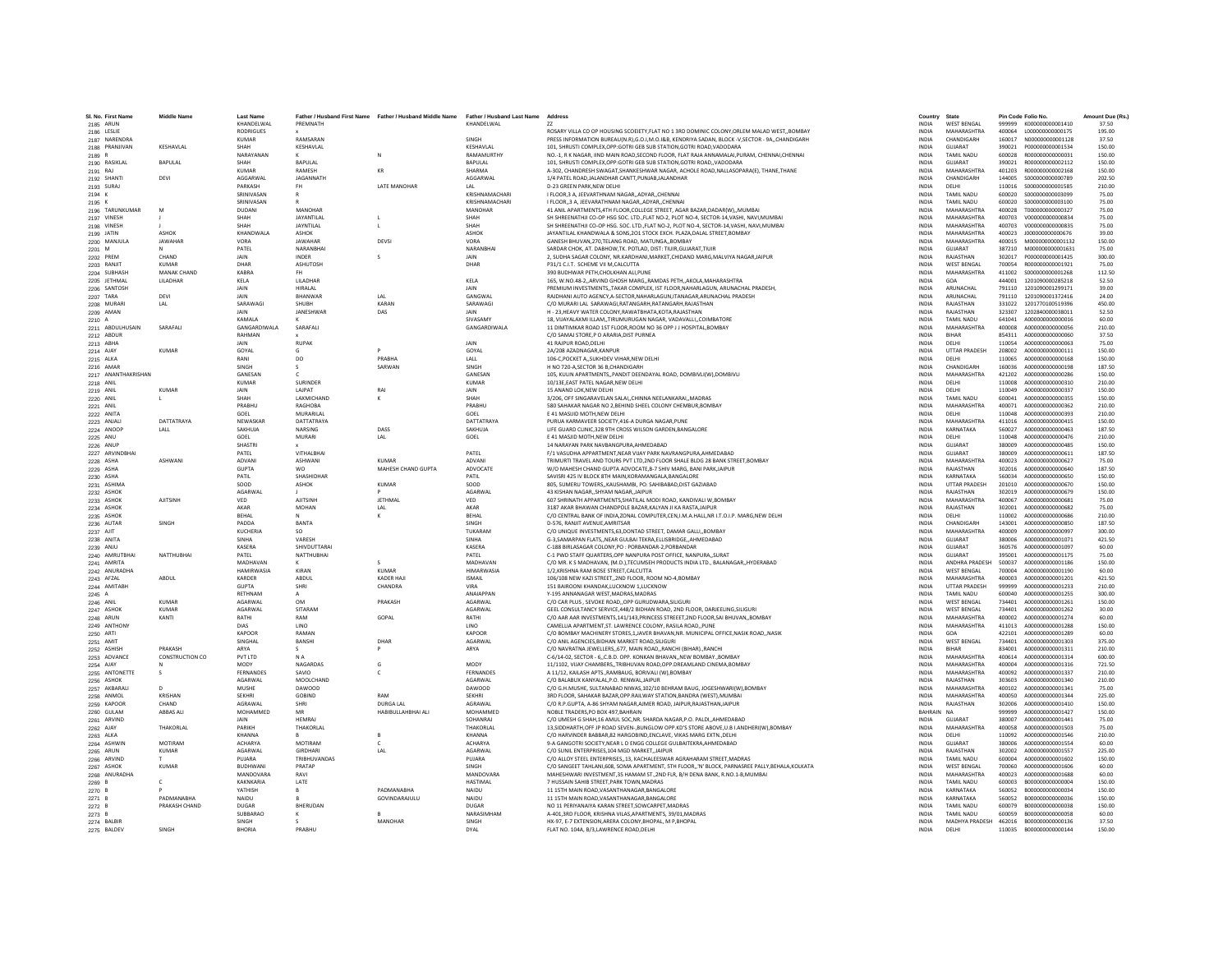| SI, No. First Nam             | <b>Middle Name</b>             | <b>Last Name</b>               |                         | Father / Husband First Name Father / Husband Middle Name | <b>Father / Husband Last Name</b> | Address                                                                                                                                                                         | Country                      | State                                    |                  | Pin Code Folio No                    | Amount Due (Rs.  |
|-------------------------------|--------------------------------|--------------------------------|-------------------------|----------------------------------------------------------|-----------------------------------|---------------------------------------------------------------------------------------------------------------------------------------------------------------------------------|------------------------------|------------------------------------------|------------------|--------------------------------------|------------------|
| 2185 ARUN                     |                                | KHANDELWAL<br><b>RODRIGUES</b> | PREMNATH                |                                                          | KHANDELWAL                        | 77<br>ROSARY VILLA CO OP HOUSING SCOEIETY, FLAT NO 1 3RD DOMINIC COLONY, ORLEM MALAD WEST, , BOMBAY                                                                             | <b>INDIA</b><br><b>INDIA</b> | <b>WEST RENGAL</b><br>MAHARASHTRA        | 999999<br>400064 | K000000000001410<br>L00000000000175  | 37.50<br>195.00  |
| 2186 LESLIE<br>2187 NARENDRA  |                                | <b>KUMAR</b>                   | RAMSARAN                |                                                          | SINGH                             | PRESS INFORMATION BUREAU(N.R).G.O.I.M.O.I&B. KENDRIYA SADAN. BLOCK -V.SECTOR - 9A.,CHANDIGARH                                                                                   | <b>INDIA</b>                 | CHANDIGARH                               | 160017           | N000000000001128                     | 37.50            |
| 2188 PRANJIVAN                | <b>KESHAVLAL</b>               | SHAH                           | KESHAVLAL               |                                                          | <b>KFSHAVI AI</b>                 | 101, SHRUSTI COMPLEX, OPP: GOTRI GEB SUB STATION, GOTRI ROAD, VADODARA                                                                                                          | <b>INDIA</b>                 | GUIARAT                                  | 390021           | P000000000001534                     | 150.00           |
| 2189 R                        |                                | NARAYANAN                      |                         | N                                                        | <b>RAMAMURTHY</b>                 | NO.-1. R K NAGAR. IIND MAIN ROAD.SECOND FLOOR. FLAT RAJA ANNAMALAI.PURAM. CHENNAI.CHENNAI                                                                                       | <b>INDIA</b>                 | <b>TAMIL NADU</b>                        | 600028           | R000000000000031                     | 150.00           |
| 2190 RASIKLAI                 | BAPULAL                        | SHAH                           | <b>BAPULAL</b>          |                                                          | <b>RAPULAI</b>                    | 101, SHRUSTI COMPLEX, OPP: GOTRI GEB SUB STATION, GOTRI ROAD,, VADODARA                                                                                                         | <b>INDIA</b>                 | GUIARAT                                  | 390021           | R00000000002112                      | 150.00           |
| 2191 RAJ                      |                                | <b>KUMAR</b>                   | RAMESH                  | KR                                                       | <b>SHARMA</b>                     | A-302, CHANDRESH SWAGAT, SHANKESHWAR NAGAR, ACHOLE ROAD, NALLASOPARA(E), THANE, THANE                                                                                           | INDIA                        | <b>MAHARASHTRA</b>                       | 401203           | R000000000002168                     | 150.00           |
| 2192 SHANTI                   | DEVI                           | AGGARWAL                       | JAGANNATH               |                                                          | AGGARWAI                          | 1/4 PATEL ROAD, JALANDHAR CANTT, PUNJAB, JALANDHAR                                                                                                                              | <b>INDIA</b>                 | CHANDIGARH                               | 144005           | \$000000000000789                    | 202.50           |
| 2193 SURAJ                    |                                | PARKASH                        | <b>FH</b>               | <b>I ATF MANOHAR</b>                                     | I AI                              | D-23 GREEN PARK NEW DELHI                                                                                                                                                       | <b>INDIA</b>                 | <b>DELHI</b>                             | 110016           | \$000000000001585                    | 210.00           |
| 2194 K                        |                                | SRINIVASAP                     |                         |                                                          | KRISHNAMACHAR                     | I FLOOR, 3 A, JEEVARTHNAM NAGAR, ADYAR, CHENNAI                                                                                                                                 | INDIA                        | <b>TAMIL NADU</b>                        | 600020           | \$000000000003099                    | 75.00            |
| 2195 K                        |                                | SRINIVASAN                     |                         |                                                          | KRISHNAMACHAR                     | I FLOOR3 A. JEEVARATHNAM NAGARADYARCHENNAI                                                                                                                                      | <b>INDIA</b>                 | TAMIL NADU                               | 600020           | \$000000000003100                    | 75.00            |
| 2196 TARUNKUMAR               | M                              | <b>DUDANI</b>                  | MANOHAR                 |                                                          | <b>MANOHAR</b>                    | 41 ANIL APARTMENTS.4TH FLOOR.COLLEGE STREET, AGAR BAZAR.DADAR(W).,MUMBAI                                                                                                        | <b>INDIA</b>                 | <b>MAHARASHTRA</b>                       | 400028           | T000000000000327                     | 75.00            |
| 2197 VINESH                   |                                | SHAH<br>SHAH                   | <b>JAYANTILAI</b>       |                                                          | SHAH<br>SHAH                      | SH SHREENATHJI CO-OP HSG SOC. LTD.,FLAT NO-2, PLOT NO-4, SECTOR-14.VASHI, NAVI,MUMBA                                                                                            | <b>INDIA</b>                 | MAHARASHTRA                              | 400703<br>400703 | V000000000000834                     | 75.00            |
| 2198 VINESH                   |                                |                                | JAYNTILAL               |                                                          |                                   | SH SHREENATHJI CO-OP HSG. SOC. LTD., FLAT NO-2, PLOT NO-4, SECTOR-14, VASHI, NAVI, MUMBAI                                                                                       | <b>INDIA</b>                 | <b>MAHARASHTRA</b>                       |                  | V000000000000835                     | 75.00            |
| 2199 JATIN                    | <b>ASHOK</b><br><b>JAWAHAR</b> | KHANDWALA<br>VORA              | ASHOK<br><b>JAWAHAR</b> | DEVSI                                                    | ASHOK<br>VORA                     | JAYANTILAL KHANDWALA & SONS.201 STOCK EXCH. PLAZA.DALAL STREET.BOMBAY<br>GANESH BHUVAN.270.TELANG ROAD, MATUNGABOMBAY                                                           | <b>INDIA</b><br><b>INDIA</b> | <b>MAHARASHTRA</b><br>MAHARASHTRA        | 400023<br>400015 | J00000000000676<br>M000000000001132  | 39.00<br>150.00  |
| 2200 MANJULA                  |                                | PATFI                          | NARANRHAI               |                                                          | NARANRHAI                         | SARDAR CHOK, AT. DABHOW, TK. POTLAD, DIST: TIUIR, GUJARAT, TIUIR                                                                                                                | <b>INDIA</b>                 | GUIARAT                                  | 387210           | M000000000001631                     | 75.00            |
| 2201 M<br>2202 PREM           | CHAND                          | <b>JAIN</b>                    | <b>INDER</b>            |                                                          | <b>JAIN</b>                       | 2, SUDHA SAGAR COLONY, NR.KARDHANI, MARKET, CHIDAND MARG, MALVIYA NAGAR, JAIPUR                                                                                                 | <b>INDIA</b>                 | RAIASTHAN                                | 302017           | P00000000001425                      | 300.00           |
| 2203 RANJIT                   | <b>KUMAR</b>                   | DHAR                           | <b>ASHUTOSH</b>         |                                                          | DHAR                              | P31/1 C.I.T. SCHEME VII M, CALCUTTA                                                                                                                                             | INDIA                        | <b>WEST BENGAL</b>                       | 700054           | R000000000001921                     | 75.00            |
| 2204 SUBHASH                  | <b>MANAK CHAND</b>             | KABRA                          | <b>FH</b>               |                                                          |                                   | 390 BUDHWAR PETH.CHOLKHAN ALI.PUNE                                                                                                                                              | <b>INDIA</b>                 | MAHARASHTRA                              | 411002           | \$000000000001268                    | 112.50           |
| 2205 JETHMAL                  | <b>I II ADHAR</b>              | <b>KFIA</b>                    | <b>I II ADHAR</b>       |                                                          | KFIA                              | 165 W.NO 48-2, ARVIND GHOSH MARG, RAMDAS PETH, AKOLA MAHARASHTRA                                                                                                                | <b>INDIA</b>                 | GOA                                      | 444001           | 1201090000285218                     | 52.50            |
| 2206 SANTOSH                  |                                | JAIN                           | <b>HIRALAL</b>          |                                                          | JAIN                              | PREMIUM INVESTMENTS,, TAKAR COMPLEX, IST FLOOR, NAHARLAGUN, ARUNACHAL PRADESH,                                                                                                  | INDIA                        | ARUNACHAL                                | 791110           | 1201090001299171                     | 39.00            |
| 2207 TARA                     | DEVI                           | <b>JAIN</b>                    | <b>BHANWAR</b>          | LAL                                                      | GANGWA                            | RAJDHANI AUTO AGENCY.A-SECTOR.NAHARLAGUN.ITANAGAR.ARUNACHAL PRADESH                                                                                                             | <b>INDIA</b>                 | ARUNACHAL                                | 791110           | 1201090001372416                     | 24.00            |
| 2208 MURAR                    | LAL                            | SARAWAG                        | SHUBH                   | KARAN                                                    | SARAWAGI                          | C/O MURARI LAL SARAWAGI.RATANGARH.RATANGARH.RAJASTHAN                                                                                                                           | <b>INDIA</b>                 | RAJASTHAN                                | 331022           | 1201770100519396                     | 450.00           |
| 2209 AMAN                     |                                | <b>JAIN</b>                    | <b>IANESHWAR</b>        | DAS                                                      | <b>JAIN</b>                       | H - 23. HEAVY WATER COLONY.RAWATBHATA.KOTA.RAJASTHAN                                                                                                                            | <b>INDIA</b>                 | RAIASTHAN                                | 323307           | 1202840000038011                     | 52.50            |
| 2210 A                        |                                | KAMALA                         |                         |                                                          | SIVASAMY                          | 18, VIJAYALAXMI ILLAM,,TIRUMURUGAN NAGAR, VADAVALLI,,COIMBATORE                                                                                                                 | INDIA                        | <b>TAMIL NADU</b>                        | 641041           | A000000000000016                     | 60.00            |
| 2211 ABDULHUSAIN              | SARAFALI                       | GANGARDIWALA                   | SARAFALI                |                                                          | GANGARDIWALA                      | 11 DIMTIMKAR ROAD 1ST FLOOR, ROOM NO 36 OPP J J HOSPITAL, BOMBAY                                                                                                                | <b>INDIA</b>                 | MAHARASHTRA                              | 400008           | A000000000000056                     | 210.00           |
| 2212 ABDUR                    |                                | RAHMAN<br><b>JAIN</b>          | RUPAK                   |                                                          | <b>JAIN</b>                       | C/O SAMAI STORE P O ARARIA DIST PURNEA<br>41 RAJPUR ROAD.DELHI                                                                                                                  | <b>INDIA</b><br><b>INDIA</b> | <b>RIHAR</b><br><b>DELHI</b>             | 854311<br>110054 | A000000000000060<br>A000000000000063 | 37.50<br>75.00   |
| 2213 ABHA                     | <b>KUMAR</b>                   | GOYAL                          |                         |                                                          | GOYAL                             | 2A/208 AZADNAGAR, KANPUR                                                                                                                                                        | <b>INDIA</b>                 | <b>UTTAR PRADESH</b>                     | 208002           | A000000000000111                     | 150.00           |
| 2214 AJAY<br>2215 ALKA        |                                | RANI                           | DO                      | PRABHA                                                   | LALL                              | 106-C, POCKET A, , SUKHDEV VIHAR, NEW DELHI                                                                                                                                     | INDIA                        | DELHI                                    | 110065           | A000000000000168                     | 150.00           |
| 2216 AMAR                     |                                | SINGH                          | s.                      | SARWAN                                                   | SINGH                             | H NO 720-A SECTOR 36 B CHANDIGARH                                                                                                                                               | <b>INDIA</b>                 | CHANDIGARH                               | 160036           | A000000000000198                     | 187.50           |
| 2217 ANANTHAKRISHAN           |                                | <b>GANESAN</b>                 |                         |                                                          | GANESAN                           | 105, KULIN APARTMENTS,, PANDIT DEENDAYAL ROAD, DOMBIVLI(W), DOMBIVLI                                                                                                            | <b>INDIA</b>                 | MAHARASHTRA                              | 421202           | A000000000000286                     | 150.00           |
| 2218 ANIL                     |                                | <b>KUMAR</b>                   | <b>SURINDER</b>         |                                                          | <b>KUMAR</b>                      | 10/13E, EAST PATEL NAGAR, NEW DELHI                                                                                                                                             | INDIA                        | DELHI                                    | 110008           | A000000000000310                     | 210.00           |
| 2219 ANIL                     | <b>KUMAR</b>                   | JAIN                           | <b>LAIPAT</b>           | RAI                                                      | <b>JAIN</b>                       | 15 ANAND LOK.NEW DELHI                                                                                                                                                          | <b>INDIA</b>                 | DELHI                                    | 110049           | A000000000000337                     | 150.00           |
| 2220 ANIL                     |                                | SHAH                           | LAXMICHAND              |                                                          | SHAH                              | 3/206, OFF SINGARAVELAN SALAICHINNA NEELANKARAIMADRAS                                                                                                                           | <b>INDIA</b>                 | <b>TAMIL NADU</b>                        | 600041           | A000000000000355                     | 150.00           |
| 2221 ANIL                     |                                | PRARHIL                        | RAGHOBA                 |                                                          | PRARHU                            | 580 SAHAKAR NAGAR NO 2, BEHIND SHEEL COLONY CHEMBUR, BOMBAY                                                                                                                     | <b>INDIA</b>                 | MAHARASHTRA                              | 400071           | A000000000000362                     | 210.00           |
| 2222 ANITA                    |                                | GOEL                           | MURARILAL               |                                                          | GOEL                              | E 41 MASUID MOTH.NEW DELH                                                                                                                                                       | INDIA                        | DELHI                                    | 110048           | A000000000000393                     | 210.00           |
| 2223 ANJALI                   | DATTATRAYA                     | NEWASKAI                       | DATTATRAYA              |                                                          | DATTATRAYA                        | PURUA KARMAVEER SOCIETY,416-A DURGA NAGAR,PUNE                                                                                                                                  | INDIA                        | <b>MAHARASHTRA</b>                       | 411016           | A000000000000415                     | 150.00           |
| 2224 ANOOP                    | IAII                           | SAKHUJA                        | <b>NARSING</b>          | DASS                                                     | SAKHUJA                           | LIFE GUARD CLINIC.328 9TH CROSS WILSON GARDEN BANGALORE                                                                                                                         | <b>INDIA</b>                 | KARNATAKA                                | 560027           | A000000000000463                     | 187.50           |
| 2225 ANU                      |                                | GOEL                           | MURARI                  | LAL                                                      | GOEL                              | E 41 MASJID MOTH.NEW DELHI                                                                                                                                                      | <b>INDIA</b>                 | DELHI                                    | 110048           | A000000000000476                     | 210.00           |
| 2226 ANUP<br>2227 ARVINDBHA   |                                | SHASTR<br>PATFI                | <b>VITHAI RHAI</b>      |                                                          | PATFI                             | 14 NARAYAN PARK NAVBANGPURA, AHMEDABAD<br>F/1 VASUDHA APPARTMENT, NEAR VIJAY PARK NAVRANGPURA, AHMEDABAD                                                                        | INDIA<br>INDIA               | GUJARAT<br>GUIARAT                       | 380009<br>380009 | A000000000000485<br>A000000000000611 | 150.00<br>187.50 |
|                               | <b>ASHWANI</b>                 | ADVANI                         | <b>ASHWANI</b>          | KUMAR                                                    | <b>ADVANI</b>                     | TRIMURTI TRAVEL AND TOURS PVT LTD.2ND FLOOR SHALE BLDG 28 BANK STREET.BOMBAY                                                                                                    | <b>INDIA</b>                 | MAHARASHTRA                              | 400023           | A000000000000627                     | 75.00            |
| 2228 ASHA<br>2229 ASHA        |                                | <b>GUPTA</b>                   | <b>WO</b>               | MAHESH CHAND GUPTA                                       | ADVOCATE                          | W/O MAHESH CHAND GUPTA ADVOCATE, B-7 SHIV MARG, BANI PARK, JAIPUR                                                                                                               | <b>INDIA</b>                 | RAIASTHAN                                | 302016           | A000000000000640                     | 187.50           |
| 2230 ASHA                     |                                | PATIL                          | SHASHIDHAF              |                                                          | PATIL                             | SAVISRI 425 IV BLOCK 8TH MAIN, KORAMANGALA, BANGALORE                                                                                                                           | INDIA                        | KARNATAKA                                | 560034           | A000000000000650                     | 150.00           |
| 2231 ASHIMA                   |                                | SOOD                           | ASHOK                   | <b>KUMAR</b>                                             | SOOD                              | 805, SUMERU TOWERS., KAUSHAMBI, PO: SAHIBABAD, DIST GAZIABAD                                                                                                                    | <b>INDIA</b>                 | <b>UTTAR PRADESH</b>                     | 201010           | A000000000000670                     | 150.00           |
| 2232 ASHOK                    |                                | AGARWAL                        |                         |                                                          | AGARWAL                           | 43 KISHAN NAGAR SHYAM NAGAR JAIPUR                                                                                                                                              | <b>INDIA</b>                 | RAJASTHAN                                | 302019           | A000000000000679                     | 150.00           |
| 2233 ASHOK                    | <b>AJITSINH</b>                | VED                            | <b>AJITSINE</b>         | JETHMAL                                                  | VED                               | 607 SHRINATH APPARTMENTS, SHATILAL MODI ROAD, KANDIVALI W, BOMBAY                                                                                                               | <b>INDIA</b>                 | MAHARASHTRA                              | 400067           | A000000000000681                     | 75.00            |
| 2234 ASHOK                    |                                | AKAR                           | MOHAN                   | LAL                                                      | AKAR                              | 3187 AKAR BHAWAN CHANDPOLE BAZAR, KALYAN JI KA RASTA JAIPUR                                                                                                                     | INDIA                        | RAJASTHAN                                | 302001           | A000000000000682                     | 75.00            |
| 2235 ASHOK                    |                                | BEHAL                          | N                       |                                                          | BEHAL                             | C/O CENTRAL BANK OF INDIA, ZONAL COMPUTER, CEN, I.M.A.HALL, NR I.T.O.I.P. MARG, NEW DELH                                                                                        | <b>INDIA</b>                 | DELHI                                    | 110002           | A000000000000686                     | 210.00           |
| 2236 AUTAR                    | <b>SINGH</b>                   | PADDA                          | <b>BANTA</b>            |                                                          | SINGH                             | D-576 RANIIT AVENUE AMRITSAR                                                                                                                                                    | <b>INDIA</b>                 | CHANDIGARH                               | 143001           | A000000000000850                     | 187.50           |
| 2237 AJIT                     |                                | KUCHERIA                       | SO                      |                                                          | TUKARAM                           | C/O UNIQUE INVESTMENTS, 63, DONTAD STREET, DAMAR GALLI,, BOMBAY                                                                                                                 | INDIA                        | <b>MAHARASHTRA</b>                       | 400009           | A000000000000997                     | 300.00           |
| 2238 ANITA                    |                                | SINHA<br>KASERA                | VARESH                  |                                                          | SINHA<br>KASERA                   | G-3, SAMARPAN FLATS, , NEAR GULBAI TEKRA, ELLISBRIDGE, , AHMEDABAD                                                                                                              | <b>INDIA</b>                 | GUJARAT<br>GUIARAT                       | 380006<br>360576 | A000000000001071<br>4000000000001097 | 421.50           |
| 2239 ANJU                     |                                | PATFI                          | SHIVDUTTARAI            |                                                          | PATFI                             | C-188 BIRLASAGAR COLONY.PO : PORBANDAR-2.PORBANDAF                                                                                                                              | <b>INDIA</b><br><b>INDIA</b> | GUIARAT                                  | 395001           |                                      | 60.00            |
| 2240 AMRUTBHAI<br>2241 AMRITA | <b>NATTHUBHAI</b>              | <b>MADHAVAM</b>                | NATTHUBHAI              | $\mathcal{S}$                                            | MADHAVAN                          | C-1 PWD STAFF QUARTERS, OPP NANPURA POST OFFICE, NANPURA, SURAT<br>C/O MR. K S MADHAVAN, (M.D.), TECUMSEH PRODUCTS INDIA LTD., BALANAGAR,, HYDERABAD                            | <b>INDIA</b>                 | <b>ANDHRA PRADESH</b>                    | 500037           | A000000000001175<br>A000000000001186 | 75.00<br>150.00  |
| 2242 ANURADHA                 |                                | <b>HAMIRWASIA</b>              | KIRAN                   | KUMAR                                                    | <b>HIMARWASIA</b>                 | 1/2.KRISHNA RAM BOSE STREET.CALCUTTA                                                                                                                                            | <b>INDIA</b>                 | <b>WEST BENGAL</b>                       | 700004           | A000000000001190                     | 60.00            |
| 2243 AFZAL                    | ABDUL                          | KARDER                         | ABDUL                   | KADER HAJI                                               | <b>ISMAIL</b>                     | 106/108 NEW KAZI STREET2ND FLOOR, ROOM NO-4.BOMBAY                                                                                                                              | <b>INDIA</b>                 | MAHARASHTRA                              | 400003           | A000000000001201                     | 421.50           |
| 2244 AMITABH                  |                                | <b>GLIPTA</b>                  | SHRI                    | CHANDRA                                                  | <b>VIRA</b>                       | 151 BAIROONI KHANDAK,LUCKNOW 1,LUCKNOW                                                                                                                                          | <b>INDIA</b>                 | <b>UTTAR PRADESH</b>                     | 999999           | A00000000001233                      | 210.00           |
| 2245 A                        |                                | RETHNAM                        |                         |                                                          | <b>ANAIAPPAN</b>                  | Y-195 ANNANAGAR WEST, MADRAS, MADRAS                                                                                                                                            | INDIA                        | TAMIL NADU                               | 600040           | A000000000001255                     | 300.00           |
| 2246 ANIL                     | KUMAR                          | <b>AGARWAI</b>                 | OM                      | PRAKASH                                                  | <b>AGARWAI</b>                    | C/O CAR PLUS . SEVOKE ROAD. OPP GURUDWARA. SILIGURI                                                                                                                             | <b>INDIA</b>                 | <b>WEST BENGAL</b>                       | 734401           | A000000000001261                     | 150.00           |
| 2247 ASHOK                    | <b>KUMAR</b>                   | AGARWAL                        | SITARAM                 |                                                          | AGARWAL                           | GEEL CONSULTANCY SERVICE.448/2 BIDHAN ROAD, 2ND FLOOR, DARJEELING.SILIGURI                                                                                                      | <b>INDIA</b>                 | <b>WEST BENGAL</b>                       | 734401           | A000000000001262                     | 30.00            |
| 2248 ARUN                     | KANTI                          | RATHI                          | RAM                     | GOPAL                                                    | RATHI                             | C/O AAR AAR INVESTMENTS.141/143.PRINCESS STREEET.2ND FLOOR.SAI BHUVANBOMBAY                                                                                                     | <b>INDIA</b>                 | MAHARASHTRA                              | 400002           | A000000000001274                     | 60.00            |
| 2249 ANTHON                   |                                | DIAS                           | LINO                    |                                                          | LINO                              | CAMELLIA APARTMENT, ST. LAWRENCE COLONY, RASILA ROAD, PUN                                                                                                                       | INDIA                        | <b>MAHARASHTRA</b>                       | 411013           | A000000000001288                     | 150.00           |
| 2250 ARTI                     |                                | KAPOOR                         | RAMAN                   |                                                          | KAPOOR                            | C/O BOMBAY MACHINERY STORES.1.JAVER BHAVAN.NR. MUNICIPAL OFFICE.NASIK ROADNASIK                                                                                                 | <b>INDIA</b>                 | GOA                                      | 422101           | A000000000001289                     | 60.00            |
| 2251 AMIT                     |                                | <b>SINGHAI</b>                 | BANSHI                  | DHAR                                                     | AGARWAI                           | C/O ANII AGENCIES BIDHAN MARKET ROAD SILIGURI                                                                                                                                   | <b>INDIA</b>                 | <b>WEST RENGAL</b>                       | 734401           | A000000000001303                     | 375.00           |
| 2252 ASHISH                   | PRAKASH                        | ARYA                           |                         |                                                          | ARYA                              | C/O NAVRATNA JEWELLERS677, MAIN ROADRANCHI (BIHAR)RANCHI                                                                                                                        | <b>INDIA</b>                 | <b>RIHAR</b>                             | 834001           | A000000000001311                     | 210.00           |
| 2253 ADVANCE                  | CONSTRUCTION CO                | PVT LTD<br>MODY                | <b>NA</b><br>NAGARDAS   | G                                                        | <b>MODY</b>                       | C-6/14-02, SECTOR - 6., C.B.D. OPP, KONKAN BHAVAN, NEW BOMBAY, BOMBA<br>11/1102, VIJAY CHAMBERS, TRIBHUVAN ROAD, OPP. DREAMLAND CINEMA, BOMBAY                                  | <b>INDIA</b><br><b>INDIA</b> | <b>MAHARASHTRA</b><br>MAHARASHTRA        | 400614<br>400004 | A000000000001314<br>A000000000001316 | 600.00<br>721.50 |
| 2254 AJAY<br>2255 ANTONETTE   | S                              | <b>FERNANDES</b>               | SAVIO                   | $\epsilon$                                               | FERNANDES                         | A 11/12. KAILASH APTSRAMBAUG. BORIVALI (W).BOMBAY                                                                                                                               | <b>INDIA</b>                 | MAHARASHTRA                              | 400092           | A000000000001337                     | 210.00           |
| 2256 ASHOK                    |                                | <b>AGARMAL</b>                 | MOOLCHAND               |                                                          | <b>AGARWAL</b>                    | C/O BALABUX KANYALAL.P.O. RENWAL.JAIPUR                                                                                                                                         | <b>INDIA</b>                 | RAIASTHAN                                | 303603           | A00000000001340                      | 210.00           |
| 2257 AKBARAL                  | D                              | MUSHE                          | DAWOOD                  |                                                          | DAWOOD                            | C/O G.H.MUSHE, SULTANABAD NIWAS, 102/10 BEHRAM BAUG, JOGESHWARI(W), BOMBAY                                                                                                      | INDIA                        | <b>MAHARASHTRA</b>                       | 400102           | A000000000001341                     | 75.00            |
| 2258 ANMOL                    | KRISHAN                        | SEKHRI                         | GOBIND                  | RAM                                                      | SEKHRI                            | 3RD FLOOR, SAHAKAR BAZAR, OPP.RAILWAY STATION, BANDRA (WEST), MUMBAI                                                                                                            | <b>INDIA</b>                 | MAHARASHTRA                              | 400050           | A000000000001344                     | 225.00           |
| 2259 KAPOOR                   | CHAND                          | AGRAWAL                        | SHRI                    | <b>DURGA LAL</b>                                         | AGRAWAL                           | C/O R.P.GUPTA, A-86 SHYAM NAGAR AJMER ROAD, JAIPUR, RAJASTHAN, JAIPUR                                                                                                           | <b>INDIA</b>                 | RAJASTHAN                                | 302006           | A000000000001410                     | 150.00           |
| 2260 GULAM                    | <b>ABBAS ALI</b>               | MOHAMMED                       | MR                      | HABIBULLAHBHAI ALI                                       | MOHAMMED                          | NOBLE TRADERS, PO BOX 497, BAHRAIN                                                                                                                                              | <b>BAHRAIN</b>               |                                          | 999999           | A000000000001427                     | 150.00           |
| 2261 ARVIND                   |                                |                                | <b>HEMRAJ</b>           |                                                          | SOHANRAJ                          | C/O UMESH G SHAH,16 AMUL SOC,NR. SHARDA NAGAR,P.O. PALDI,,AHMEDABAD                                                                                                             | INDIA                        | GUJARAT                                  | 380007           | A000000000001441                     | 75.00            |
| 2262 AJAY                     | THAKORLAL                      | PARIKH                         | THAKORLAL               |                                                          | THAKORLAI                         | 13.SIDDHARTH.OFF JP ROAD SEVEN-.BUNGLOW OPP.KD'S STORE ABOVE.U.B I.ANDHERI(W).BOMBAY                                                                                            | <b>INDIA</b>                 | MAHARASHTRA                              | 400058           | A000000000001503                     | 75.00            |
| 2263 ALKA                     |                                | KHANNA                         | $\mathbb{R}$            |                                                          | KHANNA                            | C/O HARVINDER BARRAR 82 HARGORIND ENCLAVE VIKAS MARG EXTN. DELHI                                                                                                                | <b>INDIA</b>                 | DELHI                                    | 110092           | A000000000001546                     | 210.00           |
| 2264 ASHWIN                   | MOTIRAM                        | <b>ACHARYA</b>                 | MOTIRAM                 | $\epsilon$                                               | <b>ACHARYA</b>                    | 9-A GANGOTRI SOCIETY, NEAR L D ENGG COLLEGE GULBAITEKRA, AHMEDABAD                                                                                                              | <b>INDIA</b>                 | GUIARAT                                  | 380006           | A000000000001554                     | 60.00            |
| 2265 ARUN                     | <b>KUMAR</b>                   | AGARWAL                        | GIRDHAR                 | LAL                                                      | AGARWAI                           | C/O SUNIL ENTERPRISES.104 MGD MARKET.JAIPUR                                                                                                                                     | <b>INDIA</b>                 | RAJASTHAN                                | 302002           | A000000000001557                     | 225.00           |
| 2266 ARVIND                   |                                | PUJARA                         | TRIBHUVANDAS            |                                                          | PUJARA                            | C/O ALLOY STEEL ENTERPRISES, 13, KACHALEESWAR AGRAHARAM STREET, MADRAS                                                                                                          | INDIA                        | <b>TAMIL NADU</b>                        | 600004           | A000000000001602                     | 150.00           |
| 2267 ASHOK<br>2268 ANURADHA   | KUMAR                          | <b>RUDHWAN</b><br>MANDOVARA    | PRATAP<br>RAVI          |                                                          | SINGH<br>MANDOVARA                | C/O SANGEET TAHLANI.608, SOMA APARTMENT, STH FLOOR., 'N' BLOCK, PARNASREE PALLY.BEHALA.KOLKATA<br>MAHESHWARI INVESTMENT, 35 HAMAM ST., 2ND FLR, B/H DENA BANK, R.NO.1-B, MUMBAI | <b>INDIA</b><br><b>INDIA</b> | <b>WEST RENGAL</b><br><b>MAHARASHTRA</b> | 700060<br>400023 | A000000000001606<br>A000000000001688 | 60.00<br>60.00   |
| 2269                          |                                | KAKNKARIA                      | LATE                    |                                                          | <b>HASTIMAL</b>                   | 7 HUSSAIN SAHIB STREET, PARK TOWN, MADRAS                                                                                                                                       | <b>INDIA</b>                 | TAMIL NADU                               | 600003           | B000000000000004                     | 150.00           |
| 2270 B                        |                                | YATHISH                        | $\mathsf R$             | PADMANABHA                                               | NAIDU                             | 11 15TH MAIN ROAD.VASANTHANAGAR.BANGALORE                                                                                                                                       | <b>INDIA</b>                 | KARNATAKA                                | 560052           | B000000000000034                     | 150.00           |
| 2271 B                        | PADMANARHA                     | NAIDU                          |                         | GOVINDARAJULU                                            | NAIDU                             | 11 15TH MAIN ROAD, VASANTHANAGAR, BANGALORE                                                                                                                                     | <b>INDIA</b>                 | KARNATAKA                                | 560052           | B000000000000036                     | 150.00           |
| 2272 E                        | PRAKASH CHAND                  | DUGAR                          | BHERUDAN                |                                                          | <b>DUGAR</b>                      | NO 11 PERIYANAIYA KARAN STREET, SOWCARPET, MADRAS                                                                                                                               | <b>INDIA</b>                 | <b>TAMIL NADU</b>                        | 600079           | B00000000000038                      | 150.00           |
| $2273$ B                      |                                | SUBBARAC                       |                         |                                                          | NARASIMHAM                        | A-401.3RD FLOOR, KRISHNA VILAS.APARTMENTS, 39/01.MADRAS                                                                                                                         | <b>INDIA</b>                 | <b>TAMIL NADU</b>                        | 600059           | B000000000000058                     | 60.00            |
| 2274 BALBIR                   |                                | SINGH                          | s.                      | <b>MANOHAR</b>                                           | SINGH                             | HX-97, E-7 EXTENSION.ARERA COLONY.BHOPAL, M P.BHOPAL                                                                                                                            | <b>INDIA</b>                 | MADHYA PRADESH                           | 462016           | B000000000000136                     | 37.50            |
| 2275 BALDEV                   | SINGH                          | RHORIA                         | PRARHU                  |                                                          | DYAL                              | FLAT NO. 104A, B/3,LAWRENCE ROAD, DELHI                                                                                                                                         | <b>INDIA</b>                 | DELHI                                    | 110035           | 8000000000000144                     | 150.00           |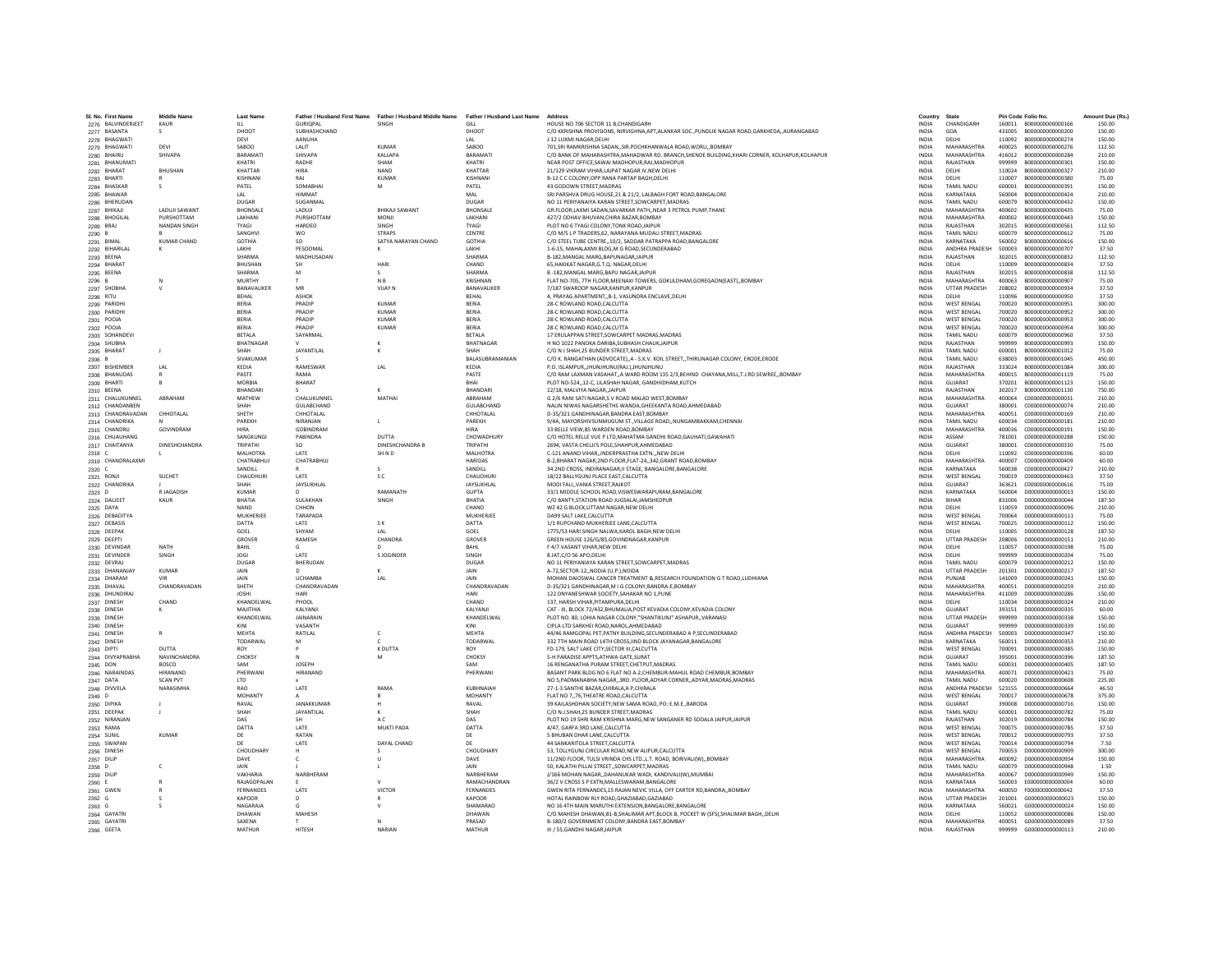| SI, No. First Name           | <b>Middle Name</b>   | <b>Last Name</b>  | Father / Husband First Name | Father / Husband Middle Name | Father / Husband Last Name Address |                                                                                                                                            | Country                      | State                              |                  | Pin Code Folio No.                   | Amount Due (Rs.  |
|------------------------------|----------------------|-------------------|-----------------------------|------------------------------|------------------------------------|--------------------------------------------------------------------------------------------------------------------------------------------|------------------------------|------------------------------------|------------------|--------------------------------------|------------------|
| 2276 BALVINDERJEET           | KAUR                 | $\mathbf{H}$      | <b>GURIOPAL</b>             | SINGH                        | GILL                               | HOUSE NO 706 SECTOR 11 B.CHANDIGARH                                                                                                        | <b>INDIA</b>                 | CHANDIGARH                         |                  |                                      | 150.00           |
| 2277 BASANTA                 |                      | DHOOT             | SUBHASHCHAND                |                              | DHOOT                              | C/O KKRISHNA PROVISIONS, NIRVIGHNA, APT, ALANKAR SOC., PUNDLIK NAGAR ROAD, GARKHEDA,, AURANGABAD                                           | <b>INDIA</b>                 | GOA                                |                  | 431005 B000000000000200              | 150.00           |
| 2278 BHAGWATI                | DEVI                 | DEVI<br>SABOO     | AANUHA<br>LALIT             | <b>KUMAF</b>                 | LAL<br>SABOC                       | J-12 LUXMI NAGAR.DELHI<br>701, SRI RAMKRISHNA SADAN, SIR. POCHKHANWALA ROAD, WORLI, BOMBAY                                                 | <b>INDIA</b><br><b>INDIA</b> | <b>DELHI</b><br><b>MAHARASHTRA</b> | 110092<br>400025 | B000000000000274<br>B00000000000276  | 150.00<br>112.50 |
| 2279 BHAGWATI                | SHIVAPA              | BARAMAT           | SHIVAPA                     | <b>KALLAPA</b>               | BARAMATI                           |                                                                                                                                            |                              | MAHARASHTRA                        | 416012           | B000000000000284                     | 210.00           |
| 2280 BHAIRU                  |                      |                   |                             |                              |                                    | C/O BANK OF MAHARASHTRA, MAHADWAR RD. BRANCH, SHENDE BUILDING, KHARI CORNER, KOLHAPUR, KOLHAPUR                                            | INDIA                        |                                    |                  |                                      |                  |
| 2281 BHANUMATI               |                      | KHATRI<br>KHATTAR | RADHE<br><b>HIRA</b>        | SHAM<br>NAND                 | KHATRI<br>KHATTAR                  | NEAR POST OFFICE SAWAI MADHOPUR RAI MADHOPUR                                                                                               | <b>INDIA</b><br><b>INDIA</b> | RAIASTHAN                          | 999999<br>110024 | B000000000000301                     | 150.00           |
| 2282 BHARAT                  | <b>BHUSHAN</b>       | <b>KISHNAN</b>    | RAJ                         | <b>KUMAF</b>                 | <b>KISHNAN</b>                     | 21/129 VIKRAM VIHAR, LAJPAT NAGAR IV, NEW DELHI<br>B-12 C C COLONY.OPP RANA PARTAP BAGH.DELHI                                              | <b>INDIA</b>                 | DELHI                              | 110007           | B000000000000327<br>B000000000000380 | 210.00           |
| 2283 BHARTI                  |                      |                   | SOMARHA                     |                              | PATEL                              | 43 GODOWN STREET.MADRAS                                                                                                                    |                              | DELHI<br>TAMIL NADU                |                  | B000000000000391                     | 75.00<br>150.00  |
| 2284 BHASKAR                 | s.                   | PATEL             |                             | M                            |                                    |                                                                                                                                            | <b>INDIA</b>                 |                                    | 600001           |                                      |                  |
| 2285 BHAWAR                  |                      | LAL<br>DUGAR      | <b>HIMMAT</b><br>SUGANMAL   |                              | MAI                                | SRI PARSHVA DRUG HOUSE, 21 & 21/2, LALBAGH FORT ROAD, BANGALORE                                                                            | <b>INDIA</b>                 | KARNATAKA                          | 560004           | B000000000000424                     | 210.00           |
| 2286 BHERUDAN                |                      |                   |                             |                              | <b>DUGAR</b>                       | NO 11 PERIYANAIYA KARAN STREET, SOWCARPET, MADRAS                                                                                          | <b>INDIA</b>                 | <b>TAMIL NADU</b>                  | 600079           | B000000000000432                     | 150.00           |
| 2287 BHIKAJI                 | <b>LADUJI SAWANT</b> | <b>BHONSALE</b>   | LADUJI                      | <b>BHIKAJI SAWANT</b>        | <b>BHONSALE</b>                    | GR.FLOOR,LAXMI SADAN,SAVARKAR PATH,,NEAR 3 PETROL PUMP,THANE                                                                               | <b>INDIA</b>                 | <b>MAHARASHTRA</b>                 | 400602           | B000000000000435                     | 75.00            |
| 2288 BHOGILAL                | PURSHOTTAM           | LAKHANI           | PURSHOTTAM                  | <b>MONJI</b>                 | LAKHANI                            | 427/2 ODHAV BHUVAN.CHIRA BAZAR.BOMBAY                                                                                                      | <b>INDIA</b>                 | MAHARASHTRA                        | 400002           | B000000000000443                     | 150.00           |
| 2289 BRAJ                    | NANDAN SINGH         | <b>TYAGI</b>      | HARDEO                      | <b>SINGH</b>                 | <b>TYAGI</b>                       | PLOT NO 6 TYAGLCOLONY TONK ROAD JAIPUR                                                                                                     | <b>INDIA</b>                 | RAIASTHAN                          | 302015           | B000000000000561                     | 112.50           |
| 2290                         |                      | SANGHVI           | <b>WO</b>                   | <b>STRAPS</b>                | CENTRE                             | C/O M/S L P TRADERS, 62, NARAYANA MUDALI STREET, MADRAS                                                                                    | INDIA                        | TAMIL NADU                         | 600079           | B00000000000612                      | 75.00            |
| 2291 BIMAL                   | <b>KUMAR CHAND</b>   | <b>GOTHIA</b>     | SO.                         | SATYA NARAYAN CHAND          | <b>GOTHIA</b>                      | C/O STEEL TUBE CENTRE,,10/2, SADDAR PATRAPPA ROAD, BANGALORE                                                                               | <b>INDIA</b>                 | KARNATAKA                          | 560002           | B000000000000616                     | 150.00           |
| 2292 BIHARILAL               | к                    | LAKHI             | PESOOMAL                    |                              | LAKHI                              | 1-6-15. MAHALAXMI BLDG.M G ROAD.SECUNDERABAD                                                                                               | <b>INDIA</b>                 | ANDHRA PRADESH                     | 500003           | B000000000000707                     | 37.50            |
| 2293 BEENA                   |                      | SHARMA            | MADHUSADAN                  |                              | <b>SHARMA</b>                      | B-182.MANGAL MARG.BAPUNAGAR.JAIPUR                                                                                                         | <b>INDIA</b>                 | RAIASTHAN                          | 302015           | B000000000000832                     | 112.50           |
| 2294 BHARAT                  |                      | <b>BHUSHAN</b>    |                             | HARI                         | CHAND                              | 65. HAKIKAT NAGAR.G.T.O. NAGAR.DELHI                                                                                                       | <b>INDIA</b>                 | DELHI                              | 110009           | B000000000000834                     | 37.50            |
| 2295 BEENA                   |                      | SHARMA            |                             |                              | <b>SHARMA</b>                      | B-182, MANGAL MARG, BAPU NAGAR, JAIPUR                                                                                                     | <b>INDIA</b>                 | RAJASTHAN                          | 302015           | B00000000000838                      | 112.50           |
| 2296 B                       | N                    | MURTHY            |                             | N <sub>B</sub>               | KRISHNAN                           | FLAT NO-705, 7TH FLOOR, MEENAXI TOWERS, GOKULDHAM, GOREGAON(EAST), BOMBAY                                                                  | <b>INDIA</b>                 | MAHARASHTRA                        | 400063           | B000000000000907                     | 75.00            |
| 2297 SHOBHA                  | $\vee$               | BANAVALIKER       | MR                          | <b>VIJAY N</b>               | BANAVALIKER                        | 7/187 SWAROOP NAGAR, KANPUR, KANPUR                                                                                                        | <b>INDIA</b>                 | <b>UTTAR PRADESH</b>               | 208002           | B000000000000934                     | 37.50            |
| 2298 RITU                    |                      | BEHAL             | <b>ASHOR</b>                |                              | <b>BEHA</b>                        | 4, PRAYAG APARTMENT, B-1, VASUNDRA ENCLAVE, DELHI                                                                                          | INDIA                        | DELHI                              | 110096           | B000000000000950                     | 37.50            |
| 2299 PARIDH                  |                      | <b>BERIA</b>      | PRADIP                      | KUMAR                        | <b>BERIA</b>                       | 28-C ROWLAND ROAD CALCUTTA                                                                                                                 | <b>INDIA</b>                 | <b>WEST BENGAL</b>                 | 700020           | 8000000000000951                     | 300.00           |
| 2300 PARIDHI                 |                      | BERIA             | PRADIP                      | <b>KUMAR</b>                 | <b>BERIA</b>                       | 28-C ROWLAND ROAD CALCUTTA                                                                                                                 | <b>INDIA</b>                 | <b>WEST BENGAL</b>                 | 700020           | B000000000000952                     | 300.00           |
| 2301 POOJA                   |                      | <b>RERIA</b>      | PRADIP                      | KUMAR                        | <b>BERIA</b>                       | 28-C ROWLAND ROAD, CALCUTTA                                                                                                                | <b>INDIA</b>                 | <b>WEST BENGAL</b>                 | 700020           | B000000000000953                     | 300.00           |
| 2302 POOJA                   |                      | BERIA             | PRADIP                      | <b>KUMAF</b>                 | <b>BERIA</b>                       | 28-C ROWLAND ROAD, CALCUTTA                                                                                                                | INDIA                        | WEST BENGAL                        | 700020           | B00000000000954                      | 300.00           |
| 2303 SOHANDEV                |                      | BETALA            | SAYARMAL                    |                              | <b>BETALA</b>                      | 17 ERULAPPAN STREET SOWCARPET MADRAS.MADRAS                                                                                                | <b>INDIA</b>                 | TAMIL NADU                         | 600079           | B000000000000960                     | 37.50            |
| 2304 SHUBHA                  |                      | <b>RHATNAGAR</b>  |                             |                              | <b>BHATNAGAR</b>                   | H NO 1022 PANOKA DARIRA SURHASH CHAUK JAIPUR                                                                                               | <b>INDIA</b>                 | RAIASTHAN                          | 999999           | B000000000000993                     | 150.00           |
| 2305 BHARAT                  | $\blacksquare$       | SHAH              | JAYANTILAL                  |                              | SHAH                               | C/O N J SHAH.25 BUNDER STREET.MADRAS                                                                                                       | <b>INDIA</b>                 | <b>TAMIL NADLI</b>                 | 600001           | 8000000000001012                     | 75.00            |
| 2306 B                       |                      | SIVAKUMAR         |                             |                              | BALASUBRAMANIAN                    | C/O K. RANGATHAN (ADVOCATE),,4 - S.K.V. KOIL STREET,,THIRUNAGAR COLONY, ERODE,ERODE                                                        | <b>INDIA</b>                 | TAMIL NADU                         | 638003           | B000000000001045                     | 450.00           |
| 2307 BISHEMBER               | LAL                  | KEDIA             | RAMESWAR                    | LAL                          | KEDIA                              | P.O. ISLAMPUR, JHUNJHUNU(RAJ.), JHUNJHUNU                                                                                                  | INDIA                        | RAJASTHAN                          | 333024           | B000000000001084                     | 300.00           |
| 2308 BHANUDAS                | $\mathsf{R}$         | <b>PASTE</b>      | RAMA                        |                              | PASTE                              | C/O RAM LAXMAN VASAHAT, A WARD ROOM 135 2/3, BEHIND CHAYANA, MILL, T.J.RD. SEWREE,, BOMBAY                                                 | <b>INDIA</b>                 | MAHARASHTRA                        | 400015           | 8000000000001119                     | 75.00            |
| 2309 BHARTI                  | $\mathsf{R}$         | MORRIA            | <b>BHARAT</b>               |                              | <b>RHAI</b>                        | PLOT NO-524,,12-C, LILASHAH NAGAR, GANDHIDHAM,KUTCH                                                                                        | <b>INDIA</b>                 | GUIARAT                            | 370201           | B000000000001123                     | 150.00           |
| 2310 BEENA                   |                      | <b>BHANDAR</b>    |                             |                              | BHANDARI                           | 12/18, MALVIYA NAGAR, JAIPUR                                                                                                               | INDIA                        | RAJASTHAN                          | 302017           | B000000000001130                     | 750.00           |
| 2311 CHALUKUNNEL             | ABRAHAM              | MATHEW            | CHALUKUNNEL                 | MATHAI                       | ARRAHAM                            | G 2/6 RANI SATI NAGAR.S V ROAD MALAD WEST.BOMBAY                                                                                           | <b>INDIA</b>                 | MAHARASHTRA                        | 400064           | 000000000000031                      | 210.00           |
| 2312 CHANDANBEN              |                      | SHAH              | GULABCHAND                  |                              | GULABCHAND                         | NALIN NIWAS NAGARSHETHS WANDA, GHEEKANTA ROAD, AHMEDABAD                                                                                   | <b>INDIA</b>                 | GUJARAT                            | 380001           | C00000000000074                      | 210.00           |
| 2313 CHANDRAVADAN            | CHHOTALAL            | SHETH             | CHHOTALAL                   |                              | CHHOTALAL                          | D-35/321 GANDHINAGAR, BANDRA EAST, BOMBAY                                                                                                  | INDIA                        | MAHARASHTRA                        | 400051           | C000000000000169                     | 210.00           |
| 2314 CHANDRIKA               |                      | PAREKH            | NIRANJAN                    |                              | PAREKH                             | 9/4A, MAYORSHIVSUNMUGUM ST., VILLAGE ROAD, NUNGAMBAKKAM, CHENNAI                                                                           | INDIA                        | TAMIL NADU                         | 600034           | C000000000000181                     | 210.00           |
| 2315 CHANDRU                 | GOVINDRAM            | <b>HIRA</b>       | <b>GOBINDRAM</b>            |                              | <b>HIRA</b>                        | 33 BELLE VIEW.85 WARDEN ROAD.BOMBAY                                                                                                        | <b>INDIA</b>                 | MAHARASHTRA                        | 400036           | C000000000000191                     | 150.00           |
| 2316 CHUAUHANG               |                      | SANGKUNGI         | PARINDRA                    | DUTTA                        | CHOWADHURY                         | C/O HOTEL RELLE VUE P LTD MAHATMA GANDHI ROAD GAUHATI GAWAHATI                                                                             | <b>INDIA</b>                 | ASSAM                              | 781001           | 000000000000288                      | 150.00           |
| 2317 CHAITANYA               | <b>DINESHCHANDRA</b> | TRIPATHI          | <b>SO</b>                   | <b>DINESHCHANDRA B</b>       | TRIPATH                            | 2694, VASTA CHELJI'S POLE, SHAHPUR, AHMEDABAD                                                                                              | INDIA                        | GUJARAT                            | 380001           | C000000000000330                     | 75.00            |
| 2318 C                       |                      | MALHOTRA          | LATE                        | SH <sub>ND</sub>             | <b>MALHOTRA</b>                    | C-121 ANAND VIHARINDERPRASTHA EXTNNEW DELHI                                                                                                | <b>INDIA</b>                 | DELHI                              | 110092           | C000000000000396                     | 60.00            |
| 2319 CHANDRALAXMI            |                      | CHATRARHUI        | CHATRARHUI                  |                              | <b>HARIDAS</b>                     | B-2 RHARAT NAGAR 2ND FLOOR FLAT-24, 342 GRANT ROAD ROMRAY                                                                                  | <b>INDIA</b>                 | MAHARASHTRA                        | 400007           | 0000000000000409                     | 60.00            |
| 2320 C                       |                      | SANDILL           |                             |                              | SANDILL                            | 34 2ND CROSS, INDIRANAGAR, II STAGE, BANGALORE, BANGALORE                                                                                  | <b>INDIA</b>                 | KARNATAKA                          | 560038           | 0000000000000427                     | 210.00           |
| 2321 RONJI                   | SUCHET               | CHAUDHUR          | <b>LATE</b>                 | s c                          | CHAUDHUR                           | 18/22 BALLYGUNJ PLACE EAST, CALCUTTA                                                                                                       | <b>INDIA</b>                 | <b>WEST BENGAL</b>                 | 700019           | C000000000000463                     | 37.50            |
| 2322 CHANDRIKA               |                      | SHAH              | JAYSUKHLAL                  |                              | JAYSUKHLAL                         | MODI FALIVANIA STREET.RAJKOT                                                                                                               | <b>INDIA</b>                 | GUJARAT                            | 363621           | C00000000000616                      | 75.00            |
| 2323 D                       | R JAGADISH           | <b>KUMAR</b>      |                             | RAMANATH                     | <b>GUPTA</b>                       | 33/1 MIDDLE SCHOOL ROAD.VISWESWARAPURAM.BANGALORE                                                                                          | <b>INDIA</b>                 | KARNATAKA                          | 560004           | D000000000000013                     | 150.00           |
| 2324 DALJEET                 | KAUR                 | RHATIA            | <b>SUI AKHAN</b>            | SINGH                        | <b>BHATIA</b>                      | C/O BANTY.STATION ROAD JUGSALAI JAMSHEDPUR                                                                                                 | <b>INDIA</b>                 | <b>RIHAR</b>                       | 831006           | 0000000000000044                     | 187.50           |
| 2325 DAYA                    |                      | <b>NAND</b>       | CHHON                       |                              | CHAND                              | WZ 42 G BLOCK, UTTAM NAGAR, NEW DELHI                                                                                                      | INDIA                        | DELHI                              | 110059           | D00000000000096                      | 210.00           |
| 2326 DEBADITYA               |                      | MUKHERJEE         | TARAPADA                    |                              | MUKHERJEE                          | DA99 SALT LAKE.CALCUTTA                                                                                                                    | <b>INDIA</b>                 | <b>WEST BENGAL</b>                 | 700064           | D000000000000111                     | 75.00            |
| 2327 DEBASIS                 |                      | DATTA             | LATE                        | S K                          | DATTA                              | 1/1 RUPCHAND MUKHERJEE LANE.CALCUTTA                                                                                                       | <b>INDIA</b>                 | <b>WEST BENGAL</b>                 | 700025           | D00000000000112                      | 150.00           |
| 2328 DEEPAI                  |                      | GOEL              | SHYAM                       | IAI                          | GOEL                               | 1775/53 HARI SINGH NALWA,KAROL BAGH,NEW DELHI                                                                                              | <b>INDIA</b>                 | DELHI                              | 110005           | D00000000000128                      | 187.50           |
| 2329 DEEPTI                  |                      | GROVER            | RAMESH                      | CHANDRA                      | GROVER                             | GREEN HOUSE 126/G/85.GOVINDNAGAR.KANPUR                                                                                                    | <b>INDIA</b>                 | <b>UTTAR PRADESH</b>               | 208006           | D00000000000151                      | 210.00           |
| 2330 DEVINDAR                | NATH                 | BAHL              |                             |                              | BAHL                               | F 4/7 VASANT VIHAR.NEW DELHI                                                                                                               | INDIA                        | DELHI                              | 110057           | D00000000000198                      | 75.00            |
| 2331 DEVINDER                | <b>SINGH</b>         | <b>IOGI</b>       | <b>LATE</b>                 | S IOGINDER                   | SINGH                              | 8 IAT C/O 56 APO DELHI                                                                                                                     | <b>INDIA</b>                 | DELHI                              | 999999           | 0000000000000204                     | 75.00            |
| 2332 DEVRAJ                  |                      | DUGAR             | BHERUDAN                    |                              | <b>DUGAR</b>                       | NO 11 PERIYANIAYA KARAN STREET, SOWCARPET, MADRAS                                                                                          | <b>INDIA</b>                 | TAMIL NADLI                        | 600079           | D00000000000212                      | 150.00           |
| 2333 DHANANJAY               | <b>KUMAR</b>         | JAIN              |                             |                              | JAIN                               | A-72.SECTOR-12., NODIA (U.P.), NOIDA                                                                                                       | <b>INDIA</b>                 | <b>UTTAR PRADESH</b>               | 201301           | D00000000000217                      | 187.50           |
| 2334 DHARAM                  |                      | JAIN              | UCHAMBA                     | I AI                         | <b>JAIN</b>                        | MOHAN DAIOSWAL CANCER TREATMENT & RESEARCH FOUNDATION G T ROAD, LUDHIANA                                                                   | <b>INDIA</b>                 | PUNJAB                             | 141009           | 0000000000000241                     | 150.00           |
| 2335 DHAVAL                  | CHANDRAVADAN         | SHETH             | CHANDRAVADAN                |                              | CHANDRAVADAN                       | D-35/321 GANDHINAGAR, M I G COLONY, BANDRA-E, BOMBAY                                                                                       | <b>INDIA</b>                 | MAHARASHTRA                        | 400051           | 0000000000000259                     | 210.00           |
| 2336 DHUNDIRAL               |                      | <b>IOSHI</b>      | HARI                        |                              | HARI                               | 122 DNYANESHWAR SOCIETY, SAHAKAR NO 1, PUNE                                                                                                | <b>INDIA</b>                 | MAHARASHTRA                        | 411009           | 0000000000000286                     | 150.00           |
| 2337 DINESH                  | CHAND                | KHANDELWAI        | PHOOL                       |                              | CHAND                              | 137, HARSH VIHAR, PITAMPURA, DELHI                                                                                                         | INDIA                        | DELHI                              | 110034           | D000000000000324                     | 210.00           |
| 2338 DINESH                  | к                    | MAJITHIA          | KALYANJ                     |                              | KALYANJI                           | CAT - III. BLOCK 72/432.BHUMALIA.POST KEVADIA COLONY.KEVADIA COLONY                                                                        | <b>INDIA</b>                 | <b>GUJARAT</b>                     | 393151           | D000000000000335                     | 60.00            |
| 2339 DINESH                  |                      | KHANDELWAL        | <b>IAINARAIN</b>            |                              | KHANDELWAL                         | PLOT NO. 80. LOHIA NAGAR COLONY."SHANTIKUNJ" ASHAPUR., VARANASI                                                                            | <b>INDIA</b>                 | <b>UTTAR PRADESH</b>               | 999999           | 0000000000000338                     | 150.00           |
| 2340 DINESH                  |                      | KINI              | VASANTH                     |                              | KIN                                | CIPLA LTD SARKHEI ROAD, NAROL, AHMEDABAD                                                                                                   | INDIA                        | <b>GUJARAT</b>                     | 999999           | D000000000000339                     | 150.00           |
| 2341 DINESH                  |                      | MEHTA             | RATILAL                     | $\mathsf{c}$                 | MEHT/                              | 44/46 RAMGOPAL PET.PATNY BUILDING.SECUNDERABAD A P.SECUNDERABAD                                                                            | <b>INDIA</b>                 | <b>ANDHRA PRADESH</b>              | 500003           | D00000000000347                      | 150.00           |
| 2342 DINESH                  |                      | TODARWAL          | M                           | $\epsilon$                   | TODARWAL                           | 332 7TH MAIN ROAD 14TH CROSS.IIND BLOCK JAYANAGAR.BANGALORE                                                                                | <b>INDIA</b>                 | KARNATAKA                          | 560011           | D000000000000353                     | 210.00           |
| 2343 DIPTI                   | DUTTA                | <b>ROY</b>        |                             | K DUTTA                      | <b>ROY</b>                         | FD-179. SALT LAKE CITY SECTOR III.CALCUTTA                                                                                                 | <b>INDIA</b>                 | <b>WEST RENGAL</b>                 | 700091           | 0000000000000385                     | 150.00           |
| 2344 DIVYAPRABHA             | NAVINCHANDRA         | CHOKSY            |                             | M                            | <b>CHOKSY</b>                      | 5-H PARADISE APPTS.ATHWA GATE.SURAT                                                                                                        | <b>INDIA</b>                 | GUJARAT                            | 395001           | D000000000000396                     | 187.50           |
| 2345 DON                     | <b>BOSCO</b>         | SAM               | <b>JOSEPH</b>               |                              | SAM                                | 16 RENGANATHA PURAM STREET, CHETPUT, MADRAS                                                                                                | <b>INDIA</b>                 | TAMIL NADU                         | 600031           | D000000000000405                     | 187.50           |
| 2346 NARAINDAS               | HIRANAND             | PHERWAN           | HIRANAND                    |                              | PHERWANI                           | BASANT PARK BLDG NO 6 FLAT NO A-2.CHEMBUR-MAHUL ROAD CHEMBUR.BOMBAY                                                                        | <b>INDIA</b>                 | MAHARASHTRA                        | 400071           | 0000000000000421                     | 75.00            |
| 2347 DATA                    | <b>SCAN PVT</b>      | <b>LTD</b>        |                             |                              |                                    | NO 5, PADMANABHA NAGAR, 3RD. FLOOR, ADYAR CORNER, ADYAR, MADRAS, MADRAS                                                                    | <b>INDIA</b>                 | <b>TAMIL NADU</b>                  | 600020           | 0000000000000608                     | 225.00           |
| 2348 DIVVELA                 | NARASIMHA            | <b>RAO</b>        | LATE                        | RAMA                         | KUBHNAIAH                          | 27-1-3 SANTHE BAZAR, CHIRALA, A P, CHIRALA                                                                                                 | <b>INDIA</b>                 | ANDHRA PRADESH                     | 523155           | D00000000000664                      | 46.50            |
| 2349 D                       |                      | MOHANTY           |                             |                              | <b>MOHANTY</b>                     | FLAT NO 7,,76,THEATRE ROAD,CALCUTTA                                                                                                        | INDIA                        | WEST BENGAL                        | 700017           | 0000000000000678                     | 375.00           |
| 2350 DIPIKA                  |                      | RAVAL             | JANAKKUMAR                  | н                            | RAVAL                              | 39 KAILASHDHAN SOCIETY.NEW SAMA ROAD, PO: E.M.E.,BARODA                                                                                    | <b>INDIA</b>                 | <b>GUJARAT</b>                     | 390008           | D00000000000716                      | 150.00           |
| 2351 DEEPAK                  | J                    | SHAH              | JAYANTILAL                  |                              | SHAH                               | C/O N.J.SHAH.25 BUNDER STREET.MADRAS                                                                                                       | <b>INDIA</b>                 | TAMIL NADLI                        | 600001           | D00000000000782                      | 75.00            |
| 2352 NIRANJAN                |                      | DAS               |                             | A C                          | DAS                                | PLOT NO 19 SHRI RAM KRISHNA MARG, NEW SANGANER RD SODALA JAIPUR, JAIPUR                                                                    | INDIA                        | RAJASTHAN                          | 302019           | D00000000000784                      | 150.00           |
| 2353 RAMA                    |                      | DATTA             | LATE                        | <b>MUKTI PADA</b>            | DATTA                              | 4/47. GARFA 3RD LANE.CALCUTTA                                                                                                              | <b>INDIA</b>                 | <b>WEST BENGAL</b>                 | 700075           | D00000000000785                      | 37.50            |
| 2354 SUNIL                   | KUMAR                | DE                | RATAN                       |                              | DF                                 | 5 BHURAN DHAR LANE CALCUTTA                                                                                                                | <b>INDIA</b>                 | <b>WEST RENGAL</b>                 | 700012           | 0000000000000793                     | 37.50            |
| 2355 SWAPAN                  |                      | DE                | LATE                        | DAYAL CHAND                  | DE                                 | 44 SANKARITOLA STREET.CALCUTTA                                                                                                             | <b>INDIA</b>                 | <b>WEST BENGAL</b>                 | 700014           | D00000000000794                      | 7.50             |
| 2356 DINESH                  |                      | CHOUDHAR'         |                             |                              | <b>CHOUDHARY</b>                   | 53, TOLLYGUNJ CIRCULAR ROAD, NEW ALIPUR, CALCUTTA                                                                                          | <b>INDIA</b>                 | <b>WEST BENGAL</b>                 | 700053           | D00000000000909                      | 300.00           |
| 2357 DILIP                   |                      | DAVE              |                             | U                            | DAVE                               | 11/2ND FLOOR, TULSI VRINDA CHS LTD., L.T. ROAD, BORIVALI(W),, BOMBAY                                                                       | INDIA                        | <b>MAHARASHTRA</b>                 | 400092           | D00000000000934                      | 150.00           |
|                              | $\epsilon$           | <b>JAIN</b>       |                             |                              | <b>JAIN</b>                        | 50. KALATHI PILLAI STREETSOWCARPET.MADRAS                                                                                                  | <b>INDIA</b>                 | TAMIL NADLI                        | 600079           | 0000000000000948                     | 1.50             |
| 2358 D<br>2359 DILIP         |                      | VAKHARIA          | NARRHFRAM                   |                              | NARRHFRAM                          | J/166 MOHAN NAGAR, DAHANUKAR WADI, KANDIVALI(W), MUMBAI                                                                                    | <b>INDIA</b>                 | MAHARASHTRA                        | 400067           | 0000000000000949                     | 150.00           |
|                              |                      | RAJAGOPALAN       |                             |                              | RAMACHANDRAN                       | 36/2 V CROSS S P EXTN.MALLESWARAM.BANGALOR                                                                                                 | <b>INDIA</b>                 | KARNATAKA                          | 560003           | E000000000000004                     | 60.00            |
| 2360 E<br>2361 GWEN          |                      | FERNANDES         | LATE                        | VICTOR                       | FERNANDES                          | GWEN RITA FERNANDES.15 RAJAN NEVIC VILLA, OFF CARTER RD.BANDRABOMBAY                                                                       | <b>INDIA</b>                 | MAHARASHTRA                        | 400050           | E0000000000000042                    | 37.50            |
|                              | $\leq$               | KAPOOR            | $\mathsf{D}$                |                              | KAPOOR                             | HOTAL RAINBOW RLY ROAD.GHAZIABAD.GAZIABAD                                                                                                  | <b>INDIA</b>                 | <b>UTTAR PRADESH</b>               | 201001           | 6000000000000023                     | 150.00           |
| 2362 G                       |                      | <b>NAGARAJ</b>    |                             |                              | SHAMARAC                           |                                                                                                                                            | <b>INDIA</b>                 | KARNATAKA                          | 560021           | G000000000000024                     | 150.00           |
| 2363 G                       |                      | DHAWAM            | MAHESH                      |                              | DHAWAN                             | NO 16 4TH MAIN MARUTHI EXTENSION, BANGALORE, BANGALORE<br>C/O MAHESH DHAWAN,81-B,SHALIMAR APT,BLOCK B, POCKET W (SFS),SHALIMAR BAGH,,DELHI | INDIA                        | DELHI                              | 110052           | G000000000000086                     | 150.00           |
| 2364 GAYATRI<br>2365 GAYATRI |                      | SAXENA            |                             |                              | PRASAD                             | B-180/2 GOVERNMENT COLONY.BANDRA EAST.BOMBAY                                                                                               | <b>INDIA</b>                 | MAHARASHTRA                        | 400051           | G000000000000089                     | 37.50            |
|                              |                      | MATHUR            | <b>HITFSH</b>               | NARIAN                       | MATHUR                             | III / 55.GANDHI NAGAR.JAIPUR                                                                                                               | <b>INDIA</b>                 | RAIASTHAN                          | 999999           | 6000000000000113                     | 210.00           |
| 2366 GEETA                   |                      |                   |                             |                              |                                    |                                                                                                                                            |                              |                                    |                  |                                      |                  |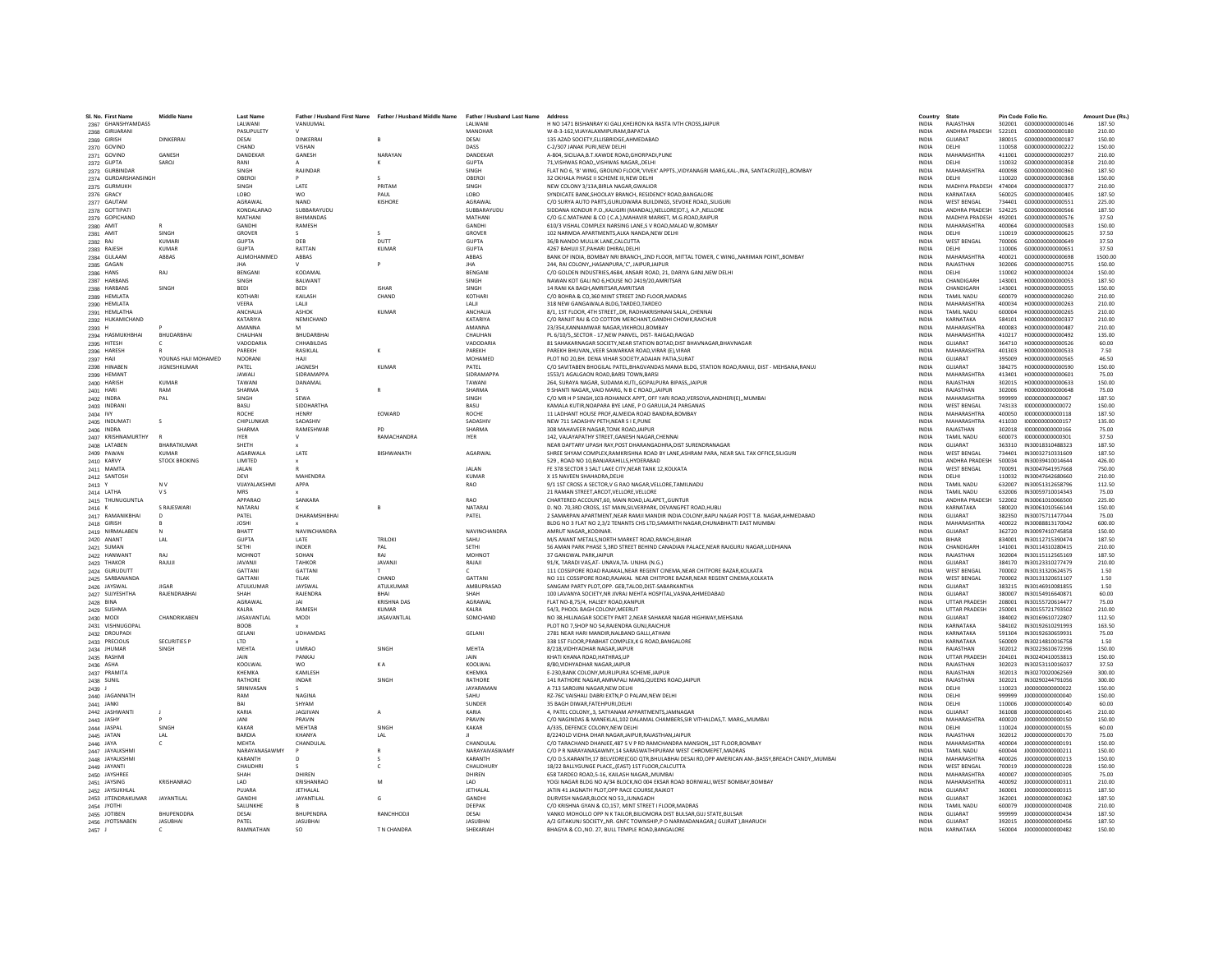| SI, No. First Name                     | Middle Name          | <b>Last Name</b>             |                                 | Father / Husband First Name Father / Husband Middle Name | Father / Husband Last Name Address |                                                                                                                                              | Country                      | State                                   |                  | Pin Code Folio No.                   | Amount Due (Rs.  |
|----------------------------------------|----------------------|------------------------------|---------------------------------|----------------------------------------------------------|------------------------------------|----------------------------------------------------------------------------------------------------------------------------------------------|------------------------------|-----------------------------------------|------------------|--------------------------------------|------------------|
| 2367 GHANSHYAMDASS<br>2368 GIRUARANI   |                      | LALWAN<br>PASUPULETY         | VANIJUMAL                       |                                                          | LALWANI<br>MANOHAR                 | H NO 1471 BISHANRAY KI GALI, KHEJRON KA RASTA IVTH CROSS, JAIPUR<br>W-B-3-162.VIJAYALAXMIPURAM.BAPATLA                                       | INDIA<br><b>INDIA</b>        | RAJASTHAN<br>ANDHRA PRADESH             | 302001<br>522101 | G000000000000146<br>6000000000000180 | 187.50<br>210.00 |
|                                        | DINKERRAL            | DESAL                        | DINKERRAI                       | $\mathsf{R}$                                             | DESAI                              | 135 AZAD SOCIETY.ELLISBRIDGE.AHMEDABAD                                                                                                       | <b>INDIA</b>                 | GUIARAT                                 | 380015           | 6000000000000187                     | 150.00           |
| 2369 GIRISH                            |                      | CHAND                        | VISHAN                          |                                                          | DASS                               |                                                                                                                                              | <b>INDIA</b>                 | <b>DELHI</b>                            | 110058           | G000000000000222                     | 150.00           |
| 2370 GOVIND                            | GANESH               | DANDEKAR                     | GANESH                          | NARAYAN                                                  | DANDEKAF                           | C-2/307 JANAK PURI, NEW DELHI<br>A-804, SICILIAA, B.T.KAWDE ROAD, GHORPADI, PUNE                                                             | INDIA                        | MAHARASHTRA                             | 411001           | G000000000000297                     | 210.00           |
| 2371 GOVIND                            |                      |                              |                                 |                                                          |                                    |                                                                                                                                              |                              |                                         |                  |                                      |                  |
| 2372 GUPTA                             | SAROJ                | RANI<br><b>SINGH</b>         | RAIINDAR                        | к                                                        | <b>GUPTA</b><br><b>SINGH</b>       | 71.VISHWAS ROAD. VISHWAS NAGAR. DELHI<br>FLAT NO 6, 'B' WING, GROUND FLOOR,'VIVEK' APPTS., VIDYANAGRI MARG, KAL-, INA, SANTACRUZ(E),, BOMBAY | <b>INDIA</b><br><b>INDIA</b> | DELHI<br>MAHARASHTRA                    | 110032<br>400098 | G000000000000358<br>6000000000000360 | 210.00<br>187.50 |
| 2373 GURBINDAR<br>2374 GURDARSHANSINGH |                      | OBERO                        |                                 |                                                          | OBERO                              | 32 OKHALA PHASE II SCHEME III, NEW DELHI                                                                                                     | INDIA                        | DELHI                                   | 110020           | G000000000000368                     | 150.00           |
| 2375 GURMUKH                           |                      | SINGH                        | LATE                            | PRITAM                                                   | SINGH                              | NEW COLONY 3/13A.BIRLA NAGAR.GWALIO                                                                                                          | INDIA                        | MADHYA PRADESH                          | 474004           | G00000000000377                      | 210.00           |
|                                        |                      | LOBO                         | <b>WO</b>                       | PAUL                                                     | LOBO                               | SYNDICATE BANK.SHOOLAY BRANCH, RESIDENCY ROAD.BANGALORE                                                                                      | <b>INDIA</b>                 | KARNATAKA                               | 560025           | G000000000000405                     | 187.50           |
| 2376 GRACY                             |                      | <b>AGRAWAI</b>               | <b>NAND</b>                     | KISHORE                                                  | <b>AGRAWAI</b>                     | C/O SURYA AUTO PARTS.GURUDWARA BUILDINGS, SEVOKE ROAD., SILIGURI                                                                             | <b>INDIA</b>                 | <b>WEST RENGAL</b>                      | 734401           | 6000000000000551                     | 225.00           |
| 2377 GAUTAM                            |                      |                              |                                 |                                                          |                                    |                                                                                                                                              |                              |                                         |                  |                                      |                  |
| 2378 GOTTIPATI                         |                      | KONDALARAO<br>MATHAN         | SUBBARAYUDU<br><b>BHIMANDAS</b> |                                                          | SUBBARAYUDU                        | SIDDANA KONDUR P.O., KALIGIRI (MANDAL), NELLORE(DT.), A.P., NELLORE                                                                          | <b>INDIA</b>                 | <b>ANDHRA PRADESH</b><br>MADHYA PRADESH | 524225           | G000000000000566                     | 187.50           |
| 2379 GOPICHAND                         |                      | <b>GANDHI</b>                | RAMESH                          |                                                          | MATHANI<br>GANDHI                  | C/O G.C.MATHANI & CO ( C.A.), MAHAVIR MARKET, M.G.ROAD, RAIPUR<br>610/3 VISHAL COMPLEX NARSING LANE.S V ROAD.MALAD W.BOMBAY                  | <b>INDIA</b>                 | MAHARASHTRA                             | 492001<br>400064 | G000000000000576<br>6000000000000583 | 37.50<br>150.00  |
| 2380 AMIT                              |                      |                              |                                 |                                                          |                                    |                                                                                                                                              | <b>INDIA</b>                 |                                         |                  |                                      |                  |
| 2381 AMIT                              | SINGH                | GROVER                       |                                 | $\leq$<br>DUTT                                           | <b>GROVER</b>                      | 102 NARMDA APARTMENTS, ALKA NANDA, NEW DELH                                                                                                  | <b>INDIA</b>                 | DELHI                                   | 110019           | G000000000000625                     | 37.50            |
| 2382 RAJ                               | <b>KUMAR</b>         | <b>GUPTA</b><br><b>GUPTA</b> | DEB<br>RATTAN                   |                                                          | <b>GUPTA</b>                       | 36/B NANDO MULLIK LANE, CALCUTTA                                                                                                             | INDIA                        | <b>WEST BENGAL</b>                      | 700006           | G000000000000649                     | 37.50<br>37.50   |
| 2383 RAJESH                            | KUMAR                |                              |                                 | <b>KUMAR</b>                                             | <b>GUPTA</b>                       | 4267 BAHUJI ST.PAHARI DHIRAJ.DELHI                                                                                                           | <b>INDIA</b>                 | DELHI                                   | 110006           | 6000000000000651                     |                  |
| 2384 GULAAN                            | ABBAS                | ALIMOHAMMED                  | ABBAS                           |                                                          | ABBAS                              | BANK OF INDIA, BOMBAY NRI BRANCH,,2ND FLOOR, MITTAL TOWER, C WING,, NARIMAN POINT,, BOMBAY                                                   | <b>INDIA</b>                 | MAHARASHTRA                             | 400021           | G000000000000698                     | 1500.00          |
| 2385 GAGAN                             |                      | <b>JHA</b>                   |                                 |                                                          | <b>IHA</b>                         | 244, RAI COLONY, HASANPURA, 'C', JAIPUR, JAIPUR                                                                                              | <b>INDIA</b>                 | RAJASTHAN                               | 302006           | G000000000000755                     | 150.00           |
| 2386 HANS                              | RAJ                  | BENGAN                       | <b>KODAMA</b>                   |                                                          | BENGAN                             | C/O GOLDEN INDUSTRIES, 4684, ANSARI ROAD, 21, DARIYA GANJ, NEW DELHI                                                                         | INDIA                        | DELHI                                   | 110002           | H00000000000024                      | 150.00           |
| 2387 HARBANS                           |                      | SINGH                        | BALWANT                         |                                                          | SINGH                              | NAWAN KOT GALI NO 6,HOUSE NO 2419/20,AMRITSAR                                                                                                | <b>INDIA</b>                 | CHANDIGARH                              | 143001           | H000000000000053                     | 187.50           |
| 2388 HARBANS                           | SINGH                | <b>RFDI</b>                  | <b>REDI</b>                     | <b>ISHAR</b>                                             | <b>SINGH</b>                       | 14 RANI KA BAGH AMRITSAR AMRITSAR                                                                                                            | <b>INDIA</b>                 | CHANDIGARH                              | 143001           | H000000000000055                     | 150.00           |
| 2389 HEMLATA                           |                      | KOTHARI                      | KAILASH                         | CHAND                                                    | KOTHAR                             | C/O BOHRA & CO,360 MINT STREET 2ND FLOOR, MADRAS                                                                                             | <b>INDIA</b>                 | TAMIL NADLI                             | 600079           | H000000000000260                     | 210.00           |
| 2390 HEMLATA                           |                      | VEERA                        | LALI                            |                                                          | LALII                              | 318 NEW GANGAWALA BLDG,TARDEO,TARDEO                                                                                                         | <b>INDIA</b>                 | MAHARASHTRA                             | 400034           | H000000000000263                     | 210.00           |
| 2391 HEMLATHA                          |                      | <b>ANCHALIA</b>              | ASHOK                           | KUMAR                                                    | ANCHALIA                           | 8/1, 1ST FLOOR, 4TH STREET., DR. RADHAKRISHNAN SALAI., CHENNAI                                                                               | <b>INDIA</b>                 | TAMIL NADLI                             | 600004           | H000000000000265                     | 210.00           |
| 2392 HUKAMICHAND                       |                      | KATARIYA                     | NEMICHAND                       |                                                          | KATARIYA                           | C/O RANJIT RAJ & CO COTTON MERCHANT, GANDHI CHOWK, RAICHUR                                                                                   | <b>INDIA</b>                 | KARNATAKA                               | 584101           | H000000000000337                     | 210.00           |
| 2393 H                                 |                      | AMANNA                       | M                               |                                                          | <b>AMANNA</b>                      | 23/354, KANNAMWAR NAGAR, VIKHROLI, BOMBAY                                                                                                    | <b>INDIA</b>                 | MAHARASHTRA                             | 400083           | H000000000000487                     | 210.00           |
| 2394 HASMUKHBHAI                       | BHUDARBHAI           | CHAUHAN                      | BHUDARBHA                       |                                                          | CHAUHAN                            | PL 6/10/5, SECTOR - 17, NEW PANVEL, DIST- RAIGAD, RAIGAD                                                                                     | INDIA                        | MAHARASHTRA                             | 410217           | H000000000000492                     | 135.00           |
| 2395 HITESH                            |                      | VADODARIA                    | CHHABILDAS                      |                                                          | <b>VADODARIA</b>                   | 81 SAHAKARNAGAR SOCIETY.NEAR STATION BOTAD.DIST BHAVNAGAR.BHAVNAGAR                                                                          | <b>INDIA</b>                 | GUJARAT                                 | 364710           | H000000000000526                     | 60.00            |
| 2396 HARESH                            |                      | PARFKH                       | <b>RASIKI AI</b>                | ĸ                                                        | PARFKH                             | PAREKH RHUVAN, VEER SAWARKAR ROAD VIRAR (E) VIRAR                                                                                            | <b>INDIA</b>                 | MAHARASHTRA                             | 401303           | H000000000000533                     | 7.50             |
| 2397 HAJI                              | YOUNAS HAJI MOHAMED  | <b>NOORANI</b>               |                                 |                                                          | MOHAMED                            | PLOT NO 20, BH. DENA VIHAR SOCIETY, ADAJAN PATIA, SURAT                                                                                      | INDIA                        | <b>GUJARAT</b>                          | 395009           | H000000000000565                     | 46.50            |
| 2398 HINABEN                           | <b>JIGNESHKUMAR</b>  | PATEL                        | JAGNESH                         | KUMAR                                                    | PATEL                              | C/O SAVITABEN BHOGILAL PATEL, BHAGVANDAS MAMA BLDG, STATION ROAD, RANUJ, DIST - MEHSANA, RANUJ                                               | <b>INDIA</b>                 | GUJARAT                                 | 384275           | H000000000000590                     | 150.00           |
| 2399 HEMAN                             |                      | <b>JAWALI</b>                | <b>SIDRAMAPPA</b>               |                                                          | <b>SIDRAMAPPA</b>                  | 1553/1 AGALGAON ROAD.BARSI TOWN.BARSI                                                                                                        | <b>INDIA</b>                 | MAHARASHTRA                             | 413401           | H000000000000601                     | 75.00            |
| 2400 HARISH                            | KUMAF                | TAWANI                       | DANAMAL                         |                                                          | TAWANI                             | 264, SURAYA NAGAR, SUDAMA KUTI, GOPALPURA BIPASS, JAIPUR                                                                                     | <b>INDIA</b>                 | RAIASTHAN                               | 302015           | H000000000000633                     | 150.00           |
| 2401 HARI                              | RAM                  | <b>SHARMA</b>                |                                 |                                                          | <b>SHARMA</b>                      | 9 SHANTI NAGAR., VAID MARG, N B C ROAD, JAIPUR                                                                                               | INDIA                        | RAJASTHAN                               | 302006           | H00000000000648                      | 75.00            |
| 2402 INDRA                             | PAL                  | SINGH                        | SEWA                            |                                                          | SINGH                              | C/O MR H P SINGH, 103-ROHANICK APPT, OFF YARI ROAD, VERSOVA, ANDHERI(E),, MUMBAI                                                             | <b>INDIA</b>                 | MAHARASHTRA                             | 999999           | 1000000000000067                     | 187.50           |
| 2403 INDRAN                            |                      | <b>BASU</b>                  | SIDDHARTHA                      |                                                          | <b>BASU</b>                        | KAMALA KUTIR.NOAPARA BYE LANE. P O GARULIA.24 PARGANAS                                                                                       | <b>INDIA</b>                 | <b>WEST RENGAL</b>                      | 743133           | 1000000000000072                     | 150.00           |
| 2404 IVY                               |                      | <b>ROCHE</b>                 | <b>HFNRY</b>                    | EOWARD                                                   | <b>ROCHE</b>                       | 11 LADHANT HOUSE PROF, ALMEIDA ROAD BANDRA, BOMBAY                                                                                           | <b>INDIA</b>                 | MAHARASHTRA                             | 400050           | 1000000000000118                     | 187.50           |
| 2405 INDUMAT                           |                      | CHIPLUNKAF                   | SADASHIV                        |                                                          | SADASHIN                           | NEW 711 SADASHIV PETH, NEAR S I E, PUNE                                                                                                      | INDIA                        | MAHARASHTRA                             | 411030           | 1000000000000157                     | 135.00           |
| 2406 INDRA                             |                      | SHARMA                       | RAMESHWAR                       | <b>PD</b>                                                | SHARMA                             | 308 MAHAVEER NAGAR TONK ROAD JAIPUR                                                                                                          | <b>INDIA</b>                 | RAJASTHAN                               | 302018           | 1000000000000166                     | 75.00            |
| 2407 KRISHNAMURTHY                     |                      | <b>IYER</b>                  | v                               | RAMACHANDRA                                              | <b>IYER</b>                        | 142. VALAYAPATHY STREET.GANESH NAGAR.CHENNAI                                                                                                 | <b>INDIA</b>                 | <b>TAMIL NADU</b>                       | 600073           | 1000000000000301                     | 37.50            |
| 2408 LATABER                           | BHARATKUMAR          | SHETH                        |                                 |                                                          |                                    | NEAR DAFTARY UPASH RAY, POST DHARANGADHRA, DIST SURENDRANAGAR                                                                                | INDIA                        | <b>GUIARAT</b>                          | 363310           | IN30018310488323                     | 187.50           |
| 2409 PAWAN                             | <b>KUMAR</b>         | <b>AGARWALA</b>              | LATE                            | BISHWANATH                                               | AGARWAI                            | SHREE SHYAM COMPLEX, RAMKRISHNA ROAD BY LANE, ASHRAM PARA, NEAR SAIL TAX OFFICE, SILIGURI                                                    | INDIA                        | <b>WEST BENGAL</b>                      | 734401           | IN30032710331609                     | 187.50           |
| 2410 KARVY                             | <b>STOCK BROKING</b> | LIMITED                      |                                 |                                                          |                                    | 529 . ROAD NO 10.BANJARAHILLS.HYDERABAD                                                                                                      | <b>INDIA</b>                 | ANDHRA PRADESH                          | 500034           | IN30039410014644                     | 426.00           |
| 2411 MAMTA                             |                      | <b>JAI AN</b>                |                                 |                                                          | <b>JAI AN</b>                      | FE 378 SECTOR 3 SALT LAKE CITY, NEAR TANK 12, KOLKATA                                                                                        | <b>INDIA</b>                 | <b>WEST BENGAL</b>                      | 700091           | IN30047641957668                     | 750.00           |
| 2412 SANTOSH                           |                      | DFVI                         | <b>MAHENDRA</b>                 |                                                          | KUMAR                              | X 15 NAVEEN SHAHADRA.DELHI                                                                                                                   | <b>INDIA</b>                 | <b>DELHI</b>                            | 110032           | IN30047642680660                     | 210.00           |
| 2413 Y                                 | N <sub>V</sub>       | VIJAYALAKSHM                 | APPA                            |                                                          | <b>RAO</b>                         | 9/1 1ST CROSS A SECTOR, V G RAO NAGAR, VELLORE, TAMILNADU                                                                                    | <b>INDIA</b>                 | TAMIL NADU                              | 632007           | IN30051312658796                     | 112.50           |
| 2414 LATHA                             | V S                  | <b>MRS</b>                   |                                 |                                                          |                                    | 21 RAMAN STREET, ARCOT, VELLORE, VELLORE                                                                                                     | <b>INDIA</b>                 | <b>TAMIL NADLI</b>                      | 632006           | IN30059710014343                     | 75.00            |
| 2415 THUNUGUNTLA                       |                      | APPARAO                      | SANKARA                         |                                                          | <b>RAO</b>                         |                                                                                                                                              | <b>INDIA</b>                 | ANDHRA PRADESH                          | 522002           | IN30061010066500                     | 225.00           |
|                                        | S RAJESWARI          | <b>NATARA</b>                |                                 |                                                          | <b>NATARA</b>                      | CHARTERED ACCOUNT,60, MAIN ROAD,LALAPET,,GUNTUR<br>D. NO. 70,3RD CROSS, 1ST MAIN, SILVERPARK, DEVANGPET ROAD, HUBLI                          | <b>INDIA</b>                 | KARNATAKA                               | 580020           | IN30061010566144                     | 150.00           |
| 2416<br>2417 RAMANIKBHAI               |                      |                              |                                 |                                                          |                                    |                                                                                                                                              |                              | GUJARAT                                 | 382350           |                                      |                  |
|                                        |                      | PATEL                        | DHARAMSHIBHAI                   |                                                          | PATEL                              | 2 SAMARPAN APARTMENT, NEAR RAMJI MANDIR INDIA COLONY, BAPU NAGAR POST T.B. NAGAR, AHMEDABAD                                                  | INDIA                        |                                         |                  | IN30075711477044                     | 75.00            |
| 2418 GIRISH                            |                      | <b>JOSHI</b>                 |                                 |                                                          |                                    | BLDG NO 3 FLAT NO 2,3/2 TENANTS CHS LTD, SAMARTH NAGAR, CHUNABHATTI EAST MUMBAI                                                              | <b>INDIA</b>                 | MAHARASHTRA                             | 400022           | IN30088813170042                     | 600.00           |
| 2419 NIRMALABEN                        |                      | RHATT                        | NAVINCHANDRA                    |                                                          | <b>NAVINCHANDRA</b>                | AMRUT NAGAR, KODINAR,                                                                                                                        | <b>INDIA</b>                 | GUIARAT                                 | 362720           | IN30097410745858                     | 150.00           |
| 2420 ANAN1                             | LAL                  | <b>GUPTA</b>                 | LATE                            | <b>TRILOKI</b>                                           | SAHU                               | M/S ANANT METALS, NORTH MARKET ROAD, RANCHI, BIHAR                                                                                           | INDIA                        | <b>BIHAR</b>                            | 834001           | IN30112715390474                     | 187.50           |
| 2421 SUMAN                             |                      | SETHI                        | INDER                           | PAL                                                      | <b>SETHI</b>                       | 56 AMAN PARK PHASE 5,3RD STREET BEHIND CANADIAN PALACE, NEAR RAJGURU NAGAR, LUDHIANA                                                         | <b>INDIA</b>                 | CHANDIGARH                              | 141001           | IN30114310280415                     | 210.00           |
| 2422 HANWANT                           | RAI                  | MOHNOT                       | SOHAN                           | RAJ                                                      | MOHNOT                             | 37 GANGWAL PARK JAIPUR                                                                                                                       | <b>INDIA</b>                 | RAJASTHAN                               | 302004           | IN30115112565169                     | 187.50           |
| 2423 THAKOR                            | RAILII               | <b>JAVANII</b>               | <b>TAHKOR</b>                   | <b>JAVANII</b>                                           | RAJAJI                             | 91/K, TARADI VAS, AT- UNAVA, TA- UNJHA (N.G.)                                                                                                | <b>INDIA</b>                 | <b>GUIARAT</b>                          | 384170           | IN30123310277479                     | 210.00           |
| 2424 GURUDUTT                          |                      | GATTAN                       | <b>GATTAN</b>                   |                                                          |                                    | 111 COSSIPORE ROAD RAJAKAL, NEAR REGENT CINEMA, NEAR CHITPORE BAZAR, KOLKATA                                                                 | <b>INDIA</b>                 | <b>WEST BENGAL</b>                      | 700002           | IN30131320624575                     | 1.50             |
| 2425 SARBANANDA                        |                      | GATTANI                      | <b>TILAK</b>                    | CHAND                                                    | <b>GATTAN</b>                      | NO 111 COSSIPORE ROAD, RAJAKAL NEAR CHITPORE BAZAR, NEAR REGENT CINEMA, KOLKATA                                                              | INDIA                        | <b>WEST BENGAL</b>                      | 700002           | IN30131320651107                     | 1.50             |
| 2426 JAYSWAL                           | <b>IIGAR</b>         | <b>ATULKUMAR</b>             | <b>JAYSWAI</b>                  | <b>ATULKUMAR</b>                                         | AMRUPRASAD                         | SANGAM PARTY PLOT.OPP. GEB.TALOD.DIST-SABARKANTHA                                                                                            | <b>INDIA</b>                 | <b>GUIARAT</b>                          |                  | 383215 IN30146910081855              | 1.50             |
| 2427 SUJYESHTHA                        | RAJENDRABHAI         | SHAH                         | <b>RAJENDRA</b>                 | <b>RHAI</b>                                              | SHAH                               | 100 LAVANYA SOCIETY, NR JIVRAJ MEHTA HOSPITAL, VASNA, AHMEDABAD                                                                              | <b>INDIA</b>                 | GUIARAT                                 | 380007           | IN30154916640871                     | 60.00            |
| 2428 BINA                              |                      | AGRAWAL                      |                                 | <b>KRISHNA DAS</b>                                       | AGRAWAL                            | FLAT NO-8.75/4, HALSEY ROAD, KANPUR                                                                                                          | <b>INDIA</b>                 | <b>UTTAR PRADESH</b>                    | 208001           | IN30155720614477                     | 75.00            |
| 2429 SUSHM/                            |                      | <b>KAIRA</b>                 | RAMESH                          | KUMAR                                                    | KALRA                              | 54/3, PHOOL BAGH COLONY, MEERUT                                                                                                              | <b>INDIA</b>                 | <b>UTTAR PRADESH</b>                    | 250001           | IN30155721793502                     | 210.00           |
| 2430 MODI                              | CHANDRIKABEN         | JASAVANTLAL                  | <b>MODI</b>                     | JASAVANTLAL                                              | SOMCHAND                           | NO 38. HILLNAGAR SOCIETY PART 2. NEAR SAHAKAR NAGAR HIGHWAY. MEHSANA                                                                         | <b>INDIA</b>                 | GUJARAT                                 | 384002           | IN30169610722807                     | 112.50           |
| 2431 VISHNUGOPA                        |                      | <b>BOOB</b>                  |                                 |                                                          |                                    | PLOT NO 7, SHOP NO 54, RAJENDRA GUNJ, RAICHUR                                                                                                | INDIA                        | KARNATAKA                               | 584102           | IN30192610291993                     | 163.50           |
| 2432 DROUPADI                          |                      | GELAN                        | <b>UDHAMDAS</b>                 |                                                          | GELAN                              | 2781 NEAR HARI MANDIR, NALBAND GALLI, ATHAN                                                                                                  | INDIA                        | KARNATAKA                               | 591304           | IN30192630659931                     | 75.00            |
| 2433 PRECIOUS                          | <b>SECURITIES P</b>  | <b>LTD</b>                   |                                 |                                                          |                                    | 338 1ST FLOOR.PRABHAT COMPLEX.K G ROAD.BANGALORE                                                                                             | <b>INDIA</b>                 | KARNATAKA                               | 560009           | IN30214810016758                     | 1.50             |
| 2434 JHUMAR                            | SINGH                | <b>MFHTA</b>                 | <b>UMRAO</b>                    | <b>SINGH</b>                                             | MFHTA                              | <b>8/218 VIDHYADHAR NAGAR JAIPUR</b>                                                                                                         | <b>INDIA</b>                 | RAIASTHAN                               | 302012           | IN30223610672396                     | 150.00           |
| 2435 RASHMI                            |                      | JAIN                         | PANKAJ                          |                                                          | JAIN                               | KHATI KHANA ROAD, HATHRAS, UF                                                                                                                | INDIA                        | <b>UTTAR PRADESH</b>                    | 204101           | IN30240410053813                     | 150.00           |
| 2436 ASHA                              |                      | KOOLWAL                      | <b>WO</b>                       | KA                                                       | KOOLWA                             | 8/80.VIDHYADHAR NAGARJAIPUR                                                                                                                  | <b>INDIA</b>                 | RAJASTHAN                               | 302023           | IN30253110016037                     | 37.50            |
| 2437 PRAMITA                           |                      | <b>КНЕМКА</b>                | <b>KAMI FSH</b>                 |                                                          | KHFMKA                             | E-230.BANK COLONY.MURLIPURA SCHEME.JAIPUR                                                                                                    | <b>INDIA</b>                 | RAIASTHAN                               | 302013           | IN30270020062569                     | 300.00           |
| 2438 SUNIL                             |                      | RATHORE                      | <b>INDAR</b>                    | SINGH                                                    | <b>RATHORE</b>                     | 141 RATHORE NAGAR, AMRAPALI MARG, QUEENS ROAD, JAIPUR                                                                                        | <b>INDIA</b>                 | RAJASTHAN                               | 302021           | IN30290244791056                     | 300.00           |
| 2439 J                                 |                      | SRINIVASAN                   |                                 |                                                          | <b>JAYARAMAN</b>                   | A 713 SAROJINI NAGAR, NEW DELHI                                                                                                              | <b>INDIA</b>                 | DELHI                                   | 110023           | J000000000000022                     | 150.00           |
| 2440 JAGANNATH                         |                      | RAM                          | NAGINA                          |                                                          | SAHU                               | RZ-76C VAISHALI DABRI EXTN,P O PALAM,NEW DELHI                                                                                               | INDIA                        | DELHI                                   | 999999           | J00000000000040                      | 150.00           |
| 2441 JANKI                             |                      | RAI                          | SHYAM                           |                                                          | SUNDER                             | 35 BAGH DIWAR.FATEHPURI.DELHI                                                                                                                | <b>INDIA</b>                 | DELHI                                   | 110006           | J000000000000140                     | 60.00            |
| 2442 JASHWANTI                         |                      | KARIA                        | <b>IAGIIVAN</b>                 |                                                          | KARIA                              | 4, PATEL COLONY,,3, SATYANAM APPARTMENTS, JAMNAGAR                                                                                           | <b>INDIA</b>                 | <b>GUJARAT</b>                          | 361008           | J00000000000145                      | 210.00           |
| 2443 JASHY                             |                      | <b>JANI</b>                  | PRAVIN                          |                                                          | PRAVIN                             | C/O NAGINDAS & MANEKLAL,102 DALAMAL CHAMBERS, SIR VITHALDAS, T. MARG, , MUMBA                                                                | INDIA                        | MAHARASHTRA                             | 400020           | J00000000000150                      | 150.00           |
| 2444 JASPAL                            | SINGH                | <b>KAKAR</b>                 | MEHTAB                          | SINGH                                                    | <b>KAKAR</b>                       | A/335. DEFENCE COLONY.NEW DELHI                                                                                                              | <b>INDIA</b>                 | DELHI                                   | 110024           | J000000000000155                     | 60.00            |
| 2445 JATAN                             | LAL                  | BARDIA                       | KHANYA                          | LAL                                                      |                                    | 8/224OLD VIDHA DHAR NAGARJAIPUR.RAJASTHANJAIPUR                                                                                              | <b>INDIA</b>                 | RAJASTHAN                               | 302012           | J00000000000170                      | 75.00            |
| 2446 JAYA                              |                      | <b>MFHTA</b>                 | <b>CHANDULAI</b>                |                                                          | <b>CHANDULAI</b>                   | C/O TARACHAND DHANJEE.487 S V P RD RAMCHANDRA MANSION1ST FLOOR.BOMBAY                                                                        | <b>INDIA</b>                 | MAHARASHTRA                             | 400004           | J000000000000191                     | 150.00           |
| 2447 JAYALKSHM                         |                      | NARAYANASAWMY                |                                 |                                                          | NARAYAIVASWAMY                     | C/O P R NARAYANASAWMY.14 SARASWATHIPURAM WEST CHROMEPET.MADRAS                                                                               | INDIA                        | TAMIL NADU                              | 600044           | J00000000000211                      | 150.00           |
| 2448 JAYALKSHMI                        |                      | KARANTH                      | D                               |                                                          | KARANTH                            | C/O D.S.KARANTH,17 BELVEDRE(CGO QTR,BHULABHAI DESAI RD,OPP AMERICAN AM-,BASSY,BREACH CANDY,,MUMBAI                                           | INDIA                        | <b>MAHARASHTRA</b>                      | 400026           | J00000000000213                      | 150.00           |
|                                        |                      | CHAUDHRI                     |                                 | $\epsilon$                                               | CHAUDHURY                          | 18/22 BALLYGUNGE PLACE(EAST) 1ST FLOOR.CALCUTTA                                                                                              | <b>INDIA</b>                 | <b>WEST RENGAL</b>                      | 700019           | 1000000000000228                     | 150.00           |
| 2449 JAYANTI                           |                      |                              | DHIREN                          |                                                          | DHIREN                             | 658 TARDEO ROAD, 5-16, KAILASH NAGAR, MUMBA                                                                                                  | INDIA                        | MAHARASHTRA                             | 400007           | J000000000000305                     |                  |
| 2450 JAYSHREE                          |                      | SHAH                         |                                 |                                                          |                                    |                                                                                                                                              |                              |                                         |                  |                                      | 75.00            |
| 2451 JAYSING                           | <b>KRISHANRAO</b>    | LAD                          | KRISHANRAC                      |                                                          |                                    | YOGI NAGAR BLDG NO A/34 BLOCK, NO 004 EKSAR ROAD BORIWALI, WEST BOMBAY, BOMBAY                                                               | <b>INDIA</b>                 | MAHARASHTRA                             | 400092           | J000000000000311                     | 210.00           |
| 2452 JAYSUKHLAI                        |                      | PUJARA                       | JETHALAL                        |                                                          | <b>JETHALAI</b>                    | JATIN 41 JAGNATH PLOT.OPP RACE COURSE.RAJKOT                                                                                                 | <b>INDIA</b>                 | GUIARAT                                 | 360001           | J000000000000315                     | 187.50           |
| 2453 JITENDRAKUMAR                     | JAYANTILAL           | <b>GANDHI</b>                | JAYANTILAL                      | G                                                        | <b>GANDHI</b>                      | DURVESH NAGAR.BLOCK NO 53.JUNAGADH                                                                                                           | <b>INDIA</b>                 | <b>GUIARAT</b>                          | 362001           | 1000000000000362                     | 187.50           |
| 2454 JYOTH                             |                      | SALUNKHE                     |                                 |                                                          | <b>DEEPAK</b>                      | C/O KRISHNA GYAN & CO,157, MINT STREET I FLOOR, MADRAS                                                                                       | <b>INDIA</b>                 | TAMIL NADU                              | 600079           | J000000000000408                     | 210.00           |
| 2455 JOTIBEN                           | BHUPENDDRA           | DESAI                        | <b>BHUPENDRA</b>                | RANCHHODJI                                               |                                    | VANKO MOHOLLO OPP N K TAILOR, BILIOMORA DIST BULSAR, GUJ STATE, BULSAR                                                                       | INDIA                        | GUJARAT                                 | 999999           | J000000000000434                     | 187.50           |
| 2456 JYOTSNABEN                        | <b>JASUBHAI</b>      | PATEL                        | <b>JASUBHAI</b>                 |                                                          | <b>JASUBHAI</b>                    | A/2 GITAKUNJ SOCIETY,, NR. GNFC TOWNSHIP, PO NARMADANAGAR, (GUJRAT ), BHARUCH                                                                | <b>INDIA</b>                 | GUJARAT                                 |                  | 392015 J000000000000456              | 187.50           |
| $2457$ J                               |                      | RAMNATHAN                    | SO.                             | T N CHANDRA                                              | SHEKARIAH                          | BHAGYA & CO., NO. 27, BULL TEMPLE ROAD, BANGALORE                                                                                            | <b>INDIA</b>                 | KARNATAKA                               | 560004           | 1000000000000482                     | 150.00           |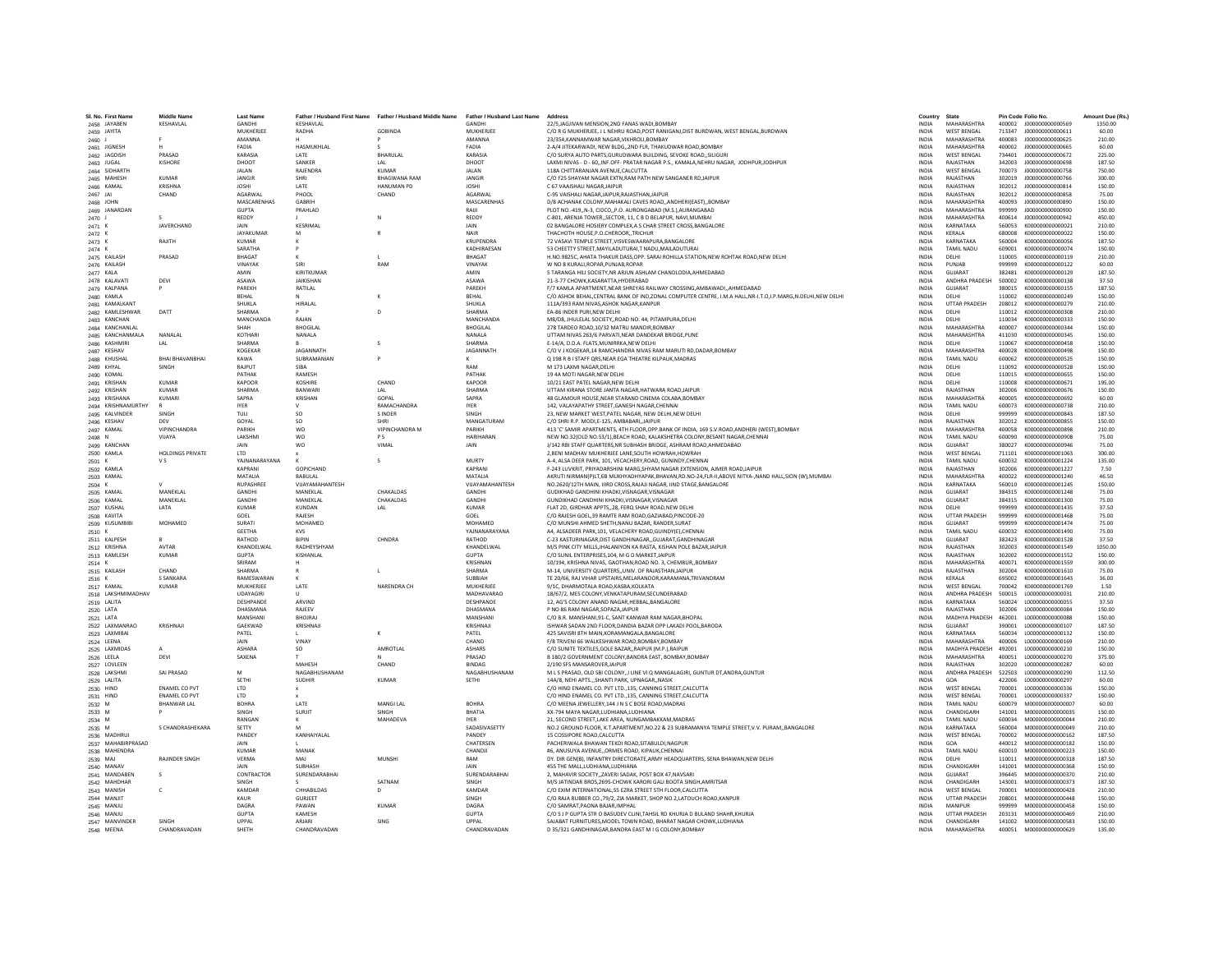| SI, No. First Name          | liddle Name             | <b>Last Name</b>   |                        | Father / Husband First Name Father / Husband Middle Name | Father / Husband Last Name | Address                                                                                                   | Country      | <b>State</b>                      |                  | <b>Pin Code Folio No.</b>            | Amount Due (Rs. |
|-----------------------------|-------------------------|--------------------|------------------------|----------------------------------------------------------|----------------------------|-----------------------------------------------------------------------------------------------------------|--------------|-----------------------------------|------------------|--------------------------------------|-----------------|
| 2458 JAYABEN                | KESHAVLAL               | GANDH              | KESHAVLAL<br>RADHA     | GORINDA                                                  | MUKHERIFF                  | 22/5.JAGJIVAN MENSION.2ND FANAS WADI.BOMBAY                                                               | <b>INDIA</b> | MAHARASHTRA<br><b>WEST RENGAL</b> | 400002<br>713347 | J000000000000569<br>1000000000000611 | 1350.00         |
| 2459 JAYITA                 |                         | MUKHERJEE          |                        |                                                          |                            | C/O R G MUKHERJEE, J L NEHRU ROAD, POST RANIGANJ, DIST BURDWAN, WEST BENGAL, BURDWAN                      | <b>INDIA</b> |                                   |                  |                                      | 60.00           |
| 2460 J                      |                         | AMANNA             |                        |                                                          | AMANNA                     | 23/354 KANNAMWAR NAGAR VIKHROLLROMRAY                                                                     | <b>INDIA</b> | MAHARASHTRA                       | 400083           | 1000000000000625                     | 210.00          |
| 2461 JIGNESH                |                         | FADIA              | <b>HASMUKHLAL</b>      |                                                          | FADIA                      | 2-A/4 JITEKARWADI, NEW BLDG,,2ND FLR, THAKUDWAR ROAD,BOMBAY                                               | <b>INDIA</b> | MAHARASHTRA                       | 400002           | J00000000000665                      | 60.00           |
| 2462 JAGDISH                | PRASAD                  | KARASIA            | LATE                   | BHARULAL                                                 | KARASIA                    | C/O SURYA AUTO PARTS, GURUDWARA BUILDING, SEVOKE ROAD, SILIGUR                                            | INDIA        | <b>WEST BENGAL</b>                | 734401           | J00000000000672                      | 225.00          |
| 2463 JUGAL                  | KISHORE                 | DHOOT              | SANKER                 | IAI                                                      | DHOOT                      | LAXMI NIVAS - D - 60. INF.OFF- PRATAR NAGAR P.S., KAMALA.NEHRU NAGAR, JODHPURJODHPUR                      | <b>INDIA</b> | RAJASTHAN                         | 342003           | 1000000000000698                     | 187.50          |
| 2464 SIDHARTH               |                         | <b>JAI AN</b>      | RAIFNDRA               | KUMAR                                                    | <b>IAI AN</b>              | 118A CHITTARANIAN AVENUE CALCUTTA                                                                         | <b>INDIA</b> | <b>WEST RENGAL</b>                | 700073           | 1000000000000758                     | 750.00          |
| 2465 MAHESH                 | <b>KUMAR</b>            | <b>JANGIR</b>      | SHRI                   | <b>BHAGWANA RAM</b>                                      | JANGIR                     | C/O F25 SHAYAM NAGAR EXTN, RAM PATH NEW SANGANER RD, JAIPUR                                               | <b>INDIA</b> | RAJASTHAN                         | 302019           | J00000000000766                      | 300.00          |
| 2466 KAMAL                  | <b>KRISHN/</b>          | <b>JOSHI</b>       | LATE                   | <b>HANUMAN PD</b>                                        | <b>JOSHI</b>               | C 67 VAAISHALI NAGARJAIPUI                                                                                | <b>INDIA</b> | RAJASTHAN                         | 302012           | J000000000000814                     | 150.00          |
| 2467 JAI                    | CHAND                   | AGARWAL            | PHOOL                  | CHAND                                                    | AGARWAL                    | C-95 VAISHALI NAGARJAIPUR.RAJASTHANJAIPUR                                                                 | <b>INDIA</b> | RAJASTHAN                         | 302012           | J000000000000858                     | 75.00           |
| 2468 JOHN                   |                         | <b>MASCARENHAS</b> | GARRIH                 |                                                          | MASCARENHAS                | D/8 ACHANAK COLONY.MAHAKALI CAVES ROADANDHERI(EAST)BOMBAY                                                 | <b>INDIA</b> | MAHARASHTRA                       | 400093           | 1000000000000890                     | 150.00          |
| 2469 JANARDAN               |                         | <b>GUPTA</b>       | PRAHLAD                |                                                          | RAUI                       | PLOT NO.-419N-3. CIDCOP.O. AURONGABAD (M.S.).AURANGABAD                                                   | <b>INDIA</b> | MAHARASHTRA                       | 999999           | J00000000000900                      | 150.00          |
| 2470 J                      |                         | REDDY              |                        |                                                          | <b>REDDY</b>               | C-801, ARENJA TOWER, SECTOR, 11, C B D BELAPUR, NAVI, MUMBAI                                              | <b>INDIA</b> | MAHARASHTRA                       | 400614           | J000000000000942                     | 450.00          |
| 2471 K                      | JAVERCHAND              | <b>JAIN</b>        | KESRIMAL               |                                                          | JAIN                       | 02 BANGALORE HOSIERY COMPLEX A S CHAR STREET CROSS BANGALORE                                              | <b>INDIA</b> | KARNATAKA                         | 560053           | K000000000000021                     | 210.00          |
| 2472 K                      |                         | <b>JAYAKUMAR</b>   | M                      |                                                          | NAIR                       | THACHOTH HOUSE, P.O.CHEROOR, TRICHUR                                                                      | <b>INDIA</b> | <b>KFRALA</b>                     | 680008           | K00000000000022                      | 150.00          |
| 2473 K                      | RAJITH                  | <b>KUMAR</b>       |                        |                                                          | <b>KRUPENDRA</b>           | 72 VASAVI TEMPLE STREET, VISVESWAARAPURA, BANGALORE                                                       | INDIA        | KARNATAKA                         | 560004           | K000000000000056                     | 187.50          |
| 2474 K                      |                         | SARATHA            |                        |                                                          | KADHIRAESAN                | 53 CHEETTY STREET.MAYILADUTURAI.T NADU.MAILADUTURAI                                                       | <b>INDIA</b> | TAMIL NADLI                       | 609001           | K000000000000074                     | 150.00          |
| 2475 KAILASH                | PRASAD                  | <b>BHAGAT</b>      |                        |                                                          | BHAGAT                     | H.NO.9825C. AHATA THAKUR DASS.OPP. SARAI ROHILLA STATION.NEW ROHTAK ROAD.NEW DELHI                        | <b>INDIA</b> | DELHI                             | 110005           | K000000000000119                     | 210.00          |
| 2476 KAILASH                |                         | VINAYAK            | <b>SIRI</b>            | RAM                                                      | <b>VINAYAR</b>             | W NO 8 KURALI.ROPAR.PUNJAB.ROPAR                                                                          | <b>INDIA</b> | PUNIAR                            | 999999           | K000000000000122                     | 60.00           |
| 2477 KALA                   |                         | AMIN               | KIRITKUMAF             |                                                          | AMIN                       | 5 TARANGA HILI SOCIETY, NR ARJUN ASHLAM CHANDLODIA, AHMEDABAD                                             | INDIA        | GUJARAT                           | 382481           | K000000000000129                     | 187.50          |
| 2478 KALAVAT                | DEVI                    | <b>ASAWA</b>       | JAIKISHAN              |                                                          | <b>ASAWA</b>               | 21-3-77 CHOWK, KASARATTA, HYDERABAD                                                                       | <b>INDIA</b> | ANDHRA PRADESH                    | 500002           | K000000000000138                     | 37.50           |
| 2479 KALPANA                |                         | PARFKH             | <b>RATILAL</b>         |                                                          | PARFKH                     | F/7 KAMI A APARTMENT NEAR SHREYAS RAILWAY CROSSING AMRAWADI. AHMEDARAD                                    | <b>INDIA</b> | <b>GUIARAT</b>                    | 380015           | K000000000000155                     | 187.50          |
| 2480 KAMLA                  |                         | BEHAL              |                        |                                                          | <b>RFHAI</b>               | C/O ASHOK BEHAL,CENTRAL BANK OF IND,ZONAL COMPUTER CENTRE, I.M.A HALL,NR-I.T.O,I.P.MARG,N.DELHI,NEW DELHI | <b>INDIA</b> | DELHI                             | 110002           | K000000000000249                     | 150.00          |
|                             |                         | SHUKLA             | <b>HIRALAI</b>         |                                                          | SHUKLA                     | 111A/393 RAM NIVAS.ASHOK NAGAR.KANPUR                                                                     | <b>INDIA</b> | <b>UTTAR PRADESH</b>              | 208012           | K00000000000279                      | 210.00          |
| 2481 KAMALKANT              | DATT                    | <b>SHARMA</b>      |                        |                                                          | <b>SHARMA</b>              | <b>FA-86 INDER PURLNEW DELHI</b>                                                                          |              |                                   |                  | K000000000000308                     |                 |
| 2482 KAMLESHWAR             |                         |                    |                        |                                                          |                            |                                                                                                           | <b>INDIA</b> | <b>DELHI</b>                      | 110012           |                                      | 210.00          |
| 2483 KANCHAN                |                         | MANCHANDA          | RAIAN                  |                                                          | MANCHANDA                  | M8/D8. JHULELAL SOCIETYROAD NO. 44. PITAMPURA.DELHI                                                       | <b>INDIA</b> | DELHI                             | 110034           | K000000000000333                     | 150.00          |
| 2484 KANCHANLAL             |                         | SHAH               | <b>BHOGILAL</b>        |                                                          | <b>BHOGILAL</b>            | 278 TARDEO ROAD, 10/32 MATRU MANDIR, BOMBAY                                                               | <b>INDIA</b> | MAHARASHTRA                       | 400007           | K000000000000344                     | 150.00          |
| 2485 KANCHANMALA            | NANALAL                 | KOTHAR             | NANALA                 |                                                          | NANALA                     | UTTAM NIVAS 263/6 PARVATI, NEAR DANDEKAR BRIDGE, PUNE                                                     | <b>INDIA</b> | MAHARASHTRA                       | 411030           | K000000000000345                     | 150.00          |
| 2486 KASHMIRI               | IAI                     | <b>SHARMA</b>      |                        | $\sim$                                                   | SHARMA                     | E-14/A, D.D.A, FLATS.MUNIRRKA.NEW DELHI                                                                   | <b>INDIA</b> | DELHI                             | 110067           | K000000000000458                     | 150.00          |
| 2487 KESHAV                 |                         | KOGEKAR            | <b>IAGANNATH</b>       |                                                          | <b>IAGANNATH</b>           | C/O V I KOGEKAR 14 RAMCHANDRA NIVAS RAM MARLITI RD DADAR ROMRAY                                           | <b>INDIA</b> | MAHARASHTRA                       | 400028           | K0000000000000498                    | 150.00          |
| 2488 KHUSHA                 | <b>BHAI BHAVANBHAI</b>  | <b>KAWA</b>        | SUBRAMANIAN            |                                                          |                            | Q 198 R B I STAFF QRS, NEAR EGA THEATRE KILPAUK, MADRAS                                                   | INDIA        | TAMIL NADU                        | 600062           | K000000000000525                     | 150.00          |
| 2489 KHYAL                  | SINGH                   | RAJPUT             | SIBA                   |                                                          | RAM                        | M 173 LAXMI NAGAR.DELHI                                                                                   | <b>INDIA</b> | DELHI                             | 110092           | K000000000000528                     | 150.00          |
| 2490 KOMAL                  |                         | PATHAK             | RAMESH                 |                                                          | PATHAK                     | 19 4A MOTI NAGAR.NEW DELHI                                                                                | <b>INDIA</b> | DELHI                             | 110015           | K000000000000655                     | 150.00          |
| 2491 KRISHAN                | KUMAR                   | KAPOOR             | KOSHIRE                | CHAND                                                    | KAPOOR                     | 10/21 EAST PATEL NAGAR.NEW DELHI                                                                          | <b>INDIA</b> | <b>DELHI</b>                      | 110008           | K000000000000671                     | 195.00          |
| 2492 KRISHAN                | <b>KUMAR</b>            | <b>SHARMA</b>      | <b>BANWAR</b>          |                                                          | SHARM/                     | UTTAM KIRANA STORE JANTA NAGAR, HATWARA ROAD, JAIPUR                                                      | <b>INDIA</b> | RAJASTHAN                         | 302006           | K000000000000676                     | 150.00          |
| 2493 KRISHANA               | <b>KUMAR</b>            | SAPRA              | KRISHAN                | GOPAL                                                    | SAPRA                      | 48 GLAMOUR HOUSE, NEAR STARAND CINEMA COLABA, BOMBAY                                                      | INDIA        | MAHARASHTRA                       | 400005           | K000000000000692                     | 60.00           |
| 2494 KRISHNAMURTHY          |                         | <b>IYER</b>        |                        | <b>RAMACHANDRA</b>                                       | <b>IYER</b>                | 142. VALAYAPATHY STREET GANESH NAGAR CHENNAL                                                              | <b>INDIA</b> | TAMIL NADLI                       | 600073           | K000000000000738                     | 210.00          |
| 2495 KALVINDER              | SINGH                   | TULL               | SO <sub>1</sub>        | <b>SINDER</b>                                            | SINGH                      | 23, NEW MARKET WEST, PATEL NAGAR, NEW DELHI, NEW DELHI                                                    | <b>INDIA</b> | DELHI                             | 999999           | K000000000000843                     | 187.50          |
| 2496 KESHAV                 | DEV                     | GOYAL              | so                     | <b>SHRI</b>                                              | MANGATURAM                 | C/O SHRI R.P. MODI,E-125, AMBABARI,, JAIPUR                                                               | INDIA        | RAJASTHAN                         | 302012           | K000000000000855                     | 150.00          |
| 2497 KAMAL                  | VIPINCHANDRA            | PARIKH             | <b>WO</b>              | VIPINCHANDRA M                                           | PARIKH                     | 413 'C' SAMIR APARTMENTS, 4TH FLOOR, OPP. BANK OF INDIA, 169 S.V. ROAD, ANDHERI (WEST), BOMBAY            | <b>INDIA</b> | MAHARASHTRA                       | 400058           | K000000000000898                     | 210.00          |
| 2498 N                      | <b>VIJAYA</b>           | LAKSHMI            | <b>WO</b>              | <b>PS</b>                                                | <b>HARIHARAN</b>           | NEW NO.32(OLD NO.53/1).BEACH ROAD, KALAKSHETRA COLONY.BESANT NAGAR.CHENNAL                                | <b>INDIA</b> | <b>TAMIL NADU</b>                 | 600090           | K000000000000908                     | 75.00           |
| 2499 KANCHAM                |                         | JAIN               | wo                     | VIMA                                                     | JAIN                       | J/142 RBI STAFF QUARTERS, NR SUBHASH BRIDGE, ASHRAM ROAD, AHMEDABAD                                       | <b>INDIA</b> | GUJARAT                           | 380027           | K000000000000946                     | 75.00           |
| 2500 KAMLA                  | <b>HOLDINGS PRIVATE</b> | LTD                |                        |                                                          |                            | 2, BENI MADHAV MUKHERJEE LANE, SOUTH HOWRAH, HOWRAH                                                       | INDIA        | WEST BENGAL                       | 711101           | K000000000001063                     | 300.00          |
| 2501 K                      | <b>VS</b>               | YAJNANARAYANA      |                        | - S                                                      | MURTY                      | A-4, ALSA DEER PARK, 101, VECACHERY, ROAD, GUNINDY, CHENNAI                                               | <b>INDIA</b> | TAMIL NADU                        | 600032           | K000000000001224                     | 135.00          |
| 2502 KAMLA                  |                         | KAPRANI            | GOPICHAND              |                                                          | <b>KAPRAN</b>              | <b>F-243 LUVKRIT, PRIYADARSHINI MARG SHYAM NAGAR EXTENSION. AIMER ROAD JAIPUR</b>                         | <b>INDIA</b> | RAIASTHAN                         | 302006           | K000000000001227                     | 7.50            |
| 2503 KAMAL                  |                         | MATALIA            | <b>BARULAL</b>         |                                                          | <b>MATALIA</b>             | AKRUTI NIRMAN(P)LT,6B MUKHYADHYAPAK,BHAVAN,RD.NO-24,FLR-II,ABOVE NITYA-,NAND HALL,SION (W),MUMBAI         | <b>INDIA</b> | MAHARASHTRA                       | 400022           | K000000000001240                     | 46.50           |
| 2504 K                      |                         | <b>RUPASHREI</b>   | VUAYAMAHANTESH         |                                                          | VIJAYAMAHANTESH            | NO.2620/12TH MAIN. IIIRD CROSS.RAJAJI NAGAR. IIND STAGE.BANGALORE                                         | <b>INDIA</b> | KARNATAKA                         | 560010           | K000000000001245                     | 150.00          |
| 2505 KAMAL                  | <b>MANEKLAL</b>         | <b>GANDHI</b>      | MANFKI AI              | <b>CHAKALDAS</b>                                         | <b>GANDHI</b>              | GUDIKHAD GANDHINI KHADKI.VISNAGAR.VISNAGAR                                                                | <b>INDIA</b> | GUIARAT                           | 384315           | K000000000001248                     | 75.00           |
|                             | MANEKLAL                | GANDH              | MANFKI AI              | CHAKALDAS                                                | <b>GANDHI</b>              | GUNDIKHAD CANDHINI KHADKI.VISNAGAR.VISNAGAR                                                               | <b>INDIA</b> | <b>GUIARAT</b>                    | 384315           | K000000000001300                     | 75.00           |
| 2506 KAMAL                  | LATA                    | KUMAR              | KUNDAN                 | LAL                                                      | KUMAR                      |                                                                                                           | <b>INDIA</b> | <b>DELHI</b>                      | 999999           | K000000000001435                     | 37.50           |
| 2507 KUSHAI                 |                         |                    |                        |                                                          |                            | FLAT 2D, GIRDHAR APPTS, 28, FERQ SHAH ROAD, NEW DELHI                                                     |              | <b>UTTAR PRADESH</b>              |                  |                                      |                 |
| 2508 KAVITA                 |                         | GOEL               | RAJESH                 |                                                          | GOEL                       | C/O RAJESH GOEL,39 RAMTE RAM ROAD, GAZIABAD, PINCODE-20                                                   | INDIA        |                                   | 999999           | K000000000001468                     | 75.00           |
| 2509 KUSUMBIBI              | MOHAMED                 | SURATI             | MOHAMED                |                                                          | <b>MOHAMED</b>             | C/O MUNSHI AHMED SHETH.NANU BAZAR. RANDER.SURAT                                                           | <b>INDIA</b> | <b>GUJARAT</b>                    | 999999           | K000000000001474                     | 75.00           |
| 2510 K                      |                         | <b>GEETHA</b>      | <b>KVS</b>             |                                                          | YAINANARAYANA              | A4. ALSADEER PARK.101. VELACHERY ROAD.GUINDY(E).CHENNAI                                                   | <b>INDIA</b> | TAMIL NADLI                       | 600032           | K000000000001490                     | 75.00           |
| 2511 KALPESH                |                         | RATHOD             | BIPIN                  | CHNDRA                                                   | RATHOD                     | C-23 KASTURINAGAR, DIST GANDHINAGAR, , GUJARAT, GANDHINAGAR                                               | INDIA        | GUJARAT                           | 382423           | K000000000001528                     | 37.50           |
| 2512 KRISHNA                | AVTAR                   | KHANDELWAI         | RADHEYSHYAM            |                                                          | KHANDELWAL                 | M/S PINK CITY MILLS JHALANIYON KA RASTA, KISHAN POLE BAZAR JAIPUR                                         | <b>INDIA</b> | RAJASTHAN                         | 302003           | K000000000001549                     | 1050.00         |
| 2513 KAMLESH                | <b>KUMAR</b>            | <b>GUPTA</b>       | KISHANLAL              |                                                          | <b>GUPTA</b>               | C/O SUNIL ENTERPRISES.104, M G D MARKET, JAIPUR                                                           | <b>INDIA</b> | RAJASTHAN                         | 302002           | K000000000001552                     | 150.00          |
| 2514 K                      |                         | SRIRAM             |                        |                                                          | KRISHNAN                   | 10/194, KRISHNA NIVAS, GAOTHAN, ROAD NO. 3, CHEMBUR., BOMBAY                                              | <b>INDIA</b> | MAHARASHTRA                       | 400071           | K000000000001559                     | 300.00          |
| 2515 KAILASH                | CHAND                   | <b>SHARMA</b>      |                        |                                                          | SHARMA                     | M-14, UNIVERSITY QUARTERS., UNIV, OF RAJASTHANJAIPU                                                       | <b>INDIA</b> | RAJASTHAN                         | 302004           | K000000000001610                     | 75.00           |
| 2516 K                      | <b>S SANKARA</b>        | RAMESWARAN         |                        |                                                          | <b>SUBBIAH</b>             | TE 20/66, RAJ VIHAR UPSTAIRS, MELARANOOR, KARAMANA, TRIVANDRAM                                            | <b>INDIA</b> | KERALA                            | 695002           | K000000000001643                     | 36.00           |
| 2517 KAMAL                  | KUMAR                   | MUKHERIFF          | <b>IATF</b>            | NARENDRA CH                                              | MUKHERIEE                  | 9/1C. DHARMOTALA ROAD KASRA KOLKATA                                                                       | <b>INDIA</b> | <b>WEST RENGAL</b>                | 700042           | K000000000001769                     | 1.50            |
| 2518 LAKSHMIMADHAV          |                         | <b>UDAYAGIRI</b>   |                        |                                                          | MADHAVARAO                 | 18/67/2, MES COLONY, VENKATAPURAM, SECUNDERABAD                                                           | <b>INDIA</b> | ANDHRA PRADESH                    | 500015           | L00000000000031                      | 210.00          |
| 2519 LALITA                 |                         | DESHPANDE          | ARVIND                 |                                                          | DESHPANDE                  | 12, AG'S COLONY ANAND NAGAR, HEBBAL, BANGALORE                                                            | <b>INDIA</b> | KARNATAKA                         | 560024           | L000000000000055                     | 37.50           |
| 2520 LATA                   |                         | <b>DHASMANA</b>    | RAIFFV                 |                                                          | DHASMANA                   | P NO 86 RAM NAGAR SOPAZA JAIPUR                                                                           | <b>INDIA</b> | RAIASTHAN                         | 302006           | 1000000000000084                     | 150.00          |
| 2521 LATA                   |                         | MANSHANI           | BHOJRAJ                |                                                          | MANSHAN                    | C/O B.R. MANSHANI.91-C. SANT KANWAR RAM NAGAR.BHOPAL                                                      | <b>INDIA</b> | MADHYA PRADESH                    | 462001           | L000000000000088                     | 150.00          |
| 2522 LAXMANRAO              | KRISHNAIL               | GAEKWAD            | KRISHNAJI              |                                                          | KRISHNAIL                  | ISHWAR SADAN 2ND FLOOR, DANDIA BAZAR OPP LAKADI POOL, BARODA                                              | <b>INDIA</b> | <b>GUJARAT</b>                    | 390001           | L00000000000107                      | 187.50          |
| 2523 LAXMIBAI               |                         | PATEL              |                        |                                                          | PATEL                      | 425 SAVISRI 8TH MAIN, KORAMANGALA, BANGALORE                                                              | INDIA        | KARNATAKA                         | 560034           | L000000000000132                     | 150.00          |
| 2524 LEENA                  |                         | JAIN               | VINAY                  |                                                          | CHAND                      | F/8 TRIVENI 66 WALKESHWAR ROAD.BOMBAY.BOMBAY                                                              | <b>INDIA</b> | MAHARASHTRA                       | 400006           | L000000000000169                     | 210.00          |
| 2525 LAXMIDAS               |                         | <b>ASHARA</b>      | SQ.                    | AMROTI AI                                                | <b>ASHARS</b>              | C/O SUNITE TEXTUES GOLF BAZAR, RAIPUR (M.P.) RAIPUR                                                       | <b>INDIA</b> | MADHYA PRADESH                    | 492001           | 1000000000000210                     | 150.00          |
| 2526 LEELA                  | DEVI                    | SAXENA             |                        |                                                          | PRASAD                     | B 180/2 GOVERNMENT COLONY, BANDRA EAST, BOMBAY, BOMBAY                                                    | INDIA        | MAHARASHTRA                       | 400051           | L00000000000270                      | 375.00          |
| 2527 LOVLEEN                |                         |                    | MAHESH                 | CHAND                                                    | <b>BINDAG</b>              | 2/190 SFS MANSAROVER JAIPUR                                                                               | <b>INDIA</b> | RAJASTHAN                         | 302020           | L00000000000287                      | 60.00           |
| 2528 LAKSHM                 | SAI PRASAD              | M                  | NAGARHUSHANAM          |                                                          | NAGABHUSHANAM              | M L S PRASAD, OLD SBI COLONY,,I LINE VI Q MANGALAGIRI, GUNTUR DT, ANDRA, GUNTUR                           | <b>INDIA</b> | ANDHRA PRADESH                    | 522503           | 1000000000000290                     | 112.50          |
| 2529 LALITA                 |                         | SETHI              | <b>SUDHIR</b>          | KUMAR                                                    | SETHI                      | 14A/8, NEHI APTSSHANTI PARK, UPNAGAR., NASIK                                                              | <b>INDIA</b> | GOA                               | 422006           | 1000000000000297                     | 60.00           |
| 2530 HIND                   | <b>ENAMEL CO PVT</b>    | LTD                |                        |                                                          |                            | C/O HIND ENAMEL CO. PVT LTD., 135, CANNING STREET, CALCUTTA                                               | <b>INDIA</b> | <b>WEST BENGAL</b>                | 700001           | L000000000000336                     | 150.00          |
| 2531 HIND                   | <b>ENAMEL CO PVT</b>    | <b>LTD</b>         |                        |                                                          |                            | C/O HIND ENAMEL CO. PVT LTD.,135, CANNING STREET, CALCUTTA                                                | <b>INDIA</b> | WEST BENGAL                       | 700001           | L00000000000337                      | 150.00          |
| 2532 M                      | <b>BHANWAR LAL</b>      | <b>BOHRA</b>       | LATE                   | MANGI LAL                                                | <b>BOHRA</b>               | C/O MEENA JEWELLERY.144 J N S C BOSE ROAD.MADRAS                                                          | <b>INDIA</b> | <b>TAMIL NADU</b>                 | 600079           | M000000000000007                     | 60.00           |
| 2533 M                      |                         | <b>SINGH</b>       | <b>SURJIT</b>          | SINGH                                                    | RHATIA                     | XX-794 MAYA NAGAR.LUDHIANA.LUDHIANA                                                                       | <b>INDIA</b> | CHANDIGARH                        | 141001           | M000000000000035                     | 150.00          |
| 2534 M                      |                         | RANGAN             |                        | MAHADEVA                                                 | <b>IYER</b>                | 21, SECOND STREET, LAKE AREA, NUNGAMBAKKAM, MADRAS                                                        | INDIA        | TAMIL NADU                        | 600034           | M000000000000044                     | 210.00          |
| 2535 M                      | S CHANDRASHEKARA        | SETTY              |                        |                                                          | SADASIVASETTY              | NO.2 GROUND FLOOR, K.T.APARTMENT, NO.22 & 23 SUBRAMANYA TEMPLE STREET, V.V. PURAM, BANGALORE              | <b>INDIA</b> | KARNATAKA                         | 560004           | M000000000000049                     | 210.00          |
| 2536 MADHRUI                |                         | PANDEY             | KANHAIYALAL            |                                                          | PANDEY                     | 15 COSSIPORE ROAD.CALCUTTA                                                                                | <b>INDIA</b> | <b>WEST BENGAL</b>                | 700002           | M000000000000162                     | 187.50          |
| 2537 MAHABIRPRASAD          |                         | <b>JAIN</b>        |                        |                                                          | CHATERSEN                  | PACHERIWALA BHAWAN TEKDI ROAD SITABULDI.NAGPUR                                                            | <b>INDIA</b> | GOA                               | 440012           | M000000000000182                     | 150.00          |
| 2538 MAHENDRA               |                         | <b>KUMAR</b>       | MANAK                  |                                                          | CHANDJ                     | #6. ANUSUYA AVENUEORMES ROAD, KIPAUK.CHENNAI                                                              | <b>INDIA</b> | <b>TAMIL NADU</b>                 | 600010           | M00000000000223                      | 150.00          |
| 2539 MAJ                    | RAJINDER SINGH          | VERMA              | MAJ                    | <b>MUNSHI</b>                                            | RAM                        | DY. DIR GEN(B), INFANTRY DIRECTORATE, ARMY HEADQUARTERS, SENA BHAWAN, NEW DELHI                           | INDIA        | DELHI                             | 110011           | M000000000000318                     | 187.50          |
|                             |                         | <b>JAIN</b>        | <b>SURHASH</b>         |                                                          | <b>JAIN</b>                | 455 THE MAIL LUDHIANA LUDHIANA                                                                            | <b>INDIA</b> | CHANDIGARH                        | 141001           | M000000000000368                     | 150.00          |
| 2540 MANA\<br>2541 MANDABEN | s                       | CONTRACTOR         | SURENDARABHAI          |                                                          | SURENDARABHA               | 2, MAHAVIR SOCIETY, ZAVERI SADAK, POST BOX 47, NAVSARI                                                    | <b>INDIA</b> | GUJARAT                           | 396445           | M000000000000370                     | 210.00          |
|                             |                         |                    |                        |                                                          |                            |                                                                                                           |              |                                   |                  |                                      |                 |
| 2542 MAHDHAR                |                         | SINGH              |                        | SATNAM                                                   | SINGH                      | M/S JATINDAR BROS.2695-CHOWK KARORI GALI BOOTA SINGH.AMRITSAR                                             | <b>INDIA</b> | CHANDIGARH                        | 143001           | M00000000000373                      | 187.50          |
| 2543 MANISH                 | $\mathfrak{c}$          | KAMDAR             | CHHABILDAS             | $\mathsf{D}$                                             | KAMDAF                     | C/O EXIM INTERNATIONAL 55 EZRA STREET STH FLOOR CALCUTTA                                                  | <b>INDIA</b> | <b>WEST BENGAL</b>                | 700001           | M000000000000428                     | 210.00          |
| 2544 MANJIT                 |                         | KALIR              | GURIEFT                |                                                          | SINGH                      | C/O RAJA RUBBER CO., 79/2, ZIA MARKET, SHOP NO.2, LATOUCH ROAD, KANPUR                                    | <b>INDIA</b> | <b>UTTAR PRADESH</b>              | 208001           | M0000000000000448                    | 150.00          |
| 2545 MANJU                  |                         | DAGRA              | PAWAN                  | <b>KUMAF</b>                                             | <b>DAGRA</b>               | C/O SAMRAT.PAONA BAJAR.IMPHAL                                                                             | <b>INDIA</b> | MANIPUR                           | 999999           | M000000000000458                     | 150.00          |
| 2546 MANJU                  |                         | <b>GUPTA</b>       | KAMESH                 |                                                          | <b>GUPTA</b>               | C/O S J P GUPTA STR O BASUDEV CLINI, TAHSIL RD KHURJA D BULAND SHAHR, KHURJA                              | INDIA        | <b>UTTAR PRADESH</b>              | 203131           | M000000000000469                     | 210.00          |
| 2547 MANVINDER              | SINGH                   | LIPPAL             | ARJARI<br>CHANDRAVADAN | SING                                                     | <b>UPPAL</b>               | SAJABAT FURNITURES, MODEL TOWN ROAD, BHARAT NAGAR CHOWK, LUDHIANA                                         | <b>INDIA</b> | CHANDIGARH                        | 141002           | M000000000000583                     | 150.00          |
| 2548 MEENA                  | CHANDRAVADAN            | SHFTH              |                        |                                                          | CHANDRAVADAN               | D 35/321 GANDHINAGAR RANDRA FAST M LG COLONY ROMRAY                                                       | <b>INDIA</b> | MAHARASHTRA                       |                  | 400051 M000000000000629              | 135.00          |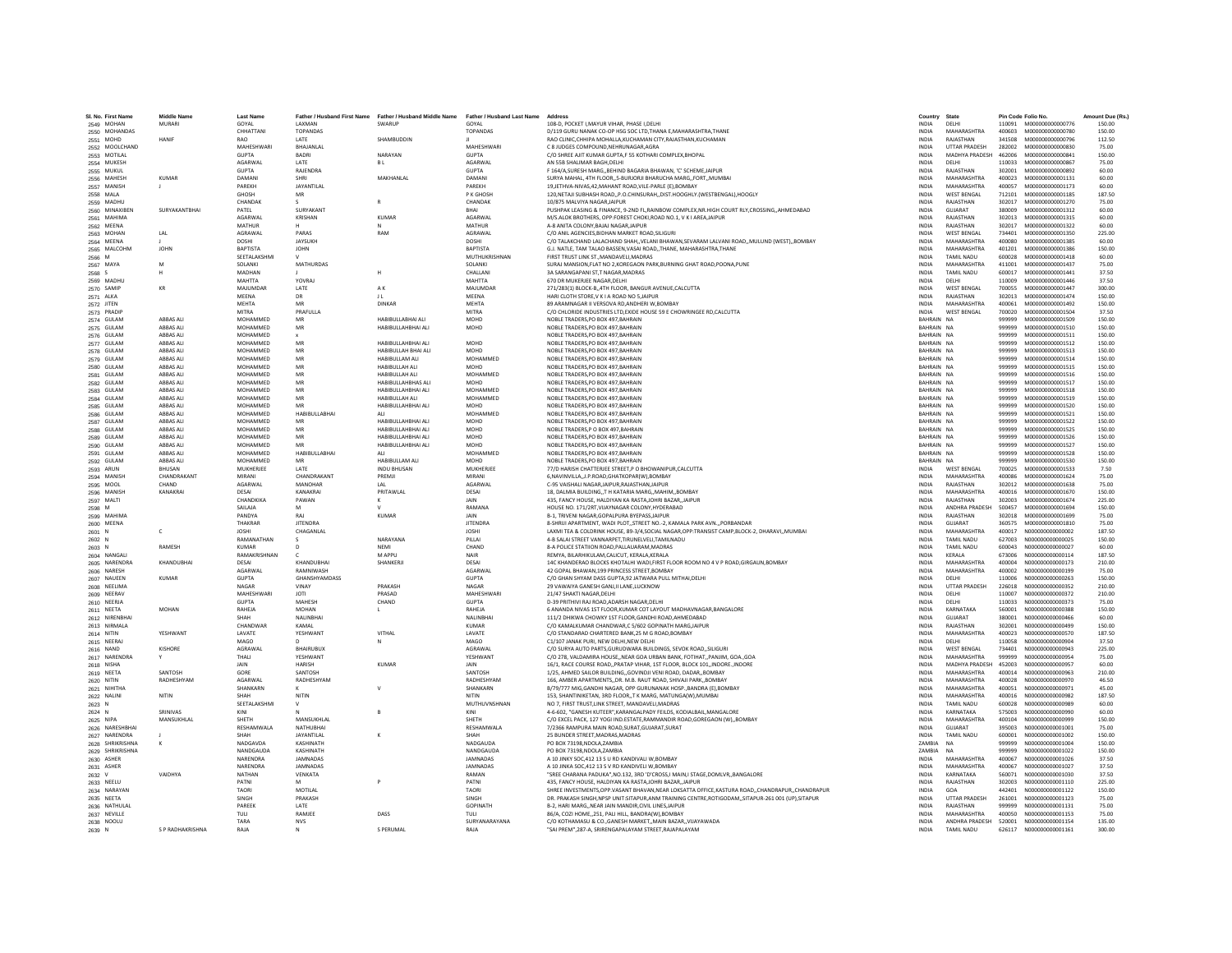| SI. No. First Name             | <b>Middle Name</b>     | <b>Last Name</b>         |                             |                                                                                               |                                | Address                                                                                                                                | Country                      | State                           |                  | Pin Code Folio No.                          | Amount Due (Rs.) |
|--------------------------------|------------------------|--------------------------|-----------------------------|-----------------------------------------------------------------------------------------------|--------------------------------|----------------------------------------------------------------------------------------------------------------------------------------|------------------------------|---------------------------------|------------------|---------------------------------------------|------------------|
| 2549 MOHAN                     | <b>MURARI</b>          | GOYAL                    | LAXMAN                      | Father / Husband First Name Father / Husband Middle Name Father / Husband Last Name<br>SWARUP | GOYAL                          | 108-D. POCKET I.MAYUR VIHAR. PHASE I.DELHI                                                                                             | <b>INDIA</b>                 | DELHI                           |                  | 110091 M000000000000776                     | 150.00           |
| 2550 MOHANDAS                  |                        | CHHATTANI                | <b>TOPANDAS</b>             |                                                                                               | <b>TOPANDAS</b>                | D/119 GURU NANAK CO-OP HSG SOC LTD THANA E MAHARASHTRA THANE                                                                           | <b>INDIA</b>                 | MAHARASHTRA                     | 400603           | M000000000000780                            | 150.00           |
| 2551 MOHD                      | <b>HANIF</b>           | RAO                      | LATE                        | SHAMBUDDIN                                                                                    |                                | RAO CLINIC, CHHIPA MOHALLA, KUCHAMAN CITY, RAJASTHAN, KUCHAMAN                                                                         | <b>INDIA</b>                 | RAIASTHAN                       | 341508           | M000000000000796                            | 112.50           |
| 2552 MOOLCHAND                 |                        | MAHESHWARI               | BHAJANLAL                   |                                                                                               | <b>MAHESHWARI</b>              | C 8 JUDGES COMPOUND, NEHRUNAGAR, AGRA                                                                                                  | INDIA                        | <b>UTTAR PRADESH</b>            | 282002           | M000000000000830                            | 75.00            |
| 2553 MOTILAL                   |                        | <b>GUPTA</b>             | <b>BADRI</b>                | NARAYAN                                                                                       | <b>GUPTA</b>                   | C/O SHREE AJIT KUMAR GUPTA.F 55 KOTHARI COMPLEX.BHOPAL                                                                                 | <b>INDIA</b>                 | MADHYA PRADESH                  | 462006           | M000000000000841                            | 150.00           |
| 2554 MUKESH                    |                        | AGARWAL<br><b>GUPTA</b>  | LATE<br>RAIFNDRA            | <b>BL</b>                                                                                     | <b>AGARWAL</b><br><b>GUPTA</b> | AN 55B SHALIMAR BAGH.DELHI<br>F 164/A SURESH MARG, REHIND RAGARIA RHAWAN, 'C' SCHEME JAIPUR                                            | <b>INDIA</b><br><b>INDIA</b> | DELHI<br>RAIASTHAN              | 110033<br>302001 | M00000000000867<br>M000000000000892         | 75.00<br>60.00   |
| 2555 MUKUL<br>2556 MAHESH      | <b>KUMAR</b>           | <b>DAMAN</b>             | SHRI                        | MAKHANLAL                                                                                     | DAMANI                         | SURYA MAHAL, 4TH FLOOR,,5-BURJORJI BHARUCHA MARG,,FORT,,MUMBAI                                                                         | INDIA                        | MAHARASHTRA                     | 400023           | M000000000001131                            | 60.00            |
| 2557 MANISH                    |                        | PAREKH                   | JAYANTILAL                  |                                                                                               | PAREKH                         | 19.JETHVA-NIVAS.42.MAHANT ROAD.VILE-PARLE (E).BOMBAY                                                                                   | <b>INDIA</b>                 | MAHARASHTRA                     | 400057           | M00000000001173                             | 60.00            |
| 2558 MALA                      |                        | GHOSH                    | MR                          |                                                                                               | P K GHOSH                      | 120.NETAJI SUBHASH ROADP.O.CHINSURAHDIST.HOOGHLY.(WESTBENGAL).HOOGLY                                                                   | <b>INDIA</b>                 | <b>WEST BENGAL</b>              | 712101           | M000000000001185                            | 187.50           |
| 2559 MADHU                     |                        | CHANDAK                  | $\sim$                      |                                                                                               | CHANDAK                        | 10/875 MAI VIYA NAGAR JAIPUR                                                                                                           | <b>INDIA</b>                 | RAIASTHAN                       | 302017           | M000000000001270                            | 75.00            |
| 2560 MINAXIBEN                 | SURYAKANTBHA           | PATEL                    | <b>SURYAKANT</b>            |                                                                                               | <b>RHAI</b>                    | PUSHPAK LEASING & FINANCE, 9-2ND FL, RAINBOW COMPLEX, NR. HIGH COURT RLY, CROSSING, , AHMEDABAD                                        | <b>INDIA</b>                 | <b>GUIARAT</b>                  | 380009           | M000000000001312                            | 60.00            |
| 2561 MAHIMA                    |                        | AGARWAI                  | KRISHAN                     | KUMAR                                                                                         | AGARWAI                        | M/S.ALOK BROTHERS, OPP:FOREST CHOKI,ROAD NO.1, V K I AREA,JAIPUR                                                                       | INDIA                        | RAJASTHAN                       | 302013           | M000000000001315                            | 60.00            |
| 2562 MEENA                     | LAL                    | <b>MATHUR</b>            |                             |                                                                                               | MATHUR                         | A-8 ANITA COLONY.BAJAJ NAGAR.JAIPUF<br>C/O ANIL AGENCIES.BIDHAN MARKET ROAD.SILIGURI                                                   | INDIA                        | RAJASTHAN<br><b>WEST BENGAL</b> | 302017           | M000000000001322                            | 60.00            |
| 2563 MOHAN<br>2564 MEENA       |                        | AGRAWAL<br>DOSHI         | PARAS<br><b>JAYSUKH</b>     | RAM                                                                                           | AGRAWAL<br><b>DOSHI</b>        | C/O TALAKCHAND LALACHAND SHAH. VELANI BHAWAN SEVARAM LALVANI ROAD. MULUND (WEST). BOMBAY                                               | <b>INDIA</b><br><b>INDIA</b> | MAHARASHTRA                     | 734401<br>400080 | M000000000001350<br>M000000000001385        | 225.00<br>60.00  |
| 2565 MALCOHN                   | <b>JOHN</b>            | BAPTISTA                 | <b>JOHN</b>                 |                                                                                               | <b>BAPTISTA</b>                | G.J. NATLE, TAM TALAO BASSEN, VASAI ROAD,, THANE, MAHARASHTRA, THANE                                                                   | <b>INDIA</b>                 | MAHARASHTRA                     | 401201           | M000000000001386                            | 150.00           |
| 2566 M                         |                        | SEETALAKSHM              |                             |                                                                                               | MUTHUKRISHNAN                  | FIRST TRUST LINK ST., MANDAVELI, MADRAS                                                                                                | <b>INDIA</b>                 | <b>TAMIL NADU</b>               | 600028           | M000000000001418                            | 60.00            |
| 2567 MAYA                      | M                      | SOLANKI                  | <b>MATHURDAS</b>            |                                                                                               | SOLANKI                        | SURAJ MANSION.FLAT NO 2.KOREGAON PARK.BURNING GHAT ROAD.POONA.PUNE                                                                     | <b>INDIA</b>                 | MAHARASHTRA                     | 411001           | M000000000001437                            | 75.00            |
| 2568 S                         | н                      | <b>MADHAN</b>            |                             | H                                                                                             | CHALLANI                       | 3A SARANGAPANI ST.T NAGAR.MADRAS                                                                                                       | <b>INDIA</b>                 | <b>TAMIL NADU</b>               | 600017           | M000000000001441                            | 37.50            |
| 2569 MADHU                     |                        | <b>MAHTTA</b>            | YOVRAL                      |                                                                                               | <b>MAHTTA</b>                  | 670 DR MUKERJEE NAGAR.DELHI                                                                                                            | <b>INDIA</b>                 | DELHI                           | 110009           | M000000000001446                            | 37.50            |
| 2570 SAMIP                     | KR                     | MAJUMDAR<br><b>MEENA</b> | LATE<br>DR                  | AK                                                                                            | MAJUMDAR<br>MEENA              | 271/283(1) BLOCK-B,,4TH FLOOR, BANGUR AVENUE, CALCUTTA<br>HARI CLOTH STORE.V K I A ROAD NO 5.JAIPUR                                    | INDIA<br><b>INDIA</b>        | <b>WEST BENGAL</b><br>RAJASTHAN | 700055<br>302013 | M000000000001447                            | 300.00<br>150.00 |
| 2571 ALKA<br>2572 JITEN        |                        | <b>MEHTA</b>             | MR                          | 11<br><b>DINKAR</b>                                                                           | MEHTA                          | 89 ARAMNAGAR II VERSOVA RD.ANDHERI W.BOMBAY                                                                                            | <b>INDIA</b>                 | MAHARASHTRA                     | 400061           | M00000000001474<br>M000000000001492         | 150.00           |
| 2573 PRADIP                    |                        | MITRA                    | PRAFULLA                    |                                                                                               | <b>MITRA</b>                   | C/O CHLORIDE INDUSTRIES LTD. EXIDE HOUSE 59 E CHOWRINGEE RD. CALCUTTA                                                                  | <b>INDIA</b>                 | <b>WEST BENGAL</b>              | 700020           | M000000000001504                            | 37.50            |
| 2574 GULAN                     | ABBAS ALI              | MOHAMMED                 | MR                          | HABIBULLABHAI ALI                                                                             | MOHD                           | NOBLE TRADERS, PO BOX 497, BAHRAIN                                                                                                     | BAHRAIN                      | <b>NA</b>                       | 999999           | M00000000001509                             | 150.00           |
| 2575 GULAM                     | ABBAS ALI              | MOHAMMED                 | MR                          | HABIBULLAHBHAI ALI                                                                            | MOHD                           | NOBLE TRADERS.PO BOX 497.BAHRAIN                                                                                                       | BAHRAIN NA                   |                                 | 999999           | M000000000001510                            | 150.00           |
| 2576 GULAM                     | ABBAS ALI              | MOHAMMED                 |                             |                                                                                               |                                | NOBLE TRADERS.PO BOX 497.BAHRAIN                                                                                                       | BAHRAIN NA                   |                                 | 999999           | M000000000001511                            | 150.00           |
| 2577 GULAM                     | ABBAS ALI              | MOHAMMED                 | MR                          | HABIBULLAHBHAI ALI                                                                            | MOHD                           | NOBLE TRADERS.PO BOX 497.BAHRAIN                                                                                                       | BAHRAIN NA                   |                                 | 999999           | M000000000001512                            | 150.00           |
| 2578 GULAM                     | <b>ARRAS ALL</b>       | MOHAMMED                 | MR                          | HARIRUI I AH RHAI ALL                                                                         | <b>MOHD</b>                    | NOBLE TRADERS.PO BOX 497.BAHRAIN                                                                                                       | RAHRAIN NA                   |                                 | 999999           | M000000000001513                            | 150.00           |
| 2579 GULAN<br>2580 GULAM       | ABBAS ALI<br>ABBAS ALI | MOHAMMED<br>MOHAMMED     | MR                          | HABIBULLAM ALI<br>HABIBULLAH ALI                                                              | MOHAMMED<br>MOHD               | NOBLE TRADERS, PO BOX 497, BAHRAIN<br>NOBLE TRADERS.PO BOX 497.BAHRAIN                                                                 | BAHRAIN NA<br>BAHRAIN NA     |                                 | 999999<br>999999 | M000000000001514<br>M000000000001515        | 150.00<br>150.00 |
| 2581 GULAM                     | ABBAS ALI              | MOHAMMED                 | MR                          | HABIBULLAH ALI                                                                                | MOHAMMED                       | NOBLE TRADERS.PO BOX 497.BAHRAIN                                                                                                       | BAHRAIN NA                   |                                 | 999999           | M00000000001516                             | 150.00           |
| 2582 GULAM                     | <b>ARRAS ALL</b>       | MOHAMMED                 | MR                          | HARIRULLAHRHAS ALL                                                                            | <b>MOHD</b>                    | NOBLE TRADERS.PO BOX 497.BAHRAIN                                                                                                       | RAHRAIN NA                   |                                 | 999999           | M000000000001517                            | 150.00           |
| 2583 GULAM                     | ABBAS ALI              | MOHAMMED                 | MR                          | HABIBULLAHBHAI ALI                                                                            | MOHAMMED                       | NOBLE TRADERS, PO BOX 497, BAHRAIN                                                                                                     | BAHRAIN NA                   |                                 | 999999           | M00000000001518                             | 150.00           |
| 2584 GULAM                     | ABBAS ALI              | MOHAMMED                 | MR                          | <b>HABIBULLAH ALI</b>                                                                         | MOHAMMED                       | NOBLE TRADERS.PO BOX 497.BAHRAIN                                                                                                       | BAHRAIN NA                   |                                 | 999999           | M000000000001519                            | 150.00           |
| 2585 GULAM                     | ABBAS ALI              | MOHAMMED                 | MR                          | HABIBULLAHBHAI ALI                                                                            | MOHD                           | NOBLE TRADERS.PO BOX 497.BAHRAIN                                                                                                       | BAHRAIN NA                   |                                 | 999999           | M000000000001520                            | 150.00           |
| 2586 GULAM                     | ABBAS ALI              | MOHAMMED                 | HABIBULLABHAI               | ALL                                                                                           | MOHAMMED                       | NOBLE TRADERS.PO BOX 497.BAHRAIN                                                                                                       | BAHRAIN NA                   |                                 | 999999           | M00000000001521                             | 150.00           |
| 2587 GULAM                     | ABBAS ALI              | MOHAMMED                 | MR<br>MR                    | HABIBULLAHBHAI ALI                                                                            | <b>MOHD</b>                    | NOBLE TRADERS.PO BOX 497.BAHRAIN                                                                                                       | BAHRAIN NA                   |                                 | 999999           | M000000000001522                            | 150.00           |
| 2588 GULAM<br>2589 GULAM       | ABBAS ALI<br>ABBAS ALI | MOHAMMED<br>MOHAMMED     | MR                          | HABIBULLAHBHAI ALI<br>HABIBULLAHBHAI ALI                                                      | MOHD<br>MOHD                   | NOBLE TRADERS, P O BOX 497, BAHRAIN<br>NOBLE TRADERS.PO BOX 497.BAHRAIN                                                                | BAHRAIN NA<br>BAHRAIN NA     |                                 | 999999<br>999999 | M000000000001525<br>M00000000001526         | 150.00<br>150.00 |
| 2590 GULAM                     | ABBAS ALI              | MOHAMMED                 | MR                          | HABIBULLAHBHAI ALI                                                                            | MOHD                           | NOBLE TRADERS.PO BOX 497.BAHRAIN                                                                                                       | BAHRAIN NA                   |                                 | 999999           | M00000000001527                             | 150.00           |
| 2591 GULAM                     | <b>ARRAS ALL</b>       | MOHAMMED                 | <b>HARIBULLARHAI</b>        | ALL                                                                                           | MOHAMMED                       | NOBLE TRADERS PO ROX 497 BAHRAIN                                                                                                       | RAHRAIN NA                   |                                 | 999999           | M000000000001528                            | 150.00           |
| 2592 GULAN                     | ABBAS ALI              | MOHAMMED                 | MR                          | <b>HABIBULLAM ALI</b>                                                                         | MOHD                           | NOBLE TRADERS, PO BOX 497, BAHRAIN                                                                                                     | BAHRAIN NA                   |                                 | 999999           | M000000000001530                            | 150.00           |
| 2593 ARUN                      | <b>BHUSAN</b>          | MUKHERJEE                | LATE                        | <b>INDU BHUSAN</b>                                                                            | MUKHERJEE                      | 77/D HARISH CHATTERJEE STREET.P O BHOWANIPUR.CALCUTTA                                                                                  | <b>INDIA</b>                 | <b>WEST BENGAL</b>              | 700025           | M000000000001533                            | 7.50             |
| 2594 MANISH                    | CHANDRAKANT            | MIRAN                    | CHANDRAKANT                 | PREMJI                                                                                        | MIRAN                          | 6.NAVINVILLA.J.P.ROAD.GHATKOPAR(W).BOMBAY                                                                                              | <b>INDIA</b>                 | <b>MAHARASHTRA</b>              | 400086           | M000000000001624                            | 75.00            |
| 2595 MOOL                      | CHAND                  | AGARWAL                  | <b>MANOHAR</b>              | LAL                                                                                           | <b>AGARWAL</b>                 | C-95 VAISHALI NAGAR JAIPUR RAJASTHAN JAIPUR                                                                                            | <b>INDIA</b>                 | RAJASTHAN                       | 302012           | M000000000001638                            | 75.00            |
| 2596 MANISH                    | KANAKRAI               | DESAL<br>CHANDKIKA       | KANAKRAL<br>PAWAN           | PRITAWI AI<br>К                                                                               | DESAL<br>JAIN                  | 18. DALMIA BUILDINGT H KATARIA MARGMAHIMBOMBAY<br>435, FANCY HOUSE, HALDIYAN KA RASTA, JOHRI BAZAR, JAIPUR                             | <b>INDIA</b><br>INDIA        | MAHARASHTRA<br>RAJASTHAN        | 400016<br>302003 | M000000000001670<br>M000000000001674        | 150.00<br>225.00 |
| 2597 MALTI<br>2598 M           |                        | SAILAJA                  |                             |                                                                                               | RAMANA                         | HOUSE NO. 171/2RT.VIJAYNAGAR COLONY.HYDERABAD                                                                                          | INDIA                        | ANDHRA PRADESH                  | 500457           | M000000000001694                            | 150.00           |
| 2599 MAHIMA                    |                        | PANDYA                   | RAI                         | <b>KUMAR</b>                                                                                  | <b>JAIN</b>                    | B-1. TRIVENI NAGAR.GOPALPURA BYEPASS.JAIPUR                                                                                            | <b>INDIA</b>                 | RAJASTHAN                       | 302018           | M000000000001699                            | 75.00            |
| 2600 MEENA                     |                        | THAKRAR                  | <b>IITENDRA</b>             |                                                                                               | <b>IITENDRA</b>                | 8-SHRIJI APARTMENT, WADI PLOT., STREET NO.-2, KAMALA PARK AVN PORBANDAR                                                                | <b>INDIA</b>                 | GUIARAT                         | 360575           | M000000000001810                            | 75.00            |
| 2601 N                         | c                      | <b>JOSHI</b>             | CHAGANLA                    |                                                                                               | <b>JOSHI</b>                   | LAXMI TEA & COLDRINK HOUSE, 89-3/4, SOCIAL NAGAR, OPP: TRANSIST CAMP, BLOCK-2, DHARAVI,, MUMBAI                                        | <b>INDIA</b>                 | MAHARASHTRA                     | 400017           | N000000000000002                            | 187.50           |
| 2602 N                         |                        | RAMANATHAN               |                             | NARAYANA                                                                                      | PILLAI                         | 4-B SALAI STREET VANNARPET, TIRUNELVELI, TAMILNADU                                                                                     | INDIA                        | <b>TAMIL NADU</b>               | 627003           | N00000000000025                             | 150.00           |
| 2603 N                         | RAMESH                 | <b>KUMAR</b>             |                             | NEMI                                                                                          | CHAND                          | 8-A POLICE STATIION ROAD, PALLAUARAM, MADRAS                                                                                           | INDIA                        | <b>TAMIL NADU</b>               | 600043           | N00000000000027                             | 60.00            |
| 2604 NANGALI                   | KHANDUBHAI             | RAMAKRISHNAN<br>DESAL    | $\mathcal{C}$<br>KHANDURHAI | M APPU<br><b>SHANKERII</b>                                                                    | NAIR<br>DESAL                  | REMYA, BILARHIKULAM, CALICUT, KERALA, KERALA<br>14C KHANDERAO BLOCKS KHOTALHI WADI.FIRST FLOOR ROOM NO 4 V P ROAD.GIRGAUN.BOMBAY       | <b>INDIA</b><br><b>INDIA</b> | KERALA<br>MAHARASHTRA           | 673006<br>400004 | N000000000000114<br>N000000000000173        | 187.50<br>210.00 |
| 2605 NARENDRA<br>2606 NARESH   |                        | AGARWAL                  | RAMNIWASH                   |                                                                                               | AGARWAL                        | 42 GOPAL BHAWAN, 199 PRINCESS STREET, BOMBAY                                                                                           | INDIA                        | MAHARASHTRA                     | 400002           | N000000000000199                            | 75.00            |
| 2607 NAUEEN                    | <b>KUMAR</b>           | <b>GUPTA</b>             | GHANSHYAMDASS               |                                                                                               | <b>GUPTA</b>                   | C/O GHAN SHYAM DASS GUPTA.92 JATWARA PULL MITHAI.DELHI                                                                                 | <b>INDIA</b>                 | DELHI                           | 110006           | N00000000000263                             | 150.00           |
| 2608 NEELIMA                   |                        | NAGAR                    | VINAY                       | PRAKASH                                                                                       | NAGAR                          | 29 VAWAIYA GANESH GANJ, II LANE, LUCKNOW                                                                                               | <b>INDIA</b>                 | <b>UTTAR PRADESH</b>            | 226018           | N000000000000352                            | 210.00           |
| 2609 NEERAV                    |                        | MAHESHWARI               | <b>IOTI</b>                 | PRASAD                                                                                        | MAHESHWARI                     | 21/47 SHAKTI NAGAR DELHI                                                                                                               | <b>INDIA</b>                 | DELHI                           | 110007           | N000000000000372                            | 210.00           |
| 2610 NEERJA                    |                        | <b>GUPTA</b>             | MAHESH                      | CHAND                                                                                         | <b>GUPTA</b>                   | D-39 PRITHIVI RAJ ROAD, ADARSH NAGAR, DELHI                                                                                            | INDIA                        | DELHI                           | 110033           | N000000000000373                            | 75.00            |
| 2611 NEETA                     | MOHAN                  | RAHEJA<br>SHAH           | MOHAN<br>NALINBHA           |                                                                                               | RAHEJA<br>NALINBHAI            | 6 ANANDA NIVAS 1ST FLOOR, KUMAR COT LAYOUT MADHAVNAGAR, BANGALORE<br>111/2 DHIKWA CHOWKY 1ST FLOOR GANDHI ROAD AHMEDABAD               | INDIA<br><b>INDIA</b>        | KARNATAKA<br>GUJARAT            | 560001<br>380001 | N000000000000388                            | 150.00<br>60.00  |
| 2612 NIRENBHA<br>2613 NIRMALA  |                        | CHANDWAI                 | KAMAL                       |                                                                                               | <b>KUMAR</b>                   | C/O KAMALKUMAR CHANDWAR.C 5/602 GOPINATH MARGJAIPUR                                                                                    | <b>INDIA</b>                 | RAJASTHAN                       | 302001           | N000000000000466<br>N000000000000499        | 150.00           |
| 2614 NITIN                     | YFSHWANT               | <b>LAVATE</b>            | YFSHWANT                    | VITHAL                                                                                        | <b>LAVATE</b>                  | C/O STANDARAD CHARTERED BANK 25 M G ROAD BOMBAY                                                                                        | <b>INDIA</b>                 | MAHARASHTRA                     | 400023           | N000000000000570                            | 187.50           |
| 2615 NEERA                     |                        | MAGO                     |                             |                                                                                               | MAGO                           | C1/107 JANAK PURI, NEW DELHI,NEW DELHI                                                                                                 | INDIA                        | DELHI                           | 110058           | N00000000000904                             | 37.50            |
| 2616 NAND                      | KISHORE                | AGRAWAL                  | <b>BHAIRUBU)</b>            |                                                                                               | AGRAWAL                        | C/O SURYA AUTO PARTS.GURUDWARA BUILDINGS, SEVOK ROAD., SILIGURI                                                                        | INDIA                        | <b>WEST BENGAL</b>              | 734401           | N000000000000943                            | 225.00           |
| 2617 NARENDRA                  | Y                      | THALI                    | YESHWANT                    |                                                                                               | YESHWANT                       | C/O 278, VALDAMIRA HOUSENEAR GOA URBAN BANK, FOTIHATPANJIM, GOAGOA                                                                     | <b>INDIA</b>                 | MAHARASHTRA                     | 999999           | N000000000000954                            | 75.00            |
| 2618 NISHA                     |                        | <b>JAIN</b>              | <b>HARISH</b>               | KUMAR                                                                                         | IAIN                           | 16/1. RACE COURSE ROAD, PRATAP VIHAR, 1ST FLOOR, BLOCK 101, INDORE, INDORE                                                             | <b>INDIA</b>                 | MADHYA PRADESH                  | 452003           | N000000000000957                            | 60.00            |
| 2619 NEETA                     | <b>SANTOSH</b>         | GORE                     | SANTOSH                     |                                                                                               | SANTOSH                        | 1/25. AHMED SAILOR BUILDINGGOVINDJI VENI ROAD. DADARBOMBAY                                                                             | <b>INDIA</b>                 | MAHARASHTRA                     | 400014           | N000000000000963                            | 210.00           |
| 2620 NITIN<br>2621 NIHITHA     | RADHESHYAN             | AGARWAI<br>SHANKARN      | RADHESHYAM                  |                                                                                               | RADHESHYAN<br>SHANKARN         | 166, AMBER APARTMENTS, DR. M.B. RAUT ROAD, SHIVAJI PARK, BOMBAY<br>B/79/777 MIG, GANDHI NAGAR, OPP GURUNANAK HOSP., BANDRA (E), BOMBAY | INDIA<br>INDIA               | MAHARASHTRA<br>MAHARASHTRA      | 400028<br>400051 | N000000000000970<br>N000000000000971        | 46.50<br>45.00   |
| 2622 NALINI                    | NITIN                  | SHAH                     | NITIN                       |                                                                                               | NITIN                          | 153. SHANTINIKETAN, 3RD FLOOR., T K MARG, MATUNGA(W), MUMBAI                                                                           | <b>INDIA</b>                 | MAHARASHTRA                     | 400016           | N00000000000982                             | 187.50           |
| 2623 N                         |                        | <b>SEFTALAKSHMI</b>      |                             |                                                                                               | <b>MUTHUVNSHNAN</b>            | NO 7. FIRST TRUST.LINK STREET. MANDAVELI.MADRAS                                                                                        | <b>INDIA</b>                 | TAMIL NADLI                     | 600028           | N000000000000989                            | 60.00            |
| 2624 N                         | SRINIVAS               | KIN                      |                             |                                                                                               | KINI                           | 4-6-602, "GANESH KUTEER", KARANGALPADY FEILDS, KODIALBAIL, MANGALORE                                                                   | INDIA                        | KARNATAKA                       | 575003           | N000000000000990                            | 60.00            |
| 2625 NIPA                      | MANSUKHLAL             | SHETH                    | MANSUKHLAL                  |                                                                                               | SHETH                          | C/O EXCEL PACK, 127 YOGI IND.ESTATE.RAMMANDIR ROAD.GOREGAON (W)BOMBAY                                                                  | <b>INDIA</b>                 | <b>MAHARASHTRA</b>              | 400104           |                                             | 150.00           |
| 2626 NARESHBHAI                |                        | RESHAMWALA               | NATHUBHAI                   |                                                                                               | RESHAMWALA                     | 7/2366 RAMPURA MAIN ROAD SURAT GUJARAT SURAT                                                                                           | <b>INDIA</b>                 | GUJARAT                         | 395003           | N000000000001001                            | 75.00            |
| 2627 NARENDRA                  |                        | SHAH                     | <b>JAYANTILAI</b>           |                                                                                               | SHAH                           | 25 BUNDER STREET MADRAS MADRAS                                                                                                         | <b>INDIA</b>                 | <b>TAMIL NADLI</b>              | 600001           | N000000000001002                            | 150.00           |
| 2628 SHRIKRISHNA               | K                      | NADGAVDA<br>NANDGAUDA    | KASHINATH<br>KASHINATH      |                                                                                               | NADGAUDA<br>NANDGAUD/          | PO BOX 73198, NDOLA, ZAMBIA<br>PO BOX 73198, NDOLA, ZAMBIA                                                                             | <b>ZAMBIA</b><br>ZAMBIA      | <b>NA</b>                       | 999999<br>999999 | N000000000001004<br>N000000000001022        | 150.00<br>150.00 |
| 2629 SHRIKRISHNA<br>2630 ASHER |                        | NARENDRA                 | JAMNADAS                    |                                                                                               | <b>JAMNADAS</b>                | A 10 JINKY SOC.412 13 S U RD KANDIVALI W.BOMBAY                                                                                        | <b>INDIA</b>                 | MAHARASHTRA                     | 400067           | N000000000001026                            | 37.50            |
| 2631 ASHER                     |                        | NARENDRA                 | JAMNADAS                    |                                                                                               | <b>JAMNADAS</b>                | A 10 JINKA SOC.412 13 S V RD KANDIVELI W.BOMBAY                                                                                        | <b>INDIA</b>                 | MAHARASHTRA                     | 400067           | N000000000001027                            | 37.50            |
| 2632 V                         | VAIDHYA                | <b>NATHAN</b>            | VENKATA                     |                                                                                               | RAMAN                          | "SREE CHARANA PADUKA".NO.132. 3RD 'D'CROSS.I MAIN.I STAGE.DOMLVRBANGALORE                                                              | <b>INDIA</b>                 | KARNATAKA                       | 560071           | N000000000001030                            | 37.50            |
| 2633 NEELU                     |                        | PATNI                    |                             |                                                                                               | PATNI                          | 435, FANCY HOUSE, HALDIYAN KA RASTA, JOHRI BAZAR, JAIPUR                                                                               | INDIA                        | RAJASTHAN                       | 302003           | N000000000001110                            | 225.00           |
| 2634 NARAYAN                   |                        | <b>TAORI</b>             | MOTILAL                     |                                                                                               | <b>TAORI</b>                   | SHREE INVESTMENTS.OPP.VASANT BHAVAN.NEAR LOKSATTA OFFICE.KASTURA ROADCHANDRAPURCHANDRAPUR                                              | INDIA                        | GOA                             | 442401           | N000000000001122                            | 150.00           |
| 2635 NEETA                     |                        | SINGH                    | PRAKASH                     |                                                                                               | SINGH                          | DR. PRAKASH SINGH.NPSP UNIT:SITAPUR.ANM TRAINING CENTRE.ROTIGODAMSITAPUR-261 001 (UP).SITAPUR                                          | <b>INDIA</b>                 | <b>UTTAR PRADESH</b>            | 261001           | N000000000001123                            | 75.00            |
| 2636 NATHULAI                  |                        | PARFFK<br>TULL           | <b>LATE</b><br>RAMIFF       | DASS                                                                                          | <b>GOPINATH</b>                | <b>B-2. HARI MARG, NEAR JAIN MANDIR CIVIL LINES JAIPUR</b>                                                                             | <b>INDIA</b><br><b>INDIA</b> | RAIASTHAN<br>MAHARASHTRA        | 999999           | N000000000001131<br>400050 N000000000001153 | 75.00<br>75.00   |
| 2637 NEVILLE<br>2638 NOOLU     |                        | TARA                     | <b>NVS</b>                  |                                                                                               | TULI.<br>SURYANARAYANA         | 86/A, COZI HOME251, PALI HILL, BANDRA(W), BOMBAY<br>C/O KOTHAMASU & CO., GANESH MARKET, MAIN BAZAR, , VIJAYAWADA                       | INDIA                        | ANDHRA PRADESH                  | 520001           | N000000000001154                            | 135.00           |
| 2639 N                         | S P RADHAKRISHNA       | RAJA                     |                             | S PERUMAL                                                                                     | RAJA                           | "SAI PREM".287-A. SRIRENGAPALAYAM STREET.RAJAPALAYAM                                                                                   | <b>INDIA</b>                 | <b>TAMIL NADU</b>               |                  | 626117 N000000000001161                     | 300.00           |
|                                |                        |                          |                             |                                                                                               |                                |                                                                                                                                        |                              |                                 |                  |                                             |                  |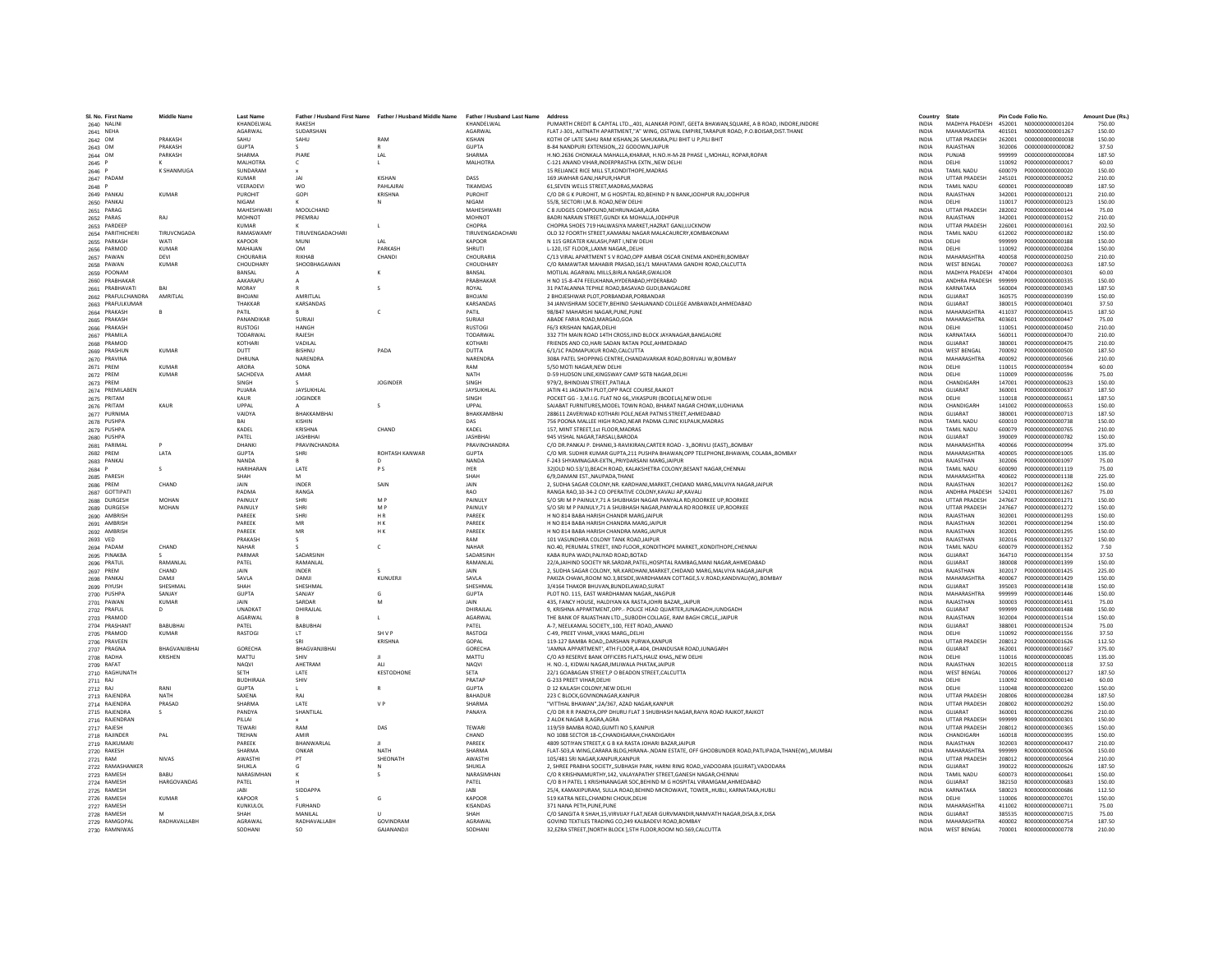| SI, No. First Name     | <b>Middle Name</b>          | <b>Last Name</b> |                    | Father / Husband First Name Father / Husband Middle Name | Father / Husband Last Name Address |                                                                                                   | Country                      | State                |                  | Pin Code Folio No. | Amount Due (Rs. |
|------------------------|-----------------------------|------------------|--------------------|----------------------------------------------------------|------------------------------------|---------------------------------------------------------------------------------------------------|------------------------------|----------------------|------------------|--------------------|-----------------|
| 2640 NALINI            |                             | KHANDELWAL       | RAKESH             |                                                          | KHANDELWAL                         | PUMARTH CREDIT & CAPITAL LTD., 401, ALANKAR POINT, GEETA BHAWAN, SQUARE, A B ROAD, INDORE, INDORE | <b>INDIA</b>                 | MADHYA PRADESH       |                  |                    | 750.00          |
| 2641 NEHA              |                             | AGARWAL          | SUDARSHAN          |                                                          | AGARWAL                            | FLAT J-301, AIITNATH APARTMENT,"A" WING, OSTWAL EMPIRE,TARAPUR ROAD, P.O.BOISAR,DIST.THANE        | <b>INDIA</b>                 | MAHARASHTRA          | 401501           | N00000000001267    | 150.00          |
| 2642 OM                | PRAKASH                     | SAHU             | SAHU               | RAM                                                      | KISHAN                             | KOTHI OF LATE SAHU RAM KISHAN, 26 SAHUKARA, PILI BHIT U P, PILI BHIT                              | <b>INDIA</b>                 | <b>UTTAR PRADESH</b> | 262001           | 0000000000000038   | 150.00          |
| 2643 OM                | PRAKASH                     | <b>GUPTA</b>     |                    |                                                          | <b>GUPTA</b>                       | B-84 NANDPURI EXTENSION22 GODOWN JAIPUR                                                           | <b>INDIA</b>                 | RAJASTHAN            | 302006           | 0000000000000082   | 37.50           |
| 2644 OM                | PARKASH                     | <b>SHARMA</b>    | PIARE              | LAL                                                      | <b>SHARMA</b>                      | H.NO.2636 CHONKALA MAHALLA, KHARAR, H.NO.H-M-28 PHASE I,, MOHALI, ROPAR, ROPAR                    | <b>INDIA</b>                 | PUNJAB               | 999999           | 0000000000000084   | 187.50          |
| 2645 P                 |                             | <b>MAI HOTRA</b> | $\epsilon$         |                                                          | MAI HOTRA                          | C-121 ANAND VIHAR.INDERPRASTHA EXTNNEW DELHI                                                      | <b>INDIA</b>                 | <b>DELHI</b>         | 110092           | P000000000000017   | 60.00           |
| 2646 P                 | K SHANMUGA                  | SUNDARAM         |                    |                                                          |                                    | 15 RELIANCE RICE MILL ST, KONDITHOPE, MADRAS                                                      | <b>INDIA</b>                 | <b>TAMIL NADU</b>    | 600079           | P000000000000020   | 150.00          |
| 2647 PADAM             |                             | <b>KUMAR</b>     |                    | KISHAN                                                   | DASS                               | 169 JAWHAR GANJ.HAPUR.HAPUR                                                                       | <b>INDIA</b>                 | <b>UTTAR PRADESH</b> | 245101           | P000000000000052   | 210.00          |
| 2648 P                 |                             | VEERADEV         | <b>WO</b>          | <b>PAHLAIRA</b>                                          | TIKAMDAS                           | 61.SEVEN WELLS STREET.MADRAS.MADRAS                                                               | <b>INDIA</b>                 | TAMIL NADU           | 600001           | P000000000000089   | 187.50          |
| 2649 PANKAJ            | KUMAR                       | PUROHIT          | GOPI               | KRISHNA                                                  | PUROHIT                            | C/O DR G K PUROHIT, M G HOSPITAL RD, BEHIND P N BANK, JODHPUR RAJ, JODHPUR                        | <b>INDIA</b>                 | RAJASTHAN            | 342001           | P000000000000121   | 210.00          |
| 2650 PANKA             |                             | <b>NIGAM</b>     |                    |                                                          | <b>NIGAM</b>                       | 55/8, SECTORI I, M.B. ROAD, NEW DELHI                                                             | <b>INDIA</b>                 | DELHI                | 110017           | P000000000000123   | 150.00          |
| 2651 PARAG             |                             | MAHESHWARI       | MOOLCHAND          |                                                          | MAHESHWARI                         | C 8 JUDGES COMPOUND, NEHRUNAGAR, AGRA                                                             | <b>INDIA</b>                 | <b>UTTAR PRADESH</b> | 282002           | P000000000000144   | 75.00           |
| 2652 PARAS             | RAI                         | MOHNOT           | PREMRAJ            |                                                          | <b>MOHNOT</b>                      | BADRI NARAIN STREET, GUNDI KA MOHALLA, JODHPUR                                                    | <b>INDIA</b>                 | RAJASTHAN            | 342001           | P000000000000152   | 210.00          |
| 2653 PARDEEP           |                             | KUMAR            |                    | $\blacksquare$                                           | CHOPRA                             | CHOPRA SHOES 719 HALWASIYA MARKET HAZRAT GANLLUCKNOW                                              | <b>INDIA</b>                 | <b>UTTAR PRADESH</b> | 226001           | P000000000000161   | 202.50          |
| 2654 PARITHICHER       | TIRUVCNGADA                 | <b>RAMASWAM</b>  | TIRUVENGADACHAR    |                                                          | TIRUVENGADACHAR                    | OLD 32 FOORTH STREET, KAMARAJ NAGAR MALACAURCRY, KOMBAKONAM                                       | INDIA                        | TAMIL NADU           | 612002           | P000000000000182   | 150.00          |
| 2655 PARKASH           | WAT                         | <b>KAPOOR</b>    | MUNI               | LAL                                                      | KAPOOR                             | N 115 GREATER KAILASH.PART I.NEW DELHI                                                            | <b>INDIA</b>                 | DELHI                | 999999           | P000000000000188   | 150.00          |
| 2656 PARMOD            | <b>KUMAR</b>                | MAHAJAN          | OM                 | PARKASH                                                  | <b>SHRUTI</b>                      | L-120. IST FLOORLAXMI NAGARDELHI                                                                  | <b>INDIA</b>                 | DELHI                | 110092           | P000000000000204   | 150.00          |
| 2657 PAWAN             | DEVI                        | CHOURARIA        | RIKHAR             | CHANDI                                                   | CHOURARIA                          | C/13 VIRAL APARTMENT S V ROAD, OPP AMBAR OSCAR CINEMA ANDHERI, BOMBAY                             | <b>INDIA</b>                 | MAHARASHTRA          | 400058           | P000000000000250   | 210.00          |
| 2658 PAWAN             | <b>KUMAR</b>                | CHOUDHAR'        | SHOOBHAGAWAN       |                                                          | CHOUDHAR                           | C/O RAMAWTAR MAHABIR PRASAD.161/1 MAHATAMA GANDHI ROAD.CALCUTTA                                   | <b>INDIA</b>                 | <b>WEST BENGAL</b>   | 700007           | P000000000000263   | 187.50          |
| 2659 POONAM            |                             | BANSAL           |                    |                                                          | BANSAL                             | MOTILAL AGARWAL MILLS.BIRLA NAGAR.GWALIOR                                                         | <b>INDIA</b>                 | MADHYA PRADESH       | 474004           | P000000000000301   | 60.00           |
| 2660 PRABHAKAR         |                             | AAKARAPL         |                    |                                                          | PRABHAKAR                          | H NO 15-8-474 FEELKHANA.HYDERABAD.HYDERABAD                                                       | <b>INDIA</b>                 | ANDHRA PRADESH       | 999999           | P000000000000335   | 150.00          |
| 2661 PRABHAVATI        | RAI                         | MORAY            |                    | s                                                        | ROYAL                              | 31 PATALANNA TEPHLE ROAD, BASAVAD GUDI, BANGALORE                                                 | <b>INDIA</b>                 | KARNATAKA            | 560004           | P000000000000343   | 187.50          |
| 2662 PRAFULCHANDRA     | AMRITLA                     | <b>BHOJANI</b>   | AMRITLAI           |                                                          | <b>BHOJAN</b>                      | 2 BHOJESHWAR PLOT, PORBANDAR, PORBANDAR                                                           | INDIA                        | GUJARAT              | 360575           | P000000000000399   | 150.00          |
| 2663 PRAFULKUMAR       |                             | THAKKAR          | KARSANDAS          |                                                          | KARSANDAS                          | 34 JANVISHRAM SOCIETY, BEHIND SAHAJANAND COLLEGE AMBAWADI, AHMEDABAD                              | <b>INDIA</b>                 | GUJARAT              | 380015           | P000000000000401   | 37.50           |
| 2664 PRAKASH           |                             | PATIL            |                    | c                                                        | PATIL                              | 98/847 MAHARSHI NAGAR.PUNE.PUNE                                                                   | <b>INDIA</b>                 | MAHARASHTRA          | 411037           | P000000000000415   | 187.50          |
| 2665 PRAKASH           |                             | PANANDIKAR       | SURIAJI            |                                                          | SURIAJI                            | ABADE FARIA ROAD.MARGAO.GOA                                                                       | <b>INDIA</b>                 | MAHARASHTRA          | 403601           | P000000000000447   | 75.00           |
| 2666 PRAKASH           |                             | <b>RUSTOGI</b>   | HANGH              |                                                          | <b>RUSTOG</b>                      | F6/3 KRISHAN NAGAR, DELHI                                                                         | INDIA                        | DELHI                | 110051           | P000000000000450   | 210.00          |
| 2667 PRAMILA           |                             | TODARWAL         | RAJESH             |                                                          | TODARWA                            | 332 7TH MAIN ROAD 14TH CROSS.IIND BLOCK JAYANAGAR.BANGALORE                                       | <b>INDIA</b>                 | KARNATAKA            | 560011           | P000000000000470   | 210.00          |
| 2668 PRAMOD            |                             | KOTHARI          | VADILAI            |                                                          | KOTHARI                            | FRIENDS AND CO.HARI SADAN RATAN POLE.AHMEDABAD                                                    | <b>INDIA</b>                 | <b>GUIARAT</b>       | 380001           | P0000000000000475  | 210.00          |
| 2669 PRASHUN           | KUMAR                       | <b>DUTT</b>      | <b>RISHNU</b>      | PADA                                                     | <b>DUTTA</b>                       | 6/1/1C PADMAPUKUR ROAD.CALCUTTA                                                                   | <b>INDIA</b>                 | <b>WEST RENGAL</b>   | 700092           | P000000000000500   | 187.50          |
| 2670 PRAVINA           |                             | <b>DHRUNA</b>    | NARENDRA           |                                                          | <b>NARENDRA</b>                    | 308A PATEL SHOPPING CENTRE, CHANDAVARKAR ROAD, BORIVALI W, BOMBAY                                 | <b>INDIA</b>                 | MAHARASHTRA          | 400092           | P000000000000566   | 210.00          |
| 2671 PREM              | <b>KUMAR</b>                | ARORA            | SONA               |                                                          | RAM                                | 5/50 MOTI NAGAR, NEW DELHI                                                                        | INDIA                        | DELHI                | 110015           | P000000000000594   | 60.00           |
|                        | KUMAR                       | <b>SACHDEVA</b>  | AMAR               |                                                          | <b>NATH</b>                        | D-59 HUDSON LINE.KINGSWAY CAMP SGTB NAGAR.DELHI                                                   | <b>INDIA</b>                 | <b>DELHI</b>         | 110009           | P000000000000596   | 75.00           |
| 2672 PREM<br>2673 PREM |                             | <b>SINGH</b>     |                    | <b>IOGINDER</b>                                          | <b>SINGH</b>                       | 979/2. BHINDIAN STREET.PATIALA                                                                    | <b>INDIA</b>                 | CHANDIGARH           | 147001           | P000000000000623   | 150.00          |
|                        |                             | PUJARA           | JAYSUKHLAL         |                                                          |                                    |                                                                                                   |                              | GUJARAT              |                  |                    | 187.50          |
| 2674 PREMILABEN        |                             |                  |                    |                                                          | JAYSUKHLAL                         | JATIN 41 JAGNATH PLOT, OPP RACE COURSE, RAJKOT                                                    | <b>INDIA</b>                 |                      | 360001           | P000000000000637   | 187.50          |
| 2675 PRITAM            |                             | KALIR            | <b>JOGINDER</b>    |                                                          | SINGH                              | POCKET GG - 3.M.I.G. FLAT NO 66., VIKASPURI (BODELA).NEW DELH                                     | <b>INDIA</b>                 | DELHI                | 110018           | P000000000000651   |                 |
| 2676 PRITAM            | KAUR                        | LIPPAL           |                    | s                                                        | UPPAL                              | SAJABAT FURNITURES, MODEL TOWN ROAD, BHARAT NAGAR CHOWK, LUDHIANA                                 | <b>INDIA</b>                 | CHANDIGARH           | 141002           | P000000000000653   | 150.00          |
| 2677 PURNIMA           |                             | VAIDYA           | BHAKKAMBHAI        |                                                          | BHAKKAMBHA                         | 288611 ZAVERIWAD KOTHARI POLE, NEAR PATNIS STREET, AHMEDABAD                                      | INDIA                        | GUJARAT              | 380001           | P000000000000713   | 187.50          |
| 2678 PUSHPA            |                             | RAI              | KISHIN             |                                                          | DAS                                | 756 POONA MALLEE HIGH ROAD.NEAR PADMA CLINIC KILPAUK.MADRAS                                       | <b>INDIA</b>                 | TAMIL NADU           | 600010           | P000000000000738   | 150.00          |
| 2679 PUSHPA            |                             | KADEL            | KRISHNA            | CHAND                                                    | KADEL                              | 157. MINT STREET.1st FLOOR.MADRAS                                                                 | <b>INDIA</b>                 | <b>TAMIL NADU</b>    | 600079           | P000000000000765   | 210.00          |
| 2680 PUSHPA            |                             | PATFI            | <b>IASHRHA</b>     |                                                          | <b>IASHRHAI</b>                    | 945 VISHAL NAGAR TARSALL BARODA                                                                   | <b>INDIA</b>                 | <b>GUIARAT</b>       | 390009           | P000000000000782   | 150.00          |
| 2681 PARIMA            |                             | DHANK            | PRAVINCHANDRA      |                                                          | <b>PRAVINCHANDRA</b>               | C/O DR.PANKAJ P. DHANKI,3-RAVIKIRAN,CARTER ROAD - 3,,BORIVLI (EAST),,BOMBAY                       | INDIA                        | MAHARASHTRA          | 400066           | P000000000000994   | 375.00          |
| 2682 PREM              | LATA                        | <b>GUPTA</b>     | SHRI               | ROHTASH KANWAR                                           | <b>GUPTA</b>                       | C/O MR. SUDHIR KUMAR GUPTA, 211 PUSHPA BHAWAN, OPP TELEPHONE, BHAWAN, COLABA,, BOMBAY             | <b>INDIA</b>                 | MAHARASHTRA          | 400005           | P000000000001005   | 135.00          |
| 2683 PANKA             |                             | <b>NANDA</b>     |                    | $\sqrt{2}$                                               | <b>NANDA</b>                       | F-243 SHYAMNAGAR-EXTN. PRIYDARSANI MARG JAIPUR                                                    | <b>INDIA</b>                 | RAIASTHAN            | 302006           | 2000000000001097   | 75.00           |
| 2684 P                 | s                           | <b>HARIHARAN</b> | <b>LATE</b>        | PS                                                       | <b>IYER</b>                        | 32(OLD NO.53/1), BEACH ROAD, KALAKSHETRA COLONY, BESANT NAGAR, CHENNAI                            | <b>INDIA</b>                 | TAMIL NADLI          | 600090           | P000000000001119   | 75.00           |
| 2685 PARESH            |                             | SHAH             |                    |                                                          | SHAH                               | 6/9.DAMANI EST., NAUPADA.THANE                                                                    | <b>INDIA</b>                 | MAHARASHTRA          | 400602           | P000000000001138   | 225.00          |
| 2686 PREM              | CHAND                       | <b>JAIN</b>      | INDER              | SAIN                                                     | JAIN                               | 2, SUDHA SAGAR COLONY, NR. KARDHANI, MARKET, CHIDAND MARG, MALVIYA NAGAR, JAIPUR                  | <b>INDIA</b>                 | RAJASTHAN            | 302017           | P000000000001262   | 150.00          |
| 2687 GOTTIPAT          |                             | PADMA            | RANGA              |                                                          | <b>RAO</b>                         | RANGA RAO.10-34-2 CO OPERATIVE COLONY.KAVALI AP.KAVALI                                            | <b>INDIA</b>                 | ANDHRA PRADESH       | 524201           | P000000000001267   | 75.00           |
| 2688 DURGESH           | MOHAN                       | <b>PAINULY</b>   | SHRI               | M <sub>D</sub>                                           | <b>PAINLILY</b>                    | S/O SRI M P PAINULY, 71 A SHUBHASH NAGAR PANYALA RD, ROORKEE UP, ROORKEE                          | <b>INDIA</b>                 | <b>UTTAR PRADESH</b> | 247667           | P000000000001271   | 150.00          |
| 2689 DURGESH           | <b>MOHAN</b>                | PAINUL'          | SHRI               | M <sub>P</sub>                                           | PAINULY                            | S/O SRI M P PAINULY, 71 A SHUBHASH NAGAR, PANYALA RD ROORKEE UP, ROORKEE                          | INDIA                        | <b>UTTAR PRADESH</b> | 247667           | P000000000001272   | 150.00          |
| 2690 AMBRISH           |                             | PAREEK           | SHRI               | HR.                                                      | PAREEK                             | H NO 814 BABA HARISH CHANDR MARGJAIPUR                                                            | <b>INDIA</b>                 | RAJASTHAN            | 302001           | P000000000001293   | 150.00          |
| 2691 AMBRISH           |                             | PAREEK           | MR                 | HK.                                                      | PAREEK                             | H NO 814 BABA HARISH CHANDRA MARG.JAIPUI                                                          | <b>INDIA</b>                 | RAJASTHAN            | 302001           | P000000000001294   | 150.00          |
| 2692 AMBRISH           |                             | PAREEK           | MR                 | H K                                                      | PAREEK                             | H NO 814 BABA HARISH CHANDRA MARG, JAIPUR                                                         | <b>INDIA</b>                 | RAJASTHAN            | 302001           | P000000000001295   | 150.00          |
| 2693 VED               |                             | PRAKASH          |                    |                                                          | RAM                                | 101 VASUNDHRA COLONY TANK ROAD JAIPUR                                                             | INDIA                        | RAJASTHAN            | 302016           | P000000000001327   | 150.00          |
| 2694 PADAM             | CHAND                       | <b>NAHAR</b>     |                    | c                                                        | NAHAF                              | NO.40, PERUMAL STREET, IIND FLOOR,, KONDITHOPE MARKET,, KONDITHOPE, CHENNAI                       | <b>INDIA</b>                 | TAMIL NADU           | 600079           | P000000000001352   | 7.50            |
| 2695 PINAKBA           |                             | PARMAR           | SADARSINH          |                                                          | SADARSINE                          | KARA RUPA WADI PALIYAD ROAD ROTAD                                                                 | <b>INDIA</b>                 | <b>GUIARAT</b>       | 364710           | P000000000001354   | 37.50           |
| 2696 PRATUL            | RAMANLAL                    | PATEL            | RAMANLAL           |                                                          | RAMANLAL                           | 22/A,JAIHIND SOCIETY NR.SARDAR,PATEL,HOSPITAL RAMBAG,MANI NAGAR,AHMEDABAD                         | <b>INDIA</b>                 | <b>GUJARAT</b>       | 380008           | P000000000001399   | 150.00          |
| 2697 PREM              | CHAND                       | JAIN             | INDER              |                                                          |                                    | 2. SUDHA SAGAR COLONY, NR.KARDHANI.MARKET.CHIDAND MARG.MALVIYA NAGAR.JAIPUI                       | <b>INDIA</b>                 | RAJASTHAN            | 302017           | P000000000001425   | 225.00          |
| 2698 PANKA             | DAMIL                       | SAVLA            | DAMIL              | KUNUERJI                                                 | SAVLA                              | PAKIZA CHAWL,ROOM NO.3,BESIDE,WARDHAMAN COTTAGE,S.V.ROAD,KANDIVALI(W),,BOMBAY                     | <b>INDIA</b>                 | MAHARASHTRA          | 400067           | P000000000001429   | 150.00          |
| 2699 PIYUSH            | SHESHMAL                    | SHAH             | SHESHMAL           |                                                          | SHESHMAL                           | 3/4164 THAKOR BHUVAN.BUNDELAWAD.SURAT                                                             | <b>INDIA</b>                 | <b>GUIARAT</b>       | 395003           | P000000000001438   | 150.00          |
| 2700 PUSHP/            | SANIAY                      | GUPTA            | SANJAY             | G                                                        | <b>GUPTA</b>                       | PLOT NO. 115, EAST WARDHAMAN NAGAR,, NAGPUR                                                       | <b>INDIA</b>                 | <b>MAHARASHTRA</b>   | 999999           | P000000000001446   | 150.00          |
| 2701 PAWAN             | <b>KUMAR</b>                | JAIN             | SARDAR             |                                                          | JAIN                               | 435, FANCY HOUSE, HALDIYAN KA RASTA, JOHRI BAZAR, JAIPUR                                          | <b>INDIA</b>                 | RAJASTHAN            | 300003           | P000000000001451   | 75.00           |
| 2702 PRAFUL            | D.                          | UNADKAT          | DHIRAILAL          |                                                          | DHIRAJLAL                          | 9. KRISHNA APPARTMENT.OPP .- POLICE HEAD QUARTER JUNAGADH JUNDGADH                                | <b>INDIA</b>                 | GUJARAT              | 999999           | P000000000001488   | 150.00          |
| 2703 PRAMOD            |                             | <b>AGARWAL</b>   |                    |                                                          | <b>AGARWAI</b>                     | THE RANK OF RAIASTHAN LTD. SURODH COLLAGE, RAM RAGH CIRCLE, JAIPUR                                | <b>INDIA</b>                 | RAIASTHAN            | 302004           | P000000000001514   | 150.00          |
| 2704 PRASHANT          | <b>BABUBHAI</b>             | PATEL            | <b>BABUBHA</b>     |                                                          | PATEL                              | A-7, NEELKAMAL SOCIETY,,100, FEET ROAD,,ANAND                                                     | INDIA                        | GUJARAT              | 388001           | P000000000001524   | 75.00           |
| 2705 PRAMOD            | <b>KUMAR</b>                | RASTOGI          | LT.                | SH V P                                                   | RASTOG                             | C-49, PREET VIHAR., VIKAS MARG., DELH                                                             | <b>INDIA</b>                 | DELHI                | 110092           | P000000000001556   | 37.50           |
| 2706 PRAVEEN           |                             |                  | SRI                | KRISHNA                                                  | GOPAL                              | 119-127 BAMBA ROAD. DARSHAN PURWA. KANPUR                                                         | <b>INDIA</b>                 | <b>UTTAR PRADESH</b> | 208012           | P000000000001626   | 112.50          |
| 2707 PRAGNA            | <b><i>RHAGVANIIRHAI</i></b> | GORECHA          | RHAGVANIIRHAI      |                                                          | GORECHA                            | 'JAMNA APPARTMENT', 4TH FLOOR, A-404, DHANDUSAR ROAD, JUNAGARH                                    | <b>INDIA</b>                 | <b>GUIARAT</b>       | 362001           | P000000000001667   | 375.00          |
| 2708 RADHA             | KRISHEN                     | MATTU            | SHIV               |                                                          | MATTU                              | C/O A9 RESERVE BANK OFFICERS FLATS.HAUZ KHASNEW DELH                                              | <b>INDIA</b>                 | DELHI                | 110016           | R000000000000085   | 135.00          |
| 2709 RAFAT             |                             | <b>NAQVI</b>     | AHETRAN            | ALI                                                      | <b>NAQVI</b>                       | H. NO.-1, KIDWAI NAGAR,IMLIWALA PHATAK,JAIPUR                                                     | <b>INDIA</b>                 | RAJASTHAN            | 302015           | R000000000000118   | 37.50           |
| 2710 RAGHUNATH         |                             | <b>SFTH</b>      | LATE               | KESTODHONE                                               | <b>SFTA</b>                        | 22/1 GOABAGAN STREET.P O BEADON STREET.CALCUTTA                                                   | <b>INDIA</b>                 | <b>WEST BENGAL</b>   | 700006           | B000000000000127   | 187.50          |
| 2711 RAJ               |                             | <b>BUDHIRAJA</b> | SHIV               |                                                          | PRATAP                             | G-233 PREET VIHAR DELHI                                                                           | <b>INDIA</b>                 | DELHI                | 110092           | R000000000000140   | 60.00           |
| 2712 RAJ               | RANI                        | <b>GUPTA</b>     |                    |                                                          | <b>GUPTA</b>                       | D 12 KAILASH COLONY, NEW DELH                                                                     | <b>INDIA</b>                 | DELHI                | 110048           | R000000000000200   | 150.00          |
| 2713 RAJENDRA          | <b>NATH</b>                 | SAXENA           | RAI                |                                                          | BAHADUF                            | 223 C BLOCK, GOVINDNAGAR, KANPUR                                                                  | INDIA                        | <b>UTTAR PRADESH</b> | 208006           | B000000000000284   | 187.50          |
| 2714 RAJENDRA          | PRASAD                      | <b>SHARMA</b>    | LATE               | V <sub>p</sub>                                           | SHARMA                             | "VITTHAL BHAWAN".2A/367, AZAD NAGAR.KANPUR                                                        | <b>INDIA</b>                 | <b>UTTAR PRADESH</b> | 208002           | R000000000000292   | 150.00          |
| 2715 RAJENDRA          | s                           | PANDYA           | SHANTILAL          |                                                          | PANAYA                             | C/O DR R R PANDYA, OPP DHURU FLAT 3 SHUBHASH NAGAR, RAIYA ROAD RAJKOT, RAJKOT                     | <b>INDIA</b>                 | GUIARAT              | 360001           | R000000000000296   | 210.00          |
| 2716 RAJENDRAM         |                             | PILLAI           |                    |                                                          |                                    | 2 ALOK NAGAR B, AGRA, AGRA                                                                        | INDIA                        | <b>UTTAR PRADESH</b> | 999999           | R000000000000301   | 150.00          |
| 2717 RAJESH            |                             | TEWARI           | RAM                | DAS                                                      | TFWARI                             | 119/59 BAMBA ROAD.GUMTI NO 5.KANPUR                                                               |                              | <b>UTTAR PRADESH</b> |                  | B000000000000365   | 150.00          |
|                        | PAI                         | TREHAN           | AMIR               |                                                          | CHAND                              | NO 1088 SECTOR 18-C CHANDIGARAH CHANDIGARH                                                        | <b>INDIA</b><br><b>INDIA</b> | CHANDIGARH           | 208012<br>160018 | B000000000000395   | 150.00          |
| 2718 RAJINDER          |                             | PAREEK           | <b>RHANWARI AI</b> |                                                          | PAREEK                             | 4809 SOTIYAN STREET, K G B KA RASTA JOHARI BAZAR, JAIPUR                                          | <b>INDIA</b>                 | RAJASTHAN            | 302003           | R000000000000437   | 210.00          |
| 2719 RAJKUMARI         |                             | <b>SHARMA</b>    | ONKAP              | NATH                                                     | SHARM/                             |                                                                                                   | INDIA                        | MAHARASHTRA          | 999999           | R000000000000506   | 150.00          |
| 2720 RAKESH            |                             |                  |                    |                                                          |                                    | FLAT-503,A WING,CARARA BLDG,HIRANA-,NDANI ESTATE, OFF GHODBUNDER ROAD,PATLIPADA,THANE(W),,MUMBAI  |                              |                      |                  |                    |                 |
| 2721 RAM               | <b>NIVAS</b>                | AWASTH           | PT                 | SHEONATH                                                 | AWASTH                             | 105/481 SRI NAGAR.KANPUR.KANPUR                                                                   | INDIA                        | <b>UTTAR PRADESH</b> | 208012           | R000000000000564   | 210.00          |
| 2722 RAMASHANKER       | RABIL                       | <b>SHUKLA</b>    | G                  | N                                                        | <b>SHUKLA</b>                      | 2. SHREE PRABHA SOCIETYSUBHASH PARK, HARNI RING ROADVADODARA (GUIRAT).VADODARA                    | <b>INDIA</b>                 | <b>GUIARAT</b>       | 390022           | B000000000000626   | 187.50          |
| 2723 RAMESH            |                             | NARASIMHAN       |                    |                                                          | NARASIMHAN                         | C/O R KRISHNAMURTHY,142, VALAYAPATHY STREET, GANESH NAGAR, CHENNAI                                | <b>INDIA</b>                 | TAMIL NADLI          | 600073           | R000000000000641   | 150.00          |
| 2724 RAMESH            | <b>HARGOVANDAS</b>          | PATEL            |                    |                                                          | PATEL                              | C/O B H PATEL 1 KRISHNANAGAR SOC.BEHIND M G HOSPITAL VIRAMGAM.AHMEDABAI                           | <b>INDIA</b>                 | GUJARAT              | 382150           | R00000000000683    | 150.00          |
| 2725 RAMESH            |                             | <b>JARI</b>      | SIDDAPPA           |                                                          | <b>IARI</b>                        | 25/4, KAMAXIPURAM, SULLA ROAD.BEHIND MICROWAVE, TOWER., HUBLI, KARNATAKA, HUBLI                   | <b>INDIA</b>                 | KARNATAKA            | 580023           | B000000000000686   | 112.50          |
| 2726 RAMESH            | KUMAR                       | KAPOOR           |                    | G                                                        | KAPOOR                             | 519 KATRA NEEL.CHANDNI CHOUK.DELHI                                                                | <b>INDIA</b>                 | <b>DELHI</b>         | 110006           | B000000000000701   | 150.00          |
| 2727 RAMESH            |                             | <b>KUNKULO</b>   | <b>FURHAND</b>     |                                                          | <b>KISANDAS</b>                    | 371 NANA PETH, PUNE, PUNE                                                                         | <b>INDIA</b>                 | <b>MAHARASHTRA</b>   | 411002           | R000000000000711   | 75.00           |
| 2728 RAMESH            | M                           | SHAH             | MANILAL            |                                                          | SHAH                               | C/O SANGITA R SHAH,15, VIRVIJAY FLAT, NEAR GURVMANDIR, NAMVATH NAGAR, DISA, B.K, DISA             | INDIA                        | GUJARAT              | 385535           | R000000000000715   | 75.00           |
| 2729 RAMGOPAL          | RADHAVALLABH                | AGRAWAL          | RADHAVALLABH       | GOVINDRAM                                                | AGRAWAI                            | GOVIND TEXTILES TRADING CO.249 KALBADEVI ROAD.BOMBAY                                              | <b>INDIA</b>                 | MAHARASHTRA          | 400002           | R00000000000754    | 187.50          |
| 2730 RAMNIWAS          |                             | SODHANI          | SO.                | <b>GAIANANDIL</b>                                        | SODHANI                            | 32.EZRA STREET.INORTH BLOCK 1.5TH FLOOR.ROOM NO.569.CALCUTTA                                      | <b>INDIA</b>                 | <b>WEST RENGAL</b>   | 700001           | 8000000000000778   | 210.00          |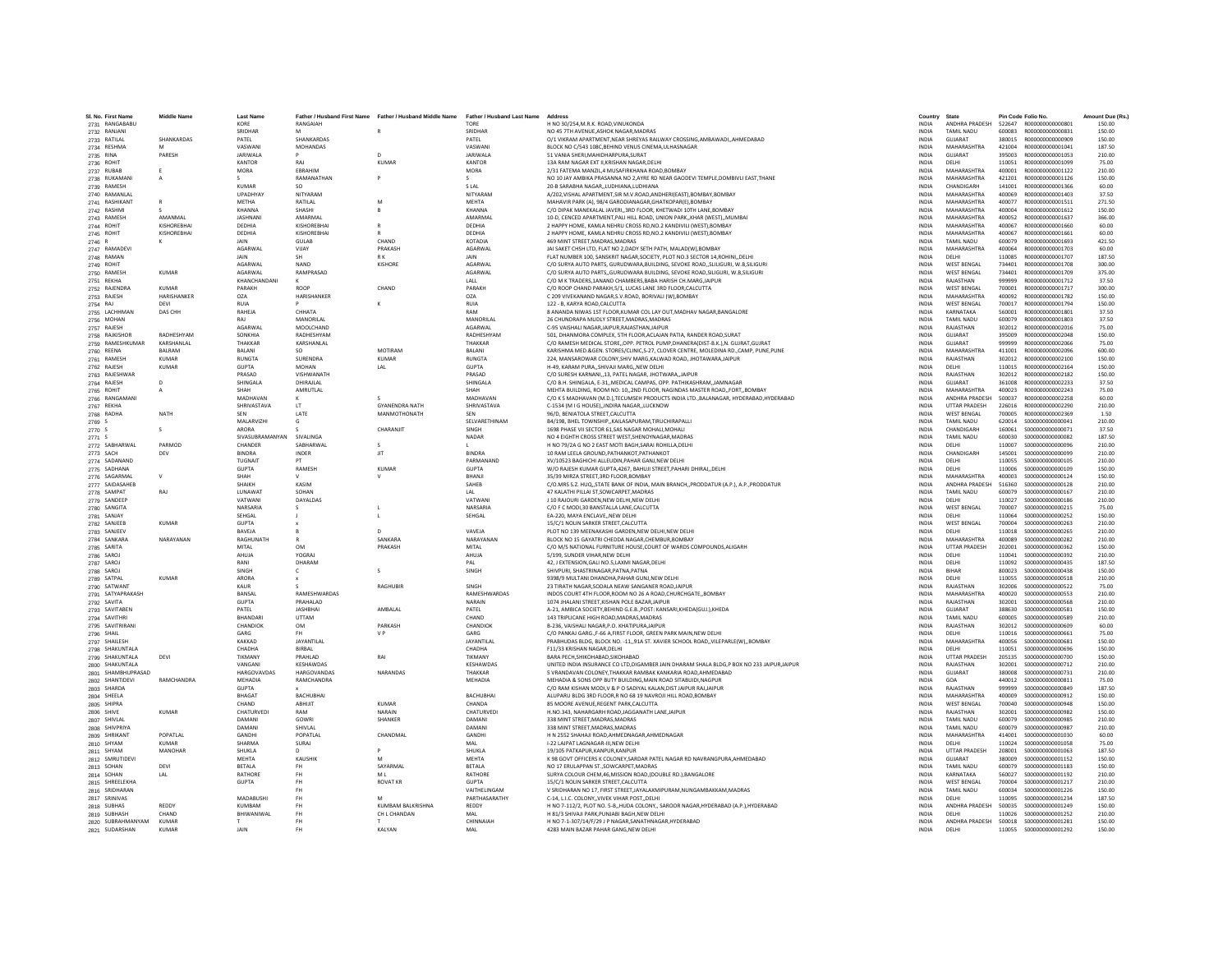| SI. No. First Na<br>2731 RANGABABU |                    | KORE                             | <b>Husband First Name</b><br>RANGAIAH | Father / Husband Middle Name | <b>Father / Husband Last Name</b><br>TORE | H NO 30/254, M.R.K. ROAD, VINUKONDA                                                                                                          | Country<br><b>INDIA</b>      | ANDHRA PRADESH                           | 522647           | R000000000000801                       | 150.00           |
|------------------------------------|--------------------|----------------------------------|---------------------------------------|------------------------------|-------------------------------------------|----------------------------------------------------------------------------------------------------------------------------------------------|------------------------------|------------------------------------------|------------------|----------------------------------------|------------------|
| 2732 RANJANI                       |                    | SRIDHAR                          |                                       |                              | SRIDHAF                                   | NO 45 7TH AVENUE.ASHOK NAGAR.MADRAS                                                                                                          | <b>INDIA</b>                 | <b>TAMIL NADU</b>                        | 600083           | R000000000000831                       | 150.00           |
| 2733 RATILAL                       | SHANKARDAS         | PATEL                            | SHANKARDAS                            |                              | PATEL                                     | O/1 VIKRAM APARTMENT.NEAR SHREYAS RAILWAY CROSSING AMBAWADIAHMEDABAD                                                                         | <b>INDIA</b>                 | <b>GUJARAT</b>                           | 380015           | R000000000000909                       | 150.00           |
| 2734 RESHMA                        |                    | VASWAN                           | <b>MOHANDAS</b>                       |                              | VASWANI                                   | BLOCK NO C/543 108C.BEHIND VENUS CINEMA.ULHASNAGAR                                                                                           | <b>INDIA</b>                 | MAHARASHTRA                              | 421004           | B000000000001041                       | 187.50           |
|                                    | PARESH             | <b>JARIWALA</b>                  |                                       | $\mathbf{D}$                 | <b>JARIWALA</b>                           | 51 VANIA SHERI, MAHIDHARPURA, SURAT                                                                                                          | <b>INDIA</b>                 | GUIARAT                                  | 395003           | R000000000001053                       | 210.00           |
| 2735 RINA<br>2736 ROHIT            |                    | KANTOR                           | RAJ                                   | <b>KUMAF</b>                 | KANTOR                                    | 13A RAM NAGAR EXT II, KRISHAN NAGAR, DELHI                                                                                                   | <b>INDIA</b>                 | DELHI                                    | 110051           | R000000000001099                       | 75.00            |
| 2737 RUBAB                         |                    | <b>MORA</b>                      | FRRAHIM                               |                              | <b>MORA</b>                               | 2/31 FATEMA MANZIL.4 MUSAFIRKHANA ROAD.BOMBAY                                                                                                | <b>INDIA</b>                 | MAHARASHTRA                              | 400001           | R000000000001122                       | 210.00           |
| 2738 RUKAMANI                      | $\mathsf{A}$       | $\sim$                           | RAMANATHAN                            |                              |                                           | NO 10 JAY AMBIKA PRASANNA NO 2, AYRE RD NEAR GAODEVI TEMPLE, DOMBIVLI EAST, THANE                                                            | <b>INDIA</b>                 | MAHARASHTRA                              | 421201           | R000000000001126                       | 150.00           |
| 2739 RAMESH                        |                    | KUMAR                            | SO.                                   |                              | <b>SLAL</b>                               | 20-B SARABHA NAGAR, ,LUDHIANA, LUDHIANA                                                                                                      | <b>INDIA</b>                 | CHANDIGARH                               | 141001           | R000000000001366                       | 60.00            |
| 2740 RAMANLAI                      |                    | <b>UPADHYAY</b>                  | <b>NITYARAM</b>                       |                              | NITYARAM                                  | A/202, VISHAL APARTMENT, SIR M.V.ROAD, ANDHERI (EAST), BOMBAY, BOMBAY                                                                        | <b>INDIA</b>                 | MAHARASHTRA                              | 400069           | R000000000001403                       | 37.50            |
| 2741 RASHIKANT                     | R                  | METHA                            | RATILAL                               | M                            | <b>MEHTA</b>                              | MAHAVIR PARK (A), 98/4 GARODIANAGAR, GHATKOPAR(E), BOMBAY                                                                                    | <b>INDIA</b>                 | MAHARASHTRA                              | 400077           | R000000000001511                       | 271.50           |
|                                    |                    | KHANNA                           | SHASHI                                |                              | KHANNA                                    |                                                                                                                                              | <b>INDIA</b>                 | MAHARASHTRA                              | 400004           | R000000000001612                       | 150.00           |
| 2742 RASHMI<br>2743 RAMESH         | AMANMAL            | <b>JASHNAN</b>                   | AMARMAI                               |                              | AMARMAL                                   | C/O DIPAK MANEKALAL JAVERI,,3RD FLOOR, KHETWADI 10TH LANE,BOMBAY<br>10-D, CENCED APARTMENT, PALI HILL ROAD, UNION PARK,, KHAR (WEST),, MUMBA | INDIA                        | MAHARASHTRA                              | 400052           | R000000000001637                       | 366.00           |
| 2744 ROHIT                         | KISHOREBHAI        | DEDHIA                           | KISHOREBHA                            |                              | DEDHIA                                    | 2 HAPPY HOME, KAMLA NEHRU CROSS RD.NO.2 KANDIVILI (WEST).BOMBAY                                                                              | <b>INDIA</b>                 | MAHARASHTRA                              | 400067           | R000000000001660                       | 60.00            |
|                                    | KISHORFRHAI        | DEDHIA                           | KISHORFRHAI                           |                              | DEDHIA                                    |                                                                                                                                              | <b>INDIA</b>                 | MAHARASHTRA                              | 400067           | R000000000001661                       | 60.00            |
| 2745 ROHIT                         |                    | <b>JAIN</b>                      | <b>GUIAR</b>                          | CHAND                        | KOTADIA                                   | 2 HAPPY HOME, KAMLA NEHRU CROSS RD, NO.2 KANDIVILI (WEST), BOMBAY<br>469 MINT STREET.MADRAS.MADRAS                                           | <b>INDIA</b>                 | TAMIL NADLI                              | 600079           | R000000000001693                       | 421.50           |
| 2746 R                             |                    | AGARWAL                          | VUAY                                  | PRAKASH                      | <b>AGARWA</b>                             | JAI SAKET CHSH LTD. FLAT NO 2.DADY SETH PATH. MALAD(W).BOMBAY                                                                                | <b>INDIA</b>                 | MAHARASHTRA                              | 400064           | R000000000001703                       | 60.00            |
| 2747 RAMADEVI                      |                    | <b>JAIN</b>                      |                                       | R K                          |                                           |                                                                                                                                              |                              | <b>DELHI</b>                             | 110085           | B000000000001707                       | 187.50           |
| 2748 RAMAN                         |                    |                                  | <b>SH</b>                             |                              | <b>JAIN</b>                               | FLAT NUMBER 100, SANSKRIT NAGAR, SOCIETY, PLOT NO.3 SECTOR 14, ROHINI, DELHI                                                                 | INDIA                        |                                          |                  |                                        |                  |
| 2749 ROHIT                         | KUMAR              | <b>AGARWAL</b><br><b>AGARWAI</b> | <b>NAND</b><br>RAMPRASAD              | <b>KISHORE</b>               | <b>AGARWAI</b><br>AGARWA                  | C/O SURYA AUTO PARTS, GURUDWARA BUILDING, SEVOKE ROAD. SLILIGURI, W.B.SILIGUR                                                                | <b>INDIA</b><br><b>INDIA</b> | <b>WEST RENGAL</b><br><b>WEST BENGAL</b> | 734401<br>734401 | B000000000001708                       | 300.00<br>375.00 |
| 2750 RAMESH                        |                    |                                  |                                       |                              |                                           | C/O SURYA AUTO PARTS,, GURUDWARA BUILDING, SEVOKE ROAD, SILIGURI, W.B, SILIGURI                                                              |                              |                                          |                  | R000000000001709                       |                  |
| 2751 REKHA                         |                    | KHANCHANDANI                     |                                       |                              | LALL                                      | C/O M K TRADERS, 1ANAND CHAMBERS, BABA HARISH CH. MARG, JAIPUF                                                                               | INDIA                        | RAJASTHAN                                | 999999           | R000000000001712                       | 37.50            |
| 2752 RAJENDRA                      | KUMAR              | PARAKH                           | ROOP                                  | CHAND                        | PARAKH                                    | C/O ROOP CHAND PARAKH.5/1, LUCAS LANE 3RD FLOOR.CALCUTTA                                                                                     | <b>INDIA</b>                 | <b>WEST BENGAL</b>                       | 700001           | R000000000001717                       | 300.00           |
| 2753 RAJESH                        | <b>HARISHANKER</b> | O <sub>7</sub> A                 | <b>HARISHANKER</b>                    |                              | OZA                                       | C 209 VIVEKANAND NAGAR.S.V.ROAD, BORIVALI (W).BOMBAY                                                                                         | <b>INDIA</b>                 | MAHARASHTRA                              | 400092           | B000000000001782                       | 150.00           |
| 2754 RAJ                           | DEVI               | <b>RUIA</b>                      |                                       |                              | <b>RUIA</b>                               | 122 - B, KARYA ROAD,CALCUTTA                                                                                                                 | INDIA                        | <b>WEST BENGAL</b>                       | 700017           | R000000000001794                       | 150.00           |
| 2755 LACHHMAN                      | DAS CHI-           | RAHEJA                           | CHHATA                                |                              | RAM                                       | 8 ANANDA NIWAS 1ST FLOOR.KUMAR COL LAY OUT.MADHAV NAGAR.BANGALORE                                                                            | <b>INDIA</b>                 | KARNATAKA                                | 560001           | R000000000001801                       | 37.50            |
| 2756 MOHAN                         |                    | RAJ                              | MANORILAL                             |                              | MANORILAL                                 | 26 CHUNDRAPA MUDLY STREET.MADRAS.MADRAS                                                                                                      | <b>INDIA</b>                 | <b>TAMIL NADU</b>                        | 600079           | R000000000001803                       | 37.50            |
| 2757 RAJESH                        |                    | <b>AGARWAL</b>                   | MOOLCHAND                             |                              | AGARWAI                                   | C-95 VAISHALI NAGAR JAIPUR RAJASTHAN JAIPUR                                                                                                  | <b>INDIA</b>                 | RAIASTHAN                                | 302012           | B000000000002016                       | 75.00            |
| 2758 RAJKISHOF                     | RADHESHYAN         | <b>SONKHIA</b>                   | RADHESHYAM                            |                              | RADHESHYAM                                | 501. DHANMORA COMPLEX. 5TH FLOOR ACLAJAN PATIA. RANDER ROAD.SURAT                                                                            | <b>INDIA</b>                 | GUJARAT                                  | 395009           | R000000000002048                       | 150.00           |
| 2759 RAMESHKUMAR                   | KARSHANLAL         | THAKKAR                          | KARSHANLAL                            |                              | THAKKAR                                   | C/O RAMESH MEDICAL STORE, OPP. PETROL PUMP, DHANERA(DIST-B.K.), N. GUJRAT, GUJRAT                                                            | <b>INDIA</b>                 | GUJARAT                                  | 999999           | R00000000002066                        | 75.00            |
| 2760 REENA                         | BALRAM             | <b>BALANI</b>                    | SO.                                   | MOTIRAM                      | BALANI                                    | KARISHMA MED.&GEN. STORES/CLINIC.S-27, CLOVER CENTRE, MOLEDINA RD.,CAMP, PUNE,PUNE                                                           | <b>INDIA</b>                 | MAHARASHTRA                              | 411001           | B000000000002096                       | 600.00           |
| 2761 RAMESH                        | KUMAR              | <b>RUNGTA</b>                    | <b>SURENDRA</b>                       | <b>KUMAR</b>                 | <b>RUNGTA</b>                             | 224. MANSAROWAR COLONY.SHIV MARG.KALWAD ROAD, JHOTAWARA JAIPUR                                                                               | <b>INDIA</b>                 | RAIASTHAN                                | 302012           | R00000000002100                        | 150.00           |
| 2762 RAJESH                        | <b>KUMAR</b>       | <b>GUPTA</b>                     | MOHAN                                 | LAL                          | <b>GUPTA</b>                              | H-49, KARAM PURA, SHIVAJI MARG, NEW DELHI                                                                                                    | INDIA                        | DELHI                                    | 110015           | R000000000002164                       | 150.00           |
| 2763 RAJESHWAR                     |                    | PRASAD                           | VISHWANATH                            |                              | PRASAD                                    | C/O SURESH KARNANI13. PATEL NAGAR, JHOTWARA.,JAIPUR                                                                                          | <b>INDIA</b>                 | RAJASTHAN                                | 302012           | B000000000002182                       | 150.00           |
| 2764 RAJESH                        | D                  | SHINGALA                         | DHIRAILAL                             |                              | SHINGALA                                  | C/O B.H. SHINGALA, E-31., MEDICAL CAMPAS, OPP, PATHIKASHRAM. JAMNAGAR                                                                        | <b>INDIA</b>                 | GUJARAT                                  | 361008           | R000000000002233                       | 37.50            |
| 2765 ROHIT                         |                    | SHAH                             | AMRUTLAL                              |                              | SHAH                                      | MEHTA BUILDING, ROOM NO: 10,,2ND FLOOR, NAGINDAS MASTER ROAD,,FORT,,BOMBAY                                                                   | <b>INDIA</b>                 | MAHARASHTRA                              | 400023           | R000000000002243                       | 75.00            |
| 2766 RANGAMANI                     |                    | MADHAVAI                         |                                       |                              | <b>MADHAVAN</b>                           | C/O K S MADHAVAN (M.D.), TECUMSEH PRODUCTS INDIA LTD., BALANAGAR, HYDERABAD, HYDERABAD                                                       | <b>INDIA</b>                 | <b>ANDHRA PRADESH</b>                    | 500037           | R00000000002258                        | 60.00            |
| 2767 REKHA                         |                    | SHRIVASTAVA                      | LT                                    | <b>GYANENDRA NATH</b>        | SHRIVASTAVA                               | C-1534 (M I G HOUSE) INDIRA NAGAR LUCKNOW                                                                                                    | <b>INDIA</b>                 | <b>UTTAR PRADESH</b>                     | 226016           | R000000000002290                       | 210.00           |
| 2768 RADHA                         | <b>NATH</b>        | SFN                              | <b>LATE</b>                           | MANMOTHONATH                 | SEN                                       | 96/D RENIATOLA STREET CALCUTTA                                                                                                               | <b>INDIA</b>                 | <b>WEST RENGAL</b>                       | 700005           | B000000000002369                       | 1.50             |
| 2769 S                             |                    | MAI ARVIZH                       |                                       |                              | SELVARETHINAM                             | B4/198, BHEL TOWNSHIP,, KAILASAPURAM, TIRUCHIRAPALLI                                                                                         | <b>INDIA</b>                 | TAMIL NADLI                              | 620014           | \$000000000000041                      | 210.00           |
| 2770 S                             | s                  | ARORA                            |                                       | CHARANJIT                    | SINGH                                     | 1698 PHASE VII SECTOR 61, SAS NAGAR MOHALI, MOHALI                                                                                           | <b>INDIA</b>                 | CHANDIGARH                               | 160061           | \$000000000000071                      | 37.50            |
| 2771 S                             |                    | SIVASUBRAMANYAN                  | <b>SIVALINGA</b>                      |                              | <b>NADAF</b>                              | NO 4 EIGHTH CROSS STREET WEST.SHENOYNAGAR.MADRAS                                                                                             | <b>INDIA</b>                 | <b>TAMIL NADU</b>                        | 600030           | \$000000000000082                      | 187.50           |
| 2772 SABHARWAL                     | PARMOD             | CHANDER                          | SABHARWAL                             |                              |                                           | H NO 79/2A G NO 2 EAST MOTI BAGH, SARAI ROHILLA, DELHI                                                                                       | <b>INDIA</b>                 | <b>DELHI</b>                             | 110007           | \$000000000000096                      | 210.00           |
| 2773 SACH                          | DEV                | <b>BINDRA</b>                    | INDER                                 | JIT                          | <b>BINDRA</b>                             | 10 RAM LEELA GROUND, PATHANKOT, PATHANKOT                                                                                                    | INDIA                        | CHANDIGARH                               | 145001           | \$000000000000099                      | 210.00           |
| 2774 SADANAND                      |                    | TUGNAIT                          |                                       |                              | PARMANAND                                 | XV/10523 BAGHICHI ALLEUDIN.PAHAR GANJ.NEW DELHI                                                                                              | <b>INDIA</b>                 | <b>DELHI</b>                             | 110055           | \$000000000000105                      | 210.00           |
| 2775 SADHANA                       |                    | <b>GUPTA</b>                     | RAMESH                                | <b>KUMAF</b>                 | <b>GUPTA</b>                              | W/O RAJESH KUMAR GUPTA.4267, BAHUJI STREET, PAHARI DHIRAJ., DELHI                                                                            | <b>INDIA</b>                 | DELHI                                    | 110006           | \$000000000000109                      | 150.00           |
| 2776 SAGARMAL                      | $\vee$             | SHAH                             |                                       |                              | <b>BHANI</b>                              | 35/39 MIRZA STREET.3RD FLOOR.BOMBAY                                                                                                          | <b>INDIA</b>                 | MAHARASHTRA                              | 400003           | \$000000000000124                      | 150.00           |
| 2777 SAIDASAHEE                    |                    | SHAIKH                           | KASIM                                 |                              | SAHEB                                     | C/O.MRS S.Z. HUQ,,STATE BANK OF INDIA, MAIN BRANCH,,PRODDATUR (A.P.), A.P.,PRODDATUR                                                         | INDIA                        | ANDHRA PRADESH                           | 516360           | S000000000000128                       | 210.00           |
| 2778 SAMPAT                        | RAJ                | LUNAWAT                          | SOHAN                                 |                              | LAL                                       | 47 KALATHI PILLAI ST.SOWCARPET.MADRAS                                                                                                        | <b>INDIA</b>                 | TAMIL NADU                               | 600079           | \$000000000000167                      | 210.00           |
| 2779 SANDEEP                       |                    | VATWAN                           | <b>DAYALDAS</b>                       |                              | VATWANI                                   | L10 RAIOURI GARDEN NEW DELHI NEW DELHI                                                                                                       | <b>INDIA</b>                 | <b>DELHI</b>                             | 110027           | \$000000000000186                      | 210.00           |
| 2780 SANGITA                       |                    | NARSARIA                         |                                       |                              | NARSARIA                                  | C/O F C MODI,30 BANSTALLA LANE,CALCUTTA                                                                                                      | <b>INDIA</b>                 | <b>WEST BENGAL</b>                       | 700007           | \$000000000000215                      | 75.00            |
| 2781 SANJAY                        |                    | SEHGAL                           |                                       |                              | SEHGAL                                    | EA-220, MAYA ENCLAVENEW DELH                                                                                                                 | <b>INDIA</b>                 | DELHI                                    | 110064           | \$000000000000252                      | 150.00           |
| 2782 SANJEEB                       | KUMAR              | <b>GUPTA</b>                     |                                       |                              |                                           | 15/C/1 NOLIN SARKER STREET.CALCUTTA                                                                                                          | <b>INDIA</b>                 | <b>WEST BENGAL</b>                       | 700004           | \$000000000000263                      | 210.00           |
| 2783 SANJEEV                       |                    | BAVEJA                           |                                       | <sup>D</sup>                 | VAVEIA                                    | PLOT NO 139 MEENAKASHI GARDEN.NEW DELHI.NEW DELHI                                                                                            | <b>INDIA</b>                 | DELHI                                    | 110018           | \$000000000000265                      | 210.00           |
| 2784 SANKARA                       | NARAYANAN          | RAGHUNATH                        |                                       | SANKARA                      | NARAYANAN                                 | BLOCK NO 15 GAYATRI CHEDDA NAGAR, CHEMBUR, BOMBAY                                                                                            | <b>INDIA</b>                 | MAHARASHTRA                              | 400089           | \$000000000000282                      | 210.00           |
| 2785 SARITA                        |                    | MITAL                            | OM                                    | PRAKASH                      | MITAL                                     | C/O M/S NATIONAL FURNITURE HOUSE, COURT OF WARDS COMPOUNDS, ALIGARH                                                                          | INDIA                        | <b>UTTAR PRADESH</b>                     | 202001           | \$000000000000362                      | 150.00           |
| 2786 SAROJ                         |                    | AHUJA                            | <b>YOGRAJ</b>                         |                              | AHUJA                                     | 5/199. SUNDER VIHAR.NEW DELHI                                                                                                                | <b>INDIA</b>                 | DELHI                                    | 110041           | \$000000000000392                      | 210.00           |
| 2787 SAROJ                         |                    | RANI                             | DHARAM                                |                              | PAI                                       | 42. I EXTENSION GALLNO 5 LAXMLNAGAR DELHI                                                                                                    | <b>INDIA</b>                 | <b>DELHI</b>                             | 110092           | \$000000000000435                      | 187.50           |
| 2788 SARO.                         |                    | SINGH                            |                                       | s                            | SINGH                                     | SHIVPURI, SHASTRINAGAR, PATNA, PATNA                                                                                                         | INDIA                        | BIHAR                                    | 800023           | \$000000000000438                      | 150.00           |
| 2789 SATPAL                        | <b>KUMAR</b>       | ARORA                            |                                       |                              |                                           | 9398/9 MULTANI DHANDHA.PAHAR GUNJ.NEW DELH                                                                                                   | <b>INDIA</b>                 | DELHI                                    | 110055           | \$000000000000518                      | 210.00           |
| 2790 SATWANT                       |                    | KAUR                             |                                       | <b>RAGHUBIR</b>              | SINGH                                     | 23 TIRATH NAGAR SODALA NEAW SANGANER ROAD.JAIPUR                                                                                             | <b>INDIA</b>                 | RAJASTHAN                                | 302006           | \$000000000000522                      | 75.00            |
| 2791 SATYAPRAKASH                  |                    | <b>RANSAI</b>                    | <b>RAMESHWARDAS</b>                   |                              | <b>RAMESHWARDAS</b>                       | INDOS COURT 4TH FLOOR.ROOM NO 26 A ROAD.CHURCHGATEBOMBAY                                                                                     | <b>INDIA</b>                 | MAHARASHTRA                              | 400020           | \$000000000000553                      | 210.00           |
| 2792 SAVITA                        |                    | <b>GUPTA</b>                     | PRAHALAD                              |                              | NARAIN                                    | 1074 JHALANI STREET.KISHAN POLE BAZAR JAIPUF                                                                                                 | <b>INDIA</b>                 | RAJASTHAN                                | 302001           | \$000000000000568                      | 210.00           |
| 2793 SAVITABEN                     |                    | PATEL                            | <b>JASHBHAI</b>                       | AMBALAL                      | PATEL                                     | A-21, AMBICA SOCIETY, BEHIND G.E.B., POST: KANSARI, KHEDA(GUJ.), KHEDA                                                                       | <b>INDIA</b>                 | GUJARAT                                  | 388630           | \$000000000000581                      | 150.00           |
| 2794 SAVITHRI                      |                    | <b>BHANDAR</b>                   | <b>UTTAM</b>                          |                              | CHAND                                     | 143 TRIPLICANE HIGH ROAD.MADRAS.MADRAS                                                                                                       | <b>INDIA</b>                 | <b>TAMIL NADU</b>                        | 600005           | \$000000000000589                      | 210.00           |
| 2795 SAVITRIRANI                   |                    | CHANDIOK                         | OM                                    | <b>PARKASH</b>               | CHANDIOK                                  | B-236, VAISHALI NAGAR, P.O. KHATIPURAJAIPUR                                                                                                  | <b>INDIA</b>                 | RAJASTHAN                                | 302012           | \$000000000000609                      | 60.00            |
| 2796 SHAIL                         |                    | GARG                             |                                       | V <sub>P</sub>               | GARG                                      | C/O PANKAJ GARG., F-66 A, FIRST FLOOR, GREEN PARK MAIN, NEW DELHI                                                                            | INDIA                        | DELHI                                    | 110016           | \$000000000000661                      | 75.00            |
| 2797 SHAILESH                      |                    | KAKKAD                           | JAYANTILAL                            |                              | JAYANTILAL                                | PRABHUDAS BLDG, BLOCK NO. - 11,,91A ST. XAVIER SCHOOL ROAD,,VILEPARLE(W),,BOMBAY                                                             | <b>INDIA</b>                 | <b>MAHARASHTRA</b>                       | 400056           | \$000000000000681                      | 150.00           |
| 2798 SHAKUNTALA                    |                    | CHADHA                           | BIRBAL                                |                              | CHADHA                                    | F11/33 KRISHAN NAGAR.DELHI                                                                                                                   | <b>INDIA</b>                 | DELHI                                    | 110051           | \$000000000000696                      | 150.00           |
| 2799 SHAKUNTALA                    | DEVI               | TIKMANY                          | PRAHLAD                               | RAI                          | TIKMANY                                   | BARA PECH.SHIKOHABAD.SIKOHABAD                                                                                                               | INDIA                        | <b>UTTAR PRADESH</b>                     | 205135           | \$000000000000700                      | 150.00           |
| 2800 SHAKUNTALA                    |                    | VANGANI                          | KESHAWDAS                             |                              | KESHAWDAS                                 | UNITED INDIA INSURANCE CO LTD, DIGAMBER JAIN DHARAM SHALA BLDG, P BOX NO 233 JAIPUR, JAIPUR                                                  | <b>INDIA</b>                 | RAJASTHAN                                | 302001           | \$000000000000712                      | 210.00           |
| 2801 SHAMBHUPRASAD                 |                    | <b>HARGOVAVDAS</b>               | <b>HARGOVANDAS</b>                    | NARANDAS                     | THAKKAR                                   | 5 VRANDAVAN COLONEY.THAKKAR RAMBAK KANKARIA ROAD.AHMEDABAD                                                                                   | INDIA                        | GUJARAT                                  | 380008           | \$000000000000731                      | 210.00           |
| 2802 SHANTIDEVI                    | RAMCHANDRA         | MEHADIA                          | RAMCHANDRA                            |                              | MEHADIA                                   | MEHADIA & SONS OPP BUTY BUILDING MAIN ROAD SITABUIDLNAGPUR                                                                                   | <b>INDIA</b>                 | GOA                                      | 440012           | \$000000000000811                      | 75.00            |
| 2803 SHARDA                        |                    | GUPTA                            |                                       |                              |                                           | C/O RAM KISHAN MODI.V & P O SADIYAL KALAN.DIST JAIPUR RAJJAIPUR                                                                              | <b>INDIA</b>                 | RAIASTHAN                                | 999999           | \$000000000000849                      | 187.50           |
|                                    |                    | BHAGAT                           | <b>BACHUBHA</b>                       |                              | <b>BACHUBHAI</b>                          | ALUPARU BLDG 3RD FLOOR.R NO 68 19 NAVROJI HILL ROAD.BOMBAY                                                                                   | <b>INDIA</b>                 | MAHARASHTRA                              | 400009           | \$000000000000912                      | 150.00           |
| 2804 SHEELA                        |                    |                                  |                                       | KUMAR                        |                                           |                                                                                                                                              |                              |                                          |                  |                                        |                  |
| 2805 SHIPRA                        | KUMAR              | CHAND<br>CHATURVEDI              | ABHIJIT<br>RAM                        | NARAIN                       | CHANDA<br>CHATURVEDI                      | 85 MOORE AVENUE.REGENT PARK.CALCUTTA                                                                                                         | <b>INDIA</b><br><b>INDIA</b> | <b>WEST BENGAL</b><br>RAIASTHAN          | 700040<br>302001 | \$000000000000948<br>\$000000000000982 | 150.00<br>150.00 |
| 2806 SHIVE                         |                    |                                  |                                       |                              |                                           | H.NO.343, NAHARGARH ROAD, JAGGANATH LANE, JAIPUF                                                                                             |                              |                                          |                  |                                        |                  |
| 2807 SHIVLA                        |                    | <b>DAMAN</b>                     | GOWRI                                 | SHANKER                      | DAMAN                                     | 338 MINT STREET, MADRAS, MADRAS                                                                                                              | INDIA                        | <b>TAMIL NADU</b>                        | 600079           | \$000000000000985                      | 210.00           |
| 2808 SHIVPRIYA                     |                    | DAMANI                           | <b>SHIVIAI</b>                        |                              | DAMANI                                    | 338 MINT STREET, MADRAS, MADRAS                                                                                                              | <b>INDIA</b>                 | TAMIL NADLI                              | 600079           | \$000000000000987                      | 210.00           |
| 2809 SHRIKANT                      | POPATLAL           | GANDH                            | POPATLAL                              | CHANDMAL                     | GANDHI                                    | H N 2552 SHAHAJI ROAD AHMEDNAGAR AHMEDNAGAR                                                                                                  | <b>INDIA</b>                 | MAHARASHTRA                              | 414001           | \$000000000001030                      | 60.00            |
| 2810 SHYAM                         | KUMAR              | SHARMA                           | SURAJ                                 |                              | MAI                                       | I-22 LAJPAT LAGNAGAR-III.NEW DELHI                                                                                                           | <b>INDIA</b>                 | <b>DELHI</b>                             | 110024           | \$000000000001058                      | 75.00            |
| 2811 SHYAM                         | MANOHAR            | SHUKLA                           |                                       |                              | SHUKLA                                    | 19/105 PATKAPUR, KANPUR, KANPUR                                                                                                              | INDIA                        | <b>UTTAR PRADESH</b>                     | 208001           | \$000000000001063                      | 187.50           |
| 2812 SMRUTIDEVI                    |                    | <b>MEHTA</b>                     | KAUSHIK                               | M                            | <b>MEHTA</b>                              | K 98 GOVT OFFICERS K COLONEY, SARDAR PATEL NAGAR RD NAVRANGPURA, AHMEDABAD                                                                   | <b>INDIA</b>                 | GUJARAT                                  | 380009           | S000000000001152                       | 150.00           |
| 2813 SOHAN                         | DEVI               | <b>RETALA</b>                    | <b>FH</b>                             | SAYARMAL                     | <b>RETALA</b>                             | NO 17 FRUI APPAN ST. SOWCARPET MADRAS                                                                                                        | <b>INDIA</b>                 | <b>TAMIL NADLI</b>                       | 600079           | \$000000000001183                      | 150.00           |
| 2814 SOHAN                         | LAL                | RATHORE                          | FH                                    | MI                           | RATHORE                                   | SURYA COLOUR CHEM, 46, MISSION ROAD, (DOUBLE RD.), BANGALORE                                                                                 | <b>INDIA</b>                 | KARNATAKA                                | 560027           | S000000000001192                       | 210.00           |
| 2815 SHREELEKHA                    |                    | <b>GUPTA</b>                     | FH.                                   | <b>ROVAT KR</b>              | <b>GUPTA</b>                              | 15/C/1 NOLIN SARKER STREET.CALCUTTA                                                                                                          | <b>INDIA</b>                 | <b>WEST BENGAL</b>                       | 700004           | S000000000001217                       | 210.00           |
| 2816 SRIDHARAN                     |                    |                                  | FH.                                   |                              | VAITHELINGAM                              | V SRIDHARAN NO 17, FIRST STREET, JAYALAXMIPURAM, NUNGAMBAKKAM, MADRAS                                                                        | <b>INDIA</b>                 | <b>TAMIL NADU</b>                        | 600034           | S000000000001226                       | 150.00           |
| 2817 SRINIVAS                      |                    | MADARUSH                         | FH.                                   | M                            | PARTHASARATHY                             | C-14, L.I.C. COLONY. VIVEK VIHAR POST. DELHI                                                                                                 | <b>INDIA</b>                 | <b>DELHI</b>                             | 110095           | \$000000000001234                      | 187.50           |
| 2818 SUBHAS                        | REDDY              | KUMRAM                           | <b>FH</b>                             | <b>KUMBAM BALKRISHNA</b>     | <b>REDDY</b>                              | H NO 7-112/2, PLOT NO. 5-B,,HUDA COLONY,, SAROOR NAGAR,HYDERABAD (A.P.),HYDERABAD                                                            | <b>INDIA</b>                 | ANDHRA PRADESH                           | 500035           | S000000000001249                       | 150.00           |
| 2819 SUBHASH                       | CHAND              | BHIWANIWAI                       |                                       | CH L CHANDAN                 | MAL                                       | H 81/3 SHIVAJI PARK, PUNJABI BAGH, NEW DELHI                                                                                                 | INDIA                        | DELHI                                    | 110026           | S000000000001252                       | 210.00           |
| 2820 SUBRAHMANYAM                  | KUMAR              |                                  | FH                                    |                              | CHINNAIAH                                 | H NO 7-1-307/14/F/29 J P NAGAR SANATHNAGAR HYDERABAD                                                                                         | <b>INDIA</b>                 | ANDHRA PRADESH                           |                  |                                        | 150.00           |
| 2821 SUDARSHAN                     | KUMAR              | <b>JAIN</b>                      | FH.                                   | <b>KAI YAN</b>               | MAI                                       | 4283 MAIN BAZAR PAHAR GANG.NEW DELHI                                                                                                         | <b>INDIA</b>                 | DELHI                                    |                  | 110055 \$000000000001292               | 150.00           |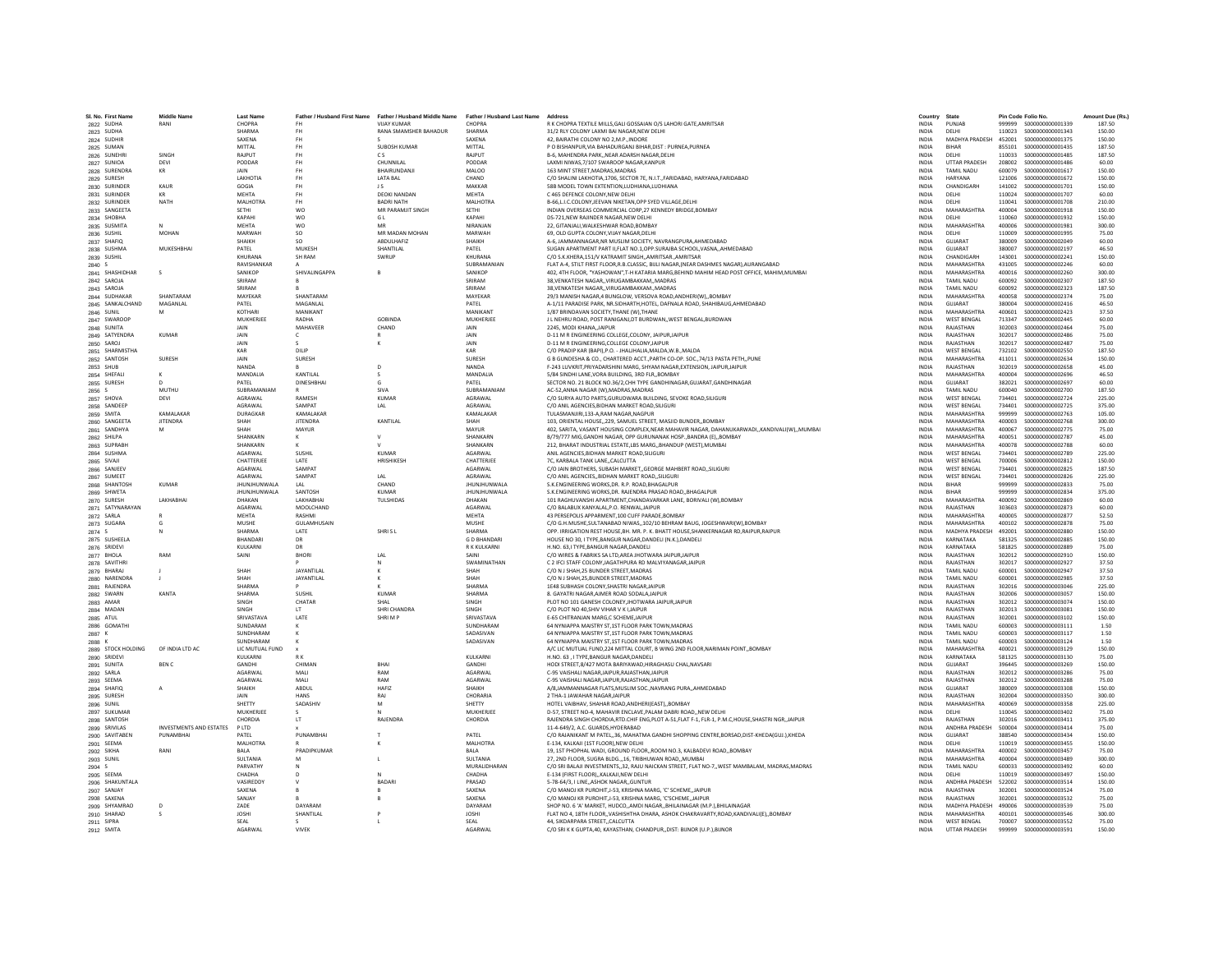| SI, No. First Name           | Middle Name                    | <b>Last Name</b>                   |                    | Father / Husband First Name Father / Husband Middle Name | Father / Husband Last Name Address |                                                                                                                                     | Country                      | State                            |                  | Pin Code Folio No.                    | Amount Due (Rs.  |
|------------------------------|--------------------------------|------------------------------------|--------------------|----------------------------------------------------------|------------------------------------|-------------------------------------------------------------------------------------------------------------------------------------|------------------------------|----------------------------------|------------------|---------------------------------------|------------------|
| 2822 SUDHA                   | RANI                           | CHOPRA<br>SHARMA                   |                    | <b>VIJAY KUMAR</b>                                       | CHOPRA<br>SHARMA                   | R K CHOPRA TEXTILE MILLS, GALI GOSSAIAN O/S LAHORI GATE, AMRITSAR<br>31/2 RLY COLONY LAXMI BAI NAGAR.NEW DELHI                      | <b>INDIA</b>                 | PUNJAE<br>DELHI                  | 999999<br>110023 | S000000000001339<br>\$000000000001343 | 187.50<br>150.00 |
| 2823 SUDHA                   |                                |                                    | <b>FH</b>          | RANA SMAMSHER BAHADUR                                    |                                    |                                                                                                                                     | <b>INDIA</b>                 |                                  |                  |                                       |                  |
| 2824 SUDHIR                  |                                | SAXENA                             | <b>FH</b>          |                                                          | SAXENA                             | 42. BAIRATHI COLONY NO 2.M.P. INDORE                                                                                                | <b>INDIA</b>                 | MADHYA PRADESH                   | 452001           | \$000000000001375                     | 150.00           |
| 2825 SUMAN                   |                                | MITTAL                             | <b>FH</b>          | SUBOSH KUMAR                                             | MITTAI                             | P O BISHANPUR, VIA BAHADURGANJ BIHAR, DIST : PURNEA, PURNEA                                                                         | <b>INDIA</b>                 | <b>BIHAR</b>                     | 855101           | S000000000001435                      | 187.50           |
| 2826 SUNEHR                  | SINGH                          | RAJPUT                             |                    | c s                                                      | <b>RAJPUT</b>                      | B-6, MAHENDRA PARK, NEAR ADARSH NAGAR, DELHI                                                                                        | INDIA                        | DELHI                            | 110033           | S000000000001485                      | 187.50           |
| 2827 SUNIOA                  | DEVI                           | PODDAR                             | <b>FH</b>          | CHUNNILAL                                                | PODDAF                             | LAXMI NIWAS.7/107 SWAROOP NAGAR.KANPUR                                                                                              | <b>INDIA</b>                 | <b>UTTAR PRADESH</b>             | 208002           | S000000000001486                      | 60.00            |
| 2828 SURENDRA                | KR                             | <b>JAIN</b>                        | <b>FH</b>          | RHAIRUNDANII                                             | MALOO                              | 163 MINT STREET MADRAS MADRAS                                                                                                       | <b>INDIA</b>                 | <b>TAMIL NADLI</b>               | 600079           | \$000000000001617                     | 150.00           |
| 2829 SURESH                  |                                | LAKHOTI                            | <b>FH</b>          | <b>LATA BAL</b>                                          | CHAND                              | C/O SHALINI LAKHOTIA,1706, SECTOR 7E, N.I.T., FARIDABAD, HARYANA, FARIDABAD                                                         | <b>INDIA</b>                 | <b>HARYANA</b>                   | 121006           | \$000000000001672                     | 150.00           |
| 2830 SURINDER                | KAUR                           | GOGIA                              | <b>FH</b>          | J S                                                      | MAKKAF                             | 58B MODEL TOWN EXTENTION.LUDHIANA.LUDHIANA                                                                                          | <b>INDIA</b>                 | CHANDIGARH                       | 141002           | S000000000001701                      | 150.00           |
| 2831 SURINDER                | KR                             | <b>MEHTA</b>                       | <b>FH</b>          | <b>DEOKI NANDAN</b>                                      | <b>MEHTA</b>                       | C 465 DEFENCE COLONY.NEW DELHI                                                                                                      | <b>INDIA</b>                 | DELHI                            | 110024           | S000000000001707                      | 60.00            |
| 2832 SURINDER                | NATH                           | MALHOTRA                           | <b>FH</b>          | <b>BADRI NATH</b>                                        | MAI HOTRA                          | B-66.L.I.C.COLONY.JEEVAN NIKETAN.OPP SYED VILLAGE.DELHI                                                                             | <b>INDIA</b>                 | DELHI                            | 110041           | \$000000000001708                     | 210.00           |
| 2833 SANGEETA                |                                | SETHI                              | <b>WO</b>          | MR PARAMJIT SINGH                                        | SETHI                              | INDIAN OVERSEAS COMMERCIAL CORP.27 KENNEDY BRIDGE.BOMBAY                                                                            | <b>INDIA</b>                 | MAHARASHTRA                      | 400004           | \$000000000001918                     | 150.00           |
| 2834 SHOBHA                  |                                | KAPAHI                             | <b>WO</b>          | GL                                                       | KAPAHI                             | DS-721, NEW RAJINDER NAGAR, NEW DELHI                                                                                               | <b>INDIA</b>                 | DELHI                            | 110060           | S000000000001932                      | 150.00           |
| 2835 SUSMITA                 |                                | MEHTA                              | <b>WO</b>          | MF                                                       | NIRANJAN                           | 22. GITANJALI.WALKESHWAR ROAD.BOMBAY                                                                                                | <b>INDIA</b>                 | MAHARASHTRA                      | 400006           | \$000000000001981                     | 300.00           |
| 2836 SUSHIL                  | MOHAN                          | MARWAH                             | <b>SO</b>          | MR MADAN MOHAN                                           | MARWAH                             | 69, OLD GUPTA COLONY, VIJAY NAGAR, DELHI                                                                                            | <b>INDIA</b>                 | DELHI                            | 110009           | \$000000000001995                     | 75.00            |
| 2837 SHAFIQ                  |                                | SHAIKH                             | SO                 | ABDULHAFIZ                                               | SHAIKH                             | A-6, JAMMANNAGAR, NR MUSLIM SOCIETY, NAVRANGPURA, AHMEDABAD                                                                         | INDIA                        | GUJARAT                          | 380009           | \$000000000002049                     | 60.00            |
| 2838 SUSHMA                  | MUKESHBHAI                     | PATEL                              | MUKESH             | SHANTILAL                                                | PATFI                              | SUGAN APARTMENT PART II, FLAT NO.1, OPP.SURAJBA SCHOOL, VASNA, ,AHMEDABAD                                                           | <b>INDIA</b>                 | GUIARAT                          | 380007           | \$000000000002197                     | 46.50            |
| 2839 SUSHIL                  |                                | KHURANA                            | SH RAM             | SWRUP                                                    | KHURANA                            | C/O S.K.KHERA.151/V KATRAMIT SINGHAMRITSARAMRITSAR                                                                                  | <b>INDIA</b>                 | CHANDIGARH                       | 143001           | S000000000002241                      | 150.00           |
| 2840 \$                      |                                | RAVISHANKAR                        |                    |                                                          | SUBRAMANIAN                        | FLAT A-4, STILT FIRST FLOOR, R.B.CLASSIC, BIJLI NAGAR, (NEAR DASHMES NAGAR), AURANGABAD                                             | <b>INDIA</b>                 | MAHARASHTRA                      | 431005           | S00000000002246                       | 60.00            |
| 2841 SHASHIDHAR              |                                | SANIKOR                            | SHIVALINGAPPA      |                                                          | SANIKOR                            | 402, 4TH FLOOR, "YASHOWAN", T-H KATARIA MARG, BEHIND MAHIM HEAD POST OFFICE, MAHIM, MUMBAI                                          | INDIA                        | MAHARASHTRA                      | 400016           | S000000000002260                      | 300.00           |
| 2842 SAROJA                  |                                | SRIRAM                             |                    |                                                          | SRIRAM                             | 38, VENKATESH NAGAR, , VIRUGAMBAKKAM, , MADRAS                                                                                      | <b>INDIA</b>                 | TAMIL NADU                       | 600092           | S000000000002307                      | 187.50           |
| 2843 SAROJA                  |                                | SRIRAM                             |                    |                                                          | SRIRAM                             | 38 VENKATESH NAGAR, VIRUGAMRAKKAM, MADRAS                                                                                           | <b>INDIA</b>                 | TAMII NADLI                      | 600092           | \$000000000002323                     | 187.50           |
| 2844 SUDHAKAR                | SHANTARAM                      | MAYEKAR                            | SHANTARAN          |                                                          | MAYEKAR                            | 29/3 MANISH NAGAR,4 BUNGLOW, VERSOVA ROAD, ANDHERI(W),, BOMBAY                                                                      | <b>INDIA</b>                 | <b>MAHARASHTRA</b>               | 400058           | \$000000000002374                     | 75.00            |
| 2845 SANKALCHAND             | MAGANLAL                       | PATEL                              | MAGANLAI           |                                                          | PATEL                              | A-1/11 PARADISE PARK, NR.SIDHARTH,HOTEL, DAFNALA ROAD, SHAHIBAUG,AHMEDABAD                                                          | <b>INDIA</b>                 | GUJARAT                          | 380004           | \$00000000002416                      | 46.50            |
| 2846 SUNIL                   | M                              | KOTHAR                             | MANIKANT           |                                                          | MANIKANT                           | 1/87 BRINDAVAN SOCIETY.THANE (W).THANE                                                                                              | <b>INDIA</b>                 | MAHARASHTRA                      | 400601           | \$000000000002423                     | 37.50            |
| 2847 SWAROOP                 |                                | MUKHERIFF                          | RADHA              | GOBINDA                                                  | MUKHERIFF                          | J L NEHRU ROAD, POST RANIGANJ, DT BURDWAN, , WEST BENGAL, BURDWAN                                                                   | <b>INDIA</b>                 | <b>WEST RENGAL</b>               | 713347           | S00000000002445                       | 60.00            |
| 2848 SUNITA                  |                                | <b>JAIN</b>                        | MAHAVEER           | CHAND                                                    | <b>JAIN</b>                        | 2245, MODI KHANA, JAIPUR                                                                                                            | <b>INDIA</b>                 | RAJASTHAN                        | 302003           | S00000000002464                       | 75.00            |
| 2849 SATYENDRA               | <b>KUMAR</b>                   | JAIN                               | c                  |                                                          | JAIN                               | D-11 M R ENGINEERING COLLEGE, COLONY, JAIPUR, JAIPUR                                                                                | <b>INDIA</b>                 | RAJASTHAN                        | 302017           | \$00000000002486                      | 75.00            |
| 2850 SAROJ                   |                                | JAIN                               |                    |                                                          | JAIN                               | D-11 M R ENGINEERING.COLLEGE COLONYJAIPUR                                                                                           | <b>INDIA</b>                 | RAJASTHAN                        | 302017           | S000000000002487                      | 75.00            |
| 2851 SHARMISTHA              |                                | KAR                                | DILIP              |                                                          | KAR                                | C/O PRADIP KAR (RAPI) P.O. - IHAI IHAI IA MAI DA W.R. MAI DA                                                                        | <b>INDIA</b>                 | <b>WEST RENGAL</b>               | 732102           | \$000000000002550                     | 187.50           |
| 2852 SANTOSH                 | SURESH                         | JAIN                               | SURESH             |                                                          | SURESH                             | G B GUNDESHA & CO., CHARTERED ACCT., PARTH CO-OP. SOC., 74/13 PASTA PETH,, PUNE                                                     | INDIA                        | MAHARASHTRA                      | 411011           | S000000000002634                      | 150.00           |
| 2853 SHUB                    |                                | <b>NANDA</b>                       |                    | D                                                        | NANDA                              | F-243 LUVKRIT.PRIYADARSHINI MARG, SHYAM NAGAR,EXTENSION, JAIPUR,JAIPUR                                                              | <b>INDIA</b>                 | RAJASTHAN                        | 302019           | \$000000000002658                     | 45.00            |
| 2854 SHEFALL                 |                                | MANDALIA                           | KANTILAL           | -S                                                       | MANDALIA                           | 5/84 SINDHI LANE.VORA BUILDING, 3RD FLR., BOMBAY                                                                                    | <b>INDIA</b>                 | MAHARASHTRA                      | 400004           | \$000000000002696                     | 46.50            |
| 2855 SURESH                  | n.                             | PATFI                              | DINESHBHAI         | $\mathsf{G}$                                             | PATFI                              | SECTOR NO. 21 BLOCK NO.36/2.CHH TYPE GANDHINAGAR.GUJARAT.GANDHINAGAR                                                                | <b>INDIA</b>                 | GUIARAT                          | 382021           | \$000000000002697                     | 60.00            |
|                              | MUTHU                          | SUBRAMANIAM                        |                    | SIVA                                                     | SUBRAMANIAM                        | AC-52.ANNA NAGAR (W).MADRAS.MADRAS                                                                                                  | INDIA                        | TAMIL NADU                       | 600040           | \$00000000002700                      | 187.50           |
| 2856 S<br>2857 SHOVA         | DEVI                           | AGRAWAL                            | RAMESH             | <b>KUMAR</b>                                             | AGRAWAL                            |                                                                                                                                     | <b>INDIA</b>                 | <b>WEST BENGAL</b>               | 734401           | S00000000002724                       | 225.00           |
|                              |                                |                                    |                    |                                                          |                                    | C/O SURYA AUTO PARTS, GURUDWARA BUILDING, SEVOKE ROAD, SILIGURI                                                                     |                              |                                  |                  |                                       |                  |
| 2858 SANDEEP                 |                                | AGRAWAL                            | SAMPAT             | LAL                                                      | AGRAWAI                            | C/O ANIL AGENCIES BIDHAN MARKET ROAD SILIGURI                                                                                       | <b>INDIA</b>                 | <b>WEST RENGAL</b>               | 734401           | \$000000000002725                     | 375.00           |
| 2859 SMITA                   | KAMAI AKAR                     | DURAGKAR                           | <b>KAMALAKAR</b>   |                                                          | KAMALAKAR                          | TULASMANJIRI,133-A,RAM NAGAR,NAGPUR                                                                                                 | <b>INDIA</b>                 | MAHARASHTRA                      | 999999           | \$000000000002763                     | 105.00           |
| 2860 SANGEETA                | <b>JITENDRA</b>                | SHAH                               | <b>JITENDRA</b>    | KANTILAL                                                 | SHAH                               | 103, ORIENTAL HOUSE,,229, SAMUEL STREET, MASJID BUNDER,, BOMBAY                                                                     | INDIA                        | MAHARASHTRA                      | 400003           | \$00000000002768                      | 300.00           |
| 2861 SANDHYA                 | M                              | SHAH                               | MAYUR              |                                                          | MAYUR                              | 402, SARITA, VASANT HOUSING COMPLEX, NEAR MAHAVIR NAGAR, DAHANUKARWADI,, KANDIVALI(W),, MUMBAI                                      | <b>INDIA</b>                 | MAHARASHTRA                      | 400067           | \$000000000002775                     | 75.00            |
| 2862 SHILPA                  |                                | SHANKARM                           | к                  | $\mathsf{v}$                                             | SHANKARN                           | B/79/777 MIG.GANDHI NAGAR, OPP GURUNANAK HOSP., BANDRA (E)., BOMBAY                                                                 | <b>INDIA</b>                 | MAHARASHTRA                      | 400051           | \$000000000002787                     | 45.00            |
| 2863 SUPRABH                 |                                | SHANKARN                           |                    | $\mathbf{v}$                                             | SHANKARN                           | 212, BHARAT INDUSTRIAL ESTATE, LBS MARG,, BHANDUP (WEST), MUMBAI                                                                    | <b>INDIA</b>                 | MAHARASHTRA                      | 400078           | \$00000000002788                      | 60.00            |
| 2864 SUSHMA                  |                                | AGARWAL                            | SUSHIL             | KUMAR                                                    | AGARWAL                            | ANIL AGENCIES, BIDHAN MARKET ROAD, SILIGURI                                                                                         | INDIA                        | <b>WEST BENGAL</b>               | 734401           | \$000000000002789                     | 225.00           |
| 2865 SIVAJI                  |                                | CHATTERJEE                         | LATE               | HRISHIKESH                                               | CHATTERJEE                         | 7C. KARBALA TANK LANECALCUTTA                                                                                                       | <b>INDIA</b>                 | <b>WEST BENGAL</b>               | 700006           | S000000000002812                      | 150.00           |
| 2866 SANJEEV                 |                                | AGARWAI                            | <b>SAMPAT</b>      |                                                          | <b>AGARWAI</b>                     | C/O JAIN BROTHERS, SUBASH MARKET., GEORGE MAHBERT ROAD, SILIGURI                                                                    | <b>INDIA</b>                 | <b>WEST RENGAL</b>               | 734401           | \$000000000002825                     | 187.50           |
| 2867 SUMEET                  |                                | <b>AGARWAI</b>                     | SAMPAT             | LAL                                                      | AGRAWAI                            | C/O ANIL AGENCIES, BIDHAN MARKET ROAD, SILIGURI                                                                                     | <b>INDIA</b>                 | <b>WEST BENGAL</b>               | 734401           | \$000000000002826                     | 225.00           |
| 2868 SHANTOSH                | <b>KUMAR</b>                   | <b>JHUNJHUNWALA</b>                | LAL                | CHAND                                                    | <b>JHUNJHUNWALA</b>                | S.K.ENGINEERING WORKS.DR. R.P. ROAD.BHAGALPU                                                                                        | <b>INDIA</b>                 | BIHAR                            | 999999           | \$000000000002833                     | 75.00            |
| 2869 SHWETA                  |                                | <b>JHUNJHUNWALA</b>                | SANTOSH            | KUMAR                                                    | <b>JHUNJHUNWALA</b>                | S.K.ENGINEERING WORKS.DR. RAJENDRA PRASAD ROADBHAGALPUR                                                                             | <b>INDIA</b>                 | <b>RIHAR</b>                     | 999999           | S000000000002834                      | 375.00           |
| 2870 SURESH                  | <b>LAKHARHAI</b>               | DHAKAN                             | <b>LAKHARHAI</b>   | <b>TUI SHIDAS</b>                                        | DHAKAN                             | 101 RAGHUVANSHI APARTMENT, CHANDAVARKAR LANE, BORIVALI (W), BOMBAY                                                                  | <b>INDIA</b>                 | MAHARASHTRA                      | 400092           | \$000000000002869                     | 60.00            |
| 2871 SATYNARAYAN             |                                | AGARWAI                            | MOOLCHAND          |                                                          | AGARWA                             | C/O BALABUX KANYALAL, P.O. RENWAL, JAIPUR                                                                                           | <b>INDIA</b>                 | RAJASTHAN                        | 303603           | \$000000000002873                     | 60.00            |
| 2872 SARLA                   |                                | <b>MEHTA</b>                       | RASHMI             |                                                          | MEHTA                              | 43 PERSEPOLIS APPARMENT, 100 CUFF PARADE, BOMBAY                                                                                    | <b>INDIA</b>                 | <b>MAHARASHTRA</b>               | 400005           | \$00000000002877                      | 52.50            |
| 2873 SUGARA                  | G                              | MUSHE                              | <b>GULAMHUSAIN</b> |                                                          | <b>MUSHE</b>                       | C/O G.H.MUSHE.SULTANABAD NIWAS102/10 BEHRAM BAUG, JOGESHWARI(W).BOMBAY                                                              | <b>INDIA</b>                 | MAHARASHTRA                      | 400102           | \$000000000002878                     | 75.00            |
| 2874                         | N                              | SHARMA                             | LATE               | SHRISL                                                   | SHARMA                             | OPP, IRRIGATION REST HOUSE.BH, MR, P. K. BHATT HOUSE.SHANKERNAGAR RD.RAIPUR.RAIPUR                                                  | <b>INDIA</b>                 | <b>MADHYA PRADESH</b>            | 492001           | \$000000000002880                     | 150.00           |
| 2875 SUSHEELA                |                                | <b>BHANDAR</b>                     | DR                 |                                                          | <b>GD BHANDAR</b>                  | HOUSE NO 30, I TYPE, BANGUR NAGAR, DANDELI (N.K.), DANDELI                                                                          | INDIA                        | KARNATAKA                        | 581325           | \$000000000002885                     | 150.00           |
| 2876 SRIDEVI                 |                                | KULKARN                            | DR                 |                                                          | R K KULKARNI                       | H.NO. 63.I TYPE.BANGUR NAGAR.DANDELI                                                                                                | <b>INDIA</b>                 | KARNATAKA                        | 581825           | \$00000000002889                      | 75.00            |
| 2877 BHOLA                   | RAM                            | SAINI                              | <b>BHORI</b>       | LAL                                                      | SAINI                              | C/O WIRES & FABRIKS SA LTD.AREA JHOTWARA JAIPURJAIPUR                                                                               | <b>INDIA</b>                 | RAJASTHAN                        | 302012           | S000000000002910                      | 150.00           |
| 2878 SAVITHRI                |                                |                                    |                    | N                                                        | <b>SWAMINATHAN</b>                 | C 2 IFCI STAFF COLONY, JAGATHPURA RD MALVIYANAGAR, JAIPUR                                                                           | <b>INDIA</b>                 | RAIASTHAN                        | 302017           | \$000000000002927                     | 37.50            |
| 2879 BHARAJ                  |                                | SHAH                               | <b>JAYANTILAI</b>  |                                                          | SHAH                               | C/O N J SHAH.25 BUNDER STREET.MADRA:                                                                                                | <b>INDIA</b>                 | TAMIL NADU                       | 600001           | \$000000000002947                     | 37.50            |
| 2880 NARENDRA                |                                | SHAH                               | JAYANTILAL         |                                                          | SHAH                               | C/O N J SHAH, 25, BUNDER STREET, MADRAS                                                                                             | INDIA                        | TAMIL NADU                       | 600001           | S000000000002985                      | 37.50            |
| 2881 RAJENDRA                |                                | SHARMA                             |                    |                                                          | <b>SHARMA</b>                      | 1 F48 SUBHASH COLONY SHASTRI NAGAR JAIPUE                                                                                           | <b>INDIA</b>                 | RAIASTHAN                        | 302016           | \$000000000003046                     | 225.00           |
| 2882 SWARN                   | KANTA                          | SHARMA                             | SUSHIL             | <b>KUMAR</b>                                             | SHARMA                             | 8. GAYATRI NAGAR, AJMER ROAD SODALA, JAIPUR                                                                                         | <b>INDIA</b>                 | RAJASTHAN                        | 302006           | \$000000000003057                     | 150.00           |
|                              |                                | SINGH                              | CHATAR             | SHAL                                                     | SINGH                              |                                                                                                                                     | <b>INDIA</b>                 | RAJASTHAN                        | 302012           | S000000000003074                      | 150.00           |
| 2883 AMAR<br>2884 MADAN      |                                | <b>SINGH</b>                       | <b>IT</b>          | SHRI CHANDRA                                             | SINGH                              | PLOT NO 101 GANESH COLONEY, JHOTWARA JAIPUR, JAIPUR<br>C/O PLOT NO 40.SHIV VIHAR V K I JAIPUR                                       | <b>INDIA</b>                 | RAIASTHAN                        | 302013           | \$00000000003081                      | 150.00           |
|                              |                                | <b>SRIVASTAVA</b>                  | LATE               | SHRIMP                                                   | SRIVASTAVA                         | E-65 CHITRANJAN MARG.C SCHEME JAIPUR                                                                                                | <b>INDIA</b>                 | RAJASTHAN                        | 302001           | \$000000000003102                     | 150.00           |
| 2885 ATUL<br>2886 GOMATH     |                                | SUNDARAM                           |                    |                                                          | SUNDHARAM                          | 64 NYNIAPPA MAISTRY ST,1ST FLOOR PARK TOWN, MADRAS                                                                                  | <b>INDIA</b>                 | TAMIL NADU                       | 600003           | S000000000003111                      | 1.50             |
|                              |                                | SUNDHARAM                          |                    |                                                          | SADASIVAN                          | 64 NYNIAPPA MAISTRY ST,1ST FLOOR PARK TOWN, MADRAS                                                                                  | INDIA                        | TAMIL NADU                       | 600003           | S000000000003117                      | 1.50             |
| 2887 K                       |                                |                                    |                    |                                                          |                                    |                                                                                                                                     |                              |                                  |                  |                                       |                  |
| 2888 K<br>2889 STOCK HOLDING | OF INDIA ITD AC                | SUNDHARAM<br><b>IC MUTUAL FUND</b> |                    |                                                          | SADASIVAN                          | 64 NYNIAPPA MAISTRY ST.1ST FLOOR PARK TOWN.MADRAS<br>A/C LIC MUTUAL FUND, 224 MITTAL COURT, B WING 2ND FLOOR, NARIMAN POINT, BOMBAY | <b>INDIA</b><br><b>INDIA</b> | <b>TAMIL NADU</b><br>MAHARASHTRA | 600003<br>400021 | S000000000003124<br>\$000000000003129 | 1.50<br>150.00   |
|                              |                                |                                    |                    |                                                          |                                    |                                                                                                                                     |                              |                                  |                  |                                       |                  |
| 2890 SRIDEV                  |                                | KULKARN                            |                    |                                                          | KULKARNI                           | H.NO. 63 , I TYPE, BANGUR NAGAR, DANDELI                                                                                            | INDIA                        | KARNATAKA                        | 581325           | \$000000000003130                     | 75.00            |
| 2891 SUNITA                  | <b>BENC</b>                    | GANDHI                             | CHIMAN             | BHAI                                                     | GANDHI                             | HODI STREET,8/427 MOTA BARIYAWAD,HIRAGHASU CHAL,NAVSARI                                                                             | <b>INDIA</b>                 | GUJARAT                          | 396445           | \$000000000003269                     | 150.00           |
| 2892 SARLA                   |                                | AGARWAI                            | MAIL               | RAM                                                      | <b>AGARWAI</b>                     | C-95 VAISHALI NAGAR JAIPUR RAJASTHAN JAIPUR                                                                                         | <b>INDIA</b>                 | RAIASTHAN                        | 302012           | \$000000000003286                     | 75.00            |
| 2893 SEEMA                   |                                | AGARWAI                            | MAIL               | RAM                                                      | <b>AGARWAI</b>                     | C-95 VAISHALI NAGAR JAIPUR RAJASTHAN JAIPUR                                                                                         | <b>INDIA</b>                 | RAIASTHAN                        | 302012           | \$000000000003288                     | 75.00            |
| 2894 SHAFIQ                  | A                              | SHAIKH                             | ABDUL              | HAFI7                                                    | SHAIKH                             | A/8, JAMMANNAGAR FLATS, MUSLIM SOC., NAVRANG PURA,, AHMEDABAD                                                                       | <b>INDIA</b>                 | GUJARAT                          | 380009           | \$000000000003308                     | 150.00           |
| 2895 SURESH                  |                                | JAIN                               | <b>HANS</b>        | RAJ                                                      | CHORARIA                           | 2 THA-1 JAWAHAR NAGAR JAIPUR                                                                                                        | <b>INDIA</b>                 | RAJASTHAN                        | 302004           | \$000000000003350                     | 300.00           |
| 2896 SUNIL                   |                                | SHETTY                             | SADASHIV           | M                                                        | SHETTY                             | HOTEL VAIBHAV, SHAHAR ROAD, ANDHERI(EAST), BOMBAY                                                                                   | <b>INDIA</b>                 | MAHARASHTRA                      | 400069           | \$000000000003358                     | 225.00           |
| 2897 SUKUMAR                 |                                | MUKHERIFF                          | $\epsilon$         |                                                          | MUKHERIEF                          | D-57, STREET NO-4, MAHAVIR ENCLAVE, PALAM DABRI ROAD, ,NEW DELHI                                                                    | <b>INDIA</b>                 | <b>DELHI</b>                     | 110045           | \$000000000003402                     | 75.00            |
| 2898 SANTOSH                 |                                | CHORDIA                            | LT                 | RAJENDRA                                                 | CHORDIA                            | RAJENDRA SINGH CHORDIA, RTD.CHIF ENG, PLOT A-51, FLAT F-1, FLR-1, P.M.C, HOUSE, SHASTRI NGR,, JAIPUR                                | INDIA                        | RAJASTHAN                        | 302016           | \$000000000003411                     | 375.00           |
| 2899 SRIVILAS                | <b>INVESTMENTS AND ESTATES</b> | P LTD                              |                    |                                                          |                                    | 11-4-649/2, A.C. GUARDS, HYDERABAD                                                                                                  | <b>INDIA</b>                 | ANDHRA PRADESH                   | 500004           | S000000000003414                      | 75.00            |
| 2900 SAVITABEN               | PUNAMBHAI                      | PATEL                              | PUNAMBHAI          |                                                          | PATEL                              | C/O RAJANIKANT M PATEL, 36, MAHATMA GANDHI SHOPPING CENTRE, BORSAD, DIST-KHEDA(GUJ.), KHEDA                                         | <b>INDIA</b>                 | GUJARAT                          | 388540           | \$000000000003434                     | 150.00           |
| 2901 SEEMA                   |                                | MALHOTRA                           |                    |                                                          | MAI HOTRA                          | E-134. KALKAJI (1ST FLOOR) NEW DELHI                                                                                                | <b>INDIA</b>                 | DELHI                            | 110019           | \$000000000003455                     | 150.00           |
| 2902 SIKHA                   | RANI                           | <b>BALA</b>                        | PRADIPKUMAF        |                                                          | <b>BALA</b>                        | 19, 1ST PHOPHAL WADI, GROUND FLOOR, ROOM NO.3, KALBADEVI ROAD, BOMBAY                                                               | INDIA                        | MAHARASHTRA                      | 400002           | \$000000000003457                     | 75.00            |
| 2903 SUNIL                   |                                | <b>SULTANIA</b>                    |                    |                                                          | <b>SULTANIA</b>                    | 27, 2ND FLOOR, SUGRA BLDG., 16, TRIBHUWAN ROAD,, MUMBA                                                                              | INDIA                        | MAHARASHTRA                      | 400004           | \$00000000003489                      | 300.00           |
| 2904 S                       |                                | PARVATHY                           | $\mathbf{M}$       |                                                          | MURALIDHARAN                       | C/O SRI BALAJI INVESTMENTS,,32, RAJU NAICKAN STREET, FLAT NO-7,,WEST MAMBALAM, MADRAS, MADRAS                                       | <b>INDIA</b>                 | TAMIL NADLI                      | 600033           | \$000000000003492                     | 60.00            |
| 2905 SEEMA                   |                                | CHADHA                             | $\Omega$           | $\mathbb{N}$                                             | CHADHA                             | E-134 (FIRST FLOOR),,KALKAJI,NEW DELHI                                                                                              | <b>INDIA</b>                 | DELHI                            | 110019           | \$000000000003497                     | 150.00           |
| 2906 SHAKUNTALA              |                                | <b>VASIREDD</b>                    |                    | <b>BADARI</b>                                            | PRASAD                             | 5-78-64/3. I LINEASHOK NAGARGUNTUF                                                                                                  | <b>INDIA</b>                 | ANDHRA PRADESH                   | 522002           | \$000000000003514                     | 150.00           |
| 2907 SANJAY                  |                                | SAXENA                             |                    |                                                          | SAXENA                             | C/O MANOJ KR PUROHIT.J-53, KRISHNA MARG, 'C' SCHEMEJAIPUR                                                                           | <b>INDIA</b>                 | RAJASTHAN                        | 302001           | \$000000000003524                     | 75.00            |
| 2908 SAXENA                  |                                | SANJAY                             |                    |                                                          | SAXFNA                             | C/O MANOJ KR PUROHIT.J-53. KRISHNA MARG. 'C'SCHEMEJAIPUR                                                                            | <b>INDIA</b>                 | RAIASTHAN                        | 302001           | \$000000000003532                     | 75.00            |
| 2909 SHYAMRAC                | D                              | ZADE                               | DAYARAM            |                                                          | DAYARAM                            | SHOP NO. 6 'A' MARKET, HUDCO,,AMDI NAGAR,,BHILAINAGAR (M.P.),BHILAINAGAR                                                            | <b>INDIA</b>                 | <b>MADHYA PRADESH</b>            | 490006           | \$000000000003539                     | 75.00            |
| 2910 SHARAD                  |                                | <b>JOSHI</b>                       | SHANTILAL          |                                                          | <b>JOSHI</b>                       | FLAT NO 4, 18TH FLOOR,, VASHISHTHA DHARA, ASHOK CHAKRAVARTY, ROAD, KANDIVALI(E),, BOMBAY                                            | INDIA                        | MAHARASHTRA                      | 400101           | S000000000003546                      | 300.00           |
| 2911 SIPRA                   |                                | SEAL                               |                    |                                                          | SEAL                               | 44. SIKDARPARA STREETCALCUTTA                                                                                                       | <b>INDIA</b>                 | <b>WEST BENGAL</b>               | 700007           | \$000000000003552                     | 75.00            |
| 2912 SMITA                   |                                | AGARWAI                            | <b>VIVEK</b>       |                                                          | <b>AGARWAI</b>                     | C/O SRI K K GUPTA, 40, KAYASTHAN, CHANDPUR, DIST: BUNOR (U.P.), BUNOR                                                               | <b>INDIA</b>                 | <b>UTTAR PRADESH</b>             | 999999           | \$000000000003591                     | 150.00           |
|                              |                                |                                    |                    |                                                          |                                    |                                                                                                                                     |                              |                                  |                  |                                       |                  |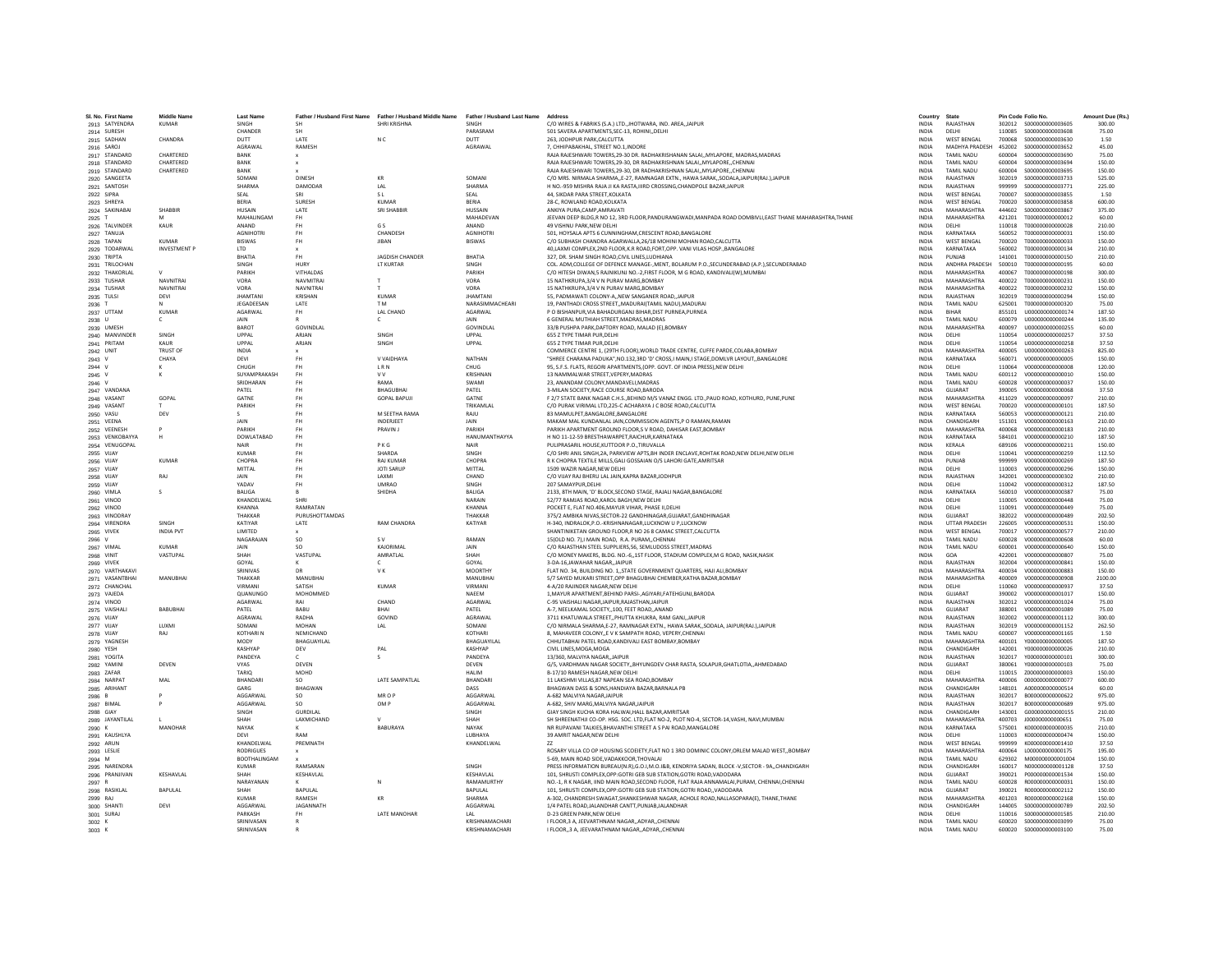| SI, No. First Name              | Middle Name<br><b>KUMAR</b> | <b>Last Name</b>            |                  | Father / Husband First Name Father / Husband Middle Name | Father / Husband Last Name Address |                                                                                                                                            | Country<br><b>INDIA</b>      | State<br>RAJASTHAN              |                  | Pin Code Folio No.                     | Amount Due (Rs.  |
|---------------------------------|-----------------------------|-----------------------------|------------------|----------------------------------------------------------|------------------------------------|--------------------------------------------------------------------------------------------------------------------------------------------|------------------------------|---------------------------------|------------------|----------------------------------------|------------------|
| 2913 SATYENDRA<br>2914 SURESH   |                             | SINGH<br>CHANDER            | <b>SH</b>        | SHRI KRISHNA                                             | SINGH<br>PARASRAM                  | C/O WIRES & FABRIKS (S.A.) LTD., JHOTWARA, IND. AREA, JAIPUR<br>501 SAVERA APARTMENTS, SEC-13, ROHINI, , DELHI                             | <b>INDIA</b>                 | DELHI                           | 110085           | \$000000000003608                      | 300.00<br>75.00  |
| 2915 SADHAN                     | CHANDRA                     | DUTT                        | <b>IATF</b>      |                                                          | DUTT                               | 263. JODHPUR PARK.CALCUTTA                                                                                                                 | <b>INDIA</b>                 | <b>WEST RENGAL</b>              | 700068           | \$000000000003630                      | 1.50             |
|                                 |                             | <b>AGRAWAL</b>              | RAMESH           | N C                                                      | AGRAWAL                            |                                                                                                                                            | <b>INDIA</b>                 | MADHYA PRADESH                  | 452002           | \$000000000003652                      | 45.00            |
| 2916 SAROJ                      | CHARTERED                   | BANK                        |                  |                                                          |                                    | 7, CHHIPABAKHAL, STREET NO.1, INDORE<br>RAJA RAJESHWARI TOWERS, 29-30 DR. RADHAKRISHANAN SALAI,, MYLAPORE, MADRAS, MADRAS                  | INDIA                        | TAMIL NADU                      | 600004           | \$000000000003690                      | 75.00            |
| 2917 STANDARD<br>2918 STANDARD  | CHARTERED                   |                             |                  |                                                          |                                    |                                                                                                                                            |                              |                                 |                  | \$000000000003694                      |                  |
|                                 | CHARTERED                   | BANK<br>RANK                |                  |                                                          |                                    | RAJA RAJESHWARI TOWERS.29-30. DR RADHAKRISHNAN SALAIMYLAPORECHENNAI<br>RAJA RAJESHWARI TOWERS.29-30. DR RADHAKRISHNAN SALAIMYLAPORECHENNAI | <b>INDIA</b><br><b>INDIA</b> | TAMIL NADU<br>TAMIL NADLI       | 600004<br>600004 | \$000000000003695                      | 150.00<br>150.00 |
| 2919 STANDARD<br>2920 SANGEETA  |                             | SOMAN                       | <b>DINESH</b>    | KR                                                       | SOMANI                             | C/O MRS. NIRMALA SHARMA,, E-27, RAMNAGAR EXTN., HAWA SARAK,, SODALA, JAIPUR(RAJ.), JAIPUR                                                  | <b>INDIA</b>                 | RAJASTHAN                       | 302019           | \$000000000003733                      | 525.00           |
| 2921 SANTOSH                    |                             | <b>SHARMA</b>               | DAMODAR          | LAL                                                      | <b>SHARMA</b>                      | H NO.-959 MISHRA RAJA JI KA RASTA, IIIRD CROSSING, CHANDPOLE BAZAR, JAIPUR                                                                 | <b>INDIA</b>                 | RAJASTHAN                       | 999999           | S000000000003771                       | 225.00           |
|                                 |                             |                             | SRI              |                                                          |                                    | 44. SIKDAR PARA STREET.KOLKATA                                                                                                             |                              | <b>WEST BENGAL</b>              |                  |                                        |                  |
| 2922 SIPRA                      |                             | SEAL<br><b>RERIA</b>        | <b>SURFSH</b>    | -S L<br>KUMAR                                            | SEAL<br><b>RERIA</b>               | 28-C. ROWLAND ROAD KOLKATA                                                                                                                 | <b>INDIA</b><br><b>INDIA</b> | <b>WEST RENGAL</b>              | 700007<br>700020 | \$000000000003855<br>\$000000000003858 | 1.50<br>600.00   |
| 2923 SHREYA                     |                             |                             |                  |                                                          |                                    |                                                                                                                                            |                              |                                 |                  |                                        |                  |
| 2924 SAKINABA                   | SHABBIF                     | <b>HUSAIN</b><br>MAHALINGAM | LATE             | SRI SHABBI                                               | <b>HUSSAIN</b><br>MAHADEVAN        | ANKIYA PURA.CAMP.AMRAVATI                                                                                                                  | <b>INDIA</b>                 | MAHARASHTRA<br>MAHARASHTRA      | 444602           | \$000000000003867                      | 375.00           |
| 2925 1                          | KAUR                        |                             | <b>FH</b><br>FH. | G S                                                      |                                    | JEEVAN DEEP BLDG,R NO 12, 3RD FLOOR,PANDURANGWADI,MANPADA ROAD DOMBIVLI,EAST THANE MAHARASHTRA,THANE<br>49 VISHNU PARK NEW DELHI           | <b>INDIA</b><br><b>INDIA</b> | <b>DELHI</b>                    | 421201<br>110018 | T000000000000012<br>T000000000000028   | 60.00<br>210.00  |
| 2926 TALVINDER                  |                             | ANAND<br><b>AGNIHOTRI</b>   | FH.              |                                                          | ANAND<br><b>AGNIHOTR</b>           |                                                                                                                                            | <b>INDIA</b>                 |                                 | 560052           |                                        |                  |
| 2927 TANUJA                     | KUMAR                       |                             |                  | CHANDESH                                                 |                                    | 501, HOYSALA APTS 6 CUNNINGHAM, CRESCENT ROAD, BANGALORE                                                                                   |                              | KARNATAKA                       |                  | T000000000000031                       | 150.00           |
| 2928 TAPAN                      |                             | <b>BISWAS</b>               | FH.              | <b>JIBAN</b>                                             | <b>BISWAS</b>                      | C/O SUBHASH CHANDRA AGARWALLA, 26/18 MOHINI MOHAN ROAD, CALCUTTA                                                                           | INDIA                        | <b>WEST BENGAL</b><br>KARNATAKA | 700020           | T000000000000033<br>7000000000000134   | 150.00           |
| 2929 TODARWAL                   | <b>INVESTMENT P</b>         | <b>ITD</b>                  |                  |                                                          |                                    | 40, LAXMI COMPLEX, 2ND FLOOR, K.R ROAD, FORT, OPP. VANI VILAS HOSP., BANGALORE                                                             | <b>INDIA</b>                 |                                 | 560002           |                                        | 210.00           |
| 2930 TRIPTA                     |                             | BHATIA                      | FH.              | JAGDISH CHANDER                                          | <b>BHATIA</b>                      | 327. DR. SHAM SINGH ROAD.CIVIL LINES.LUDHIANA                                                                                              | <b>INDIA</b>                 | PUNJAB                          | 141001           | T000000000000150                       | 210.00           |
| 2931 TRILOCHAN                  |                             | <b>SINGH</b>                | HURY             | LT KURTAR                                                | SINGH                              | COL. ADM, COLLEGE OF DEFENCE MANAGE-, MENT, BOLARUM P.O., SECUNDERABAD (A.P.), SECUNDERABAD                                                | <b>INDIA</b>                 | ANDHRA PRADESH                  | 500010           | T000000000000195                       | 60.00            |
| 2932 THAKORLAL                  |                             | PARIKH                      | VITHALDAS        |                                                          | PARIKH                             | C/O HITESH DIWAN,5 RAJNIKUNJ NO .- 2, FIRST FLOOR, M G ROAD, KANDIVALI(W), MUMBAI                                                          | INDIA                        | MAHARASHTRA                     | 400067           | T000000000000198                       | 300.00           |
| 2933 TUSHAR                     | <b>NAVNITRA</b>             | VORA                        | <b>NAVMITRAI</b> |                                                          | VORA                               | 15 NATHKRUPA, 3/4 V N PURAV MARG, BOMBAY                                                                                                   | <b>INDIA</b>                 | MAHARASHTRA                     | 400022           | T000000000000231                       | 150.00           |
| 2934 TUSHAR                     | <b>NAVNITRAI</b>            | VORA                        | NAVNITRAL        |                                                          | VORA                               | 15 NATHKRUPA.3/4 V N PURAV MARG.BOMBAY                                                                                                     | <b>INDIA</b>                 | MAHARASHTRA                     | 400022           | T000000000000232                       | 150.00           |
| 2935 TULSI                      | DEVI                        | <b>IHAMTANI</b>             | KRISHAN          | <b>KUMAR</b>                                             | <b>IHAMTANI</b>                    | 55, PADMAWATI COLONY-A,, NEW SANGANER ROAD,, JAIPUR                                                                                        | <b>INDIA</b>                 | RAJASTHAN                       | 302019           | T000000000000294                       | 150.00           |
| 2936 T                          |                             | JEGADEESAN                  | LATE             | T <sub>M</sub>                                           | NARASIMMACHEAR                     | 19, PANTHADI CROSS STREET,, MADURAI (TAMIL NADU), MADURAI                                                                                  | <b>INDIA</b>                 | TAMIL NADU                      | 625001           | T000000000000320                       | 75.00            |
| 2937 UTTAM                      | KUMAR                       | <b>AGARWAL</b>              | FH.              | LAL CHAND                                                | AGARWAL                            | P O BISHANPUR.VIA BAHADURGANJ BIHAR.DIST PURNEA.PURNEA                                                                                     | <b>INDIA</b>                 | <b>RIHAR</b>                    | 855101           | 11000000000000174                      | 187.50           |
| 2938 U                          | $\epsilon$                  | <b>JAIN</b>                 |                  | c                                                        | <b>JAIN</b>                        | 6 GENERAL MUTHIAH STREET.MADRAS.MADRAS                                                                                                     | <b>INDIA</b>                 | <b>TAMIL NADLI</b>              | 600079           | 11000000000000244                      | 135.00           |
| 2939 UMESH                      |                             | <b>RAROT</b>                | <b>GOVINDLAL</b> |                                                          | GOVINDLAI                          | 33/B PUSHPA PARK, DAFTORY ROAD, MALAD (E), BOMBAY                                                                                          | <b>INDIA</b>                 | MAHARASHTRA                     | 400097           | U000000000000255                       | 60.00            |
| 2940 MANVINDER                  | SINGH                       | UPPAL                       | ARJAN            | SINGH                                                    | UPPAL                              | 655 Z TYPE TIMAR PUR.DELHI                                                                                                                 | <b>INDIA</b>                 | DELHI                           | 110054           | U000000000000257                       | 37.50            |
| 2941 PRITAM                     | KAUR                        | UPPAL                       | ARJAN            | SINGH                                                    | UPPAL                              | 655 Z TYPE TIMAR PUR.DELHI                                                                                                                 | <b>INDIA</b>                 | DELHI                           | 110054           | U000000000000258                       | 37.50            |
| 2942 UNIT                       | TRUST OF                    | <b>INDIA</b>                |                  |                                                          |                                    | COMMERCE CENTRE 1, (29TH FLOOR), WORLD TRADE CENTRE, CUFFE PARDE.COLABA.BOMBAY                                                             | <b>INDIA</b>                 | MAHARASHTRA                     | 400005           | 11000000000000263                      | 825.00           |
| 2943 V                          | CHAYA                       | DEVI                        | <b>FH</b>        | V VAIDHAYA                                               | NATHAN                             | "SHREE CHARANA PADUKA", NO.132,3RD 'D' CROSS, I MAIN, I STAGE, DOMLVR LAYOUT,, BANGALORE                                                   | INDIA                        | KARNATAKA                       | 560071           | V000000000000005                       | 150.00           |
| 2944 V                          |                             | CHUGH                       |                  | <b>LRN</b>                                               | CHUG                               | 95, S.F.S. FLATS, REGORI APARTMENTS, (OPP. GOVT. OF INDIA PRESS), NEW DELHI                                                                | <b>INDIA</b>                 | DELHI                           | 110064           | V000000000000008                       | 120.00           |
| 2945 V                          | к                           | SUYAMPRAKASH                | <b>FH</b>        | <b>VV</b>                                                | <b>KRISHNAM</b>                    | 13 NAMMALWAR STREET.VEPERY.MADRAS                                                                                                          | <b>INDIA</b>                 | <b>TAMIL NADU</b>               | 600112           | V000000000000010                       | 150.00           |
| 2946 V                          |                             | SRIDHARAN                   | FH               | RAMA                                                     | <b>SWAMI</b>                       | 23. ANANDAM COLONY.MANDAVELI.MADRAS                                                                                                        | <b>INDIA</b>                 | TAMIL NADLI                     | 600028           | V000000000000037                       | 150.00           |
| 2947 VANDANA                    |                             | PATEL                       |                  | <b>BHAGUBHAI</b>                                         | PATEL                              | 3-MILAN SOCIETY.RACE COURSE ROAD.BARODA                                                                                                    | <b>INDIA</b>                 | GUJARAT                         | 390005           | V000000000000068                       | 37.50            |
| 2948 VASANT                     | GOPAL                       | GATNE                       | <b>FH</b>        | <b>GOPAL BAPUJI</b>                                      | GATNI                              | F 2/7 STATE BANK NAGAR C.H.S., BEHIND M/S VANAZ ENGG. LTD., PAUD ROAD, KOTHURD, PUNE, PUNE                                                 | <b>INDIA</b>                 | MAHARASHTRA                     | 411029           | V000000000000097                       | 210.00           |
| 2949 VASANT                     |                             | PARIKH                      | FH               |                                                          | <b>TRIKAMI AI</b>                  | C/O PURAK VIRIMAL LTD, 225-C ACHARAYA J C BOSE ROAD, CALCUTTA                                                                              | <b>INDIA</b>                 | <b>WEST RENGAL</b>              | 700020           | V000000000000101                       | 187.50           |
| 2950 VASU                       | DEV                         |                             | FH.              | M SEETHA RAMA                                            | RAJU                               | 83 MAMULPET, BANGALORE, BANGALORE                                                                                                          | <b>INDIA</b>                 | KARNATAKA                       | 560053           | V000000000000121                       | 210.00           |
| 2951 VEENA                      |                             | JAIN                        | <b>FH</b>        | <b>INDERJEET</b>                                         | JAIN                               | MAKAM MAL KUNDANLAL JAIN, COMMISSION AGENTS, P O RAMAN, RAMAN                                                                              | INDIA                        | CHANDIGARH                      | 151301           | V000000000000163                       | 210.00           |
| 2952 VEENESH                    |                             | PARIKH                      | FH               | PRAVIN J                                                 | PARIKH                             | PARIKH APARTMENT GROUND FLOOR.S V ROAD, DAHISAR EAST, BOMBAY                                                                               | <b>INDIA</b>                 | MAHARASHTRA                     | 400068           | V000000000000183                       | 210.00           |
| 2953 VENKOBAYYA                 | н                           | DOWLATABAD                  | <b>FH</b>        |                                                          | HANUMANTHAYYA                      | H NO 11-12-59 BRESTHAWARPET.RAICHUR.KARNATAKA                                                                                              | <b>INDIA</b>                 | KARNATAKA                       | 584101           | V000000000000210                       | 187.50           |
| 2954 VENUGOPAL                  |                             | NAIR                        | <b>FH</b>        | PKG                                                      | NAIR                               | PULIPRASARIL HOUSE, KUTTOOR P.O., TIRUVALLA                                                                                                | <b>INDIA</b>                 | KERALA                          | 689106           | V000000000000211                       | 150.00           |
| 2955 VIJAY                      |                             | <b>KUMAR</b>                |                  | <b>SHARDA</b>                                            | SINGH                              | C/O SHRI ANIL SINGH, 2A, PARKVIEW APTS, BH INDER ENCLAVE, ROHTAK ROAD, NEW DELHI, NEW DELHI                                                | INDIA                        | DELHI                           | 110041           | V000000000000259                       | 112.50           |
| 2956 VIJAY                      | <b>KUMAR</b>                | <b>CHOPRA</b>               | FH               | <b>RAJ KUMAR</b>                                         | CHOPRA                             | R K CHOPRA TEXTILE MILLS, GALI GOSSAIAN O/S LAHORI GATE, AMRITSAR                                                                          | <b>INDIA</b>                 | PUNJAB                          | 999999           | V000000000000269                       | 187.50           |
| 2957 VIJAY                      |                             | MITTAL                      | FH               | <b>IOTI SARUP</b>                                        | MITTAL                             | 1509 WAZIR NAGAR NEW DELHI                                                                                                                 | <b>INDIA</b>                 | DELHI                           | 110003           | V000000000000296                       | 150.00           |
| 2958 VIJAY                      | RAI                         | <b>JAIN</b>                 | FH.              | <b>LAXMI</b>                                             | CHAND                              | C/O VIJAY RAJ BHERU LAL JAIN, KAPRA BAZAR, JODHPUR                                                                                         | <b>INDIA</b>                 | RAIASTHAN                       | 342001           | V000000000000302                       | 210.00           |
| 2959 VIJAY                      |                             | YADAV                       | FH               | UMRAC                                                    | SINGH                              | 207 SAMAYPUR.DELHI                                                                                                                         | <b>INDIA</b>                 | DELHI                           | 110042           | V000000000000312                       | 187.50           |
| 2960 VIMLA                      |                             | <b>BALIGA</b>               |                  | SHIDHA                                                   | <b>BALIGA</b>                      | 2133, 8TH MAIN, 'D' BLOCK, SECOND STAGE, RAJALI NAGAR, BANGALORE                                                                           | <b>INDIA</b>                 | KARNATAKA                       | 560010           | V000000000000387                       | 75.00            |
| 2961 VINOD                      |                             | KHANDELWAI                  | <b>SHRI</b>      |                                                          | NARAIN                             | 52/77 RAMJAS ROAD.KAROL BAGH.NEW DELHI                                                                                                     | <b>INDIA</b>                 | <b>DELHI</b>                    | 110005           | V0000000000000448                      | 75.00            |
| 2962 VINOD                      |                             | KHANNA                      | RAMRATAN         |                                                          | <b>KHANNA</b>                      | POCKET E. FLAT NO.406.MAYUR VIHAR, PHASE II.DELHI                                                                                          | <b>INDIA</b>                 | <b>DELHI</b>                    | 110091           | V0000000000000449                      | 75.00            |
| 2963 VINODRAY                   |                             | THAKKAR                     | PURUSHOTTAMDAS   |                                                          | THAKKAR                            | 375/2 AMBIKA NIVAS, SECTOR-22 GANDHINAGAR, GUJARAT, GANDHINAGAR                                                                            | INDIA                        | GUJARAT                         | 382022           | V000000000000489                       | 202.50           |
| 2964 VIRENDRA                   | SINGH                       | KATIYAR                     | LATE             | <b>RAM CHANDRA</b>                                       | KATIYAR                            | H-340, INDRALOK.P.O.-KRISHNANAGAR.LUCKNOW U P.LUCKNOW                                                                                      | <b>INDIA</b>                 | <b>UTTAR PRADESH</b>            | 226005           | V000000000000531                       | 150.00           |
| 2965 VIVEK                      | <b>INDIA PVT</b>            | <b>IMITED</b>               |                  |                                                          |                                    | SHANTINIKETAN GROUND FLOOR.R NO 26 8 CAMAC STREET.CALCUTTA                                                                                 | <b>INDIA</b>                 | <b>WEST RENGAL</b>              | 700017           | V000000000000577                       | 210.00           |
| 2966 V                          |                             | NAGARAJAM                   | SO <sub>1</sub>  | S V                                                      | RAMAN                              | 15(OLD NO. 7), I MAIN ROAD, R.A. PURAM, CHENNAI                                                                                            | INDIA                        | <b>TAMIL NADU</b>               | 600028           | V000000000000608                       | 60.00            |
| 2967 VIMAL                      | <b>KUMAR</b>                | JAIN                        | <b>SO</b>        | KAJORIMA                                                 | JAIN                               | C/O RAJASTHAN STEEL SUPPLIERS.56. SEMLUDOSS STREET.MADRAS                                                                                  | <b>INDIA</b>                 | TAMIL NADU                      | 600001           | V000000000000640                       | 150.00           |
| 2968 VINIT                      | VASTUPAL                    | SHAH                        | VASTUPAL         | AMRATLAL                                                 | SHAH                               | C/O MONEY MAKERS, BLDG. NO.-6,,1ST FLOOR, STADIUM COMPLEX, M G ROAD, NASIK, NASIK                                                          | <b>INDIA</b>                 | GOA                             | 422001           | V000000000000807                       | 75.00            |
| 2969 VIVEK                      |                             | GOYAL                       |                  | $\epsilon$                                               | GOYAL                              | 3-DA-16 JAWAHAR NAGAR JAIPUR                                                                                                               | <b>INDIA</b>                 | RAIASTHAN                       | 302004           | V000000000000841                       | 150.00           |
| 2970 VARTHAKAVI                 |                             | <b>SRINIVAS</b>             | DR               | VK.                                                      | <b>MOORTH</b>                      | FLAT NO. 34, BUILDING NO. 1, STATE GOVERNMENT QUARTERS, HAJI ALI, BOMBAY                                                                   | INDIA                        | MAHARASHTRA                     | 400034           | V000000000000883                       | 150.00           |
| 2971 VASANTBHAI                 | MANUBHAI                    | THAKKAR                     | MANUBHAI         |                                                          | MANUBHA                            | 5/7 SAYED MUKARI STREET, OPP BHAGUBHAI CHEMBER, KATHA BAZAR, BOMBAY                                                                        | <b>INDIA</b>                 | MAHARASHTRA                     | 400009           | V000000000000908                       | 2100.00          |
| 2972 CHANCHAL                   |                             | VIRMANI                     | SATISH           | KUMAR                                                    | VIRMANI                            | 4-A/20 RAIINDER NAGAR NEW DELHI                                                                                                            | <b>INDIA</b>                 | <b>DELHI</b>                    | 110060           | V000000000000937                       | 37.50            |
| 2973 VAJEDA                     |                             | QUANUNGO                    | MOHOMMED         |                                                          | NAEEM                              | 1, MAYUR APARTMENT, BEHIND PARSI-, AGIYARI, FATEHGUNJ, BARODA                                                                              | <b>INDIA</b>                 | GUIARAT                         | 390002           | V000000000001017                       | 150.00           |
| 2974 VINOD                      |                             | AGARWAL                     |                  | CHAND                                                    | AGARWAI                            | C-95 VAISHALI NAGAR, JAIPUR, RAJASTHAN, JAIPUR                                                                                             | <b>INDIA</b>                 | RAJASTHAN                       | 302012           | V000000000001024                       | 75.00            |
| 2975 VAISHAL                    | <b>BABUBHAI</b>             | PATEL                       | <b>BARU</b>      | RHAI                                                     | PATEL                              | A-7, NEELKAMAL SOCIETY100. FEET ROADANAND                                                                                                  | <b>INDIA</b>                 | GUIARAT                         | 388001           | V000000000001089                       | 75.00            |
| 2976 VIJAY                      |                             | AGRAWAL                     | RADHA            | GOVIND                                                   | AGRAWAL                            | 3711 KHATUWALA STREET, PHUTTA KHUKRA, RAM GANJ, JAIPUR                                                                                     | <b>INDIA</b>                 | RAJASTHAN                       | 302002           | V000000000001112                       | 300.00           |
| 2977 VIJAY                      | LUXMI                       | SOMANI                      | MOHAN            | LAL                                                      | SOMANI                             | C/O NIRMALA SHARMA,E-27, RAMNAGAR EXTN., HAWA SARAK,, SODALA, JAIPUR(RAJ.),JAIPUR                                                          | <b>INDIA</b>                 | RAJASTHAN                       | 302019           | V000000000001152                       | 262.50           |
| 2978 VIJAY                      | RAJ                         | KOTHARI M                   | NEMICHAND        |                                                          | KOTHAR                             | 8, MAHAVEER COLONY, E V K SAMPATH ROAD, VEPERY, CHENNA                                                                                     | INDIA                        | TAMIL NADU                      | 600007           | V000000000001165                       | 1.50             |
| 2979 YAGNESH                    |                             | MODY                        | BHAGUAYILAL      |                                                          | BHAGUAYILAL                        | CHHUTABHAI PATEL ROAD.KANDIVALI EAST BOMBAY.BOMBAY                                                                                         | <b>INDIA</b>                 | MAHARASHTRA                     | 400101           | Y000000000000005                       | 187.50           |
| 2980 YESH                       |                             | KASHYAP                     | DFV              | PAI                                                      | <b>KASHYAP</b>                     | CIVIL LINES MOGA MOGA                                                                                                                      | <b>INDIA</b>                 | CHANDIGARH                      | 142001           | Y000000000000026                       | 210.00           |
| 2981 YOGITA                     |                             | <b>PANDEYA</b>              |                  |                                                          | PANDEYA                            | 13/360, MALVIYA NAGAR, JAIPUR                                                                                                              | INDIA                        | RAJASTHAN                       | 302017           | Y000000000000101                       | 300.00           |
| 2982 YAMINI                     | DEVEN                       | <b>VYAS</b>                 | DEVEN            |                                                          | DEVEN                              | G/5, VARDHMAN NAGAR SOCIETY, BHYUNGDEV CHAR RASTA, SOLAPUR, GHATLOTIA, AHMEDABAD                                                           | <b>INDIA</b>                 | GUJARAT                         | 380061           | Y000000000000103                       | 75.00            |
| 2983 ZAFAR                      |                             | TARIO                       | MOHD             |                                                          | <b>HAIIM</b>                       | B-17/10 RAMESH NAGAR.NEW DELHI                                                                                                             | <b>INDIA</b>                 | <b>DELHI</b>                    | 110015           | 7000000000000003                       | 150.00           |
| 2984 NARPAT                     | MAI                         | <b>RHANDAR</b>              | SO.              | LATE SAMPATLAL                                           | <b>BHANDARI</b>                    | 11 LAKSHMI VILLAS, 87 NAPEAN SEA ROAD.BOMBAY                                                                                               | <b>INDIA</b>                 | MAHARASHTRA                     | 400006           | 0000000000000077                       | 600.00           |
| 2985 ARIHANT                    |                             | GARG                        | BHAGWAN          |                                                          | DASS                               | BHAGWAN DASS & SONS, HANDIAYA BAZAR, BARNALA PB                                                                                            | <b>INDIA</b>                 | CHANDIGARH                      | 148101           | A000000000000514                       | 60.00            |
| 2986 B                          |                             | AGGARWAL                    | so               | MR O F                                                   | AGGARWAI                           | A-682 MALVIYA NAGARJAIPUF                                                                                                                  | <b>INDIA</b>                 | RAJASTHAN                       | 302017           | B00000000000622                        | 975.00           |
| 2987 BIMAL                      |                             | AGGARWAL                    | SO.              | OM P                                                     | AGGARWAL                           | A-682, SHIV MARG, MALVIYA NAGARJAIPUR                                                                                                      | <b>INDIA</b>                 | RAJASTHAN                       | 302017           | B000000000000689                       | 975.00           |
| 2988 GIAY                       |                             | <b>SINGH</b>                | GURDUAL          |                                                          | SINGH                              | GIAY SINGH KUCHA KORA HALWAI, HALL BAZAR, AMRITSAR                                                                                         | <b>INDIA</b>                 | CHANDIGARH                      | 143001           | 6000000000000155                       | 210.00           |
| 2989 JAYANTILAL                 |                             | SHAH                        | LAXMICHAND       |                                                          | SHAH                               | SH SHREENATHJI CO-OP. HSG. SOC. LTD, FLAT NO-2, PLOT NO-4, SECTOR-14, VASHI, NAVI, MUMBAI                                                  | INDIA                        | MAHARASHTRA                     | 400703           | J00000000000651                        | 75.00            |
| 2990 K                          | <b>MANOHAR</b>              | NAYAK                       |                  | BABURAYA                                                 | NAYAK                              | NR RUPAVANI TALKIES.BHAVANTHI STREET A S PAI ROAD.MANGALORE                                                                                | <b>INDIA</b>                 | KARNATAKA                       | 575001           | K000000000000035                       | 210.00           |
| 2991 KAUSHLYA                   |                             | DEVI                        | RAM              |                                                          | LUBHAYA                            | 39 AMRIT NAGAR.NEW DELHI                                                                                                                   | <b>INDIA</b>                 | DELHI                           | 110003           | K000000000000474                       | 150.00           |
| 2992 ARUN                       |                             | KHANDELWAL                  | PREMNATH         |                                                          | KHANDELWAL                         |                                                                                                                                            | <b>INDIA</b>                 | <b>WEST BENGAL</b>              | 999999           | K000000000001410                       | 37.50            |
| 2993 LESLIE                     |                             | <b>RODRIGUES</b>            |                  |                                                          |                                    | ROSARY VILLA CO OP HOUSING SCOEIETY, FLAT NO 1 3RD DOMINIC COLONY, ORLEM MALAD WEST,, BOMBAY                                               | <b>INDIA</b>                 | MAHARASHTRA                     | 400064           | L00000000000175                        | 195.00           |
| 2994 M                          |                             | <b>BOOTHALINGAM</b>         |                  |                                                          |                                    | 5-69. MAIN ROAD SIDE.VADAKKOOR.THOVALAI                                                                                                    | <b>INDIA</b>                 | TAMIL NADU                      | 629302           | M000000000001004                       | 150.00           |
|                                 |                             | KUMAR                       | RAMSARAN         |                                                          | <b>SINGH</b>                       | PRESS INFORMATION BUREAU(N.R), G.O.I, M.O.I&B, KENDRIYA SADAN, BLOCK -V, SECTOR - 9A,, CHANDIGARH                                          | <b>INDIA</b>                 | CHANDIGARH                      | 160017           | N000000000001128                       | 37.50            |
| 2995 NARENDRA<br>2996 PRANJIVAN | KESHAVLAL                   | SHAH                        | KESHAVLAL        |                                                          | KESHAVLAL                          | 101, SHRUSTI COMPLEX, OPP: GOTRI GEB SUB STATION, GOTRI ROAD, VADODARA                                                                     | <b>INDIA</b>                 | GUJARAT                         | 390021           | P000000000001534                       | 150.00           |
| 2997 R                          |                             | NARAYANAN                   |                  |                                                          | RAMAMURTHY                         | NO.-1, R K NAGAR, IIND MAIN ROAD, SECOND FLOOR, FLAT RAJA ANNAMALAI, PURAM, CHENNAI, CHENNAI                                               | <b>INDIA</b>                 | TAMIL NADU                      | 600028           | R000000000000031                       | 150.00           |
| 2998 RASIKLAL                   | <b>BAPULAL</b>              | SHAH                        | <b>RAPULAL</b>   |                                                          | <b>BAPULAL</b>                     | 101. SHRUSTI COMPLEX.OPP:GOTRI GEB SUB STATION.GOTRI ROAD., VADODARA                                                                       | <b>INDIA</b>                 | <b>GUIARAT</b>                  | 390021           | R00000000002112                        | 150.00           |
|                                 |                             | KUMAR                       | <b>RAMESH</b>    | KR                                                       | SHARMA                             |                                                                                                                                            | <b>INDIA</b>                 | MAHARASHTRA                     | 401203           | B000000000002168                       | 150.00           |
| 2999 RAJ                        | DEVI                        | AGGARWAI                    | JAGANNATH        |                                                          |                                    | A-302, CHANDRESH SWAGAT, SHANKESHWAR NAGAR, ACHOLE ROAD, NALLASOPARA(E), THANE, THANE                                                      | <b>INDIA</b>                 | CHANDIGARH                      | 144005           | \$000000000000789                      | 202.50           |
| 3000 SHANT                      |                             | PARKASH                     |                  | LATE MANOHAR                                             | AGGARWAI                           | 1/4 PATEL ROAD, JALANDHAR CANTT, PUNJAB, JALANDHAR<br>D-23 GREEN PARK, NEW DELHI                                                           | INDIA                        | DELHI                           | 110016           | \$000000000001585                      | 210.00           |
| 3001 SURAJ                      |                             | SRINIVASAN                  |                  |                                                          | KRISHNAMACHARI                     | I FLOOR.3 A. JEEVARTHNAM NAGARADYARCHENNAI                                                                                                 | <b>INDIA</b>                 | <b>TAMIL NADU</b>               | 600020           | \$000000000003099                      | 75.00            |
| 3002 K                          |                             | SRINIVASAN                  |                  |                                                          | KRISHNAMACHARI                     | I FLOOR3 A. JEEVARATHNAM NAGARADYARCHENNAI                                                                                                 | <b>INDIA</b>                 | <b>TAMIL NADLI</b>              | 600020           | \$000000000003100                      | 75.00            |
| 3003 K                          |                             |                             |                  |                                                          |                                    |                                                                                                                                            |                              |                                 |                  |                                        |                  |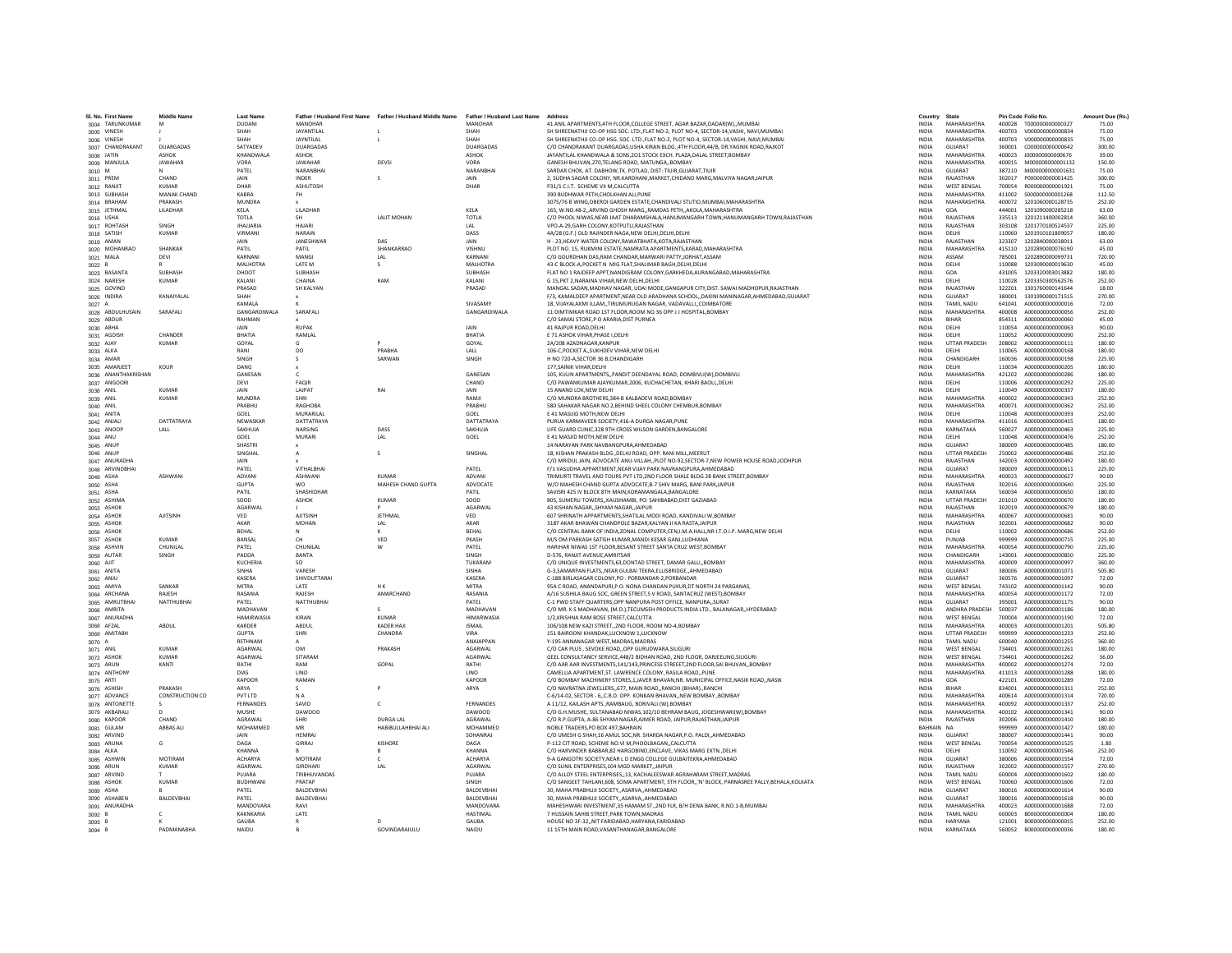| SI, No. First Name          | <b>Middle Name</b>    | <b>Last Name</b>  |                    | Father / Husband First Name Father / Husband Middle Name | Father / Husband Last Name Address |                                                                                               | Country      | State                |        | Pin Code Folio No.                   | Amount Due (Rs. |
|-----------------------------|-----------------------|-------------------|--------------------|----------------------------------------------------------|------------------------------------|-----------------------------------------------------------------------------------------------|--------------|----------------------|--------|--------------------------------------|-----------------|
| 3004 TARUNKUMAR             | M                     | <b>DUDANI</b>     | MANOHAR            |                                                          | <b>MANOHAR</b>                     | 41 ANIL APARTMENTS, 4TH FLOOR, COLLEGE STREET, AGAR BAZAR, DADAR(W),, MUMBAI                  | <b>INDIA</b> | MAHARASHTRA          |        | 400028 T000000000000327              | 75.00           |
| 3005 VINESH                 |                       | SHAH              | JAYANTILAL         |                                                          | SHAH                               | SH SHREENATHJI CO-OP HSG SOC, LTD.,FLAT NO-2, PLOT NO-4, SECTOR-14.VASHI, NAVI.MUMBAI         | <b>INDIA</b> | MAHARASHTRA          |        | 400703 V000000000000834              | 75.00           |
| 3006 VINESH                 |                       | SHAH              | JAYNTILAL          |                                                          | SHAH                               | SH SHREENATHJI CO-OP HSG. SOC. LTD., FLAT NO-2, PLOT NO-4, SECTOR-14, VASHI, NAVI, MUMBAI     | <b>INDIA</b> | MAHARASHTRA          | 400703 | V000000000000835                     | 75.00           |
| 3007 CHANDRAKANT            | DUARGADAS             | <b>SATYADE</b>    | DUARGADAS          |                                                          | <b>DUARGADAS</b>                   | C/O CHANDRAKANT DUARGADAS.USHA KIRAN BLDG4TH FLOOR.44/B. DR.YAGNIK ROAD.RAJKOT                | <b>INDIA</b> | GUJARAT              | 360001 | C000000000000642                     | 300.00          |
| 3008 JATIN                  | ASHOK                 | KHANDWALA         | ASHOK              |                                                          | ASHOK                              | JAYANTILAL KHANDWALA & SONS, 201 STOCK EXCH. PLAZA, DALAL STREET, BOMBAY                      | INDIA        | MAHARASHTRA          | 400023 | J00000000000676                      | 39.00           |
| 3009 MANJUL/                | <b>JAWAHAR</b>        | VORA              | <b>IAWAHAR</b>     | DEVSI                                                    | VORA                               | GANESH RHUVAN 270 TELANG ROAD, MATUNGA, ROMRAY                                                | <b>INDIA</b> | MAHARASHTRA          | 400015 | M000000000001132                     | 150.00          |
| 3010 M                      |                       | PATEL             | <b>NARANRHAI</b>   |                                                          | NARANBHAI                          | SARDAR CHOK, AT. DABHOW, TK. POTLAD, DIST: TIUIR, GUJARAT, TIUIR                              | <b>INDIA</b> | GUJARAT              | 387210 | M000000000001631                     | 75.00           |
| 3011 PREM                   | CHAND                 | JAIN              | INDER              |                                                          | JAIN                               | 2, SUDHA SAGAR COLONY, NR.KARDHANI, MARKET, CHIDAND MARG, MALVIYA NAGAR, JAIPUR               | <b>INDIA</b> | RAJASTHAN            | 302017 | P000000000001425                     | 300.00          |
| 3012 RANJIT                 | KUMAR                 | DHAR              | ASHUTOSH           |                                                          | DHAR                               | P31/1 C.I.T. SCHEME VII M.CALCUTTA                                                            | <b>INDIA</b> | <b>WEST BENGAL</b>   | 700054 | B000000000001921                     | 75.00           |
| 3013 SUBHASH                | MANAK CHAND           | KARRA             | <b>FH</b>          |                                                          |                                    | 390 BUDHWAR PETH.CHOLKHAN ALI.PUNE                                                            | <b>INDIA</b> | MAHARASHTRA          | 411002 | S000000000001268                     | 112.50          |
| 3014 BRAHAM                 | PRAKASH               | <b>MUNDRA</b>     |                    |                                                          |                                    | 3075/76 B WING, OBEROI GARDEN ESTATE, CHANDIVALI STUTIO, MUMBAI, MAHARASHTRA                  | <b>INDIA</b> | MAHARASHTRA          | 400072 | 1201060000128735                     | 252.00          |
| 3015 JETHMAI                | LILADHAR              | KELA              | LILADHAF           |                                                          | KELA                               | 165, W.NO.48-2,,ARVIND GHOSH MARG,,RAMDAS PETH,,AKOLA,MAHARASHTRA                             | INDIA        | GOA                  | 444001 | 1201090000285218                     | 63.00           |
| 3016 USHA                   |                       | <b>TOTLA</b>      | -SH                | <b>LALIT MOHAN</b>                                       | TOTLA                              | C/O PHOOL NIWAS, NEAR JAAT DHARAMSHALA, HANUMANGARH TOWN, HANUMANGARH TOWN, RAJASTHAN         | <b>INDIA</b> | RAJASTHAN            | 335513 | 1201211400002814                     | 360.00          |
| 3017 ROHTASH                | <b>SINGH</b>          | <b>IHAIIARIA</b>  | <b>HAIARI</b>      |                                                          | IAI                                | VPO-A-29 GARH COLONY KOTPUTLL RAJASTHAN                                                       | <b>INDIA</b> | RAIASTHAN            | 303108 | 1201770100524537                     | 225.00          |
| 3018 SATISH                 | <b>KUMAR</b>          | VIRMANI           | NARAIN             |                                                          | DASS                               | 4A/28 (G.F.) OLD RAJINDER NAGA, NEW DELHI, DELHI, DELHI                                       | INDIA        | DELHI                | 110060 | 1201910101809057                     | 180.00          |
| 3019 AMAN                   |                       | <b>JAIN</b>       | JANESHWAF          | DAS                                                      | JAIN                               | H - 23, HEAVY WATER COLONY, RAWATBHATA, KOTA, RAJASTHAN                                       | <b>INDIA</b> | RAJASTHAN            | 323307 | 1202840000038011                     | 63.00           |
| 3020 MOHANRAO               | SHANKAR               | PATIL             | PATIL              | SHANKARRAO                                               | VISHNU                             | PLOT NO. 15, RUKMINI ESTATE, NAMRATA APARTMENTS, KARAD, MAHARASHTRA                           | <b>INDIA</b> | MAHARASHTRA          | 415110 | 1202890000076190                     | 45.00           |
| 3021 MALA                   | DEVI                  | KARNAN            | MANGI              | LAL                                                      | KARNANI                            | C/O GOURDHAN DAS.RAM CHANDAR.MARWARI PATTY.JORHAT.ASSAM                                       | <b>INDIA</b> | ASSAM                | 785001 | 1202890000099731                     | 720.00          |
| 3022 B                      |                       | <b>MALHOTRA</b>   | LATE M             |                                                          | <b>MALHOTRA</b>                    | 43-C BLOCK-A.POCKET N MIG FLAT SHALIMAR BAGH.DELHI.DELHI                                      | <b>INDIA</b> | DELHI                | 110088 | 1203090000019630                     | 45.00           |
| 3023 BASANTA                | SUBHASH               | DHOOT             | SUBHASH            |                                                          | SUBHASH                            | FLAT NO 1 RAJDEEP APPT, NANDIGRAM COLONY, GARKHEDA, AURANGABAD, MAHARASHTRA                   | <b>INDIA</b> | <b>GOA</b>           | 431005 | 1203320003013882                     | 180.00          |
| 3024 NARESH                 | <b>KUMAR</b>          | KALANI            | CHAINA             | RAM                                                      | KALANI                             | G 15.PKT 2.NARAINA VIHAR.NEW DELHI.DELHI                                                      | <b>INDIA</b> | DELHI                | 110028 | 1203350300562576                     | 252.00          |
| 3025 GOVIND                 |                       | PRASAD            | SH KALYAN          |                                                          | PRASAD                             | MANGAL SADAN, MADHAV NAGAR, UDAI MODE, GANGAPUR CITY, DIST. SAWAI MADHOPUR, RAJASTHAN         | <b>INDIA</b> | RAIASTHAN            | 322201 | 1301760000141644                     | 18.00           |
| 3026 INDIRA                 | KANAIYALAL            | SHAH              |                    |                                                          |                                    | F/3, KAMALDEEP APARTMENT, NEAR OLD ARADHANA SCHOOL, ,DAXINI MANINAGAR, AHMEDABAD, GUJARAT     | INDIA        | <b>GUIARAT</b>       | 380001 | 1301990000171515                     | 270.00          |
| 3027 A                      |                       | KAMALA            |                    |                                                          | SIVASAMY                           | 18. VIJAYALAXMI ILLAMTIRUMURUGAN NAGAR, VADAVALLICOIMBATORE                                   | <b>INDIA</b> | TAMIL NADLI          | 641041 | A000000000000016                     | 72.00           |
| 3028 ABDULHUSAIN            | SARAFALI              | GANGARDIWALA      | SARAFALI           |                                                          | GANGARDIWALA                       | 11 DIMTIMKAR ROAD 1ST FLOOR.ROOM NO 36 OPP J J HOSPITAL BOMBAY                                | <b>INDIA</b> | MAHARASHTRA          | 400008 | A000000000000056                     | 252.00          |
| 3029 ABDUF                  |                       | RAHMAN            |                    |                                                          |                                    | C/O SAMAJ STORE, P O ARARIA, DIST PURNEA                                                      | <b>INDIA</b> | RIHAR                | 854311 | A000000000000060                     | 45.00           |
| 3030 ABHA                   |                       | JAIN              | <b>RUPAK</b>       |                                                          | JAIN                               | 41 RAJPUR ROAD, DELHI                                                                         | INDIA        | DELHI                | 110054 | A000000000000063                     | 90.00           |
| 3031 AGDISH                 | CHANDER               | BHATIA            | RAMLAL             |                                                          | BHATIA                             | E 71 ASHOK VIHAR PHASE I DELHI                                                                | <b>INDIA</b> | DELHI                | 110052 | A000000000000090                     | 252.00          |
| 3032 AJAY                   | KUMAR                 | GOYAL             | G                  |                                                          | GOYAL                              | 2A/208 AZADNAGAR KANPUR                                                                       | <b>INDIA</b> | <b>UTTAR PRADESH</b> | 208002 | A000000000000111                     | 180.00          |
| 3033 ALKA                   |                       | RANI              | DO                 | PRARHA                                                   | LALL                               | 106-C, POCKET A, , SUKHDEV VIHAR, NEW DELHI                                                   | <b>INDIA</b> | DELHI                | 110065 | A000000000000168                     | 180.00          |
| 3034 AMAR                   |                       | SINGH             | s                  | SARWAN                                                   | SINGH                              | H NO 720-A SECTOR 36 B CHANDIGARH                                                             | <b>INDIA</b> | CHANDIGARH           | 160036 | A000000000000198                     | 225.00          |
| 3035 AMARJEET               | KOUR                  | DANG              |                    |                                                          |                                    | 177. SAINIK VIHAR DELHI                                                                       | INDIA        | DELHI                | 110034 | A000000000000205                     | 180.00          |
| 3036 ANANTHAKRISHAN         |                       | <b>GANESAN</b>    |                    |                                                          | GANESAN                            | 105, KULIN APARTMENTS, PANDIT DEENDAYAL ROAD, DOMBIVLI(W), DOMBIVLI                           | <b>INDIA</b> | MAHARASHTRA          | 421202 | 4000000000000286                     | 180.00          |
| 3037 ANGOOF                 |                       | DFVI              | FAQIR              |                                                          | CHAND                              | C/O PAWANKUMAR AJAYKUMAR,2006, KUCHACHETAN, KHARI BAOLI,,DELHI                                | <b>INDIA</b> | <b>DELHI</b>         | 110006 | A000000000000292                     | 225.00          |
|                             |                       |                   | <b>LAJPAT</b>      | <b>RAI</b>                                               |                                    |                                                                                               |              |                      |        |                                      |                 |
| 3038 ANIL                   | <b>KUMAR</b><br>KUMAR | JAIN              |                    |                                                          | JAIN<br>RAMI                       | 15 ANAND LOK.NEW DELHI<br>C/O MUNDRA BROTHERS, 384-B KALBADEVI ROAD, BOMBAY                   | INDIA        | DELHI<br>MAHARASHTRA | 110049 | A000000000000337<br>A000000000000343 | 180.00          |
| 3039 ANIL                   |                       | <b>MUNDRA</b>     | SHRI               |                                                          |                                    |                                                                                               | <b>INDIA</b> |                      | 400002 |                                      | 252.00          |
| 3040 ANIL                   |                       | PRABHU            | RAGHOBA            |                                                          | PRABHU                             | 580 SAHAKAR NAGAR NO 2, BEHIND SHEEL COLONY CHEMBUR, BOMBAY                                   | <b>INDIA</b> | MAHARASHTRA          | 400071 | A000000000000362                     | 252.00          |
| 3041 ANITA                  |                       | GOEL              | MURARILAL          |                                                          | GOEL                               | E 41 MASIJID MOTH, NEW DELHI                                                                  | INDIA        | DELHI                | 110048 | A000000000000393                     | 252.00          |
| 3042 ANJALI                 | DATTATRAYA            | NEWASKA           | DATTATRAYA         |                                                          | DATTATRAYA                         | PURUA KARMAVEER SOCIETY.416-A DURGA NAGAR.PUNE                                                | INDIA        | MAHARASHTRA          | 411016 | A000000000000415                     | 180.00          |
| 3043 ANOOP                  | LALL                  | SAKHUJA           | <b>NARSING</b>     | DASS                                                     | SAKHUJA                            | LIFE GUARD CLINIC,328 9TH CROSS WILSON GARDEN, BANGALORE                                      | <b>INDIA</b> | KARNATAKA            | 560027 | A000000000000463                     | 225.00          |
| 3044 ANU                    |                       | GOEL              | MURARI             | IAI                                                      | GOEL                               | F 41 MASIID MOTH NEW DELHI                                                                    | <b>INDIA</b> | <b>DELHI</b>         | 110048 | A000000000000476                     | 252.00          |
| 3045 ANUF                   |                       | <b>SHASTRI</b>    |                    |                                                          |                                    | 14 NARAYAN PARK NAVBANGPURA, AHMEDABAD                                                        | INDIA        | GUJARAT              | 380009 | A000000000000485                     | 180.00          |
| 3046 ANUP                   |                       | SINGHAL           |                    |                                                          | SINGHAL                            | 18, KISHAN PRAKASH BLDG., DELHJ ROAD, OPP. RANI MILL, MEERUT                                  | <b>INDIA</b> | <b>UTTAR PRADESH</b> | 250002 | A000000000000486                     | 252.00          |
| 3047 ANURADHA               |                       | <b>JAIN</b>       |                    |                                                          |                                    | C/O MRIDULIAIN, ADVOCATE ANU-VILLAH, PLOT NO-92 SECTOR-Z NEW POWER HOUSE ROAD JODHPUR         | <b>INDIA</b> | RAIASTHAN            | 342003 | 4000000000000492                     | 180.00          |
| 3048 ARVINDBHAI             |                       | PATFI             | <b>VITHAI RHAI</b> |                                                          | PATFI                              | F/1 VASUDHA APPARTMENT.NEAR VIJAY PARK NAVRANGPURA.AHMEDABAD                                  | <b>INDIA</b> | <b>GUIARAT</b>       | 380009 | A000000000000611                     | 225.00          |
| 3049 ASHA                   | ASHWANI               | ADVANI            | <b>ASHWANI</b>     | KUMAR                                                    | ADVANI                             | TRIMURTI TRAVEL AND TOURS PVT LTD, 2ND FLOOR SHALE BLDG 28 BANK STREET, BOMBAY                | <b>INDIA</b> | MAHARASHTRA          | 400023 | A000000000000627                     | 90.00           |
| 3050 ASHA                   |                       | <b>GUPTA</b>      | <b>WO</b>          | MAHESH CHAND GUPTA                                       | ADVOCATE                           | W/O MAHESH CHAND GUPTA ADVOCATE, B-7 SHIV MARG, BANI PARK, JAIPUR                             | <b>INDIA</b> | RAJASTHAN            | 302016 | A000000000000640                     | 225.00          |
| 3051 ASHA                   |                       | PATIL             | SHASHIDHAF         |                                                          | PATIL                              | SAVISRI 425 IV BLOCK 8TH MAIN.KORAMANGALA.BANGALORE                                           | <b>INDIA</b> | KARNATAKA            | 560034 | A000000000000650                     | 180.00          |
| 3052 ASHIMA                 |                       | soon              | ASHOK              | KUMAR                                                    | SOOD                               | 805, SUMERU TOWERS., KAUSHAMBI, PO: SAHIBABAD, DIST GAZIABAD                                  | <b>INDIA</b> | <b>UTTAR PRADESH</b> | 201010 | A000000000000670                     | 180.00          |
| 3053 ASHOK                  |                       | <b>AGARWA</b>     |                    |                                                          | AGARWA                             | 43 KISHAN NAGAR, SHYAM NAGAR, JAIPU                                                           | INDIA        | RAJASTHAN            | 302019 | A000000000000679                     | 180.00          |
| 3054 ASHOK                  | <b>AJITSINE</b>       | VED               | <b>AJITSINE</b>    | <b>JETHMAL</b>                                           | VFD                                | 607 SHRINATH APPARTMENTS.SHATILAL MODI ROAD, KANDIVALI W.BOMBAY                               | <b>INDIA</b> | MAHARASHTRA          | 400067 | A000000000000681                     | 90.00           |
| 3055 ASHOK                  |                       | AKAR              | MOHAN              | LAL                                                      | AKAR                               | 3187 AKAR BHAWAN CHANDPOLE BAZAR.KALYAN JI KA RASTA JAIPUR                                    | <b>INDIA</b> | RAJASTHAN            | 302001 | A000000000000682                     | 90.00           |
| 3056 ASHOI                  |                       | BEHAL             |                    |                                                          | BEHA                               | C/O CENTRAL BANK OF INDIA, ZONAL COMPUTER, CEN, I.M.A. HALL, NR I.T.O.I.P. MARG, NEW DELHI    | <b>INDIA</b> | <b>DELHI</b>         | 110002 | A000000000000686                     | 252.00          |
| 3057 ASHOK                  | <b>KUMAR</b>          | BANSAI            | CH                 | VED                                                      | PKASH                              | M/S OM PARKASH SATISH KUMAR MANDI KESAR GANJ LUDHIANA                                         | <b>INDIA</b> | PUNJAB               | 999999 | A000000000000715                     | 225.00          |
| 3058 ASHVIN                 | CHUNILAL              | PATEL             | CHUNILAL           |                                                          | PATEL                              | HARIHAR NIWAS 1ST FLOOR, BESANT STREET SANTA CRUZ WEST, BOMBAY                                | INDIA        | MAHARASHTRA          | 400054 | A000000000000790                     | 225.00          |
| 3059 AUTAR                  | SINGH                 | PADDA             | <b>BANTA</b>       |                                                          | <b>SINGH</b>                       | D-576, RANIIT AVENUE AMRITSAR                                                                 | <b>INDIA</b> | CHANDIGARH           | 143001 | A000000000000850                     | 225.00          |
| 3060 AJIT                   |                       | KUCHERIA          | SO.                |                                                          | TUKARAM                            | C/O UNIQUE INVESTMENTS, 63, DONTAD STREET, DAMAR GALLI, BOMBAY                                | <b>INDIA</b> | MAHARASHTRA          | 400009 | A000000000000997                     | 360.00          |
| 3061 ANITA                  |                       | SINHA             | VARESH             |                                                          | <b>SINHA</b>                       | G-3.SAMARPAN FLATSNEAR GULBAI TEKRA.ELLISBRIDGEAHMEDABAD                                      | <b>INDIA</b> | <b>GUJARAT</b>       | 380006 | A000000000001071                     | 505.80          |
| 3062 ANJU                   |                       | KASERA            | SHIVDUTTARAI       |                                                          | <b>KASERA</b>                      | C-188 BIRLASAGAR COLONY.PO : PORBANDAR-2.PORBANDAR                                            | <b>INDIA</b> | GUIARAT              | 360576 | 4000000000001097                     | 72.00           |
| 3063 AMIYA                  | SANKAR                | <b>MITRA</b>      | <b>IATF</b>        | H K                                                      | <b>MITRA</b>                       | 95A C ROAD, ANANDAPURI, P O: NONA CHANDAN PUKUR, DT NORTH 24 PARGANAS,                        | <b>INDIA</b> | <b>WEST RENGAL</b>   | 743102 | A000000000001142                     | 90.00           |
| 3064 ARCHANA                | RAIFSH                | RASANIA           | RAJESH             | AMARCHAND                                                | RASANIA                            | A/16 SUSHILA BAUG SOC, GREEN STREET,S V ROAD, SANTACRUZ (WEST),BOMBAY                         | <b>INDIA</b> | MAHARASHTRA          | 400054 | A000000000001172                     | 72.00           |
| 3065 AMRUTBHAI              | NATTHUBHAI            | PATEL             | NATTHUBHAI         |                                                          | PATEL                              | C-1 PWD STAFF QUARTERS, OPP NANPURA POST OFFICE, NANPURA,, SURAT                              | <b>INDIA</b> | GUJARAT              | 395001 | A000000000001175                     | 90.00           |
| 3066 AMRITA                 |                       | MADHAVAN          |                    | $\sim$                                                   | MADHAVAN                           | C/O MR. K S MADHAVAN, (M.D.).TECUMSEH PRODUCTS INDIA LTD., BALANAGAR., HYDERABAD              | <b>INDIA</b> | ANDHRA PRADESH       | 500037 | A000000000001186                     | 180.00          |
| 3067 ANURADHA               |                       | <b>HAMIRWASIA</b> | KIRAN              | KUMAR                                                    | <b>HIMARWASIA</b>                  | 1/2 KRISHNA RAM ROSE STREET CALCUTTA                                                          | <b>INDIA</b> | <b>WEST RENGAL</b>   | 700004 | A000000000001190                     | 72.00           |
| 3068 AFZAL                  | ABDUL                 | KARDER            | ABDUL              | KADER HAJ                                                | <b>ISMAIL</b>                      | 106/108 NEW KAZI STREET,,2ND FLOOR, ROOM NO-4,BOMBAY                                          | INDIA        | MAHARASHTRA          | 400003 | A000000000001201                     | 505.80          |
| 3069 AMITABH                |                       | <b>GUPTA</b>      | SHRI               | CHANDRA                                                  | VIRA                               | 151 BAIROONI KHANDAK.LUCKNOW 1.LUCKNOV                                                        | <b>INDIA</b> | <b>UTTAR PRADESH</b> | 999999 | A000000000001233                     | 252.00          |
| 3070 A                      |                       | RETHNAM           |                    |                                                          | ANAIAPPAN                          | Y-195 ANNANAGAR WEST.MADRAS.MADRAS                                                            | <b>INDIA</b> | <b>TAMIL NADU</b>    | 600040 | A000000000001255                     | 360.00          |
| 3071 ANIL                   | KUMAR                 | <b>AGARWAI</b>    | OM                 | PRAKASH                                                  | <b>AGARWAI</b>                     | C/O CAR PLUS . SEVOKE ROAD. OPP GURUDWARA. SILIGURI                                           | <b>INDIA</b> | <b>WEST RENGAL</b>   | 734401 | A000000000001261                     | 180.00          |
| 3072 ASHOI                  | <b>KUMAR</b>          | AGARWAL           | SITARAM            |                                                          | <b>AGARWA</b>                      | GEEL CONSULTANCY SERVICE.448/2 BIDHAN ROAD, 2ND FLOOR, DARJEELING.SILIGURI                    | <b>INDIA</b> | <b>WEST BENGAL</b>   | 734401 | A000000000001262                     | 36.00           |
| 3073 ARUN                   | KANTI                 | RATHI             | RAM                | GOPAL                                                    | RATHI                              | C/O AAR AAR INVESTMENTS,141/143, PRINCESS STREEET, 2ND FLOOR, SAI BHUVAN,, BOMBAY             | <b>INDIA</b> | MAHARASHTRA          | 400002 | A000000000001274                     | 72.00           |
| 3074 ANTHON                 |                       | DIAS              | LINO               |                                                          | <b>IINO</b>                        | CAMELLIA APARTMENT.ST. LAWRENCE COLONY. RASILA ROADPUNE                                       | <b>INDIA</b> | MAHARASHTRA          | 411013 | A000000000001288                     | 180.00          |
| 3075 ARTI                   |                       | KAPOOR            | RAMAN              |                                                          | KAPOOR                             | C/O BOMBAY MACHINERY STORES,1,JAVER BHAVAN,NR. MUNICIPAL OFFICE,NASIK ROAD,,NASIK             | <b>INDIA</b> | GOA                  | 422101 | A000000000001289                     | 72.00           |
|                             | PRAKASH               | ARYA              |                    |                                                          | ARYA                               | C/O NAVRATNA JEWELLERS,, 677, MAIN ROAD,, RANCHI (BIHAR)., RANCHI                             | INDIA        | BIHAR                | 834001 | A000000000001311                     | 252.00          |
| 3076 ASHISH<br>3077 ADVANCI | CONSTRUCTION CO       | PVT ITD           | NA                 |                                                          |                                    | C-6/14-02, SECTOR - 6, C.B.D. OPP. KONKAN BHAVAN, NEW BOMBAY., BOMBAY                         | <b>INDIA</b> | MAHARASHTRA          | 400614 | A000000000001314                     | 720.00          |
|                             |                       | <b>FERNANDES</b>  | SAVIO              | $\mathfrak{c}$                                           | FERNANDES                          | A 11/12. KAILASH APTSRAMBAUG. BORIVALI (W).BOMBAY                                             | <b>INDIA</b> | MAHARASHTRA          | 400092 | A000000000001337                     | 252.00          |
| 3078 ANTONETTE              |                       | MUSHE             | <b>DAWOOD</b>      |                                                          | <b>DAWOOD</b>                      |                                                                                               |              | MAHARASHTRA          | 400102 |                                      |                 |
| 3079 AKBARALI               |                       | AGRAWA            | <b>SHRI</b>        |                                                          |                                    | C/O G.H.MUSHE, SULTANABAD NIWAS, 102/10 BEHRAM BAUG, JOGESHWARI(W), BOMBAY                    | <b>INDIA</b> |                      |        | A000000000001341                     | 90.00           |
| 3080 KAPOOF                 | CHAND                 |                   |                    | <b>DURGA LAL</b>                                         | AGRAWAI                            | C/O R.P.GUPTA, A-86 SHYAM NAGAR, AJMER ROAD, JAIPUR, RAJASTHAN, JAIPUR                        | INDIA        | RAJASTHAN            | 302006 | A000000000001410                     | 180.00          |
| 3081 GULAM                  | <b>ABBAS ALI</b>      | MOHAMMED          | MR                 | HABIBULLAHBHAI ALI                                       | MOHAMMED                           | NOBLE TRADERS.PO BOX 497.BAHRAIN                                                              | BAHRAIN NA   |                      | 999999 | A000000000001427                     | 180.00          |
| 3082 ARVIND                 |                       | <b>JAIN</b>       | <b>HFMRA</b>       |                                                          | SOHANRAL                           | C/O UMESH G SHAH,16 AMUL SOC, NR. SHARDA NAGAR, P.O. PALDI, AHMEDABAD                         | <b>INDIA</b> | <b>GUIARAT</b>       | 380007 | A000000000001441                     | 90.00           |
| 3083 ARUNA                  | G                     | DAGA              | GIRRAJ             | KISHOR                                                   | DAGA                               | P-112 CIT ROAD, SCHEME NO.VI M, PHOOLBAGAN, , CALCUTTA                                        | <b>INDIA</b> | <b>WEST BENGAL</b>   | 700054 | A000000000001525                     | 1.80            |
| 3084 ALKA                   |                       | <b>KHANNA</b>     |                    |                                                          | KHANNA                             | C/O HARVINDER BABBAR,82 HARGOBIND, ENCLAVE, VIKAS MARG EXTN., DELHI                           | <b>INDIA</b> | DELHI                | 110092 | A000000000001546                     | 252.00          |
| 3085 ASHWII                 | MOTIRAM               | <b>ACHARYA</b>    | MOTIRAM            | c                                                        | <b>ACHARYA</b>                     | 9-A GANGOTRI SOCIETY, NEAR L D ENGG COLLEGE GULBAITEKRA, AHMEDABAD                            | <b>INDIA</b> | <b>GUJARAT</b>       | 380006 | A000000000001554                     | 72.00           |
| 3086 ARUN                   | KUMAR                 | <b>AGARWAI</b>    | <b>GIRDHARI</b>    | IAI                                                      | <b>AGARWAI</b>                     | C/O SUNIL ENTERPRISES 104 MGD MARKET, JAIPUR                                                  | <b>INDIA</b> | RAIASTHAN            | 302002 | A000000000001557                     | 270.00          |
| 3087 ARVIND                 |                       | PUIARA            | TRIBHUVANDAS       |                                                          | PUIARA                             | C/O ALLOY STEEL ENTERPRISES,,13, KACHALEESWAR AGRAHARAM STREET, MADRAS                        | <b>INDIA</b> | TAMIL NADLI          | 600004 | A000000000001602                     | 180.00          |
| 3088 ASHOK                  | <b>KUMAR</b>          | <b>BUDHWAN</b>    | PRATAP             |                                                          | SINGH                              | C/O SANGEET TAHLANI,608, SOMA APARTMENT, 5TH FLOOR,,'N' BLOCK, PARNASREE PALLY,BEHALA,KOLKATA | <b>INDIA</b> | <b>WEST BENGAL</b>   | 700060 | A000000000001606                     | 72.00           |
| 3089 ASHA                   |                       | PATEL             | BALDEVBHA          |                                                          | BALDEVBHA                          | 30. MAHA PRABHUJI SOCIETY., ASARVA, AHMEDABAD                                                 | <b>INDIA</b> | GUJARAT              | 380016 | A000000000001614                     | 90.00           |
| 3090 ASHABEN                | <b>RAI DEVRHAI</b>    | PATFI             | <b>BALDEVRHA</b>   |                                                          | <b>RAI DEVRHAI</b>                 | 30, MAHA PRABHUJI SOCIETY, ASARVA, AHMEDABAD                                                  | <b>INDIA</b> | GUIARAT              | 380016 | A000000000001618                     | 90.00           |
| 3091 ANURADHA               |                       | MANDOVARA         | RAVI               |                                                          | MANDOVARA                          | MAHESHWARI INVESTMENT, 35 HAMAM ST., 2ND FLR, B/H DENA BANK, R.NO.1-B, MUMBAI                 | <b>INDIA</b> | <b>MAHARASHTRA</b>   | 400023 | A000000000001688                     | 72.00           |
| $3092$ B                    |                       | KAKNKARIA         | LATE               |                                                          | <b>HASTIMAL</b>                    | 7 HUSSAIN SAHIB STREET, PARK TOWN, MADRAS                                                     | INDIA        | TAMIL NADU           | 600003 | B000000000000004                     | 180.00          |
| 3093 B                      |                       | GAUBA             | R                  |                                                          | <b>GAUBA</b>                       | HOUSE NO 3F-32NIT FARIDABAD.HARYANA.FARIDABAD                                                 | <b>INDIA</b> | <b>HARYANA</b>       | 121001 | B000000000000015                     | 252.00          |
| 3094 B                      | PADMANARHA            | NAIDU             | $\mathbb{R}$       | <b>GOVINDARAILILLI</b>                                   | NAIDU                              | 11 15TH MAIN ROAD.VASANTHANAGAR.BANGALORE                                                     | <b>INDIA</b> | KARNATAKA            | 560052 | 8000000000000036                     | 180.00          |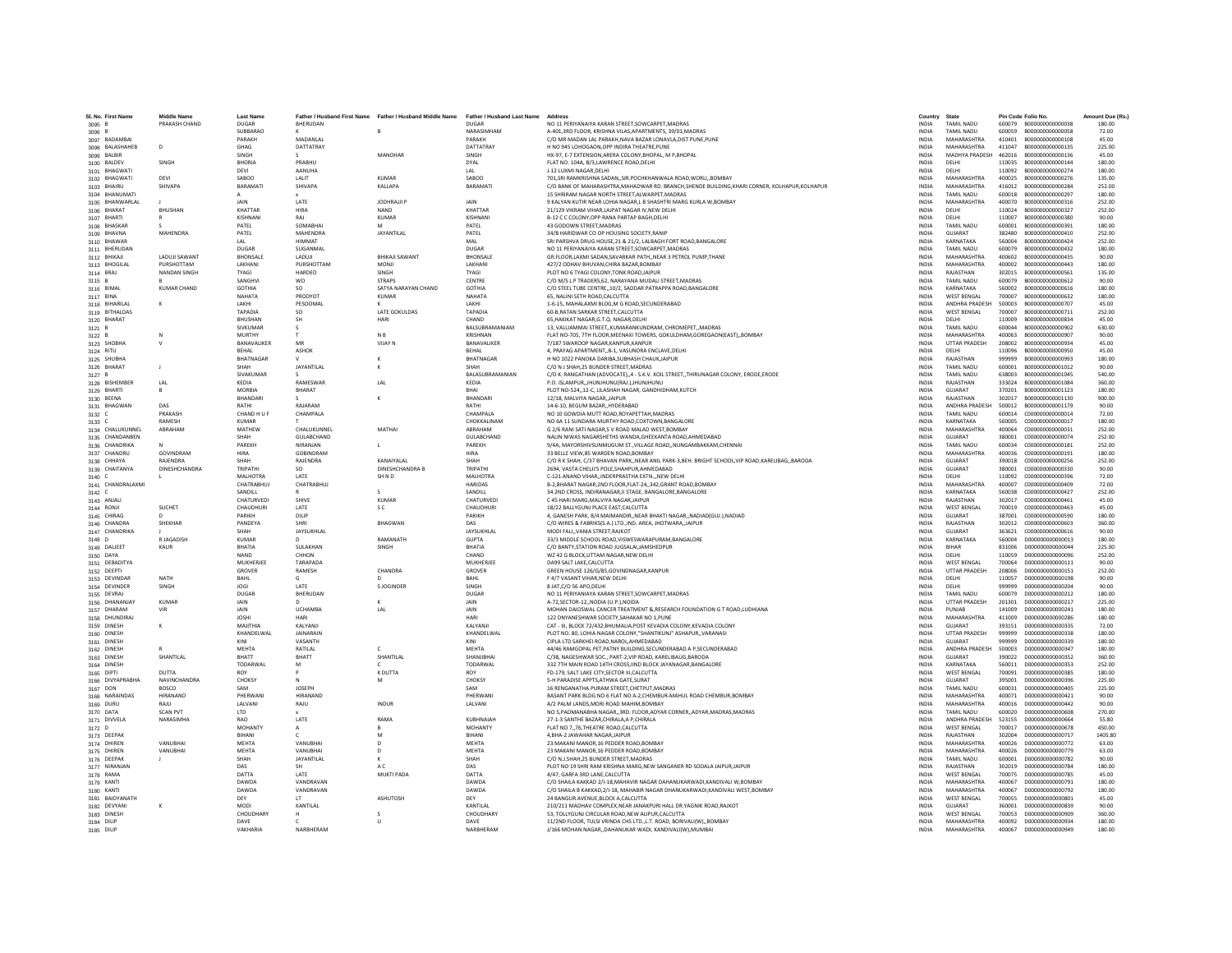| SL No. First Name              | <b>Middle Name</b>        | <b>Last Name</b>       |                                 | Father / Husband First Name Father / Husband Middle Name Father / Husband Last Name |                         | Address                                                                                                                                           | Country                      | State                               |                  | Pin Code Folio No.                         | Amount Due (Rs.) |
|--------------------------------|---------------------------|------------------------|---------------------------------|-------------------------------------------------------------------------------------|-------------------------|---------------------------------------------------------------------------------------------------------------------------------------------------|------------------------------|-------------------------------------|------------------|--------------------------------------------|------------------|
| 3095 B                         | PRAKASH CHAND             | <b>DUGAR</b>           | BHERUDAN                        |                                                                                     | <b>DUGAR</b>            | NO 11 PERIYANAIYA KARAN STREET, SOWCARPET, MADRAS                                                                                                 | <b>INDIA</b>                 | <b>TAMIL NADU</b>                   |                  | 600079 B000000000000038                    | 180.00           |
| 3096B                          |                           | SURBARAO               |                                 |                                                                                     | NARASIMHAM              | A-401 3RD FLOOR, KRISHNA VILAS APARTMENTS, 39/01 MADRAS                                                                                           | <b>INDIA</b>                 | <b>TAMIL NADLI</b>                  |                  | 600059 B000000000000058                    | 72.00            |
| 3097 BADAMBAI                  |                           | PARAKH                 | MADANI AI                       |                                                                                     | PARAKH                  | C/O MR MADAN LAL PARAKH, NAVA BAZAR LONAVLA, DIST PUNE, PUNE                                                                                      | <b>INDIA</b>                 | MAHARASHTRA                         | 410401           | B000000000000108                           | 45.00            |
| 3098 BALASHAHEB                | D                         | GHAG                   | <b>DATTATRAY</b>                |                                                                                     | DATTATRAY               | H NO 945 LOHOGAON, OPP INDIRA THEATRE, PUNE                                                                                                       | INDIA                        | MAHARASHTRA                         | 411047           | B000000000000135                           | 225.00           |
| 3099 BALBIR<br>3100 BALDEV     | SINGH                     | SINGH<br><b>BHORIA</b> | PRABHU                          | MANOHAR                                                                             | SINGH<br><b>DYAL</b>    | HX-97, E-7 EXTENSION, ARERA COLONY, BHOPAL, M P. BHOPAL<br>FLAT NO. 104A, B/3.LAWRENCE ROAD.DELHI                                                 | <b>INDIA</b><br><b>INDIA</b> | <b>MADHYA PRADESH</b><br>DELHI      | 462016<br>110035 | B000000000000136<br>B000000000000144       | 45.00<br>180.00  |
| 3101 BHAGWATI                  |                           | DEVI                   | AANUHA                          |                                                                                     | IAI                     | 1-12 I UXMI NAGAR DELHI                                                                                                                           | <b>INDIA</b>                 | DELHI                               | 110092           | 8000000000000274                           | 180.00           |
| 3102 BHAGWATI                  | DEVI                      | SABOO                  | LALIT                           | <b>KUMAR</b>                                                                        | SABOO                   | 701, SRI RAMKRISHNA SADAN, , SIR. POCHKHANWALA ROAD, WORLI, , BOMBAY                                                                              | INDIA                        | MAHARASHTRA                         | 400025           | B00000000000276                            | 135.00           |
| 3103 BHAIRU                    | SHIVAPA                   | BARAMAT                | <b>SHIVAPA</b>                  | KALLAPA                                                                             | BARAMAT                 | C/O BANK OF MAHARASHTRA.MAHADWAR RD. BRANCH.SHENDE BUILDING.KHARI CORNER. KOLHAPUR.KOLHAPUR                                                       | <b>INDIA</b>                 | MAHARASHTRA                         | 416012           | B000000000000284                           | 252.00           |
| 3104 BHANUMATI                 |                           |                        |                                 |                                                                                     |                         | 15 SHRIRAM NAGAR NORTH STREET.ALWARPET.MADRAS                                                                                                     | <b>INDIA</b>                 | <b>TAMIL NADLI</b>                  | 600018           | 8000000000000297                           | 180.00           |
| 3105 BHANWARLAL                |                           | <b>JAIN</b>            | <b>LATE</b>                     | <b>IODHRAILP</b>                                                                    | <b>JAIN</b>             | 9 KAI YAN KUTIR NEAR LOHIA NAGAR LA SHASHTRI MARG KURLA W ROMRAY                                                                                  | <b>INDIA</b>                 | MAHARASHTRA                         | 400070           | B000000000000316                           | 252.00           |
| 3106 BHARAT                    | <b>BHUSHAN</b>            | KHATTAR                | <b>HIRA</b><br>RAJ              | <b>NAND</b>                                                                         | KHATTAR                 | 21/129 VIKRAM VIHAR.LAJPAT NAGAR IV.NEW DELHI                                                                                                     | <b>INDIA</b>                 | DELHI                               | 110024           | B000000000000327                           | 252.00           |
| 3107 BHARTI<br>3108 BHASKAR    |                           | KISHNANI<br>PATEL      | SOMABHA                         | KUMAR                                                                               | KISHNANI<br>PATEL       | B-12 C C COLONY, OPP RANA PARTAP BAGH, DELHI<br>43 GODOWN STREET.MADRAS                                                                           | <b>INDIA</b><br><b>INDIA</b> | DELHI<br><b>TAMIL NADU</b>          | 110007<br>600001 | B000000000000380<br>B000000000000391       | 90.00<br>180.00  |
| 3109 BHAVNA                    | MAHENDRA                  | PATEL                  | MAHENDRA                        | <b>JAYANTILAL</b>                                                                   | PATEL                   | 34/B HARIDWAR CO OP HOUSING SOCIETY.RANIP                                                                                                         | <b>INDIA</b>                 | GUJARAT                             | 382480           | B00000000000410                            | 252.00           |
| 3110 BHAWAR                    |                           | IAI                    | <b>HIMMAT</b>                   |                                                                                     | MAI                     | SRI PARSHVA DRUG HOUSE, 21 & 21/2, LALBAGH FORT ROAD. BANGALORE                                                                                   | <b>INDIA</b>                 | KARNATAKA                           | 560004           | B000000000000424                           | 252.00           |
| 3111 BHERUDAN                  |                           | DUGAR                  | SUGANMAL                        |                                                                                     | <b>DUGAR</b>            | NO 11 PERIYANAIYA KARAN STREET, SOWCARPET, MADRAS                                                                                                 | INDIA                        | <b>TAMIL NADU</b>                   | 600079           | B000000000000432                           | 180.00           |
| 3112 BHIKAJI                   | <b>LADUJI SAWANT</b>      | <b>BHONSALE</b>        | LADUJI                          | <b>BHIKAJI SAWANT</b>                                                               | BHONSALI                | GR.FLOOR.LAXMI SADAN.SAVARKAR PATHNEAR 3 PETROL PUMP.THANE                                                                                        | <b>INDIA</b>                 | <b>MAHARASHTRA</b>                  | 400602           | B000000000000435                           | 90.00            |
| 3113 BHOGILAL                  | PURSHOTTAM                | LAKHANI                | PURSHOTTAN                      | MONJI                                                                               | LAKHANI                 | 427/2 ODHAV BHUVAN.CHIRA BAZAR.BOMBAY                                                                                                             | <b>INDIA</b>                 | MAHARASHTRA                         | 400002           | B000000000000443                           | 180.00           |
| 3114 BRAJ                      | <b>NANDAN SINGH</b>       | TYAGI<br>SANGHVI       | <b>HARDEO</b><br><b>WO</b>      | SINGH<br><b>STRAPS</b>                                                              | <b>TYAGI</b><br>CENTRE  | PLOT NO 6 TYAGI COLONY.TONK ROAD.JAIPUR<br>C/O M/S L P TRADERS.62. NARAYANA MUDALI STREET.MADRAS                                                  | <b>INDIA</b><br><b>INDIA</b> | RAJASTHAN<br><b>TAMIL NADLI</b>     | 302015<br>600079 | B000000000000561<br>B000000000000612       | 135.00<br>90.00  |
| 3115 B<br>3116 BIMAL           | <b>KUMAR CHAND</b>        | <b>GOTHIA</b>          | <b>SO</b>                       | SATYA NARAYAN CHAND                                                                 | <b>GOTHIA</b>           | C/O STEEL TUBE CENTRE, 10/2, SADDAR PATRAPPA ROAD, BANGALORE                                                                                      | INDIA                        | KARNATAKA                           | 560002           | B000000000000616                           | 180.00           |
| 3117 BINA                      |                           | NAHATA                 | PRODYOT                         | <b>KUMAR</b>                                                                        | NAHATA                  | 65. NALINI SETH ROAD.CALCUTTA                                                                                                                     | <b>INDIA</b>                 | <b>WEST BENGAL</b>                  | 700007           | B000000000000632                           | 180.00           |
| 3118 BIHARILA                  | ĸ                         | LAKHI                  | PESOOMAL                        |                                                                                     | LAKHI                   | 1-6-15. MAHALAXMI BLDG.M G ROAD.SECUNDERABAD                                                                                                      | <b>INDIA</b>                 | ANDHRA PRADESH                      | 500003           | B000000000000707                           | 45.00            |
| 3119 BITHALDAS                 |                           | <b>TAPADIA</b>         | SO.                             | <b>LATE GOKULDAS</b>                                                                | TAPADIA                 | 60-B RATAN SARKAR STREET CALCUTTA                                                                                                                 | <b>INDIA</b>                 | <b>WEST RENGAL</b>                  | 700007           | 8000000000000711                           | 252.00           |
| 3120 BHARAT                    |                           | BHUSHAN                | <b>SH</b>                       | HARI                                                                                | CHAND                   | 65, HAKIKAT NAGAR, G.T.Q. NAGAR, DELHI                                                                                                            | INDIA                        | DELHI                               | 110009           | B000000000000834                           | 45.00            |
| 3121 B                         |                           | SIVKUMAR               |                                 |                                                                                     | BALSUBRAMANIAM          | 13, VALLIAMMAI STREET, KUMARANKUNDRAM, CHROMEPET, MADRAS                                                                                          | <b>INDIA</b>                 | <b>TAMIL NADU</b>                   | 600044           | B000000000000902                           | 630.00           |
| 3122 B<br>3123 SHOBHA          | N                         | MURTHY<br>BANAVALIKER  | . т.<br>MR                      | N <sub>B</sub><br><b>VIJAY N</b>                                                    | KRISHNAN<br>BANAVALIKER | FLAT NO-705, 7TH FLOOR, MEENAXI TOWERS, GOKULDHAM, GOREGAON(EAST), BOMBAY<br>7/187 SWAROOP NAGAR.KANPUR.KANPUR                                    | <b>INDIA</b><br><b>INDIA</b> | MAHARASHTRA<br><b>UTTAR PRADESH</b> | 400063<br>208002 | B000000000000907<br>B000000000000934       | 90.00<br>45.00   |
| 3124 RITU                      |                           | <b>RFHAI</b>           | ASHOK                           |                                                                                     | <b>REHAL</b>            | 4. PRAYAG APARTMENTB-1. VASUNDRA ENCLAVE.DELHI                                                                                                    | <b>INDIA</b>                 | DELHI                               | 110096           | 8000000000000950                           | 45.00            |
| 3125 SHUBHA                    |                           | BHATNAGAR              |                                 |                                                                                     | BHATNAGAR               | H NO 1022 PANOKA DARIBA, SUBHASH CHAUK, JAIPUR                                                                                                    | INDIA                        | RAJASTHAN                           | 999999           | B000000000000993                           | 180.00           |
| 3126 BHARAT                    |                           | SHAH                   | JAYANTILAL                      |                                                                                     | <b>SHAF</b>             | C/O N J SHAH.25 BUNDER STREET.MADRAS                                                                                                              | <b>INDIA</b>                 | <b>TAMIL NADU</b>                   | 600001           | B000000000001012                           | 90.00            |
| 3127 B                         |                           | SIVAKUMAR              |                                 |                                                                                     | BALASUBRAMANIAN         | C/O K, RANGATHAN (ADVOCATE), 4 - S.K.V. KOIL STREET, THIRUNAGAR COLONY, ERODE, ERODE                                                              | <b>INDIA</b>                 | <b>TAMIL NADU</b>                   | 638003           | B000000000001045                           | 540.00           |
| 3128 BISHEMBER                 | IAI                       | KEDIA                  | <b>RAMESWAR</b>                 | 1 Al                                                                                | KEDIA                   | P.O. ISLAMPUR. JHUNJHUNU(RAJ.) JHUNJHUNU                                                                                                          | <b>INDIA</b>                 | RAIASTHAN                           | 333024           | 8000000000001084                           | 360.00           |
| 3129 BHARTI                    |                           | <b>MORBIA</b>          | BHARAT                          |                                                                                     | BHAI                    | PLOT NO-524, 12-C, LILASHAH NAGAR, GANDHIDHAM, KUTCH                                                                                              | INDIA                        | GUJARAT                             | 370201           | B000000000001123                           | 180.00           |
| 3130 BEENA                     | DAS                       | BHANDARI               | RAJARAM                         |                                                                                     | BHANDAR<br>RATHI        | 12/18. MALVIYA NAGAR. JAIPUF<br>14-6-10, BEGUM BAZAR., HYDERABAD                                                                                  | <b>INDIA</b>                 | RAJASTHAN<br>ANDHRA PRADESH         | 302017           | B000000000001130                           | 900.00           |
| 3131 BHAGWAN<br>3132 C         | PRAKASH                   | RATHI<br>CHAND H U F   | CHAMPALA                        |                                                                                     | CHAMPALA                | NO 10 GOWDIA MUTT ROAD.ROYAPETTAH.MADRAS                                                                                                          | <b>INDIA</b><br><b>INDIA</b> | <b>TAMIL NADU</b>                   | 500012<br>600014 | B000000000001179<br>C000000000000014       | 90.00<br>72.00   |
| $3133 \text{ C}$               | <b>RAMESH</b>             | KUMAR                  |                                 |                                                                                     | <b>CHOKKALINAM</b>      | NO 6A 11 SUNDARA MURTHY ROAD.COXTOWN.BANGALORE                                                                                                    | <b>INDIA</b>                 | KARNATAKA                           | 560005           | 000000000000017                            | 180.00           |
| 3134 CHALUKUNNEL               | ABRAHAN                   | MATHEW                 | CHALUKUNNEI                     | MATHAI                                                                              | ABRAHAM                 | G 2/6 RANI SATI NAGAR, S V ROAD MALAD WEST, BOMBAY                                                                                                | INDIA                        | MAHARASHTRA                         | 400064           | C000000000000031                           | 252.00           |
| 3135 CHANDANBEN                |                           | SHAH                   | GULABCHAND                      |                                                                                     | GULABCHAND              | NALIN NIWAS NAGARSHETHS WANDA.GHEEKANTA ROAD.AHMEDABAD                                                                                            | <b>INDIA</b>                 | GUJARAT                             | 380001           | C000000000000074                           | 252.00           |
| 3136 CHANDRIKA                 |                           | PAREKH                 | NIRANJAN                        | л.                                                                                  | PAREKH                  | 9/4A, MAYORSHIVSUNMUGUM ST., VILLAGE ROAD,, NUNGAMBAKKAM, CHENNAI                                                                                 | <b>INDIA</b>                 | <b>TAMIL NADU</b>                   | 600034           | C000000000000181                           | 252.00           |
| 3137 CHANDRU                   | GOVINDRAM                 | <b>HIRA</b>            | GORINDRAM                       |                                                                                     | <b>HIRA</b>             | 33 RELLE VIEW 85 WARDEN ROAD ROMRAY                                                                                                               | <b>INDIA</b>                 | MAHARASHTRA                         | 400036           | 000000000000191                            | 180.00           |
| 3138 CHHAYA<br>3139 CHAITANYA  | RAJENDRA<br>DINESHCHANDRA | SHAH<br>TRIPATHI       | RAJENDRA                        | KANAIYALAL<br><b>DINESHCHANDRA B</b>                                                | SHAH<br>TRIPATHI        | C/O R K SHAH, C/37 BHAVAN PARK,, NEAR ANIL PARK-3, BEH. BRIGHT SCHOOL, VIP ROAD, KARELIBAG,, BARODA<br>2694, VASTA CHELI'S POLE.SHAHPUR.AHMEDABAD | INDIA<br><b>INDIA</b>        | GUJARAT<br>GUJARAT                  | 390018<br>380001 | C000000000000256<br>C000000000000330       | 252.00<br>90.00  |
| 3140 $C$                       |                           | MALHOTRA               | LATE                            | SH N D                                                                              | <b>MALHOTRA</b>         | C-121 ANAND VIHARINDERPRASTHA EXTNNEW DELH                                                                                                        | <b>INDIA</b>                 | DELHI                               | 110092           | C000000000000396                           | 72.00            |
| 3141 CHANDRALAXMI              |                           | CHATRABHUJ             | CHATRABHUJ                      |                                                                                     | <b>HARIDAS</b>          | B-2.BHARAT NAGAR.2ND FLOOR.FLAT-24342.GRANT ROAD.BOMBAY                                                                                           | <b>INDIA</b>                 | MAHARASHTRA                         | 400007           | C000000000000409                           | 72.00            |
| $3142$ C                       |                           | SANDILL                |                                 | s                                                                                   | SANDILL                 | 34 2ND CROSS, INDIRANAGAR, II STAGE, BANGALORE, BANGALORE                                                                                         | <b>INDIA</b>                 | KARNATAKA                           | 560038           | 0000000000000427                           | 252.00           |
| 3143 ANJALI                    |                           | CHATURVEDI             | SHIVE                           | KUMAR                                                                               | CHATURVED               | C 45 HARI MARG, MALVIYA NAGAR, JAIPUI                                                                                                             | INDIA                        | RAJASTHAN                           | 302017           | C000000000000461                           | 45.00            |
| 3144 RONJI                     | SUCHET                    | CHAUDHURI              | LATE                            | s c                                                                                 | CHAUDHURI               | 18/22 BALLYGUNJ PLACE EAST.CALCUTTA                                                                                                               | <b>INDIA</b>                 | <b>WEST BENGAL</b>                  | 700019           | C000000000000463                           | 45.00            |
| 3145 CHIRAG                    | D.<br><b>SHEKHAR</b>      | PARIKH<br>PANDEYA      | DILIP<br>SHRI                   | RHAGWAN                                                                             | PARIKH<br>DAS           | 4. GANESH PARK, B/4 MAIMANDIR., NEAR BHAKTI NAGAR., NADIADIGUJ.), NADIAD<br>C/O WIRES & FABRIKS(S.A.) LTDIND. AREA. JHOTWARA. JAIPUR              | <b>INDIA</b><br><b>INDIA</b> | GUJARAT<br>RAIASTHAN                | 387001<br>302012 | C000000000000590<br>C000000000000603       | 180.00<br>360.00 |
| 3146 CHANDRA<br>3147 CHANDRIKA |                           | SHAH                   | JAYSUKHLAL                      |                                                                                     | JAYSUKHLAL              | MODI FALIVANIA STREET.RAJKOT                                                                                                                      | INDIA                        | GUIARAT                             | 363621           | C000000000000616                           | 90.00            |
| 3148 D                         | R JAGADISH                | <b>KUMAR</b>           |                                 | RAMANATH                                                                            | <b>GUPTA</b>            | 33/1 MIDDLE SCHOOL ROAD, VISWESWARAPURAM, BANGALORE                                                                                               | INDIA                        | KARNATAKA                           | 560004           | D000000000000013                           | 180.00           |
| 3149 DALJEET                   | KAUR                      | BHATIA                 | SULAKHAN                        | SINGH                                                                               | BHATIA                  | C/O BANTY, STATION ROAD JUGSALAI, JAMSHEDPUR                                                                                                      | <b>INDIA</b>                 | <b>BIHAR</b>                        | 831006           | D000000000000044                           | 225.00           |
| 3150 DAYA                      |                           | NAND                   | CHHON                           |                                                                                     | CHAND                   | WZ 42 G BLOCK.UTTAM NAGAR.NEW DELHI                                                                                                               | <b>INDIA</b>                 | DELHI                               | 110059           | D000000000000096                           | 252.00           |
| 3151 DEBADITYA                 |                           | <b>MUKHERIFF</b>       | TARAPADA                        |                                                                                     | MUKHERIEE               | DA99 SALT LAKE.CALCUTTA                                                                                                                           | <b>INDIA</b>                 | <b>WEST RENGAL</b>                  | 700064           | 0000000000000111                           | 90.00            |
| 3152 DEEPTI                    | <b>NATH</b>               | GROVER<br>BAHL         | RAMESH                          | CHANDRA                                                                             | GROVER<br>BAHL          | GREEN HOUSE 126/G/85,GOVINDNAGAR,KANPUR<br>F 4/7 VASANT VIHAR.NEW DELHI                                                                           | INDIA<br><b>INDIA</b>        | <b>UTTAR PRADESH</b><br>DELHI       | 208006<br>110057 | D000000000000151<br>D000000000000198       | 252.00<br>90.00  |
| 3153 DEVINDAR<br>3154 DEVINDER | SINGH                     | <b>JOGI</b>            | LATE                            | S JOGINDER                                                                          | SINGH                   | 8 JAT.C/O 56 APO.DELHI                                                                                                                            | <b>INDIA</b>                 | DELHI                               | 999999           | D000000000000204                           | 90.00            |
| 3155 DEVRAJ                    |                           | DUGAR                  | RHFRUDAN                        |                                                                                     | DUGAR                   | NO 11 PERIYANIAYA KARAN STREET, SOWCARPET, MADRAS                                                                                                 | <b>INDIA</b>                 | <b>TAMIL NADLI</b>                  | 600079           | 0000000000000212                           | 180.00           |
| 3156 DHANANJA'                 | <b>KUMAR</b>              | JAIN                   |                                 |                                                                                     | JAIN                    | A-72,SECTOR-12,,NODIA (U.P.),NOIDA                                                                                                                | INDIA                        | <b>UTTAR PRADESH</b>                | 201301           | D00000000000217                            | 225.00           |
| 3157 DHARAM                    |                           | JAIN                   | <b>UCHAMBA</b>                  | LAL                                                                                 | JAIN                    | MOHAN DAIOSWAL CANCER TREATMENT & RESEARCH FOUNDATION G T ROAD, LUDHIANA                                                                          | INDIA                        | PUNJAB                              | 141009           | D00000000000241                            | 180.00           |
| 3158 DHUNDIRAJ                 |                           | <b>JOSHI</b>           |                                 |                                                                                     | HARI                    | 122 DNYANESHWAR SOCIETY.SAHAKAR NO 1.PUNE                                                                                                         | <b>INDIA</b>                 | MAHARASHTRA                         | 411009           | D00000000000286                            | 180.00           |
| 3159 DINESH                    |                           | MAJITHIA<br>KHANDELWAL | KALYANJI<br><b>IAINARAIN</b>    |                                                                                     | KALYANJI<br>KHANDELWAL  | CAT - III. BLOCK 72/432.BHUMALIA.POST KEVADIA COLONY.KEVADIA COLONY<br>PLOT NO. 80. LOHIA NAGAR COLONY. "SHANTIKUNI" ASHAPUR, VARANASI.           | <b>INDIA</b><br><b>INDIA</b> | GUJARAT<br><b>UTTAR PRADESH</b>     | 999999           | 393151 D000000000000335<br>000000000000338 | 72.00<br>180.00  |
| 3160 DINESH<br>3161 DINESH     |                           | KINI                   | VASANTH                         |                                                                                     |                         | CIPLA LTD SARKHEI ROAD, NAROL, AHMEDABAD                                                                                                          | INDIA                        | GUJARAT                             | 999999           | D00000000000339                            | 180.00           |
| 3162 DINESH                    |                           | MEHTA                  | RATILAL                         |                                                                                     | MEHTA                   | 44/46 RAMGOPAL PET.PATNY BUILDING.SECUNDERABAD A P.SECUNDERABAD                                                                                   | <b>INDIA</b>                 | ANDHRA PRADESH                      | 500003           | D00000000000347                            | 180.00           |
| 3163 DINESH                    | SHANTILAL                 | BHATT                  | <b>BHATT</b>                    | SHANTILAL                                                                           | SHANJIBHAI              | C/38, NAGESHWAR SOC., PART-2, VIP ROAD, KARELIBAUG, BARODA                                                                                        | <b>INDIA</b>                 | GUJARAT                             | 390022           | D000000000000352                           | 360.00           |
| 3164 DINESH                    |                           | <b>TODARWAL</b>        | M                               |                                                                                     | <b>TODARWAL</b>         | 332 7TH MAIN ROAD 14TH CROSS JIND BLOCK JAYANAGAR BANGALORE                                                                                       | <b>INDIA</b>                 | KARNATAKA                           | 560011           | D000000000000353                           | 252.00           |
| 3165 DIPTI                     | <b>DUTTA</b>              | <b>ROY</b>             |                                 | K DUTTA                                                                             | <b>ROY</b>              | FD-179. SALT LAKE CITY SECTOR III.CALCUTTA                                                                                                        | <b>INDIA</b>                 | <b>WEST BENGAL</b>                  | 700091           | 000000000000385                            | 180.00           |
| 3166 DIVYAPRABHA               | NAVINCHANDRA<br>BOSCO     | CHOKSY<br>SAM          | <b>JOSEPH</b>                   |                                                                                     | CHOKSY<br>SAM           | 5-H PARADISE APPTS, ATHWA GATE, SURAT<br>16 RENGANATHA PURAM STREET.CHETPUT.MADRAS                                                                | INDIA<br><b>INDIA</b>        | GUJARAT<br><b>TAMIL NADU</b>        | 395001<br>600031 | D00000000000396<br>D000000000000405        | 225.00<br>225.00 |
| 3167 DON<br>3168 NARAINDAS     | <b>HIRANAND</b>           | PHERWANI               | HIRANAND                        |                                                                                     | PHERWANI                | BASANT PARK BLDG NO 6 FLAT NO A-2.CHEMBUR-MAHUL ROAD CHEMBUR.BOMBAY                                                                               | <b>INDIA</b>                 | MAHARASHTRA                         | 400071           | D00000000000421                            | 90.00            |
| 3169 DURU                      | RAILL                     | <b>I AI VANI</b>       | RAILL                           | <b>INDUR</b>                                                                        | <b>JAIVANI</b>          | A/2 PALM LANDS MORLROAD MAHIM ROMRAY                                                                                                              | <b>INDIA</b>                 | MAHARASHTRA                         | 400016           | 0000000000000442                           | 90.00            |
| 3170 DATA                      | <b>SCAN PVT</b>           | LTD                    |                                 |                                                                                     |                         | NO 5, PADMANABHA NAGAR, 3RD. FLOOR, ADYAR CORNER, ADYAR, MADRAS, MADRAS                                                                           | INDIA                        | <b>TAMIL NADU</b>                   | 600020           | D000000000000608                           | 270.00           |
| 3171 DIVVELA                   | NARASIMHA                 | RAO                    | LATE                            | <b>RAMA</b>                                                                         | KUBHNAIAH               | 27-1-3 SANTHE BAZAR.CHIRALA A P.CHIRALA                                                                                                           | <b>INDIA</b>                 | ANDHRA PRADESH                      | 523155           |                                            | 55.80            |
| 3172 D                         |                           | MOHANTY                |                                 | R                                                                                   | <b>MOHANTY</b>          | FLAT NO 776.THEATRE ROAD.CALCUTTA                                                                                                                 | <b>INDIA</b>                 | <b>WEST BENGAL</b>                  | 700017           | D00000000000678                            | 450.00           |
| 3173 DEEPAK                    |                           | <b>BIHANI</b>          |                                 | M                                                                                   | RIHANI                  | 4 RHA-2 JAWAHAR NAGAR JAIPUR                                                                                                                      | <b>INDIA</b>                 | RAIASTHAN                           | 302004           | 000000000000717                            | 1405.80          |
| 3174 DHIREN                    | VANURHAI                  | <b>MEHTA</b>           | VANURHAI                        | $\mathsf{D}$                                                                        | MFHTA                   | 23 MAKANI MANOR.16 PEDDER ROAD.BOMBAY                                                                                                             | <b>INDIA</b>                 | MAHARASHTRA                         | 400026           | 000000000000772                            | 63.00            |
| 3175 DHIREN<br>3176 DEEPAK     | VANUBHA                   | MEHTA<br>SHAH          | VANUBHAI<br><b>JAYANTILAL</b>   | D<br>к                                                                              | <b>MEHTA</b><br>SHAH    | 23 MAKANI MANOR,16 PEDDER ROAD,BOMBAY<br>C/O NJ.SHAH.25 BUNDER STREET.MADRAS                                                                      | INDIA<br><b>INDIA</b>        | MAHARASHTRA<br><b>TAMIL NADU</b>    | 400026<br>600001 | D00000000000779<br>D00000000000782         | 63.00<br>90.00   |
| 3177 NIRANJAN                  |                           | DAS                    | <b>SH</b>                       | A C                                                                                 | DAS                     | PLOT NO 19 SHRI RAM KRISHNA MARG, NEW SANGANER RD SODALA JAIPUR, JAIPUR                                                                           | <b>INDIA</b>                 | RAJASTHAN                           | 302019           | D00000000000784                            | 180.00           |
| 3178 RAMA                      |                           | DATTA                  | <b>LATE</b>                     | MUKTI PADA                                                                          | DATTA                   | 4/47 GAREA 3RD LANE CALCUTTA                                                                                                                      | <b>INDIA</b>                 | <b>WEST RENGAL</b>                  | 700075           | 000000000000785                            | 45.00            |
| 3179 KANTI                     |                           | DAWDA                  | VANDRAVAN                       |                                                                                     | DAWDA                   | C/O SHAILA KAKKAD 2/I-18, MAHAVIR NAGAR DAHANUKARWADI, KANDIVALI W, BOMBAY                                                                        | INDIA                        | MAHARASHTRA                         | 400067           | D000000000000791                           | 180.00           |
| 3180 KANTI                     |                           | DAWDA                  | VANDRAVAN                       |                                                                                     | DAWDA                   | C/O SHAILA B KAKKAD.2/I-18, MAHABIR NAGAR DHANUKARWADI.KANDIVALI WEST.BOMBAY                                                                      | <b>INDIA</b>                 | MAHARASHTRA                         | 400067           | D00000000000792                            | 180.00           |
| 3181 BAIDYANATH                |                           | DEY                    | $\mathsf{I}$<br><b>KANTILAI</b> | <b>ASHUTOSH</b>                                                                     | DEY                     | 24 BANGUR AVENUE.BLOCK A.CALCUTTA<br>210/211 MADHAV COMPLEX NEAR JANAKPURI HALL DR YAGNIK ROAD RAIKOT                                             | <b>INDIA</b>                 | <b>WEST BENGAL</b>                  | 700055           | D000000000000801                           | 45.00            |
| 3182 DEVYANI<br>3183 DINESH    | ĸ                         | MODI<br>CHOUDHARY      |                                 | -S                                                                                  | KANTILAI<br>CHOLIDHARY  | 53. TOLLYGUNJ CIRCULAR ROAD.NEW ALIPUR.CALCUTTA                                                                                                   | <b>INDIA</b><br><b>INDIA</b> | GUIARAT<br><b>WEST RENGAL</b>       | 360001<br>700053 | 0000000000000839<br>0000000000000909       | 90.00<br>360.00  |
| 3184 DILIP                     |                           | DAVE                   |                                 | U                                                                                   | DAVE                    | 11/2ND FLOOR, TULSI VRINDA CHS LTD., L.T. ROAD, BORIVALI(W),, BOMBAY                                                                              | INDIA                        | MAHARASHTRA                         |                  | 400092 D000000000000934                    | 180.00           |
| 3185 DILIP                     |                           | VAKHARIA               | NARBHERAM                       |                                                                                     | NARBHERAM               | J/166 MOHAN NAGAR., DAHANUKAR WADI, KANDIVALI(W).MUMBAI                                                                                           | <b>INDIA</b>                 | MAHARASHTRA                         |                  | 400067 D000000000000949                    | 180.00           |
|                                |                           |                        |                                 |                                                                                     |                         |                                                                                                                                                   |                              |                                     |                  |                                            |                  |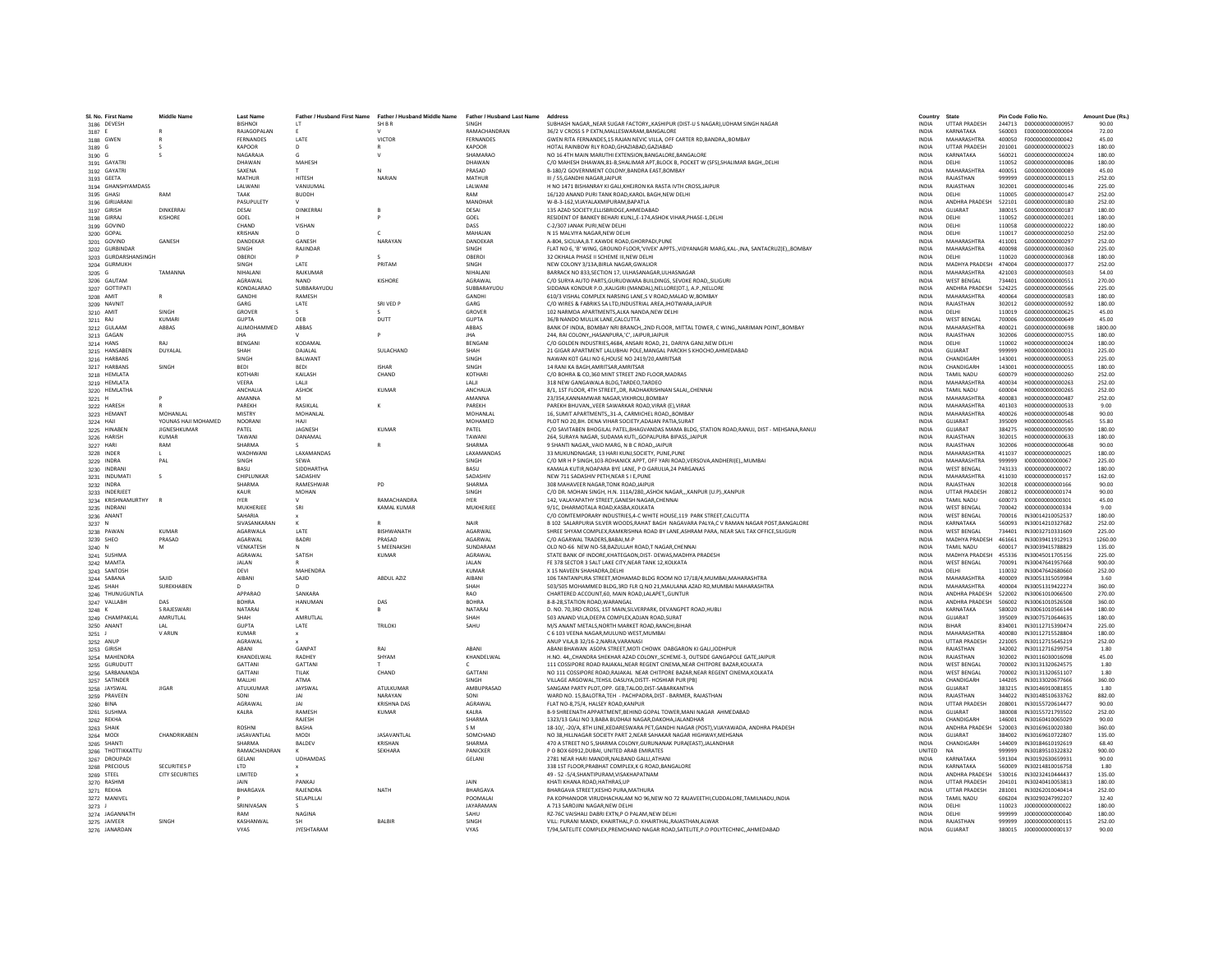| SL No. First Name                | <b>Middle Name</b>          | <b>Last Name</b>                     |                         | Father / Husband First Name Father / Husband Middle Name Father / Husband Last Name |                               | Address                                                                                                                                                      | Country                      | State                                     | Pin Code Folio No. |                                      | Amount Due (Rs.)  |
|----------------------------------|-----------------------------|--------------------------------------|-------------------------|-------------------------------------------------------------------------------------|-------------------------------|--------------------------------------------------------------------------------------------------------------------------------------------------------------|------------------------------|-------------------------------------------|--------------------|--------------------------------------|-------------------|
| 3186 DEVESH                      |                             | <b>BISHNOI</b>                       | $_{1T}$                 | SH B R                                                                              | SINGH                         | SUBHASH NAGAR, NEAR SUGAR FACTORY, KASHIPUR (DIST-U S NAGAR), UDHAM SINGH NAGAR                                                                              | <b>INDIA</b>                 | <b>UTTAR PRADESH</b>                      |                    | 244713 D000000000000957              | 90.00             |
| 3187 E                           |                             | <b>RAIAGOPALAN</b>                   | -F.                     |                                                                                     | RAMACHANDRAN                  | 36/2 V CROSS S P EXTN MALLESWARAM BANGALORE                                                                                                                  | <b>INDIA</b>                 | KARNATAKA                                 | 560003             | E0000000000000004                    | 72.00             |
| 3188 GWEN                        |                             | FERNANDES                            | LATE                    | VICTOR                                                                              | FERNANDES                     | GWEN RITA FERNANDES, 15 RAJAN NEVIC VILLA, OFF CARTER RD, BANDRA,, BOMBAY                                                                                    | <b>INDIA</b>                 | <b>MAHARASHTRA</b>                        | 400050             | E0000000000000042                    | 45.00             |
| 3189 G                           |                             | KAPOOR<br>NAGARAJA                   |                         |                                                                                     | KAPOOR<br>SHAMARAC            | HOTAL RAINBOW RLY ROAD, GHAZIABAD, GAZIABAD                                                                                                                  | INDIA<br><b>INDIA</b>        | <b>UTTAR PRADESH</b><br>KARNATAKA         | 201001<br>560021   | G000000000000023<br>G00000000000024  | 180.00<br>180.00  |
| 3190 G<br>3191 GAYATRI           | s                           | DHAWAN                               | MAHESH                  |                                                                                     | DHAWAN                        | NO 16 4TH MAIN MARUTHI EXTENSION, BANGALORE, BANGALORE<br>C/O MAHESH DHAWAN,81-B,SHALIMAR APT,BLOCK B, POCKET W (SFS),SHALIMAR BAGH,,DELHI                   | <b>INDIA</b>                 | DELHI                                     | 110052             | G000000000000086                     | 180.00            |
| 3192 GAYATRI                     |                             | SAXENA                               |                         | $\mathbf{M}$                                                                        | PRASAD                        | B-180/2 GOVERNMENT COLONY.BANDRA EAST.BOMBAY                                                                                                                 | <b>INDIA</b>                 | MAHARASHTRA                               | 400051             | 6000000000000089                     | 45.00             |
| 3193 GEETA                       |                             | MATHUR                               | HITESH                  | NARIAN                                                                              | MATHUR                        | III / 55, GANDHI NAGAR, JAIPUR                                                                                                                               | INDIA                        | RAJASTHAN                                 | 999999             | G000000000000113                     | 252.00            |
| 3194 GHANSHYAMDASS               |                             | LALWANI                              | VANIJUMA                |                                                                                     | LALWANI                       | H NO 1471 BISHANRAY KI GALI, KHEJRON KA RASTA IVTH CROSS, JAIPUR                                                                                             | <b>INDIA</b>                 | RAJASTHAN                                 | 302001             | G000000000000146                     | 225.00            |
| 3195 GHASI                       | RAM                         | <b>TAAK</b>                          | BUDDH                   |                                                                                     | RAM                           | 16/120 ANAND PURI TANK ROAD.KAROL BAGH.NEW DELHI                                                                                                             | <b>INDIA</b>                 | DELHI                                     | 110005             | G000000000000147                     | 252.00            |
| 3196 GIRIJARANI                  |                             | <b>PASUPULFTY</b>                    |                         |                                                                                     | MANOHAR                       | W-R-3-162 VIIAYAI AXMIPURAM RAPATI A                                                                                                                         | <b>INDIA</b>                 | ANDHRA PRADESH                            | 522101             | 6000000000000180                     | 252.00            |
| 3197 GIRISH                      | <b>DINKERRAL</b><br>KISHORE | DESAL<br>GOEL                        | <b>DINKERRAI</b>        |                                                                                     | DESAI<br>GOEL                 | 135 AZAD SOCIETY, ELLISBRIDGE, AHMEDABAD<br>RESIDENT OF BANKEY BEHARI KUNJ,,E-174,ASHOK VIHAR, PHASE-1, DELHI                                                | <b>INDIA</b><br>INDIA        | GUIARAT<br>DELHI                          | 380015<br>110052   | 6000000000000187<br>G000000000000201 | 180.00<br>180.00  |
| 3198 GIRRAJ<br>3199 GOVIND       |                             | CHAND                                | VISHAN                  |                                                                                     | DASS                          | C-2/307 JANAK PURLNEW DELHI                                                                                                                                  | <b>INDIA</b>                 | DELHI                                     | 110058             | G000000000000222                     | 180.00            |
| 3200 GOPAL                       |                             | KRISHAN                              | $\mathsf{D}$            | $\epsilon$                                                                          | MAHAJAN                       | N 15 MALVIYA NAGAR.NEW DELHI                                                                                                                                 | <b>INDIA</b>                 | DELHI                                     | 110017             | G000000000000250                     | 252.00            |
| 3201 GOVIND                      | <b>GANESH</b>               | DANDEKAR                             | GANESH                  | NARAYAN                                                                             | DANDEKAR                      | A-804 SICILIAA R T KAWDE ROAD GHORPADLPUNE                                                                                                                   | <b>INDIA</b>                 | MAHARASHTRA                               | 411001             | 6000000000000297                     | 252.00            |
| 3202 GURBINDAR                   |                             | <b>SINGH</b>                         | RAJINDAR                |                                                                                     | SINGH                         | FLAT NO 6, 'B' WING, GROUND FLOOR, 'VIVEK' APPTS., VIDYANAGRI MARG, KAL-, INA, SANTACRUZ(E),, BOMBAY                                                         | <b>INDIA</b>                 | MAHARASHTRA                               | 400098             | G000000000000360                     | 225.00            |
| 3203 GURDARSHANSINGH             |                             | OBEROI                               |                         |                                                                                     | OBERO                         | 32 OKHALA PHASE II SCHEME III.NEW DELHI                                                                                                                      | <b>INDIA</b>                 | DELHI                                     | 110020             | G000000000000368                     | 180.00            |
| 3204 GURMUKH                     |                             | SINGH                                | LATE                    | PRITAM                                                                              | SINGH                         | NEW COLONY 3/13A.BIRLA NAGAR.GWALIOR                                                                                                                         | <b>INDIA</b>                 | MADHYA PRADESH 474004                     |                    | 6000000000000377                     | 252.00            |
| 3205 G                           | TAMANNA                     | NIHALANI<br>AGRAWAL                  | RAJKUMAR<br><b>NAND</b> | KISHORF                                                                             | NIHALANI<br><b>AGRAWAI</b>    | BARRACK NO 833.SECTION 17, ULHASANAGAR, ULHASNAGAR<br>C/O SURYA AUTO PARTS.GURUDWARA BUILDINGS, SEVOKE ROADSILIGURI                                          | <b>INDIA</b><br><b>INDIA</b> | MAHARASHTRA<br><b>WEST RENGAL</b>         | 421003<br>734401   | G000000000000503<br>6000000000000551 | 54.00<br>270.00   |
| 3206 GAUTAM<br>3207 GOTTIPATI    |                             | KONDALARAO                           | SUBBARAYUDU             |                                                                                     | SUBBARAYUDU                   | SIDDANA KONDUR P.O., KALIGIRI (MANDAL), NELLORE(DT.), A.P., NELLORE                                                                                          | INDIA                        | ANDHRA PRADESH                            | 524225             | G000000000000566                     | 225.00            |
| 3208 AMIT                        |                             | GANDHI                               | RAMESH                  |                                                                                     | <b>GANDHI</b>                 | 610/3 VISHAL COMPLEX NARSING LANE.S V ROAD.MALAD W.BOMBAY                                                                                                    | <b>INDIA</b>                 | MAHARASHTRA                               | 400064             | G000000000000583                     | 180.00            |
| 3209 NAVNIT                      |                             | GARG                                 | LATE                    | SRI VED P                                                                           | GARG                          | C/O WIRES & FABRIKS SA LTD.INDUSTRIAL AREA JHOTWARA.JAIPUR                                                                                                   | <b>INDIA</b>                 | RAJASTHAN                                 | 302012             | G000000000000592                     | 180.00            |
| 3210 AMIT                        | SINGH                       | GROVER                               |                         |                                                                                     | GROVER                        | 102 NARMDA APARTMENTS ALKA NANDA NEW DELHI                                                                                                                   | <b>INDIA</b>                 | DELHI                                     | 110019             | 6000000000000625                     | 45.00             |
| 3211 RAJ                         | KUMARI                      | <b>GUPTA</b>                         | DEB                     | DUTT                                                                                | <b>GUPTA</b>                  | 36/B NANDO MULLIK LANE, CALCUTTA                                                                                                                             | INDIA                        | <b>WEST BENGAL</b>                        | 700006             | G000000000000649                     | 45.00             |
| 3212 GULAAM                      | ABBAS                       | ALIMOHAMMED                          | ABBAS                   |                                                                                     | ABBAS                         | BANK OF INDIA, BOMBAY NRI BRANCH,,2ND FLOOR, MITTAL TOWER, C WING,,NARIMAN POINT,,BOMBAY                                                                     | <b>INDIA</b>                 | <b>MAHARASHTRA</b>                        | 400021             | G000000000000698                     | 1800.00           |
| 3213 GAGAN                       | RAL                         | <b>IHA</b>                           | KODAMAI                 | P                                                                                   | <b>IHA</b><br>BENGANI         | 244. RAI COLONYHASANPURA.'C'. JAIPUR.JAIPUR<br>C/O GOLDEN INDUSTRIES.4684, ANSARI ROAD, 21, DARIYA GANJ, NEW DELHI                                           | <b>INDIA</b>                 | RAJASTHAN                                 | 302006             | G000000000000755                     | 180.00            |
| 3214 HANS<br>3215 HANSABEN       | <b>DUYALAL</b>              | BENGANI<br>SHAH                      | DAIALAL                 | <b>SULACHAND</b>                                                                    | SHAH                          | 21 GIGAR APARTMENT LALUBHAI POLE.MANGAL PARCKH S KHOCHO.AHMEDABAD                                                                                            | <b>INDIA</b><br><b>INDIA</b> | DELHI<br>GUIARAT                          | 110002<br>999999   | H00000000000024<br>H000000000000031  | 180.00<br>225.00  |
| 3216 HARBANS                     |                             | SINGH                                | <b>BALWAN</b>           |                                                                                     | SINGH                         | NAWAN KOT GALI NO 6,HOUSE NO 2419/20,AMRITSAR                                                                                                                | INDIA                        | CHANDIGARH                                | 143001             | H00000000000053                      | 225.00            |
| 3217 HARBANS                     | SINGH                       | <b>BEDI</b>                          | <b>BEDI</b>             | <b>ISHAR</b>                                                                        | SINGH                         | 14 RANI KA BAGH, AMRITSAR, AMRITSAR                                                                                                                          | INDIA                        | CHANDIGARH                                | 143001             | H000000000000055                     | 180.00            |
| 3218 HEMLATA                     |                             | KOTHARI                              | KAILASH                 | CHAND                                                                               | KOTHARI                       | C/O BOHRA & CO.360 MINT STREET 2ND FLOOR MADRAS                                                                                                              | <b>INDIA</b>                 | <b>TAMIL NADU</b>                         | 600079             | H00000000000260                      | 252.00            |
| 3219 HEMLATA                     |                             | VEFRA                                | <b>TALIE</b>            |                                                                                     | <b>IAII</b>                   | 318 NEW GANGAWALA BLDG TARDEO TARDEO                                                                                                                         | <b>INDIA</b>                 | MAHARASHTRA                               | 400034             | H000000000000263                     | 252.00            |
| 3220 HEMLATHA                    |                             | ANCHALIA                             | ASHOK                   | <b>KUMAR</b>                                                                        | ANCHALIA                      | 8/1, 1ST FLOOR, 4TH STREET, DR, RADHAKRISHNAN SALAI, CHENNAI                                                                                                 | INDIA                        | <b>TAMIL NADU</b>                         | 600004             | H000000000000265                     | 252.00            |
| 3221 H                           |                             | AMANNA                               |                         |                                                                                     | AMANNA                        | 23/354.KANNAMWAR NAGAR.VIKHROLI.BOMBAY                                                                                                                       | <b>INDIA</b>                 | <b>MAHARASHTRA</b>                        | 400083             | H00000000000487                      | 252.00            |
| 3222 HARESH                      | MOHANLAL                    | PAREKH<br><b>MISTRY</b>              | RASIKLAL<br>MOHANLAL    |                                                                                     | PAREKH<br>MOHANLAL            | PAREKH BHUVAN., VEER SAWARKAR ROAD, VIRAR (E), VIRAR<br>16. SUMIT APARTMENTS31-A. CARMICHEL ROADBOMBAY                                                       | <b>INDIA</b><br><b>INDIA</b> | MAHARASHTRA<br>MAHARASHTRA                | 401303<br>400026   | H000000000000533<br>H000000000000548 | 9.00<br>90.00     |
| 3223 HEMANT<br>3224 HAJI         | YOUNAS HAILMOHAMED          | NOORANI                              | HAII                    |                                                                                     | <b>MOHAMED</b>                | PLOT NO 20.BH. DENA VIHAR SOCIETY.ADAJAN PATIA.SURAT                                                                                                         | <b>INDIA</b>                 | GUIARAT                                   | 395009             | H000000000000565                     | 55.80             |
| 3225 HINABEN                     | <b>JIGNESHKUMAR</b>         | PATEL                                | JAGNESH                 | KUMAR                                                                               | PATEL                         | C/O SAVITABEN BHOGILAL PATEL, BHAGVANDAS MAMA BLDG, STATION ROAD, RANUJ, DIST - MEHSANA, RANUJ                                                               | INDIA                        | GUJARAT                                   | 384275             | H00000000000590                      | 180.00            |
| 3226 HARISH                      | <b>KUMAR</b>                | TAWAN                                | DANAMAL                 |                                                                                     | TAWANI                        | 264, SURAYA NAGAR, SUDAMA KUTI., GOPALPURA BIPASS, JAIPUR                                                                                                    | <b>INDIA</b>                 | RAJASTHAN                                 | 302015             | H00000000000633                      | 180.00            |
| 3227 HARI                        | RAM                         | SHARMA                               |                         |                                                                                     | SHARMA                        | 9 SHANTI NAGAR., VAID MARG, N B C ROAD, JAIPUR                                                                                                               | <b>INDIA</b>                 | RAJASTHAN                                 | 302006             | H000000000000648                     | 90.00             |
| 3228 INDER                       |                             | <b>WADHWANI</b>                      | <b>LAXAMANDAS</b>       |                                                                                     | <b>I AXAMANDAS</b>            | 33 MUKUNDNAGAR, 13 HARI KUNJ.SOCIETY, PUNE, PUNE                                                                                                             | <b>INDIA</b>                 | MAHARASHTRA                               | 411037             | 1000000000000025                     | 180.00            |
| 3229 INDRA                       | PAL                         | SINGH                                | SEWA                    |                                                                                     | SINGH                         | C/O MR H P SINGH, 103-ROHANICK APPT, OFF YARI ROAD, VERSOVA, ANDHERI(E),, MUMBAI                                                                             | INDIA                        | MAHARASHTRA                               | 999999             | 1000000000000067                     | 225.00            |
| 3230 INDRANI                     | s                           | BASU<br>CHIPLUNKAR                   | SIDDHARTH/<br>SADASHIV  |                                                                                     | BASU<br>SADASHIV              | KAMALA KUTIR.NOAPARA BYE LANE. P O GARULIA.24 PARGANAS<br>NEW 711 SADASHIV PETH, NEAR S I E.PUNE                                                             | <b>INDIA</b><br><b>INDIA</b> | <b>WEST BENGAL</b><br>MAHARASHTRA         | 743133<br>411030   | 1000000000000072<br>1000000000000157 | 180.00<br>162.00  |
| 3231 INDUMATI<br>3232 INDRA      |                             | SHARMA                               | RAMESHWAR               | PD                                                                                  | SHARMA                        | 308 MAHAVEER NAGAR TONK ROAD JAIPUR                                                                                                                          | <b>INDIA</b>                 | RAJASTHAN                                 | 302018             | 1000000000000166                     | 90.00             |
| 3233 INDERJEET                   |                             | KALIR                                | <b>MOHAN</b>            |                                                                                     | <b>SINGH</b>                  | C/O DR. MOHAN SINGH. H.N. 111A/280. ASHOK NAGARKANPUR (U.P)KANPUR                                                                                            | <b>INDIA</b>                 | <b>UTTAR PRADESH</b>                      | 208012             | 1000000000000174                     | 90.00             |
| 3234 KRISHNAMURTHY               |                             | IYER.                                |                         | RAMACHANDRA                                                                         | <b>IYER</b>                   | 142, VALAYAPATHY STREET, GANESH NAGAR, CHENNAI                                                                                                               | INDIA                        | TAMIL NADU                                | 600073             | 1000000000000301                     | 45.00             |
| 3235 INDRANI                     |                             | MUKHERJEE                            | SRI                     | <b>KAMAL KUMAR</b>                                                                  | MUKHERJEE                     | 9/1C. DHARMOTALA ROAD.KASBA.KOLKATA                                                                                                                          | <b>INDIA</b>                 | <b>WEST BENGAL</b>                        | 700042             | 1000000000000334                     | 9.00              |
| 3236 ANANT                       |                             | SAHARIA                              |                         |                                                                                     |                               | C/O COMTEMPORARY INDUSTRIES.4-C WHITE HOUSE.119 PARK STREET.CALCUTTA                                                                                         | <b>INDIA</b>                 | <b>WEST BENGAL</b>                        | 700016             | IN30014210052537                     | 180.00            |
| 3237 N                           |                             | SIVASANKARAN                         | $\mathbf{k}$            |                                                                                     | NAIR                          | B 102 SALARPURIA SILVER WOODS, RAHAT BAGH NAGAVARA PALYA, C V RAMAN NAGAR POST. BANGALORE                                                                    | <b>INDIA</b>                 | KARNATAKA                                 | 560093             | IN30014210327682                     | 252.00            |
| 3238 PAWAN                       | KUMAR                       | AGARWALA                             | LATE                    | BISHWANATH                                                                          | AGARWAL                       | SHREE SHYAM COMPLEX, RAMKRISHNA ROAD BY LANE, ASHRAM PARA, NEAR SAIL TAX OFFICE, SILIGURI                                                                    | <b>INDIA</b>                 | <b>WEST BENGAL</b>                        | 734401             | IN30032710331609                     | 225.00            |
| 3239 SHEO<br>3240 N              | PRASAD                      | AGARWAL<br>VENKATESH                 | <b>BADRI</b>            | PRASAD<br>S MEENAKSH                                                                | AGARWAL<br>SUNDARAM           | C/O AGARWAL TRADERS, BABAI, M-P<br>OLD NO-66 NEW NO-58.BAZULLAH ROAD.T NAGAR.CHENNAI                                                                         | INDIA<br><b>INDIA</b>        | MADHYA PRADESH<br><b>TAMIL NADU</b>       | 461661<br>600017   | IN30039411912913<br>IN30039415788829 | 1260.00<br>135.00 |
| 3241 SUSHMA                      |                             | AGRAWAL                              | SATISH                  | <b>KUMAR</b>                                                                        | AGRAWAL                       | STATE BANK OF INDORE.KHATEGAON.DIST- DEWAS.MADHYA PRADESH                                                                                                    | <b>INDIA</b>                 | MADHYA PRADESH 455336                     |                    | IN30045011705156                     | 225.00            |
| 3242 MAMTA                       |                             | <b>JAI AN</b>                        |                         |                                                                                     | <b>JAI AN</b>                 | FE 378 SECTOR 3 SALT LAKE CITY.NEAR TANK 12.KOLKATA                                                                                                          | <b>INDIA</b>                 | <b>WEST BENGAL</b>                        | 700091             | IN30047641957668                     | 900.00            |
| 3243 SANTOSH                     |                             | DEVI                                 | <b>MAHENDRA</b>         |                                                                                     | KUMAR                         | X 15 NAVEEN SHAHADRA.DELHI                                                                                                                                   | INDIA                        | DELHI                                     | 110032             | IN30047642680660                     | 252.00            |
| 3244 SABANA                      | SAIID                       | AIBANI                               | SAJID                   | ABDUL AZIZ                                                                          | <b>AIBANI</b>                 | 106 TANTANPURA STREET.MOHAMAD BLDG ROOM NO 17/18/4.MUMBAI.MAHARASHTRA                                                                                        | <b>INDIA</b>                 | MAHARASHTRA                               | 400009             | IN30051315059984                     | 3.60              |
| 3245 SHAH                        | SUREKHABEN                  |                                      |                         |                                                                                     | SHAH                          | 503/505 MOHAMMED BLDG.3RD FLR Q NO 21.MAULANA AZAD RD.MUMBAI MAHARASHTRA                                                                                     | <b>INDIA</b>                 | MAHARASHTRA                               | 400004             | IN30051319422274                     | 360.00            |
| 3246 THUNUGUNTLA                 |                             | APPARAO                              | SANKARA                 |                                                                                     | RAO                           | CHARTERED ACCOUNT 60 MAIN ROAD LALAPET, GUNTUR                                                                                                               | <b>INDIA</b>                 | <b>ANDHRA PRADESH</b>                     | 522002             | IN30061010066500                     | 270.00            |
| 3247 VALLABH<br>3248 K           | DAS<br>S RAJESWARI          | <b>BOHRA</b><br>NATARAJ              | HANUMAN                 | DAS                                                                                 | <b>BOHRA</b><br><b>NATARA</b> | 8-8-28, STATION ROAD, WARANGAL<br>D. NO. 70,3RD CROSS, 1ST MAIN, SILVERPARK, DEVANGPET ROAD, HUBLI                                                           | INDIA<br>INDIA               | ANDHRA PRADESH<br>KARNATAKA               | 506002<br>580020   | IN30061010526508<br>IN30061010566144 | 360.00<br>180.00  |
| 3249 CHAMPAKLAL                  | AMRUTLAL                    | SHAH                                 | AMRUTLAL                |                                                                                     | SHAH                          | 503 ANAND VILA, DEEPA COMPLEX, ADJAN ROAD, SURA'                                                                                                             | <b>INDIA</b>                 | GUJARAT                                   | 395009             | IN30075710644635                     | 180.00            |
| 3250 ANANT                       | LAL                         | <b>GUPTA</b>                         | LATE                    | <b>TRILOKI</b>                                                                      | SAHU                          | M/S ANANT METALS.NORTH MARKET ROAD.RANCHI.BIHAR                                                                                                              | <b>INDIA</b>                 | <b>BIHAR</b>                              | 834001             | IN30112715390474                     | 225.00            |
| $3251$ J                         | <b>V ARUN</b>               | KUMAR                                |                         |                                                                                     |                               | C 6 103 VEENA NAGAR MULUND WEST MUMBAL                                                                                                                       | <b>INDIA</b>                 | MAHARASHTRA                               | 400080             | IN30112715528804                     | 180.00            |
| 3252 ANUP                        |                             | AGRAWAL                              |                         |                                                                                     |                               | ANUP VILA, B 32/16-2, NARIA, VARANASI                                                                                                                        | INDIA                        | <b>UTTAR PRADESH</b>                      | 221005             | IN30112715645219                     | 252.00            |
| 3253 GIRISH                      |                             | ABANI                                | GANPAT                  | RAJ                                                                                 | ABANI                         | ABANI BHAWAN ASOPA STREET, MOTI CHOWK DABGARON KI GALIJODHPUR                                                                                                | INDIA                        | RAJASTHAN                                 | 342002             | IN30112716299754                     | 1.80              |
| 3254 MAHENDRA                    |                             | KHANDELWAL<br>GATTANI                | RADHEY<br>GATTANI       | SHYAM                                                                               | KHANDELWAL                    | H.NO. 44, CHANDRA SHEKHAR AZAD COLONY, SCHEME-3, OUTSIDE GANGAPOLE GATE JAIPUR<br>111 COSSIPORE ROAD RAIAKAL NEAR REGENT CINEMA NEAR CHITPORE RAZAR KOLKATA  | <b>INDIA</b><br><b>INDIA</b> | RAJASTHAN<br><b>WEST RENGAL</b>           | 302002<br>700002   | IN30116030016098<br>IN30131320624575 | 45.00<br>1.80     |
| 3255 GURUDUTT<br>3256 SARBANANDA |                             | GATTANI                              | TII AK                  | CHAND                                                                               | <b>GATTANI</b>                | NO 111 COSSIPORE ROAD.RAJAKAL NEAR CHITPORE BAZAR.NEAR REGENT CINEMA.KOLKATA                                                                                 | <b>INDIA</b>                 | <b>WEST BENGAL</b>                        | 700002             | IN30131320651107                     | 1.80              |
| 3257 SATINDEF                    |                             | MALLHI                               | ATMA                    |                                                                                     | SINGH                         | VILLAGE ARGOWAL, TEHSIL DASUYA, DISTT- HOSHIAR PUR (PB)                                                                                                      | INDIA                        | CHANDIGARH                                | 144205             | IN30133020677666                     | 360.00            |
| 3258 JAYSWAL                     | <b>JIGAR</b>                | ATULKUMAR                            | JAYSWAL                 | ATULKUMAR                                                                           | AMBUPRASAD                    | SANGAM PARTY PLOT.OPP, GEB.TALOD.DIST-SABARKANTHA                                                                                                            | INDIA                        | GUJARAT                                   | 383215             | IN30146910081855                     | 1.80              |
| 3259 PRAVEEN                     |                             | SONI                                 | <b>JAI</b>              | NARAYAN                                                                             | SONI                          | WARD NO. 15.BALOTRA.TEH - PACHPADRA.DIST - BARMER. RAJASTHAN                                                                                                 | <b>INDIA</b>                 | RAJASTHAN                                 | 344022             | IN30148510633762                     | 882.00            |
| 3260 BINA                        |                             | AGRAWAL                              | <b>JAI</b>              | <b>KRISHNA DAS</b>                                                                  | <b>AGRAWAI</b>                | FLAT NO-8 75/4 HALSEY ROAD KANPUR                                                                                                                            | <b>INDIA</b>                 | <b>UTTAR PRADESH</b>                      | 208001             | IN30155720614477                     | 90.00             |
| 3261 SUSHMA                      |                             | KALRA                                | RAMESH                  | KUMAR                                                                               | KALRA                         | B-9 SHREENATH APPARTMENT, BEHIND GOPAL TOWER, MANI NAGAR AHMEDABAD                                                                                           | INDIA                        | GUJARAT                                   | 380008             | IN30155721793502                     | 252.00            |
| 3262 REKHA                       |                             |                                      | RAJESH                  |                                                                                     | SHARMA                        | 1323/13 GALI NO 3.BABA BUDHAJI NAGAR.DAKOHAJALANDHAI                                                                                                         | <b>INDIA</b>                 | CHANDIGARI                                | 146001             | IN30160410065029                     | 90.00             |
| 3263 SHAIK<br>3264 MODI          | CHANDRIKAREN                | <b>ROSHNI</b><br><b>IASAVANTI AI</b> | <b>BASHA</b><br>MODI    | <b>IASAVANTI AI</b>                                                                 | SM.<br>SOMCHAND               | 18-10/. - 20/A. 8TH LINE.KEDARESWARA PET.GANDHI NAGAR (POST).VIJAYAWADA. ANDHRA PRADESH<br>NO 38 HILLNAGAR SOCIETY PART 2 NEAR SAHAKAR NAGAR HIGHWAY MEHSANA | <b>INDIA</b><br><b>INDIA</b> | ANDHRA PRADESH<br>GUIARAT                 | 520003<br>384002   | IN30169610020380<br>IN30169610722807 | 360.00<br>135.00  |
| 3265 SHANTI                      |                             | SHARMA                               | <b>BALDEV</b>           | KRISHAN                                                                             | SHARMA                        | 470 A STREET NO 5.SHARMA COLONY.GURUNANAK PURA(EAST).JALANDHAR                                                                                               | <b>INDIA</b>                 | CHANDIGARH                                | 144009             | IN30184610192619                     | 68.40             |
| 3266 THOTTIKKATTU                |                             | RAMACHANDRAN                         |                         | SEKHARA                                                                             | PANICKER                      | P O BOX 60912, DUBAI, UNITED ARAB EMIRATES                                                                                                                   | UNITED                       | NA                                        | 999999             | IN30189510322832                     | 900.00            |
| 3267 DROUPADI                    |                             | <b>GELANI</b>                        | <b>UDHAMDAS</b>         |                                                                                     | <b>GELANI</b>                 | 2781 NEAR HARI MANDIR NALBAND GALLI ATHAN                                                                                                                    | <b>INDIA</b>                 | KARNATAKA                                 | 591304             | IN30192630659931                     | 90.00             |
| 3268 PRECIOUS                    | <b>SECURITIES P</b>         | <b>LTD</b>                           |                         |                                                                                     |                               | 338 1ST FLOOR, PRABHAT COMPLEX, K G ROAD, BANGALORE                                                                                                          | <b>INDIA</b>                 | KARNATAKA                                 | 560009             | IN30214810016758                     | 1.80              |
| 3269 STEEL                       | <b>CITY SECURITIES</b>      | <b>IIMITED</b>                       |                         |                                                                                     |                               | 49 - 52 - 5/4 SHANTIPURAM VISAKHAPATNAM                                                                                                                      | <b>INDIA</b>                 | <b>ANDHRA PRADESH</b>                     | 530016             | IN30232410444437                     | 135.00            |
| 3270 RASHMI                      |                             | <b>JAIN</b>                          | PANKAJ                  |                                                                                     | <b>JAIN</b>                   | KHATI KHANA ROAD, HATHRAS, UP                                                                                                                                | INDIA                        | <b>UTTAR PRADESH</b>                      | 204101             | IN30240410053813                     | 180.00            |
| 3271 REKHA                       |                             | BHARGAVA                             | RAJENDRA                | NATH                                                                                | <b>BHARGAVA</b><br>POOMALAI   | BHARGAVA STREET.KESHO PURA.MATHURA<br>PA KOPHANOOR VIRUDHACHALAM NO 96.NEW NO 72 RAJAVEETHI.CUDDALORE.TAMILNADU.INDIA                                        | <b>INDIA</b>                 | <b>UTTAR PRADESH</b><br><b>TAMIL NADU</b> | 281001             | IN30262010040414<br>IN30290247992207 | 252.00<br>32.40   |
| 3272 MANIVEL<br>3273 J           |                             | SRINIVASAN                           | SELAPILLAI              |                                                                                     | <b>IAYARAMAN</b>              | A 713 SAROJINI NAGAR NEW DELHI                                                                                                                               | <b>INDIA</b><br><b>INDIA</b> | DELHI                                     | 606204<br>110023   | 1000000000000022                     | 180.00            |
| 3274 JAGANNATH                   |                             | RAM                                  | <b>NAGINA</b>           |                                                                                     | SAHU                          | R7-76C VAISHALLDARRI EXTN P O PALAM NEW DELHI                                                                                                                | <b>INDIA</b>                 | DELHI                                     | 999999             | 10000000000000040                    | 180.00            |
| 3275 JAIVEER                     | SINGH                       | KASHANWAL                            |                         | BALBIR                                                                              | SINGH                         | VILL: PURANI MANDI, KHAIRTHAL,P.O. KHAIRTHAL,RAJASTHAN,ALWAR                                                                                                 | INDIA                        | RAJASTHAN                                 | 999999             | J000000000000115                     | 252.00            |
| 3276 JANARDAN                    |                             | <b>VYAS</b>                          | <b>JYESHTARAM</b>       |                                                                                     | VYAS                          | T/94,SATELITE COMPLEX,PREMCHAND NAGAR ROAD,SATELITE,P.O POLYTECHNIC,,AHMEDABAD                                                                               | <b>INDIA</b>                 | GUJARAT                                   |                    | 380015 J000000000000137              | 90.00             |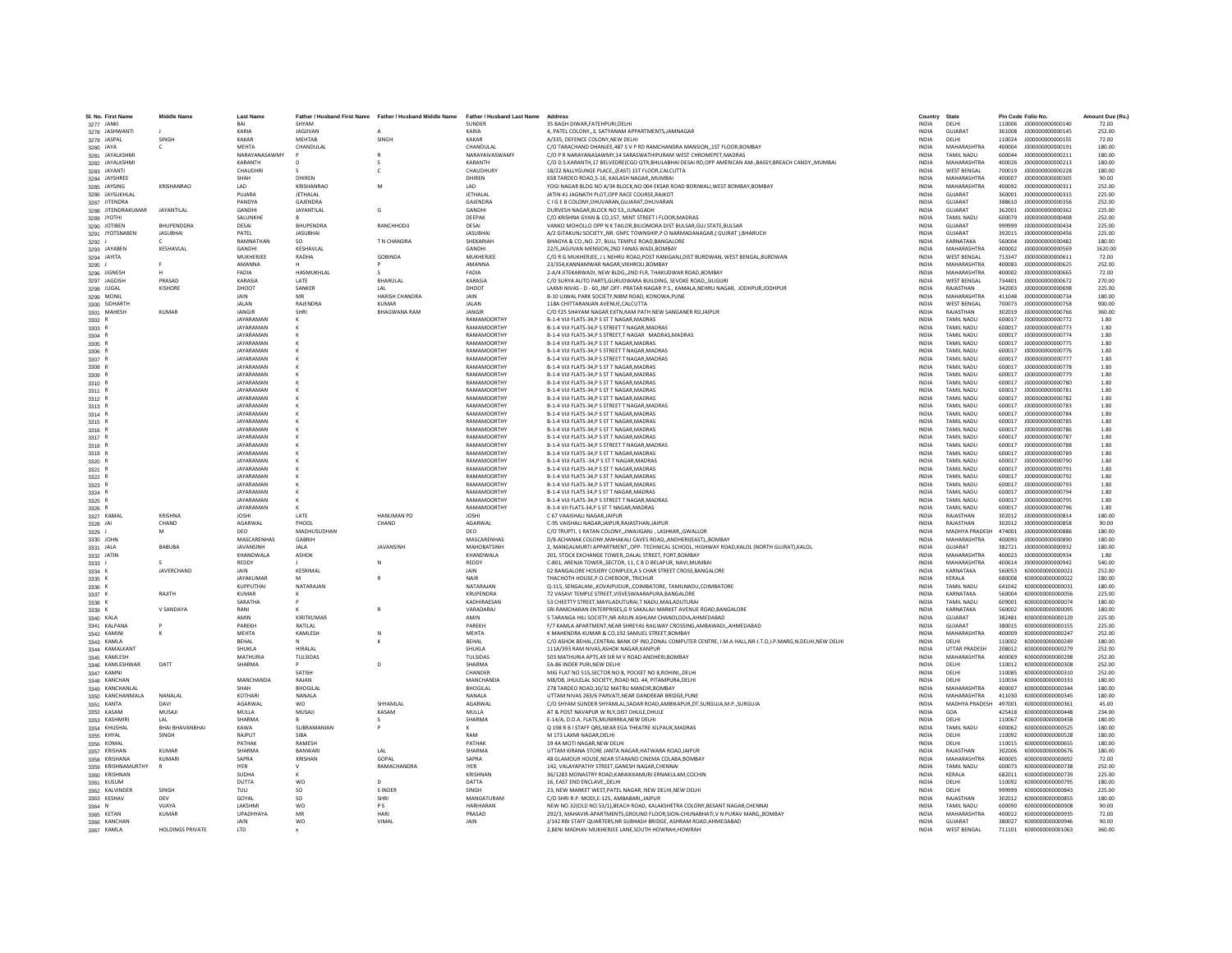| SI. No. First Nam                   | <b>Middle Name</b>      | <b>Last Nam</b>               | Father / Husband First Name | Father / Husband Middle Name | Father / Husband Last Name  | Address                                                                                                                                                      | Country                      | State                            |                  | Pin Code Folio No.                                 | Amount Due (Rs   |
|-------------------------------------|-------------------------|-------------------------------|-----------------------------|------------------------------|-----------------------------|--------------------------------------------------------------------------------------------------------------------------------------------------------------|------------------------------|----------------------------------|------------------|----------------------------------------------------|------------------|
| 3277 JANKI                          |                         | RAI<br>KARIA                  | SHYAM<br>JAGJIVAN           |                              | <b>SUNDER</b><br>KARIA      | 35 RAGH DIWAR FATEHPURLDELHI                                                                                                                                 | <b>INDIA</b><br><b>INDIA</b> | <b>DELHI</b><br>GUIARAT          | 361008           | 110006 1000000000000140<br>J00000000000145         | 72.00<br>252.00  |
| 3278 JASHWANTI<br>3279 JASPAL       | SINGH                   | KAKAR                         | MEHTAB                      | SINGH                        | <b>KAKAF</b>                | 4, PATEL COLONY,,3, SATYANAM APPARTMENTS, JAMNAGAR<br>A/335, DEFENCE COLONY, NEW DELHI                                                                       | <b>INDIA</b>                 | DELHI                            | 110024           | J000000000000155                                   | 72.00            |
| 3280 JAYA                           | c.                      | MEHTA                         | CHANDULAL                   |                              | CHANDULAL                   | C/O TARACHAND DHANJEE,487 S V P RD RAMCHANDRA MANSION,,1ST FLOOR,BOMBAY                                                                                      | <b>INDIA</b>                 | MAHARASHTRA                      | 400004           | 1000000000000191                                   | 180.00           |
| 3281 JAYALKSHM                      |                         | NARAYANASAWMY                 |                             |                              | NARAYAIVASWAMY              | C/O P R NARAYANASAWMY.14 SARASWATHIPURAM WEST CHROMEPET.MADRAS                                                                                               | <b>INDIA</b>                 | <b>TAMIL NADU</b>                | 600044           | J000000000000211                                   | 180.00           |
| 3282 JAYALKSHMI                     |                         | KARANTH                       |                             |                              | KARANTH                     | C/O D.S.KARANTH,17 BELVEDRE(CGO QTR,BHULABHAI DESAI RD,OPP AMERICAN AM-,BASSY,BREACH CANDY,,MUMBAI                                                           | <b>INDIA</b>                 | MAHARASHTRA                      | 400026           | J00000000000213                                    | 180.00           |
| 3283 JAYANTI                        |                         | CHAUDHF                       |                             |                              | CHAUDHUR                    | 18/22 BALLYGUNGE PLACE, (EAST) 1ST FLOOR, CALCUTTA                                                                                                           | INDIA                        | <b>WEST BENGAL</b>               | 700019           | J00000000000228                                    | 180.00           |
| 3284 JAYSHREE                       |                         | SHAH                          | DHIREN                      |                              | DHIREN                      | 658 TARDEO ROAD.5-16, KAILASH NAGAR., MUMBAI                                                                                                                 | <b>INDIA</b>                 | MAHARASHTRA                      | 400007           | J000000000000305                                   | 90.00            |
| 3285 JAYSING                        | KRISHANRAO              | LAD.                          | KRISHANRAO                  | M                            | <b>IAD</b>                  | YOGI NAGAR BLDG NO A/34 BLOCK.NO 004 EKSAR ROAD BORIWALI.WEST BOMBAY.BOMBAY                                                                                  | <b>INDIA</b>                 | MAHARASHTRA                      | 400092           | 1000000000000311                                   | 252.00           |
| 3286 JAYSUKHLAI                     |                         | PUJARA                        | JETHALAL                    |                              | JETHALA                     | JATIN 41 JAGNATH PLOT, OPP RACE COURSE, RAJKOT                                                                                                               | INDIA                        | <b>GUJARAT</b>                   | 360001           | J000000000000315                                   | 225.00           |
| 3287 JITENDRA                       |                         | PANDYA                        | <b>GAJENDRA</b>             |                              | <b>GAJENDR</b>              | C I G E B COLONY, DHUVARAN, GUJARAT, DHUVARAN                                                                                                                | <b>INDIA</b>                 | GUJARAT                          | 388610           | J000000000000356                                   | 252.00           |
| 3288 JITENDRAKUMAR                  | <b>JAYANTILAL</b>       | GANDHI                        | <b>JAYANTILAL</b>           | G                            | <b>GANDHI</b>               | DURVESH NAGAR BLOCK NO 53. JUNAGADH                                                                                                                          | <b>INDIA</b>                 | <b>GUJARAT</b>                   | 362001           | J000000000000362                                   | 225.00           |
| 3289 JYOTHI                         | <b>RHI IDENDORA</b>     | SALUNKHE                      |                             |                              | DEEPAK                      | C/O KRISHNA GYAN & CO.157. MINT STREET I FLOOR, MADRAS                                                                                                       | <b>INDIA</b>                 | <b>TAMIL NADLI</b><br>GUIARAT    | 600079           | 1000000000000408                                   | 252.00           |
| 3290 JOTIBEN                        |                         | DESAI                         | <b>BHUPENDRA</b>            | RANCHHODJI                   | DESAI                       | VANKO MOHOLLO OPP N K TAILOR, BILIOMORA DIST BULSAR, GUJ STATE, BULSAR                                                                                       | <b>INDIA</b>                 |                                  | 999999           | J000000000000434                                   | 225.00           |
| 3291 JYOTSNABEN                     | <b>JASUBHA</b>          | PATEL<br>RAMNATHAN            | <b>JASUBHAI</b>             | T N CHANDRA                  | <b>JASUBHA</b><br>SHEKARIAH | A/2 GITAKUNJ SOCIETY,, NR. GNFC TOWNSHIP, PO NARMADANAGAR, (GUJRAT ), BHARUCH<br>BHAGYA & CO., NO. 27, BULL TEMPLE ROAD, BANGALORE                           | <b>INDIA</b>                 | GUJARAT<br>KARNATAKA             | 392015           | J00000000000456<br>1000000000000482                | 225.00           |
| 3292 J                              |                         | GANDHI                        | SO.                         |                              | <b>GANDHI</b>               |                                                                                                                                                              | <b>INDIA</b><br><b>INDIA</b> | MAHARASHTRA                      | 560004<br>400002 | 1000000000000569                                   | 180.00           |
| 3293 JAYABEN<br>3294 JAYITA         | KESHAVLAL               | MUKHERJEI                     | KESHAVLAL<br>RADHA          | <b>GOBINDA</b>               | <b>MUKHERJEI</b>            | 22/5, JAGJIVAN MENSION, 2ND FANAS WADI, BOMBAY<br>C/O R G MUKHERJEE, J L NEHRU ROAD, POST RANIGANJ, DIST BURDWAN, WEST BENGAL, BURDWAN                       | <b>INDIA</b>                 | <b>WEST BENGAL</b>               | 713347           | J000000000000611                                   | 1620.00<br>72.00 |
| 3295 J                              |                         | AMANNA                        |                             |                              | AMANNA                      | 23/354, KANNAMWAR NAGAR, VIKHROLI, BOMBAY                                                                                                                    | INDIA                        | MAHARASHTRA                      | 400083           | J000000000000625                                   | 252.00           |
| 3296 JIGNESH                        |                         | <b>FADIA</b>                  | HASMUKHLAL                  |                              | FADIA                       | 2-A/4 JITEKARWADI, NEW BLDG., 2ND FLR, THAKUDWAR ROAD, BOMBAY                                                                                                | <b>INDIA</b>                 | MAHARASHTRA                      | 400002           | J00000000000665                                    | 72.00            |
| 3297 JAGDISH                        | PRASAD                  | KARASIA                       | <b>IATF</b>                 | <b>RHARULAL</b>              | KARASIA                     | C/O SURYA AUTO PARTS GURUDWARA BUILDING, SEVOKE ROAD, SILIGURI                                                                                               | <b>INDIA</b>                 | <b>WEST RENGAL</b>               | 734401           | 1000000000000672                                   | 270.00           |
| 3298 JUGAL                          | KISHORE                 | DHOOT                         | SANKER                      |                              | DHOOT                       | LAXMI NIVAS - D - 60,, INF.OFF- PRATAR NAGAR P.S., KAMALA, NEHRU NAGAR, JODHPUR, JODHPUR                                                                     | INDIA                        | RAJASTHAN                        | 342003           | J00000000000698                                    | 225.00           |
| 3299 MONIL                          |                         |                               |                             | <b>HARISH CHANDRA</b>        |                             | B-10 UJWAL PARK SOCIETY.NIBM ROAD, KONOWA, PUNE                                                                                                              | <b>INDIA</b>                 | <b>MAHARASHTRA</b>               | 411048           | J000000000000734                                   | 180.00           |
| 3300 SIDHARTH                       |                         | <b>JALAN</b>                  | RAJENDRA                    | <b>KUMAR</b>                 | <b>JALAN</b>                | 118A CHITTARANJAN AVENUE.CALCUTTA                                                                                                                            | <b>INDIA</b>                 | <b>WEST BENGAL</b>               | 700073           | J00000000000758                                    | 900.00           |
| 3301 MAHESH                         | KUMAR                   | <b>JANGIR</b>                 | <b>SHRI</b>                 | <b>BHAGWANA RAM</b>          | <b>JANGIR</b>               | C/O F25 SHAYAM NAGAR EXTN.RAM PATH NEW SANGANER RDJAIPUR                                                                                                     | <b>INDIA</b>                 | RAIASTHAN                        | 302019           | 1000000000000766                                   | 360.00           |
| 3302 R                              |                         | <b>JAYARAMAM</b>              |                             |                              | RAMAMOORTHY                 | B-1-4 VIJI FLATS-34, PS ST T NAGAR, MADRAS                                                                                                                   | INDIA                        | TAMIL NADU                       | 600017           | J00000000000772                                    | 1.80             |
| 3303 R                              |                         | <b>JAYARAMAN</b>              |                             |                              | RAMAMOORTHY                 | B-1-4 VIJI FLATS-34, PS STREET T NAGAR, MADRAS                                                                                                               | <b>INDIA</b>                 | TAMIL NADU                       | 600017           | J00000000000773                                    | 1.80             |
| 3304 R                              |                         | <b>IAYARAMAN</b>              |                             |                              | RAMAMOORTHY                 | B-1-4 VIJI FLATS-34.P S STREET.T NAGAR MADRAS.MADRAS                                                                                                         | <b>INDIA</b>                 | <b>TAMIL NADLI</b>               | 600017           | 1000000000000774                                   | 1.80             |
| 3305 R                              |                         | <b>JAYARAMAN</b>              |                             |                              | RAMAMOORTHY                 | B-1-4 VIJI FLATS-34, PS ST T NAGAR, MADRAS                                                                                                                   | <b>INDIA</b>                 | TAMIL NADU                       | 600017           | J00000000000775                                    | 1.80             |
| 3306                                |                         | <b>JAYARAMAN</b>              |                             |                              | RAMAMOORTHY                 | B-1-4 VIJI FLATS-34, PS STREET T NAGAR, MADRAS                                                                                                               | <b>INDIA</b>                 | TAMIL NADU                       | 600017           | J00000000000776                                    | 1.80             |
| 3307 R                              |                         | <b>JAYARAMAN</b>              |                             |                              | RAMAMOORTHY                 | B-1-4 VIJI FLATS-34, P S STREET T NAGAR, MADRAS                                                                                                              | INDIA                        | TAMIL NADU                       | 600017           | J00000000000777                                    | 1.80             |
| 3308 R                              |                         | <b>JAYARAMAN</b>              |                             |                              | <b>RAMAMOORTHY</b>          | B-1-4 VIJI FLATS-34.P S ST T NAGAR.MADRAS                                                                                                                    | <b>INDIA</b>                 | <b>TAMIL NADU</b>                | 600017           | J000000000000778                                   | 1.80             |
| 3309 R                              |                         | <b>JAYARAMAN</b>              |                             |                              | RAMAMOORTHY                 | B-1-4 VIJI FLATS-34,P S ST T NAGAR, MADRAS                                                                                                                   | <b>INDIA</b>                 | TAMII NADLI                      | 600017           | J00000000000779                                    | 1.80             |
| 3310 R                              |                         | <b>JAYARAMAN</b>              |                             |                              | RAMAMOORTHY                 | B-1-4 VIJI FLATS-34, PS ST T NAGAR, MADRAS                                                                                                                   | INDIA                        | TAMIL NADU                       | 600017           | J00000000000780                                    | 1.80             |
| 3311 R                              |                         | JAYARAMAN                     |                             |                              | RAMAMOORTHY                 | B-1-4 VIJI FLATS-34.P S ST T NAGAR.MADRAS                                                                                                                    | <b>INDIA</b>                 | TAMIL NADU                       | 600017           | J00000000000781                                    | 1.80             |
| 3312 R                              |                         | <b>JAYARAMAN</b>              |                             |                              | RAMAMOORTHY                 | B-1-4 VIJI FLATS-34.P S ST T NAGAR.MADRAS                                                                                                                    | <b>INDIA</b>                 | TAMIL NADU                       | 600017           | J00000000000782                                    | 1.80             |
| 3313 R                              |                         | JAYARAMAN<br><b>JAYARAMAN</b> |                             |                              | RAMAMOORTHY<br>RAMAMOORTHY  | B-1-4 VIJI FLATS-34, PS STREET T NAGAR, MADRAS<br>B-1-4 VIJI FLATS-34.P S ST T NAGAR.MADRAS                                                                  | INDIA<br><b>INDIA</b>        | TAMIL NADU<br>TAMIL NADU         | 600017<br>600017 | J00000000000783<br>J00000000000784                 | 1.80<br>1.80     |
| 3314 F<br>3315 R                    |                         | <b>JAYARAMAN</b>              |                             |                              | RAMAMOORTHY                 | B-1-4 VIJI FLATS-34,P S ST T NAGAR, MADRAS                                                                                                                   | INDIA                        | TAMIL NADU                       | 600017           | J00000000000785                                    | 1.80             |
| 3316 R                              |                         | <b>IAYARAMAN</b>              |                             |                              | RAMAMOORTHY                 | <b>B-1-4 VIII FLATS-34 P S ST T NAGAR MADRAS</b>                                                                                                             | <b>INDIA</b>                 | <b>TAMIL NADLI</b>               | 600017           | 1000000000000786                                   | 1.80             |
| 3317 R                              |                         | <b>JAYARAMAN</b>              |                             |                              | RAMAMOORTHY                 | B-1-4 VIJI FLATS-34,P S ST T NAGAR, MADRAS                                                                                                                   | <b>INDIA</b>                 | TAMII NADLI                      | 600017           | J00000000000787                                    | 1.80             |
| 3318 R                              |                         | <b>JAYARAMAN</b>              |                             |                              | RAMAMOORTHY                 | B-1-4 VIJI FLATS-34.P S STREET T NAGAR.MADRAS                                                                                                                | <b>INDIA</b>                 | TAMIL NADU                       | 600017           | J00000000000788                                    | 1.80             |
| 3319 R                              |                         | <b>JAYARAMAN</b>              |                             |                              | RAMAMOORTHY                 | B-1-4 VIJI FLATS-34, PS ST T NAGAR, MADRAS                                                                                                                   | INDIA                        | <b>TAMIL NADLI</b>               | 600017           | 1000000000000789                                   | 1.80             |
| 3320 R                              |                         | <b>IAYARAMAN</b>              |                             |                              | RAMAMOORTHY                 | B-1-4 VIJI FLATS -34, PS ST T NAGAR, MADRAS                                                                                                                  | <b>INDIA</b>                 | <b>TAMIL NADLI</b>               | 600017           | 1000000000000790                                   | 1.80             |
| 3321                                |                         | <b>JAYARAMAN</b>              |                             |                              | RAMAMOORTHY                 | B-1-4 VIJI FLATS-34,P S ST T NAGAR, MADRAS                                                                                                                   | <b>INDIA</b>                 | TAMIL NADLI                      | 600017           | J00000000000791                                    | 1.80             |
| 3322 P                              |                         | <b>JAYARAMAN</b>              |                             |                              | RAMAMOORTHY                 | B-1-4 VIJI FLATS-34, P S ST T NAGAR, MADRAS                                                                                                                  | INDIA                        | TAMIL NADU                       | 600017           | J00000000000792                                    | 1.80             |
| 3323 R                              |                         | <b>JAYARAMAN</b>              |                             |                              | RAMAMOORTHY                 | B-1-4 VIJI FLATS-34.P S ST T NAGAR.MADRAS                                                                                                                    | <b>INDIA</b>                 | TAMII NADLI                      | 600017           | 1000000000000793                                   | 1.80             |
| 3324 R                              |                         | <b>JAYARAMAN</b>              |                             |                              | RAMAMOORTHY                 | B-1-4 VIJI FLATS 34,P S ST T NAGAR, MADRAS                                                                                                                   | <b>INDIA</b>                 | TAMIL NADU                       | 600017           | J00000000000794                                    | 1.80             |
| 3325 R                              |                         | <b>JAYARAMAN</b>              |                             |                              | RAMAMOORTHY                 | B-1-4 VIJI FLATS-34, PS STREET T NAGAR, MADRAS                                                                                                               | <b>INDIA</b>                 | TAMIL NADU                       | 600017           | J00000000000795                                    | 1.80             |
| 3326 F                              |                         | <b>JAYARAMAN</b>              |                             |                              | RAMAMOORTHY                 | B-1-4 VJI FLATS-34.P S ST T NAGAR.MADRAS                                                                                                                     | <b>INDIA</b>                 | TAMIL NADL                       | 600017           |                                                    | 1.80             |
| 3327 KAMAL                          | <b>KRISHNA</b>          | <b>JOSHI</b>                  | <b>IATF</b>                 | <b>HANUMAN PD</b>            | <b>JOSHI</b>                | C 67 VAAISHALI NAGARJAIPUR                                                                                                                                   | <b>INDIA</b>                 | RAJASTHAN                        | 302012           | J000000000000814                                   | 180.00           |
| 3328 JAI                            | CHAND                   | <b>AGARWAL</b>                | PHOOL                       | CHAND                        | <b>AGARWAI</b>              | C-95 VAISHALLNAGAR JAIPUR RAJASTHAN JAIPUR                                                                                                                   | <b>INDIA</b>                 | RAIASTHAN                        | 302012           | 1000000000000858                                   | 90.00            |
| 3329 J                              |                         | DEO                           | MADHUSUDHAN                 |                              | DEO                         | C/O TRUPTI, 1 RATAN COLONY, JIWAJIGANJ , LASHKAR, GWALLOR                                                                                                    | INDIA                        | MADHYA PRADESH                   | 474001           | J00000000000886                                    | 180.00           |
| 3330 JOHN                           |                         | MASCARENHAS                   | <b>GABRIH</b>               |                              | MASCARENHAS                 | D/8 ACHANAK COLONY, MAHAKALI CAVES ROAD, , ANDHERI (EAST), , BOMBAY                                                                                          | <b>INDIA</b>                 | MAHARASHTRA                      | 400093           | J000000000000890                                   | 180.00           |
| 3331 JALA                           | <b>BABUBA</b>           | <b>IAVANSINH</b>              | <b>JALA</b>                 | JAVANSINH                    | MAHOBATSINH                 | 2, MANGALMURTI APPARTMENT, OPP- TECHNICAL SCHOOL, HIGHWAY ROAD, KALOL (NORTH GUJRAT), KALOL                                                                  | <b>INDIA</b>                 | GUIARAT                          | 382721           | 1000000000000932                                   | 180.00           |
| 3332 JATIN                          |                         | <b>KHANDWALA</b>              | <b>ASHOK</b>                |                              | KHANDWALA                   | 201. STOCK EXCHANGE TOWER. DALAL STREET, FORT BOMBAY                                                                                                         | <b>INDIA</b>                 | MAHARASHTRA                      | 400023           | 1000000000000934                                   | 1.80             |
| 3333                                | <b>JAVERCHAND</b>       | REDDY                         | KESRIMAL                    |                              | <b>REDDY</b>                | C-801, ARENJA TOWER, SECTOR, 11, C B D BELAPUR, NAVI, MUMBA                                                                                                  | <b>INDIA</b><br><b>INDIA</b> | MAHARASHTRA<br>KARNATAKA         | 400614<br>560053 | J00000000000942<br>K00000000000021                 | 540.00<br>252.00 |
| 3334 K<br>3335 K                    |                         | JAIN<br>JAYAKUMAF             | м                           |                              | JAIN<br><b>NAIR</b>         | 02 BANGALORE HOSIERY COMPLEX, A S CHAR STREET CROSS, BANGALORE<br>THACHOTH HOUSE P.O.CHEROOR., TRICHUR                                                       | <b>INDIA</b>                 | KERALA                           | 680008           | K000000000000022                                   | 180.00           |
| 3336 K                              |                         | KUPPUTHAI                     | NATARAJAN                   |                              | NATARAIAN                   | Q-115, SENGALANI,, KOVAIPUDUR,, COIMBATORE, TAMILNADU, COIMBATORE                                                                                            | <b>INDIA</b>                 | TAMIL NADLI                      | 641042           | K000000000000031                                   | 180.00           |
| 3337 K                              | RAJITH                  | <b>KUMAR</b>                  |                             |                              | KRUPENDRA                   | 72 VASAVI TEMPLE STREET, VISVESWAARAPURA, BANGALORE                                                                                                          | INDIA                        | KARNATAKA                        | 560004           | K000000000000056                                   | 225.00           |
| 3338 K                              |                         | SARATHA                       |                             |                              | KADHIRAESAN                 | 53 CHEETTY STREET.MAYILADUTURAI.T NADU.MAILADUTURAI                                                                                                          | <b>INDIA</b>                 | TAMIL NADLI                      | 609001           | K000000000000074                                   | 180.00           |
| 3339 K                              | V SANDAYA               | RANI                          |                             |                              | VARADARAJ                   | SRI RAMCHARAN ENTERPRISES.G 9 SAKALAJI MARKET AVENUE ROAD.BANGALORE                                                                                          | <b>INDIA</b>                 | KARNATAKA                        | 560002           | K000000000000095                                   | 180.00           |
| 3340 KALA                           |                         | AMIN                          | KIRITKUMAR                  |                              | AMIN                        | 5 TARANGA HILI SOCIETY.NR ARJUN ASHLAM CHANDLODIA.AHMEDABAD                                                                                                  | <b>INDIA</b>                 | <b>GUIARAT</b>                   | 382481           | K000000000000129                                   | 225.00           |
| 3341 KALPANA                        |                         | PAREKH                        | RATILAL                     |                              | PAREKH                      | F/7 KAMLA APARTMENT, NEAR SHREYAS RAILWAY CROSSING, AMBAWADI, , AHMEDABAD                                                                                    | INDIA                        | GUJARAT                          | 380015           | K000000000000155                                   | 225.00           |
| 3342 KAMINI                         |                         | MEHTA                         | KAMLESH                     |                              | <b>MEHTA</b>                | K MAHENDRA KUMAR & CO.192 SAMUEL STREET.BOMBAY                                                                                                               | INDIA                        | MAHARASHTRA                      | 400009           | K000000000000247                                   | 252.00           |
| 3343 KAMLA                          |                         | RFHAI                         |                             |                              | RFHAI                       | C/O ASHOK BEHAL,CENTRAL BANK OF IND,ZONAL COMPUTER CENTRE, I.M.A HALL,NR-I.T.O,I.P.MARG,N.DELHI,NEW DELHI                                                    | <b>INDIA</b>                 | DELHI                            | 110002           | K000000000000249                                   | 180.00           |
| 3344 KAMALKANT                      |                         | SHUKLA                        | <b>HIRAI AI</b>             |                              | SHUKLA                      | 111A/393 RAM NIVAS.ASHOK NAGAR.KANPUR                                                                                                                        | <b>INDIA</b>                 | <b>UTTAR PRADESH</b>             | 208012           | K000000000000279                                   | 252.00           |
| 3345 KAMLESH                        |                         | <b>MATHURIA</b>               | TULSIDAS                    |                              | TULSIDAS                    | 503 MATHURIA APTS.49 SIR M V ROAD ANDHERI.BOMBAY                                                                                                             | <b>INDIA</b>                 | MAHARASHTRA                      | 400069           | K000000000000298                                   | 252.00           |
| 3346 KAMLESHWAR                     | DATT                    | SHARMA                        |                             |                              | SHARMA                      | EA-86 INDER PURI, NEW DELHI                                                                                                                                  | INDIA                        | DELHI                            | 110012           | K000000000000308                                   | 252.00           |
| 3347 KAMNI                          |                         |                               | SATISH<br>RAIAN             |                              | CHANDER<br>MANCHANDA        | MIG FLAT NO 515.SECTOR NO 8. POCKET NO 8.ROHINI., DELHI                                                                                                      | <b>INDIA</b>                 | DELHI<br><b>DELHI</b>            | 110085<br>110034 | K000000000000310                                   | 252.00           |
| 3348 KANCHAN                        |                         | <b>MANCHANDA</b><br>SHAH      | <b>BHOGILAI</b>             |                              | <b>BHOGILAL</b>             | M8/D8, JHULELAL SOCIETY,, ROAD NO. 44, PITAMPURA, DELHI<br>278 TARDEO ROAD, 10/32 MATRU MANDIR, BOMBAY                                                       | <b>INDIA</b><br>INDIA        | MAHARASHTRA                      | 400007           | K000000000000333<br>K000000000000344               | 180.00<br>180.00 |
| 3349 KANCHANLAL<br>3350 KANCHANMALA | NANALAL                 | KOTHARI                       | NANALA                      |                              | NANAI A                     | UTTAM NIVAS 263/6 PARVATI.NEAR DANDEKAR BRIDGE.PUNI                                                                                                          | <b>INDIA</b>                 | MAHARASHTRA                      | 411030           | K000000000000345                                   | 180.00           |
| 3351 KANTA                          | DAVI                    | AGARWAL                       | <b>WO</b>                   | SHYAMLAL                     | AGARWAI                     | C/O SHYAM SUNDER SHYAMLAL SADAR ROAD AMBIKAPUR DT SURGUJA M.P. SURGUJA                                                                                       | <b>INDIA</b>                 | MADHYA PRADESH                   | 497001           | K000000000000361                                   | 45.00            |
| 3352 KASAM                          | MUSAJI                  | MULLA                         | MUSAJI                      | KASAM                        | MULLA                       | AT & POST NAVAPUR W RLY, DIST DHULE, DHULE                                                                                                                   | INDIA                        | GOA                              | 425418           | K000000000000448                                   | 234.00           |
| 3353 KASHMIF                        |                         | <b>SHARMA</b>                 |                             |                              | <b>SHARMA</b>               | E-14/A, D.D.A. FLATS, MUNIRRKA, NEW DELHI                                                                                                                    | INDIA                        | DELHI                            | 110067           | K000000000000458                                   | 180.00           |
| 3354 KHUSHAL                        | <b>BHAI BHAVANBHAI</b>  | KAWA                          | SUBRAMANIAN                 |                              |                             | Q 198 R B I STAFF ORS.NEAR EGA THEATRE KILPAUK.MADRAS                                                                                                        | <b>INDIA</b>                 | <b>TAMIL NADU</b>                | 600062           | K000000000000525                                   | 180.00           |
| 3355 KHYAL                          | <b>SINGH</b>            | RAIPLIT                       | <b>SIRA</b>                 |                              | RAM                         | M 173 LAXMI NAGAR DELHI                                                                                                                                      | <b>INDIA</b>                 | DELHI                            | 110092           | K000000000000528                                   | 180.00           |
| 3356 KOMAL                          |                         | PATHAK                        | RAMESH                      |                              | PATHAK                      | 19 4A MOTI NAGAR, NEW DELHI                                                                                                                                  | <b>INDIA</b>                 | <b>DELHI</b>                     | 110015           | K000000000000655                                   | 180.00           |
| 3357 KRISHAN                        | <b>KUMAF</b>            | <b>SHARMA</b>                 | <b>BANWAR</b>               | LAL                          | SHARM/                      | UTTAM KIRANA STORE JANTA NAGAR, HATWARA ROAD, JAIPUR                                                                                                         | <b>INDIA</b>                 | RAJASTHAN                        | 302006           | K000000000000676                                   | 180.00           |
| 3358 KRISHANA                       | KUMARI                  | SAPRA                         | KRISHAN                     | GOPAL                        | SAPRA                       | 48 GLAMOUR HOUSE, NEAR STARAND CINEMA COLABA, BOMBAY                                                                                                         | INDIA                        | MAHARASHTRA                      | 400005           | K000000000000692                                   | 72.00            |
| 3359 KRISHNAMURTHY                  |                         | <b>IYER</b>                   |                             | RAMACHANDRA                  | <b>IYER</b>                 | 142. VALAYAPATHY STREET.GANESH NAGAR.CHENNAI                                                                                                                 | <b>INDIA</b>                 | <b>TAMIL NADLI</b>               | 600073           | K000000000000738                                   | 252.00           |
| 3360 KRISHNAN                       |                         | SUDHA                         |                             |                              | KRISHNAN                    | 36/1283 MONASTRY ROAD, KARAIKKAMURI ERNAKULAM, COCHIN                                                                                                        | <b>INDIA</b>                 | KERALA                           | 682011           | K000000000000739                                   | 225.00           |
| 3361 KUSUM                          |                         | DUTTA                         | <b>WO</b>                   | D                            | DATTA                       | 16. EAST END ENCLAVEDELHI                                                                                                                                    | <b>INDIA</b>                 | DELHI                            | 110092           | K000000000000795                                   | 180.00           |
| 3362 KALVINDER                      | SINGH                   | TULI                          | SO.                         | <b>SINDER</b>                | SINGH                       | 23, NEW MARKET WEST, PATEL NAGAR, NEW DELHI, NEW DELHI                                                                                                       | <b>INDIA</b>                 | DELHI                            | 999999           | K000000000000843                                   | 225.00           |
| 3363 KESHAV                         | DFV                     | GOYAL                         | SO <sub>1</sub>             | SHRI                         | MANGATURAM                  | C/O SHRI R.P. MODI.E-125, AMBABARI., JAIPUR                                                                                                                  | <b>INDIA</b>                 | RAIASTHAN                        | 302012           | K000000000000855                                   | 180.00           |
| 3364 N                              | VIJAYA<br><b>KUMAR</b>  | LAKSHM<br><b>UPADHYAYA</b>    | <b>WO</b>                   | PS<br>HARI                   | <b>HARIHARAI</b><br>PRASAD  | NEW NO.32(OLD NO.53/1), BEACH ROAD, KALAKSHETRA COLONY, BESANT NAGAR, CHENNAI<br>292/3. MAHAVIR-APARTMENTS.GROUND FLOOR.SION-CHUNABHATI.V N PURAV MARGBOMBAY | <b>INDIA</b><br>INDIA        | TAMIL NADU<br><b>MAHARASHTRA</b> | 600090<br>400022 | K000000000000908<br>K000000000000935               | 90.00<br>72.00   |
| 3365 KETAN                          |                         |                               |                             |                              |                             |                                                                                                                                                              |                              |                                  |                  |                                                    |                  |
| 3366 KANCHAN                        | <b>HOLDINGS PRIVATE</b> | <b>JAIN</b><br><b>ITD</b>     | <b>WO</b>                   | VIMAL                        | JAIN                        | J/142 RBI STAFF QUARTERS.NR SUBHASH BRIDGE, ASHRAM ROAD, AHMEDABAD<br>2. BENI MADHAV MUKHERJEE LANE. SOUTH HOWRAH. HOWRAH                                    | <b>INDIA</b><br><b>INDIA</b> | GUJARAT<br><b>WEST RENGAL</b>    |                  | 380027 K000000000000946<br>711101 K000000000001063 | 90.00<br>360.00  |
| 3367 KAMLA                          |                         |                               |                             |                              |                             |                                                                                                                                                              |                              |                                  |                  |                                                    |                  |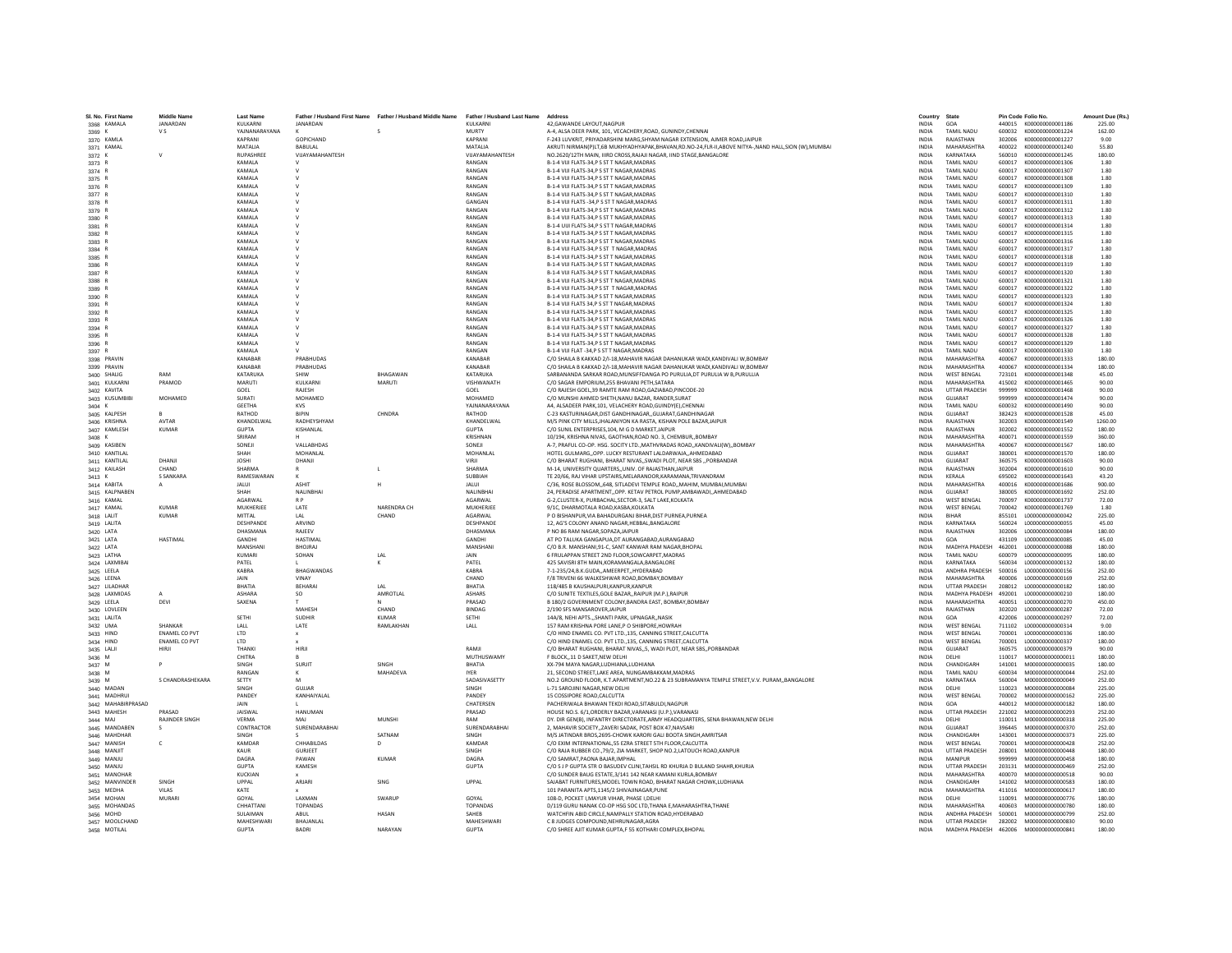| SL No. First Name              | <b>Middle Name</b>       | <b>Last Name</b>        |                              | Father / Husband First Name Father / Husband Middle Name Father / Husband Last Name |                        | Address                                                                                                                                 | Country                      | State                                    | Pin Code Folio No. |                                        | Amount Due (Rs.) |
|--------------------------------|--------------------------|-------------------------|------------------------------|-------------------------------------------------------------------------------------|------------------------|-----------------------------------------------------------------------------------------------------------------------------------------|------------------------------|------------------------------------------|--------------------|----------------------------------------|------------------|
| 3368 KAMALA                    | JANARDAN                 | KULKARNI                | JANARDAN                     |                                                                                     | KULKARNI               | 42.GAWANDE LAYOUT.NAGPUR                                                                                                                | <b>INDIA</b>                 | GOA                                      |                    | 440015 K000000000001186                | 225.00           |
| 3369 K                         | V S                      | YAINANARAYANA           |                              |                                                                                     | MURTY                  | A-4 ALSA DEER PARK 101. VECACHERY ROAD, GUNINDY CHENNAL                                                                                 | <b>INDIA</b>                 | <b>TAMIL NADLI</b>                       |                    | 600032 K000000000001224                | 162.00           |
| 3370 KAMLA                     |                          | KAPRANI                 | <b>GOPICHAND</b>             |                                                                                     | KAPRANI                | F-243 LUVKRIT, PRIYADARSHINI MARG, SHYAM NAGAR EXTENSION, AJMER ROAD, JAIPUR                                                            | <b>INDIA</b>                 | RAJASTHAN                                | 302006             | K000000000001227                       | 9.00             |
| 3371 KAMAL                     |                          | MATALIA                 | BABULAL                      |                                                                                     | MATALIA                | AKRUTI NIRMAN(P)LT,6B MUKHYADHYAPAK,BHAVAN,RD.NO-24,FLR-II,ABOVE NITYA-,NAND HALL,SION (W),MUMBAI                                       | INDIA                        | <b>MAHARASHTRA</b>                       | 400022             | K000000000001240                       | 55.80            |
| 3372 K                         |                          | RUPASHREE               | VUAYAMAHANTESH               |                                                                                     | VIJAYAMAHANTESH        | NO.2620/12TH MAIN, IIIRD CROSS, RAJAJI NAGAR, IIND STAGE, BANGALORE                                                                     | <b>INDIA</b>                 | KARNATAKA                                | 560010             | K000000000001245                       | 180.00           |
| 3373 R                         |                          | KAMALA<br><b>KAMALA</b> | $\mathsf{v}$<br>$\mathbf{v}$ |                                                                                     | RANGAN<br>RANGAN       | B-1-4 VIJI FLATS-34.P S ST T NAGAR.MADRAS                                                                                               | <b>INDIA</b><br><b>INDIA</b> | <b>TAMIL NADU</b><br><b>TAMIL NADLI</b>  | 600017<br>600017   | K000000000001306<br>K000000000001307   | 1.80<br>1.80     |
| 3374 R<br>3375 R               |                          | KAMALA                  | v                            |                                                                                     | RANGAN                 | B-1-4 VIJI FLATS-34.P S ST T NAGAR.MADRAS<br>B-1-4 VIJI FLATS-34,P S ST T NAGAR, MADRAS                                                 | INDIA                        | TAMIL NADU                               | 600017             | K000000000001308                       | 1.80             |
| 3376 R                         |                          | KAMALA                  |                              |                                                                                     | RANGAN                 | B-1-4 VIJI FLATS-34.P S ST T NAGAR.MADRAS                                                                                               | <b>INDIA</b>                 | <b>TAMIL NADU</b>                        | 600017             | K000000000001309                       | 1.80             |
| 3377 R                         |                          | KAMALA                  | $\vee$                       |                                                                                     | RANGAN                 | B-1-4 VIJI FLATS-34.P S ST T NAGAR.MADRAS                                                                                               | <b>INDIA</b>                 | <b>TAMIL NADU</b>                        | 600017             | K000000000001310                       | 1.80             |
| 3378 R                         |                          | <b>KAMALA</b>           | $\vee$                       |                                                                                     | GANGAN                 | B-1-4 VIJI FLATS -34.P S ST T NAGAR.MADRAS                                                                                              | <b>INDIA</b>                 | <b>TAMIL NADLI</b>                       | 600017             | K000000000001311                       | 1.80             |
| 3379 R                         |                          | KAMALA                  |                              |                                                                                     | RANGAN                 | B-1-4 VIJI FLATS-34,P S ST T NAGAR, MADRAS                                                                                              | INDIA                        | <b>TAMIL NADU</b>                        | 600017             | K000000000001312                       | 1.80             |
| 3380 R                         |                          | KAMALA                  |                              |                                                                                     | RANGAN                 | B-1-4 VIJI FLATS-34.P S ST T NAGAR.MADRAS                                                                                               | <b>INDIA</b>                 | <b>TAMIL NADU</b>                        | 600017             | K000000000001313                       | 1.80             |
| 3381 R                         |                          | KAMALA                  |                              |                                                                                     | RANGAN                 | B-1-4 UUI FLATS-34,P S ST T NAGAR, MADRAS                                                                                               | INDIA                        | <b>TAMIL NADU</b>                        | 600017             | K000000000001314                       | 1.80             |
| 3382 R                         |                          | <b>KAMALA</b><br>KAMALA | $\mathbf{v}$<br>$\mathsf{v}$ |                                                                                     | RANGAN<br>RANGAN       | <b>B-1-4 VIII FLATS-34 P S ST T NAGAR MADRAS</b><br>B-1-4 VIJI FLATS-34,P S ST T NAGAR, MADRAS                                          | <b>INDIA</b><br><b>INDIA</b> | <b>TAMIL NADLI</b><br><b>TAMIL NADLI</b> | 600017<br>600017   | K000000000001315<br>K000000000001316   | 1.80<br>1.80     |
| 3383 R<br>3384 R               |                          | KAMALA                  |                              |                                                                                     | RANGAN                 | B-1-4 VIJI FLATS-34, PS ST T NAGAR, MADRAS                                                                                              | INDIA                        | <b>TAMIL NADU</b>                        | 600017             | K000000000001317                       | 1.80             |
| 3385 R                         |                          | KAMALA                  | v                            |                                                                                     | RANGAN                 | B-1-4 VIJI FLATS-34,P S ST T NAGAR, MADRAS                                                                                              | <b>INDIA</b>                 | <b>TAMIL NADU</b>                        | 600017             | K000000000001318                       | 1.80             |
| 3386 R                         |                          | KAMALA                  | $\mathsf{v}$                 |                                                                                     | RANGAN                 | B-1-4 VIJI FLATS-34.P S ST T NAGAR.MADRAS                                                                                               | <b>INDIA</b>                 | <b>TAMIL NADU</b>                        | 600017             | K000000000001319                       | 1.80             |
| 3387 R                         |                          | <b>KAMALA</b>           |                              |                                                                                     | RANGAN                 | B-1-4 VIJI FLATS-34.P S ST T NAGAR.MADRAS                                                                                               | <b>INDIA</b>                 | <b>TAMIL NADLI</b>                       | 600017             | K000000000001320                       | 1.80             |
| 3388 R                         |                          | KAMALA                  | v                            |                                                                                     | RANGAN                 | B-1-4 VIJI FLATS-34,P S ST T NAGAR, MADRAS                                                                                              | <b>INDIA</b>                 | <b>TAMIL NADU</b>                        | 600017             | K000000000001321                       | 1.80             |
| 3389 R                         |                          | KAMALA                  |                              |                                                                                     | RANGAN                 | B-1-4 VIJI FLATS-34.P S ST T NAGAR.MADRAS                                                                                               | <b>INDIA</b>                 | <b>TAMIL NADU</b>                        | 600017             | K000000000001322                       | 1.80             |
| 3390 R                         |                          | KAMALA                  | v                            |                                                                                     | RANGAN                 | B-1-4 VIJI FLATS-34, PS ST T NAGAR, MADRAS                                                                                              | INDIA                        | <b>TAMIL NADU</b>                        | 600017             | K000000000001323                       | 1.80             |
| 3391 R                         |                          | <b>KAMALA</b><br>KAMALA | $\mathsf{v}$                 |                                                                                     | RANGAN<br>RANGAN       | B-1-4 VIJI FLATS 34.P S ST T NAGAR MADRAS<br>B-1-4 VIJI FLATS-34,P S ST T NAGAR, MADRAS                                                 | <b>INDIA</b><br><b>INDIA</b> | <b>TAMIL NADLI</b><br><b>TAMIL NADU</b>  | 600017<br>600017   | K000000000001324<br>K000000000001325   | 1.80<br>1.80     |
| 3392 R<br>3393 R               |                          | KAMALA                  |                              |                                                                                     | RANGAN                 | B-1-4 VIJI FLATS-34.P S ST T NAGAR.MADRAS                                                                                               | <b>INDIA</b>                 | <b>TAMIL NADU</b>                        | 600017             | K000000000001326                       | 1.80             |
| 3394 R                         |                          | KAMALA                  |                              |                                                                                     | RANGAN                 | B-1-4 VIJI FLATS-34,P S ST T NAGAR, MADRAS                                                                                              | INDIA                        | <b>TAMIL NADU</b>                        | 600017             | K000000000001327                       | 1.80             |
| 3395 R                         |                          | <b>KAMALA</b>           | $\mathbf{v}$                 |                                                                                     | RANGAN                 | <b>B-1-4 VIII FLATS-34 P S ST T NAGAR MADRAS</b>                                                                                        | <b>INDIA</b>                 | <b>TAMIL NADLI</b>                       | 600017             | K000000000001328                       | 1.80             |
| 3396 R                         |                          | <b>KAMALA</b>           | $\mathsf{v}$                 |                                                                                     | RANGAN                 | B-1-4 VIJI FLATS-34,P S ST T NAGAR, MADRAS                                                                                              | <b>INDIA</b>                 | <b>TAMIL NADLI</b>                       | 600017             | K000000000001329                       | 1.80             |
| 3397 R                         |                          | KAMALA                  |                              |                                                                                     | RANGAN                 | B-1-4 VIJI FLAT -34, PS ST T NAGAR, MADRAS                                                                                              | <b>INDIA</b>                 | <b>TAMIL NADLI</b>                       | 600017             | K000000000001330                       | 1.80             |
| 3398 PRAVIN                    |                          | KANABAR                 | PRABHUDAS                    |                                                                                     | KANABAR                | C/O SHAILA B KAKKAD 2/I-18, MAHAVIR NAGAR DAHANUKAR WADI, KANDIVALI W, BOMBAY                                                           | <b>INDIA</b>                 | <b>MAHARASHTRA</b>                       | 400067             | K000000000001333                       | 180.00           |
| 3399 PRAVIN                    |                          | KANABAR                 | PRABHUDAS                    |                                                                                     | KANABAR                | C/O SHAILA B KAKKAD 2/I-18, MAHAVIR NAGAR DAHANUKAR WADI, KANDIVALI W, BOMBAY                                                           | INDIA                        | MAHARASHTRA                              | 400067             | K000000000001334                       | 180.00           |
| 3400 SHALIG                    | RAM<br>PRAMOD            | KATARUKA                | SHIW<br><b>KULKARNI</b>      | RHAGAWAN<br>MARUTI                                                                  | KATARUKA<br>VISHWANATH | SARBANANDA SARKAR ROAD.MUNSIFFDANGA PO PURULIA.DT PURULIA W B.PURULLIA                                                                  | <b>INDIA</b><br><b>INDIA</b> | <b>WEST RENGAL</b><br>MAHARASHTRA        | 723101<br>415002   | K000000000001348                       | 45.00<br>90.00   |
| 3401 KULKARNI<br>3402 KAVITA   |                          | MARUTI<br>GOEL          | RAJESH                       |                                                                                     | GOEL                   | C/O SAGAR EMPORIUM,255 BHAVANI PETH,SATARA<br>C/O RAJESH GOEL.39 RAMTE RAM ROAD.GAZIABAD.PINCODE-20                                     | <b>INDIA</b>                 | <b>UTTAR PRADESH</b>                     | 999999             | K000000000001465<br>K000000000001468   | 90.00            |
| 3403 KUSUMBIE                  | MOHAMED                  | <b>SURATI</b>           | MOHAMED                      |                                                                                     | MOHAMED                | C/O MUNSHI AHMED SHETH, NANU BAZAR, RANDER, SURAT                                                                                       | INDIA                        | GUJARAT                                  | 999999             | K000000000001474                       | 90.00            |
| 3404 K                         |                          | <b>GEFTHA</b>           | <b>KVS</b>                   |                                                                                     | YAINANARAYANA          | A4 ALSADEER PARK 101. VELACHERY ROAD GUINDY(E) CHENNAL                                                                                  | <b>INDIA</b>                 | <b>TAMIL NADLI</b>                       | 600032             | K000000000001490                       | 90.00            |
| 3405 KALPESH                   |                          | RATHOD                  | <b>RIPIN</b>                 | CHNDRA                                                                              | RATHOD                 | C-23 KASTURINAGAR.DIST GANDHINAGARGUJARAT.GANDHINAGAR                                                                                   | <b>INDIA</b>                 | GUIARAT                                  | 382423             | K000000000001528                       | 45.00            |
| 3406 KRISHNA                   | AVTAR                    | KHANDELWAL              | RADHEYSHYAM                  |                                                                                     | KHANDELWAL             | M/S PINK CITY MILLS, JHALANIYON KA RASTA, KISHAN POLE BAZAR, JAIPUR                                                                     | <b>INDIA</b>                 | RAJASTHAN                                | 302003             | K000000000001549                       | 1260.00          |
| 3407 KAMLESH                   | <b>KUMAR</b>             | <b>GUPTA</b>            | KISHANLAL                    |                                                                                     | <b>GUPTA</b>           | C/O SUNIL ENTERPRISES, 104, M G D MARKET, JAIPUR                                                                                        | INDIA                        | RAJASTHAN                                | 302002             | K000000000001552                       | 180.00           |
| $3408$ K                       |                          | SRIRAM                  |                              |                                                                                     | KRISHNAN               | 10/194, KRISHNA NIVAS, GAOTHAN, ROAD NO. 3, CHEMBUR., BOMBAY                                                                            | <b>INDIA</b>                 | MAHARASHTRA                              | 400071             | K000000000001559                       | 360.00           |
| 3409 KASIBEN                   |                          | SONEIL<br>SHAH          | VALLARHDAS<br>MOHANI AI      |                                                                                     | SONEIL<br>MOHANLAL     | A-7, PRAFUL CO-OP, HSG, SOCITY LTD, MATHVRADAS ROAD, KANDIVALI(W), BOMBAY<br>HOTEL GULMARGOPP, LUCKY RESTURANT LALDARWAJAAHMEDABAD      | <b>INDIA</b><br><b>INDIA</b> | MAHARASHTRA<br>GUIARAT                   | 400067<br>380001   | K000000000001567<br>K000000000001570   | 180.00<br>180.00 |
| 3410 KANTILAL<br>3411 KANTILAL | DHANJI                   | <b>JOSHI</b>            | DHANJI                       |                                                                                     |                        | C/O BHARAT RUGHANI, BHARAT NIVAS, SWADI PLOT, NEAR SBS  PORBANDAR                                                                       | <b>INDIA</b>                 | GUJARAT                                  | 360575             | K000000000001603                       | 90.00            |
| 3412 KAILASH                   | CHAND                    | SHARMA                  |                              | $\mathsf{L}$                                                                        | SHARMA                 | M-14, UNIVERSITY QUARTERS, UNIV. OF RAJASTHAN JAIPUR                                                                                    | INDIA                        | RAJASTHAN                                | 302004             | K000000000001610                       | 90.00            |
| 3413 K                         | S SANKARA                | RAMESWARAN              |                              |                                                                                     | SURRIAH                | TE 20/66. RAJ VIHAR UPSTAIRS.MELARANOOR.KARAMANA.TRIVANDRAM                                                                             | <b>INDIA</b>                 | KERALA                                   | 695002             | K000000000001643                       | 43.20            |
| 3414 KABITA                    |                          | <b>JALUI</b>            | <b>ASHIT</b>                 |                                                                                     | <b>JALUI</b>           | C/36, ROSE BLOSSOM, 648, SITLADEVI TEMPLE ROAD, MAHIM, MUMBAI, MUMBAI                                                                   | <b>INDIA</b>                 | <b>MAHARASHTRA</b>                       | 400016             | K000000000001686                       | 900.00           |
| 3415 KALPNABEN                 |                          | SHAH                    | NALINBHAI                    |                                                                                     | NALINBHA               | 24, PERADISE APARTMENT, OPP. KETAV PETROL PUMP, AMBAWADI, AHMEDABAD                                                                     | INDIA                        | GUJARAT                                  | 380005             | K000000000001692                       | 252.00           |
| 3416 KAMAL                     |                          | AGARWAL                 | R <sub>P</sub>               |                                                                                     | AGARWAL                | G-2,CLUSTER-X, PURBACHAL, SECTOR-3, SALT LAKE, KOLKATA                                                                                  | INDIA                        | <b>WEST BENGAL</b>                       | 700097             | K000000000001737                       | 72.00            |
| 3417 KAMAL                     | KUMAR                    | MUKHERJEE               | LATE                         | NARENDRA CH                                                                         | MUKHERJEE              | 9/1C. DHARMOTALA ROAD.KASBA.KOLKATA                                                                                                     | <b>INDIA</b>                 | <b>WEST BENGAL</b>                       | 700042             | K000000000001769                       | 1.80             |
| 3418 LALIT<br>3419 LALITA      | <b>KUMAR</b>             | MITTAI<br>DESHPANDE     | IAI<br>ARVIND                | CHAND                                                                               | AGARWAI<br>DESHPANDE   | P O BISHANPUR, VIA BAHADURGANJ BIHAR, DIST PURNEA, PURNEA<br>12, AG'S COLONY ANAND NAGAR, HEBBAL, BANGALORE                             | <b>INDIA</b><br><b>INDIA</b> | <b>RIHAR</b><br>KARNATAKA                | 855101<br>560024   | 1000000000000042<br>L000000000000055   | 225.00<br>45.00  |
| 3420 LATA                      |                          | DHASMANA                | RAJEEV                       |                                                                                     | DHASMANA               | P NO 86 RAM NAGAR, SOPAZA, JAIPUR                                                                                                       | INDIA                        | RAJASTHAN                                | 302006             | L000000000000084                       | 180.00           |
| 3421 LATA                      | <b>HASTIMAL</b>          | GANDHI                  | <b>HASTIMAL</b>              |                                                                                     | <b>GANDHI</b>          | AT PO TALUKA GANGAPUA.DT AURANGABAD.AURANGABAD                                                                                          | <b>INDIA</b>                 | GOA                                      | 431109             | 1.000000000000085                      | 45.00            |
| 3422 LATA                      |                          | MANSHANI                | <b>BHOJRAJ</b>               |                                                                                     | MANSHAN                | C/O B.R. MANSHANI.91-C. SANT KANWAR RAM NAGAR.BHOPAL                                                                                    | <b>INDIA</b>                 | MADHYA PRADESH                           | 462001             | L000000000000088                       | 180.00           |
| 3423 LATHA                     |                          | KUMARI                  | SOHAN                        | LAL                                                                                 | <b>JAIN</b>            | 6 FRULAPPAN STREET 2ND FLOOR.SOWCARPET.MADRAS                                                                                           | <b>INDIA</b>                 | <b>TAMIL NADLI</b>                       | 600079             | 1.000000000000095                      | 180.00           |
| 3424 LAXMIBAI                  |                          | PATEL                   |                              |                                                                                     | PATEL                  | 425 SAVISRI 8TH MAIN, KORAMANGALA, BANGALORE                                                                                            | INDIA                        | KARNATAKA                                | 560034             | L00000000000132                        | 180.00           |
| 3425 LEELA                     |                          | KABRA                   | <b>BHAGWANDAS</b>            |                                                                                     | KABRA                  | 7-1-235/24, B.K.GUDA, AMEERPET, HYDERABAD                                                                                               | INDIA                        | ANDHRA PRADESH                           | 500016             | L000000000000156                       | 252.00           |
| 3426 LEENA                     |                          | <b>JAIN</b>             | VINAY                        |                                                                                     | CHAND<br>RHATIA        | F/8 TRIVENI 66 WALKESHWAR ROAD.BOMBAY.BOMBAY                                                                                            | <b>INDIA</b>                 | MAHARASHTRA                              | 400006             | 1000000000000169                       | 252.00           |
| 3427 LILADHAR<br>3428 LAXMIDAS |                          | BHATIA<br>ASHARA        | BEHARA<br>SO                 | 1 Al<br>AMROTLAL                                                                    | <b>ASHARS</b>          | 118/485 B KAUSHALPURI, KANPUR, KANPUR<br>C/O SUNITE TEXTILES, GOLE BAZAR, , RAIPUR (M.P.), RAIPUR                                       | <b>INDIA</b><br><b>INDIA</b> | <b>UTTAR PRADESH</b><br>MADHYA PRADESH   | 208012<br>492001   | L000000000000182<br>L00000000000210    | 180.00<br>180.00 |
| 3429 LEELA                     | DEVI                     | SAXENA                  |                              |                                                                                     | PRASAD                 | B 180/2 GOVERNMENT COLONY, BANDRA EAST, BOMBAY, BOMBAY                                                                                  | INDIA                        | MAHARASHTRA                              | 400051             | L00000000000270                        | 450.00           |
| 3430 LOVLEEN                   |                          |                         | MAHESH                       | CHAND                                                                               | <b>BINDAG</b>          | 2/190 SFS MANSAROVER JAIPUR                                                                                                             | <b>INDIA</b>                 | RAJASTHAN                                | 302020             | L000000000000287                       | 72.00            |
| 3431 LALITA                    |                          | SETHI                   | <b>SUDHIR</b>                | <b>KUMAR</b>                                                                        | SETHI                  | 14A/8, NEHI APTSSHANTI PARK, UPNAGAR., NASIK                                                                                            | <b>INDIA</b>                 | GOA                                      | 422006             | L00000000000297                        | 72.00            |
| 3432 UMA                       | SHANKAR                  | LALL                    | LATE                         | RAMLAKHAN                                                                           | LALL                   | 157 RAM KRISHNA PORE LANE, P O SHIBPORE, HOWRAH                                                                                         | <b>INDIA</b>                 | <b>WEST BENGAL</b>                       | 711102             | L000000000000314                       | 9.00             |
| 3433 HIND                      | <b>ENAMEL CO PVT</b>     | LTD                     |                              |                                                                                     |                        | C/O HIND ENAMEL CO. PVT LTD., 135, CANNING STREET, CALCUTTA                                                                             | INDIA                        | <b>WEST BENGAL</b>                       | 700001             | L000000000000336                       | 180.00           |
| 3434 HIND                      | <b>ENAMEL CO PVT</b>     | <b>LTD</b>              |                              |                                                                                     |                        | C/O HIND ENAMEL CO. PVT LTD135. CANNING STREET.CALCUTTA                                                                                 | <b>INDIA</b>                 | <b>WEST BENGAL</b>                       | 700001             | 1000000000000337                       | 180.00           |
| 3435 LALJI                     | HIRJI                    | <b>THANKI</b><br>CHITRA | HIRJI                        |                                                                                     | RAMJI<br>MUTHUSWAMY    | C/O BHARAT RUGHANI, BHARAT NIVAS5, WADI PLOT, NEAR SBS., PORBANDAR<br>F RLOCK 11 D SAKET NEW DELHI                                      | <b>INDIA</b><br><b>INDIA</b> | GUJARAT<br>DELHI                         | 360575<br>110017   | L000000000000379<br>M000000000000011   | 90.00<br>180.00  |
| 3436 M<br>3437 M               |                          | SINGH                   | <b>SURJIT</b>                | SINGH                                                                               | BHATIA                 | XX-794 MAYA NAGAR,LUDHIANA,LUDHIANA                                                                                                     | INDIA                        | CHANDIGARI                               | 141001             | M000000000000035                       | 180.00           |
| 3438 M                         |                          | RANGAN                  |                              | <b>MAHADEVA</b>                                                                     | <b>IYER</b>            | 21, SECOND STREET, LAKE AREA, NUNGAMBAKKAM, MADRAS                                                                                      | INDIA                        | <b>TAMIL NADU</b>                        | 600034             | M000000000000044                       | 252.00           |
| 3439 M                         | S CHANDRASHEKARA         | SETTY                   | M                            |                                                                                     | SADASIVASETTY          | NO.2 GROUND FLOOR, K.T.APARTMENT, NO.22 & 23 SUBRAMANYA TEMPLE STREET, V.V. PURAM, BANGALORE                                            | <b>INDIA</b>                 | KARNATAKA                                | 560004             | M000000000000049                       | 252.00           |
| 3440 MADAN                     |                          | SINGH                   | <b>GUJJAR</b>                |                                                                                     | SINGH                  | L-71 SAROJINI NAGAR.NEW DELHI                                                                                                           | <b>INDIA</b>                 | DELHI                                    | 110023             | M000000000000084                       | 225.00           |
| 3441 MADHRUI                   |                          | PANDEY                  | KANHAIYALAL                  |                                                                                     | PANDEY                 | 15 COSSIPORE ROAD.CALCUTTA                                                                                                              | <b>INDIA</b>                 | <b>WEST BENGAL</b>                       | 700002             | M000000000000162                       | 225.00           |
| 3442 MAHABIRPRASAD             |                          | JAIN                    |                              |                                                                                     | CHATERSEN              | PACHERIWALA BHAWAN TEKDI ROAD, SITABULDI, NAGPUR                                                                                        | INDIA                        | GOA                                      | 440012             | M000000000000182                       | 180.00           |
| 3443 MAHESH<br>3444 MAJ        | PRASAD<br>RAJINDER SINGH | <b>JAISWAL</b><br>VERMA | <b>HANUMAN</b><br>MAI        | MUNSHI                                                                              | PRASAD<br>RAM          | HOUSE NO.S. 6/1.ORDERLY BAZAR.VARANASI (U.P.).VARANASI<br>DY, DIR GEN(B), INFANTRY DIRECTORATE.ARMY HEADQUARTERS, SENA BHAWAN.NEW DELHI | <b>INDIA</b><br><b>INDIA</b> | <b>UTTAR PRADESH</b><br>DELHI            | 221002<br>110011   | M000000000000293<br>M000000000000318   | 252.00<br>225.00 |
| 3445 MANDABEN                  |                          | CONTRACTOR              | SURENDARABHAI                |                                                                                     | SURENDARABHA           | 2. MAHAVIR SOCIETYZAVERI SADAK, POST BOX 47.NAVSARI                                                                                     | <b>INDIA</b>                 | GUJARAT                                  | 396445             | M000000000000370                       | 252.00           |
| 3446 MAHDHAF                   |                          | SINGH                   |                              | SATNAM                                                                              | SINGH                  | M/S JATINDAR BROS, 2695-CHOWK KARORI GALI BOOTA SINGH, AMRITSAR                                                                         | INDIA                        | CHANDIGARH                               | 143001             | M00000000000373                        | 225.00           |
| 3447 MANISH                    |                          | KAMDAR                  | CHHABILDAS                   |                                                                                     | KAMDAR                 | C/O EXIM INTERNATIONAL.55 EZRA STREET STH FLOOR.CALCUTTA                                                                                | <b>INDIA</b>                 | <b>WEST BENGAL</b>                       | 700001             | M000000000000428                       | 252.00           |
| 3448 MANJIT                    |                          | KAUR                    | <b>GURJEET</b>               |                                                                                     | SINGH                  | C/O RAJA RUBBER CO., 79/2, ZIA MARKET, SHOP NO.2, LATOUCH ROAD, KANPUR                                                                  | <b>INDIA</b>                 | <b>UTTAR PRADESH</b>                     | 208001             | M000000000000448                       | 180.00           |
| 3449 MANJU                     |                          | DAGRA                   | PAWAN                        | KUMAR                                                                               | DAGRA                  | C/O SAMRAT PAONA RAIAR IMPHAI                                                                                                           | <b>INDIA</b>                 | MANIPUR                                  | 999999             | M000000000000458                       | 180.00           |
| 3450 MANJU                     |                          | <b>GUPTA</b>            | KAMESH                       |                                                                                     | <b>GUPTA</b>           | C/O S J P GUPTA STR O BASUDEV CLINI, TAHSIL RD KHURJA D BULAND SHAHR, KHURJA                                                            | INDIA                        | <b>UTTAR PRADESH</b>                     | 203131             | M000000000000469                       | 252.00           |
| 3451 MANOHAR                   |                          | KUCKIAN                 |                              |                                                                                     |                        | C/O SUNDER BAUG ESTATE, 3/141 142 NEAR KAMANI KURLA, BOMBAY                                                                             | INDIA                        | MAHARASHTRA                              | 400070             | M000000000000518                       | 90.00            |
| 3452 MANVINDER<br>3453 MEDHA   | SINGH<br><b>VILAS</b>    | UPPAL<br>KATE           | ARJARI                       | SING                                                                                | UPPAL                  | SAJABAT FURNITURES.MODEL TOWN ROAD. BHARAT NAGAR CHOWK.LUDHIANA<br>101 PARANITA APTS, 1145/2 SHIVAJINAGAR, PUNE                         | <b>INDIA</b><br><b>INDIA</b> | CHANDIGARH<br>MAHARASHTRA                | 141002<br>411016   | M000000000000583<br>M000000000000617   | 180.00<br>180.00 |
| 3454 MOHAN                     | <b>MURAR</b>             | GOYAL                   | LAXMAN                       | SWARUF                                                                              | GOYAL                  | 108-D. POCKET I.MAYUR VIHAR. PHASE I.DELHI                                                                                              | <b>INDIA</b>                 | DELHI                                    | 110091             | M000000000000776                       | 180.00           |
| 3455 MOHANDAS                  |                          | CHHATTAN                | <b>TOPANDAS</b>              |                                                                                     | <b>TOPANDAS</b>        | D/119 GURU NANAK CO-OP HSG SOC LTD, THANA E, MAHARASHTRA, THANE                                                                         | INDIA                        | <b>MAHARASHTRA</b>                       | 400603             | M00000000000780                        | 180.00           |
| 3456 MOHD                      |                          | SULAIMAN                | ABUL                         | HASAN                                                                               | SAHEB                  | WATCHFIN ABID CIRCLE, NAMPALLY STATION ROAD, HYDERABAD                                                                                  | <b>INDIA</b>                 | ANDHRA PRADESH                           | 500001             | M000000000000799                       | 252.00           |
| 3457 MOOLCHAND                 |                          | MAHESHWARI              | BHAJANLAL                    |                                                                                     | MAHESHWAR              | C 8 JUDGES COMPOUND.NEHRUNAGAR.AGRA                                                                                                     | <b>INDIA</b>                 | UTTAR PRADESH                            |                    | 282002 M000000000000830                | 90.00            |
| 3458 MOTILAL                   |                          | <b>GUPTA</b>            | <b>BADRI</b>                 | NARAYAN                                                                             | <b>GUPTA</b>           | C/O SHREE AJIT KUMAR GUPTA F 55 KOTHARI COMPLEX BHOPAL                                                                                  | <b>INDIA</b>                 |                                          |                    | MADHYA PRADESH 462006 M000000000000841 | 180.00           |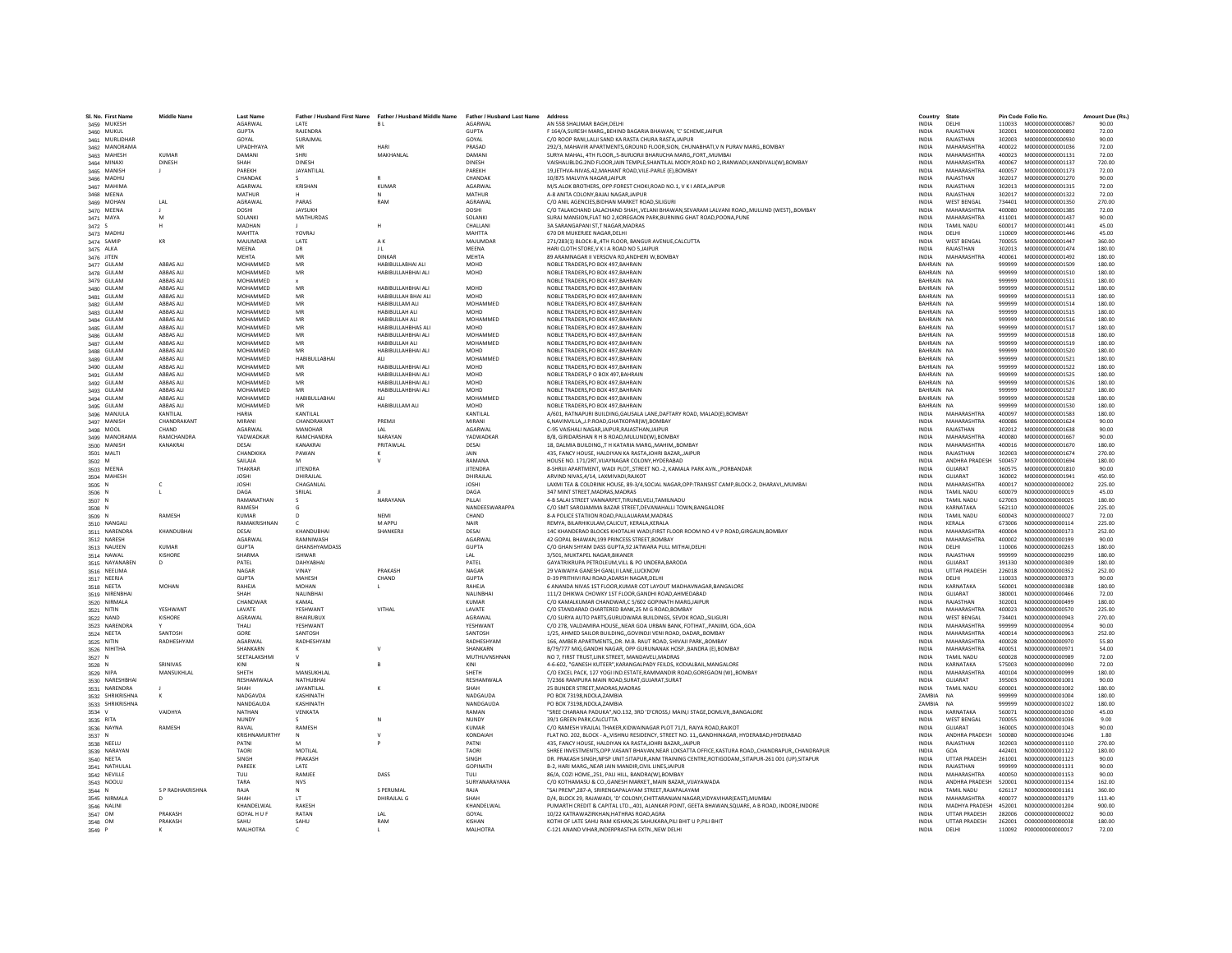| SI. No. First Name            | <b>Middle Name</b>            | <b>Last Name</b>      |                      |                                                                                                  |                           | Address                                                                                                                             | Country                      | State                           |                  | Pin Code Folio No.                   | Amount Due (Rs.) |
|-------------------------------|-------------------------------|-----------------------|----------------------|--------------------------------------------------------------------------------------------------|---------------------------|-------------------------------------------------------------------------------------------------------------------------------------|------------------------------|---------------------------------|------------------|--------------------------------------|------------------|
| 3459 MUKESH                   |                               | AGARWAL               | <b>IATF</b>          | Father / Husband First Name Father / Husband Middle Name Father / Husband Last Name<br><b>BI</b> | AGARWAL                   | AN 55B SHALIMAR BAGH.DELHI                                                                                                          | <b>INDIA</b>                 | DELHI                           |                  | 110033 M000000000000867              | 90.00            |
| 3460 MUKUL                    |                               | GUPTA                 | RAIFNDRA             |                                                                                                  | <b>GUPTA</b>              | F 164/A SURESH MARG, REHIND RAGARIA RHAWAN, 'C' SCHEME JAIPUR                                                                       | <b>INDIA</b>                 | RAIASTHAN                       |                  | 302001   M0000000000000892           | 72.00            |
| 3461 MURLIDHAI                |                               | GOYAL                 | SURAJMAL             |                                                                                                  | GOYAL                     | C/O ROOP RANI.LALJI SAND KA RASTA CHURA RASTA JAIPUR                                                                                | <b>INDIA</b>                 | RAJASTHAN                       | 302003           | M000000000000930                     | 90.00            |
| 3462 MANORAMA                 |                               | UPADHYAYA             |                      | HARI                                                                                             | PRASAD                    | 292/3, MAHAVIR APARTMENTS, GROUND FLOOR, SION, CHUNABHATI, VN PURAV MARG, BOMBAY                                                    | INDIA                        | <b>MAHARASHTRA</b>              | 400022           | M000000000001036                     | 72.00            |
| 3463 MAHESH                   | <b>KUMAR</b>                  | <b>DAMAN</b>          | SHRI                 | MAKHANLAI                                                                                        | DAMANI                    | SURYA MAHAL, 4TH FLOOR,, 5-BURJORJI BHARUCHA MARG,, FORT,, MUMBAI                                                                   | <b>INDIA</b>                 | MAHARASHTRA                     | 400023           | M000000000001131                     | 72.00            |
| 3464 MINAXI                   | DINESH                        | SHAH                  | <b>DINESH</b>        |                                                                                                  | <b>DINESH</b>             | VAISHALIBLDG.2ND FLOOR, JAIN TEMPLE, SHANTILAL MODY, ROAD NO 2, IRANWADI, KANDIVALI(W), BOMBAY                                      | <b>INDIA</b>                 | MAHARASHTRA                     | 400067           | M000000000001137                     | 720.00           |
| 3465 MANISH                   |                               | PARFKH                | <b>JAYANTILAI</b>    |                                                                                                  | PARFKH                    | 19,JETHVA-NIVAS,42,MAHANT ROAD,VILE-PARLE (E),BOMBAY                                                                                | <b>INDIA</b>                 | MAHARASHTRA                     | 400057           | M000000000001173                     | 72.00            |
| 3466 MADHU                    |                               | CHANDAK               |                      |                                                                                                  | CHANDAK                   | 10/875 MALVIYA NAGAR, JAIPUR                                                                                                        | INDIA                        | RAJASTHAN                       | 302017           | M000000000001270                     | 90.00            |
| 3467 MAHIMA                   |                               | <b>AGARWAI</b>        | KRISHAN              | <b>KUMAR</b>                                                                                     | AGARWAL                   | M/S.ALOK BROTHERS, OPP:FOREST CHOKI,ROAD NO.1, V K I AREA,JAIPUR                                                                    | INDIA                        | RAJASTHAN                       | 302013           | M000000000001315                     | 72.00            |
| 3468 MEENA                    |                               | <b>MATHUR</b>         |                      | N                                                                                                | MATHUR                    | A-8 ANITA COLONY BAJAJ NAGAR JAIPUR                                                                                                 | <b>INDIA</b>                 | RAJASTHAN                       | 302017           | M000000000001322                     | 72.00            |
| 3469 MOHAN                    | LAL                           | AGRAWAL               | PARAS                | RAM                                                                                              | <b>AGRAWAI</b>            | C/O ANIL AGENCIES.BIDHAN MARKET ROAD.SILIGURI                                                                                       | <b>INDIA</b>                 | <b>WEST RENGAL</b>              | 734401           | M000000000001350                     | 270.00           |
| 3470 MEENA                    |                               | <b>DOSHI</b>          | JAYSUKH              |                                                                                                  | DOSHI                     | C/O TALAKCHAND LALACHAND SHAH,, VELANI BHAWAN, SEVARAM LALVANI ROAD,, MULUND (WEST),, BOMBAY                                        | INDIA                        | <b>MAHARASHTRA</b>              | 400080           | M000000000001385                     | 72.00            |
| 3471 MAYA                     |                               | SOLANK                | <b>MATHURDAS</b>     |                                                                                                  | <b>SOLANKI</b>            | SURAJ MANSION, FLAT NO 2, KOREGAON PARK, BURNING GHAT ROAD, POONA, PUNE                                                             | <b>INDIA</b>                 | <b>MAHARASHTRA</b>              | 411001           | M000000000001437<br>M000000000001441 | 90.00            |
| 3472S                         |                               | MADHAN<br>MAHTTA      | YOVRAL               |                                                                                                  | CHALLANI<br><b>MAHTTA</b> | 3A SARANGAPANI ST,T NAGAR, MADRAS<br>670 DR MUKERIEE NAGAR DELHI                                                                    | INDIA<br><b>INDIA</b>        | TAMIL NADU<br>DELHI             | 600017<br>110009 | M000000000001446                     | 45.00<br>45.00   |
| 3473 MADHU<br>3474 SAMIP      | KR                            | MAILIMDAR             | <b>LATE</b>          | AK                                                                                               | MAILIMDAR                 | 271/283(1) BLOCK-B,,4TH FLOOR, BANGUR AVENUE,CALCUTTA                                                                               | <b>INDIA</b>                 | <b>WEST RENGAL</b>              | 700055           | M000000000001447                     | 360.00           |
| 3475 ALKA                     |                               | MEENA                 | DR                   | JL                                                                                               | MEENA                     | HARI CLOTH STORE, V K I A ROAD NO 5, JAIPUR                                                                                         | INDIA                        | RAJASTHAN                       | 302013           | M000000000001474                     | 180.00           |
| 3476 JITEN                    |                               | MEHTA                 | MR                   | <b>DINKAR</b>                                                                                    | MEHTA                     | 89 ARAMNAGAR II VERSOVA RD.ANDHERI W.BOMBA'                                                                                         | <b>INDIA</b>                 | MAHARASHTRA                     | 400061           | M00000000001492                      | 180.00           |
| 3477 GULAM                    | ABBAS ALI                     | MOHAMMED              | MR                   | HABIBULLABHAI ALI                                                                                | MOHD                      | NOBLE TRADERS.PO BOX 497.BAHRAIN                                                                                                    | BAHRAIN NA                   |                                 | 999999           | M000000000001509                     | 180.00           |
| 3478 GULAM                    | <b>ARRAS ALL</b>              | MOHAMMED              | MR                   | HABIBULLAHBHAI ALI                                                                               | MOHD                      | NOBLE TRADERS.PO BOX 497.BAHRAIN                                                                                                    | RAHRAIN NA                   |                                 | 999999           | M000000000001510                     | 180.00           |
| 3479 GULAM                    | ABBAS ALI                     | MOHAMMED              |                      |                                                                                                  |                           | NOBLE TRADERS, PO BOX 497, BAHRAIN                                                                                                  | BAHRAIN NA                   |                                 | 999999           | M000000000001511                     | 180.00           |
| 3480 GULAM                    | ABBAS ALI                     | MOHAMMED              | MR                   | HABIBULLAHBHAI ALI                                                                               | MOHD                      | NOBLE TRADERS.PO BOX 497.BAHRAIN                                                                                                    | BAHRAIN NA                   |                                 | 999999           | M000000000001512                     | 180.00           |
| 3481 GULAM                    | ABBAS ALI                     | MOHAMMED              | MR                   | HABIBULLAH BHAI ALI                                                                              | MOHD                      | NOBLE TRADERS, PO BOX 497, BAHRAIN                                                                                                  | BAHRAIN NA                   |                                 | 999999           | M00000000001513                      | 180.00           |
| 3482 GULAM                    | <b>ARRAS ALL</b>              | MOHAMMED              | MR                   | HARIRULLAM ALL                                                                                   | MOHAMMED                  | NOBLE TRADERS.PO BOX 497.BAHRAIN                                                                                                    | RAHRAIN NA                   |                                 | 999999           | M000000000001514                     | 180.00           |
| 3483 GULAM                    | ABBAS ALI                     | MOHAMMED              | MR                   | HABIBULLAH ALI                                                                                   | <b>MOHD</b>               | NOBLE TRADERS, PO BOX 497, BAHRAIN                                                                                                  | BAHRAIN NA                   |                                 | 999999           | M00000000001515                      | 180.00           |
| 3484 GULAM                    | ABBAS ALI                     | MOHAMMED              | MR                   | HABIBULLAH ALI                                                                                   | MOHAMMED                  | NOBLE TRADERS.PO BOX 497.BAHRAIN                                                                                                    | BAHRAIN NA                   |                                 | 999999           | M000000000001516                     | 180.00           |
| 3485 GULAM                    | ABBAS ALI                     | MOHAMMED              | MR                   | HABIBULLAHBHAS ALI                                                                               | MOHD                      | NOBLE TRADERS, PO BOX 497, BAHRAIN                                                                                                  | BAHRAIN NA                   |                                 | 999999           | M000000000001517                     | 180.00           |
| 3486 GULAM                    | <b>ARRAS ALL</b>              | MOHAMMED              | MR                   | HARIRULLAHRHALALL                                                                                | MOHAMMED                  | NOBLE TRADERS PO ROX 497 BAHRAIN                                                                                                    | RAHRAIN NA                   |                                 | 999999           | M000000000001518                     | 180.00           |
| 3487 GULAM                    | ABBAS ALI                     | MOHAMMED              | MR                   | HABIBULLAH ALI                                                                                   | MOHAMMED                  | NOBLE TRADERS, PO BOX 497, BAHRAIN                                                                                                  | BAHRAIN NA                   |                                 | 999999           | M000000000001519                     | 180.00           |
| 3488 GULAM                    | ABBAS ALI                     | <b>MOHAMMED</b>       | MR                   | HABIBULLAHBHAI ALI                                                                               | <b>MOHD</b>               | NOBLE TRADERS, PO BOX 497, BAHRAIN                                                                                                  | BAHRAIN NA                   |                                 | 999999           | M000000000001520                     | 180.00           |
| 3489 GULAM                    | ABBAS ALI                     | MOHAMMED              | <b>HABIBULLABHAI</b> |                                                                                                  | MOHAMMED                  | NOBLE TRADERS.PO BOX 497.BAHRAIN                                                                                                    | BAHRAIN NA                   |                                 | 999999           | M00000000001521                      | 180.00           |
| 3490 GULAM                    | ABBAS ALI                     | MOHAMMED              | MR                   | HABIBULLAHBHAI ALI                                                                               | MOHD                      | NOBLE TRADERS, PO BOX 497, BAHRAIN                                                                                                  | BAHRAIN NA                   |                                 | 999999           | M00000000001522                      | 180.00           |
| 3491 GULAM                    | <b>ARRAS ALL</b><br>ABBAS ALI | MOHAMMED<br>MOHAMMED  | MR<br>MR             | HARIRULLAHRHALALL<br>HABIBULLAHBHAI ALI                                                          | <b>MOHD</b><br>MOHD       | NORLE TRADERS P O ROX 497 RAHRAIN                                                                                                   | RAHRAIN NA<br>BAHRAIN NA     |                                 | 999999<br>999999 | M000000000001525<br>M00000000001526  | 180.00<br>180.00 |
| 3492 GULAM<br>3493 GULAM      | ABBAS ALI                     | MOHAMMED              |                      | HABIBULLAHBHAI ALI                                                                               | MOHD                      | NOBLE TRADERS, PO BOX 497, BAHRAIN<br>NOBLE TRADERS.PO BOX 497.BAHRAIN                                                              | BAHRAIN NA                   |                                 | 999999           | M000000000001527                     | 180.00           |
| 3494 GULAM                    | ABBAS ALI                     | MOHAMMED              | <b>HABIBULLABHAI</b> | <b>ALI</b>                                                                                       | MOHAMMED                  | NOBLE TRADERS, PO BOX 497, BAHRAIN                                                                                                  | BAHRAIN NA                   |                                 | 999999           | M00000000001528                      | 180.00           |
| 3495 GULAM                    | <b>ARRAS ALL</b>              | MOHAMMED              | MR                   | HABIBULLAM ALI                                                                                   | <b>MOHD</b>               | NORLE TRADERS PO ROX 497 RAHRAIN                                                                                                    | RAHRAIN NA                   |                                 | 999999           | M000000000001530                     | 180.00           |
| 3496 MANJULA                  | KANTILAI                      | <b>HARIA</b>          | <b>KANTILAI</b>      |                                                                                                  | KANTILAL                  | A/601, RATNAPURI BUILDING, GAUSALA LANE, DAFTARY ROAD, MALAD(E), BOMBAY                                                             | <b>INDIA</b>                 | MAHARASHTRA                     | 400097           | M000000000001583                     | 180.00           |
| 3497 MANISH                   | CHANDRAKANT                   | MIRANI                | CHANDRAKANT          | PREMJI                                                                                           | MIRANI                    | 6, NAVINVILLA, , J.P. ROAD, GHATKOPAR(W), BOMBAY                                                                                    | <b>INDIA</b>                 | MAHARASHTRA                     | 400086           | M00000000001624                      | 90.00            |
| 3498 MOOL                     | CHAND                         | AGARWAL               | MANOHAR              | LAL                                                                                              | AGARWAL                   | C-95 VAISHALI NAGAR, JAIPUR, RAJASTHAN, JAIPUR                                                                                      | <b>INDIA</b>                 | RAJASTHAN                       | 302012           | M000000000001638                     | 90.00            |
| 3499 MANORAMA                 | RAMCHANDRA                    | YADWADKAR             | RAMCHANDRA           | NARAYAN                                                                                          | YADWADKAR                 | B/8, GIRIDARSHAN R H B ROAD, MULUND(W), BOMBAY                                                                                      | <b>INDIA</b>                 | MAHARASHTRA                     | 400080           | M00000000001667                      | 90.00            |
| 3500 MANISH                   | KANAKRAI                      | DESAL                 | KANAKRAI             | PRITAWLAL                                                                                        | DESAI                     | 18, DALMIA BUILDING, T H KATARIA MARG, MAHIM, BOMBAY                                                                                | <b>INDIA</b>                 | MAHARASHTRA                     | 400016           | M000000000001670                     | 180.00           |
| 3501 MALTI                    |                               | CHANDKIKA             | PAWAN                |                                                                                                  | <b>JAIN</b>               | 435, FANCY HOUSE, HALDIYAN KA RASTA, JOHRI BAZAR, JAIPUR                                                                            | <b>INDIA</b>                 | RAIASTHAN                       | 302003           | M000000000001674                     | 270.00           |
| 3502 M                        |                               | SAILAJA               |                      |                                                                                                  | RAMANA                    | HOUSE NO. 171/2RT.VIJAYNAGAR COLONY.HYDERABAD                                                                                       | <b>INDIA</b>                 | ANDHRA PRADESH                  | 500457           | M000000000001694                     | 180.00           |
| 3503 MEENA                    |                               | THAKRAR               | <b>JITENDRA</b>      |                                                                                                  | <b>JITENDRA</b>           | 8-SHRIJI APARTMENT, WADI PLOT, STREET NO.-2, KAMALA PARK AVN., PORBANDAR                                                            | INDIA                        | GUJARAT                         | 360575           | M000000000001810                     | 90.00            |
| 3504 MAHESH                   |                               | <b>JOSHI</b>          | DHIRAILAL            |                                                                                                  | DHIRAJLAL                 | ARVIND NIVAS.4/14, LAXMIVADI, RAJKOT                                                                                                | <b>INDIA</b>                 | GUIARAT                         | 360002           | M000000000001941                     | 450.00           |
| 3505 N                        | c                             | <b>JOSHI</b>          | CHAGANLA             |                                                                                                  | <b>JOSHI</b>              | LAXMI TEA & COLDRINK HOUSE, 89-3/4, SOCIAL NAGAR, OPP: TRANSIST CAMP, BLOCK-2, DHARAVI,, MUMBAI                                     | <b>INDIA</b>                 | MAHARASHTRA                     | 400017           | N000000000000002                     | 225.00           |
| 3506 N                        |                               | DAGA                  | SRILAL               |                                                                                                  | DAGA                      | 347 MINT STREET, MADRAS, MADRAS                                                                                                     | INDIA                        | <b>TAMIL NADU</b>               | 600079           | N000000000000019                     | 45.00            |
| 3507 N                        |                               | RAMANATHAN            |                      | NARAYANA                                                                                         | PILLAI                    | 4-B SALAI STREET VANNARPET, TIRUNELVELI, TAMILNADU                                                                                  | INDIA                        | <b>TAMIL NADU</b>               | 627003           | N00000000000025                      | 180.00           |
| 3508 N                        |                               | RAMESH                |                      |                                                                                                  | NANDEESWARAPPA            | C/O SMT SAROJAMMA BAZAR STREET.DEVANAHALLI TOWN.BANGALORE                                                                           | <b>INDIA</b>                 | KARNATAKA                       | 562110           | N000000000000026                     | 225.00           |
| 3509 N                        | RAMESH                        | KUMAR<br>RAMAKRISHNAN |                      | NFMI<br>M APPU                                                                                   | CHAND<br>NAIR             | 8-A POLICE STATIION ROAD.PALLAUARAM.MADRAS                                                                                          | <b>INDIA</b><br><b>INDIA</b> | <b>TAMIL NADU</b>               | 600043<br>673006 | N000000000000027                     | 72.00<br>225.00  |
| 3510 NANGALI<br>3511 NARENDRA | KHANDUBHA                     | DESAI                 | KHANDUBHAI           | SHANKERJI                                                                                        | DESAI                     | REMYA, BILARHIKULAM, CALICUT, KERALA, KERALA<br>14C KHANDERAO BLOCKS KHOTALHI WADI, FIRST FLOOR ROOM NO 4 V P ROAD, GIRGAUN, BOMBAY | <b>INDIA</b>                 | KERALA<br>MAHARASHTRA           | 400004           | N000000000000114<br>N000000000000173 | 252.00           |
| 3512 NARESH                   |                               | AGARWAL               | RAMNIWASH            |                                                                                                  | <b>AGARWAL</b>            | 42 GOPAL BHAWAN.199 PRINCESS STREET.BOMBAY                                                                                          | <b>INDIA</b>                 | MAHARASHTRA                     | 400002           | N000000000000199                     | 90.00            |
| 3513 NAUEEN                   | <b>KUMAR</b>                  | <b>GUPTA</b>          | GHANSHYAMDASS        |                                                                                                  | <b>GUPTA</b>              | C/O GHAN SHYAM DASS GUPTA.92 JATWARA PULL MITHAI.DELHI                                                                              | <b>INDIA</b>                 | DELHI                           | 110006           | N000000000000263                     | 180.00           |
| 3514 NAWAL                    | KISHORE                       | SHARMA                | <b>ISHWAR</b>        |                                                                                                  | 1 AI                      | 3/501. MUKTAPEL NAGAR.BIKANER                                                                                                       | <b>INDIA</b>                 | RAJASTHAN                       | 999999           | N000000000000299                     | 180.00           |
| 3515 NAYANABEN                | D                             | PATEL                 | DAHYABHA             |                                                                                                  | PATEL                     | GAYATRIKRUPA PETROLEUM, VILL & PO UNDERA, BARODA                                                                                    | INDIA                        | GUJARAT                         | 391330           | N000000000000309                     | 180.00           |
| 3516 NEELIMA                  |                               | NAGAR                 | VINAY                | PRAKASH                                                                                          | NAGAR                     | 29 VAWAIYA GANESH GANJ, II LANE, LUCKNOW                                                                                            | INDIA                        | <b>UTTAR PRADESH</b>            | 226018           | N000000000000352                     | 252.00           |
| 3517 NEERJA                   |                               | <b>GUPTA</b>          | MAHESH               | CHAND                                                                                            | <b>GUPTA</b>              | D-39 PRITHIVI RAJ ROAD ADARSH NAGAR DELHI                                                                                           | <b>INDIA</b>                 | DELHI                           | 110033           | N000000000000373                     | 90.00            |
| 3518 NEETA                    | <b>MOHAN</b>                  | RAHEJA                | MOHAN                |                                                                                                  | RAHEJA                    | 6 ANANDA NIVAS 1ST FLOOR, KUMAR COT LAYOUT MADHAVNAGAR, BANGALORE                                                                   | INDIA                        | KARNATAKA                       | 560001           | N000000000000388                     | 180.00           |
| 3519 NIRENBHA                 |                               | SHAH                  | NALINBHAI            |                                                                                                  | NALINBHAI                 | 111/2 DHIKWA CHOWKY 1ST FLOOR, GANDHI ROAD, AHMEDABAD                                                                               | INDIA                        | GUJARAT                         | 380001           | N000000000000466                     | 72.00            |
| 3520 NIRMALA                  |                               | CHANDWAR              | KAMAL                |                                                                                                  | <b>KUMAR</b>              | C/O KAMALKUMAR CHANDWAR,C 5/602 GOPINATH MARG,JAIPUR                                                                                | INDIA                        | RAJASTHAN                       | 302001           | N000000000000499                     | 180.00           |
| 3521 NITIN                    | YFSHWAN'                      | LAVATE                | YESHWANT             | VITHAL                                                                                           | LAVATE                    | C/O STANDARAD CHARTERED BANK.25 M G ROAD.BOMBAY                                                                                     | <b>INDIA</b>                 | MAHARASHTRA                     | 400023           | N000000000000570                     | 225.00           |
| 3522 NAND                     | KISHORE                       | AGRAWAL               | <b>BHAIRUBUX</b>     |                                                                                                  | AGRAWAL                   | C/O SURYA AUTO PARTS.GURUDWARA BUILDINGS, SEVOK ROADSILIGURI                                                                        | <b>INDIA</b>                 | <b>WEST BENGAL</b>              | 734401           | N000000000000943                     | 270.00           |
| 3523 NARENDRA                 |                               | THALL                 | YESHWANT             |                                                                                                  | YFSHWANT                  | C/O 278, VALDAMIRA HOUSE, NEAR GOA URBAN BANK, FOTIHAT, PANJIM, GOA., GOA                                                           | <b>INDIA</b>                 | MAHARASHTRA                     | 999999           | N00000000000954                      | 90.00            |
| 3524 NEETA                    | SANTOSH                       | GORE                  | SANTOSH              |                                                                                                  | SANTOSH                   | 1/25, AHMED SAILOR BUILDING, GOVINDJI VENI ROAD, DADAR, BOMBAY                                                                      | INDIA                        | MAHARASHTRA                     | 400014           | N00000000000963                      | 252.00           |
| 3525 NITIN<br>3526 NIHITHA    | RADHESHYAM                    | AGARWAL<br>SHANKARN   | RADHESHYAM           |                                                                                                  | RADHESHYAM<br>SHANKARN    | 166. AMBER APARTMENTSDR. M.B. RAUT ROAD, SHIVAJI PARKBOMBAY<br>B/79/777 MIG.GANDHI NAGAR. OPP GURUNANAK HOSPBANDRA (E).BOMBAY       | <b>INDIA</b><br><b>INDIA</b> | MAHARASHTRA<br>MAHARASHTRA      | 400028<br>400051 | N000000000000970<br>N00000000000971  | 55.80<br>54.00   |
| 3527 N                        |                               | SEETALAKSHMI          |                      |                                                                                                  | MUTHUVNSHNAN              | NO 7. FIRST TRUST.LINK STREET. MANDAVELI.MADRAS                                                                                     | <b>INDIA</b>                 | <b>TAMIL NADU</b>               | 600028           | N000000000000989                     | 72.00            |
| 3528 N                        | SRINIVAS                      | KINI                  |                      |                                                                                                  | KINI                      | 4-6-602, "GANESH KUTEER", KARANGALPADY FEILDS, KODIALBAIL, MANGALORE                                                                | INDIA                        | KARNATAKA                       | 575003           | N000000000000990                     | 72.00            |
| 3529 NIPA                     | MANSUKHLAL                    | SHETH                 | MANSUKHLAL           |                                                                                                  | SHETH                     | C/O EXCEL PACK, 127 YOGI IND.ESTATE,RAMMANDIR ROAD,GOREGAON (W),,BOMBAY                                                             | INDIA                        | MAHARASHTRA                     | 400104           | N000000000000999                     | 180.00           |
| 3530 NARESHBHAI               |                               | RESHAMWALA            | NATHUBHAI            |                                                                                                  | RESHAMWALA                | 7/2366 RAMPURA MAIN ROAD.SURAT.GUJARAT.SURAT                                                                                        | <b>INDIA</b>                 | <b>GUJARAT</b>                  | 395003           | N000000000001001                     | 90.00            |
| 3531 NARENDRA                 |                               | SHAH                  | JAYANTILAL           | к                                                                                                | SHAH                      | 25 BUNDER STREET.MADRAS.MADRAS                                                                                                      | <b>INDIA</b>                 | <b>TAMIL NADU</b>               | 600001           | N000000000001002                     | 180.00           |
| 3532 SHRIKRISHNA              |                               | NADGAVDA              | KASHINATH            |                                                                                                  | NADGAUDA                  | PO BOX 73198, NDOLA, ZAMBIA                                                                                                         | ZAMBIA                       | <b>NA</b>                       | 999999           | N000000000001004                     | 180.00           |
| 3533 SHRIKRISHNA              |                               | NANDGAUDA             | KASHINATI            |                                                                                                  | NANDGAUD/                 | PO BOX 73198, NDOLA, ZAMBIA                                                                                                         | ZAMBIA                       | <b>NA</b>                       | 999999           | N000000000001022                     | 180.00           |
| 3534 V                        | VAIDHYA                       | <b>NATHAN</b>         | VENKATA              |                                                                                                  | RAMAN                     | "SREE CHARANA PADUKA", NO.132, 3RD 'D'CROSS, I MAIN, I STAGE, DOMLVR,, BANGALORE                                                    | <b>INDIA</b>                 | KARNATAKA                       | 560071           | N000000000001030                     | 45.00            |
| 3535 RITA                     |                               | NUNDY                 |                      |                                                                                                  | NUNDY                     | 39/1 GREEN PARK.CALCUTTA                                                                                                            | <b>INDIA</b>                 | <b>WEST BENGAL</b>              | 700055           | N000000000001036                     | 9.00             |
| 3536 NAYNA                    | RAMESH                        | RAVAL                 | RAMESH               |                                                                                                  | <b>KUMAR</b>              | C/O RAMESH VRAJLAL THAKER, KIDWAINAGAR PLOT 71/1, RAIYA ROAD, RAJKOT                                                                | <b>INDIA</b>                 | GUIARAT                         | 360005           | N000000000001043                     | 90.00            |
| 3537 N                        |                               | KRISHNAMURTHY         |                      |                                                                                                  | KONDAIAH                  | FLAT NO. 202, BLOCK - A"VISHNU RESIDENCY, STREET NO. 11,, GANDHINAGAR, HYDERABAD, HYDERABAD                                         | INDIA                        | ANDHRA PRADESH                  | 500080           | N000000000001046                     | 1.80             |
| 3538 NEELU                    |                               | PATNI                 |                      |                                                                                                  | PATNI                     | 435. FANCY HOUSE. HALDIYAN KA RASTAJOHRI BAZAR.JAIPUR                                                                               | <b>INDIA</b>                 | RAJASTHAN                       | 302003           | N000000000001110                     | 270.00           |
| 3539 NARAYAN                  |                               | <b>TAORI</b>          | MOTILAL              |                                                                                                  | <b>TAORI</b>              | SHREE INVESTMENTS.OPP.VASANT BHAVAN.NEAR LOKSATTA OFFICE.KASTURA ROADCHANDRAPURCHANDRAPUR                                           | <b>INDIA</b>                 | GOA                             |                  | 442401 N000000000001122              | 180.00           |
| 3540 NEETA                    |                               | <b>SINGH</b>          | PRAKASH              |                                                                                                  | <b>SINGH</b>              | DR. PRAKASH SINGH.NPSP UNIT:SITAPUR.ANM TRAINING CENTRE.ROTIGODAMSITAPUR-261 001 (UP).SITAPUR                                       | <b>INDIA</b>                 | <b>UTTAR PRADESH</b>            | 261001           | N000000000001123                     | 90.00            |
| 3541 NATHULA<br>3542 NEVILLE  |                               | PAREEK<br>TULI        | LATE<br>RAMJEE       | DASS                                                                                             | <b>GOPINATH</b><br>TULI   | B-2, HARI MARG, NEAR JAIN MANDIR, CIVIL LINES, JAIPUR<br>86/A, COZI HOME251, PALI HILL, BANDRA(W), BOMBAY                           | INDIA<br>INDIA               | RAJASTHAN<br><b>MAHARASHTRA</b> | 999999<br>400050 | N000000000001131<br>N000000000001153 | 90.00<br>90.00   |
| 3543 NOOLU                    |                               | TARA                  | <b>NVS</b>           |                                                                                                  | SURYANARAYANA             | C/O KOTHAMASU & CO., GANESH MARKET., MAIN BAZAR., VIJAYAWADA                                                                        | <b>INDIA</b>                 | ANDHRA PRADESH                  | 520001           | N000000000001154                     | 162.00           |
| 3544 N                        | S P RADHAKRISHNA              | RAJA                  | $\mathbb N$          | S PERUMAL                                                                                        | RAJA                      | "SAI PREM".287-A. SRIRENGAPALAYAM STREET.RAJAPALAYAM                                                                                | <b>INDIA</b>                 | <b>TAMIL NADU</b>               | 626117           | N000000000001161                     | 360.00           |
| 3545 NIRMALA                  |                               | SHAH                  | 1T                   | DHIRAJLAL G                                                                                      | SHAH                      | D/4, BLOCK 29, RAJAWADI, 'D' COLONY, CHITTARANJAN NAGAR, VIDYAVIHAR(EAST), MUMBAI                                                   | <b>INDIA</b>                 | MAHARASHTRA                     | 400077           | N00000000001179                      | 113.40           |
| 3546 NALINI                   |                               | KHANDELWAL            | RAKESH               |                                                                                                  | KHANDELWAL                | PUMARTH CREDIT & CAPITAL LTD.,,401, ALANKAR POINT, GEETA BHAWAN, SQUARE, A B ROAD, INDORE, INDORE                                   | INDIA                        | MADHYA PRADESH                  | 452001           | N000000000001204                     | 900.00           |
| 3547 OM                       | PRAKASH                       | GOYAL H U F           | RATAN                |                                                                                                  | GOYAL                     | 10/22 KATRAWAZIRKHAN.HATHRAS ROAD.AGRA                                                                                              | <b>INDIA</b>                 | <b>UTTAR PRADESH</b>            | 282006           | 000000000000022                      | 90.00            |
| 3548 OM                       | PRAKASH                       | SAHU                  | SAHU                 | RAM                                                                                              | KISHAN                    | KOTHI OF LATE SAHU RAM KISHAN.26 SAHUKARA.PILI BHIT U P.PILI BHIT                                                                   | <b>INDIA</b>                 | <b>UTTAR PRADESH</b>            | 262001           | 000000000000038                      | 180.00           |
| 3549 P                        | к                             | MAI HOTRA             | $\epsilon$           | п.                                                                                               | <b>MAI HOTRA</b>          | C-121 ANAND VIHAR.INDERPRASTHA EXTNNEW DELHI                                                                                        | <b>INDIA</b>                 | DELHI                           |                  | 110092 P000000000000017              | 72.00            |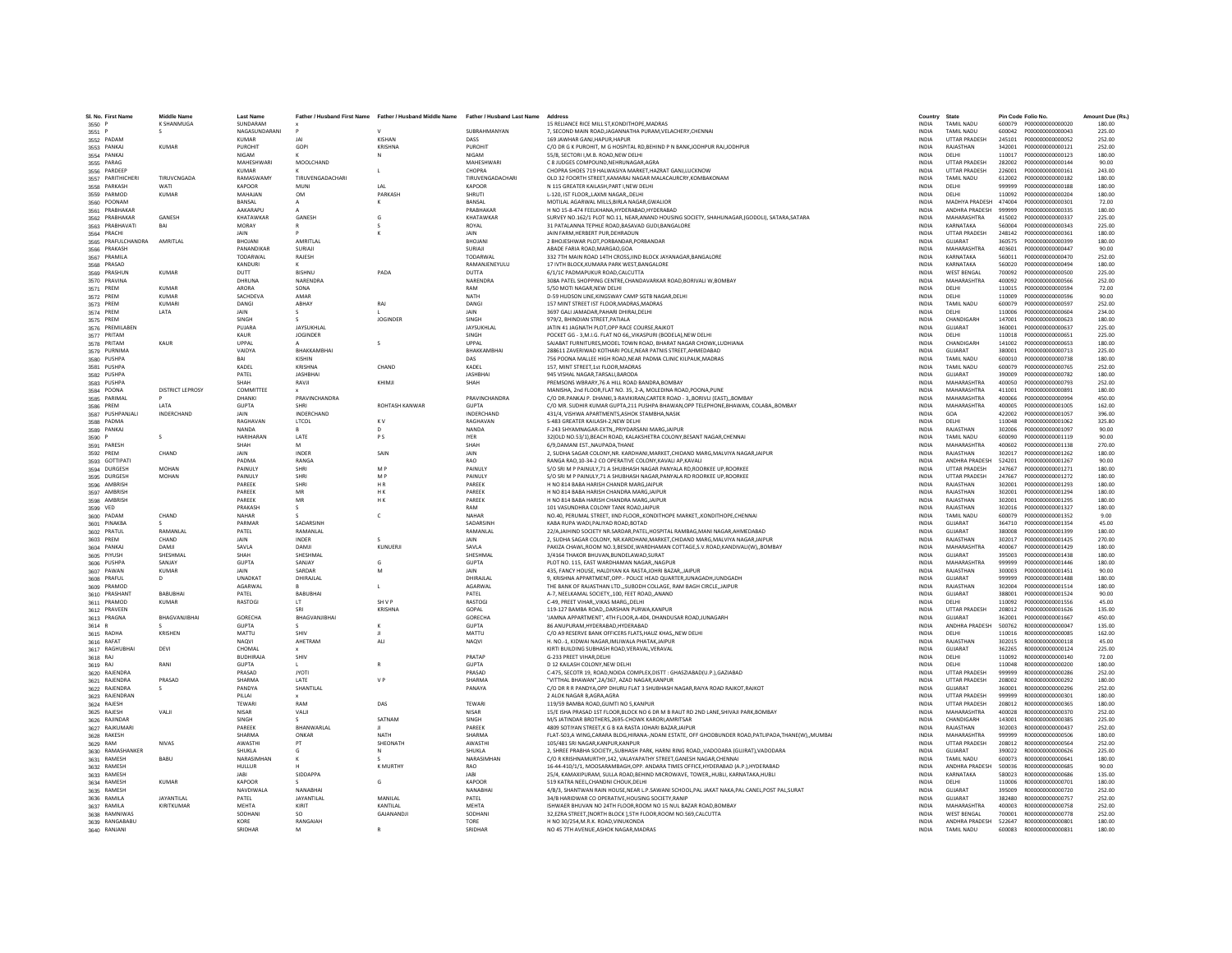| SI. No. First Name                | <b>Middle Name</b>           | <b>Last Name</b>            |                      | Father / Husband First Name Father / Husband Middle Name Father / Husband Last Name |                               | Address                                                                                                                                                    | Country                      | State                                        |                  | Pin Code Folio No.                   | Amount Due (Rs.) |
|-----------------------------------|------------------------------|-----------------------------|----------------------|-------------------------------------------------------------------------------------|-------------------------------|------------------------------------------------------------------------------------------------------------------------------------------------------------|------------------------------|----------------------------------------------|------------------|--------------------------------------|------------------|
| 3550 P                            | K SHANMUGA                   | SUNDARAM                    |                      |                                                                                     |                               | 15 RELIANCE RICE MILL ST.KONDITHOPE.MADRAS                                                                                                                 | <b>INDIA</b>                 | <b>TAMIL NADU</b>                            |                  |                                      | 180.00           |
| 3551 P                            |                              | NAGASUNDARANI               |                      |                                                                                     | SURRAHMANYAN                  | 7. SECOND MAIN ROAD JAGANNATHA PURAM VELACHERY CHENNAL                                                                                                     | <b>INDIA</b>                 | TAMIL NADLI                                  |                  | 600042 P000000000000043              | 225.00           |
| 3552 PADAN                        |                              | KUMAR                       | IAI                  | KISHAN                                                                              | DASS                          | 169 JAWHAR GANJ.HAPUR.HAPUR                                                                                                                                | <b>INDIA</b>                 | <b>UTTAR PRADESH</b>                         | 245101           | P000000000000052                     | 252.00           |
| 3553 PANKAJ                       | <b>KUMAR</b>                 | PUROHIT                     | GOPI                 | <b>KRISHNA</b>                                                                      | PUROHIT                       | C/O DR G K PUROHIT, M G HOSPITAL RD, BEHIND P N BANK, JODHPUR RAJ, JODHPUR                                                                                 | INDIA                        | RAJASTHAN                                    | 342001           | P000000000000121                     | 252.00           |
| 3554 PANKAJ                       |                              | NIGAM                       |                      | N                                                                                   | <b>NIGAM</b>                  | 55/8. SECTORI I.M.B. ROAD.NEW DELHI                                                                                                                        | <b>INDIA</b>                 | DELHI                                        | 110017           | P000000000000123                     | 180.00           |
| 3555 PARAG                        |                              | MAHESHWARI<br>KUMAR         | MOOLCHAND            |                                                                                     | MAHESHWARI<br>CHOPRA          | C 8 JUDGES COMPOUND.NEHRUNAGAR.AGRA<br>CHOPRA SHOES 719 HALWASIYA MARKET HAZRAT GANLLUCKNOW                                                                | <b>INDIA</b><br><b>INDIA</b> | <b>UTTAR PRADESH</b><br><b>UTTAR PRADESH</b> | 282002<br>226001 | P000000000000144<br>2000000000000161 | 90.00<br>243.00  |
| 3556 PARDEEP<br>3557 PARITHICHERI | <b>TIRUVCNGADA</b>           | RAMASWAMY                   | TIRUVENGADACHARI     | $\mathbf{L}$                                                                        | TIRUVENGADACHARI              | OLD 32 FOORTH STREET, KAMARAJ NAGAR MALACAURCRY, KOMBAKONAM                                                                                                | INDIA                        | TAMIL NADU                                   | 612002           | P000000000000182                     | 180.00           |
| 3558 PARKASH                      | WATI                         | KAPOOR                      | MUNI                 | LAL                                                                                 | KAPOOR                        | N 115 GREATER KAILASH.PART I.NEW DELHI                                                                                                                     | <b>INDIA</b>                 | DELHI                                        | 999999           | P000000000000188                     | 180.00           |
| 3559 PARMOD                       | <b>KUMAR</b>                 | MAHAJAN                     | OM                   | PARKASH                                                                             | <b>SHRUTI</b>                 | L-120. IST FLOORLAXMI NAGARDELHI                                                                                                                           | <b>INDIA</b>                 | DELHI                                        | 110092           | P000000000000204                     | 180.00           |
| 3560 POONAM                       |                              | RANSAL                      | $\mathbf{A}$         | $\kappa$                                                                            | RANSAL                        | MOTILAL AGARWAL MILLS.BIRLA NAGAR.GWALIOR                                                                                                                  | <b>INDIA</b>                 | MADHYA PRADESH 474004                        |                  | P000000000000301                     | 72.00            |
| 3561 PRABHAKAR                    |                              | AAKARAPU                    |                      |                                                                                     | PRABHAKAR                     | H NO 15-8-474 FEELKHANA, HYDERABAD, HYDERABAD                                                                                                              | <b>INDIA</b>                 | ANDHRA PRADESH                               | 999999           | P000000000000335                     | 180.00           |
| 3562 PRABHAKAR                    | GANESH                       | KHATAWKAR                   | GANESH               | G                                                                                   | KHATAWKAR                     | SURVEY NO.162/1 PLOT NO.11, NEAR,ANAND HOUSING SOCIETY, SHAHUNAGAR,(GODOLI), SATARA,SATARA                                                                 | <b>INDIA</b>                 | MAHARASHTRA                                  | 415002           | P000000000000337                     | 225.00           |
| 3563 PRABHAVATI                   | BAI                          | <b>MORAY</b><br><b>JAIN</b> |                      | $\mathbf{v}$                                                                        | ROYAL<br>IAIN                 | 31 PATALANNA TEPHLE ROAD, BASAVAD GUDI, BANGALORE<br><b>IAIN FARM HERRERT PUR DEHRADUN</b>                                                                 | INDIA<br><b>INDIA</b>        | KARNATAKA<br><b>UTTAR PRADESH</b>            | 560004<br>248142 | P000000000000343<br>P000000000000361 | 225.00<br>180.00 |
| 3564 PRACHI<br>3565 PRAFULCHANDRA | AMRITI AI                    | <b>RHOIANI</b>              | <b>AMRITI AI</b>     |                                                                                     | <b>BHOJANI</b>                | 2 BHOJESHWAR PLOT.PORBANDAR.PORBANDAR                                                                                                                      | <b>INDIA</b>                 | GUIARAT                                      | 360575           | P000000000000399                     | 180.00           |
| 3566 PRAKASH                      |                              | PANANDIKAF                  | SURIAII              |                                                                                     | SURIAJI                       | ABADE FARIA ROAD, MARGAO, GOA                                                                                                                              | INDIA                        | MAHARASHTRA                                  | 403601           | P000000000000447                     | 90.00            |
| 3567 PRAMILA                      |                              | TODARWAL                    | RAJESH               |                                                                                     | <b>TODARWA</b>                | 332 7TH MAIN ROAD 14TH CROSS.IIND BLOCK JAYANAGAR.BANGALORE                                                                                                | <b>INDIA</b>                 | KARNATAKA                                    | 560011           | P000000000000470                     | 252.00           |
| 3568 PRASAD                       |                              | KANDURI                     |                      |                                                                                     | RAMANJENEYULU                 | 17 IVTH BLOCK.KUMARA PARK WEST.BANGALORE                                                                                                                   | <b>INDIA</b>                 | KARNATAKA                                    | 560020           | P000000000000494                     | 180.00           |
| 3569 PRASHUN                      | KUMAR                        | <b>DUTT</b>                 | <b>RISHNU</b>        | PADA                                                                                | DUTTA                         | 6/1/1C PADMAPUKUR ROAD CALCUTTA                                                                                                                            | <b>INDIA</b>                 | <b>WEST RENGAL</b>                           | 700092           | P000000000000500                     | 225.00           |
| 3570 PRAVINA                      |                              | DHRUNA                      | NARENDRA             |                                                                                     | NARENDRA                      | 308A PATEL SHOPPING CENTRE, CHANDAVARKAR ROAD, BORIVALI W, BOMBAY                                                                                          | INDIA                        | MAHARASHTRA                                  | 400092           | P000000000000566                     | 252.00           |
| 3571 PREM<br>3572 PREM            | <b>KUMAR</b><br><b>KUMAR</b> | ARORA<br>SACHDEVA           | SONA<br>AMAR         |                                                                                     | RAM<br>NATH                   | 5/50 MOTI NAGAR.NEW DELHI<br>D-59 HUDSON LINE, KINGSWAY CAMP SGTB NAGAR, DELHI                                                                             | <b>INDIA</b><br>INDIA        | DELHI<br>DELHI                               | 110015<br>110009 | P000000000000594<br>P000000000000596 | 72.00<br>90.00   |
| 3573 PREM                         | KUMARI                       | DANGL                       | ARHAY                | RAJ                                                                                 | DANGL                         | 157 MINT STREET IST FLOOR.MADRAS.MADRAS                                                                                                                    | <b>INDIA</b>                 | TAMIL NADLI                                  | 600079           | P000000000000597                     | 252.00           |
| 3574 PREM                         | LATA                         | <b>JAIN</b>                 |                      |                                                                                     | <b>JAIN</b>                   | 3697 GALI JAMADAR, PAHARI DHIRAJ, DELHI                                                                                                                    | <b>INDIA</b>                 | DELHI                                        | 110006           | P000000000000604                     | 234.00           |
| 3575 PREM                         |                              | SINGH                       |                      | <b>JOGINDER</b>                                                                     | SINGH                         | 979/2, BHINDIAN STREET, PATIALA                                                                                                                            | <b>INDIA</b>                 | CHANDIGARI                                   | 147001           | P000000000000623                     | 180.00           |
| 3576 PREMILABEN                   |                              | PUJARA                      | JAYSUKHLAL           |                                                                                     | JAYSUKHLAL                    | JATIN 41 JAGNATH PLOT, OPP RACE COURSE, RAJKOT                                                                                                             | INDIA                        | GUJARAT                                      | 360001           | P000000000000637                     | 225.00           |
| 3577 PRITAM                       |                              | KALIR                       | <b>IOGINDER</b>      |                                                                                     | <b>SINGH</b>                  | POCKET GG - 3 M LG ELAT NO 66. VIKASPURL(RODELA) NEW DELHI                                                                                                 | <b>INDIA</b>                 | DELHI                                        | 110018           | P000000000000651                     | 225.00           |
| 3578 PRITAM                       | KAUR                         | LIPPAL                      |                      | $\mathcal{S}$                                                                       | <b>UPPAL</b>                  | SAJABAT FURNITURES, MODEL TOWN ROAD, BHARAT NAGAR CHOWK, LUDHIANA                                                                                          | <b>INDIA</b>                 | CHANDIGARH                                   | 141002           | P000000000000653                     | 180.00           |
| 3579 PURNIMA                      |                              | VAIDYA                      | RHAKKAMRHAI          |                                                                                     | RHAKKAMRHAI                   | 288611 ZAVERIWAD KOTHARI POLE, NEAR PATNIS STREET, AHMEDABAD                                                                                               | <b>INDIA</b>                 | GUIARAT                                      | 380001           | P000000000000713                     | 225.00           |
| 3580 PUSHPA<br>3581 PUSHPA        |                              | KADEL                       | KISHIN<br>KRISHNA    | CHAND                                                                               | DAS<br>KADEL                  | 756 POONA MALLEE HIGH ROAD.NEAR PADMA CLINIC KILPAUK.MADRAS<br>157, MINT STREET, 1st FLOOR, MADRAS                                                         | <b>INDIA</b><br>INDIA        | <b>TAMIL NADU</b><br>TAMIL NADU              | 600010<br>600079 | P000000000000738<br>P000000000000765 | 180.00<br>252.00 |
| 3582 PUSHPA                       |                              | PATFI                       | <b>IASHRHAI</b>      |                                                                                     | <b>IASHRHAI</b>               | 945 VISHAL NAGAR TARSALLBARODA                                                                                                                             | <b>INDIA</b>                 | GUIARAT                                      | 390009           | P000000000000782                     | 180.00           |
| 3583 PUSHPA                       |                              | SHAH                        | RAVJI                | KHIMJI                                                                              | SHAH                          | PREMSONS WBRARY, 76 A HILL ROAD BANDRA, BOMBAY                                                                                                             | INDIA                        | <b>MAHARASHTRA</b>                           | 400050           | P000000000000793                     | 252.00           |
| 3584 POONA                        | <b>DISTRICT LEPROSY</b>      | COMMITTEE                   |                      |                                                                                     |                               | MANISHA, 2nd FLOOR, FLAT NO. 35, 2-A, MOLEDINA ROAD, POONA, PUNE                                                                                           | <b>INDIA</b>                 | MAHARASHTRA                                  | 411001           | P000000000000891                     | 180.00           |
| 3585 PARIMAL                      |                              | DHANKI                      | PRAVINCHANDRA        |                                                                                     | PRAVINCHANDRA                 | C/O DR.PANKAJ P. DHANKI,3-RAVIKIRAN,CARTER ROAD - 3,,BORIVLI (EAST),,BOMBAY                                                                                | INDIA                        | MAHARASHTRA                                  | 400066           | P000000000000994                     | 450.00           |
| 3586 PREM                         | <b>I ATA</b>                 | GUPTA                       | SHRI                 | <b>ROHTASH KANWAR</b>                                                               | <b>GUPTA</b>                  | C/O MR. SUDHIR KUMAR GUPTA.211 PUSHPA BHAWAN.OPP TELEPHONE.BHAWAN. COLABA. BOMBAY                                                                          | <b>INDIA</b>                 | MAHARASHTRA                                  | 400005           | 2000000000001005                     | 162.00           |
| 3587 PUSHPANJALI                  | INDERCHAND                   | <b>JAIN</b><br>RAGHAVAN     | <b>INDERCHAND</b>    | K <sub>V</sub>                                                                      | <b>INDERCHAND</b><br>RAGHAVAN | 431/4, VISHWA APARTMENTS, ASHOK STAMBHA, NASIK                                                                                                             | <b>INDIA</b><br><b>INDIA</b> | GOA<br>DELHI                                 | 422002           | 2000000000001057                     | 396.00<br>325.80 |
| 3588 PADMA<br>3589 PANKAJ         |                              | <b>NANDA</b>                | LTCOL                |                                                                                     | NANDA                         | S-483 GREATER KAILASH-2, NEW DELHI<br>F-243 SHYAMNAGAR-EXTN,, PRIYDARSANI MARG, JAIPUR                                                                     | <b>INDIA</b>                 | RAJASTHAN                                    | 110048<br>302006 | P000000000001062<br>P000000000001097 | 90.00            |
| 3590 P                            | $\mathcal{L}$                | HARIHARAN                   | LATE                 | <b>PS</b>                                                                           | <b>IYER</b>                   | 32(OLD NO.53/1).BEACH ROAD. KALAKSHETRA COLONY.BESANT NAGAR.CHENNAI                                                                                        | <b>INDIA</b>                 | <b>TAMIL NADLI</b>                           | 600090           | P000000000001119                     | 90.00            |
| 3591 PARESH                       |                              | SHAH                        | M                    |                                                                                     | SHAH                          | 6/9.DAMANI ESTNAUPADA.THANE                                                                                                                                | <b>INDIA</b>                 | MAHARASHTRA                                  | 400602           | P000000000001138                     | 270.00           |
| 3592 PREM                         | CHAND                        | <b>JAIN</b>                 | INDER                | SAIN                                                                                | <b>JAIN</b>                   | 2. SUDHA SAGAR COLONY.NR. KARDHANI.MARKET.CHIDAND MARG.MALVIYA NAGARJAIPUR                                                                                 | <b>INDIA</b>                 | RAIASTHAN                                    | 302017           | P000000000001262                     | 180.00           |
| 3593 GOTTIPATI                    |                              | PADMA                       | RANGA                |                                                                                     | <b>RAO</b>                    | RANGA RAO.10-34-2 CO OPERATIVE COLONY.KAVALI AP.KAVALI                                                                                                     | <b>INDIA</b>                 | ANDHRA PRADESH                               | 524201           | P000000000001267                     | 90.00            |
| 3594 DURGESH                      | MOHAN                        | PAINULY                     | SHRI                 | M <sub>P</sub>                                                                      | PAINULY                       | S/O SRI M P PAINULY, 71 A SHUBHASH NAGAR PANYALA RD, ROORKEE UP, ROORKEE                                                                                   | INDIA                        | UTTAR PRADESH                                | 247667           | P000000000001271                     | 180.00           |
| 3595 DURGESH                      | <b>MOHAN</b>                 | PAINULY                     | SHRI                 | M P                                                                                 | PAINULY                       | S/O SRI M P PAINULY.71 A SHUBHASH NAGAR.PANYALA RD ROORKEE UP.ROORKEE                                                                                      | <b>INDIA</b>                 | <b>UTTAR PRADESH</b>                         | 247667           | P000000000001272                     | 180.00           |
| 3596 AMBRISH                      |                              | PAREEK<br>PAREEK            | SHRI<br>MR           | HR<br>H K                                                                           | PAREEK<br>PAREEK              | H NO 814 BABA HARISH CHANDR MARG, JAIPUR<br>H NO 814 BABA HARISH CHANDRA MARG, JAIPUR                                                                      | <b>INDIA</b><br><b>INDIA</b> | RAJASTHAN<br>RAJASTHAN                       | 302001<br>302001 | P000000000001293<br>P000000000001294 | 180.00<br>180.00 |
| 3597 AMBRISH<br>3598 AMBRISH      |                              | PAREEK                      | MR                   | H K                                                                                 | PAREEK                        | H NO 814 BABA HARISH CHANDRA MARG, JAIPUR                                                                                                                  | INDIA                        | RAJASTHAN                                    | 302001           | P000000000001295                     | 180.00           |
| 3599 VED                          |                              | PRAKASH                     | $\sim$               |                                                                                     | RAM                           | 101 VASUNDHRA COLONY TANK ROAD JAIPUR                                                                                                                      | <b>INDIA</b>                 | RAJASTHAN                                    | 302016           | P000000000001327                     | 180.00           |
| 3600 PADAM                        | CHAND                        | NAHAR                       |                      | $\mathsf{C}$                                                                        | NAHAR                         | NO.40, PERUMAL STREET, IIND FLOOR, KONDITHOPE MARKET, KONDITHOPE, CHENNAI                                                                                  | <b>INDIA</b>                 | <b>TAMIL NADLI</b>                           | 600079           | P000000000001352                     | 9.00             |
| 3601 PINAKBA                      |                              | PARMAR                      | SADARSINE            |                                                                                     | SADARSINE                     | KABA RUPA WADI.PALIYAD ROAD.BOTAD                                                                                                                          | <b>INDIA</b>                 | GUIARAT                                      | 364710           | P000000000001354                     | 45.00            |
| 3602 PRATUL                       | RAMANLAL                     | PATEL                       | RAMANLAL             |                                                                                     | RAMANLAL                      | 22/A,JAIHIND SOCIETY NR.SARDAR,PATEL,HOSPITAL RAMBAG,MANI NAGAR,AHMEDABAD                                                                                  | <b>INDIA</b>                 | GUJARAT                                      | 380008           | P000000000001399                     | 180.00           |
| 3603 PREM                         | CHAND                        | <b>JAIN</b>                 | <b>INDER</b>         |                                                                                     | <b>JAIN</b>                   | 2, SUDHA SAGAR COLONY, NR.KARDHANI, MARKET, CHIDAND MARG, MALVIYA NAGAR, JAIPUR                                                                            | <b>INDIA</b>                 | RAJASTHAN                                    | 302017           | 2000000000001425                     | 270.00           |
| 3604 PANKAJ<br>3605 PIYUSH        | DAMJI<br>SHESHMAL            | SAVLA<br><b>SHAH</b>        | DAMJI<br>SHESHMAL    | KUNUERJI                                                                            | SAVLA<br>SHESHMAL             | PAKIZA CHAWL.ROOM NO.3.BESIDE.WARDHAMAN COTTAGE.S.V.ROAD.KANDIVALI(W)BOMBAY<br>3/4164 THAKOR BHUVAN.BUNDELAWAD.SURAT                                       | <b>INDIA</b><br><b>INDIA</b> | MAHARASHTRA<br>GUIARAT                       | 400067<br>395003 | P000000000001429<br>2000000000001438 | 180.00<br>180.00 |
| 3606 PUSHPA                       | SANJAY                       | <b>GUPTA</b>                | SANJAY               | G                                                                                   | <b>GUPTA</b>                  | PLOT NO. 115, EAST WARDHAMAN NAGAR,, NAGPUR                                                                                                                | INDIA                        | <b>MAHARASHTRA</b>                           | 999999           | P000000000001446                     | 180.00           |
| 3607 PAWAN                        | KUMAR                        | JAIN                        | SARDAR               | M                                                                                   | <b>JAIN</b>                   | 435, FANCY HOUSE, HALDIYAN KA RASTA, JOHRI BAZAR, JAIPUR                                                                                                   | INDIA                        | RAJASTHAN                                    | 300003           | P000000000001451                     | 90.00            |
| 3608 PRAFUL                       | D.                           | UNADKAT                     | DHIRAILAL            |                                                                                     | DHIRAJLAL                     | 9. KRISHNA APPARTMENT.OPP.- POLICE HEAD QUARTER JUNAGADH JUNDGADH                                                                                          | <b>INDIA</b>                 | GUJARAT                                      | 999999           | P000000000001488                     | 180.00           |
| 3609 PRAMOD                       |                              | <b>AGARWAL</b>              |                      | $\mathbf{I}$                                                                        | <b>AGARWAI</b>                | THE BANK OF RAJASTHAN LTD."SUBODH COLLAGE, RAM BAGH CIRCLE, JAIPUR                                                                                         | <b>INDIA</b>                 | RAJASTHAN                                    | 302004           | P000000000001514                     | 180.00           |
| 3610 PRASHANT                     | <b>BABUBHAI</b>              | PATEL                       | <b>BABUBHAI</b>      |                                                                                     | PATEL                         | A-7, NEELKAMAL SOCIETY, 100, FEET ROAD, ANAND                                                                                                              | INDIA                        | GUJARAT                                      | 388001           | P000000000001524                     | 90.00            |
| 3611 PRAMOD                       | <b>KUMAR</b>                 | RASTOGI                     | LT                   | SH V P                                                                              | <b>RASTOGI</b>                | C-49, PREET VIHAR,, VIKAS MARG,, DELHI<br>119-127 BAMBA ROAD. DARSHAN PURWA.KANPUR                                                                         | INDIA                        | DELHI<br><b>UTTAR PRADESH</b>                | 110092           | P000000000001556                     | 45.00            |
| 3612 PRAVEEN<br>3613 PRAGNA       | BHAGVANJIBHAI                | GORECHA                     | SRI<br>BHAGVANJIBHAI | KRISHNA                                                                             | GOPAL<br><b>GORECHA</b>       | 'JAMNA APPARTMENT', 4TH FLOOR, A-404, DHANDUSAR ROAD, JUNAGARH                                                                                             | <b>INDIA</b><br><b>INDIA</b> | GUJARAT                                      | 208012<br>362001 | P000000000001626<br>P000000000001667 | 135.00<br>450.00 |
| 3614 R                            |                              | GUPTA                       |                      |                                                                                     | GUPTA                         | 86 ANUPURAM.HYDERABAD.HYDERABAD                                                                                                                            | <b>INDIA</b>                 | ANDHRA PRADESH                               | 500762           | R000000000000047                     | 135.00           |
| 3615 RADHA                        | KRISHEN                      | MATTU                       | SHIV                 |                                                                                     | MATTU                         | C/O A9 RESERVE BANK OFFICERS FLATS, HAUZ KHAS, , NEW DELHI                                                                                                 | INDIA                        | DELHI                                        | 110016           | R000000000000085                     | 162.00           |
| 3616 RAFAT                        |                              | <b>NAOVI</b>                | AHETRAM              | <b>ALI</b>                                                                          | <b>NAQVI</b>                  | H. NO.-1. KIDWAI NAGAR.IMLIWALA PHATAK.JAIPUF                                                                                                              | <b>INDIA</b>                 | RAJASTHAN                                    | 302015           | B000000000000118                     | 45.00            |
| 3617 RAGHUBHA                     | DEVI                         | CHOMAL                      |                      |                                                                                     |                               | KIRTI BUILDING SUBHASH ROAD.VERAVAL.VERAVAL                                                                                                                | <b>INDIA</b>                 | GUJARAT                                      | 362265           | R000000000000124                     | 225.00           |
| 3618 RAJ                          |                              | RUDHIRAIA                   | SHIV                 |                                                                                     | PRATAP                        | G-233 PREET VIHAR DELHI                                                                                                                                    | <b>INDIA</b>                 | DELHI                                        | 110092           | B000000000000140                     | 72.00            |
| 3619 RAJ<br>3620 RAJENDRA         | RANI                         | <b>GUPTA</b><br>PRASAD      | <b>JYOTI</b>         |                                                                                     | <b>GUPTA</b><br>PRASAD        | D 12 KAILASH COLONY, NEW DELH<br>C-475, SECOTR 19, ROAD, NOIDA COMPLEX, DISTT : GHASZIABAD(U.P.), GAZIABAD                                                 | INDIA<br>INDIA               | DELHI<br><b>UTTAR PRADESH</b>                | 110048<br>999999 | R00000000000200<br>R00000000000286   | 180.00<br>252.00 |
| 3621 RAJENDRA                     | PRASAD                       | SHARMA                      | LATE                 | V <sub>P</sub>                                                                      | SHARMA                        | "VITTHAL BHAWAN".2A/367, AZAD NAGAR,KANPUR                                                                                                                 | <b>INDIA</b>                 | <b>UTTAR PRADESH</b>                         | 208002           | R000000000000292                     | 180.00           |
| 3622 RAJENDRA                     |                              | PANDYA                      | SHANTILAL            |                                                                                     | PANAYA                        | C/O DR R R PANDYA.OPP DHURU FLAT 3 SHUBHASH NAGAR.RAIYA ROAD RAJKOT.RAJKOT                                                                                 | <b>INDIA</b>                 | GUJARAT                                      | 360001           | R000000000000296                     | 252.00           |
| 3623 RAJENDRAN                    |                              | PILLAI                      |                      |                                                                                     |                               | 2 ALOK NAGAR B, AGRA, AGRA                                                                                                                                 | <b>INDIA</b>                 | <b>UTTAR PRADESH</b>                         | 999999           | R000000000000301                     | 180.00           |
| 3624 RAJESH                       |                              | TEWARI                      | RAM                  | DAS                                                                                 | TEWARI                        | 119/59 BAMBA ROAD, GUMTI NO 5, KANPUR                                                                                                                      | INDIA                        | <b>UTTAR PRADESH</b>                         | 208012           | R000000000000365                     | 180.00           |
| 3625 RAJESH                       | VALI                         | <b>NISAR</b>                | VALI                 |                                                                                     | <b>NISAR</b>                  | 15/E ISHA PRASAD 1ST FLOOR, BLOCK NO 6 DR M B RAUT RD 2ND LANE, SHIVAJI PARK, BOMBAY                                                                       | <b>INDIA</b>                 | MAHARASHTRA                                  | 400028           | R000000000000370                     | 252.00           |
| 3626 RAJINDAR                     |                              | SINGH                       |                      | SATNAM                                                                              | SINGH<br><b>PARFFK</b>        | M/S JATINDAR BROTHERS.2695-CHOWK KARORI,AMRITSAR                                                                                                           | <b>INDIA</b>                 | CHANDIGARH                                   | 143001           | R000000000000385                     | 225.00           |
| 3627 RAJKUMARI<br>3628 RAKESH     |                              | PAREEK<br>SHARMA            | BHANWARLAL<br>ONKAR  | NATH                                                                                | SHARMA                        | 4809 SOTIYAN STREET.K G B KA RASTA JOHARI BAZAR JAIPUR<br>FLAT-503,A WING,CARARA BLDG,HIRANA-,NDANI ESTATE, OFF GHODBUNDER ROAD,PATLIPADA,THANE(W),,MUMBAI | <b>INDIA</b><br>INDIA        | RAJASTHAN<br>MAHARASHTRA                     | 302003<br>999999 | R000000000000437<br>R000000000000506 | 252.00<br>180.00 |
| 3629 RAM                          | <b>NIVAS</b>                 | AWASTHI                     | PT                   | SHEONATH                                                                            | AWASTH                        | 105/481 SRI NAGAR.KANPUR.KANPUR                                                                                                                            | <b>INDIA</b>                 | <b>UTTAR PRADESH</b>                         | 208012           | R000000000000564                     | 252.00           |
| 3630 RAMASHANKER                  |                              | SHUKLA                      |                      | N                                                                                   | <b>SHUKLA</b>                 | 2. SHREE PRABHA SOCIETYSUBHASH PARK, HARNI RING ROADVADODARA (GUIRAT).VADODARA                                                                             | <b>INDIA</b>                 | GUJARAT                                      | 390022           | R000000000000626                     | 225.00           |
| 3631 RAMESH                       | RARU                         | NARASIMHAN                  |                      |                                                                                     | NARASIMHAN                    | C/O R KRISHNAMURTHY 142 VALAYAPATHY STREET GANESH NAGAR CHENNAL                                                                                            | <b>INDIA</b>                 | <b>TAMIL NADLI</b>                           | 600073           | B000000000000641                     | 180.00           |
| 3632 RAMESH                       |                              | HULLUR                      |                      | <b>K MURTHY</b>                                                                     | <b>RAO</b>                    | 16-44-410/1/1, MOOSARAMBAGH, OPP. ANDARA TIMES OFFICE, HYDERABAD (A.P.), HYDERABAD                                                                         | INDIA                        | ANDHRA PRADESH                               | 500036           | R000000000000685                     | 90.00            |
| 3633 RAMESH                       |                              |                             | SIDDAPPA             |                                                                                     | JABI                          | 25/4, KAMAXIPURAM, SULLA ROAD, BEHIND MICROWAVE, TOWER, HUBLI, KARNATAKA, HUBLI                                                                            | INDIA                        | KARNATAKA                                    | 580023           | R00000000000686                      | 135.00           |
| 3634 RAMESH                       | <b>KUMAR</b>                 | <b>KAPOOR</b><br>NAVDIWALA  | NANABHAI             | G                                                                                   | <b>KAPOOR</b><br>NANABHAI     | 519 KATRA NEEL.CHANDNI CHOUK.DELHI<br>4/B/3, SHANTWAN RAIN HOUSE, NEAR L.P. SAWANI SCHOOL, PAL JAKAT NAKA, PAL CANEL, POST PAL, SURAT                      | <b>INDIA</b><br><b>INDIA</b> | DELHI<br>GUJARAT                             | 110006<br>395009 | R000000000000701<br>R00000000000720  | 180.00<br>252.00 |
| 3635 RAMESH<br>3636 RAMILA        | <b>IAYANTILAL</b>            | PATEL                       | JAYANTILAL           | MANII AI                                                                            | PATEL                         | 34/B HARIDWAR CO OPERATIVE, HOUSING SOCIETY, RANIP                                                                                                         | <b>INDIA</b>                 | GUIARAT                                      | 382480           | B000000000000757                     | 252.00           |
| 3637 RAMILA                       | KIRITKUMAR                   | MEHTA                       | KIRIT                | KANTILAL                                                                            | MEHTA                         | ISHWAER BHUVAN NO 24TH FLOOR, ROOM NO 15 NUL BAZAR ROAD, BOMBAY                                                                                            | INDIA                        | <b>MAHARASHTRA</b>                           | 400003           | R00000000000758                      | 252.00           |
| 3638 RAMNIWAS                     |                              | SODHAN                      | <sub>SO</sub>        | GAJANANDJI                                                                          | SODHANI                       | 32, EZRA STREET, [NORTH BLOCK ], 5TH FLOOR, ROOM NO.569, CALCUTTA                                                                                          | <b>INDIA</b>                 | <b>WEST BENGAL</b>                           | 700001           | R00000000000778                      | 252.00           |
| 3639 RANGABABU                    |                              | KORE                        | RANGAIAH             |                                                                                     | TORE                          | H NO 30/254.M.R.K. ROAD.VINUKONDA                                                                                                                          | <b>INDIA</b>                 | ANDHRA PRADESH                               | 522647           | R000000000000801                     | 180.00           |
| 3640 RANJANI                      |                              | SRIDHAR                     | M                    | $\mathbb{R}$                                                                        | SRIDHAR                       | NO 45 7TH AVENUE.ASHOK NAGAR.MADRAS                                                                                                                        | <b>INDIA</b>                 | TAMIL NADLI                                  |                  | 600083 8000000000000831              | 180.00           |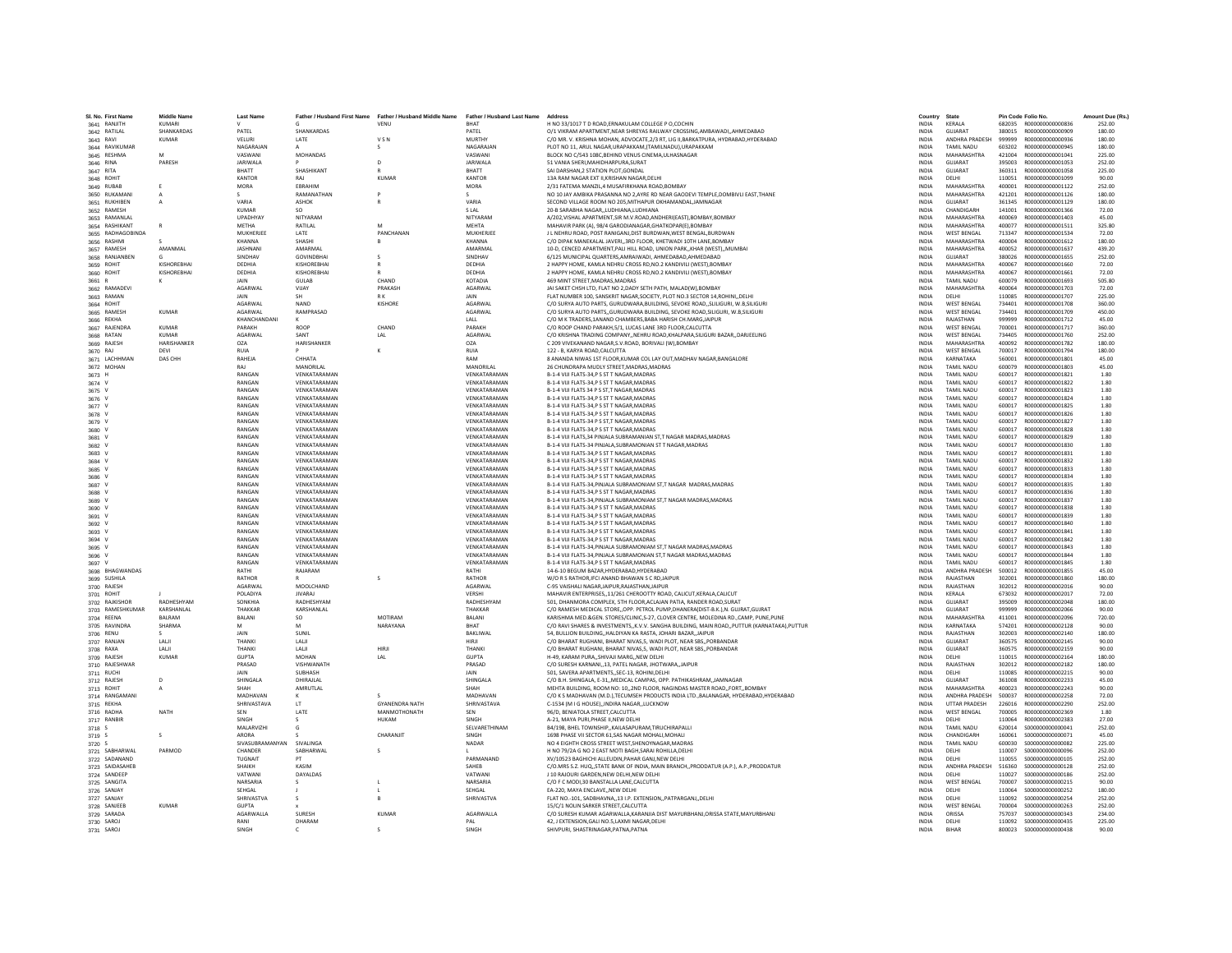| SI, No. First Name              | <b>Middle Name</b> | <b>Last Name</b>         | Father / Husband First Name | Father / Husband Middle Name | Father / Husband Last Name Address |                                                                                                                                               | Country                      | State                            |                  | Pin Code Folio No.                   | Amount Due (Rs.  |
|---------------------------------|--------------------|--------------------------|-----------------------------|------------------------------|------------------------------------|-----------------------------------------------------------------------------------------------------------------------------------------------|------------------------------|----------------------------------|------------------|--------------------------------------|------------------|
| 3641 RANJITH                    | KUMARI             |                          |                             | VENU                         | <b>RHAT</b>                        | H NO 33/1017 T D ROAD, ERNAKULAM COLLEGE P O, COCHIN                                                                                          | <b>INDIA</b>                 | <b>KFRAIA</b>                    |                  | 682035 R000000000000836              | 252.00           |
| 3642 RATILAL                    | SHANKARDAS         | PATEL                    | SHANKARDAS                  |                              | PATEL<br>MURTHY                    | O/1 VIKRAM APARTMENT.NEAR SHREYAS RAILWAY CROSSING AMBAWADIAHMEDABAD                                                                          | <b>INDIA</b>                 | <b>GUJARAT</b><br>ANDHRA PRADESH | 380015           | R000000000000909                     | 180.00           |
| 3643 RAVI                       | <b>KUMAR</b>       | VELURI<br>NAGARAJAN      | LATE                        | VSN                          | NAGARAJAN                          | C/O MR. V. KRISHNA MOHAN, ADVOCATE, 2/3 RT, LIG II, BARKATPURA, HYDRABAD, HYDERABAD<br>PLOT NO 11. ARUL NAGAR.URAPAKKAM.(TAMILNADU).URAPAKKAM | <b>INDIA</b><br><b>INDIA</b> | TAMIL NADU                       | 999999<br>603202 | R000000000000936<br>R000000000000945 | 180.00<br>180.00 |
| 3644 RAVIKUMAR                  |                    | VASWANI                  | MOHANDAS                    | s                            | VASWANI                            |                                                                                                                                               |                              |                                  | 421004           | R000000000001041                     | 225.00           |
| 3645 RESHMA                     |                    |                          |                             |                              |                                    | BLOCK NO C/543 108C, BEHIND VENUS CINEMA, ULHASNAGAR                                                                                          | INDIA                        | MAHARASHTRA                      |                  |                                      |                  |
| 3646 RINA                       | PARFSH             | <b>JARIWALA</b><br>RHATT |                             | $\mathsf{D}$                 | <b>JARIWALA</b><br>BHATT           | 51 VANIA SHERI MAHIDHARPURA SURAT                                                                                                             | <b>INDIA</b><br><b>INDIA</b> | <b>GUIARAT</b><br>GUJARAT        | 395003<br>360311 | B000000000001053                     | 252.00           |
| 3647 RITA                       |                    | <b>KANTOR</b>            | SHASHIKANT                  | <b>KUMAF</b>                 | KANTOR                             | SAI DARSHAN, 2 STATION PLOT, GONDAL<br>13A RAM NAGAR EXT II.KRISHAN NAGAR.DELH                                                                |                              |                                  |                  | R000000000001058<br>R000000000001099 | 225.00           |
| 3648 ROHIT                      |                    |                          | RAJ<br>EBRAHIM              |                              |                                    | 2/31 FATEMA MANZIL.4 MUSAFIRKHANA ROAD.BOMBAY                                                                                                 | <b>INDIA</b>                 | DELHI<br>MAHARASHTRA             | 110051           | B000000000001122                     | 90.00            |
| 3649 RUBAB                      | F                  | <b>MORA</b>              |                             |                              | <b>MORA</b>                        |                                                                                                                                               | <b>INDIA</b>                 |                                  | 400001           |                                      | 252.00           |
| 3650 RUKAMANI                   | A                  | $\sim$<br>VARIA          | RAMANATHAN                  |                              | s<br>VARIA                         | NO 10 JAY AMBIKA PRASANNA NO 2.AYRE RD NEAR GAODEVI TEMPLE.DOMBIVLI EAST.THANE                                                                | <b>INDIA</b>                 | MAHARASHTRA                      | 421201           | R000000000001126                     | 180.00           |
| 3651 RUKHIBEN                   |                    |                          | <b>ASHOK</b>                |                              |                                    | SECOND VILLAGE ROOM NO 205, MITHAPUR OKHAMANDAL, JAMNAGAR                                                                                     | <b>INDIA</b>                 | <b>GUJARAT</b>                   | 361345           | R000000000001129                     | 180.00           |
| 3652 RAMESH                     |                    | <b>KUMAR</b>             | SO.                         |                              | <b>SLAL</b>                        | 20-B SARABHA NAGAR, ,LUDHIANA, LUDHIANA                                                                                                       | INDIA                        | CHANDIGARH                       | 141001           | R000000000001366                     | 72.00            |
| 3653 RAMANLAL                   | $\mathbf{R}$       | UPADHYAY                 | NITYARAM                    | M                            | NITYARAM                           | A/202, VISHAL APARTMENT, SIR M.V.ROAD, ANDHERI(EAST), BOMBAY, BOMBAY                                                                          | <b>INDIA</b>                 | MAHARASHTRA<br>MAHARASHTRA       | 400069           | R000000000001403                     | 45.00            |
| 3654 RASHIKANT                  |                    | MFTHA                    | <b>RATILAL</b>              |                              | <b>MFHTA</b>                       | MAHAVIR PARK (A), 98/4 GARODIANAGAR, GHATKOPAR(E), BOMBAY                                                                                     | <b>INDIA</b>                 |                                  | 400077           | B000000000001511                     | 325.80           |
| 3655 RADHAGOBINDA               |                    | MUKHERJEI                | LATE                        | PANCHANAN                    | MUKHERJEE                          | J L NEHRU ROAD, POST RANIGANJ, DIST BURDWAN, WEST BENGAL, BURDWAN                                                                             | INDIA                        | WEST BENGAL                      | 713347           | R000000000001534                     | 72.00            |
| 3656 RASHM                      |                    | KHANNA                   | SHASHI                      |                              | KHANNA                             | C/O DIPAK MANEKALAL JAVERI,,3RD FLOOR, KHETWADI 10TH LANE,BOMBAY                                                                              | <b>INDIA</b>                 | MAHARASHTRA                      | 400004           | R000000000001612                     | 180.00           |
| 3657 RAMESH                     | AMANMAL            | <b>JASHNANI</b>          | AMARMAL                     |                              | AMARMAL                            | 10-D. CENCED APARTMENT PALI HILL ROAD, UNION PARK. KHAR (WEST). MUMBA                                                                         | <b>INDIA</b>                 | MAHARASHTRA                      | 400052           | R000000000001637                     | 439.20           |
| 3658 RANJANBEN                  |                    | SINDHAV                  | <b>GOVINDRHAL</b>           |                              | SINDHAV                            | 6/125 MUNICIPAL QUARTERS, AMRAIWADI, AHMEDABAD, AHMEDABAD                                                                                     | <b>INDIA</b>                 | <b>GUIARAT</b>                   | 380026           | R000000000001655                     | 252.00           |
| 3659 ROHIT                      | KISHOREBHAI        | DEDHIA                   | KISHOREBHA                  |                              | DEDHIA                             | 2 HAPPY HOME, KAMLA NEHRU CROSS RD.NO.2 KANDIVILI (WEST).BOMBAY                                                                               | <b>INDIA</b>                 | MAHARASHTRA                      | 400067           | R000000000001660                     | 72.00            |
| 3660 ROHIT                      | KISHOREBHAI        | DEDHIA                   | KISHOREBHA                  |                              | DEDHIA                             | 2 HAPPY HOME, KAMLA NEHRU CROSS RD, NO.2 KANDIVILI (WEST), BOMBAY                                                                             | <b>INDIA</b>                 | MAHARASHTRA                      | 400067           | R000000000001661                     | 72.00            |
| 3661 R                          |                    | JAIN                     | <b>GULAB</b>                | CHAND                        | KOTADIA                            | 469 MINT STREET.MADRAS.MADRAS                                                                                                                 | <b>INDIA</b>                 | <b>TAMIL NADU</b>                | 600079           | R000000000001693                     | 505.80           |
| 3662 RAMADEVI                   |                    | AGARWAL                  | VUAY                        | PRAKASH                      | AGARWAI                            | JAI SAKET CHSH LTD, FLAT NO 2,DADY SETH PATH, MALAD(W),BOMBAY                                                                                 | <b>INDIA</b>                 | MAHARASHTRA                      | 400064           | R000000000001703                     | 72.00            |
| 3663 RAMAN                      |                    | <b>JAIN</b>              | SH                          | RK                           | <b>JAIN</b>                        | FLAT NUMBER 100, SANSKRIT NAGAR, SOCIETY, PLOT NO.3 SECTOR 14, ROHINI, DELHI                                                                  | INDIA                        | DELHI                            | 110085           | R000000000001707                     | 225.00           |
| 3664 ROHIT                      |                    | AGARWAL                  | NAND                        | KISHORE                      | AGARWAI                            | C/O SURYA AUTO PARTS, GURUDWARA, BUILDING, SEVOKE ROAD, SLILIGURI, W.B, SILIGURI                                                              | <b>INDIA</b>                 | <b>WEST BENGAL</b>               | 734401           | R000000000001708                     | 360.00           |
| 3665 RAMESH                     | <b>KUMAR</b>       | AGARWAL                  | RAMPRASAD                   |                              | AGARWAL                            | C/O SURYA AUTO PARTSGURUDWARA BUILDING. SEVOKE ROAD.SILIGURI, W.B.SILIGURI                                                                    | <b>INDIA</b>                 | <b>WEST BENGAL</b>               | 734401           | R000000000001709                     | 450.00           |
| 3666 REKHA                      |                    | KHANCHANDANI             |                             |                              | LALL                               | C/O M K TRADERS, 1ANAND CHAMBERS, BABA HARISH CH. MARG, JAIPUR                                                                                | <b>INDIA</b>                 | RAJASTHAN                        | 999999           | R000000000001712                     | 45.00            |
| 3667 RAJENDRA                   | <b>KUMAR</b>       | PARAKH                   | ROOP                        | CHAND                        | PARAKH                             | C/O ROOP CHAND PARAKH, 5/1, LUCAS LANE 3RD FLOOR, CALCUTTA                                                                                    | INDIA                        | WEST BENGAL                      | 700001           | R000000000001717                     | 360.00           |
| 3668 RATAN                      | <b>KUMAR</b>       | AGARWAL                  | SANT                        | LAL                          | AGARWAL                            | C/O KRISHNA TRADING COMPANYNEHRU ROAD.KHALPARA.SILIGURI BAZARDARJEELING                                                                       | <b>INDIA</b>                 | <b>WEST BENGAL</b>               | 734405           | R000000000001760                     | 252.00           |
| 3669 RAJESH                     | <b>HARISHANKER</b> | O <sub>7</sub> A         | <b>HARISHANKER</b>          |                              | OZA                                | C 209 VIVEKANAND NAGAR.S.V.ROAD, BORIVALI (W).BOMBAY                                                                                          | <b>INDIA</b>                 | MAHARASHTRA                      | 400092           | B000000000001782                     | 180.00           |
| 3670 RAJ                        | DEVI               | RUIA                     |                             | к                            | RUIA                               | 122 - B. KARYA ROAD.CALCUTTA                                                                                                                  | <b>INDIA</b>                 | <b>WEST RENGAL</b>               | 700017           | R000000000001794                     | 180.00           |
| 3671 LACHHMAN                   | DAS CHH            | RAHEJA                   | CHHATA                      |                              | RAM                                | 8 ANANDA NIWAS 1ST FLOOR, KUMAR COL LAY OUT, MADHAV NAGAR, BANGALORE                                                                          | <b>INDIA</b>                 | KARNATAKA                        | 560001           | R000000000001801                     | 45.00            |
| 3672 MOHAN                      |                    | RAJ                      | MANORILAL                   |                              | MANORILAL                          | 26 CHUNDRAPA MUDLY STREET, MADRAS, MADRAS                                                                                                     | INDIA                        | TAMIL NADU                       | 600079           | R000000000001803                     | 45.00            |
| 3673 H                          |                    | RANGAN                   | VENKATARAMAN                |                              | VENKATARAMAN                       | B-1-4 VIJI FLATS-34.P S ST T NAGAR.MADRAS                                                                                                     | <b>INDIA</b>                 | TAMIL NADLI                      | 600017           | B000000000001821                     | 1.80             |
| 3674 V                          |                    | RANGAN                   | VENKATARAMAN                |                              | VENKATARAMAN                       | B-1-4 VIJI FLATS-34,P S ST T NAGAR, MADRAS                                                                                                    | <b>INDIA</b>                 | TAMIL NADU                       | 600017           | R000000000001822                     | 1.80             |
| 3675 V                          |                    | RANGAN                   | VENKATARAMAN                |                              | VENKATARAMAN                       | B-1-4 VUI FLATS 34 P S ST,T NAGAR, MADRAS                                                                                                     | <b>INDIA</b>                 | TAMIL NADU                       | 600017           | R000000000001823                     | 1.80             |
| 3676 V                          |                    | RANGAN                   | VENKATARAMAN                |                              | VENKATARAMAN                       | B-1-4 VIJI FLATS-34.P S ST T NAGAR.MADRAS                                                                                                     | <b>INDIA</b>                 | TAMIL NADU                       | 600017           | R000000000001824                     | 1.80             |
| 3677 V                          |                    | RANGAN                   | VENKATARAMAN                |                              | VENKATARAMAN                       | B-1-4 VIJI FLATS-34, P S ST T NAGAR, MADRAS                                                                                                   | <b>INDIA</b>                 | TAMIL NADU                       | 600017           | R000000000001825                     | 1.80             |
| 3678 V                          |                    | RANGAN                   | VENKATARAMAN                |                              | VENKATARAMAN                       | B-1-4 VIJI FLATS-34,P S ST T NAGAR, MADRAS                                                                                                    | INDIA                        | <b>TAMIL NADU</b>                | 600017           | R000000000001826                     | 1.80             |
| 3679 V                          |                    | RANGAN                   | VENKATARAMAM                |                              | VENKATARAMAN                       | B-1-4 VIJI FLATS-34 P S ST.T NAGAR.MADRAS                                                                                                     | <b>INDIA</b>                 | TAMIL NADU                       | 600017           | R000000000001827                     | 1.80             |
| 3680 V                          |                    | RANGAN                   | VENKATARAMAN                |                              | VENKATARAMAN                       | B-1-4 VIJI FLATS-34.P S ST T NAGAR.MADRAS                                                                                                     | <b>INDIA</b>                 | <b>TAMIL NADU</b>                | 600017           | R000000000001828                     | 1.80             |
| 3681 V                          |                    | RANGAN                   | VENKATARAMAN                |                              | VENKATARAMAN                       | B-1-4 VIJI FLATS, 34 PINJALA SUBRAMANIAN ST, T NAGAR MADRAS.MADRAS                                                                            | <b>INDIA</b>                 | TAMIL NADLI                      | 600017           | 8000000000001829                     | 1.80             |
| 3682 V                          |                    | RANGAN                   | VENKATARAMAM                |                              | VENKATARAMAN                       | B-1-4 VIJI FLATS-34 PINJALA, SUBRAMONIAN ST T NAGAR, MADRAS                                                                                   | INDIA                        | TAMIL NADU                       | 600017           | R000000000001830                     | 1.80             |
| 3683 V                          |                    | RANGAN                   | VENKATARAMAN                |                              | VENKATARAMAN                       | B-1-4 VIJI FLATS-34,P S ST T NAGAR, MADRAS                                                                                                    | <b>INDIA</b>                 | TAMIL NADU                       | 600017           | R000000000001831                     | 1.80             |
| 3684 V                          |                    | RANGAN                   | VENKATARAMAN                |                              | VENKATARAMAN                       | <b>B-1-4 VIII FLATS-34 P S ST T NAGAR MADRAS</b>                                                                                              | <b>INDIA</b>                 | TAMIL NADLI                      | 600017           | B000000000001832                     | 1.80             |
| 3685 V                          |                    | RANGAN                   | VENKATARAMAN                |                              | VENKATARAMAN                       | B-1-4 VIJI FLATS-34.P S ST T NAGAR.MADRAS                                                                                                     | <b>INDIA</b>                 | TAMIL NADLI                      | 600017           | R000000000001833                     | 1.80             |
| 3686 V                          |                    | RANGAN                   | VENKATARAMAN                |                              | VENKATARAMAN                       | B-1-4 VIJI FLATS-34, PS ST T NAGAR, MADRAS                                                                                                    | <b>INDIA</b>                 | <b>TAMIL NADU</b>                | 600017           | R000000000001834                     | 1.80             |
| 3687 V                          |                    | RANGAN                   | VENKATARAMAN                |                              | VENKATARAMAN                       | B-1-4 VIJI FLATS-34, PINJALA SUBRAMONIAM ST, T NAGAR MADRAS, MADRAS                                                                           | <b>INDIA</b>                 | TAMIL NADU                       | 600017           | R000000000001835                     | 1.80             |
| 3688 V                          |                    | RANGAN                   | VENKATARAMAN                |                              | VENKATARAMAN                       | B-1-4 VIJI FLATS-34.P S ST T NAGAR.MADRAS                                                                                                     | <b>INDIA</b>                 | <b>TAMIL NADU</b>                | 600017           | R000000000001836                     | 1.80             |
| 3689 V                          |                    | RANGAN                   | VENKATARAMAN                |                              | VENKATARAMAN                       | B-1-4 VIJI FLATS-34. PINJALA SUBRAMONIAM ST.T NAGAR MADRAS.MADRAS                                                                             | <b>INDIA</b>                 | TAMIL NADLI                      | 600017           | 8000000000001837                     | 1.80             |
| 3690 V                          |                    | RANGAN                   | VENKATARAMAN                |                              | VENKATARAMAN                       | B-1-4 VIJI FLATS-34, PS ST T NAGAR, MADRAS                                                                                                    | INDIA                        | TAMIL NADU                       | 600017           | R000000000001838                     | 1.80             |
| 3691 V                          |                    | RANGAN                   | VENKATARAMAN                |                              | VENKATARAMAN                       | B-1-4 VIJI FLATS-34.P S ST T NAGAR.MADRAS                                                                                                     | <b>INDIA</b>                 | <b>TAMIL NADU</b>                | 600017           | R000000000001839                     | 1.80             |
| 3692 V                          |                    | RANGAN                   | VENKATARAMAN                |                              | VENKATARAMAN                       | B-1-4 VIJI FLATS-34.P S ST T NAGAR.MADRAS                                                                                                     | <b>INDIA</b>                 | <b>TAMIL NADU</b>                | 600017           | R000000000001840                     | 1.80             |
| 3693 V                          |                    | RANGAN                   | VENKATARAMAN                |                              | VENKATARAMAN                       | B-1-4 VIJI FLATS-34,P S ST T NAGAR, MADRAS                                                                                                    | <b>INDIA</b>                 | <b>TAMIL NADU</b>                | 600017           | R000000000001841                     | 1.80             |
| 3694 V                          |                    | RANGAN                   | VENKATARAMAN                |                              | VENKATARAMAN                       | B-1-4 VIJI FLATS-34.P S ST T NAGAR.MADRAS                                                                                                     | INDIA                        | TAMIL NADU                       | 600017           | R000000000001842                     | 1.80             |
| 3695 V                          |                    | RANGAN                   | VENKATARAMAN                |                              | VENKATARAMAN                       | B-1-4 VIJI FLATS-34, PINJALA SUBRAMONIAM ST, T NAGAR MADRAS, MADRAS                                                                           | <b>INDIA</b>                 | TAMIL NADU                       | 600017           | R000000000001843                     | 1.80             |
| 3696 V                          |                    | RANGAN                   | VENKATARAMAN                |                              | VENKATARAMAN                       | B-1-4 VIJI FLATS-34.PINJALA SUBRAMONIAN ST.T NAGAR MADRAS.MADRAS                                                                              | <b>INDIA</b>                 | TAMIL NADLI                      | 600017           | B000000000001844                     | 1.80             |
| 3697 V                          |                    | RANGAN                   | VENKATARAMAN                |                              | VENKATARAMAN                       | B-1-4 VIJI FLATS-34,P S ST T NAGAR, MADRAS                                                                                                    | <b>INDIA</b>                 | TAMIL NADU                       | 600017           | R000000000001845                     | 1.80             |
| 3698 BHAGWANDAS                 |                    | RATHI                    | RAJARAM                     |                              | RATH                               | 14-6-10 BEGUM BAZAR.HYDERABAD.HYDERABAD                                                                                                       | <b>INDIA</b>                 | ANDHRA PRADESH                   | 500012           | R000000000001855                     | 45.00            |
| 3699 SUSHILA                    |                    | RATHOR                   |                             | $\sim$                       | RATHOR                             | W/O R S RATHOR.IFCI ANAND BHAWAN S C RD.JAIPUF                                                                                                | <b>INDIA</b>                 | RAIASTHAN                        | 302001           | B000000000001860                     | 180.00           |
| 3700 RAJESH                     |                    | <b>AGARWAL</b>           | MOOLCHAND                   |                              | <b>AGARWAI</b>                     | C-95 VAISHALI NAGARJAIPUR.RAJASTHANJAIPUR                                                                                                     | <b>INDIA</b>                 | RAJASTHAN                        | 302012           | B000000000002016                     | 90.00            |
| 3701 ROHIT                      |                    | POLADIYA                 | <b>JIVARAJ</b>              |                              | VERSHI                             | MAHAVIR ENTERPRISES,,11/261 CHEROOTTY ROAD, CALICUT, KERALA, CALICUT                                                                          | <b>INDIA</b>                 | <b>KFRALA</b>                    | 673032           | B000000000002017                     | 72.00            |
| 3702 RAJKISHOF                  | RADHESHYAM         | SONKHIA                  | RADHESHYAM                  |                              | RADHESHYAM                         | 501, DHANMORA COMPLEX, 5TH FLOOR, ACLAJAN PATIA, RANDER ROAD, SURAT                                                                           | <b>INDIA</b>                 | GUJARAT                          | 395009           | R00000000002048                      | 180.00           |
| 3703 RAMESHKUMAR                | KARSHANLAL         | THAKKAR                  | KARSHANLAL                  |                              | <b>THAKKAR</b>                     | C/O RAMESH MEDICAL STORE. OPP. PETROL PUMP.DHANERA(DIST-B.K.).N. GUJRAT.GUJRAT                                                                | <b>INDIA</b>                 | <b>GUJARAT</b>                   | 999999           | B000000000002066                     | 90.00            |
| 3704 REENA                      | <b>BALRAM</b>      | <b>BALANI</b>            | SQ.                         | MOTIRAM                      | <b>BALANI</b>                      | KARISHMA MED.&GEN. STORES/CLINIC.S-27, CLOVER CENTRE, MOLEDINA RD.,CAMP, PUNE.PUNE                                                            | <b>INDIA</b>                 | MAHARASHTRA                      | 411001           | B000000000002096                     | 720.00           |
| 3705 RAVINDRA                   | SHARMA             | M                        |                             | NARAYANA                     | BHAT                               | C/O RAVI SHARES & INVESTMENTS,, K.V.V. SANGHA BUILDING, MAIN ROAD,, PUTTUR (KARNATAKA), PUTTUR                                                | INDIA                        | KARNATAKA                        | 574201           | R00000000002128                      | 90.00            |
| 3706 RENU                       |                    | JAIN                     | SUNIL                       |                              | <b>BAKLIWA</b>                     | 54. BULLION BUILDINGHALDIYAN KA RASTA, JOHARI BAZAR.,JAIPUI                                                                                   | <b>INDIA</b>                 | RAJASTHAN                        | 302003           | R00000000002140                      | 180.00           |
| 3707 RANJAN                     | LALI               | THANKI                   | LALI                        |                              | HIRJI                              | C/O BHARAT RUGHANI, BHARAT NIVAS.5, WADI PLOT, NEAR SBS., PORBANDAR                                                                           | <b>INDIA</b>                 | GUJARAT                          | 360575           | R000000000002145                     | 90.00            |
| 3708 RAXA                       | <b>IAII</b>        | <b>THANKI</b>            | <b>IAII</b>                 | HIRII                        | <b>THANKI</b>                      | C/O BHARAT RUGHANI, BHARAT NIVAS.5, WADI PLOT, NEAR SBS., PORBANDAR                                                                           | <b>INDIA</b>                 | <b>GUIARAT</b>                   | 360575           | B000000000002159                     | 90.00            |
| 3709 RAJESH                     | <b>KUMAR</b>       | <b>GUPTA</b>             | MOHAN                       | LAL                          | <b>GUPTA</b>                       | H-49. KARAM PURASHIVAJI MARGNEW DELH                                                                                                          | <b>INDIA</b>                 | DELHI                            | 110015           | R000000000002164                     | 180.00           |
| 3710 RAJESHWAR                  |                    | PRASAD                   | VISHWANATH                  |                              | PRASAD                             | C/O SURESH KARNANI,,13, PATEL NAGAR, JHOTWARA,,JAIPUR                                                                                         | <b>INDIA</b>                 | RAJASTHAN                        | 302012           | R000000000002182                     | 180.00           |
| 3711 RUCHI                      |                    | <b>JAIN</b>              | SUBHASH                     |                              | <b>JAIN</b>                        | 501. SAVERA APARTMENTSSEC-13. ROHINI.DELHI                                                                                                    | <b>INDIA</b>                 | <b>DELHI</b>                     | 110085           | 8000000000002215                     | 90.00            |
| 3712 RAJESH                     | D                  | SHINGALA                 | DHIRAJLAL                   |                              | SHINGALA                           | C/O B.H. SHINGALA, E-31, MEDICAL CAMPAS, OPP. PATHIKASHRAM, JAMNAGAR                                                                          | <b>INDIA</b>                 | GUIARAT                          | 361008           | R00000000002233                      | 45.00            |
| 3713 ROHIT                      |                    | SHAH                     | AMRUTLAL                    |                              | SHAH                               | MEHTA BUILDING, ROOM NO: 10,,2ND FLOOR, NAGINDAS MASTER ROAD,,FORT,,BOMBAY                                                                    | <b>INDIA</b>                 | MAHARASHTRA                      | 400023           | R000000000002243                     | 90.00            |
| 3714 RANGAMANI                  |                    | MADHAVAN                 |                             |                              | <b>MADHAVAN</b>                    | C/O K S MADHAVAN (M.D.), TECUMSEH PRODUCTS INDIA LTD., BALANAGAR, HYDERABAD, HYDERABAD                                                        | INDIA                        | ANDHRA PRADESH                   | 500037           | B000000000002258                     | 72.00            |
| 3715 REKHA                      |                    | SHRIVASTAVA              | LT                          | <b>GYANENDRA NATH</b>        | SHRIVASTAVA                        | C-1534 (M I G HOUSE) INDIRA NAGAR LUCKNOW                                                                                                     | <b>INDIA</b>                 | <b>UTTAR PRADESH</b>             | 226016           | R000000000002290                     | 252.00           |
| 3716 RADHA                      | <b>NATH</b>        | SEN                      | LATE                        | MANMOTHONATH                 | SEN                                | 96/D. BENIATOLA STREET.CALCUTTA                                                                                                               | <b>INDIA</b>                 | <b>WEST BENGAL</b>               | 700005           | B000000000002369                     | 1.80             |
| 3717 RANBIF                     |                    | SINGH                    |                             | HUKAM                        | SINGH                              | A-21, MAYA PURI, PHASE II, NEW DELH                                                                                                           | INDIA                        | DELHI                            | 110064           | R000000000002383                     | 27.00            |
| 3718 S                          |                    | MALARVIZH                |                             |                              | SELVARETHINAM                      | B4/198, BHEL TOWNSHIP, KAILASAPURAM, TIRUCHIRAPALLI                                                                                           | <b>INDIA</b>                 | <b>TAMIL NADU</b>                | 620014           | S000000000000041                     | 252.00           |
| 3719 S                          | $\mathcal{L}$      | ARORA                    |                             | CHARANIIT                    | SINGH                              | 1698 PHASE VILSECTOR 61 SAS NAGAR MOHALL MOHALL                                                                                               | <b>INDIA</b>                 | CHANDIGARH                       | 160061           | \$000000000000071                    | 45.00            |
| 3720 S                          |                    | SIVASUBRAMANYAN          | <b>SIVALINGA</b>            |                              | NADAR                              | NO 4 EIGHTH CROSS STREET WEST, SHENOYNAGAR, MADRAS                                                                                            | <b>INDIA</b>                 | <b>TAMIL NADU</b>                | 600030           | \$000000000000082                    | 225.00           |
| 3721 SABHARWAL                  | PARMOD             | CHANDEI                  | SABHARWAI                   |                              |                                    | H NO 79/2A G NO 2 EAST MOTI BAGH, SARAI ROHILLA, DELHI                                                                                        | <b>INDIA</b>                 | DELHI                            | 110007           | \$000000000000096                    | 252.00           |
| 3722 SADANAND                   |                    | TUGNAIT                  |                             |                              | PARMANAND                          | XV/10523 BAGHICHI ALLEUDIN, PAHAR GANJ, NEW DELHI                                                                                             | INDIA                        | DELHI                            | 110055           | \$000000000000105                    | 252.00           |
|                                 |                    | SHAIKH                   | KASIM                       |                              | SAHFR                              | C/O.MRS S.Z. HUQSTATE BANK OF INDIA, MAIN BRANCH., PRODDATUR (A.P.), A.P., PRODDATUR                                                          | <b>INDIA</b>                 | ANDHRA PRADESH                   | 516360           | \$000000000000128                    | 252.00           |
| 3723 SAIDASAHEB<br>3724 SANDEEP |                    | VATWAN                   | <b>DAYALDAS</b>             |                              | VATWANI                            | J 10 RAJOURI GARDEN, NEW DELHI, NEW DELHI                                                                                                     | <b>INDIA</b>                 | <b>DELHI</b>                     | 110027           | \$000000000000186                    | 252.00           |
| 3725 SANGITA                    |                    | NARSARIA                 |                             |                              | NARSARIA                           | C/O F C MODI.30 BANSTALLA LANE.CALCUTTA                                                                                                       | <b>INDIA</b>                 | <b>WEST BENGAL</b>               | 700007           | \$000000000000215                    | 90.00            |
| 3726 SANJAY                     |                    | SEHGAL                   |                             |                              | SEHGAL                             | EA-220, MAYA ENCLAVENEW DELHI                                                                                                                 | <b>INDIA</b>                 | DELHI                            | 110064           | \$000000000000252                    | 180.00           |
|                                 |                    | SHRIVASTVA               |                             | $\mathsf{R}$                 | SHRIVASTVA                         | FLAT NO.-101, SADBHAVNA,,13 I.P. EXTENSION,,PATPARGANJ,,DELHI                                                                                 | <b>INDIA</b>                 | <b>DELHI</b>                     | 110092           | \$000000000000254                    | 252.00           |
| 3727 SANJAY<br>3728 SANJEEE     | <b>KUMAR</b>       | <b>GUPTA</b>             |                             |                              |                                    | 15/C/1 NOLIN SARKER STREET, CALCUTTA                                                                                                          | <b>INDIA</b>                 | <b>WEST BENGAL</b>               | 700004           | \$000000000000263                    | 252.00           |
| 3729 SARADA                     |                    | <b>AGARWALLA</b>         | SURESH                      | <b>KUMAF</b>                 | AGARWALLA                          | C/O SURESH KUMAR AGARWALLA, KARANJIA DIST MAYURBHANJ, ORISSA STATE, MAYURBHANJ                                                                | INDIA                        | <b>ORISSA</b>                    | 757037           | \$000000000000343                    | 234.00           |
| 3730 SAROJ                      |                    | RANI                     | DHARAM                      |                              | PAL                                | 42. J EXTENSION.GALI NO.5.LAXMI NAGAR.DELHI                                                                                                   | <b>INDIA</b>                 | DELHI                            |                  |                                      | 225.00           |
|                                 |                    | <b>SINGH</b>             |                             | $\sim$                       | <b>SINGH</b>                       | SHIVPURL SHASTRINAGAR PATNA PATNA                                                                                                             | <b>INDIA</b>                 | <b>RIHAR</b>                     |                  | 800023 \$000000000000438             | 90.00            |
| 3731 SAROJ                      |                    |                          |                             |                              |                                    |                                                                                                                                               |                              |                                  |                  |                                      |                  |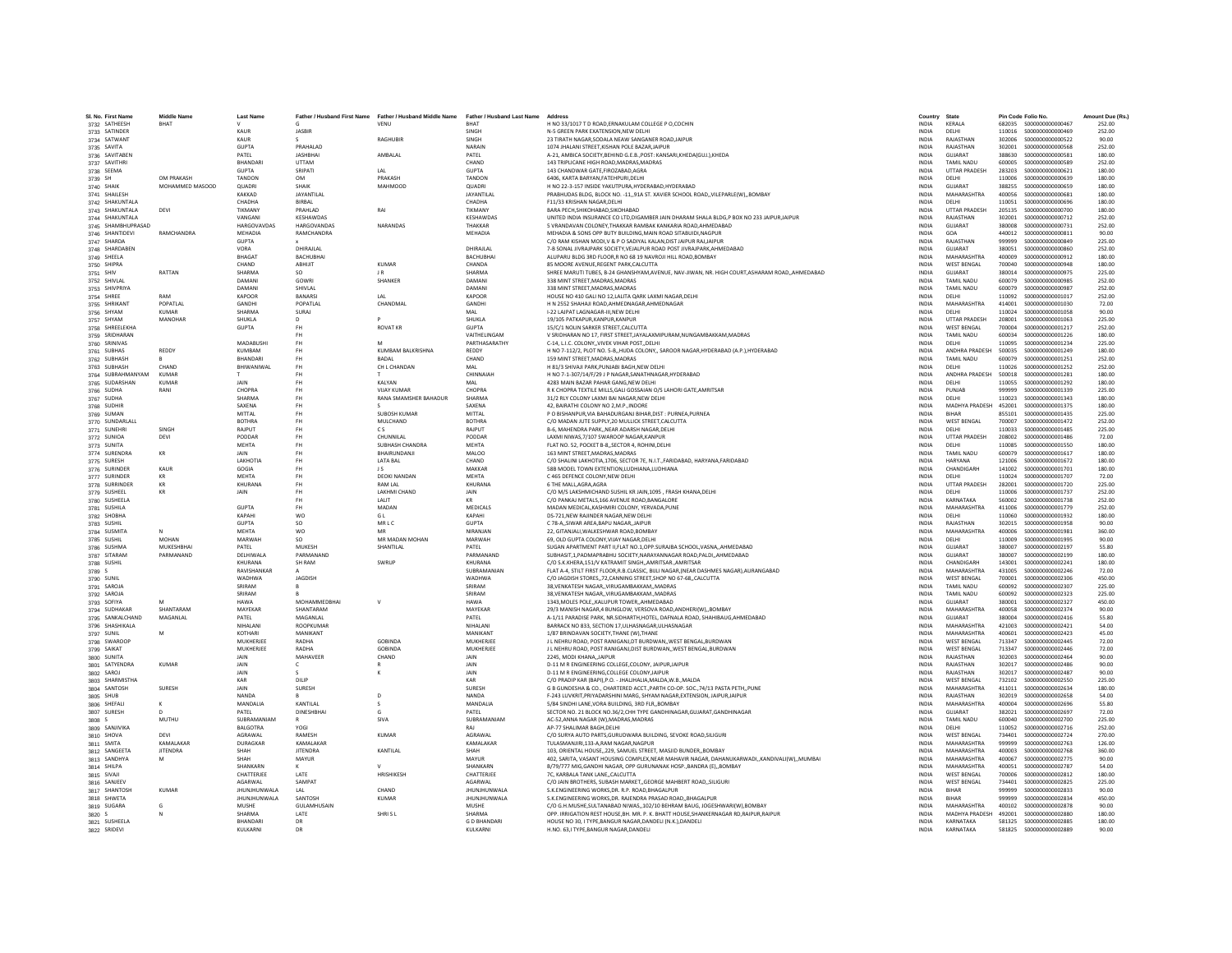| SL No. First Name                     | <b>Middle Name</b>   | <b>Last Name</b>             |                                 |                                                                                                     |                                      |                                                                                                                                                          | Country                      | State                                    | Pin Code Folio No. |                                        | Amount Due (Rs.) |
|---------------------------------------|----------------------|------------------------------|---------------------------------|-----------------------------------------------------------------------------------------------------|--------------------------------------|----------------------------------------------------------------------------------------------------------------------------------------------------------|------------------------------|------------------------------------------|--------------------|----------------------------------------|------------------|
| 3732 SATHEESH                         | BHAT                 |                              |                                 | Father / Husband First Name Father / Husband Middle Name Father / Husband Last Name Address<br>VENU | <b>RHAT</b>                          | H NO 33/1017 T D ROAD.ERNAKULAM COLLEGE P O.COCHIN                                                                                                       | <b>INDIA</b>                 | KERALA                                   |                    |                                        | 252.00           |
| 3733 SATINDER                         |                      | KALIR                        | <b>JASBIR</b>                   |                                                                                                     | SINGH                                | N-5 GREEN PARK EXATENSION NEW DELHI                                                                                                                      | <b>INDIA</b>                 | DELHI                                    |                    | 110016   50000000000000469             | 252.00           |
| 3734 SATWANT                          |                      | KAUR                         |                                 | RAGHUBIR                                                                                            | SINGH                                | 23 TIRATH NAGAR SODALA NEAW SANGANER ROAD JAIPUR                                                                                                         | <b>INDIA</b>                 | <b>RAJASTHAM</b>                         | 302006             | \$000000000000522                      | 90.00            |
| 3735 SAVITA                           |                      | <b>GUPTA</b>                 | PRAHALAD                        |                                                                                                     | NARAIN                               | 1074 JHALANI STREET, KISHAN POLE BAZAR, JAIPUR                                                                                                           | INDIA                        | RAJASTHAN                                | 302001             | \$000000000000568                      | 252.00           |
| 3736 SAVITABEN                        |                      | PATEL                        | <b>JASHBHA</b>                  | AMBALAL                                                                                             | PATEL                                | A-21, AMBICA SOCIETY, BEHIND G.E.B., POST: KANSARI, KHEDA(GUJ.), KHEDA                                                                                   | <b>INDIA</b>                 | GUJARAT                                  | 388630             | \$000000000000581                      | 180.00           |
| 3737 SAVITHRI                         |                      | <b>BHANDAR</b>               | <b>UTTAM</b>                    |                                                                                                     | CHAND                                | 143 TRIPLICANE HIGH ROAD.MADRAS.MADRAS                                                                                                                   | <b>INDIA</b>                 | <b>TAMIL NADU</b>                        | 600005             | \$000000000000589                      | 252.00           |
| 3738 SEEMA                            |                      | GUPTA                        | SRIPATI                         | IAI                                                                                                 | <b>GUPTA</b>                         | 143 CHANDWAR GATE FIROZARAD AGRA                                                                                                                         | <b>INDIA</b>                 | <b>UTTAR PRADESH</b>                     | 283203             | \$000000000000621                      | 180.00           |
| 3739 SH                               | OM PRAKASH           | <b>TANDON</b>                | <b>OM</b>                       | PRAKASH                                                                                             | TANDON                               | 6406, KARTA BARYAN, FATEHPURI, DELHI                                                                                                                     | <b>INDIA</b>                 | DELHI                                    | 110006             | \$000000000000639                      | 180.00           |
| 3740 SHAIK                            | MOHAMMED MASOOD      | <b>QUADRI</b>                | SHAIK                           | <b>MAHMOOD</b>                                                                                      | <b>QUADRI</b>                        | H NO 22-3-157 INSIDE YAKUTPURA, HYDERABAD, HYDERABAD                                                                                                     | <b>INDIA</b>                 | GUJARAT                                  | 388255             | \$00000000000659                       | 180.00           |
| 3741 SHAILESH                         |                      | KAKKAD                       | JAYANTILAL                      |                                                                                                     | JAYANTILAL                           | PRABHUDAS BLDG, BLOCK NO. - 11,,91A ST. XAVIER SCHOOL ROAD,,VILEPARLE(W),,BOMBAY                                                                         | <b>INDIA</b>                 | MAHARASHTRA                              | 400056             | \$000000000000681                      | 180.00           |
| 3742 SHAKUNTALA                       |                      | CHADHA                       | <b>BIRRAL</b>                   |                                                                                                     | CHADHA                               | <b>F11/33 KRISHAN NAGAR DELHI</b>                                                                                                                        | <b>INDIA</b>                 | DELHI                                    | 110051             | \$000000000000696                      | 180.00           |
| 3743 SHAKUNTALA                       | DEVI                 | TIKMANY                      | PRAHLAD                         | RAI                                                                                                 | TIKMANY                              | BARA PECH.SHIKOHABAD.SIKOHABAD                                                                                                                           | INDIA                        | <b>UTTAR PRADESH</b>                     | 205135             | \$000000000000700                      | 180.00           |
| 3744 SHAKUNTALA<br>3745 SHAMBHUPRASAD |                      | VANGAN<br><b>HARGOVAVDAS</b> | KESHAWDAS<br><b>HARGOVANDAS</b> | NARANDAS                                                                                            | KESHAWDAS<br>THAKKAR                 | UNITED INDIA INSURANCE CO LTD.DIGAMBER JAIN DHARAM SHALA BLDG.P BOX NO 233 JAIPUR.JAIPUR<br>5 VRANDAVAN COLONEY, THAKKAR RAMBAK KANKARIA ROAD, AHMEDABAD | <b>INDIA</b><br>INDIA        | RAJASTHAN<br>GUJARAT                     | 302001<br>380008   | \$000000000000712<br>\$000000000000731 | 252.00<br>252.00 |
| 3746 SHANTIDEVI                       | RAMCHANDRA           | MEHADIA                      | RAMCHANDRA                      |                                                                                                     | MFHADIA                              | MEHADIA & SONS OPP BUTY BUILDING MAIN ROAD SITABUIDLNAGPUR                                                                                               | <b>INDIA</b>                 | GOA                                      | 440012             | \$000000000000811                      | 90.00            |
| 3747 SHARDA                           |                      | GUPTA                        |                                 |                                                                                                     |                                      | C/O RAM KISHAN MODI.V & P O SADIYAL KALAN.DIST JAIPUR RAJJAIPUR                                                                                          | <b>INDIA</b>                 | RAIASTHAN                                | 999999             | \$000000000000849                      | 225.00           |
| 3748 SHARDABEN                        |                      | VORA                         | DHIRAJLAL                       |                                                                                                     | DHIRAJLAI                            | 7-B SONAL JIVRAJPARK SOCIETY, VEJALPUR ROAD POST JIVRAJPARK, AHMEDABAD                                                                                   | INDIA                        | GUJARAT                                  | 380051             | \$000000000000860                      | 252.00           |
| 3749 SHEELA                           |                      | <b>BHAGA</b>                 | <b>BACHUBHA</b>                 |                                                                                                     | <b>BACHUBHA</b>                      | ALUPARU BLDG 3RD FLOOR.R NO 68 19 NAVROJI HILL ROAD.BOMBAY                                                                                               | <b>INDIA</b>                 | <b>MAHARASHTRA</b>                       | 400009             | S000000000000912                       | 180.00           |
| 3750 SHIPRA                           |                      | CHAND                        | ABHUIT                          | <b>KUMAR</b>                                                                                        | CHANDA                               | 85 MOORE AVENUE.REGENT PARK.CALCUTTA                                                                                                                     | <b>INDIA</b>                 | <b>WEST BENGAL</b>                       |                    |                                        | 180.00           |
| 3751 SHIV                             | RATTAN               | SHARMA                       | SO.                             | IR                                                                                                  | SHARMA                               | SHREE MARUTI TUBES, B-24 GHANSHYAM, AVENUE, NAV-JIWAN, NR. HIGH COURT, ASHARAM ROAD,, AHMEDABAD                                                          | <b>INDIA</b>                 | GUIARAT                                  | 380014             | \$000000000000975                      | 225.00           |
| 3752 SHIVLAL                          |                      | <b>DAMANI</b>                | GOWRI                           | SHANKER                                                                                             | DAMANI                               | 338 MINT STREET, MADRAS, MADRAS                                                                                                                          | <b>INDIA</b>                 | <b>TAMIL NADU</b>                        | 600079             | \$000000000000985                      | 252.00           |
| 3753 SHIVPRIYA                        |                      | <b>DAMAN</b>                 | SHIVLAL                         |                                                                                                     | DAMAN                                | 338 MINT STREET.MADRAS.MADRAS                                                                                                                            | <b>INDIA</b>                 | <b>TAMIL NADU</b>                        | 600079             | \$000000000000987                      | 252.00           |
| 3754 SHREE                            | RAM                  | <b>KAPOOR</b>                | <b>BANARS</b>                   | LAL                                                                                                 | KAPOOR                               | HOUSE NO 410 GALI NO 12, LALITA QARK LAXMI NAGAR, DELHI                                                                                                  | <b>INDIA</b>                 | DELHI                                    | 110092             | \$000000000001017                      | 252.00           |
| 3755 SHRIKANT                         | POPATI AI            | GANDHI                       | POPATI AI                       | CHANDMAL                                                                                            | GANDHI                               | H N 2552 SHAHAJI ROAD AHMEDNAGAR AHMEDNAGAR                                                                                                              | <b>INDIA</b>                 | MAHARASHTRA                              | 414001             | \$000000000001030                      | 72.00            |
| 3756 SHYAM                            | KUMAR                | SHARMA                       | SURAJ                           |                                                                                                     | MAI                                  | I-22 LAJPAT LAGNAGAR-III.NEW DELHI                                                                                                                       | <b>INDIA</b>                 | DELHI                                    | 110024             | \$000000000001058                      | 90.00            |
| 3757 SHYAM                            | MANOHAR              | SHUKLA                       | $\mathsf{D}$                    |                                                                                                     | SHUKLA                               | 19/105 PATKAPUR.KANPUR.KANPUR                                                                                                                            | <b>INDIA</b>                 | <b>UTTAR PRADESH</b>                     | 208001             | \$000000000001063                      | 225.00           |
| 3758 SHREELEKHA                       |                      | <b>GUPTA</b>                 | <b>FH</b>                       | <b>ROVAT KR</b>                                                                                     | <b>GUPTA</b>                         | 15/C/1 NOLIN SARKER STREET, CALCUTTA                                                                                                                     | INDIA                        | <b>WEST BENGAL</b>                       | 700004             | S000000000001217                       | 252.00           |
| 3759 SRIDHARAN<br>3760 SRINIVAS       |                      | MADARUSHI                    | <b>FH</b><br><b>FH</b>          | M                                                                                                   | <b>VAITHELINGAM</b><br>PARTHASARATHY | V SRIDHARAN NO 17. FIRST STREET JAYALAXMIPURAM.NUNGAMBAKKAM.MADRAS<br>C-14, L.I.C. COLONY, VIVEK VIHAR POST, DELHI                                       | <b>INDIA</b><br><b>INDIA</b> | <b>TAMIL NADLI</b><br>DELHI              | 600034<br>110095   | \$000000000001226<br>S000000000001234  | 180.00<br>225.00 |
| 3761 SUBHAS                           | REDDY                | KUMBAM                       | <b>FH</b>                       | KUMBAM BALKRISHNA                                                                                   | REDDY                                | H NO 7-112/2, PLOT NO. 5-B,,HUDA COLONY,, SAROOR NAGAR, HYDERABAD (A.P.), HYDERABAD                                                                      | <b>INDIA</b>                 | ANDHRA PRADESH 500035                    |                    | \$000000000001249                      | 180.00           |
| 3762 SUBHASH                          |                      | <b>BHANDAR</b>               | <b>FH</b>                       | <b>BADAL</b>                                                                                        | CHAND                                | 159 MINT STREET.MADRAS.MADRAS                                                                                                                            | <b>INDIA</b>                 | <b>TAMIL NADU</b>                        | 600079             | S000000000001251                       | 252.00           |
| 3763 SUBHASH                          | CHAND                | BHIWANIWAL                   | <b>FH</b>                       | CH L CHANDAN                                                                                        | MAL                                  | H 81/3 SHIVAJI PARK, PUNJABI BAGH, NEW DELHI                                                                                                             | INDIA                        | DELHI                                    | 110026             | S000000000001252                       | 252.00           |
| 3764 SUBRAHMANYAM                     | KUMAR                |                              | <b>FH</b>                       |                                                                                                     | CHINNAIAH                            | H NO 7-1-307/14/F/29 J P NAGAR SANATHNAGAR HYDERABAD                                                                                                     | <b>INDIA</b>                 | ANDHRA PRADESH                           | 500018             | \$000000000001281                      | 180.00           |
| 3765 SUDARSHAN                        | <b>KUMAR</b>         | <b>JAIN</b>                  | <b>FH</b>                       | <b>KAI YAN</b>                                                                                      | MAI                                  | 4283 MAIN BAZAR PAHAR GANG, NEW DELHI                                                                                                                    | <b>INDIA</b>                 | DELHI                                    | 110055             | S000000000001292                       | 180.00           |
| 3766 SUDHA                            | RANI                 | CHOPRA                       | <b>FH</b>                       | <b>VIJAY KUMAR</b>                                                                                  | CHOPRA                               | R K CHOPRA TEXTILE MILLS, GALI GOSSAIAN O/S LAHORI GATE, AMRITSAR                                                                                        | <b>INDIA</b>                 | PUNJAB                                   | 999999             | \$000000000001339                      | 225.00           |
| 3767 SUDHA                            |                      | SHARMA                       | FH                              | RANA SMAMSHER BAHADUR                                                                               | <b>SHARMA</b>                        | 31/2 RLY COLONY LAXMI BAI NAGAR, NEW DELHI                                                                                                               | INDIA                        | DELHI                                    | 110023             | S000000000001343                       | 180.00           |
| 3768 SUDHIR                           |                      | SAXENA                       | <b>FH</b>                       |                                                                                                     | SAXENA                               | 42. BAIRATHI COLONY NO 2.M.P. INDORE                                                                                                                     | <b>INDIA</b>                 | MADHYA PRADESH 452001                    |                    | \$000000000001375                      | 180.00           |
| 3769 SUMAN                            |                      | MITTAL                       | <b>FH</b>                       | <b>SUROSH KUMAR</b>                                                                                 | MITTAL                               | P O BISHANPUR.VIA BAHADURGANJ BIHAR.DIST : PURNEA.PURNEA                                                                                                 | <b>INDIA</b>                 | <b>RIHAR</b>                             | 855101             | \$000000000001435                      | 225.00           |
| 3770 SUNDARLALL                       |                      | <b>ROTHRA</b>                | <b>FH</b>                       | MULCHAND                                                                                            | <b>BOTHRA</b>                        | C/O MADAN JUTE SUPPLY, 20 MULLICK STREET, CALCUTTA                                                                                                       | <b>INDIA</b>                 | <b>WEST BENGAL</b>                       | 700007             | S000000000001472                       | 252.00           |
| 3771 SUNEHRI                          | SINGH                | RAJPUT                       | <b>FH</b>                       | <b>CS</b>                                                                                           | RAJPUT                               | B-6, MAHENDRA PARK,, NEAR ADARSH NAGAR, DELHI                                                                                                            | INDIA                        | DELHI                                    | 110033             | \$000000000001485                      | 225.00           |
| 3772 SUNIOA                           | DEVI                 | PODDAR                       | <b>FH</b>                       | CHUNNILAI                                                                                           | PODDAR                               | LAXMI NIWAS.7/107 SWAROOP NAGAR.KANPUR                                                                                                                   | <b>INDIA</b>                 | <b>UTTAR PRADESH</b>                     | 208002             | \$000000000001486                      | 72.00            |
| 3773 SUNITA                           | KR                   | <b>MEHTA</b><br><b>JAIN</b>  | <b>FH</b><br><b>FH</b>          | <b>SURHASH CHANDRA</b><br><b>RHAIRLINDANII</b>                                                      | <b>MFHTA</b><br>MALOO                | FLAT NO. 52. POCKET B-8. SECTOR 4. ROHINI.DELHI<br>163 MINT STREET.MADRAS.MADRAS                                                                         | <b>INDIA</b><br><b>INDIA</b> | DELHI<br><b>TAMIL NADLI</b>              | 110085             | \$000000000001550<br>\$000000000001617 | 180.00<br>180.00 |
| 3774 SURENDRA                         |                      | LAKHOTIA                     | <b>FH</b>                       | <b>LATA BAL</b>                                                                                     | CHAND                                | C/O SHALINI LAKHOTIA.1706. SECTOR 7E, N.I.T., FARIDABAD, HARYANA, FARIDABAD                                                                              | <b>INDIA</b>                 | <b>HARYANA</b>                           | 600079<br>121006   | \$000000000001672                      | 180.00           |
| 3775 SURESH<br>3776 SURINDER          | KAUR                 | GOGIA                        | <b>FH</b>                       | J S                                                                                                 | MAKKAR                               | 58B MODEL TOWN EXTENTION, LUDHIANA, LUDHIANA                                                                                                             | INDIA                        | CHANDIGARH                               | 141002             | S000000000001701                       | 180.00           |
| 3777 SURINDER                         | KR                   | MEHTA                        | <b>FH</b>                       | <b>DEOKI NANDAN</b>                                                                                 | <b>MEHTA</b>                         | C 465 DEFENCE COLONY.NEW DELHI                                                                                                                           | <b>INDIA</b>                 | DELHI                                    | 110024             | \$000000000001707                      | 72.00            |
| 3778 SURRINDER                        | KR                   | KHURANA                      | FH                              | <b>RAM LAL</b>                                                                                      | KHURANA                              | 6 THE MALL, AGRA, AGRA                                                                                                                                   | INDIA                        | <b>UTTAR PRADESH</b>                     | 282001             | S000000000001720                       | 225.00           |
| 3779 SUSHEEL                          | KR                   | <b>JAIN</b>                  | <b>FH</b>                       | LAKHMI CHAND                                                                                        | JAIN                                 | C/O M/S LAKSHMICHAND SUSHIL KR JAIN, 1095, FRASH KHANA, DELHI                                                                                            | INDIA                        | DELHI                                    | 110006             | S000000000001737                       | 252.00           |
| 3780 SUSHEELA                         |                      |                              | FH                              | LALIT                                                                                               |                                      | C/O PANKAJ METALS, 166 AVENUE ROAD, BANGALORE                                                                                                            | INDIA                        | KARNATAKA                                | 560002             | \$000000000001738                      | 252.00           |
| 3781 SUSHILA                          |                      | <b>GUPTA</b>                 | <b>FH</b>                       | MADAN                                                                                               | MEDICALS                             | MADAN MEDICAL.KASHMIRI COLONY, YERVADA, PUNE                                                                                                             | <b>INDIA</b>                 | MAHARASHTRA                              | 411006             | S000000000001779                       | 252.00           |
| 3782 SHOBHA                           |                      | KAPAHI                       | <b>WO</b>                       | G I                                                                                                 | KAPAHI                               | DS-721.NEW RAJINDER NAGAR.NEW DELHI                                                                                                                      | <b>INDIA</b>                 | DELHI                                    | 110060             | \$000000000001932                      | 180.00           |
| 3783 SUSHIL                           |                      | <b>GUPTA</b>                 | so                              | MRLC                                                                                                | <b>GUPTA</b>                         | C 78-A,, SIWAR AREA, BAPU NAGAR,, JAIPUR                                                                                                                 | <b>INDIA</b>                 | RAIASTHAN                                | 302015             | \$000000000001958                      | 90.00            |
| 3784 SUSMITA                          |                      | <b>MEHTA</b>                 | <b>WO</b>                       |                                                                                                     | NIRANJAN                             | 22, GITANJALI, WALKESHWAR ROAD, BOMBAY                                                                                                                   | INDIA                        | MAHARASHTRA                              | 400006             | S000000000001981                       | 360.00           |
| 3785 SUSHIL                           | <b>MOHAN</b>         | MARWAH                       | SO.                             | MR MADAN MOHAN                                                                                      | MARWAH                               | 69. OLD GUPTA COLONY.VIJAY NAGAR.DELHI                                                                                                                   | <b>INDIA</b>                 | DELHI                                    | 110009             | \$000000000001995                      | 90.00            |
| 3786 SUSHMA                           | MUKESHBHAI           | PATEL<br>DELHIWALA           | MUKESH<br>PARMANAND             | SHANTILAL                                                                                           | PATEL<br>PARMANAND                   | SUGAN APARTMENT PART II.FLAT NO.1.OPP.SURAJBA SCHOOL.VASNAAHMEDABAD                                                                                      | <b>INDIA</b><br><b>INDIA</b> | GUJARAT<br>GUIARAT                       | 380007<br>380007   | \$000000000002197<br>\$00000000002199  | 55.80<br>180.00  |
| 3787 SITARAM                          | PARMANAND            | KHURANA                      | SH RAM                          | SWRUP                                                                                               | KHURANA                              | SUBHASIT.1.PADMAPRABHU SOCIETY.NARAYANNAGAR ROAD.PALDIAHMEDABAD<br>C/O S.K.KHERA,151/V KATRAMIT SINGH,,AMRITSAR.,AMRITSAR                                | INDIA                        | CHANDIGARH                               | 143001             | S000000000002241                       | 180.00           |
| 3788 SUSHIL<br>3789 S                 |                      | RAVISHANKAR                  |                                 |                                                                                                     | SUBRAMANIAN                          | FLAT A-4, STILT FIRST FLOOR, R.B.CLASSIC, BIJLI NAGAR, (NEAR DASHMES NAGAR), AURANGABAD                                                                  | INDIA                        | MAHARASHTRA                              | 431005             | \$000000000002246                      | 72.00            |
| 3790 SUNIL                            |                      | WADHWA                       | <b>JAGDISH</b>                  |                                                                                                     | WADHWA                               | C/O JAGDISH STORES72.CANNING STREET.SHOP NO 67-68CALCUTTA                                                                                                | <b>INDIA</b>                 | <b>WEST BENGAL</b>                       | 700001             | \$000000000002306                      | 450.00           |
| 3791 SAROJA                           |                      | SRIRAM                       |                                 |                                                                                                     | SRIRAM                               | 38, VENKATESH NAGAR, , VIRUGAMBAKKAM, , MADRAS                                                                                                           | <b>INDIA</b>                 | <b>TAMIL NADU</b>                        | 600092             | \$000000000002307                      | 225.00           |
| 3792 SAROJA                           |                      | SRIRAM                       |                                 |                                                                                                     | SRIRAM                               | 38, VENKATESH NAGAR, , VIRUGAMBAKKAM., MADRAS                                                                                                            | INDIA                        | <b>TAMIL NADU</b>                        | 600092             | \$000000000002323                      | 225.00           |
| 3793 SOFIYA                           |                      | <b>HAWA</b>                  | MOHAMMEDBHAI                    | v                                                                                                   | <b>HAWA</b>                          | 1343, MOLES POLE,, KALUPUR TOWER,, AHMEDABAD                                                                                                             | INDIA                        | GUJARAT                                  | 380001             | \$000000000002327                      | 450.00           |
| 3794 SUDHAKAR                         | SHANTARAM            | MAYEKAR                      | SHANTARAM                       |                                                                                                     | MAYEKAR                              | 29/3 MANISH NAGAR,4 BUNGLOW, VERSOVA ROAD, ANDHERI(W), BOMBAY                                                                                            | <b>INDIA</b>                 | MAHARASHTRA                              | 400058             | S000000000002374                       | 90.00            |
| 3795 SANKALCHAND                      | MAGANLAL             | PATEL                        | MAGANLAL                        |                                                                                                     | PATEL                                | A-1/11 PARADISE PARK. NR.SIDHARTH.HOTEL. DAFNALA ROAD. SHAHIBAUG.AHMEDABAD                                                                               | <b>INDIA</b>                 | GUJARAT                                  | 380004             | S00000000002416                        | 55.80            |
| 3796 SHASHIKALA                       |                      | NIHAI ANI                    | ROOPKUMAR                       |                                                                                                     | NIHALANI                             | BARRACK NO 833, SECTION 17, ULHASNAGAR, ULHASNAGAR                                                                                                       | <b>INDIA</b>                 | MAHARASHTRA                              | 421003             | S000000000002421                       | 54.00            |
| 3797 SUNIL                            | M                    | KOTHARI                      | MANIKANT                        |                                                                                                     | MANIKANT                             | 1/87 BRINDAVAN SOCIETY, THANE (W), THANE                                                                                                                 | INDIA                        | MAHARASHTRA                              | 400601             | \$000000000002423                      | 45.00            |
| 3798 SWAROOF                          |                      | MUKHERJEE<br>MUKHERJEE       | RADHA<br>RADHA                  | GORINDA<br><b>GOBINDA</b>                                                                           | <b>MUKHERJEE</b><br>MUKHERJEE        | J L NEHRU ROAD, POST RANIGANJ, DT BURDWAN, WEST BENGAL BURDWAN<br>J L NEHRU ROAD. POST RANIGANJ.DIST BURDWANWEST BENGAL.BURDWAN                          | <b>INDIA</b><br><b>INDIA</b> | <b>WEST BENGAL</b><br><b>WEST BENGAL</b> | 713347<br>713347   | \$000000000002445<br>S000000000002446  | 72.00<br>72.00   |
| 3799 SAIKAT                           |                      | <b>JAIN</b>                  | <b>MAHAVEER</b>                 | CHAND                                                                                               | <b>JAIN</b>                          | 2245, MODI KHANA, JAIPUR                                                                                                                                 | <b>INDIA</b>                 | RAIASTHAN                                | 302003             | \$000000000002464                      | 90.00            |
| 3800 SUNITA<br>3801 SATYENDRA         | <b>KUMAR</b>         | JAIN                         |                                 |                                                                                                     | JAIN                                 | D-11 M R ENGINEERING COLLEGE, COLONY, JAIPUR, JAIPUR                                                                                                     | INDIA                        | RAJASTHAN                                | 302017             | \$000000000002486                      | 90.00            |
| 3802 SAROJ                            |                      | <b>JAIN</b>                  |                                 |                                                                                                     | JAIN                                 | D-11 M R ENGINEERING, COLLEGE COLONY, JAIPUR                                                                                                             | INDIA                        | RAJASTHAN                                | 302017             | \$000000000002487                      | 90.00            |
| 3803 SHARMISTHA                       |                      | KAR                          | DILIP                           |                                                                                                     | KAR                                  | C/O PRADIP KAR (BAPI).P.O. - JHALJHALIA.MALDA.W.B.,MALDA                                                                                                 | <b>INDIA</b>                 | <b>WEST BENGAL</b>                       | 732102             | S00000000002550                        | 225.00           |
| 3804 SANTOSH                          | SURESH               | JAIN                         | SURESH                          |                                                                                                     | SURESH                               | G B GUNDESHA & CO., CHARTERED ACCT., PARTH CO-OP. SOC., 74/13 PASTA PETH,, PUNE                                                                          | <b>INDIA</b>                 | MAHARASHTRA                              | 411011             | S000000000002634                       | 180.00           |
| 3805 SHUB                             |                      | NANDA                        |                                 | $\overline{D}$                                                                                      | NANDA                                | F-243 LUVKRIT, PRIYADARSHINI MARG, SHYAM NAGAR, EXTENSION, JAIPUR, JAIPUR                                                                                | <b>INDIA</b>                 | RAJASTHAN                                | 302019             | \$000000000002658                      | 54.00            |
| 3806 SHEFALI                          |                      | MANDALIA                     | KANTILA                         |                                                                                                     | MANDALIA                             | 5/84 SINDHI LANE, VORA BUILDING, 3RD FLR, BOMBAY                                                                                                         | INDIA                        | <b>MAHARASHTRA</b>                       | 400004             | \$000000000002696                      | 55.80            |
| 3807 SURESH                           |                      | PATEL                        | <b>DINESHBHAI</b>               | G                                                                                                   | PATEL                                | SECTOR NO. 21 BLOCK NO.36/2.CHH TYPE GANDHINAGAR.GUJARAT.GANDHINAGAR                                                                                     | <b>INDIA</b>                 | GUJARAT                                  | 382021             | \$000000000002697                      | 72.00            |
| 3808 S                                | MUTHU                | SUBRAMANIAM                  |                                 | SIVA                                                                                                | SUBRAMANIAM                          | AC-52.ANNA NAGAR (W).MADRAS.MADRAS                                                                                                                       | <b>INDIA</b>                 | <b>TAMIL NADU</b>                        | 600040             | S000000000002700                       | 225.00           |
| 3809 SANJIVIKA                        |                      | <b>BALGOTRA</b>              | YOGI                            |                                                                                                     | RAI                                  | AP-77 SHALIMAR BAGH, DELHI                                                                                                                               | <b>INDIA</b>                 | DELHI                                    | 110052             | S00000000002716                        | 252.00           |
| 3810 SHOVA                            | DEVI<br>KAMALAKAR    | AGRAWAL<br><b>DURAGKAF</b>   | RAMESH<br>KAMALAKAI             | <b>KUMAR</b>                                                                                        | AGRAWAL<br>KAMALAKAR                 | C/O SURYA AUTO PARTS, GURUDWARA BUILDING, SEVOKE ROAD, SILIGURI<br>TULASMANJIRI.133-A.RAM NAGAR.NAGPUR                                                   | INDIA<br><b>INDIA</b>        | WEST BENGAL<br>MAHARASHTRA               | 734401<br>999999   | S000000000002724<br>\$000000000002763  | 270.00<br>126.00 |
| 3811 SMITA                            |                      |                              |                                 | KANTILAL                                                                                            |                                      | 103. ORIENTAL HOUSE229. SAMUEL STREET, MASJID BUNDERBOMBAY                                                                                               |                              |                                          |                    |                                        |                  |
| 3812 SANGEETA                         | <b>JITENDRA</b><br>M | SHAH<br>SHAH                 | <b>JITENDRA</b><br>MAYUR        |                                                                                                     | SHAH<br>MAYUR                        | 402, SARITA, VASANT HOUSING COMPLEX, NEAR MAHAVIR NAGAR, DAHANUKARWADIKANDIVALIIW)MUMBAI                                                                 | <b>INDIA</b><br><b>INDIA</b> | MAHARASHTRA<br>MAHARASHTRA               | 400003<br>400067   | \$000000000002768<br>\$000000000002775 | 360.00<br>90.00  |
| 3813 SANDHYA<br>3814 SHILPA           |                      | SHANKARN                     |                                 |                                                                                                     | SHANKARN                             | B/79/777 MIG, GANDHI NAGAR, OPP GURUNANAK HOSP., BANDRA (E), BOMBAY                                                                                      | INDIA                        | MAHARASHTRA                              | 400051             | \$000000000002787                      | 54.00            |
| 3815 SIVAJI                           |                      | CHATTERJEE                   | LATE                            | HRISHIKESH                                                                                          | CHATTERJEE                           | 7C, KARBALA TANK LANE, CALCUTTA                                                                                                                          | INDIA                        | <b>WEST BENGAL</b>                       | 700006             | \$000000000002812                      | 180.00           |
| 3816 SANJEEV                          |                      | AGARWAL                      | SAMPAT                          |                                                                                                     | AGARWAL                              | C/O JAIN BROTHERS, SUBASH MARKET., GEORGE MAHBERT ROAD, SILIGURI                                                                                         | <b>INDIA</b>                 | <b>WEST BENGAL</b>                       | 734401             | \$000000000002825                      | 225.00           |
| 3817 SHANTOSH                         | <b>KUMAR</b>         | <b>JHUNJHUNWALA</b>          | LAL                             | CHAND                                                                                               | <b>JHUNJHUNWALA</b>                  | S.K.ENGINEERING WORKS.DR. R.P. ROAD.BHAGALPUR                                                                                                            | <b>INDIA</b>                 | <b>BIHAR</b>                             | 999999             | \$000000000002833                      | 90.00            |
| 3818 SHWETA                           |                      | <b>JHUNJHUNWALA</b>          | SANTOSH                         | KUMAR                                                                                               | <b>JHUNJHUNWALA</b>                  | S.K.ENGINEERING WORKS.DR. RAJENDRA PRASAD ROADBHAGALPUR                                                                                                  | <b>INDIA</b>                 | <b>BIHAR</b>                             | 999999             | S000000000002834                       | 450.00           |
| 3819 SUGARA                           | G                    | MUSHE                        | GULAMHUSAIN                     |                                                                                                     | MUSHE                                | C/O G.H.MUSHE, SULTANABAD NIWAS,, 102/10 BEHRAM BAUG, JOGESHWARI(W), BOMBAY                                                                              | INDIA                        | MAHARASHTRA                              | 400102             | \$000000000002878                      | 90.00            |
| 3820 S                                | N                    | SHARMA                       | LATE                            | SHRISL                                                                                              | <b>SHARMA</b>                        | OPP. IRRIGATION REST HOUSE, BH. MR. P. K. BHATT HOUSE, SHANKERNAGAR RD, RAIPUR, RAIPUR                                                                   | <b>INDIA</b>                 | MADHYA PRADESH 492001                    |                    | \$000000000002880                      | 180.00           |
| 3821 SUSHEELA                         |                      | BHANDARI                     | DR                              |                                                                                                     | <b>GD BHANDARI</b>                   | HOUSE NO 30, I TYPE, BANGUR NAGAR, DANDELI (N.K.), DANDELI                                                                                               | <b>INDIA</b>                 | KARNATAKA                                |                    |                                        | 180.00           |
| 3822 SRIDEVI                          |                      | <b>KULKARNI</b>              | DR                              |                                                                                                     | <b>KULKARNI</b>                      | H.NO. 63.I TYPE.BANGUR NAGAR.DANDELI                                                                                                                     | <b>INDIA</b>                 | KARNATAKA                                |                    | 581825 \$000000000002889               | 90.00            |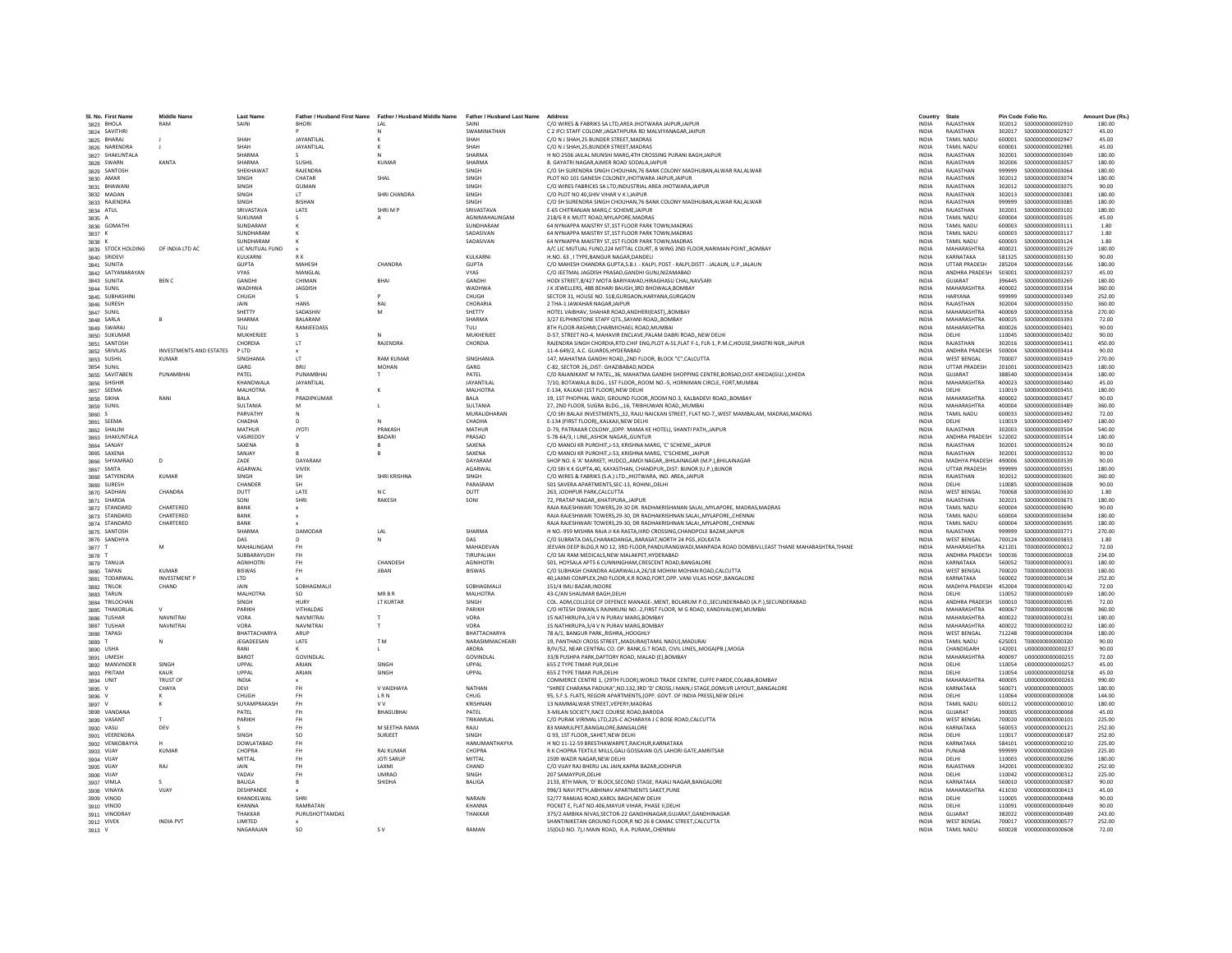| SI. No. First Name<br>3823 BHOLA | <b>Middle Name</b><br>RAM | <b>Last Name</b><br>SAINI | <b>BHORI</b>               | Father / Husband First Name Father / Husband Middle Name Father / Husband Last Name<br>1 AI | SAINI                    | Address<br>C/O WIRES & FABRIKS SA LTD.AREA JHOTWARA JAIPURJAIPUR                                                                                                             | Country<br><b>INDIA</b>      | State<br>RAJASTHAN                | Pin Code Folio No. |                                        | Amount Due (Rs.)<br>180.00 |
|----------------------------------|---------------------------|---------------------------|----------------------------|---------------------------------------------------------------------------------------------|--------------------------|------------------------------------------------------------------------------------------------------------------------------------------------------------------------------|------------------------------|-----------------------------------|--------------------|----------------------------------------|----------------------------|
| 3824 SAVITHRI                    |                           |                           |                            |                                                                                             | <b>SWAMINATHAN</b>       | C 2 IFCLSTAFF COLONY IAGATHPURA RD MALVIYANAGAR JAIPUR                                                                                                                       | <b>INDIA</b>                 | RAIASTHAN                         | 302017             | \$000000000002927                      | 45.00                      |
| 3825 BHARAJ                      |                           | SHAH                      | JAYANTILAL                 |                                                                                             | SHAH                     | C/O N J SHAH.25 BUNDER STREET.MADRAS                                                                                                                                         | <b>INDIA</b>                 | <b>TAMIL NADU</b>                 | 600001             | S000000000002947                       | 45.00                      |
| 3826 NARENDRA                    |                           |                           | <b>JAYANTILAI</b>          |                                                                                             | SHAH                     | C/O N J SHAH, 25, BUNDER STREET, MADRAS                                                                                                                                      | <b>INDIA</b>                 | TAMIL NADU                        | 600001             | \$000000000002985                      | 45.00                      |
| 3827 SHAKUNTALA                  |                           | <b>SHARMA</b>             |                            |                                                                                             | SHARMA                   | H NO 2506 JAILAL MUNSHI MARG.4TH CROSSING PURANI BAGH.JAIPUR                                                                                                                 | <b>INDIA</b>                 | RAJASTHAN                         | 302001             | \$000000000003049                      | 180.00                     |
| 3828 SWARN                       | KANTA                     | SHARMA                    | SUSHIL                     | <b>KUMAR</b>                                                                                | SHARMA                   | 8. GAYATRI NAGAR AIMER ROAD SODALA JAIPUR                                                                                                                                    | <b>INDIA</b>                 | RAJASTHAN                         | 302006             | \$000000000003057                      | 180.00                     |
| 3829 SANTOSH                     |                           | SHEKHAWAT                 | RAIFNDRA                   |                                                                                             | SINGH                    | C/O SH SURENDRA SINGH CHOUHAN.76 BANK COLONY MADHUBAN.ALWAR RAJ.ALWAR                                                                                                        | <b>INDIA</b>                 | RAIASTHAN                         | 999999             | \$000000000003064                      | 180.00                     |
| 3830 AMAR                        |                           | SINGH                     | CHATAR                     | SHAL                                                                                        | SINGH                    | PLOT NO 101 GANESH COLONEY, JHOTWARA JAIPUR, JAIPU                                                                                                                           | INDIA                        | RAJASTHAN                         | 302012             | \$000000000003074                      | 180.00                     |
| 3831 BHAWAN                      |                           | SINGH                     | <b>GUMAN</b>               |                                                                                             | SINGH                    | C/O WIRES FABRICKS SA LTD.INDUSTRIAL AREA JHOTWARA JAIPUI                                                                                                                    | <b>INDIA</b>                 | RAJASTHAN                         | 302012             | \$000000000003075                      | 90.00                      |
| 3832 MADAN                       |                           | SINGH                     | LT.                        | SHRI CHANDRA                                                                                | SINGH                    | C/O PLOT NO 40.SHIV VIHAR V K I JAIPUR                                                                                                                                       | <b>INDIA</b>                 | RAJASTHAN                         | 302013             | \$000000000003081                      | 180.00                     |
| 3833 RAJENDRA                    |                           | <b>SINGH</b>              | <b>RISHAN</b>              |                                                                                             | SINGH                    | C/O SH SURENDRA SINGH CHOUHAN, 76 BANK COLONY MADHUBAN, ALWAR RAJ, ALWAR                                                                                                     | <b>INDIA</b>                 | RAIASTHAN                         | 999999             | \$000000000003085                      | 180.00                     |
| 3834 ATUL                        |                           | SRIVASTAVA                | LATE                       | SHRIMP                                                                                      | SRIVASTAVA               | E-65 CHITRANJAN MARG,C SCHEME, JAIPUR                                                                                                                                        | <b>INDIA</b>                 | RAJASTHAN                         | 302001             | \$000000000003102                      | 180.00                     |
| 3835 A                           |                           | SUKUMAR                   |                            |                                                                                             | AGNIMAHALINGAM           | 218/6 R K MUTT ROAD.MYLAPORE.MADRAS                                                                                                                                          | <b>INDIA</b>                 | <b>TAMIL NADU</b>                 | 600004             | \$000000000003105                      | 45.00                      |
| 3836 GOMATH                      |                           | SUNDARAM                  |                            |                                                                                             | SUNDHARAM                | 64 NYNIAPPA MAISTRY ST,1ST FLOOR PARK TOWN, MADRAS                                                                                                                           | <b>INDIA</b>                 | <b>TAMIL NADU</b>                 | 600003             | S000000000003111                       | 1.80                       |
| 3837 K                           |                           | SUNDHARAM<br>SUNDHARAM    |                            |                                                                                             | SADASIVAN<br>SADASIVAN   | 64 NYNIAPPA MAISTRY ST 1ST FLOOR PARK TOWN MADRAS                                                                                                                            | <b>INDIA</b><br><b>INDIA</b> | <b>TAMIL NADLI</b><br>TAMIL NADLI | 600003<br>600003   | \$000000000003117                      | 1.80<br>1.80               |
| 3838 K<br>3839 STOCK HOLDING     | OF INDIA LTD AC           | LIC MUTUAL FUND           |                            |                                                                                             |                          | 64 NYNIAPPA MAISTRY ST,1ST FLOOR PARK TOWN, MADRAS<br>A/C LIC MUTUAL FUND, 224 MITTAL COURT, B WING 2ND FLOOR, NARIMAN POINT, BOMBAY                                         | INDIA                        | <b>MAHARASHTRA</b>                | 400021             | S000000000003124<br>\$000000000003129  | 180.00                     |
| 3840 SRIDEVI                     |                           | KULKARN                   | R K                        |                                                                                             | KULKARNI                 | H.NO. 63 . I TYPE.BANGUR NAGAR.DANDELI                                                                                                                                       | <b>INDIA</b>                 | KARNATAKA                         | 581325             | \$000000000003130                      | 90.00                      |
| 3841 SUNITA                      |                           | <b>GUPTA</b>              | MAHESH                     | CHANDRA                                                                                     | <b>GUPTA</b>             | C/O MAHESH CHANDRA GUPTA, S.B.I. - KALPI, POST - KALPI, DISTT - JALAUN, U.P., JALAUN                                                                                         | <b>INDIA</b>                 | <b>UTTAR PRADESH</b>              | 285204             | \$000000000003166                      | 180.00                     |
| 3842 SATYANARAYAN                |                           | <b>VYAS</b>               | MANGLAI                    |                                                                                             | <b>VYAS</b>              | C/O JEETMAL JAGDISH PRASAD.GANDHI GUNJ.NIZAMABAD                                                                                                                             | <b>INDIA</b>                 | ANDHRA PRADESH                    | 503001             | \$000000000003237                      | 45.00                      |
| 3843 SUNITA                      | <b>RENC</b>               | <b>GANDHI</b>             | CHIMAN                     | <b>RHAI</b>                                                                                 | <b>GANDHI</b>            | HODI STREET, 8/427 MOTA BARIYAWAD, HIRAGHASU CHAL, NAVSARI                                                                                                                   | <b>INDIA</b>                 | GUIARAT                           | 396445             | \$000000000003269                      | 180.00                     |
| 3844 SUNIL                       |                           | WADHWA                    | <b>JAGDISH</b>             |                                                                                             | WADHWA                   | J K JEWELLERS, 48B BEHARI BAUGH, 3RD BHOWALA, BOMBAY                                                                                                                         | <b>INDIA</b>                 | MAHARASHTRA                       | 400002             | \$000000000003334                      | 360.00                     |
| 3845 SUBHASHIN                   |                           | CHUGH                     |                            |                                                                                             | CHUGH                    | SECTOR 31, HOUSE NO. 518, GURGAON, HARYANA, GURGAON                                                                                                                          | INDIA                        | <b>HARYANA</b>                    | 999999             | \$000000000003349                      | 252.00                     |
| 3846 SURESH                      |                           | <b>JAIN</b>               | HANS                       | RAI                                                                                         | CHORARIA                 | 2 THA-1 JAWAHAR NAGAR JAIPUR                                                                                                                                                 | <b>INDIA</b>                 | RAIASTHAN                         | 302004             | \$000000000003350                      | 360.00                     |
| 3847 SUNIL                       |                           | SHETTY                    | SADASHIV                   | M                                                                                           | SHETTY                   | HOTEL VAIBHAV, SHAHAR ROAD, ANDHERI(EAST), BOMBAY                                                                                                                            | <b>INDIA</b>                 | MAHARASHTRA                       | 400069             | \$000000000003358                      | 270.00                     |
| 3848 SARLA                       | B                         | <b>SHARMA</b>             | <b>BALARAM</b>             |                                                                                             | SHARMA                   | 3/27 ELPHINSTONE STAFF OTSSAYANI ROADBOMBAY                                                                                                                                  | <b>INDIA</b>                 | MAHARASHTRA                       | 400025             | \$000000000003393                      | 72.00                      |
| 3849 SWARAJ                      |                           | TULI                      | RAMJEEDASS                 |                                                                                             | TULI                     | 8TH FLOOR-RASHMI, CHARMICHAEL ROAD, MUMBAI                                                                                                                                   | INDIA                        | MAHARASHTRA                       | 400026             | \$000000000003401                      | 90.00                      |
| 3850 SUKUMAR                     |                           | MUKHERIFF                 | $\sim$                     |                                                                                             | MUKHERIFF                | D-57 STREET NO-4 MAHAVIR ENCLAVE PALAM DARRI ROAD, NEW DELHI                                                                                                                 | <b>INDIA</b>                 | DELHI                             | 110045             | \$000000000003402                      | 90.00                      |
| 3851 SANTOSH                     |                           | CHORDIA                   | LT                         | RAIFNDRA                                                                                    | CHORDIA                  | RAJENDRA SINGH CHORDIA, RTD.CHIF ENG, PLOT A-51, FLAT F-1, FLR-1, P.M.C, HOUSE, SHASTRI NGR, JAIPUR                                                                          | <b>INDIA</b>                 | RAIASTHAN                         | 302016             | S000000000003411                       | 450.00                     |
| 3852 SRIVILAS                    | INVESTMENTS AND ESTATES   | PLTD                      |                            |                                                                                             |                          | 11-4-649/2, A.C. GUARDS, HYDERABAD                                                                                                                                           | <b>INDIA</b>                 | ANDHRA PRADESH                    | 500004             | S000000000003414                       | 90.00                      |
| 3853 SUSHIL                      | <b>KUMAR</b>              | SINGHANIA                 | LT                         | <b>RAM KUMAR</b>                                                                            | SINGHANIA                | 147, MAHATMA GANDHI ROAD,,2ND FLOOR, BLOCK "C",CALCUTTA                                                                                                                      | <b>INDIA</b>                 | <b>WEST BENGAL</b>                | 700007             | \$000000000003419                      | 270.00                     |
| 3854 SUNIL<br>3855 SAVITABEN     | PUNAMRHAI                 | GARG<br>PATFI             | BRU<br>PUNAMRHA            | MOHAN                                                                                       | GARG<br>PATFI            | C-82, SECTOR 26, DIST: GHAZI8ABAD, NOIDA<br>C/O RAJANIKANT M PATEL36. MAHATMA GANDHI SHOPPING CENTRE.BORSAD.DIST-KHEDA(GUJ.).KHEDA                                           | INDIA<br><b>INDIA</b>        | <b>UTTAR PRADESH</b><br>GUIARAT   | 201001<br>388540   | S000000000003423<br>\$000000000003434  | 180.00<br>180.00           |
| 3856 SHISHIR                     |                           | KHANDWALA                 | JAYANTILAL                 |                                                                                             | JAYANTILAL               | 7/10, BOTAWALA BLDG., 1ST FLOOR,,ROOM NO.-5, HORNIMAN CIRCLE, FORT,MUMBAI                                                                                                    | <b>INDIA</b>                 | MAHARASHTRA                       | 400023             | \$000000000003440                      | 45.00                      |
| 3857 SEEMA                       |                           | MALHOTRA                  |                            |                                                                                             | MALHOTRA                 | E-134. KALKAJI (1ST FLOOR).NEW DELHI                                                                                                                                         | <b>INDIA</b>                 | DELHI                             | 110019             | \$000000000003455                      | 180.00                     |
| 3858 SIKHA                       | RANI                      | BALA                      | PRADIPKUMAR                |                                                                                             | <b>BALA</b>              | 19, 1ST PHOPHAL WADI, GROUND FLOOR, ROOM NO.3, KALBADEVI ROAD, BOMBAY                                                                                                        | INDIA                        | MAHARASHTRA                       | 400002             | \$000000000003457                      | 90.00                      |
| 3859 SUNIL                       |                           | <b>SULTANIA</b>           | M                          |                                                                                             | <b>SULTANIA</b>          | 27. 2ND FLOOR, SUGRA BLDG 16. TRIBHUWAN ROAD., MUMBAI                                                                                                                        | <b>INDIA</b>                 | MAHARASHTRA                       | 400004             | \$000000000003489                      | 360.00                     |
| 3860 S                           |                           | PARVATHY                  |                            |                                                                                             | MURALIDHARAN             | C/O SRI BALAJI INVESTMENTS, 32, RAJU NAICKAN STREET, FLAT NO-7, WEST MAMBALAM, MADRAS, MADRAS                                                                                | <b>INDIA</b>                 | <b>TAMIL NADU</b>                 | 550003             | \$000000000003492                      | 72.00                      |
| 3861 SEEMA                       |                           | CHADHA                    | D                          |                                                                                             | CHADHA                   | E-134 (FIRST FLOOR),,KALKAJI,NEW DELHI                                                                                                                                       | <b>INDIA</b>                 | DELHI                             | 110019             | \$000000000003497                      | 180.00                     |
| 3862 SHALINI                     |                           | <b>MATHUR</b>             | <b>JYOTI</b>               | PRAKASH                                                                                     | MATHUR                   | D-79, PATRAKAR COLONY, (OPP. MAMA KE HOTEL), SHANTI PATH, JAIPUR                                                                                                             | INDIA                        | RAJASTHAN                         | 302003             | \$000000000003504                      | 540.00                     |
| 3863 SHAKUNTALA                  |                           | VASIREDDY                 | $\mathsf{v}$               | <b>BADARI</b>                                                                               | PRASAD                   | 5-78-64/3. I LINEASHOK NAGARGUNTUR                                                                                                                                           | <b>INDIA</b>                 | ANDHRA PRADESH                    | 522002             | \$000000000003514                      | 180.00                     |
| 3864 SANJAY                      |                           | SAXENA                    | $\mathsf{R}$               |                                                                                             | SAXENA                   | C/O MANOJ KR PUROHIT, J-53, KRISHNA MARG, 'C' SCHEME, JAIPUR                                                                                                                 | <b>INDIA</b>                 | RAIASTHAN                         | 302001             | S000000000003524                       | 90.00                      |
| 3865 SAXENA                      |                           | SANJAY                    |                            |                                                                                             | SAXFNA                   | C/O MANOJ KR PUROHIT, J-53, KRISHNA MARG, 'C'SCHEME,, JAIPUR                                                                                                                 | <b>INDIA</b>                 | RAJASTHAN                         | 302001             | \$000000000003532                      | 90.00                      |
| 3866 SHYAMRAO                    | D                         | ZADE                      | DAYARAN                    |                                                                                             | DAYARAM                  | SHOP NO. 6 'A' MARKET, HUDCO, AMDI NAGAR., BHILAINAGAR (M.P.), BHILAINAGAR                                                                                                   | <b>INDIA</b>                 | MADHYA PRADESH                    | 490006             | \$000000000003539                      | 90.00                      |
| 3867 SMITA                       |                           | AGARWAL                   | VIVEK                      |                                                                                             | AGARWAL                  | C/O SRI K K GUPTA,40, KAYASTHAN, CHANDPUR, DIST: BUNOR (U.P.), BUNOR                                                                                                         | INDIA                        | UTTAR PRADESH                     | 999999             | \$000000000003591                      | 180.00                     |
| 3868 SATYENDRA                   | <b>KUMAR</b>              | SINGH                     | <b>SH</b>                  | SHRI KRISHNA                                                                                | SINGH                    | C/O WIRES & FABRIKS (S.A.) LTD. JHOTWARA. IND. AREA. JAIPUR                                                                                                                  | <b>INDIA</b>                 | RAJASTHAN                         | 302012             | \$000000000003605                      | 360.00                     |
| 3869 SURESH                      | CHANDRA                   | CHANDER                   | <b>SH</b><br>LATE          | N <sub>C</sub>                                                                              | PARASRAM<br><b>DUTT</b>  | 501 SAVERA APARTMENTS, SEC-13, ROHINI, , DELHI                                                                                                                               | INDIA<br><b>INDIA</b>        | DELHI<br><b>WEST BENGAL</b>       | 110085             | \$000000000003608<br>\$000000000003630 | 90.00<br>1.80              |
| 3870 SADHAN<br>3871 SHARDA       |                           | DUTT<br>SONI              | SHRI                       | RAKESH                                                                                      | SONI                     | 263, JODHPUR PARK, CALCUTTA<br>72. PRATAP NAGAR., KHATIPURA., JAIPUR                                                                                                         | <b>INDIA</b>                 | RAJASTHAN                         | 700068<br>302021   | \$000000000003673                      | 180.00                     |
| 3872 STANDARD                    | CHARTERED                 | BANK                      |                            |                                                                                             |                          | RAJA RAJESHWARI TOWERS, 29-30 DR. RADHAKRISHANAN SALAI, MYLAPORE, MADRAS, MADRAS                                                                                             | <b>INDIA</b>                 | <b>TAMIL NADU</b>                 | 600004             | \$000000000003690                      | 90.00                      |
| 3873 STANDARD                    | CHARTERED                 | <b>BANK</b>               |                            |                                                                                             |                          | RAJA RAJESHWARI TOWERS, 29-30, DR RADHAKRISHNAN SALAI, , MYLAPORE, , CHENNAI                                                                                                 | <b>INDIA</b>                 | <b>TAMIL NADU</b>                 | 600004             | \$000000000003694                      | 180.00                     |
| 3874 STANDARD                    | CHARTERED                 | RANK                      |                            |                                                                                             |                          | RAJA RAJESHWARI TOWERS, 29-30, DR RADHAKRISHNAN SALAI,, MYLAPORE,, CHENNAI                                                                                                   | <b>INDIA</b>                 | <b>TAMIL NADU</b>                 | 600004             | \$000000000003695                      | 180.00                     |
| 3875 SANTOSH                     |                           | SHARMA                    | DAMODAR                    | LAL                                                                                         | SHARMA                   | H NO.-959 MISHRA RAJA JI KA RASTA, IIIRD CROSSING, CHANDPOLE BAZAR, JAIPUR                                                                                                   | INDIA                        | RAJASTHAN                         | 999999             | \$000000000003771                      | 270.00                     |
| 3876 SANDHYA                     |                           | DAS                       |                            | N                                                                                           | DAS                      | C/O SUBRATA DAS, CHARAKDANGA,, BARASAT, NORTH 24 PGS., KOLKATA                                                                                                               | <b>INDIA</b>                 | <b>WEST BENGAL</b>                | 700124             | \$000000000003833                      | 1.80                       |
| 3877 T                           | M                         | MAHALINGAM                |                            |                                                                                             | MAHADEVAN                | JEEVAN DEEP BLDG.R NO 12. 3RD FLOOR.PANDURANGWADI.MANPADA ROAD DOMBIVLI.EAST THANE MAHARASHTRA.THANE                                                                         | <b>INDIA</b>                 | MAHARASHTRA                       | 421201             | T000000000000012                       | 72.00                      |
| 3878                             |                           | SUBBARAYUDH               | FH                         |                                                                                             | <b>TIRUPALIAH</b>        | C/O SAI RAM MEDICALS.NEW MALAKPET.HYDERABAD                                                                                                                                  | <b>INDIA</b>                 | ANDHRA PRADESH                    | 500036             | T000000000000018                       | 234.00                     |
| 3879 TANUJA                      |                           | <b>AGNIHOTRI</b>          | FH                         | CHANDESH                                                                                    | <b>AGNIHOTRI</b>         | 501, HOYSALA APTS 6 CUNNINGHAM, CRESCENT ROAD, BANGALORE                                                                                                                     | INDIA                        | KARNATAKA                         | 560052             | T000000000000031                       | 180.00                     |
| 3880 TAPAN                       | <b>KUMAR</b>              | BISWAS                    | FH                         | <b>JIBAN</b>                                                                                | <b>BISWAS</b>            | C/O SUBHASH CHANDRA AGARWALLA,26/18 MOHINI MOHAN ROAD,CALCUTTA                                                                                                               | INDIA                        | <b>WEST BENGAL</b>                | 700020             | T000000000000033                       | 180.00                     |
| 3881 TODARWAL                    | <b>INVESTMENT P</b>       | <b>LTD</b>                |                            |                                                                                             |                          | 40.LAXMI COMPLEX.2ND FLOOR.K.R ROAD.FORT.OPP. VANI VILAS HOSP., BANGALORE                                                                                                    | <b>INDIA</b>                 | KARNATAKA                         | 560002             | T000000000000134                       | 252.00                     |
| 3882 TRILOK                      | CHAND                     | <b>JAIN</b>               | SOBHAGMALI                 |                                                                                             | SOBHAGMALI               | 151/4 IMLI BAZAR, INDORE                                                                                                                                                     | INDIA                        | MADHYA PRADESH                    | 452004             | T000000000000142                       | 72.00                      |
| 3883 TARUN<br>3884 TRILOCHAM     |                           | MALHOTRA<br>SINGH         | <b>SO</b><br>HURY          | <b>MRRR</b><br>LT KURTAR                                                                    | MALHOTRA<br>SINGH        | 43-C/AN SHALIMAR BAGH, DELHI                                                                                                                                                 | INDIA                        | DELHI<br>ANDHRA PRADESH           | 110052<br>500010   | T000000000000169<br>T000000000000195   | 180.00<br>72.00            |
| 3885 THAKORLAL                   |                           | PARIKH                    | VITHALDAS                  |                                                                                             | PARIKH                   | COL. ADM, COLLEGE OF DEFENCE MANAGE-, MENT, BOLARUM P.O., SECUNDERABAD (A.P.), SECUNDERABAD<br>C/O HITESH DIWAN 5 RAINIKUNI NO.-2.FIRST FLOOR, M G ROAD, KANDIVALI(W) MUMBAI | INDIA<br><b>INDIA</b>        | MAHARASHTRA                       | 400067             | T000000000000198                       | 360.00                     |
| 3886 TUSHAR                      | <b>NAVNITRA</b>           | VORA                      | NAVMITRAI                  |                                                                                             | VORA                     | 15 NATHKRUPA.3/4 V N PURAV MARG.BOMBAY                                                                                                                                       | <b>INDIA</b>                 | MAHARASHTRA                       | 400022             | T000000000000231                       | 180.00                     |
| 3887 TUSHAF                      | <b>NAVNITRA</b>           | VORA                      | NAVNITRAL                  |                                                                                             | VORA                     | 15 NATHKRUPA, 3/4 V N PURAV MARG, BOMBAY                                                                                                                                     | <b>INDIA</b>                 | MAHARASHTRA                       | 400022             | T000000000000232                       | 180.00                     |
| 3888 TAPASI                      |                           | BHATTACHARYA              | ARUP                       |                                                                                             | BHATTACHARYA             | 78 A/1, BANGUR PARK, RISHRA, HOOGHLY                                                                                                                                         | <b>INDIA</b>                 | <b>WEST BENGAL</b>                | 712248             | T000000000000304                       | 180.00                     |
| 3889 T                           | $\mathbf N$               | JEGADEESAN                | LATE                       | T <sub>M</sub>                                                                              | NARASIMMACHEARI          | 19, PANTHADI CROSS STREET,, MADURAI (TAMIL NADU), MADURAI                                                                                                                    | <b>INDIA</b>                 | <b>TAMIL NADU</b>                 | 625001             | T000000000000320                       | 90.00                      |
| 3890 USHA                        |                           | RANI                      |                            |                                                                                             | <b>ARORA</b>             | B/IV/52, NEAR CENTRAL CO, OP, BANK G.T ROAD, CIVIL LINES. MOGAIPB.) MOGA                                                                                                     | <b>INDIA</b>                 | CHANDIGARH                        | 142001             | U000000000000237                       | 90.00                      |
| 3891 UMESH                       |                           | <b>BAROT</b>              | <b>GOVINDI AI</b>          |                                                                                             | GOVINDLAL                | 33/B PUSHPA PARK, DAFTORY ROAD, MALAD (E), BOMBAY                                                                                                                            | <b>INDIA</b>                 | MAHARASHTRA                       | 400097             | 11000000000000255                      | 72.00                      |
| 3892 MANVINDE                    | SINGH                     | UPPAL                     | ARJAN                      | SINGH                                                                                       | UPPAL                    | 655 Z TYPE TIMAR PUR, DELHI                                                                                                                                                  | <b>INDIA</b>                 | DELHI                             | 110054             | U00000000000257                        | 45.00                      |
| 3893 PRITAM                      | KAUR                      | UPPAL                     | ARJAN                      | SINGH                                                                                       | UPPAL                    | 655 Z TYPE TIMAR PUR, DELHI                                                                                                                                                  | <b>INDIA</b>                 | DELHI                             | 110054             | U00000000000258                        | 45.00                      |
| 3894 UNIT                        | <b>TRUST OF</b>           | <b>INDIA</b>              |                            |                                                                                             |                          | COMMERCE CENTRE 1. (29TH FLOOR). WORLD TRADE CENTRE. CUFFE PARDE.COLABA.BOMBAY                                                                                               | <b>INDIA</b>                 | MAHARASHTRA                       | 400005             | U000000000000263                       | 990.00                     |
| 3895 V                           | CHAYA                     | DEVI                      | <b>FH</b>                  | V VAIDHAYA                                                                                  | NATHAN                   | "SHREE CHARANA PADUKA".NO.132.3RD 'D' CROSS.I MAIN.I STAGE.DOMLVR LAYOUTBANGALORE                                                                                            | <b>INDIA</b>                 | KARNATAKA                         | 560071             | V000000000000005                       | 180.00                     |
| 3896                             |                           | CHUGH                     | <b>FH</b>                  | <b>LRN</b>                                                                                  | CHUG                     | 95, S.F.S. FLATS, REGORI APARTMENTS, (OPP. GOVT. OF INDIA PRESS), NEW DELHI                                                                                                  | <b>INDIA</b>                 | DELHI                             | 110064             | V000000000000008                       | 144.00                     |
| 3897<br>3898 VANDANA             |                           | SUYAMPRAKASH<br>PATEL     | FH<br><b>FH</b>            | v v<br>BHAGUBHAI                                                                            | KRISHNAN<br>PATEL        | 13 NAMMALWAR STREET, VEPERY, MADRAS<br>3-MILAN SOCIETY.RACE COURSE ROAD.BARODA                                                                                               | <b>INDIA</b><br><b>INDIA</b> | <b>TAMIL NADU</b><br>GUJARAT      | 600112<br>390005   | V000000000000010<br>V000000000000068   | 180.00<br>45.00            |
| 3899 VASANT                      | $\mathbf{r}$              | PARIKH                    | <b>FH</b>                  |                                                                                             | TRIKAMLAL                | C/O PURAK VIRIMAL LTD,225-C ACHARAYA J C BOSE ROAD,CALCUTTA                                                                                                                  | <b>INDIA</b>                 | <b>WEST BENGAL</b>                | 700020             | V000000000000101                       | 225.00                     |
| 3900 VASU                        | DEV                       |                           | <b>FH</b>                  | M SEETHA RAMA                                                                               | RAJU                     | 83 MAMULPET, BANGALORE, BANGALORE                                                                                                                                            | <b>INDIA</b>                 | KARNATAKA                         | 560053             | V000000000000121                       | 252.00                     |
| 3901 VEERENDRA                   |                           | SINGH                     | SC                         | SURJEET                                                                                     | SINGH                    | G 93, 1ST FLOOR, SAHET, NEW DELHI                                                                                                                                            | <b>INDIA</b>                 | DELHI                             | 110017             | V000000000000187                       | 252.00                     |
| 3902 VENKOBAYYA                  |                           | <b>DOWLATABAD</b>         | FH                         |                                                                                             | HANUMANTHAYYA            | H NO 11-12-59 BRESTHAWARPET.RAICHUR.KARNATAKA                                                                                                                                | <b>INDIA</b>                 | KARNATAKA                         | 584101             | V000000000000210                       | 225.00                     |
| 3903 VIJAY                       | <b>KUMAR</b>              | CHOPRA                    | <b>FH</b>                  | <b>RAJ KUMAF</b>                                                                            | CHOPRA                   | R K CHOPRA TEXTILE MILLS, GALI GOSSAIAN O/S LAHORI GATE, AMRITSAR                                                                                                            | <b>INDIA</b>                 | PUNJAB                            | 999999             | V000000000000269                       | 225.00                     |
| 3904 VIJAY                       |                           | MITTAL                    | FH                         | <b>IOTI SARUP</b>                                                                           | MITTAI                   | 1509 WAZIR NAGAR NEW DELHI                                                                                                                                                   | <b>INDIA</b>                 | DELHI                             | 110003             | V000000000000296                       | 180.00                     |
| 3905 VIJAY                       | RAI                       | JAIN                      | FH                         | LAXMI                                                                                       | CHAND                    | C/O VIJAY RAJ BHERU LAL JAIN, KAPRA BAZAR, JODHPUR                                                                                                                           | INDIA                        | RAJASTHAN                         | 342001             | V000000000000302                       | 252.00                     |
| 3906 VIJAY                       |                           | YADAV                     | FH                         | <b>UMRAO</b>                                                                                | SINGH                    | 207 SAMAYPUR, DELHI                                                                                                                                                          | <b>INDIA</b>                 | DELHI                             | 110042             | V000000000000312                       | 225.00                     |
| 3907 VIMLA                       |                           | <b>BALIGA</b>             | $\mathsf R$                | SHIDHA                                                                                      | <b>BALIGA</b>            | 2133. 8TH MAIN. 'D' BLOCK.SECOND STAGE. RAJALI NAGAR.BANGALORE                                                                                                               | <b>INDIA</b>                 | KARNATAKA                         | 560010             | V000000000000387                       | 90.00                      |
| 3908 VINAYA                      | VIJAY                     | DESHPANDE                 |                            |                                                                                             |                          | 996/3 NAVI PETH, ABHINAV APARTMENTS SAKET, PUNE                                                                                                                              | <b>INDIA</b>                 | MAHARASHTRA                       | 411030             | V000000000000413                       | 45.00                      |
| 3909 VINOD                       |                           | KHANDELWAL                | SHRI                       |                                                                                             | NARAIN                   | 52/77 RAMJAS ROAD.KAROL BAGH.NEW DELHI                                                                                                                                       | <b>INDIA</b>                 | DELHI                             | 110005             | V000000000000448                       | 90.00                      |
| 3910 VINOD<br>3911 VINODRAY      |                           | KHANNA<br>THAKKAR         | RAMRATAN<br>PURUSHOTTAMDAS |                                                                                             | <b>KHANNA</b><br>THAKKAF | POCKET E, FLAT NO.406, MAYUR VIHAR, PHASE II, DELHI<br>375/2 AMBIKA NIVAS.SECTOR-22 GANDHINAGAR.GUJARAT.GANDHINAGAR                                                          | <b>INDIA</b><br><b>INDIA</b> | DELHI<br>GUJARAT                  | 110091<br>382022   | V000000000000449<br>V000000000000489   | 90.00<br>243.00            |
| 3912 VIVEK                       | <b>INDIA PVT</b>          | LIMITED                   |                            |                                                                                             |                          | SHANTINIKETAN GROUND FLOOR.R NO 26 8 CAMAC STREET.CALCUTTA                                                                                                                   | <b>INDIA</b>                 | <b>WEST BENGAL</b>                |                    | 700017 V000000000000577                | 252.00                     |
| 3913 V                           |                           | NAGARAIAN                 | SO <sub>1</sub>            | <b>SV</b>                                                                                   | RAMAN                    | 15(OLD NO. 7).I MAIN ROAD. R.A. PURAMCHENNA                                                                                                                                  | <b>INDIA</b>                 | TAMIL NADLI                       |                    | 600028 V000000000000608                | 72.00                      |
|                                  |                           |                           |                            |                                                                                             |                          |                                                                                                                                                                              |                              |                                   |                    |                                        |                            |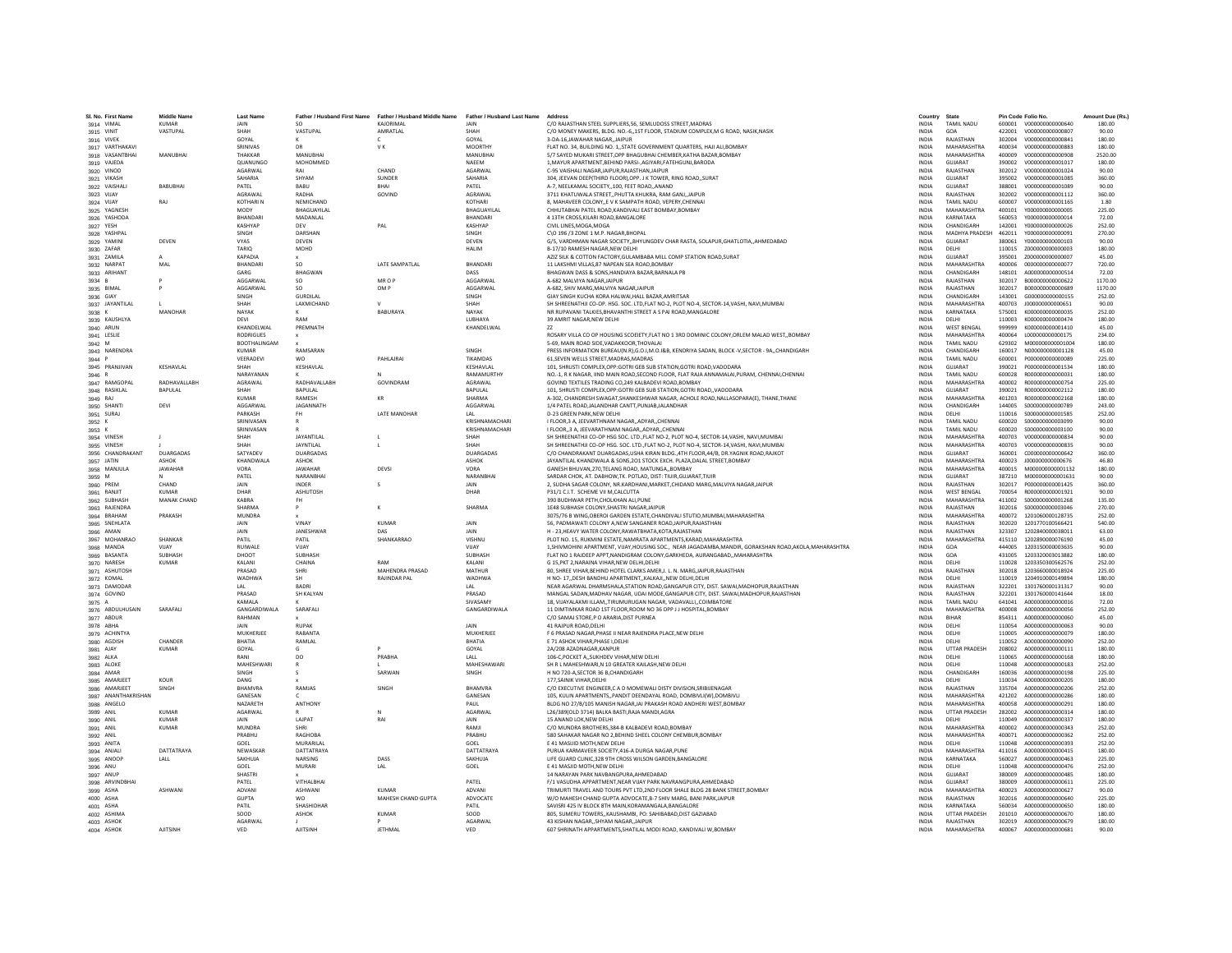| SL No. First Name                  | <b>Middle Name</b> | <b>Last Name</b>            |                            | Father / Husband First Name Father / Husband Middle Name Father / Husband Last Name |                           | Address                                                                                                                                                                         | Country                      | State                            | Pin Code Folio No. |                                      | Amount Due (Rs.) |
|------------------------------------|--------------------|-----------------------------|----------------------------|-------------------------------------------------------------------------------------|---------------------------|---------------------------------------------------------------------------------------------------------------------------------------------------------------------------------|------------------------------|----------------------------------|--------------------|--------------------------------------|------------------|
| 3914 VIMAL                         | <b>KUMAR</b>       | JAIN                        | - so                       | KAJORIMAL                                                                           | <b>JAIN</b>               | C/O RAJASTHAN STEEL SUPPLIERS.56. SEMLUDOSS STREET.MADRAS                                                                                                                       | <b>INDIA</b>                 | <b>TAMIL NADU</b>                |                    | 600001  V000000000000640             | 180.00           |
| 3915 VINIT                         | VASTUPAL           | SHAH                        | VASTUPAL                   | AMRATI AI                                                                           | SHAH                      | C/O MONEY MAKERS, BLDG. NO.-6, 1ST FLOOR, STADIUM COMPLEX, M G ROAD, NASIK, NASIK                                                                                               | <b>INDIA</b>                 | GOA                              |                    | 422001   V0000000000000807           | 90.00            |
| 3916 VIVEK                         |                    | GOYAL                       |                            | $\epsilon$                                                                          | GOYAL                     | 3-DA-16JAWAHAR NAGAR, JAIPUR                                                                                                                                                    | <b>INDIA</b>                 | RAJASTHAN                        | 302004             | V000000000000841                     | 180.00           |
| 3917 VARTHAKAV                     |                    | SRINIVAS                    |                            | V K                                                                                 | <b>MOORTHY</b>            | FLAT NO. 34, BUILDING NO. 1,, STATE GOVERNMENT QUARTERS, HAJI ALI, BOMBAY                                                                                                       | INDIA                        | <b>MAHARASHTRA</b>               | 400034             | V000000000000883                     | 180.00           |
| 3918 VASANTBHAI                    | MANUBHAI           | THAKKAR                     | MANUBHA                    |                                                                                     | MANUBHA                   | 5/7 SAYED MUKARI STREET.OPP BHAGUBHAI CHEMBER.KATHA BAZAR.BOMBAY                                                                                                                | <b>INDIA</b>                 | MAHARASHTRA                      | 400009             | V000000000000908                     | 2520.00          |
| 3919 VAJEDA                        |                    | QUANUNGO<br><b>AGARWAL</b>  | MOHOMMED<br>RAI            | CHAND                                                                               | NAEEM<br><b>AGARWAI</b>   | 1. MAYUR APARTMENT. BEHIND PARSI-, AGIYARI, FATEHGUNJ, BARODA<br>C-95 VAISHALLNAGAR JAIPUR RAJASTHAN JAIPUR                                                                     | <b>INDIA</b><br><b>INDIA</b> | GUJARAT<br>RAIASTHAN             | 390002<br>302012   | V000000000001017<br>V000000000001024 | 180.00<br>90.00  |
| 3920 VINOD<br>3921 VIKASH          |                    | SAHARIA                     | SHYAM                      | SUNDER                                                                              | SAHARIA                   | 304, JEEVAN DEEP(THIRD FLOOR), OPP. J K TOWER, RING ROAD, , SURAT                                                                                                               | INDIA                        | GUJARAT                          | 395002             | V000000000001085                     | 360.00           |
| 3922 VAISHALI                      | <b>BABUBHA</b>     | PATEL                       | BABU                       | BHAI                                                                                | PATEL                     | A-7, NEELKAMAL SOCIETY,,100, FEET ROAD,,ANAND                                                                                                                                   | <b>INDIA</b>                 | GUJARAT                          | 388001             | V000000000001089                     | 90.00            |
| 3923 VIJAY                         |                    | AGRAWAL                     | RADHA                      | GOVIND                                                                              | AGRAWAL                   | 3711 KHATUWALA STREETPHUTTA KHUKRA, RAM GANJ, JAIPUR                                                                                                                            | <b>INDIA</b>                 | RAJASTHAN                        | 302002             | V000000000001112                     | 360.00           |
| 3924 VIJAY                         | RAI                | <b>KOTHARIN</b>             | NEMICHAND                  |                                                                                     | KOTHARL                   | 8. MAHAVEER COLONYE V K SAMPATH ROAD, VEPERY.CHENNAI                                                                                                                            | <b>INDIA</b>                 | <b>TAMIL NADLI</b>               | 600007             | V000000000001165                     | 1.80             |
| 3925 YAGNESH                       |                    | MODY                        | BHAGUAYILAI                |                                                                                     | BHAGUAYILA                | CHHUTABHAI PATEL ROAD, KANDIVALI EAST BOMBAY, BOMBAY                                                                                                                            | INDIA                        | <b>MAHARASHTRA</b>               | 400101             | Y000000000000005                     | 225.00           |
| 3926 YASHODA                       |                    | <b>BHANDAR</b>              | MADANLAL                   |                                                                                     | BHANDARI                  | 4 13TH CROSS.KILARI ROAD.BANGALORE                                                                                                                                              | <b>INDIA</b>                 | KARNATAKA                        | 560053             | Y000000000000014                     | 72.00            |
| 3927 YESH                          |                    | KASHYAF                     | DEV                        | PAL                                                                                 | KASHYAP                   | CIVIL LINES.MOGA.MOGA                                                                                                                                                           | INDIA                        | CHANDIGARH                       | 142001             | Y000000000000026                     | 252.00           |
| 3928 YASHPAI                       | DEVEN              | <b>SINGH</b><br><b>VYAS</b> | DARSHAN<br>DEVEN           |                                                                                     | SINGH<br><b>DEVEN</b>     | C\O 196 /3 ZONE 1 M P. NAGAR RHOPAL<br>G/5, VARDHMAN NAGAR SOCIETY, BHYUNGDEV CHAR RASTA, SOLAPUR, GHATLOTIA, , AHMEDABAD                                                       | <b>INDIA</b><br><b>INDIA</b> | MADHYA PRADESH 462011<br>GUIARAT | 380061             | Y000000000000091<br>Y000000000000103 | 270.00<br>90.00  |
| 3929 YAMINI<br>3930 ZAFAR          |                    | TARIQ                       | MOHD                       |                                                                                     | <b>HALIM</b>              | B-17/10 RAMESH NAGAR, NEW DELHI                                                                                                                                                 | INDIA                        | DELHI                            | 110015             | Z000000000000003                     | 180.00           |
| 3931 ZAMILA                        |                    | KAPADIA                     |                            |                                                                                     |                           | AZIZ SILK & COTTON FACTORY.GULAMBABA MILL COMP STATION ROAD.SURAT                                                                                                               | <b>INDIA</b>                 | <b>GUJARAT</b>                   | 395001             | 2000000000000007                     | 45.00            |
| 3932 NARPAT                        | MAL                | BHANDARI                    | SO.                        | LATE SAMPATLAL                                                                      | BHANDARI                  | 11 LAKSHMI VILLAS.87 NAPEAN SEA ROAD.BOMBAY                                                                                                                                     | <b>INDIA</b>                 | MAHARASHTRA                      | 400006             | 0000000000000077                     | 720.00           |
| 3933 ARIHANT                       |                    | GARG                        | RHAGWAN                    |                                                                                     | DASS                      | BHAGWAN DASS & SONS.HANDIAYA BAZAR.BARNALA PB                                                                                                                                   | <b>INDIA</b>                 | CHANDIGARH                       | 148101             | A000000000000514                     | 72.00            |
| 3934 B                             |                    | AGGARWA                     | so                         | MR O P                                                                              | AGGARWAI                  | A-682 MALVIYA NAGAR JAIPUR                                                                                                                                                      | <b>INDIA</b>                 | RAJASTHAN                        | 302017             | B000000000000622                     | 1170.00          |
| 3935 BIMAL                         |                    | AGGARWA                     | <sub>SO</sub>              | OM P                                                                                | AGGARWAL                  | A-682, SHIV MARG, MALVIYA NAGAR JAIPUR                                                                                                                                          | <b>INDIA</b>                 | RAJASTHAN                        | 302017             | B00000000000689                      | 1170.00          |
| 3936 GIAY                          |                    | SINGH                       | <b>GURDILAL</b>            |                                                                                     | SINGH                     | GIAY SINGH KUCHA KORA HALWAI, HALL BAZAR, AMRITSAR                                                                                                                              | INDIA                        | CHANDIGARH                       | 143001             | G000000000000155                     | 252.00           |
| 3937 JAYANTILAL                    | MANOHAR            | SHAH<br>NAYAK               | <b>LAXMICHAND</b>          | RARURAYA                                                                            | SHAH<br>NAYAK             | SH SHREENATHJI CO-OP, HSG, SOC, LTD, FLAT NO-2, PLOT NO-4, SECTOR-14/VASHI, NAVI, MUMBAI                                                                                        | <b>INDIA</b><br><b>INDIA</b> | MAHARASHTRA<br>KARNATAKA         | 400703<br>575001   | 1000000000000651                     | 90.00<br>252.00  |
| 3938 K<br>3939 KAUSHLYA            |                    | DEVI                        | RAM                        |                                                                                     | LUBHAYA                   | NR RUPAVANI TALKIES, BHAVANTHI STREET A S PAI ROAD, MANGALORE<br>39 AMRIT NAGAR.NEW DELHI                                                                                       | <b>INDIA</b>                 | DELHI                            | 110003             | K000000000000035<br>K000000000000474 | 180.00           |
| 3940 ARUN                          |                    | KHANDELWAL                  | PREMNATH                   |                                                                                     | KHANDELWAL                | ZZ                                                                                                                                                                              | INDIA                        | WEST BENGAL                      | 999999             | K000000000001410                     | 45.00            |
| 3941 LESLIE                        |                    | <b>RODRIGUES</b>            |                            |                                                                                     |                           | ROSARY VILLA CO OP HOUSING SCOEIETY. FLAT NO 1 3RD DOMINIC COLONY. ORLEM MALAD WEST., BOMBAY                                                                                    | <b>INDIA</b>                 | MAHARASHTRA                      | 400064             | 1000000000000175                     | 234.00           |
| 3942 M                             |                    | <b>BOOTHALINGAM</b>         |                            |                                                                                     |                           | 5-69. MAIN ROAD SIDE.VADAKKOOR.THOVALAI                                                                                                                                         | <b>INDIA</b>                 | <b>TAMIL NADLI</b>               | 629302             | M000000000001004                     | 180.00           |
| 3943 NARENDRA                      |                    | KUMAR                       | RAMSARAN                   |                                                                                     | SINGH                     | PRESS INFORMATION BUREAU(N.R), G.O.I, M.O.I&B, KENDRIYA SADAN, BLOCK -V, SECTOR - 9A,, CHANDIGARH                                                                               | <b>INDIA</b>                 | CHANDIGARH                       | 160017             | N000000000001128                     | 45.00            |
| 3944 F                             |                    | VEERADEVI                   | <b>WO</b>                  | PAHLAJRAI                                                                           | <b>TIKAMDAS</b>           | 61.SEVEN WELLS STREET.MADRAS.MADRAS                                                                                                                                             | <b>INDIA</b>                 | <b>TAMIL NADU</b>                | 600001             | P000000000000089                     | 225.00           |
| 3945 PRANJIVAN                     | KESHAVLAL          | SHAH                        | KESHAVLAL                  |                                                                                     | KESHAVLAL                 | 101, SHRUSTI COMPLEX, OPP: GOTRI GEB SUB STATION, GOTRI ROAD, VADODARA                                                                                                          | INDIA                        | GUJARAT                          | 390021             | P000000000001534                     | 180.00           |
| 3946 R                             |                    | NARAYANAN                   |                            | $\mathbf{M}$                                                                        | RAMAMURTHY                | NO.-1. R K NAGAR. IIND MAIN ROAD.SECOND FLOOR. FLAT RAJA ANNAMALAI.PURAM. CHENNAI.CHENNAI                                                                                       | <b>INDIA</b>                 | <b>TAMIL NADLI</b>               | 600028             | B000000000000031                     | 180.00           |
| 3947 RAMGOPAL                      | RADHAVALLABH       | AGRAWAL                     | RADHAVALLABH               | GOVINDRAM                                                                           | AGRAWAL                   | GOVIND TEXTILES TRADING CO,249 KALBADEVI ROAD, BOMBAY                                                                                                                           | INDIA                        | MAHARASHTRA                      | 400002             | R00000000000754                      | 225.00           |
| 3948 RASIKLAL                      | <b>BAPULAL</b>     | SHAH<br><b>KUMAR</b>        | <b>BAPULAL</b><br>RAMESH   | KR                                                                                  | <b>BAPULAL</b><br>SHARMA  | 101, SHRUSTI COMPLEX, OPP: GOTRI GEB SUB STATION, GOTRI ROAD,, VADODARA<br>A-302, CHANDRESH SWAGAT, SHANKESHWAR NAGAR, ACHOLE ROAD, NALLASOPARA(E), THANE, THANE                | <b>INDIA</b><br>INDIA        | GUJARAT<br>MAHARASHTRA           | 390021<br>401203   | R00000000002112<br>R00000000002168   | 180.00<br>180.00 |
| 3949 RAJ<br>3950 SHANTI            | DEVI               | AGGARWAI                    | <b>IAGANNATH</b>           |                                                                                     | AGGARWAI                  | 1/4 PATEL ROAD JALANDHAR CANTT.PUNJAB JALANDHAR                                                                                                                                 | <b>INDIA</b>                 | CHANDIGARH                       | 144005             | \$000000000000789                    | 243.00           |
| 3951 SURAJ                         |                    | PARKASH                     | <b>FH</b>                  | <b>LATE MANOHAR</b>                                                                 | IAI                       | D-23 GREEN PARK NEW DELHI                                                                                                                                                       | <b>INDIA</b>                 | DELHI                            | 110016             | \$000000000001585                    | 252.00           |
| 3952 K                             |                    | SRINIVASAN                  | $\mathsf{R}$               |                                                                                     | KRISHNAMACHARI            | I FLOOR, 3 A, JEEVARTHNAM NAGAR, ADYAR, CHENNAI                                                                                                                                 | <b>INDIA</b>                 | <b>TAMIL NADU</b>                | 600020             | \$000000000003099                    | 90.00            |
| 3953 K                             |                    | SRINIVASAN                  |                            |                                                                                     | KRISHNAMACHARI            | I FLOOR, 3 A, JEEVARATHNAM NAGAR, ADYAR, CHENNAI                                                                                                                                | <b>INDIA</b>                 | <b>TAMIL NADU</b>                | 600020             | \$000000000003100                    | 90.00            |
| 3954 VINESH                        |                    | SHAH                        | JAYANTILAL                 |                                                                                     | <b>SHAH</b>               | SH SHREENATHJI CO-OP HSG SOC. LTD., FLAT NO-2, PLOT NO-4, SECTOR-14, VASHI, NAVI, MUMBAI                                                                                        | <b>INDIA</b>                 | MAHARASHTRA                      | 400703             | V000000000000834                     | 90.00            |
| 3955 VINESH                        |                    | SHAH                        | <b>JAYNTILAL</b>           | $\mathbf{L}$                                                                        | SHAH                      | SH SHREENATHJI CO-OP HSG. SOC. LTD., FLAT NO-2, PLOT NO-4, SECTOR-14, VASHI, NAVI, MUMBAI                                                                                       | <b>INDIA</b>                 | MAHARASHTRA                      | 400703             | V000000000000835                     | 90.00            |
| 3956 CHANDRAKANT                   | <b>DUARGADAS</b>   | SATYADEV                    | <b>DUARGADAS</b>           |                                                                                     | <b>DUARGADAS</b>          | C/O CHANDRAKANT DUARGADAS.USHA KIRAN BLDG4TH FLOOR.44/B. DR.YAGNIK ROAD.RAJKOT                                                                                                  | <b>INDIA</b>                 | GUIARAT                          | 360001             | 000000000000642                      | 360.00           |
| 3957 JATIN                         | <b>ASHOK</b>       | KHANDWALA                   | ASHOK                      |                                                                                     | <b>ASHOK</b>              | JAYANTILAL KHANDWALA & SONS.201 STOCK EXCH. PLAZA.DALAL STREET.BOMBAY                                                                                                           | <b>INDIA</b>                 | MAHARASHTRA                      | 400023             | J00000000000676                      | 46.80            |
| 3958 MANJULA                       | <b>JAWAHAR</b>     | VORA<br>PATEL               | <b>JAWAHAR</b><br>NARANBHA | DEVSI                                                                               | VORA<br>NARANBHA          | GANESH BHUVAN, 270, TELANG ROAD, MATUNGA, BOMBAY<br>SARDAR CHOK, AT, DABHOW, TK, POTLAD, DIST: TIUIR, GUJARAT, TIUIR                                                            | INDIA<br><b>INDIA</b>        | MAHARASHTRA<br>GUJARAT           | 400015<br>387210   | M000000000001132<br>M000000000001631 | 180.00<br>90.00  |
| 3959 M<br>3960 PREM                | CHAND              | JAIN                        | <b>INDER</b>               |                                                                                     | <b>JAIN</b>               | 2, SUDHA SAGAR COLONY, NR.KARDHANI, MARKET, CHIDAND MARG, MALVIYA NAGAR, JAIPUR                                                                                                 | INDIA                        | RAJASTHAN                        | 302017             | P000000000001425                     | 360.00           |
| 3961 RANJIT                        | <b>KUMAR</b>       | DHAR                        | ASHUTOSH                   |                                                                                     | DHAR                      | P31/1 C.I.T. SCHEME VII M,CALCUTTA                                                                                                                                              | INDIA                        | <b>WEST BENGAL</b>               | 700054             | R000000000001921                     | 90.00            |
| 3962 SUBHASH                       | MANAK CHAND        | KABRA                       | <b>FH</b>                  |                                                                                     |                           | 390 BUDHWAR PETH, CHOLKHAN ALI, PUNE                                                                                                                                            | INDIA                        | MAHARASHTRA                      | 411002             | \$000000000001268                    | 135.00           |
| 3963 RAJENDRA                      |                    | <b>SHARMA</b>               |                            | к                                                                                   | SHARMA                    | 1E48 SUBHASH COLONY.SHASTRI NAGAR.JAIPUR                                                                                                                                        | <b>INDIA</b>                 | RAJASTHAN                        | 302016             | 5000000000003046                     | 270.00           |
| 3964 BRAHAM                        | PRAKASH            | MUNDRA                      |                            |                                                                                     |                           | 3075/76 B WING, OBEROI GARDEN ESTATE, CHANDIVALI STUTIO, MUMBAI, MAHARASHTRA                                                                                                    | <b>INDIA</b>                 | MAHARASHTRA                      | 400072             | 1201060000128735                     | 252.00           |
| 3965 SNEHLATA                      |                    | <b>JAIN</b>                 | VINAY                      | KUMAR                                                                               | <b>JAIN</b>               | 56, PADMAWATI COLONY A, NEW SANGANER ROAD, JAIPUR, RAJASTHAN                                                                                                                    | <b>INDIA</b>                 | RAIASTHAN                        | 302020             | 1201770100566421                     | 540.00           |
| 3966 AMAN                          |                    | JAIN                        | JANESHWAR                  | DAS                                                                                 | JAIN                      | H - 23, HEAVY WATER COLONY, RAWATBHATA, KOTA, RAJASTHAN                                                                                                                         | <b>INDIA</b>                 | RAJASTHAN                        | 323307             | 1202840000038011                     | 63.00            |
| 3967 MOHANRAO                      | SHANKAR            | PATIL                       | PATIL                      | SHANKARRAO                                                                          | VISHNU                    | PLOT NO. 15, RUKMINI ESTATE, NAMRATA APARTMENTS, KARAD, MAHARASHTRA<br>1. SHIVMOHINI APARTMENT, VIJAY, HOUSING SOC., NEAR JAGADAMBA, MANDIR, GORAKSHAN ROAD, AKOLA, MAHARASHTRA | <b>INDIA</b>                 | MAHARASHTRA                      | 415110             | 1202890000076190                     | 45.00            |
| 3968 MANDA<br>3969 BASANTA         | VIJAY<br>SURHASH   | RUIWALE<br>DHOOT            | VUAY<br><b>SURHASE</b>     |                                                                                     | VIJAY<br><b>SURHASH</b>   | FLAT NO 1 RAJDEEP APPT, NANDIGRAM COLONY, GARKHEDA, AURANGABAD,, MAHARASHTRA                                                                                                    | <b>INDIA</b><br><b>INDIA</b> | GOA<br>GOA                       | 444005<br>431005   | 1203150000003635<br>1203320003013882 | 90.00<br>180.00  |
| 3970 NARESH                        | <b>KUMAR</b>       | KALANI                      | CHAINA                     | RAM                                                                                 | KALANI                    | G 15, PKT 2, NARAINA VIHAR, NEW DELHI, DELHI                                                                                                                                    | INDIA                        | DELHI                            | 110028             | 1203350300562576                     | 252.00           |
| 3971 ASHUTOSH                      |                    | PRASAD                      | SHRI                       | MAHENDRA PRASAD                                                                     | MATHUR                    | 80, SHREE VIHAR, BEHIND HOTEL CLARKS AMER, J. L. N. MARG, JAIPUR, RAJASTHAN                                                                                                     | INDIA                        | RAJASTHAN                        | 302018             | 1203660000018924                     | 225.00           |
| 3972 KOMAL                         |                    | WADHWA                      | SH                         | RAJINDAR PAL                                                                        | WADHWA                    | H NO- 17. DESH BANDHU APARTMENT. KALKAJI NEW DELHI DELHI                                                                                                                        | <b>INDIA</b>                 | DELHI                            | 110019             | 1204910000149894                     | 180.00           |
| 3973 DAMODAR                       |                    | IAI                         | <b>BADRI</b>               |                                                                                     |                           | NEAR AGARWAL DHARMSHALA, STATION ROAD, GANGAPUR CITY, DIST. SAWAI, MADHOPUR, RAJASTHAN                                                                                          | <b>INDIA</b>                 | RAJASTHAN                        | 322201             | 1301760000131317                     | 90.00            |
| 3974 GOVIND                        |                    | PRASAD                      | SH KALYAN                  |                                                                                     | PRASAD                    | MANGAL SADAN, MADHAV NAGAR, UDAI MODE, GANGAPUR CITY, DIST. SAWAI, MADHOPUR, RAJASTHAN                                                                                          | INDIA                        | RAJASTHAN                        | 322201             | 1301760000141644                     | 18.00            |
| 3975 A                             |                    | KAMALA                      |                            |                                                                                     | SIVASAMY                  | 18, VIJAYALAXMI ILLAM,,TIRUMURUGAN NAGAR, VADAVALLI,,COIMBATORE                                                                                                                 | INDIA                        | <b>TAMIL NADU</b>                | 641041             | A000000000000016                     | 72.00            |
| 3976 ABDULHUSAIN                   | SARAFALI           | GANGARDIWALA<br>RAHMAN      | SARAFALI                   |                                                                                     | <b>GANGARDIWALA</b>       | 11 DIMTIMKAR ROAD 1ST FLOOR, ROOM NO 36 OPP J J HOSPITAL BOMBAY<br>C/O SAMAJ STORE.P O ARARIA.DIST PURNEA                                                                       | <b>INDIA</b><br><b>INDIA</b> | MAHARASHTRA<br>BIHAR             | 400008<br>854311   | A000000000000056<br>A000000000000060 | 252.00<br>45.00  |
| 3977 ABDUR<br>3978 ABHA            |                    | <b>JAIN</b>                 | RUPAK                      |                                                                                     | <b>JAIN</b>               | 41 RAJPUR ROAD.DELHI                                                                                                                                                            | <b>INDIA</b>                 | DELHI                            | 110054             | A000000000000063                     | 90.00            |
| 3979 ACHINTYA                      |                    | MUKHERJEE                   | RABANTA                    |                                                                                     | MUKHERJEE                 | F 6 PRASAD NAGAR, PHASE II NEAR RAJENDRA PLACE, NEW DELHI                                                                                                                       | INDIA                        | DELHI                            | 110005             | A000000000000079                     | 180.00           |
| 3980 AGDISH                        | CHANDER            | RHATIA                      | RAMLAL                     |                                                                                     | <b>RHATIA</b>             | E 71 ASHOK VIHAR PHASE I DELHI                                                                                                                                                  | <b>INDIA</b>                 | DELHI                            | 110052             | A000000000000090                     | 252.00           |
| 3981 AJAY                          | <b>KUMAR</b>       | GOYAL                       | G.                         |                                                                                     | GOYAL                     | 2A/208 AZADNAGAR.KANPUR                                                                                                                                                         | <b>INDIA</b>                 | <b>UTTAR PRADESH</b>             | 208002             | A000000000000111                     | 180.00           |
| 3982 ALKA                          |                    | RANI                        | DO.                        | PRARHA                                                                              | LALL                      | 106-C.POCKET A., SUKHDEV VIHAR NEW DELHI                                                                                                                                        | <b>INDIA</b>                 | DELHI                            | 110065             | A000000000000168                     | 180.00           |
| 3983 ALOKE                         |                    | MAHESHWARI                  |                            |                                                                                     | MAHESHAWARI               | SH R L MAHESHWARI,N 10 GREATER KAILASH,NEW DELHI                                                                                                                                | INDIA                        | DELHI                            | 110048             | A000000000000183                     | 252.00           |
| 3984 AMAR                          |                    | SINGH                       |                            | SARWAN                                                                              | SINGH                     | H NO 720-A, SECTOR 36 B, CHANDIGARH                                                                                                                                             | INDIA                        | CHANDIGARH                       | 160036             | A000000000000198                     | 225.00           |
| 3985 AMARJEET                      | KOUR               | DANG                        |                            |                                                                                     |                           | 177.SAINIK VIHAR, DELHI                                                                                                                                                         | <b>INDIA</b>                 | DELHI                            | 110034             | A000000000000205                     | 180.00           |
| 3986 AMARJEET                      | SINGH              | BHAMVRA<br>GANESAN          | RAMJAS                     | SINGH                                                                               | <b>BHAMVRA</b><br>GANESAN | C/O EXECUTIVE ENGINEER.C A D MOMEWALI DISTY DIVISION.SRIBIJENAGAR                                                                                                               | <b>INDIA</b>                 | RAJASTHAN<br>MAHARASHTRA         | 335704             | A000000000000206                     | 252.00           |
| 3987 ANANTHAKRISHAN<br>3988 ANGELO |                    | NAZARETH                    | <b>ANTHONY</b>             |                                                                                     | PAUL                      | 105, KULIN APARTMENTS,, PANDIT DEENDAYAL ROAD, DOMBIVLI(W), DOMBIVLI<br>BLDG NO 27/B/105 MANISH NAGAR, JAI PRAKASH ROAD ANDHERI WEST, BOMBAY                                    | <b>INDIA</b><br>INDIA        | <b>MAHARASHTRA</b>               | 421202<br>400058   | A000000000000286<br>A000000000000291 | 180.00<br>180.00 |
| 3989 ANIL                          | KUMAR              | AGARWAL                     |                            |                                                                                     | AGARWAL                   | L26/389(OLD 3714) BALKA BASTI.RAJA MANDI.AGRA                                                                                                                                   | <b>INDIA</b>                 | <b>UTTAR PRADESH</b>             | 282002             | A000000000000314                     | 180.00           |
| 3990 ANIL                          | <b>KUMAR</b>       | JAIN                        | LAJPAT                     | RAI                                                                                 | JAIN                      | 15 ANAND LOK.NEW DELHI                                                                                                                                                          | <b>INDIA</b>                 | DELHI                            | 110049             | A000000000000337                     | 180.00           |
| 3991 ANIL                          | <b>KUMAR</b>       | <b>MUNDRA</b>               | <b>SHRI</b>                |                                                                                     | RAMJI                     | C/O MUNDRA BROTHERS, 384-B KALBADEVI ROAD, BOMBAY                                                                                                                               | INDIA                        | MAHARASHTRA                      | 400002             | A000000000000343                     | 252.00           |
| 3992 ANIL                          |                    | PRABHU                      | RAGHOBA                    |                                                                                     | PRABHU                    | 580 SAHAKAR NAGAR NO 2, BEHIND SHEEL COLONY CHEMBUR, BOMBAY                                                                                                                     | INDIA                        | MAHARASHTRA                      | 400071             | A000000000000362                     | 252.00           |
| 3993 ANITA                         |                    | GOEL                        | MURARILAL                  |                                                                                     | GOEL                      | E 41 MASUID MOTH.NEW DELH                                                                                                                                                       | <b>INDIA</b>                 | DELHI                            | 110048             | A000000000000393                     | 252.00           |
| 3994 ANJALI                        | DATTATRAYA         | NEWASKAR                    | DATTATRAYA                 |                                                                                     | DATTATRAYA                | PURUA KARMAVEER SOCIETY.416-A DURGA NAGAR.PUNE                                                                                                                                  | <b>INDIA</b>                 | MAHARASHTRA                      | 411016             | A000000000000415                     | 180.00           |
| 3995 ANOOP                         | LALL               | SAKHUJA                     | <b>NARSING</b>             | DASS                                                                                | SAKHUJA                   | LIFE GUARD CLINIC.328 9TH CROSS WILSON GARDEN.BANGALORE                                                                                                                         | <b>INDIA</b>                 | KARNATAKA                        | 560027             | A000000000000463                     | 225.00           |
| 3996 ANU                           |                    | GOEL<br><b>SHASTRI</b>      | <b>MURARI</b>              | LAL                                                                                 | GOEL                      | E 41 MASJID MOTH, NEW DELHI<br>14 NARAYAN PARK NAVBANGPURA, AHMEDABAD                                                                                                           | INDIA<br>INDIA               | DELHI<br>GUJARAT                 | 110048<br>380009   | A000000000000476<br>A000000000000485 | 252.00<br>180.00 |
| 3997 ANUP<br>3998 ARVINDBHAI       |                    | PATEL                       | VITHALBHAI                 |                                                                                     | PATEL                     | F/1 VASUDHA APPARTMENT.NEAR VIJAY PARK NAVRANGPURA.AHMEDABAD                                                                                                                    | <b>INDIA</b>                 | GUJARAT                          | 380009             | A000000000000611                     | 225.00           |
| 3999 ASHA                          | ASHWANI            | ADVANI                      | <b>ASHWANI</b>             | <b>KUMAR</b>                                                                        | ADVANI                    | TRIMURTI TRAVEL AND TOURS PVT LTD.2ND FLOOR SHALE BLDG 28 BANK STREET.BOMBAY                                                                                                    | <b>INDIA</b>                 | MAHARASHTRA                      | 400023             | A000000000000627                     | 90.00            |
| 4000 ASHA                          |                    | <b>GUPTA</b>                | <b>WO</b>                  | MAHESH CHAND GUPTA                                                                  | ADVOCATE                  | W/O MAHESH CHAND GUPTA ADVOCATE.B-7 SHIV MARG. BANI PARKJAIPUR                                                                                                                  | <b>INDIA</b>                 | RAJASTHAN                        | 302016             | A000000000000640                     | 225.00           |
| 4001 ASHA                          |                    | PATIL                       | SHASHIDHAR                 |                                                                                     | PATIL                     | SAVISRI 425 IV BLOCK 8TH MAIN, KORAMANGALA, BANGALORE                                                                                                                           | INDIA                        | KARNATAKA                        | 560034             | A000000000000650                     | 180.00           |
| 4002 ASHIMA                        |                    | SOOD                        | ASHOK                      | <b>KUMAR</b>                                                                        | SOOD                      | 805, SUMERU TOWERS,, KAUSHAMBI, PO: SAHIBABAD, DIST GAZIABAD                                                                                                                    | <b>INDIA</b>                 | <b>UTTAR PRADESH</b>             | 201010             | A000000000000670                     | 180.00           |
| 4003 ASHOK                         |                    | AGARWAL                     |                            |                                                                                     | AGARWAL                   | 43 KISHAN NAGARSHYAM NAGAR.JAIPUR                                                                                                                                               | <b>INDIA</b>                 | RAJASTHAN                        |                    | 302019 A000000000000679              | 180.00           |
| 4004 ASHOK                         | <b>AIITSINH</b>    | VFD                         | <b>AIITSINE</b>            | <b>IFTHMAL</b>                                                                      | VFD                       | 607 SHRINATH APPARTMENTS, SHATILAL MODI ROAD, KANDIVALI W, BOMBAY                                                                                                               | <b>INDIA</b>                 | MAHARASHTRA                      |                    | 400067 A000000000000681              | 90.00            |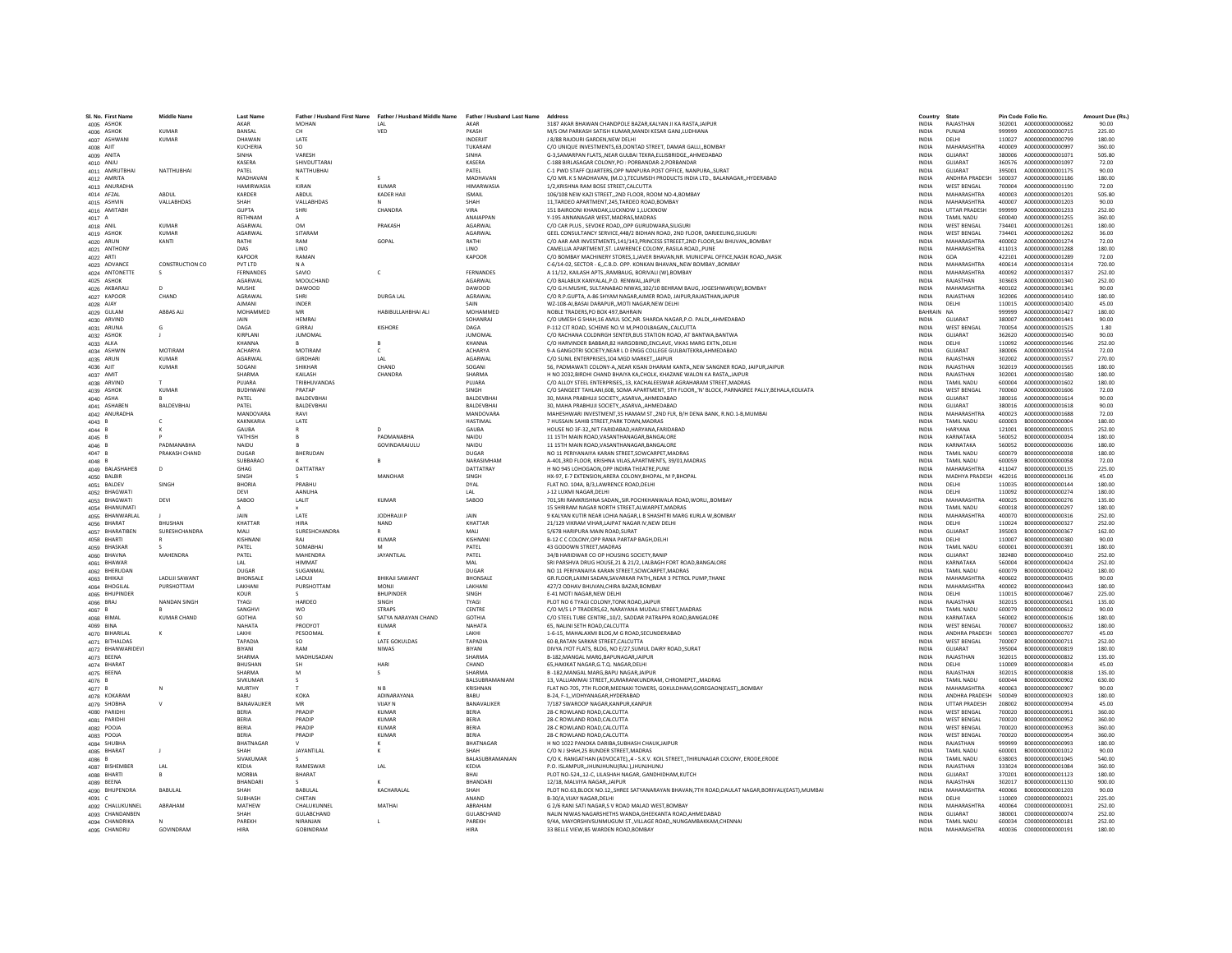| SL No. First Name                                 | <b>Middle Name</b>           | <b>Last Name</b>          |                                    | Father / Husband First Name Father / Husband Middle Name Father / Husband Last Name |                                  | Address                                                                                                                                             | Country                      | State                                    |                  | Pin Code Folio No.                    | Amount Due (Rs.) |
|---------------------------------------------------|------------------------------|---------------------------|------------------------------------|-------------------------------------------------------------------------------------|----------------------------------|-----------------------------------------------------------------------------------------------------------------------------------------------------|------------------------------|------------------------------------------|------------------|---------------------------------------|------------------|
| 4005 ASHOK                                        |                              | AKAR                      | <b>MOHAN</b>                       | IAI                                                                                 | AKAR                             | 3187 AKAR BHAWAN CHANDPOLE BAZAR, KALYAN JI KA RASTA, JAIPUR                                                                                        | <b>INDIA</b>                 | RAJASTHAN                                |                  | 302001 A000000000000682               | 90.00            |
| 4006 ASHOK                                        | KUMAR                        | <b>RANSAI</b>             | CH                                 | VFD                                                                                 | PKASH                            | M/S OM PARKASH SATISH KUMAR MANDI KESAR GANLI UDHIANA                                                                                               | <b>INDIA</b>                 | PUNJAR                                   | 999999           | 4000000000000715                      | 225.00           |
| 4007 ASHWAN                                       | <b>KUMAR</b>                 | DHAWAN                    | LATE                               |                                                                                     | INDERJIT                         | J 8/88 RAJOURI GARDEN.NEW DELHI                                                                                                                     | <b>INDIA</b>                 | DELHI                                    | 110027           | A000000000000799                      | 180.00           |
| 4008 AJIT                                         |                              | KUCHERIA                  |                                    |                                                                                     | TUKARAM                          | C/O UNIQUE INVESTMENTS, 63, DONTAD STREET, DAMAR GALLI,, BOMBAY                                                                                     | INDIA                        | MAHARASHTRA                              | 400009           | A000000000000997                      | 360.00           |
| 4009 ANITA                                        |                              | SINHA                     | VARESH                             |                                                                                     | SINHA                            | G-3.SAMARPAN FLATSNEAR GULBAI TEKRA.ELLISBRIDGEAHMEDABAD                                                                                            | <b>INDIA</b>                 | GUJARAT                                  | 380006           | A000000000001071                      | 505.80           |
| 4010 ANJU                                         | NATTHURHAI                   | KASERA<br>PATFI           | SHIVDUTTARA<br>NATTHURHAL          |                                                                                     | KASERA<br>PATFI                  | C-188 BIRLASAGAR COLONY.PO : PORBANDAR-2.PORBANDAR<br>C-1 PWD STAFF OUARTERS OPP NANPURA POST OFFICE, NANPURA, SURAT                                | <b>INDIA</b><br><b>INDIA</b> | GUJARAT<br>GUIARAT                       | 360576<br>395001 | A000000000001097<br>A000000000001175  | 72.00<br>90.00   |
| 4011 AMRUTBHAI<br>4012 AMRITA                     |                              | MADHAVAN                  |                                    |                                                                                     | MADHAVAN                         | C/O MR. K S MADHAVAN, (M.D.), TECUMSEH PRODUCTS INDIA LTD., BALANAGAR,, HYDERABAD                                                                   | INDIA                        | ANDHRA PRADESH                           | 500037           | A000000000001186                      | 180.00           |
| 4013 ANURADHA                                     |                              | HAMIRWASIA                | KIRAN                              | <b>KUMAR</b>                                                                        | <b>HIMARWASH</b>                 | 1/2.KRISHNA RAM BOSE STREET.CALCUTTA                                                                                                                | <b>INDIA</b>                 | <b>WEST BENGAL</b>                       | 700004           | A000000000001190                      | 72.00            |
| 4014 AFZAL                                        | ABDUL                        | KARDER                    | ABDUL                              | KADER HAJI                                                                          | <b>ISMAIL</b>                    | 106/108 NEW KAZI STREET2ND FLOOR, ROOM NO-4.BOMBAY                                                                                                  | <b>INDIA</b>                 | MAHARASHTRA                              | 400003           | A000000000001201                      | 505.80           |
| 4015 ASHVIN                                       | VALLARHDAS                   | SHAH                      | <b>VALLARHDAS</b>                  |                                                                                     | SHAH                             | 11 TARDEO APARTMENT 245 TARDEO ROAD ROMRAY                                                                                                          | <b>INDIA</b>                 | MAHARASHTRA                              | 400007           | A000000000001203                      | 90.00            |
| 4016 AMITABH                                      |                              | <b>GUPTA</b>              | SHRI                               | CHANDRA                                                                             | VIRA                             | 151 BAIROONI KHANDAK.LUCKNOW 1.LUCKNOW                                                                                                              | <b>INDIA</b>                 | <b>UTTAR PRADESH</b>                     | 999999           | A000000000001233                      | 252.00           |
| 4017 A                                            |                              | RETHNAN                   |                                    |                                                                                     | ANAIAPPAN                        | Y-195 ANNANAGAR WEST, MADRAS, MADRAS                                                                                                                | INDIA                        | <b>TAMIL NADU</b>                        | 600040           | A000000000001255                      | 360.00           |
| 4018 ANIL                                         | <b>KUMAR</b><br><b>KUMAR</b> | AGARWAL<br>AGARWAL        | <b>OM</b><br>SITARAM               | PRAKASH                                                                             | AGARWAL<br>AGARWAL               | C/O CAR PLUS, SEVOKE ROAD, OPP GURUDWARA, SILIGURI<br>GEEL CONSULTANCY SERVICE.448/2 BIDHAN ROAD, 2ND FLOOR, DARJEELING.SILIGURI                    | <b>INDIA</b>                 | <b>WEST BENGAL</b><br><b>WEST BENGAL</b> | 734401           | A000000000001261                      | 180.00<br>36.00  |
| 4019 ASHOK<br>4020 ARUN                           | KANTI                        | RATHI                     | RAM                                | GOPAL                                                                               | RATHI                            | C/O AAR AAR INVESTMENTS.141/143.PRINCESS STREEET.2ND FLOOR.SAI BHUVANBOMBAY                                                                         | <b>INDIA</b><br><b>INDIA</b> | MAHARASHTRA                              | 734401<br>400002 | A000000000001262<br>A000000000001274  | 72.00            |
| 4021 ANTHONY                                      |                              | <b>DIAS</b>               | LINO                               |                                                                                     | LINO                             | CAMELLIA APARTMENT, ST. LAWRENCE COLONY, RASILA ROAD,, PUNE                                                                                         | INDIA                        | MAHARASHTRA                              | 411013           | A000000000001288                      | 180.00           |
| 4022 ARTI                                         |                              | KAPOOR                    | RAMAN                              |                                                                                     | KAPOOR                           | C/O BOMBAY MACHINERY STORES.1.JAVER BHAVAN.NR. MUNICIPAL OFFICE.NASIK ROAD.,NASIK                                                                   | <b>INDIA</b>                 | GOA                                      | 422101           | A000000000001289                      | 72.00            |
| 4023 ADVANCE                                      | CONSTRUCTION CO              | PVT LTD                   | N A                                |                                                                                     |                                  | C-6/14-02, SECTOR - 6., C.B.D. OPP, KONKAN BHAVAN, NEW BOMBAY., BOMBAY                                                                              | <b>INDIA</b>                 | MAHARASHTRA                              | 400614           | A000000000001314                      | 720.00           |
| 4024 ANTONETTE                                    |                              | FERNANDES                 | SAVIO                              | $\mathsf{C}$                                                                        | FERNANDES                        | A 11/12. KAILASH APTSRAMBAUG. BORIVALI (W).BOMBAY                                                                                                   | <b>INDIA</b>                 | MAHARASHTRA                              | 400092           | A000000000001337                      | 252.00           |
| 4025 ASHOK                                        |                              | <b>AGARWAL</b>            | MOOLCHAND                          |                                                                                     | AGARWAI                          | C/O BALABUX KANYALAL.P.O. RENWALJAIPUR                                                                                                              | <b>INDIA</b>                 | RAIASTHAN                                | 303603           | A000000000001340                      | 252.00           |
| 4026 AKBARALI                                     | CHAND                        | MUSHE<br>AGRAWAL          | DAWOOD<br><b>SHRI</b>              | <b>DURGA LAL</b>                                                                    | DAWOOD<br>AGRAWAL                | C/O G.H.MUSHE, SULTANABAD NIWAS, 102/10 BEHRAM BAUG, JOGESHWARI(W), BOMBAY<br>C/O R.P.GUPTA, A-86 SHYAM NAGAR AJMER ROAD, JAIPUR, RAJASTHAN, JAIPUR | INDIA<br><b>INDIA</b>        | MAHARASHTRA<br>RAJASTHAN                 | 400102<br>302006 | A000000000001341<br>A000000000001410  | 90.00<br>180.00  |
| 4027 KAPOOR<br>4028 AJAY                          |                              | <b>AJMANI</b>             | <b>INDER</b>                       |                                                                                     | SAIN                             | WZ-108-AI.BASAI DARAPURMOTI NAGAR.NEW DELHI                                                                                                         | <b>INDIA</b>                 | DELHI                                    | 110015           | A000000000001420                      | 45.00            |
| 4029 GULAM                                        | <b>ARRAS ALL</b>             | MOHAMMED                  | MR                                 | HARIRULLAHRHALALL                                                                   | MOHAMMED                         | NOBLE TRADERS PO ROX 497 BAHRAIN                                                                                                                    | RAHRAIN NA                   |                                          | 999999           | A000000000001427                      | 180.00           |
| 4030 ARVIND                                       |                              | JAIN                      | <b>HEMRAJ</b>                      |                                                                                     | SOHANRAJ                         | C/O UMESH G SHAH,16 AMUL SOC,NR. SHARDA NAGAR,P.O. PALDI,,AHMEDABAD                                                                                 | INDIA                        | GUJARAT                                  | 380007           | A000000000001441                      | 90.00            |
| 4031 ARUNA                                        | G                            | DAGA                      | GIRRAJ                             | <b>KISHORE</b>                                                                      | DAGA                             | P-112 CIT ROAD, SCHEME NO.VI M, PHOOLBAGAN, CALCUTTA                                                                                                | <b>INDIA</b>                 | <b>WEST BENGAL</b>                       | 700054           | A000000000001525                      | 1.80             |
| 4032 ASHOK                                        |                              | KIRPLANI                  | <b>JUMOMAL</b>                     |                                                                                     | <b>JUMOMAI</b>                   | C/O RACHANA COLDNRGH SENTER BUS STATION ROAD. AT BANTWA BANTWA                                                                                      | <b>INDIA</b>                 | GUJARAT                                  | 362620           | A000000000001540                      | 90.00            |
| 4033 ALKA                                         |                              | KHANNA                    |                                    |                                                                                     | KHANNA                           | C/O HARVINDER BABBAR.82 HARGOBIND.ENCLAVE. VIKAS MARG EXTNDELHI                                                                                     | <b>INDIA</b>                 | DELHI                                    | 110092           | A000000000001546                      | 252.00           |
| 4034 ASHWIN                                       | <b>MOTIRAM</b>               | <b>ACHARYA</b>            | MOTIRAM                            | $\epsilon$                                                                          | <b>ACHARYA</b>                   | 9-A GANGOTRI SOCIETY NEAR LD ENGG COLLEGE GUI RAITEKRA AHMEDARAD                                                                                    | <b>INDIA</b>                 | GUIARAT                                  | 380006           | A000000000001554                      | 72.00            |
| 4035 ARUN<br>4036 AJIT                            | <b>KUMAR</b><br><b>KUMAR</b> | AGARWAL<br>SOGANI         | <b>GIRDHARI</b><br>SHIKHAR         | LAL<br>CHAND                                                                        | AGARWAL<br>SOGANI                | C/O SUNIL ENTERPRISES, 104 MGD MARKET, JAIPUR<br>56. PADMAWATI COLONY-A NEAR KISAN DHARAM KANTA NEW SANGNER ROAD. JAIPUR.JAIPUR                     | INDIA<br><b>INDIA</b>        | RAJASTHAN<br>RAJASTHAN                   | 302002<br>302019 | A000000000001557<br>A000000000001565  | 270.00<br>180.00 |
| 4037 AMIT                                         |                              | SHARMA                    | KAILASH                            | CHANDRA                                                                             | SHARMA                           | H NO 2032 BIRDHI CHAND BHAIYA KA CHOLK, KHAZANE WALON KA RASTA., JAIPUR                                                                             | <b>INDIA</b>                 | RAJASTHAN                                | 302001           | A000000000001580                      | 180.00           |
| 4038 ARVIND                                       |                              | PUIARA                    | <b>TRIRHLIVANDAS</b>               |                                                                                     | PULARA                           | C/O ALLOY STEEL ENTERPRISES13. KACHALEESWAR AGRAHARAM STREET.MADRAS                                                                                 | <b>INDIA</b>                 | <b>TAMIL NADLI</b>                       | 600004           | A000000000001602                      | 180.00           |
| 4039 ASHOK                                        | <b>KUMAR</b>                 | <b>BUDHWAN</b>            | PRATAP                             |                                                                                     | SINGH                            | C/O SANGEET TAHLANI,608, SOMA APARTMENT, 5TH FLOOR,,'N' BLOCK, PARNASREE PALLY,BEHALA,KOLKATA                                                       | INDIA                        | <b>WEST BENGAL</b>                       | 700060           | A000000000001606                      | 72.00            |
| 4040 ASHA                                         |                              | PATEL                     | BALDEVBHA                          |                                                                                     | BALDEVBHA                        | 30. MAHA PRABHUJI SOCIETYASARVAAHMEDABAD                                                                                                            | <b>INDIA</b>                 | GUJARAT                                  | 380016           | A000000000001614                      | 90.00            |
| 4041 ASHABEN                                      | BALDEVBHAI                   | PATEL                     | BALDEVBHAI                         |                                                                                     | BALDEVBHAI                       | 30. MAHA PRABHUJI SOCIETYASARVAAHMEDABAD                                                                                                            | <b>INDIA</b>                 | GUJARAT                                  |                  | 380016 A000000000001618               | 90.00            |
| 4042 ANURADHA                                     |                              | MANDOVARA                 | RAVI                               |                                                                                     | MANDOVARA                        | MAHESHWARI INVESTMENT, 35 HAMAM ST., 2ND FLR, B/H DENA BANK, R.NO.1-B, MUMBAI                                                                       | <b>INDIA</b>                 | MAHARASHTRA                              | 400023           | A000000000001688                      | 72.00            |
| 4043 B<br>4044 B                                  | $\epsilon$                   | KAKNKARIA<br>GAUBA        | <b>LATE</b>                        |                                                                                     | <b>HASTIMAL</b><br>GAUBA         | 7 HUSSAIN SAHIB STREET.PARK TOWN.MADRAS<br>HOUSE NO 3F-32,,NIT FARIDABAD, HARYANA, FARIDABAD                                                        | <b>INDIA</b><br>INDIA        | <b>TAMIL NADLI</b><br><b>HARYANA</b>     | 600003<br>121001 | B0000000000000004<br>B000000000000015 | 180.00<br>252.00 |
| $4045$ B                                          |                              | YATHISH                   |                                    | PADMANABHA                                                                          | NAIDU                            | 11 15TH MAIN ROAD, VASANTHANAGAR, BANGALORE                                                                                                         | <b>INDIA</b>                 | KARNATAKA                                | 560052           | B000000000000034                      | 180.00           |
| 4046 B                                            | PADMANABHA                   | NAIDU                     |                                    | GOVINDARAJULU                                                                       | <b>NAIDU</b>                     | 11 15TH MAIN ROAD.VASANTHANAGAR.BANGALORE                                                                                                           | <b>INDIA</b>                 | KARNATAKA                                | 560052           | B000000000000036                      | 180.00           |
| 4047B                                             | PRAKASH CHAND                | DUGAR                     | <b>RHFRUDAN</b>                    |                                                                                     | DUGAR                            | NO 11 PERIYANAIYA KARAN STREET SOWCARPET MADRAS                                                                                                     | <b>INDIA</b>                 | <b>TAMIL NADLI</b>                       | 600079           | B000000000000038                      | 180.00           |
| 4048 B                                            |                              | SUBBARAO                  |                                    |                                                                                     | NARASIMHAN                       | A-401,3RD FLOOR, KRISHNA VILAS, APARTMENTS, 39/01, MADRAS                                                                                           | INDIA                        | <b>TAMIL NADU</b>                        | 600059           | B00000000000058                       | 72.00            |
| 4049 BALASHAHEB                                   | D                            | GHAG                      | DATTATRAY                          |                                                                                     | DATTATRAY                        | H NO 945 LOHOGAON.OPP INDIRA THEATRE.PUNE                                                                                                           | <b>INDIA</b>                 | MAHARASHTRA                              | 411047           | B000000000000135                      | 225.00           |
| 4050 BALBIR                                       |                              | SINGH                     |                                    | MANOHAR                                                                             | SINGH                            | HX-97, E-7 EXTENSION, ARERA COLONY, BHOPAL, M P, BHOPAL                                                                                             | <b>INDIA</b>                 | MADHYA PRADESH                           | 462016           | B000000000000136                      | 45.00            |
| 4051 BALDEV                                       | SINGH                        | <b>BHORIA</b>             | PRABHU                             |                                                                                     | <b>DYAL</b>                      | FLAT NO. 104A, B/3,LAWRENCE ROAD, DELHI                                                                                                             | <b>INDIA</b>                 | DELHI                                    | 110035           | B000000000000144                      | 180.00           |
| 4052 BHAGWATI<br>4053 BHAGWATI                    | DEVI                         | DEVI<br>SABOO             | AANUHA<br>LALIT                    | KUMAR                                                                               | IAI<br>SABOO                     | 1-12 I UXMI NAGAR DELHI<br>701, SRI RAMKRISHNA SADAN, , SIR. POCHKHANWALA ROAD, WORLI, , BOMBAY                                                     | <b>INDIA</b><br>INDIA        | DELHI<br>MAHARASHTRA                     | 110092<br>400025 | 8000000000000274<br>B00000000000276   | 180.00<br>135.00 |
| 4054 BHANUMATI                                    |                              |                           |                                    |                                                                                     |                                  | 15 SHRIRAM NAGAR NORTH STREET.ALWARPET.MADRAS                                                                                                       | <b>INDIA</b>                 | <b>TAMIL NADU</b>                        | 600018           | B00000000000297                       | 180.00           |
| 4055 BHANWARLAL                                   |                              | <b>JAIN</b>               | LATE                               | JODHRAJJI P                                                                         | <b>JAIN</b>                      | 9 KALYAN KUTIR NEAR LOHIA NAGAR.L B SHASHTRI MARG KURLA W.BOMBAY                                                                                    | <b>INDIA</b>                 | MAHARASHTRA                              | 400070           | B000000000000316                      | 252.00           |
| 4056 BHARAT                                       | RHUSHAN                      | KHATTAR                   | <b>HIRA</b>                        | <b>NAND</b>                                                                         | KHATTAR                          | 21/129 VIKRAM VIHAR.LAJPAT NAGAR IV.NEW DELHI                                                                                                       | <b>INDIA</b>                 | DELHI                                    | 110024           | 8000000000000327                      | 252.00           |
| 4057 BHARATIBEN                                   | <b>SURESHCHANDRA</b>         | MALI                      | SURESHCHANDRA                      |                                                                                     | MALL                             | 5/678 HARIPURA MAIN ROAD SURAT                                                                                                                      | INDIA                        | GUJARAT                                  | 395003           | B000000000000367                      | 162.00           |
| 4058 BHARTI                                       |                              | KISHNAN                   | RAI                                | KUMAR                                                                               | KISHNANI                         | B-12 C C COLONY, OPP RANA PARTAP BAGH, DELHI                                                                                                        | INDIA                        | DELHI                                    | 110007           | B000000000000380                      | 90.00            |
| 4059 BHASKAR                                      |                              | PATEL                     | SOMABHA                            |                                                                                     | PATEL                            | 43 GODOWN STREET.MADRAS                                                                                                                             | INDIA                        | <b>TAMIL NADU</b>                        | 600001           | B000000000000391                      | 180.00           |
| 4060 BHAVNA                                       | MAHENDRA                     | PATEL<br>IAI              | MAHENDRA<br><b>HIMMAT</b>          | <b>JAYANTILAL</b>                                                                   | PATEL<br>MAI                     | 34/B HARIDWAR CO OP HOUSING SOCIETY.RANIP<br>SRI PARSHVA DRUG HOUSE, 21 & 21/2, LALBAGH FORT ROAD, BANGALORE                                        | <b>INDIA</b><br><b>INDIA</b> | GUJARAT<br>KARNATAKA                     | 382480<br>560004 | B000000000000410<br>B000000000000424  | 252.00<br>252.00 |
| 4061 BHAWAR<br>4062 BHERUDAN                      |                              | DUGAR                     | SUGANMAI                           |                                                                                     | DUGAR                            | NO 11 PERIYANAIYA KARAN STREET, SOWCARPET, MADRAS                                                                                                   | INDIA                        | TAMIL NADU                               | 600079           | B000000000000432                      | 180.00           |
| 4063 BHIKAJI                                      | <b>LADUJI SAWANT</b>         | <b>BHONSALE</b>           | LADUJI                             | <b>BHIKAJI SAWANT</b>                                                               | <b>BHONSALE</b>                  | GR.FLOOR.LAXMI SADAN.SAVARKAR PATHNEAR 3 PETROL PUMP.THANE                                                                                          | <b>INDIA</b>                 | <b>MAHARASHTRA</b>                       | 400602           | B000000000000435                      | 90.00            |
| 4064 BHOGILAL                                     | PURSHOTTAM                   | LAKHANI                   | PURSHOTTAN                         | <b>MONJI</b>                                                                        | LAKHANI                          | 427/2 ODHAV BHUVAN.CHIRA BAZAR.BOMBAY                                                                                                               | <b>INDIA</b>                 | MAHARASHTRA                              | 400002           | B000000000000443                      | 180.00           |
| 4065 BHUPINDER                                    |                              | KOLIR                     |                                    | <b>RHUPINDER</b>                                                                    | <b>SINGH</b>                     | F-41 MOTI NAGAR NEW DELHI                                                                                                                           | <b>INDIA</b>                 | DELHI                                    | 110015           | 8000000000000467                      | 225.00           |
| 4066 BRAJ                                         | NANDAN SINGH                 | TYAGI                     | HARDEO                             | <b>SINGH</b>                                                                        | TYAGI                            | PLOT NO 6 TYAGI COLONY, TONK ROAD, JAIPUR                                                                                                           | INDIA                        | RAJASTHAN                                | 302015           | B000000000000561                      | 135.00           |
| 4067 B                                            | <b>KUMAR CHAND</b>           | SANGHVI<br><b>GOTHIA</b>  | wo<br>SO                           | <b>STRAPS</b><br>SATYA NARAYAN CHAND                                                | CENTRE<br><b>GOTHIA</b>          | C/O M/S L P TRADERS, 62, NARAYANA MUDALI STREET, MADRAS                                                                                             | INDIA<br><b>INDIA</b>        | TAMIL NADU<br>KARNATAKA                  | 600079<br>560002 | B00000000000612                       | 90.00<br>180.00  |
| 4068 BIMAL<br>4069 BINA                           |                              | NAHATA                    | PRODYOT                            | <b>KUMAR</b>                                                                        | NAHATA                           | C/O STEEL TUBE CENTRE,,10/2, SADDAR PATRAPPA ROAD, BANGALORE<br>65. NALINI SETH ROAD.CALCUTTA                                                       | <b>INDIA</b>                 | <b>WEST BENGAL</b>                       | 700007           | B00000000000616<br>B000000000000632   | 180.00           |
| 4070 BIHARILAL                                    | ĸ                            | <b>LAKHI</b>              | PESOOMAL                           |                                                                                     | <b>LAKHL</b>                     | 1-6-15 MAHALAXMLRLDG M G ROAD SECUNDERARAD                                                                                                          | <b>INDIA</b>                 | ANDHRA PRADESH                           | 500003           | 8000000000000707                      | 45.00            |
| 4071 BITHALDAS                                    |                              | TAPADIA                   | SO                                 | LATE GOKULDAS                                                                       | TAPADIA                          | 60-B, RATAN SARKAR STREET, CALCUTTA                                                                                                                 | INDIA                        | <b>WEST BENGAL</b>                       | 700007           | B000000000000711                      | 252.00           |
| 4072 BHANWARIDEVI                                 |                              | BIYANI                    | RAM                                | <b>NIWAS</b>                                                                        | BIYANI                           | DIVYA JYOT FLATS, BLDG, NO E/27, SUMUL DAIRY ROAD, SURAT                                                                                            | <b>INDIA</b>                 | GUJARAT                                  | 395004           | B000000000000819                      | 180.00           |
| 4073 BEENA                                        |                              | SHARMA                    | MADHUSADAN                         |                                                                                     | SHARMA                           | B-182.MANGAL MARG.BAPUNAGAR.JAIPUR                                                                                                                  | <b>INDIA</b>                 | RAJASTHAN                                | 302015           | B000000000000832                      | 135.00           |
| 4074 BHARAT                                       |                              | RHUSHAN<br>SHARMA         | <b>SH</b><br>M                     | HARI<br>s                                                                           | CHAND<br>SHARMA                  | 65 HAKIKAT NAGAR G T.O. NAGAR DELHI<br>B-182.MANGAL MARG.BAPU NAGARJAIPUR                                                                           | <b>INDIA</b><br><b>INDIA</b> | DELHI<br>RAIASTHAN                       | 110009<br>302015 | 8000000000000834<br>B000000000000838  | 45.00<br>135.00  |
| 4075 BEENA<br>4076 B                              |                              | SIVKUMAR                  |                                    |                                                                                     | BALSUBRAMANIAM                   | 13, VALLIAMMAI STREET,, KUMARANKUNDRAM, CHROMEPET,, MADRAS                                                                                          | INDIA                        | TAMIL NADU                               | 600044           | B000000000000902                      | 630.00           |
| 4077B                                             | N                            | MURTHY                    |                                    | N <sub>B</sub>                                                                      | KRISHNAN                         | FLAT NO-705, 7TH FLOOR.MEENAXI TOWERS, GOKULDHAM.GOREGAON(EAST)BOMBAY                                                                               | <b>INDIA</b>                 | <b>MAHARASHTRA</b>                       | 400063           | B00000000000907                       | 90.00            |
| 4078 KOKARAM                                      |                              | BABU                      | <b>KOKA</b>                        | ADINARAYANA                                                                         | BABU                             | B-24, F-1., VIDHYANAGAR, HYDERABAD                                                                                                                  | <b>INDIA</b>                 | ANDHRA PRADESH                           | 500049           | B000000000000923                      | 180.00           |
| 4079 SHOBHA                                       |                              | <b>RANAVALIKER</b>        | MR                                 | VIIAY N                                                                             | <b>RANAVALIKEE</b>               | 7/187 SWAROOP NAGAR.KANPUR.KANPUR                                                                                                                   | <b>INDIA</b>                 | <b>UTTAR PRADESH</b>                     | 208002           | 8000000000000934                      | 45.00            |
| 4080 PARIDHI                                      |                              | BERIA                     | PRADIP                             | <b>KUMAR</b>                                                                        | BERIA                            | 28-C ROWLAND ROAD, CALCUTTA                                                                                                                         | INDIA                        | WEST BENGAL                              | 700020           | B000000000000951                      | 360.00           |
| 4081 PARIDHI                                      |                              | BERIA                     | PRADIP                             | <b>KUMAR</b>                                                                        | BERIA                            | 28-C ROWLAND ROAD.CALCUTTA                                                                                                                          | <b>INDIA</b>                 | <b>WEST BENGAL</b>                       | 700020           | B00000000000952                       | 360.00           |
| 4082 POOJA                                        |                              | BERIA                     | PRADIP                             | <b>KUMAR</b>                                                                        | BERIA                            | 28-C ROWLAND ROAD CALCUTTA                                                                                                                          | <b>INDIA</b>                 | <b>WEST BENGAL</b>                       | 700020           | B000000000000953                      | 360.00           |
| 4083 POOJA<br>4084 SHUBHA                         |                              | RERIA<br><b>RHATNAGAR</b> | PRADIP                             | KUMAR                                                                               | <b>RERIA</b><br><b>BHATNAGAR</b> | 28-C ROWLAND ROAD CALCUTTA<br>H NO 1022 PANOKA DARIBA.SUBHASH CHAUK JAIPUR                                                                          | <b>INDIA</b><br><b>INDIA</b> | <b>WEST RENGAL</b><br>RAIASTHAN          | 700020<br>999999 | B000000000000954<br>B000000000000993  | 360.00<br>180.00 |
| 4085 BHARAT                                       |                              | SHAH                      | <b>JAYANTILAL</b>                  |                                                                                     |                                  | C/O N J SHAH, 25 BUNDER STREET, MADRAS                                                                                                              | INDIA                        | TAMIL NADU                               | 600001           | B000000000001012                      | 90.00            |
| $4086$ B                                          |                              | SIVAKUMAR                 |                                    |                                                                                     | BALASUBRAMANIAN                  | C/O K. RANGATHAN (ADVOCATE),,4 - S.K.V. KOIL STREET,,THIRUNAGAR COLONY, ERODE,ERODE                                                                 | <b>INDIA</b>                 | <b>TAMIL NADU</b>                        | 638003           | B000000000001045                      | 540.00           |
| 4087 BISHEMBER                                    | LAL                          | KEDIA                     | RAMESWAR                           | LAL                                                                                 | KEDIA                            | P.O. ISLAMPUR. JHUNJHUNU(RAJ.) JHUNJHUNU                                                                                                            | <b>INDIA</b>                 | RAJASTHAN                                | 333024           | B000000000001084                      | 360.00           |
|                                                   |                              |                           |                                    |                                                                                     | <b>RHAI</b>                      | PLOT NO-52412-C. LILASHAH NAGAR, GANDHIDHAM, KUTCH                                                                                                  | <b>INDIA</b>                 | GUIARAT                                  | 370201           | B000000000001123                      | 180.00           |
| 4088 BHARTI                                       |                              | MORRIA                    | <b>BHARAT</b>                      |                                                                                     |                                  |                                                                                                                                                     |                              |                                          |                  |                                       |                  |
| 4089 BEENA                                        |                              | <b>BHANDAR</b>            |                                    |                                                                                     | BHANDARI                         | 12/18, MALVIYA NAGAR, JAIPUR                                                                                                                        | INDIA                        | RAJASTHAN                                | 302017           | B000000000001130                      | 900.00           |
| 4090 BHUPENDRA                                    | <b>BABULAL</b>               | SHAH                      | BABULAL                            | KACHARALAL                                                                          | SHAH                             | PLOT NO.63,BLOCK NO.12,,SHREE SATYANARAYAN BHAVAN,7TH ROAD,DAULAT NAGAR,BORIVALI(EAST),MUMBAI                                                       | <b>INDIA</b>                 | <b>MAHARASHTRA</b>                       | 400066           | B000000000001203                      | 90.00            |
| 4091 C                                            |                              | SUBHASH                   | CHETAN                             |                                                                                     | ANAND                            | B-30/A.VIJAY NAGAR.DELHI                                                                                                                            | <b>INDIA</b>                 | DELHI                                    | 110009           | C000000000000021                      | 225.00           |
| 4092 CHALUKUNNEI                                  | ARRAHAM                      | MATHEW<br>SHAH            | CHALLIKUNNEL<br><b>GUI ARCHAND</b> | MATHAI                                                                              | ARRAHAM<br><b>GULARCHAND</b>     | G 2/6 RANI SATI NAGAR S V ROAD MALAD WEST ROMRAY<br>NALIN NIWAS NAGARSHETHS WANDA.GHEEKANTA ROAD.AHMEDABAD                                          | <b>INDIA</b><br><b>INDIA</b> | MAHARASHTRA<br>GUIARAT                   | 400064<br>380001 | 000000000000031<br>000000000000074    | 252.00<br>252.00 |
| 4093 CHANDANBEN<br>4094 CHANDRIKA<br>4095 CHANDRU |                              | PAREKH                    | NIRANJAN                           |                                                                                     | PAREKH                           | 9/4A, MAYORSHIVSUNMUGUM ST., VILLAGE ROAD, ,NUNGAMBAKKAM, CHENNAI                                                                                   | <b>INDIA</b>                 | <b>TAMIL NADU</b>                        | 600034           | C000000000000181                      | 252.00           |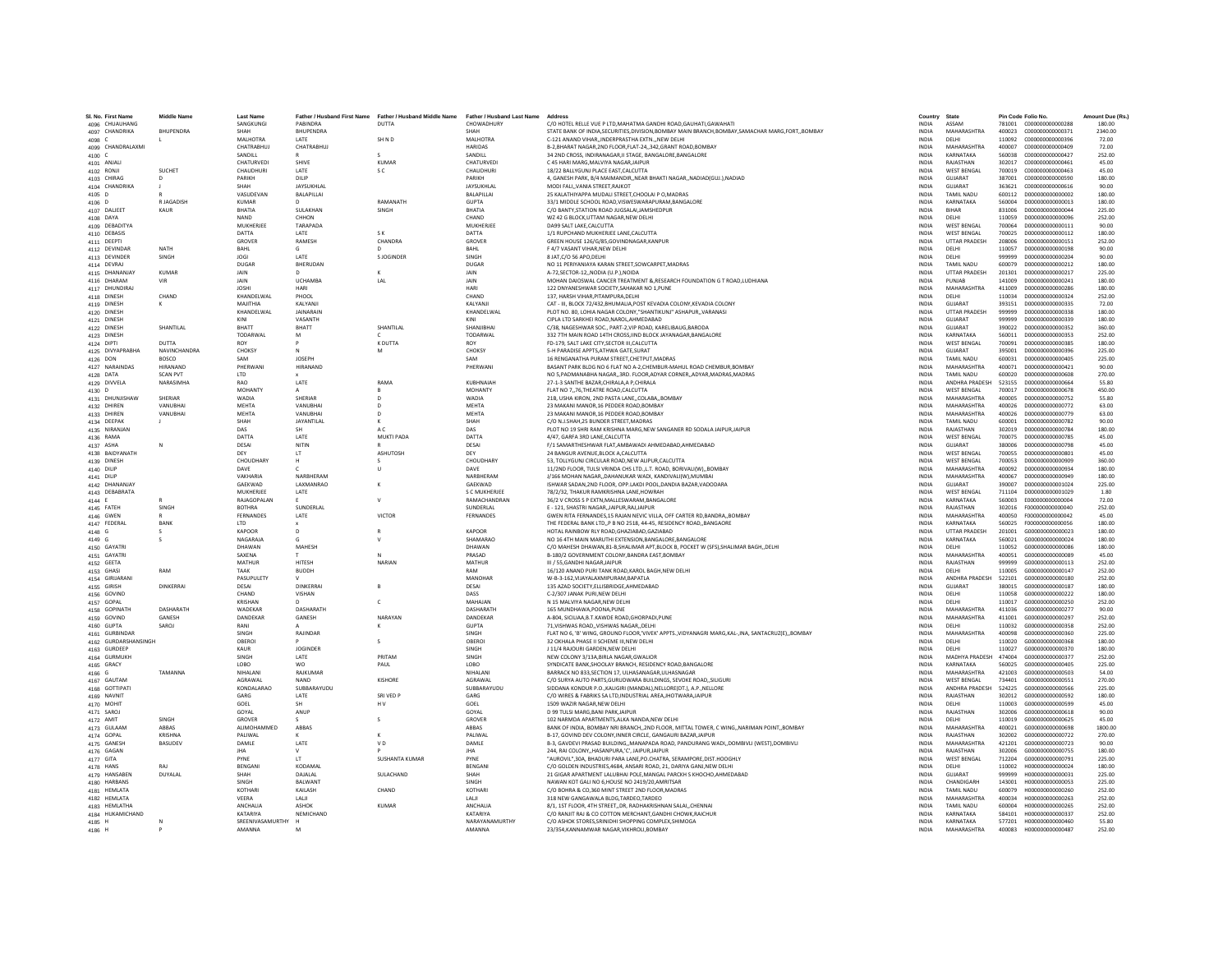| SL No. First Name                | <b>Middle Name</b>           | <b>Last Name</b>              |                                 | Father / Husband First Name Father / Husband Middle Name Father / Husband Last Name |                           | Address                                                                                                                                 | Country                      | State                                      | Pin Code Folio No.                                       | Amount Due (Rs.)  |
|----------------------------------|------------------------------|-------------------------------|---------------------------------|-------------------------------------------------------------------------------------|---------------------------|-----------------------------------------------------------------------------------------------------------------------------------------|------------------------------|--------------------------------------------|----------------------------------------------------------|-------------------|
| 4096 CHUAUHANG                   |                              | SANGKUNGI                     | PABINDRA                        | <b>DUTTA</b>                                                                        | CHOWADHURY                | C/O HOTEL RELLE VUE P LTD, MAHATMA GANDHI ROAD, GAUHATI, GAWAHATI                                                                       | <b>INDIA</b>                 | ASSAM                                      |                                                          | 180.00            |
| 4097 CHANDRIKA                   | RHUPENDRA                    | SHAH                          | <b>RHUPENDRA</b>                |                                                                                     | SHAH                      | STATE BANK OF INDIA SECURITIES DIVISION ROMBAY MAIN BRANCH BOMBAY SAMACHAR MARG FORT, BOMBAY                                            | <b>INDIA</b>                 | MAHARASHTRA                                |                                                          | 2340.00           |
| 4098 C                           |                              | MALHOTRA                      | LATE                            | SHND                                                                                | <b>MALHOTRA</b>           | C-121 ANAND VIHARINDERPRASTHA EXTNNEW DELHI                                                                                             | <b>INDIA</b>                 | DELHI<br>MAHARASHTRA                       | 110092<br>0000000000000396                               | 72.00             |
| 4099 CHANDRALAXMI<br>$4100$ C    |                              | CHATRABHUJ<br>SANDILL         | CHATRABHUJ                      |                                                                                     | <b>HARIDAS</b><br>SANDILL | B-2, BHARAT NAGAR, 2ND FLOOR, FLAT-24, 342, GRANT ROAD, BOMBAY<br>34 2ND CROSS, INDIRANAGAR.II STAGE, BANGALORE, BANGALORE              | INDIA<br><b>INDIA</b>        | KARNATAKA                                  | 400007<br>C000000000000409<br>560038<br>C000000000000427 | 72.00<br>252.00   |
| 4101 ANJALI                      |                              | CHATURVEDI                    | SHIVE                           | KUMAR                                                                               | CHATURVEDI                | C 45 HARI MARG.MALVIYA NAGAR.JAIPUR                                                                                                     | <b>INDIA</b>                 | RAJASTHAN                                  | 302017<br>C000000000000461                               | 45.00             |
| 4102 RONJI                       | <b>SUCHET</b>                | CHAUDHURI                     | <b>LATE</b>                     | SC                                                                                  | CHAUDHURI                 | 18/22 BALLYGUNI PLACE EAST CALCUTTA                                                                                                     | <b>INDIA</b>                 | <b>WEST RENGAL</b>                         | 700019<br>C000000000000463                               | 45.00             |
| 4103 CHIRAG                      | D                            | PARIKH                        | DILIP                           |                                                                                     | PARIKH                    | 4, GANESH PARK, B/4 MAIMANDIR, NEAR BHAKTI NAGAR, NADIAD(GUJ.), NADIAD                                                                  | INDIA                        | GUJARAT                                    | 387001<br>C000000000000590                               | 180.00            |
| 4104 CHANDRIKA                   |                              | SHAH<br>VASUDEVAN             | <b>JAYSUKHLAI</b><br>BALAPILLAI |                                                                                     | JAYSUKHLAI<br>BALAPILLAI  | MODI FALIVANIA STREET.RAJKOT<br>25 KALATHIYAPPA MUDALI STREET.CHOOLAI P O.MADRAS                                                        | <b>INDIA</b><br><b>INDIA</b> | GUJARAT<br><b>TAMIL NADU</b>               | 363621<br>C00000000000616<br>600112<br>D00000000000002   | 90.00<br>180.00   |
| 4105 D<br>4106 D                 | <b>RIAGADISH</b>             | KUMAR                         |                                 | RAMANATH                                                                            | <b>GUPTA</b>              | 33/1 MIDDLE SCHOOL ROAD VISWESWARAPURAM RANGALORE                                                                                       | <b>INDIA</b>                 | KARNATAKA                                  | 560004<br>0000000000000013                               | 180.00            |
| 4107 DALJEET                     | KAUR                         | RHATIA                        | SULAKHAN                        | SINGH                                                                               | BHATIA                    | C/O BANTY.STATION ROAD JUGSALAI JAMSHEDPUR                                                                                              | <b>INDIA</b>                 | <b>BIHAR</b>                               | 831006<br>0000000000000044                               | 225.00            |
| 4108 DAYA                        |                              | <b>NAND</b>                   | CHHON                           |                                                                                     | CHAND                     | WZ 42 G BLOCK,UTTAM NAGAR, NEW DELHI                                                                                                    | INDIA                        | DELHI                                      | 110059<br>D00000000000096                                | 252.00            |
| 4109 DEBADITYA                   |                              | MUKHERJEE                     | TARAPADA                        |                                                                                     | MUKHERJEE                 | DA99 SALT LAKE.CALCUTTA                                                                                                                 | <b>INDIA</b>                 | <b>WEST BENGAL</b>                         | 700064<br>D00000000000111                                | 90.00             |
| 4110 DEBASIS                     |                              | DATTA<br>GROVER               | LATE<br>RAMESH                  | S K<br>CHANDRA                                                                      | DATTA<br>GROVER           | 1/1 RUPCHAND MUKHERJEE LANE.CALCUTTA<br>GREEN HOUSE 126/G/85 GOVINDNAGAR KANPUR                                                         | <b>INDIA</b><br><b>INDIA</b> | <b>WEST BENGAL</b><br><b>UTTAR PRADESH</b> | D000000000000112<br>700025<br>208006<br>0000000000000151 | 180.00<br>252.00  |
| 4111 DEEPTI<br>4112 DEVINDAR     | NATH                         | BAHL                          | G                               |                                                                                     | BAHL                      | F 4/7 VASANT VIHAR.NEW DELHI                                                                                                            | INDIA                        | DELHI                                      | 110057<br>D000000000000198                               | 90.00             |
| 4113 DEVINDER                    | SINGH                        | <b>JOGI</b>                   | LATE                            | S JOGINDER                                                                          | SINGH                     | 8 JAT.C/O 56 APO.DELHI                                                                                                                  | <b>INDIA</b>                 | DELHI                                      | 999999<br>D00000000000204                                | 90.00             |
| 4114 DEVRAJ                      |                              | <b>DUGAR</b>                  | BHERUDAN                        |                                                                                     | DUGAR                     | NO 11 PERIYANIAYA KARAN STREET, SOWCARPET, MADRAS                                                                                       | <b>INDIA</b>                 | <b>TAMIL NADU</b>                          | 600079<br>D000000000000212                               | 180.00            |
| 4115 DHANANJAY                   | <b>KUMAR</b>                 | JAIN                          |                                 |                                                                                     | JAIN                      | A-72.SECTOR-12., NODIA (U.P.), NOIDA                                                                                                    | <b>INDIA</b>                 | <b>UTTAR PRADESH</b>                       | 201301<br>D00000000000217                                | 225.00            |
| 4116 DHARAM                      | <b>VIR</b>                   | <b>JAIN</b><br><b>JOSHI</b>   | <b>UCHAMBA</b><br><b>HARI</b>   | IAI                                                                                 | <b>JAIN</b><br>HARI       | MOHAN DAIOSWAL CANCER TREATMENT & RESEARCH FOUNDATION G T ROAD LUDHIANA<br>122 DNYANESHWAR SOCIETY, SAHAKAR NO 1, PUNE                  | <b>INDIA</b><br>INDIA        | PUNJAR<br>MAHARASHTRA                      | 141009<br>0000000000000241<br>411009<br>D00000000000286  | 180.00<br>180.00  |
| 4117 DHUNDIRAJ<br>4118 DINESH    | CHAND                        | KHANDELWAL                    | PHOOL                           |                                                                                     | CHAND                     | 137. HARSH VIHAR PITAMPURA DELHI                                                                                                        | <b>INDIA</b>                 | DELHI                                      | 110034<br>D000000000000324                               | 252.00            |
| 4119 DINESH                      | к                            | MAJITHIA                      | KALYANJI                        |                                                                                     | KALYANJI                  | CAT - III. BLOCK 72/432.BHUMALIA.POST KEVADIA COLONY.KEVADIA COLONY                                                                     | <b>INDIA</b>                 | GUJARAT                                    | 393151<br>D000000000000335                               | 72.00             |
| 4120 DINESH                      |                              | KHANDELWAL                    | <b>IAINARAIN</b>                |                                                                                     | KHANDELWAL                | PLOT NO. 80 LOHIA NAGAR COLONY "SHANTIKUNI" ASHAPUR, VARANASI                                                                           | <b>INDIA</b>                 | <b>UTTAR PRADESH</b>                       | 999999<br>0000000000000338                               | 180.00            |
| 4121 DINESH                      |                              | KINI                          | VASANTH                         |                                                                                     | KINI                      | CIPLA LTD SARKHEI ROAD, NAROL, AHMEDABAD                                                                                                | INDIA                        | GUJARAT                                    | 999999<br>D00000000000339                                | 180.00            |
| 4122 DINESH                      | SHANTILAL                    | BHATT<br>TODARWAL             | BHATT<br>M                      | SHANTILAL                                                                           | SHANJIBHAI<br>TODARWAL    | C/38. NAGESHWAR SOC., PART-2.VIP ROAD, KARELIBAUG.BARODA<br>332 7TH MAIN ROAD 14TH CROSS.IIND BLOCK JAYANAGAR.BANGALORE                 | <b>INDIA</b><br><b>INDIA</b> | GUJARAT<br>KARNATAKA                       | 390022<br>D00000000000352<br>560011<br>D000000000000353  | 360.00<br>252.00  |
| 4123 DINESH<br>4124 DIPTI        | DUTTA                        | ROY                           |                                 | K DUTTA                                                                             | ROY                       | FD-179. SALT LAKE CITY.SECTOR III.CALCUTTA                                                                                              | <b>INDIA</b>                 | <b>WEST BENGAL</b>                         | 700091<br>D000000000000385                               | 180.00            |
| 4125 DIVYAPRABHA                 | <b>NAVINCHANDRA</b>          | CHOKSY                        | $\mathbb N$                     | M                                                                                   | CHOKSY                    | 5-H PARADISE APPTS ATHWA GATE SURAT                                                                                                     | <b>INDIA</b>                 | GUIARAT                                    | 395001<br>000000000000396                                | 225.00            |
| 4126 DON                         | BOSCO                        | SAM                           | JOSEPH                          |                                                                                     | SAM                       | 16 RENGANATHA PURAM STREET, CHETPUT, MADRAS                                                                                             | INDIA                        | <b>TAMIL NADU</b>                          | 600031<br>D000000000000405                               | 225.00            |
| 4127 NARAINDAS                   | HIRANAND                     | PHERWAN                       | HIRANAND                        |                                                                                     | PHERWAN                   | BASANT PARK BLDG NO 6 FLAT NO A-2, CHEMBUR-MAHUL ROAD CHEMBUR, BOMBAY                                                                   | INDIA                        | <b>MAHARASHTRA</b>                         | 400071<br>D00000000000421                                | 90.00             |
| 4128 DATA                        | <b>SCAN PVT</b><br>NARASIMHA | LTD<br>RAO                    | <b>LATE</b>                     | RAMA                                                                                | KURHNAIAH                 | NO 5.PADMANABHA NAGAR3RD, FLOOR.ADYAR CORNERADYAR.MADRAS.MADRAS<br>27-1-3 SANTHE BAZAR CHIRALA A P CHIRALA                              | <b>INDIA</b><br><b>INDIA</b> | <b>TAMIL NADU</b><br><b>ANDHRA PRADESH</b> | 600020<br>D000000000000608<br>523155<br>0000000000000664 | 270.00<br>55.80   |
| 4129 DIVVELA<br>4130 D           |                              | MOHANTY                       |                                 |                                                                                     | MOHANTY                   | FLAT NO 7,,76, THEATRE ROAD, CALCUTTA                                                                                                   | INDIA                        | <b>WEST BENGAL</b>                         | 700017<br>D00000000000678                                | 450.00            |
| 4131 DHUNJISHAW                  | SHERIAR                      | WADIA                         | SHERIAF                         | D                                                                                   | <b>WADIA</b>              | 21B, USHA KIRON, 2ND PASTA LANECOLABABOMBAY                                                                                             | <b>INDIA</b>                 | <b>MAHARASHTRA</b>                         | 400005<br>D00000000000752                                | 55.80             |
| 4132 DHIREN                      | VANUBHAI                     | <b>MEHTA</b>                  | VANUBHAI                        | $\mathsf{D}$                                                                        | <b>MEHTA</b>              | 23 MAKANI MANOR.16 PEDDER ROAD.BOMBAY                                                                                                   | <b>INDIA</b>                 | MAHARASHTRA                                | 400026<br>D00000000000772                                | 63.00             |
| 4133 DHIREN                      | VANUBHAI                     | <b>MEHTA</b>                  | VANUBHAI                        | $\mathsf{D}$                                                                        | MEHTA                     | 23 MAKANI MANOR.16 PEDDER ROAD.BOMBAY                                                                                                   | <b>INDIA</b>                 | MAHARASHTRA                                | 400026<br>D00000000000779                                | 63.00             |
| 4134 DEEPAK                      |                              | SHAH                          | <b>JAYANTILAI</b>               | ĸ                                                                                   | SHAH                      | C/O N.J.SHAH.25 BUNDER STREET.MADRAS                                                                                                    | <b>INDIA</b>                 | <b>TAMIL NADLI</b>                         | 600001<br>0000000000000782                               | 90.00             |
| 4135 NIRANJAN<br>4136 RAMA       |                              | DAS<br>DATTA                  | LATE                            | AC<br>MUKTI PADA                                                                    | DAS<br>DATTA              | PLOT NO 19 SHRI RAM KRISHNA MARG, NEW SANGANER RD SODALA JAIPUR, JAIPUR<br>4/47, GARFA 3RD LANE, CALCUTTA                               | INDIA<br><b>INDIA</b>        | RAJASTHAN<br><b>WEST BENGAL</b>            | 302019<br>D000000000000784<br>700075<br>D00000000000785  | 180.00<br>45.00   |
| 4137 ASHA                        | N                            | DESAI                         | NITIN                           |                                                                                     | DESAI                     | F/1 SAMARTHESHWAR FLAT, AMBAWADI AHMEDABAD, AHMEDABAD                                                                                   | <b>INDIA</b>                 | GUJARAT                                    | 380006<br>D000000000000798                               | 45.00             |
| 4138 BAIDYANATH                  |                              | DFY                           | LT.                             | <b>ASHLITOSH</b>                                                                    | DFY                       | 24 BANGUR AVENUE BLOCK A CALCUTTA                                                                                                       | <b>INDIA</b>                 | <b>WEST RENGAL</b>                         | 700055<br>0000000000000801                               | 45.00             |
| 4139 DINESH                      |                              | CHOUDHARY                     |                                 |                                                                                     | CHOUDHARY                 | 53, TOLLYGUNJ CIRCULAR ROAD, NEW ALIPUR, CALCUTTA                                                                                       | INDIA                        | <b>WEST BENGAL</b>                         | 700053<br>D00000000000909                                | 360.00            |
| 4140 DILIP                       |                              | DAVE                          |                                 |                                                                                     | DAVE                      | 11/2ND FLOOR. TULSI VRINDA CHS LTD.,L.T. ROAD. BORIVALI(W)., BOMBAY                                                                     | <b>INDIA</b>                 | <b>MAHARASHTRA</b>                         | 400092<br>D00000000000934                                | 180.00            |
| 4141 DILIP                       |                              | VAKHARIA                      | NARBHERAN                       |                                                                                     | NARBHERAM                 | J/166 MOHAN NAGAR., DAHANUKAR WADI, KANDIVALI(W).MUMBAI                                                                                 | <b>INDIA</b>                 | MAHARASHTRA                                | 400067<br>D00000000000949                                | 180.00            |
| 4142 DHANANJAY<br>4143 DEBABRATA |                              | GAEKWAD<br>MUKHERIEF          | LAXMANRAO<br>LATE               | к                                                                                   | GAEKWAD<br>S C MUKHERIEF  | ISHWAR SADAN.2ND FLOOR, OPP.LAKDI POOL.DANDIA BAZAR.VADODARA<br>78/2/32 THAKUR RAMKRISHNA LANE HOWRAH                                   | <b>INDIA</b><br><b>INDIA</b> | GUJARAT<br><b>WEST RENGAL</b>              | 390007<br>D000000000001024<br>711104<br>0000000000001029 | 225.00<br>1.80    |
| 4144                             |                              | RAJAGOPALAN                   |                                 | v                                                                                   | RAMACHANDRAN              | 36/2 V CROSS S P EXTN, MALLESWARAM, BANGALORE                                                                                           | INDIA                        | KARNATAKA                                  | 560003<br>E000000000000004                               | 72.00             |
| 4145 FATEH                       | SINGH                        | <b>BOTHRA</b>                 | SUNDERLAL                       |                                                                                     | SUNDERLAL                 | E - 121. SHASTRI NAGAR. JAIPUR.RAJ.JAIPUR                                                                                               | INDIA                        | RAJASTHAN                                  | 302016<br>F000000000000040                               | 252.00            |
| 4146 GWEN                        |                              | FERNANDES                     | LATE                            | VICTOR                                                                              | FERNANDES                 | GWEN RITA FERNANDES.15 RAJAN NEVIC VILLA, OFF CARTER RD.BANDRABOMBAY                                                                    | <b>INDIA</b>                 | MAHARASHTRA                                | F000000000000042<br>400050                               | 45.00             |
| 4147 FEDERAL                     | RANK                         | <b>ITD</b>                    |                                 |                                                                                     |                           | THE FEDERAL BANK LTDP B NO 2518, 44-45, RESIDENCY ROADBANGAORE                                                                          | <b>INDIA</b>                 | KARNATAKA                                  | 560025<br>E000000000000056                               | 180.00            |
| 4148 G                           |                              | KAPOOR<br>NAGARAJA            |                                 |                                                                                     | KAPOOR<br>SHAMARAO        | HOTAL RAINBOW RLY ROAD, GHAZIABAD, GAZIABAD<br>NO 16 4TH MAIN MARUTHI EXTENSION, BANGALORE, BANGALORE                                   | <b>INDIA</b><br>INDIA        | <b>UTTAR PRADESH</b><br>KARNATAKA          | 201001<br>G000000000000023<br>560021<br>G000000000000024 | 180.00<br>180.00  |
| 4149 G<br>4150 GAYATRI           |                              | DHAWAN                        | MAHESH                          |                                                                                     | DHAWAN                    | C/O MAHESH DHAWAN, 81-B, SHALIMAR APT, BLOCK B, POCKET W (SFS), SHALIMAR BAGH, , DELHI                                                  | <b>INDIA</b>                 | DELHI                                      | 110052<br>G000000000000086                               | 180.00            |
| 4151 GAYATRI                     |                              | SAXENA                        |                                 |                                                                                     | PRASAD                    | B-180/2 GOVERNMENT COLONY.BANDRA EAST.BOMBAY                                                                                            | <b>INDIA</b>                 | MAHARASHTRA                                | 400051<br>G000000000000089                               | 45.00             |
| 4152 GEETA                       |                              | MATHUR                        | <b>HITESH</b>                   | NARIAN                                                                              | MATHUR                    | III / 55 GANDHI NAGAR JAIPUR                                                                                                            | <b>INDIA</b>                 | RAIASTHAN                                  | 999999<br>6000000000000113                               | 252.00            |
| 4153 GHASI                       | RAM                          | TAAK                          | <b>BUDDH</b>                    |                                                                                     | RAM                       | 16/120 ANAND PURI TANK ROAD, KAROL BAGH, NEW DELHI                                                                                      | INDIA                        | DELHI                                      | 110005<br>G000000000000147                               | 252.00            |
| 4154 GIRIJARANI                  |                              | PASUPULETY                    | DINKERRAI                       |                                                                                     | MANOHAI                   | W-B-3-162. VIJAYALAXMIPURAM. BAPATLA                                                                                                    | <b>INDIA</b>                 | ANDHRA PRADESH                             | 522101<br>G000000000000180                               | 252.00            |
| 4155 GIRISH<br>4156 GOVIND       | <b>DINKERRAI</b>             | DESAI<br>CHAND                | VISHAN                          | $\mathsf{R}$                                                                        | DESAI<br>DASS             | 135 AZAD SOCIETY.ELLISBRIDGE.AHMEDABAD<br>C-2/307 JANAK PURLNEW DELHI                                                                   | <b>INDIA</b><br><b>INDIA</b> | GUJARAT<br>DELHI                           | 380015<br>G000000000000187<br>110058<br>6000000000000222 | 180.00<br>180.00  |
| 4157 GOPAL                       |                              | KRISHAN                       |                                 | c                                                                                   | MAHAJAN                   | N 15 MALVIYA NAGAR, NEW DELHI                                                                                                           | INDIA                        | DELHI                                      | 110017<br>G000000000000250                               | 252.00            |
| 4158 GOPINATH                    | DASHARATH                    | WADEKAR                       | DASHARATH                       |                                                                                     | DASHARATH                 | 165 MUNDHAWA, POONA, PUNE                                                                                                               | INDIA                        | MAHARASHTRA                                | 411036<br>G00000000000277                                | 90.00             |
| 4159 GOVIND                      | GANESH                       | DANDEKAR                      | GANESH                          | NARAYAN                                                                             | DANDEKAR                  | A-804, SICILIAA.B.T.KAWDE ROAD.GHORPADI.PUNE                                                                                            | <b>INDIA</b>                 | MAHARASHTRA                                | 411001<br>G000000000000297                               | 252.00            |
| 4160 GUPTA<br>4161 GURBINDAR     | SAROJ                        | RANI<br><b>SINGH</b>          | RAIINDAR                        |                                                                                     | <b>GUPTA</b><br>SINGH     | 71.VISHWAS ROAD., VISHWAS NAGAR., DELHI<br>FLAT NO 6, 'B' WING, GROUND FLOOR, VIVEK' APPTS, VIDYANAGRI MARG.KAL-JNA, SANTACRUZ(E)BOMBAY | <b>INDIA</b><br><b>INDIA</b> | DELHI<br>MAHARASHTRA                       | 110032<br>G000000000000358<br>400098<br>6000000000000360 | 252.00<br>225.00  |
| 4162 GURDARSHANSINGH             |                              | OBEROI                        |                                 | s                                                                                   | OBEROI                    | 32 OKHALA PHASE II SCHEME III, NEW DELHI                                                                                                | INDIA                        | DELHI                                      | 110020<br>G000000000000368                               | 180.00            |
| 4163 GURDEEP                     |                              | KAUR                          | <b>JOGINDER</b>                 |                                                                                     | SINGH                     | J 11/4 RAJOURI GARDEN.NEW DELHI                                                                                                         | <b>INDIA</b>                 | DELHI                                      | 110027<br>G000000000000370                               | 180.00            |
| 4164 GURMUKH                     |                              | SINGH                         | LATE                            | PRITAM                                                                              | SINGH                     | NEW COLONY 3/13A.BIRLA NAGAR.GWALIOR                                                                                                    | <b>INDIA</b>                 | MADHYA PRADESH                             | 6000000000000377<br>474004                               | 252.00            |
| 4165 GRACY                       |                              | LORO                          | <b>WO</b>                       | PAUL                                                                                | <b>LORO</b>               | SYNDICATE RANK SHOOLAY RRANCH, RESIDENCY ROAD RANGALORE                                                                                 | <b>INDIA</b>                 | KARNATAKA                                  | 560025<br>6000000000000405                               | 225.00            |
| 4166 G<br>4167 GAUTAM            | <b>TAMANNA</b>               | NIHAI ANI<br>AGRAWAL          | RAIKUMAR<br><b>NAND</b>         | KISHORE                                                                             | NIHAI ANI<br>AGRAWAL      | BARRACK NO 833.SECTION 17. ULHASANAGAR.ULHASNAGAR<br>C/O SURYA AUTO PARTS, GURUDWARA BUILDINGS, SEVOKE ROAD, SILIGURI                   | <b>INDIA</b><br>INDIA        | MAHARASHTRA<br><b>WEST BENGAL</b>          | 421003<br>6000000000000503<br>734401<br>G000000000000551 | 54.00<br>270.00   |
| 4168 GOTTIPATI                   |                              | KONDALARAO                    | SUBBARAYUDU                     |                                                                                     | SUBBARAYUDU               | SIDDANA KONDUR P.O., KALIGIRI (MANDAL), NELLORE(DT.), A.P., NELLORE                                                                     | <b>INDIA</b>                 | ANDHRA PRADESH                             | 524225<br>G000000000000566                               | 225.00            |
| 4169 NAVNIT                      |                              | GARG                          | LATE                            | SRI VED P                                                                           | GARG                      | C/O WIRES & FABRIKS SA LTD.INDUSTRIAL AREA JHOTWARA JAIPUR                                                                              | <b>INDIA</b>                 | RAJASTHAN                                  | 302012<br>G000000000000592                               | 180.00            |
| 4170 MOHIT                       |                              | GOEL                          | SH                              | H <sub>V</sub>                                                                      | GOEL                      | 1509 WAZIR NAGAR NEW DELHI                                                                                                              | <b>INDIA</b>                 | DELHI                                      | 110003<br>6000000000000599                               | 45.00             |
| 4171 SAROJ                       |                              | GOYAL                         | ANUP                            |                                                                                     | GOYAL                     | D 99 TULSI MARG, BANI PARK, JAIPUR                                                                                                      | INDIA                        | RAJASTHAN                                  | 302006<br>G000000000000618                               | 90.00             |
| 4172 AMIT                        | SINGH                        | GROVER                        |                                 |                                                                                     | GROVER                    | 102 NARMDA APARTMENTS.ALKA NANDA.NEW DELHI<br>BANK OF INDIA, BOMBAY NRI BRANCH, 2ND FLOOR, MITTAL TOWER, C WING, NARIMAN POINT, BOMBAY  | <b>INDIA</b>                 | DELHI                                      | 110019<br>G00000000000625                                | 45.00             |
| 4173 GULAAM<br>4174 GOPAL        | ABBAS<br>KRISHNA             | ALIMOHAMMED<br><b>PALIWAL</b> | ABBAS                           | ĸ                                                                                   | ABBAS<br><b>PALIWAL</b>   | B-17, GOVIND DEV COLONY INNER CIRCLE, GANGALIRI BAZAR JAIPUR                                                                            | <b>INDIA</b><br><b>INDIA</b> | MAHARASHTRA<br>RAIASTHAN                   | 400021<br>G000000000000698<br>302002<br>6000000000000722 | 1800.00<br>270.00 |
| 4175 GANESH                      | <b>RASUDEV</b>               | DAMLE                         | <b>LATE</b>                     | V <sub>D</sub>                                                                      | <b>DAMIE</b>              | B-3. GAVDEVI PRASAD BUILDINGMANAPADA ROAD. PANDURANG WADIDOMBIVLI (WEST).DOMBIVLI                                                       | <b>INDIA</b>                 | MAHARASHTRA                                | 421201<br>6000000000000723                               | 90.00             |
| 4176 GAGAN                       |                              | <b>JHA</b>                    |                                 |                                                                                     | <b>JHA</b>                | 244, RAI COLONY, HASANPURA, 'C', JAIPUR, JAIPUR                                                                                         | INDIA                        | RAJASTHAN                                  | 302006<br>G00000000000755                                | 180.00            |
| 4177 GITA                        |                              | PYNE                          | LT.                             | <b>SUSHANTA KUMAR</b>                                                               | PYNE                      | "AUROVIL".30A, BHADURI PARA LANE, PO.CHATRA, SERAMPORE, DIST.HOOGHLY                                                                    | <b>INDIA</b>                 | <b>WEST BENGAL</b>                         | 712204<br>G000000000000791                               | 225.00            |
| 4178 HANS                        | RAI                          | BENGANI                       | KODAMAL                         |                                                                                     | BENGANI                   | C/O GOLDEN INDUSTRIES.4684, ANSARI ROAD, 21, DARIYA GANJ, NEW DELHI                                                                     | <b>INDIA</b>                 | DELHI                                      | 110002<br>H00000000000024                                | 180.00            |
| 4179 HANSABEN<br>4180 HARBANS    | <b>DUYALAL</b>               | SHAH<br>SINGH                 | DAIALAI<br>BALWANT              | <b>SULACHAND</b>                                                                    | SHAH<br>SINGH             | 21 GIGAR APARTMENT LALURHALPOLE MANGAL PARCKH S KHOCHO AHMEDARAD<br>NAWAN KOT GALI NO 6,HOUSE NO 2419/20,AMRITSAR                       | <b>INDIA</b><br>INDIA        | GUIARAT<br>CHANDIGARH                      | 999999<br>H000000000000031<br>143001<br>H00000000000053  | 225.00<br>225.00  |
| 4181 HEMLATA                     |                              | KOTHAR                        | KAILASH                         | CHAND                                                                               | KOTHARI                   | C/O BOHRA & CO.360 MINT STREET 2ND FLOOR, MADRAS                                                                                        | <b>INDIA</b>                 | <b>TAMIL NADU</b>                          | 600079<br>H00000000000260                                | 252.00            |
| 4182 HEMLATA                     |                              | VEERA                         | LALII                           |                                                                                     | LALI                      | 318 NEW GANGAWALA BLDG.TARDEO.TARDEO                                                                                                    | <b>INDIA</b>                 | MAHARASHTRA                                | H00000000000263<br>400034                                | 252.00            |
| 4183 HEMLATHA                    |                              | ANCHALIA                      | ASHOK                           | KUMAR                                                                               | <b>ANCHALIA</b>           | 8/1. 1ST FLOOR, 4TH STREET, DR. RADHAKRISHNAN SALAL CHENNAL                                                                             | <b>INDIA</b>                 | <b>TAMIL NADLI</b>                         | 600004<br>H000000000000265                               | 252.00            |
| 4184 HUKAMICHAND                 |                              | KATARIYA                      | NEMICHAND                       |                                                                                     | KATARIYA                  | C/O RANIIT RAL& CO COTTON MERCHANT GANDHI CHOWK RAICHUR                                                                                 | <b>INDIA</b>                 | KARNATAKA                                  | 584101 H000000000000337                                  | 252.00            |
| 4185 H                           |                              | SREENIVASAMURTHY<br>AMANNA    |                                 |                                                                                     | NARAYANAMURTHY<br>AMANNA  | C/O ASHOK STORES, SRINIDHI SHOPPING COMPLEX, SHIMOGA<br>23/354.KANNAMWAR NAGAR.VIKHROLI.BOMBAY                                          | INDIA<br><b>INDIA</b>        | KARNATAKA<br>MAHARASHTRA                   | 577201<br>H00000000000460<br>400083 H000000000000487     | 55.80<br>252.00   |
| 4186 H                           |                              |                               |                                 |                                                                                     |                           |                                                                                                                                         |                              |                                            |                                                          |                   |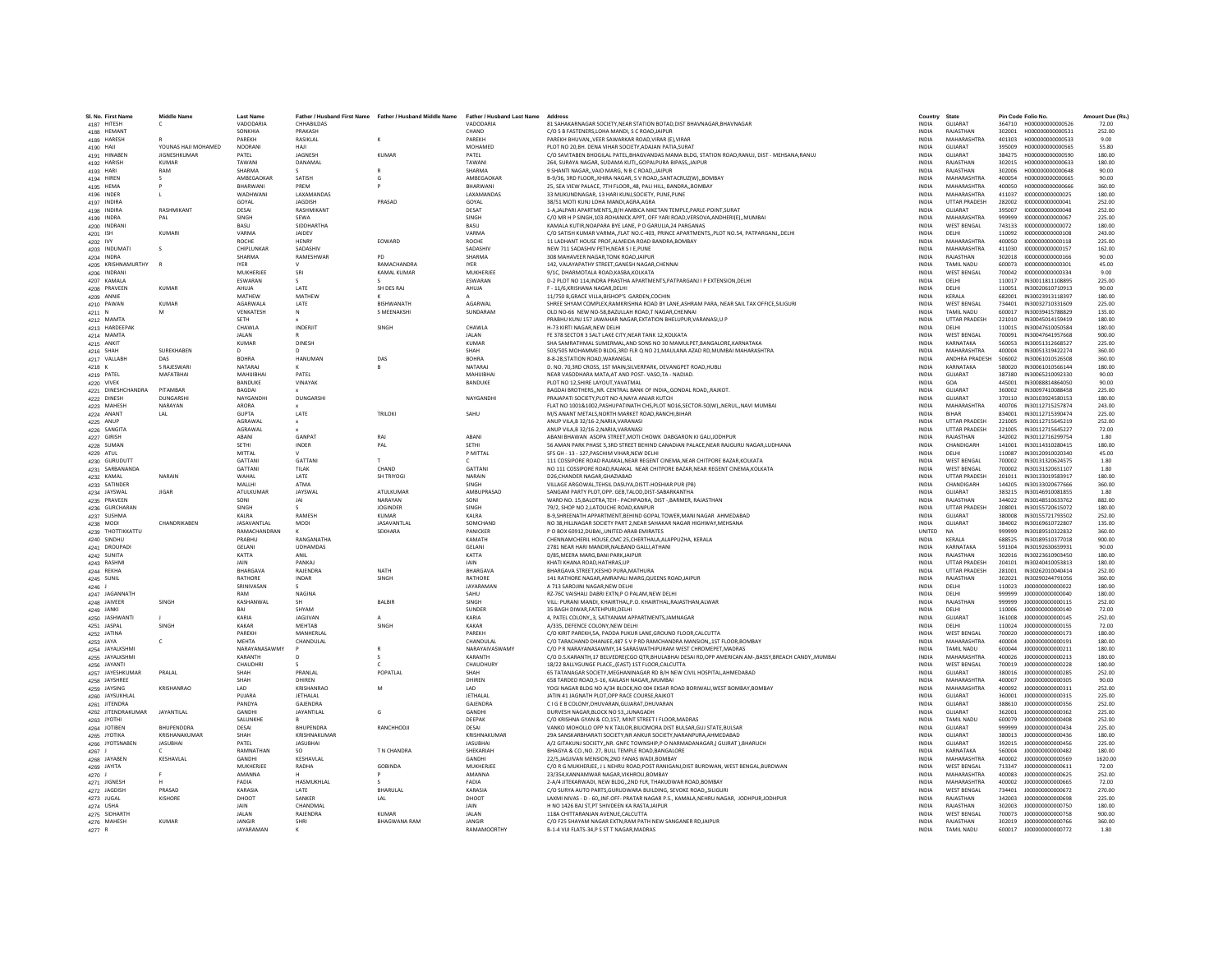| SI, No. First Name               | Middle Name         | <b>Last Name</b>     |                       | Father / Husband First Name Father / Husband Middle Name | Father / Husband Last Name | Address                                                                                                                  | Country                      | State                       |                  | Pin Code Folio No                    | Amount Due (Rs. |
|----------------------------------|---------------------|----------------------|-----------------------|----------------------------------------------------------|----------------------------|--------------------------------------------------------------------------------------------------------------------------|------------------------------|-----------------------------|------------------|--------------------------------------|-----------------|
| 4187 HITESH                      |                     | VADODARIA<br>SONKHIA | CHHABILDAS<br>PRAKASH |                                                          | VADODARIA                  | 81 SAHAKARNAGAR SOCIETY, NEAR STATION BOTAD, DIST BHAVNAGAR, BHAVNAGAR<br>C/O S B FASTENERS.LOHA MANDI, S C ROAD, JAIPUR | <b>INDIA</b>                 | <b>GUJARA1</b><br>RAIASTHAN | 364710<br>302001 | H000000000000526<br>H000000000000531 | 72.00<br>252.00 |
| 4188 HEMANT                      |                     |                      |                       |                                                          | CHAND                      |                                                                                                                          | <b>INDIA</b>                 |                             |                  |                                      |                 |
| 4189 HARESH                      |                     | PARFKH               | RASIKLAL              | $\kappa$                                                 | <b>PARFKH</b>              | PAREKH BHUVANVEER SAWARKAR ROAD.VIRAR (E).VIRAR                                                                          | <b>INDIA</b>                 | MAHARASHTRA                 | 401303           | H000000000000533                     | 9.00            |
| 4190 HAJI                        | YOUNAS HAILMOHAMED  | <b>NOORAN</b>        | HAII                  |                                                          | MOHAMED                    | PLOT NO 20, BH. DENA VIHAR SOCIETY, ADAJAN PATIA, SURAT                                                                  | <b>INDIA</b>                 | GUIARAT                     | 395009           | H000000000000565                     | 55.80           |
| 4191 HINABEN                     | <b>JIGNESHKUMAR</b> | PATEL                | JAGNESH               | <b>KUMAR</b>                                             | PATEI                      | C/O SAVITABEN BHOGILAL PATEL, BHAGVANDAS MAMA BLDG, STATION ROAD, RANUJ, DIST - MEHSANA, RANUJ                           | INDIA                        | GUJARAT                     | 384275           | H000000000000590                     | 180.00          |
| 4192 HARISH                      | <b>KUMAR</b>        | TAWANI               | DANAMAL               |                                                          | TAWANI                     | 264. SURAYA NAGAR, SUDAMA KUTI., GOPALPURA BIPASS, JAIPUR                                                                | <b>INDIA</b>                 | RAIASTHAN                   | 302015           | H000000000000633                     | 180.00          |
| 4193 HARI                        | RAM                 | SHARMA               |                       |                                                          | SHARMA                     | 9 SHANTI NAGAR, VAID MARG, N R C ROAD, JAIPUR                                                                            | <b>INDIA</b>                 | RAIASTHAN                   | 302006           | H000000000000648                     | 90.00           |
| 4194 HIREN                       |                     | AMBEGAOKAR           | SATISH                |                                                          | AMBEGAOKAF                 | B-9/36, 3RD FLOOR, KHIRA NAGAR, S V ROAD, SANTACRUZ(W), BOMBAY                                                           | <b>INDIA</b>                 | MAHARASHTRA                 | 400054           | H000000000000665                     | 90.00           |
| 4195 HEMA                        |                     | BHARWAN              | PREM                  |                                                          | BHARWAN                    | 25. SEA VIEW PALACE, 7TH FLOOR, 48, PALI HILL, BANDRA, BOMBAY                                                            | <b>INDIA</b>                 | MAHARASHTRA                 | 400050           | H00000000000666                      | 360.00          |
| 4196 INDER                       |                     | WADHWAN              | LAXAMANDAS            |                                                          | LAXAMANDAS                 | 33 MUKUNDNAGAR, 13 HARI KUNJ.SOCIETY, PUNE, PUNE                                                                         | <b>INDIA</b>                 | MAHARASHTRA                 | 411037           | 1000000000000025                     | 180.00          |
| 4197 INDIRA                      |                     | GOYAL                | <b>IAGDISH</b>        | PRASAD                                                   | GOYAL                      | 38/51 MOTI KUNJ LOHA MANDI AGRA AGRA                                                                                     | <b>INDIA</b>                 | <b>UTTAR PRADESH</b>        | 282002           | 1000000000000041                     | 252.00          |
| 4198 INDIRA                      | <b>RASHMIKANT</b>   | DESAI                | <b>RASHMIKAN</b>      |                                                          | <b>DESAT</b>               | 1-A JALPARI APARTMENTSB/H AMBICA NIKETAN TEMPLE.PARLE-POINT.SURAT                                                        | <b>INDIA</b>                 | GUJARAT                     | 395007           | 1000000000000048                     | 252.00          |
| 4199 INDRA                       | PAL                 | SINGH                | SEWA                  |                                                          | SINGH                      | C/O MR H P SINGH, 103-ROHANICK APPT, OFF YARI ROAD, VERSOVA, ANDHERI(E),, MUMBAI                                         | <b>INDIA</b>                 | <b>MAHARASHTRA</b>          | 999999           | 1000000000000067                     | 225.00          |
| 4200 INDRAN                      |                     | <b>BASU</b>          | SIDDHARTHA            |                                                          | <b>BASU</b>                | KAMALA KUTIR.NOAPARA BYE LANE. P O GARULIA.24 PARGANAS                                                                   | <b>INDIA</b>                 | <b>WEST BENGAL</b>          | 743133           | 1000000000000072                     | 180.00          |
| 4201 ISH                         | KUMARI              | VARMA                | JAIDEV                |                                                          | <b>VARMA</b>               | C/O SATISH KUMAR VARMA,,FLAT NO.C-403, PRINCE APARTMENTS,,PLOT NO.54, PATPARGANJ,,DELHI                                  | <b>INDIA</b>                 | DELHI                       | 110092           | 1000000000000108                     | 243.00          |
| 4202 IVY                         |                     | <b>ROCHE</b>         | HENRY                 | EOWARD                                                   | <b>ROCHE</b>               | 11 LADHANT HOUSE PROF, ALMEIDA ROAD BANDRA, BOMBAY                                                                       | INDIA                        | MAHARASHTRA                 | 400050           | 1000000000000118                     | 225.00          |
| 4203 INDUMATI                    |                     | CHIPLUNKAR           | SADASHIV              |                                                          | SADASHIV                   | NEW 711 SADASHIV PETH, NEAR S I E.PUNE                                                                                   | <b>INDIA</b>                 | MAHARASHTRA                 | 411030           | 1000000000000157                     | 162.00          |
| 4204 INDRA                       |                     | SHARMA               | RAMESHWAR             | PD                                                       | SHARMA                     | 308 MAHAVEER NAGAR TONK ROAD JAIPUR                                                                                      | <b>INDIA</b>                 | RAJASTHAN                   | 302018           | 1000000000000166                     | 90.00           |
| 4205 KRISHNAMURTHY               |                     | <b>IYER</b>          |                       | RAMACHANDRA                                              | <b>IYER</b>                | 142, VALAYAPATHY STREET, GANESH NAGAR, CHENNAI                                                                           | <b>INDIA</b>                 | TAMII NADLI                 | 600073           | 1000000000000301                     | 45.00           |
| 4206 INDRANI                     |                     | MUKHERJE             | SRI                   | KAMAL KUMAR                                              | <b>MUKHERJEI</b>           | 9/1C, DHARMOTALA ROAD, KASBA, KOLKATA                                                                                    | INDIA                        | <b>WEST BENGAL</b>          | 700042           | 1000000000000334                     | 9.00            |
| 4207 KAMALA                      |                     | ESWARAN              |                       |                                                          | ESWARAN                    | D-2 PLOT NO 114, INDRA PRASTHA APARTMENTS, PATPARGANJ I P EXTENSION, DELHI                                               | INDIA                        | DELHI                       | 110017           | IN30011811108895                     | 225.00          |
| 4208 PRAVEEN                     | KUMAR               | AHUIA                | <b>IATF</b>           | SH DES RAJ                                               | AHUIA                      | F - 11/6 KRISHANA NAGAR DELHI                                                                                            | <b>INDIA</b>                 | <b>DELHI</b>                | 110051           | IN30020610710913                     | 90.00           |
| 4209 ANNIE                       |                     | MATHEW               | MATHEW                |                                                          |                            | 11/750 B, GRACE VILLA, BISHOP'S GARDEN, COCHIN                                                                           | <b>INDIA</b>                 | <b>KFRALA</b>               | 682001           | IN30023913118397                     | 180.00          |
| 4210 PAWAN                       | <b>KUMAF</b>        | AGARWAL              | LATE                  | BISHWANATH                                               | AGARWAI                    | SHREE SHYAM COMPLEX, RAMKRISHNA ROAD BY LANE, ASHRAM PARA, NEAR SAIL TAX OFFICE, SILIGURI                                | <b>INDIA</b>                 | <b>WEST BENGAL</b>          | 734401           | IN30032710331609                     | 225.00          |
| 4211 N                           |                     | VENKATESH            | N                     | S MEENAKSHI                                              | SUNDARAM                   | OLD NO-66 NEW NO-58, BAZULLAH ROAD, T NAGAR, CHENNAI                                                                     | <b>INDIA</b>                 | TAMIL NADLI                 | 600017           | IN30039415788829                     | 135.00          |
| 4212 MAMTA                       |                     | SFTH                 |                       |                                                          |                            | PRABHU KUNJ 157 JAWAHAR NAGAR, EXTATION BHELUPUR, VARANASI, U P                                                          | <b>INDIA</b>                 | <b>UTTAR PRADESH</b>        | 221010           | IN30045014159419                     | 180.00          |
| 4213 HARDEEPAK                   |                     | CHAWLA               | <b>INDERIIT</b>       | SINGH                                                    | CHAWLA                     | H-73 KIRTI NAGAR.NEW DELHI                                                                                               | <b>INDIA</b>                 | DELHI                       | 110015           | IN30047610050584                     | 180.00          |
| 4214 MAMTA                       |                     | <b>JALAN</b>         |                       |                                                          | <b>JALAN</b>               | FE 378 SECTOR 3 SALT LAKE CITY, NEAR TANK 12, KOLKATA                                                                    | INDIA                        | <b>WEST BENGAL</b>          | 700091           | IN30047641957668                     | 900.00          |
| 4215 ANKIT                       |                     | <b>KUMAR</b>         | DINESH                |                                                          | <b>KUMAR</b>               | SHA SAMRATHMAL SUMERMAL AND SONS NO 30 MAMULPET BANGALORE KARNATAKA                                                      | <b>INDIA</b>                 | KARNATAKA                   | 560053           | IN30051312668527                     | 225.00          |
| 4216 SHAH                        | <b>SURFKHARFN</b>   | $\Omega$             | D                     |                                                          | SHAH                       | 503/505 MOHAMMED BLDG.3RD FLR Q NO 21.MAULANA AZAD RD.MUMBAI MAHARASHTRA                                                 | <b>INDIA</b>                 | MAHARASHTRA                 | 400004           | IN30051319422274                     | 360.00          |
| 4217 VALLABI                     | DAS                 | <b>BOHRA</b>         | HANUMAN               | DAS                                                      | <b>BOHRA</b>               | 8-8-28.STATION ROAD.WARANGAL                                                                                             | INDIA                        | ANDHRA PRADESH              | 506002           | IN30061010526508                     | 360.00          |
| 4218 K                           | S RAJESWARI         | NATARAJ              |                       |                                                          | NATARAL                    | D. NO. 70,3RD CROSS, 1ST MAIN, SILVERPARK, DEVANGPET ROAD, HUBLI                                                         | <b>INDIA</b>                 | KARNATAKA                   | 580020           | IN30061010566144                     | 180.00          |
| 4219 PATEL                       | MAFATBHAI           | MAHUIBHAI            | PATEL                 |                                                          | MAHIJIBHA                  | NEAR VASODHARA MATA AT AND POST- VASO TA - NADIAD.                                                                       | <b>INDIA</b>                 | <b>GUJARAT</b>              | 387380           | IN30065210092330                     | 90.00           |
| 4220 VIVEK                       |                     | <b>BANDUKE</b>       | VINAYAK               |                                                          | BANDUKE                    | PLOT NO 12.SHIRE LAYOUT.YAVATMAL                                                                                         | <b>INDIA</b>                 | GOA                         | 445001           | IN30088814864050                     | 90.00           |
| 4221 DINESHCHANDRA               | PITAMBAR            | BAGDAI               |                       |                                                          |                            | BAGDAI BROTHERSNR. CENTRAL BANK OF INDIAGONDAL ROADRAJKOT                                                                | <b>INDIA</b>                 | GUJARAT                     | 360002           | IN30097410088458                     | 225.00          |
| 4222 DINESH                      | DUNGARSH            | NAYGANDH             | DUNGARSHI             |                                                          | NAYGANDHI                  | PRAJAPATI SOCIETY, PLOT NO 4, NAYA ANJAR KUTCH                                                                           | <b>INDIA</b>                 | <b>GUJARAT</b>              | 370110           | IN30103924580153                     | 180.00          |
| 4223 MAHESH                      | NARAYAN             | ARORA                |                       |                                                          |                            | FLAT NO 1001&1002, PASHUPATINATH CHS, PLOT NO16, SECTOR-50(W),, NERUL,, NAVI MUMBAI                                      | <b>INDIA</b>                 | MAHARASHTRA                 | 400706           | IN30112715257874                     | 243.00          |
| 4224 ANANT                       | LAL                 | <b>GUPTA</b>         | LATE                  | <b>TRILOKI</b>                                           | SAHU                       | M/S ANANT METALS, NORTH MARKET ROAD, RANCHI, BIHAR                                                                       | <b>INDIA</b>                 | RIHAR                       | 834001           | IN30112715390474                     | 225.00          |
| 4225 ANUP                        |                     | AGRAWA               |                       |                                                          |                            | ANUP VILA, B 32/16-2, NARIA, VARANASI                                                                                    | INDIA                        | <b>UTTAR PRADESH</b>        | 221005           | IN30112715645219                     | 252.00          |
| 4226 SANGITA                     |                     | AGRAWAI              |                       |                                                          |                            | ANUP VILA.B 32/16-2.NARIA.VARANASI                                                                                       | <b>INDIA</b>                 | <b>UTTAR PRADESH</b>        | 221005           | IN30112715645227                     | 72.00           |
| 4227 GIRISH                      |                     | ABANI                | <b>GANPAT</b>         | RAJ                                                      | ABANI                      | ABANI BHAWAN ASOPA STREET.MOTI CHOWK DABGARON KI GALIJODHPUR                                                             | <b>INDIA</b>                 | RAJASTHAN                   | 342002           | IN30112716299754                     | 1.80            |
| 4228 SUMAN                       |                     | SETHI                | INDER                 | PAI                                                      | SETHI                      | 56 AMAN PARK PHASE 5,3RD STREET BEHIND CANADIAN PALACE, NEAR RAJGURU NAGAR, LUDHIANA                                     | <b>INDIA</b>                 | CHANDIGARH                  | 141001           | IN30114310280415                     | 180.00          |
| 4229 ATUL                        |                     | MITTAL               |                       |                                                          | P MITTAL                   | SFS GH - 13 - 127, PASCHIM VIHAR, NEW DELHI                                                                              | INDIA                        | DELHI                       | 110087           | IN30120910020340                     | 45.00           |
|                                  |                     | GATTAN               | GATTANI               |                                                          |                            | 111 COSSIPORE ROAD RAJAKAL NEAR REGENT CINEMA.NEAR CHITPORE BAZAR.KOLKATA                                                |                              | <b>WEST BENGAL</b>          |                  | IN30131320624575                     | 1.80            |
| 4230 GURUDUTT<br>4231 SARBANANDA |                     | GATTAN               | TII AK                | CHAND                                                    | <b>GATTANI</b>             | NO 111 COSSIPORE ROAD.RAJAKAL NEAR CHITPORE BAZAR.NEAR REGENT CINEMA.KOLKATA                                             | <b>INDIA</b><br><b>INDIA</b> | <b>WEST RENGAL</b>          | 700002<br>700002 | IN30131320651107                     | 1.80            |
|                                  | NARAIN              | WAHAL                | LATE                  | SH TRIYOGI                                               | <b>NARAIN</b>              | D26.CHANDER NAGAR.GHAZIABAD                                                                                              | <b>INDIA</b>                 | <b>UTTAR PRADESH</b>        | 201011           | IN30133019583917                     | 180.00          |
| 4232 KAMAL                       |                     | MALLHI               | ATMA                  |                                                          | SINGH                      | VILLAGE ARGOWAL.TEHSIL DASUYA.DISTT-HOSHIAR PUR (PB)                                                                     | <b>INDIA</b>                 | CHANDIGARH                  | 144205           | IN30133020677666                     | 360.00          |
| 4233 SATINDER                    | <b>IIGAR</b>        | ATULKUMAR            | JAYSWAL               | ATULKUMAR                                                | AMBUPRASAD                 | SANGAM PARTY PLOT.OPP, GEB.TALOD.DIST-SABARKANTHA                                                                        |                              | <b>GUIARAT</b>              | 383215           | IN30146910081855                     | 1.80            |
| 4234 JAYSWAL                     |                     |                      |                       |                                                          |                            |                                                                                                                          | <b>INDIA</b>                 |                             |                  |                                      |                 |
| 4235 PRAVEEN                     |                     | SONI                 | <b>IAI</b>            | NARAYAN                                                  | SONI                       | WARD NO. 15.BALOTRA.TEH - PACHPADRA, DIST - BARMER, RAJASTHAN                                                            | <b>INDIA</b>                 | RAIASTHAN                   | 344022           | IN30148510633762                     | 882.00          |
| 4236 GURCHARAI                   |                     | SINGH                | $\epsilon$            | <b>JOGINDER</b>                                          | SINGH                      | 79/2, SHOP NO 2,LATOUCHE ROAD, KANPUR                                                                                    | <b>INDIA</b>                 | <b>UTTAR PRADESH</b>        | 208001           | IN30155720615072                     | 180.00          |
| 4237 SUSHMA                      |                     | KALRA                | RAMESH                | <b>KUMAR</b>                                             | KALRA                      | B-9, SHREENATH APPARTMENT, BEHIND GOPAL TOWER, MANI NAGAR AHMEDABAD                                                      | INDIA                        | GUJARAT                     | 380008           | IN30155721793502                     | 252.00          |
| 4238 MODI                        | CHANDRIKAREN        | JASAVANTLAL          | <b>MODI</b>           | JASAVANTLAL                                              | SOMCHAND                   | NO 38. HILLNAGAR SOCIETY PART 2. NEAR SAHAKAR NAGAR HIGHWAY. MEHSANA                                                     | <b>INDIA</b>                 | <b>GUJARAT</b>              | 384002           | IN30169610722807                     | 135.00          |
| 4239 THOTTIKKATTU                |                     | RAMACHANDRAN         |                       | SEKHARA                                                  | <b>PANICKER</b>            | P O BOX 60912.DUBAI., UNITED ARAB EMIRATES                                                                               | <b>UNITED</b>                | NA.                         | 999999           | IN30189510322832                     | 360.00          |
| 4240 SINDHL                      |                     | PRABHU               | <b>RANGANATHA</b>     |                                                          | KAMATH                     | CHENNAMCHERIL HOUSE, CMC 25, CHERTHALA, ALAPPUZHA, KERALA                                                                | INDIA                        | KERALA                      | 688525           | IN30189510377018                     | 900.00          |
| 4241 DROUPADI                    |                     | <b>GELANI</b>        | <b>UDHAMDAS</b>       |                                                          | <b>GELAN</b>               | 2781 NEAR HARI MANDIR NALBAND GALLI ATHANI                                                                               | <b>INDIA</b>                 | KARNATAKA                   | 591304           | IN30192630659931                     | 90.00           |
| 4242 SUNITA                      |                     | KATTA                | ANIL                  |                                                          | KATTA                      | D/85.MEERA MARG.BANI PARK.JAIPUR                                                                                         | <b>INDIA</b>                 | RAJASTHAN                   | 302016           | IN30223610903450                     | 180.00          |
| 4243 RASHMI                      |                     | <b>JAIN</b>          | PANKAL                |                                                          | <b>JAIN</b>                | KHATI KHANA ROAD.HATHRAS.UP                                                                                              | <b>INDIA</b>                 | <b>UTTAR PRADESH</b>        | 204101           | IN30240410053813                     | 180.00          |
| 4244 REKHA                       |                     | <b>BHARGAVA</b>      | <b>RAJENDRA</b>       | NATH                                                     | BHARGAVA                   | BHARGAVA STREET.KESHO PURA.MATHURA                                                                                       | <b>INDIA</b>                 | <b>UTTAR PRADESH</b>        | 281001           | IN30262010040414                     | 252.00          |
| 4245 SUNIL                       |                     | RATHORE              | INDAR                 | SINGH                                                    | RATHORE                    | 141 RATHORE NAGAR, AMRAPALI MARG, QUEENS ROAD, JAIPUR                                                                    | INDIA                        | RAJASTHAN                   | 302021           | IN30290244791056                     | 360.00          |
| 4246 J                           |                     | SRINIVASAN           |                       |                                                          | <b>IAYARAMAN</b>           | A 713 SAROJINI NAGAR NEW DELHI                                                                                           | <b>INDIA</b>                 | <b>DELHI</b>                | 110023           | 1000000000000022                     | 180.00          |
| 4247 JAGANNATH                   |                     | RAM                  | NAGINA                |                                                          | SAHU                       | RZ-76C VAISHALI DABRI EXTN,P O PALAM,NEW DELHI                                                                           | <b>INDIA</b>                 | DELHI                       | 999999           | J00000000000040                      | 180.00          |
| 4248 JAIVEER                     | SINGH               | KASHANWAL            |                       | <b>BALBIF</b>                                            | SINGH                      | VILL: PURANI MANDI, KHAIRTHAL, P.O. KHAIRTHAL, RAJASTHAN, ALWAR                                                          | <b>INDIA</b>                 | RAJASTHAN                   | 999999           | J000000000000115                     | 252.00          |
| 4249 JANKI                       |                     | RAI                  | SHYAM                 |                                                          | SUNDER                     | 35 BAGH DIWAR.FATEHPURI.DELHI                                                                                            | <b>INDIA</b>                 | DELHI                       | 110006           | 1000000000000140                     | 72.00           |
| 4250 JASHWANT                    |                     | KARIA                | <b>JAGJIVAN</b>       |                                                          | KARIA                      | 4, PATEL COLONY, 3, SATYANAM APPARTMENTS, JAMNAGAR                                                                       | <b>INDIA</b>                 | GUJARAT                     | 361008           | J000000000000145                     | 252.00          |
| 4251 JASPA                       | SINGH               | KAKAR                | <b>MFHTAR</b>         | <b>SINGH</b>                                             | KAKAR                      | A/335, DEFENCE COLONY, NEW DELHI                                                                                         | <b>INDIA</b>                 | DELHI                       | 110024           | J00000000000155                      | 72.00           |
| 4252 JATINA                      |                     | PAREKH               | MANHERLA              |                                                          | PAREKH                     | C/O KIRIT PAREKH, SA, PADDA PUKUR LANE, GROUND FLOOR, CALCUTTA                                                           | INDIA                        | <b>WEST BENGAL</b>          | 700020           | J00000000000173                      | 180.00          |
| 4253 JAYA                        | c.                  | <b>MEHTA</b>         | CHANDULAL             |                                                          | CHANDULAL                  | C/O TARACHAND DHANJEE.487 S V P RD RAMCHANDRA MANSION1ST FLOOR.BOMBAY                                                    | <b>INDIA</b>                 | MAHARASHTRA                 | 400004           | J000000000000191                     | 180.00          |
| 4254 JAYALKSHM                   |                     | NARAYANASAWMY        |                       | $\mathbb{R}$                                             | NARAYAIVASWAMY             | C/O P R NARAYANASAWMY 14 SARASWATHIPURAM WEST CHROMEPET MADRAS                                                           | <b>INDIA</b>                 | TAMII NADLI                 | 600044           | 1000000000000211                     | 180.00          |
| 4255 JAYALKSHM                   |                     | KARANTH              | D                     |                                                          | KARANTH                    | C/O D.S.KARANTH,17 BELVEDRE(CGO QTR,BHULABHAI DESAI RD,OPP AMERICAN AM-,BASSY,BREACH CANDY,,MUMBAI                       | INDIA                        | MAHARASHTRA                 | 400026           | J00000000000213                      | 180.00          |
| 4256 JAYANTI                     |                     | CHAUDHR              |                       |                                                          | CHAUDHURY                  | 18/22 BALLYGUNGE PLACE,,(EAST) 1ST FLOOR,CALCUTTA                                                                        | <b>INDIA</b>                 | <b>WEST BENGAL</b>          | 700019           | J00000000000228                      | 180.00          |
| 4257 JAYESHKUMAR                 | PRAI AI             | SHAH                 | PRANI AI              | POPATLAL                                                 | <b>SHAH</b>                | 65 TATANAGAR SOCIETY, MEGHANINAGAR RD B/H NEW CIVIL HOSPITAL, AHMEDABAD                                                  | <b>INDIA</b>                 | <b>GUIARAT</b>              | 380016           | 1000000000000285                     | 252.00          |
| 4258 JAYSHREE                    |                     | SHAH                 | DHIRFN                |                                                          | DHIRFN                     | 658 TARDEO ROAD.5-16, KAILASH NAGAR., MUMBAI                                                                             | <b>INDIA</b>                 | MAHARASHTRA                 | 400007           | 1000000000000305                     | 90.00           |
| 4259 JAYSING                     | KRISHANRAO          | LAD                  | KRISHANRAO            | M                                                        | LAD                        | YOGI NAGAR BLDG NO A/34 BLOCK, NO 004 EKSAR ROAD BORIWALI, WEST BOMBAY, BOMBAY                                           | <b>INDIA</b>                 | MAHARASHTRA                 | 400092           | J000000000000311                     | 252.00          |
| 4260 JAYSUKHLAL                  |                     | PUJARA               | JETHALAL              |                                                          | <b>JETHALAI</b>            | JATIN 41 JAGNATH PLOT, OPP RACE COURSE, RAJKOT                                                                           | <b>INDIA</b>                 | GUJARAT                     | 360001           | J000000000000315                     | 225.00          |
| 4261 JITENDRA                    |                     | PANDYA               | GAJENDRA              |                                                          | <b>GAJENDRA</b>            | C I G E B COLONY.DHUVARAN.GUJARAT.DHUVARAN                                                                               | <b>INDIA</b>                 | GUJARAT                     | 388610           | J000000000000356                     | 252.00          |
| 4262 JITENDRAKUMAR               | <b>JAYANTILAL</b>   | GANDHI               | JAYANTILAL            | $\mathsf{G}$                                             | GANDHI                     | DURVESH NAGAR, BLOCK NO 53, JUNAGADH                                                                                     | <b>INDIA</b>                 | <b>GUJARAT</b>              | 362001           | 1000000000000362                     | 225.00          |
| 4263 JYOTH                       |                     | SALUNKHE             |                       |                                                          | DEEPAK                     | C/O KRISHNA GYAN & CO,157, MINT STREET I FLOOR, MADRAS                                                                   | INDIA                        | TAMIL NADU                  | 600079           | J000000000000408                     | 252.00          |
| 4264 JOTIBEN                     | RHUPENDDRA          | DESAI                | <b>BHUPENDRA</b>      | RANCHHODJI                                               | DESAI                      | VANKO MOHOLLO OPP N K TAILOR BILIOMORA DIST BULSAR GUJ STATE BULSAR                                                      | <b>INDIA</b>                 | GUJARAT                     | 999999           | J000000000000434                     | 225.00          |
| 4265 JYOTIKA                     | KRISHANAKUMAR       | SHAH                 | KRISHNAKUMAR          |                                                          | KRISHNAKUMAR               | 29A SANSKARBHARATI SOCIETY.NR ANKUR SOCIETY.NARANPURA.AHMEDABAD                                                          | <b>INDIA</b>                 | <b>GUJARAT</b>              | 380013           | J00000000000436                      | 180.00          |
| 4266 JYOTSNABEN                  | <b>JASUBHAI</b>     | PATFI                | <b>JASUBHAI</b>       |                                                          | <b>IASURHAI</b>            | A/2 GITAKUNJ SOCIETY, NR. GNFC TOWNSHIP,P O NARMADANAGAR,( GUJRAT ), BHARUCH                                             | <b>INDIA</b>                 | <b>GUIARAT</b>              | 392015           | J000000000000456                     | 225.00          |
| 4267 -                           |                     | RAMNATHAN            | SO                    | T N CHANDRA                                              | SHEKARIAH                  | BHAGYA & CO., NO. 27, BULL TEMPLE ROAD, BANGALORE                                                                        | <b>INDIA</b>                 | KARNATAKA                   | 560004           | J00000000000482                      | 180.00          |
| 4268 JAYABEN                     | KESHAVLAL           | GANDH                | KESHAVLAL             |                                                          | GANDHI                     | 22/5, JAGJIVAN MENSION, 2ND FANAS WADI, BOMBAY                                                                           | INDIA                        | MAHARASHTRA                 | 400002           | J00000000000569                      | 1620.00         |
| 4269 JAYITA                      |                     | MUKHERIFF            | RADHA                 | GOBINDA                                                  | MUKHERIFF                  | C/O R G MUKHERJEE, J L NEHRU ROAD, POST RANIGANJ, DIST BURDWAN, WEST BENGAL, BURDWAN                                     | <b>INDIA</b>                 | <b>WEST RENGAL</b>          | 713347           | 1000000000000611                     | 72.00           |
| 4270 J                           |                     | <b>AMANNA</b>        |                       |                                                          | AMANNA                     | 23/354, KANNAMWAR NAGAR, VIKHROLI, BOMBAY                                                                                | <b>INDIA</b>                 | <b>MAHARASHTRA</b>          | 400083           | J000000000000625                     | 252.00          |
| 4271 JIGNESH                     |                     | FADIA                | HASMUKHLAL            |                                                          | <b>FADIA</b>               | 2-A/4 JITEKARWADI, NEW BLDG., 2ND FLR, THAKUDWAR ROAD, BOMBAY                                                            | <b>INDIA</b>                 | MAHARASHTRA                 | 400002           | J00000000000665                      | 72.00           |
| 4272 JAGDISH                     | PRASAD              | KARASIA              | LATE                  | BHARULAL                                                 | KARASIA                    | C/O SURYA AUTO PARTS.GURUDWARA BUILDING, SEVOKE ROADSILIGURI                                                             | <b>INDIA</b>                 | <b>WEST BENGAL</b>          | 734401           | J000000000000672                     | 270.00          |
| 4273 JUGAL                       | KISHORE             | DHOOT                | SANKER                | LAL                                                      | DHOOT                      | LAXMI NIVAS - D - 60, INF.OFF- PRATAR NAGAR P.S., KAMALA, NEHRU NAGAR, JODHPURJODHPUR                                    | <b>INDIA</b>                 | RAIASTHAN                   | 342003           | 1000000000000698                     | 225.00          |
| 4274 USHA                        |                     | <b>JAIN</b>          | CHANDMA               |                                                          | <b>JAIN</b>                | H NO 1426 BAJ ST, PT SHIVDEEN KA RASTA, JAIPUR                                                                           | <b>INDIA</b>                 | RAJASTHAN                   | 302003           | J00000000000750                      | 180.00          |
| 4275 SIDHARTI                    |                     | <b>JALAN</b>         | RAJENDRA              | <b>KUMAR</b>                                             | <b>JALAN</b>               | 118A CHITTARANJAN AVENUE, CALCUTTA                                                                                       | INDIA                        | <b>WEST BENGAL</b>          | 700073           | J000000000000758                     | 900.00          |
| 4276 MAHESH                      | <b>KUMAR</b>        | <b>JANGIR</b>        | SHRI                  | <b>BHAGWANA RAM</b>                                      | <b>JANGIR</b>              | C/O F25 SHAYAM NAGAR EXTN.RAM PATH NEW SANGANER RDJAIPUR                                                                 | <b>INDIA</b>                 | RAJASTHAN                   | 302019           | J00000000000766                      | 360.00          |
| 4277 R                           |                     | <b>IAYARAMAN</b>     | ĸ                     |                                                          | <b>RAMAMOORTHY</b>         | B-1-4 VIJI FLATS-34.P S ST T NAGAR.MADRAS                                                                                | <b>INDIA</b>                 | <b>TAMIL NADLI</b>          | 600017           | 1000000000000772                     | 1.80            |
|                                  |                     |                      |                       |                                                          |                            |                                                                                                                          |                              |                             |                  |                                      |                 |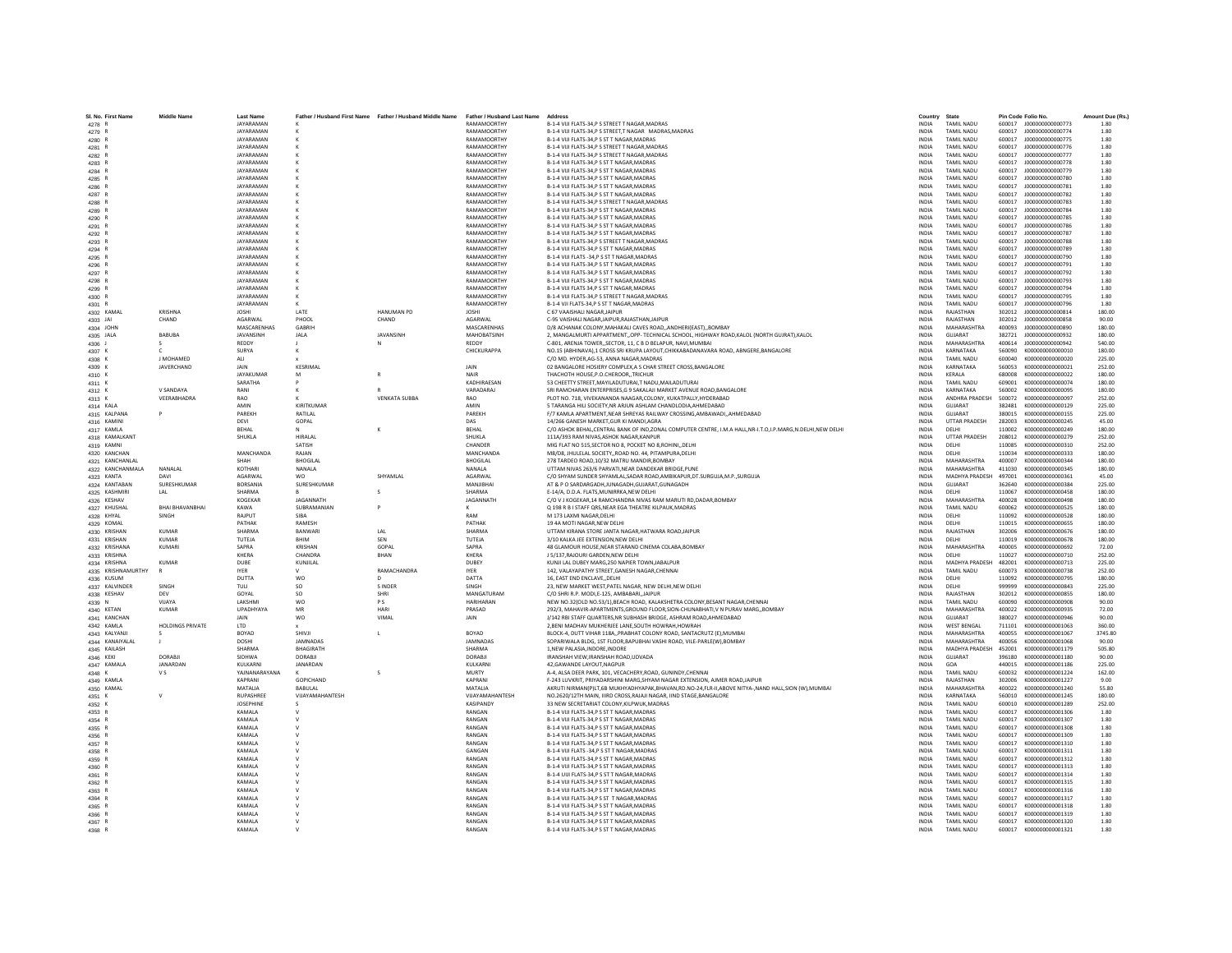| SI. No. First Name<br>4278 R     | <b>Middle Name</b>      | <b>Last Name</b><br>JAYARAMAN |                     | Father / Husband First Name Father / Husband Middle Name Father / Husband Last Name | RAMAMOORTHY                | Address<br>B-1-4 VIJI FLATS-34, P S STREET T NAGAR, MADRAS                                                                    | Country<br><b>INDIA</b>      | State<br><b>TAMIL NADU</b>              |                  | Pin Code Folio No.<br>600017 J000000000000773 | Amount Due (Rs.)<br>1.80 |
|----------------------------------|-------------------------|-------------------------------|---------------------|-------------------------------------------------------------------------------------|----------------------------|-------------------------------------------------------------------------------------------------------------------------------|------------------------------|-----------------------------------------|------------------|-----------------------------------------------|--------------------------|
| 4279 R                           |                         | <b>IAYARAMAN</b>              |                     |                                                                                     | RAMAMOORTHY                | <b>B-1-4 VIII FLATS-34 P S STREET T NAGAR MADRAS MADRAS</b>                                                                   | <b>INDIA</b>                 | <b>TAMIL NADLI</b>                      | 600017           | 1000000000000774                              | 1.80                     |
| 4280 R                           |                         | <b>JAYARAMAN</b>              |                     |                                                                                     | RAMAMOORTHY                | B-1-4 VIJI FLATS-34, PS ST T NAGAR, MADRAS                                                                                    | <b>INDIA</b>                 | <b>TAMIL NADU</b>                       | 600017           | J00000000000775                               | 1.80                     |
| 4281 R                           |                         | <b>JAYARAMAN</b>              |                     |                                                                                     | RAMAMOORTHY                | B-1-4 VIJI FLATS-34, PS STREET T NAGAR, MADRAS                                                                                | INDIA                        | <b>TAMIL NADU</b>                       | 600017           | J000000000000776                              | 1.80                     |
| 4282 R                           |                         | <b>JAYARAMAN</b>              |                     |                                                                                     | RAMAMOORTHY                | B-1-4 VIJI FLATS-34.P S STREET T NAGAR.MADRAS                                                                                 | <b>INDIA</b>                 | <b>TAMIL NADU</b>                       | 600017           | J00000000000777                               | 1.80                     |
| 4283 R                           |                         | JAYARAMAN                     |                     |                                                                                     | RAMAMOORTHY                | B-1-4 VIJI FLATS-34.P S ST T NAGAR.MADRAS                                                                                     | <b>INDIA</b>                 | <b>TAMIL NADU</b>                       | 600017           | J00000000000778                               | 1.80                     |
| 4284 R                           |                         | <b>IAYARAMAN</b>              |                     |                                                                                     | RAMAMOORTHY                | B-1-4 VIJI FLATS-34.P S ST T NAGAR.MADRAS                                                                                     | <b>INDIA</b>                 | <b>TAMIL NADLI</b>                      | 600017           | 1000000000000779                              | 1.80                     |
| 4285 R                           |                         | <b>JAYARAMAN</b>              |                     |                                                                                     | RAMAMOORTHY                | B-1-4 VIJI FLATS-34, P S ST T NAGAR, MADRAS                                                                                   | INDIA                        | <b>TAMIL NADU</b>                       | 600017           | J00000000000780                               | 1.80                     |
| 4286 R                           |                         | <b>JAYARAMAN</b>              |                     |                                                                                     | RAMAMOORTHY                | B-1-4 VIJI FLATS-34,P S ST T NAGAR, MADRAS                                                                                    | <b>INDIA</b>                 | <b>TAMIL NADU</b>                       | 600017           | J000000000000781                              | 1.80                     |
| 4287 R                           |                         | JAYARAMAN                     |                     |                                                                                     | RAMAMOORTHY                | B-1-4 VIJI FLATS-34.P S ST T NAGAR.MADRAS                                                                                     | <b>INDIA</b>                 | <b>TAMIL NADU</b>                       | 600017           | J000000000000782                              | 1.80                     |
| 4288 R                           |                         | <b>IAYARAMAN</b>              |                     |                                                                                     | RAMAMOORTHY                | B-1-4 VIJI FLATS-34.P S STREET T NAGAR MADRAS                                                                                 | <b>INDIA</b>                 | <b>TAMIL NADLI</b>                      | 600017           | 1000000000000783                              | 1.80                     |
| 4289 R                           |                         | <b>JAYARAMAN</b>              |                     |                                                                                     | RAMAMOORTHY                | B-1-4 VIJI FLATS-34, P S ST T NAGAR, MADRAS                                                                                   | INDIA                        | <b>TAMIL NADU</b>                       | 600017           | J00000000000784                               | 1.80                     |
| 4290 R                           |                         | <b>JAYARAMAN</b>              |                     |                                                                                     | <b>RAMAMOORTH</b>          | B-1-4 VIJI FLATS-34.P S ST T NAGAR.MADRAS                                                                                     | <b>INDIA</b>                 | <b>TAMIL NADU</b>                       | 600017           | 100000000000785                               | 1.80                     |
| 4291 R                           |                         | JAYARAMAN                     |                     |                                                                                     | RAMAMOORTHY                | B-1-4 VIJI FLATS-34, PS ST T NAGAR, MADRAS                                                                                    | <b>INDIA</b>                 | <b>TAMIL NADU</b>                       | 600017           | J00000000000786                               | 1.80                     |
| 4292 R                           |                         | <b>IAYARAMAN</b>              |                     |                                                                                     | RAMAMOORTHY                | <b>B-1-4 VIII FLATS-34 P S ST T NAGAR MADRAS</b>                                                                              | <b>INDIA</b>                 | <b>TAMIL NADLI</b>                      | 600017           | 1000000000000787                              | 1.80                     |
| 4293 R                           |                         | JAYARAMAN                     |                     |                                                                                     | RAMAMOORTHY                | B-1-4 VIJI FLATS-34, PS STREET T NAGAR, MADRAS                                                                                | <b>INDIA</b>                 | <b>TAMIL NADU</b>                       | 600017           | 1000000000000788                              | 1.80                     |
| 4294 R                           |                         | <b>JAYARAMAN</b>              |                     |                                                                                     | RAMAMOORTHY                | B-1-4 VIJI FLATS-34,P S ST T NAGAR, MADRAS                                                                                    | INDIA                        | TAMIL NADU                              | 600017           | J00000000000789                               | 1.80                     |
| 4295 R                           |                         | <b>JAYARAMAN</b>              |                     |                                                                                     | RAMAMOORTHY                | B-1-4 VIJI FLATS -34, PS ST T NAGAR, MADRAS                                                                                   | <b>INDIA</b>                 | <b>TAMIL NADU</b>                       | 600017           | J00000000000790                               | 1.80                     |
| 4296 R                           |                         | JAYARAMAN<br><b>IAYARAMAN</b> |                     |                                                                                     | RAMAMOORTHY<br>RAMAMOORTHY | B-1-4 VIJI FLATS-34.P S ST T NAGAR.MADRAS                                                                                     | <b>INDIA</b><br><b>INDIA</b> | <b>TAMIL NADU</b><br><b>TAMIL NADLI</b> | 600017<br>600017 | J00000000000791<br>1000000000000792           | 1.80<br>1.80             |
| 4297 R                           |                         | <b>JAYARAMAN</b>              |                     |                                                                                     | RAMAMOORTHY                | B-1-4 VIJI FLATS-34.P S ST T NAGAR.MADRAS<br>B-1-4 VIJI FLATS-34,P S ST T NAGAR, MADRAS                                       | <b>INDIA</b>                 | <b>TAMIL NADU</b>                       | 600017           | J00000000000793                               | 1.80                     |
| 4298 R<br>4299 R                 |                         | <b>JAYARAMAN</b>              |                     |                                                                                     | RAMAMOORTHY                | B-1-4 VIJI FLATS 34.P S ST T NAGAR MADRAS                                                                                     | <b>INDIA</b>                 | <b>TAMIL NADU</b>                       | 600017           | J00000000000794                               | 1.80                     |
| 4300 R                           |                         | <b>JAYARAMAN</b>              |                     |                                                                                     | RAMAMOORTHY                | B-1-4 VIJI FLATS-34, P S STREET T NAGAR, MADRAS                                                                               | INDIA                        | <b>TAMIL NADU</b>                       | 600017           | J00000000000795                               | 1.80                     |
| 4301 R                           |                         | <b>IAYARAMAN</b>              |                     |                                                                                     | RAMAMOORTHY                | B-1-4 VJI FLATS-34, PS ST T NAGAR, MADRAS                                                                                     | <b>INDIA</b>                 | <b>TAMIL NADLI</b>                      | 600017           | 1000000000000796                              | 1.80                     |
| 4302 KAMAL                       | KRISHNA                 | <b>IOSHI</b>                  | <b>LATE</b>         | <b>HANUMAN PD</b>                                                                   | <b>IOSHI</b>               | C 67 VAAISHALI NAGARJAIPUR                                                                                                    | <b>INDIA</b>                 | RAIASTHAN                               | 302012           | 1000000000000814                              | 180.00                   |
| 4303 JAI                         | CHAND                   | AGARWAL                       | PHOOL               | CHAND                                                                               | AGARWAL                    | C-95 VAISHALI NAGAR, JAIPUR, RAJASTHAN, JAIPUR                                                                                | <b>INDIA</b>                 | RAJASTHAN                               | 302012           | J00000000000858                               | 90.00                    |
| 4304 JOHN                        |                         | MASCARENHAS                   | GABRIH              |                                                                                     | MASCARENHAS                | D/8 ACHANAK COLONY, MAHAKALI CAVES ROAD, ,ANDHERI (EAST), ,BOMBAY                                                             | <b>INDIA</b>                 | MAHARASHTRA                             | 400093           | J00000000000890                               | 180.00                   |
| 4305 JALA                        | RABURA                  | <b>IAVANSINH</b>              | <b>JAIA</b>         | <b>IAVANSINH</b>                                                                    | MAHORATSINH                | 2. MANGALMURTI APPARTMENT. OPP- TECHNICAL SCHOOL. HIGHWAY ROAD.KALOL (NORTH GUIRAT).KALOL                                     | <b>INDIA</b>                 | GUIARAT                                 | 382721           | 1000000000000932                              | 180.00                   |
| 4306 J                           | $\mathcal{L}$           | REDDY                         |                     |                                                                                     | REDDY                      | C-801, ARENJA TOWER, SECTOR, 11, C B D BELAPUR, NAVI, MUMBAI                                                                  | <b>INDIA</b>                 | MAHARASHTRA                             | 400614           | J000000000000942                              | 540.00                   |
| 4307 K                           |                         | SURYA                         |                     |                                                                                     | CHICKURAPPA                | NO.15 (ABHINAVA),1 CROSS SRI KRUPA LAYOUT,CHIKKABADANAVARA ROAD, ABNGERE,BANGALORE                                            | <b>INDIA</b>                 | KARNATAKA                               | 560090           | K000000000000010                              | 180.00                   |
| 4308 K                           | J MOHAMED               | ALI                           |                     |                                                                                     |                            | C/O MD. HYDER, AG-53, ANNA NAGAR, MADRAS                                                                                      | <b>INDIA</b>                 | <b>TAMIL NADU</b>                       | 600040           | K000000000000020                              | 225.00                   |
| 4309 K                           | JAVERCHAND              | JAIN                          | KESRIMAL            |                                                                                     | JAIN                       | 02 BANGALORE HOSIERY COMPLEX, A S CHAR STREET CROSS, BANGALORE                                                                | INDIA                        | KARNATAKA                               | 560053           | K000000000000021                              | 252.00                   |
| 4310 K                           |                         | <b>JAYAKUMAR</b>              | M                   | $\mathsf R$                                                                         | <b>NAIR</b>                | THACHOTH HOUSE.P.O.CHEROORTRICHUR                                                                                             | <b>INDIA</b>                 | <b>KFRALA</b>                           | 680008           | K000000000000022                              | 180.00                   |
| 4311 K                           |                         | SARATHA                       |                     |                                                                                     | KADHIRAESAN                | 53 CHEETTY STREET, MAYILADUTURAI, T NADU, MAILADUTURAI                                                                        | <b>INDIA</b>                 | <b>TAMIL NADU</b>                       | 609001           | K000000000000074                              | 180.00                   |
| 4312 K                           | V SANDAYA               |                               |                     |                                                                                     | VARADARAJ                  | SRI RAMCHARAN ENTERPRISES, G 9 SAKALAJI MARKET AVENUE ROAD, BANGALORE                                                         | INDIA                        | KARNATAKA                               | 560002           | K000000000000095                              | 180.00                   |
| 4313 K                           | VEERABHADRA             | RAO                           |                     | <b>VENKATA SUBBA</b>                                                                | <b>RAO</b>                 | PLOT NO. 718, VIVEKANANDA NAAGAR, COLONY, KUKATPALLY, HYDERABAD                                                               | INDIA                        | ANDHRA PRADESH                          | 500072           | K000000000000097                              | 252.00                   |
| 4314 KALA                        |                         | AMIN                          | KIRITKUMAF          |                                                                                     | AMIN                       | 5 TARANGA HILL SOCIETY NR ARIUN ASHLAM CHANDLODIA AHMEDARAD                                                                   | <b>INDIA</b>                 | GUIARAT                                 | 382481           | K000000000000129                              | 225.00                   |
| 4315 KALPANA                     | P                       | PARFKH                        | RATILAL             |                                                                                     | PAREKH                     | F/7 KAMLA APARTMENT, NEAR SHREYAS RAILWAY CROSSING, AMBAWADI, , AHMEDABAD                                                     | <b>INDIA</b>                 | GUIARAT                                 | 380015           | K000000000000155                              | 225.00                   |
| 4316 KAMINI                      |                         | DFVI                          | GOPAL               |                                                                                     | DAS                        | 14/266 GANESH MARKET.GUR KI MANDI.AGRA                                                                                        | <b>INDIA</b>                 | <b>UTTAR PRADESH</b>                    | 282003           | K000000000000245                              | 45.00                    |
| 4317 KAMLA                       |                         | BEHAL                         |                     |                                                                                     | BEHAL                      | C/O ASHOK BEHAL, CENTRAL BANK OF IND, ZONAL COMPUTER CENTRE, I.M.A HALL, NR-I.T.O, I.P. MARG, N.DELHI, NEW DELHI              | <b>INDIA</b>                 | DELHI                                   | 110002           | K000000000000249                              | 180.00                   |
| 4318 KAMALKANT                   |                         | SHUKLA                        | <b>HIRALAL</b>      |                                                                                     | SHUKLA                     | 111A/393 RAM NIVAS.ASHOK NAGAR.KANPUR                                                                                         | <b>INDIA</b>                 | <b>UTTAR PRADESH</b>                    | 208012           | K000000000000279                              | 252.00                   |
| 4319 KAMNI                       |                         |                               | <b>SATISH</b>       |                                                                                     | CHANDER                    | MIG FLAT NO 515, SECTOR NO 8, POCKET NO 8, ROHINI, , DELHI                                                                    | <b>INDIA</b>                 | <b>DELHI</b>                            | 110085           | K000000000000310                              | 252.00                   |
| 4320 KANCHAN                     |                         | MANCHANDA                     | RAIAN               |                                                                                     | MANCHANDA                  | M8/D8, JHULELAL SOCIETY,,ROAD NO. 44, PITAMPURA,DELHI                                                                         | <b>INDIA</b>                 | DELHI                                   | 110034           | K000000000000333                              | 180.00                   |
| 4321 KANCHANLAL                  | NANALAL                 | SHAH<br>KOTHARI               | <b>BHOGILAL</b>     |                                                                                     | <b>BHOGILAL</b><br>NANALA  | 278 TARDEO ROAD.10/32 MATRU MANDIR.BOMBAY<br>UTTAM NIVAS 263/6 PARVATI, NEAR DANDEKAR BRIDGE, PUNE                            | <b>INDIA</b>                 | MAHARASHTRA<br>MAHARASHTRA              | 400007           | K000000000000344<br>K000000000000345          | 180.00<br>180.00         |
| 4322 KANCHANMALA                 | DAVI                    | AGARWAL                       | NANALA<br><b>WO</b> | SHYAMLAL                                                                            | AGARWAL                    | C/O SHYAM SUNDER SHYAMLAL SADAR ROAD AMBIKAPUR DT SURGUJA M.P. SURGUJA                                                        | INDIA<br><b>INDIA</b>        | MADHYA PRADESH 497001                   | 411030           | K000000000000361                              | 45.00                    |
| 4323 KANTA<br>4324 KANTABAN      | SURESHKUMAR             | BORSANIA                      | SURESHKUMAR         |                                                                                     | MANJIBHA                   | AT & P O SARDARGADH, JUNAGADH, GUJARAT, GUNAGADH                                                                              | <b>INDIA</b>                 | GUJARAT                                 | 362640           | K000000000000384                              | 225.00                   |
| 4325 KASHMIRI                    |                         | SHARMA                        |                     |                                                                                     | SHARMA                     | E-14/A, D.D.A. FLATS, MUNIRRKA, NEW DELHI                                                                                     | <b>INDIA</b>                 | DELHI                                   | 110067           | K000000000000458                              | 180.00                   |
| 4326 KESHAV                      |                         | KOGEKAR                       | JAGANNATH           |                                                                                     | JAGANNATH                  | C/O V J KOGEKAR,14 RAMCHANDRA NIVAS RAM MARUTI RD,DADAR,BOMBAY                                                                | INDIA                        | MAHARASHTRA                             | 400028           | K000000000000498                              | 180.00                   |
| 4327 KHUSHAL                     | <b>BHAI BHAVANBHAI</b>  | KAWA                          | SUBRAMANIAN         |                                                                                     |                            | O 198 R B I STAFF ORS.NEAR EGA THEATRE KILPAUK.MADRAS                                                                         | <b>INDIA</b>                 | <b>TAMIL NADU</b>                       | 600062           | K000000000000525                              | 180.00                   |
| 4328 KHYAL                       | <b>SINGH</b>            | RAIPLIT                       | SIRA                |                                                                                     | RAM                        | M 173 LAXMI NAGAR.DELHI                                                                                                       | <b>INDIA</b>                 | <b>DELHI</b>                            | 110092           | K000000000000528                              | 180.00                   |
| 4329 KOMAL                       |                         | PATHAK                        | RAMESH              |                                                                                     | PATHAK                     | 19 4A MOTI NAGAR, NEW DELHI                                                                                                   | <b>INDIA</b>                 | DELHI                                   | 110015           | K000000000000655                              | 180.00                   |
| 4330 KRISHAN                     | <b>KUMAR</b>            | SHARMA                        | BANWAR              | LAL                                                                                 | SHARMA                     | UTTAM KIRANA STORE JANTA NAGAR, HATWARA ROAD, JAIPUR                                                                          | <b>INDIA</b>                 | RAJASTHAN                               | 302006           | K000000000000676                              | 180.00                   |
| 4331 KRISHAN                     | KUMAR                   | TUTEJA                        | RHIM                | SFN                                                                                 | TUTEJA                     | 3/10 KALKA JEE EXTENSION.NEW DELHI                                                                                            | <b>INDIA</b>                 | DELHI                                   | 110019           | K000000000000678                              | 180.00                   |
| 4332 KRISHANA                    | <b>KUMARI</b>           | SAPRA                         | <b>KRISHAN</b>      | GOPAL                                                                               | SAPRA                      | 48 GLAMOUR HOUSE.NEAR STARAND CINEMA COLABA.BOMBAY                                                                            | <b>INDIA</b>                 | MAHARASHTRA                             | 400005           | K000000000000692                              | 72.00                    |
| 4333 KRISHNA                     |                         | KHFRA                         | CHANDRA             | BHAN                                                                                | KHERA                      | J 5/137.RAJOURI GARDEN.NEW DELHI                                                                                              | <b>INDIA</b>                 | <b>DELHI</b>                            | 110027           | K000000000000710                              | 252.00                   |
| 4334 KRISHNA                     | <b>KUMAR</b>            | <b>DUBE</b>                   | KUNJILAL            |                                                                                     | DUBEY                      | KUNJI LAL DUBEY MARG, 250 NAPIER TOWN, JABALPUR                                                                               | <b>INDIA</b>                 | MADHYA PRADESH                          | 482001           | K000000000000713                              | 225.00                   |
| 4335 KRISHNAMURTHY               |                         | <b>IYER</b>                   |                     | RAMACHANDRA                                                                         | <b>IYER</b>                | 142, VALAYAPATHY STREET, GANESH NAGAR, CHENNAI                                                                                | INDIA                        | TAMIL NADU                              | 600073           | K000000000000738                              | 252.00                   |
| 4336 KUSUM                       |                         | DUTTA                         | <b>WO</b>           | D.                                                                                  | DATTA                      | 16. EAST END ENCLAVEDELHI                                                                                                     | <b>INDIA</b>                 | DELHI                                   | 110092           | K000000000000795                              | 180.00                   |
| 4337 KALVINDER                   | SINGH                   | TULL                          | SO                  | S INDER                                                                             | SINGH                      | 23, NEW MARKET WEST, PATEL NAGAR, NEW DELHI, NEW DELHI                                                                        | <b>INDIA</b>                 | DELHI                                   | 999999           | K000000000000843                              | 225.00                   |
| 4338 KESHAV                      |                         | GOYAL                         | SO                  | SHRI                                                                                | MANGATURAM                 | C/O SHRI R.P. MODI,E-125, AMBABARI,, JAIPUR                                                                                   | <b>INDIA</b>                 | RAJASTHAN                               | 302012           | K000000000000855                              | 180.00                   |
| 4339 N                           | VIJAYA                  | LAKSHMI                       | wo                  | <b>PS</b>                                                                           | <b>HARIHARAN</b>           | NEW NO.32(OLD NO.53/1), BEACH ROAD, KALAKSHETRA COLONY, BESANT NAGAR, CHENNAI                                                 | INDIA                        | <b>TAMIL NADU</b>                       | 600090           | K00000000000908                               | 90.00                    |
| 4340 KETAN                       | <b>KUMAR</b>            | UPADHYAYA                     | MR                  | HARI                                                                                | PRASAD                     | 292/3. MAHAVIR-APARTMENTS.GROUND FLOOR.SION-CHUNABHATI.V N PURAV MARGBOMBAY                                                   | <b>INDIA</b>                 | MAHARASHTRA                             | 400022           | K000000000000935                              | 72.00                    |
| 4341 KANCHAN                     |                         | <b>JAIN</b>                   | <b>WO</b>           | VIMAL                                                                               | JAIN                       | J/142 RBI STAFF QUARTERS.NR SUBHASH BRIDGE. ASHRAM ROAD.AHMEDABAD                                                             | <b>INDIA</b>                 | GUJARAT                                 | 380027           | K000000000000946                              | 90.00<br>360.00          |
| 4342 KAMLA                       | <b>HOLDINGS PRIVATE</b> | LTD<br>BOYAD                  | SHIVJI              |                                                                                     | BOYAD                      | 2, BENI MADHAV MUKHERJEE LANE, SOUTH HOWRAH, HOWRAH<br>BLOCK-4, DUTT VIHAR 118A,, PRABHAT COLONY ROAD, SANTACRUTZ (E), MUMBAI | <b>INDIA</b><br>INDIA        | <b>WEST BENGAL</b><br>MAHARASHTRA       | 711101<br>400055 | K000000000001063<br>K000000000001067          | 3745.80                  |
| 4343 KALYANJI<br>4344 KANAIYALAL | s<br>- 11               | <b>DOSHI</b>                  | <b>JAMNADAS</b>     |                                                                                     | JAMNADAS                   | SOPARIWALA BLDG, 1ST FLOOR.BAPUBHAI VASHI ROAD, VILE-PARLEIW).BOMBAY                                                          | <b>INDIA</b>                 | MAHARASHTRA                             | 400056           | K000000000001068                              | 90.00                    |
| 4345 KAILASH                     |                         | SHARMA                        | <b>BHAGIRATH</b>    |                                                                                     | SHARMA                     | 1.NEW PALASIA.INDORE.INDORE                                                                                                   | <b>INDIA</b>                 | MADHYA PRADESH 452001                   |                  | K000000000001179                              | 505.80                   |
| 4346 KEKI                        | DORARII                 | SIDHWA                        | <b>DORABII</b>      |                                                                                     | DORARIL                    | IRANSHAH VIEW.IRANSHAH ROAD.UDVADA                                                                                            | <b>INDIA</b>                 | GUIARAT                                 | 396180           | K000000000001180                              | 90.00                    |
| 4347 KAMAL/                      | JANARDAN                | KULKARNI                      | JANARDAN            |                                                                                     | KULKARN                    | 42, GAWANDE LAYOUT, NAGPUR                                                                                                    | <b>INDIA</b>                 | GOA                                     | 440015           | K000000000001186                              | 225.00                   |
| 4348 K                           | v s                     | YAJNANARAYANA                 |                     |                                                                                     | MURTY                      | A-4, ALSA DEER PARK, 101, VECACHERY, ROAD, GUNINDY, CHENNAI                                                                   | INDIA                        | TAMIL NADU                              | 600032           | K000000000001224                              | 162.00                   |
| 4349 KAMLA                       |                         | KAPRANI                       | GOPICHAND           |                                                                                     | KAPRANI                    | F-243 LUVKRIT, PRIYADARSHINI MARG SHYAM NAGAR EXTENSION. AJMER ROAD JAIPUR                                                    | <b>INDIA</b>                 | RAJASTHAN                               | 302006           | K000000000001227                              | 9.00                     |
| 4350 KAMAL                       |                         | MATALIA                       | BABULAL             |                                                                                     | MATALIA                    | AKRUTI NIRMAN(P)LT,6B MUKHYADHYAPAK,BHAVAN,RD.NO-24,FLR-II,ABOVE NITYA-,NAND HALL,SION (W),MUMBAI                             | <b>INDIA</b>                 | MAHARASHTRA                             | 400022           | K000000000001240                              | 55.80                    |
| 4351 K                           |                         | RUPASHREE                     | VUAYAMAHANTESH      |                                                                                     | VIJAYAMAHANTESH            | NO.2620/12TH MAIN, IIIRD CROSS, RAJAJI NAGAR, IIND STAGE, BANGALORE                                                           | <b>INDIA</b>                 | KARNATAKA                               | 560010           | K000000000001245                              | 180.00                   |
| 4352 K                           |                         | <b>JOSEPHINE</b>              |                     |                                                                                     | <b>KASIPANDY</b>           | 33 NEW SECRETARIAT COLONY, KILPWUK, MADRAS                                                                                    | INDIA                        | TAMIL NADU                              | 600010           | K000000000001289                              | 252.00                   |
| 4353 R                           |                         | <b>KAMALA</b>                 |                     |                                                                                     | RANGAN                     | B-1-4 VIJI FLATS-34.P S ST T NAGAR.MADRAS                                                                                     | <b>INDIA</b>                 | <b>TAMIL NADU</b>                       | 600017           | K000000000001306                              | 1.80                     |
| 4354 R                           |                         | KAMALA                        |                     |                                                                                     | RANGAN                     | B-1-4 VIJI FLATS-34.P S ST T NAGAR.MADRAS                                                                                     | <b>INDIA</b>                 | <b>TAMIL NADU</b>                       | 600017           | K000000000001307                              | 1.80                     |
| 4355 R                           |                         | KAMALA                        | $\mathsf{v}$        |                                                                                     | RANGAN                     | B-1-4 VIJI FLATS-34, PS ST T NAGAR, MADRAS                                                                                    | <b>INDIA</b>                 | <b>TAMIL NADU</b>                       | 600017           | K000000000001308                              | 1.80                     |
| 4356 R                           |                         | KAMALA                        |                     |                                                                                     | RANGAN                     | B-1-4 VIJI FLATS-34, P S ST T NAGAR, MADRAS                                                                                   | <b>INDIA</b>                 | <b>TAMIL NADU</b>                       | 600017           | K000000000001309                              | 1.80                     |
| 4357 R                           |                         | KAMALA                        |                     |                                                                                     | RANGAN                     | B-1-4 VIJI FLATS-34.P S ST T NAGAR.MADRAS                                                                                     | <b>INDIA</b>                 | <b>TAMIL NADU</b>                       | 600017           | K000000000001310                              | 1.80                     |
| 4358 R                           |                         | KAMALA                        |                     |                                                                                     | GANGAN                     | B-1-4 VIJI FLATS -34.P S ST T NAGAR MADRAS                                                                                    | <b>INDIA</b>                 | <b>TAMIL NADU</b>                       | 600017           | K000000000001311                              | 1.80                     |
| 4359 R                           |                         | <b>KAMALA</b>                 |                     |                                                                                     | RANGAN                     | B-1-4 VIJI FLATS-34.P S ST T NAGAR.MADRAS                                                                                     | <b>INDIA</b>                 | <b>TAMIL NADLI</b>                      | 600017           | K000000000001312                              | 1.80                     |
| 4360 R                           |                         | KAMALA                        |                     |                                                                                     | RANGAN                     | B-1-4 VIJI FLATS-34,P S ST T NAGAR, MADRAS                                                                                    | INDIA                        | <b>TAMIL NADU</b>                       | 600017           | K000000000001313                              | 1.80                     |
| 4361 R                           |                         | KAMALA                        |                     |                                                                                     | RANGAN                     | B-1-4 UUI FLATS-34,P S ST T NAGAR, MADRAS                                                                                     | INDIA                        | TAMIL NADU                              | 600017           | K000000000001314                              | 1.80                     |
| 4362 R                           |                         | KAMALA                        |                     |                                                                                     | RANGAN                     | B-1-4 VIJI FLATS-34.P S ST T NAGAR.MADRAS                                                                                     | <b>INDIA</b>                 | <b>TAMIL NADU</b>                       | 600017           | K000000000001315                              | 1.80                     |
| 4363 R                           |                         | KAMALA                        |                     |                                                                                     | RANGAN<br>RANGAN           | B-1-4 VIJI FLATS-34,P S ST T NAGAR, MADRAS                                                                                    | <b>INDIA</b>                 | <b>TAMIL NADU</b>                       | 600017           | K000000000001316                              | 1.80                     |
| 4364 R                           |                         | KAMALA<br>KAMALA              |                     |                                                                                     | RANGAN                     | B-1-4 VIJI FLATS-34,P S ST T NAGAR, MADRAS<br>B-1-4 VIJI FLATS-34,P S ST T NAGAR, MADRAS                                      | <b>INDIA</b><br>INDIA        | <b>TAMIL NADU</b><br><b>TAMIL NADU</b>  | 600017<br>600017 | K000000000001317<br>K000000000001318          | 1.80<br>1.80             |
| 4365 R<br>4366 R                 |                         | KAMALA                        |                     |                                                                                     | RANGAN                     | B-1-4 VIJI FLATS-34,P S ST T NAGAR, MADRAS                                                                                    | <b>INDIA</b>                 | <b>TAMIL NADU</b>                       | 600017           | K000000000001319                              | 1.80                     |
| 4367 R                           |                         | KAMALA                        |                     |                                                                                     | RANGAN                     | B-1-4 VIJI FLATS-34.P S ST T NAGAR.MADRAS                                                                                     | <b>INDIA</b>                 | <b>TAMIL NADU</b>                       |                  | 600017 K000000000001320                       | 1.80                     |
| 4368 R                           |                         | <b>KAMALA</b>                 |                     |                                                                                     | RANGAN                     | B-1-4 VIJI FLATS-34.P S ST T NAGAR.MADRAS                                                                                     | <b>INDIA</b>                 | <b>TAMIL NADU</b>                       |                  | 600017 K000000000001321                       | 1.80                     |
|                                  |                         |                               |                     |                                                                                     |                            |                                                                                                                               |                              |                                         |                  |                                               |                          |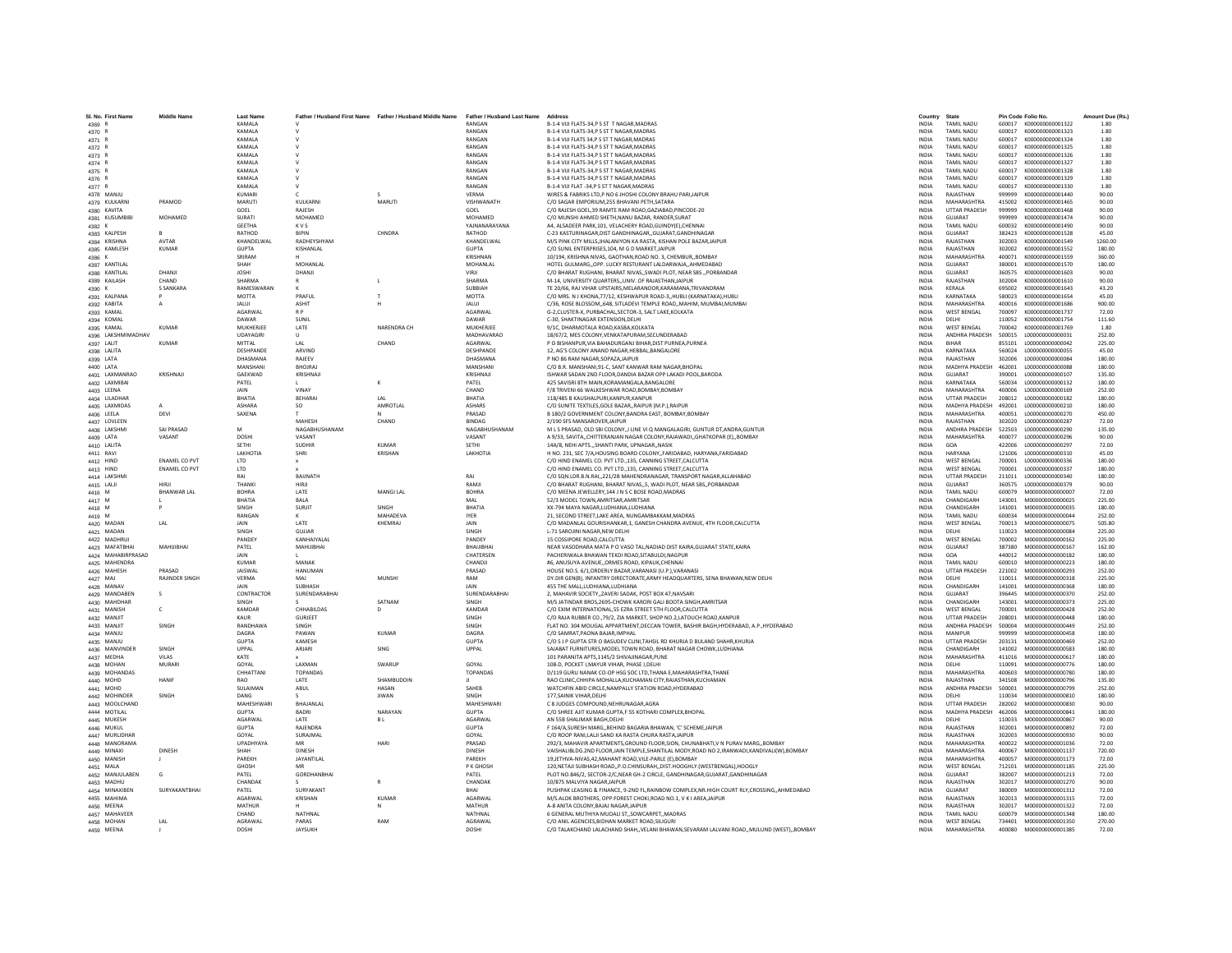|                            |                      |                  | "ather / Husband First Name Father / Husband Middle Name |                 | <b>Father / Husband Last Name</b> |                                                                                                                                              | Country                      |                                        |                  |                                             |                  |
|----------------------------|----------------------|------------------|----------------------------------------------------------|-----------------|-----------------------------------|----------------------------------------------------------------------------------------------------------------------------------------------|------------------------------|----------------------------------------|------------------|---------------------------------------------|------------------|
| 4369                       |                      | KAMALA<br>KAMALA |                                                          |                 | RANGAN<br>RANGAN                  | B-1-4 VIJI FLATS-34,P S ST T NAGAR, MADRAS<br>B-1-4 VIJI FLATS-34.P S ST T NAGAR.MADRAS                                                      | <b>INDIA</b><br><b>INDIA</b> | <b>TAMIL NADU</b><br><b>TAMIL NADU</b> | 600017           | 600017 K000000000001322<br>K000000000001323 |                  |
| 4370 R                     |                      |                  |                                                          |                 |                                   |                                                                                                                                              |                              |                                        |                  |                                             | 1.80             |
| 4371 R                     |                      | KAMALA           |                                                          |                 | <b>RANGAN</b>                     | B-1-4 VIJI FLATS 34.P S ST T NAGAR MADRAS                                                                                                    | <b>INDIA</b>                 | <b>TAMIL NADU</b>                      | 600017           | K000000000001324                            | 1.80             |
| 4372 R                     |                      | <b>KAMALA</b>    |                                                          |                 | RANGAN<br>RANGAN                  | B-1-4 VIJI FLATS-34.P S ST T NAGAR.MADRAS                                                                                                    | <b>INDIA</b>                 | TAMIL NADLI                            | 600017           | K000000000001325                            | 1.80             |
| 4373 R                     |                      | KAMALA           |                                                          |                 |                                   | B-1-4 VIJI FLATS-34,P S ST T NAGAR, MADRAS                                                                                                   | <b>INDIA</b>                 | <b>TAMIL NADU</b>                      | 600017           | K000000000001326                            | 1.80             |
| 4374 R                     |                      | KAMALA           |                                                          |                 | RANGAN                            | B-1-4 VIJI FLATS-34,P S ST T NAGAR, MADRAS                                                                                                   | <b>INDIA</b>                 | <b>TAMIL NADU</b>                      | 600017           | K000000000001327                            | 1.80             |
| 4375 R                     |                      | KAMALA           |                                                          |                 | RANGAN                            | B-1-4 VIJI FLATS-34.P S ST T NAGAR.MADRAS                                                                                                    | <b>INDIA</b>                 | <b>TAMIL NADU</b>                      | 600017           | K000000000001328                            | 1.80             |
| 4376 R                     |                      | KAMALA           |                                                          |                 | RANGAN                            | B-1-4 VIJI FLATS-34,P S ST T NAGAR, MADRAS                                                                                                   | <b>INDIA</b>                 | TAMIL NADLI                            | 600017           | K000000000001329                            | 1.80             |
| 4377                       |                      | KAMALA           |                                                          |                 | RANGAN                            | B-1-4 VIJI FLAT -34, PS ST T NAGAR, MADRAS                                                                                                   | <b>INDIA</b>                 | TAMIL NADU                             | 600017           | K000000000001330                            | 1.80             |
| 4378 MANJU                 |                      | KUMARI           |                                                          |                 | <b>VFRMA</b>                      | WIRES & FABRIKS LTD.P NO 6 JHOSHI COLONY BRAHU PARIJAIPUR                                                                                    | <b>INDIA</b>                 | RAJASTHAN                              | 999999           | K000000000001440                            | 90.00            |
| 4379 KULKARN               | PRAMOD               | MARUTI           | KULKARNI                                                 | MARUTI          | VISHWANATH                        | C/O SAGAR EMPORIUM.255 BHAVANI PETH.SATARA                                                                                                   | <b>INDIA</b>                 | MAHARASHTRA                            | 415002           | K000000000001465                            | 90.00            |
| 4380 KAVITA                |                      | GOEL             | RAJESH                                                   |                 | GOEL                              | C/O RAJESH GOEL, 39 RAMTE RAM ROAD, GAZIABAD, PINCODE-20                                                                                     | <b>INDIA</b>                 | <b>UTTAR PRADESH</b>                   | 999999           | K00000000001468                             | 90.00            |
| 4381 KUSUMBIE              | MOHAMED              | SURATI           | MOHAMED                                                  |                 | MOHAMED                           | C/O MUNSHI AHMED SHETH, NANU BAZAR, RANDER, SURAT                                                                                            | INDIA                        | GUJARAT                                | 999999           | K000000000001474                            | 90.00            |
| 4382 K                     |                      | <b>GEETHA</b>    | <b>KVS</b>                                               |                 | YAJNANARAYAN/                     | A4. ALSADEER PARK.101. VELACHERY ROAD.GUINDY(E).CHENNA                                                                                       | <b>INDIA</b>                 | TAMIL NADU                             | 600032           | K00000000001490                             | 90.00            |
| 4383 KALPESH               |                      | RATHOD           | <b>BIPIN</b>                                             | CHNDRA          | RATHOD                            | C-23 KASTURINAGAR.DIST GANDHINAGARGUJARAT.GANDHINAGAR                                                                                        | <b>INDIA</b>                 | GUIARAT                                | 382423           | K000000000001528                            | 45.00            |
| 4384 KRISHNA               | <b>AVTAR</b>         | KHANDELWAL       | RADHEYSHYAM                                              |                 | KHANDELWAL                        | M/S PINK CITY MILLS, JHALANIYON KA RASTA, KISHAN POLE BAZAR, JAIPUR                                                                          | <b>INDIA</b>                 | RAIASTHAN                              | 302003           | K000000000001549                            | 1260.00          |
| 4385 KAMLESH               | <b>KUMAR</b>         | <b>GUPTA</b>     | KISHANLAL                                                |                 | <b>GUPTA</b>                      | C/O SUNIL ENTERPRISES.104, M G D MARKET.JAIPUF                                                                                               | <b>INDIA</b>                 | RAJASTHAN                              | 302002           | K000000000001552                            | 180.00           |
| 4386 K                     |                      | SRIRAM           |                                                          |                 | KRISHNAN                          | 10/194, KRISHNA NIVAS, GAOTHAN, ROAD NO. 3, CHEMBUR, BOMBAY                                                                                  | INDIA                        | MAHARASHTRA                            | 400071           | K000000000001559                            | 360.00           |
| 4387 KANTILAI              |                      | SHAH             | <b>MOHANLAI</b>                                          |                 | MOHANLAL                          | HOTEL GULMARGOPP. LUCKY RESTURANT LALDARWAJAAHMEDABAD                                                                                        | <b>INDIA</b>                 | <b>GUIARAT</b>                         | 380001           | K000000000001570                            | 180.00           |
| 4388 KANTILAI              | DHANII               | <b>IOSHI</b>     | DHANJI                                                   |                 | VIRII                             | C/O BHARAT RUGHANI, BHARAT NIVAS,, SWADI PLOT, NEAR SBS ,, PORBANDAR                                                                         | <b>INDIA</b>                 | GUIARAT                                | 360575           | K000000000001603                            | 90.00            |
| 4389 KAILASH               | CHAND                | <b>SHARMA</b>    |                                                          |                 | SHARMA                            | M-14, UNIVERSITY QUARTERS, UNIV. OF RAJASTHAN JAIPUF                                                                                         | INDIA                        | RAJASTHAN                              | 302004           | K000000000001610                            | 90.00            |
| 4390 K                     | <b>S SANKARA</b>     | RAMESWARAN       |                                                          |                 | SUBBIAH                           | TE 20/66, RAJ VIHAR UPSTAIRS.MELARANOOR.KARAMANA.TRIVANDRAM                                                                                  | <b>INDIA</b>                 | <b>KERALA</b>                          | 695002           | K000000000001643                            | 43.20            |
| 4391 KALPANA               |                      | <b>MOTTA</b>     | PRAFUL                                                   |                 | <b>MOTTA</b>                      | C/O MRS. N J KHONA.77/12. KESHWAPUR ROAD-3HUBLI (KARNATAKA).HUBLI                                                                            | <b>INDIA</b>                 | KARNATAKA                              | 580023           | K000000000001654                            | 45.00            |
| 4392 KABITA                |                      | <b>JALUI</b>     | <b>ASHIT</b>                                             |                 | <b>JALUI</b>                      | C/36, ROSE BLOSSOM, 648, SITLADEVI TEMPLE ROAD, MAHIM, MUMBAI, MUMBAI                                                                        | INDIA                        | MAHARASHTRA                            | 400016           | K000000000001686                            | 900.00           |
| 4393 KAMAL                 |                      | <b>AGARWAI</b>   | R P                                                      |                 | <b>AGARWA</b>                     | G-2.CLUSTER-X, PURBACHAL.SECTOR-3, SALT LAKE.KOLKATA                                                                                         | <b>INDIA</b>                 | <b>WEST BENGAL</b>                     | 700097           | K00000000001737                             | 72.00            |
| 4394 KOMAL                 |                      | DAWAR            | SUNIL                                                    |                 | DAWAR                             | C-30, SHAKTINAGAR EXTENSION.DELHI                                                                                                            | <b>INDIA</b>                 | DELHI                                  | 110052           | K000000000001754                            | 111.60           |
| 4395 KAMAL                 | KUMAR                | MUKHERIFF        | LATE                                                     | NARENDRA CH     | <b>MUKHERIFF</b>                  | 9/1C. DHARMOTALA ROAD.KASBA.KOLKATA                                                                                                          | <b>INDIA</b>                 | <b>WEST RENGAL</b>                     | 700042           | K000000000001769                            | 1.80             |
| 4396 LAKSHMIMADHA\         |                      | UDAYAGIR         |                                                          |                 | MADHAVARAC                        | 18/67/2. MES COLONY.VENKATAPURAM.SECUNDERABAD                                                                                                | <b>INDIA</b>                 | <b>ANDHRA PRADESH</b>                  | 500015           | L00000000000031                             | 252.00           |
| 4397 LALIT                 | <b>KUMAR</b>         | <b>MITTAL</b>    | LAL                                                      | CHAND           | AGARWAL                           | P O BISHANPUR, VIA BAHADURGANJ BIHAR, DIST PURNEA, PURNEA                                                                                    | INDIA                        | <b>BIHAR</b>                           | 855101           | L000000000000042                            | 225.00           |
| 4398 LALITA                |                      | DESHPANDE        | ARVIND                                                   |                 | <b>DESHPANDE</b>                  | 12. AG'S COLONY ANAND NAGAR.HEBBAL.BANGALORE                                                                                                 | <b>INDIA</b>                 | KARNATAKA                              | 560024           | 1000000000000055                            | 45.00            |
| 4399 LATA                  |                      | DHASMANA         | RAIFFV                                                   |                 | DHASMANA                          | P NO 86 RAM NAGAR SOPAZA JAIPUR                                                                                                              | <b>INDIA</b>                 | RAIASTHAN                              | 302006           | 1000000000000084                            | 180.00           |
|                            |                      | MANSHAN          | BHOJRA                                                   |                 | MANSHANI                          | C/O B.R. MANSHANI, 91-C, SANT KANWAR RAM NAGAR, BHOPAL                                                                                       | INDIA                        | <b>MADHYA PRADESH</b>                  | 462001           | L00000000000088                             | 180.00           |
| 4400 LATA                  | KRISHNAIL            |                  |                                                          |                 | KRISHNAII                         | ISHWAR SADAN 2ND FLOOR.DANDIA BAZAR OPP LAKADI POOL.BARODA                                                                                   |                              | <b>GUIARAT</b>                         |                  | 1000000000000107                            |                  |
| 4401 LAXMANRAO             |                      | GAEKWAD<br>PATEL | KRISHNAJ                                                 |                 | PATEL                             | 425 SAVISRI 8TH MAIN.KORAMANGALA.BANGALORE                                                                                                   | <b>INDIA</b><br><b>INDIA</b> | KARNATAKA                              | 390001<br>560034 | L00000000000132                             | 135.00<br>180.00 |
| 4402 LAXMIBAI              |                      |                  |                                                          |                 |                                   |                                                                                                                                              |                              |                                        |                  |                                             |                  |
| 4403 LEENA                 |                      | <b>JAIN</b>      | VINAY                                                    |                 | CHAND                             | F/8 TRIVENI 66 WALKESHWAR ROAD, BOMBAY, BOMBAY                                                                                               | <b>INDIA</b>                 | MAHARASHTRA                            | 400006           | L00000000000169                             | 252.00           |
| 4404 LILADHAF              |                      | BHATIA           | <b>BEHARA</b>                                            | LAL             | BHATIA                            | 118/485 B KAUSHALPURI.KANPUR.KANPUF                                                                                                          | <b>INDIA</b>                 | <b>UTTAR PRADESH</b>                   | 208012           | L000000000000182                            | 180.00           |
| 4405 LAXMIDAS              |                      | ASHARA           | SO.                                                      | AMROTLAI        | <b>ASHARS</b>                     | C/O SUNITE TEXTILES.GOLE BAZARRAIPUR (M.P.).RAIPUR                                                                                           | <b>INDIA</b>                 | MADHYA PRADESH                         | 492001           | L000000000000210                            | 180.00           |
| 4406 LEELA                 | <b>DEVI</b>          | SAXENA           |                                                          |                 | PRASAD                            | B 180/2 GOVERNMENT COLONY.BANDRA EAST, BOMBAY.BOMBAY                                                                                         | <b>INDIA</b>                 | MAHARASHTRA                            | 400051           | 1000000000000270                            | 450.00           |
| 4407 LOVLEEN               |                      |                  | MAHESH                                                   | CHAND           | <b>RINDAG</b>                     | 2/190 SFS MANSAROVER, JAIPUR                                                                                                                 | INDIA                        | RAIASTHAN                              | 302020           | 1000000000000287                            | 72.00            |
| 4408 LAKSHMI               | <b>SAI PRASAD</b>    | M                | NAGABHUSHANAM                                            |                 | NAGABHUSHANAM                     | M L S PRASAD, OLD SBI COLONY,,I LINE VI Q MANGALAGIRI, GUNTUR DT, ANDRA, GUNTUR                                                              | <b>INDIA</b>                 | ANDHRA PRADESH                         | 522503           | L00000000000290                             | 135.00           |
| 4409 LATA                  | VASANT               | DOSHI            | VASANT                                                   |                 | VASANT                            | A 9/33. SAVITACHITTERANJAN NAGAR COLONY.RAJAWADIGHATKOPAR (E)BOMBAY                                                                          | <b>INDIA</b>                 | MAHARASHTRA                            | 400077           | 1000000000000296                            | 90.00            |
| 4410 LALITA                |                      | SETHI            | SUDHIR                                                   | KUMAR           | SETHI                             | 14A/8, NEHI APTS., SHANTI PARK, UPNAGAR, NASIK                                                                                               | <b>INDIA</b>                 | GOA                                    | 422006           | L00000000000297                             | 72.00            |
| 4411 RAVI                  |                      | <b>LAKHOTIA</b>  | SHRI                                                     | <b>KRISHAN</b>  | LAKHOTIA                          | H NO. 231, SEC 7/A, HOUSING BOARD COLONY, ,FARIDABAD, HARYANA, FARIDABAD                                                                     | INDIA                        | <b>HARYANA</b>                         | 121006           | L00000000000310                             | 45.00            |
| 4412 HIND                  | <b>ENAMEL CO PVT</b> | <b>ITD</b>       | $\mathbf{x}$                                             |                 |                                   | C/O HIND ENAMEL CO. PVT LTD.,135, CANNING STREET, CALCUTTA                                                                                   | <b>INDIA</b>                 | <b>WEST RENGAL</b>                     | 700001           | 100000000000336                             | 180.00           |
| 4413 HIND                  | <b>ENAMEL CO PVT</b> | <b>LTD</b>       |                                                          |                 |                                   | C/O HIND ENAMEL CO. PVT LTD135. CANNING STREET.CALCUTTA                                                                                      | <b>INDIA</b>                 | <b>WEST BENGAL</b>                     | 700001           | L000000000000337                            | 180.00           |
| 4414 LAKSHMI               |                      | RAI              | RAIINATH                                                 |                 | RAI                               | C/O SON.LDR.B.N.RAI221/2B MAHENDRANAGAR, TRANSPORT NAGAR.ALLAHABAD                                                                           | <b>INDIA</b>                 | <b>UTTAR PRADESH</b>                   | 211011           | 100000000000340                             | 180.00           |
| 4415 LALJI                 |                      | THANK            | <b>HIRJ</b>                                              |                 | <b>RAMJ</b>                       | C/O BHARAT RUGHANI, BHARAT NIVAS, 5, WADI PLOT, NEAR SBS, PORBANDAR                                                                          | INDIA                        | GUJARAT                                | 360575           | L00000000000379                             | 90.00            |
|                            |                      |                  |                                                          |                 |                                   |                                                                                                                                              |                              |                                        |                  |                                             |                  |
|                            |                      |                  |                                                          |                 |                                   |                                                                                                                                              |                              |                                        |                  |                                             |                  |
| 4416 M                     | <b>BHANWAR LAI</b>   | <b>BOHRA</b>     | LATE                                                     | MANGI LAI       | <b>BOHRA</b>                      | C/O MEENA JEWELLERY, 144 J N S C BOSE ROAD, MADRAS                                                                                           | <b>INDIA</b>                 | TAMIL NADU                             | 600079           | M000000000000007                            | 72.00            |
| 4417 M                     |                      | RHATIA           | <b>BALA</b>                                              |                 | MAI                               | 52/3 MODEL TOWN AMRITSAR AMRITSAR                                                                                                            | <b>INDIA</b>                 | CHANDIGARH                             | 143001           | M000000000000025                            | 225.00           |
| 4418 M                     |                      | SINGH            | SURJIT                                                   | SINGH           | BHATIA                            | XX-794 MAYA NAGAR,LUDHIANA,LUDHIANA                                                                                                          | <b>INDIA</b>                 | CHANDIGARH                             | 141001           | M000000000000035                            | 180.00           |
| 4419 M                     |                      | <b>RANGAM</b>    |                                                          | <b>MAHADEVA</b> | <b>IYER</b>                       | 21, SECOND STREET, LAKE AREA, NUNGAMBAKKAM, MADRAS                                                                                           | <b>INDIA</b>                 | TAMIL NADU                             | 600034           | M00000000000004                             | 252.00           |
| 4420 MADAN                 | I AI                 | <b>JAIN</b>      | <b>LATE</b>                                              | KHFMRAI         | <b>JAIN</b>                       | C/O MADANLAL GOURISHANKAR,1, GANESH CHANDRA AVENUE, 4TH FLOOR, CALCUTTA                                                                      | <b>INDIA</b>                 | <b>WEST BENGAL</b>                     | 700013           | M000000000000075                            | 505.80           |
| 4421 MADAN                 |                      | SINGH            | GUIJAR                                                   |                 | SINGH                             | <b>1-71 SAROJINI NAGAR NEW DELHI</b>                                                                                                         | <b>INDIA</b>                 | <b>DELHI</b>                           | 110023           | M000000000000084                            | 225.00           |
| 4422 MADHRUI               |                      | PANDEY           | KANHAIYALAL                                              |                 | <b>PANDEY</b>                     | 15 COSSIPORE ROAD.CALCUTTA                                                                                                                   | <b>INDIA</b>                 | <b>WEST BENGAL</b>                     | 700002           | M000000000000162                            | 225.00           |
| 4423 MAFATBHAI             | MAHUIBHA             | PATEL            | MAHIJIBHAI                                               |                 | ВНАШВНА                           | NEAR VASODHARA MATA P O VASO TAL, NADIAD DIST KAIRA, GUJARAT STATE, KAIRA                                                                    | INDIA                        | GUJARAT                                | 387380           | M000000000000167                            | 162.00           |
| 4424 MAHABIRPRASAD         |                      | <b>JAIN</b>      |                                                          |                 | CHATERSEN                         | PACHERIWALA BHAWAN TEKDI ROAD SITABULDI.NAGPUR                                                                                               | <b>INDIA</b>                 | GOA                                    | 440012           | M000000000000182                            | 180.00           |
| 4425 MAHENDRA              |                      | KUMAR            | MANAK                                                    |                 | CHANDII                           | #6 ANUSUYA AVENUE, ORMES ROAD, KIPAUK CHENNAL                                                                                                | <b>INDIA</b>                 | TAMIL NADLI                            | 600010           | M000000000000223                            | 180.00           |
| 4426 MAHESI                | PRASAD               | <b>JAISWAI</b>   | <b>HANUMAN</b>                                           |                 | PRASAD                            | HOUSE NO.S. 6/1, ORDERLY BAZAR, VARANASI (U.P.), VARANASI                                                                                    | INDIA                        | <b>UTTAR PRADESH</b>                   | 221002           | M000000000000293                            | 252.00           |
| 4427 MAJ                   | RAJINDER SINGH       | VERMA            | MAJ                                                      | <b>MUNSH</b>    | RAM                               | DY.DIR GEN(B), INFANTRY DIRECTORATE, ARMY HEADQUARTERS, SENA BHAWAN, NEW DELHI                                                               | <b>INDIA</b>                 | DELHI                                  | 110011           | M000000000000318                            | 225.00           |
| 4428 MANAV                 |                      | <b>JAIN</b>      | SUBHASH                                                  |                 | JAIN                              | 455 THE MALL.LUDHIANA.LUDHIANA                                                                                                               | <b>INDIA</b>                 | CHANDIGARH                             | 141001           | M000000000000368                            | 180.00           |
| 4429 MANDABEN              |                      | CONTRACTOR       | SURENDARABHAI                                            |                 | SURENDARABHA                      | 2, MAHAVIR SOCIETY, ZAVERI SADAK, POST BOX 47, NAVSARI                                                                                       | <b>INDIA</b>                 | GUIARAT                                | 396445           | M000000000000370                            | 252.00           |
| 4430 MAHDHAR               |                      | SINGH            |                                                          | SATNAM          | SINGH                             | M/S JATINDAR BROS.2695-CHOWK KARORI GALI BOOTA SINGH.AMRITSAR                                                                                | <b>INDIA</b>                 | CHANDIGARH                             | 143001           | M000000000000373                            | 225.00           |
| 4431 MANISH                | c                    | KAMDAR           | CHHABILDAS                                               |                 | KAMDAR                            | C/O EXIM INTERNATIONAL, 55 EZRA STREET STH FLOOR, CALCUTTA                                                                                   | INDIA                        | <b>WEST BENGAL</b>                     | 700001           | M000000000000428                            | 252.00           |
| 4432 MANJIT                |                      | KAUR             | <b>GURJEET</b>                                           |                 | SINGH                             | C/O RAJA RUBBER CO., 79/2, ZIA MARKET, SHOP NO.2. LATOUCH ROAD.KANPUR                                                                        | <b>INDIA</b>                 | <b>UTTAR PRADESH</b>                   | 208001           | M000000000000448                            | 180.00           |
| 4433 MANJIT                | SINGH                | RANDHAWA         | <b>SINGH</b>                                             |                 | SINGH                             | FLAT NO. 304 MOUGAL APPARTMENT, DECCAN TOWER, BASHIR BAGH, HYDERABAD, A.P., HYDERABAD                                                        | <b>INDIA</b>                 | <b>ANDHRA PRADESH</b>                  | 500004           | M000000000000449                            | 252.00           |
| 4434 MANJU                 |                      | <b>DAGRA</b>     | PAWAN                                                    | <b>KUMAR</b>    | <b>DAGRA</b>                      | C/O SAMRAT, PAONA BAJAR, IMPHAI                                                                                                              | INDIA                        | MANIPUR                                | 999999           | M000000000000458                            | 180.00           |
| 4435 MANJU                 |                      | <b>GUPTA</b>     | KAMESH                                                   |                 | <b>GUPTA</b>                      | C/O S J P GUPTA STR O BASUDEV CLINI, TAHSIL RD KHURJA D BULAND SHAHR, KHURJA                                                                 | <b>INDIA</b>                 | <b>UTTAR PRADESH</b>                   | 203131           | M000000000000469                            | 252.00           |
| 4436 MANVINDER             | SINGH                | UPPAL            | ARJARI                                                   | SING            | UPPAL                             | SAJABAT FURNITURES, MODEL TOWN ROAD, BHARAT NAGAR CHOWK, LUDHIANA                                                                            | <b>INDIA</b>                 | CHANDIGARH                             | 141002           | M00000000000583                             | 180.00           |
| 4437 MEDHA                 | VILAS                | KATE             |                                                          |                 |                                   | 101 PARANITA APTS, 1145/2 SHIVAJINAGAR, PUNE                                                                                                 | <b>INDIA</b>                 | MAHARASHTRA                            | 411016           | M000000000000617                            | 180.00           |
| 4438 MOHAN                 | MURARI               | GOYAL            | LAXMAN                                                   | SWARUF          | GOYAL                             | 108-D, POCKET I, MAYUR VIHAR, PHASE I, DELHI                                                                                                 | <b>INDIA</b>                 | DELHI                                  | 110091           | M00000000000776                             | 180.00           |
| 4439 MOHANDAS              |                      | CHHATTAN         | <b>TOPANDAS</b>                                          |                 | <b>TOPANDAS</b>                   | D/119 GURU NANAK CO-OP HSG SOC LTD, THANA E, MAHARASHTRA, THANE                                                                              | INDIA                        | MAHARASHTRA                            | 400603           | M00000000000780                             | 180.00           |
| 4440 MOHD                  | HANIE                | RAO              | <b>IATF</b>                                              | SHAMBUDDIN      |                                   | RAO CLINIC.CHHIPA MOHALLA.KUCHAMAN CITY.RAJASTHAN.KUCHAMAN                                                                                   | <b>INDIA</b>                 | RAIASTHAN                              | 341508           | M000000000000796                            | 135.00           |
|                            |                      | SULAIMAN         | ABUL                                                     | <b>HASAN</b>    | <b>SAHFF</b>                      | WATCHFIN ABID CIRCLE, NAMPALLY STATION ROAD, HYDERABAD                                                                                       | <b>INDIA</b>                 | ANDHRA PRADESH                         | 500001           | M00000000000799                             | 252.00           |
| 4441 MOHD<br>4442 MOHINDER | SINGH                | DANG             |                                                          | <b>JIWAN</b>    | SINGH                             | 177. SAINIK VIHAR, DELHI                                                                                                                     | <b>INDIA</b>                 | DELHI                                  | 110034           | M000000000000810                            | 180.00           |
| 4443 MOOLCHAND             |                      | MAHESHWAR        | BHAJANLAI                                                |                 | MAHESHWAR                         | C 8 JUDGES COMPOUND.NEHRUNAGAR.AGRA                                                                                                          | <b>INDIA</b>                 | <b>UTTAR PRADESH</b>                   | 282002           | M000000000000830                            | 90.00            |
| 4444 MOTILAL               |                      | GUPTA            | <b>BADRI</b>                                             | NARAYAN         | <b>GUPTA</b>                      |                                                                                                                                              | <b>INDIA</b>                 | <b>MADHYA PRADESH</b>                  | 462006           | M000000000000841                            | 180.00           |
| 4445 MUKESH                |                      | <b>AGARWA</b>    | LATE                                                     | <b>BL</b>       | <b>AGARWA</b>                     | C/O SHREE AJIT KUMAR GUPTA,F 55 KOTHARI COMPLEX, BHOPAL<br>AN 55B SHALIMAR BAGH, DELHI                                                       | INDIA                        | DELHI                                  | 110033           | M000000000000867                            | 90.00            |
| 4446 MUKUL                 |                      | <b>GUPTA</b>     | RAJENDRA                                                 |                 | <b>GUPTA</b>                      | F 164/A,SURESH MARG,, BEHIND BAGARIA BHAWAN, 'C' SCHEME, JAIPUR                                                                              | <b>INDIA</b>                 | RAJASTHAN                              | 302001           | M000000000000892                            | 72.00            |
| 4447 MURLIDHAF             |                      | GOYAL            | SURAJMAI                                                 |                 | GOYAL                             | C/O ROOP RANI.LALJI SAND KA RASTA CHURA RASTAJAIPUR                                                                                          | <b>INDIA</b>                 | RAJASTHAN                              | 302003           | M000000000000930                            | 90.00            |
|                            |                      | <b>UPADHYAYA</b> | MR                                                       | HARI            | PRASAD                            | 292/3, MAHAVIR APARTMENTS, GROUND FLOOR, SION, CHUNABHATI, VN PURAV MARG, BOMBAY                                                             | <b>INDIA</b>                 | MAHARASHTRA                            | 400022           | M000000000001036                            | 72.00            |
| 4448 MANORAMA              |                      |                  |                                                          |                 |                                   |                                                                                                                                              |                              |                                        |                  |                                             |                  |
| 4449 MINAXI                | <b>DINESH</b>        | SHAH             | DINESH                                                   |                 | <b>DINESH</b>                     | VAISHALIBLDG.2ND FLOOR, JAIN TEMPLE, SHANTILAL MODY, ROAD NO 2, IRANWADI, KANDIVALI (W), BOMBAY                                              | INDIA                        | <b>MAHARASHTRA</b>                     | 400067           | M000000000001137                            | 720.00           |
| 4450 MANISH                |                      | PAREKH<br>GHOSH  | JAYANTILAL<br>MR                                         |                 | PAREKH<br>P K GHOSH               | 19,JETHVA-NIVAS,42,MAHANT ROAD,VILE-PARLE (E),BOMBAY                                                                                         | <b>INDIA</b><br><b>INDIA</b> | MAHARASHTRA<br><b>WEST RENGAL</b>      | 400057<br>712101 | M00000000001173<br>M000000000001185         | 72.00<br>225.00  |
| 4451 MALA                  |                      |                  |                                                          |                 |                                   | 120.NETAJI SUBHASH ROADP.O.CHINSURAHDIST.HOOGHLY.(WESTBENGAL).HOOGLY                                                                         |                              |                                        | 382007           |                                             |                  |
| 4452 MANJULABEN            | G                    | PATEL            | GORDHANBHAI                                              |                 | PATEL                             | PLOT NO.846/2, SECTOR-2/C, NEAR GH-2 CIRCLE, GANDHINAGAR, GUJARAT, GANDHINAGAR                                                               | <b>INDIA</b>                 | <b>GUJARAT</b>                         |                  | M000000000001213                            | 72.00            |
| 4453 MADHU                 |                      | <b>CHANDAK</b>   |                                                          |                 | CHANDAR                           | 10/875 MALVIYA NAGAR JAIPUR                                                                                                                  | <b>INDIA</b>                 | RAJASTHAN                              | 302017           | M000000000001270                            | 90.00            |
| 4454 MINAXIBEN             | SURYAKANTBHA         | PATEL            | SURYAKANT                                                |                 | RHAI                              | PUSHPAK LEASING & FINANCE, 9-2ND FL, RAINBOW COMPLEX, NR. HIGH COURT RLY, CROSSING, , AHMEDABAD                                              | <b>INDIA</b>                 | GUIARAT                                | 380009           | M000000000001312                            | 72.00            |
| 4455 MAHIMA                |                      | AGARWAI          | KRISHAN                                                  | KUMAR           | <b>AGARWAI</b>                    | M/S.ALOK BROTHERS, OPP:FOREST CHOKI,ROAD NO.1, V K I AREA,JAIPUR                                                                             | <b>INDIA</b>                 | RAIASTHAN                              | 302013           | M000000000001315                            | 72.00            |
| 4456 MEENA                 |                      | MATHUR           |                                                          |                 | MATHUR                            | A-8 ANITA COLONY, BAJAJ NAGAR, JAIPUR                                                                                                        | <b>INDIA</b>                 | RAJASTHAN                              | 302017           | M000000000001322                            | 72.00            |
| 4457 MAHAVEER              |                      | CHAND            | NATHNAL                                                  |                 | NATHNA                            | 6 GENERAL MUTHIYA MUDALI ST,, SOWCARPET,, MADRAS                                                                                             | INDIA                        | TAMIL NADU                             | 600079           | M000000000001348                            | 180.00           |
| 4458 MOHAN<br>4459 MEENA   | LAL                  | AGRAWAL<br>DOSHI | PARAS<br><b>JAYSUKH</b>                                  | RAM             | AGRAWAL<br>DOSHI                  | C/O ANIL AGENCIES.BIDHAN MARKET ROAD.SILIGURI<br>C/O TALAKCHAND LALACHAND SHAH, VELANI BHAWAN, SEVARAM LALVANI ROAD,, MULUND (WEST),, BOMBAY | <b>INDIA</b><br><b>INDIA</b> | <b>WEST BENGAL</b><br>MAHARASHTRA      | 734401<br>400080 | M000000000001350<br>M000000000001385        | 270.00<br>72.00  |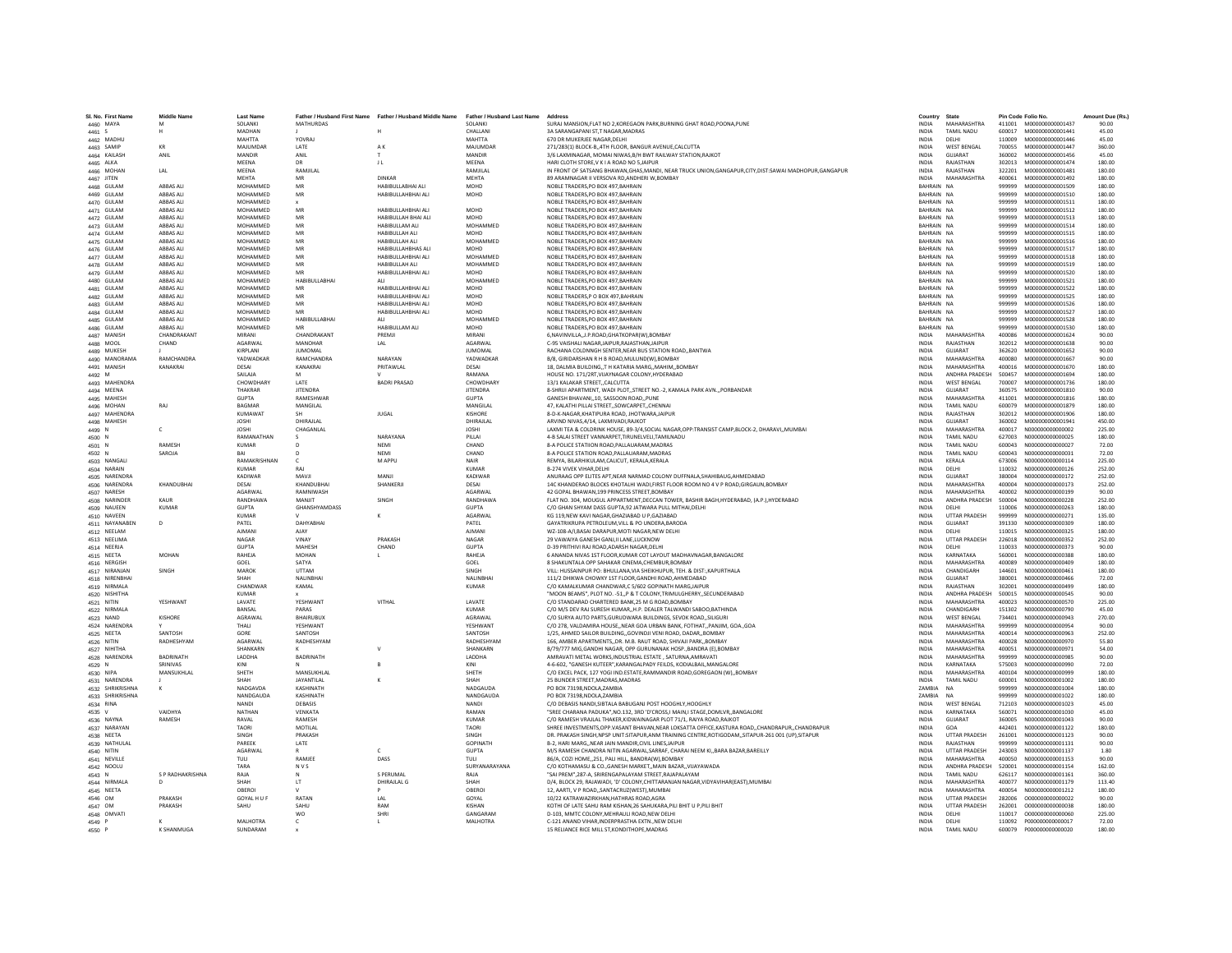| SI, No. First Name | Name                  | <b>Last Name</b>     |                      | Father / Husband First Name Father / Husband Middle Name | Father / Husband Last Name | Address                                                                                               | Country                  | State                |        | Pin Code Folio No | Amount Due (Rs. |
|--------------------|-----------------------|----------------------|----------------------|----------------------------------------------------------|----------------------------|-------------------------------------------------------------------------------------------------------|--------------------------|----------------------|--------|-------------------|-----------------|
| 4460 MAYA          |                       | SOLANKI              | <b>MATHURDAS</b>     |                                                          | SOLANKI                    | SURAJ MANSION, FLAT NO 2, KOREGAON PARK, BURNING GHAT ROAD, POONA, PUNE                               | <b>INDIA</b>             | MAHARASHTRA          | 411001 | M000000000001437  | 90.00           |
| 4461 S             | н                     | MADHAN               |                      |                                                          | CHALLANI                   | 3A SARANGAPANI ST.T NAGAR.MADRAS                                                                      | <b>INDIA</b>             | TAMIL NADLI          | 600017 | M000000000001441  | 45.00           |
| 4462 MADHU         |                       | <b>MAHTTA</b>        | YOVRAJ               |                                                          | MAHTTA                     | 670 DR MUKERJEE NAGAR.DELHI                                                                           | <b>INDIA</b>             | DELHI                | 110009 | M000000000001446  | 45.00           |
| 4463 SAMIF         | KR                    | MAILIMDAR            | LATE                 | AK.                                                      | MAJUMDAR                   | 271/283(1) BLOCK-B,,4TH FLOOR, BANGUR AVENUE, CALCUTTA                                                | <b>INDIA</b>             | <b>WEST BENGAL</b>   | 700055 | M00000000001447   | 360.00          |
| 4464 KAILASH       | ANIL                  | MANDIR               | ANIL                 |                                                          | MANDIR                     | 3/6 LAXMINAGAR, MOMAI NIWAS, B/H BWT RAILWAY STATION, RAJKOT                                          | INDIA                    | GUJARAT              | 360002 | M000000000001456  | 45.00           |
| 4465 ALKA          |                       | MEENA                | DR                   | J <sub>L</sub>                                           | MEENA                      | HARI CLOTH STORE.V K I A ROAD NO 5.JAIPUR                                                             | <b>INDIA</b>             | RAJASTHAN            | 302013 | M000000000001474  | 180.00          |
| 4466 MOHAN         | IAI                   | MFFNA                | <b>RAMILAL</b>       |                                                          | <b>RAMIII AI</b>           | IN FRONT OF SATSANG BHAWAN.GHAS.MANDI, NEAR TRUCK UNION.GANGAPUR.CITY.DIST:SAWAI MADHOPUR.GANGAPUR    | <b>INDIA</b>             | RAIASTHAN            | 322201 | M000000000001481  | 180.00          |
| 4467 JITEN         |                       | <b>MEHTA</b>         | MR                   | DINKAR                                                   | MEHTA                      | 89 ARAMNAGAR II VERSOVA RD, ANDHERI W, BOMBAY                                                         | <b>INDIA</b>             | MAHARASHTRA          | 400061 | M00000000001492   | 180.00          |
| 4468 GULAM         | ABBAS ALI             | MOHAMMED             | MR                   | HABIBULLABHAI ALI                                        | MOHD                       | NOBLE TRADERS.PO BOX 497.BAHRAIN                                                                      | BAHRAIN NA               |                      | 999999 | M000000000001509  | 180.00          |
| 4469 GULAM         | ABBAS ALI             | MOHAMMED             | MR                   | HABIBULLAHBHAI ALI                                       | MOHD                       | NOBLE TRADERS.PO BOX 497.BAHRAIN                                                                      | BAHRAIN NA               |                      | 999999 | M000000000001510  | 180.00          |
| 4470 GULAM         | <b>ARRAS ALL</b>      | MOHAMMED             |                      |                                                          |                            | NOBLE TRADERS, PO BOX 497, BAHRAIN                                                                    | RAHRAIN NA               |                      | 999999 | M000000000001511  | 180.00          |
| 4471 GULAN         | ABBAS ALI             | MOHAMMED             | MR                   | HABIBULLAHBHAI ALI                                       | MOHD                       | NOBLE TRADERS.PO BOX 497.BAHRAIN                                                                      | BAHRAIN NA               |                      | 999999 | M000000000001512  | 180.00          |
| 4472 GULAM         | ABBAS ALI             | MOHAMMED             | MR                   | HABIBULLAH BHAI ALI                                      | MOHD                       | NOBLE TRADERS, PO BOX 497, BAHRAIN                                                                    | BAHRAIN NA               |                      | 999999 | M000000000001513  | 180.00          |
| 4473 GULAM         | ABBAS ALI             | MOHAMMED             | MR                   | <b>HABIBULLAM ALI</b>                                    | MOHAMMED                   | NOBLE TRADERS.PO BOX 497.BAHRAIN                                                                      | BAHRAIN NA               |                      | 999999 | M000000000001514  | 180.00          |
| 4474 GULAM         | ABBAS ALI             | MOHAMMED             | MR                   | HABIBULLAH ALI                                           | <b>MOHD</b>                | NOBLE TRADERS, PO BOX 497, BAHRAIN                                                                    | BAHRAIN NA               |                      | 999999 | M000000000001515  | 180.00          |
| 4475 GULAM         | ABBAS ALI             | MOHAMMED             | MR                   | HABIBULLAH ALI                                           | MOHAMMED                   | NOBLE TRADERS, PO BOX 497, BAHRAIN                                                                    | BAHRAIN NA               |                      | 999999 | M000000000001516  | 180.00          |
| 4476 GULAM         | <b>ARRAS ALL</b>      | MOHAMMED             | MR                   | <b>HABIBULLAHBHAS ALI</b>                                | <b>MOHD</b>                | NOBLE TRADERS.PO BOX 497.BAHRAIN                                                                      | BAHRAIN NA               |                      | 999999 | M000000000001517  | 180.00          |
| 4477 GULAM         | ABBAS ALI             | MOHAMMED             | MR                   | HABIBULLAHBHAI ALI                                       | MOHAMMED                   | NOBLE TRADERS.PO BOX 497.BAHRAIN                                                                      | BAHRAIN NA               |                      | 999999 | M000000000001518  | 180.00          |
|                    | <b>ARRAS ALL</b>      | MOHAMMED             | MR                   | HABIBULLAH ALI                                           | MOHAMMED                   |                                                                                                       | BAHRAIN NA               |                      |        |                   |                 |
| 4478 GULAM         |                       |                      | MR                   |                                                          |                            | NOBLE TRADERS, PO BOX 497, BAHRAIN                                                                    |                          |                      | 999999 | M000000000001519  | 180.00          |
| 4479 GULAM         | ABBAS AL<br>ABBAS ALI | MOHAMMED<br>MOHAMMED | <b>HABIBULLABHA</b>  | HABIBULLAHBHAI ALI                                       | MOHD<br>MOHAMMED           | NOBLE TRADERS, PO BOX 497, BAHRAIN                                                                    | BAHRAIN NA<br>BAHRAIN NA |                      | 999999 | M000000000001520  | 180.00          |
| 4480 GULAM         |                       |                      |                      |                                                          |                            | NOBLE TRADERS, PO BOX 497, BAHRAIN                                                                    |                          |                      | 999999 | M000000000001521  | 180.00          |
| 4481 GULAM         | <b>ARRAS ALL</b>      | MOHAMMED             | MR                   | HARIRULLAHRHALALL                                        | <b>MOHD</b>                | NORLE TRADERS PO ROX 497 RAHRAIN                                                                      | RAHRAIN NA               |                      | 999999 | M000000000001522  | 180.00          |
| 4482 GULAM         | ABBAS ALI             | MOHAMMED             | MR                   | HABIBULLAHBHAI ALI                                       | MOHD                       | NOBLE TRADERS, P O BOX 497, BAHRAIN                                                                   | BAHRAIN NA               |                      | 999999 | M000000000001525  | 180.00          |
| 4483 GULAM         | ABBAS ALI             | MOHAMMED             |                      | HABIBULLAHBHAI ALI                                       | MOHD                       | NOBLE TRADERS.PO BOX 497.BAHRAIN                                                                      | BAHRAIN NA               |                      | 999999 | M000000000001526  | 180.00          |
| 4484 GULAN         | <b>ARRAS ALL</b>      | MOHAMMED             |                      | HABIBULLAHBHAI ALI                                       | MOHD                       | NOBLE TRADERS.PO BOX 497.BAHRAIN                                                                      | BAHRAIN NA               |                      | 999999 | M000000000001527  | 180.00          |
| 4485 GULAM         | <b>ARRAS ALL</b>      | MOHAMMED             | <b>HARIRULLARHAL</b> | ALL                                                      | MOHAMMED                   | NOBLE TRADERS, PO BOX 497, BAHRAIN                                                                    | RAHRAIN NA               |                      | 999999 | M00000000001528   | 180.00          |
| 4486 GULAM         | ABBAS ALI             | MOHAMMED             | MR                   | HABIBULLAM ALI                                           | <b>MOHD</b>                | NOBLE TRADERS, PO BOX 497, BAHRAIN                                                                    | BAHRAIN NA               |                      | 999999 | M000000000001530  | 180.00          |
| 4487 MANISH        | <b>CHANDRAKANT</b>    | MIRANI               | CHANDRAKANT          | PREMJI                                                   | MIRAN                      | 6,NAVINVILLA,,J.P.ROAD,GHATKOPAR(W),BOMBAY                                                            | <b>INDIA</b>             | MAHARASHTRA          | 400086 | M000000000001624  | 90.00           |
| 4488 MOOL          | CHAND                 | AGARWAL              | MANOHAR              | LAL                                                      | AGARWAL                    | C-95 VAISHALI NAGAR JAIPUR RAJASTHAN JAIPUR                                                           | <b>INDIA</b>             | RAJASTHAN            | 302012 | M000000000001638  | 90.00           |
| 4489 MUKESH        |                       | <b>KIRPLANI</b>      | <b>ILIMOMAL</b>      |                                                          | <b>ILIMOMAL</b>            | RACHANA COLDNNGH SENTER NEAR RUS STATION ROAD, RANTWA                                                 | <b>INDIA</b>             | <b>GUIARAT</b>       | 362620 | M000000000001652  | 90.00           |
| 4490 MANORAMA      | <b>RAMCHANDRA</b>     | YADWADKAR            | <b>RAMCHANDRA</b>    | NARAYAN                                                  | YADWADKAF                  | B/8, GIRIDARSHAN R H B ROAD, MULUND(W), BOMBA'                                                        | INDIA                    | MAHARASHTRA          | 400080 | M000000000001667  | 90.00           |
| 4491 MANISH        | KANAKRAI              | DESAI                | KANAKRAI             | PRITAWLAL                                                | DESAI                      | 18, DALMIA BUILDING,,T H KATARIA MARG,,MAHIM,,BOMBAY                                                  | <b>INDIA</b>             | MAHARASHTRA          | 400016 | M00000000001670   | 180.00          |
| 4492 M             |                       | SAILAJA              | M                    |                                                          | RAMANA                     | HOUSE NO. 171/2RT, VIJAYNAGAR COLONY, HYDERABAD                                                       | <b>INDIA</b>             | ANDHRA PRADESH       | 500457 | M000000000001694  | 180.00          |
| 4493 MAHENDRA      |                       | CHOWDHARY            | <b>IATF</b>          | <b>BADRI PRASAD</b>                                      | CHOWDHARY                  | 13/1 KALAKAR STREET, CALCUTTA                                                                         | <b>INDIA</b>             | <b>WEST BENGAL</b>   | 700007 | M00000000001736   | 180.00          |
| 4494 MEENA         |                       | THAKRAF              | <b>JITENDRA</b>      |                                                          | <b>JITENDRA</b>            | 8-SHRIJI APARTMENT, WADI PLOT,,STREET NO.-2, KAMALA PARK AVN.,,PORBANDAR                              | <b>INDIA</b>             | <b>GUJARAT</b>       | 360575 | M000000000001810  | 90.00           |
| 4495 MAHESH        |                       | <b>GUPTA</b>         | RAMESHWAR            |                                                          | <b>GUPTA</b>               | GANESH BHAVANI,,10, SASSOON ROAD,,PUNE                                                                | INDIA                    | MAHARASHTRA          | 411001 | M000000000001816  | 180.00          |
| 4496 MOHAN         | RAI                   | <b>BAGMAR</b>        | MANGILAI             |                                                          | MANGIL AL                  | 47. KALATHI PILLAI STREETSOWCARPETCHENNAI                                                             | <b>INDIA</b>             | TAMIL NADLI          | 600079 | M000000000001879  | 180.00          |
| 4497 MAHENDRA      |                       | <b>KUMAWAT</b>       |                      | <b>JUGAL</b>                                             | KISHORE                    | 8-D-K-NAGAR, KHATIPURA ROAD, JHOTWARA, JAIPUR                                                         | <b>INDIA</b>             | RAJASTHAN            | 302012 | M000000000001906  | 180.00          |
| 4498 MAHESH        |                       | <b>JOSHI</b>         | DHIRAJLAI            |                                                          | DHIRAJLAI                  | ARVIND NIVAS, 4/14, LAXMIVADI, RAJKOT                                                                 | INDIA                    | GUJARAT              | 360002 | M000000000001941  | 450.00          |
| 4499 N             | c.                    | <b>JOSHI</b>         | CHAGANLAL            |                                                          | <b>JOSHI</b>               | LAXMI TEA & COLDRINK HOUSE, 89-3/4, SOCIAL NAGAR, OPP: TRANSIST CAMP, BLOCK-2, DHARAVI, , MUMBAI      | <b>INDIA</b>             | <b>MAHARASHTRA</b>   | 400017 | N00000000000002   | 225.00          |
|                    |                       | RAMANATHAN           |                      | NARAYANA                                                 | PILLAI                     | 4-B SALAI STREET VANNARPET.TIRUNELVELI.TAMILNADU                                                      | <b>INDIA</b>             | <b>TAMIL NADU</b>    | 627003 | N000000000000025  | 180.00          |
| 4500 N             | <b>RAMESH</b>         | <b>KUMAR</b>         |                      | NFMI                                                     | CHAND                      |                                                                                                       | <b>INDIA</b>             |                      | 600043 |                   |                 |
| 4501 N             |                       |                      |                      |                                                          |                            | 8-A POLICE STATIION ROAD, PALLAUARAM, MADRAS                                                          |                          | <b>TAMIL NADU</b>    |        | N00000000000027   | 72.00           |
| 4502 N             | SAROJA                |                      |                      | NEMI                                                     | CHAND                      | 8-A POLICE STATION ROAD, PALLAUARAM, MADRAS                                                           | INDIA                    | TAMIL NADU           | 600043 | N000000000000031  | 72.00           |
| 4503 NANGALI       |                       | RAMAKRISHNAN         |                      | M APPL                                                   | <b>NAIR</b>                | REMYA, BILARHIKULAM, CALICUT, KERALA, KERALA                                                          | <b>INDIA</b>             | KERALA               | 673006 | N000000000000114  | 225.00          |
| 4504 NARAIN        |                       | KUMAR                | RAI                  |                                                          | KUMAR                      | <b>R-274 VIVEK VIHAR DELHI</b>                                                                        | <b>INDIA</b>             | DELHI                | 110032 | N000000000000126  | 252.00          |
| 4505 NARENDRA      |                       | KADIWAR              | MAVII                | MANIL                                                    | KADIWAR                    | ANURAAG OPP ELITES APT, NEAR NARMAD COLONY DUFFNALA, SHAHIBAUG, AHMEDABAD                             | <b>INDIA</b>             | GUIARAT              | 380004 | N000000000000172  | 252.00          |
| 4506 NARENDRA      | KHANDUBHAI            | DESAI                | KHANDUBHA            | SHANKERJI                                                | DESAI                      | 14C KHANDERAO BLOCKS KHOTALHI WADI, FIRST FLOOR ROOM NO 4 V P ROAD, GIRGAUN, BOMBAY                   | <b>INDIA</b>             | MAHARASHTRA          | 400004 | N000000000000173  | 252.00          |
| 4507 NARESH        |                       | <b>AGARWAI</b>       | RAMNIWASH            |                                                          | <b>AGARWAI</b>             | 42 GOPAL BHAWAN.199 PRINCESS STREET.BOMBAY                                                            | <b>INDIA</b>             | MAHARASHTRA          | 400002 | N000000000000199  | 90.00           |
| 4508 NARINDER      | KAUR                  | RANDHAWA             | MANIIT               | SINGH                                                    | RANDHAWA                   | FLAT NO. 304, MOUGUL APPARTMENT, DECCAN TOWER, BASHIR BAGH, HYDERABAD, (A.P.), HYDERABAD              | <b>INDIA</b>             | ANDHRA PRADESH       | 500004 | N000000000000228  | 252.00          |
| 4509 NAUEEN        | <b>KUMAR</b>          | <b>GLIPTA</b>        | GHANSHYAMDASS        |                                                          | <b>GUPTA</b>               | C/O GHAN SHYAM DASS GUPTA,92 JATWARA PULL MITHAI, DELHI                                               | <b>INDIA</b>             | <b>DELHI</b>         | 110006 | N000000000000263  | 180.00          |
| 4510 NAVEEN        |                       | <b>KUMAR</b>         |                      |                                                          | AGARWAL                    | KG 119,NEW KAVI NAGAR,GHAZIABAD U P,GAZIABAD                                                          | INDIA                    | <b>UTTAR PRADESH</b> | 999999 | N00000000000271   | 135.00          |
| 4511 NAYANABEN     | D.                    | PATEL                | DAHYABHAI            |                                                          | PATEL                      | GAYATRIKRUPA PETROLEUM.VILL & PO UNDERA.BARODA                                                        | <b>INDIA</b>             | <b>GUJARAT</b>       | 391330 | N000000000000309  | 180.00          |
| 4512 NEELAM        |                       | <b>AIMANI</b>        | AIAY                 |                                                          | AIMANI                     | WZ-108-A/I.BASAI DARAPUR.MOTI NAGAR.NEW DELHI                                                         | <b>INDIA</b>             | <b>DELHI</b>         | 110015 | N000000000000325  | 180.00          |
| 4513 NEELIMA       |                       | NAGAR                | VINAY                | PRAKASH                                                  | NAGAR                      | 29 VAWAIYA GANESH GANJ, II LANE, LUCKNOW                                                              | INDIA                    | UTTAR PRADESH        | 226018 | N000000000000352  | 252.00          |
| 4514 NEERJA        |                       | <b>GUPTA</b>         | MAHESH               | CHAND                                                    | <b>GUPTA</b>               | D-39 PRITHIVI RAJ ROAD ADARSH NAGAR DELHI                                                             | <b>INDIA</b>             |                      | 110033 | N000000000000373  | 90.00           |
| 4515 NEETA         | <b>MOHAN</b>          | RAHEJA               | MOHAN                |                                                          | RAHEJA                     | 6 ANANDA NIVAS 1ST FLOOR.KUMAR COT LAYOUT MADHAVNAGAR.BANGALORE                                       | <b>INDIA</b>             | KARNATAKA            | 560001 | N000000000000388  | 180.00          |
| 4516 NERGISH       |                       | GOEL                 | SATYA                |                                                          | GOEL                       | 8 SHAKUNTALA OPP SAHAKAR CINEMA.CHEMBUR.BOMBAY                                                        | <b>INDIA</b>             | MAHARASHTRA          | 400089 | N0000000000000409 | 180.00          |
| 4517 NIRANJAN      | SINGH                 | <b>MAROK</b>         | UTTAM                |                                                          | SINGH                      | VILL: HUSSAINPUR PO: BHULLANA VIA SHEIKHUPUR, TEH. & DIST: KAPURTHALA                                 | <b>INDIA</b>             | CHANDIGARH           | 144601 | N000000000000461  | 180.00          |
| 4518 NIRENBHA      |                       | SHAH                 | NALINBHA             |                                                          | NALINBHA                   | 111/2 DHIKWA CHOWKY 1ST FLOOR, GANDHI ROAD, AHMEDABAD                                                 | <b>INDIA</b>             | GUJARAT              | 380001 | N000000000000466  | 72.00           |
| 4519 NIRMALA       |                       | CHANDWAF             | KAMAI                |                                                          | KUMAR                      | C/O KAMALKUMAR CHANDWAR.C 5/602 GOPINATH MARGJAIPUR                                                   | <b>INDIA</b>             | RAIASTHAN            | 302001 | N000000000000499  | 180.00          |
| 4520 NISHITHA      |                       | KUMAR                |                      |                                                          |                            | "MOON BEAMS", PLOT NO. -51, P & T COLONY, TRIMULGHERRY, SECUNDERABAD                                  | <b>INDIA</b>             | ANDHRA PRADESH       | 500015 | N000000000000545  | 90.00           |
| 4521 NITIN         | YESHWANT              | LAVATE               | <b>YESHWANT</b>      | VITHAL                                                   | LAVATE                     | C/O STANDARAD CHARTERED BANK, 25 M G ROAD, BOMBAY                                                     | <b>INDIA</b>             | MAHARASHTRA          | 400023 | N00000000000570   | 225.00          |
| 4522 NIRMALA       |                       | <b>RANSAI</b>        | PARAS                |                                                          | KUMAR                      | C/O M/S DEV RAJ SURESH KUMARH.P. DEALER TALWANDI SABOO.BATHINDA                                       | <b>INDIA</b>             | CHANDIGARH           | 151302 | N000000000000790  | 45.00           |
| 4523 NAND          | KISHORE               | AGRAWAL              | BHAIRUBUX            |                                                          | AGRAWAL                    | C/O SURYA AUTO PARTS.GURUDWARA BUILDINGS, SEVOK ROADSILIGURI                                          | <b>INDIA</b>             | <b>WEST BENGAL</b>   | 734401 | N000000000000943  | 270.00          |
| 4524 NARENDRA      |                       | THALI                | YESHWANT             |                                                          | YFSHWANT                   | C/O 278, VALDAMIRA HOUSE, NEAR GOA URBAN BANK, FOTIHAT, PANJIM, GOA., GOA                             | <b>INDIA</b>             | MAHARASHTRA          | 999999 | N000000000000954  | 90.00           |
| 4525 NEETA         | SANTOSH               | GORE                 | SANTOSH              |                                                          | SANTOSH                    | 1/25, AHMED SAILOR BUILDING, GOVINDJI VENI ROAD, DADAR, BOMBA'                                        | INDIA                    | MAHARASHTRA          | 400014 | N000000000000963  | 252.00          |
| 4526 NITIN         | RADHESHYAM            | AGARWAL              | RADHESHYAM           |                                                          | RADHESHYAM                 | 166. AMBER APARTMENTS., DR. M.B. RAUT ROAD, SHIVAJI PARK., BOMBAY                                     | <b>INDIA</b>             | MAHARASHTRA          | 400028 | N000000000000970  | 55.80           |
| 4527 NIHITHA       |                       | SHANKARN             |                      |                                                          | SHANKARN                   | B/79/777 MIG GANDHI NAGAR, OPP GURUNANAK HOSP, BANDRA (E) BOMBAY                                      | <b>INDIA</b>             | MAHARASHTRA          | 400051 | N000000000000971  | 54.00           |
| 4528 NARENDRA      | <b>BADRINATH</b>      | LADDHA               | <b>BADRINATH</b>     |                                                          | LADDHA                     | AMRAVATI METAL WORKS, INDUSTRIAL ESTATE, SATURNA, AMRAVATI                                            | INDIA                    | MAHARASHTRA          | 999999 | N000000000000985  | 90.00           |
| 4529 N             | SRINIVAS              | KINI                 |                      |                                                          | KINI                       | 4-6-602, "GANESH KUTEER", KARANGALPADY FEILDS, KODIALBAIL, MANGALORE                                  | <b>INDIA</b>             | KARNATAKA            | 575003 | N000000000000990  | 72.00           |
| 4530 NIPA          | MANSUKHLAL            | SHETH                | MANSUKHLAL           |                                                          | SHETH                      | C/O EXCEL PACK, 127 YOGI IND ESTATE RAMMANDIR ROAD GOREGAON (W). BOMBAY                               | <b>INDIA</b>             | MAHARASHTRA          | 400104 | N000000000000999  | 180.00          |
|                    |                       | SHAH                 | <b>JAYANTILAL</b>    |                                                          | SHAH                       | 25 BUNDER STREET.MADRAS.MADRAS                                                                        | <b>INDIA</b>             | TAMIL NADLI          | 600001 | N000000000001002  | 180.00          |
| 4531 NARENDRA      |                       | NADGAVDA             | KASHINATH            |                                                          | <b>NADGAUDA</b>            | PO BOX 73198, NDOLA, ZAMBIA                                                                           | ZAMBIA                   | <b>NA</b>            | 999999 | N000000000001004  | 180.00          |
| 4532 SHRIKRISHNA   |                       | NANDGAUDA            | KASHINATH            |                                                          | NANDGAUDA                  | PO BOX 73198.NDOLA.ZAMBIA                                                                             | ZAMBIA                   | <b>NA</b>            | 999999 | N000000000001022  | 180.00          |
| 4533 SHRIKRISHNA   |                       |                      |                      |                                                          |                            |                                                                                                       |                          |                      |        |                   |                 |
| 4534 RINA          |                       | <b>NANDI</b>         | DEBASIS              |                                                          | <b>NANDI</b>               | C/O DEBASIS NANDI, SIBTALA BABUGANJ POST HOOGHLY, HOOGHLY                                             | <b>INDIA</b>             | <b>WEST BENGAL</b>   | 712103 | N000000000001023  | 45.00           |
| 4535 V             | VAIDHVA               | NATHAN               | VENKATA              |                                                          | RAMAN                      | "SREE CHARANA PADUKA".NO.132, 3RD 'D'CROSS.I MAIN.I STAGE.DOMLVRBANGALORE                             | <b>INDIA</b>             | KARNATAKA            | 560071 | N000000000001030  | 45.00           |
| 4536 NAYNA         | RAMESH                | RAVAL                | RAMESH               |                                                          | <b>KUMAF</b>               | C/O RAMESH VRAJLAL THAKER, KIDWAINAGAR PLOT 71/1, RAIYA ROAD, RAJKOT                                  | INDIA                    | <b>GUJARAT</b>       | 360005 | N000000000001043  | 90.00           |
| 4537 NARAYAN       |                       | <b>TAORI</b>         | MOTILAL              |                                                          | <b>TAORI</b>               | SHREE INVESTMENTS, OPP. VASANT BHAVAN, NEAR LOKSATTA OFFICE, KASTURA ROAD, , CHANDRAPUR, , CHANDRAPUR | <b>INDIA</b>             | GOA                  | 442401 | N000000000001122  | 180.00          |
| 4538 NEETA         |                       | SINGH                | PRAKASH              |                                                          | SINGH                      | DR. PRAKASH SINGH, NPSP UNIT:SITAPUR, ANM TRAINING CENTRE, ROTIGODAM, SITAPUR-261 001 (UP), SITAPUR   | <b>INDIA</b>             | <b>UTTAR PRADESH</b> | 261001 | N000000000001123  | 90.00           |
| 4539 NATHULAL      |                       | PAREEK               | LATE                 |                                                          | <b>GOPINATH</b>            | B-2, HARI MARG, NEAR JAIN MANDIR, CIVIL LINES, JAIPUR                                                 | <b>INDIA</b>             | RAIASTHAN            | 999999 | N000000000001131  | 90.00           |
| 4540 NITIN         |                       | AGARWAL              |                      |                                                          | <b>GUPTA</b>               | M/S RAMESH CHANDRA NITIN AGARWAL SARRAF, CHARAI NEEM KI., BARA BAZAR, BAREILLY                        | <b>INDIA</b>             | <b>UTTAR PRADESH</b> | 243003 | N000000000001137  | 1.80            |
| 4541 NEVILLE       |                       | TULI                 | RAMJEE               | DASS                                                     | TULI                       | 86/A, COZI HOME, 251, PALI HILL, BANDRA(W), BOMBAY                                                    | <b>INDIA</b>             | MAHARASHTRA          | 400050 | N000000000001153  | 90.00           |
| 4542 NOOLU         |                       | TARA                 | <b>NVS</b>           |                                                          | SURYANARAYANA              | C/O KOTHAMASU & CO., GANESH MARKET., MAIN BAZAR., VIJAYAWADA                                          | <b>INDIA</b>             | ANDHRA PRADESH       | 520001 | N000000000001154  | 162.00          |
| 4543 N             | S P RADHAKRISHNA      | RAJA                 |                      | S PERUMAL                                                | RAJA                       | "SAI PREM", 287-A, SRIRENGAPALAYAM STREET, RAJAPALAYAM                                                | <b>INDIA</b>             | TAMIL NADU           | 626117 | N000000000001161  | 360.00          |
| 4544 NIRMALA       | D                     | SHAH                 | LT                   | DHIRAJLAL G                                              | SHAH                       | D/4, BLOCK 29, RAJAWADI, 'D' COLONY, CHITTARANJAN NAGAR, VIDYAVIHAR(EAST), MUMBAI                     | <b>INDIA</b>             | MAHARASHTRA          | 400077 | N000000000001179  | 113.40          |
| 4545 NEETA         |                       | OBEROL               |                      |                                                          | OBEROI                     | 12. AARTI, V P ROAD, SANTACRUZIWEST), MUMBAI                                                          | <b>INDIA</b>             | MAHARASHTRA          | 400054 | N000000000001212  | 180.00          |
| 4546 OM            | PRAKASH               | <b>GOYAL H U F</b>   | RATAN                | IAI                                                      | GOYAL                      | 10/22 KATRAWAZIRKHAN.HATHRAS ROAD.AGRA                                                                | <b>INDIA</b>             | <b>UTTAR PRADESH</b> | 282006 | 0000000000000022  | 90.00           |
| 4547 OM            | PRAKASH               | SAHU                 | SAHU                 | RAM                                                      | KISHAN                     | KOTHI OF LATE SAHU RAM KISHAN,26 SAHUKARA, PILI BHIT U P, PILI BHIT                                   | <b>INDIA</b>             | <b>UTTAR PRADESH</b> | 262001 | 000000000000038   | 180.00          |
| 4548 OMVAT         |                       |                      | wo                   |                                                          | GANGARAM                   | D-103, MMTC COLONY, MEHRAULI ROAD, NEW DELH                                                           | INDIA                    | DELHI                | 110017 | 0000000000000060  | 225.00          |
| 4549 P             |                       | MALHOTRA             | $\epsilon$           |                                                          | MALHOTRA                   | C-121 ANAND VIHAR INDERPRASTHA EXTN NEW DELHI                                                         | <b>INDIA</b>             | DELHI                | 110092 | P000000000000017  | 72.00           |
| 4550 P             | <b>K SHANMUGA</b>     | SUNDARAM             |                      |                                                          |                            | 15 RELIANCE RICE MILL ST.KONDITHOPE.MADRAS                                                            | <b>INDIA</b>             | <b>TAMIL NADLI</b>   | 600079 | 2000000000000020  | 180.00          |
|                    |                       |                      |                      |                                                          |                            |                                                                                                       |                          |                      |        |                   |                 |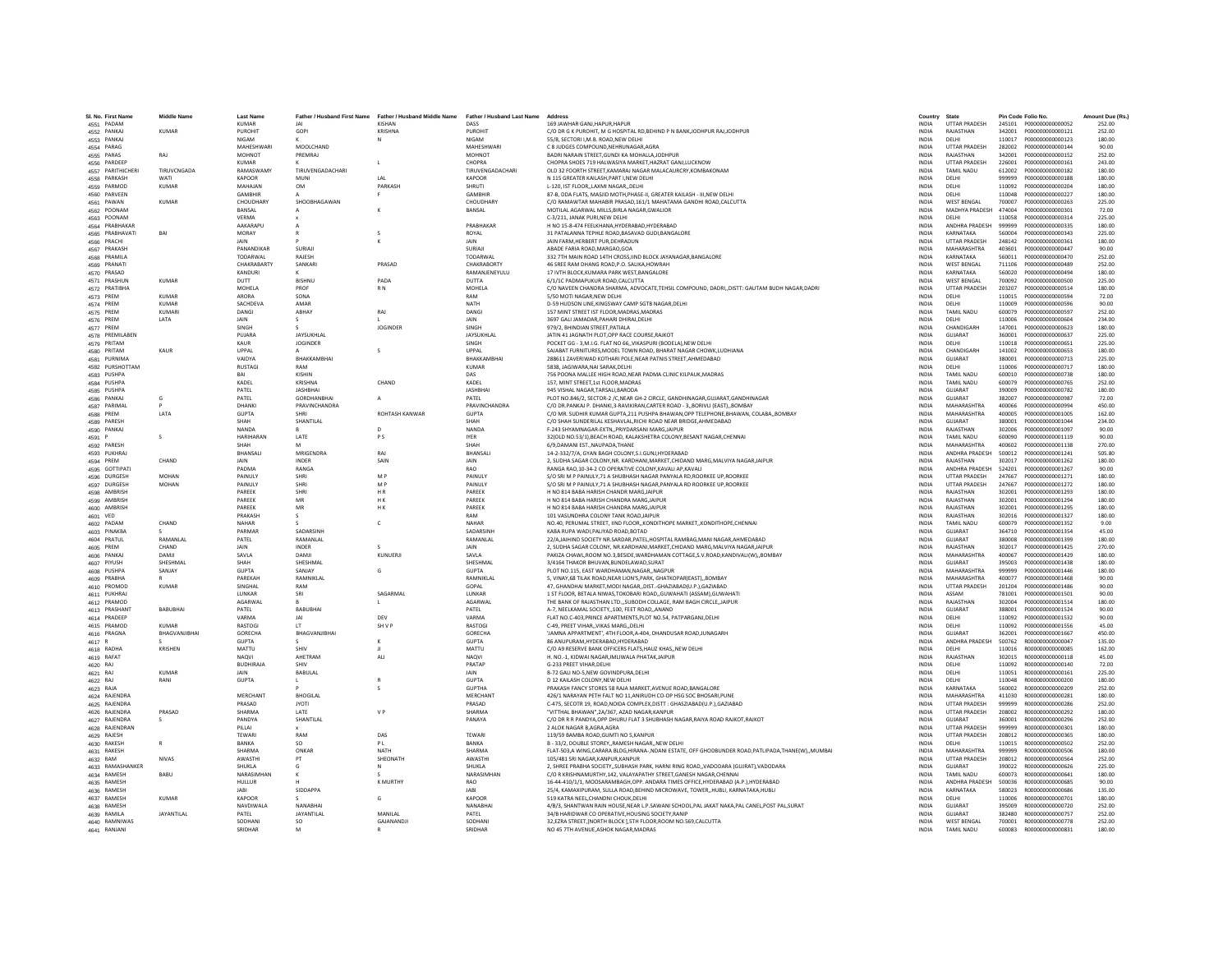| SL No. First Name<br>4551 PADAM | <b>Middle Name</b> | <b>Last Name</b><br><b>KUMAR</b> | <b>IAI</b>              | Father / Husband First Name Father / Husband Middle Name Father / Husband Last Name<br>KISHAN | DASS                          | Address<br>169 JAWHAR GANJ, HAPUR, HAPUR                                                                                                                     | Country<br><b>INDIA</b>      | State<br><b>UTTAR PRADESH</b>       | Pin Code Folio No. |                                      | Amount Due (Rs.)<br>252.00 |
|---------------------------------|--------------------|----------------------------------|-------------------------|-----------------------------------------------------------------------------------------------|-------------------------------|--------------------------------------------------------------------------------------------------------------------------------------------------------------|------------------------------|-------------------------------------|--------------------|--------------------------------------|----------------------------|
| 4552 PANKAJ                     | KUMAR              | PUROHIT                          | GOPI                    | KRISHNA                                                                                       | PUROHIT                       | C/O DR G K PUROHIT. M G HOSPITAL RD REHIND P N RANK JODHPUR RALJODHPUR                                                                                       | <b>INDIA</b>                 | RAIASTHAN                           | 342001             | 2000000000000121                     | 252.00                     |
| 4553 PANKAJ                     |                    | NIGAM                            |                         |                                                                                               | <b>NIGAM</b>                  | 55/8, SECTORI I.M.B. ROAD.NEW DELHI                                                                                                                          | <b>INDIA</b>                 | DELHI                               | 110017             | P000000000000123                     | 180.00                     |
| 4554 PARAG                      |                    | MAHESHWAR                        | MOOLCHAND               |                                                                                               | MAHESHWARI                    | C 8 JUDGES COMPOUND, NEHRUNAGAR, AGRA                                                                                                                        | INDIA                        | <b>UTTAR PRADESH</b>                | 282002             | P000000000000144                     | 90.00                      |
| 4555 PARAS                      | RAJ                | MOHNOT                           | PREMRAJ                 |                                                                                               | MOHNOT                        | BADRI NARAIN STREET.GUNDI KA MOHALLAJODHPUF                                                                                                                  | <b>INDIA</b>                 | RAJASTHAN                           | 342001             | P000000000000152                     | 252.00                     |
| 4556 PARDEEF                    |                    | <b>KUMAR</b>                     |                         | $\mathsf{L}$                                                                                  | CHOPRA                        | CHOPRA SHOES 719 HALWASIYA MARKET, HAZRAT GANJ, LUCKNOW                                                                                                      | <b>INDIA</b>                 | <b>UTTAR PRADESH</b>                | 226001             | P000000000000161                     | 243.00                     |
| 4557 PARITHICHERI               | TIRUVCNGADA        | RAMASWAMY                        | <b>TIRUVENGADACHARI</b> |                                                                                               | <b>TIRUVENGADACHARI</b>       | OLD 32 FOORTH STREET, KAMARAJ NAGAR MALACAURCRY, KOMBAKONAM                                                                                                  | <b>INDIA</b>                 | TAMIL NADLI                         | 612002             | P000000000000182                     | 180.00                     |
| 4558 PARKASH                    | WATI               | KAPOOF                           | MUNI                    | LAL                                                                                           | KAPOOR                        | N 115 GREATER KAILASH, PART I, NEW DELHI                                                                                                                     | INDIA                        | DELHI                               | 999999             | P000000000000188                     | 180.00                     |
| 4559 PARMOD                     | <b>KUMAR</b>       | MAHAJAN                          | <b>OM</b>               | PARKASH                                                                                       | <b>SHRUTI</b>                 | L-120. IST FLOORLAXMI NAGARDELHI                                                                                                                             | <b>INDIA</b>                 | DELHI                               | 110092             | P000000000000204                     | 180.00                     |
| 4560 PARVEEN                    |                    | GAMBHIR                          | $\mathbf{A}$            | F.                                                                                            | <b>GAMBHIR</b>                | 87-B. DDA FLATS, MASJID MOTH, PHASE-II, GREATER KAILASH - III, NEW DELHI                                                                                     | <b>INDIA</b>                 | DELHI                               | 110048             | P000000000000227                     | 180.00                     |
| 4561 PAWAN                      | KUMAR              | CHOUDHARY                        | SHOORHAGAWAN            |                                                                                               | CHOUDHARY                     | C/O RAMAWTAR MAHABIR PRASAD.161/1 MAHATAMA GANDHI ROAD.CALCUTTA                                                                                              | <b>INDIA</b>                 | <b>WEST RENGAL</b>                  | 700007             | P000000000000263                     | 225.00                     |
| 4562 POONAM                     |                    | BANSAL                           |                         |                                                                                               | BANSAL                        | MOTILAL AGARWAL MILLS, BIRLA NAGAR, GWALIOR                                                                                                                  | INDIA                        | MADHYA PRADESH 474004               |                    | P000000000000301                     | 72.00                      |
| 4563 POONAM<br>4564 PRABHAKA    |                    | VERMA<br>AAKARAPU                |                         |                                                                                               | PRABHAKAF                     | C-3/211. JANAK PURI.NEW DELHI<br>H NO 15-8-474 FEELKHANA, HYDERABAD, HYDERABAD                                                                               | <b>INDIA</b>                 | DELHI<br>ANDHRA PRADESH             | 110058<br>999999   | P000000000000314<br>P000000000000335 | 225.00<br>180.00           |
| 4565 PRABHAVATI                 | RAI                | MORAY                            |                         | $\sim$                                                                                        | ROYAL                         | 31 PATALANNA TEPHLE ROAD RASAVAD GUDLBANGALORE                                                                                                               | INDIA<br><b>INDIA</b>        | KARNATAKA                           | 560004             | P000000000000343                     | 225.00                     |
| 4566 PRACHI                     |                    | <b>JAIN</b>                      |                         | к                                                                                             | <b>JAIN</b>                   | JAIN FARM.HERBERT PUR.DEHRADUN                                                                                                                               | <b>INDIA</b>                 | <b>UTTAR PRADESH</b>                | 248142             | P000000000000361                     | 180.00                     |
| 4567 PRAKASH                    |                    | PANANDIKAR                       | SURIAII                 |                                                                                               | SURIAJI                       | ABADE FARIA ROAD, MARGAO, GOA                                                                                                                                | INDIA                        | MAHARASHTRA                         | 403601             | P000000000000447                     | 90.00                      |
| 4568 PRAMILA                    |                    | TODARWAL                         | RAJESH                  |                                                                                               | TODARWAL                      | 332 7TH MAIN ROAD 14TH CROSS.IIND BLOCK JAYANAGAR.BANGALORE                                                                                                  | <b>INDIA</b>                 | KARNATAKA                           | 560011             | P000000000000470                     | 252.00                     |
| 4569 PRANATI                    |                    | CHAKRABARTY                      | SANKARI                 | PRASAD                                                                                        | CHAKRABORTY                   | 46 SREE RAM DHANG ROAD.P.O. SALIKA.HOWRAH                                                                                                                    | <b>INDIA</b>                 | <b>WEST BENGAL</b>                  | 711106             | P000000000000489                     | 252.00                     |
| 4570 PRASAD                     |                    | KANDURI                          |                         |                                                                                               | RAMANJENEYULU                 | 17 IVTH BLOCK KUMARA PARK WEST RANGALORE                                                                                                                     | <b>INDIA</b>                 | KARNATAKA                           | 560020             | P0000000000000494                    | 180.00                     |
| 4571 PRASHUN                    | <b>KUMAR</b>       | <b>DUTT</b>                      | <b>RISHNU</b>           | PADA                                                                                          | <b>DUTTA</b>                  | 6/1/1C PADMAPUKUR ROAD, CALCUTTA                                                                                                                             | <b>INDIA</b>                 | <b>WEST BENGAL</b>                  | 700092             | P000000000000500                     | 225.00                     |
| 4572 PRATIBHA                   |                    | MOHELA                           | PROF                    | R <sub>N</sub>                                                                                | MOHELA                        | C/O NAVEEN CHANDRA SHARMA, ADVOCATE, TEHSIL COMPOUND, DADRI,, DISTT: GAUTAM BUDH NAGAR, DADRI                                                                | <b>INDIA</b>                 | <b>UTTAR PRADESH</b>                | 203207             | P000000000000514                     | 180.00                     |
| 4573 PREM                       | <b>KUMAR</b>       | ARORA                            | SONA                    |                                                                                               | RAM                           | 5/50 MOTI NAGAR.NEW DELHI                                                                                                                                    | INDIA                        | DELHI                               | 110015             | P000000000000594                     | 72.00                      |
| 4574 PREM                       | KUMAR              | SACHDEVA                         | AMAR                    |                                                                                               | <b>NATH</b>                   | D-59 HUDSON LINE KINGSWAY CAMP SGTR NAGAR DELHI                                                                                                              | <b>INDIA</b>                 | DELHI                               | 110009             | P000000000000596                     | 90.00                      |
| 4575 PREM                       | KUMARI<br>LATA     | DANGL<br>JAIN                    | <b>ARHAY</b>            | RAJ                                                                                           | DANGL<br>JAIN                 | 157 MINT STREET IST FLOOR, MADRAS, MADRAS<br>3697 GALI JAMADAR, PAHARI DHIRAJ, DELHI                                                                         | <b>INDIA</b><br><b>INDIA</b> | <b>TAMIL NADU</b><br>DELHI          | 600079<br>110006   | P000000000000597<br>P000000000000604 | 252.00<br>234.00           |
| 4576 PREM<br>4577 PREM          |                    | SINGH                            |                         | JOGINDER                                                                                      | SINGH                         | 979/2, BHINDIAN STREET, PATIALA                                                                                                                              | INDIA                        | CHANDIGARH                          | 147001             | P000000000000623                     | 180.00                     |
| 4578 PREMILABEN                 |                    | PUIARA                           | <b>JAYSUKHLAL</b>       |                                                                                               | <b>JAYSUKHLAL</b>             | JATIN 41 JAGNATH PLOT OPP RACE COURSE RAIKOT                                                                                                                 | <b>INDIA</b>                 | GUIARAT                             | 360001             | P000000000000637                     | 225.00                     |
| 4579 PRITAM                     |                    | KALIR                            | <b>JOGINDER</b>         |                                                                                               | <b>SINGH</b>                  | POCKET GG - 3, M.I.G. FLAT NO 66, VIKASPURI (BODELA), NEW DELHI                                                                                              | <b>INDIA</b>                 | DELHI                               | 110018             | P000000000000651                     | 225.00                     |
| 4580 PRITAM                     | KAUR               | <b>IIDDAI</b>                    |                         | $\varsigma$                                                                                   | <b>UPPAL</b>                  | SAJABAT FURNITURES, MODEL TOWN ROAD, BHARAT NAGAR CHOWK, LUDHIANA                                                                                            | <b>INDIA</b>                 | CHANDIGARH                          | 141002             | P000000000000653                     | 180.00                     |
| 4581 PURNIMA                    |                    | VAIDYA                           | BHAKKAMBHAI             |                                                                                               | BHAKKAMBHAI                   | 288611 ZAVERIWAD KOTHARI POLE, NEAR PATNIS STREET, AHMEDABAD                                                                                                 | <b>INDIA</b>                 | GUJARAT                             | 380001             | P000000000000713                     | 225.00                     |
| 4582 PURSHOTTAM                 |                    | <b>RUSTAGI</b>                   | RAM                     |                                                                                               | KUMAR                         | 5838, JAGIWARA, NAI SARAK, DELHI                                                                                                                             | INDIA                        | DELHI                               | 110006             | P000000000000717                     | 180.00                     |
| 4583 PUSHPA                     |                    | RAI                              | KISHIN                  |                                                                                               | DAS                           | 756 POONA MALLEE HIGH ROAD, NEAR PADMA CLINIC KILPAUK, MADRAS                                                                                                | <b>INDIA</b>                 | <b>TAMIL NADLI</b>                  | 600010             | 2000000000000738                     | 180.00                     |
| 4584 PUSHPA                     |                    | KADEL                            | KRISHNA                 | CHAND                                                                                         | KADEL                         | 157, MINT STREET, 1st FLOOR, MADRAS                                                                                                                          | <b>INDIA</b>                 | <b>TAMIL NADU</b>                   | 600079             | P000000000000765                     | 252.00                     |
| 4585 PUSHPA                     |                    | PATEL                            | <b>JASHBHAI</b>         |                                                                                               | <b>JASHBHAI</b>               | 945 VISHAL NAGAR.TARSALI.BARODA                                                                                                                              | <b>INDIA</b>                 | GUJARAT                             | 390009             | P000000000000782                     | 180.00                     |
| 4586 PANKAJ                     | G                  | PATEL                            | GORDHANBHA              | $\mathbf{A}$                                                                                  | PATEL                         | PLOT NO.846/2, SECTOR-2 /C, NEAR GH-2 CIRCLE, GANDHINAGAR, GUJARAT, GANDHINAGAR                                                                              | INDIA                        | GUJARAT                             | 382007             | P000000000000987                     | 72.00                      |
| 4587 PARIMAL                    | <b>IATA</b>        | DHANKI<br>GUPTA                  | PRAVINCHANDRA<br>SHRI   | <b>ROHTASH KANWAR</b>                                                                         | PRAVINCHANDRA<br><b>GUPTA</b> | C/O DR PANKALP, DHANKL3-RAVIKIRAN CARTER ROAD - 3, BORIVI LIFASTI, BOMBAY<br>C/O MR. SUDHIR KUMAR GUPTA.211 PUSHPA BHAWAN.OPP TELEPHONE.BHAWAN. COLABABOMBAY | <b>INDIA</b><br><b>INDIA</b> | MAHARASHTRA<br>MAHARASHTRA          | 400066<br>400005   | 2000000000000994<br>2000000000001005 | 450.00<br>162.00           |
| 4588 PREM<br>4589 PARESH        |                    | SHAH                             | SHANTILAL               |                                                                                               | SHAH                          | C/O SHAH SUNDERILAL KESHAVLAL.RICHI ROAD NEAR BRIDGE.AHMEDABAD                                                                                               | <b>INDIA</b>                 | GUIARAT                             | 380001             | P000000000001044                     | 234.00                     |
| 4590 PANKAJ                     |                    | NANDA                            |                         |                                                                                               | NANDA                         | F-243 SHYAMNAGAR-EXTN,, PRIYDARSANI MARG, JAIPUR                                                                                                             | <b>INDIA</b>                 | RAJASTHAN                           | 302006             | P000000000001097                     | 90.00                      |
| 4591 P                          | $\mathcal{L}$      | <b>HARIHARAN</b>                 | LATE                    | <b>PS</b>                                                                                     | <b>IYER</b>                   | 32(OLD NO.53/1).BEACH ROAD, KALAKSHETRA COLONY.BESANT NAGAR.CHENNAI                                                                                          | <b>INDIA</b>                 | <b>TAMIL NADLI</b>                  | 600090             | P000000000001119                     | 90.00                      |
| 4592 PARESH                     |                    | SHAH                             | M                       |                                                                                               | SHAH                          | 6/9.DAMANI ESTNAUPADA.THANE                                                                                                                                  | <b>INDIA</b>                 | MAHARASHTRA                         | 400602             | P000000000001138                     | 270.00                     |
| 4593 PUKHRAJ                    |                    | BHANSALI                         | MRIGENDRA               | RA1                                                                                           | <b>RHANSALL</b>               | 14-2-332/7/A, GYAN BAGH COLONY.S.I.GUNJ.HYDERABAD                                                                                                            | <b>INDIA</b>                 | ANDHRA PRADESH                      | 500012             | P000000000001241                     | 505.80                     |
| 4594 PREM                       | CHAND              | JAIN                             | INDER                   | SAIN                                                                                          | JAIN                          | 2, SUDHA SAGAR COLONY, NR. KARDHANI, MARKET, CHIDAND MARG, MALVIYA NAGAR, JAIPUR                                                                             | <b>INDIA</b>                 | RAJASTHAN                           | 302017             | P000000000001262                     | 180.00                     |
| 4595 GOTTIPATI                  |                    | PADMA                            | RANGA                   |                                                                                               | <b>RAO</b>                    | RANGA RAO, 10-34-2 CO OPERATIVE COLONY, KAVALI AP, KAVALI                                                                                                    | INDIA                        | ANDHRA PRADESH                      | 524201             | P000000000001267                     | 90.00                      |
| 4596 DURGESH                    | <b>MOHAN</b>       | PAINULY                          | SHRI                    | M <sub>P</sub>                                                                                | PAINULY                       | S/O SRI M P PAINULY, 71 A SHUBHASH NAGAR PANYALA RD, ROORKEE UP, ROORKEE                                                                                     | <b>INDIA</b>                 | <b>UTTAR PRADESH</b>                | 247667             | P000000000001271                     | 180.00                     |
| 4597 DURGESH                    | <b>MOHAN</b>       | PAINULY                          | SHRI                    | M <sub>P</sub>                                                                                | <b>PAINULY</b>                | S/O SRI M P PAINULY, 71 A SHUBHASH NAGAR, PANYALA RD ROORKEE UP, ROORKEE                                                                                     | <b>INDIA</b>                 | <b>UTTAR PRADESH</b>                | 247667             | P000000000001272                     | 180.00                     |
| 4598 AMBRISH                    |                    | PAREEK<br>PAREEK                 | SHRI<br>MR              | HR<br>HK.                                                                                     | PAREEK<br>PAREEK              | H NO 814 BABA HARISH CHANDR MARG, JAIPUR                                                                                                                     | INDIA                        | RAJASTHAN<br>RAJASTHAN              | 302001<br>302001   | P000000000001293<br>P000000000001294 | 180.00<br>180.00           |
| 4599 AMBRISH<br>4600 AMBRISH    |                    | PAREEK                           | MR                      | H K                                                                                           | PAREEK                        | H NO 814 BABA HARISH CHANDRA MARG, JAIPUR<br>H NO 814 BABA HARISH CHANDRA MARG.JAIPUR                                                                        | INDIA<br><b>INDIA</b>        | RAJASTHAN                           | 302001             | P000000000001295                     | 180.00                     |
| 4601 VED                        |                    | PRAKASH                          | $\mathcal{S}$           |                                                                                               | RAM                           | 101 VASUNDHRA COLONY TANK ROAD JAIPUR                                                                                                                        | <b>INDIA</b>                 | RAIASTHAN                           | 302016             | P000000000001327                     | 180.00                     |
| 4602 PADAM                      | CHAND              | NAHAR                            |                         | c                                                                                             | NAHAR                         | NO.40, PERUMAL STREET, IIND FLOOR,, KONDITHOPE MARKET,, KONDITHOPE, CHENNAI                                                                                  | <b>INDIA</b>                 | <b>TAMIL NADU</b>                   | 600079             | P000000000001352                     | 9.00                       |
| 4603 PINAKBA                    |                    | PARMAR                           | SADARSINE               |                                                                                               | SADARSINH                     | KABA RUPA WADI.PALIYAD ROAD.BOTAD                                                                                                                            | <b>INDIA</b>                 | GUJARAT                             | 364710             | P000000000001354                     | 45.00                      |
| 4604 PRATUL                     | RAMANI AI          | PATEL                            | <b>RAMANIAI</b>         |                                                                                               | RAMANLAL                      | 22/A,JAIHIND SOCIETY NR.SARDAR,PATEL,HOSPITAL RAMBAG,MANI NAGAR,AHMEDABAD                                                                                    | <b>INDIA</b>                 | GUIARAT                             | 380008             | P000000000001399                     | 180.00                     |
| 4605 PREM                       | CHAND              | JAIN                             | INDER                   | s                                                                                             | <b>JAIN</b>                   | 2. SUDHA SAGAR COLONY, NR.KARDHANI, MARKET, CHIDAND MARG, MALVIYA NAGAR JAIPUR                                                                               | <b>INDIA</b>                 | RAJASTHAN                           | 302017             | P000000000001425                     | 270.00                     |
| 4606 PANKAJ                     | <b>DAMIL</b>       | SAVI A                           | <b>DAMIL</b>            | KUNUFRII                                                                                      | SAVLA                         | PAKIZA CHAWL.ROOM NO.3.BESIDE.WARDHAMAN COTTAGE.S.V.ROAD.KANDIVALI(W)BOMBAY                                                                                  | <b>INDIA</b>                 | MAHARASHTRA                         | 400067             | P000000000001429                     | 180.00                     |
| 4607 PIYUSH                     | SHESHMAL           | SHAH                             | SHESHMAL                |                                                                                               | SHESHMAL                      | 3/4164 THAKOR BHUVAN, BUNDELAWAD, SURAT                                                                                                                      | INDIA                        | GUJARAT                             | 395003             | P000000000001438                     | 180.00                     |
| 4608 PUSHPA                     | SANJAY             | <b>GUPTA</b>                     | SANJAY                  | G                                                                                             | <b>GUPTA</b>                  | PLOT NO.115, EAST WARDHAMAN, NAGAR,, NAGPUR                                                                                                                  | INDIA                        | MAHARASHTRA                         | 999999             | P000000000001446                     | 180.00                     |
| 4609 PRABHA                     | <b>KUMAR</b>       | PAREKAH<br>SINGHAI               | RAMNIKLAL<br>RAM        |                                                                                               | RAMNIKLAL<br>GOPAL            | 5. VINAY.68 TILAK ROAD.NEAR LION'S.PARK. GHATKOPAR(EAST)BOMBAY                                                                                               | <b>INDIA</b><br><b>INDIA</b> | MAHARASHTRA<br><b>UTTAR PRADESH</b> | 400077<br>201204   | P000000000001468<br>P000000000001486 | 90.00<br>90.00             |
| 4610 PROMOD<br>4611 PUKHRA      |                    | LUNKAR                           | SRI                     | SAGARMAL                                                                                      | LUNKAR                        | 47, GHANDHAI MARKET, MODI NAGAR, ,DIST .- GHAZIABAD(U.P.), GAZIABAD<br>1 ST FLOOR, BETALA NIWAS, TOKOBARI ROAD, GUWAHATI (ASSAM), GUWAHATI                   | INDIA                        | ASSAM                               | 781001             | P000000000001501                     | 90.00                      |
| 4612 PRAMOD                     |                    | AGARWAI                          |                         |                                                                                               | AGARWAL                       | THE BANK OF RAJASTHAN LTD."SUBODH COLLAGE, RAM BAGH CIRCLE, JAIPUR                                                                                           | INDIA                        | RAJASTHAN                           | 302004             | P000000000001514                     | 180.00                     |
| 4613 PRASHANT                   | <b>BABUBHAI</b>    | PATEL                            | BABUBHAI                |                                                                                               | PATEL                         | A-7. NEELKAMAL SOCIETY100. FEET ROADANAND                                                                                                                    | <b>INDIA</b>                 | GUJARAT                             | 388001             | P000000000001524                     | 90.00                      |
| 4614 PRADEEP                    |                    | VARMA                            | <b>JAI</b>              | DEV                                                                                           | VARMA                         | FLAT NO.C-403.PRINCE APARTMENTS.PLOT NO.54, PATPARGANJ.DELHI                                                                                                 | <b>INDIA</b>                 | DELHI                               | 110092             | P000000000001532                     | 90.00                      |
| 4615 PRAMOD                     | KUMAR              | <b>RASTOGI</b>                   | $\mathsf{I}$            | SH V P                                                                                        | <b>RASTOGI</b>                | C-49, PREET VIHAR,, VIKAS MARG,, DELHI                                                                                                                       | <b>INDIA</b>                 | DELHI                               | 110092             | P000000000001556                     | 45.00                      |
| 4616 PRAGNA                     | BHAGVANJIBHA       | GORECHA                          | BHAGVANJIBHAI           |                                                                                               | GORECHA                       | 'JAMNA APPARTMENT', 4TH FLOOR, A-404, DHANDUSAR ROAD, JUNAGARH                                                                                               | INDIA                        | GUJARAT                             | 362001             | P000000000001667                     | 450.00                     |
| 4617 R                          |                    | <b>GUPTA</b>                     |                         | к                                                                                             | <b>GUPTA</b>                  | 86 ANUPURAM.HYDERABAD.HYDERABAD                                                                                                                              | <b>INDIA</b>                 | ANDHRA PRADESH                      | 500762             | B0000000000000047                    | 135.00                     |
| 4618 RADHA                      | KRISHEN            | MATTU                            | SHIV                    |                                                                                               | MATTU                         | C/O A9 RESERVE BANK OFFICERS FLATS.HAUZ KHASNEW DELHI                                                                                                        | <b>INDIA</b>                 | DELHI                               | 110016             | R000000000000085                     | 162.00                     |
| 4619 RAFAT                      |                    | <b>NAOVI</b>                     | AHFTRAM                 | <b>ALI</b>                                                                                    | <b>NAOVI</b>                  | H. NO.-1. KIDWAI NAGAR.IMLIWALA PHATAK.JAIPUR                                                                                                                | <b>INDIA</b>                 | RAIASTHAN                           | 302015             | R000000000000118                     | 45.00                      |
| 4620 RAJ                        | <b>KUMAR</b>       | BUDHIRAJA<br>JAIN                | SHIV<br>BABULAL         |                                                                                               | PRATAE<br>JAIN                | G-233 PREET VIHAR, DELHI<br>B-72 GALI NO-5, NEW GOVINDPURA, DELHI                                                                                            | INDIA<br>INDIA               | DELHI<br>DELHI                      | 110092<br>110051   | R000000000000140<br>R000000000000161 | 72.00<br>225.00            |
| 4621 RAJ<br>4622 RAJ            | RANI               | <b>GUPTA</b>                     |                         | $\mathsf R$                                                                                   | <b>GUPTA</b>                  | D 12 KAILASH COLONY.NEW DELHI                                                                                                                                | <b>INDIA</b>                 | DELHI                               | 110048             | B000000000000200                     | 180.00                     |
| 4623 RAJA                       |                    |                                  |                         |                                                                                               | <b>GUPTHA</b>                 | PRAKASH FANCY STORES 58 RAJA MARKET AVENUE ROAD.BANGALORE                                                                                                    | <b>INDIA</b>                 | KARNATAKA                           | 560002             | R00000000000209                      | 252.00                     |
| 4624 RAJENDRA                   |                    | MERCHANT                         | <b>BHOGILAI</b>         |                                                                                               | MERCHANT                      | 426/1 NARAYAN PETH FALT NO 11, ANIRUDH CO-OP HSG SOC BHOSARI, PUNE                                                                                           | <b>INDIA</b>                 | MAHARASHTRA                         | 411030             | B000000000000281                     | 180.00                     |
| 4625 RAJENDRA                   |                    | PRASAD                           | <b>JYOTI</b>            |                                                                                               | PRASAD                        | C-475, SECOTR 19, ROAD, NOIDA COMPLEX, DISTT : GHASZIABAD(U.P.), GAZIABAD                                                                                    | INDIA                        | <b>UTTAR PRADESH</b>                | 999999             | R000000000000286                     | 252.00                     |
| 4626 RAJENDRA                   | PRASAD             | SHARMA                           | <b>LATE</b>             | V <sub>P</sub>                                                                                | SHARMA                        | "VITTHAL BHAWAN".2A/367, AZAD NAGAR,KANPUR                                                                                                                   | <b>INDIA</b>                 | <b>UTTAR PRADESH</b>                | 208002             | 8000000000000292                     | 180.00                     |
| 4627 RAJENDRA                   | s.                 | PANDYA                           | SHANTILAL               |                                                                                               | PANAYA                        | C/O DR R R PANDYA.OPP DHURU FLAT 3 SHUBHASH NAGAR.RAIYA ROAD RAJKOT.RAJKOT                                                                                   | <b>INDIA</b>                 | GUJARAT                             | 360001             | R000000000000296                     | 252.00                     |
| 4628 RAJENDRAN                  |                    | PILLAL                           |                         |                                                                                               |                               | 2 ALOK NAGAR B.AGRA.AGRA                                                                                                                                     | <b>INDIA</b>                 | <b>UTTAR PRADESH</b>                | 999999             | R000000000000301                     | 180.00                     |
| 4629 RAJESH                     |                    | TEWARI                           | RAM                     | DAS                                                                                           | TEWARI                        | 119/59 BAMBA ROAD, GUMTI NO 5, KANPUR                                                                                                                        | INDIA                        | <b>UTTAR PRADESH</b>                | 208012             | R000000000000365                     | 180.00                     |
| 4630 RAKESH                     |                    | BANKA                            | so                      | PL                                                                                            | <b>BANKA</b>                  | B - 33/2, DOUBLE STOREY, RAMESH NAGAR, NEW DELHI                                                                                                             | <b>INDIA</b>                 | DELHI                               | 110015             | R000000000000502                     | 252.00                     |
| 4631 RAKESH                     |                    | SHARMA                           | ONKAR                   | <b>NATH</b>                                                                                   | SHARMA                        | FLAT-503,A WING,CARARA BLDG,HIRANA-,NDANI ESTATE, OFF GHODBUNDER ROAD,PATLIPADA,THANE(W),,MUMBAI                                                             | <b>INDIA</b>                 | MAHARASHTRA                         | 999999             | R000000000000506                     | 180.00                     |
| 4632 RAM                        | <b>NIVAS</b>       | AWASTHI                          | PT                      | SHEONATH                                                                                      | <b>AWASTHI</b>                | 105/481 SRI NAGAR KANPUR KANPUR                                                                                                                              | <b>INDIA</b>                 | <b>UTTAR PRADESH</b>                | 208012             | B000000000000564                     | 252.00                     |
| 4633 RAMASHANKER                |                    | SHUKLA                           | G                       | N                                                                                             | SHUKLA                        | 2, SHREE PRABHA SOCIETY, SUBHASH PARK, HARNI RING ROAD, VADODARA (GUJRAT), VADODARA                                                                          | INDIA                        | GUJARAT                             | 390022             | R000000000000626                     | 225.00                     |
| 4634 RAMESH<br>4635 RAMESH      | BABU               | NARASIMHAN<br>HULLUR             |                         | <b>K MURTHY</b>                                                                               | NARASIMHAM<br><b>RAO</b>      | C/O R KRISHNAMURTHY,142, VALAYAPATHY STREET, GANESH NAGAR, CHENNAI<br>16-44-410/1/1. MOOSARAMBAGH.OPP. ANDARA TIMES OFFICE.HYDERABAD (A.P.).HYDERABAD        | INDIA<br><b>INDIA</b>        | TAMIL NADU<br>ANDHRA PRADESH        | 600073<br>500036   | R000000000000641<br>B000000000000685 | 180.00<br>90.00            |
| 4636 RAMESH                     |                    | JABI                             | <b>SIDDAPPA</b>         |                                                                                               | <b>JABI</b>                   | 25/4, KAMAXIPURAM, SULLA ROAD, BEHIND MICROWAVE, TOWER, HUBLI, KARNATAKA, HUBLI                                                                              | <b>INDIA</b>                 | KARNATAKA                           | 580023             | R000000000000686                     | 135.00                     |
| 4637 RAMESH                     | <b>KUMAR</b>       | KAPOOR                           |                         | G                                                                                             | KAPOOR                        | 519 KATRA NEEL CHANDNI CHOUK.DELHI                                                                                                                           | <b>INDIA</b>                 | DELHI                               | 110006             | 8000000000000701                     | 180.00                     |
| 4638 RAMESH                     |                    | NAVDIWALA                        | NANABHAI                |                                                                                               | NANABHA                       | 4/B/3, SHANTWAN RAIN HOUSE, NEAR L.P. SAWANI SCHOOL, PAL JAKAT NAKA, PAL CANEL, POST PAL, SURAT                                                              | INDIA                        | GUJARAT                             | 395009             | R00000000000720                      | 252.00                     |
| 4639 RAMILA                     | <b>JAYANTILAL</b>  | PATEL                            | <b>JAYANTILAI</b>       | MANILAI                                                                                       | PATEL                         | 34/B HARIDWAR CO OPERATIVE, HOUSING SOCIETY, RANIP                                                                                                           | <b>INDIA</b>                 | GUJARAT                             | 382480             | R00000000000757                      | 252.00                     |
| 4640 RAMNIWAS                   |                    | SODHANI                          | <b>SO</b>               | GAJANANDJI                                                                                    | SODHANI                       | 32.EZRA STREET.INORTH BLOCK 1.5TH FLOOR.ROOM NO.569.CALCUTTA                                                                                                 | <b>INDIA</b>                 | <b>WEST BENGAL</b>                  |                    |                                      | 252.00                     |
| 4641 RANJANI                    |                    | SRIDHAR                          | M                       |                                                                                               | SRIDHAR                       | NO 45 7TH AVENUE.ASHOK NAGAR.MADRAS                                                                                                                          | <b>INDIA</b>                 | <b>TAMIL NADLI</b>                  |                    | 600083 8000000000000831              | 180.00                     |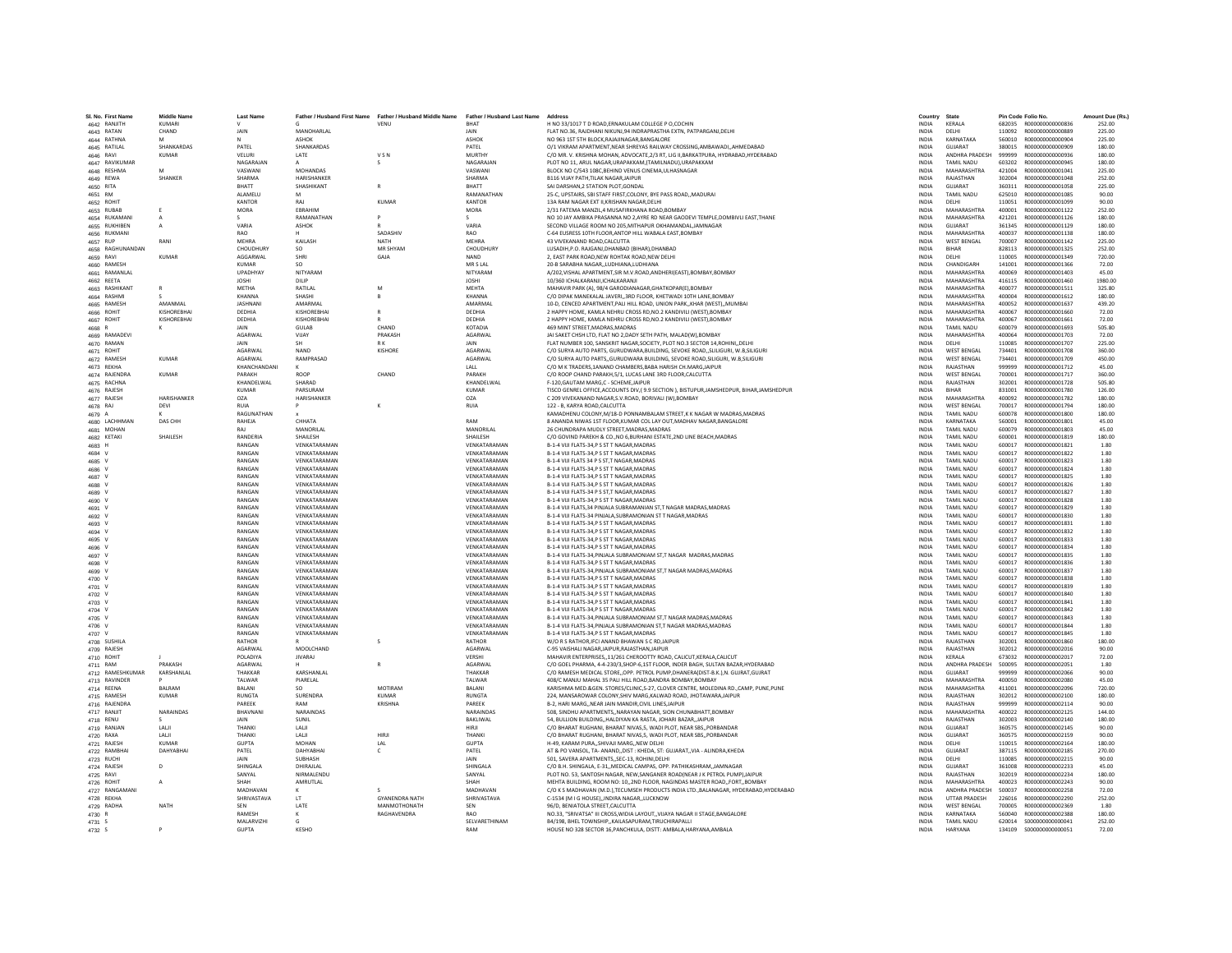| SI, No. First Name       | <b>Middle Name</b><br><b>KUMARI</b> | <b>Last Name</b>       | Father / Husband First Name  | Father / Husband Middle Name | Father / Husband Last Name Address<br>BHAT | H NO 33/1017 T D ROAD.ERNAKULAM COLLEGE P O.COCHIN                                                                             | Country<br><b>INDIA</b>      | State<br>KERALA                  |                  | Pin Code Folio No<br>R000000000000836 | Amount Due (Rs.  |
|--------------------------|-------------------------------------|------------------------|------------------------------|------------------------------|--------------------------------------------|--------------------------------------------------------------------------------------------------------------------------------|------------------------------|----------------------------------|------------------|---------------------------------------|------------------|
| 4642 RANJITH             |                                     |                        | MANOHARLAL                   | VENU                         |                                            |                                                                                                                                |                              |                                  | 682035           | R000000000000889                      | 252.00           |
| 4643 RATAN               | CHAND                               | JAIN                   |                              |                              | JAIN                                       | FLAT NO.36, RAJDHANI NIKUNJ,94 INDRAPRASTHA EXTN, PATPARGANJ,DELHI                                                             | INDIA                        | DELHI                            | 110092           |                                       | 225.00           |
| 4644 RATHNA              | M<br>SHANKARDAS                     | N                      | ASHOK                        |                              | ASHOK                                      | NO 963 1ST 5TH BLOCK RAIAUNAGAR BANGALORE                                                                                      | <b>INDIA</b>                 | KARNATAKA<br>GUIARAT             | 560010           | B000000000000904                      | 225.00           |
| 4645 RATILAL             |                                     | PATFI                  | SHANKARDAS                   |                              | PATFI                                      | O/1 VIKRAM APARTMENT, NEAR SHREYAS RAILWAY CROSSING, AMBAWADI, , AHMEDABAD                                                     | <b>INDIA</b>                 |                                  | 380015           | R000000000000909                      | 180.00           |
| 4646 RAVI                | <b>KUMAR</b>                        | VELURI                 | LATE                         | VSN                          | <b>MURTHY</b>                              | C/O MR. V. KRISHNA MOHAN, ADVOCATE, 2/3 RT, LIG II, BARKATPURA, HYDRABAD, HYDERABAD                                            | INDIA                        | ANDHRA PRADESH                   | 999999           | R000000000000936                      | 180.00           |
| 4647 RAVIKUMAR           |                                     | NAGARAIAN              |                              |                              | NAGARAJAN                                  | PLOT NO 11. ARUL NAGAR.URAPAKKAM.(TAMILNADU).URAPAKKAM                                                                         | <b>INDIA</b>                 | TAMIL NADU                       | 603202           | B000000000000945                      | 180.00           |
| 4648 RESHMA              | M                                   | VASWANI                | <b>MOHANDAS</b>              |                              | VASWANI                                    | BLOCK NO C/543 108C.BEHIND VENUS CINEMA, ULHASNAGAR                                                                            | <b>INDIA</b>                 | MAHARASHTRA                      | 421004           | R000000000001041                      | 225.00           |
| 4649 REWA                | SHANKER                             | SHARMA                 | HARISHANKER                  |                              | SHARMA                                     | B116 VIJAY PATH, TILAK NAGAR, JAIPUF                                                                                           | <b>INDIA</b>                 | RAJASTHAN                        | 302004           | R000000000001048                      | 252.00           |
| 4650 RITA                |                                     | BHATT                  | SHASHIKANT                   |                              | BHATT                                      | SAI DARSHAN.2 STATION PLOT.GONDA                                                                                               | INDIA                        | GUJARAT                          | 360311           | R000000000001058                      | 225.00           |
| 4651 RM                  |                                     | ALAMELL                | M                            |                              | RAMANATHAN                                 | 25-C, UPSTAIRS, SBI STAFF FIRST, COLONY, BYE PASS ROAD, MADURAI                                                                | <b>INDIA</b>                 | <b>TAMIL NADU</b>                | 625010           | R000000000001085                      | 90.00            |
| 4652 ROHIT               |                                     | KANTOR                 | RAI                          | KUMAR                        | KANTOR                                     | 13A RAM NAGAR EXT II KRISHAN NAGAR DELHI                                                                                       | <b>INDIA</b>                 | <b>DELHI</b>                     | 110051           | B000000000001099                      | 90.00            |
| 4653 RUBAB               |                                     | MORA                   | EBRAHIM                      |                              | MORA                                       | 2/31 FATEMA MANZIL,4 MUSAFIRKHANA ROAD,BOMBAY                                                                                  | INDIA                        | <b>MAHARASHTRA</b>               | 400001           | R000000000001122                      | 252.00           |
| 4654 RUKAMANI            |                                     |                        | RAMANATHAN                   |                              |                                            | NO 10 JAY AMBIKA PRASANNA NO 2,AYRE RD NEAR GAODEVI TEMPLE, DOMBIVLI EAST, THANE                                               | <b>INDIA</b>                 | MAHARASHTRA                      | 421201           | R000000000001126                      | 180.00           |
| 4655 RUKHIBEN            | А                                   | VARIA                  | <b>ASHOK</b>                 |                              | VARIA                                      | SECOND VILLAGE ROOM NO 205.MITHAPUR OKHAMANDAL.JAMNAGAR                                                                        | <b>INDIA</b>                 | GUIARAT                          | 361345           | B000000000001129                      | 180.00           |
| 4656 RUKMANI             |                                     | RAO                    |                              | SADASHIV                     | RAO                                        | C-64 EUSRESS 10TH FLOOR, ANTOP HILL WABALA EAST, BOMBAY                                                                        | <b>INDIA</b>                 | MAHARASHTRA                      | 400037           | R000000000001138                      | 180.00           |
| 4657 RUP                 | RANI                                | <b>MEHRA</b>           | KAILASH                      | <b>NATH</b>                  | <b>MFHRA</b>                               | 43 VIVEKANAND ROAD, CALCUTTA                                                                                                   | <b>INDIA</b>                 | <b>WEST BENGAL</b>               | 700007           | R000000000001142                      | 225.00           |
| 4658 RAGHUNANDAN         |                                     | <b>CHOUDHURY</b>       | <b>SO</b>                    | MR SHYAN                     | CHOUDHURY                                  | LUSADIH, P.O. RAJGANJ, DHANBAD (BIHAR), DHANBAD                                                                                | INDIA                        | BIHAR                            | 828113           | R000000000001325                      | 252.00           |
| 4659 RAVI                | <b>KUMAR</b>                        | AGGARWAL               | SHRI                         | GAJA                         | <b>NAND</b>                                | 2. EAST PARK ROAD.NEW ROHTAK ROAD.NEW DELHI                                                                                    | <b>INDIA</b>                 | DELHI                            | 110005           | R000000000001349                      | 720.00           |
| 4660 RAMESH              |                                     | KUMAR                  | SO.                          |                              | MR S LAL                                   | 20-B SARABHA NAGAR, LUDHIANA, LUDHIANA                                                                                         | <b>INDIA</b>                 | CHANDIGARH                       | 141001           | R000000000001366                      | 72.00            |
| 4661 RAMANLAI            |                                     | <b>UPADHYAY</b>        | NITYARAM                     |                              | NITYARAM                                   | A/202, VISHAL APARTMENT, SIR M.V.ROAD, ANDHERI (EAST), BOMBAY, BOMBAY                                                          | <b>INDIA</b>                 | MAHARASHTRA                      | 400069           | R000000000001403                      | 45.00            |
| 4662 REETA               |                                     | <b>JOSHI</b>           | DILIP                        |                              | <b>JOSHI</b>                               | 10/360 ICHALKARANJI.ICHALKARANJI                                                                                               | <b>INDIA</b>                 | MAHARASHTRA                      | 416115           | R000000000001460                      | 1980.00          |
| 4663 RASHIKANT           |                                     | METHA                  | RATILAL                      | M                            | <b>MEHTA</b>                               | MAHAVIR PARK (A), 98/4 GARODIANAGAR, GHATKOPAR(E), BOMBAY                                                                      | <b>INDIA</b>                 | MAHARASHTRA                      | 400077           | R000000000001511                      | 325.80           |
| 4664 RASHMI              |                                     | KHANNA                 | SHASHI                       |                              | KHANNA                                     | C/O DIPAK MANEKALAL JAVERI3RD FLOOR, KHETWADI 10TH LANE.BOMBAY                                                                 | <b>INDIA</b>                 | MAHARASHTRA                      | 400004           | B000000000001612                      | 180.00           |
| 4665 RAMESH              | AMANMAL                             | JASHNAN                | AMARMAL                      |                              | AMARMAL                                    | 10-D, CENCED APARTMENT, PALI HILL ROAD, UNION PARK,, KHAR (WEST),, MUMBAI                                                      | INDIA                        | MAHARASHTRA                      | 400052           | R000000000001637                      | 439.20           |
| 4666 ROHIT               | KISHOREBHA                          | DEDHIA                 | KISHOREBHA                   |                              | DEDHIA                                     | 2 HAPPY HOME, KAMLA NEHRU CROSS RD, NO.2 KANDIVILI (WEST), BOMBAY                                                              | <b>INDIA</b>                 | MAHARASHTRA                      | 400067           | R000000000001660                      | 72.00            |
| 4667 ROHIT               | KISHORFRHAI                         | DEDHIA                 | KISHORFRHAI                  |                              | DEDHIA                                     | 2 HAPPY HOME, KAMLA NEHRU CROSS RD.NO.2 KANDIVILI (WEST).BOMBAY                                                                | <b>INDIA</b>                 | MAHARASHTRA                      | 400067           | B000000000001661                      | 72.00            |
|                          |                                     | <b>JAIN</b>            | <b>GUIAR</b>                 | CHAND                        | KOTADIA                                    | 469 MINT STREET, MADRAS, MADRAS                                                                                                | <b>INDIA</b>                 | <b>TAMIL NADLI</b>               | 600079           | B000000000001693                      | 505.80           |
| 4668 R<br>4669 RAMADEV   |                                     | AGARWAL                | VUAY                         | PRAKASH                      | <b>AGARWA</b>                              | JAI SAKET CHSH LTD. FLAT NO 2.DADY SETH PATH. MALAD(W).BOMBAY                                                                  | <b>INDIA</b>                 | MAHARASHTRA                      | 400064           | R000000000001703                      | 72.00            |
| 4670 RAMAN               |                                     | JAIN                   | <b>SH</b>                    | <b>RK</b>                    | JAIN                                       | FLAT NUMBER 100, SANSKRIT NAGAR, SOCIETY, PLOT NO.3 SECTOR 14, ROHINI, DELHI                                                   | INDIA                        | DELHI                            | 110085           | R000000000001707                      | 225.00           |
|                          |                                     | AGARWAL                | <b>NAND</b>                  | <b>KISHORE</b>               | AGARWAI                                    | C/O SURYA AUTO PARTS, GURUDWARA, BUILDING, SEVOKE ROAD. . SLILIGURI, W.B.SILIGUR                                               | <b>INDIA</b>                 | <b>WEST BENGAL</b>               | 734401           | R000000000001708                      | 360.00           |
| 4671 ROHIT               | KUMAR                               | <b>AGARWAL</b>         | RAMPRASAD                    |                              | <b>AGARWAL</b>                             |                                                                                                                                | <b>INDIA</b>                 | <b>WEST RENGAL</b>               | 734401           |                                       |                  |
| 4672 RAMESH              |                                     |                        |                              |                              |                                            | C/O SURYA AUTO PARTS, GURUDWARA BUILDING, SEVOKE ROAD, SILIGURI, W.B, SILIGURI                                                 |                              |                                  |                  | R000000000001709                      | 450.00           |
| 4673 REKHA               |                                     | KHANCHANDANI           |                              |                              | LALL                                       | C/O M K TRADERS, 1ANAND CHAMBERS, BABA HARISH CH.MARG, JAIPUR                                                                  | INDIA                        | RAJASTHAN                        | 999999           | R000000000001712                      | 45.00            |
| 4674 RAJENDRA            | KUMAR                               | PARAKH                 | ROOP                         | CHAND                        | PARAKH                                     | C/O ROOP CHAND PARAKH.5/1. LUCAS LANE 3RD FLOOR.CALCUTTA                                                                       | <b>INDIA</b>                 | <b>WEST BENGAL</b>               | 700001           | B000000000001717                      | 360.00           |
| 4675 RACHNA              |                                     | KHANDELWAI             | SHARAD                       |                              | KHANDELWAL                                 | F-120.GAUTAM MARG.C - SCHEMEJAIPUR                                                                                             | <b>INDIA</b>                 | RAJASTHAN                        | 302001           | R00000000001728                       | 505.80           |
| 4676 RAJESH              |                                     | <b>KUMAR</b>           | <b>PARSURAN</b>              |                              | <b>KUMAR</b>                               | TISCO GENREL OFFICE, ACCOUNTS DIV, (9.9 SECTION), BISTUPUR, JAMSHEDPUR, BIHAR, JAMSHEDPUR                                      | <b>INDIA</b>                 | RIHAR                            | 831001           | R000000000001780                      | 126.00           |
| 4677 RAJESH              | HARISHANKER                         | OZA                    | HARISHANKER                  |                              | OZA                                        | C 209 VIVEKANAND NAGAR, S.V.ROAD, BORIVALI (W), BOMBAY                                                                         | INDIA                        | <b>MAHARASHTRA</b>               | 400092           | R000000000001782                      | 180.00           |
| 4678 RAJ                 | DEVI                                | <b>RUIA</b>            | P                            |                              | <b>RUIA</b>                                | 122 - B. KARYA ROAD.CALCUTTA                                                                                                   | <b>INDIA</b>                 | <b>WEST BENGAL</b>               | 700017           | R000000000001794                      | 180.00           |
| 4679 A                   |                                     | RAGUNATHAN             |                              |                              |                                            | KAMADHENU COLONY, M/18-D PONNAMBALAM STREET, K K NAGAR W MADRAS. MADRAS                                                        | <b>INDIA</b>                 | TAMII NADLI                      | 600078           | 8000000000001800                      | 180.00           |
| 4680 LACHHMAN            | DAS CHH                             | RAHEJA                 | CHHATA                       |                              | RAM                                        | 8 ANANDA NIWAS 1ST FLOOR, KUMAR COL LAY OUT, MADHAV NAGAR, BANGALORE                                                           | <b>INDIA</b>                 | KARNATAKA                        | 560001           | R000000000001801                      | 45.00            |
| 4681 MOHAN               |                                     |                        | MANORILAL                    |                              | MANORILAL                                  | 26 CHUNDRAPA MUDLY STREET.MADRAS.MADRAS                                                                                        | <b>INDIA</b>                 | TAMIL NADU                       | 600079           | R000000000001803                      | 45.00            |
| 4682 KETAKI              | SHAILESH                            | RANDERIA               | SHAILESH                     |                              | SHAILESH                                   | C/O GOVIND PAREKH & CO., NO 6, BURHANI ESTATE, 2ND LINE BEACH, MADRAS                                                          | INDIA                        | TAMIL NADU                       | 600001           | R000000000001819                      | 180.00           |
| 4683 H                   |                                     | RANGAN                 | VENKATARAMAN                 |                              | VENKATARAMAN                               | B-1-4 VIJI FLATS-34.P S ST T NAGAR.MADRAS                                                                                      | <b>INDIA</b>                 | <b>TAMIL NADLI</b>               | 600017           | B000000000001821                      | 1.80             |
| 4684                     |                                     | RANGAN                 | VENKATARAMAN                 |                              | VENKATARAMAN                               | B-1-4 VIJI FLATS-34,P S ST T NAGAR, MADRAS                                                                                     | <b>INDIA</b>                 | <b>TAMIL NADLI</b>               | 600017           | R000000000001822                      | 1.80             |
| 4685 V                   |                                     | <b>RANGAM</b>          | VENKATARAMAM                 |                              | VENKATARAMAN                               | B-1-4 VIJI FLATS 34 P S ST.T NAGAR.MADRAS                                                                                      | <b>INDIA</b>                 | TAMIL NADU                       | 600017           | R000000000001823                      | 1.80             |
| 4686 V                   |                                     | RANGAN                 | VENKATARAMAN                 |                              | VENKATARAMAN                               | B-1-4 VIJI FLATS-34.P S ST T NAGAR.MADRAS                                                                                      | <b>INDIA</b>                 | TAMIL NADU                       | 600017           | R000000000001824                      | 1.80             |
| 4687 V                   |                                     | RANGAN                 | VENKATARAMAN                 |                              | VENKATARAMAN                               | B-1-4 VIJI FLATS-34.P S ST T NAGAR.MADRAS                                                                                      | <b>INDIA</b>                 | TAMIL NADU                       | 600017           | R000000000001825                      | 1.80             |
| 4688 V                   |                                     | RANGAN                 | VENKATARAMAM                 |                              | VENKATARAMAN                               | B-1-4 VIJI FLATS-34,P S ST T NAGAR, MADRAS                                                                                     | <b>INDIA</b>                 | TAMIL NADU                       | 600017           | R000000000001826                      | 1.80             |
|                          |                                     | RANGAN                 | VENKATARAMAM                 |                              | VENKATARAMAN                               | B-1-4 VIJI FLATS-34 P S ST,T NAGAR, MADRAS                                                                                     | INDIA                        | TAMIL NADU                       | 600017           | R000000000001827                      | 1.80             |
| 4689 V                   |                                     |                        |                              |                              |                                            |                                                                                                                                |                              |                                  |                  |                                       |                  |
| 4690 V                   |                                     | RANGAN<br>RANGAN       | VENKATARAMAN<br>VENKATARAMAN |                              | VENKATARAMAN<br>VENKATARAMAN               | B-1-4 VIJI FLATS-34.P S ST T NAGAR.MADRAS                                                                                      | <b>INDIA</b><br><b>INDIA</b> | TAMIL NADU<br><b>TAMIL NADLI</b> | 600017<br>600017 | R000000000001828<br>8000000000001829  | 1.80<br>1.80     |
| 4691 V                   |                                     |                        |                              |                              |                                            | B-1-4 VIJI FLATS.34 PINJALA SUBRAMANIAN ST.T NAGAR MADRAS.MADRAS                                                               |                              |                                  |                  |                                       |                  |
| 4692 V                   |                                     | RANGAN                 | VENKATARAMAM                 |                              | VENKATARAMAN                               | B-1-4 VIJI FLATS-34 PINJALA, SUBRAMONIAN ST T NAGAR, MADRAS                                                                    | INDIA                        | TAMIL NADU                       | 600017           | R000000000001830                      | 1.80             |
| 4693 V                   |                                     | RANGAN                 | VENKATARAMAM                 |                              | VENKATARAMAN                               | B-1-4 VIJI FLATS-34,P S ST T NAGAR, MADRAS                                                                                     | <b>INDIA</b>                 | TAMIL NADU                       | 600017           | R000000000001831                      | 1.80             |
| 4694 V                   |                                     | RANGAN                 | VENKATARAMAN                 |                              | VENKATARAMAN                               | B-1-4 VIJI FLATS-34.P S ST T NAGAR.MADRAS                                                                                      | <b>INDIA</b>                 | TAMIL NADU                       | 600017           | R000000000001832                      | 1.80             |
| 4695 V                   |                                     | RANGAN                 | VENKATARAMAN                 |                              | VENKATARAMAN                               | B-1-4 VIJI FLATS-34,P S ST T NAGAR, MADRAS                                                                                     | <b>INDIA</b>                 | <b>TAMIL NADLI</b>               | 600017           | B000000000001833                      | 1.80             |
| 4696 V                   |                                     | RANGAN                 | VENKATARAMAN                 |                              | VENKATARAMAN                               | B-1-4 VIJI FLATS-34,P S ST T NAGAR, MADRAS                                                                                     | <b>INDIA</b>                 | TAMII NADLI                      | 600017           | R000000000001834                      | 1.80             |
| 4697 V                   |                                     | RANGAN                 | VENKATARAMAN                 |                              | VENKATARAMAN                               | B-1-4 VIJI FLATS-34, PINJALA SUBRAMONIAM ST, T NAGAR MADRAS, MADRAS                                                            | INDIA                        | TAMIL NADU                       | 600017           | R000000000001835                      | 1.80             |
| V RPAN                   |                                     | RANGAN                 | VENKATARAMAN                 |                              | VENKATARAMAN                               | B-1-4 VIJI FLATS-34.P S ST T NAGAR.MADRAS                                                                                      | <b>INDIA</b>                 | <b>TAMIL NADLI</b>               | 600017           | R000000000001836                      | 1.80             |
| 4699 V                   |                                     | RANGAN                 | VENKATARAMAN                 |                              | VENKATARAMAN                               | B-1-4 VIJI FLATS-34, PINJALA SUBRAMONIAM ST, T NAGAR MADRAS, MADRAS                                                            | <b>INDIA</b>                 | TAMIL NADU                       | 600017           | R000000000001837                      | 1.80             |
| 4700 V                   |                                     | RANGAN                 | VENKATARAMAM                 |                              | VENKATARAMAN                               | B-1-4 VIJI FLATS-34,P S ST T NAGAR, MADRAS                                                                                     | INDIA                        | TAMIL NADU                       | 600017           | R000000000001838                      | 1.80             |
| 4701 V                   |                                     | RANGAN                 | VENKATARAMAN                 |                              | VENKATARAMAN                               | B-1-4 VIJI FLATS-34.P S ST T NAGAR.MADRAS                                                                                      | <b>INDIA</b>                 | TAMII NADLI                      | 600017           | B000000000001839                      | 1.80             |
| 4702 V                   |                                     | RANGAN                 | VENKATARAMAN                 |                              | VENKATARAMAN                               | B-1-4 VIJI FLATS-34.P S ST T NAGAR.MADRAS                                                                                      | <b>INDIA</b>                 | <b>TAMIL NADU</b>                | 600017           | R000000000001840                      | 1.80             |
| 4703 V                   |                                     | RANGAN                 | VENKATARAMAN                 |                              | VENKATARAMAN                               | B-1-4 VIJI FLATS-34,P S ST T NAGAR, MADRAS                                                                                     | <b>INDIA</b>                 | TAMII NADLI                      | 600017           | R000000000001841                      | 1.80             |
| 4704 V                   |                                     | RANGAN                 | VENKATARAMAM                 |                              | VENKATARAMAN                               | B-1-4 VIJI FLATS-34,P S ST T NAGAR, MADRAS                                                                                     | INDIA                        | TAMIL NADU                       | 600017           | R000000000001842                      | 1.80             |
| $4705$ V                 |                                     | RANGAN                 | VENKATARAMAN                 |                              | VENKATARAMAN                               | B-1-4 VIJI FLATS-34, PINJALA SUBRAMONIAM ST, T NAGAR MADRAS, MADRAS                                                            | <b>INDIA</b>                 | TAMIL NADU                       | 600017           | R000000000001843                      | 1.80             |
| 4706 V                   |                                     | RANGAN                 | VENKATARAMAN                 |                              | VENKATARAMAN                               | B-1-4 VIJI FLATS-34. PINJALA SUBRAMONIAN ST. T NAGAR MADRAS. MADRAS                                                            | <b>INDIA</b>                 | TAMIL NADU                       | 600017           | R000000000001844                      | 1.80             |
| 4707 V                   |                                     | RANGAN                 | VENKATARAMAN                 |                              | VENKATARAMAN                               | B-1-4 VIJI FLATS-34, PS ST T NAGAR, MADRAS                                                                                     | <b>INDIA</b>                 | <b>TAMIL NADLI</b>               | 600017           | B000000000001845                      | 1.80             |
| 4708 SUSHILA             |                                     | RATHOR                 |                              |                              | RATHOR                                     | W/O R S RATHOR.IFCI ANAND BHAWAN S C RD.JAIPUF                                                                                 | <b>INDIA</b>                 | RAJASTHAN                        | 302001           | R000000000001860                      | 180.00           |
| 4709 RAJESH              |                                     | <b>AGARWAI</b>         | MOOLCHAND                    |                              | AGARWA                                     | C-95 VAISHALI NAGAR, JAIPUR, RAJASTHAN, JAIPUR                                                                                 | INDIA                        | RAJASTHAN                        | 302012           | R000000000002016                      | 90.00            |
| 4710 ROHIT               |                                     | POLADIYA               | <b>IIVARAI</b>               |                              | VERSHI                                     | MAHAVIR ENTERPRISES11/261 CHEROOTTY ROAD, CALICUT, KERALA, CALICUT                                                             | <b>INDIA</b>                 | <b>KFRALA</b>                    | 673032           | 8000000000002017                      | 72.00            |
| 4711 RAM                 | PRAKASH                             | AGARWAL                |                              |                              | <b>AGARWAI</b>                             | C/O GOEL PHARMA, 4-4-230/3, SHOP-6, 1ST FLOOR, INDER BAGH, SULTAN BAZAR, HYDERABAD                                             | <b>INDIA</b>                 | ANDHRA PRADESH                   | 500095           | R000000000002051                      | 1.80             |
| 4712 RAMESHKUMAR         | KARSHANLAL                          | THAKKAR                | KARSHANLAI                   |                              | THAKKAF                                    | C/O RAMESH MEDICAL STORE, OPP. PETROL PUMP, DHANERA(DIST-B.K.), N. GUJRAT, GUJRAT                                              | INDIA                        | <b>GUJARAT</b>                   | 999999           | R000000000002066                      | 90.00            |
| 4713 RAVINDER            |                                     | TALWAR                 | PIARELAL                     |                              | TALWAR                                     | 408/C MANJU MAHAL 35 PALI HILL ROAD.BANDRA BOMBAY.BOMBAY                                                                       | <b>INDIA</b>                 | MAHARASHTRA                      | 400050           | B000000000002080                      | 45.00            |
| 4714 REENA               | <b>BALRAM</b>                       | BALANI                 | SO.                          | MOTIRAM                      | <b>BALANI</b>                              | KARISHMA MED.&GEN. STORES/CLINIC.S-27. CLOVER CENTRE. MOLEDINA RD.,CAMP. PUNE.PUNE                                             | <b>INDIA</b>                 | MAHARASHTRA                      | 411001           | R000000000002096                      | 720.00           |
| 4715 RAMESH              | <b>KUMAR</b>                        | <b>RUNGTA</b>          | SURENDRA                     | KUMAR                        | <b>RUNGTA</b>                              | 224, MANSAROWAR COLONY, SHIV MARG, KALWAD ROAD, JHOTAWARA, JAIPUF                                                              | <b>INDIA</b>                 | RAJASTHAN                        | 302012           | R00000000002100                       | 180.00           |
| 4716 RAJENDRA            |                                     | PAREEK                 | RAM                          | KRISHNA                      | PAREEK                                     | B-2, HARI MARG, NEAR JAIN MANDIR, CIVIL LINES, JAIPUR                                                                          | INDIA                        | RAJASTHAN                        | 999999           | R000000000002114                      | 90.00            |
|                          |                                     |                        | NARAINDAS                    |                              |                                            |                                                                                                                                |                              |                                  |                  |                                       |                  |
| 4717 RANJIT<br>4718 RENU | NARAINDAS                           | BHAVNAN<br><b>JAIN</b> | SUNIL                        |                              | NARAINDAS<br><b>RAKLIWAL</b>               | 508. SINDHU APARTMENTSNARAYAN NAGAR, SION CHUNABHATT.BOMBAY<br>54, BULLION BUILDING., HALDIYAN KA RASTA, JOHARI BAZAR., JAIPUR | <b>INDIA</b><br><b>INDIA</b> | MAHARASHTRA<br>RAIASTHAN         | 400022<br>302003 | R00000000002125<br>B000000000002140   | 144.00<br>180.00 |
|                          |                                     |                        |                              |                              |                                            |                                                                                                                                |                              |                                  |                  |                                       |                  |
| 4719 RANJAN              | LALII                               | THANKI                 | LALII                        |                              | HIRJI                                      | C/O BHARAT RUGHANI, BHARAT NIVAS, 5, WADI PLOT, NEAR SBS,, PORBANDAR                                                           | INDIA                        | GUJARAT                          | 360575           | R00000000002145                       | 90.00            |
| 4720 RAXA                | LALI                                | THANKI                 | LALI                         | HIRJI                        | THANK                                      | C/O BHARAT RUGHANI, BHARAT NIVAS, 5, WADI PLOT, NEAR SBS,, PORBANDAR                                                           | <b>INDIA</b>                 | GUJARAT                          | 360575           | R00000000002159                       | 90.00            |
| 4721 RAJESH              | <b>KUMAR</b>                        | <b>GUPTA</b>           | MOHAN                        | LAL                          | <b>GUPTA</b>                               | H-49, KARAM PURA, SHIVAJI MARG, NEW DELHI                                                                                      | INDIA                        | DELHI                            | 110015           | R000000000002164                      | 180.00           |
| 4722 RAMBHA              | DAHYARHA                            | PATFI                  | <b>DAHYARHAI</b>             | $\epsilon$                   | PATFI                                      | AT & PO VANSOL, TA- ANAND, DIST : KHEDA, ST: GUJARAT, VIA - ALINDRA, KHEDA                                                     | <b>INDIA</b>                 | <b>GUIARAT</b>                   | 387115           | B000000000002185                      | 270.00           |
| 4723 RUCHI               |                                     | <b>JAIN</b>            | SUBHASH                      |                              | <b>JAIN</b>                                | 501, SAVERA APARTMENTS, SEC-13, ROHINI, DELHI                                                                                  | <b>INDIA</b>                 | <b>DELHI</b>                     | 110085           | R00000000002215                       | 90.00            |
| 4724 RAJESH              | D                                   | SHINGALA               | DHIRAJLAL                    |                              | SHINGALA                                   | C/O B.H. SHINGALA, E-31,, MEDICAL CAMPAS, OPP. PATHIKASHRAM,, JAMNAGAR                                                         | <b>INDIA</b>                 | GUJARAT                          | 361008           | R00000000002233                       | 45.00            |
| 4725 RAVI                |                                     | SANYAL                 | NIRMALENDU                   |                              | SANYAI                                     | PLOT NO. 53, SANTOSH NAGAR, NEW, SANGANER ROAD(NEAR J K PETROL PUMP), JAIPUR                                                   | <b>INDIA</b>                 | RAIASTHAN                        | 302019           | B000000000002234                      | 180.00           |
| 4726 ROHIT               |                                     | SHAH                   | AMRUTLAL                     |                              | SHAH                                       | MEHTA BUILDING, ROOM NO: 10,,2ND FLOOR, NAGINDAS MASTER ROAD,,FORT,,BOMBAY                                                     | <b>INDIA</b>                 | MAHARASHTRA                      | 400023           | R00000000002243                       | 90.00            |
| 4727 RANGAMANI           |                                     | MADHAVAN               |                              |                              | MADHAVAN                                   | C/O K S MADHAVAN (M.D.), TECUMSEH PRODUCTS INDIA LTD., BALANAGAR, HYDERABAD, HYDERABAD                                         | <b>INDIA</b>                 | ANDHRA PRADESH                   | 500037           | R00000000002258                       | 72.00            |
| 4728 REKHA               |                                     | SHRIVASTAVA            | LT                           | <b>GYANENDRA NATH</b>        | SHRIVASTAVA                                | C-1534 (M I G HOUSE), INDIRA NAGAR, LUCKNOW                                                                                    | INDIA                        | <b>UTTAR PRADESH</b>             | 226016           | R00000000002290                       | 252.00           |
| 4729 RADHA               | NATH                                | SEN                    | LATE                         | MANMOTHONATH                 | <b>SEN</b>                                 | 96/D. BENIATOLA STREET.CALCUTTA                                                                                                | <b>INDIA</b>                 | <b>WEST BENGAL</b>               | 700005           | R000000000002369                      | 1.80             |
| 4730 R                   |                                     | RAMESH                 | ĸ                            | RAGHAVENDRA                  | <b>RAO</b>                                 | NO.33. "SRIVATSA" III CROSS WIDIA LAYOUT, VIIAYA NAGAR II STAGE RANGALORE                                                      | <b>INDIA</b>                 | KARNATAKA                        | 560040           | B000000000002388                      | 180.00           |
| 4731 S                   |                                     | MALARVIZH              |                              |                              | SELVARETHINAM                              | B4/198, BHEL TOWNSHIP,,KAILASAPURAM,TIRUCHIRAPALLI                                                                             | <b>INDIA</b>                 | <b>TAMIL NADU</b>                | 620014           | S000000000000041                      | 252.00           |
| 4732 S                   |                                     | <b>GUPTA</b>           | KESHO                        |                              | RAM                                        | HOUSE NO 328 SECTOR 16.PANCHKULA, DISTT: AMBALA, HARYANA, AMBALA                                                               | <b>INDIA</b>                 | <b>HARYANA</b>                   |                  |                                       | 72.00            |
|                          |                                     |                        |                              |                              |                                            |                                                                                                                                |                              |                                  |                  |                                       |                  |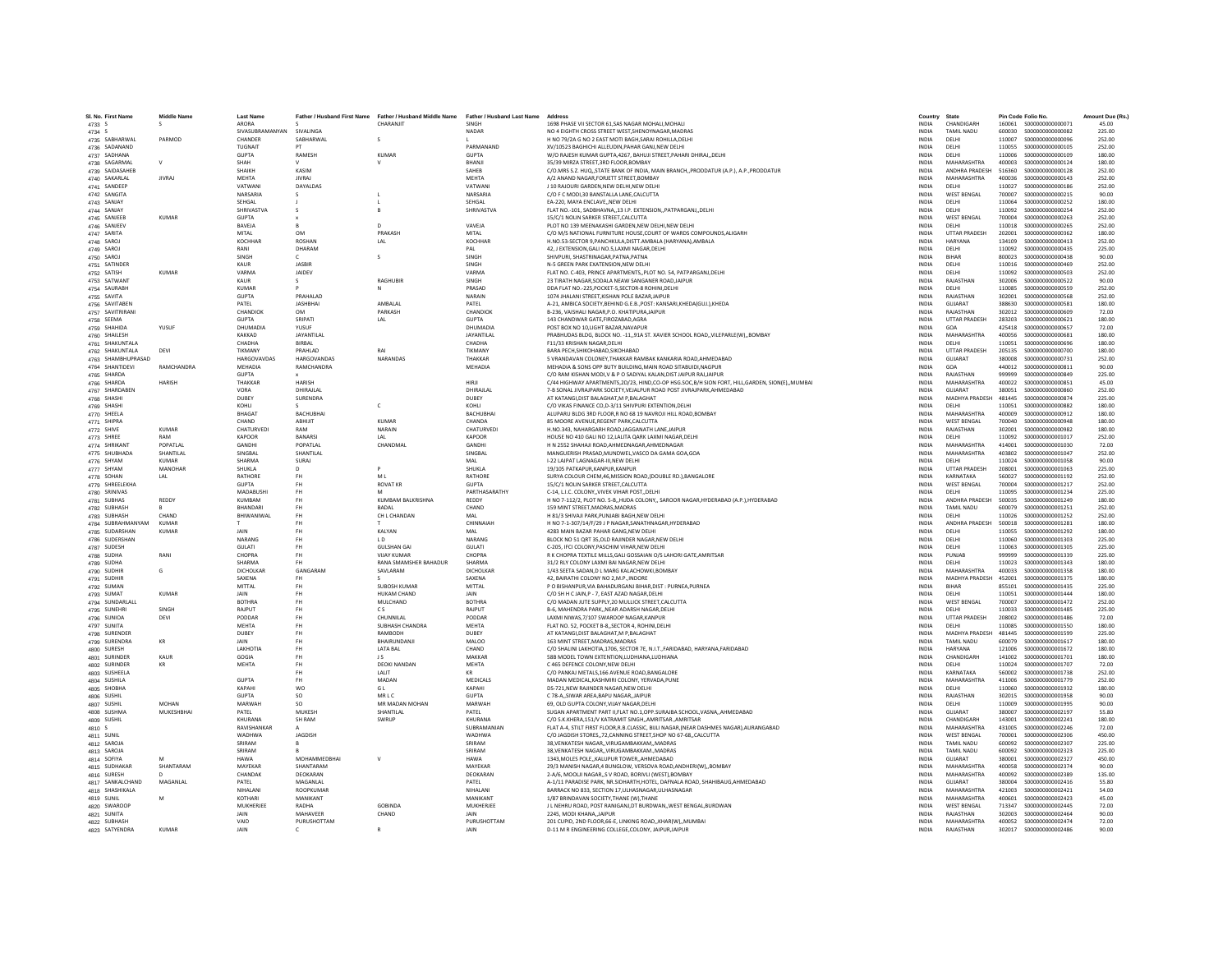| SI. No. First Name                | <b>Middle Name</b> | <b>Last Name</b>                   | Father / Husband First Name | Father / Husband Middle Name | Father / Husband Last Name | Address                                                                                            | Country                      | State                     |                  | Pin Code Folio No                      | Amount Due (Rs.  |
|-----------------------------------|--------------------|------------------------------------|-----------------------------|------------------------------|----------------------------|----------------------------------------------------------------------------------------------------|------------------------------|---------------------------|------------------|----------------------------------------|------------------|
| 4733 S                            |                    | ARORA<br>SIVASUBRAMANYAN SIVALINGA |                             | CHARANJIT                    | SINGH                      | 1698 PHASE VII SECTOR 61.SAS NAGAR MOHALI.MOHALI                                                   | <b>INDIA</b>                 | CHANDIGARI<br>TAMIL NADLI | 160061<br>600030 | \$000000000000071<br>\$000000000000082 | 45.00<br>225.00  |
| 4734 S                            |                    |                                    |                             |                              | NADAR                      | NO 4 EIGHTH CROSS STREET WEST, SHENOYNAGAR, MADRAS                                                 | <b>INDIA</b>                 |                           |                  |                                        |                  |
| 4735 SABHARWAL                    | PARMOD             | CHANDER                            | SARHARWAL                   | -S                           |                            | H NO 79/2A G NO 2 EAST MOTI BAGH SARAI ROHILLA DELHI                                               | <b>INDIA</b>                 | DELHI                     | 110007           | \$000000000000096                      | 252.00           |
| 4736 SADANAND                     |                    | TUGNAIT                            |                             |                              | PARMANAND                  | XV/10523 BAGHICHI ALLEUDIN, PAHAR GANJ, NEW DELHI                                                  | <b>INDIA</b>                 | <b>DELHI</b>              | 110055           | \$000000000000105                      | 252.00           |
| 4737 SADHANA                      |                    | <b>GUPTA</b>                       | RAMESH                      | KUMAR                        | <b>GUPTA</b>               | W/O RAJESH KUMAR GUPTA,4267, BAHUJI STREET, PAHARI DHIRAJ, DELHI                                   | INDIA                        | DELHI                     | 110006           | \$000000000000109                      | 180.00           |
| 4738 SAGARMAL                     | $\vee$             | SHAH                               |                             |                              | BHANJI                     | 35/39 MIRZA STREET.3RD FLOOR.BOMBAY                                                                | <b>INDIA</b>                 | MAHARASHTRA               | 400003           | \$000000000000124                      | 180.00           |
| 4739 SAIDASAHEB                   |                    | SHAIKH                             | KASIM                       |                              | SAHFR                      | C/O.MRS S.Z. HUQ, STATE BANK OF INDIA, MAIN BRANCH, PRODDATUR (A.P.), A.P., PRODDATUR              | <b>INDIA</b>                 | ANDHRA PRADESH            | 516360           | \$000000000000128                      | 252.00           |
| 4740 SAKARLAL                     | <b>JIVRAJ</b>      | <b>MEHTA</b>                       | <b>JIVRAJ</b>               |                              | MEHTA                      | A/2 ANAND NAGAR, FORJETT STREET, BOMBAY                                                            | <b>INDIA</b>                 | MAHARASHTRA               | 400036           | S000000000000143                       | 252.00           |
| 4741 SANDEEP                      |                    | VATWAN                             | DAYALDAS                    |                              | VATWAN                     | J 10 RAJOURI GARDEN.NEW DELHI.NEW DELHI                                                            | <b>INDIA</b>                 | DELHI                     | 110027           | \$000000000000186                      | 252.00           |
| 4742 SANGITA                      |                    | NARSARIA                           |                             |                              | NARSARIA                   | C/O F C MODI.30 BANSTALLA LANE.CALCUTTA                                                            | <b>INDIA</b>                 | <b>WEST BENGAL</b>        | 700007           | S000000000000215                       | 90.00            |
| 4743 SANJAY                       |                    | SEHGAL                             |                             |                              | <b>SEHGAL</b>              | EA-220, MAYA ENCLAVENEW DELHI                                                                      | <b>INDIA</b>                 | DELHI                     | 110064           | \$000000000000252                      | 180.00           |
| 4744 SANJAY                       |                    | SHRIVASTVA                         |                             |                              | SHRIVASTVA                 | FLAT NO.-101, SADBHAVNA,,13 I.P. EXTENSION,,PATPARGANJ,,DELHI                                      | <b>INDIA</b>                 | DELHI                     | 110092           | \$00000000000254                       | 252.00           |
| 4745 SANJEEB                      | <b>KUMAR</b>       | <b>GUPTA</b>                       |                             |                              |                            | 15/C/1 NOLIN SARKER STREET, CALCUTTA                                                               | <b>INDIA</b>                 | <b>WEST BENGAL</b>        | 700004           | \$00000000000263                       | 252.00           |
| 4746 SANJEEV                      |                    | BAVEJA                             |                             | $\mathsf{D}$                 | VAVEJA                     | PLOT NO 139 MEENAKASHI GARDEN.NEW DELHI.NEW DELHI                                                  | <b>INDIA</b>                 | DELHI                     | 110018           | \$000000000000265                      | 252.00           |
| 4747 SARITA                       |                    | MITAL                              | OM                          | PRAKASH                      | MITAL                      | C/O M/S NATIONAL FURNITURE HOUSE, COURT OF WARDS COMPOUNDS, ALIGARH                                | <b>INDIA</b>                 | <b>UTTAR PRADESH</b>      | 202001           | \$000000000000362                      | 180.00           |
| 4748 SAROJ                        |                    | KOCHHAF                            | <b>ROSHAN</b>               | LAL                          | KOCHHAF                    | H.NO.53-SECTOR 9, PANCHKULA, DISTT. AMBALA (HARYANA), AMBALA                                       | INDIA                        | <b>HARYANA</b>            | 134109           | \$000000000000413                      | 252.00           |
| 4749 SAROJ                        |                    | RANI                               | DHARAM                      |                              | PAI                        | 42. J EXTENSION.GALI NO.5.LAXMI NAGAR.DELHI                                                        | <b>INDIA</b>                 | DELHI                     | 110092           | \$000000000000435                      | 225.00           |
| 4750 SAROJ                        |                    | SINGH                              | c.                          |                              | SINGH                      | SHIVPURI, SHASTRINAGAR, PATNA, PATNA                                                               | <b>INDIA</b>                 | <b>BIHAR</b>              | 800023           | \$000000000000438                      | 90.00            |
| 4751 SATINDER                     |                    | KALIR                              | <b>IASRIR</b>               |                              | <b>SINGH</b>               | N-5 GREEN PARK EXATENSION.NEW DELHI                                                                | <b>INDIA</b>                 | DELHI                     | 110016           | \$000000000000469                      | 252.00           |
| 4752 SATISH                       | <b>KUMAR</b>       | VARMA                              | <b>JAIDEV</b>               |                              | VARMA                      | FLAT NO. C-403, PRINCE APARTMENTS, PLOT NO. 54, PATPARGANJ, DELHI                                  | INDIA                        | DELHI                     | 110092           | \$000000000000503                      | 252.00           |
| 4753 SATWANT                      |                    | KAUR                               | -S.                         | RAGHUBIR                     | SINGH                      | 23 TIRATH NAGAR, SODALA NEAW SANGANER ROAD, JAIPUR                                                 | <b>INDIA</b>                 | RAJASTHAN                 | 302006           | \$000000000000522                      | 90.00            |
| 4754 SAURABH                      |                    | KUMAR                              |                             | $\mathbb N$                  | PRASAD                     | DDA FLAT NO -225 POCKET-5 SECTOR-8 ROHINLDELHI                                                     | <b>INDIA</b>                 | <b>DELHI</b>              | 110085           | \$000000000000559                      | 252.00           |
|                                   |                    | GUPTA                              | PRAHALAD                    |                              | NARAIN                     | 1074 JHALANI STREET, KISHAN POLE BAZAR, JAIPUR                                                     | <b>INDIA</b>                 | RAJASTHAN                 | 302001           | \$000000000000568                      | 252.00           |
| 4755 SAVITA                       |                    | PATEL                              | <b>JASHBHA</b>              | AMBALAL                      | PATEL                      | A-21. AMBICA SOCIETY.BEHIND G.E.B., POST: KANSARI, KHEDAIGUJ, ), KHEDA                             | <b>INDIA</b>                 | GUJARAT                   | 388630           | \$000000000000581                      | 180.00           |
| 4756 SAVITABEN<br>4757 SAVITRIRAN |                    | CHANDIOK                           | OM                          | PARKASH                      | CHANDIOK                   | B-236, VAISHALI NAGAR, P.O. KHATIPURAJAIPUR                                                        | <b>INDIA</b>                 | RAIASTHAN                 | 302012           | \$000000000000609                      | 72.00            |
|                                   |                    |                                    |                             |                              |                            |                                                                                                    |                              |                           |                  |                                        |                  |
| 4758 SEEMA                        |                    | <b>GUPTA</b>                       | SRIPATI                     | LAL                          | <b>GUPTA</b>               | 143 CHANDWAR GATE.FIROZABAD.AGRA                                                                   | <b>INDIA</b>                 | <b>UTTAR PRADESH</b>      | 283203           | \$000000000000621                      | 180.00           |
| 4759 SHAHIDA                      | YUSUF              | DHUMADIA                           | YUSUF                       |                              | DHUMADIA                   | POST BOX NO 10, LIGHT BAZAR, NAVAPUR                                                               | <b>INDIA</b>                 | GOA                       | 425418           | \$000000000000657                      | 72.00            |
| 4760 SHAILESH                     |                    | KAKKAD                             | JAYANTILAL                  |                              | JAYANTILAL                 | PRABHUDAS BLDG, BLOCK NO. - 11,,91A ST. XAVIER SCHOOL ROAD,,VILEPARLE(W),,BOMBAY                   | <b>INDIA</b>                 | MAHARASHTRA               | 400056           | \$000000000000681                      | 180.00           |
| 4761 SHAKUNTALA                   |                    | CHADHA                             | BIRBAL                      |                              | CHADHA                     | F11/33 KRISHAN NAGAR DELHI                                                                         | <b>INDIA</b>                 | DELHI                     | 110051           | \$000000000000696                      | 180.00           |
| 4762 SHAKUNTALA                   | DEVI               | <b>TIKMANY</b>                     | PRAHLAD                     | RAI                          | TIKMANY                    | <b>BARA PECH SHIKOHARAD SIKOHARAD</b>                                                              | <b>INDIA</b>                 | <b>UTTAR PRADESH</b>      | 205135           | \$000000000000700                      | 180.00           |
| 4763 SHAMBHUPRASAD                |                    | <b>HARGOVAVDAS</b>                 | HARGOVANDA:                 | NARANDAS                     | THAKKAR                    | 5 VRANDAVAN COLONEY, THAKKAR RAMBAK KANKARIA ROAD, AHMEDABAD                                       | INDIA                        | GUJARAT                   | 380008           | \$000000000000731                      | 252.00           |
| 4764 SHANTIDEVI                   | RAMCHANDRA         | MEHADIA                            | RAMCHANDRA                  |                              | MEHADIA                    | MEHADIA & SONS OPP BUTY BUILDING, MAIN ROAD SITABUIDI, NAGPUI                                      | <b>INDIA</b>                 | GOA                       | 440012           | S000000000000811                       | 90.00            |
| 4765 SHARDA                       |                    | <b>GUPTA</b>                       |                             |                              |                            | C/O RAM KISHAN MODI.V & P O SADIYAL KALAN.DIST JAIPUR RAJJAIPUR                                    | <b>INDIA</b>                 | RAJASTHAN                 | 999999           | \$00000000000849                       | 225.00           |
| 4766 SHARDA                       | <b>HARISH</b>      | THAKKAR                            | <b>HARISH</b>               |                              | HIRII                      | C/44 HIGHWAY APARTMENTS, 2D/23, HIND, CO-OP HSG.SOC, B/H SION FORT, HILL, GARDEN, SION(E),, MUMBAI | <b>INDIA</b>                 | MAHARASHTRA               | 400022           | \$000000000000851                      | 45.00            |
| 4767 SHARDABEN                    |                    | VORA                               | DHIRAJLAI                   |                              | DHIRAJLAL                  | 7-B SONAL JIVRAJPARK SOCIETY.VEJALPUR ROAD POST JIVRAJPARK.AHMEDABAD                               | <b>INDIA</b>                 | <b>GUJARAT</b>            | 380051           | \$000000000000860                      | 252.00           |
| 4768 SHASHI                       |                    | DUBEY                              | SURENDRA                    |                              | DUBEY                      | AT KATANGI, DIST BALAGHAT, M P. BALAGHAT                                                           | INDIA                        | MADHYA PRADESH            | 481445           | \$000000000000874                      | 225.00           |
| 4769 SHASHI                       |                    | KOHLI                              |                             | $\epsilon$                   | KOHI I                     | C/O VIKAS FINANCE CO.D-3/11 SHIVPURI EXTENTION.DELHI                                               | <b>INDIA</b>                 | DELHI                     | 110051           | \$000000000000882                      | 180.00           |
| 4770 SHEELA                       |                    | <b>BHAGAT</b>                      | <b>BACHUBHAI</b>            |                              | <b>RACHURHAL</b>           | ALUPARU BLDG 3RD FLOOR,R NO 68 19 NAVROJI HILL ROAD,BOMBAY                                         | <b>INDIA</b>                 | MAHARASHTRA               | 400009           | \$00000000000912                       | 180.00           |
| 4771 SHIPRA                       |                    | CHAND                              | ABHUIT                      | KUMAR                        | CHANDA                     | 85 MOORE AVENUE, REGENT PARK, CALCUTTA                                                             | INDIA                        | <b>WEST BENGAL</b>        | 700040           | \$00000000000948                       | 180.00           |
| 4772 SHIVE                        | KUMAR              | CHATURVEDI                         | RAM                         | NARAIN                       | CHATURVEDI                 | H.NO.343, NAHARGARH ROADJAGGANATH LANEJAIPUF                                                       | <b>INDIA</b>                 | RAJASTHAN                 | 302001           | \$00000000000982                       | 180.00           |
| 4773 SHREE                        | RAM                | <b>KAPOOR</b>                      | BANARSI                     | LAL                          | <b>KAPOOR</b>              | HOUSE NO 410 GALI NO 12.LALITA OARK LAXMI NAGAR.DELHI                                              | <b>INDIA</b>                 | DELHI                     | 110092           | S000000000001017                       | 252.00           |
| 4774 SHRIKAN                      | POPATLAI           | GANDHI                             | POPATLAL                    | CHANDMAI                     | GANDHI                     | H N 2552 SHAHAJI ROAD, AHMEDNAGAR, AHMEDNAGAR                                                      | <b>INDIA</b>                 | MAHARASHTRA               | 414001           | \$000000000001030                      | 72.00            |
| 4775 SHUBHADA                     | SHANTILAL          | SINGBAL                            | SHANTILAL                   |                              | SINGBAL                    | MANGUERISH PRASAD, MUNDWEL, VASCO DA GAMA GOA, GOA                                                 | INDIA                        | MAHARASHTRA               | 403802           | S000000000001047                       | 252.00           |
| 4776 SHYAM                        | <b>KUMAR</b>       | SHARMA                             | SURAJ                       |                              | MAL                        | I-22 LAJPAT LAGNAGAR-III.NEW DELHI                                                                 | <b>INDIA</b>                 | DELHI                     | 110024           | \$000000000001058                      | 90.00            |
| 4777 SHYAM                        | MANOHAR            | <b>SHUKLA</b>                      | $\sqrt{2}$                  |                              | <b>SHUKLA</b>              | 19/105 PATKAPUR KANPUR KANPUR                                                                      | <b>INDIA</b>                 | <b>UTTAR PRADESH</b>      | 208001           | \$000000000001063                      | 225.00           |
| 4778 SOHAN                        | LAL                | RATHORE                            | <b>FH</b>                   | MI                           | RATHORE                    | SURYA COLOUR CHEM,46,MISSION ROAD,(DOUBLE RD.),BANGALORE                                           | <b>INDIA</b>                 | KARNATAKA                 | 560027           | S000000000001192                       | 252.00           |
| 4779 SHREELEKHA                   |                    | <b>GUPTA</b>                       | <b>FH</b>                   | <b>ROVAT KR</b>              | <b>GUPTA</b>               | 15/C/1 NOLIN SARKER STREET.CALCUTTA                                                                | <b>INDIA</b>                 | <b>WEST BENGAL</b>        | 700004           | S000000000001217                       | 252.00           |
| 4780 SRINIVAS                     |                    | MADARUSH                           | <b>FH</b>                   |                              | PARTHASARATHY              | C-14, L.I.C. COLONYVIVEK VIHAR POSTDELHI                                                           | <b>INDIA</b>                 | DELHI                     | 110095           | \$000000000001234                      | 225.00           |
| 4781 SUBHAS                       | REDDY              | KUMBAM                             | <b>FH</b>                   | KUMBAM BALKRISHNA            | REDDY                      | H NO 7-112/2, PLOT NO. 5-B,,HUDA COLONY,, SAROOR NAGAR,HYDERABAD (A.P.),HYDERABAD                  | <b>INDIA</b>                 | <b>ANDHRA PRADESH</b>     | 500035           | \$000000000001249                      | 180.00           |
| 4782 SUBHASH                      |                    | <b>BHANDARI</b>                    | <b>FH</b>                   | RADAL                        | CHAND                      | 159 MINT STREET, MADRAS, MADRAS                                                                    | <b>INDIA</b>                 | TAMIL NADLI               | 600079           | S000000000001251                       | 252.00           |
| 4783 SUBHASH                      | CHAND              | BHIWANIWA                          | <b>FH</b>                   | CH L CHANDAN                 | MAL                        | H 81/3 SHIVAJI PARK, PUNJABI BAGH, NEW DELHI                                                       | INDIA                        | DELHI                     | 110026           | S000000000001252                       | 252.00           |
| 4784 SUBRAHMANYAM                 | KUMAR              |                                    | <b>FH</b>                   |                              | CHINNAIAH                  | H NO 7-1-307/14/F/29 J P NAGAR SANATHNAGAR HYDERABAD                                               | <b>INDIA</b>                 | ANDHRA PRADESH            | 500018           | \$000000000001281                      | 180.00           |
| 4785 SUDARSHAN                    | <b>KUMAR</b>       | <b>JAIN</b>                        | <b>FH</b>                   | KALYAN                       | MAI                        | 4283 MAIN BAZAR PAHAR GANG.NEW DELHI                                                               | <b>INDIA</b>                 | DELHI                     | 110055           | \$000000000001292                      | 180.00           |
| 4786 SUDERSHAN                    |                    | NARANG                             | <b>FH</b>                   | LD                           | NARANG                     | BLOCK NO 51 QRT 35, OLD RAJINDER NAGAR, NEW DELHI                                                  | INDIA                        | DELHI                     | 110060           | \$000000000001303                      | 225.00           |
| 4787 SUDESH                       |                    | GULATI                             | FH.                         | <b>GULSHAN GA</b>            | <b>GULATI</b>              | C-205. IFCI COLONY.PASCHIM VIHAR.NEW DELH                                                          | <b>INDIA</b>                 | DELHI                     | 110063           | \$000000000001305                      | 225.00           |
|                                   |                    |                                    |                             |                              | CHOPRA                     | R K CHOPRA TEXTILE MILLS.GALI GOSSAIAN O/S LAHORI GATE.AMRITSAR                                    |                              |                           |                  |                                        |                  |
| 4788 SUDHA                        | RANI               | CHOPRA<br>SHARMA                   | <b>FH</b><br>FH.            | <b>VIJAY KUMAR</b>           | SHARMA                     |                                                                                                    | <b>INDIA</b><br><b>INDIA</b> | PUNJAB<br>DELHI           | 999999<br>110023 | S000000000001339<br>\$000000000001343  | 225.00<br>180.00 |
| 4789 SUDHA                        |                    |                                    |                             | RANA SMAMSHER BAHADUR        |                            | 31/2 RLY COLONY LAXMI BAI NAGAR.NEW DELHI                                                          |                              |                           |                  |                                        |                  |
| 4790 SUDHIR                       | G                  | DICHOLKAI                          | GANGARAM                    | SAVLARAN                     | DICHOLKAR                  | 1/43 SEETA SADAN.D L MARG KALACHOWKI.BOMBAY                                                        | <b>INDIA</b>                 | MAHARASHTRA               | 400033           | \$000000000001358                      | 180.00           |
| 4791 SUDHIF                       |                    | SAXENA                             | <b>FH</b>                   |                              | SAXENA                     | 42, BAIRATHI COLONY NO 2,M.P., INDORE                                                              | <b>INDIA</b>                 | MADHYA PRADESH            | 452001           | S000000000001375                       | 180.00           |
| 4792 SUMAN                        |                    | MITTAL                             | <b>FH</b>                   | SUROSH KUMAR                 | MITTAL                     | P O BISHANPUR.VIA BAHADURGANJ BIHAR.DIST : PURNEA.PURNEA                                           | <b>INDIA</b>                 | <b>RIHAR</b>              | 855101           | \$000000000001435                      | 225.00           |
| 4793 SUMAT                        | KUMAR              | <b>JAIN</b>                        | <b>FH</b>                   | <b>HUKAM CHAND</b>           | <b>JAIN</b>                | C/O SH H C JAIN, P - 7, EAST AZAD NAGAR, DELHI                                                     | <b>INDIA</b>                 | DELHI                     | 110051           | S000000000001444                       | 180.00           |
| 4794 SUNDARLALL                   |                    | <b>BOTHRA</b>                      | <b>FH</b>                   | MULCHAND                     | <b>BOTHRA</b>              | C/O MADAN JUTE SUPPLY, 20 MULLICK STREET, CALCUTTA                                                 | <b>INDIA</b>                 | <b>WEST BENGAL</b>        | 700007           | S000000000001472                       | 252.00           |
| 4795 SUNEHRI                      | SINGH              | RAIPUT                             | <b>FH</b>                   | CS.                          | RAIPUT                     | B-6. MAHENDRA PARKNEAR ADARSH NAGAR.DELH                                                           | <b>INDIA</b>                 | DELHI                     | 110033           | \$000000000001485                      | 225.00           |
| 4796 SUNIOA                       | DEVI               | PODDAF                             | <b>FH</b>                   | CHUNNILAL                    | PODDAR                     | LAXMI NIWAS.7/107 SWAROOP NAGAR.KANPUR                                                             | <b>INDIA</b>                 | <b>UTTAR PRADESH</b>      | 208002           | S000000000001486                       | 72.00            |
| 4797 SUNITA                       |                    | <b>MFHTA</b>                       | FH                          | <b>SUBHASH CHANDRA</b>       | MEHTA                      | FLAT NO. 52, POCKET B-8, SECTOR 4, ROHINI, DELHI                                                   | <b>INDIA</b>                 | <b>DELHI</b>              | 110085           | \$000000000001550                      | 180.00           |
| 4798 SURENDER                     |                    | DUBEY                              | FH                          | RAMBODH                      | DUBEY                      | AT KATANGI, DIST BALAGHAT, M P, BALAGHAT                                                           | INDIA                        | MADHYA PRADESH            | 481445           | \$000000000001599                      | 225.00           |
| 4799 SURENDRA                     | KR                 | JAIN                               | <b>FH</b>                   | BHAIRUNDANJ                  | <b>MALOO</b>               | 163 MINT STREET.MADRAS.MADRAS                                                                      | <b>INDIA</b>                 | <b>TAMIL NADU</b>         | 600079           | S000000000001617                       | 180.00           |
| 4800 SURESH                       |                    | <b>LAKHOTIA</b>                    | <b>FH</b>                   | <b>LATA RAL</b>              | CHAND                      | C/O SHALINI LAKHOTIA 1706, SECTOR 7E, N.L.T. FARIDARAD, HARYANA FARIDARAD                          | <b>INDIA</b>                 | <b>HARYANA</b>            | 121006           | \$000000000001672                      | 180.00           |
| 4801 SURINDER                     | KAUR               | GOGIA                              | FH                          | JS                           | MAKKAR                     | 58B MODEL TOWN EXTENTION, LUDHIANA, LUDHIANA                                                       | INDIA                        | CHANDIGARE                | 141002           | S000000000001701                       | 180.00           |
| 4802 SURINDER                     |                    | MEHTA                              | <b>FH</b>                   | <b>DEOKI NANDAN</b>          | MEHTA                      | C 465 DEFENCE COLONY.NEW DELHI                                                                     | <b>INDIA</b>                 | DELHI                     | 110024           | S000000000001707                       | 72.00            |
| 4803 SUSHEELA                     |                    |                                    | <b>FH</b>                   | <b>I AI IT</b>               | KR                         | C/O PANKAJ METALS.166 AVENUE ROAD.BANGALORE                                                        | <b>INDIA</b>                 | KARNATAKA                 | 560002           | \$000000000001738                      | 252.00           |
| 4804 SUSHILA                      |                    | <b>GUPTA</b>                       | FH.                         | MADAN                        | <b>MEDICALS</b>            | MADAN MEDICAL.KASHMIRI COLONY, YERVADA.PUNE                                                        | <b>INDIA</b>                 | MAHARASHTRA               | 411006           | \$000000000001779                      | 252.00           |
| 4805 SHOBHA                       |                    | KAPAHI                             | WO                          | GL                           | KAPAHI                     | DS-721, NEW RAJINDER NAGAR, NEW DELHI                                                              | <b>INDIA</b>                 | <b>DELHI</b>              | 110060           | S000000000001932                       | 180.00           |
| 4806 SUSHIL                       |                    | <b>GUPTA</b>                       | so                          | MRLC                         | <b>GUPTA</b>               | C 78-A. SIWAR AREA BAPU NAGAR. JAIPUF                                                              | <b>INDIA</b>                 | RAJASTHAN                 | 302015           | \$000000000001958                      | 90.00            |
| 4807 SUSHIL                       | MOHAN              | MARWAH                             | SO.                         | MR MADAN MOHAN               | MARWAH                     | 69. OLD GUPTA COLONY.VIJAY NAGAR.DELHI                                                             | <b>INDIA</b>                 | DELHI                     | 110009           | S000000000001995                       | 90.00            |
| 4808 SUSHMA                       | MUKESHBHAI         | PATFI                              | MUKESH                      | <b>SHANTILAI</b>             | PATFI                      | SUGAN APARTMENT PART II, FLAT NO.1, OPP.SURAJBA SCHOOL, VASNA,, AHMEDABAD                          | <b>INDIA</b>                 | GUIARAT                   | 380007           | \$000000000002197                      | 55.80            |
| 4809 SUSHIL                       |                    | <b>KHURANA</b>                     | SH RAM                      | SWRUP                        | KHURANA                    | C/O S.K.KHERA,151/V KATRAMIT SINGH,,AMRITSAR.,AMRITSA                                              | INDIA                        | CHANDIGARH                | 143001           | S000000000002241                       | 180.00           |
| 4810 S                            |                    | RAVISHANKAR                        | $\mathbf{A}$                |                              | SUBRAMANIAN                | FLAT A-4, STILT FIRST FLOOR, R.B.CLASSIC, BIJLI NAGAR, (NEAR DASHMES NAGAR), AURANGABAD            | <b>INDIA</b>                 | MAHARASHTRA               | 431005           | \$000000000002246                      | 72.00            |
| 4811 SUNIL                        |                    | WADHWA                             | <b>JAGDISH</b>              |                              | WADHWA                     | C/O JAGDISH STORES, 72, CANNING STREET, SHOP NO 67-68, CALCUTTA                                    | <b>INDIA</b>                 | <b>WEST BENGAL</b>        | 700001           | \$000000000002306                      | 450.00           |
| 4812 SAROJA                       |                    | SRIRAM                             |                             |                              | SRIRAM                     | 38, VENKATESH NAGAR, , VIRUGAMBAKKAM, , MADRAS                                                     | <b>INDIA</b>                 | <b>TAMIL NADU</b>         | 600092           | \$000000000002307                      | 225.00           |
| 4813 SAROJA                       |                    | SRIRAM                             |                             |                              | SRIRAM                     | 38, VENKATESH NAGAR, , VIRUGAMBAKKAM., MADRAS                                                      | <b>INDIA</b>                 | TAMIL NADU                | 600092           | \$000000000002323                      | 225.00           |
| 4814 SOFIYA                       |                    | <b>HAWA</b>                        | MOHAMMEDBHAI                |                              | <b>HAWA</b>                | 1343, MOLES POLE, , KALUPUR TOWER, , AHMEDABAD                                                     | INDIA                        | <b>GUJARAT</b>            | 380001           | \$000000000002327                      | 450.00           |
| 4815 SUDHAKAR                     | SHANTARAM          | MAYEKAR                            | SHANTARAM                   |                              | MAYEKAR                    | 29/3 MANISH NAGAR,4 BUNGLOW, VERSOVA ROAD, ANDHERI(W),, BOMBAY                                     | <b>INDIA</b>                 | MAHARASHTRA               | 400058           | \$000000000002374                      | 90.00            |
| 4816 SURESH                       |                    | CHANDAK                            | DEOKARAN                    |                              | DEOKARAN                   | 2-A/6, MOOLII NAGAR, S V ROAD, BORIVLI (WEST), BOMBAY                                              | <b>INDIA</b>                 | MAHARASHTRA               | 400092           | S000000000002389                       | 135.00           |
| 4817 SANKALCHAND                  | MAGANLAL           | PATEL                              | MAGANLAL                    |                              | PATEL                      | A-1/11 PARADISE PARK, NR.SIDHARTH,HOTEL, DAFNALA ROAD, SHAHIBAUG,AHMEDABAD                         | <b>INDIA</b>                 | <b>GUJARAT</b>            | 380004           | S00000000002416                        | 55.80            |
| 4818 SHASHIKALA                   |                    | NIHALANI                           | ROOPKUMAF                   |                              | NIHALANI                   | BARRACK NO 833, SECTION 17, ULHASNAGAR, ULHASNAGAR                                                 | <b>INDIA</b>                 | MAHARASHTRA               | 421003           | S000000000002421                       | 54.00            |
| 4819 SUNIL                        | M                  | KOTHARI                            | MANIKANT                    |                              | MANIKANT                   | 1/87 BRINDAVAN SOCIETY.THANE (W).THANE                                                             | <b>INDIA</b>                 | MAHARASHTRA               | 400601           | \$000000000002423                      | 45.00            |
| 4820 SWAROOI                      |                    | MUKHERJEE                          | RADHA                       | <b>GORINDA</b>               | <b>MUKHERJEE</b>           | J L NEHRU ROAD, POST RANIGANJ, DT BURDWAN, , WEST BENGAL, BURDWAN                                  | <b>INDIA</b>                 | <b>WEST BENGAL</b>        | 713347           | S000000000002445                       | 72.00            |
| 4821 SUNITA                       |                    | JAIN                               | MAHAVEER                    | CHAND                        |                            | 2245, MODI KHANA, JAIPUR                                                                           | INDIA                        | RAJASTHAN                 | 302003           | \$000000000002464                      | 90.00            |
| 4822 SUBHASH                      |                    | VAID                               | PURUSHOTTAM                 |                              | PURUSHOTTAM                | 201 CUPID, 2ND FLOOR.66-E, LINKING ROAD, KHARIW), MUMBAI                                           | <b>INDIA</b>                 | MAHARASHTRA               |                  |                                        | 72.00            |
| 4823 SATYENDRA                    | KUMAR              | <b>JAIN</b>                        | $\epsilon$                  | $\mathbf{R}$                 | <b>JAIN</b>                | D-11 M R ENGINEERING COLLEGE.COLONY. JAIPUR JAIPUR                                                 | <b>INDIA</b>                 | RAIASTHAN                 |                  | 302017 \$000000000002486               | 90.00            |
|                                   |                    |                                    |                             |                              |                            |                                                                                                    |                              |                           |                  |                                        |                  |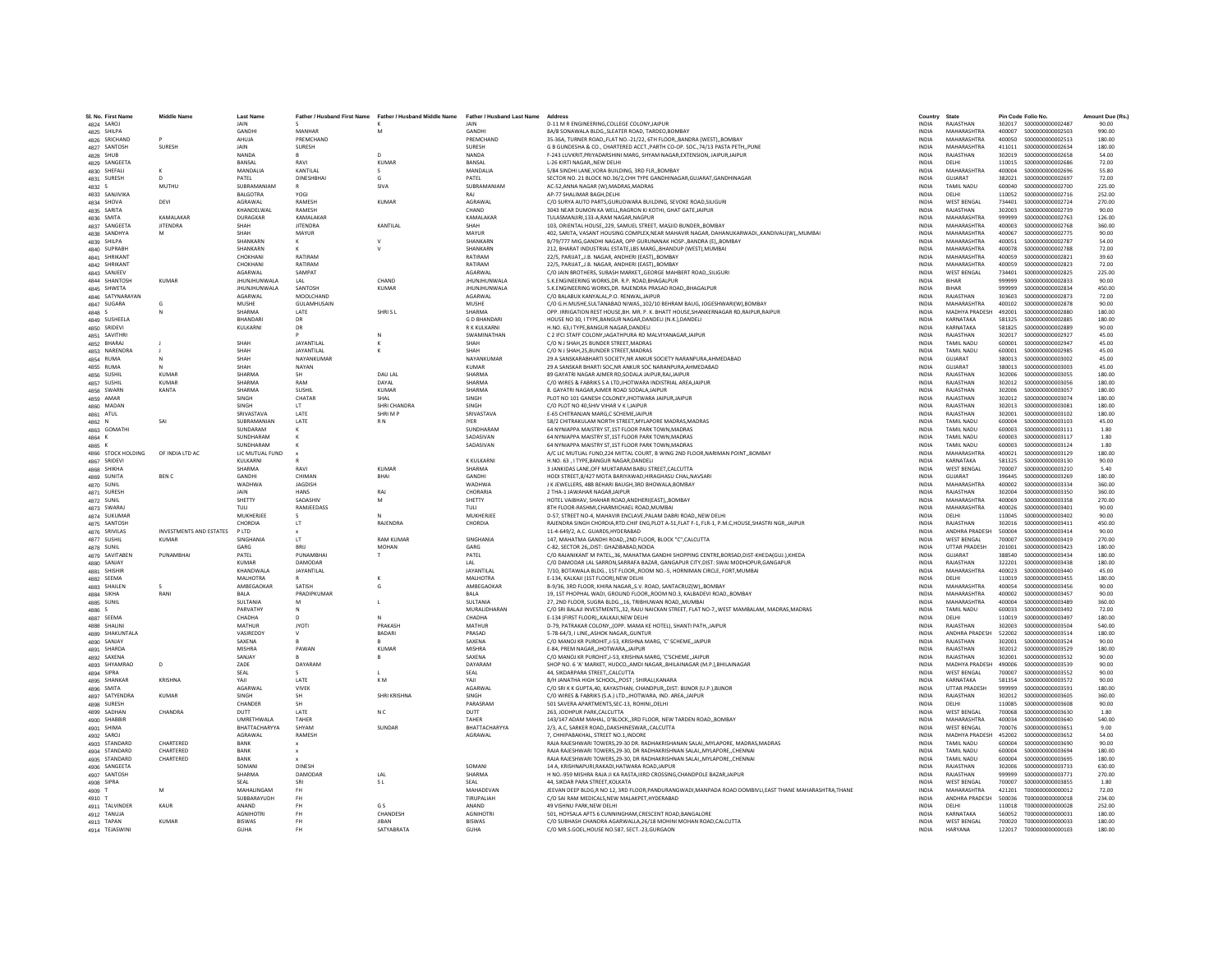| SI. No. First Name<br>4824 SAROJ | <b>Middle Name</b>      | <b>Last Name</b><br>JAIN  |                        | Father / Husband First Name Father / Husband Middle Name Father / Husband Last Name | <b>JAIN</b>                | Address<br><b>D-11 M R ENGINEERING.COLLEGE COLONY JAIPUR</b>                                                                                            | Country<br><b>INDIA</b>      | State<br>RAJASTHAN                   |                  | Pin Code Folio No.                     | Amount Due (Rs.)<br>90.00 |
|----------------------------------|-------------------------|---------------------------|------------------------|-------------------------------------------------------------------------------------|----------------------------|---------------------------------------------------------------------------------------------------------------------------------------------------------|------------------------------|--------------------------------------|------------------|----------------------------------------|---------------------------|
| 4825 SHILPA                      |                         | <b>GANDHI</b>             | MANHAR                 | M                                                                                   | <b>GANDHI</b>              | 8A/8 SONAWALA BLDG, SLEATER ROAD, TARDEO ROMBAY                                                                                                         | <b>INDIA</b>                 | MAHARASHTRA                          | 400007           | \$000000000002503                      | 990.00                    |
| 4826 SRICHAND                    |                         | AHUJA                     | PREMCHAND              |                                                                                     | PREMCHAND                  | 35-36A, TURNER ROAD,,FLAT NO.-21/22, 6TH FLOOR,,BANDRA (WEST),,BOMBAY                                                                                   | <b>INDIA</b>                 | MAHARASHTRA                          | 400050           | S000000000002513                       | 180.00                    |
| 4827 SANTOSH                     | SURESH                  |                           | SURESH                 |                                                                                     | SURESH                     | G B GUNDESHA & CO., CHARTERED ACCT., PARTH CO-OP. SOC., 74/13 PASTA PETH, PUNE                                                                          | <b>INDIA</b>                 | MAHARASHTRA                          | 411011           | S000000000002634                       | 180.00                    |
| 4828 SHUB                        |                         | <b>NANDA</b>              |                        |                                                                                     | NANDA                      | F-243 LUVKRIT, PRIYADARSHINI MARG, SHYAM NAGAR, EXTENSION, JAIPUR, JAIPUR                                                                               | <b>INDIA</b>                 | RAJASTHAN                            | 302019           | \$000000000002658                      | 54.00                     |
| 4829 SANGEETA                    |                         | BANSAL                    | RAVI                   | <b>KUMAR</b>                                                                        | BANSAL                     | L-26 KIRTI NAGARNEW DELHI                                                                                                                               | <b>INDIA</b>                 | DELHI                                | 110015           | \$000000000002686                      | 72.00                     |
| 4830 SHEFALI                     | $\kappa$                | <b>MANDALIA</b>           | <b>KANTILAI</b>        | $\sim$                                                                              | <b>MANDALIA</b>            | 5/84 SINDHI LANE.VORA BUILDING, 3RD FLR., BOMBAY                                                                                                        | <b>INDIA</b>                 | MAHARASHTRA                          | 400004           | \$000000000002696                      | 55.80                     |
| 4831 SURESH                      |                         | PATEL                     | <b>DINESHBHA</b>       | G                                                                                   | PATEL                      | SECTOR NO. 21 BLOCK NO.36/2,CHH TYPE GANDHINAGAR, GUJARAT, GANDHINAGAR                                                                                  | <b>INDIA</b>                 | GUJARAT                              | 382021           | \$000000000002697                      | 72.00                     |
| 4832 S                           | MUTHU                   | SUBRAMANIAM               |                        | SIVA                                                                                | SUBRAMANIAM                | AC-52.ANNA NAGAR (W).MADRAS.MADRAS                                                                                                                      | <b>INDIA</b>                 | <b>TAMIL NADU</b>                    | 600040           | \$000000000002700                      | 225.00                    |
| 4833 SANJIVIKA                   |                         | <b>BALGOTRA</b>           | YOGI                   |                                                                                     | RAI                        | AP-77 SHALIMAR BAGH.DELHI                                                                                                                               | <b>INDIA</b>                 | DELHI                                | 110052           | S000000000002716                       | 252.00                    |
| 4834 SHOVA                       | DEVI                    | AGRAWAL                   | RAMESH                 | KUMAR                                                                               | AGRAWAL                    | C/O SURYA AUTO PARTS.GURUDWARA BUILDING. SEVOKE ROAD.SILIGURI                                                                                           | <b>INDIA</b>                 | <b>WEST RENGAL</b>                   | 734401           | \$000000000002724                      | 270.00                    |
| 4835 SARITA                      |                         | KHANDELWAL                | RAMESH                 |                                                                                     | CHAND                      | 3043 NEAR DUMON KA WELL, RAGRON KI KOTHI, GHAT GATE, JAIPUR                                                                                             | INDIA                        | RAJASTHAN                            | 302003           | S000000000002739                       | 90.00                     |
| 4836 SMITA                       | KAMALAKAR               | DURAGKAR                  | KAMALAKAF              |                                                                                     | KAMALAKAF                  | TULASMANJIRI.133-A.RAM NAGAR.NAGPUR                                                                                                                     | <b>INDIA</b>                 | <b>MAHARASHTRA</b>                   | 999999           | \$000000000002763                      | 126.00                    |
| 4837 SANGEETA                    | <b>JITENDRA</b>         | SHAH                      | <b>JITENDRA</b>        | KANTILAL                                                                            | SHAH                       | 103, ORIENTAL HOUSE, 229, SAMUEL STREET, MASJID BUNDER, BOMBAY                                                                                          | <b>INDIA</b>                 | MAHARASHTRA                          | 400003           | \$000000000002768                      | 360.00                    |
| 4838 SANDHYA                     | M                       | SHAH<br>SHANKARN          | MAYUR<br>к             | $\mathbf{v}$                                                                        | MAYUR<br>SHANKARN          | 402. SARITA, VASANT HOLISING COMPLEX NEAR MAHAVIR NAGAR, DAHANLIKARWADI, KANDIVALI(W), MLIMRAI                                                          | <b>INDIA</b><br><b>INDIA</b> | MAHARASHTRA<br>MAHARASHTRA           | 400067<br>400051 | \$000000000002775                      | 90.00<br>54.00            |
| 4839 SHILPA<br>4840 SUPRABH      |                         | SHANKARN                  |                        |                                                                                     | <b>SHANKARM</b>            | B/79/777 MIG, GANDHI NAGAR, OPP GURUNANAK HOSP., BANDRA (E), BOMBAY<br>212, BHARAT INDUSTRIAL ESTATE, LBS MARG, BHANDUP (WEST), MUMBA                   | INDIA                        | <b>MAHARASHTRA</b>                   | 400078           | \$000000000002787<br>\$000000000002788 | 72.00                     |
| 4841 SHRIKANT                    |                         | CHOKHANI                  | RATIRAM                |                                                                                     | RATIRAM                    | 22/5, PARIJAT, J.B. NAGAR, ANDHERI (EAST), BOMBAY                                                                                                       | <b>INDIA</b>                 | MAHARASHTRA                          | 400059           | S000000000002821                       | 39.60                     |
| 4842 SHRIKANT                    |                         | CHOKHANI                  | RATIRAM                |                                                                                     | RATIRAM                    | 22/5. PARIJATJ.B. NAGAR. ANDHERI (EAST)BOMBAY                                                                                                           | <b>INDIA</b>                 | MAHARASHTRA                          | 400059           | S000000000002823                       | 72.00                     |
| 4843 SANJEEV                     |                         | <b>AGARWAL</b>            | SAMPAT                 |                                                                                     | AGARWAL                    | C/O JAIN BROTHERS, SUBASH MARKET. GEORGE MAHBERT ROAD, SILIGURI                                                                                         | <b>INDIA</b>                 | <b>WEST BENGAL</b>                   | 734401           | \$000000000002825                      | 225.00                    |
| 4844 SHANTOSH                    | KUMAR                   | <b>JHUNJHUNWALA</b>       | LAL                    | CHAND                                                                               | <b>JHUNJHUNWALA</b>        | S.K.ENGINEERING WORKS, DR. R.P. ROAD, BHAGALPUR                                                                                                         | <b>INDIA</b>                 | <b>RIHAR</b>                         | 999999           | \$000000000002833                      | 90.00                     |
| 4845 SHWETA                      |                         | <b>JHUNJHUNWALA</b>       | SANTOSH                | <b>KUMAR</b>                                                                        | <b>JHUNJHUNWALA</b>        | S.K.ENGINEERING WORKS.DR. RAJENDRA PRASAD ROADBHAGALPUR                                                                                                 | <b>INDIA</b>                 | BIHAR                                | 999999           | S000000000002834                       | 450.00                    |
| 4846 SATYNARAYAN                 |                         | AGARWAL                   | MOOLCHAND              |                                                                                     | <b>AGARWAL</b>             | C/O BALABUX KANYALAL, P.O. RENWAL, JAIPUR                                                                                                               | INDIA                        | RAJASTHAN                            | 303603           | \$000000000002873                      | 72.00                     |
| 4847 SUGARA                      | - G                     | MUSHE                     | <b>GUI AMHUSAIN</b>    |                                                                                     | MUSHE                      | C/O G.H.MUSHE, SULTANABAD NIWAS,, 102/10 BEHRAM BAUG, JOGESHWARI(W), BOMBAY                                                                             | <b>INDIA</b>                 | MAHARASHTRA                          | 400102           | \$000000000002878                      | 90.00                     |
| 4848 S                           | N                       | SHARMA                    | LATE                   | SHRISL                                                                              | SHARMA                     | OPP. IRRIGATION REST HOUSE, BH. MR. P. K. BHATT HOUSE, SHANKERNAGAR RD, RAIPUR, RAIPUR                                                                  | <b>INDIA</b>                 | MADHYA PRADESH 492001                |                  | \$000000000002880                      | 180.00                    |
| 4849 SUSHEELA                    |                         | BHANDAR                   | DR                     |                                                                                     | <b>GD BHANDAR</b>          | HOUSE NO 30, I TYPE, BANGUR NAGAR, DANDELI (N.K.), DANDELI                                                                                              | <b>INDIA</b>                 | KARNATAKA                            | 581325           | \$00000000002885                       | 180.00                    |
| 4850 SRIDEVI                     |                         | KULKARNI                  | DR                     |                                                                                     | R K KULKARNI               | H.NO. 63,I TYPE, BANGUR NAGAR, DANDELI                                                                                                                  | <b>INDIA</b>                 | KARNATAKA                            | 581825           | \$000000000002889                      | 90.00                     |
| 4851 SAVITHRI                    |                         |                           |                        | N                                                                                   | SWAMINATHAN                | C 2 IFCLSTAFF COLONY IAGATHPURA RD MALVIYANAGAR JAIPUR                                                                                                  | <b>INDIA</b>                 | RAIASTHAN                            | 302017           | \$000000000002927                      | 45.00                     |
| 4852 BHARAJ                      |                         | SHAH                      | <b>JAYANTILAI</b>      |                                                                                     | SHAH                       | C/O N J SHAH.25 BUNDER STREET.MADRAS                                                                                                                    | <b>INDIA</b>                 | <b>TAMIL NADLI</b>                   | 600001           | S000000000002947                       | 45.00                     |
| 4853 NARENDRA                    |                         | SHAH                      | JAYANTILAL             |                                                                                     | SHAH                       | C/O N J SHAH, 25, BUNDER STREET, MADRAS                                                                                                                 | <b>INDIA</b>                 | <b>TAMIL NADU</b>                    | 600001           | \$000000000002985                      | 45.00                     |
| 4854 RUMA                        |                         | SHAH<br>SHAH              | NAYANKUMAF             |                                                                                     | NAYANKUMAR<br><b>KUMAR</b> | 29 A SANSKARABHARTI SOCIETY, NR ANKUR SOCIETY NARANPURA, AHMEDABAD<br>29 A SANSKAR BHARTI SOC, NR ANKUR SOC NARANPURA, AHMEDABAD                        | <b>INDIA</b>                 | GUJARAT<br>GUJARAT                   | 380013           | \$000000000003002<br>\$000000000003003 | 45.00                     |
| 4855 RUMA<br>4856 SUSHIL         | KUMAR                   | SHARMA                    | NAYAN<br><b>SH</b>     | DAULAL                                                                              | SHARMA                     | 89 GAYATRI NAGAR AIMER RD SODALA JAIPUR RALJAIPUR                                                                                                       | INDIA<br><b>INDIA</b>        | RAIASTHAN                            | 380013<br>302006 | \$000000000003055                      | 45.00<br>180.00           |
| 4857 SUSHIL                      | KUMAR                   | SHARMA                    | RAM                    | DAYAL                                                                               | SHARMA                     | C/O WIRES & FABRIKS S A LTD, JHOTWARA INDISTRIAL AREA, JAIPUR                                                                                           | <b>INDIA</b>                 | RAJASTHAN                            | 302012           | \$000000000003056                      | 180.00                    |
| 4858 SWARN                       | KANTA                   | SHARMA                    | SUSHIL                 | KUMAR                                                                               | SHARMA                     | 8. GAYATRI NAGAR.AJMER ROAD SODALA,JAIPUR                                                                                                               | <b>INDIA</b>                 | RAJASTHAN                            | 302006           | \$000000000003057                      | 180.00                    |
| 4859 AMAR                        |                         | SINGH                     | CHATAR                 | SHAL                                                                                | SINGH                      | PLOT NO 101 GANESH COLONEY, JHOTWARA JAIPUR, JAIPUR                                                                                                     | INDIA                        | RAJASTHAN                            | 302012           | \$000000000003074                      | 180.00                    |
| 4860 MADAN                       |                         | <b>SINGH</b>              | <b>IT</b>              | SHRI CHANDRA                                                                        | SINGH                      | C/O PLOT NO 40 SHIV VIHAR V K L JAIPUR                                                                                                                  | <b>INDIA</b>                 | RAIASTHAN                            | 302013           | \$000000000003081                      | 180.00                    |
| 4861 ATUL                        |                         | SRIVASTAVA                | LATE                   | SHRIMP                                                                              | SRIVASTAVA                 | E-65 CHITRANJAN MARG.C SCHEME JAIPUR                                                                                                                    | <b>INDIA</b>                 | RAIASTHAN                            | 302001           | \$000000000003102                      | 180.00                    |
| 4862<br>N                        | SAI                     | SURRAMANIAN               | LATE                   | <b>RN</b>                                                                           | <b>IYER</b>                | 58/2 CHITRAKULAM NORTH STREET, MYLAPORE MADRAS, MADRAS                                                                                                  | <b>INDIA</b>                 | <b>TAMIL NADU</b>                    | 600004           | \$000000000003103                      | 45.00                     |
| 4863 GOMATHI                     |                         | SUNDARAM                  |                        |                                                                                     | SUNDHARAM                  | 64 NYNIAPPA MAISTRY ST,1ST FLOOR PARK TOWN, MADRAS                                                                                                      | INDIA                        | <b>TAMIL NADU</b>                    | 600003           | S000000000003111                       | 1.80                      |
| 4864 K                           |                         | SUNDHARAM                 |                        |                                                                                     | SADASIVAN                  | 64 NYNIAPPA MAISTRY ST.1ST FLOOR PARK TOWN.MADRAS                                                                                                       | <b>INDIA</b>                 | <b>TAMIL NADLI</b>                   | 600003           | \$000000000003117                      | 1.80                      |
| 4865 K                           |                         | SUNDHARAM                 |                        |                                                                                     | SADASIVAN                  | 64 NYNIAPPA MAISTRY ST.1ST FLOOR PARK TOWN.MADRAS                                                                                                       | <b>INDIA</b>                 | <b>TAMIL NADLI</b>                   | 600003           | S000000000003124                       | 1.80                      |
| 4866 STOCK HOLDING               | OF INDIA LTD AC         | LIC MUTUAL FUND           |                        |                                                                                     |                            | A/C LIC MUTUAL FUND, 224 MITTAL COURT, B WING 2ND FLOOR, NARIMAN POINT, BOMBAY                                                                          | <b>INDIA</b>                 | MAHARASHTRA                          | 400021           | \$000000000003129                      | 180.00                    |
| 4867 SRIDEVI                     |                         | KULKARNI                  |                        |                                                                                     | <b>K KULKARN</b>           | H.NO. 63. I TYPE.BANGUR NAGAR.DANDEL                                                                                                                    | <b>INDIA</b>                 | KARNATAKA                            | 581325           | \$000000000003130                      | 90.00                     |
| 4868 SHIKHA                      |                         | SHARMA                    | RAVI                   | <b>KUMAR</b>                                                                        | SHARMA                     | 3 JANKIDAS LANE, OFF MUKTARAM BABU STREET, CALCUTTA                                                                                                     | INDIA                        | <b>WEST BENGAL</b>                   | 700007           | \$000000000003210                      | 5.40                      |
| 4869 SUNITA                      | <b>RFN C</b>            | GANDHI                    | CHIMAN                 | BHAI                                                                                | <b>GANDHI</b>              | HODI STREET.8/427 MOTA BARIYAWAD.HIRAGHASU CHAL.NAVSARI                                                                                                 | <b>INDIA</b>                 | GUIARAT                              | 396445           | \$000000000003269                      | 180.00                    |
| 4870 SUNIL                       |                         | WADHWA<br>JAIN            | <b>JAGDISH</b><br>HANS | RAI                                                                                 | <b>WADHWA</b><br>CHORARIA  | J K JEWELLERS, 48B BEHARI BAUGH, 3RD BHOWALA, BOMBAY                                                                                                    | INDIA<br><b>INDIA</b>        | <b>MAHARASHTRA</b><br>RAJASTHAN      | 400002<br>302004 | \$000000000003334<br>\$000000000003350 | 360.00<br>360.00          |
| 4871 SURESH<br>4872 SUNIL        |                         | SHETTY                    | SADASHIV               | M                                                                                   | SHETTY                     | 2 THA-1 JAWAHAR NAGAR, JAIPUR<br>HOTEL VAIBHAV, SHAHAR ROAD, ANDHERI(EAST), ,BOMBAY                                                                     | <b>INDIA</b>                 | MAHARASHTRA                          | 400069           | \$000000000003358                      | 270.00                    |
| 4873 SWARAJ                      |                         | TULI                      | RAMJEEDASS             |                                                                                     | TULI                       | 8TH FLOOR-RASHMI, CHARMICHAEL ROAD, MUMBAI                                                                                                              | <b>INDIA</b>                 | MAHARASHTRA                          | 400026           | \$000000000003401                      | 90.00                     |
| 4874 SUKUMAR                     |                         | <b>MUKHERIFE</b>          |                        |                                                                                     | MUKHERJEE                  | D-57, STREET NO-4, MAHAVIR ENCLAVE, PALAM DABRI ROAD, NEW DELHI                                                                                         | <b>INDIA</b>                 | DELHI                                | 110045           | \$000000000003402                      | 90.00                     |
| 4875 SANTOSH                     |                         | CHORDIA                   | LT                     | RAJENDRA                                                                            | CHORDIA                    | RAJENDRA SINGH CHORDIA, RTD.CHIF ENG, PLOT A-51, FLAT F-1, FLR-1, P.M.C, HOUSE, SHASTRI NGR, , JAIPUR                                                   | <b>INDIA</b>                 | RAJASTHAN                            | 302016           | S000000000003411                       | 450.00                    |
| 4876 SRIVILAS                    | INVESTMENTS AND ESTATES | PLTD                      |                        |                                                                                     |                            | 11-4-649/2, A.C. GUARDS, HYDERABAD                                                                                                                      | <b>INDIA</b>                 | ANDHRA PRADESH                       | 500004           | S000000000003414                       | 90.00                     |
| 4877 SUSHIL                      | <b>KUMAR</b>            | SINGHANIA                 | <b>IT</b>              | <b>RAM KUMAR</b>                                                                    | SINGHANIA                  | 147. MAHATMA GANDHI ROAD2ND FLOOR, BLOCK "C",CALCUTTA                                                                                                   | <b>INDIA</b>                 | <b>WEST BENGAL</b>                   | 700007           | \$000000000003419                      | 270.00                    |
| 4878 SUNIL                       |                         | GARG                      | <b>BRIL</b>            | <b>MOHAN</b>                                                                        | GARG                       | C-82, SECTOR 26., DIST: GHAZI8ABAD.NOIDA                                                                                                                | <b>INDIA</b>                 | <b>UTTAR PRADESH</b>                 | 201001           | \$000000000003423                      | 180.00                    |
| 4879 SAVITABEN                   | PUNAMRHAI               | PATFI                     | PUNAMBHA               | $\mathbf{r}$                                                                        | PATEL                      | C/O RAJANIKANT M PATEL36. MAHATMA GANDHI SHOPPING CENTRE.BORSAD.DIST-KHEDA(GUJ.).KHEDA                                                                  | <b>INDIA</b>                 | GUIARAT                              | 388540           | \$000000000003434                      | 180.00                    |
| 4880 SANJAY                      |                         | <b>KUMAR</b>              | DAMODAR                |                                                                                     | 1 AI                       | C/O DAMODAR LAL SARRON, SARRAFA BAZAR, GANGAPUR CITY, DIST: SWAI MODHOPUR, GANGAPUR                                                                     | INDIA                        | RAJASTHAN                            | 322201           | \$000000000003438                      | 180.00                    |
| 4881 SHISHIF                     |                         | KHANDWALA                 | JAYANTILAL             |                                                                                     | JAYANTILAL                 | 7/10, BOTAWALA BLDG., 1ST FLOOR, ROOM NO.-5, HORNIMAN CIRCLE, FORT, MUMBAI                                                                              | INDIA                        | MAHARASHTRA                          | 400023           | S000000000003440                       | 45.00                     |
| 4882 SEEMA                       |                         | MALHOTRA                  |                        |                                                                                     | MALHOTRA                   | E-134. KALKAJI (1ST FLOOR).NEW DELHI                                                                                                                    | <b>INDIA</b>                 | DELHI                                | 110019           | \$000000000003455                      | 180.00                    |
| 4883 SHAILEN                     |                         | AMBEGAOKAR                | SATISH                 | G                                                                                   | AMBEGAOKAR                 | B-9/36, 3RD FLOOR, KHIRA NAGAR, S.V. ROAD, SANTACRUZ(W), BOMBAY                                                                                         | INDIA                        | MAHARASHTRA                          | 400054           | \$000000000003456                      | 90.00                     |
| 4884 SIKHA                       | RANI                    | <b>BALA</b>               | PRADIPKUMAR            |                                                                                     | <b>BALA</b>                | 19, 1ST PHOPHAL WADI, GROUND FLOOR, ROOM NO.3, KALBADEVI ROAD, BOMBAY                                                                                   | <b>INDIA</b>                 | MAHARASHTRA                          | 400002           | \$000000000003457                      | 90.00                     |
| 4885 SUNIL<br>4886 S             |                         | SULTANIA<br>PARVATHY      | M<br>N                 |                                                                                     | SULTANIA<br>MURALIDHARAN   | 27, 2ND FLOOR, SUGRA BLDG., 16, TRIBHUWAN ROAD, MUMBAI<br>C/O SRI BALAJI INVESTMENTS, 32, RAJU NAICKAN STREET, FLAT NO-7, WEST MAMBALAM, MADRAS, MADRAS | INDIA<br><b>INDIA</b>        | MAHARASHTRA<br><b>TAMIL NADU</b>     | 400004<br>600033 | \$000000000003489<br>S000000000003492  | 360.00<br>72.00           |
| 4887 SEEMA                       |                         | CHADHA                    | D                      | N                                                                                   | CHADHA                     | E-134 (FIRST FLOOR) KALKAJI.NEW DELHI                                                                                                                   | <b>INDIA</b>                 | DELHI                                | 110019           | \$000000000003497                      | 180.00                    |
| 4888 SHALINI                     |                         | MATHUR                    | <b>JYOTI</b>           | PRAKASH                                                                             | MATHUR                     | D-79, PATRAKAR COLONY, (OPP. MAMA KE HOTEL), SHANTI PATH, JAIPUR                                                                                        | <b>INDIA</b>                 | RAJASTHAN                            | 302003           | \$000000000003504                      | 540.00                    |
| 4889 SHAKUNTALA                  |                         | VASIREDDY                 |                        | <b>BADARI</b>                                                                       | PRASAD                     | 5-78-64/3, I LINE, ASHOK NAGAR, GUNTUR                                                                                                                  | INDIA                        | ANDHRA PRADESH                       | 522002           | \$000000000003514                      | 180.00                    |
| 4890 SANJAY                      |                         | SAXENA                    |                        |                                                                                     | SAXENA                     | C/O MANOJ KR PUROHIT.J-53. KRISHNA MARG. 'C' SCHEMEJAIPUR                                                                                               | <b>INDIA</b>                 | RAJASTHAN                            | 302001           | \$000000000003524                      | 90.00                     |
| 4891 SHARDA                      |                         | <b>MISHRA</b>             | PAWAN                  | <b>KUMAR</b>                                                                        | MISHRA                     | E-84, PREM NAGAR, JHOTWARA, JAIPUR                                                                                                                      | <b>INDIA</b>                 | RAJASTHAN                            | 302012           | \$000000000003529                      | 180.00                    |
| 4892 SAXENA                      |                         | SANJAY                    |                        |                                                                                     | SAXENA                     | C/O MANOJ KR PUROHIT, J-53, KRISHNA MARG, 'C'SCHEME,, JAIPUR                                                                                            | <b>INDIA</b>                 | RAIASTHAN                            | 302001           | \$000000000003532                      | 90.00                     |
| 4893 SHYAMRAO                    |                         | ZADE                      | DAYARAN                |                                                                                     | DAYARAM                    | SHOP NO. 6 'A' MARKET, HUDCO,,AMDI NAGAR,,BHILAINAGAR (M.P.),BHILAINAGAR                                                                                | INDIA                        | MADHYA PRADESH                       | 490006           | \$000000000003539                      | 90.00                     |
| 4894 SIPRA                       |                         | SEAL                      |                        |                                                                                     | SEAL                       | 44, SIKDARPARA STREET, CALCUTTA                                                                                                                         | INDIA                        | <b>WEST BENGAL</b>                   | 700007           | \$000000000003552                      | 90.00                     |
| 4895 SHANKAF                     | KRISHNA                 | YAII                      | LATE                   | KM.                                                                                 | YAII                       | B/H JANATHA HIGH SCHOOLPOST : SHIRALI.KANARA                                                                                                            | <b>INDIA</b>                 | KARNATAKA                            | 581354           | \$000000000003572                      | 90.00                     |
| 4896 SMITA                       |                         | AGARWAL                   | <b>VIVEK</b>           |                                                                                     | <b>AGARWAL</b>             | C/O SRI K K GUPTA,40, KAYASTHAN, CHANDPUR, DIST: BUNOR (U.P.), BUNOR                                                                                    | <b>INDIA</b>                 | <b>UTTAR PRADESH</b>                 | 999999           | \$000000000003591                      | 180.00                    |
| 4897 SATYENDRA<br>4898 SURESH    | <b>KUMAR</b>            | SINGH<br>CHANDER          | <b>SH</b><br><b>SH</b> | SHRI KRISHNA                                                                        | <b>SINGH</b><br>PARASRAM   | C/O WIRES & FABRIKS (S.A.) LTD., JHOTWARA, IND. AREA, JAIPUR<br>501 SAVERA APARTMENTS, SEC-13, ROHINI, DELHI                                            | <b>INDIA</b><br>INDIA        | RAJASTHAN<br>DELHI                   | 302012<br>110085 | \$000000000003605<br>\$000000000003608 | 360.00<br>90.00           |
|                                  | CHANDRA                 |                           | <b>IATF</b>            |                                                                                     |                            | 263. JODHPUR PARK.CALCUTTA                                                                                                                              |                              | <b>WEST BENGAL</b>                   |                  |                                        |                           |
| 4899 SADHAN<br>4900 SHABBIR      |                         | <b>DUTT</b><br>UMRETHWALA | TAHER                  | N <sub>C</sub>                                                                      | <b>DUTT</b><br>TAHER       | 143/147 ADAM MAHAL, D'BLOCK3RD FLOOR, NEW TARDEN ROADBOMBAY                                                                                             | <b>INDIA</b><br><b>INDIA</b> | MAHARASHTRA                          | 700068<br>400034 | \$000000000003630<br>S000000000003640  | 1.80<br>540.00            |
| 4901 SHIMA                       |                         | BHATTACHARYYA             | SHYAM                  | SUNDAR                                                                              | BHATTACHARYYA              | 2/3, A.C, SARKER ROAD, DAKSHINESWAR, CALCUTTA                                                                                                           | <b>INDIA</b>                 | <b>WEST BENGAL</b>                   | 700076           | \$000000000003651                      | 9.00                      |
| 4902 SAROJ                       |                         | AGRAWAL                   | RAMESH                 |                                                                                     | AGRAWAL                    | 7, CHHIPABAKHAL, STREET NO.1, INDORI                                                                                                                    | INDIA                        | MADHYA PRADESH                       | 452002           | \$000000000003652                      | 54.00                     |
| 4903 STANDARD                    | CHARTERED               | BANK                      |                        |                                                                                     |                            | RAJA RAJESHWARI TOWERS.29-30 DR. RADHAKRISHANAN SALAIMYLAPORE, MADRAS.MADRAS                                                                            | <b>INDIA</b>                 | <b>TAMIL NADU</b>                    | 600004           |                                        | 90.00                     |
| 4904 STANDARD                    | CHARTERED               | BANK                      |                        |                                                                                     |                            | RAJA RAJESHWARI TOWERS.29-30. DR RADHAKRISHNAN SALAIMYLAPORECHENNAI                                                                                     | <b>INDIA</b>                 | <b>TAMIL NADU</b>                    | 600004           | \$000000000003694                      | 180.00                    |
| 4905 STANDARD                    | CHARTERED               | RANK                      |                        |                                                                                     |                            | RAJA RAJESHWARI TOWERS.29-30. DR RADHAKRISHNAN SALAIMYLAPORECHENNAI                                                                                     | <b>INDIA</b>                 | <b>TAMIL NADLI</b>                   | 600004           | \$000000000003695                      | 180.00                    |
| 4906 SANGEETA                    |                         | SOMANI                    | <b>DINESH</b>          |                                                                                     | SOMANI                     | 14 A, KRISHNAPURI, RAKADI, HATWARA ROAD, JAIPUR                                                                                                         | <b>INDIA</b>                 | RAJASTHAN                            | 302006           | \$000000000003733                      | 630.00                    |
| 4907 SANTOSH                     |                         | SHARMA                    | DAMODAF                | LAL                                                                                 | SHARMA                     | H NO.-959 MISHRA RAJA JI KA RASTA, IIIRD CROSSING, CHANDPOLE BAZAR, JAIPUR                                                                              | INDIA                        | RAJASTHAN                            | 999999           | \$000000000003771                      | 270.00                    |
| 4908 SIPRA                       |                         | <b>SEAL</b>               | SRI                    | -S L                                                                                | <b>SFAI</b>                | 44. SIKDAR PARA STREET.KOLKATA                                                                                                                          | <b>INDIA</b>                 | <b>WEST BENGAL</b>                   | 700007           | \$000000000003855                      | 1.80                      |
| 4909 T                           | M                       | MAHALINGAM                | <b>FH</b>              |                                                                                     | MAHADEVAN                  | JEEVAN DEEP BLDG,R NO 12, 3RD FLOOR,PANDURANGWADI,MANPADA ROAD DOMBIVLI,EAST THANE MAHARASHTRA,THANE                                                    | <b>INDIA</b>                 | MAHARASHTRA                          | 421201           | T000000000000012                       | 72.00                     |
| 4910 T                           |                         | SUBBARAYUDH               | <b>FH</b>              |                                                                                     | TIRUPALIAH                 | C/O SAI RAM MEDICALS, NEW MALAKPET, HYDERABAD                                                                                                           | <b>INDIA</b>                 | ANDHRA PRADESH                       | 500036           | T000000000000018                       | 234.00                    |
| 4911 TALVINDEI                   | KAUR                    | ANAND                     | FH                     | G S                                                                                 | ANAND                      | 49 VISHNU PARK, NEW DELHI                                                                                                                               | INDIA                        | DELHI                                | 110018           | T000000000000028                       | 252.00                    |
| 4912 TANUJA                      |                         | <b>AGNIHOTRI</b>          | <b>FH</b>              | CHANDESH                                                                            | <b>AGNIHOTRI</b>           | 501, HOYSALA APTS 6 CUNNINGHAM, CRESCENT ROAD, BANGALORE<br>C/O SUBHASH CHANDRA AGARWALLA.26/18 MOHINI MOHAN ROAD.CALCUTTA                              | <b>INDIA</b>                 | KARNATAKA                            | 560052           | T000000000000031                       | 180.00                    |
| 4913 TAPAN                       | <b>KUMAR</b>            | <b>BISWAS</b><br>GUHA     | <b>FH</b><br>FH        | <b>JIBAN</b><br>SATYARRATA                                                          | <b>BISWAS</b><br>GUHA      | C/O MR.S.GOEL.HOUSE NO.587. SECT.-23.GURGAON                                                                                                            | <b>INDIA</b><br><b>INDIA</b> | <b>WEST BENGAL</b><br><b>HARYANA</b> | 700020<br>122017 | T000000000000033<br>T000000000000103   | 180.00<br>180.00          |
| 4914 TEJASWINI                   |                         |                           |                        |                                                                                     |                            |                                                                                                                                                         |                              |                                      |                  |                                        |                           |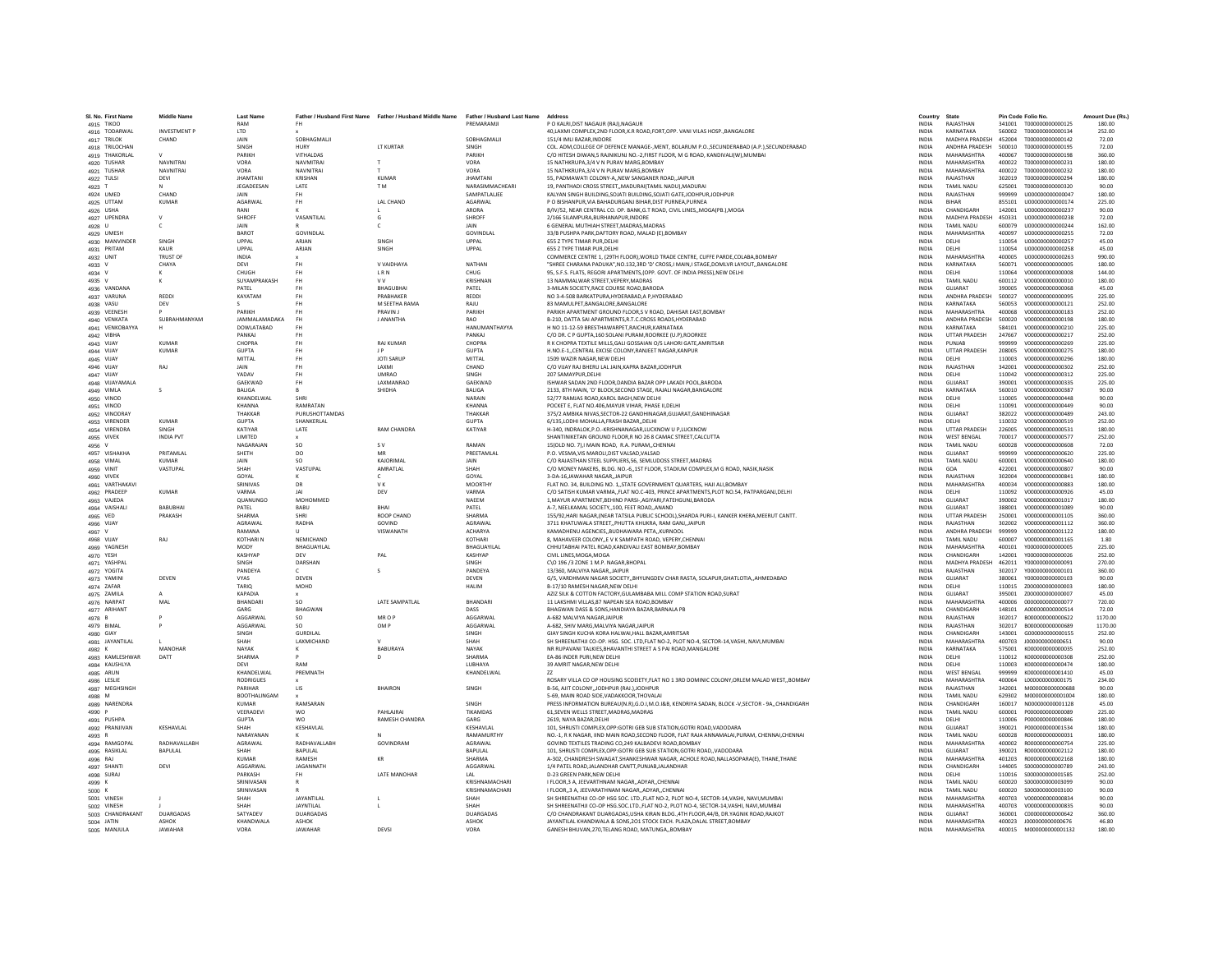| SI. No. First Nam            | <b>Middle Name</b>        | <b>Last Nam</b>            |                      | Father / Husband First Name Father / Husband Middle Name | Father / Husband Last Name | <b>Address</b>                                                                                                                                 | Country                      | State                                      |                  | Pin Code Folio No                    | Amount Due (Rs   |
|------------------------------|---------------------------|----------------------------|----------------------|----------------------------------------------------------|----------------------------|------------------------------------------------------------------------------------------------------------------------------------------------|------------------------------|--------------------------------------------|------------------|--------------------------------------|------------------|
| 4915 TIKOO                   | <b>INVESTMENT P</b>       | RAM<br>LTD                 | FH.                  |                                                          | PREMARAMII                 | P O KALBLDIST NAGAUR (RAI) NAGAUR                                                                                                              | <b>INDIA</b><br><b>INDIA</b> | RAIASTHAN<br>KARNATAKA                     | 341001<br>560002 | T000000000000125<br>T000000000000134 | 180.00<br>252.00 |
| 4916 TODARWAL<br>4917 TRILOK | CHAND                     | <b>JAIN</b>                | SOBHAGMALII          |                                                          | SOBHAGMALI                 | 40, LAXMI COMPLEX, 2ND FLOOR, K.R ROAD, FORT, OPP. VANI VILAS HOSP., BANGALORE<br>151/4 IMLI BAZAR.INDORE                                      | <b>INDIA</b>                 | MADHYA PRADESH                             | 452004           | T000000000000142                     | 72.00            |
| 4918 TRILOCHAN               |                           | SINGH                      | <b>HURY</b>          | LT KURTAR                                                | SINGH                      | COL. ADM, COLLEGE OF DEFENCE MANAGE-, MENT, BOLARUM P.O., SECUNDERABAD (A.P.), SECUNDERABAD                                                    | <b>INDIA</b>                 | ANDHRA PRADESH                             | 500010           | T000000000000195                     | 72.00            |
| 4919 THAKORLAL               |                           | PARIKH                     | VITHALDAS            |                                                          | PARIKH                     | C/O HITESH DIWAN 5 RAINIKUNI NO.-2.FIRST FLOOR, M G ROAD, KANDIVALI(W) MUMBA                                                                   | <b>INDIA</b>                 | MAHARASHTRA                                | 400067           | T000000000000198                     | 360.00           |
| 4920 TUSHAR                  | NAVNITRA                  | VORA                       | <b>NAVMITRAL</b>     | $\mathbf{r}$                                             | VORA                       | 15 NATHKRUPA.3/4 V N PURAV MARG.BOMBAY                                                                                                         | <b>INDIA</b>                 | <b>MAHARASHTRA</b>                         | 400022           | T000000000000231                     | 180.00           |
| 4921 TUSHAR                  | <b>NAVNITRA</b>           | VORA                       | NAVNITRAI            |                                                          | <b>VORA</b>                | 15 NATHKRUPA, 3/4 V N PURAV MARG, BOMBAY                                                                                                       | INDIA                        | MAHARASHTRA                                | 400022           | T000000000000232                     | 180.00           |
| 4922 TULSI                   | DEVI                      | <b>JHAMTAN</b>             | KRISHAN              | <b>KUMAF</b>                                             | <b>JHAMTANI</b>            | 55. PADMAWATI COLONY-A., NEW SANGANER ROAD, JAIPUR                                                                                             | <b>INDIA</b>                 | RAJASTHAN                                  | 302019           | T000000000000294                     | 180.00           |
| 4923 T                       |                           | <b>IFGADEFSAN</b>          | <b>IATF</b>          | T <sub>M</sub>                                           | NARASIMMACHEARI            | 19. PANTHADI CROSS STREET. MADURAI(TAMIL NADU) MADURA                                                                                          | <b>INDIA</b>                 | <b>TAMIL NADLI</b>                         | 625001           | T000000000000320                     | 90.00            |
| 4924 UMED                    | CHAND                     | <b>JAIN</b>                | <b>FH</b>            |                                                          | SAMPATLALIEE               | KALYAN SINGH BUILDING, SOJATI BUILDING, SOJATI GATE, JODHPUR, JODHPUR                                                                          | INDIA                        | RAJASTHAN                                  | 999999           | U000000000000047                     | 180.00           |
| 4925 UTTAM                   | <b>KUMAR</b>              | AGARWAL                    | <b>FH</b>            | <b>LAL CHAND</b>                                         | AGARWAL                    | P O BISHANPUR.VIA BAHADURGANJ BIHAR.DIST PURNEA.PURNEA                                                                                         | <b>INDIA</b>                 | <b>BIHAR</b>                               | 855101           | U000000000000174                     | 225.00           |
| 4926 USHA                    |                           | RANI                       |                      | л.                                                       | <b>ARORA</b>               | B/IV/52, NEAR CENTRAL CO. OP. BANK, G.T ROAD, CIVIL LINES, MOGA(PB.), MOGA                                                                     | <b>INDIA</b>                 | CHANDIGARH                                 | 142001           | U000000000000237                     | 90.00            |
| 4927 UPENDRA                 |                           | SHROFF                     | VASANTILAI           | G                                                        | SHROFF                     | 2/166 SILAMPURA.BURHANAPUR.INDORE                                                                                                              | <b>INDIA</b>                 | MADHYA PRADESH                             | 450331           | 11000000000000238                    | 72.00            |
| 4928 U                       |                           | <b>JAIN</b>                |                      |                                                          | JAIN                       | 6 GENERAL MUTHIAH STREET, MADRAS, MADRAS                                                                                                       | <b>INDIA</b>                 | <b>TAMIL NADU</b>                          | 600079           | U00000000000244                      | 162.00           |
| 4929 UMESH                   |                           | <b>BAROT</b>               | <b>GOVINDLAL</b>     |                                                          | <b>GOVINDLA</b>            | 33/B PUSHPA PARK, DAFTORY ROAD, MALAD (E), BOMBAY                                                                                              | <b>INDIA</b>                 | MAHARASHTRA                                | 400097           | U00000000000255                      | 72.00            |
| 4930 MANVINDER               | SINGH                     | LIPPAL                     | ARJAN                | SINGH                                                    | UPPAL                      | 655 Z TYPE TIMAR PUR.DELHI                                                                                                                     | <b>INDIA</b>                 | DELHI                                      | 110054           | 11000000000000257                    | 45.00            |
| 4931 PRITAM                  | KAUR                      | LIPPAL                     | ARJAN                | <b>SINGH</b>                                             | <b>UPPAL</b>               | 655 Z TYPE TIMAR PUR.DELHI                                                                                                                     | <b>INDIA</b>                 | DELHI                                      | 110054           | 11000000000000258                    | 45.00            |
| 4932 UNIT                    | <b>TRUST OF</b>           | <b>INDIA</b>               |                      |                                                          |                            | COMMERCE CENTRE 1, (29TH FLOOR), WORLD TRADE CENTRE, CUFFE PARDE, COLABA, BOMBAY                                                               | <b>INDIA</b>                 | MAHARASHTRA                                | 400005           | U00000000000263                      | 990.00           |
| 4933 V                       | CHAYA                     | DEVI                       | <b>FH</b>            | V VAIDHAYA                                               | NATHAN                     | "SHREE CHARANA PADUKA", NO.132,3RD 'D' CROSS, I MAIN, I STAGE, DOMLVR LAYOUT,, BANGALORE                                                       | INDIA                        | KARNATAKA                                  | 560071           | V000000000000005                     | 180.00           |
| 4934 V                       |                           | CHUGH                      | FH.                  | LRN                                                      | CHUG                       | 95. S.F.S. FLATS. REGORI APARTMENTS.(OPP. GOVT. OF INDIA PRESS).NEW DELHI                                                                      | <b>INDIA</b>                 | DELHI                                      | 110064           | V000000000000008                     | 144.00           |
| 4935 V                       |                           | SUYAMPRAKASH               | <b>FH</b>            | <b>VV</b>                                                | KRISHNAN                   | 13 NAMMAI WAR STREET VEPERY MADRAS                                                                                                             | <b>INDIA</b>                 | <b>TAMIL NADLI</b>                         | 600112           | V000000000000010                     | 180.00           |
| 4936 VANDANA                 |                           | PATEL                      | FH.                  | <b>BHAGUBHAI</b>                                         | PATEL                      | 3-MILAN SOCIETY, RACE COURSE ROAD, BARODA                                                                                                      | INDIA                        | GUJARAT                                    | 390005           | V000000000000068                     | 45.00            |
| 4937 VARUNA                  | REDDI                     | KAYATAM                    | <b>FH</b>            | PRABHAKER                                                | <b>REDD</b>                | NO 3-4-508 BARKATPURA.HYDERABAD.A P.HYDERABAD                                                                                                  | <b>INDIA</b>                 | <b>ANDHRA PRADESH</b>                      | 500027           |                                      | 225.00           |
| 4938 VASU                    | DEV                       |                            | <b>FH</b>            | M SEETHA RAMA                                            | RAJU                       | 83 MAMULPET.BANGALORE.BANGALORE                                                                                                                | <b>INDIA</b>                 | KARNATAKA                                  | 560053           | V000000000000121                     | 252.00           |
| 4939 VEENESH                 |                           | PARIKH                     | FH                   | PRAVIN I                                                 | <b>PARIKH</b>              | PARIKH APARTMENT GROUND FLOOR.S V ROAD, DAHISAR EAST.BOMBAY                                                                                    | <b>INDIA</b>                 | MAHARASHTRA                                | 400068           | V000000000000183                     | 252.00           |
| 4940 VENKATA                 | SUBRAHMANYAM              | <b>JAMMALAMADAKA</b>       | FH                   | <b>J ANANTHA</b>                                         | RAO                        | B-210, DATTA SAI APARTMENTS, R.T.C.CROSS ROADS, HYDERABAD                                                                                      | INDIA                        | ANDHRA PRADESH                             | 500020           | V000000000000198                     | 180.00           |
| 4941 VENKOBAYYA              |                           | <b>DOWLATABAD</b>          | <b>FH</b>            |                                                          | HANUMANTHAYYA              | H NO 11-12-59 BRESTHAWARPET, RAICHUR, KARNATAKA                                                                                                | <b>INDIA</b>                 | KARNATAKA                                  | 584101           | V000000000000210                     | 225.00           |
| 4942 VIBHA                   |                           | <b>PANKAI</b>              | <b>FH</b>            |                                                          | PANKAL                     | C/O DR. C.P GUPTA 160 SOLANI PURAM ROORKEE (U.P) ROORKEE                                                                                       | <b>INDIA</b>                 | <b>UTTAR PRADESH</b>                       | 247667           | V000000000000217                     | 252.00           |
| 4943 VIJAY                   | KUMAR                     | CHOPRA                     | FH.                  | <b>RAJ KUMAR</b>                                         | CHOPRA                     | R K CHOPRA TEXTILE MILLS, GALI GOSSAIAN O/S LAHORI GATE, AMRITSAR                                                                              | <b>INDIA</b>                 | PUNJAR                                     | 999999           | V00000000000269                      | 225.00           |
| 4944 VIJAY                   | <b>KUMAR</b>              | <b>GUPTA</b>               | FH.                  | $\mathsf{I}$                                             | <b>GUPTA</b>               | H.NO.E-1,,CENTRAL EXCISE COLONY, RANJEET NAGAR, KANPUR                                                                                         | <b>INDIA</b>                 | <b>UTTAR PRADESH</b>                       | 208005           | V00000000000275                      | 180.00           |
| 4945 VIJAY                   |                           | MITTAL                     | FH                   | <b>JOTI SARUP</b>                                        | MITTAL                     | 1509 WAZIR NAGAR.NEW DELHI                                                                                                                     | INDIA                        | DELHI                                      | 110003           | V000000000000296                     | 180.00           |
| 4946 VIJAY                   | RAJ                       | JAIN                       | <b>FH</b>            | LAXMI                                                    | CHAND                      | C/O VIJAY RAJ BHERU LAL JAIN, KAPRA BAZAR, JODHPUR                                                                                             | <b>INDIA</b>                 | RAJASTHAN                                  | 342001           | V000000000000302                     | 252.00           |
| 4947 VIJAY                   |                           | YADAV                      | FH.                  | <b>UMRAO</b>                                             | SINGH                      | 207 SAMAYPUR.DELHI                                                                                                                             | <b>INDIA</b>                 | <b>DELHI</b>                               | 110042           | V000000000000312                     | 225.00           |
| 4948 VIJAYAMALA              |                           | GAEKWAD                    | FH                   | LAXMANRAC                                                | GAEKWAD                    | ISHWAR SADAN 2ND FLOOR, DANDIA BAZAR OPP LAKADI POOL, BARODA                                                                                   | INDIA                        | GUJARAT                                    | 390001           | V000000000000335                     | 225.00           |
| 4949 VIMLA                   | $\mathcal{S}$             | BALIGA                     |                      | SHIDHA                                                   | BALIGA                     | 2133, 8TH MAIN, 'D' BLOCK, SECOND STAGE, RAJALI NAGAR, BANGALORE                                                                               | <b>INDIA</b>                 | KARNATAKA                                  | 560010           | V000000000000387                     | 90.00            |
| 4950 VINOD                   |                           | KHANDELWAL                 | SHRI                 |                                                          | NARAIN                     | 52/77 RAMJAS ROAD.KAROL BAGH.NEW DELHI                                                                                                         | <b>INDIA</b>                 | DELHI                                      | 110005           | V000000000000448                     | 90.00            |
| 4951 VINOD                   |                           | <b>KHANNA</b>              | RAMRATAN             |                                                          | <b>KHANNA</b>              | POCKET E, FLAT NO.406, MAYUR VIHAR, PHASE II, DELHI                                                                                            | INDIA                        | DELHI                                      | 110091           | V00000000000449                      | 90.00            |
| 4952 VINODRAY                |                           | THAKKAF                    | PURUSHOTTAMDAS       |                                                          | THAKKAF                    | 375/2 AMBIKA NIVAS.SECTOR-22 GANDHINAGAR.GUJARAT.GANDHINAGAR                                                                                   | <b>INDIA</b>                 | GUJARAT                                    | 382022           | V000000000000489                     | 243.00           |
| 4953 VIRENDER                | <b>KUMAR</b>              | <b>GUPTA</b>               | SHANKERLAL           |                                                          | <b>GUPTA</b>               | 6/135, LODHI MOHALLA, FRASH BAZAR, , DELHI                                                                                                     | <b>INDIA</b>                 | DELHI                                      | 110032           | V000000000000519                     | 252.00           |
| 4954 VIRENDRA                | SINGH<br><b>INDIA PVT</b> | KATIYAR<br><b>I IMITED</b> | LATE                 | <b>RAM CHANDRA</b>                                       | KATIYAR                    | H-340. INDRALOK.P.O.-KRISHNANAGAR.LUCKNOW U P.LUCKNOW                                                                                          | <b>INDIA</b><br><b>INDIA</b> | <b>UTTAR PRADESE</b><br><b>WEST BENGAL</b> | 226005<br>700017 | V000000000000531<br>V000000000000577 | 180.00<br>252.00 |
| 4955 VIVEK                   |                           |                            |                      |                                                          |                            | SHANTINIKETAN GROUND FLOOR, R NO 26 8 CAMAC STREET, CALCUTTA                                                                                   |                              |                                            |                  |                                      |                  |
| 4956                         | PRITAMI AI                | NAGARAJAN<br>SHETH         | SO<br>D <sub>O</sub> | S V<br>MR                                                | RAMAN<br>PREETAMI AI       | 15(OLD NO. 7).I MAIN ROAD. R.A. PURAMCHENNA<br>P.O. VESMA, VIS MAROLI, DIST VALSAD, VALSAD                                                     | INDIA                        | TAMIL NADU<br>GUIARAT                      | 600028<br>999999 | V000000000000608<br>V000000000000620 | 72.00<br>225.00  |
| 4957 VISHAKHA                | KUMAR                     | <b>JAIN</b>                | SO.                  | KAIORIMAL                                                | <b>JAIN</b>                |                                                                                                                                                | INDIA<br><b>INDIA</b>        | <b>TAMIL NADLI</b>                         | 600001           | V000000000000640                     | 180.00           |
| 4958 VIMAL<br>4959 VINIT     | VASTUPAL                  | SHAH                       | VASTUPAL             | AMRATLAL                                                 | SHAH                       | C/O RAJASTHAN STEEL SUPPLIERS, 56, SEMLUDOSS STREET, MADRAS<br>C/O MONEY MAKERS, BLDG. NO.-6,,1ST FLOOR, STADIUM COMPLEX,M G ROAD, NASIK,NASIK | <b>INDIA</b>                 | GOA                                        | 422001           | V000000000000807                     | 90.00            |
|                              |                           | GOYAL                      |                      |                                                          | GOYAL                      | 3-DA-16, JAWAHAR NAGAR, JAIPUR                                                                                                                 | INDIA                        | RAJASTHAN                                  | 302004           | V000000000000841                     | 180.00           |
| 4960 VIVEK<br>4961 VARTHAKAV |                           | SRINIVAS                   | DR                   | VK.                                                      | <b>MOORTH</b>              | FLAT NO. 34, BUILDING NO. 1, STATE GOVERNMENT QUARTERS, HAJI ALI, BOMBAY                                                                       | <b>INDIA</b>                 | MAHARASHTRA                                | 400034           | V000000000000883                     | 180.00           |
| 4962 PRADEEP                 | <b>KUMAR</b>              | VARMA                      | <b>JAI</b>           | DEV                                                      | VARMA                      | C/O SATISH KUMAR VARMA, FLAT NO.C-403, PRINCE APARTMENTS, PLOT NO.54, PATPARGANJ, DELHI                                                        | <b>INDIA</b>                 | DELHI                                      | 110092           | V000000000000926                     | 45.00            |
| 4963 VAJED/                  |                           | QUANUNGC                   | <b>MOHOMMED</b>      |                                                          | NAEEM                      | 1, MAYUR APARTMENT, BEHIND PARSI-, AGIYARI, FATEHGUNJ, BARODA                                                                                  | INDIA                        | GUJARAT                                    | 390002           | V000000000001017                     | 180.00           |
| 4964 VAISHALI                | <b>BABUBHA</b>            | PATEL                      | BABU                 | BHAI                                                     | PATEL                      | A-7. NEELKAMAL SOCIETY100. FEET ROADANAND                                                                                                      | <b>INDIA</b>                 | GUJARAT                                    | 388001           |                                      | 90.00            |
| 4965 VED                     | PRAKASH                   | SHARMA                     | SHRI                 | <b>ROOP CHAND</b>                                        | SHARMA                     | 155/92.HARI NAGAR.(NEAR TATSILA PUBLIC SCHOOL).SHARDA PURI-I, KANKER KHERA.MEERUT CANTT.                                                       | <b>INDIA</b>                 | <b>UTTAR PRADESH</b>                       | 250001           | V000000000001105                     | 360.00           |
| 4966 VIJAY                   |                           | <b>AGRAWAI</b>             | RADHA                | GOVIND                                                   | AGRAWAI                    | 3711 KHATUWALA STREETPHUTTA KHUKRA, RAM GANJ, JAIPUR                                                                                           | <b>INDIA</b>                 | RAIASTHAN                                  | 302002           | V000000000001112                     | 360.00           |
| 4967 V                       |                           | RAMANA                     |                      | VISWANATH                                                | <b>ACHARYA</b>             | KAMADHENU AGENCIES, BUDHAWARA PETA, KURNOOI                                                                                                    | INDIA                        | ANDHRA PRADESH                             | 999999           | v000000000001122                     | 180.00           |
| 4968 VIJAY                   | RAJ                       | KOTHARI N                  | NEMICHAND            |                                                          | KOTHARI                    | 8, MAHAVEER COLONY,,E V K SAMPATH ROAD, VEPERY,CHENNAI                                                                                         | <b>INDIA</b>                 | <b>TAMIL NADU</b>                          | 600007           | V00000000001165                      | 1.80             |
| 4969 YAGNESI                 |                           | MODY                       | BHAGUAYILAL          |                                                          | BHAGUAYILAL                | CHHUTABHAI PATEL ROAD.KANDIVALI EAST BOMBAY.BOMBAY                                                                                             | <b>INDIA</b>                 | MAHARASHTRA                                | 400101           | Y000000000000005                     | 225.00           |
| 4970 YESH                    |                           | KASHYAP                    | DFV                  | PAL                                                      | <b>KASHYAP</b>             | CIVIL LINES.MOGA.MOGA                                                                                                                          | <b>INDIA</b>                 | CHANDIGARH                                 | 142001           | Y000000000000026                     | 252.00           |
| 4971 YASHPAL                 |                           | <b>SINGH</b>               | DARSHAN              |                                                          | SINGH                      | C\O 196 /3 ZONE 1 M.P. NAGAR, BHOPAL                                                                                                           | <b>INDIA</b>                 | MADHYA PRADESH                             | 462011           | Y000000000000091                     | 270.00           |
| 4972 YOGITA                  |                           | PANDEYA                    |                      |                                                          | PANDEYA                    | 13/360, MALVIYA NAGAR, JAIPUR                                                                                                                  | <b>INDIA</b>                 | RAJASTHAN                                  | 302017           | Y000000000000101                     | 360.00           |
| 4973 YAMIN                   | DEVEN                     | <b>VYAS</b>                | DEVEN                |                                                          | <b>DEVEN</b>               | G/5, VARDHMAN NAGAR SOCIETY,, BHYUNGDEV CHAR RASTA, SOLAPUR, GHATLOTIA,, AHMEDABAD                                                             | <b>INDIA</b>                 | GUJARAT                                    | 380061           | Y000000000000103                     | 90.00            |
| 4974 ZAFAR                   |                           | TARIO                      | MOHD                 |                                                          | <b>HALIM</b>               | B-17/10 RAMESH NAGAR, NEW DELHI                                                                                                                | <b>INDIA</b>                 | <b>DELHI</b>                               | 110015           | 2000000000000003                     | 180.00           |
| 4975 ZAMIL/                  |                           | <b>KAPADIA</b>             |                      |                                                          |                            | AZIZ SILK & COTTON FACTORY, GULAMBABA MILL COMP STATION ROAD, SURAT                                                                            | INDIA                        | GUJARAT                                    | 395001           | 200000000000007                      | 45.00            |
| 4976 NARPAT                  | MAL                       | <b>BHANDAR</b>             | so                   | LATE SAMPATLAL                                           | BHANDARI                   | 11 LAKSHMI VILLAS.87 NAPEAN SEA ROAD.BOMBAY                                                                                                    | <b>INDIA</b>                 | <b>MAHARASHTRA</b>                         | 400006           | 0000000000000077                     | 720.00           |
| 4977 ARIHAN                  |                           | GARG                       | BHAGWAN              |                                                          | DASS                       | BHAGWAN DASS & SONS.HANDIAYA BAZAR.BARNALA PE                                                                                                  | <b>INDIA</b>                 | CHANDIGARH                                 | 148101           | A000000000000514                     | 72.00            |
| 4978 B                       |                           | AGGARWAI                   | SO.                  | MR O P                                                   | AGGARWAI                   | A-682 MAI VIYA NAGAR JAIPUR                                                                                                                    | <b>INDIA</b>                 | RAIASTHAN                                  | 302017           | B000000000000622                     | 1170.00          |
| 4979 BIMAL                   |                           | AGGARWAL                   | SO                   | OM P                                                     | AGGARWA                    | A-682, SHIV MARG, MALVIYA NAGAR, JAIPUR                                                                                                        | INDIA                        | RAJASTHAN                                  | 302017           | B00000000000689                      | 1170.00          |
| 4980 GIAY                    |                           | SINGH                      | <b>GURDILAL</b>      |                                                          | SINGH                      | GIAY SINGH KUCHA KORA HALWAI, HALL BAZAR, AMRITSAR                                                                                             | <b>INDIA</b>                 | CHANDIGARI                                 | 143001           | G000000000000155                     | 252.00           |
| 4981 JAYANTILAL              |                           | SHAH                       | <b>LAXMICHAND</b>    |                                                          | SHAH                       | SH SHREENATHJI CO-OP. HSG. SOC. LTD,FLAT NO-2, PLOT NO-4, SECTOR-14,VASHI, NAVI,MUMBAI                                                         | <b>INDIA</b>                 | MAHARASHTRA                                | 400703           | 1000000000000651                     | 90.00            |
| 4982 K                       | MANOHAR                   | NAYAK                      |                      | BABURAYA                                                 | NAYAK                      | NR RUPAVANI TALKIES, BHAVANTHI STREET A S PAI ROAD, MANGALORE                                                                                  | <b>INDIA</b>                 | KARNATAKA                                  | 575001           | K000000000000035                     | 252.00           |
| 4983 KAMLESHWAR              | DATT                      | <b>SHARMA</b>              |                      | D                                                        | SHARM/                     | EA-86 INDER PURI.NEW DELH                                                                                                                      | <b>INDIA</b>                 | DELH                                       | 110012           | K000000000000308                     | 252.00           |
| 4984 KAUSHLYA                |                           | DEVI                       | RAM                  |                                                          | LUBHAYA                    | 39 AMRIT NAGAR.NEW DELHI                                                                                                                       | INDIA                        | DELHI                                      | 110003           | K00000000000474                      | 180.00           |
| 4985 ARUN                    |                           | KHANDELWAL                 | PREMNATH             |                                                          | KHANDELWAL                 |                                                                                                                                                | <b>INDIA</b>                 | <b>WEST BENGAL</b>                         | 999999           | K000000000001410                     | 45.00            |
| 4986 LESLIE                  |                           | <b>RODRIGUES</b>           |                      |                                                          |                            | ROSARY VILLA CO OP HOUSING SCOEIETY, FLAT NO 1 3RD DOMINIC COLONY, ORLEM MALAD WEST,, BOMBAY                                                   | <b>INDIA</b>                 | MAHARASHTRA                                | 400064           | L000000000000175                     | 234.00           |
| 4987 MEGHSINGH               |                           | PARIHAR                    | LIS                  | <b>BHAIRON</b>                                           | SINGH                      | B-56, AJIT COLONY, JODHPUR (RAJ.) JODHPUF                                                                                                      | INDIA                        | RAJASTHAN                                  | 342001           | M00000000000688                      | 90.00            |
| 4988 M                       |                           | BOOTHALINGAM               | RAMSARAN             |                                                          |                            | 5-69. MAIN ROAD SIDE, VADAKKOOR, THOVALAI                                                                                                      | <b>INDIA</b>                 | <b>TAMIL NADLI</b>                         | 629302           | M000000000001004                     | 180.00           |
| 4989 NARENDRA                |                           | <b>KUMAR</b>               |                      | PAHI AIRAI                                               | SINGH                      | PRESS INFORMATION BUREAU(N.R), G.O.I, M.O.I&B, KENDRIYA SADAN, BLOCK -V, SECTOR - 9A,, CHANDIGARH                                              | <b>INDIA</b>                 | CHANDIGARH                                 | 160017           | N000000000001128                     | 45.00            |
| 4990 P                       |                           | VEERADEVI<br><b>GUPTA</b>  | <b>WO</b><br>wo      | RAMESH CHANDRA                                           | <b>TIKAMDAS</b><br>GARG    | 61, SEVEN WELLS STREET, MADRAS, MADRAS<br>2619, NAYA BAZAR, DELH                                                                               | <b>INDIA</b><br>INDIA        | TAMIL NADU<br>DELH                         | 600001<br>110006 | P000000000000089<br>P000000000000846 | 225.00<br>180.00 |
| 4991 PUSHP/                  | KESHAVLAL                 |                            | KESHAVLAL            |                                                          | KESHAVLAL                  | 101, SHRUSTI COMPLEX, OPP: GOTRI GEB SUB STATION, GOTRI ROAD, VADODARA                                                                         | <b>INDIA</b>                 | GUJARAT                                    |                  | P000000000001534                     | 180.00           |
| 4992 PRANJIVAN<br>4993 R     |                           | SHAH<br>NARAYANAN          |                      | $\mathbf{M}$                                             | RAMAMURTHY                 | NO.-1. R.K. NAGAR. IIND MAIN ROAD SECOND FLOOR. FLAT RAIA ANNAMALAI PURAM. CHENNAL CHENNAL                                                     | <b>INDIA</b>                 | TAMIL NADLI                                | 390021<br>600028 | R00000000000031                      | 180.00           |
| 4994 RAMGOPAL                | RADHAVALLABH              | AGRAWAL                    | RADHAVALLABH         | GOVINDRAM                                                | <b>AGRAWA</b>              | GOVIND TEXTILES TRADING CO.249 KALBADEVI ROAD.BOMBAY                                                                                           | <b>INDIA</b>                 | <b>MAHARASHTRA</b>                         | 400002           | R00000000000754                      | 225.00           |
| 4995 RASIKLAL                | <b>BAPULAL</b>            | SHAH                       | <b>BAPULAL</b>       |                                                          | <b>BAPULAL</b>             | 101, SHRUSTI COMPLEX, OPP: GOTRI GEB SUB STATION, GOTRI ROAD,, VADODARA                                                                        | <b>INDIA</b>                 | GUJARAT                                    | 390021           | R00000000002112                      | 180.00           |
| 4996 RAJ                     |                           | <b>KUMAR</b>               | RAMESH               | KR                                                       | SHARMA                     | A-302, CHANDRESH SWAGAT, SHANKESHWAR NAGAR, ACHOLE ROAD, NALLASOPARA(E), THANE, THANE                                                          | INDIA                        | <b>MAHARASHTRA</b>                         | 401203           | R00000000002168                      | 180.00           |
| 4997 SHANT                   | DEVI                      | AGGARWAI                   | <b>IAGANNATH</b>     |                                                          | AGGARWAI                   | 1/4 PATEL ROAD JALANDHAR CANTT.PUNJAB JALANDHAR                                                                                                | <b>INDIA</b>                 | CHANDIGARH                                 | 144005           | \$000000000000789                    | 243.00           |
| 4998 SURAJ                   |                           | PARKASH                    | <b>FH</b>            | LATE MANOHAF                                             | LAL                        | <b>D-23 GREEN PARK.NEW DELHI</b>                                                                                                               | <b>INDIA</b>                 | DELHI                                      | 110016           | \$000000000001585                    | 252.00           |
| 4999 K                       |                           | SRINIVASAP                 |                      |                                                          | KRISHNAMACHAR              | I FLOOR, 3 A, JEEVARTHNAM NAGAR, ADYAR, CHENNAI                                                                                                | <b>INDIA</b>                 | TAMIL NADU                                 | 600020           | \$000000000003099                    | 90.00            |
| 5000 K                       |                           | SRINIVASAN                 |                      |                                                          | KRISHNAMACHARI             | I FLOOR  3 A. JEEVARATHNAM NAGAR., ADYAR., CHENNAI                                                                                             | <b>INDIA</b>                 | <b>TAMIL NADU</b>                          | 600020           | \$000000000003100                    | 90.00            |
| 5001 VINESH                  |                           | SHAH                       | <b>JAYANTILAI</b>    |                                                          | SHAH                       | SH SHREENATHJI CO-OP HSG SOC, LTD.,FLAT NO-2, PLOT NO-4, SECTOR-14.VASHI, NAVI.MUMBAI                                                          | <b>INDIA</b>                 | MAHARASHTRA                                | 400703           | V000000000000834                     | 90.00            |
| 5002 VINESH                  |                           | SHAH                       | JAYNTILAL            |                                                          | SHAH                       | SH SHREENATHJI CO-OP HSG.SOC.LTD., FLAT NO-2, PLOT NO-4, SECTOR-14, VASHI, NAVI, MUMBAI                                                        | INDIA                        | <b>MAHARASHTRA</b>                         | 400703           | V000000000000835                     | 90.00            |
| 5003 CHANDRAKANT             | DUARGADAS                 | SATYADEV                   | DUARGADAS            |                                                          | <b>DUARGADAS</b>           | C/O CHANDRAKANT DUARGADAS.USHA KIRAN BLDG4TH FLOOR.44/B. DR.YAGNIK ROAD.RAJKOT                                                                 | <b>INDIA</b>                 | GUJARAT                                    | 360001           | C000000000000642                     | 360.00           |
| 5004 JATIN                   | <b>ASHOK</b>              | KHANDWALA                  | <b>ASHOK</b>         |                                                          | ASHOK                      | JAYANTILAL KHANDWALA & SONS.201 STOCK EXCH. PLAZA.DALAL STREET.BOMBAY                                                                          | <b>INDIA</b>                 | MAHARASHTRA                                | 400023           | J00000000000676                      | 46.80            |
| 5005 MANJULA                 | <b>JAWAHAR</b>            | VORA                       | <b>IAWAHAR</b>       | DEVSI                                                    | VORA                       | GANESH BHUVAN.270.TELANG ROAD, MATUNGABOMBAY                                                                                                   | <b>INDIA</b>                 | MAHARASHTRA                                | 400015           | M000000000001132                     | 180.00           |
|                              |                           |                            |                      |                                                          |                            |                                                                                                                                                |                              |                                            |                  |                                      |                  |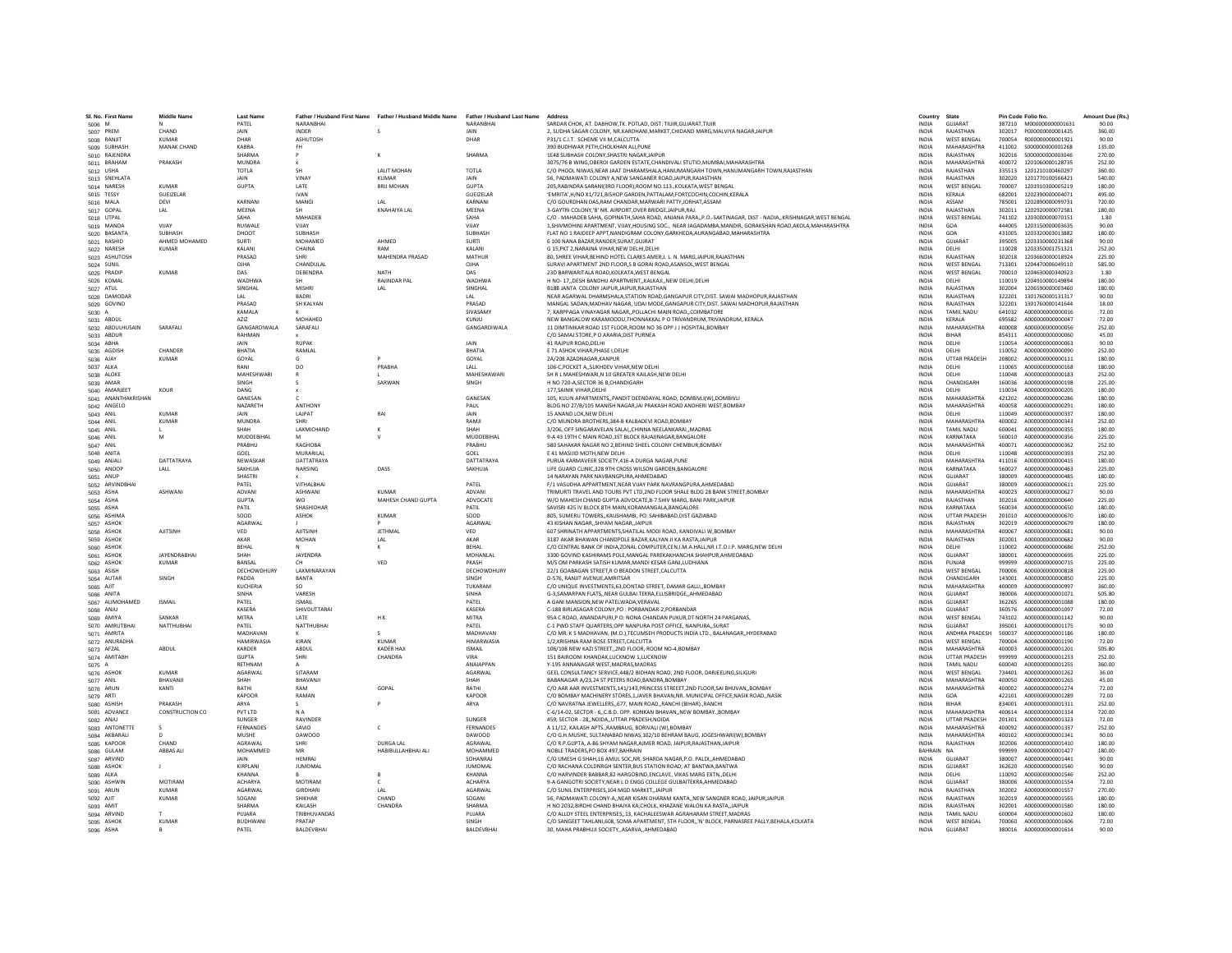| SL No. First Name             | <b>Middle Name</b>     | <b>Last Name</b>              |                                 | Father / Husband First Name Father / Husband Middle Name Father / Husband Last Name |                              | Address                                                                                                                                                                             | Country                      | State                               | Pin Code Folio No. |                                      | Amount Due (Rs.) |
|-------------------------------|------------------------|-------------------------------|---------------------------------|-------------------------------------------------------------------------------------|------------------------------|-------------------------------------------------------------------------------------------------------------------------------------------------------------------------------------|------------------------------|-------------------------------------|--------------------|--------------------------------------|------------------|
| 5006 M                        |                        | PATEL                         | NARANBHAI                       |                                                                                     | NARANBHAI                    | SARDAR CHOK, AT, DABHOW, TK, POTLAD, DIST: TIUIR, GUJARAT, TIUIR                                                                                                                    | <b>INDIA</b>                 | GUJARAT                             |                    | 387210 M000000000001631              | 90.00            |
| 5007 PREM                     | CHAND                  | <b>JAIN</b>                   | <b>INDER</b>                    |                                                                                     | <b>JAIN</b>                  | 2. SUDHA SAGAR COLONY. NR KARDHANI MARKET CHIDAND MARG MALVIYA NAGAR JAIPUR                                                                                                         | <b>INDIA</b>                 | RAIASTHAN                           | 302017             | 2000000000001425                     | 360.00           |
| 5008 RANJIT                   | <b>KUMAR</b>           | DHAR                          | ASHUTOSH                        |                                                                                     | DHAR                         | P31/1 C.I.T. SCHEME VII M.CALCUTTA                                                                                                                                                  | <b>INDIA</b>                 | <b>WEST BENGAL</b>                  | 700054             | R000000000001921                     | 90.00            |
| 5009 SUBHASH                  | MANAK CHAND            | <b>KABRA</b>                  |                                 |                                                                                     |                              | 390 BUDHWAR PETH, CHOLKHAN ALI, PUNE                                                                                                                                                | INDIA                        | MAHARASHTRA                         | 411002             | S000000000001268                     | 135.00           |
| 5010 RAJENDRA                 |                        | <b>SHARMA</b>                 |                                 |                                                                                     | <b>SHARMA</b>                | 1E48 SUBHASH COLONY, SHASTRI NAGAR, JAIPUR<br>3075/76 B WING OBEROI GARDEN ESTATE CHANDIVALI STUTIO MUMBAI MAHARASHTRA                                                              | <b>INDIA</b>                 | RAJASTHAN                           | 302016             | \$000000000003046                    | 270.00           |
| 5011 BRAHAM<br>5012 USHA      | PRAKASH                | <b>MUNDRA</b><br><b>TOTLA</b> | SH                              | <b>JALIT MOHAN</b>                                                                  | TOTI A                       | C/O PHOOL NIWAS.NEAR JAAT DHARAMSHALA.HANUMANGARH TOWN.HANUMANGARH TOWN.RAJASTHAN                                                                                                   | <b>INDIA</b><br><b>INDIA</b> | MAHARASHTRA<br>RAIASTHAN            | 400072<br>335513   | 1201060000128735<br>1201210100460297 | 252.00<br>360.00 |
| 5013 SNEHLATA                 |                        | JAIN                          | VINAY                           | KUMAR                                                                               | JAIN                         | 56, PADMAWATI COLONY A, NEW SANGANER ROAD, JAIPUR, RAJASTHAN                                                                                                                        | INDIA                        | RAJASTHAN                           | 302020             | 1201770100566421                     | 540.00           |
| 5014 NARESH                   | <b>KUMAR</b>           | <b>GUPTA</b>                  | LATE                            | <b>BRIJ MOHAN</b>                                                                   | <b>GUPTA</b>                 | 205.RABINDRA SARANI(3RD FLOOR).ROOM NO.113.,KOLKATA.WEST BENGAL                                                                                                                     | <b>INDIA</b>                 | <b>WEST BENGAL</b>                  | 700007             | 1201910300005219                     | 180.00           |
| 5015 TESSY                    | GUEIZELAR              |                               | <b>IVAN</b>                     |                                                                                     | GUEIZELAR                    | 'EMRITA', H/NO X1/721, BISHOP GARDEN, PATTALAM, FORTCOCHIN, COCHIN, KERALA                                                                                                          | <b>INDIA</b>                 | KERALA                              | 682001             | 1202390000004071                     | 495.00           |
| 5016 MALA                     | DFVI                   | KARNANI                       | MANGL                           | IAI                                                                                 | KARNANI                      | C/O GOURDHAN DAS.RAM CHANDAR.MARWARI PATTY.JORHAT.ASSAM                                                                                                                             | <b>INDIA</b>                 | ASSAM                               | 785001             | 1202890000099731                     | 720.00           |
| 5017 GOPAL                    | LAL                    | MEENA                         |                                 | <b>KNAHAIYA LAL</b>                                                                 | MEENA                        | 3-GAYTRI COLONY,'B' NR. AIRPORT, OVER BRIDGE, JAIPUR, RAJ                                                                                                                           | <b>INDIA</b>                 | RAJASTHAN                           | 302011             | 1202920000072581                     | 180.00           |
| 5018 UTPAL                    | VIJAY                  | SAHA<br>RUIWALE               | MAHADEB                         |                                                                                     | SAHA<br>VIJAY                | C/O - MAHADEB SAHA, GOPINATH, SAHA ROAD, ANJANA PARA, P.O.-SAKTINAGAR, DIST - NADIA., KRISHNAGAR, WEST BENGA                                                                        | INDIA                        | <b>WEST BENGAL</b>                  | 741102             | 1203000000070151                     | 1.80             |
| 5019 MANDA<br>5020 BASANTA    | SURHASH                | DHOOT                         | VUAY<br><b>SURHASH</b>          |                                                                                     | SURHASH                      | 1, SHIVMOHINI APARTMENT, VIJAY, HOUSING SOC., NEAR JAGADAMBA, MANDIR, GORAKSHAN ROAD, AKOLA, MAHARASHTRA<br>FLAT NO 1 RAIDEEP APPT.NANDIGRAM COLONY.GARKHEDA.AURANGABAD.MAHARASHTRA | INDIA<br><b>INDIA</b>        | GOA<br>GOA                          | 444005<br>431005   | 1203150000003635<br>1203320003013882 | 90.00<br>180.00  |
| 5021 RASHID                   | AHMED MOHAMED          | SURTI                         | MOHAMED                         | AHMED                                                                               | <b>SURTI</b>                 | 6 100 NANA BAZAR.RANDER.SURAT.GUJRAT                                                                                                                                                | <b>INDIA</b>                 | GUIARAT                             | 395005             | 1203330000231368                     | 90.00            |
| 5022 NARESH                   | KUMAR                  | KALAN                         | CHAINA                          |                                                                                     | KALAN                        | G 15, PKT 2, NARAINA VIHAR, NEW DELHI, DELHI                                                                                                                                        | INDIA                        | DELHI                               | 110028             | 1203350001751321                     | 252.00           |
| 5023 ASHUTOSH                 |                        | PRASAD                        |                                 | MAHENDRA PRASAD                                                                     | MATHUR                       | 80. SHREE VIHAR.BEHIND HOTEL CLARKS AMER.J. L. N. MARG.JAIPUR.RAJASTHAN                                                                                                             | <b>INDIA</b>                 | RAJASTHAN                           | 302018             | 1203660000018924                     | 225.00           |
| 5024 SUNIL                    |                        | OJHA                          | CHANDULAL                       |                                                                                     | OJHA                         | SURAVI APARTMENT 2ND FLOOR.S B GORAI ROAD.ASANSOL.WEST BENGAL                                                                                                                       | <b>INDIA</b>                 | <b>WEST BENGAL</b>                  | 713301             | 1204470006049110                     | 585.00           |
| 5025 PRADIP                   | KUMAR                  | DAS                           | DERENDRA                        | NATH                                                                                | DAS                          | 23D BARWARITALA ROAD KOLKATA WEST BENGAL                                                                                                                                            | <b>INDIA</b>                 | <b>WEST BENGAL</b>                  | 700010             | 1204630000340923                     | 1.80             |
| 5026 KOMAL                    |                        | <b>WADHWA</b>                 | <b>SH</b>                       | RAJINDAR PAL                                                                        | WADHWA                       | H NO- 17, DESH BANDHU APARTMENT, KALKAJI, NEW DELHI DELHI                                                                                                                           | <b>INDIA</b>                 | DELHI                               | 110019             | 1204910000149894                     | 180.00           |
| 5027 ATUL<br>5028 DAMODAF     |                        | SINGHAL<br>LAL                | <b>MISHRI</b><br><b>BADRI</b>   | LAL                                                                                 | SINGHAL<br>LAL               | B188 JANTA COLONY JAIPUR JAIPUR RAJASTHAN<br>NEAR AGARWAL DHARMSHALA, STATION ROAD, GANGAPUR CITY, DIST. SAWAI MADHOPUR, RAJASTHAN                                                  | <b>INDIA</b><br><b>INDIA</b> | RAJASTHAN<br>RAJASTHAN              | 302004<br>322201   | 1206590000003460<br>1301760000131317 | 180.00<br>90.00  |
| 5029 GOVIND                   |                        | PRASAD                        | SH KAI YAN                      |                                                                                     | PRASAD                       | MANGAL SADAN.MADHAV NAGAR. UDAI MODE.GANGAPUR CITY.DIST. SAWAI MADHOPUR.RAJASTHAN                                                                                                   | <b>INDIA</b>                 | RAIASTHAN                           | 322201             | 1301760000141644                     | 18.00            |
| 5030 A                        |                        | KAMALA                        |                                 |                                                                                     | SIVASAMY                     | 7, KARPPAGA VINAYAGAR NAGAR, POLLACHI MAIN ROAD, COIMBATORE                                                                                                                         | <b>INDIA</b>                 | <b>TAMIL NADU</b>                   | 641032             | A000000000000016                     | 72.00            |
| 5031 ABDUL                    |                        | AZIZ                          | MOHAHED                         |                                                                                     | KUNJU                        | NEW BANGALOW KARAMOODU.THONNAKKAL P O TRIVANDRUM.TRIVANDRUM. KERALA                                                                                                                 | <b>INDIA</b>                 | KERALA                              | 695582             | A000000000000047                     | 72.00            |
| 5032 ABDULHUSAIN              | SARAFALI               | GANGARDIWALA                  | SARAFALI                        |                                                                                     | GANGARDIWALA                 | 11 DIMTIMKAR ROAD 1ST FLOOR, ROOM NO 36 OPP J J HOSPITAL, BOMBAY                                                                                                                    | INDIA                        | MAHARASHTRA                         | 400008             | A000000000000056                     | 252.00           |
| 5033 ABDUR                    |                        | RAHMAN                        |                                 |                                                                                     |                              | C/O SAMAI STORE P O ARARIA DIST PURNEA                                                                                                                                              | <b>INDIA</b>                 | <b>RIHAR</b>                        | 854311             | A000000000000060                     | 45.00            |
| 5034 ABHA                     | CHANDER                | <b>JAIN</b><br>RHATIA         | RUPAK<br>RAMLAL                 |                                                                                     | <b>JAIN</b><br><b>RHATIA</b> | 41 RAJPUR ROAD.DELHI                                                                                                                                                                | <b>INDIA</b><br><b>INDIA</b> | DELHI<br>DELHI                      | 110054<br>110052   | A000000000000063<br>A000000000000090 | 90.00<br>252.00  |
| 5035 AGDISH<br>5036 AJAY      | <b>KUMAR</b>           | GOYAL                         | G                               |                                                                                     | GOYAL                        | E 71 ASHOK VIHAR, PHASE I, DELHI<br>2A/208 AZADNAGAR.KANPUR                                                                                                                         | <b>INDIA</b>                 | <b>UTTAR PRADESH</b>                | 208002             | A000000000000111                     | 180.00           |
| 5037 ALKA                     |                        | RANI                          | DO                              | PRABHA                                                                              | LALL                         | 106-C, POCKET A, SUKHDEV VIHAR, NEW DELHI                                                                                                                                           | INDIA                        | DELHI                               | 110065             | A000000000000168                     | 180.00           |
| 5038 ALOKE                    |                        | MAHFSHWARI                    |                                 |                                                                                     | MAHESHAWARI                  | SH R L MAHESHWARI.N 10 GREATER KAILASH.NEW DELHI                                                                                                                                    | <b>INDIA</b>                 | DELHI                               | 110048             | A000000000000183                     | 252.00           |
| 5039 AMAR                     |                        | SINGH                         |                                 | SARWAN                                                                              | SINGH                        | H NO 720-A SECTOR 36 B, CHANDIGARH                                                                                                                                                  | <b>INDIA</b>                 | CHANDIGARH                          | 160036             | A000000000000198                     | 225.00           |
| 5040 AMARJEET                 | KOUR                   | DANG                          |                                 |                                                                                     |                              | 177. SAINIK VIHAR. DELHI                                                                                                                                                            | <b>INDIA</b>                 | DELHI                               | 110034             | A000000000000205                     | 180.00           |
| 5041 ANANTHAKRISHAN           |                        | GANESAN                       |                                 |                                                                                     | GANESAN                      | 105, KULIN APARTMENTS,, PANDIT DEENDAYAL ROAD, DOMBIVLI(W), DOMBIVLI                                                                                                                | <b>INDIA</b>                 | MAHARASHTRA                         | 421202             | A00000000000286                      | 180.00           |
| 5042 ANGELO                   | KUMAR                  | NAZARETH                      | <b>ANTHONY</b><br><b>LAIPAT</b> |                                                                                     | PAUL                         | BLDG NO 27/B/105 MANISH NAGAR, JAI PRAKASH ROAD ANDHERI WEST, BOMBAY<br>15 ANAND LOK NEW DELHI                                                                                      | <b>INDIA</b>                 | MAHARASHTRA                         | 400058<br>110049   | 4000000000000291                     | 180.00<br>180.00 |
| 5043 ANIL<br>5044 ANIL        | <b>KUMAR</b>           | <b>JAIN</b><br>MUNDRA         | <b>SHRI</b>                     | RAI                                                                                 | <b>JAIN</b><br>RAMIL         | C/O MUNDRA BROTHERS, 384-B KALBADEVI ROAD, BOMBAY                                                                                                                                   | <b>INDIA</b><br><b>INDIA</b> | DELHI<br>MAHARASHTRA                | 400002             | A000000000000337<br>A000000000000343 | 252.00           |
| 5045 ANIL                     |                        | SHAH                          | LAXMICHAND                      |                                                                                     | SHAH                         | 3/206, OFF SINGARAVELAN SALAI,, CHINNA NEELANKARAI,, MADRAS                                                                                                                         | <b>INDIA</b>                 | TAMIL NADU                          | 600041             | A000000000000355                     | 180.00           |
| 5046 ANIL                     | M                      | MUDDEBIHAL                    |                                 |                                                                                     | MUDDEBIHAL                   | 9-A 43 19TH C MAIN ROAD. 1ST BLOCK RAJAJINAGAR. BANGALORE                                                                                                                           | <b>INDIA</b>                 | KARNATAKA                           | 560010             | A00000000000356                      | 225.00           |
| 5047 ANIL                     |                        | PRABHU                        | RAGHORA                         |                                                                                     | PRARHU                       | 580 SAHAKAR NAGAR NO 2, BEHIND SHEEL COLONY CHEMBUR, BOMBAY                                                                                                                         | <b>INDIA</b>                 | MAHARASHTRA                         | 400071             | A000000000000362                     | 252.00           |
| 5048 ANITA                    |                        | GOEL                          | MURARILAI                       |                                                                                     | GOEL                         | E 41 MASUID MOTH.NEW DELHI                                                                                                                                                          | <b>INDIA</b>                 | DELHI                               | 110048             | A000000000000393                     | 252.00           |
| 5049 ANJALI                   | DATTATRAYA             | NEWASKAP                      | <b>DATTATRAYA</b>               |                                                                                     | DATTATRAYA                   | PURUA KARMAVEER SOCIETY,416-A DURGA NAGAR,PUNE                                                                                                                                      | <b>INDIA</b>                 | MAHARASHTRA                         | 411016             | A000000000000415                     | 180.00           |
| 5050 ANOOF                    | LALL                   | SAKHUJA                       | NARSING                         | DASS                                                                                | SAKHUJA                      | LIFE GUARD CLINIC,328 9TH CROSS WILSON GARDEN, BANGALORE                                                                                                                            | INDIA                        | KARNATAKA                           | 560027             | A000000000000463                     | 225.00           |
| 5051 ANUP<br>5052 ARVINDBHAI  |                        | SHASTRI<br>PATEL              | VITHALBHA                       |                                                                                     | PATEL                        | 14 NARAYAN PARK NAVBANGPURA.AHMEDABAD<br>F/1 VASUDHA APPARTMENT, NEAR VIJAY PARK NAVRANGPURA, AHMEDABAD                                                                             | <b>INDIA</b><br>INDIA        | GUIARAT<br>GUJARAT                  | 380009<br>380009   | A000000000000485<br>A000000000000611 | 180.00<br>225.00 |
| 5053 ASHA                     | <b>ASHWANI</b>         | ADVANI                        | <b>ASHWANI</b>                  | KUMAR                                                                               | ADVANI                       | TRIMURTI TRAVEL AND TOURS PVT LTD, 2ND FLOOR SHALE BLDG 28 BANK STREET, BOMBAY                                                                                                      | INDIA                        | MAHARASHTRA                         | 400023             | A000000000000627                     | 90.00            |
| 5054 ASHA                     |                        | <b>GUPTA</b>                  | wo                              | MAHESH CHAND GUPTA                                                                  | ADVOCATE                     | W/O MAHESH CHAND GUPTA ADVOCATE.B-7 SHIV MARG. BANI PARKJAIPUR                                                                                                                      | <b>INDIA</b>                 | RAJASTHAN                           | 302016             | A000000000000640                     | 225.00           |
| 5055 ASHA                     |                        | PATIL                         | SHASHIDHAF                      |                                                                                     | PATIL                        | SAVISRI 425 IV BLOCK 8TH MAIN.KORAMANGALA.BANGALORE                                                                                                                                 | <b>INDIA</b>                 | KARNATAKA                           | 560034             | A000000000000650                     | 180.00           |
| 5056 ASHIMA                   |                        | soon                          | <b>ASHOK</b>                    | <b>KUMAR</b>                                                                        | soon                         | 805, SUMERU TOWERS, KAUSHAMBI, PO: SAHIBABAD, DIST GAZIABAD                                                                                                                         | <b>INDIA</b>                 | <b>UTTAR PRADESH</b>                | 201010             | A000000000000570                     | 180.00           |
| 5057 ASHOK                    |                        | <b>AGARWAI</b>                |                                 |                                                                                     | AGARWAL                      | 43 KISHAN NAGAR,, SHYAM NAGAR,, JAIPUR                                                                                                                                              | <b>INDIA</b>                 | RAIASTHAN                           | 302019             | A000000000000679                     | 180.00           |
| 5058 ASHOK                    | <b>AJITSINH</b>        | VED                           | <b>AJITSINE</b>                 | <b>JETHMAL</b>                                                                      | VED                          | 607 SHRINATH APPARTMENTS, SHATILAL MODI ROAD, KANDIVALI W, BOMBAY<br>3187 AKAR BHAWAN CHANDPOLE BAZAR.KALYAN JI KA RASTAJAIPUR                                                      | <b>INDIA</b>                 | MAHARASHTRA<br>RAJASTHAN            | 400067             | A000000000000681<br>A000000000000682 | 90.00            |
| 5059 ASHOK<br>5060 ASHOK      |                        | AKAR<br>BEHAL                 | <b>MOHAN</b>                    | LAL<br>к                                                                            | AKAR<br>BEHAL                | C/O CENTRAL BANK OF INDIA.ZONAL COMPUTER.CEN.I.M.A.HALL.NR I.T.O.I.P. MARG.NEW DELHI                                                                                                | <b>INDIA</b><br><b>INDIA</b> | DELHI                               | 302001<br>110002   | A000000000000686                     | 90.00<br>252.00  |
| 5061 ASHOK                    | <b>IAYENDRARHAI</b>    | <b>SHAH</b>                   | <b>IAYENDRA</b>                 |                                                                                     | MOHANLAL                     | 3300 GOVIND KASHIRAMS POLE.MANGAL PAREKAKHANCHA SHAHPUR.AHMEDABAD                                                                                                                   | <b>INDIA</b>                 | GUIARAT                             | 380001             | A000000000000695                     | 225.00           |
| 5062 ASHOK                    | KUMAR                  | BANSAL                        |                                 | VED                                                                                 | PKASH                        | M/S OM PARKASH SATISH KUMAR, MANDI KESAR GANJ, LUDHIANA                                                                                                                             | INDIA                        | PUNJAB                              | 999999             | A000000000000715                     | 225.00           |
| 5063 ASISH                    |                        | DECHOWDHURY                   | LAXMINARAYAN                    |                                                                                     | DECHOWDHURY                  | 22/1 GOABAGAN STREET,R O BEADON STREET,CALCUTTA                                                                                                                                     | INDIA                        | <b>WEST BENGAL</b>                  | 700006             | A000000000000818                     | 225.00           |
| 5064 AUTAR                    | SINGH                  | PADDA                         | <b>BANTA</b>                    |                                                                                     | SINGH                        | D-576, RANJIT AVENUE AMRITSAR                                                                                                                                                       | <b>INDIA</b>                 | CHANDIGARH                          | 143001             | A000000000000850                     | 225.00           |
| 5065 AJIT                     |                        | KUCHERIA                      | SO.                             |                                                                                     | TUKARAM                      | C/O UNIQUE INVESTMENTS, 63, DONTAD STREET, DAMAR GALLI,, BOMBAY                                                                                                                     | INDIA                        | MAHARASHTRA                         | 400009             | A000000000000997                     | 360.00           |
| 5066 ANITA<br>5067 ALIMOHAMED | <b>ISMAIL</b>          | <b>SINHA</b><br>PATEL         | VARESH<br><b>ISMAIL</b>         |                                                                                     | <b>SINHA</b><br>PATEL        | G-3, SAMARPAN FLATS, , NEAR GULBAI TEKRA, ELLISBRIDGE, , AHMEDABAD<br>A GANI MANSION, NEW PATELWADA, VERAVAL                                                                        | INDIA<br>INDIA               | GUJARAT<br>GUJARAT                  | 380006<br>362265   | A000000000001071<br>A000000000001088 | 505.80<br>180.00 |
| 5068 ANJU                     |                        | KASERA                        | SHIVDUTTARAI                    |                                                                                     | <b>KASERA</b>                | C-188 BIRLASAGAR COLONY.PO : PORBANDAR-2.PORBANDAR                                                                                                                                  | <b>INDIA</b>                 | GUJARAT                             | 360576             | A000000000001097                     | 72.00            |
| 5069 AMIYA                    | SANKAR                 | <b>MITRA</b>                  | LATE                            | HK.                                                                                 | <b>MITRA</b>                 | 95A C ROAD, ANANDAPURI P O: NONA CHANDAN PUKUR DT NORTH 24 PARGANAS.                                                                                                                | <b>INDIA</b>                 | <b>WEST BENGAL</b>                  | 743102             | A000000000001142                     | 90.00            |
| 5070 AMRUTBHAI                | NATTHUBHAI             | PATEL                         | NATTHUBHAI                      |                                                                                     | PATEL                        | C-1 PWD STAFF QUARTERS, OPP NANPURA POST OFFICE, NANPURA,, SURAT                                                                                                                    | <b>INDIA</b>                 | GUIARAT                             | 395001             | A000000000001175                     | 90.00            |
| 5071 AMRITA                   |                        | MADHAVAN                      |                                 |                                                                                     | MADHAVAN                     | C/O MR. K S MADHAVAN, (M.D.), TECUMSEH PRODUCTS INDIA LTD., BALANAGAR, HYDERABAD                                                                                                    | INDIA                        | ANDHRA PRADESH                      | 500037             | A000000000001186                     | 180.00           |
| 5072 ANURADHA                 |                        | <b>HAMIRWASIA</b>             | KIRAN                           | <b>KUMAR</b>                                                                        | <b>HIMARWASH</b>             | 1/2.KRISHNA RAM BOSE STREET.CALCUTTA                                                                                                                                                | <b>INDIA</b>                 | <b>WEST BENGAL</b>                  | 700004             | A000000000001190                     | 72.00            |
| 5073 AFZAL<br>5074 AMITABH    | ABDUL                  | <b>KARDER</b><br><b>GUPTA</b> | ABDUL<br>SHRI                   | KADER HAJI<br>CHANDRA                                                               | <b>ISMAIL</b><br><b>VIRA</b> | 106/108 NEW KAZI STREET2ND FLOOR, ROOM NO-4.BOMBAY<br>151 BAIROONI KHANDAK.LUCKNOW 1.LUCKNOW                                                                                        | <b>INDIA</b><br><b>INDIA</b> | MAHARASHTRA<br><b>UTTAR PRADESH</b> | 400003<br>999999   | A000000000001201<br>A000000000001233 | 505.80<br>252.00 |
| 5075 A                        |                        | RETHNAN                       |                                 |                                                                                     | ANAIAPPAN                    | Y-195 ANNANAGAR WEST, MADRAS, MADRAS                                                                                                                                                | INDIA                        | <b>TAMIL NADU</b>                   | 600040             | A000000000001255                     | 360.00           |
| 5076 ASHOK                    | KUMAR                  | AGARWAL                       | SITARAM                         |                                                                                     | AGARWAL                      | GEEL CONSULTANCY SERVICE, 448/2 BIDHAN ROAD, 2ND FLOOR, DARJEELING, SILIGURI                                                                                                        | INDIA                        | <b>WEST BENGAL</b>                  | 734401             | A000000000001262                     | 36.00            |
| 5077 ANIL                     | BHAVANJI               | SHAH                          | BHAVANJI                        |                                                                                     | <b>SHAH</b>                  | BABANAGAR A/23.24 ST PETERS ROAD.BANDRA.BOMBAY                                                                                                                                      | <b>INDIA</b>                 | MAHARASHTRA                         | 400050             | A000000000001265                     | 45.00            |
| 5078 ARUN                     | KANTI                  | RATHI                         | RAM                             | GOPAL                                                                               | RATHI                        | C/O AAR AAR INVESTMENTS.141/143.PRINCESS STREEET.2ND FLOOR.SAI BHUVANBOMBAY                                                                                                         | <b>INDIA</b>                 | MAHARASHTRA                         | 400002             | A000000000001274                     | 72.00            |
| 5079 ARTI                     |                        | <b>KAPOOR</b>                 | RAMAN                           |                                                                                     | KAPOOR                       | C/O BOMBAY MACHINERY STORES,1, JAVER BHAVAN, NR. MUNICIPAL OFFICE, NASIK ROAD,, NASIK                                                                                               | <b>INDIA</b>                 | GOA                                 | 422101             | A000000000001289                     | 72.00            |
| 5080 ASHISH                   | PRAKASH                | ARYA                          |                                 |                                                                                     | ARYA                         | C/O NAVRATNA JEWELLERS, 677, MAIN ROAD, RANCHI (BIHAR)., RANCH                                                                                                                      | INDIA                        | <b>BIHAR</b>                        | 834001             | A000000000001311                     | 252.00           |
| 5081 ADVANCE<br>5082 ANJU     | <b>CONSTRUCTION CO</b> | PVT LTD<br>SUNGER             | N A<br>RAVINDER                 |                                                                                     | SUNGER                       | C-6/14-02, SECTOR - 6., C.B.D. OPP, KONKAN BHAVAN, NEW BOMBAY, BOMBAY<br>459. SECTOR - 28., NOIDA., UTTAR PRADESH, NOIDA                                                            | <b>INDIA</b><br><b>INDIA</b> | MAHARASHTRA<br><b>UTTAR PRADESH</b> | 400614<br>201301   | A000000000001314<br>A000000000001323 | 720.00<br>72.00  |
| 5083 ANTONETT                 |                        | FERNANDES                     | SAVIO                           | c                                                                                   | <b>FERNANDES</b>             | A 11/12, KAILASH APTS., RAMBAUG, BORIVALI (W), BOMBAY                                                                                                                               | <b>INDIA</b>                 | MAHARASHTRA                         | 400092             | A000000000001337                     | 252.00           |
| 5084 AKBARAL                  |                        | MUSHE                         | DAWOOD                          |                                                                                     | DAWOOD                       | C/O G.H.MUSHE, SULTANABAD NIWAS, 102/10 BEHRAM BAUG, JOGESHWARI(W), BOMBAY                                                                                                          | INDIA                        | MAHARASHTRA                         | 400102             | A000000000001341                     | 90.00            |
| 5085 KAPOOR                   | CHAND                  | AGRAWAL                       | <b>SHRI</b>                     | <b>DURGA LAL</b>                                                                    | AGRAWAL                      | C/O R.P.GUPTA, A-86 SHYAM NAGAR, AJMER ROAD, JAIPUR, RAJASTHAN, JAIPUR                                                                                                              | <b>INDIA</b>                 | RAJASTHAN                           | 302006             | A000000000001410                     | 180.00           |
| 5086 GULAM                    | ABBAS ALI              | MOHAMMED                      | MR                              | HABIBULLAHBHAI ALI                                                                  | MOHAMMED                     | NOBLE TRADERS.PO BOX 497.BAHRAIN                                                                                                                                                    | BAHRAIN NA                   |                                     | 999999             | A000000000001427                     | 180.00           |
| 5087 ARVIND                   |                        | <b>JAIN</b>                   | <b>HFMRAI</b>                   |                                                                                     | SOHANRAL                     | C/O UMESH G SHAH 16 AMUL SOC NR. SHARDA NAGAR P.O. PALDL AHMEDARAD                                                                                                                  | <b>INDIA</b>                 | GUIARAT                             | 380007             | A000000000001441                     | 90.00            |
| 5088 ASHOK                    |                        | KIRPLANI                      | <b>JUMOMAL</b>                  |                                                                                     | <b>JUMOMAI</b>               | C/O RACHANA COLDNRGH SENTER, BUS STATION ROAD, AT BANTWA, BANTWA                                                                                                                    | INDIA                        | GUJARAT                             | 362620             | A000000000001540                     | 90.00            |
| 5089 ALKA<br>5090 ASHWIN      | <b>MOTIRAM</b>         | KHANNA<br><b>ACHARYA</b>      | <b>MOTIRAM</b>                  | $\epsilon$                                                                          | KHANNA<br><b>ACHARYA</b>     | C/O HARVINDER BABBAR, 82 HARGOBIND, ENCLAVE, VIKAS MARG EXTN., DELHI<br>9-A GANGOTRI SOCIETY.NEAR L D ENGG COLLEGE GULBAITEKRA AHMEDABAD                                            | INDIA<br><b>INDIA</b>        | DELHI<br>GUJARAT                    | 110092<br>380006   | A000000000001546<br>A000000000001554 | 252.00<br>72.00  |
| 5091 ARUN                     | <b>KUMAR</b>           | AGARWAL                       | GIRDHARI                        | LAL                                                                                 | AGARWAL                      | C/O SUNIL ENTERPRISES.104 MGD MARKET.JAIPUR                                                                                                                                         | <b>INDIA</b>                 | RAJASTHAN                           | 302002             | A000000000001557                     | 270.00           |
| 5092 AJIT                     | <b>KUMAR</b>           | SOGANI                        | <b>SHIKHAR</b>                  | CHAND                                                                               | SOGANI                       | 56, PADMAWATI COLONY-A,, NEAR KISAN DHARAM KANTA,, NEW SANGNER ROAD, JAIPUR, JAIPUR                                                                                                 | <b>INDIA</b>                 | RAIASTHAN                           | 302019             | A000000000001565                     | 180.00           |
| 5093 AMIT                     |                        | SHARMA                        | KAILASH                         | CHANDRA                                                                             | <b>SHARMA</b>                | H NO 2032, BIRDHI CHAND BHAIYA KA, CHOLK, KHAZANE WALON KA RASTA, JAIPUF                                                                                                            | INDIA                        | RAJASTHAN                           | 302001             | A000000000001580                     | 180.00           |
| 5094 ARVIND                   |                        | PUJARA                        | TRIBHUVANDAS                    |                                                                                     | PUJARA                       | C/O ALLOY STEEL ENTERPRISES, 13, KACHALEESWAR AGRAHARAM STREET, MADRAS                                                                                                              | <b>INDIA</b>                 | <b>TAMIL NADU</b>                   | 600004             | A000000000001602                     | 180.00           |
| 5095 ASHOK                    | <b>KUMAR</b>           | <b>BUDHWANI</b>               | PRATAP                          |                                                                                     | SINGH                        | C/O SANGEET TAHLANI, 608, SOMA APARTMENT, 5TH FLOOR,,'N' BLOCK, PARNASREE PALLY, BEHALA, KOLKATA                                                                                    | <b>INDIA</b>                 | <b>WEST BENGAL</b>                  |                    | 700060 A000000000001606              | 72.00            |
| 5096 ASHA                     | $\mathbf R$            | PATFI                         | <b>BALDEVRHAL</b>               |                                                                                     | <b>RAI DEVRHAI</b>           | 30. MAHA PRABHUJI SOCIETY., ASARVA, AHMEDABAD                                                                                                                                       | <b>INDIA</b>                 | GUIARAT                             |                    | 380016 A000000000001614              | 90.00            |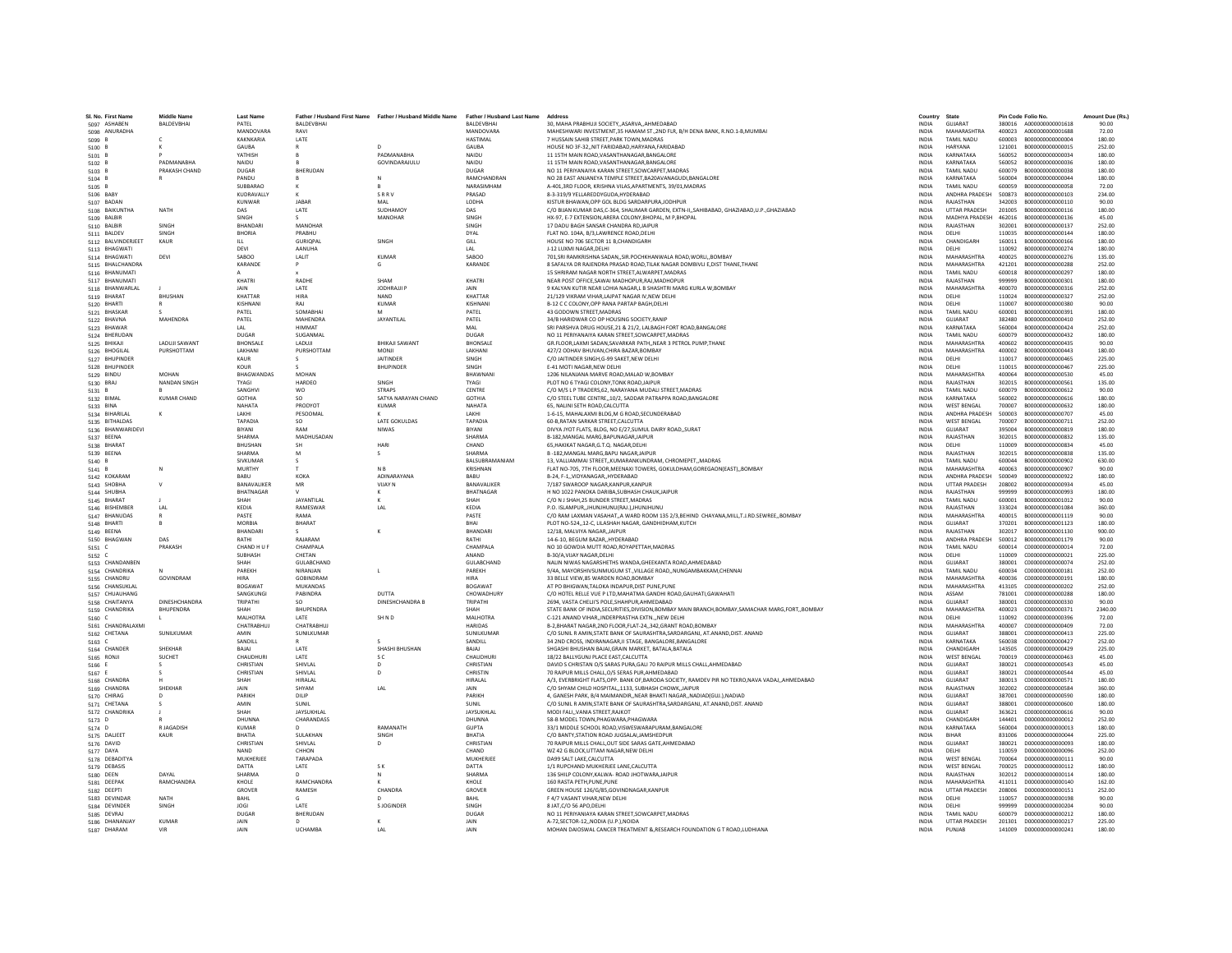| SL No. First Name               | <b>Middle Name</b>   | <b>Last Name</b>              |                                 | Father / Husband First Name Father / Husband Middle Name Father / Husband Last Name |                            | Address                                                                                                                   | Country                      | State                                    | Pin Code Folio No. |                                      | Amount Due (Rs.) |
|---------------------------------|----------------------|-------------------------------|---------------------------------|-------------------------------------------------------------------------------------|----------------------------|---------------------------------------------------------------------------------------------------------------------------|------------------------------|------------------------------------------|--------------------|--------------------------------------|------------------|
| 5097 ASHABEN                    | <b>BALDEVBHAI</b>    | PATEL                         | BALDEVBHAI                      |                                                                                     | BALDEVBHAI                 | 30. MAHA PRABHUJI SOCIETYASARVAAHMEDABAD                                                                                  | <b>INDIA</b>                 | GUJARAT                                  |                    | 380016 A000000000001618              | 90.00            |
| 5098 ANURADHA                   |                      | MANDOVARA                     | RAVI                            |                                                                                     | MANDOVARA                  | MAHESHWARI INVESTMENT.35 HAMAM ST.,2ND FLR. B/H DENA BANK, R.NO.1-B.MUMBAI                                                | <b>INDIA</b>                 | MAHARASHTRA                              |                    | 400023 A000000000001688              | 72.00            |
| 5099 B                          |                      | KAKNKARIA                     | LATE                            |                                                                                     | <b>HASTIMAL</b>            | 7 HUSSAIN SAHIB STREET.PARK TOWN.MADRAS                                                                                   | <b>INDIA</b>                 | TAMIL NADU                               | 600003             | B000000000000004                     | 180.00           |
| 5100                            |                      | GAUBA<br>YATHISH              |                                 | <b>PADMANABHA</b>                                                                   | GAUBA<br>NAIDU             | HOUSE NO 3F-32, NIT FARIDABAD, HARYANA, FARIDABAD<br>11 15TH MAIN ROAD.VASANTHANAGAR.BANGALORE                            | INDIA<br><b>INDIA</b>        | HARYANA<br>KARNATAKA                     | 121001<br>560052   | B000000000000015<br>B000000000000034 | 252.00<br>180.00 |
| $5101$ E<br>5102 B              | PADMANABHA           | NAIDU                         | B                               | GOVINDARAJULU                                                                       | NAIDU                      | 11 15TH MAIN ROAD, VASANTHANAGAR, BANGALORE                                                                               | <b>INDIA</b>                 | KARNATAKA                                | 560052             | B000000000000036                     | 180.00           |
| 5103 B                          | PRAKASH CHAND        | DUGAR                         | RHFRUDAN                        |                                                                                     | DUGAR                      | NO 11 PERIYANAIYA KARAN STREET SOWCARPET MADRAS                                                                           | <b>INDIA</b>                 | <b>TAMIL NADLI</b>                       | 600079             | B000000000000038                     | 180.00           |
| 5104 E                          |                      | PANDU                         |                                 |                                                                                     | RAMCHANDRAN                | NO 28 EAST ANJANEYA TEMPLE STREET, BA20AVANAGUDI, BANGALORE                                                               | INDIA                        | KARNATAKA                                | 560004             | B000000000000044                     | 180.00           |
| 5105 B                          |                      | SUBBARAC                      |                                 |                                                                                     | NARASIMHAN                 | A-401.3RD FLOOR. KRISHNA VILAS.APARTMENTS. 39/01.MADRAS                                                                   | <b>INDIA</b>                 | <b>TAMIL NADU</b>                        | 600059             | B000000000000058                     | 72.00            |
| 5106 BABY                       |                      | KUDRAVALLY<br>KUNWAR          | $\kappa$<br><b>IARAR</b>        | SRRV<br>MAI                                                                         | PRASAD<br><b>LODHA</b>     | 8-3-319/9 YELLAREDDYGUDA.HYDERABAD<br>KISTUR BHAWAN OPP GOL BLDG SARDARPURA IODHPUR                                       | <b>INDIA</b><br><b>INDIA</b> | ANDHRA PRADESH<br>RAIASTHAN              | 500873<br>342003   | B000000000000103<br>8000000000000110 | 234.00<br>90.00  |
| 5107 BADAN<br>5108 BAIKUNTHA    | NATH                 | DAS                           | LATE                            | SUDHAMOY                                                                            | DAS                        | C/O BUAN KUMAR DAS,C-364, SHALIMAR GARDEN, EXTN-II,,SAHIBABAD, GHAZIABAD,U.P.,GHAZIABAD                                   | INDIA                        | <b>UTTAR PRADESH</b>                     | 201005             | B000000000000116                     | 180.00           |
| 5109 BALBIR                     |                      | SINGH                         |                                 | MANOHAR                                                                             | SINGH                      | HX-97, E-7 EXTENSION, ARERA COLONY, BHOPAL, M P. BHOPAL                                                                   | <b>INDIA</b>                 | MADHYA PRADESH                           | 462016             | B000000000000136                     | 45.00            |
| 5110 BALBIR                     | SINGH                | BHANDAR                       | MANOHAR                         |                                                                                     | SINGH                      | 17 DADU BAGH SANSAR CHANDRA RDJAIPUR                                                                                      | INDIA                        | RAJASTHAN                                | 302001             | B000000000000137                     | 252.00           |
| 5111 BALDEV                     | SINGH                | <b>RHORIA</b>                 | PRARHIJ                         |                                                                                     | DYAI                       | FLAT NO. 104A R/3 LAWRENCE ROAD DELHI                                                                                     | <b>INDIA</b>                 | DELHI                                    | 110035             | B000000000000144                     | 180.00           |
| 5112 BALVINDERJEET              | KAUR                 | $\mathbf{H}$<br>DEVI          | <b>GURIOPAL</b><br>AANUHA       | SINGH                                                                               | GILL<br>LAL                | HOUSE NO 706 SECTOR 11 B.CHANDIGARH<br>J-12 LUXMI NAGAR, DELHI                                                            | <b>INDIA</b><br>INDIA        | CHANDIGARH<br>DELHI                      | 160011<br>110092   | B000000000000166<br>B000000000000274 | 180.00<br>180.00 |
| 5113 BHAGWATI<br>5114 BHAGWATI  | DEVI                 | SABOO                         | LALIT                           | <b>KUMAR</b>                                                                        | SABOO                      | 701.SRI RAMKRISHNA SADANSIR.POCHKHANWALA ROAD.WORLIBOMBAY                                                                 | <b>INDIA</b>                 | MAHARASHTRA                              | 400025             | B00000000000276                      | 135.00           |
| 5115 BHALCHANDRA                |                      | KARANDE                       | P                               | G                                                                                   | KARANDE                    | 8 SAFALYA DR RAJENDRA PRASAD ROAD. TILAK NAGAR DOMBIVLI E.DIST THANE. THANE                                               | <b>INDIA</b>                 | MAHARASHTRA                              | 421201             | B000000000000288                     | 252.00           |
| 5116 BHANUMATI                  |                      |                               |                                 |                                                                                     |                            | 15 SHRIRAM NAGAR NORTH STREET AI WARPET MADRAS                                                                            | <b>INDIA</b>                 | TAMIL NADLI                              | 600018             | 8000000000000297                     | 180.00           |
| 5117 BHANUMATI                  |                      | KHATRI                        | RADHE                           | SHAM                                                                                | KHATRI                     | NEAR POST OFFICE, SAWAI MADHOPUR, RAJ, MADHOPUR                                                                           | INDIA                        | RAJASTHAN                                | 999999             | B000000000000301                     | 180.00           |
| 5118 BHANWARLAL<br>5119 BHARAT  | BHUSHAN              | <b>JAIN</b><br>KHATTAF        | LATE<br><b>HIRA</b>             | JODHRAJJI F<br>NAND                                                                 | JAIN<br>KHATTAR            | 9 KALYAN KUTIR NEAR LOHIA NAGAR.L B SHASHTRI MARG KURLA W.BOMBAY<br>21/129 VIKRAM VIHAR, LAJPAT NAGAR IV, NEW DELHI       | <b>INDIA</b><br>INDIA        | MAHARASHTRA<br>DELHI                     | 400070<br>110024   | B000000000000316<br>B000000000000327 | 252.00<br>252.00 |
| 5120 BHARTI                     | $\mathbb{R}$         | KISHNANI                      | RAI                             | <b>KUMAR</b>                                                                        | KISHNANI                   | B-12 C C COLONY OPP RANA PARTAP RAGH DELHI                                                                                | <b>INDIA</b>                 | DELHI                                    | 110007             | B000000000000380                     | 90.00            |
| 5121 BHASKAR                    |                      | PATEL                         | SOMARHAI                        | M                                                                                   | PATFI                      | 43 GODOWN STREET, MADRAS                                                                                                  | <b>INDIA</b>                 | <b>TAMIL NADLI</b>                       | 600001             | B000000000000391                     | 180.00           |
| 5122 BHAVNA                     | MAHENDRA             | PATEL                         | MAHENDRA                        | JAYANTILAL                                                                          | PATEL                      | 34/B HARIDWAR CO OP HOUSING SOCIETY.RANIP                                                                                 | <b>INDIA</b>                 | GUJARAT                                  | 382480             | B000000000000410                     | 252.00           |
| 5123 BHAWAR                     |                      | LAL                           | <b>HIMMAT</b>                   |                                                                                     | <b>MAL</b>                 | SRI PARSHVA DRUG HOUSE, 21 & 21/2, LALBAGH FORT ROAD, BANGALORE                                                           | INDIA                        | KARNATAKA                                | 560004             | B000000000000424                     | 252.00           |
| 5124 BHERUDAN<br>5125 BHIKAJI   | <b>LADUIL SAWANT</b> | DUGAR<br><b>RHONSALE</b>      | SUGANMAL<br><b>LADUIL</b>       | <b>RHIKAII SAWANT</b>                                                               | DUGAR<br><b>BHONSALE</b>   | NO 11 PERIYANAIYA KARAN STREET SOWCARPET MADRAS<br>GR.FLOOR.LAXMI SADAN.SAVARKAR PATHNEAR 3 PETROL PUMP.THANE             | <b>INDIA</b><br><b>INDIA</b> | <b>TAMIL NADLI</b><br>MAHARASHTRA        | 600079<br>400602   | B000000000000432<br>B000000000000435 | 180.00<br>90.00  |
| 5126 BHOGILAL                   | PURSHOTTAM           | LAKHANI                       | PURSHOTTAM                      | MONIL                                                                               | <b>LAKHANI</b>             | 427/2 ODHAV BHUVAN.CHIRA BAZAR.BOMBAY                                                                                     | <b>INDIA</b>                 | MAHARASHTRA                              | 400002             | B000000000000443                     | 180.00           |
| 5127 BHUPINDER                  |                      | KAUR                          |                                 | <b>JAITINDER</b>                                                                    | SINGH                      | C/O JAITINDER SINGH.G-99 SAKET.NEW DELHI                                                                                  | <b>INDIA</b>                 | DELHI                                    | 110017             | B000000000000465                     | 225.00           |
| 5128 BHUPINDER                  |                      | KOUR                          |                                 | <b>BHUPINDER</b>                                                                    | SINGH                      | E-41 MOTI NAGAR, NEW DELHI                                                                                                | INDIA                        | DELHI                                    | 110015             | B000000000000467                     | 225.00           |
| 5129 BINDU                      | MOHAN                | <b>RHAGWANDAS</b>             | MOHAN                           |                                                                                     | <b>RHAWNAN</b>             | 1206 NILANIANA MARVE ROAD MALAD W ROMBAY                                                                                  | <b>INDIA</b>                 | MAHARASHTRA                              | 400064             | B000000000000530                     | 45.00            |
| 5130 BRAJ                       | NANDAN SINGH         | <b>TYAGI</b><br>SANGHV        | HARDEO<br>wo                    | SINGH<br><b>STRAPS</b>                                                              | <b>TYAGI</b><br>CENTRE     | PLOT NO 6 TYAGI COLONY, TONK ROAD, JAIPUR<br>C/O M/S L P TRADERS.62. NARAYANA MUDALI STREET.MADRAS                        | <b>INDIA</b><br><b>INDIA</b> | RAIASTHAN<br><b>TAMIL NADU</b>           | 302015<br>600079   | B000000000000561<br>B00000000000612  | 135.00<br>90.00  |
| 5131 B<br>5132 BIMAL            | <b>KUMAR CHAND</b>   | <b>GOTHIA</b>                 | <b>SO</b>                       | SATYA NARAYAN CHAND                                                                 | <b>GOTHIA</b>              | C/O STEEL TUBE CENTRE, 10/2, SADDAR PATRAPPA ROAD, BANGALORE                                                              | INDIA                        | KARNATAKA                                | 560002             | B000000000000616                     | 180.00           |
| 5133 BINA                       |                      | <b>NAHATA</b>                 | PRODYOT                         | <b>KUMAR</b>                                                                        | NAHATA                     | 65. NALINI SETH ROAD CALCUTTA                                                                                             | <b>INDIA</b>                 | <b>WEST RENGAL</b>                       | 700007             | B000000000000632                     | 180.00           |
| 5134 BIHARILAL                  | $\kappa$             | <b>LAKHI</b>                  | PESOOMAL                        |                                                                                     | <b>LAKHI</b>               | 1-6-15. MAHALAXMI BLDG.M G ROAD.SECUNDERABAD                                                                              | <b>INDIA</b>                 | ANDHRA PRADESH                           | 500003             | 8000000000000707                     | 45.00            |
| 5135 BITHALDAS                  |                      | TAPADIA                       | SO.                             | <b>LATE GOKULDAS</b>                                                                | TAPADIA                    | 60-B.RATAN SARKAR STREET.CALCUTTA                                                                                         | <b>INDIA</b>                 | <b>WEST BENGAL</b>                       | 700007             | B00000000000711                      | 252.00           |
| 5136 BHANWARIDEVI<br>5137 BEENA |                      | BIYANI<br>SHARMA              | <b>RAM</b><br>MADHUSADAN        | <b>NIWAS</b>                                                                        | BIYANI<br>SHARMA           | DIVYA JYOT FLATS, BLDG, NO E/27, SUMUL DAIRY ROAD,, SURAT<br>B-182.MANGAL MARG.BAPUNAGAR.JAIPUR                           | INDIA<br><b>INDIA</b>        | GUJARAT<br>RAIASTHAN                     | 395004<br>302015   | B000000000000819<br>B000000000000832 | 180.00<br>135.00 |
| 5138 BHARAT                     |                      | RHUSHAN                       | <b>SH</b>                       | HARI                                                                                | CHAND                      | 65. HAKIKAT NAGAR.G.T.O. NAGAR.DELHI                                                                                      | <b>INDIA</b>                 | DELHI                                    | 110009             | B000000000000834                     | 45.00            |
| 5139 BEENA                      |                      | SHARMA                        | M                               | s                                                                                   | SHARMA                     | B-182.MANGAL MARG.BAPU NAGARJAIPUR                                                                                        | <b>INDIA</b>                 | RAIASTHAN                                | 302015             | B000000000000838                     | 135.00           |
| 5140 B                          |                      | SIVKUMAR                      | s                               |                                                                                     | BALSUBRAMANIAM             | 13. VALLIAMMAI STREETKUMARANKUNDRAM. CHROMEPETMADRAS                                                                      | <b>INDIA</b>                 | <b>TAMIL NADU</b>                        | 600044             | B000000000000902                     | 630.00           |
| 5141 B                          |                      | MURTHY                        |                                 | N <sub>B</sub>                                                                      | KRISHNAN                   | FLAT NO-705, 7TH FLOOR, MEENAXI TOWERS, GOKULDHAM, GOREGAON(EAST), BOMBAY                                                 | INDIA                        | MAHARASHTRA                              | 400063             | B000000000000907                     | 90.00            |
| 5142 KOKARAM                    |                      | BABU<br>BANAVALIKER           | <b>KOKA</b><br>MR               | ADINARAYANA<br><b>VIJAY N</b>                                                       | BABU<br>BANAVALIKER        | B-24, F-1., VIDYANAGAR., HYDERABAD                                                                                        | <b>INDIA</b><br><b>INDIA</b> | ANDHRA PRADESH<br><b>UTTAR PRADESH</b>   | 500049<br>208002   | B000000000000922<br>B00000000000934  | 180.00<br>45.00  |
| 5143 SHOBHA<br>5144 SHUBHA      | $\vee$               | <b>BHATNAGAR</b>              |                                 |                                                                                     | BHATNAGAR                  | 7/187 SWAROOP NAGAR, KANPUR, KANPUR<br>H NO 1022 PANOKA DARIBA, SUBHASH CHAUK, JAIPUR                                     | <b>INDIA</b>                 | RAJASTHAN                                | 999999             | B000000000000993                     | 180.00           |
| 5145 BHARAT                     |                      | SHAH                          | JAYANTILAL                      | K                                                                                   | SHAH                       | C/O N J SHAH.25 BUNDER STREET.MADRAS                                                                                      | <b>INDIA</b>                 | TAMIL NADU                               | 600001             | B000000000001012                     | 90.00            |
| 5146 BISHEMBER                  | LAL                  | KEDIA                         | RAMESWAR                        | LAL                                                                                 | KEDIA                      | P.O. ISLAMPUR. JHUNJHUNU(RAJ.) JHUNJHUNU                                                                                  | <b>INDIA</b>                 | RAJASTHAN                                | 333024             | B000000000001084                     | 360.00           |
| 5147 BHANUDAS                   |                      | <b>PASTE</b>                  | RAMA                            |                                                                                     | <b>PASTE</b>               | C/O RAM LAXMAN VASAHAT, A WARD ROOM 135 2/3, BEHIND CHAYANA, MILL, T.J.RD. SEWREE, BOMBAY                                 | <b>INDIA</b>                 | MAHARASHTRA                              | 400015             | B000000000001119                     | 90.00            |
| 5148 BHARTI                     | B.                   | MORRIA<br>BHANDARI            | <b>BHARAT</b>                   |                                                                                     | RHAI<br>BHANDAR            | PLOT NO-524,,12-C, LILASHAH NAGAR, GANDHIDHAM,KUTCH<br>12/18. MALVIYA NAGAR. JAIPUR                                       | <b>INDIA</b><br><b>INDIA</b> | GUIARAT<br>RAJASTHAN                     | 370201             | B000000000001123                     | 180.00<br>900.00 |
| 5149 BEENA<br>5150 BHAGWAN      | DAS                  | RATHI                         | RAIARAM                         | К                                                                                   | RATHI                      | 14-6-10, BEGUM BAZAR., HYDERABAD                                                                                          | <b>INDIA</b>                 | ANDHRA PRADESH                           | 302017<br>500012   | B000000000001130<br>8000000000001179 | 90.00            |
| 5151 C                          | PRAKASH              | CHAND H U F                   | CHAMPALA                        |                                                                                     | CHAMPALA                   | NO 10 GOWDIA MUTT ROAD.ROYAPETTAH.MADRAS                                                                                  | <b>INDIA</b>                 | TAMIL NADU                               | 600014             | C000000000000014                     | 72.00            |
| 5152 C                          |                      | <b>SURHASH</b>                | CHETAN                          |                                                                                     | ANAND                      | <b>B-30/A VIIAY NAGAR DELHI</b>                                                                                           | <b>INDIA</b>                 | DELHI                                    | 110009             | 000000000000021                      | 225.00           |
| 5153 CHANDANBEN                 |                      | SHAH                          | GULABCHAND                      |                                                                                     | GULABCHAND                 | NALIN NIWAS NAGARSHETHS WANDA, GHEEKANTA ROAD, AHMEDABAD                                                                  | INDIA                        | GUJARAT                                  | 380001             | C000000000000074                     | 252.00           |
| 5154 CHANDRIKA<br>5155 CHANDRU  | GOVINDRAM            | PAREKH<br><b>HIRA</b>         | NIRANJAN<br><b>GOBINDRAM</b>    | L                                                                                   | PAREKH<br><b>HIRA</b>      | 9/4A, MAYORSHIVSUNMUGUM ST., VILLAGE ROAD, ,NUNGAMBAKKAM, CHENNAI<br>33 BELLE VIEW.85 WARDEN ROAD.BOMBAY                  | INDIA<br><b>INDIA</b>        | TAMIL NADU<br>MAHARASHTRA                | 600034<br>400036   | C000000000000181<br>C000000000000191 | 252.00<br>180.00 |
| 5156 CHANSUKLAL                 |                      | <b>ROGAWAT</b>                | <b>MUKANDAS</b>                 |                                                                                     | <b>BOGAWAT</b>             | AT PO BHIGWAN, TALOKA INDAPUR, DIST PUNE, PUNE                                                                            | <b>INDIA</b>                 | MAHARASHTRA                              | 413105             | C000000000000202                     | 252.00           |
| 5157 CHUAUHANG                  |                      | SANGKUNGI                     | PABINDRA                        | DUTTA                                                                               | CHOWADHURY                 | C/O HOTEL RELLE VUE P LTD, MAHATMA GANDHI ROAD, GAUHATI, GAWAHATI                                                         | INDIA                        | ASSAM                                    | 781001             | C000000000000288                     | 180.00           |
| 5158 CHAITANYA                  | DINESHCHANDRA        | TRIPATHI                      | SO                              | <b>DINESHCHANDRA B</b>                                                              | TRIPATHI                   | 2694, VASTA CHELJI'S POLE, SHAHPUR, AHMEDABAD                                                                             | INDIA                        | GUJARAT                                  | 380001             | C000000000000330                     | 90.00            |
| 5159 CHANDRIKA                  | <b>BHUPENDRA</b>     | SHAH                          | <b>BHUPENDRA</b>                |                                                                                     | SHAH                       | STATE BANK OF INDIA, SECURITIES, DIVISION, BOMBAY MAIN BRANCH, BOMBAY, SAMACHAR MARG, FORT, , BOMBAY                      | <b>INDIA</b>                 | MAHARASHTRA                              | 400023             | C000000000000371                     | 2340.00          |
| 5160 C<br>5161 CHANDRALAXMI     |                      | <b>MALHOTRA</b><br>CHATRARHUI | LATE<br>CHATRARHUI              | SH <sub>ND</sub>                                                                    | <b>MALHOTRA</b><br>HARIDAS | C-121 ANAND VIHARINDERPRASTHA EXTNNEW DELHI<br>B-2, BHARAT NAGAR, 2ND FLOOR, FLAT-24,, 342, GRANT ROAD, BOMBAY            | <b>INDIA</b><br><b>INDIA</b> | DELHI<br>MAHARASHTRA                     | 110092<br>400007   | C000000000000396<br>C000000000000409 | 72.00<br>72.00   |
| 5162 CHETANA                    | SUNILKUMAR           | AMIN                          | SUNILKUMAR                      |                                                                                     | SUNILKUMAR                 | C/O SUNIL R AMIN, STATE BANK OF SAURASHTRA, SARDARGANJ, AT.ANAND, DIST. ANAND                                             | INDIA                        | GUJARAT                                  | 388001             | C000000000000413                     | 225.00           |
| 5163 C                          |                      | SANDILL                       |                                 |                                                                                     | SANDILL                    | 34 2ND CROSS, INDIRANAGAR, II STAGE, BANGALORE, BANGALORE                                                                 | <b>INDIA</b>                 | KARNATAKA                                | 560038             | 0000000000000427                     | 252.00           |
| 5164 CHANDER                    | SHEKHAR              | BAJAJ                         | LATE                            | SHASHI BHUSHAN                                                                      | BAJAJ                      | SHGASHI BHUSHAN BAJAJ.GRAIN MARKET, BATALA.BATALA                                                                         | <b>INDIA</b>                 | CHANDIGARH                               | 143505             | C000000000000429                     | 225.00           |
| 5165 RONJI                      | SUCHET               | CHAUDHURI                     | <b>IATF</b>                     | s c                                                                                 | CHAUDHURI                  | 18/22 BALLYGUNI PLACE EAST CALCUTTA                                                                                       | <b>INDIA</b>                 | <b>WEST RENGAL</b>                       | 700019             | C000000000000463                     | 45.00            |
| 5166  <br>5167 E                |                      | CHRISTIAN<br>CHRISTIAN        | SHIVLAL<br>SHIVLAL              | D<br>D                                                                              | CHRISTIAN<br>CHRISTIN      | DAVID S CHRISTAN O/S SARAS PURA, GALI 70 RAIPUR MILLS CHALL, AHMEDABAD<br>70 RAIPUR MILLS CHALL, O/S SERAS PUR, AHMEDABAD | INDIA<br>INDIA               | GUJARAT<br>GUJARAT                       | 380021<br>380021   | C000000000000543<br>C000000000000544 | 45.00<br>45.00   |
| 5168 CHANDRA                    |                      | SHAH                          | <b>HIRALAL</b>                  |                                                                                     | HIRALAL                    | A/3, EVERBRIGHT FLATS, OPP. BANK OF, BARODA SOCIETY, RAMDEV PIR NO TEKRO, NAVA VADAJ, , AHMEDABAD                         | <b>INDIA</b>                 | GUJARAT                                  | 380013             | C000000000000571                     | 180.00           |
| 5169 CHANDRA                    | SHEKHAR              | <b>JAIN</b>                   | SHYAM                           | LAL                                                                                 | JAIN                       | C/O SHYAM CHILD HOSPITAL, 1133, SUBHASH CHOWK, JAIPUR                                                                     | <b>INDIA</b>                 | RAJASTHAN                                | 302002             | C000000000000584                     | 360.00           |
| 5170 CHIRAG                     |                      | PARIKH                        | DILIP                           |                                                                                     | PARIKH                     | 4. GANESH PARK, B/4 MAIMANDIR., NEAR BHAKTI NAGAR., NADIADIGUJ.), NADIAD                                                  | <b>INDIA</b>                 | GUIARAT                                  | 387001             | C000000000000590                     | 180.00           |
| 5171 CHETANA                    |                      | AMIN                          | SUNIL                           |                                                                                     | SUNIL                      | C/O SUNIL R AMIN, STATE BANK OF SAURASHTRA, SARDARGANJ, AT. ANAND, DIST. ANAND                                            | INDIA                        | GUJARAT                                  | 388001             | C000000000000600                     | 180.00           |
| 5172 CHANDRIKA<br>5173 D        |                      | SHAH<br>DHUNNA                | <b>JAYSUKHLAI</b><br>CHARANDASS |                                                                                     | JAYSUKHLAL<br>DHUNNA       | MODI FALIVANIA STREET.RAJKOT<br>58-B MODEL TOWN.PHAGWARA.PHAGWARA                                                         | <b>INDIA</b><br><b>INDIA</b> | GUJARAT<br>CHANDIGARH                    | 363621<br>144401   | C000000000000616<br>D00000000000012  | 90.00<br>252.00  |
| 5174 D                          | R JAGADISH           | KUMAR                         |                                 | RAMANATH                                                                            | GUPTA                      | 33/1 MIDDLE SCHOOL ROAD.VISWESWARAPURAM.BANGALORE                                                                         | <b>INDIA</b>                 | KARNATAKA                                | 560004             | D00000000000013                      | 180.00           |
| 5175 DALJEET                    | KAUR                 | <b>BHATIA</b>                 | SULAKHAN                        | SINGH                                                                               | BHATIA                     | C/O BANTY, STATION ROAD JUGSALAI, JAMSHEDPUF                                                                              | INDIA                        | <b>RIHAR</b>                             | 831006             | D000000000000044                     | 225.00           |
| 5176 DAVID                      |                      | CHRISTIAN                     | SHIVLAL                         | D                                                                                   | CHRISTIAN                  | 70 RAIPUR MILLS CHALL OUT SIDE SARAS GATE AHMEDABAD                                                                       | <b>INDIA</b>                 | GUJARAT                                  | 380021             | D00000000000093                      | 180.00           |
| 5177 DAYA                       |                      | NAND                          | CHHON                           |                                                                                     | CHAND                      | WZ 42 G BLOCK.UTTAM NAGAR.NEW DELHI                                                                                       | <b>INDIA</b>                 | DELHI                                    |                    | 110059 D000000000000096              | 252.00           |
| 5178 DEBADITYA<br>5179 DEBASIS  |                      | MUKHERIFF<br>DATTA            | TARAPADA<br>LATE                | S K                                                                                 | MUKHERIFF<br>DATTA         | DA99 SALT LAKE CALCUTTA<br>1/1 RUPCHAND MUKHERJEE LANE, CALCUTTA                                                          | <b>INDIA</b><br>INDIA        | <b>WEST RENGAL</b><br><b>WEST BENGAL</b> | 700064<br>700025   | 0000000000000111<br>D00000000000112  | 90.00<br>180.00  |
| 5180 DEEN                       | DAYAL                | <b>SHARMA</b>                 |                                 | N                                                                                   | <b>SHARMA</b>              | 136 SHILP COLONY, KALWA- ROAD JHOTWARA, JAIPUR                                                                            | INDIA                        | RAJASTHAN                                | 302012             | D00000000000114                      | 180.00           |
| 5181 DEEPAK                     | RAMCHANDRA           | KHOLE                         | RAMCHANDRA                      |                                                                                     | KHOLE                      | 160 RASTA PETH, PUNE, PUNE                                                                                                | <b>INDIA</b>                 | MAHARASHTRA                              | 411011             | D00000000000140                      | 162.00           |
| 5182 DEEPTI                     |                      | GROVER                        | RAMESH                          | CHANDRA                                                                             | GROVER                     | GREEN HOUSE 126/G/85,GOVINDNAGAR, KANPUR                                                                                  | <b>INDIA</b>                 | <b>UTTAR PRADESH</b>                     | 208006             | D000000000000151                     | 252.00           |
| 5183 DEVINDAR                   | <b>NATH</b>          | BAHL                          |                                 |                                                                                     | BAHL                       | F 4/7 VASANT VIHAR.NEW DELHI                                                                                              | <b>INDIA</b>                 | DELHI                                    |                    | 110057 0000000000000198              | 90.00            |
| 5184 DEVINDER<br>5185 DEVRAJ    | SINGH                | JOGI<br>DUGAR                 | LATE<br>BHERUDAN                | S JOGINDER                                                                          | SINGH<br><b>DUGAR</b>      | 8 JAT, C/O 56 APO, DELHI<br>NO 11 PERIYANIAYA KARAN STREET.SOWCARPET.MADRAS                                               | INDIA<br><b>INDIA</b>        | DELHI<br><b>TAMIL NADU</b>               | 999999<br>600079   | D000000000000204<br>D000000000000212 | 90.00<br>180.00  |
| 5186 DHANANJAY                  | <b>KUMAR</b>         | <b>JAIN</b>                   | $\mathbf{D}$                    | к                                                                                   | JAIN                       | A-72.SECTOR-12., NODIA (U.P.), NOIDA                                                                                      | <b>INDIA</b>                 | UTTAR PRADESH                            |                    | 201301 D000000000000217              | 225.00           |
| 5187 DHARAM                     | VIR                  | <b>JAIN</b>                   | <b>UCHAMRA</b>                  | IAI                                                                                 | <b>JAIN</b>                | MOHAN DAIOSWAL CANCER TREATMENT & RESEARCH FOUNDATION G T ROAD, LUDHIANA                                                  | <b>INDIA</b>                 | PUNJAR                                   |                    | 141009 0000000000000241              | 180.00           |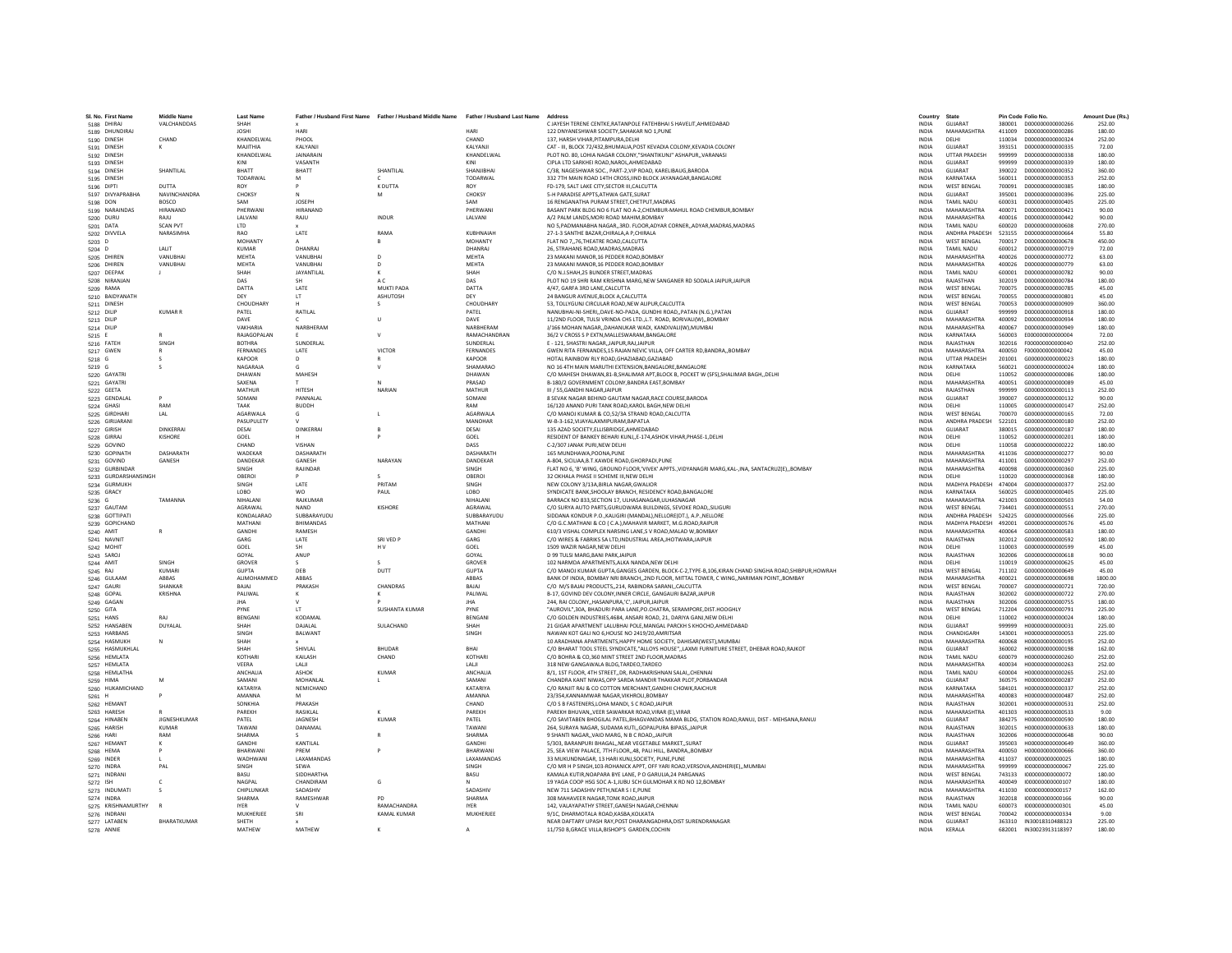| SI, No. First Nam    | Middle Name         | <b>Last Name</b>   |                         | Father / Husband First Name Father / Husband Middle Name | <b>Father / Husband Last Name</b> | <b>Addres:</b>                                                                                         | Country      | State                 |        | Pin Code Folio No       | Amount Due (Rs.) |
|----------------------|---------------------|--------------------|-------------------------|----------------------------------------------------------|-----------------------------------|--------------------------------------------------------------------------------------------------------|--------------|-----------------------|--------|-------------------------|------------------|
| 5188 DHIRAJ          | <b>VALCHANDDAS</b>  | SHAH               |                         |                                                          |                                   | C IAYESH TERENE CENTKE RATANPOLE FATEHRHALS HAVELIT AHMEDARAD                                          | <b>INDIA</b> | GUIARAT               |        | 380001 0000000000000266 | 252.00           |
| 5189 DHUNDIRAJ       |                     | <b>JOSHI</b>       | HARI                    |                                                          | HARI                              | 122 DNYANESHWAR SOCIETY, SAHAKAR NO 1, PUNE                                                            | <b>INDIA</b> | MAHARASHTRA           | 411009 | D00000000000286         | 180.00           |
| 5190 DINESH          | CHAND               | KHANDELWAL         | PHOOL                   |                                                          | CHAND                             | 137. HARSH VIHAR PITAMPURA DELH                                                                        | <b>INDIA</b> | DELHI                 | 110034 | D000000000000324        | 252.00           |
| 5191 DINESH          |                     | MAIITHIA           | <b>KAI YANII</b>        |                                                          | KAIYANII                          | CAT - III, BLOCK 72/432, BHUMALIA, POST KEVADIA COLONY, KEVADIA COLONY                                 | <b>INDIA</b> | GUIARAT               | 393151 | D000000000000335        | 72.00            |
| 5192 DINESH          |                     | KHANDELWAL         | <b>JAINARAIN</b>        |                                                          | KHANDELWAL                        | PLOT NO. 80, LOHIA NAGAR COLONY, "SHANTIKUNJ" ASHAPUR,, VARANASI                                       | <b>INDIA</b> | <b>UTTAR PRADESH</b>  | 999999 | D00000000000338         | 180.00           |
| 5193 DINESH          |                     | KINI<br>BHATT      | VASANTH                 |                                                          | KINI                              | CIPLA LTD SARKHEI ROAD, NAROL, AHMEDABAD                                                               | <b>INDIA</b> | GUIARAT               | 999999 | D000000000000339        | 180.00           |
| 5194 DINESH          | SHANTILAI           |                    | BHATT                   | SHANTILAL                                                | SHANJIBHA                         | C/38, NAGESHWAR SOC., PART-2, VIP ROAD, KARELIBAUG, BARODA                                             | INDIA        | GUJARAT               | 390022 | D00000000000352         | 360.00           |
| 5195 DINESH          |                     | TODARWAL           | м                       | K DUTTA                                                  | TODARWAL                          | 332 7TH MAIN ROAD 14TH CROSS.IIND BLOCK JAYANAGAR.BANGALORE                                            | <b>INDIA</b> | KARNATAKA             | 560011 | D000000000000353        | 252.00           |
| 5196 DIPTI           | <b>DUTTA</b>        | <b>ROY</b>         |                         |                                                          | ROV                               | FD-179, SALT LAKE CITY SECTOR III CALCUTTA                                                             | <b>INDIA</b> | <b>WEST RENGAL</b>    | 700091 | D000000000000385        | 180.00           |
| 5197 DIVYAPRABHA     | <b>NAVINCHANDRA</b> | CHOKSY             |                         | M                                                        | CHOKSY                            | 5-H PARADISE APPTS, ATHWA GATE, SURAT                                                                  | INDIA        | <b>GUJARAT</b>        | 395001 | D00000000000396         | 225.00           |
| 5198 DON             | <b>BOSCO</b>        | SAM                | <b>JOSEPH</b>           |                                                          | SAM                               | 16 RENGANATHA PURAM STREET.CHETPUT.MADRAS                                                              | <b>INDIA</b> | TAMIL NADU            | 600031 | D00000000000405         | 225.00           |
| 5199 NARAINDAS       | HIRANAND            | PHERWAN            | <b>HIRANAND</b>         |                                                          | PHERWAN                           | BASANT PARK BLDG NO 6 FLAT NO A-2.CHEMBUR-MAHUL ROAD CHEMBUR.BOMBAY                                    | <b>INDIA</b> | MAHARASHTRA           | 400071 | D000000000000421        | 90.00            |
| 5200 DURU            | RAILL               | <b>I AI VANI</b>   | RAJU                    | <b>INDUR</b>                                             | <b>JAIVANI</b>                    | A/2 PALM LANDS MORLROAD MAHIM ROMRAY                                                                   | <b>INDIA</b> | MAHARASHTRA           | 400016 | 0000000000000442        | 90.00            |
| 5201 DATA            | <b>SCAN PVT</b>     | <b>LTD</b>         |                         |                                                          |                                   | NO 5, PADMANABHA NAGAR,, 3RD. FLOOR, ADYAR CORNER,, ADYAR, MADRAS, MADRAS                              | <b>INDIA</b> | TAMIL NADU            | 600020 | 0000000000000608        | 270.00           |
| 5202 DIVVELA         | <b>NARASIMHA</b>    | <b>RAO</b>         | LATE                    | RAMA                                                     | KUBHNAIAH                         | 27-1-3 SANTHE BAZAR.CHIRALA A P.CHIRALA                                                                | <b>INDIA</b> | <b>ANDHRA PRADESH</b> | 523155 | D00000000000664         | 55.80            |
| $5203$ D             |                     | MOHANT             |                         | R                                                        | <b>MOHANTY</b>                    | FLAT NO 776.THEATRE ROAD.CALCUTTA                                                                      | <b>INDIA</b> | <b>WEST BENGAL</b>    | 700017 | 0000000000000678        | 450.00           |
| 5204 D               | <b>JAIT</b>         | KUMAR              | DHANRAI                 |                                                          | DHANRAL                           | 26. STRAHANS ROAD.MADRAS.MADRAS                                                                        | <b>INDIA</b> | TAMIL NADLI           | 600012 | 0000000000000719        | 72.00            |
| 5205 DHIRE           | VANURHA             | MFHTA              | VANUBHAI                | D                                                        | <b>MFHTA</b>                      | 23 MAKANI MANOR,16 PEDDER ROAD,BOMBAY                                                                  | <b>INDIA</b> | <b>MAHARASHTRA</b>    | 400026 | D00000000000772         | 63.00            |
| 5206 DHIREN          | VANUBHA             | MEHTA              | VANUBHAI                | D                                                        | MEHTA                             | 23 MAKANI MANOR,16 PEDDER ROAD,BOMBAY                                                                  | INDIA        | MAHARASHTRA           | 400026 | D00000000000779         | 63.00            |
| 5207 DEEPAK          | - 11                | SHAH               | JAYANTILAL              | к                                                        | SHAH                              | C/O N.J.SHAH.25 BUNDER STREET.MADRAS                                                                   | <b>INDIA</b> | TAMIL NADU            | 600001 | D00000000000782         | 90.00            |
| 5208 NIRANJAN        |                     | DAS                | <b>SH</b>               | A C                                                      | DAS                               | PLOT NO 19 SHRI RAM KRISHNA MARG, NEW SANGANER RD SODALA JAIPUR, JAIPUR                                | <b>INDIA</b> | RAIASTHAN             | 302019 | 0000000000000784        | 180.00           |
| 5209 RAMA            |                     | DATTA              | LATE                    | <b>MUKTI PADA</b>                                        | DATTA                             | 4/47, GARFA 3RD LANE, CALCUTTA                                                                         | INDIA        | <b>WEST BENGAL</b>    | 700075 | D00000000000785         | 45.00            |
| 5210 BAIDYANATH      |                     | DEY                | LT.                     | <b>ASHUTOSH</b>                                          | DEY                               | 24 BANGUR AVENUE.BLOCK A.CALCUTTA                                                                      | <b>INDIA</b> | <b>WEST BENGAL</b>    | 700055 | D00000000000801         | 45.00            |
| 5211 DINESH          |                     | CHOUDHARY          |                         | $\leq$                                                   | CHOUDHARY                         | 53. TOLLYGUNJ CIRCULAR ROAD.NEW ALIPUR.CALCUTTA                                                        | <b>INDIA</b> | <b>WEST BENGAL</b>    | 700053 | D00000000000909         | 360.00           |
| 5212 DILIP           | <b>KUMAR R</b>      | PATEL              | <b>RATILAL</b>          |                                                          | PATFI                             | NANUBHAI-NI-SHERI, DAVE-NO-PADA, GUNDHI ROAD, PATAN (N.G.), PATAN                                      | <b>INDIA</b> | <b>GUIARAT</b>        | 999999 | 0000000000000918        | 180.00           |
| 5213 DILIP           |                     | DAVE               |                         | $\mathbf{u}$                                             | DAVE                              | 11/2ND FLOOR, TULSI VRINDA CHS LTD., L.T. ROAD, BORIVALI(W), BOMBAY                                    | INDIA        | MAHARASHTRA           | 400092 | D00000000000934         | 180.00           |
| 5214 DILIP           |                     | VAKHARIA           | NARBHERAM               |                                                          | NARBHERAM                         | J/166 MOHAN NAGAR,,DAHANUKAR WADI, KANDIVALI(W),MUMBAI                                                 | INDIA        | MAHARASHTRA           | 400067 | D00000000000949         | 180.00           |
| 5215 E               |                     | <b>RAIAGOPALAN</b> |                         | $\mathbf{v}$                                             | RAMACHANDRAN                      | 36/2 V CROSS S P EXTN MALLESWARAM BANGALORE                                                            | <b>INDIA</b> | KARNATAKA             | 560003 | E000000000000004        | 72.00            |
| 5216 FATEH           | SINGH               | <b>ROTHRA</b>      | SUNDERLAL               |                                                          | SUNDERLAL                         | E - 121, SHASTRI NAGAR, JAIPUR, RAJ, JAIPUR                                                            | <b>INDIA</b> | RAJASTHAN             | 302016 | F000000000000040        | 252.00           |
| 5217 GWEN            |                     | <b>FERNANDES</b>   | LATE                    | VICTOR                                                   | FERNANDES                         | GWEN RITA FERNANDES, 15 RAJAN NEVIC VILLA, OFF CARTER RD, BANDRA,, BOMBAY                              | <b>INDIA</b> | MAHARASHTRA           | 400050 | F000000000000042        | 45.00            |
| 5218 G               |                     | KAPOOR             | D                       |                                                          | KAPOOR                            | HOTAL RAINBOW RLY ROAD, GHAZIABAD, GAZIABAD                                                            | INDIA        | <b>UTTAR PRADESH</b>  | 201001 | G00000000000023         | 180.00           |
| $5219$ G             |                     | NAGARAJA           |                         |                                                          | SHAMARAO                          | NO 16 4TH MAIN MARUTHI EXTENSION.BANGALORE.BANGALORE                                                   | <b>INDIA</b> | KARNATAKA             | 560021 | G00000000000024         | 180.00           |
| 5220 GAYATRI         |                     | DHAWAN             | MAHESH                  |                                                          | DHAWAN                            | C/O MAHESH DHAWAN, 81-B, SHALIMAR APT, BLOCK B, POCKET W (SFS), SHALIMAR BAGH, , DELHI                 | <b>INDIA</b> | <b>DELHI</b>          | 110052 | 6000000000000086        | 180.00           |
| 5221 GAYATR          |                     | SAXENA             |                         | N                                                        | PRASAD                            | B-180/2 GOVERNMENT COLONY, BANDRA EAST, BOMBAY                                                         | INDIA        | <b>MAHARASHTRA</b>    | 400051 | G000000000000089        | 45.00            |
| 5222 GEETA           |                     | MATHUR             | <b>HITESH</b>           | NARIAN                                                   | MATHUR                            | III / 55.GANDHI NAGARJAIPUR                                                                            | <b>INDIA</b> | RAJASTHAN             | 999999 | G000000000000113        | 252.00           |
| 5223 GENDALAL        |                     | SOMANI             | PANNALAL                |                                                          | SOMANI                            | 8 SEVAK NAGAR BEHIND GAUTAM NAGAR.RACE COURSE.BARODA                                                   | <b>INDIA</b> | GUJARAT               | 390007 | G000000000000132        | 90.00            |
| 5224 GHASI           | RAM                 | TAAK               | <b>BUDDH</b>            |                                                          | RAM                               | 16/120 ANAND PURI TANK ROAD, KAROL BAGH, NEW DELH                                                      | INDIA        | DELHI                 | 110005 | G000000000000147        | 252.00           |
| 5225 GIRDHARI        | LAL                 | AGARWALA           |                         |                                                          | AGARWAL                           | C/O MANOJ KUMAR & CO.52/3A STRAND ROAD.CALCUTTA                                                        | <b>INDIA</b> | <b>WEST BENGAL</b>    | 700070 | G000000000000165        | 72.00            |
| 5226 GIRIJARAN       |                     | PASUPULETY         |                         |                                                          | MANOHAR                           | W-B-3-162. VIJAYALAXMIPURAM. BAPATLA                                                                   | <b>INDIA</b> | <b>ANDHRA PRADESH</b> | 522101 | G000000000000180        | 252.00           |
| 5227 GIRISH          | <b>DINKERRA</b>     | DESAL              | DINKERRAI               |                                                          | DESAL                             | 135 AZAD SOCIETY FLUSBRIDGE AHMEDARAD                                                                  | <b>INDIA</b> | GUIARAT               | 380015 | 6000000000000187        | 180.00           |
| 5228 GIRRAJ          | KISHORE             | GOEL               |                         |                                                          | GOEL                              | RESIDENT OF BANKEY BEHARI KUNJ,,E-174,ASHOK VIHAR,PHASE-1,DELHI                                        | <b>INDIA</b> | <b>DELHI</b>          | 110052 | 6000000000000201        | 180.00           |
| 5229 GOVIND          |                     | CHAND              | VISHAN                  |                                                          | DASS                              | C-2/307 JANAK PURI.NEW DELH                                                                            | <b>INDIA</b> | DELHI                 | 110058 | G000000000000222        | 180.00           |
| 5230 GOPINATH        | DASHARATH           | <b>WADEKAR</b>     | DASHARATH               |                                                          | DASHARATH                         | 165 MUNDHAWA, POONA, PUNE                                                                              | INDIA        | MAHARASHTRA           | 411036 | 6000000000000277        | 90.00            |
| 5231 GOVIND          | GANESH              | DANDEKAR           | <b>GANESH</b>           | NARAYAN                                                  | DANDEKAR                          | A-804, SICILIAA, B.T.KAWDE ROAD, GHORPADI, PUNE                                                        | <b>INDIA</b> | MAHARASHTRA           | 411001 | 6000000000000297        | 252.00           |
| 5232 GURBINDAR       |                     | <b>SINGH</b>       | RAIINDAR                |                                                          | <b>SINGH</b>                      | FLAT NO 6, 'B' WING, GROUND FLOOR, 'VIVEK' APPTS., VIDYANAGRI MARG, KAL-, INA, SANTACRUZ(E),, BOMBAY   | <b>INDIA</b> | MAHARASHTRA           | 400098 | 6000000000000360        | 225.00           |
| 5233 GURDARSHANSINGH |                     | OBEROI             |                         | s                                                        | OBEROI                            | 32 OKHALA PHASE II SCHEME III, NEW DELHI                                                               | INDIA        | DELHI                 | 110020 | G000000000000368        | 180.00           |
| 5234 GURMUKH         |                     | SINGH              | LATE                    | PRITAM                                                   | SINGH                             | NEW COLONY 3/13A.BIRLA NAGAR.GWALIOF                                                                   | <b>INDIA</b> | <b>MADHYA PRADESH</b> | 474004 | 6000000000000377        | 252.00           |
| 5235 GRACY           |                     | LOBO               | <b>WO</b>               | PAUL                                                     | LOBO                              | SYNDICATE BANK.SHOOLAY BRANCH, RESIDENCY ROAD, BANGALORE                                               | <b>INDIA</b> | KARNATAKA             | 560025 | G000000000000405        | 225.00           |
| 5236 G               | TAMANNA             | NIHAI ANI          | RAJKUMAR                |                                                          | NIHALAN                           | BARRACK NO 833, SECTION 17, ULHASANAGAR, ULHASNAGAR                                                    | <b>INDIA</b> | MAHARASHTRA           | 421003 | G000000000000503        | 54.00            |
| 5237 GAUTAM          |                     | AGRAWAI            | NAND                    | <b>KISHORE</b>                                           | AGRAWAL                           | C/O SURYA AUTO PARTS.GURUDWARA BUILDINGS, SEVOKE ROADSILIGUR                                           | <b>INDIA</b> | <b>WEST BENGAL</b>    | 734401 | G000000000000551        | 270.00           |
| 5238 GOTTIPATI       |                     | KONDALARAO         | SUBBARAYUDU             |                                                          | SUBBARAYUDU                       | SIDDANA KONDUR P.O., KALIGIRI (MANDAL), NELLORE(DT.), A.P., NELLORE                                    | <b>INDIA</b> | ANDHRA PRADESH        | 524225 | G000000000000566        | 225.00           |
| 5239 GOPICHAND       |                     | MATHANI            | <b><i>RHIMANDAS</i></b> |                                                          | MATHANI                           | C/O G.C.MATHANI & CO / C.A.).MAHAVIR MARKET, M.G.ROAD.RAIPUR                                           | <b>INDIA</b> | MADHYA PRADESH        | 492001 | 6000000000000576        | 45.00            |
| 5240 AMIT            |                     | GANDH              | RAMESH                  |                                                          | GANDHI                            | 610/3 VISHAL COMPLEX NARSING LANE,S V ROAD, MALAD W, BOMBAY                                            | INDIA        | MAHARASHTRA           | 400064 | G000000000000583        | 180.00           |
| 5241 NAVNIT          |                     | GARG               | LATE                    | SRI VED F                                                | GARG                              | C/O WIRES & FABRIKS SA LTD, INDUSTRIAL AREA, JHOTWARA, JAIPUR                                          | <b>INDIA</b> | RAJASTHAN             | 302012 | G000000000000592        | 180.00           |
| 5242 MOHIT           |                     | GOEL               | <b>SH</b>               | HV                                                       | GOEL                              | 1509 WAZIR NAGAR, NEW DELHI                                                                            | <b>INDIA</b> | DELHI                 | 110003 | 6000000000000599        | 45.00            |
| 5243 SAROJ           |                     | GOYAL              | ANUP                    |                                                          | GOYAL                             | D 99 TULSI MARG.BANI PARK.JAIPUR                                                                       | <b>INDIA</b> | RAIASTHAN             | 302006 | 6000000000000618        | 90.00            |
| 5244 AMIT            | SINGH               | GROVER             |                         | s                                                        | GROVER                            | 102 NARMDA APARTMENTS, ALKA NANDA, NEW DELHI                                                           | <b>INDIA</b> | DELHI                 | 110019 | G000000000000625        | 45.00            |
| 5245 RAJ             | <b>KUMAR</b>        | <b>GUPTA</b>       | DEB                     | DUTT                                                     | <b>GUPTA</b>                      | C/O MANOJ KUMAR GUPTA, GANGES GARDEN, BLOCK-C-2, TYPE-B, 106, KIRAN CHAND SINGHA ROAD, SHIBPUR, HOWRAH | <b>INDIA</b> | <b>WEST BENGAL</b>    | 711102 | G00000000000649         | 45.00            |
| 5246 GULAAN          | ABBAS               | ALIMOHAMMED        | ABBAS                   |                                                          | ABBAS                             | BANK OF INDIA, BOMBAY NRI BRANCH., 2ND FLOOR, MITTAL TOWER, C WING., NARIMAN POINT., BOMBAY            | <b>INDIA</b> | MAHARASHTRA           | 400021 | G000000000000698        | 1800.00          |
| 5247 GAURI           | SHANKAR             | RAIAI              | PRAKASH                 | CHANDRAS                                                 | RAIAI                             | C/O M/S BAJAJ PRODUCTS, 214, RABINDRA SARANI, CALCUTTA                                                 | <b>INDIA</b> | <b>WEST BENGAL</b>    | 700007 | G00000000000721         | 720.00           |
| 5248 GOPAL           | KRISHNA             | PALIWAL            |                         |                                                          | PALIWAI                           | B-17, GOVIND DEV COLONY, INNER CIRCLE, GANGAURI BAZAR, JAIPUF                                          | INDIA        | RAJASTHAN             | 302002 | G000000000000722        | 270.00           |
| 5249 GAGAM           |                     | <b>JHA</b>         |                         |                                                          | <b>IHA</b>                        | 244. RAI COLONYHASANPURA.'C'. JAIPUR.JAIPUR                                                            | <b>INDIA</b> | RAJASTHAN             | 302006 | 6000000000000755        | 180.00           |
| 5250 GITA            |                     | PYNE               | IT.                     | <b>SUSHANTA KUMAR</b>                                    | PYNE                              | 'AUROVIL".30A, BHADURI PARA LANE.PO.CHATRA, SERAMPORE.DIST.HOOGHLY                                     | <b>INDIA</b> | <b>WEST BENGAL</b>    | 712204 | G000000000000791        | 225.00           |
| 5251 HANS            | RAI                 | <b>RENGANI</b>     | KODAMAI                 |                                                          | <b>RENGANI</b>                    | C/O GOLDEN INDUSTRIES, 4684, ANSARI ROAD, 21, DARIYA GANJ, NEW DELHI                                   | <b>INDIA</b> | <b>DELHI</b>          | 110002 | H000000000000024        | 180.00           |
| 5252 HANSABEM        | DUYALAL             | SHAH               | DAJALAL                 | SULACHAND                                                | SHAH                              | 21 GIGAR APARTMENT LALUBHAI POLE, MANGAL PARCKH S KHOCHO, AHMEDABAD                                    | INDIA        | GUJARAT               | 999999 | H00000000000031         | 225.00           |
| 5253 HARBANS         |                     | SINGH              | BALWANT                 |                                                          | SINGH                             | NAWAN KOT GALI NO 6.HOUSE NO 2419/20.AMRITSAR                                                          | <b>INDIA</b> | CHANDIGARH            | 143001 | H000000000000053        | 225.00           |
| 5254 HASMUKH         | N                   | SHAH               |                         |                                                          |                                   | 10 ARADHANA APARTMENTS.HAPPY HOME SOCIETY, DAHISARIWESTI.MUMBAI                                        | <b>INDIA</b> | MAHARASHTRA           | 400068 | H000000000000195        | 252.00           |
| 5255 HASMUKHLAL      |                     | SHAH               | <b>SHIVIAI</b>          | <b>BHUDAR</b>                                            | <b>RHAI</b>                       | C/O BHARAT TOOL STEEL SYNDICATE,"ALLOYS HOUSE",,LAXMI FURNITURE STREET, DHEBAR ROAD,RAJKOT             | <b>INDIA</b> | <b>GUIARAT</b>        | 360002 | H000000000000198        | 162.00           |
| 5256 HEMLATA         |                     | <b>KOTHAR</b>      | KAILASH                 | CHAND                                                    | KOTHARI                           | C/O BOHRA & CO.360 MINT STREET 2ND FLOOR MADRAS                                                        | <b>INDIA</b> | TAMIL NADU            | 600079 | H00000000000260         | 252.00           |
| 5257 HEMLATA         |                     | VEERA              | LALI                    |                                                          | LALII                             | 318 NEW GANGAWALA BLDG, TARDEO, TARDEO                                                                 | INDIA        | MAHARASHTRA           | 400034 | H00000000000263         | 252.00           |
| 5258 HEMLATHA        |                     | ANCHALIA           | <b>ASHOK</b>            | <b>KUMAR</b>                                             | ANCHALIA                          | 8/1, 1ST FLOOR, 4TH STREET., DR. RADHAKRISHNAN SALAI., CHENNA                                          | <b>INDIA</b> | TAMIL NADU            | 600004 | H000000000000265        | 252.00           |
| 5259 HIMA            | <b>M</b>            | SAMANI             | MOHANLAL                |                                                          | SAMANI                            | CHANDRA KANT NIWAS.OPP SARDA MANDIR THAKKAR PLOT.PORBANDAR                                             | <b>INDIA</b> | GUIARAT               | 360575 | H000000000000287        | 252.00           |
| 5260 HUKAMICHAND     |                     | KATARIYA           | NEMICHAND               |                                                          | <b>KATARIYA</b>                   | C/O RANJIT RAJ & CO COTTON MERCHANT, GANDHI CHOWK, RAICHUR                                             | INDIA        | KARNATAKA             | 584101 | H000000000000337        | 252.00           |
| 5261 H               |                     | <b>AMANNA</b>      |                         |                                                          | AMANNA                            | 23/354.KANNAMWAR NAGAR.VIKHROLI.BOMBAY                                                                 | <b>INDIA</b> | MAHARASHTRA           | 400083 | 11000000000000487       | 252.00           |
| 5262 HEMAN           |                     | SONKHIA            | PRAKASH                 |                                                          | CHAND                             | C/O S B FASTENERS.LOHA MANDI, S C ROAD, JAIPUR                                                         | <b>INDIA</b> | RAJASTHAN             | 302001 | H000000000000531        | 252.00           |
| 5263 HARESH          |                     | PAREKH             | <b>RASIKI AI</b>        |                                                          | PAREKH                            | PAREKH BHUVAN,, VEER SAWARKAR ROAD, VIRAR (E), VIRAR                                                   | <b>INDIA</b> | MAHARASHTRA           | 401303 | H000000000000533        | 9.00             |
| 5264 HINABER         | JIGNESHKUMAR        | PATEL              | JAGNESH                 | KUMAR                                                    | PATEL                             | C/O SAVITABEN BHOGILAL PATEL, BHAGVANDAS MAMA BLDG, STATION ROAD, RANUJ, DIST - MEHSANA, RANUJ         | INDIA        | GUJARAT               | 384275 | H000000000000590        | 180.00           |
| 5265 HARISH          | <b>KUMAR</b>        | TAWANI             | DANAMAL                 |                                                          | TAWANI                            | 264. SURAYA NAGAR, SUDAMA KUTI., GOPALPURA BIPASS, JAIPUR                                              | <b>INDIA</b> | RAJASTHAN             | 302015 | H000000000000633        | 180.00           |
| 5266 HARI            | RAM                 | SHARMA             |                         | R                                                        | SHARMA                            | 9 SHANTI NAGAR, VAID MARG, N R C ROAD, JAIPUR                                                          | <b>INDIA</b> | RAIASTHAN             | 302006 | H000000000000648        | 90.00            |
| 5267 HEMANT          |                     | <b>GANDHI</b>      | KANTILAL                |                                                          | <b>GANDHI</b>                     | 5/303, BARANPURI BHAGAL, NEAR VEGETABLE MARKET, SURAT                                                  | <b>INDIA</b> | GUIARAT               | 395003 | H00000000000649         | 360.00           |
| 5268 HEMA            |                     | BHARWAN            | PREM                    |                                                          | BHARWAN                           | 25, SEA VIEW PALACE, 7TH FLOOR, 48, PALI HILL, BANDRA,, BOMBAY                                         | <b>INDIA</b> | <b>MAHARASHTRA</b>    | 400050 | H000000000000666        | 360.00           |
| 5269 INDER           |                     | WADHWAN            | LAXAMANDAS              |                                                          | LAXAMANDAS                        | 33 MUKUNDNAGAR, 13 HARI KUNJ, SOCIETY, PUNE, PUNE                                                      | INDIA        | MAHARASHTRA           | 411037 | 1000000000000025        | 180.00           |
| 5270 INDRA           | PAI                 | <b>SINGH</b>       | SEWA                    |                                                          | SINGH                             | C/O MR H P SINGH.103-ROHANICK APPT, OFF YARI ROAD.VERSOVA.ANDHERI(E)MUMBAI                             | <b>INDIA</b> | MAHARASHTRA           | 999999 | 1000000000000057        | 225.00           |
| 5271 INDRANI         |                     | BASU               | SIDDHARTHA              |                                                          | BASU                              | KAMALA KUTIR, NOAPARA BYE LANE, P O GARULIA, 24 PARGANAS                                               | <b>INDIA</b> | <b>WEST BENGAL</b>    | 743133 | 1000000000000072        | 180.00           |
| 5272 ISH             |                     | NAGPAL             | CHANDIRAM               | G                                                        |                                   | 19 YAGA COOP HSG SOC A-1JUBU SCH GULMOHAR X RD NO 12.BOMBAY                                            | <b>INDIA</b> | MAHARASHTRA           | 400049 | 1000000000000107        | 180.00           |
| 5273 INDUMAT         |                     | CHIPLUNKAR         | SADASHIV                |                                                          | SADASHIV                          | NEW 711 SADASHIV PETH, NEAR S I E.PUNE                                                                 | <b>INDIA</b> | MAHARASHTRA           | 411030 | 1000000000000157        | 162.00           |
| 5274 INDRA           |                     | SHARMA             | RAMESHWAR               | PD                                                       | SHARMA                            | 308 MAHAVEER NAGAR TONK ROAD JAIPUR                                                                    | <b>INDIA</b> | RAIASTHAN             | 302018 | 1000000000000166        | 90.00            |
| 5275 KRISHNAMURTHY   |                     | <b>IYER</b>        |                         | RAMACHANDRA                                              | <b>IYER</b>                       | 142, VALAYAPATHY STREET, GANESH NAGAR, CHENNAI                                                         | <b>INDIA</b> | <b>TAMIL NADU</b>     | 600073 | 1000000000000301        | 45.00            |
| 5276 INDRANI         |                     | MUKHERJEI          | SRI                     | KAMAL KUMAR                                              | MUKHERJEE                         | 9/1C. DHARMOTALA ROAD.KASBA.KOLKATA                                                                    | INDIA        | <b>WEST BENGAL</b>    | 700042 | 1000000000000334        | 9.00             |
| 5277 LATABEN         | BHARATKUMAR         | SHETH              |                         |                                                          |                                   | NEAR DAFTARY UPASH RAY.POST DHARANGADHRA.DIST SURENDRANAGAR                                            | <b>INDIA</b> | GUJARAT               |        | 363310 IN30018310488323 | 225.00           |
| 5278 ANNIE           |                     | MATHEW             | MATHEW                  | $\kappa$                                                 | $\Lambda$                         | 11/750 B.GRACE VILLA.BISHOP'S GARDEN.COCHIN                                                            | <b>INDIA</b> | <b>KFRALA</b>         |        | 682001 IN30023913118397 | 180.00           |
|                      |                     |                    |                         |                                                          |                                   |                                                                                                        |              |                       |        |                         |                  |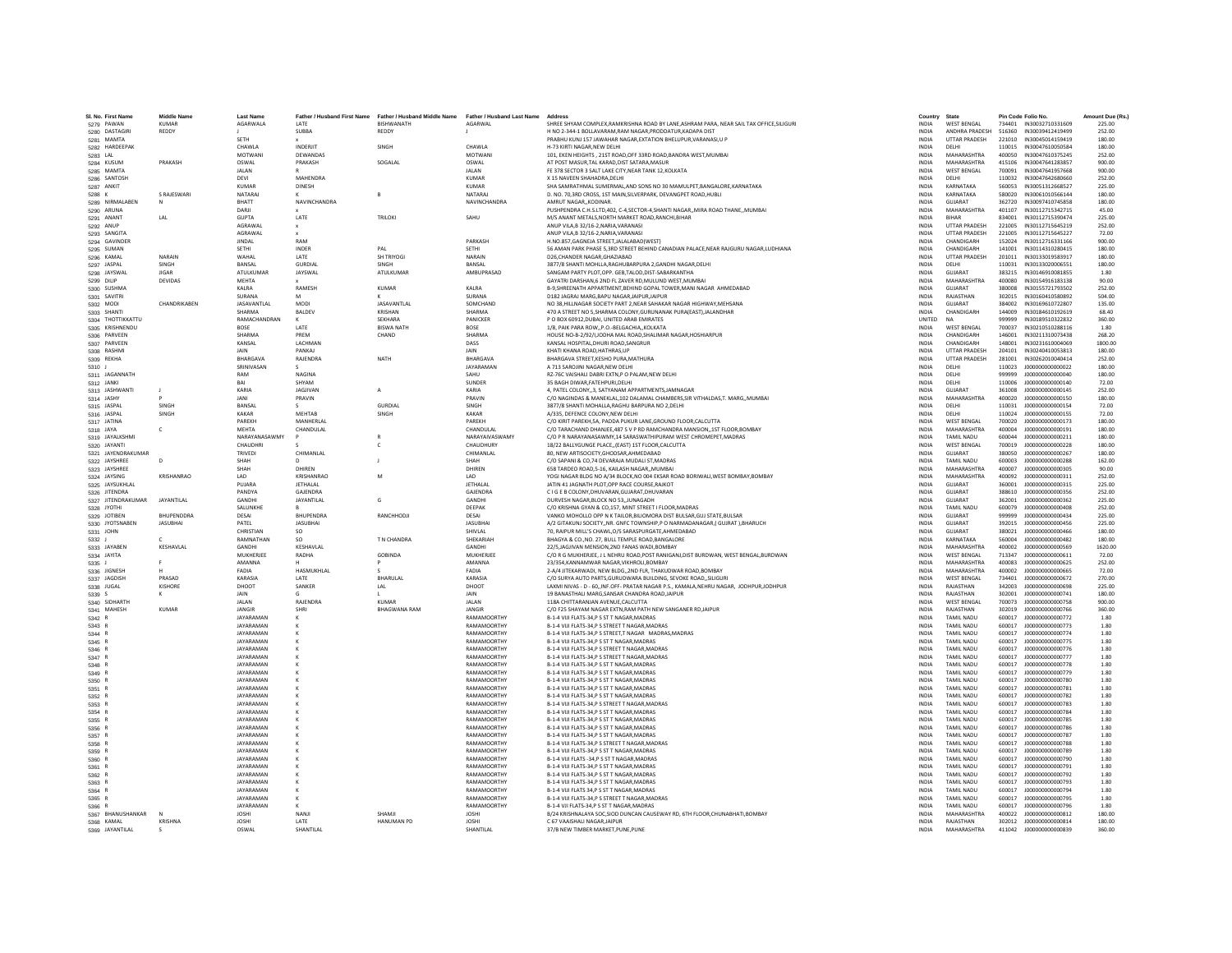| SL No. First Name                | <b>Middle Name</b> | <b>Last Name</b>                     |                            | Father / Husband First Name Father / Husband Middle Name Father / Husband Last Name |                                  | Address                                                                                                                       | Country                      | State                                   | Pin Code Folio No.                                       | Amount Due (Rs.)  |
|----------------------------------|--------------------|--------------------------------------|----------------------------|-------------------------------------------------------------------------------------|----------------------------------|-------------------------------------------------------------------------------------------------------------------------------|------------------------------|-----------------------------------------|----------------------------------------------------------|-------------------|
| 5279 PAWAN                       | <b>KUMAR</b>       | AGARWALA                             | LATE                       | BISHWANATH                                                                          | AGARWAL                          | SHREE SHYAM COMPLEX.RAMKRISHNA ROAD BY LANE.ASHRAM PARA. NEAR SAIL TAX OFFICE.SILIGURI                                        | <b>INDIA</b>                 | <b>WEST BENGAL</b>                      | 734401 IN30032710331609                                  | 225.00            |
| 5280 DASTAGIRI                   | REDDY              |                                      | SURRA                      | REDDY                                                                               |                                  | H NO 2-344-1 ROLLAVARAM RAM NAGAR PRODDATUR KADAPA DIST                                                                       | <b>INDIA</b>                 | ANDHRA PRADESH                          | 516360 IN30039412419499                                  | 252.00            |
| 5281 MAMTA                       |                    | SETH                                 |                            |                                                                                     |                                  | PRABHU KUNJ 157 JAWAHAR NAGAR, EXTATION BHELUPUR, VARANASI, U P                                                               | <b>INDIA</b>                 | <b>UTTAR PRADESH</b>                    | 221010 IN30045014159419                                  | 180.00            |
| 5282 HARDEEPAK                   |                    | CHAWLA                               | INDERJIT                   | SINGH                                                                               | CHAWLA                           | H-73 KIRTI NAGAR, NEW DELHI                                                                                                   | INDIA                        | DELHI                                   | 110015<br>IN30047610050584                               | 180.00            |
| 5283 LAL                         |                    | MOTWANI                              | DEWANDAS                   |                                                                                     | <b>MOTWAN</b>                    | 101. EKEN HEIGHTS . 21ST ROAD.OFF 33RD ROAD.BANDRA WEST.MUMBAI                                                                | <b>INDIA</b>                 | MAHARASHTRA                             | 400050<br>IN30047610375245                               | 252.00            |
| 5284 KUSUM                       | PRAKASH            | OSWAL<br><b>JAI AN</b>               | PRAKASH                    | SOGALAL                                                                             | OSWAL<br><b>JAI AN</b>           | AT POST MASUR.TAL KARAD.DIST SATARA.MASUR<br>FE 378 SECTOR 3 SALT LAKE CITY NEAR TANK 12 KOLKATA                              | <b>INDIA</b><br><b>INDIA</b> | MAHARASHTRA<br><b>WEST BENGAL</b>       | 415106 IN30047641283857<br>700091<br>IN30047641957668    | 900.00<br>900.00  |
| 5285 MAMTA<br>5286 SANTOSH       |                    | DEVI                                 | MAHENDRA                   |                                                                                     | <b>KUMAR</b>                     | X 15 NAVEEN SHAHADRA, DELHI                                                                                                   | INDIA                        | DELHI                                   | 110032<br>IN30047642680660                               | 252.00            |
| 5287 ANKIT                       |                    | <b>KUMAR</b>                         | <b>DINESH</b>              |                                                                                     | <b>KUMAR</b>                     | SHA SAMRATHMAL SUMERMAL AND SONS NO 30 MAMULPET BANGALORE KARNATAKA                                                           | <b>INDIA</b>                 | KARNATAKA                               | 560053<br>IN30051312668527                               | 225.00            |
| 5288 K                           | S RAJESWARI        | <b>NATARAJ</b>                       |                            | $\mathsf{R}$                                                                        | NATARAJ                          | D. NO. 70.3RD CROSS. 1ST MAIN.SILVERPARK. DEVANGPET ROAD.HUBLI                                                                | <b>INDIA</b>                 | KARNATAKA                               | 580020 IN30061010566144                                  | 180.00            |
| 5289 NIRMALABEN                  | N                  | RHATT                                | <b>NAVINCHANDRA</b>        |                                                                                     | <b>NAVINCHANDRA</b>              | AMRUT NAGAR, KODINAR                                                                                                          | <b>INDIA</b>                 | GUIARAT                                 | 362720 IN30097410745858                                  | 180.00            |
| 5290 ARUNA                       |                    | DARJI                                |                            |                                                                                     |                                  | PUSHPENDRA C.H.S.LTD,402, C-4,SECTOR-4,SHANTI NAGAR,,MIRA ROAD THANE,,MUMBAI                                                  | INDIA                        | MAHARASHTRA                             | 401107<br>IN30112715342715                               | 45.00             |
| 5291 ANANT                       | LAL                | <b>GUPTA</b>                         | LATE                       | TRILOKI                                                                             | SAHU                             | M/S ANANT METALS.NORTH MARKET ROAD.RANCHI.BIHAR                                                                               | <b>INDIA</b>                 | <b>RIHAR</b><br><b>UTTAR PRADESH</b>    | 834001<br>IN30112715390474<br>221005                     | 225.00            |
| 5292 ANUP<br>5293 SANGITA        |                    | AGRAWAL<br>AGRAWAL                   |                            |                                                                                     |                                  | ANUP VILA, B 32/16-2, NARIA, VARANASI<br>ANUP VILA R 32/16-2 NARIA VARANASI                                                   | INDIA<br><b>INDIA</b>        | <b>UTTAR PRADESH</b>                    | IN30112715645219<br>221005<br>IN30112715645227           | 252.00<br>72.00   |
| 5294 GAVINDER                    |                    | <b>IINDAI</b>                        | RAM                        |                                                                                     | <b>PARKASH</b>                   | H.NO.857.GAGNEJA STREET.JALALABADIWEST)                                                                                       | <b>INDIA</b>                 | CHANDIGARH                              | 152024<br>IN30112716331166                               | 900.00            |
| 5295 SUMAN                       |                    | SETHI                                | <b>INDER</b>               | PAL                                                                                 | SETHI                            | 56 AMAN PARK PHASE 5,3RD STREET BEHIND CANADIAN PALACE, NEAR RAJGURU NAGAR, LUDHIANA                                          | INDIA                        | CHANDIGARH                              | 141001<br>IN30114310280415                               | 180.00            |
| 5296 KAMAL                       | NARAIN             | WAHAL                                | LATE                       | <b>SH TRIYOGI</b>                                                                   | NARAIN                           | D26.CHANDER NAGAR.GHAZIABAD                                                                                                   | <b>INDIA</b>                 | <b>UTTAR PRADESH</b>                    | 201011<br>IN30133019583917                               | 180.00            |
| 5297 JASPAL                      | SINGH              | BANSAL                               | <b>GURDIA</b>              | SINGH                                                                               | BANSAL                           | 3877/8 SHANTI MOHLLA.RAGHUBARPURA 2.GANDHI NAGAR.DELHI                                                                        | <b>INDIA</b>                 | DELHI                                   | 110031 IN30133020006551                                  | 180.00            |
| 5298 JAYSWAL                     | <b>IIGAR</b>       | <b>ATULKUMAR</b>                     | JAYSWAL                    | ATULKUMAR                                                                           | AMBUPRASAD                       | SANGAM PARTY PLOT OPP, GER TALOD DIST-SARARKANTHA                                                                             | <b>INDIA</b>                 | GUIARAT                                 | 383215 IN30146910081855                                  | 1.80              |
| 5299 DILIP                       | DEVIDAS            | <b>MEHTA</b><br>KALRA                | RAMESH                     | <b>KUMAR</b>                                                                        | KALRA                            | GAYATRI DARSHAN,6 2ND FL ZAVER RD, MULUND WEST, MUMBAI<br>B-9.SHREENATH APPARTMENT.BEHIND GOPAL TOWER, MANI NAGAR AHMEDABAD   | INDIA<br><b>INDIA</b>        | MAHARASHTRA<br>GUJARAT                  | 400080<br>IN30154916183138<br>380008<br>IN30155721793502 | 90.00<br>252.00   |
| 5300 SUSHMA<br>5301 SAVITRI      |                    | <b>SURANA</b>                        |                            |                                                                                     | SURANA                           | D182 JAGRAJ MARG.BAPU NAGAR JAIPUR JAIPUR                                                                                     | INDIA                        | RAJASTHAN                               | 302015<br>IN30160410580892                               | 504.00            |
| 5302 MODI                        | CHANDRIKAREN       | <b>IASAVANTI AI</b>                  | <b>MODI</b>                | <b>IASAVANTI AI</b>                                                                 | SOMCHAND                         | NO 38 HILLNAGAR SOCIETY PART 2 NEAR SAHAKAR NAGAR HIGHWAY MEHSANA                                                             | <b>INDIA</b>                 | GUIARAT                                 | 384002 IN30169610722807                                  | 135.00            |
| 5303 SHANTI                      |                    | SHARMA                               | BALDEV                     | KRISHAN                                                                             | SHARMA                           | 470 A STREET NO 5.SHARMA COLONY.GURUNANAK PURA(EAST) JALANDHAR                                                                | <b>INDIA</b>                 | CHANDIGARH                              | 144009<br>IN30184610192619                               | 68.40             |
| 5304 THOTTIKKATTU                |                    | RAMACHANDRAN                         |                            | SEKHARA                                                                             | PANICKER                         | P O BOX 60912.DUBAI, UNITED ARAB EMIRATES                                                                                     | UNITED                       |                                         | 999999<br>IN30189510322832                               | 360.00            |
| 5305 KRISHNENDU                  |                    | BOSE                                 | LATE                       | <b>BISWA NATH</b>                                                                   | BOSE                             | 1/8, PAIK PARA ROW, P.O.-BELGACHIA, KOLKATA                                                                                   | INDIA                        | WEST BENGAL                             | 700037<br>IN30210510288116                               | 1.80              |
| 5306 PARVEEN                     |                    | SHARMA                               | PREM                       | CHAND                                                                               | SHARMA                           | HOUSE NO-R-2/92/LIODHA MAL ROAD SHAUMAR NAGAR HOSHIARPUR                                                                      | <b>INDIA</b>                 | CHANDIGARH                              | 146001<br>IN30211310073438                               | 268.20            |
| 5307 PARVEEN                     |                    | KANSAL<br><b>JAIN</b>                | <b>I ACHMAN</b><br>PANKAL  |                                                                                     | DASS<br><b>JAIN</b>              | KANSAL HOSPITAL DHURI ROAD SANGRUR<br>KHATI KHANA ROAD.HATHRAS.UP                                                             | <b>INDIA</b><br><b>INDIA</b> | CHANDIGARH<br><b>UTTAR PRADESH</b>      | 148001<br>IN30231610004069<br>204101<br>IN30240410053813 | 1800.00<br>180.00 |
| 5308 RASHMI<br>5309 REKHA        |                    | BHARGAVA                             | RAJENDRA                   | <b>NATH</b>                                                                         | BHARGAVA                         | BHARGAVA STREET.KESHO PURA.MATHURA                                                                                            | <b>INDIA</b>                 | <b>UTTAR PRADESH</b>                    | 281001<br>IN30262010040414                               | 252.00            |
| 5310 J                           |                    | SRINIVASAN                           |                            |                                                                                     | JAYARAMAN                        | A 713 SAROJINI NAGAR, NEW DELHI                                                                                               | INDIA                        | DELHI                                   | 110023<br>1000000000000022                               | 180.00            |
| 5311 JAGANNATH                   |                    | RAM                                  | <b>NAGINA</b>              |                                                                                     | SAHU                             | RZ-76C VAISHALI DABRI EXTN.P O PALAM.NEW DELHI                                                                                | <b>INDIA</b>                 | DELHI                                   | 999999<br>10000000000000040                              | 180.00            |
| 5312 JANKI                       |                    | RAI                                  | SHYAM                      |                                                                                     | SUNDER                           | 35 BAGH DIWAR, FATEHPURI, DELHI                                                                                               | INDIA                        | DELHI                                   | 110006<br>J00000000000140                                | 72.00             |
| 5313 JASHWANTI                   |                    | KARIA                                | <b>JAGJIVAN</b>            | A                                                                                   | KARIA                            | 4. PATEL COLONY3. SATYANAM APPARTMENTS.JAMNAGAR                                                                               | <b>INDIA</b>                 | GUJARAT                                 | 361008<br>J000000000000145                               | 252.00            |
| 5314 JASHY                       |                    | <b>JANI</b>                          | PRAVIN                     |                                                                                     | PRAVIN                           | C/O NAGINDAS & MANEKLAL, 102 DALAMAL CHAMBERS, SIR VITHALDAS, T. MARG,, MUMBAI                                                | INDIA                        | MAHARASHTRA                             | 400020<br>J00000000000150                                | 180.00            |
| 5315 JASPAL                      | <b>SINGH</b>       | RANSAL                               |                            | GURDIAL                                                                             | <b>SINGH</b>                     | 3877/8 SHANTI MOHALLA.RAGHU BARPURA NO 2.DELHI                                                                                | <b>INDIA</b>                 | DELHI                                   | 110031<br>1000000000000154                               | 72.00             |
| 5316 JASPAL<br>5317 JATINA       | SINGH              | KAKAR<br>PARFKH                      | <b>MEHTAR</b><br>MANHERI A | SINGH                                                                               | KAKAR<br>PARFKH                  | A/335 DEFENCE COLONY NEW DELHI<br>C/O KIRIT PAREKH, SA, PADDA PUKUR LANE, GROUND FLOOR, CALCUTTA                              | <b>INDIA</b><br><b>INDIA</b> | DELHI<br><b>WEST BENGAL</b>             | 110024<br>1000000000000155<br>700020<br>J000000000000173 | 72.00<br>180.00   |
| 5318 JAYA                        | c                  | <b>MEHTA</b>                         | CHANDULAL                  |                                                                                     | CHANDULAL                        | C/O TARACHAND DHANJEE,487 S V P RD RAMCHANDRA MANSION,,1ST FLOOR,BOMBAY                                                       | <b>INDIA</b>                 | MAHARASHTRA                             | 400004<br>J00000000000191                                | 180.00            |
| 5319 JAYALKSHMI                  |                    | NARAYANASAWMY                        |                            |                                                                                     | NARAYAIVASWAMY                   | C/O P R NARAYANASAWMY.14 SARASWATHIPURAM WEST CHROMEPET.MADRAS                                                                | <b>INDIA</b>                 | <b>TAMIL NADU</b>                       | 600044<br>1000000000000211                               | 180.00            |
| 5320 JAYANTI                     |                    | CHAUDHRI                             |                            | c                                                                                   | CHAUDHURY                        | 18/22 BALLYGUNGE PLACE(EAST) 1ST FLOOR.CALCUTTA                                                                               | <b>INDIA</b>                 | <b>WEST BENGAL</b>                      | 700019<br>1000000000000228                               | 180.00            |
| 5321 JAYENDRAKUMAR               |                    | TRIVEDI                              | CHIMANLAL                  |                                                                                     | CHIMANLAL                        | 80. NEW ARTISOCIETY.GHODSAR.AHMEDABAD                                                                                         | <b>INDIA</b>                 | GUIARAT                                 | 380050<br>1000000000000267                               | 180.00            |
| 5322 JAYSHREE                    | D                  | SHAH                                 |                            |                                                                                     | SHAH                             | C/O SAPANI & CO.74 DEVARAJA MUDALI ST.MADRAS                                                                                  | <b>INDIA</b>                 | <b>TAMIL NADU</b>                       | 600003<br>J00000000000288                                | 162.00            |
| 5323 JAYSHREE                    | KRISHANRAO         | SHAH                                 | DHIREN                     |                                                                                     | DHIREN                           | 658 TARDEO ROAD, 5-16, KAILASH NAGAR, MUMBAI                                                                                  | INDIA                        | MAHARASHTRA                             | 400007<br>J000000000000305                               | 90.00             |
| 5324 JAYSING                     |                    | LAD<br>PUIARA                        | KRISHANRAC<br>JETHALAL     | M                                                                                   | LAD<br><b>JETHALAL</b>           | YOGI NAGAR BLDG NO A/34 BLOCK.NO 004 EKSAR ROAD BORIWALI.WEST BOMBAY.BOMBAY<br>JATIN 41 JAGNATH PLOT, OPP RACE COURSE, RAJKOT | <b>INDIA</b><br><b>INDIA</b> | MAHARASHTRA<br>GUIARAT                  | J000000000000311<br>400092<br>360001<br>J000000000000315 | 252.00<br>225.00  |
| 5325 JAYSUKHLAL<br>5326 JITENDRA |                    | PANDYA                               | GAJENDRA                   |                                                                                     | GAJENDRA                         | C I G E B COLONY, DHUVARAN, GUJARAT, DHUVARAN                                                                                 | INDIA                        | GUJARAT                                 | 388610<br>J000000000000356                               | 252.00            |
| 5327 JITENDRAKUMAR               | <b>JAYANTILAL</b>  | GANDHI                               | JAYANTILAL                 | G                                                                                   | GANDHI                           | DURVESH NAGAR, BLOCK NO 53, JUNAGADH                                                                                          | INDIA                        | GUJARAT                                 | 362001<br>J000000000000362                               | 225.00            |
| 5328 JYOTHI                      |                    | SALUNKHE                             |                            |                                                                                     | DEEPAK                           | C/O KRISHNA GYAN & CO.157. MINT STREET I FLOOR.MADRAS                                                                         | <b>INDIA</b>                 | <b>TAMIL NADU</b>                       | 600079<br>1000000000000408                               | 252.00            |
| 5329 JOTIBEN                     | RHUPENDDRA         | DESAL                                | <b>BHUPENDRA</b>           | RANCHHODJI                                                                          | DESAL                            | VANKO MOHOLLO OPP N K TAILOR BILIOMORA DIST BULSAR GUJ STATE BULSAR                                                           | <b>INDIA</b>                 | GUIARAT                                 | 999999<br>1000000000000434                               | 225.00            |
| 5330 JYOTSNABEN                  | <b>JASUBHAI</b>    | PATEL                                | <b>JASUBHAI</b>            |                                                                                     | <b>JASUBHAI</b>                  | A/2 GITAKUNJ SOCIETYNR. GNFC TOWNSHIP.P O NARMADANAGAR.I GUJRAT I.BHARUCH                                                     | <b>INDIA</b>                 | GUIARAT                                 | 392015<br>1000000000000456                               | 225.00            |
| 5331 JOHN                        |                    | CHRISTIAN<br>RAMNATHAN               | SO.                        | T N CHANDRA                                                                         | SHIVLAL<br>SHEKARIAH             | 70, RAIPUR MILL'S CHAWL, O/S SARASPURGATE, AHMEDABAD<br>BHAGYA & CO., NO. 27, BULL TEMPLE ROAD, BANGALORE                     | <b>INDIA</b>                 | GUJARAT<br>KARNATAKA                    | 380021<br>J00000000000466<br>1000000000000482            | 180.00            |
| 5332 J<br>5333 JAYABEN           | KESHAVLAL          | GANDHI                               | SO.<br>KESHAVLAL           |                                                                                     | GANDHI                           | 22/5.JAGJIVAN MENSION.2ND FANAS WADI.BOMBAY                                                                                   | <b>INDIA</b><br><b>INDIA</b> | MAHARASHTRA                             | 560004<br>400002<br>J00000000000569                      | 180.00<br>1620.00 |
| 5334 JAYITA                      |                    | MUKHERIFF                            | RADHA                      | GOBINDA                                                                             | MUKHERIEF                        | C/O R G MUKHERJEE, J L NEHRU ROAD, POST RANIGANJ, DIST BURDWAN, WEST BENGAL, BURDWAN                                          | <b>INDIA</b>                 | <b>WEST RENGAL</b>                      | 713347<br>1000000000000611                               | 72.00             |
| 5335                             |                    | AMANNA                               |                            |                                                                                     | AMANNA                           | 23/354, KANNAMWAR NAGAR, VIKHROLI, BOMBAY                                                                                     | INDIA                        | MAHARASHTRA                             | 400083<br>J000000000000625                               | 252.00            |
| 5336 JIGNESH                     |                    | FADIA                                | HASMUKHLAL                 |                                                                                     | FADIA                            | 2-A/4 JITEKARWADI, NEW BLDG,,2ND FLR, THAKUDWAR ROAD,BOMBAY                                                                   | INDIA                        | MAHARASHTRA                             | 400002<br>J00000000000665                                | 72.00             |
| 5337 JAGDISH                     | PRASAD             | KARASIA                              | LATE                       | BHARULAL                                                                            | KARASIA                          | C/O SURYA AUTO PARTS.GURUDWARA BUILDING, SEVOKE ROADSILIGURI                                                                  | <b>INDIA</b>                 | <b>WEST BENGAL</b>                      | 1000000000000672<br>734401                               | 270.00            |
| 5338 JUGAL                       | KISHORE            | DHOOT                                | SANKER                     | LAL                                                                                 | DHOOT                            | LAXMI NIVAS - D - 60,, INF.OFF- PRATAR NAGAR P.S., KAMALA, NEHRU NAGAR, JODHPUR, JODHPUR                                      | <b>INDIA</b>                 | RAIASTHAN                               | 342003<br>1000000000000698                               | 225.00            |
| 5339 S<br>5340 SIDHARTH          | к                  | JAIN<br>JALAN                        | RAJENDRA                   | KUMAR                                                                               | <b>JAIN</b><br>JALAN             | 19 BANASTHALI MARG, SANSAR CHANDRA ROAD, JAIPUR<br>118A CHITTARANJAN AVENUE.CALCUTTA                                          | <b>INDIA</b><br>INDIA        | RAJASTHAN<br><b>WEST BENGAL</b>         | 302001<br>J000000000000741<br>700073<br>J00000000000758  | 180.00<br>900.00  |
| 5341 MAHESH                      | KUMAR              | <b>JANGIR</b>                        | SHRI                       | <b>BHAGWANA RAM</b>                                                                 | JANGIR                           | C/O F25 SHAYAM NAGAR EXTN, RAM PATH NEW SANGANER RD, JAIPUR                                                                   | <b>INDIA</b>                 | RAJASTHAN                               | J00000000000766<br>302019                                | 360.00            |
| 5342 R                           |                    | JAYARAMAN                            |                            |                                                                                     | RAMAMOORTHY                      | B-1-4 VIJI FLATS-34.P S ST T NAGAR.MADRAS                                                                                     | <b>INDIA</b>                 | <b>TAMIL NADU</b>                       | 600017<br>J00000000000772                                | 1.80              |
| 5343                             |                    | <b>JAYARAMAN</b>                     |                            |                                                                                     | RAMAMOORTHY                      | B-1-4 VIJI FLATS-34.P S STREET T NAGAR.MADRAS                                                                                 | <b>INDIA</b>                 | <b>TAMIL NADU</b>                       | 600017<br>J00000000000773                                | 1.80              |
| 5344 F                           |                    | JAYARAMAN                            |                            |                                                                                     | <b>RAMAMOORTH</b>                | B-1-4 VIJI FLATS-34,P S STREET,T NAGAR MADRAS, MADRAS                                                                         | INDIA                        | <b>TAMIL NADU</b>                       | 600017<br>J00000000000774                                | 1.80              |
| 5345 R                           |                    | <b>JAYARAMAN</b>                     |                            |                                                                                     | RAMAMOORTHY                      | B-1-4 VIJI FLATS-34.P S ST T NAGAR.MADRAS                                                                                     | <b>INDIA</b>                 | <b>TAMIL NADLI</b>                      | 1000000000000775<br>600017                               | 1.80              |
| 5346 R                           |                    | JAYARAMAN<br><b>JAYARAMAN</b>        |                            |                                                                                     | RAMAMOORTHY<br>RAMAMOORTHY       | B-1-4 VIJI FLATS-34.P S STREET T NAGAR.MADRAS                                                                                 | <b>INDIA</b><br><b>INDIA</b> | <b>TAMIL NADU</b><br><b>TAMIL NADLI</b> | 600017<br>J000000000000776<br>600017<br>100000000000777  | 1.80<br>1.80      |
| 5347 R<br>5348 8                 |                    | <b>JAYARAMAN</b>                     |                            |                                                                                     | RAMAMOORTHY                      | B-1-4 VIJI FLATS-34.P S STREET T NAGAR.MADRAS<br>B-1-4 VIJI FLATS-34, PS ST T NAGAR, MADRAS                                   | INDIA                        | <b>TAMIL NADU</b>                       | 600017<br>J00000000000778                                | 1.80              |
| 5349 F                           |                    | JAYARAMAN                            |                            |                                                                                     | <b>RAMAMOORTH'</b>               | B-1-4 VIJI FLATS-34,P S ST T NAGAR, MADRAS                                                                                    | INDIA                        | TAMIL NADU                              | 600017<br>J00000000000779                                | 1.80              |
| 5350 R                           |                    | JAYARAMAN                            |                            |                                                                                     | RAMAMOORTHY                      | B-1-4 VIJI FLATS-34.P S ST T NAGAR.MADRAS                                                                                     | <b>INDIA</b>                 | <b>TAMIL NADU</b>                       | J00000000000780<br>600017                                | 1.80              |
| 5351 R                           |                    | JAYARAMAN                            |                            |                                                                                     | RAMAMOORTHY                      | B-1-4 VIJI FLATS-34.P S ST T NAGAR.MADRAS                                                                                     | <b>INDIA</b>                 | <b>TAMIL NADU</b>                       | 600017<br>J000000000000781                               | 1.80              |
| 5352 R                           |                    | <b>JAYARAMAN</b>                     |                            |                                                                                     | RAMAMOORTHY                      | B-1-4 VIJI FLATS-34.P S ST T NAGAR.MADRAS                                                                                     | <b>INDIA</b>                 | <b>TAMIL NADLI</b>                      | 600017<br>1000000000000782                               | 1.80              |
| 5353 R                           |                    | JAYARAMAN                            |                            |                                                                                     | RAMAMOORTH                       | B-1-4 VIJI FLATS-34, PS STREET T NAGAR, MADRAS                                                                                | INDIA                        | TAMIL NADU                              | 600017<br>J00000000000783                                | 1.80              |
| 5354 R                           |                    | JAYARAMAN                            |                            |                                                                                     | RAMAMOORTHY                      | B-1-4 VIJI FLATS-34.P S ST T NAGAR.MADRAS                                                                                     | <b>INDIA</b>                 | <b>TAMIL NADU</b>                       | 600017<br>J000000000000784                               | 1.80              |
| 5355 R<br>5356 R                 |                    | <b>JAYARAMAN</b><br><b>JAYARAMAN</b> |                            |                                                                                     | RAMAMOORTHY<br>RAMAMOORTHY       | B-1-4 VIJI FLATS-34.P S ST T NAGAR.MADRAS<br>B-1-4 VIJI FLATS-34,P S ST T NAGAR, MADRAS                                       | <b>INDIA</b><br><b>INDIA</b> | <b>TAMIL NADU</b><br><b>TAMIL NADU</b>  | 600017<br>J00000000000785<br>600017<br>J00000000000786   | 1.80<br>1.80      |
| 5357 F                           |                    | JAYARAMAN                            |                            |                                                                                     | <b>RAMAMOORTH</b>                | B-1-4 VIJI FLATS-34,P S ST T NAGAR, MADRAS                                                                                    | INDIA                        | <b>TAMIL NADU</b>                       | 600017<br>J00000000000787                                | 1.80              |
| 5358 R                           |                    | <b>JAYARAMAN</b>                     |                            |                                                                                     | <b>RAMAMOORTH</b>                | B-1-4 VIJI FLATS-34.P S STREET T NAGAR.MADRAS                                                                                 | <b>INDIA</b>                 | <b>TAMIL NADU</b>                       | 600017                                                   | 1.80              |
| 5359 R                           |                    | JAYARAMAN                            |                            |                                                                                     | RAMAMOORTHY                      | B-1-4 VIJI FLATS-34.P S ST T NAGAR.MADRAS                                                                                     | <b>INDIA</b>                 | <b>TAMIL NADU</b>                       | 600017<br>J00000000000789                                | 1.80              |
| 5360 R                           |                    | <b>IAYARAMAN</b>                     |                            |                                                                                     | RAMAMOORTHY                      | <b>B-1-4 VIII FLATS -34 P S ST T NAGAR MADRAS</b>                                                                             | <b>INDIA</b>                 | <b>TAMIL NADLI</b>                      | 600017<br>1000000000000790                               | 1.80              |
| 5361 R                           |                    | <b>JAYARAMAN</b>                     |                            |                                                                                     | RAMAMOORTHY                      | B-1-4 VIJI FLATS-34, PS ST T NAGAR, MADRAS                                                                                    | INDIA                        | <b>TAMIL NADU</b>                       | 600017<br>J00000000000791                                | 1.80              |
| 5362 R                           |                    | JAYARAMAN                            |                            |                                                                                     | <b>RAMAMOORTH'</b>               | B-1-4 VIJI FLATS-34,P S ST T NAGAR, MADRAS                                                                                    | INDIA                        | TAMIL NADU                              | 600017<br>J00000000000792                                | 1.80              |
| 5363 R<br>5364 R                 |                    | JAYARAMAN<br>JAYARAMAN               |                            |                                                                                     | <b>RAMAMOORTH</b><br>RAMAMOORTHY | B-1-4 VIJI FLATS-34.P S ST T NAGAR.MADRAS<br>B-1-4 VIJI FLATS 34.P S ST T NAGAR MADRAS                                        | <b>INDIA</b><br><b>INDIA</b> | <b>TAMIL NADU</b><br><b>TAMIL NADU</b>  | J00000000000793<br>600017<br>600017<br>J00000000000794   | 1.80<br>1.80      |
| 5365 R                           |                    | <b>JAYARAMAN</b>                     |                            |                                                                                     | RAMAMOORTHY                      | B-1-4 VIJI FLATS-34.P S STREET T NAGAR.MADRAS                                                                                 | <b>INDIA</b>                 | <b>TAMIL NADU</b>                       | 600017<br>J00000000000795                                | 1.80              |
| 5366 F                           |                    | <b>JAYARAMAN</b>                     |                            |                                                                                     | <b>RAMAMOORTH</b>                | B-1-4 VJI FLATS-34, P S ST T NAGAR, MADRAS                                                                                    | INDIA                        | TAMIL NADU                              | 600017<br>J00000000000796                                | 1.80              |
| 5367 BHANUSHANKAR                |                    | <b>JOSHI</b>                         |                            | SHAMJI                                                                              | <b>JOSHI</b>                     | B/24 KRISHNALAYA SOC, SIOD DUNCAN CAUSEWAY RD, 6TH FLOOR, CHUNABHATI, BOMBAY                                                  | <b>INDIA</b>                 | <b>MAHARASHTRA</b>                      | 400022<br>J000000000000812                               | 180.00            |
| 5368 KAMAL<br>5369 JAYANTILAL    | KRISHNA            | <b>JOSHI</b>                         | <b>LATE</b>                | HANUMAN PD                                                                          | <b>JOSHI</b>                     | C 67 VAAISHALI NAGARJAIPUR                                                                                                    | <b>INDIA</b>                 | RAJASTHAN                               | 1000000000000814<br>302012                               | 180.00            |
|                                  |                    | OSWAI                                | <b>SHANTILAI</b>           |                                                                                     | <b>SHANTILAL</b>                 | 37/B NEW TIMBER MARKET, PUNE, PUNE                                                                                            | <b>INDIA</b>                 | MAHARASHTRA                             | 411042<br>1000000000000839                               | 360.00            |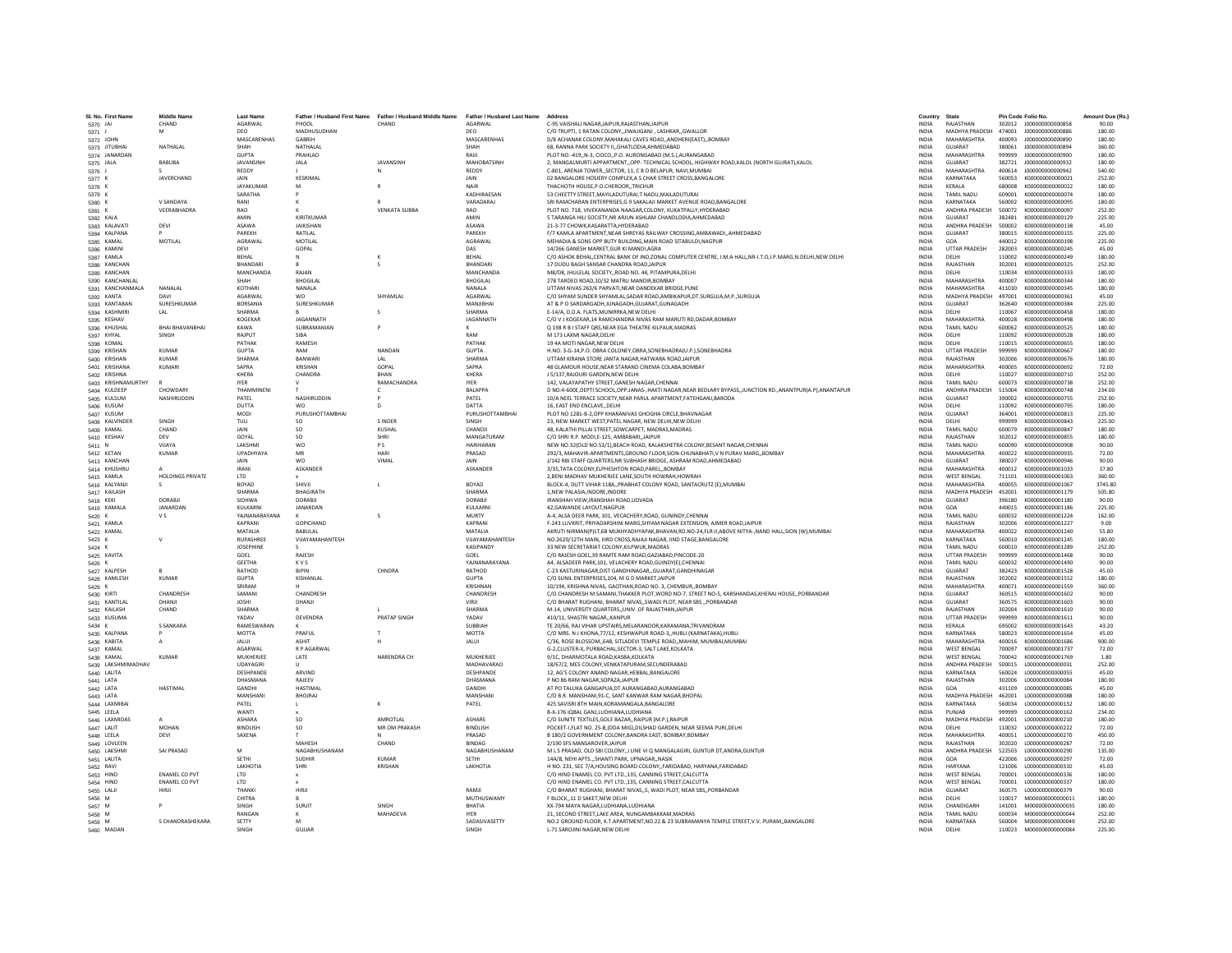| SI, No. First Name | <b>Middle Name</b>      | <b>Last Name</b> | Father / Husband First Name | Father / Husband Middle Name | Father / Husband Last Name Address |                                                                                                                                                                                    | Country                      | State                 |                  | Pin Code Folio No.        | Amount Due (Rs.) |
|--------------------|-------------------------|------------------|-----------------------------|------------------------------|------------------------------------|------------------------------------------------------------------------------------------------------------------------------------------------------------------------------------|------------------------------|-----------------------|------------------|---------------------------|------------------|
| 5370 JAI           | CHAND                   | AGARWAL          | PHOOL                       | CHAND                        | AGARWAL                            | C-95 VAISHALI NAGAR JAIPUR RAJASTHAN JAIPUR                                                                                                                                        | <b>INDIA</b>                 | RAIASTHAN             |                  | 302012 J000000000000858   | 90.00            |
| 5371 J             | M                       | DEO              | MADHUSUDHAN                 |                              | DEO                                | C/O TRUPTI. 1 RATAN COLONYJIWAJIGANJ . LASHKARGWALLOR                                                                                                                              | <b>INDIA</b>                 | MADHYA PRADESH        | 474001           | J00000000000886           | 180.00           |
| 5372 JOHN          |                         | MASCARENHAS      | GARRIH                      |                              | MASCARENHAS                        | D/8 ACHANAK COLONY, MAHAKALI CAVES ROAD, , ANDHERI (EAST), , BOMBAY                                                                                                                | <b>INDIA</b>                 | MAHARASHTRA           | 400093           | J00000000000890           | 180.00           |
| 5373 JITUBHAI      | NATHALAL                | SHAH             | NATHALA                     |                              | SHAH                               | 68. RANNA PARK SOCIETY II., GHATLODIA, AHMEDABAD                                                                                                                                   | INDIA                        | GUJARAT               | 380061           | J000000000000894          | 360.00           |
| 5374 JANARDAN      |                         | <b>GUPTA</b>     | PRAHLAD                     |                              | RAIJI                              | PLOT NO.-419,,N-3, CIDCO,,P.O. AURONGABAD (M.S.),AURANGABAD                                                                                                                        | <b>INDIA</b>                 | MAHARASHTRA           | 999999           | J00000000000900           | 180.00           |
| 5375 JALA          | BABUBA                  | <b>IAVANSINE</b> | <b>JAIA</b>                 | <b>IAVANSINH</b>             | MAHORATSINH                        | 2. MANGALMURTI APPARTMENTOPP- TECHNICAL SCHOOL, HIGHWAY ROAD.KALOL (NORTH GUJRAT).KALOI                                                                                            | <b>INDIA</b>                 | <b>GUIARAT</b>        | 382721           | 1000000000000932          | 180.00           |
| 5376 J             |                         | REDDY            |                             |                              | <b>REDDY</b>                       | C-801, ARENJA TOWER, SECTOR, 11, C B D BELAPUR, NAVI, MUMBAI                                                                                                                       | <b>INDIA</b>                 | <b>MAHARASHTRA</b>    | 400614           | J00000000000942           | 540.00           |
| 5377 K             | JAVERCHAND              | JAIN             | KESRIMAI                    |                              | JAIN                               | 02 BANGALORE HOSIERY COMPLEX A S CHAR STREET CROSS BANGALORE                                                                                                                       | <b>INDIA</b>                 | KARNATAKA             | 560053           | K00000000000021           | 252.00           |
| 5378 K             |                         | JAYAKUMAF        | M                           |                              | NAIR                               | THACHOTH HOUSE P.O.CHEROOR. TRICHUR                                                                                                                                                | <b>INDIA</b>                 | <b>KFRAIA</b>         | 680008           | K000000000000022          | 180.00           |
| 5379 K             |                         | SARATHA          |                             |                              | KADHIRAFSAN                        | 53 CHEETTY STREET, MAYILADUTURAI, T NADU, MAILADUTURAI                                                                                                                             | <b>INDIA</b>                 | TAMIL NADLI           | 609001           | K000000000000074          | 180.00           |
| 5380 K             | V SANDAYA               | RANI             |                             |                              | VARADARAJ                          | SRI RAMCHARAN ENTERPRISES, G 9 SAKALAJI MARKET AVENUE ROAD, BANGALORE                                                                                                              | <b>INDIA</b>                 | KARNATAKA             | 560002           | K000000000000095          | 180.00           |
| 5381 K             | VEERABHADRA             | RAO              |                             | <b>VENKATA SUBBA</b>         | RAO                                | PLOT NO. 718, VIVEKANANDA NAAGAR,COLONY, KUKATPALLY, HYDERABAD                                                                                                                     | <b>INDIA</b>                 | <b>ANDHRA PRADESH</b> | 500072           | K000000000000097          | 252.00           |
| 5382 KALA          |                         | AMIN             | KIRITKUMAF                  |                              | AMIN                               | 5 TARANGA HILI SOCIETY.NR ARJUN ASHLAM CHANDLODIA.AHMEDABAD                                                                                                                        | <b>INDIA</b>                 | <b>GUJARAT</b>        | 382481           | K000000000000129          | 225.00           |
| 5383 KALAVATI      | DEVI                    | ASAWA            | <b>IAIKISHAN</b>            |                              | ASAWA                              | 21-3-77 CHOWK KASARATTA HYDERARAD                                                                                                                                                  | <b>INDIA</b>                 | ANDHRA PRADESH        | 500002           | K000000000000138          | 45.00            |
| 5384 KALPANA       |                         | PAREKH           | RATILAL                     |                              | PAREKH                             | F/7 KAMLA APARTMENT, NEAR SHREYAS RAILWAY CROSSING, AMBAWADI, , AHMEDABAD                                                                                                          | INDIA                        | GUJARAT               | 380015           | K000000000000155          | 225.00           |
| 5385 KAMAL         | MOTILAL                 | AGRAWAL          | MOTILAL                     |                              | AGRAWA                             | MEHADIA & SONS OPP BUTY BUILDING, MAIN ROAD SITABULDI, NAGPUR                                                                                                                      | <b>INDIA</b>                 | GOA                   | 440012           | K000000000000198          | 225.00           |
| 5386 KAMIN         |                         | DEVI             | GOPAL                       |                              | DAS                                | 14/266 GANESH MARKET.GUR KI MANDI.AGRA                                                                                                                                             | <b>INDIA</b>                 | <b>UTTAR PRADESH</b>  | 282003           | K000000000000245          | 45.00            |
| 5387 KAMLA         |                         | RFHAI            |                             |                              | RFHAI                              | C/O ASHOK BEHAL,CENTRAL BANK OF IND,ZONAL COMPUTER CENTRE, I.M.A HALL,NR-I.T.O,I.P.MARG,N.DELHI,NEW DELHI                                                                          | <b>INDIA</b>                 | <b>DELHI</b>          | 110002           | K000000000000249          | 180.00           |
| 5388 KANCHAN       |                         | <b>BHANDAR</b>   |                             |                              | BHANDARI                           | 17 DUDU BAGH SANSAR CHANDRA ROAD JAIPUR                                                                                                                                            | <b>INDIA</b>                 | RAJASTHAN             | 302001           | K000000000000325          | 252.00           |
| 5389 KANCHAN       |                         | <b>MANCHANDA</b> | RAJAN                       |                              | <b>MANCHANDA</b>                   | M8/D8, JHULELAL SOCIETY, ROAD NO. 44, PITAMPURA, DELHI                                                                                                                             | <b>INDIA</b>                 | DELHI                 | 110034           | K000000000000333          | 180.00           |
| 5390 KANCHANLAI    |                         | <b>SHAH</b>      | <b>BHOGILAL</b>             |                              | <b>BHOGILAL</b>                    | 278 TARDEO ROAD.10/32 MATRU MANDIR.BOMBAY                                                                                                                                          | <b>INDIA</b>                 | MAHARASHTRA           | 400007           | K000000000000344          | 180.00           |
| 5391 KANCHANMALA   | NANALAL                 | KOTHARI          | NANALA                      |                              | NANALA                             | UTTAM NIVAS 263/6 PARVATI, NEAR DANDEKAR BRIDGE, PUNE                                                                                                                              | <b>INDIA</b>                 | MAHARASHTRA           | 411030           | K000000000000345          | 180.00           |
| 5392 KANTA         |                         | AGARWAL          | <b>WO</b>                   | SHYAMLAL                     | AGARWAI                            | C/O SHYAM SUNDER SHYAMLAL, SADAR ROAD, AMBIKAPUR, DT. SURGUJA, M.P., SURGUJA                                                                                                       | <b>INDIA</b>                 | MADHYA PRADESH        | 497001           | K000000000000361          | 45.00            |
| 5393 KANTABAN      | SURESHKUMAR             | BORSANIA         | SURESHKUMAR                 |                              | MANJIBHA                           | AT & P O SARDARGADH.JUNAGADH.GUJARAT.GUNAGADH                                                                                                                                      | <b>INDIA</b>                 | <b>GUJARAT</b>        | 362640           | K000000000000384          | 225.00           |
| 5394 KASHMIRI      | LAL                     | SHARMA           |                             |                              | SHARMA                             | E-14/A. D.D.A. FLATS.MUNIRRKA.NEW DELHI                                                                                                                                            | <b>INDIA</b>                 | DELHI                 | 110067           | K000000000000458          | 180.00           |
| 5395 KESHAV        |                         | KOGEKAR          | <b>IAGANNATH</b>            |                              | JAGANNATH                          | C/O V J KOGEKAR, 14 RAMCHANDRA NIVAS RAM MARUTI RD, DADAR, BOMBAY                                                                                                                  | <b>INDIA</b>                 | MAHARASHTRA           | 400028           | K000000000000498          | 180.00           |
| 5396 KHUSHAI       | <b>BHAI BHAVANBHAI</b>  | KAWA             | SUBRAMANIAN                 |                              |                                    | Q 198 R B I STAFF QRS, NEAR EGA THEATRE KILPAUK, MADRAS                                                                                                                            | INDIA                        | TAMIL NADU            | 600062           | K000000000000525          | 180.00           |
| 5397 KHYAL         | SINGH                   | RAJPUT           | <b>SIRA</b>                 |                              | RAM                                | M 173 LAXMI NAGAR.DELHI                                                                                                                                                            | <b>INDIA</b>                 | DELHI                 | 110092           | K000000000000528          | 180.00           |
| 5398 KOMAL         |                         | PATHAK           | <b>RAMESH</b>               |                              | PATHAK                             | 19 4A MOTI NAGAR NEW DELHI                                                                                                                                                         | <b>INDIA</b>                 | DELHI                 | 110015           | K000000000000655          | 180.00           |
| 5399 KRISHAN       | KUMAR                   | GUPTA            | RAM                         | NANDAN                       | <b>GUPTA</b>                       | H.NO. 3-G-14, P.O. OBRA COLONEY, OBRA, SONEBHADRA(U.P.), SONEBHADRA                                                                                                                | <b>INDIA</b>                 | <b>UTTAR PRADESH</b>  | 999999           | K000000000000667          | 180.00           |
| 5400 KRISHAN       | <b>KUMAR</b>            | <b>SHARMA</b>    | <b>BANWAR</b>               |                              | SHARM/                             | UTTAM KIRANA STORE JANTA NAGAR HATWARA ROAD JAIPUF                                                                                                                                 | <b>INDIA</b>                 | RAJASTHAN             | 302006           | K000000000000676          | 180.00           |
| 5401 KRISHANA      | <b>KUMAR</b>            | SAPRA            | KRISHAN                     | GOPAL                        | SAPRA                              | 48 GLAMOUR HOUSE, NEAR STARAND CINEMA COLABA, BOMBAY                                                                                                                               | INDIA                        | MAHARASHTRA           | 400005           | K000000000000692          | 72.00            |
| 5402 KRISHNA       |                         | KHFRA            | CHANDRA                     | <b>RHAN</b>                  | KHFRA                              | J 5/137.RAJOURI GARDEN.NEW DELHI                                                                                                                                                   | <b>INDIA</b>                 | <b>DELHI</b>          | 110027           | K000000000000710          | 252.00           |
| 5403 KRISHNAMURTHY |                         | <b>IYER</b>      |                             | <b>RAMACHANDRA</b>           | <b>IYER</b>                        | 142, VALAYAPATHY STREET, GANESH NAGAR, CHENNAI                                                                                                                                     | <b>INDIA</b>                 | TAMIL NADLI           | 600073           | K000000000000738          | 252.00           |
|                    | CHOWDARY                | THAMMINEN        |                             |                              | <b>BALAPPA</b>                     |                                                                                                                                                                                    |                              | ANDHRA PRADESH        | 515004           |                           |                  |
| 5404 KULDEEF       |                         |                  | NASHIRUDDIN                 |                              |                                    | D NO:4-600E, DEPTI SCHOOL, OPP:JANAS-, HAKTI NAGAR, NEAR BEDLARY BYPASS, JUNCTION RD., ANANTPUR(A.P), ANANTAPUR<br>10/A NEEL TERRACE SOCIETY.NEAR PARUL APARTMENT.FATEHGANJ.BARODA | <b>INDIA</b>                 |                       |                  | K000000000000748          | 234.00           |
| 5405 KULSUM        | NASHIRUDDIN             | PATEL            |                             |                              | PATEL                              |                                                                                                                                                                                    | <b>INDIA</b>                 | <b>GUJARAT</b>        | 390002           | K000000000000755          | 252.00           |
| 5406 KUSUM         |                         | DUTTA            | <b>WO</b>                   | $\mathbf{D}$                 | DATTA                              | 16, EAST END ENCLAVE, DELHI                                                                                                                                                        | <b>INDIA</b>                 | DELHI                 | 110092           | K000000000000795          | 180.00           |
| 5407 KUSUM         |                         | MODI             | PURUSHOTTAMBHAI             |                              | PURUSHOTTAMBHAI                    | PLOT NO 1281-B-2, OPP KHARANIVAS GHOGHA CIRCLE, BHAVNAGAR                                                                                                                          | <b>INDIA</b>                 | GUJARAT               | 364001           | K000000000000813          | 225.00           |
| 5408 KALVINDER     | SINGH                   | TULI             | SO                          | <b>SINDER</b>                |                                    | 23. NEW MARKET WEST.PATEL NAGAR. NEW DELHI.NEW DELHI                                                                                                                               | <b>INDIA</b>                 | DELHI                 | 999999           | K000000000000843          | 225.00           |
| 5409 KAMAL         | CHAND                   | JAIN             | SO.                         | KUSHAL                       | CHANDJ                             | 48. KALATHI PILLAI STREET.SOWCARPET. MADRAS.MADRAS                                                                                                                                 | <b>INDIA</b>                 | <b>TAMIL NADU</b>     | 600079           | K000000000000847          | 180.00           |
| 5410 KESHAV        | <b>DFV</b>              | GOYAL            | SO.                         | SHRI                         | MANGATURAM                         | C/O SHRLR P. MODLE-125, AMRARARL JAIPUR                                                                                                                                            | <b>INDIA</b>                 | RAIASTHAN             | 302012           | K000000000000855          | 180.00           |
| 5411 N             | VIJAYA                  | LAKSHM           | wo                          | PS                           | <b>HARIHARA</b>                    | NEW NO.32(OLD NO.53/1), BEACH ROAD, KALAKSHETRA COLONY, BESANT NAGAR, CHENNAI                                                                                                      | INDIA                        | TAMIL NADU            | 600090           | K000000000000908          | 90.00            |
| 5412 KETAN         | <b>KUMAR</b>            | <b>UPADHYAYA</b> | MR                          | HARI                         | PRASAD                             | 292/3, MAHAVIR-APARTMENTS, GROUND FLOOR, SION-CHUNABHATI, V N PURAV MARG,, BOMBAY                                                                                                  | <b>INDIA</b>                 | MAHARASHTRA           | 400022           | K000000000000935          | 72.00            |
| 5413 KANCHAN       |                         | <b>JAIN</b>      | <b>WO</b>                   | VIMAI                        | <b>JAIN</b>                        | 1/142 RBLSTAFF OLIARTERS NR SUBHASH BRIDGE, ASHRAM ROAD AHMEDARAD                                                                                                                  | <b>INDIA</b>                 | <b>GUIARAT</b>        | 380027           | K000000000000946          | 90.00            |
| 5414 KHUSHRU       |                         | <b>IRANI</b>     | <b>ASKANDER</b>             |                              | ASKANDER                           | 3/35, TATA COLONY, ELPHESHTON ROAD, PAREL,, BOMBAY                                                                                                                                 | <b>INDIA</b>                 | MAHARASHTRA           | 400012           | K000000000001033          | 37.80            |
| 5415 KAMLA         | <b>HOLDINGS PRIVATE</b> | <b>LTD</b>       |                             |                              |                                    | 2, BENI MADHAV MUKHERJEE LANE, SOUTH HOWRAH, HOWRAH                                                                                                                                | <b>INDIA</b>                 | <b>WEST BENGAL</b>    | 711101           | K000000000001063          | 360.00           |
| 5416 KALYANJ       | s                       | BOYAD            | SHIVJI                      |                              | BOYAD                              | BLOCK-4, DUTT VIHAR 118A,, PRABHAT COLONY ROAD, SANTACRUTZ (E), MUMBAI                                                                                                             | <b>INDIA</b>                 | MAHARASHTRA           | 400055           | K000000000001067          | 3745.80          |
| 5417 KAILASH       |                         | SHARMA           | <b>BHAGIRATH</b>            |                              | <b>SHARMA</b>                      | 1.NEW PALASIA.INDORE.INDORE                                                                                                                                                        | <b>INDIA</b>                 | MADHYA PRADESH        | 452001           | K000000000001179          | 505.80           |
| 5418 KEKI          | DORARII                 | <b>SIDHWA</b>    | DORABIL                     |                              | DORABIL                            | IRANSHAH VIEW.IRANSHAH ROAD.UDVADA                                                                                                                                                 | <b>INDIA</b>                 | GUIARAT               | 396180           | K000000000001180          | 90.00            |
| 5419 KAMALA        | JANARDAN                | KULKARNI         | JANARDAN                    |                              | KULKARN                            | 42, GAWANDE LAYOUT, NAGPUF                                                                                                                                                         | INDIA                        | GOA                   | 440015           | K000000000001186          | 225.00           |
| 5420 K             | V S                     | YAJNANARAYANA    |                             |                              | MURTY                              | A-4, ALSA DEER PARK, 101, VECACHERY, ROAD, GUNINDY, CHENNAI                                                                                                                        | <b>INDIA</b>                 | TAMIL NADU            | 600032           | K000000000001224          | 162.00           |
| 5421 KAMLA         |                         | KAPRANI          | <b>GOPICHAND</b>            |                              | KAPRANI                            | F-243 LUVKRIT, PRIYADARSHINI MARG SHYAM NAGAR EXTENSION, AJMER ROAD JAIPUR                                                                                                         | <b>INDIA</b>                 | RAJASTHAN             | 302006           | K000000000001227          | 9.00             |
| 5422 KAMAL         |                         | MATALIA          | <b>BABULAL</b>              |                              | MATALIA                            | AKRUTI NIRMAN(P)LT,6B MUKHYADHYAPAK,BHAVAN,RD.NO-24,FLR-II,ABOVE NITYA-,NAND HALL,SION (W),MUMBAI                                                                                  | INDIA                        | <b>MAHARASHTRA</b>    | 400022           | K000000000001240          | 55.80            |
| 5423 K             |                         | RUPASHREI        | VUAYAMAHANTESH              |                              | VIJAYAMAHANTESH                    | NO.2620/12TH MAIN. IIIRD CROSS.RAJAJI NAGAR. IIND STAGE.BANGALORE                                                                                                                  | INDIA                        | KARNATAKA             | 560010           | K000000000001245          | 180.00           |
| 5424 K             |                         | <b>JOSEPHINE</b> |                             |                              | <b>KASIPANDY</b>                   | 33 NEW SECRETARIAT COLONY, KILPWUK, MADRAS                                                                                                                                         | <b>INDIA</b>                 | TAMIL NADU            | 600010           | K000000000001289          | 252.00           |
| 5425 KAVITA        |                         | GOEL             | RAIFSH                      |                              | GOEL                               | C/O RAIESH GOEL 39 RAMTE RAM ROAD GAZIARAD PINCODE-20                                                                                                                              | <b>INDIA</b>                 | <b>UTTAR PRADESH</b>  | 999999           | K000000000001468          | 90.00            |
| 5426 K             |                         | <b>GEETHA</b>    | <b>KVS</b>                  |                              | YAINANARAYANA                      | A4, ALSADEER PARK, 101, VELACHERY ROAD, GUINDY(E), CHENNAI                                                                                                                         | <b>INDIA</b>                 | TAMIL NADU            | 600032           | K000000000001490          | 90.00            |
| 5427 KALPESH       |                         | RATHOD           | <b>BIPIN</b>                | CHNDRA                       | RATHOD                             | C-23 KASTURINAGAR.DIST GANDHINAGAR., GUJARAT.GANDHINAGAR                                                                                                                           | <b>INDIA</b>                 | GUJARAT               | 382423           | K000000000001528          | 45.00            |
| 5428 KAMLESH       | KUMAR                   | <b>GUPTA</b>     | KISHANLAL                   |                              | <b>GUPTA</b>                       | C/O SUNIL ENTERPRISES.104, M G D MARKET, JAIPUR                                                                                                                                    | <b>INDIA</b>                 | RAIASTHAN             | 302002           | K000000000001552          | 180.00           |
| 5429 K             |                         | SRIRAM           |                             |                              | KRISHNAN                           | 10/194, KRISHNA NIVAS, GAOTHAN, ROAD NO. 3, CHEMBUR, BOMBAY                                                                                                                        | <b>INDIA</b>                 | MAHARASHTRA           | 400071           | K000000000001559          | 360.00           |
| 5430 KIRTI         | CHANDRESH               | SAMANI           | CHANDRESH                   |                              | CHANDRESH                          | C/O CHANDRESH M SAMANI, THAKKER PLOT, WORD NO-7, STREET NO-5, KARSHANDAS, KHERAJ HOUSE,, PORBANDAR                                                                                 | <b>INDIA</b>                 | GUIARAT               | 360515           | K000000000001602          | 90.00            |
| 5431 KANTILAL      | DHANJI                  | <b>JOSHI</b>     | DHANJI                      |                              | VIRJI                              | C/O BHARAT RUGHANI, BHARAT NIVAS, SWADI PLOT, NEAR SBS , PORBANDAR                                                                                                                 | <b>INDIA</b>                 | GUJARAT               | 360575           | K000000000001603          | 90.00            |
| 5432 KAILASH       | CHAND                   | SHARMA           |                             |                              | <b>SHARMA</b>                      | M-14, UNIVERSITY QUARTERS., UNIV, OF RAJASTHAN JAIPUR                                                                                                                              | <b>INDIA</b>                 | RAJASTHAN             | 302004           | K000000000001610          | 90.00            |
| 5433 KUSUMA        |                         | YADAV            | DEVENDRA                    | PRATAP SINGH                 | YADAV                              | 410/11. SHASTRI NAGAR, KANPUR                                                                                                                                                      | <b>INDIA</b>                 | <b>UTTAR PRADESH</b>  | 999999           | K000000000001611          | 90.00            |
| 5434 K             | <b>S SANKARA</b>        | RAMESWARAN       |                             |                              | SUBBIAH                            | TE 20/66, RAJ VIHAR UPSTAIRS, MELARANOOR, KARAMANA, TRIVANDRAM                                                                                                                     | INDIA                        | KERALA                | 695002           | K000000000001643          | 43.20            |
| 5435 KALPANA       |                         | <b>MOTTA</b>     | PRAFUL                      |                              | <b>MOTTA</b>                       | C/O MRS. NJ KHONA.77/12. KESHWAPUR ROAD-3HUBLI (KARNATAKA).HUBL                                                                                                                    | <b>INDIA</b>                 | KARNATAKA             | 580023           | K000000000001654          | 45.00            |
| 5436 KABITA        | $\mathsf{A}$            | <b>JALUI</b>     | <b>ASHIT</b>                |                              | <b>JALUI</b>                       | C/36, ROSE BLOSSOM., 648, SITLADEVI TEMPLE ROAD., MAHIM, MUMBAI, MUMBAI                                                                                                            | <b>INDIA</b>                 | MAHARASHTRA           | 400016           | K000000000001686          | 900.00           |
| 5437 KAMAL         |                         | <b>AGARWAL</b>   | R P AGARWAI                 |                              |                                    | G-2.CLUSTER-X, PURBACHAL.SECTOR-3, SALT LAKE.KOLKATA                                                                                                                               | <b>INDIA</b>                 | <b>WEST RENGAL</b>    | 700097           | K000000000001737          | 72.00            |
| 5438 KAMAL         | KUMAR                   | MUKHERJEI        | LATE                        | NARENDRA CH                  | MUKHERIFF                          | 9/1C, DHARMOTALA ROAD, KASBA, KOLKATA                                                                                                                                              | <b>INDIA</b>                 | <b>WEST BENGAL</b>    | 700042           | K000000000001769          | 1.80             |
| 5439 LAKSHMIMADHAV |                         | UDAYAGIRI        |                             |                              | MADHAVARAO                         | 18/67/2, MES COLONY, VENKATAPURAM, SECUNDERABAD                                                                                                                                    | <b>INDIA</b>                 | ANDHRA PRADESH        | 500015           | L00000000000031           | 252.00           |
| 5440 LALITA        |                         | DESHPANDI        | ARVIND                      |                              | <b>DESHPANDE</b>                   | 12. AG'S COLONY ANAND NAGAR.HEBBAL.BANGALORE                                                                                                                                       | <b>INDIA</b>                 | KARNATAKA             | 560024           | 1000000000000055          | 45.00            |
| 5441 LATA          |                         | DHASMANA         | RAJEEV                      |                              | DHASMANA                           | P NO 86 RAM NAGAR, SOPAZA, JAIPUR                                                                                                                                                  | <b>INDIA</b>                 | RAJASTHAN             | 302006           | 1000000000000084          | 180.00           |
| 5442 LATA          | <b>HASTIMAL</b>         | GANDH            | <b>HASTIMA</b>              |                              | GANDHI                             | AT PO TALUKA GANGAPUA, DT AURANGABAD, AURANGABAD                                                                                                                                   | <b>INDIA</b>                 | GOA                   | 431109           | L00000000000085           | 45.00            |
| 5443 LATA          |                         | MANSHAN          | <b>RHOIRAL</b>              |                              | MANSHANI                           | C/O B.R. MANSHANI, 91-C, SANT KANWAR RAM NAGAR, BHOPAL                                                                                                                             | INDIA                        | MADHYA PRADESH        | 462001           | 1000000000000088          | 180.00           |
| 5444 LAXMIBA       |                         | PATEL            |                             | к                            | PATEL                              | 425 SAVISRI 8TH MAIN.KORAMANGALA.BANGALORE                                                                                                                                         | <b>INDIA</b>                 | KARNATAKA             | 560034           | L000000000000132          | 180.00           |
| 5445 LEELA         |                         | <b>WANTI</b>     |                             |                              |                                    | B-X-176 IQBAL GANJ,LUDHIANA,LUDHIANA                                                                                                                                               | <b>INDIA</b>                 | PUNIAR                | 999999           | L00000000000162           | 234.00           |
| 5446 LAXMIDAS      |                         | <b>ASHARA</b>    | SO                          | AMROTLAL                     | ASHARS                             | C/O SUNITE TEXTILES, GOLE BAZAR, , RAIPUR (M.P.), RAIPUR                                                                                                                           | INDIA                        | MADHYA PRADESH        | 492001           | L00000000000210           | 180.00           |
| 5447 LALIT         | MOHAN                   | <b>BINDLISH</b>  | SO.                         | MR OM PRAKASH                | <b>BINDLISH</b>                    | POCKET-I, FLAT NO. 25-B.(DDA MIG), DILSHAD GARDEN. NEAR SEEMA PURI, DELHI                                                                                                          |                              | DELHI                 |                  | 1000000000000222          | 72.00            |
|                    | DEVI                    | SAXENA           |                             | $\mathbf{M}$                 | PRASAD                             | B 180/2 GOVERNMENT COLONY, BANDRA EAST, BOMBAY, BOMBAY                                                                                                                             | <b>INDIA</b><br><b>INDIA</b> | MAHARASHTRA           | 110032<br>400051 | 1000000000000270          | 450.00           |
| 5448 LEELA         |                         |                  | <b>MAHFSH</b>               |                              | <b>BINDAG</b>                      | 2/190 SFS MANSAROVER JAIPUR                                                                                                                                                        | <b>INDIA</b>                 | RAIASTHAN             | 302020           |                           | 72.00            |
| 5449 LOVLEEN       |                         |                  |                             | CHAND                        |                                    |                                                                                                                                                                                    |                              |                       |                  | L000000000000287          |                  |
| 5450 LAKSHM        | SAI PRASAD              | M                | NAGABHUSHANAN               |                              | NAGABHUSHANAM                      | M L S PRASAD, OLD SBI COLONY,,I LINE VI Q MANGALAGIRI, GUNTUR DT, ANDRA, GUNTUR                                                                                                    | <b>INDIA</b>                 | ANDHRA PRADESH        | 522503           | L00000000000290           | 135.00           |
| 5451 LALITA        |                         | SETHI            | <b>SUDHIR</b>               | <b>KUMAF</b>                 | SETHI                              | 14A/8, NEHI APTS., SHANTI PARK, UPNAGAR, NASIK                                                                                                                                     | INDIA                        | GOA                   | 422006           | L00000000000297           | 72.00            |
| 5452 RAVI          |                         | <b>LAKHOTIA</b>  | SHRI                        | KRISHAN                      | LAKHOTIA                           | H NO. 231. SEC 7/A.HOUSING BOARD COLONY., FARIDABAD, HARYANA, FARIDABAD                                                                                                            | <b>INDIA</b>                 | <b>HARYANA</b>        | 121006           | 1000000000000310          | 45.00            |
| 5453 HIND          | <b>ENAMEL CO PVT</b>    | LTD              |                             |                              |                                    | C/O HIND ENAMEL CO. PVT LTD., 135, CANNING STREET, CALCUTTA                                                                                                                        | <b>INDIA</b>                 | <b>WEST BENGAL</b>    | 700001           | 1000000000000336          | 180.00           |
| 5454 HIND          | <b>ENAMEL CO PVT</b>    | LTD              |                             |                              |                                    | C/O HIND ENAMEL CO. PVT LTD., 135, CANNING STREET, CALCUTTA                                                                                                                        | <b>INDIA</b>                 | <b>WEST BENGAL</b>    | 700001           | L000000000000337          | 180.00           |
| 5455 LAUI          | HIRII                   | THANKI           | HIRJI                       |                              | RAMI                               | C/O BHARAT RUGHANI, BHARAT NIVAS,,5, WADI PLOT, NEAR SBS,, PORBANDAR                                                                                                               | <b>INDIA</b>                 | GUJARAT               | 360575           | L000000000000379          | 90.00            |
| 5456 M             |                         | CHITRA           |                             |                              | MUTHUSWAMY                         | F BLOCK11 D SAKET.NEW DELHI                                                                                                                                                        | <b>INDIA</b>                 | <b>DELHI</b>          | 110017           | M00000000000011           | 180.00           |
| 5457 M             |                         | SINGH            | SURJIT                      | SINGH                        | <b>BHATIA</b>                      | XX-794 MAYA NAGAR,LUDHIANA,LUDHIANA                                                                                                                                                | <b>INDIA</b>                 | CHANDIGARH            | 141001           | M000000000000035          | 180.00           |
| 5458 M             |                         | RANGAN           |                             | MAHADEVA                     | <b>IYER</b>                        | 21, SECOND STREET, LAKE AREA, NUNGAMBAKKAM, MADRAS                                                                                                                                 | INDIA                        | TAMIL NADU            | 600034           | M000000000000044          | 252.00           |
| 5459 M             | S CHANDRASHEKARA        | SETTY            |                             |                              | SADASIVASETTY                      | NO.2 GROUND FLOOR, K.T.APARTMENT, NO.22 & 23 SUBRAMANYA TEMPLE STREET, V.V. PURAM,, BANGALORE                                                                                      | <b>INDIA</b>                 | KARNATAKA             | 560004           | M000000000000049          | 252.00           |
| 5460 MADAN         |                         | <b>SINGH</b>     | GUIJAR                      |                              | <b>SINGH</b>                       | <b>1-71 SAROJINI NAGAR NEW DELHI</b>                                                                                                                                               | <b>INDIA</b>                 | <b>DELHI</b>          |                  | 110023  M0000000000000084 | 225.00           |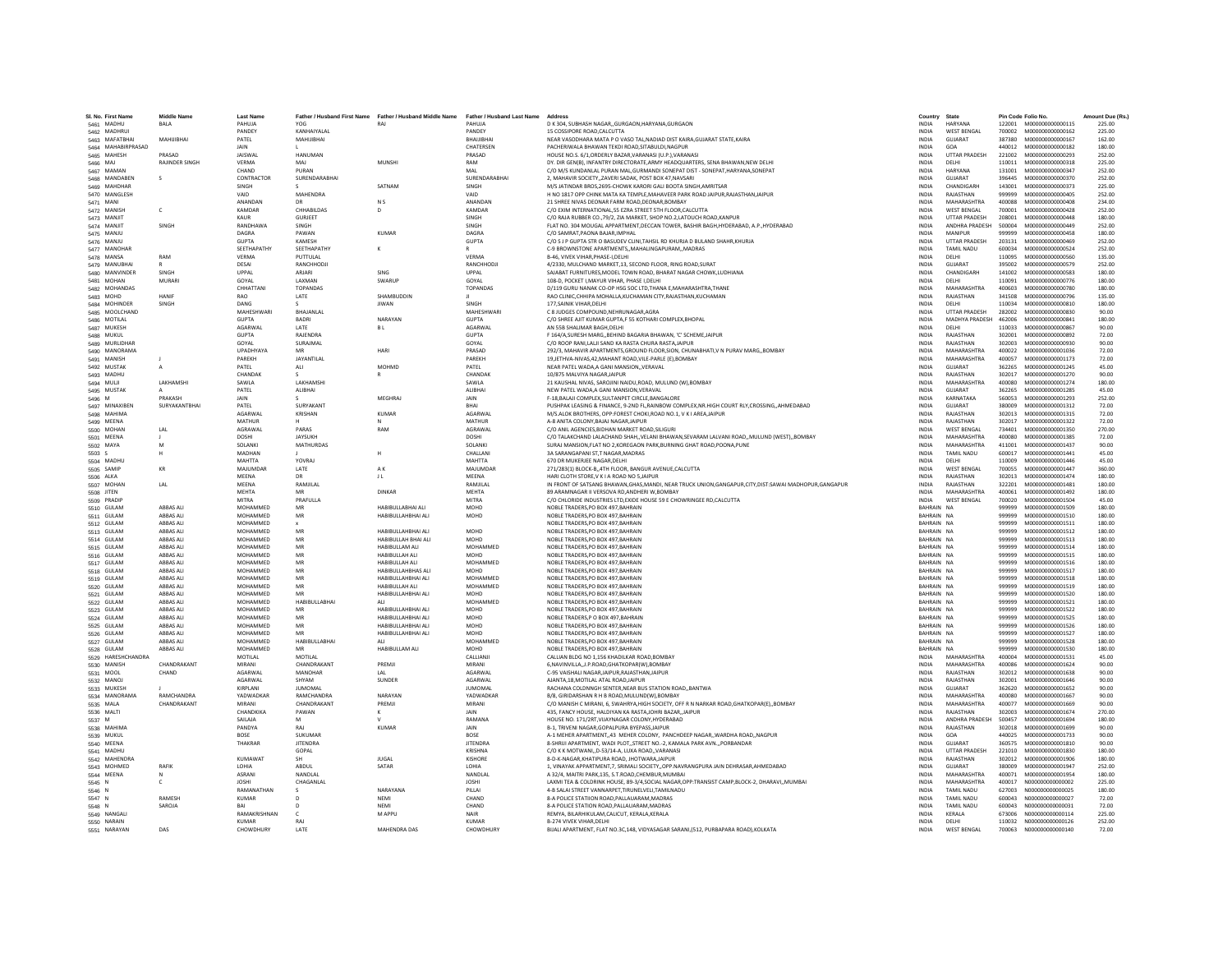| SL No. First Name            | <b>Middle Name</b>                   | <b>Last Name</b>            |                            |                                                                                            |                               | Address                                                                                                                                                      | Country                      | State                            |                  | Pin Code Folio No.                   | Amount Due (Rs.) |
|------------------------------|--------------------------------------|-----------------------------|----------------------------|--------------------------------------------------------------------------------------------|-------------------------------|--------------------------------------------------------------------------------------------------------------------------------------------------------------|------------------------------|----------------------------------|------------------|--------------------------------------|------------------|
| 5461 MADHU                   | BALA                                 | PAHUJA                      | YOG                        | Father / Husband First Name Father / Husband Middle Name Father / Husband Last Name<br>RAI | PAHUJA                        | D K 304, SUBHASH NAGAR,, GURGAON, HARYANA, GURGAON                                                                                                           | <b>INDIA</b>                 | HARYANA                          |                  | 122001 M000000000000115              | 225.00           |
| 5462 MADHRUI                 |                                      | PANDEY                      | KANHAIYAI AI               |                                                                                            | PANDEY                        | 15 COSSIPORE ROAD CALCUTTA                                                                                                                                   | <b>INDIA</b>                 | <b>WEST RENGAL</b>               |                  | 700002  M000000000000162             | 225.00           |
| 5463 MAFATBHA                | MAHUIBHA                             | PATEL                       | MAHIJIBHAI                 |                                                                                            | BHAUIBHAI                     | NEAR VASODHARA MATA P O VASO TAL, NADIAD DIST KAIRA, GUJARAT STATE, KAIRA                                                                                    | <b>INDIA</b>                 | GUJARAT                          | 387380           | M000000000000167                     | 162.00           |
| 5464 MAHABIRPRASAD           |                                      | JAIN                        |                            |                                                                                            | CHATERSEN                     | PACHERIWALA BHAWAN TEKDI ROAD, SITABULDI, NAGPUR                                                                                                             | INDIA                        | GOA                              | 440012           | M000000000000182                     | 180.00           |
| 5465 MAHESH                  | PRASAD                               | <b>JAISWAI</b>              | <b>HANUMAN</b>             |                                                                                            | PRASAD                        | HOUSE NO.S. 6/1.ORDERLY BAZAR.VARANASI (U.P.).VARANASI                                                                                                       | <b>INDIA</b>                 | <b>UTTAR PRADESH</b>             | 221002           | M000000000000293                     | 252.00           |
| 5466 MAJ<br>5467 MAMAN       | RAJINDER SINGH                       | <b>VERMA</b><br>CHAND       | MAJ<br>PURAN               | MUNSHI                                                                                     | RAM<br>MAI                    | DY, DIR GEN(B), INFANTRY DIRECTORATE.ARMY HEADQUARTERS, SENA BHAWAN.NEW DELHI<br>C/O M/S KUNDANLAL PURAN MAL.GURMANDI SONEPAT DIST - SONEPAT.HARYANA.SONEPAT | <b>INDIA</b><br><b>INDIA</b> | DELHI<br>HARYANA                 | 110011<br>131001 | M000000000000318<br>M000000000000347 | 225.00<br>252.00 |
| 5468 MANDABEN                | s                                    | CONTRACTOR                  | SURENDARABHA               |                                                                                            | SURENDARABHAI                 | 2, MAHAVIR SOCIETY, ZAVERI SADAK, POST BOX 47, NAVSARI                                                                                                       | INDIA                        | GUJARAT                          | 396445           | M00000000000370                      | 252.00           |
| 5469 MAHDHAR                 |                                      | SINGH                       |                            | SATNAM                                                                                     | SINGH                         | M/S JATINDAR BROS.2695-CHOWK KARORI GALI BOOTA SINGH.AMRITSAR                                                                                                | <b>INDIA</b>                 | CHANDIGARH                       | 143001           | M000000000000373                     | 225.00           |
| 5470 MANGLESH                |                                      | VAID                        | MAHENDRA                   |                                                                                            | VAID                          | H NO 1817 OPP CHINK MATA KA TEMPLE.MAHAVEER PARK ROAD JAIPUR.RAJASTHAN.JAIPUR                                                                                | <b>INDIA</b>                 | RAJASTHAN                        | 999999           | M000000000000405                     | 252.00           |
| 5471 MANI                    |                                      | ANANDAN                     | DR                         | N <sub>S</sub>                                                                             | ANANDAN                       | 21 SHREE NIVAS DEONAR FARM ROAD DEONAR ROMRAY                                                                                                                | <b>INDIA</b>                 | MAHARASHTRA                      | 400088           | M000000000000408                     | 234.00           |
| 5472 MANISH                  | $\mathsf{c}$                         | KAMDAR                      | CHHABILDAS                 | D                                                                                          | KAMDAR                        | C/O EXIM INTERNATIONAL, 55 EZRA STREET STH FLOOR, CALCUTTA                                                                                                   | INDIA                        | <b>WEST BENGAL</b>               | 700001           | M000000000000428                     | 252.00           |
| 5473 MANJIT                  |                                      | KAUR<br>RANDHAWA            | <b>GURJEET</b>             |                                                                                            | SINGH                         | C/O RAJA RUBBER CO., 79/2, ZIA MARKET, SHOP NO.2. LATOUCH ROAD.KANPUR                                                                                        | <b>INDIA</b>                 | <b>UTTAR PRADESH</b>             | 208001           | M000000000000448<br>M000000000000449 | 180.00           |
| 5474 MANJIT<br>5475 MANJU    | SINGH                                | DAGRA                       | SINGH<br>PAWAN             | KUMAR                                                                                      | SINGH<br>DAGRA                | FLAT NO. 304 MOUGAL APPARTMENT, DECCAN TOWER, BASHIR BAGH, HYDERABAD, A.P., HYDERABAD<br>C/O SAMRAT PAONA RAIAR IMPHAL                                       | INDIA<br><b>INDIA</b>        | ANDHRA PRADESH<br>MANIPUR        | 500004<br>999999 | M000000000000458                     | 252.00<br>180.00 |
| 5476 MANJU                   |                                      | <b>GUPTA</b>                | KAMFSH                     |                                                                                            | <b>GUPTA</b>                  | C/O S J P GUPTA STR O BASUDEV CLINI, TAHSIL RD KHURJA D BULAND SHAHR, KHURJA                                                                                 | <b>INDIA</b>                 | <b>UTTAR PRADESH</b>             | 203131           | M000000000000469                     | 252.00           |
| 5477 MANOHAR                 |                                      | SEETHAPATHY                 | SEETHAPATHY                |                                                                                            |                               | C-9 BROWNSTONE APARTMENTS,, MAHALINGAPURAM,, MADRAS                                                                                                          | INDIA                        | TAMIL NADU                       | 600034           | M000000000000524                     | 252.00           |
| 5478 MANSA                   | RAM                                  | VERMA                       | PUTTULAL                   |                                                                                            | VERMA                         | B-46, VIVEK VIHAR, PHASE-I, DELHI                                                                                                                            | <b>INDIA</b>                 | DELHI                            | 110095           | M000000000000560                     | 135.00           |
| 5479 MANUBHAI                |                                      | DESAI                       | RANCHHODJI                 |                                                                                            | RANCHHODJI                    | 4/2330, MULCHAND MARKET.13, SECOND FLOOR, RING ROAD, SURAT                                                                                                   | <b>INDIA</b>                 | GUJARAT                          | 395002           | M000000000000579                     | 252.00           |
| 5480 MANVINDER               | SINGH                                | LIPPAL                      | <b>ARIARI</b>              | SING                                                                                       | <b>UPPAL</b>                  | SAJABAT FURNITURES.MODEL TOWN ROAD, BHARAT NAGAR CHOWK.LUDHIANA                                                                                              | <b>INDIA</b>                 | CHANDIGARH                       | 141002           | M000000000000583                     | 180.00           |
| 5481 MOHAN                   | <b>MURARI</b>                        | GOYAL<br>CHHATTAN           | LAXMAN<br><b>TOPANDAS</b>  | SWARUP                                                                                     | GOYAL<br><b>TOPANDAS</b>      | 108-D, POCKET I, MAYUR VIHAR, PHASE I, DELHI<br>D/119 GURU NANAK CO-OP HSG SOC LTD.THANA E.MAHARASHTRA.THANE                                                 | INDIA<br><b>INDIA</b>        | DELHI<br>MAHARASHTRA             | 110091<br>400603 | M00000000000776<br>M00000000000780   | 180.00<br>180.00 |
| 5482 MOHANDAS<br>5483 MOHD   | <b>HANIF</b>                         | RAO                         | LATE                       | SHAMBUDDIN                                                                                 |                               | RAO CLINIC, CHHIPA MOHALLA, KUCHAMAN CITY, RAJASTHAN, KUCHAMAN                                                                                               | INDIA                        | RAJASTHAN                        | 341508           | M00000000000796                      | 135.00           |
| 5484 MOHINDER                | SINGH                                | DANG                        |                            | <b>IIWAN</b>                                                                               | <b>SINGH</b>                  | 177 SAINIK VIHAR DELHI                                                                                                                                       | <b>INDIA</b>                 | DELHI                            | 110034           | M000000000000810                     | 180.00           |
| 5485 MOOLCHAND               |                                      | MAHESHWARI                  | <b>RHAIANI AI</b>          |                                                                                            | MAHESHWARI                    | C 8 JUDGES COMPOUND, NEHRUNAGAR, AGRA                                                                                                                        | <b>INDIA</b>                 | <b>UTTAR PRADESH</b>             | 282002           | M000000000000830                     | 90.00            |
| 5486 MOTILAL                 |                                      | <b>GUPTA</b>                | <b>BADRI</b>               | NARAYAN                                                                                    | <b>GUPTA</b>                  | C/O SHREE AJIT KUMAR GUPTA,F 55 KOTHARI COMPLEX, BHOPAL                                                                                                      | <b>INDIA</b>                 | MADHYA PRADESH                   | 462006           | M000000000000841                     | 180.00           |
| 5487 MUKESH                  |                                      | AGARWAL                     | LATE                       | <b>BL</b>                                                                                  | AGARWAL                       | AN 55B SHALIMAR BAGH, DELHI                                                                                                                                  | INDIA                        | DELHI                            | 110033           | M000000000000867                     | 90.00            |
| <b>5488 MUKUL</b>            |                                      | GUPTA                       | RAIFNDRA                   |                                                                                            | <b>GUPTA</b>                  | F 164/A SURESH MARG, REHIND RAGARIA RHAWAN, 'C' SCHEME JAIPUR                                                                                                | <b>INDIA</b>                 | RAIASTHAN                        | 302001           | M000000000000892                     | 72.00            |
| 5489 MURLIDHAF               |                                      | GOYAL<br>LIPADHYAYA         | SURAIMAL<br>MR             | HARI                                                                                       | GOYAL<br>PRASAD               | C/O ROOP RANI.LALII SAND KA RASTA CHURA RASTA JAIPUR                                                                                                         | <b>INDIA</b><br><b>INDIA</b> | RAIASTHAN<br>MAHARASHTRA         | 302003<br>400022 | M000000000000930<br>M000000000001036 | 90.00<br>72.00   |
| 5490 MANORAMA<br>5491 MANISH |                                      | PAREKH                      | <b>JAYANTILAI</b>          |                                                                                            | PAREKH                        | 292/3, MAHAVIR APARTMENTS, GROUND FLOOR, SION, CHUNABHATI, V N PURAV MARG,, BOMBAY<br>19.JETHVA-NIVAS.42.MAHANT ROAD.VILE-PARLE (E).BOMBAY                   | <b>INDIA</b>                 | MAHARASHTRA                      | 400057           | M00000000001173                      | 72.00            |
| 5492 MUSTAK                  | $\overline{A}$                       | PATEL                       | ALI                        | MOHMD                                                                                      | PATEL                         | NEAR PATEL WADA, A GANI MANSION, VERAVAL                                                                                                                     | INDIA                        | GUJARAT                          | 362265           | M00000000001245                      | 45.00            |
| 5493 MADHU                   |                                      | CHANDAK                     |                            |                                                                                            | CHANDAK                       | 10/875 MAI VIYA NAGAR JAIPUR                                                                                                                                 | <b>INDIA</b>                 | RAIASTHAN                        | 302017           | M000000000001270                     | 90.00            |
| 5494 MULJI                   | LAKHAMSHI                            | SAWLA                       | <b>LAKHAMSH</b>            |                                                                                            | SAWLA                         | 21 KAUSHAL NIVAS, SAROJINI NAIDU,ROAD, MULUND (W),BOMBAY                                                                                                     | INDIA                        | MAHARASHTRA                      | 400080           | M00000000001274                      | 180.00           |
| 5495 MUSTAK                  |                                      | PATEL                       | ALIBHAI                    |                                                                                            | ALIBHAI                       | NEW PATEL WADA.A GANI MANSION.VERAVAL                                                                                                                        | <b>INDIA</b>                 | GUJARAT                          | 362265           | M000000000001285                     | 45.00            |
| 5496 M                       | PRAKASH                              | JAIN                        |                            | MEGHRAJ                                                                                    | JAIN                          | F-18, BALAJI COMPLEX, SULTANPET CIRCLE, BANGALORE                                                                                                            | INDIA                        | KARNATAKA                        | 560053           | M000000000001293                     | 252.00           |
| 5497 MINAXIBEN               | SURYAKANTRHAI                        | PATFI<br><b>AGARWAL</b>     | <b>SURYAKANT</b>           | KUMAR                                                                                      | <b>RHAI</b><br><b>AGARWAI</b> | PUSHPAK LEASING & FINANCE, 9-2ND FL.RAINBOW COMPLEX.NR.HIGH COURT RLY.CROSSINGAHMEDABAD                                                                      | <b>INDIA</b><br><b>INDIA</b> | GUIARAT<br>RAIASTHAN             | 380009<br>302013 | M000000000001312                     | 72.00            |
| 5498 MAHIMA<br>5499 MEENA    |                                      | MATHUR                      | KRISHAN                    |                                                                                            | MATHUR                        | M/S.ALOK BROTHERS, OPP:FOREST CHOKI,ROAD NO.1, V K I AREA,JAIPUR<br>A-8 ANITA COLONY, BAJAJ NAGAR, JAIPUR                                                    | <b>INDIA</b>                 | RAJASTHAN                        | 302017           | M000000000001315<br>M000000000001322 | 72.00<br>72.00   |
| 5500 MOHAN                   | LAL                                  | AGRAWAL                     | PARAS                      | RAM                                                                                        | AGRAWAL                       | C/O ANIL AGENCIES.BIDHAN MARKET ROAD.SILIGURI                                                                                                                | <b>INDIA</b>                 | <b>WEST BENGAL</b>               | 734401           | M00000000001350                      | 270.00           |
| 5501 MEENA                   |                                      | DOSHI                       | <b>JAYSUKH</b>             |                                                                                            | DOSHI                         | C/O TALAKCHAND LALACHAND SHAH, VELANI BHAWAN, SEVARAM LALVANI ROAD, MULUND (WEST), BOMBAY                                                                    | <b>INDIA</b>                 | MAHARASHTRA                      | 400080           | M000000000001385                     | 72.00            |
| 5502 MAYA                    | M                                    | SOLANKI                     | MATHURDAS                  |                                                                                            | SOLANKI                       | SURAJ MANSION, FLAT NO 2, KOREGAON PARK, BURNING GHAT ROAD, POONA, PUNE                                                                                      | <b>INDIA</b>                 | MAHARASHTRA                      | 411001           | M000000000001437                     | 90.00            |
| 5503 S                       |                                      | MADHAN                      |                            |                                                                                            | CHALLANI                      | 3A SARANGAPANI ST.T NAGAR.MADRAS                                                                                                                             | <b>INDIA</b>                 | <b>TAMIL NADU</b>                | 600017           | M000000000001441                     | 45.00            |
| 5504 MADHU                   |                                      | MAHTTA                      | YOVRAJ                     |                                                                                            | MAHTTA                        | 670 DR MUKERJEE NAGAR.DELHI                                                                                                                                  | <b>INDIA</b>                 | DELHI                            | 110009           | M00000000001446                      | 45.00            |
| 5505 SAMIP                   | KR                                   | MAJUMDAR                    | LATE                       | A <sub>K</sub>                                                                             | MAJUMDAR                      | 271/283(1) BLOCK-B,,4TH FLOOR, BANGUR AVENUE,CALCUTTA                                                                                                        | INDIA                        | <b>WEST BENGAL</b>               | 700055           | M000000000001447                     | 360.00           |
| 5506 ALKA                    | LAL                                  | <b>MEENA</b><br>MEENA       | DR<br>RAMJILAL             | J L                                                                                        | <b>MEENA</b><br>RAMJILAL      | HARI CLOTH STORE V K I A ROAD NO 5 JAIPUR                                                                                                                    | <b>INDIA</b><br><b>INDIA</b> | RAJASTHAN<br>RAJASTHAN           | 302013<br>322201 | M000000000001474<br>M000000000001481 | 180.00<br>180.00 |
| 5507 MOHAN<br>5508 JITEN     |                                      | <b>MEHTA</b>                | MR                         | <b>DINKAR</b>                                                                              | <b>MEHTA</b>                  | IN FRONT OF SATSANG BHAWAN, GHAS, MANDI, NEAR TRUCK UNION, GANGAPUR, CITY, DIST: SAWAI MADHOPUR, GANGAPUR<br>89 ARAMNAGAR II VERSOVA RD, ANDHERI W, BOMBAY   | INDIA                        | MAHARASHTRA                      | 400061           | M00000000001492                      | 180.00           |
| 5509 PRADIP                  |                                      | <b>MITRA</b>                | PRAFULLA                   |                                                                                            | <b>MITRA</b>                  | C/O CHLORIDE INDUSTRIES LTD, EXIDE HOUSE 59 E CHOWRINGEE RD, CALCUTTA                                                                                        | <b>INDIA</b>                 | <b>WEST BENGAL</b>               | 700020           | M000000000001504                     | 45.00            |
| 5510 GULAM                   | <b>ABBAS ALI</b>                     | MOHAMMED                    | MR                         | HABIBULLABHAI ALI                                                                          | MOHD                          | NOBLE TRADERS.PO BOX 497.BAHRAIN                                                                                                                             | BAHRAIN NA                   |                                  | 999999           | M000000000001509                     | 180.00           |
| 5511 GULAM                   | ABBAS ALI                            | MOHAMMED                    | MR                         | HABIBULLAHBHAI ALI                                                                         | MOHD                          | NOBLE TRADERS.PO BOX 497.BAHRAIN                                                                                                                             | BAHRAIN NA                   |                                  | 999999           | M000000000001510                     | 180.00           |
| 5512 GULAM                   | ABBAS ALI                            | MOHAMMED                    |                            |                                                                                            |                               | NOBLE TRADERS, PO BOX 497, BAHRAIN                                                                                                                           | BAHRAIN NA                   |                                  | 999999           | M00000000001511                      | 180.00           |
| 5513 GULAM                   | <b>ABBAS ALI</b>                     | MOHAMMED                    | MR                         | HABIBULLAHBHAI ALI                                                                         | MOHD                          | NOBLE TRADERS, PO BOX 497, BAHRAIN                                                                                                                           | BAHRAIN NA                   |                                  | 999999           | M000000000001512                     | 180.00           |
| 5514 GULAM                   | <b>ABBAS ALI</b><br><b>ABBAS ALI</b> | <b>MOHAMMED</b><br>MOHAMMED | MR<br>MR                   | HABIBULLAH BHAI ALI<br>HABIBULLAM ALI                                                      | <b>MOHD</b><br>MOHAMMED       | NOBLE TRADERS.PO BOX 497.BAHRAIN<br>NOBLE TRADERS.PO BOX 497.BAHRAIN                                                                                         | BAHRAIN NA<br>BAHRAIN NA     |                                  | 999999<br>999999 | M000000000001513<br>M000000000001514 | 180.00<br>180.00 |
| 5515 GULAM<br>5516 GULAM     | ABBAS ALI                            | MOHAMMED                    | MR                         | HABIBULLAH ALI                                                                             | <b>MOHD</b>                   | NOBLE TRADERS, PO BOX 497, BAHRAIN                                                                                                                           | BAHRAIN NA                   |                                  | 999999           | M00000000001515                      | 180.00           |
| 5517 GULAM                   | ABBAS ALI                            | MOHAMMED                    | MR                         | HABIBULLAH ALI                                                                             | MOHAMMED                      | NOBLE TRADERS, PO BOX 497, BAHRAIN                                                                                                                           | BAHRAIN NA                   |                                  | 999999           | M000000000001516                     | 180.00           |
| 5518 GULAM                   | ABBAS ALI                            | MOHAMMED                    | MR                         | HABIBULLAHBHAS ALI                                                                         | MOHD                          | NOBLE TRADERS, PO BOX 497, BAHRAIN                                                                                                                           | BAHRAIN NA                   |                                  | 999999           | M00000000001517                      | 180.00           |
| 5519 GULAM                   | <b>ABBAS ALI</b>                     | <b>MOHAMMED</b>             | MR                         | HABIBULLAHBHAI ALI                                                                         | MOHAMMED                      | NOBLE TRADERS.PO BOX 497.BAHRAIN                                                                                                                             | BAHRAIN NA                   |                                  | 999999           | M000000000001518                     | 180.00           |
| 5520 GULAM                   | ABBAS ALI                            | MOHAMMED                    | MR                         | HABIBULLAH ALI                                                                             | MOHAMMED                      | NOBLE TRADERS, PO BOX 497, BAHRAIN                                                                                                                           | BAHRAIN NA                   |                                  | 999999           | M00000000001519                      | 180.00           |
| 5521 GULAM                   | ABBAS ALI                            | MOHAMMED                    | MR                         | HABIBULLAHBHAI ALI                                                                         | MOHD                          | NOBLE TRADERS, PO BOX 497, BAHRAIN                                                                                                                           | BAHRAIN NA                   |                                  | 999999           | M00000000001520                      | 180.00           |
| 5522 GULAM<br>5523 GULAM     | ABBAS ALI<br><b>ABBAS ALI</b>        | MOHAMMED<br>MOHAMMED        | <b>HABIBULLABHAI</b><br>MR | HABIBULLAHBHAI ALI                                                                         | MOHAMMED<br>MOHD              | NOBLE TRADERS, PO BOX 497, BAHRAIN<br>NOBLE TRADERS.PO BOX 497.BAHRAIN                                                                                       | BAHRAIN NA<br>BAHRAIN NA     |                                  | 999999<br>999999 | M00000000001521<br>M000000000001522  | 180.00<br>180.00 |
| 5524 GULAM                   | <b>ABBAS ALI</b>                     | MOHAMMED                    | MR                         | HABIBULLAHBHAI ALI                                                                         | MOHD                          | NOBLE TRADERS.P O BOX 497.BAHRAIN                                                                                                                            | BAHRAIN NA                   |                                  | 999999           | M00000000001525                      | 180.00           |
| 5525 GULAM                   | <b>ABBAS ALI</b>                     | MOHAMMED                    | MR                         | HABIBULLAHBHAI ALI                                                                         | MOHD                          | NOBLE TRADERS, PO BOX 497, BAHRAIN                                                                                                                           | BAHRAIN NA                   |                                  | 999999           | M00000000001526                      | 180.00           |
| 5526 GULAM                   | ABBAS ALI                            | MOHAMMED                    | MR                         | HABIBULLAHBHAI ALI                                                                         | MOHD                          | NOBLE TRADERS, PO BOX 497, BAHRAIN                                                                                                                           | BAHRAIN NA                   |                                  | 999999           | M000000000001527                     | 180.00           |
| 5527 GULAM                   | <b>ARRAS ALL</b>                     | <b>MOHAMMED</b>             | <b>HABIBULLABHAI</b>       | AI I                                                                                       | MOHAMMED                      | NOBLE TRADERS.PO BOX 497.BAHRAIN                                                                                                                             | RAHRAIN NA                   |                                  | 999999           | M000000000001528                     | 180.00           |
| 5528 GULAM                   | <b>ABBAS ALI</b>                     | MOHAMMED                    | MR                         | HABIBULLAM ALI                                                                             | <b>MOHD</b>                   | NOBLE TRADERS.PO BOX 497.BAHRAIN                                                                                                                             | BAHRAIN NA                   |                                  | 999999           | M000000000001530                     | 180.00           |
| 5529 HARESHCHANDRA           |                                      | MOTIL AL<br>MIRANI          | MOTILAL                    |                                                                                            | CALLIANIL<br>MIRANI           | CALLIAN BLDG NO 1.156 KHADILKAR ROAD.BOMBAY                                                                                                                  | <b>INDIA</b>                 | MAHARASHTRA                      | 400004           | M000000000001531                     | 45.00            |
| 5530 MANISH<br>5531 MOOL     | CHANDRAKANT<br>CHAND                 | AGARWAL                     | CHANDRAKANT<br>MANOHAR     | PREMJI                                                                                     | AGARWAL                       | 6, NAVINVILLA, , J.P. ROAD, GHATKOPAR(W), BOMBAY<br>C-95 VAISHALI NAGAR, JAIPUR, RAJASTHAN, JAIPUR                                                           | INDIA<br>INDIA               | MAHARASHTRA<br>RAJASTHAN         | 400086<br>302012 | M000000000001624<br>M000000000001638 | 90.00<br>90.00   |
| 5532 MANOJ                   |                                      | AGARWAL                     | SHYAM                      | SUNDER                                                                                     | AGARWAL                       | AJANTA.18, MOTILAL ATAL ROAD.JAIPUR                                                                                                                          | <b>INDIA</b>                 | RAJASTHAN                        | 302001           | M000000000001646                     | 90.00            |
| 5533 MUKESH                  |                                      | KIRPLANI                    | <b>JUMOMAL</b>             |                                                                                            | <b>JUMOMAL</b>                | RACHANA COLDNNGH SENTER, NEAR BUS STATION ROAD, BANTWA                                                                                                       | <b>INDIA</b>                 | GUJARAT                          | 362620           | M00000000001652                      | 90.00            |
| 5534 MANORAMA                | RAMCHANDRA                           | YADWADKAR                   | RAMCHANDRA                 | NARAYAN                                                                                    | YADWADKAR                     | B/8, GIRIDARSHAN R H B ROAD, MULUND(W), BOMBAY                                                                                                               | <b>INDIA</b>                 | MAHARASHTRA                      | 400080           | M00000000001667                      | 90.00            |
| 5535 MALA                    | CHANDRAKANT                          | MIRANI                      | CHANDRAKANT                | PREMJI                                                                                     | MIRANI                        | C/O MANISH C MIRANI, 6, SWAHRYA, HIGH SOCIETY, OFF R N NARKAR ROAD, GHATKOPAR(E),, BOMBAY                                                                    | INDIA                        | <b>MAHARASHTRA</b>               | 400077           | M000000000001669                     | 90.00            |
| 5536 MALTI                   |                                      | <b>CHANDKIKA</b>            | PAWAN                      | к                                                                                          | <b>JAIN</b>                   | 435. FANCY HOUSE. HALDIYAN KA RASTAJOHRI BAZAR. JAIPUR                                                                                                       | <b>INDIA</b>                 | RAJASTHAN                        | 302003           | M000000000001674                     | 270.00           |
| 5537 M                       |                                      | SAILAJA<br>PANDYA           | M<br>RAI                   | <b>KUMAR</b>                                                                               | RAMANA<br><b>JAIN</b>         | HOUSE NO. 171/2RT.VIJAYNAGAR COLONY.HYDERABAD                                                                                                                | <b>INDIA</b>                 | ANDHRA PRADESH<br>RAJASTHAN      | 500457<br>302018 | M000000000001694<br>M00000000001699  | 180.00           |
| 5538 MAHIMA<br>5539 MUKUL    |                                      | <b>BOSE</b>                 | SUKUMAF                    |                                                                                            | BOSE                          | B-1, TRIVENI NAGAR, GOPALPURA BYEPASS, JAIPUR<br>A-1 MEHER APARTMENT,,43 MEHER COLONY, PANCHDEEP NAGAR,, WARDHA ROAD,, NAGPUR                                | INDIA<br>INDIA               | GOA                              | 440025           | M000000000001733                     | 90.00<br>90.00   |
| 5540 MEENA                   |                                      | THAKRAR                     | <b>JITENDRA</b>            |                                                                                            | <b>JITENDRA</b>               | 8-SHRIJI APARTMENT, WADI PLOTSTREET NO.-2, KAMALA PARK AVNPORBANDAR                                                                                          | <b>INDIA</b>                 | GUJARAT                          | 360575           | M000000000001810                     | 90.00            |
| 5541 MADHU                   |                                      |                             | GOPAL                      |                                                                                            | KRISHNA                       | C/O K K MOTWANID-53/14-A. LUXA ROADVARANASI                                                                                                                  | <b>INDIA</b>                 | <b>UTTAR PRADESH</b>             | 221010           | M000000000001830                     | 180.00           |
| 5542 MAHENDRA                |                                      | KUMAWAT                     | <b>SH</b>                  | <b>ILIGAL</b>                                                                              | KISHORE                       | 8-D-K-NAGAR KHATIPURA ROAD, IHOTWARA JAIPUR                                                                                                                  | <b>INDIA</b>                 | RAIASTHAN                        | 302012           | M000000000001906                     | 180.00           |
| 5543 MOHMED                  | RAFIK                                | LOHIA                       | ABDUL                      | SATAR                                                                                      | LOHIA                         | 1, VINAYAK APPARTMENT, 7, SRIMALI SOCIETY, OPP.NAVRANGPURA JAIN DEHRASAR, AHMEDABAD                                                                          | INDIA                        | GUJARAT                          | 380009           | M000000000001947                     | 252.00           |
| 5544 MEENA                   |                                      | ASRANI                      | NANDLAI                    |                                                                                            | NANDLAL                       | A 32/4, MAITRI PARK,135, S.T.ROAD,CHEMBUR,MUMBA                                                                                                              | INDIA                        | <b>MAHARASHTRA</b>               | 400071           | M000000000001954                     | 180.00           |
| 5545 N                       |                                      | <b>JOSHI</b><br>RAMANATHAN  | CHAGANLAI                  | NARAYANA                                                                                   | <b>JOSHI</b><br>PILLAI        | LAXMI TEA & COLDRINK HOUSE, 89-3/4.SOCIAL NAGAR.OPP:TRANSIST CAMP.BLOCK-2, DHARAVI.,MUMBAI                                                                   | <b>INDIA</b><br><b>INDIA</b> | MAHARASHTRA<br><b>TAMIL NADU</b> | 400017<br>627003 | N00000000000002<br>N000000000000025  | 225.00<br>180.00 |
| 5546 N<br>5547 N             | RAMESH                               | <b>KUMAR</b>                |                            | NFMI                                                                                       | CHAND                         | 4-B SALAI STREET VANNARPET, TIRUNELVELI, TAMILNADU<br>8-A POLICE STATIION ROAD, PALLAUARAM, MADRAS                                                           | <b>INDIA</b>                 | <b>TAMIL NADU</b>                | 600043           | N00000000000027                      | 72.00            |
| 5548 N                       | SAROJA                               | BAI                         |                            | NEMI                                                                                       | CHAND                         | 8-A POLICE STATION ROAD, PALLAUARAM, MADRAS                                                                                                                  | INDIA                        | TAMIL NADU                       | 600043           | N000000000000031                     | 72.00            |
| 5549 NANGALI                 |                                      | RAMAKRISHNAN                |                            | M APPU                                                                                     | NAIR                          | REMYA, BILARHIKULAM, CALICUT, KERALA, KERALA                                                                                                                 | <b>INDIA</b>                 | KERALA                           | 673006           | N000000000000114                     | 225.00           |
| 5550 NARAIN                  |                                      | <b>KUMAR</b>                | RAI                        |                                                                                            | <b>KUMAR</b>                  | <b>B-274 VIVEK VIHAR DELHI</b>                                                                                                                               | <b>INDIA</b>                 | DELHI                            |                  | 110032 N000000000000126              | 252.00           |
| 5551 NARAYAN                 | DAS                                  | CHOWDHURY                   | <b>LATE</b>                | <b>MAHENDRA DAS</b>                                                                        | CHOWDHURY                     | BIJALI APARTMENT, FLAT NO.3C,148, VIDYASAGAR SARANI, (512, PURBAPARA ROAD), KOLKATA                                                                          | <b>INDIA</b>                 | <b>WEST BENGAL</b>               |                  | 700063 N000000000000140              | 72.00            |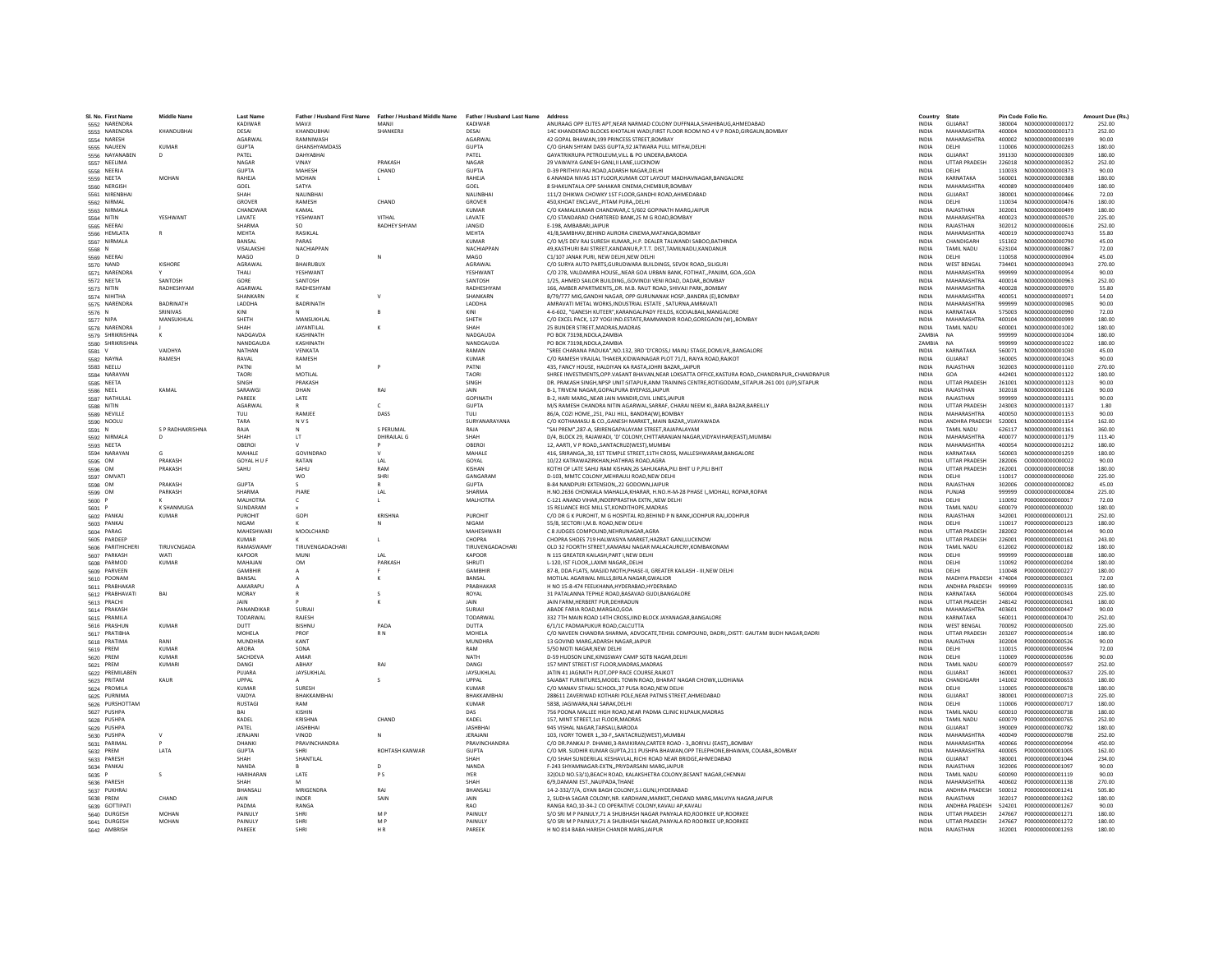| SI, No. First Name<br>5552 NARENDRA | <b>Middle Name</b>           | <b>Last Name</b>   | Father / Husband First Name | Father / Husband Middle Name<br>MANJI | Father / Husband Last Name Address<br>KADIWAR |                                                                                                                                                                  | Country<br><b>INDIA</b>      | State<br><b>GUJARAT</b>  |                  | Pin Code Folio No.<br>N000000000000172 | Amount Due (Rs.  |
|-------------------------------------|------------------------------|--------------------|-----------------------------|---------------------------------------|-----------------------------------------------|------------------------------------------------------------------------------------------------------------------------------------------------------------------|------------------------------|--------------------------|------------------|----------------------------------------|------------------|
| 5553 NARENDRA                       | KHANDURHAI                   | KADIWAR<br>DESAL   | ILVAM<br>KHANDURHAI         | SHANKERII                             | DESAL                                         | ANURAAG OPP ELITES APT, NEAR NARMAD COLONY DUFFNALA, SHAHIBAUG, AHMEDABAD<br>14C KHANDERAO BLOCKS KHOTALHI WADI, FIRST FLOOR ROOM NO 4 V P ROAD, GIRGAUN, BOMBAY | <b>INDIA</b>                 | MAHARASHTRA              | 380004<br>400004 | N000000000000173                       | 252.00<br>252.00 |
| 5554 NARESH                         |                              | <b>AGARWAL</b>     | RAMNIWASH                   |                                       | <b>AGARWAI</b>                                | 42 GOPAL BHAWAN.199 PRINCESS STREET.BOMBAY                                                                                                                       | <b>INDIA</b>                 | MAHARASHTRA              | 400002           | N000000000000199                       | 90.00            |
| 5555 NAUEEN                         | KUMAR                        | <b>GUPTA</b>       | GHANSHYAMDASS               |                                       | <b>GUPTA</b>                                  | C/O GHAN SHYAM DASS GUPTA,92 JATWARA PULL MITHAI, DELHI                                                                                                          | <b>INDIA</b>                 | <b>DELHI</b>             | 110006           | N000000000000263                       | 180.00           |
| 5556 NAYANABEN                      | D                            | PATEL              | DAHYABHAI                   |                                       | PATEL                                         | GAYATRIKRUPA PETROLEUM, VILL & PO UNDERA, BARODA                                                                                                                 | INDIA                        | GUJARAT                  | 391330           | N000000000000309                       | 180.00           |
| 5557 NEELIMA                        |                              | NAGAR              | VINAY                       | PRAKASH                               | NAGAR                                         | 29 VAWAIYA GANESH GANJ.II LANE.LUCKNOW                                                                                                                           | <b>INDIA</b>                 | <b>UTTAR PRADESH</b>     | 226018           | N000000000000352                       | 252.00           |
| 5558 NEERJA                         |                              | GUPTA              | <b>MAHFSH</b>               | CHAND                                 | <b>GUPTA</b>                                  | D-39 PRITHIVI RAI ROAD ADARSH NAGAR DELHI                                                                                                                        | <b>INDIA</b>                 | <b>DELHI</b>             | 110033           | N000000000000373                       | 90.00            |
| 5559 NEETA                          | <b>MOHAN</b>                 | RAHEJA             | <b>MOHAN</b>                |                                       | RAHEJA                                        | 6 ANANDA NIVAS 1ST FLOOR, KUMAR COT LAYOUT MADHAVNAGAR, BANGALORE                                                                                                | <b>INDIA</b>                 | KARNATAKA                | 560001           | N000000000000388                       | 180.00           |
| 5560 NERGISH                        |                              | GOEL               | SATYA                       |                                       | GOEL                                          | 8 SHAKUNTALA OPP SAHAKAR CINEMA.CHEMBUR.BOMBA                                                                                                                    | <b>INDIA</b>                 | MAHARASHTRA              | 400089           | N000000000000409                       | 180.00           |
| 5561 NIRENBHA                       |                              | SHAH               | NALINBHAI                   |                                       | NALINBHA                                      | 111/2 DHIKWA CHOWKY 1ST FLOOR GANDHI ROAD AHMEDABAD                                                                                                              | <b>INDIA</b>                 | GUJARAT                  | 380001           | N000000000000466                       | 72.00            |
| 5562 NIRMAL                         |                              | GROVER             | <b>RAMESH</b>               | CHAND                                 | GROVER                                        | 450.KHOAT ENCLAVEPITAM PURADELHI                                                                                                                                 | <b>INDIA</b>                 | <b>DELHI</b>             | 110034           | N000000000000476                       | 180.00           |
| 5563 NIRMALA                        |                              | CHANDWAI           | KAMAL                       |                                       | <b>KUMAR</b>                                  | C/O KAMALKUMAR CHANDWAR.C 5/602 GOPINATH MARGJAIPUR                                                                                                              | <b>INDIA</b>                 | RAJASTHAN                | 302001           | N000000000000499                       | 180.00           |
| 5564 NITIN                          | YESHWANT                     | LAVATE             | YESHWANT                    | VITHAL                                | LAVATE                                        | C/O STANDARAD CHARTERED BANK, 25 M G ROAD, BOMBAY                                                                                                                | <b>INDIA</b>                 | MAHARASHTRA              | 400023           | N000000000000570                       | 225.00           |
| 5565 NEERAL                         |                              | SHARMA             | SO.                         | <b>RADHEY SHYAM</b>                   | <b>JANGID</b>                                 | F-198 AMRARARI IAIPUR                                                                                                                                            | <b>INDIA</b>                 | RAJASTHAN                | 302012           | N000000000000616                       | 252.00           |
| 5566 HEMLATA                        |                              | MFHTA              | <b>RASIKI AI</b>            |                                       | <b>MFHTA</b>                                  | 41/8, SAMBHAV, BEHIND AURORA CINEMA, MATANGA, BOMBAY                                                                                                             | <b>INDIA</b>                 | MAHARASHTRA              | 400019           | N00000000000743                        | 55.80            |
|                                     |                              | BANSAL             | PARAS                       |                                       | KUMAR                                         | C/O M/S DEV RAJ SURESH KUMAR,, H.P. DEALER TALWANDI SABOO, BATHINDA                                                                                              | INDIA                        | CHANDIGARH               | 151302           | N000000000000790                       | 45.00            |
| 5567 NIRMALA                        |                              | <b>VISAI AKSHI</b> | NACHIAPPAN                  |                                       | NACHIAPPAN                                    | 49, KASTHURI BAI STREET, KANDANUR, P.T.T. DIST, TAMILNADU, KANDANUR                                                                                              | <b>INDIA</b>                 | TAMIL NADU               | 623104           | N000000000000867                       | 72.00            |
| 5568 N                              |                              | MAGO               |                             |                                       | MAGO                                          | C1/107 JANAK PURI. NEW DELHI.NEW DELHI                                                                                                                           | <b>INDIA</b>                 | DELHI                    | 110058           | N000000000000904                       | 45.00            |
| 5569 NEERAJ                         |                              | AGRAWAL            | <b>RHAIRURUX</b>            |                                       | AGRAWAL                                       |                                                                                                                                                                  |                              | <b>WEST BENGAL</b>       | 734401           | N000000000000943                       | 270.00           |
| 5570 NAND<br>5571 NARENDR           | KISHORE                      | THALI              | YESHWANT                    |                                       | <b>YESHWAN</b>                                | C/O SURYA AUTO PARTS, GURUDWARA BUILDINGS, SEVOK ROAD,, SILIGURI<br>C/O 278, VALDAMIRA HOUSE, NEAR GOA URBAN BANK, FOTIHAT, PANJIM, GOA., GOA                    | <b>INDIA</b><br>INDIA        | MAHARASHTRA              | 999999           | N000000000000954                       | 90.00            |
|                                     | SANTOSH                      | GORE               | SANTOSH                     |                                       | SANTOSH                                       |                                                                                                                                                                  | <b>INDIA</b>                 | MAHARASHTRA              | 400014           | N000000000000963                       | 252.00           |
| 5572 NEETA                          | RADHESHYAM                   | <b>AGARWAL</b>     | RADHESHYAM                  |                                       | RADHESHYAM                                    | 1/25, AHMED SAILOR BUILDING, GOVINDJI VENI ROAD, DADAR, BOMBAY<br>166. AMRER APARTMENTS, DR. M. R. RAUT ROAD, SHIVAII PARK, ROMRAY                               | <b>INDIA</b>                 | MAHARASHTRA              | 400028           | N000000000000970                       | 55.80            |
| 5573 NITIN                          |                              | SHANKARN           |                             |                                       | SHANKARN                                      |                                                                                                                                                                  | <b>INDIA</b>                 |                          | 400051           |                                        | 54.00            |
| 5574 NIHITHA                        |                              |                    |                             |                                       |                                               | B/79/777 MIG, GANDHI NAGAR, OPP GURUNANAK HOSP., BANDRA (E), BOMBAY                                                                                              |                              | MAHARASHTRA              |                  | N000000000000971                       |                  |
| 5575 NARENDRA                       | <b>BADRINATH</b><br>SRINIVAS | LADDHA             | BADRINATH                   |                                       | LADDHA                                        | AMRAVATI METAL WORKS.INDUSTRIAL ESTATE . SATURNA AMRAVAT                                                                                                         | <b>INDIA</b><br><b>INDIA</b> | MAHARASHTRA<br>KARNATAKA | 999999<br>575003 | N000000000000985<br>N000000000000990   | 90.00            |
| 5576 N                              |                              | KINI               |                             |                                       | KINI                                          | 4-6-602, "GANESH KUTEER", KARANGALPADY FEILDS, KODIALBAIL, MANGALORE                                                                                             |                              |                          |                  |                                        | 72.00            |
| 5577 NIPA                           | <b>MANSUKHLAI</b>            | SHETH              | <b>MANSUKHLAL</b>           |                                       | SHFTH                                         | C/O EXCEL PACK, 127 YOGI IND.ESTATE,RAMMANDIR ROAD,GOREGAON (W),,BOMBAY                                                                                          | <b>INDIA</b>                 | MAHARASHTRA              | 400104           | N000000000000999                       | 180.00           |
| 5578 NARENDRA                       |                              | SHAH               | JAYANTILAL                  |                                       | SHAH                                          | 25 BUNDER STREET, MADRAS, MADRAS                                                                                                                                 | <b>INDIA</b>                 | <b>TAMIL NADU</b>        | 600001           | N000000000001002                       | 180.00           |
| 5579 SHRIKRISHNA                    | к                            | <b>NADGAVDA</b>    | KASHINATH                   |                                       | NADGAUDA                                      | PO BOX 73198.NDOLA.ZAMBIA                                                                                                                                        | ZAMBIA                       | <b>NA</b>                | 999999           | N000000000001004                       | 180.00           |
| 5580 SHRIKRISHNA                    |                              | NANDGAUDA          | KASHINATH                   |                                       | NANDGAUDA                                     | PO BOX 73198.NDOLA.ZAMBIA                                                                                                                                        | ZAMBIA                       | <b>NA</b>                | 999999           | N000000000001022                       | 180.00           |
| 5581 V                              | VAIDHYA                      | <b>NATHAN</b>      | VENKATA                     |                                       | RAMAN                                         | "SREE CHARANA PADUKA", NO.132, 3RD 'D'CROSS, I MAIN, I STAGE, DOMLVR  BANGALORE                                                                                  | <b>INDIA</b>                 | KARNATAKA                | 560071           | N000000000001030                       | 45.00            |
| 5582 NAYNA                          | RAMESH                       | RAVAL              | RAMESH                      |                                       | KUMAR                                         | C/O RAMESH VRAJLAL THAKER, KIDWAINAGAR PLOT 71/1, RAIYA ROAD, RAJKOT                                                                                             | INDIA                        | <b>GUJARAT</b>           | 360005           | N000000000001043                       | 90.00            |
| 5583 NEELU                          |                              | PATNI              |                             |                                       | PATNI                                         | 435, FANCY HOUSE, HALDIYAN KA RASTA, JOHRI BAZAR, JAIPUR                                                                                                         | <b>INDIA</b>                 | RAJASTHAN                | 302003           | N000000000001110                       | 270.00           |
| 5584 NARAYAN                        |                              | <b>TAORI</b>       | MOTILAL                     |                                       | <b>TAORI</b>                                  | SHREE INVESTMENTS.OPP.VASANT BHAVAN.NEAR LOKSATTA OFFICE.KASTURA ROADCHANDRAPURCHANDRAPUR                                                                        | <b>INDIA</b>                 | GOA                      | 442401           | N000000000001122                       | 180.00           |
| 5585 NEETA                          |                              | <b>SINGH</b>       | PRAKASH                     |                                       | <b>SINGH</b>                                  | DR. PRAKASH SINGH, NPSP UNIT:SITAPUR, ANM TRAINING CENTRE, ROTIGODAM, , SITAPUR-261 001 (UP), SITAPUR                                                            | <b>INDIA</b>                 | <b>UTTAR PRADESH</b>     | 261001           | N000000000001123                       | 90.00            |
| 5586 NEEL                           | KAMAI                        | SARAWG             | DHAN                        | RAJ                                   | JAIN                                          | B-1. TRIVENI NAGAR.GOPALPURA BYEPASS.JAIPUR                                                                                                                      | <b>INDIA</b>                 | RAJASTHAN                | 302018           | N000000000001126                       | 90.00            |
| 5587 NATHULA                        |                              | PAREEK             | LATE                        |                                       | <b>GOPINATH</b>                               | B-2, HARI MARG, NEAR JAIN MANDIR, CIVIL LINES, JAIPUR                                                                                                            | <b>INDIA</b>                 | RAJASTHAN                | 999999           | N000000000001131                       | 90.00            |
| 5588 NITIN                          |                              | <b>AGARWAI</b>     |                             | $\epsilon$                            | <b>GUPTA</b>                                  | M/S RAMESH CHANDRA NITIN AGARWAL, SARRAF, CHARAI NEEM KI,, BARA BAZAR, BAREILLY                                                                                  | <b>INDIA</b>                 | <b>UTTAR PRADESH</b>     | 243003           | N000000000001137                       | 1.80             |
| 5589 NEVILLE                        |                              | TULL               | RAMIFF                      | DASS                                  | TULI                                          | 86/A, COZI HOME, 251, PALI HILL, BANDRA(W), BOMBAY                                                                                                               | <b>INDIA</b>                 | MAHARASHTRA              | 400050           | N000000000001153                       | 90.00            |
| 5590 NOOLU                          |                              | TARA               | NVS                         |                                       | SURYANARAYANA                                 | C/O KOTHAMASU & CO., GANESH MARKET, MAIN BAZAR, VIJAYAWADA                                                                                                       | <b>INDIA</b>                 | <b>ANDHRA PRADESH</b>    | 520001           | N000000000001154                       | 162.00           |
| 5591 N                              | S P RADHAKRISHNA             | RAJA               |                             | S PERUMAL                             | RAJA                                          | "SAI PREM",287-A, SRIRENGAPALAYAM STREET, RAJAPALAYAM                                                                                                            | <b>INDIA</b>                 | TAMIL NADU               | 626117           | N000000000001161                       | 360.00           |
| 5592 NIRMALA                        | D                            | SHAH               | <b>IT</b>                   | <b>DHIRAJLAL G</b>                    | SHAH                                          | D/4, BLOCK 29, RAJAWADI, 'D' COLONY, CHITTARANJAN NAGAR, VIDYAVIHAR(EAST), MUMBAI                                                                                | <b>INDIA</b>                 | MAHARASHTRA              | 400077           | N000000000001179                       | 113.40           |
| 5593 NEETA                          |                              | OBEROL             |                             |                                       | OBEROI                                        | 12, AARTI, V P ROAD,, SANTACRUZ(WEST), MUMBAI                                                                                                                    | <b>INDIA</b>                 | MAHARASHTRA              | 400054           | N000000000001212                       | 180.00           |
| 5594 NARAYAN                        |                              | MAHALE             | GOVINDRAO                   |                                       | MAHALE                                        | 416, SRIRANGA, 30, 1ST TEMPLE STREET, 11TH CROSS, MALLESHWARAM, BANGALORE                                                                                        | INDIA                        | KARNATAKA                | 560003           | N000000000001259                       | 180.00           |
| 5595 OM                             | PRAKASH                      | GOYAL H U F        | RATAN                       | LAL                                   | GOYAL                                         | 10/22 KATRAWAZIRKHAN.HATHRAS ROAD.AGRA                                                                                                                           | <b>INDIA</b>                 | <b>UTTAR PRADESH</b>     | 282006           | 0000000000000022                       | 90.00            |
| 5596 OM                             | PRAKASH                      | SAHU               | SAHU                        | RAM                                   | KISHAN                                        | KOTHI OF LATE SAHU RAM KISHAN.26 SAHUKARA, PILI BHIT U P.PILI BHIT                                                                                               | <b>INDIA</b>                 | <b>UTTAR PRADESH</b>     | 262001           | 0000000000000038                       | 180.00           |
| 5597 OMVATI                         |                              |                    | <b>WO</b>                   | <b>SHRI</b>                           | GANGARAM                                      | D-103, MMTC COLONY, MEHRAULI ROAD, NEW DELHI                                                                                                                     | <b>INDIA</b>                 | <b>DELHI</b>             | 110017           | 0000000000000060                       | 225.00           |
| 5598 OM                             | PRAKASH                      | <b>GUPTA</b>       |                             |                                       | <b>GUPTA</b>                                  | B-84 NANDPURI EXTENSION22 GODOWN.JAIPUF                                                                                                                          | <b>INDIA</b>                 | RAJASTHAN                | 302006           | 000000000000082                        | 45.00            |
| 5599 OM                             | PARKASH                      | SHARMA             | PIARE                       | IAI                                   | SHARMA                                        | H.NO.2636 CHONKALA MAHALLA, KHARAR, H.NO.H-M-28 PHASE I,, MOHALI, ROPAR, ROPAR                                                                                   | <b>INDIA</b>                 | PUNIAR                   | 999999           | 0000000000000084                       | 225.00           |
| 5600 P                              |                              | MAI HOTRA          | c.                          | $\mathbf{L}$                          | <b>MALHOTRA</b>                               | C-121 ANAND VIHAR.INDERPRASTHA EXTNNEW DELHI                                                                                                                     | <b>INDIA</b>                 | <b>DELHI</b>             | 110092           | P000000000000017                       | 72.00            |
| 5601 P                              | K SHANMUGA                   | SUNDARAM           |                             |                                       |                                               | 15 RELIANCE RICE MILL ST, KONDITHOPE, MADRAS                                                                                                                     | <b>INDIA</b>                 | <b>TAMIL NADLI</b>       | 600079           | P000000000000020                       | 180.00           |
| 5602 PANKAJ                         | <b>KUMAR</b>                 | PUROHIT            | GOPI                        | KRISHNA                               | PUROHIT                                       | C/O DR G K PUROHIT, M G HOSPITAL RD, BEHIND P N BANK, JODHPUR RAJ, JODHPUR                                                                                       | INDIA                        | RAJASTHAN                | 342001           | P000000000000121                       | 252.00           |
| 5603 PANKA                          |                              | NIGAM              |                             |                                       | <b>NIGAM</b>                                  | 55/8. SECTORI I.M.B. ROAD.NEW DELHI                                                                                                                              | <b>INDIA</b>                 | DELHI                    | 110017           | P000000000000123                       | 180.00           |
| 5604 PARAG                          |                              | MAHFSHWARI         | MOOLCHAND                   |                                       | <b>MAHESHWAR</b>                              | C 8 JUDGES COMPOUND.NEHRUNAGAR.AGRA                                                                                                                              | <b>INDIA</b>                 | <b>UTTAR PRADESH</b>     | 282002           | P000000000000144                       | 90.00            |
| 5605 PARDEEF                        |                              | <b>KUMAR</b>       |                             |                                       | CHOPRA                                        | CHOPRA SHOES 719 HALWASIYA MARKET, HAZRAT GANJ, LUCKNOW                                                                                                          | INDIA                        | <b>UTTAR PRADESH</b>     | 226001           | P000000000000161                       | 243.00           |
| 5606 PARITHICHERI                   | TIRUVCNGADA                  | <b>RAMASWAM</b>    | TIRUVENGADACHAR             |                                       | <b>TIRUVENGADACHARI</b>                       | OLD 32 FOORTH STREET.KAMARAJ NAGAR MALACAURCRY.KOMBAKONAM                                                                                                        | <b>INDIA</b>                 | TAMIL NADU               | 612002           | P000000000000182                       | 180.00           |
| 5607 PARKASH                        | WATI                         | <b>KAPOOR</b>      | MUNI                        | LAL                                   | <b>KAPOOR</b>                                 | N 115 GREATER KAILASH.PART I.NEW DELHI                                                                                                                           | <b>INDIA</b>                 | DELHI                    | 999999           | P000000000000188                       | 180.00           |
| 5608 PARMOD                         | KUMAR                        | MAHAIAN            | OM                          | <b>PARKASH</b>                        | SHRUTI                                        | L-120. IST FLOORLAXMI NAGARDELHI                                                                                                                                 | <b>INDIA</b>                 | <b>DELHI</b>             | 110092           | P000000000000204                       | 180.00           |
| 5609 PARVEEN                        |                              | <b>GAMBHIF</b>     |                             |                                       | <b>GAMBHIR</b>                                | 87-B. DDA FLATS. MASJID MOTH.PHASE-II. GREATER KAILASH - III.NEW DELHI                                                                                           | <b>INDIA</b>                 | DELHI                    | 110048           | P000000000000227                       | 180.00           |
| 5610 POONAM                         |                              | BANSAL             |                             |                                       | BANSAL                                        | MOTILAL AGARWAL MILLS, BIRLA NAGAR, GWALIOR                                                                                                                      | <b>INDIA</b>                 | MADHYA PRADESH           | 474004           | P000000000000301                       | 72.00            |
| 5611 PRABHAKAR                      |                              | <b>AAKARAPLI</b>   |                             |                                       | PRARHAKAR                                     | H NO 15-8-474 FEELKHANA HYDERARAD HYDERARAD                                                                                                                      | <b>INDIA</b>                 | ANDHRA PRADESH           | 999999           | P000000000000335                       | 180.00           |
| 5612 PRABHAVATI                     | BAI                          | MORAY              |                             |                                       | ROYAL                                         | 31 PATALANNA TEPHLE ROAD, BASAVAD GUDI, BANGALORE                                                                                                                | <b>INDIA</b>                 | KARNATAKA                | 560004           | P000000000000343                       | 225.00           |
| 5613 PRACHI                         |                              | JAIN               |                             |                                       | JAIN                                          | JAIN FARM, HERBERT PUR, DEHRADUN                                                                                                                                 | <b>INDIA</b>                 | <b>UTTAR PRADESH</b>     | 248142           | P000000000000361                       | 180.00           |
| 5614 PRAKASH                        |                              | PANANDIKAR         | SURIAII                     |                                       | SURIAL                                        | ABADE FARIA ROAD, MARGAO, GOA                                                                                                                                    | <b>INDIA</b>                 | MAHARASHTRA              | 403601           | P0000000000000447                      | 90.00            |
| 5615 PRAMILA                        |                              | TODARWAL           | RAJESH                      |                                       | TODARWA                                       | 332 7TH MAIN ROAD 14TH CROSS, IIND BLOCK JAYANAGAR, BANGALORE                                                                                                    | <b>INDIA</b>                 | KARNATAKA                | 560011           | P000000000000470                       | 252.00           |
| 5616 PRASHUN                        | <b>KUMAR</b>                 | DUTT               | <b>RISHNU</b>               | PADA                                  | DUTTA                                         | 6/1/1C PADMAPUKUR ROAD.CALCUTTA                                                                                                                                  | <b>INDIA</b>                 | <b>WEST BENGAL</b>       | 700092           | P000000000000500                       | 225.00           |
| 5617 PRATIBHA                       |                              | <b>MOHELA</b>      | PROF                        | RN                                    | <b>MOHELA</b>                                 | C/O NAVEEN CHANDRA SHARMA, ADVOCATE, TEHSIL COMPOUND, DADRI,, DISTT: GAUTAM BUDH NAGAR, DADRI                                                                    | INDIA                        | UTTAR PRADESH            | 203207           | P000000000000514                       | 180.00           |
| 5618 PRATIMA                        | RANI                         | <b>MUNDHRA</b>     | KANT                        |                                       | <b>MUNDHRA</b>                                | 13 GOVIND MARG.ADARSH NAGAR.JAIPUR                                                                                                                               | <b>INDIA</b>                 | RAJASTHAN                | 302004           | P000000000000526                       | 90.00            |
| 5619 PREM                           | KUMAR                        | ARORA              | SONA                        |                                       | RAM                                           | 5/50 MOTLNAGAR NEW DELHI                                                                                                                                         | <b>INDIA</b>                 | <b>DELHI</b>             | 110015           | P000000000000594                       | 72.00            |
| 5620 PREM                           | <b>KUMAR</b>                 | <b>SACHDEV</b>     | AMAR                        |                                       | NATH                                          | D-59 HUDSON LINE, KINGSWAY CAMP SGTB NAGAR, DELHI                                                                                                                | INDIA                        | DELHI                    | 110009           | P000000000000596                       | 90.00            |
| 5621 PREM                           | <b>KUMAR</b>                 | DANGI              | ABHAY                       | RAJ                                   | DANG                                          | 157 MINT STREET IST FLOOR MADRAS MADRAS                                                                                                                          | <b>INDIA</b>                 | TAMIL NADU               | 600079           | P000000000000597                       | 252.00           |
| 5622 PREMILABEN                     |                              | PUIARA             | JAYSUKHLAL                  |                                       | JAYSUKHLAL                                    | JATIN 41 JAGNATH PLOT.OPP RACE COURSE.RAJKOT                                                                                                                     | <b>INDIA</b>                 | <b>GUIARAT</b>           | 360001           | P000000000000637                       | 225.00           |
| 5623 PRITAM                         | KAUR                         | LIPPAL             |                             | $\varsigma$                           | <b>UPPAL</b>                                  | SAJABAT FURNITURES, MODEL TOWN ROAD, BHARAT NAGAR CHOWK, LUDHIANA                                                                                                | <b>INDIA</b>                 | CHANDIGARH               | 141002           | P000000000000653                       | 180.00           |
| 5624 PROMILA                        |                              | KUMAR              | SURESH                      |                                       | KUMAR                                         | C/O MANAV STHALI SCHOOL, 37 PUSA ROAD, NEW DELHI                                                                                                                 | <b>INDIA</b>                 | DELHI                    | 110005           | P000000000000678                       | 180.00           |
| 5625 PURNIMA                        |                              | VAIDYA             | BHAKKAMBHAI                 |                                       | BHAKKAMBHA                                    | 288611 ZAVERIWAD KOTHARI POLE, NEAR PATNIS STREET, AHMEDABAD                                                                                                     | <b>INDIA</b>                 | GUJARAT                  | 380001           | P000000000000713                       | 225.00           |
| 5626 PURSHOTTAM                     |                              | <b>RUSTAGI</b>     | RAM                         |                                       | <b>KUMAR</b>                                  | 5838, JAGIWARA, NAI SARAK, DELHI                                                                                                                                 | <b>INDIA</b>                 | DELHI                    | 110006           | P000000000000717                       | 180.00           |
| 5627 PUSHPA                         |                              | RAI                | KISHIN                      |                                       | DAS                                           | 756 POONA MALLEE HIGH ROAD.NEAR PADMA CLINIC KILPAUK.MADRAS                                                                                                      | INDIA                        | TAMIL NADLL              | 600010           | 2000000000000738                       | 180.00           |
| 5628 PUSHP/                         |                              | KADEL              | KRISHNA                     | CHAND                                 | KADEL                                         | 157, MINT STREET, 1st FLOOR, MADRAS                                                                                                                              | INDIA                        | <b>TAMIL NADU</b>        | 600079           | P000000000000765                       | 252.00           |
| 5629 PUSHPA                         |                              | PATEL              | <b>JASHBHAI</b>             |                                       | <b>JASHBHAI</b>                               | 945 VISHAL NAGAR, TARSALI, BARODA                                                                                                                                | <b>INDIA</b>                 | GUJARAT                  | 390009           | P000000000000782                       | 180.00           |
| 5630 PUSHPA                         | $\mathsf{v}$                 | <b>JERAJAN</b>     | VINOD                       | N                                     | JERAJANI                                      | 103. IVORY TOWER 130-F., SANTACRUZ(WEST), MUMBAI                                                                                                                 | <b>INDIA</b>                 | MAHARASHTRA              | 400049           | P000000000000798                       | 252.00           |
| 5631 PARIMAL                        |                              | DHANKI             | PRAVINCHANDRA               |                                       | PRAVINCHANDRA                                 | C/O DR.PANKAJ P. DHANKI,3-RAVIKIRAN,CARTER ROAD - 3,,BORIVLI (EAST),,BOMBAY                                                                                      | <b>INDIA</b>                 | MAHARASHTRA              | 400066           | P000000000000994                       | 450.00           |
| 5632 PREM                           | LATA                         | <b>GUPTA</b>       |                             | ROHTASH KANWAR                        | <b>GUPTA</b>                                  | C/O MR. SUDHIR KUMAR GUPTA, 211 PUSHPA BHAWAN, OPP TELEPHONE, BHAWAN, COLABA,, BOMBAY                                                                            | <b>INDIA</b>                 | MAHARASHTRA              | 400005           | P000000000001005                       | 162.00           |
| 5633 PARESH                         |                              | SHAH               | SHANTILAL                   |                                       | SHAH                                          | C/O SHAH SUNDERILAL KESHAVLAL, RICHI ROAD NEAR BRIDGE, AHMEDABAD                                                                                                 | <b>INDIA</b>                 | GUJARAT                  | 380001           | P000000000001044                       | 234.00           |
| 5634 PANKA                          |                              | <b>NANDA</b>       |                             | $\sim$                                | NANDA                                         | F-243 SHYAMNAGAR-EXTNPRIYDARSANI MARG.JAIPUR                                                                                                                     | <b>INDIA</b>                 | RAIASTHAN                | 302006           | 2000000000001097                       | 90.00            |
| 5635 P                              | s                            | <b>HARIHARAN</b>   | LATE                        | PS                                    | <b>IYER</b>                                   | 32(OLD NO.53/1), BEACH ROAD, KALAKSHETRA COLONY, BESANT NAGAR, CHENNAI                                                                                           | <b>INDIA</b>                 | TAMIL NADU               | 600090           | P000000000001119                       | 90.00            |
| 5636 PARESH                         |                              | SHAH               |                             |                                       | SHAH                                          | 6/9.DAMANI EST., NAUPADA, THANE                                                                                                                                  | <b>INDIA</b>                 | MAHARASHTRA              | 400602           | P000000000001138                       | 270.00           |
| 5637 PUKHRA                         |                              | BHANSALI           | <b>MRIGENDRA</b>            | RAI                                   | BHANSAL                                       | 14-2-332/7/A, GYAN BAGH COLONY, S.I.GUNJ, HYDERABAD                                                                                                              | <b>INDIA</b>                 | ANDHRA PRADESH           | 500012           | P000000000001241                       | 505.80           |
| 5638 PREM                           | CHAND                        | <b>JAIN</b>        | <b>INDER</b>                | SAIN                                  | <b>JAIN</b>                                   | 2, SUDHA SAGAR COLONY, NR. KARDHANI, MARKET, CHIDAND MARG, MALVIYA NAGAR, JAIPUR                                                                                 | <b>INDIA</b>                 | RAIASTHAN                | 302017           | P000000000001262                       | 180.00           |
| 5639 GOTTIPAT                       |                              | PADMA              | RANGA                       |                                       | RAO                                           | RANGA RAO, 10-34-2 CO OPERATIVE COLONY, KAVALI AP, KAVALI                                                                                                        | <b>INDIA</b>                 | ANDHRA PRADESH           | 524201           | P000000000001267                       | 90.00            |
| 5640 DURGESH                        | MOHAN                        | PAINUL'            | SHRI                        | M <sub>D</sub>                        | PAINULY                                       | S/O SRI M P PAINULY, 71 A SHUBHASH NAGAR PANYALA RD, ROORKEE UP, ROORKEE                                                                                         | INDIA                        | <b>UTTAR PRADESH</b>     | 247667           | P000000000001271                       | 180.00           |
| 5641 DURGESH                        | <b>MOHAN</b>                 | PAINULY            | SHRI                        | M P                                   | PAINULY                                       | S/O SRI M P PAINULY.71 A SHUBHASH NAGAR.PANYALA RD ROORKEE UP.ROORKEE                                                                                            | <b>INDIA</b>                 | <b>UTTAR PRADESH</b>     | 247667           | P000000000001272                       | 180.00           |
| 5642 AMBRISH                        |                              | PARFFK             | SHRI                        | HR.                                   | PARFFK                                        | H NO 814 BABA HARISH CHANDR MARGJAIPUR                                                                                                                           | <b>INDIA</b>                 | RAIASTHAN                |                  | 302001 P000000000001293                | 180.00           |
|                                     |                              |                    |                             |                                       |                                               |                                                                                                                                                                  |                              |                          |                  |                                        |                  |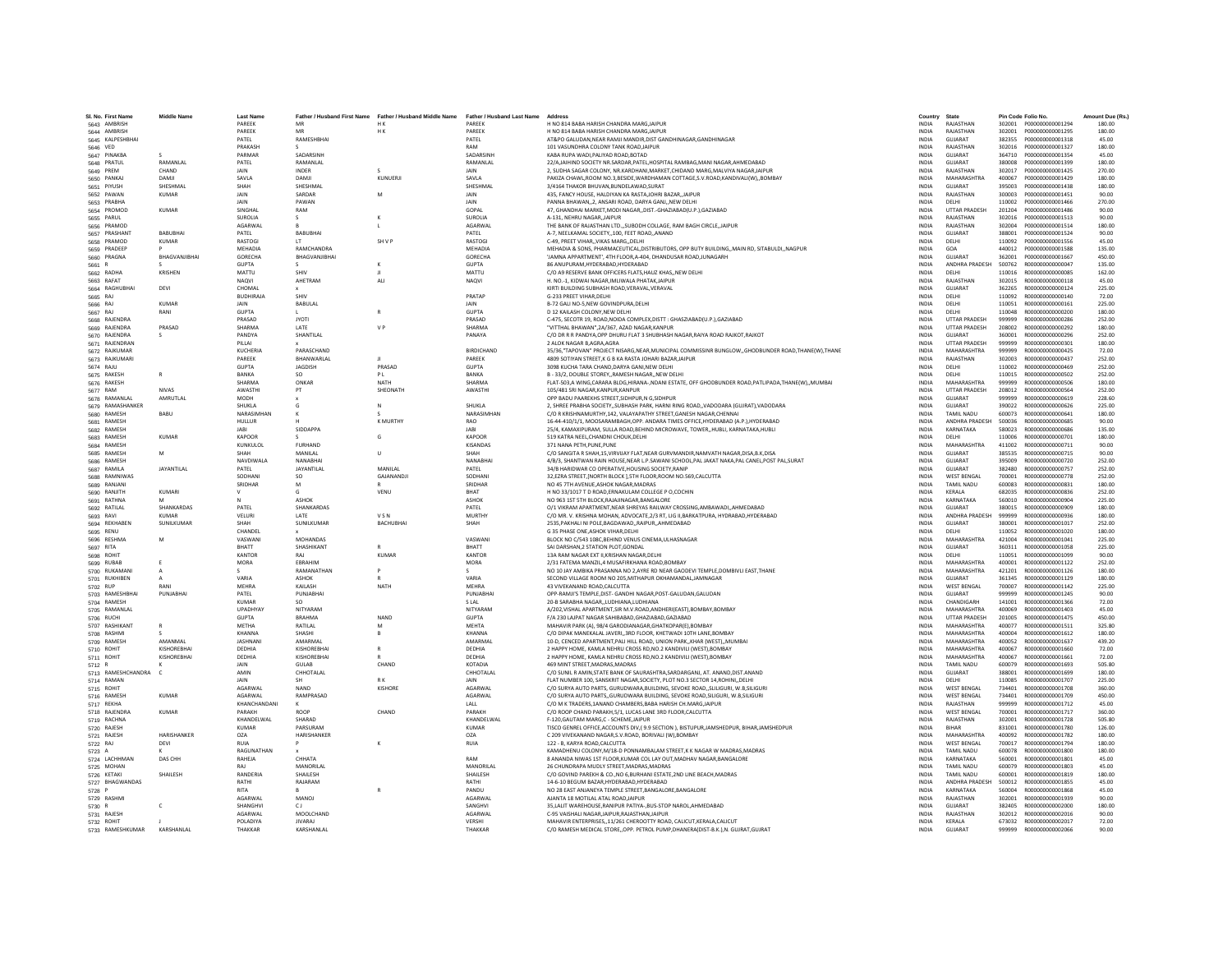| SL No. First Name              | <b>Middle Name</b>         | <b>Last Name</b>            |                            | Father / Husband First Name Father / Husband Middle Name Father / Husband Last Name |                         | Address                                                                                                                                                                                  | Country                      | State                       | Pin Code Folio No.                                       | Amount Due (Rs.) |
|--------------------------------|----------------------------|-----------------------------|----------------------------|-------------------------------------------------------------------------------------|-------------------------|------------------------------------------------------------------------------------------------------------------------------------------------------------------------------------------|------------------------------|-----------------------------|----------------------------------------------------------|------------------|
| 5643 AMBRISH                   |                            | PAREEK                      | <b>MR</b>                  | H K                                                                                 | PAREEK                  | H NO 814 BABA HARISH CHANDRA MARGJAIPUR                                                                                                                                                  | <b>INDIA</b>                 | RAJASTHAN                   |                                                          | 180.00           |
| 5644 AMBRISH                   |                            | PARFFK                      | MR                         | HK.                                                                                 | PARFFK                  | H NO 814 BARA HARISH CHANDRA MARG JAIPUR                                                                                                                                                 | <b>INDIA</b>                 | RAIASTHAN                   | 302001<br>2000000000001295                               | 180.00           |
| 5645 KALPESHBHAI               |                            | PATEL                       | RAMESHBHAI                 |                                                                                     | PATEL                   | AT&PO GALUDAN, NEAR RAMJI MANDIR, DIST GANDHINAGAR, GANDHINAGAR                                                                                                                          | <b>INDIA</b>                 | GUIARAT                     | 382355<br>P000000000001318                               | 45.00            |
| 5646 VED                       |                            | PRAKASH                     |                            |                                                                                     | RAM                     | 101 VASUNDHRA COLONY TANK ROAD, JAIPUR                                                                                                                                                   | INDIA                        | RAJASTHAN                   | 302016<br>P000000000001327                               | 180.00           |
| 5647 PINAKBA                   |                            | PARMA                       | SADARSINE                  |                                                                                     | SADARSINE               | KABA RUPA WADI.PALIYAD ROAD.BOTAD                                                                                                                                                        | <b>INDIA</b>                 | GUJARAT                     | 364710<br>P000000000001354                               | 45.00            |
| 5648 PRATUL                    | RAMANLAL                   | PATEL                       | RAMANLAI                   |                                                                                     | RAMANLAL                | 22/AJAIHIND SOCIETY NR.SARDAR.PATEL.HOSPITAL RAMBAG.MANI NAGAR.AHMEDABAD                                                                                                                 | <b>INDIA</b>                 | GUJARAT                     | 380008<br>P000000000001399                               | 180.00           |
| 5649 PREM                      | CHAND                      | <b>JAIN</b>                 | <b>INDER</b>               |                                                                                     | <b>JAIN</b>             | 2. SUDHA SAGAR COLONY, NR.KARDHANI, MARKET, CHIDAND MARG, MALVIYA NAGAR JAIPUR                                                                                                           | <b>INDIA</b>                 | RAIASTHAN                   | 302017<br>2000000000001425                               | 270.00           |
| 5650 PANKA                     | DAMIL                      | SAVLA                       | DAMJI                      | KUNUERJI                                                                            | SAVLA                   | PAKIZA CHAWL,ROOM NO.3,BESIDE,WARDHAMAN COTTAGE,S.V.ROAD,KANDIVALI(W),,BOMBAY                                                                                                            | INDIA                        | <b>MAHARASHTRA</b>          | 400067<br>P000000000001429                               | 180.00           |
| 5651 PIYUSH                    | SHESHMAL                   | SHAH                        | SHESHMAL                   |                                                                                     | SHESHMAL                | 3/4164 THAKOR BHUVAN.BUNDELAWAD.SURAT                                                                                                                                                    | <b>INDIA</b>                 | GUJARAT                     | 395003<br>P000000000001438                               | 180.00           |
| 5652 PAWAN<br>5653 PRABHA      | <b>KUMAR</b>               | JAIN<br><b>JAIN</b>         | SARDAR<br>PAWAN            | M                                                                                   | JAIN<br><b>JAIN</b>     | 435. FANCY HOUSE. HALDIYAN KA RASTAJOHRI BAZAR. JAIPUR<br>PANNA BHAWAN2. ANSARI ROAD. DARYA GANJNEW DELHI                                                                                | <b>INDIA</b><br><b>INDIA</b> | RAJASTHAN<br>DELHI          | 300003<br>P000000000001451<br>110002<br>2000000000001466 | 90.00<br>270.00  |
| 5654 PROMOD                    | KUMAR                      | SINGHAI                     | RAM                        |                                                                                     | GOPAL                   | 47, GHANDHAI MARKET, MODI NAGAR, , DIST.-GHAZIABAD(U.P.), GAZIABAD                                                                                                                       | INDIA                        | <b>UTTAR PRADESH</b>        | 201204<br>P000000000001486                               | 90.00            |
| 5655 PARUL                     |                            | <b>SUROLIA</b>              |                            |                                                                                     | <b>SUROLIA</b>          | A-131, NEHRU NAGAR, JAIPUR                                                                                                                                                               | <b>INDIA</b>                 | RAJASTHAN                   | 302016<br>P000000000001513                               | 90.00            |
| 5656 PRAMOD                    |                            | AGARWAL                     |                            |                                                                                     | AGARWAL                 | THE BANK OF RAJASTHAN LTD."SUBODH COLLAGE, RAM BAGH CIRCLE, JAIPUR                                                                                                                       | INDIA                        | RAJASTHAN                   | 302004<br>P000000000001514                               | 180.00           |
| 5657 PRASHANT                  | RABURHAI                   | PATFI                       | <b>BARURHAL</b>            |                                                                                     | PATFI                   | A-7 NEELKAMAL SOCIETY, 100 FEET ROAD, ANAND                                                                                                                                              | <b>INDIA</b>                 | GUIARAT                     | 388001<br>P000000000001524                               | 90.00            |
| 5658 PRAMOD                    | KUMAR                      | RASTOGI                     | $\mathsf{I}$               | <b>SHVP</b>                                                                         | <b>RASTOGL</b>          | C-49, PREET VIHAR., VIKAS MARG., DELHI                                                                                                                                                   | <b>INDIA</b>                 | DELHI                       | 110092<br>P000000000001556                               | 45.00            |
| 5659 PRADEEP                   |                            | MEHADIA                     | RAMCHANDRA                 |                                                                                     | MEHADIA                 | MEHADIA & SONS, PHARMACEUTICAL, DISTRIBUTORS, OPP BUTY BUILDING, MAIN RD, SITABULDI, NAGPUR                                                                                              | INDIA                        | GOA                         | 440012<br>P000000000001588                               | 135.00           |
| 5660 PRAGNA                    | BHAGVANJIBHAI              | <b>GORECHA</b>              | BHAGVANJIBHAI              |                                                                                     | GORECHA                 | 'JAMNA APPARTMENT', 4TH FLOOR, A-404, DHANDUSAR ROAD, JUNAGARH                                                                                                                           | <b>INDIA</b>                 | <b>GUJARAT</b>              | 362001<br>P000000000001667                               | 450.00           |
| 5661 R                         |                            | <b>GUPTA</b>                |                            | к                                                                                   | <b>GUPTA</b>            | 86 ANUPURAM.HYDERABAD.HYDERABAD                                                                                                                                                          | <b>INDIA</b>                 | ANDHRA PRADESH              | 500762<br>R000000000000047                               | 135.00           |
| 5662 RADHA                     | KRISHEN                    | MATTU                       | SHIV                       | H.                                                                                  | MATTU                   | C/O A9 RESERVE BANK OFFICERS FLATS.HAUZ KHASNEW DELHI                                                                                                                                    | <b>INDIA</b>                 | DELHI                       | 110016<br>B000000000000085                               | 162.00           |
| 5663 RAFAT                     |                            | <b>NAQVI</b>                | AHETRAM                    | ALI                                                                                 | NAQVI                   | H. NO.-1, KIDWAI NAGAR,IMLIWALA PHATAK,JAIPUF                                                                                                                                            | <b>INDIA</b>                 | RAJASTHAN                   | 302015<br>R000000000000118                               | 45.00            |
| 5664 RAGHUBHAI                 | DEVI                       | CHOMAL                      |                            |                                                                                     |                         | KIRTI BUILDING SUBHASH ROAD, VERAVAL, VERAVAL                                                                                                                                            | <b>INDIA</b>                 | GUJARAT                     | 362265<br>R000000000000124                               | 225.00           |
| 5665 RAJ                       |                            | <b>BUDHIRAJA</b>            | SHIV                       |                                                                                     | PRATAE                  | G-233 PREET VIHAR, DELHI                                                                                                                                                                 | INDIA                        | DELHI                       | 110092<br>R000000000000140                               | 72.00            |
| 5666 RAJ                       | KUMAR                      | <b>JAIN</b><br><b>GUPTA</b> | <b>BARULAL</b>             | R                                                                                   | <b>JAIN</b><br>GUPTA    | B-72 GALI NO-5.NEW GOVINDPURA.DELHI<br>D 12 KAILASH COLONY.NEW DELHI                                                                                                                     | <b>INDIA</b><br><b>INDIA</b> | DELHI<br>DELHI              | 110051<br>B000000000000161<br>110048<br>8000000000000200 | 225.00<br>180.00 |
| 5667 RAJ                       | RANI                       | PRASAD                      | <b>JYOTI</b>               |                                                                                     | PRASAD                  |                                                                                                                                                                                          | <b>INDIA</b>                 | <b>UTTAR PRADESH</b>        | 999999<br>R00000000000286                                | 252.00           |
| 5668 RAJENDRA<br>5669 RAJENDRA | PRASAD                     | SHARMA                      | LATE                       | V <sub>P</sub>                                                                      | <b>SHARMA</b>           | C-475, SECOTR 19, ROAD, NOIDA COMPLEX, DISTT : GHASZIABAD(U.P.), GAZIABAD<br>"VITTHAL BHAWAN",2A/367, AZAD NAGAR,KANPUR                                                                  | <b>INDIA</b>                 | <b>UTTAR PRADESH</b>        | 208002<br>R000000000000292                               | 180.00           |
| 5670 RAIFNDRA                  | S.                         | PANDYA                      | <b>SHANTILAI</b>           |                                                                                     | PANAYA                  | C/O DR R R PANDYA.OPP DHURU FLAT 3 SHUBHASH NAGAR.RAIYA ROAD RAJKOT.RAJKOT                                                                                                               | <b>INDIA</b>                 | GUIARAT                     | 360001<br>B000000000000296                               | 252.00           |
| 5671 RAJENDRAN                 |                            | PILLAL                      |                            |                                                                                     |                         | 2 ALOK NAGAR B AGRA AGRA                                                                                                                                                                 | <b>INDIA</b>                 | <b>UTTAR PRADESH</b>        | 999999<br>R000000000000301                               | 180.00           |
| 5672 RAJKUMAR                  |                            | KUCHERIA                    | PARASCHAND                 |                                                                                     | <b>BIRDICHAND</b>       | 35/36, "TAPOVAN" PROJECT NISARG, NEAR, MUNICIPAL COMMISSINR BUNGLOW, , GHODBUNDER ROAD, THANE(W), THANE                                                                                  | <b>INDIA</b>                 | MAHARASHTRA                 | 999999<br>B0000000000000425                              | 72.00            |
| 5673 RAJKUMARI                 |                            | PAREEK                      | BHANWARLA                  |                                                                                     | PAREEK                  | 4809 SOTIYAN STREET.K G B KA RASTA JOHARI BAZAR JAIPUR                                                                                                                                   | <b>INDIA</b>                 | RAJASTHAN                   | 302003<br>R000000000000437                               | 252.00           |
| 5674 RAJU                      |                            | GUPTA                       | JAGDISH                    | PRASAD                                                                              | <b>GUPTA</b>            | 3098 KUCHA TARA CHAND, DARYA GANI, NEW DELHI                                                                                                                                             | INDIA                        | DELHI                       | 110002<br>R000000000000469                               | 252.00           |
| 5675 RAKESH                    | $\mathbb{R}$               | RANKA                       | SO.                        | P <sub>1</sub>                                                                      | RANKA                   | B - 33/2. DOUBLE STOREY, RAMESH NAGAR, NEW DELHI                                                                                                                                         | <b>INDIA</b>                 | DELHI                       | 110015<br>R000000000000502                               | 252.00           |
| 5676 RAKESH                    |                            | SHARMA                      | ONKAR                      | <b>NATH</b>                                                                         | <b>SHARMA</b>           | FLAT-503,A WING,CARARA BLDG,HIRANA-,NDANI ESTATE, OFF GHODBUNDER ROAD,PATLIPADA,THANE(W),,MUMBAI                                                                                         | <b>INDIA</b>                 | MAHARASHTRA                 | 999999<br>R000000000000506                               | 180.00           |
| 5677 RAM                       | <b>NIVAS</b>               | AWASTH                      | PT                         | SHEONATH                                                                            | AWASTHI                 | 105/481 SRI NAGAR.KANPUR.KANPUR                                                                                                                                                          | <b>INDIA</b>                 | <b>UTTAR PRADESH</b>        | 208012<br>R000000000000564                               | 252.00           |
| 5678 RAMANLAL                  | AMRUTLAL                   | MODH                        |                            |                                                                                     |                         | OPP BADU PAAREKHS STREET, SIDHPUR, N G, SIDHPUR                                                                                                                                          | <b>INDIA</b>                 | GUJARAT                     | R00000000000619<br>999999                                | 228.60           |
| 5679 RAMASHANKER               |                            | <b>SHUKLA</b>               | G.                         | N                                                                                   | SHUKLA                  | 2. SHREE PRABHA SOCIETY, SUBHASH PARK, HARNI RING ROAD, VADODARA (GUJRAT), VADODARA                                                                                                      | <b>INDIA</b>                 | GUIARAT                     | 390022<br>R000000000000626                               | 225.00           |
| 5680 RAMESH                    | BABU                       | NARASIMHAN                  |                            |                                                                                     | NARASIMHAN              | C/O R KRISHNAMURTHY,142, VALAYAPATHY STREET, GANESH NAGAR, CHENNAI                                                                                                                       | <b>INDIA</b>                 | <b>TAMIL NADLI</b>          | 600073<br>R000000000000641                               | 180.00           |
| 5681 RAMESH                    |                            | HULLUR                      |                            | <b>K MURTHY</b>                                                                     | <b>RAO</b>              | 16-44-410/1/1, MOOSARAMBAGH, OPP. ANDARA TIMES OFFICE, HYDERABAD (A.P.), HYDERABAD                                                                                                       | <b>INDIA</b>                 | ANDHRA PRADESH              | 500036<br>R00000000000685                                | 90.00            |
| 5682 RAMESH                    | KUMAR                      | <b>JABI</b>                 | SIDDAPPA                   | G                                                                                   | <b>JABI</b>             | 25/4, KAMAXIPURAM, SULLA ROAD, BEHIND MICROWAVE, TOWER, HUBLI, KARNATAKA, HUBLI                                                                                                          | <b>INDIA</b>                 | KARNATAKA                   | 580023<br>R000000000000686                               | 135.00           |
| 5683 RAMESH                    |                            | <b>KAPOOR</b>               |                            |                                                                                     | KAPOOR                  | 519 KATRA NEEL.CHANDNI CHOUK.DELHI                                                                                                                                                       | <b>INDIA</b>                 | DELHI                       | 110006<br>B000000000000701                               | 180.00           |
| 5684 RAMESH<br>5685 RAMESH     | M                          | KUNKULOL<br>SHAH            | <b>FURHAND</b><br>MANII AI | $\mathbf{u}$                                                                        | <b>KISANDAS</b><br>SHAH | 371 NANA PETH.PUNE.PUNE                                                                                                                                                                  | <b>INDIA</b><br><b>INDIA</b> | MAHARASHTRA<br>GUIARAT      | 411002<br>8000000000000711<br>385535<br>R000000000000715 | 90.00<br>90.00   |
| 5686 RAMESH                    |                            | NAVDIWALA                   | NANABHA                    |                                                                                     | NANABHA                 | C/O SANGITA R SHAH,15, VIRVIJAY FLAT, NEAR GURVMANDIR, NAMVATH NAGAR, DISA, B.K, DISA<br>4/B/3, SHANTWAN RAIN HOUSE, NEAR L.P. SAWANI SCHOOL, PAL JAKAT NAKA, PAL CANEL, POST PAL, SURAT | <b>INDIA</b>                 | GUJARAT                     | 395009<br>R00000000000720                                | 252.00           |
| 5687 RAMILA                    | <b>JAYANTILAL</b>          | PATEL                       | JAYANTILAI                 | MANILAL                                                                             | PATEL                   | 34/B HARIDWAR CO OPERATIVE, HOUSING SOCIETY, RANIP                                                                                                                                       | INDIA                        | GUJARAT                     | 382480<br>B000000000000757                               | 252.00           |
| 5688 RAMNIWAS                  |                            | SODHANI                     | <sub>SO</sub>              | GAJANANDJ                                                                           | SODHANI                 | 32.EZRA STREET.INORTH BLOCK 1.5TH FLOOR.ROOM NO.569.CALCUTTA                                                                                                                             | <b>INDIA</b>                 | <b>WEST BENGAL</b>          | B000000000000778<br>700001                               | 252.00           |
| 5689 RANJANI                   |                            | SRIDHAR                     | M                          |                                                                                     | SRIDHAF                 | NO 45 7TH AVENUE, ASHOK NAGAR, MADRAS                                                                                                                                                    | <b>INDIA</b>                 | <b>TAMIL NADU</b>           | 600083<br>R000000000000831                               | 180.00           |
| 5690 RANJITH                   | <b>KUMARI</b>              |                             |                            | VENU                                                                                | <b>RHAT</b>             | H NO 33/1017 T D ROAD, ERNAKULAM COLLEGE P O, COCHIN                                                                                                                                     | INDIA                        | KERALA                      | 682035<br>R000000000000836                               | 252.00           |
| 5691 RATHNA                    |                            |                             | <b>ASHOK</b>               |                                                                                     | <b>ASHOK</b>            | NO 963 1ST 5TH BLOCK.RAJAJINAGAR.BANGALORE                                                                                                                                               | <b>INDIA</b>                 | KARNATAKA                   | 560010<br>R000000000000904                               | 225.00           |
| 5692 RATILAL                   | SHANKARDAS                 | PATEL                       | SHANKARDAS                 |                                                                                     | PATEL                   | O/1 VIKRAM APARTMENT, NEAR SHREYAS RAILWAY CROSSING, AMBAWADI, , AHMEDABAD                                                                                                               | <b>INDIA</b>                 | GUIARAT                     | 380015<br>R000000000000909                               | 180.00           |
| 5693 RAVI                      | KUMAR                      | VELURI                      | <b>LATE</b>                | VSN                                                                                 | <b>MURTHY</b>           | C/O MR. V. KRISHNA MOHAN, ADVOCATE, 2/3 RT, LIG II, BARKATPURA, HYDRABAD, HYDERABAD                                                                                                      | <b>INDIA</b>                 | ANDHRA PRADESH              | 999999<br>B000000000000936                               | 180.00           |
| 5694 REKHABEN                  | SUNILKUMAR                 | SHAH                        | SUNILKUMAR                 | <b>BACHUBHAI</b>                                                                    | SHAH                    | 2535, PAKHALI NI POLE, BAGDAWAD,, RAIPUR,, AHMEDABAD                                                                                                                                     | <b>INDIA</b>                 | GUJARAT                     | 380001<br>R000000000001017                               | 252.00           |
| 5695 RENU                      |                            | CHANDEL                     |                            |                                                                                     |                         | G 35 PHASE ONE, ASHOK VIHAR, DELHI                                                                                                                                                       | INDIA                        | DELHI                       | 110052<br>R000000000001020                               | 180.00           |
| 5696 RESHMA                    | M                          | VASWANI                     | <b>MOHANDAS</b>            |                                                                                     | VASWANI                 | BLOCK NO C/543 108C.BEHIND VENUS CINEMA, ULHASNAGAR                                                                                                                                      | <b>INDIA</b>                 | MAHARASHTRA                 | B000000000001041<br>421004                               | 225.00           |
| 5697 RITA                      |                            | BHATT                       | SHASHIKANT                 |                                                                                     | BHATT                   | SAI DARSHAN.2 STATION PLOT.GONDAL                                                                                                                                                        | <b>INDIA</b>                 | GUJARAT                     | 360311<br>R000000000001058                               | 225.00           |
| 5698 ROHIT                     |                            | KANTOR                      | RAI<br>EBRAHIM             | KUMAR                                                                               | KANTOR                  | 13A RAM NAGAR EXT II.KRISHAN NAGAR.DELHI                                                                                                                                                 | <b>INDIA</b>                 | DELHI<br>MAHARASHTRA        | 110051<br>B000000000001099<br>400001                     | 90.00            |
| 5699 RUBAB<br>5700 RUKAMANI    | $\mathsf{A}$               | MORA                        | RAMANATHAN                 |                                                                                     | MORA                    | 2/31 FATEMA MANZIL,4 MUSAFIRKHANA ROAD,BOMBAY<br>NO 10 JAY AMBIKA PRASANNA NO 2, AYRE RD NEAR GAODEVI TEMPLE, DOMBIVLI EAST, THANE                                                       | INDIA<br>INDIA               | MAHARASHTRA                 | R000000000001122<br>421201<br>R000000000001126           | 252.00<br>180.00 |
| 5701 RUKHIBEN                  | $\mathbf{A}$               | VARIA                       | <b>ASHOK</b>               | R                                                                                   | VARIA                   | SECOND VILLAGE ROOM NO 205.MITHAPUR OKHAMANDAL.JAMNAGAR                                                                                                                                  | <b>INDIA</b>                 | GUJARAT                     | R000000000001129<br>361345                               | 180.00           |
| 5702 RUP                       | RANI                       | MEHRA                       | KAILASH                    | <b>NATH</b>                                                                         | MFHRA                   | 43 VIVEKANAND ROAD, CALCUTTA                                                                                                                                                             | <b>INDIA</b>                 | <b>WEST BENGAL</b>          | 700007<br>R000000000001142                               | 225.00           |
| 5703 RAMESHBHAI                | PUNJABHAI                  | PATEL                       | PUNJABHAI                  |                                                                                     | PUNJABHA                | OPP-RAMJI'S TEMPLE, DIST- GANDHI NAGAR, POST-GALUDAN, GALUDAN                                                                                                                            | INDIA                        | GUJARAT                     | 999999<br>R000000000001245                               | 90.00            |
| 5704 RAMESH                    |                            | <b>KUMAR</b>                | SO                         |                                                                                     | <b>SLAL</b>             | 20-B SARABHA NAGAR,,LUDHIANA,LUDHIANA                                                                                                                                                    | <b>INDIA</b>                 | CHANDIGARH                  | 141001<br>R000000000001366                               | 72.00            |
| 5705 RAMANLAL                  |                            | UPADHYAY                    | NITYARAM                   |                                                                                     | NITYARAM                | A/202, VISHAL APARTMENT, SIR M.V.ROAD, ANDHERI(EAST), BOMBAY, BOMBAY                                                                                                                     | <b>INDIA</b>                 | MAHARASHTRA                 | R000000000001403<br>400069                               | 45.00            |
| 5706 RUCHI                     |                            | <b>GUPTA</b>                | <b>BRAHMA</b>              | NAND                                                                                | <b>GUPTA</b>            | F/A 230 LAJPAT NAGAR SAHIBABAD.GHAZIABAD.GAZIABAD                                                                                                                                        | <b>INDIA</b>                 | <b>UTTAR PRADESH</b>        | 201005<br>R000000000001475                               | 450.00           |
| 5707 RASHIKANT                 |                            | <b>MFTHA</b>                | RATILAL                    | M                                                                                   | <b>MFHTA</b>            | MAHAVIR PARK (A), 98/4 GARODIANAGAR, GHATKOPAR(E), BOMBAY                                                                                                                                | <b>INDIA</b>                 | MAHARASHTRA                 | 400077<br>R000000000001511                               | 325.80           |
| 5708 RASHMI                    |                            | KHANNA                      | SHASHI                     |                                                                                     | <b>KHANNA</b>           | C/O DIPAK MANEKALAL JAVERI,,3RD FLOOR, KHETWADI 10TH LANE, BOMBAY                                                                                                                        | INDIA                        | MAHARASHTRA                 | 400004<br>R000000000001612                               | 180.00           |
| 5709 RAMESH                    | AMANMAL                    | <b>JASHNAN</b>              | AMARMAI                    |                                                                                     | AMARMAI                 | 10-D. CENCED APARTMENT.PALI HILL ROAD, UNION PARK.,KHAR (WEST).,MUMBAI                                                                                                                   | <b>INDIA</b>                 | MAHARASHTRA                 | 8000000000001637<br>400052                               | 439.20           |
| 5710 ROHIT                     | KISHOREBHAI<br>KISHOREBHAI | DEDHIA<br>DEDHIA            | KISHOREBHAI<br>KISHOREBHAI | R                                                                                   | DEDHIA<br>DEDHIA        | 2 HAPPY HOME, KAMLA NEHRU CROSS RD.NO.2 KANDIVILI (WEST).BOMBAY                                                                                                                          | <b>INDIA</b><br><b>INDIA</b> | MAHARASHTRA<br>MAHARASHTRA  | 400067<br>R000000000001660<br>400067<br>R000000000001661 | 72.00            |
| 5711 ROHIT<br>5712 R           |                            | <b>JAIN</b>                 | GULAB                      | CHAND                                                                               | KOTADIA                 | 2 HAPPY HOME, KAMLA NEHRU CROSS RD, NO.2 KANDIVILI (WEST), BOMBAY<br>469 MINT STREET, MADRAS, MADRAS                                                                                     | INDIA                        | <b>TAMIL NADU</b>           | 600079<br>R000000000001693                               | 72.00<br>505.80  |
| 5713 RAMESHCHANDRA             |                            | AMIN                        | CHHOTALAL                  |                                                                                     | CHHOTALAI               | C/O SUNIL R AMIN, STATE BANK OF SAURASHTRA, SARDARGANJ, AT. ANAND, DIST.ANAND                                                                                                            | INDIA                        | GUJARAT                     | 388001<br>R000000000001699                               | 180.00           |
| 5714 RAMAN                     |                            | <b>JAIN</b>                 | <b>SH</b>                  | R K                                                                                 | JAIN                    | FLAT NUMBER 100, SANSKRIT NAGAR, SOCIETY, PLOT NO.3 SECTOR 14, ROHINI., DELHI                                                                                                            | <b>INDIA</b>                 | DELHI                       | 110085<br>B000000000001707                               | 225.00           |
| 5715 ROHIT                     |                            | AGARWAL                     | <b>NAND</b>                | <b>KISHORE</b>                                                                      | AGARWAL                 | C/O SURYA AUTO PARTS, GURUDWARA, BUILDING, SEVOKE ROAD., SLILIGURI, W.B.SILIGURI                                                                                                         | <b>INDIA</b>                 | <b>WEST BENGAL</b>          | 734401<br>R000000000001708                               | 360.00           |
| 5716 RAMESH                    | <b>KUMAR</b>               | <b>AGARWAL</b>              | RAMPRASAD                  |                                                                                     | AGARWAL                 | C/O SURYA AUTO PARTSGURUDWARA BUILDING. SEVOKE ROAD.SILIGURI. W.B.SILIGURI                                                                                                               | <b>INDIA</b>                 | <b>WEST BENGAL</b>          | 734401<br>R000000000001709                               | 450.00           |
| 5717 REKHA                     |                            | KHANCHANDANI                |                            |                                                                                     |                         | C/O M K TRADERS, 1ANAND CHAMBERS, BABA HARISH CH. MARG, JAIPUF                                                                                                                           | INDIA                        | RAJASTHAN                   | 999999<br>R000000000001712                               | 45.00            |
| 5718 RAJENDRA                  | <b>KUMAR</b>               | PARAKH                      | ROOP                       | CHAND                                                                               | PARAKH                  | C/O ROOP CHAND PARAKH.5/1, LUCAS LANE 3RD FLOOR.CALCUTTA                                                                                                                                 | <b>INDIA</b>                 | <b>WEST BENGAL</b>          | R00000000001717<br>700001                                | 360.00           |
| 5719 RACHNA                    |                            | KHANDELWAL                  | SHARAD                     |                                                                                     | KHANDELWAL              | F-120.GAUTAM MARG.C - SCHEMEJAIPUR                                                                                                                                                       | <b>INDIA</b>                 | RAJASTHAN                   | 302001<br>R000000000001728                               | 505.80           |
| 5720 RAJESH                    |                            | <b>KUMAR</b>                | PARSURAM                   |                                                                                     | KUMAR                   | TISCO GENREL OFFICE, ACCOUNTS DIV, (9.9 SECTION), BISTUPUR, JAMSHEDPUR, BIHAR, JAMSHEDPUR                                                                                                | <b>INDIA</b>                 | <b>RIHAR</b>                | 831001<br>R000000000001780                               | 126.00           |
| 5721 RAJESH                    | HARISHANKER                | OZA                         | HARISHANKER                |                                                                                     | OZA                     | C 209 VIVEKANAND NAGAR, S.V.ROAD, BORIVALI (W), BOMBAY                                                                                                                                   | INDIA                        | MAHARASHTRA                 | 400092<br>R000000000001782                               | 180.00           |
| 5722 RAJ                       | DEVI                       | <b>RUIA</b>                 |                            | K                                                                                   | <b>RUIA</b>             | 122 - B. KARYA ROAD.CALCUTTA                                                                                                                                                             | <b>INDIA</b>                 | <b>WEST BENGAL</b>          | 700017<br>R000000000001794                               | 180.00           |
| 5723 A                         |                            | RAGUNATHAN                  |                            |                                                                                     |                         | KAMADHENU COLONY.M/18-D PONNAMBALAM STREET.K K NAGAR W MADRAS.MADRAS                                                                                                                     | <b>INDIA</b>                 | <b>TAMIL NADU</b>           | 600078<br>R000000000001800                               | 180.00           |
| 5724 LACHHMAN                  | DAS CHH                    | RAHFIA                      | CHHATA                     |                                                                                     | RAM                     | 8 ANANDA NIWAS 1ST FLOOR KUMAR COLLAY OUT MADHAV NAGAR RANGALORE                                                                                                                         | <b>INDIA</b>                 | KARNATAKA                   | 560001<br>B000000000001801                               | 45.00            |
| 5725 MOHAN                     |                            | RAI                         | MANORILA                   |                                                                                     | MANORILAI               | 26 CHUNDRAPA MUDLY STREET, MADRAS, MADRAS                                                                                                                                                | INDIA                        | <b>TAMIL NADU</b>           | 600079<br>R000000000001803                               | 45.00            |
| 5726 KETAKI                    | SHAILESH                   | RANDERIA                    | SHAILESH                   |                                                                                     | SHAILESH                | C/O GOVIND PAREKH & CO., NO 6, BURHANI ESTATE, 2ND LINE BEACH, MADRAS                                                                                                                    | INDIA                        | TAMIL NADU                  | 600001<br>R000000000001819                               | 180.00           |
| 5727 BHAGWANDAS<br>5728 P      |                            | RATHI<br><b>RITA</b>        | RAJARAM                    |                                                                                     | RATHI<br>PANDU          | 14-6-10 BEGUM BAZAR.HYDERABAD.HYDERABAD<br>NO 28 EAST ANJANEYA TEMPLE STREET, BANGALORE, BANGALORE                                                                                       | <b>INDIA</b><br><b>INDIA</b> | ANDHRA PRADESH<br>KARNATAKA | 500012<br>R000000000001855<br>560004<br>R000000000001868 | 45.00<br>45.00   |
| 5729 RASHMI                    |                            | <b>AGARWAI</b>              | MANOJ                      |                                                                                     | <b>AGARWAI</b>          | AJANTA 18 MOTILAL ATAL ROAD JAIPUR                                                                                                                                                       | <b>INDIA</b>                 | RAJASTHAN                   | 302001<br>R000000000001939                               | 90.00            |
| 5730 R                         |                            | SHANGHV                     | C J                        |                                                                                     | SANGHVI                 | 35, LALIT WAREHOUSE, RANIPUR PATIYA-, BUS-STOP NAROL, AHMEDABAD                                                                                                                          | INDIA                        | GUJARAT                     | 382405<br>R000000000002000                               | 180.00           |
| 5731 RAJESH                    |                            | AGARWAL                     | MOOLCHAND                  |                                                                                     | AGARWAL                 | C-95 VAISHALI NAGAR JAIPUR RAJASTHAN JAIPUR                                                                                                                                              | <b>INDIA</b>                 | RAJASTHAN                   | 302012<br>R00000000002016                                | 90.00            |
| 5732 ROHIT                     |                            | POLADIYA                    | <b>JIVARAJ</b>             |                                                                                     | VERSHI                  | MAHAVIR ENTERPRISES11/261 CHEROOTTY ROAD, CALICUT, KERALA, CALICUT                                                                                                                       | <b>INDIA</b>                 | KERALA                      | 673032 R000000000002017                                  | 72.00            |
| 5733 RAMESHKUMAR               | <b>KARSHANI AI</b>         | <b>THAKKAR</b>              | <b>KARSHANLAL</b>          |                                                                                     | THAKKAF                 | C/O RAMESH MEDICAL STOREOPP. PETROL PUMP.DHANERA(DIST-B.K.).N. GUJRAT.GUJRAT                                                                                                             | <b>INDIA</b>                 | GUIARAT                     | 999999 8000000000002066                                  | 90.00            |
|                                |                            |                             |                            |                                                                                     |                         |                                                                                                                                                                                          |                              |                             |                                                          |                  |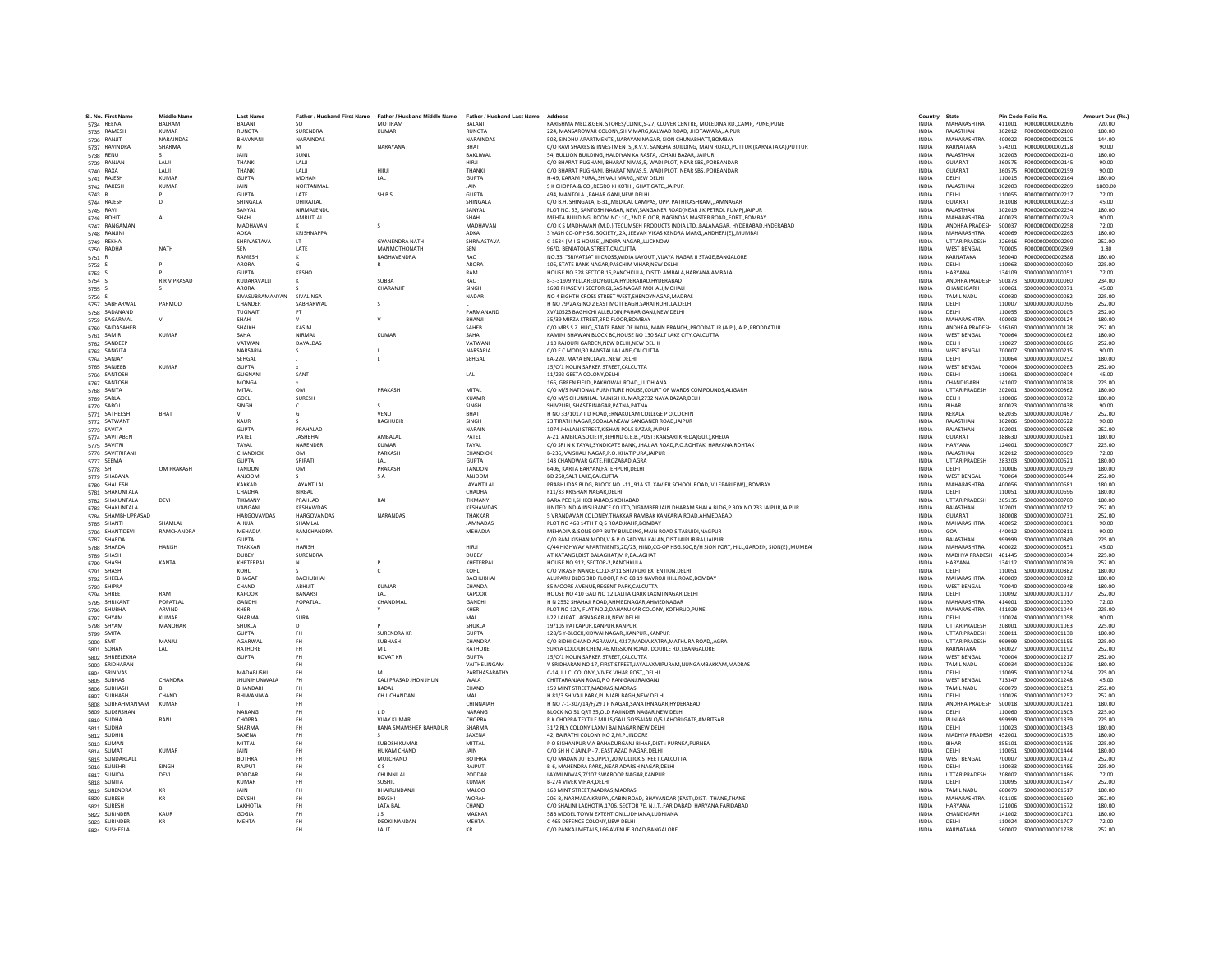| SI. No. First Nam            | <b>Middle Name</b>            | <b>Last Name</b>               | Father / Husband First Name | Father / Husband Middle Name | Father / Husband Last Name | Address                                                                                                                                                               | Countr                       | <b>State</b>                     |                  | Pin Code Folio No                      | Amount Due (Rs.) |
|------------------------------|-------------------------------|--------------------------------|-----------------------------|------------------------------|----------------------------|-----------------------------------------------------------------------------------------------------------------------------------------------------------------------|------------------------------|----------------------------------|------------------|----------------------------------------|------------------|
| 5734 REENA                   | <b>BALRAM</b><br><b>KUMAR</b> | <b>BALANI</b><br><b>RUNGTA</b> |                             | MOTIRAM                      | <b>BALANI</b>              | KARISHMA MED.&GEN. STORES/CLINIC,S-27, CLOVER CENTRE, MOLEDINA RD.,CAMP, PUNE,PUNE                                                                                    | <b>INDIA</b>                 | MAHARASHTRA<br>RAJASTHAN         | 411001           | R000000000002096                       | 720.00           |
| 5735 RAMESH                  | NARAINDAS                     | BHAVNANI                       | SURENDRA<br>NARAINDAS       | KUMAR                        | <b>RUNGTA</b>              | 224, MANSAROWAR COLONY, SHIV MARG, KALWAD ROAD, JHOTAWARA, JAIPUR<br>508. SINDHU APARTMENTSNARAYAN NAGAR, SION CHUNABHATT.BOMBAY                                      | INDIA                        | MAHARASHTRA                      | 302012           | R00000000002100                        | 180.00           |
| 5736 RANJIT                  | SHARMA                        | M                              | M                           | NARAYANA                     | NARAINDAS<br><b>RHAT</b>   | C/O RAVI SHARES & INVESTMENTS, K.V.V. SANGHA BUILDING, MAIN ROAD, PUTTUR (KARNATAKA) PUTTUR                                                                           | <b>INDIA</b><br><b>INDIA</b> | KARNATAKA                        | 400022<br>574201 | R00000000002125<br>B000000000002128    | 144.00<br>90.00  |
| 5737 RAVINDRA                |                               | <b>JAIN</b>                    | SUNIL                       |                              | <b>RAKLIWAL</b>            | 54. BULLION BUILDINGHALDIYAN KA RASTA, JOHARI BAZAR, JAIPUR                                                                                                           | <b>INDIA</b>                 | RAIASTHAN                        | 302003           | R00000000002140                        | 180.00           |
| 5738 RENU<br>5739 RANJAN     | LALI                          | THANKI                         | LALI                        |                              | HIRI                       | C/O BHARAT RUGHANI, BHARAT NIVAS.5, WADI PLOT, NEAR SBS., PORBANDAR                                                                                                   | INDIA                        | GUJARAT                          | 360575           | R00000000002145                        | 90.00            |
| 5740 RAXA                    | LALI                          | THANKI                         | LALI                        | HIRJI                        | THANK                      | C/O BHARAT RUGHANI, BHARAT NIVAS.5, WADI PLOT, NEAR SBS., PORBANDAR                                                                                                   | INDIA                        | GUJARAT                          | 360575           | R00000000002159                        | 90.00            |
| 5741 RAJESH                  | KUMAR                         | <b>GUPTA</b>                   | MOHAN                       | IAI                          | <b>GUPTA</b>               | H-49 KARAM PURA, SHIVAII MARG, NEW DELHI                                                                                                                              | <b>INDIA</b>                 | DELHI                            | 110015           | B000000000002164                       | 180.00           |
| 5742 RAKESH                  | <b>KUMAR</b>                  | <b>JAIN</b>                    | NORTANMAL                   |                              | <b>JAIN</b>                | S K CHOPRA & CO., REGRO KI KOTHI, GHAT GATE, JAIPUR                                                                                                                   | <b>INDIA</b>                 | RAJASTHAN                        | 302003           | R00000000002209                        | 1800.00          |
| 5743 R                       |                               | <b>GUPTA</b>                   | LATE                        | SH B S                       | <b>GUPTA</b>               | 494. MANTOLA  PAHAR GANJ.NEW DELH                                                                                                                                     | <b>INDIA</b>                 | DELHI                            | 110055           | R00000000002217                        | 72.00            |
| 5744 RAJESH                  | <sup>D</sup>                  | SHINGALA                       | DHIRAJLAL                   |                              | SHINGALA                   | C/O B.H. SHINGALA, E-31,,MEDICAL CAMPAS, OPP. PATHIKASHRAM,,JAMNAGAR                                                                                                  | <b>INDIA</b>                 | GUIARAT                          | 361008           | B000000000002233                       | 45.00            |
| 5745 RAVI                    |                               | SANYAL                         | NIRMAL ENDU                 |                              | SANYAL                     | PLOT NO. 53. SANTOSH NAGAR, NEW SANGANER ROADINEAR J K PETROL PUMPI JAIPUR                                                                                            | <b>INDIA</b>                 | RAIASTHAN                        | 302019           | B000000000002234                       | 180.00           |
| 5746 ROHIT                   | А                             | SHAH                           | AMRUTLAL                    |                              | SHAH                       | MEHTA BUILDING, ROOM NO: 10,,2ND FLOOR, NAGINDAS MASTER ROAD,,FORT,,BOMBAY                                                                                            | <b>INDIA</b>                 | <b>MAHARASHTRA</b>               | 400023           | R000000000002243                       | 90.00            |
| 5747 RANGAMANI               |                               | MADHAVAN                       |                             | s                            | MADHAVAM                   | C/O K S MADHAVAN (M.D.),TECUMSEH PRODUCTS INDIA LTD.,BALANAGAR, HYDERABAD,HYDERABAD                                                                                   | INDIA                        | ANDHRA PRADESH                   | 500037           | R00000000002258                        | 72.00            |
| 5748 RANJINI                 |                               | ADKA                           | KRISHNAPPA                  |                              | ADKA                       | 3 YASH CO-OP HSG, SOCIETY2A, JEEVAN VIKAS KENDRA MARG, ANDHERI(E), MUMBAI                                                                                             | <b>INDIA</b>                 | MAHARASHTRA                      | 400069           | B000000000002263                       | 180.00           |
| 5749 REKHA                   |                               | SHRIVASTAVA                    | LT.                         | <b>GYANENDRA NATH</b>        | SHRIVASTAVA                | C-1534 (M I G HOUSE), INDIRA NAGAR, LUCKNOW                                                                                                                           | <b>INDIA</b>                 | <b>UTTAR PRADESH</b>             | 226016           | R000000000002290                       | 252.00           |
| 5750 RADHA                   | NATH                          | SEN                            | LATE                        | MANMOTHONATH                 | SEN                        | 96/D, BENIATOLA STREET, CALCUTTA                                                                                                                                      | <b>INDIA</b>                 | <b>WEST BENGAL</b>               | 700005           | R000000000002369                       | 1.80             |
| 5751 R                       |                               | RAMESH                         |                             | RAGHAVENDRA                  | <b>RAO</b>                 | NO.33, "SRIVATSA" III CROSS, WIDIA LAYOUT,, VIJAYA NAGAR II STAGE, BANGALORE                                                                                          | <b>INDIA</b>                 | KARNATAKA                        | 560040           | R00000000002388                        | 180.00           |
| 5752 S                       |                               | ARORA                          | - 6                         |                              | <b>ARORA</b>               | 106. STATE BANK NAGAR PASCHIM VIHAR NEW DELHI                                                                                                                         | <b>INDIA</b>                 | DELHI                            | 110063           | \$000000000000050                      | 225.00           |
| 5753 S                       |                               | <b>GUPTA</b>                   | KESHO                       |                              | RAM                        | HOUSE NO 328 SECTOR 16. PANCHKULA, DISTT: AMBALA, HARYANA, AMBALA                                                                                                     | <b>INDIA</b>                 | <b>HARYANA</b>                   | 134109           | \$000000000000051                      | 72.00            |
| 5754 S                       | <b>R R V PRASAD</b>           | KUDARAVALL                     |                             | <b>SURRA</b>                 | RAO                        | 8-3-319/9 YELLAREDDYGUDA, HYDERABAD, HYDERABAD                                                                                                                        | <b>INDIA</b>                 | ANDHRA PRADESH                   | 500873           | \$00000000000060                       | 234.00           |
| 5755 S                       |                               | ARORA                          |                             | CHARANJIT                    | SINGH                      | 1698 PHASE VII SECTOR 61, SAS NAGAR MOHALI, MOHALI                                                                                                                    | <b>INDIA</b>                 | CHANDIGARH                       | 160061           | \$000000000000071                      | 45.00            |
| 5756 S                       |                               | SIVASUBRAMANYAN                | <b>SIVALINGA</b>            |                              | NADAR                      | NO 4 EIGHTH CROSS STREET WEST, SHENOYNAGAR, MADRAS                                                                                                                    | INDIA                        | TAMIL NADU                       | 600030           | \$000000000000082                      | 225.00           |
| 5757 SABHARWAL               | PARMOD                        | CHANDER                        | SARHARWAL                   |                              |                            | H NO 79/2A G NO 2 EAST MOTI BAGH SARAI ROHILLA DELHI                                                                                                                  | <b>INDIA</b>                 | DELHI                            | 110007           | \$000000000000096                      | 252.00           |
| 5758 SADANAND                |                               | <b>TUGNAIT</b>                 | <b>DT</b>                   |                              | PARMANAND                  | XV/10523 BAGHICHI ALLEUDIN.PAHAR GANJ.NEW DELHI                                                                                                                       | <b>INDIA</b>                 | DELHI                            | 110055           | \$000000000000105                      | 252.00           |
| 5759 SAGARMAL                | $\vee$                        | SHAH                           |                             |                              | BHANJI                     | 35/39 MIRZA STREET.3RD FLOOR.BOMBAY                                                                                                                                   | <b>INDIA</b>                 | MAHARASHTRA                      | 400003           | S000000000000124                       | 180.00           |
| 5760 SAIDASAHEB              | KUMAR                         | SHAIKH<br>SAHA                 | KASIM<br><b>NIRMAL</b>      | KUMAR                        | SAHEB                      | C/O.MRS S.Z. HUQSTATE BANK OF INDIA, MAIN BRANCH., PRODDATUR (A.P.), A.P., PRODDATUR                                                                                  | <b>INDIA</b>                 | ANDHRA PRADESH                   | 516360<br>700064 | \$000000000000128<br>\$000000000000162 | 252.00           |
| 5761 SAMIR                   |                               | VATWAN                         |                             |                              | SAHA<br>VATWAN             | KAMINI BHAWAN BLOCK BC,HOUSE NO 130 SALT LAKE CITY, CALCUTTA                                                                                                          | <b>INDIA</b>                 | <b>WEST BENGAL</b>               |                  |                                        | 180.00           |
| 5762 SANDEER                 |                               | NARSARIA                       | DAYALDAS                    |                              | NARSARIA                   | J 10 RAJOURI GARDEN, NEW DELHI, NEW DELHI<br>C/O F C MODI,30 BANSTALLA LANE,CALCUTTA                                                                                  | <b>INDIA</b><br>INDIA        | DELHI<br><b>WEST BENGAL</b>      | 110027<br>700007 | \$000000000000186<br>\$000000000000215 | 252.00<br>90.00  |
| 5763 SANGITA<br>5764 SANJAY  |                               | SEHGAL                         |                             |                              | SEHGAL                     | EA-220, MAYA ENCLAVENEW DELHI                                                                                                                                         | <b>INDIA</b>                 | DELHI                            | 110064           | \$00000000000252                       | 180.00           |
| 5765 SANJEEB                 | KUMAR                         | <b>GUPTA</b>                   |                             |                              |                            | 15/C/1 NOLIN SARKER STREET CALCUTTA                                                                                                                                   | <b>INDIA</b>                 | <b>WEST RENGAL</b>               | 700004           | \$000000000000263                      | 252.00           |
| 5766 SANTOSH                 |                               | GUGNAN                         | SANT                        |                              | LAL                        | 11/293 GEETA COLONY, DELHI                                                                                                                                            | INDIA                        | DELHI                            | 110051           | \$000000000000304                      | 45.00            |
| 5767 SANTOSH                 |                               | MONG/                          |                             |                              |                            | 166, GREEN FIELD., PAKHOWAL ROAD., LUDHIANA                                                                                                                           | <b>INDIA</b>                 | CHANDIGARH                       | 141002           | \$000000000000328                      | 225.00           |
| 5768 SARITA                  |                               | MITAL                          | OM                          | PRAKASH                      | MITAL                      | C/O M/S NATIONAL FURNITURE HOUSE.COURT OF WARDS COMPOUNDS.ALIGARH                                                                                                     | <b>INDIA</b>                 | <b>UTTAR PRADESH</b>             | 202001           | \$000000000000362                      | 180.00           |
| 5769 SARLA                   |                               | GOEL                           | <b>SURFSH</b>               |                              | KUAMB                      | C/O M/S CHUNNILAL RAJNISH KUMAR.2732 NAYA BAZAR.DELHI                                                                                                                 | <b>INDIA</b>                 | <b>DELHI</b>                     | 110006           | \$000000000000372                      | 180.00           |
| 5770 SARO                    |                               | SINGH                          |                             | $\mathbf{S}$                 | SINGH                      | SHIVPURI, SHASTRINAGAR, PATNA, PATNA                                                                                                                                  | <b>INDIA</b>                 | <b>BIHAR</b>                     | 800023           | \$000000000000438                      | 90.00            |
| 5771 SATHEESH                | BHAT                          |                                |                             | VENU                         | BHAT                       | H NO 33/1017 T D ROAD, ERNAKULAM COLLEGE P O, COCHIN                                                                                                                  | <b>INDIA</b>                 | KERALA                           | 682035           | \$000000000000467                      | 252.00           |
| 5772 SATWANT                 |                               | KAUR                           |                             | <b>RAGHUBIR</b>              | SINGH                      | 23 TIRATH NAGAR SODALA NEAW SANGANER ROAD JAIPUR                                                                                                                      | <b>INDIA</b>                 | RAJASTHAN                        | 302006           | \$000000000000522                      | 90.00            |
| 5773 SAVITA                  |                               | GUPTA                          | PRAHALAD                    |                              | NARAIN                     | 1074 JHALANI STREET.KISHAN POLE BAZAR JAIPUR                                                                                                                          | <b>INDIA</b>                 | RAIASTHAN                        | 302001           | \$00000000000568                       | 252.00           |
| 5774 SAVITABEN               |                               | PATEL                          | <b>JASHBHAI</b>             | AMBALAL                      | PATEL                      | A-21, AMBICA SOCIETY, BEHIND G.E.B., POST: KANSARI, KHEDA(GUJ.), KHEDA                                                                                                | <b>INDIA</b>                 | <b>GUJARAT</b>                   | 388630           | \$00000000000581                       | 180.00           |
| 5775 SAVITRI                 |                               | TAYAL                          | NARENDER                    | <b>KUMAR</b>                 | TAYAL                      | C/O SRI N K TAYAL, SYNDICATE BANK, JHAJJAR ROAD, P.O.ROHTAK, HARYANA, ROHTAK                                                                                          | INDIA                        | <b>HARYANA</b>                   | 124001           | \$000000000000607                      | 225.00           |
| 5776 SAVITRIRAN              |                               | CHANDIOK                       | OM                          | PARKASH                      | CHANDIOK                   | B-236, VAISHALI NAGAR, P.O. KHATIPURAJAIPUR                                                                                                                           | <b>INDIA</b>                 | RAJASTHAN                        | 302012           | \$000000000000609                      | 72.00            |
| 5777 SEEMA                   |                               | <b>GLIPTA</b>                  | SRIPATI                     | I AI                         | <b>GUPTA</b>               | 143 CHANDWAR GATE, FIROZABAD, AGRA                                                                                                                                    | <b>INDIA</b>                 | <b>UTTAR PRADESH</b>             | 283203           | \$00000000000621                       | 180.00           |
| 5778 SH                      | OM PRAKASH                    | TANDON                         | OM                          | PRAKASH                      | TANDON                     | 6406, KARTA BARYAN, FATEHPURI, DELHI                                                                                                                                  | INDIA                        | DELHI                            | 110006           | \$00000000000639                       | 180.00           |
| 5779 SHABANA                 |                               | ANJOON                         |                             | <b>SA</b>                    | ANJOON                     | BD 260.SALT LAKE.CALCUTTA                                                                                                                                             | <b>INDIA</b>                 | <b>WEST BENGAL</b>               | 700064           | \$000000000000644                      | 252.00           |
| 5780 SHAILESH                |                               | <b>KAKKAD</b>                  | JAYANTILAL                  |                              | <b>JAYANTILAI</b>          | PRABHUDAS BLDG, BLOCK NO. -11,,91A ST. XAVIER SCHOOL ROAD,,VILEPARLE(W),,BOMBAY                                                                                       | <b>INDIA</b>                 | MAHARASHTRA                      | 400056           | \$00000000000681                       | 180.00           |
| 5781 SHAKUNTALA              |                               | CHADHA                         | <b>BIRRAL</b>               |                              | CHADHA                     | F11/33 KRISHAN NAGAR DELHI                                                                                                                                            | <b>INDIA</b>                 | <b>DELHI</b>                     | 110051           | \$000000000000696                      | 180.00           |
| 5782 SHAKUNTALA              | DEVI                          | TIKMANY                        | PRAHLAD                     | RAI                          | TIKMANY                    | BARA PECH, SHIKOHABAD, SIKOHABAD                                                                                                                                      | INDIA                        | <b>UTTAR PRADESH</b>             | 205135           | \$000000000000700                      | 180.00           |
| 5783 SHAKUNTALA              |                               | VANGAN                         | KESHAWDAS                   |                              | KESHAWDAS                  | UNITED INDIA INSURANCE CO LTD.DIGAMBER JAIN DHARAM SHALA BLDG.P BOX NO 233 JAIPUR.JAIPUR                                                                              | <b>INDIA</b>                 | RAJASTHAN                        | 302001           | \$00000000000712                       | 252.00           |
| 5784 SHAMBHUPRASAD           |                               | <b>HARGOVAVDAS</b>             | <b>HARGOVANDAS</b>          | <b>NARANDAS</b>              | THAKKAR                    | 5 VRANDAVAN COLONEY THAKKAR RAMRAK KANKARIA ROAD AHMEDARAD                                                                                                            | <b>INDIA</b>                 | GUIARAT                          | 380008           | \$000000000000731                      | 252.00           |
| 5785 SHANTI                  | <b>SHAMI AI</b>               | AHUIA                          | SHAMI AI                    |                              | JAMNADAS                   | PLOT NO 468 14TH T Q S ROAD KAHR BOMBAY                                                                                                                               | <b>INDIA</b>                 | MAHARASHTRA                      | 400052           | \$000000000000801                      | 90.00            |
| 5786 SHANTIDEVI              | RAMCHANDRA                    | <b>MEHADIA</b>                 | RAMCHANDRA                  |                              | MEHADIA                    | MEHADIA & SONS OPP BUTY BUILDING.MAIN ROAD SITABUIDI.NAGPUR                                                                                                           | <b>INDIA</b>                 | GOA                              | 440012           | \$000000000000811                      | 90.00            |
| 5787 SHARDA                  |                               | <b>GUPTA</b>                   | <b>HARISH</b>               |                              | HIRII                      | C/O RAM KISHAN MODI, V & P O SADIYAL KALAN, DIST JAIPUR RAJ, JAIPUR<br>C/44 HIGHWAY APARTMENTS.2D/23, HIND.CO-OP HSG.SOC.B/H SION FORT, HILL.GARDEN, SION(E)., MUMBAI | INDIA                        | RAJASTHAN<br>MAHARASHTRA         | 999999           | \$00000000000849                       | 225.00           |
| 5788 SHARDA                  | <b>HARISH</b>                 | THAKKAR<br>DURFY               | SURENDRA                    |                              |                            |                                                                                                                                                                       | <b>INDIA</b><br><b>INDIA</b> |                                  | 400022<br>481445 | \$000000000000851<br>\$000000000000874 | 45.00            |
| 5789 SHASHI                  | KANTA                         | KHETERPA                       |                             |                              | DUBEY<br>KHETERPAL         | AT KATANGI, DIST BALAGHAT, M P, BALAGHAT<br>HOUSE NO.912,, SECTOR-2, PANCHKULA                                                                                        | INDIA                        | MADHYA PRADESH<br><b>HARYANA</b> | 134112           | \$00000000000879                       | 225.00<br>252.00 |
| 5790 SHASHI<br>5791 SHASHI   |                               | KOHI I                         |                             | $\epsilon$                   | KOHLI                      | C/O VIKAS FINANCE CO.D-3/11 SHIVPURI EXTENTION.DELHI                                                                                                                  | <b>INDIA</b>                 | <b>DELHI</b>                     | 110051           | \$000000000000882                      | 180.00           |
| 5792 SHEELA                  |                               | BHAGAT                         | <b>BACHUBHAI</b>            |                              | <b>BACHUBHA</b>            | ALUPARU BLDG 3RD FLOOR.R NO 68 19 NAVROJI HILL ROAD.BOMBAY                                                                                                            | <b>INDIA</b>                 | MAHARASHTRA                      | 400009           | \$000000000000912                      | 180.00           |
| 5793 SHIPRA                  |                               | CHAND                          | ARHIIIT                     | <b>KUMAR</b>                 | CHANDA                     | 85 MOORE AVENUE.REGENT PARK.CALCUTTA                                                                                                                                  | <b>INDIA</b>                 | <b>WEST BENGAL</b>               | 700040           | \$000000000000948                      | 180.00           |
| 5794 SHREE                   | RAM                           | KAPOOR                         | <b>BANARS</b>               |                              | KAPOOR                     | HOUSE NO 410 GALI NO 12, LALITA QARK LAXMI NAGAR, DELH                                                                                                                | INDIA                        | DELHI                            | 110092           | \$000000000001017                      | 252.00           |
| 5795 SHRIKAN'                | POPATLAL                      | GANDH                          | POPATLAL                    | CHANDMAL                     | GANDHI                     | H N 2552 SHAHAJI ROAD AHMEDNAGAR AHMEDNAGAR                                                                                                                           | <b>INDIA</b>                 | MAHARASHTRA                      | 414001           | \$000000000001030                      | 72.00            |
| 5796 SHUBHA                  | ARVIND                        | KHFR                           |                             |                              | KHFR                       | PLOT NO 12A, FLAT NO.2, DAHANUKAR COLONY, KOTHRUD, PUNE                                                                                                               | <b>INDIA</b>                 | MAHARASHTRA                      | 411029           | \$000000000001044                      | 225.00           |
| 5797 SHYAM                   | KUMAR                         | SHARMA                         | SURAI                       |                              | MAI                        | I-22 LAJPAT LAGNAGAR-III.NEW DELHI                                                                                                                                    | <b>INDIA</b>                 | DELHI                            | 110024           | \$000000000001058                      | 90.00            |
| 5798 SHYAM                   | MANOHAR                       | SHUKLA                         |                             |                              | SHUKLA                     | 19/105 PATKAPUR.KANPUR.KANPUR                                                                                                                                         | <b>INDIA</b>                 | <b>UTTAR PRADESH</b>             | 208001           | \$000000000001063                      | 225.00           |
| 5799 SMITA                   |                               | <b>GUPTA</b>                   | FH                          | <b>SURENDRA KR</b>           | <b>GUPTA</b>               | 128/6 Y-BLOCK, KIDWAI NAGAR, , KANPUR., KANPUR                                                                                                                        | INDIA                        | <b>UTTAR PRADESH</b>             | 208011           | S000000000001138                       | 180.00           |
| 5800 SMT                     | MANJU                         | <b>AGARWAI</b>                 | <b>FH</b>                   | SURHASH                      | CHANDRA                    | C/O BIDHI CHAND AGRAWAL,4217, MADIA, KATRA, MATHURA ROAD,, AGRA                                                                                                       | <b>INDIA</b>                 | <b>UTTAR PRADESH</b>             | 999999           | \$000000000001155                      | 225.00           |
| 5801 SOHAN                   | LAL                           | RATHORE                        | FH                          | M <sub>1</sub>               | <b>RATHORE</b>             | SURYA COLOUR CHEM, 46, MISSION ROAD, (DOUBLE RD.), BANGALORE                                                                                                          | <b>INDIA</b>                 | KARNATAKA                        | 560027           | S000000000001192                       | 252.00           |
| 5802 SHREELEKHA              |                               | <b>GUPTA</b>                   | FH                          | <b>ROVAT KR</b>              | <b>GUPTA</b>               | 15/C/1 NOLIN SARKER STREET.CALCUTTA                                                                                                                                   | <b>INDIA</b>                 | <b>WEST BENGAL</b>               | 700004           | S000000000001217                       | 252.00           |
| 5803 SRIDHARAN               |                               |                                |                             |                              | VAITHELINGAM               | V SRIDHARAN NO 17, FIRST STREET, JAYALAXMIPURAM, NUNGAMBAKKAM, MADRAS                                                                                                 | <b>INDIA</b>                 | TAMIL NADU                       | 600034           | \$000000000001226                      | 180.00           |
| 5804 SRINIVAS                |                               | MADABUSHI                      | FH.                         | M                            | PARTHASARATHY              | C-14, L.I.C. COLONYVIVEK VIHAR POSTDELHI                                                                                                                              | <b>INDIA</b>                 | DELHI                            | 110095           | S000000000001234                       | 225.00           |
| 5805 SUBHAS                  | CHANDRA                       | <b>JHUNJHUNWALA</b>            | <b>FH</b>                   | KALI PRASAD JHON JHUN        | <b>WAI A</b>               | CHITTARANJAN ROAD, P O RANIGANJ, RAIGANJ                                                                                                                              | <b>INDIA</b>                 | <b>WEST RENGAL</b>               | 713347           | S000000000001248                       | 45.00            |
| 5806 SUBHASH                 |                               | <b>BHANDAR</b>                 |                             | <b>BADAL</b>                 | CHAND                      | 159 MINT STREET, MADRAS, MADRAS                                                                                                                                       | INDIA                        | TAMIL NADU                       | 600079           | \$000000000001251                      | 252.00           |
| 5807 SUBHASH                 | CHAND<br><b>KUMAR</b>         | BHIWANIWAI                     | FH.<br><b>FH</b>            | CH L CHANDAN                 | MAI<br>CHINNAIAH           | H 81/3 SHIVAJI PARK.PUNJABI BAGH.NEW DELHI<br>H NO 7-1-307/14/F/29 J P NAGAR SANATHNAGAR HYDERABAD                                                                    | <b>INDIA</b><br><b>INDIA</b> | DELHI<br>ANDHRA PRADESH          | 110026<br>500018 | \$000000000001252<br>S000000000001281  | 252.00<br>180.00 |
| 5808 SUBRAHMANYAM            |                               | NARANG                         | FH                          |                              | NARANG                     |                                                                                                                                                                       |                              |                                  |                  |                                        |                  |
| 5809 SUDERSHAN<br>5810 SUDHA | RANI                          | <b>CHOPRA</b>                  | FH                          | LD<br><b>VIJAY KUMAR</b>     | CHOPRA                     | BLOCK NO 51 QRT 35,OLD RAJINDER NAGAR, NEW DELHI<br>R K CHOPRA TEXTILE MILLS.GALI GOSSAIAN O/S LAHORI GATE.AMRITSAR                                                   | INDIA<br><b>INDIA</b>        | DELHI<br>PUNJAB                  | 110060<br>999999 | \$000000000001303<br>\$000000000001339 | 225.00<br>225.00 |
| 5811 SUDHA                   |                               | <b>SHARMA</b>                  | <b>FH</b>                   | <b>RANA SMAMSHER BAHADUR</b> | SHARMA                     | 31/2 RLY COLONY LAXMI BAI NAGAR.NEW DELHI                                                                                                                             | <b>INDIA</b>                 | DELHI                            | 110023           | S000000000001343                       | 180.00           |
| 5812 SUDHIR                  |                               | SAXENA                         | FH                          |                              | SAXENA                     | 42. RAIRATHI COLONY NO 2 M P. INDORE                                                                                                                                  | <b>INDIA</b>                 | MADHYA PRADESH                   | 452001           | \$000000000001375                      | 180.00           |
| 5813 SUMAN                   |                               | MITTAL                         | FH                          | SUBOSH KUMAR                 | MITTAL                     | P O BISHANPUR, VIA BAHADURGANJ BIHAR, DIST : PURNEA, PURNEA                                                                                                           | <b>INDIA</b>                 | <b>RIHAR</b>                     | 855101           | S00000000001435                        | 225.00           |
| 5814 SUMAT                   | <b>KUMAR</b>                  | <b>JAIN</b>                    |                             | <b>HUKAM CHAND</b>           | JAIN                       | C/O SH H C JAIN.P - 7. EAST AZAD NAGAR.DELH                                                                                                                           | <b>INDIA</b>                 | DELHI                            | 110051           | S000000000001444                       | 180.00           |
| 5815 SUNDARLALL              |                               | <b>ROTHRA</b>                  | FH                          | MULCHAND                     | <b>BOTHRA</b>              | C/O MADAN JUTE SUPPLY, 20 MULLICK STREET, CALCUTTA                                                                                                                    | INDIA                        | <b>WEST BENGAL</b>               | 700007           | \$000000000001472                      | 252.00           |
| 5816 SUNEHRI                 | SINGH                         | RAIPLIT                        | <b>FH</b>                   | CS.                          | RAIPUT                     | B-6. MAHENDRA PARKNEAR ADARSH NAGAR.DELH                                                                                                                              | <b>INDIA</b>                 | DELHI                            | 110033           | \$000000000001485                      | 225.00           |
| 5817 SUNIOA                  | DEVI                          | PODDAR                         | <b>FH</b>                   | CHUNNILAL                    | PODDAF                     | LAXMI NIWAS, 7/107 SWAROOP NAGAR, KANPUR                                                                                                                              | <b>INDIA</b>                 | <b>UTTAR PRADESH</b>             | 208002           | S000000000001486                       | 72.00            |
| 5818 SUNITA                  |                               | <b>KUMAR</b>                   | FH                          | SUSHIL                       | <b>KUMAR</b>               | <b>B-274 VIVEK VIHAR DELHI</b>                                                                                                                                        | <b>INDIA</b>                 | DELHI                            | 110095           | S000000000001547                       | 252.00           |
| 5819 SURENDRA                | KR                            | JAIN                           | FH.                         | <b>BHAIRUNDANJ</b>           | <b>MALOO</b>               | 163 MINT STREET.MADRAS.MADRAS                                                                                                                                         | <b>INDIA</b>                 | <b>TAMIL NADU</b>                | 600079           | S000000000001617                       | 180.00           |
| 5820 SURESH                  | KR                            | DEVSHI                         | FH                          | DEVSHI                       | <b>WORAH</b>               | 206-B, NARMADA KRUPA,,CABIN ROAD, BHAYANDAR (EAST),DIST.- THANE,THANE                                                                                                 | <b>INDIA</b>                 | MAHARASHTRA                      | 401105           | \$000000000001660                      | 252.00           |
| 5821 SURESH                  |                               | LAKHOTIA                       | <b>FH</b>                   | <b>LATA BAL</b>              | CHAND                      | C/O SHALINI LAKHOTIA,1706, SECTOR 7E, N.I.T., FARIDABAD, HARYANA, FARIDABAD                                                                                           | <b>INDIA</b>                 | <b>HARYANA</b>                   | 121006           | \$000000000001672                      | 180.00           |
| 5822 SURINDER                | KAUF                          | GOGIA                          |                             | J S                          | MAKKAF                     | 58B MODEL TOWN EXTENTION.LUDHIANA.LUDHIANA                                                                                                                            | INDIA                        | CHANDIGARH                       | 141002           | S000000000001701                       | 180.00           |
| 5823 SURINDER                | KR                            | MEHTA                          | FH                          | <b>DEOKI NANDAN</b>          | <b>MEHTA</b>               | C 465 DEFENCE COLONY.NEW DELHI                                                                                                                                        | <b>INDIA</b>                 | DELHI                            | 110024           | \$000000000001707                      | 72.00            |
| 5824 SUSHEELA                |                               |                                | FH.                         | <b>JAIT</b>                  | KR                         | C/O PANKAJ METALS, 166 AVENUE ROAD, BANGALORE                                                                                                                         | <b>INDIA</b>                 | KARNATAKA                        | 560002           | \$000000000001738                      | 252.00           |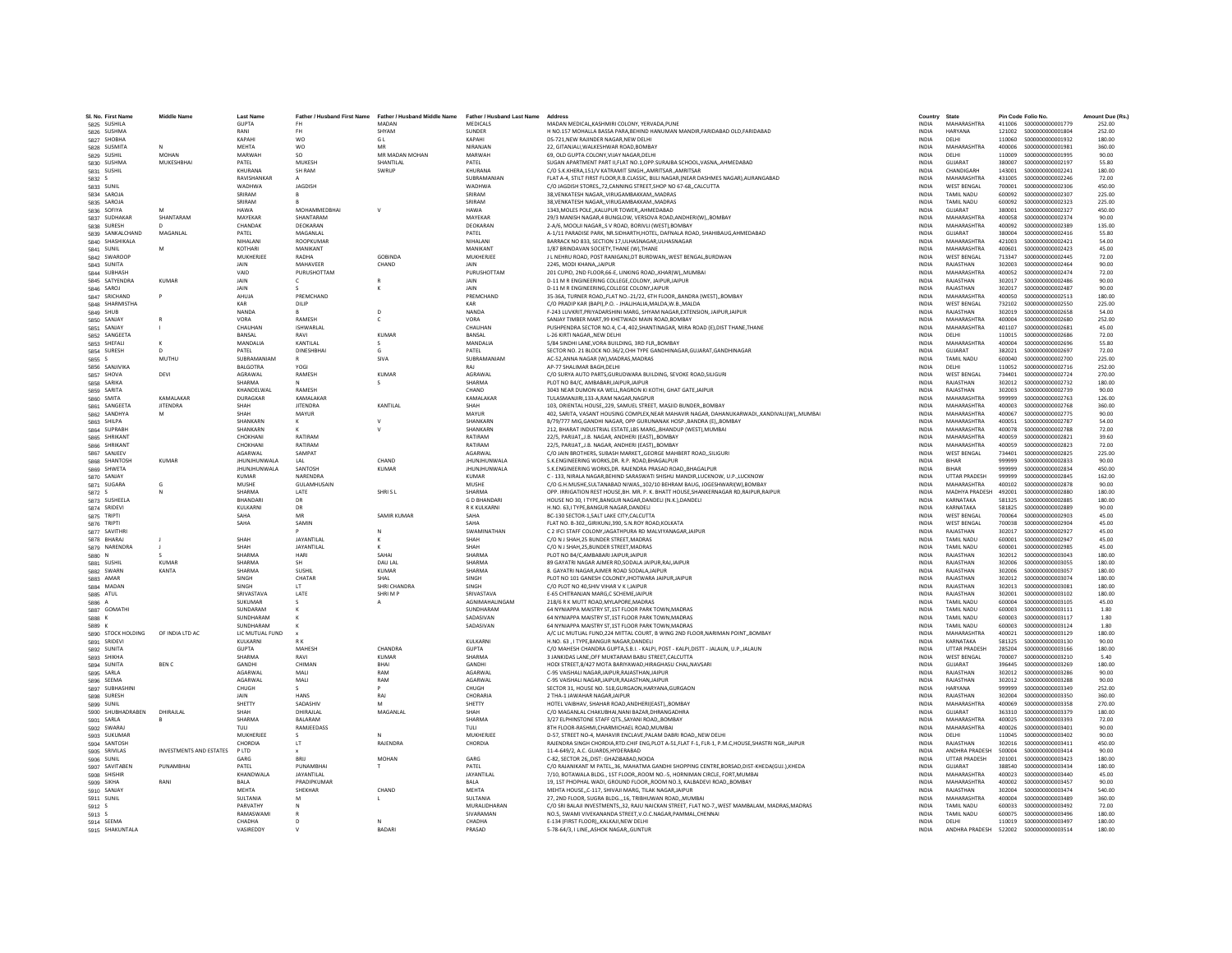| SI, No. First Name          | Middle Name                    | <b>Last Name</b>     | Father / Husband First Name | Father / Husband Middle Name<br>MADAN | <b>Father / Husband Last Name</b> | Address<br>MADAN MEDICAL.KASHMIRI COLONY, YERVADA.PUNE                                                                                                   | Country<br><b>INDIA</b>      | State<br>MAHARASHTRA          |                  | Pin Code Folio No<br>S000000000001779  | Amount Due (Rs.  |
|-----------------------------|--------------------------------|----------------------|-----------------------------|---------------------------------------|-----------------------------------|----------------------------------------------------------------------------------------------------------------------------------------------------------|------------------------------|-------------------------------|------------------|----------------------------------------|------------------|
| 5825 SUSHILA<br>5826 SUSHMA |                                | <b>GUPTA</b><br>RANI | <b>FH</b>                   | SHYAM                                 | <b>MEDICALS</b><br><b>SUNDER</b>  | H NO.157 MOHALLA BASSA PARA, BEHIND HANUMAN MANDIR, FARIDABAD OLD, FARIDABAD                                                                             | <b>INDIA</b>                 | <b>HARYANA</b>                | 411006<br>121002 | \$000000000001804                      | 252.00<br>252.00 |
| 5827 SHOBHA                 |                                | KAPAHI               | <b>WO</b>                   | GL                                    | KAPAHI                            | DS-721.NEW RAJINDER NAGAR.NEW DELHI                                                                                                                      | <b>INDIA</b>                 | <b>DELHI</b>                  | 110060           | \$000000000001932                      | 180.00           |
|                             |                                | MEHTA                | <b>WO</b>                   | MR                                    | <b>NIRANIAN</b>                   | 22. GITANJALI.WALKESHWAR ROAD.BOMBAY                                                                                                                     | <b>INDIA</b>                 | MAHARASHTRA                   | 400006           | S000000000001981                       | 360.00           |
| 5828 SUSMITA                | <b>MOHAN</b>                   | MARWAH               |                             | MR MADAN MOHAN                        | MARWAH                            | 69, OLD GUPTA COLONY, VIJAY NAGAR, DELHI                                                                                                                 | INDIA                        | DELHI                         | 110009           | S000000000001995                       | 90.00            |
| 5829 SUSHIL                 |                                |                      |                             |                                       | PATFI                             | SUGAN APARTMENT PART II.FLAT NO.1.OPP.SURAJBA SCHOOL.VASNAAHMEDABAD                                                                                      |                              |                               |                  |                                        |                  |
| 5830 SUSHMA                 | MUKESHBHAI                     | PATEL<br>KHURANA     | MUKESH<br><b>SH RAM</b>     | SHANTILAL<br>SWRUP                    | KHURANA                           | C/O S.K.KHERA.151/V KATRAMIT SINGHAMRITSARAMRITSAR                                                                                                       | <b>INDIA</b><br><b>INDIA</b> | GUJARAT<br>CHANDIGARH         | 380007<br>143001 | S00000000002197<br>\$000000000002241   | 55.80<br>180.00  |
| 5831 SUSHIL                 |                                | RAVISHANKAI          |                             |                                       | SUBRAMANIAN                       |                                                                                                                                                          |                              | MAHARASHTRA                   |                  |                                        |                  |
| 5832 S<br>5833 SUNIL        |                                | <b>WADHW</b>         | <b>JAGDISH</b>              |                                       | <b>WADHWA</b>                     | FLAT A-4, STILT FIRST FLOOR, R.B.CLASSIC, BIJLI NAGAR, (NEAR DASHMES NAGAR), AURANGABAD<br>C/O JAGDISH STORES,,72,CANNING STREET,SHOP NO 67-68,,CALCUTTA | INDIA<br><b>INDIA</b>        | <b>WEST BENGAL</b>            | 431005<br>700001 | \$000000000002246<br>\$000000000002306 | 72.00<br>450.00  |
| 5834 SAROJA                 |                                | SRIRAM               |                             |                                       | SRIRAM                            | 38.VENKATESH NAGAR., VIRUGAMBAKKAM, MADRAS                                                                                                               | <b>INDIA</b>                 | TAMIL NADU                    | 600092           | S000000000002307                       | 225.00           |
|                             |                                | SRIRAM               |                             |                                       | SRIRAM                            |                                                                                                                                                          | <b>INDIA</b>                 | TAMII NADLI                   | 600092           | \$000000000002323                      | 225.00           |
| 5835 SAROJA                 |                                |                      |                             |                                       |                                   | 38, VENKATESH NAGAR, , VIRUGAMBAKKAM., MADRAS                                                                                                            |                              |                               |                  |                                        |                  |
| 5836 SOFIYA                 | SHANTARAM                      | <b>HAWA</b>          | MOHAMMEDBHAI<br>SHANTARAM   |                                       | <b>HAWA</b>                       | 1343.MOLES POLEKALUPUR TOWERAHMEDABAD                                                                                                                    | <b>INDIA</b>                 | GUJARAT<br><b>MAHARASHTRA</b> | 380001           | \$000000000002327                      | 450.00           |
| 5837 SUDHAKAR               |                                | MAYEKAE<br>CHANDAK   |                             |                                       | MAYEKAR                           | 29/3 MANISH NAGAR,4 BUNGLOW, VERSOVA ROAD, ANDHERI(W),, BOMBAY<br>2-A/6, MOOLJI NAGARS V ROAD, BORIVLI (WEST) BOMBAY                                     | <b>INDIA</b><br><b>INDIA</b> | MAHARASHTRA                   | 400058           | S00000000002374<br>\$000000000002389   | 90.00<br>135.00  |
| 5838 SURESH                 |                                |                      | DEOKARAN                    |                                       | DEOKARAN<br>PATFI                 |                                                                                                                                                          |                              | GUIARAT                       | 400092<br>380004 |                                        |                  |
| 5839 SANKALCHAND            | MAGANLAL                       | PATEL                | MAGANLAL                    |                                       |                                   | A-1/11 PARADISE PARK, NR.SIDHARTH, HOTEL, DAFNALA ROAD, SHAHIBAUG, AHMEDABAD                                                                             | <b>INDIA</b>                 |                               |                  | \$000000000002416                      | 55.80            |
| 5840 SHASHIKALA             |                                | NIHALAN<br>KOTHARI   | ROOPKUMAF                   |                                       | NIHALANI                          | BARRACK NO 833, SECTION 17, ULHASNAGAR, ULHASNAGAR                                                                                                       | INDIA                        | MAHARASHTRA<br>MAHARASHTRA    | 421003           | S000000000002421                       | 54.00            |
| 5841 SUNIL                  | M                              |                      | MANIKANT                    |                                       | MANIKANT                          | 1/87 BRINDAVAN SOCIETY.THANE (W).THANE                                                                                                                   | <b>INDIA</b>                 |                               | 400601           | \$000000000002423                      | 45.00            |
| 5842 SWAROOP                |                                | MUKHERJEE            | RADHA                       | <b>GOBINDA</b>                        | MUKHERJEE                         | J L NEHRU ROAD, POST RANIGANJ, DT BURDWAN, , WEST BENGAL, BURDWAN                                                                                        | <b>INDIA</b>                 | <b>WEST BENGAL</b>            | 713347           | S000000000002445                       | 72.00            |
| 5843 SUNITA                 |                                | <b>JAIN</b>          | MAHAVEER                    | CHAND                                 | <b>JAIN</b>                       | 2245. MODI KHANA, JAIPUR                                                                                                                                 | <b>INDIA</b>                 | RAJASTHAN                     | 302003           | S00000000002464                        | 90.00            |
| 5844 SUBHASH                |                                | VAID                 | PURUSHOTTAN                 |                                       | PURUSHOTTAM                       | 201 CUPID, 2ND FLOOR, 66-E, LINKING ROAD, KHAR(W), MUMBAI                                                                                                | INDIA                        | MAHARASHTRA                   | 400052           | S000000000002474                       | 72.00            |
| 5845 SATYENDRA              | <b>KUMAR</b>                   | JAIN                 | c.                          |                                       | JAIN                              | D-11 M R ENGINEERING COLLEGE, COLONY, JAIPUR, JAIPUR                                                                                                     | INDIA                        | RAJASTHAN                     | 302017           | S000000000002486                       | 90.00            |
| 5846 SAROJ                  |                                | <b>JAIN</b>          |                             |                                       | <b>JAIN</b>                       | D-11 M R ENGINEERING COLLEGE COLONY JAIPUR                                                                                                               | <b>INDIA</b>                 | RAIASTHAN                     | 302017           | \$000000000002487                      | 90.00            |
| 5847 SRICHAND               |                                | AHUJA                | PREMCHAND                   |                                       | PREMCHAND                         | 35-36A, TURNER ROAD, FLAT NO.-21/22, 6TH FLOOR, BANDRA (WEST), BOMBAY                                                                                    | <b>INDIA</b>                 | <b>MAHARASHTRA</b>            | 400050           | \$000000000002513                      | 180.00           |
| 5848 SHARMISTHA             |                                | KAR                  | DILIP                       |                                       | KAR                               | C/O PRADIP KAR (BAPI), P.O. - JHALJHALIA, MALDA, W.B., MALDA                                                                                             | <b>INDIA</b>                 | <b>WEST BENGAL</b>            | 732102           | \$00000000002550                       | 225.00           |
| 5849 SHUB                   |                                | NANDA                |                             | $\mathsf{D}$                          | <b>NANDA</b>                      | F-243 LUVKRIT.PRIYADARSHINI MARG. SHYAM NAGAR.EXTENSION. JAIPUR.JAIPUR                                                                                   | <b>INDIA</b>                 | RAIASTHAN                     | 302019           | \$000000000002658                      | 54.00            |
| 5850 SANJAY                 |                                | VORA                 | <b>RAMESH</b>               |                                       | VORA                              | SANJAY TIMBER MART, 99 KHETWADI MAIN ROAD, BOMBAY                                                                                                        | <b>INDIA</b>                 | MAHARASHTRA                   | 400004           | \$00000000002680                       | 252.00           |
| 5851 SANJAY                 |                                | CHAUHAN              | ISHWARLAL                   |                                       | CHAUHAN                           | PUSHPENDRA SECTOR NO.4, C-4, 402, SHANTINAGAR, MIRA ROAD (E), DIST THANE, THANE                                                                          | <b>INDIA</b>                 | MAHARASHTRA                   | 401107           | S00000000002681                        | 45.00            |
| 5852 SANGEETA               |                                | BANSAL               | RAVI                        | KUMAR                                 | BANSAL                            | L-26 KIRTI NAGARNEW DELHI                                                                                                                                | INDIA                        | DELHI                         | 110015           | \$000000000002686                      | 72.00            |
| 5853 SHEFALL                |                                | MANDALIA             | KANTILAL                    |                                       | MANDALIA                          | 5/84 SINDHI LANE.VORA BUILDING, 3RD FLR., BOMBAY                                                                                                         | <b>INDIA</b>                 | MAHARASHTRA                   | 400004           | \$000000000002696                      | 55.80            |
| 5854 SURESH                 |                                | PATFI                | <b>DINESHRHAI</b>           | $\mathsf{G}$                          | PATFI                             | SECTOR NO. 21 BLOCK NO.36/2,CHH TYPE GANDHINAGAR, GUJARAT, GANDHINAGAR                                                                                   | <b>INDIA</b>                 | <b>GUIARAT</b>                | 382021           | \$000000000002697                      | 72.00            |
| 5855                        | MUTHU                          | SUBRAMANIAM          |                             | SIVA                                  | SUBRAMANIAM                       | AC-52, ANNA NAGAR (W), MADRAS, MADRAS                                                                                                                    | INDIA                        | TAMIL NADU                    | 600040           | \$000000000002700                      | 225.00           |
| 5856 SANJIVIKA              |                                | <b>BALGOTRA</b>      | YOGI                        |                                       | RAJ                               | AP-77 SHALIMAR BAGH.DELHI                                                                                                                                | <b>INDIA</b>                 | DELHI                         | 110052           | S00000000002716                        | 252.00           |
| 5857 SHOVA                  | DEVI                           | AGRAWAL              | RAMESH                      | <b>KUMAR</b>                          | AGRAWAL                           | C/O SURYA AUTO PARTS, GURUDWARA BUILDING, SEVOKE ROAD, SILIGURI                                                                                          | <b>INDIA</b>                 | <b>WEST BENGAL</b>            | 734401           | S00000000002724                        | 270.00           |
| 5858 SARIKA                 |                                | SHARMA               |                             |                                       | SHARMA                            | PLOT NO B4/C. AMBABARI JAIPUR JAIPUR                                                                                                                     | <b>INDIA</b>                 | RAIASTHAN                     | 302012           | \$000000000002732                      | 180.00           |
| 5859 SARITA                 |                                | KHANDELWA            | RAMESH                      |                                       | CHAND                             | 3043 NEAR DUMON KA WELL, RAGRON KI KOTHI, GHAT GATE, JAIPUR                                                                                              | INDIA                        | RAJASTHAN                     | 302003           | \$000000000002739                      | 90.00            |
| 5860 SMITA                  | KAMALAKAR                      | DURAGKAR             | KAMALAKAF                   |                                       | KAMALAKAR                         | TULASMANJIRI,133-A,RAM NAGAR,NAGPUR                                                                                                                      | <b>INDIA</b>                 | MAHARASHTRA                   | 999999           | \$00000000002763                       | 126.00           |
| 5861 SANGEETA               | <b>JITENDRA</b>                | SHAH                 | <b>IITENDRA</b>             | <b>KANTILAI</b>                       | SHAH                              | 103. ORIENTAL HOUSE229. SAMUEL STREET, MASJID BUNDERBOMBAY                                                                                               | <b>INDIA</b>                 | MAHARASHTRA                   | 400003           | \$000000000002768                      | 360.00           |
| 5862 SANDHYA                | M                              | SHAH                 | MAYUR                       |                                       | MAYUR                             | 402, SARITA, VASANT HOUSING COMPLEX, NEAR MAHAVIR NAGAR, DAHANUKARWADI,, KANDIVALI(W),, MUMBAI                                                           | <b>INDIA</b>                 | MAHARASHTRA                   | 400067           | S00000000002775                        | 90.00            |
| 5863 SHILPA                 |                                | <b>SHANKARM</b>      |                             |                                       | SHANKARN                          | B/79/777 MIG, GANDHI NAGAR, OPP GURUNANAK HOSP., BANDRA (E), BOMBAY                                                                                      | INDIA                        | MAHARASHTRA                   | 400051           | S00000000002787                        | 54.00            |
| 5864 SUPRABI                |                                | SHANKARM             |                             |                                       | SHANKARN                          | 212, BHARAT INDUSTRIAL ESTATE,LBS MARG,, BHANDUP (WEST), MUMBAI                                                                                          | <b>INDIA</b>                 | MAHARASHTRA                   | 400078           | \$000000000002788                      | 72.00            |
| 5865 SHRIKANT               |                                | CHOKHANI             | RATIRAM                     |                                       | RATIRAM                           | 22/5. PARIJAT.J.B. NAGAR. ANDHERI (EAST)BOMBAY                                                                                                           | <b>INDIA</b>                 | MAHARASHTRA                   | 400059           | S000000000002821                       | 39.60            |
| 5866 SHRIKAN'               |                                | CHOKHAN              | RATIRAM                     |                                       | RATIRAM                           | 22/5, PARIJAT, J.B. NAGAR, ANDHERI (EAST), BOMBAY                                                                                                        | <b>INDIA</b>                 | MAHARASHTRA                   | 400059           | \$000000000002823                      | 72.00            |
| 5867 SANJEEV                |                                | AGARWAL              | SAMPAT                      |                                       | AGARWAL                           | C/O JAIN BROTHERS, SUBASH MARKET, GEORGE MAHBERT ROAD, SILIGUR                                                                                           | INDIA                        | <b>WEST BENGAL</b>            | 734401           | \$000000000002825                      | 225.00           |
| <b>5868 SHANTOSH</b>        | <b>KUMAR</b>                   | JHUNJHUNWALA         | IAI                         | CHAND                                 | <b>JHUNJHUNWALA</b>               | S.K.ENGINEERING WORKS.DR. R.P. ROAD.BHAGALPUR                                                                                                            | <b>INDIA</b>                 | <b>RIHAR</b>                  | 999999           | \$000000000002833                      | 90.00            |
| 5869 SHWETA                 |                                | <b>IHUNIHUNWALA</b>  | SANTOSH                     | KUMAR                                 | <b>IHUNIHUNWALA</b>               | S.K.ENGINEERING WORKS.DR. RAJENDRA PRASAD ROADBHAGALPUR                                                                                                  | <b>INDIA</b>                 | <b>RIHAR</b>                  | 999999           | \$000000000002834                      | 450.00           |
| 5870 SANJAY                 |                                | <b>KUMAR</b>         | NARENDRA                    |                                       | <b>KUMAR</b>                      | C - 133, NIRALA NAGAR, BEHIND SARASWATI SHISHU MANDIR, LUCKNOW, U.P., LUCKNOW                                                                            | <b>INDIA</b>                 | <b>UTTAR PRADESH</b>          | 999999           | S00000000002845                        | 162.00           |
| 5871 SUGARA                 | Ġ                              | MUSHE                | GULAMHUSAIN                 |                                       | MUSHI                             | C/O G.H.MUSHE, SULTANABAD NIWAS,, 102/10 BEHRAM BAUG, JOGESHWARI(W), BOMBAY                                                                              | <b>INDIA</b>                 | MAHARASHTRA                   | 400102           | \$000000000002878                      | 90.00            |
| 5872 S                      |                                | SHARMA               | LATE                        | SHRISL                                | SHARMA                            | OPP, IRRIGATION REST HOUSE.BH, MR, P. K. BHATT HOUSE.SHANKERNAGAR RD.RAIPUR.RAIPUR                                                                       | <b>INDIA</b>                 | MADHYA PRADESH                | 492001           | \$000000000002880                      | 180.00           |
| 5873 SUSHEELA               |                                | <b>RHANDAR</b>       | DR                          |                                       | <b>GD RHANDAR</b>                 | HOUSE NO 30, I TYPE, BANGUR NAGAR, DANDELI (N.K.), DANDELI                                                                                               | <b>INDIA</b>                 | KARNATAKA                     | 581325           | \$000000000002885                      | 180.00           |
| 5874 SRIDEVI                |                                | KULKARN              | DR                          |                                       | R K KULKARNI                      | H.NO. 63.I TYPE.BANGUR NAGAR.DANDELI                                                                                                                     | <b>INDIA</b>                 | KARNATAKA                     | 581825           | \$00000000002889                       | 90.00            |
| 5875 TRIPTI                 |                                | SAHA                 | MR                          | SAMIR KUMAR                           | SAHA                              | BC-130 SECTOR-1, SALT LAKE CITY, CALCUTTA                                                                                                                | <b>INDIA</b>                 | <b>WEST BENGAL</b>            | 700064           | \$000000000002903                      | 45.00            |
| 5876 TRIPTI                 |                                | SAHA                 | SAMIN                       |                                       | SAHA                              | FLAT NO. B-302., GIRIKUNJ.390, S.N.ROY ROAD.KOLKATA                                                                                                      | <b>INDIA</b>                 | <b>WEST BENGAL</b>            | 700038           | \$000000000002904                      | 45.00            |
| 5877 SAVITHRI               |                                |                      |                             |                                       | SWAMINATHAN                       | C 2 IFCI STAFF COLONY, JAGATHPURA RD MALVIYANAGAR JAIPUR                                                                                                 | <b>INDIA</b>                 | RAIASTHAN                     | 302017           | \$000000000002927                      | 45.00            |
| 5878 BHARAJ                 |                                | SHAH                 | <b>JAYANTILAI</b>           |                                       | SHAH                              | C/O N J SHAH, 25 BUNDER STREET, MADRAS                                                                                                                   | INDIA                        | TAMIL NADU                    | 600001           | \$000000000002947                      | 45.00            |
| 5879 NARENDRA               |                                | SHAH                 | <b>JAYANTILAI</b>           |                                       | SHAH                              | C/O N J SHAH.25.BUNDER STREET.MADRAS                                                                                                                     | <b>INDIA</b>                 | TAMIL NADU                    | 600001           | \$000000000002985                      | 45.00            |
| 5880 N                      |                                | <b>SHARMA</b>        | HARI                        | SAHAI                                 | <b>SHARMA</b>                     | PLOT NO B4/C.AMBABARI JAIPUR.JAIPUR                                                                                                                      | <b>INDIA</b>                 | RAJASTHAN                     | 302012           | \$000000000003043                      | 180.00           |
| 5881 SUSHIL                 | KUMAR                          | SHARMA               | <b>SH</b>                   | DAU LAL                               | <b>SHARMA</b>                     | 89 GAYATRI NAGAR AJMER RD, SODALA JAIPUR, RAJ, JAIPUR                                                                                                    | <b>INDIA</b>                 | RAIASTHAN                     | 302006           | \$000000000003055                      | 180.00           |
| 5882 SWARN                  | KANTA                          | SHARMA               | SUSHIL                      | <b>KUMAR</b>                          | <b>SHARMA</b>                     | 8. GAYATRI NAGAR AJMER ROAD SODALA JAIPU                                                                                                                 | <b>INDIA</b>                 | RAJASTHAN                     | 302006           | \$000000000003057                      | 180.00           |
| 5883 AMAR                   |                                | SINGH                | CHATAR                      | SHAL                                  | SINGH                             | PLOT NO 101 GANESH COLONEY, JHOTWARA JAIPUR, JAIPUR                                                                                                      | INDIA                        | RAJASTHAN                     | 302012           | S000000000003074                       | 180.00           |
| 5884 MADAN                  |                                | SINGH                | <b>IT</b>                   | SHRI CHANDRA                          | <b>SINGH</b>                      | C/O PLOT NO 40 SHIV VIHAR V K L JAIPUR                                                                                                                   | <b>INDIA</b>                 | RAIASTHAN                     | 302013           | \$000000000003081                      | 180.00           |
| 5885 ATUL                   |                                | <b>SRIVASTAVA</b>    | LATE                        | SHRIMP                                | SRIVASTAVA                        | E-65 CHITRANJAN MARG,C SCHEME, JAIPUR                                                                                                                    | <b>INDIA</b>                 | RAJASTHAN                     | 302001           | \$000000000003102                      | 180.00           |
| 5886 A                      |                                | SUKUMAR              |                             |                                       | AGNIMAHALINGAM                    | 218/6 R K MUTT ROAD.MYLAPORE.MADRAS                                                                                                                      | <b>INDIA</b>                 | TAMIL NADU                    | 600004           | S000000000003105                       | 45.00            |
| 5887 GOMATH                 |                                | SUNDARAN             |                             |                                       | SUNDHARAM                         | 64 NYNIAPPA MAISTRY ST.1ST FLOOR PARK TOWN.MADRAS                                                                                                        | <b>INDIA</b>                 | <b>TAMIL NADLI</b>            | 600003           | \$000000000003111                      | 1.80             |
| 5888 K                      |                                | SUNDHARAM            |                             |                                       | SADASIVAN                         | 64 NYNIAPPA MAISTRY ST.1ST FLOOR PARK TOWN.MADRAS                                                                                                        | <b>INDIA</b>                 | <b>TAMIL NADU</b>             | 600003           | S000000000003117                       | 1.80             |
| 5889 K                      |                                | SUNDHARAM            |                             |                                       | SADASIVAN                         | 64 NYNIAPPA MAISTRY ST,1ST FLOOR PARK TOWN, MADRAS                                                                                                       | <b>INDIA</b>                 | <b>TAMIL NADU</b>             | 600003           | S000000000003124                       | 1.80             |
| 5890 STOCK HOLDING          | OF INDIA LTD AC                | LIC MUTUAL FUND      |                             |                                       |                                   | A/C LIC MUTUAL FUND, 224 MITTAL COURT, B WING 2ND FLOOR, NARIMAN POINT, BOMBAY                                                                           | INDIA                        | <b>MAHARASHTR</b>             | 400021           | \$000000000003129                      | 180.00           |
| 5891 SRIDEVI                |                                | KULKARNI             |                             |                                       | KULKARNI                          | H.NO. 63 . I TYPE.BANGUR NAGAR.DANDELI                                                                                                                   | <b>INDIA</b>                 | KARNATAKA                     | 581325           | \$000000000003130                      | 90.00            |
| 5892 SUNITA                 |                                | <b>GUPTA</b>         | <b>MAHFSH</b>               | CHANDRA                               | <b>GUPTA</b>                      | C/O MAHESH CHANDRA GUPTA S.B.I. - KALPI, POST - KALPI,DISTT - JALAUN, U.P. JALAUN                                                                        | <b>INDIA</b>                 | <b>UTTAR PRADESH</b>          | 285204           | \$000000000003166                      | 180.00           |
| 5893 SHIKHA                 |                                | SHARMA               | RAVI                        | <b>KUMAR</b>                          | <b>SHARMA</b>                     | 3 JANKIDAS LANE, OFF MUKTARAM BABU STREET, CALCUTT/                                                                                                      | INDIA                        | WEST BENGAL                   | 700007           | \$000000000003210                      | 5.40             |
| 5894 SUNITA                 | <b>BENC</b>                    | GANDHI               | CHIMAN                      | BHAI                                  | GANDHI                            | HODI STREET,8/427 MOTA BARIYAWAD,HIRAGHASU CHAL,NAVSARI                                                                                                  | <b>INDIA</b>                 | GUJARAT                       | 396445           | \$000000000003269                      | 180.00           |
| 5895 SARLA                  |                                | <b>AGARWAI</b>       | MALL                        | RAM                                   | AGARWA                            | C-95 VAISHALI NAGARJAIPUR.RAJASTHANJAIPUR                                                                                                                | <b>INDIA</b>                 | RAIASTHAN                     | 302012           | \$000000000003286                      | 90.00            |
| 5896 SEEMA                  |                                | AGARWAI              | MALI                        | RAM                                   | <b>AGARWAI</b>                    | C-95 VAISHALI NAGAR JAIPUR RAJASTHAN JAIPUR                                                                                                              | <b>INDIA</b>                 | RAIASTHAN                     | 302012           | \$000000000003288                      | 90.00            |
| 5897 SUBHASHINI             |                                | CHUGH                |                             |                                       | CHUGH                             | SECTOR 31, HOUSE NO. 518, GURGAON, HARYANA, GURGAON                                                                                                      | <b>INDIA</b>                 | <b>HARYANA</b>                | 999999           | \$000000000003349                      | 252.00           |
| 5898 SURESH                 |                                | <b>JAIN</b>          | <b>HANS</b>                 | RAJ                                   | CHORARIA                          | 2 THA-1 JAWAHAR NAGAR JAIPUR                                                                                                                             | INDIA                        | RAJASTHAN                     | 302004           | \$000000000003350                      | 360.00           |
| 5899 SUNIL                  |                                | SHETTY               | SADASHIV                    |                                       | SHETTY                            | HOTEL VAIBHAV, SHAHAR ROAD, ANDHERI(EAST) BOMBAY                                                                                                         | <b>INDIA</b>                 | MAHARASHTRA                   | 400069           | \$000000000003358                      | 270.00           |
| 5900 SHUBHADRABEN           | DHIRAILAI                      | SHAH                 | <b>DHIRAILAI</b>            | MAGANI AI                             | SHAH                              | C/O MAGANLAL CHAKUBHAI, NANI BAZAR, DHRANGADHRA                                                                                                          | <b>INDIA</b>                 | GUIARAT                       | 363310           | \$000000000003379                      | 180.00           |
| 5901 SARLA                  |                                | <b>SHARMA</b>        | <b>BALARAM</b>              |                                       | <b>SHARMA</b>                     | 3/27 ELPHINSTONE STAFF QTS., SAYANI ROAD,, BOMBAY                                                                                                        | INDIA                        | <b>MAHARASHTRA</b>            | 400025           | \$000000000003393                      | 72.00            |
| 5902 SWARAJ                 |                                | TULI                 | RAMJEEDASS                  |                                       | TULI                              | 8TH FLOOR-RASHMI.CHARMICHAEL ROAD.MUMBAI                                                                                                                 | <b>INDIA</b>                 | MAHARASHTRA                   | 400026           | \$000000000003401                      | 90.00            |
| 5903 SUKUMAR                |                                | MUKHERJEE            |                             |                                       | MUKHERJEE                         | D-57, STREET NO-4, MAHAVIR ENCLAVE, PALAM DABRI ROADNEW DELHI                                                                                            | <b>INDIA</b>                 | DELHI                         | 110045           | \$000000000003402                      | 90.00            |
| 5904 SANTOSH                |                                | CHORDIA              | <b>IT</b>                   | RAIFNDRA                              | CHORDIA                           | RAJENDRA SINGH CHORDIA, RTD.CHIF ENG, PLOT A-51, FLAT F-1, FLR-1, P.M.C, HOUSE, SHASTRI NGR, JAIPUR                                                      | <b>INDIA</b>                 | RAIASTHAN                     | 302016           | S000000000003411                       | 450.00           |
| 5905 SRIVILAS               | <b>INVESTMENTS AND ESTATES</b> | <b>PLTD</b>          |                             |                                       |                                   | 11-4-649/2, A.C. GUARDS, HYDERABAD                                                                                                                       | INDIA                        | ANDHRA PRADESH                | 500004           | S000000000003414                       | 90.00            |
| 5906 SUNIL                  |                                | GARG                 |                             | <b>MOHAN</b>                          | GARG                              | C-82, SECTOR 26., DIST: GHAZI8ABAD.NOIDA                                                                                                                 | INDIA                        | <b>UTTAR PRADESH</b>          | 201001           | \$000000000003423                      | 180.00           |
| 5907 SAVITABEN              | PUNAMRHAI                      | PATFI                | PUNAMBHAI                   |                                       | PATFI                             | C/O RAJANIKANT M PATEL36, MAHATMA GANDHI SHOPPING CENTRE.BORSAD.DIST-KHEDA(GUJ.).KHEDA                                                                   | <b>INDIA</b>                 | GUIARAT                       | 388540           | \$000000000003434                      | 180.00           |
| 5908 SHISHIR                |                                | KHANDWALA            | JAYANTILAL                  |                                       | JAYANTILAL                        | 7/10, BOTAWALA BLDG., 1ST FLOOR,,ROOM NO.-5, HORNIMAN CIRCLE, FORT,MUMBAI                                                                                | <b>INDIA</b>                 | MAHARASHTRA                   | 400023           | S000000000003440                       | 45.00            |
| 5909 SIKHA                  | RANI                           | <b>BALA</b>          | PRADIPKUMAR                 |                                       | <b>BALA</b>                       | 19, 1ST PHOPHAL WADI, GROUND FLOOR, ROOM NO.3, KALBADEVI ROAD, BOMBAY                                                                                    | <b>INDIA</b>                 | MAHARASHTRA                   | 400002           | \$00000000003457                       | 90.00            |
| 5910 SANJAY                 |                                | MEHTA                | SHEKHAR                     | CHAND                                 | <b>MEHTA</b>                      | MEHTA HOUSEC-117. SHIVAJI MARG. TILAK NAGARJAIPUR                                                                                                        | <b>INDIA</b>                 | RAJASTHAN                     | 302004           | S000000000003474                       | 540.00           |
| 5911 SUNIL                  |                                | SULTANIA             | M                           |                                       | <b>SUITANIA</b>                   | 27, 2ND FLOOR, SUGRA BLDG., 16, TRIBHUWAN ROAD, MUMBAI                                                                                                   | <b>INDIA</b>                 | MAHARASHTRA                   | 400004           | \$000000000003489                      | 360.00           |
| 5912 S                      |                                | PARVATHY             |                             |                                       | MURALIDHARAM                      | C/O SRI BALAJI INVESTMENTS,,32, RAJU NAICKAN STREET, FLAT NO-7,,WEST MAMBALAM, MADRAS, MADRAS                                                            | <b>INDIA</b>                 | <b>TAMIL NADU</b>             | 600033           | \$000000000003492                      | 72.00            |
|                             |                                | RAMASWAM             |                             |                                       | SIVARAMAN                         | NO.5, SWAMI VIVEKANANDA STREET, V.O.C.NAGAR, PAMMAL, CHENNAI                                                                                             | INDIA                        | <b>TAMIL NADU</b>             | 600075           | \$000000000003496                      | 180.00           |
| 5913 S<br>5914 SEEMA        |                                | CHADHA               |                             |                                       | CHADHA                            | E-134 (FIRST FLOOR) KALKAJI.NEW DELHI                                                                                                                    | <b>INDIA</b>                 | DELHI                         |                  |                                        | 180.00           |
| 5915 SHAKUNTALA             |                                | VASIREDDY            |                             | <b>BADARI</b>                         | PRASAD                            | 5-78-64/3. I LINEASHOK NAGARGUNTUR                                                                                                                       | <b>INDIA</b>                 | ANDHRA PRADESH                |                  |                                        | 180.00           |
|                             |                                |                      |                             |                                       |                                   |                                                                                                                                                          |                              |                               |                  |                                        |                  |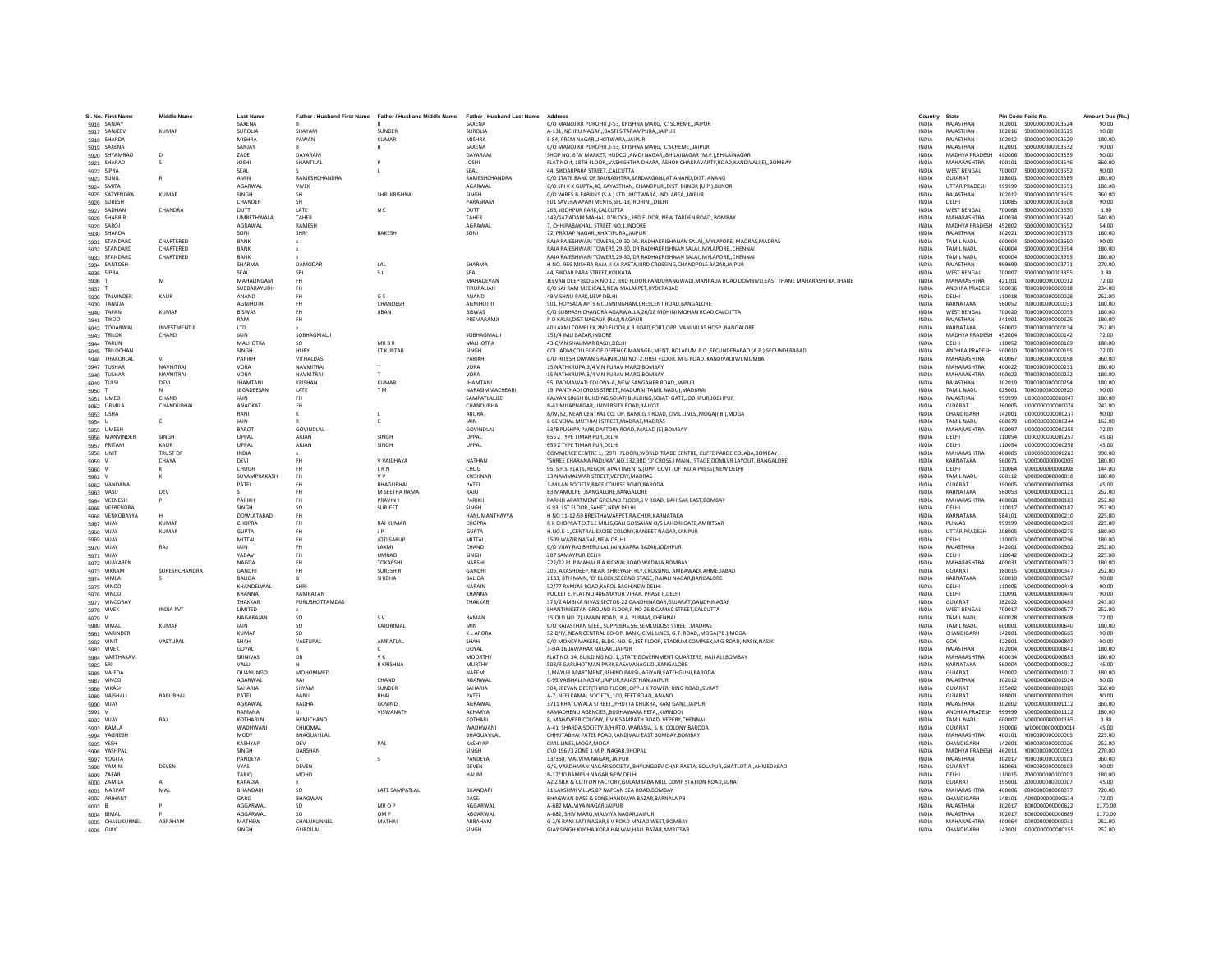| SL No. First Name             | <b>Middle Name</b>   | <b>Last Name</b>           |                        | Father / Husband First Name Father / Husband Middle Name Father / Husband Last Name |                          | Address                                                                                                                       | Country                      | State                              |                  | Pin Code Folio No.                     | Amount Due (Rs.) |
|-------------------------------|----------------------|----------------------------|------------------------|-------------------------------------------------------------------------------------|--------------------------|-------------------------------------------------------------------------------------------------------------------------------|------------------------------|------------------------------------|------------------|----------------------------------------|------------------|
| 5916 SANJAY                   |                      | SAXENA                     |                        |                                                                                     | SAXENA                   | C/O MANOJ KR PUROHIT.J-53, KRISHNA MARG, 'C' SCHEMEJAIPUR                                                                     | <b>INDIA</b>                 | RAJASTHAN                          |                  |                                        | 90.00            |
| 5917 SANJEEV                  | KUMAR                | <b>SUROUA</b>              | SHAYAM                 | <b>SUNDER</b>                                                                       | <b>SUROUA</b>            | A-131 NEHRU NAGAR RASTI SITARAMPURA JAIPUR                                                                                    | <b>INDIA</b>                 | RAIASTHAN                          |                  | 302016 \$000000000003525               | 90.00            |
| 5918 SHARDA                   |                      | <b>MISHRA</b>              | PAWAN                  | <b>KUMAR</b>                                                                        | <b>MISHRA</b>            | E-84, PREM NAGAR, JHOTWARA, JAIPUR                                                                                            | <b>INDIA</b>                 | RAIASTHAN                          | 302012           | \$000000000003529                      | 180.00           |
| 5919 SAXENA                   |                      | SANJAY                     |                        |                                                                                     | SAXENA                   | C/O MANOJ KR PUROHIT, J-53, KRISHNA MARG, 'C'SCHEME,, JAIPUR                                                                  | INDIA                        | RAJASTHAN                          | 302001           | \$000000000003532                      | 90.00            |
| 5920 SHYAMRAO                 | D                    | ZADE                       | DAYARAN                |                                                                                     | DAYARAM                  | SHOP NO. 6 'A' MARKET, HUDCO,,AMDI NAGAR,,BHILAINAGAR (M.P.),BHILAINAGAR                                                      | <b>INDIA</b>                 | MADHYA PRADESH                     | 490006           | \$000000000003539                      | 90.00            |
| 5921 SHARAD                   | s                    | <b>JOSHI</b><br>SEAL       | SHANTILAL              |                                                                                     | <b>JOSHI</b><br>SEAL     | FLAT NO 4, 18TH FLOOR, VASHISHTHA DHARA, ASHOK CHAKRAVARTY, ROAD, KANDIVALI(E), BOMBAY<br>44 SIKDARPARA STREET, CALCUTTA      | <b>INDIA</b><br><b>INDIA</b> | MAHARASHTRA<br><b>WEST RENGAL</b>  | 400101<br>700007 | \$000000000003546<br>\$000000000003552 | 360.00<br>90.00  |
| 5922 SIPRA<br>5923 SUNIL      |                      | AMIN                       | RAMESHCHANDRA          |                                                                                     | RAMESHCHANDRA            | C/O STATE BANK OF SAURASHTRA, SARDARGANJ, AT. ANAND, DIST. ANAND                                                              | INDIA                        | GUJARAT                            | 388001           | \$000000000003589                      | 180.00           |
| 5924 SMITA                    |                      | AGARWAL                    | <b>VIVEK</b>           |                                                                                     | AGARWAL                  | C/O SRI K K GUPTA, 40, KAYASTHAN, CHANDPUR, ,DIST: BUNOR (U.P.), BUNOR                                                        | <b>INDIA</b>                 | <b>UTTAR PRADESH</b>               | 999999           | \$000000000003591                      | 180.00           |
| 5925 SATYENDRA                | <b>KUMAR</b>         | SINGH                      | <b>SH</b>              | SHRI KRISHNA                                                                        | SINGH                    | C/O WIRES & FABRIKS (S.A.) LTD. JHOTWARA, IND. AREA. JAIPUR                                                                   | <b>INDIA</b>                 | RAJASTHAN                          | 302012           | \$000000000003605                      | 360.00           |
| 5926 SURESH                   |                      | CHANDER                    | <b>SH</b>              |                                                                                     | PARASRAM                 | 501 SAVERA APARTMENTS.SEC-13, ROHINIDELHI                                                                                     | <b>INDIA</b>                 | DELHI                              | 110085           | \$000000000003608                      | 90.00            |
| 5927 SADHAN                   | CHANDRA              | DUTT                       | LATE                   | N <sub>C</sub>                                                                      | DUTT                     | 263, JODHPUR PARK, CALCUTTA                                                                                                   | INDIA                        | WEST BENGAL                        | 700068           | \$000000000003630                      | 1.80             |
| 5928 SHABBIR                  |                      | UMRETHWALA                 | TAHER                  |                                                                                     | TAHER                    | 143/147 ADAM MAHAL, D'BLOCK, 3RD FLOOR, NEW TARDEN ROAD, BOMBAY                                                               | <b>INDIA</b>                 | <b>MAHARASHTRA</b>                 | 400034           | \$000000000003640                      | 540.00           |
| 5929 SAROJ                    |                      | AGRAWAL<br>SONI            | RAMESH<br>SHRI         | RAKESH                                                                              | AGRAWAL<br>SONI          | 7, CHHIPABAKHAL, STREET NO.1, INDORE<br>72. PRATAP NAGAR, KHATIPURA, JAIPUR                                                   | INDIA<br><b>INDIA</b>        | MADHYA PRADESH 452002<br>RAIASTHAN | 302021           | \$000000000003652<br>\$000000000003673 | 54.00<br>180.00  |
| 5930 SHARDA<br>5931 STANDARD  | CHARTERED            | RANK                       |                        |                                                                                     |                          | RAJA RAJESHWARI TOWERS.29-30 DR. RADHAKRISHANAN SALAIMYLAPORE, MADRAS.MADRAS                                                  | <b>INDIA</b>                 | <b>TAMIL NADLI</b>                 | 600004           | \$000000000003690                      | 90.00            |
| 5932 STANDARD                 | CHARTERED            | BANK                       |                        |                                                                                     |                          | RAJA RAJESHWARI TOWERS, 29-30, DR RADHAKRISHNAN SALAI,, MYLAPORE,, CHENNAI                                                    | INDIA                        | TAMIL NADU                         | 600004           | \$000000000003694                      | 180.00           |
| 5933 STANDARD                 | CHARTERED            | BANK                       |                        |                                                                                     |                          | RAJA RAJESHWARI TOWERS.29-30. DR RADHAKRISHNAN SALAIMYLAPORECHENNAI                                                           | <b>INDIA</b>                 | <b>TAMIL NADU</b>                  | 600004           | \$000000000003695                      | 180.00           |
| 5934 SANTOSH                  |                      | SHARMA                     | DAMODAR                | LAL                                                                                 | SHARMA                   | H NO.-959 MISHRA RAJA JI KA RASTA, IIIRD CROSSING, CHANDPOLE BAZAR, JAIPUR                                                    | <b>INDIA</b>                 | RAJASTHAN                          | 999999           | S000000000003771                       | 270.00           |
| 5935 SIPRA                    |                      | SEAL                       | SRI                    | S L                                                                                 | SEAL                     | 44 SIKDAR PARA STREET KOLKATA                                                                                                 | <b>INDIA</b>                 | <b>WEST RENGAL</b>                 | 700007           | \$000000000003855                      | 1.80             |
| 5936                          | M                    | <b>MAHALINGAM</b>          | <b>FH</b>              |                                                                                     | MAHADEVAN                | JEEVAN DEEP BLDG,R NO 12, 3RD FLOOR,PANDURANGWADI,MANPADA ROAD DOMBIVLI,EAST THANE MAHARASHTRA,THANE                          | INDIA                        | MAHARASHTRA                        | 421201           | T000000000000012                       | 72.00            |
| 5937 1<br>5938 TALVINDER      | KAUR                 | SUBBARAYUDH<br>ANAND       | <b>FH</b><br><b>FH</b> | G S                                                                                 | TIRUPALIAH<br>ANAND      | C/O SAI RAM MEDICALS.NEW MALAKPET.HYDERABAD<br>49 VISHNU PARK.NEW DELHI                                                       | <b>INDIA</b><br>INDIA        | ANDHRA PRADESH<br>DELHI            | 500036<br>110018 | T000000000000018<br>T00000000000028    | 234.00<br>252.00 |
| 5939 TANUJA                   |                      | <b>AGNIHOTRI</b>           | <b>FH</b>              | CHANDESH                                                                            | <b>AGNIHOTRI</b>         | 501, HOYSALA APTS 6 CUNNINGHAM, CRESCENT ROAD.BANGALORE                                                                       | <b>INDIA</b>                 | KARNATAKA                          | 560052           | T000000000000031                       | 180.00           |
| 5940 TAPAN                    | KUMAR                | <b>BISWAS</b>              | <b>FH</b>              | <b>JIBAN</b>                                                                        | <b>RISWAS</b>            | C/O SUBHASH CHANDRA AGARWALLA,26/18 MOHINI MOHAN ROAD,CALCUTTA                                                                | <b>INDIA</b>                 | <b>WEST BENGAL</b>                 | 700020           | T000000000000033                       | 180.00           |
| 5941 TIKOO                    |                      | RAM                        | <b>FH</b>              |                                                                                     | PREMARAMJ                | P O KALRI DIST NAGAUR (RAJ).NAGAUR                                                                                            | <b>INDIA</b>                 | RAJASTHAN                          | 341001           | T000000000000125                       | 180.00           |
| 5942 TODARWAL                 | <b>INVESTMENT P</b>  | LTD                        |                        |                                                                                     |                          | 40, LAXMI COMPLEX, 2ND FLOOR, K.R ROAD, FORT, OPP. VANI VILAS HOSP., BANGALORE                                                | INDIA                        | KARNATAKA                          | 560002           | T000000000000134                       | 252.00           |
| 5943 TRILOK                   | CHAND                | <b>JAIN</b>                | SORHAGMALII            |                                                                                     | SORHAGMALII              | 151/4 IMI LBAZAR INDORF                                                                                                       | <b>INDIA</b>                 | MADHYA PRADESH 452004              |                  | T000000000000142                       | 72.00            |
| 5944 TARUN                    |                      | MALHOTRA                   | SO.                    | <b>MRRR</b>                                                                         | <b>MALHOTRA</b>          | 43-C/AN SHALIMAR BAGH.DELHI                                                                                                   | <b>INDIA</b>                 | DELHI                              | 110052           | T000000000000169                       | 180.00           |
| 5945 TRILOCHAN                |                      | <b>SINGH</b><br>PARIKH     | HURY<br>VITHALDAS      | <b>LT KURTAR</b>                                                                    | SINGH<br>PARIKH          | COL. ADM, COLLEGE OF DEFENCE MANAGE-, MENT, BOLARUM P.O., SECUNDERABAD (A.P.), SECUNDERABAD                                   | <b>INDIA</b><br><b>INDIA</b> | ANDHRA PRADESH<br>MAHARASHTRA      | 500010<br>400067 | T000000000000195                       | 72.00<br>360.00  |
| 5946 THAKORLAL<br>5947 TUSHAR | <b>NAVNITRA</b>      | VORA                       | NAVMITRAL              | T                                                                                   | VORA                     | C/O HITESH DIWAN,5 RAJNIKUNJ NO.-2,FIRST FLOOR, M G ROAD, KANDIVALI(W),MUMBAI<br>15 NATHKRUPA, 3/4 V N PURAV MARG, BOMBAY     | INDIA                        | MAHARASHTRA                        | 400022           | T000000000000198<br>T000000000000231   | 180.00           |
| 5948 TUSHAR                   | <b>NAVNITRAI</b>     | VORA                       | NAVNITRAL              | T                                                                                   | VORA                     | 15 NATHKRUPA 3/4 V N PURAV MARG ROMRAY                                                                                        | <b>INDIA</b>                 | MAHARASHTRA                        | 400022           | T000000000000232                       | 180.00           |
| 5949 TULSI                    | DEVI                 | <b>JHAMTANI</b>            | <b>KRISHAN</b>         | <b>KUMAR</b>                                                                        | <b>JHAMTANI</b>          | 55, PADMAWATI COLONY-A,, NEW SANGANER ROAD, JAIPUR                                                                            | INDIA                        | RAJASTHAN                          | 302019           | T000000000000294                       | 180.00           |
| 5950 T                        |                      | JEGADEESAN                 | LATE                   | TM.                                                                                 | NARASIMMACHEARI          | 19, PANTHADI CROSS STREET,, MADURAI (TAMIL NADU), MADURAI                                                                     | <b>INDIA</b>                 | <b>TAMIL NADU</b>                  | 625001           | T000000000000320                       | 90.00            |
| 5951 UMED                     | CHAND                | <b>JAIN</b>                | <b>FH</b>              |                                                                                     | SAMPATLALJEE             | KALYAN SINGH BUILDING, SOJATI BUILDING, SOJATI GATE, JODHPUR, JODHPUR                                                         | INDIA                        | RAJASTHAN                          | 999999           | U000000000000047                       | 180.00           |
| 5952 URMILA                   | CHANDURHAL           | ANADKAT                    | <b>FH</b>              |                                                                                     | CHANDURHA                | <b>B-41 MILAPNAGAR LINIVERSITY ROAD RAIKOT</b>                                                                                | <b>INDIA</b>                 | GUIARAT                            | 360005           | 11000000000000074                      | 243.00           |
| 5953 USHA                     |                      | RANI<br><b>JAIN</b>        |                        | $\mathbf{I}$                                                                        | ARORA<br><b>JAIN</b>     | B/IV/52, NEAR CENTRAL CO. OP. BANK, G.T ROAD, CIVIL LINES, MOGA(PB.), MOGA                                                    | <b>INDIA</b><br><b>INDIA</b> | CHANDIGARH                         | 142001           | 11000000000000237                      | 90.00<br>162.00  |
| 5954 U<br>5955 UMESH          | c                    | <b>BAROT</b>               | GOVINDLA               | c                                                                                   | GOVINDLAL                | 6 GENERAL MUTHIAH STREET, MADRAS, MADRAS<br>33/B PUSHPA PARK, DAFTORY ROAD, MALAD (E), BOMBAY                                 | INDIA                        | <b>TAMIL NADU</b><br>MAHARASHTRA   | 600079<br>400097 | U00000000000244<br>U000000000000255    | 72.00            |
| 5956 MANVINDER                | SINGH                | UPPAL                      | ARJAN                  | SINGH                                                                               | UPPAL                    | 655 Z TYPE TIMAR PUR.DELHI                                                                                                    | <b>INDIA</b>                 | DELHI                              | 110054           | 11000000000000257                      | 45.00            |
| 5957 PRITAM                   | KAUR                 | LIPPAL                     | ARJAN                  | SINGH                                                                               | UPPAL                    | 655 7 TYPE TIMAR PUR DEI HI                                                                                                   | <b>INDIA</b>                 | DELHI                              | 110054           | 11000000000000258                      | 45.00            |
| 5958 UNIT                     | <b>TRUST OF</b>      | <b>INDIA</b>               |                        |                                                                                     |                          | COMMERCE CENTRE 1, (29TH FLOOR), WORLD TRADE CENTRE, CUFFE PARDE, COLABA, BOMBAY                                              | <b>INDIA</b>                 | MAHARASHTRA                        | 400005           | 11000000000000263                      | 990.00           |
| 5959 V                        | CHAYA                | DEVI                       | <b>FH</b>              | V VAIDHAYA                                                                          | NATHAN                   | "SHREE CHARANA PADUKA".NO.132.3RD 'D' CROSS.I MAIN.I STAGE.DOMLVR LAYOUTBANGALORE                                             | <b>INDIA</b>                 | KARNATAKA                          | 560071           | V000000000000005                       | 180.00           |
| 5960 V                        |                      | CHUGH                      | <b>FH</b>              | LRN                                                                                 | CHUG                     | 95, S.F.S. FLATS, REGORI APARTMENTS, (OPP. GOVT. OF INDIA PRESS), NEW DELHI                                                   | INDIA                        | DELHI                              | 110064           | V000000000000008                       | 144.00           |
| 5961 V                        | к                    | SUYAMPRAKASH               | <b>FH</b>              | <b>VV</b>                                                                           | KRISHNAN                 | 13 NAMMALWAR STREET.VEPERY.MADRAS                                                                                             | <b>INDIA</b>                 | <b>TAMIL NADU</b><br>GUIARAT       | 600112           | V000000000000010                       | 180.00           |
| 5962 VANDANA<br>5963 VASU     | DEV                  | PATEL                      | <b>FH</b><br><b>FH</b> | BHAGUBHAI<br>M SEETHA RAMA                                                          | PATEL<br>RAJU            | 3-MILAN SOCIETY, RACE COURSE ROAD, BARODA<br>83 MAMULPET, BANGALORE, BANGALORE                                                | <b>INDIA</b><br>INDIA        | KARNATAKA                          | 390005<br>560053 | V000000000000068<br>V000000000000121   | 45.00<br>252.00  |
| 5964 VEENESH                  |                      | PARIKH                     | <b>FH</b>              | PRAVIN J                                                                            | PARIKH                   | PARIKH APARTMENT GROUND FLOOR,S V ROAD, DAHISAR EAST,BOMBAY                                                                   | INDIA                        | MAHARASHTRA                        | 400068           | V000000000000183                       | 252.00           |
| 5965 VEERENDRA                |                      | SINGH                      | <sub>SO</sub>          | SURJEET                                                                             | SINGH                    | G 93. 1ST FLOORSAHET.NEW DELHI                                                                                                | <b>INDIA</b>                 | DELHI                              | 110017           | V000000000000187                       | 252.00           |
| 5966 VENKOBAYYA               |                      | DOWLATABAD                 | <b>FH</b>              |                                                                                     | HANUMANTHAYYA            | H NO 11-12-59 BRESTHAWARPET.RAICHUR.KARNATAKA                                                                                 | <b>INDIA</b>                 | KARNATAKA                          | 584101           | V000000000000210                       | 225.00           |
| 5967 VIJAY                    | KUMAR                | CHOPRA                     | <b>FH</b>              | RAJ KUMAR                                                                           | CHOPRA                   | R K CHOPRA TEXTILE MILLS, GALI GOSSAIAN O/S LAHORI GATE, AMRITSAR                                                             | <b>INDIA</b>                 | PUNJAR                             | 999999           | V000000000000269                       | 225.00           |
| 5968 VIJAY                    | <b>KUMAR</b>         | <b>GUPTA</b>               | <b>FH</b>              |                                                                                     | <b>GUPTA</b>             | H.NO.E-1,,CENTRAL EXCISE COLONY,RANJEET NAGAR,KANPUR                                                                          | <b>INDIA</b>                 | <b>UTTAR PRADESH</b>               | 208005           | V000000000000275                       | 180.00           |
| 5969 VIJAY                    | RAJ                  | MITTAL<br>JAIN             | <b>FH</b><br><b>FH</b> | <b>JOTI SARUP</b><br>LAXMI                                                          | MITTAL<br>CHAND          | 1509 WAZIR NAGAR.NEW DELHI<br>C/O VIJAY RAJ BHERU LAL JAIN, KAPRA BAZAR, JODHPUR                                              | <b>INDIA</b><br><b>INDIA</b> | DELHI<br>RAJASTHAN                 | 110003<br>342001 | V000000000000296<br>V000000000000302   | 180.00<br>252.00 |
| 5970 VIJAY<br>5971 VIJAY      |                      | VADAV                      | <b>FH</b>              | <b>UMBAO</b>                                                                        | SINGH                    | 207 SAMAYPUR DELHI                                                                                                            | <b>INDIA</b>                 | DELHI                              | 110042           | V000000000000312                       | 225.00           |
| 5972 VIJAYABEN                |                      | NAGDA                      | FH                     | <b>TOKARSHI</b>                                                                     | NARSHI                   | 222/12 RUP MAHAL R A KIDWAI ROAD, WADALA, BOMBAY                                                                              | INDIA                        | <b>MAHARASHTRA</b>                 | 400031           | V000000000000322                       | 180.00           |
| 5973 VIKRAM                   | <b>SURESHCHANDRA</b> | GANDHI                     | FH                     | SURESH R                                                                            | GANDHI                   | 205, AKASHDEEP, NEAR, SHREYASH RLY, CROSSING, AMBAWADI, AHMEDABAD                                                             | INDIA                        | GUJARAT                            | 380015           | V000000000000347                       | 252.00           |
| 5974 VIMLA                    | $\mathcal{L}$        | <b>BALIGA</b>              | $\mathsf R$            | SHIDHA                                                                              | BALIGA                   | 2133. 8TH MAIN. 'D' BLOCK.SECOND STAGE. RAJALI NAGAR.BANGALORE                                                                | <b>INDIA</b>                 | KARNATAKA                          | 560010           | V000000000000387                       | 90.00            |
| 5975 VINOD                    |                      | KHANDELWAL                 | SHRI                   |                                                                                     | <b>NARAIN</b>            | 52/77 RAMJAS ROAD, KAROL BAGH, NEW DELHI                                                                                      | INDIA                        | DELHI                              | 110005           | V000000000000448                       | 90.00            |
| 5976 VINOD                    |                      | KHANNA                     | RAMRATAN               |                                                                                     | KHANNA                   | POCKET E, FLAT NO.406, MAYUR VIHAR, PHASE II, DELHI                                                                           | INDIA                        | DELHI                              | 110091           | V000000000000449                       | 90.00            |
| 5977 VINODRAY<br>5978 VIVEK   | <b>INDIA PVT</b>     | THAKKAR<br>LIMITED         | PURUSHOTTAMDAS         |                                                                                     | THAKKAR                  | 375/2 AMBIKA NIVAS, SECTOR-22 GANDHINAGAR, GUJARAT, GANDHINAGAR<br>SHANTINIKETAN GROUND FLOOR.R NO 26 8 CAMAC STREET.CALCUTTA | INDIA<br><b>INDIA</b>        | GUJARAT<br><b>WEST BENGAL</b>      | 382022<br>700017 | V000000000000489<br>V000000000000577   | 243.00<br>252.00 |
| 5979 V                        |                      | NAGARAJAN                  | so                     | S V                                                                                 | RAMAN                    | 15(OLD NO. 7).I MAIN ROAD. R.A. PURAMCHENNAI                                                                                  | <b>INDIA</b>                 | <b>TAMIL NADU</b>                  | 600028           | V000000000000608                       | 72.00            |
| 5980 VIMAL                    | <b>KUMAR</b>         | <b>JAIN</b>                | so                     | KAJORIMAL                                                                           | <b>JAIN</b>              | C/O RAJASTHAN STEEL SUPPLIERS, 56, SEMLUDOSS STREET, MADRAS                                                                   | <b>INDIA</b>                 | <b>TAMIL NADU</b>                  | 600001           | V000000000000640                       | 180.00           |
| 5981 VARINDER                 |                      | <b>KUMAR</b>               | <sub>SO</sub>          |                                                                                     | <b>KLARORA</b>           | 52-B/IV, NEAR CENTRAL CO-OP. BANK,, CIVIL LINES, G.T. ROAD,, MOGA(PB.), MOGA                                                  | INDIA                        | CHANDIGARH                         | 142001           | V000000000000665                       | 90.00            |
| 5982 VINIT                    | VASTUPAL             | SHAH                       | VASTUPAL               | AMRATLAL                                                                            | SHAH                     | C/O MONEY MAKERS, BLDG, NO.-6., 1ST FLOOR, STADIUM COMPLEX, M G ROAD, NASIK, NASIK                                            | <b>INDIA</b>                 | GOA                                | 422001           | V000000000000807                       | 90.00            |
| 5983 VIVEK                    |                      | GOYAL                      | K                      | -C                                                                                  | GOYAL                    | 3-DA-16 JAWAHAR NAGAR, JAIPUR                                                                                                 | <b>INDIA</b>                 | RAJASTHAN                          | 302004           | V000000000000841                       | 180.00           |
| 5984 VARTHAKAVI               |                      | SRINIVAS                   | D <sub>R</sub>         | <b>VK</b>                                                                           | <b>MOORTHY</b><br>MURTHY | FLAT NO. 34, BUILDING NO. 1. STATE GOVERNMENT QUARTERS, HAJI ALI BOMBAY                                                       | <b>INDIA</b>                 | MAHARASHTRA                        | 400034           | V000000000000883                       | 180.00           |
| 5985 SRI<br>5986 VAJEDA       |                      | VALLI<br>QUANUNGO          | MOHOMMED               | R KRISHNA                                                                           | NAEEM                    | 503/9 GARUHOTMAN PARK, BASAVANAGUDI, BANGALORE<br>1, MAYUR APARTMENT, BEHIND PARSI-, AGIYARI, FATEHGUNJ, BARODA               | INDIA<br>INDIA               | KARNATAKA<br>GUJARAT               | 560004<br>390002 | V000000000000922<br>V000000000001017   | 45.00<br>180.00  |
| 5987 VINOD                    |                      | AGARWAL                    | RAI                    | CHAND                                                                               | AGARWAL                  | C-95 VAISHALI NAGAR JAIPUR RAJASTHAN JAIPUR                                                                                   | <b>INDIA</b>                 | RAJASTHAN                          | 302012           | V000000000001024                       | 90.00            |
| 5988 VIKASH                   |                      | SAHARIA                    | SHYAM                  | SUNDER                                                                              | SAHARIA                  | 304. JEEVAN DEEP(THIRD FLOOR).OPP. J K TOWER, RING ROADSURAT                                                                  | <b>INDIA</b>                 | GUJARAT                            | 395002           | V000000000001085                       | 360.00           |
| 5989 VAISHAL                  | <b>BABUBHAI</b>      | PATEL                      | <b>BARU</b>            | RHAI                                                                                | PATEL                    | A-7, NEELKAMAL SOCIETY,,100, FEET ROAD,,ANAND                                                                                 | <b>INDIA</b>                 | GUIARAT                            | 388001           | V000000000001089                       | 90.00            |
| 5990 VIJAY                    |                      | AGRAWAI                    | RADHA                  | GOVIND                                                                              | AGRAWAL                  | 3711 KHATUWALA STREET, PHUTTA KHUKRA, RAM GANJ, JAIPUR                                                                        | INDIA                        | RAJASTHAN                          | 302002           | V000000000001112                       | 360.00           |
| 5991 V                        |                      | RAMANA                     |                        | VISWANATH                                                                           | <b>ACHARYA</b>           | KAMADHENU AGENCIESBUDHAWARA PETAKURNOOL                                                                                       | <b>INDIA</b>                 | ANDHRA PRADESH                     | 999999           | V000000000001122                       | 180.00           |
| 5992 VIJAY                    | RAJ                  | <b>KOTHARIN</b>            | NEMICHAND              |                                                                                     | KOTHARI                  | 8. MAHAVEER COLONYE V K SAMPATH ROAD, VEPERY.CHENNAI                                                                          | <b>INDIA</b>                 | <b>TAMIL NADU</b><br>GUIARAT       | 600007           | V000000000001165                       | 1.80             |
| 5993 KAMLA<br>5994 YAGNESH    |                      | WADHWANI<br>MODY           | CHUOMAL<br>BHAGUAYILAI |                                                                                     | WADHWAN<br>BHAGUAYILA    | A-41, SHARDA SOCIETY, B/H RTO, WARASIA, S. K. COLONY, BARODA<br>CHHUTABHAI PATEL ROAD, KANDIVALI EAST BOMBAY, BOMBAY          | <b>INDIA</b><br>INDIA        | MAHARASHTRA                        | 390006<br>400101 | W000000000000014<br>Y000000000000005   | 45.00<br>225.00  |
| 5995 YESH                     |                      | KASHYAP                    | DEV                    | PAL                                                                                 | KASHYAP                  | CIVIL LINES.MOGA.MOGA                                                                                                         | <b>INDIA</b>                 | CHANDIGARH                         | 142001           |                                        | 252.00           |
| 5996 YASHPAI                  |                      | SINGH                      | DARSHAN                |                                                                                     | SINGH                    | C\O 196 /3 ZONE 1 M.P. NAGAR.BHOPAL                                                                                           | <b>INDIA</b>                 | MADHYA PRADESH 462011              |                  | Y000000000000091                       | 270.00           |
| 5997 YOGITA                   |                      | PANDEYA                    |                        | $\leq$                                                                              | PANDEYA                  | 13/360. MAI VIYA NAGAR. IAIPUR                                                                                                | <b>INDIA</b>                 | RAIASTHAN                          | 302017           | Y000000000000101                       | 360.00           |
| 5998 YAMINI                   | DEVEN                | VYAS                       | DEVEN                  |                                                                                     | DEVEN                    | G/5, VARDHMAN NAGAR SOCIETY,, BHYUNGDEV CHAR RASTA, SOLAPUR, GHATLOTIA,, AHMEDABAD                                            | INDIA                        | GUJARAT                            | 380061           | Y000000000000103                       | 90.00            |
| 5999 ZAFAR                    |                      | TARIQ                      | MOHD                   |                                                                                     | <b>HALIM</b>             | B-17/10 RAMESH NAGAR, NEW DELHI                                                                                               | INDIA                        | DELHI                              | 110015           | Z000000000000003                       | 180.00           |
| 6000 ZAMILA                   | MAL                  | <b>KAPADIA</b><br>BHANDARI | SO.                    | LATE SAMPATLAL                                                                      | BHANDARI                 | AZIZ SILK & COTTON FACTORY.GULAMBABA MILL COMP STATION ROAD.SURAT<br>11 LAKSHMI VILLAS.87 NAPEAN SEA ROAD.BOMBAY              | <b>INDIA</b><br><b>INDIA</b> | GUJARAT<br>MAHARASHTRA             | 395001<br>400006 | 7000000000000007<br>000000000000077    | 45.00<br>720.00  |
| 6001 NARPAT<br>6002 ARIHANT   |                      | GARG                       | BHAGWAN                |                                                                                     | DASS                     | BHAGWAN DASS & SONS.HANDIAYA BAZAR.BARNALA PB                                                                                 | <b>INDIA</b>                 | CHANDIGARH                         | 148101           | A000000000000514                       | 72.00            |
| 6003 B                        |                      | AGGARWA                    | so                     | MR O P                                                                              | AGGARWAL                 | A-682 MALVIYA NAGAR, JAIPUR                                                                                                   | INDIA                        | RAJASTHAN                          | 302017           | B000000000000622                       | 1170.00          |
| 6004 BIMAL                    |                      | AGGARWAL                   | <b>SO</b>              | OM P                                                                                | AGGARWAI                 | A-682, SHIV MARG, MALVIYA NAGARJAIPUR                                                                                         | <b>INDIA</b>                 | RAJASTHAN                          | 302017           | B00000000000689                        | 1170.00          |
| 6005 CHALUKUNNEL              | ABRAHAM              | MATHEW                     | CHALUKUNNEL            | MATHAI                                                                              | ABRAHAM                  | G 2/6 RANI SATI NAGAR.S V ROAD MALAD WEST.BOMBAY                                                                              | <b>INDIA</b>                 | MAHARASHTRA                        | 400064           | C000000000000031                       | 252.00           |
| 6006 GIAY                     |                      | <b>SINGH</b>               | <b>GURDILAI</b>        |                                                                                     | <b>SINGH</b>             | GIAY SINGH KUCHA KORA HALWAI.HALL BAZAR.AMRITSAR                                                                              | <b>INDIA</b>                 | CHANDIGARH                         | 143001           | 6000000000000155                       | 252.00           |